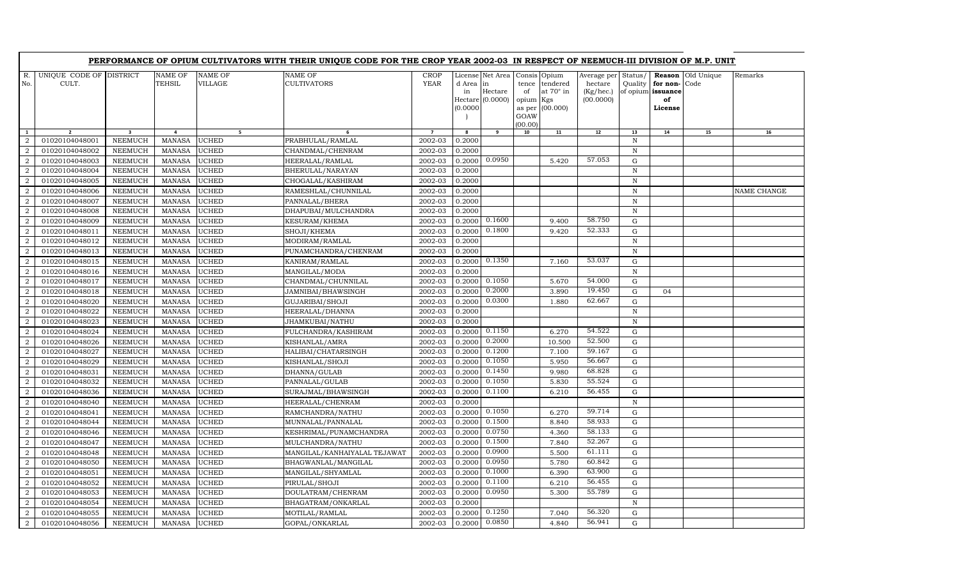|                                  |                                  |                                  |                                 |                              | PERFORMANCE OF OPIUM CULTIVATORS WITH THEIR UNIQUE CODE FOR THE CROP YEAR 2002-03 IN RESPECT OF NEEMUCH-III DIVISION OF M.P. UNIT |                            |                             |                                                 |                                                  |                                                 |                                                  |                          |                                                          |                    |             |
|----------------------------------|----------------------------------|----------------------------------|---------------------------------|------------------------------|-----------------------------------------------------------------------------------------------------------------------------------|----------------------------|-----------------------------|-------------------------------------------------|--------------------------------------------------|-------------------------------------------------|--------------------------------------------------|--------------------------|----------------------------------------------------------|--------------------|-------------|
| R.<br>No.                        | UNIQUE CODE OF DISTRICT<br>CULT. |                                  | <b>NAME OF</b><br><b>TEHSIL</b> | NAME OF<br>VILLAGE           | <b>NAME OF</b><br><b>CULTIVATORS</b>                                                                                              | <b>CROP</b><br><b>YEAR</b> | d Area in<br>in<br>(0.0000) | License Net Area<br>Hectare<br>Hectare (0.0000) | Consis Opium<br>tence<br>of<br>opium Kgs<br>GOAW | tendered<br>at $70^\circ$ in<br>as per (00.000) | Average per<br>hectare<br>(Kg/hec.)<br>(00.0000) | Status/<br>Quality       | Reason<br>for non-<br>of opium issuance<br>of<br>License | Old Unique<br>Code | Remarks     |
| $\mathbf{1}$                     |                                  | $\overline{\mathbf{3}}$          | 4                               | 5 <sub>1</sub>               |                                                                                                                                   |                            |                             | 9                                               | (00.00)<br>10                                    | 11                                              | 12                                               | 13                       | 14                                                       | 15                 | 16          |
| 2                                | 01020104048001                   | NEEMUCH                          | <b>MANASA</b>                   | UCHED                        | PRABHULAL/RAMLAL                                                                                                                  | 2002-03                    | 0.2000                      |                                                 |                                                  |                                                 |                                                  | N                        |                                                          |                    |             |
| $\overline{2}$                   | 01020104048002                   | <b>NEEMUCH</b>                   | <b>MANASA</b>                   | <b>UCHED</b>                 | CHANDMAL/CHENRAM                                                                                                                  | 2002-03                    | 0.2000                      |                                                 |                                                  |                                                 |                                                  | $\, {\rm N}$             |                                                          |                    |             |
| 2                                | 01020104048003                   | <b>NEEMUCH</b>                   | <b>MANASA</b>                   | <b>UCHED</b>                 | HEERALAL/RAMLAL                                                                                                                   | 2002-03                    | 0.2000                      | 0.0950                                          |                                                  | 5.420                                           | 57.053                                           | $\mathbf G$              |                                                          |                    |             |
| $\overline{a}$                   | 01020104048004                   | <b>NEEMUCH</b>                   | <b>MANASA</b>                   | <b>UCHED</b>                 | BHERULAL/NARAYAN                                                                                                                  | 2002-03                    | 0.2000                      |                                                 |                                                  |                                                 |                                                  | $\, {\rm N}$             |                                                          |                    |             |
| $\overline{a}$                   | 01020104048005                   | NEEMUCH                          | <b>MANASA</b>                   | <b>UCHED</b>                 | CHOGALAL/KASHIRAM                                                                                                                 | 2002-03                    | 0.2000                      |                                                 |                                                  |                                                 |                                                  | ${\bf N}$                |                                                          |                    |             |
| 2                                | 01020104048006                   | NEEMUCH                          | <b>MANASA</b>                   | <b>UCHED</b>                 | RAMESHLAL/CHUNNILAL                                                                                                               | 2002-03                    | 0.2000                      |                                                 |                                                  |                                                 |                                                  | $\mathbb N$              |                                                          |                    | NAME CHANGE |
| $\overline{a}$                   | 01020104048007                   | <b>NEEMUCH</b>                   | <b>MANASA</b>                   | <b>UCHED</b>                 | PANNALAL/BHERA                                                                                                                    | 2002-03                    | 0.2000                      |                                                 |                                                  |                                                 |                                                  | $\, {\rm N}$             |                                                          |                    |             |
| $\overline{a}$                   | 01020104048008                   | <b>NEEMUCH</b>                   | <b>MANASA</b>                   | <b>UCHED</b>                 | DHAPUBAI/MULCHANDRA                                                                                                               | 2002-03                    | 0.2000                      |                                                 |                                                  |                                                 |                                                  | ${\bf N}$                |                                                          |                    |             |
| $\overline{a}$                   | 01020104048009                   | NEEMUCH                          | <b>MANASA</b>                   | <b>UCHED</b>                 | KESURAM/KHEMA                                                                                                                     | 2002-03                    |                             | $0.2000$ $0.1600$                               |                                                  | 9.400                                           | 58.750                                           | G                        |                                                          |                    |             |
| $\overline{a}$                   | 01020104048011                   | <b>NEEMUCH</b>                   | <b>MANASA</b>                   | <b>UCHED</b>                 | SHOJI/KHEMA                                                                                                                       | 2002-03                    | 0.2000                      | 0.1800                                          |                                                  | 9.420                                           | 52.333                                           | ${\rm G}$                |                                                          |                    |             |
| 2                                | 01020104048012                   | <b>NEEMUCH</b>                   | <b>MANASA</b>                   | <b>UCHED</b>                 | MODIRAM/RAMLAL                                                                                                                    | 2002-03                    | 0.2000                      |                                                 |                                                  |                                                 |                                                  | $\, {\rm N}$             |                                                          |                    |             |
| $\overline{a}$                   | 01020104048013                   | <b>NEEMUCH</b>                   | <b>MANASA</b>                   | <b>UCHED</b>                 | PUNAMCHANDRA/CHENRAM                                                                                                              | 2002-03                    | 0.2000                      |                                                 |                                                  |                                                 |                                                  | $\, {\bf N}$             |                                                          |                    |             |
| $\overline{a}$                   | 01020104048015                   | <b>NEEMUCH</b>                   | <b>MANASA</b>                   | <b>UCHED</b>                 | KANIRAM/RAMLAL                                                                                                                    | 2002-03                    | 0.2000                      | 0.1350                                          |                                                  | 7.160                                           | 53.037                                           | ${\rm G}$                |                                                          |                    |             |
| $\overline{a}$                   | 01020104048016                   | <b>NEEMUCH</b>                   | <b>MANASA</b>                   | <b>UCHED</b>                 | MANGILAL/MODA                                                                                                                     | 2002-03                    | 0.2000                      |                                                 |                                                  |                                                 |                                                  | $\mathbb N$              |                                                          |                    |             |
| $\overline{a}$                   | 01020104048017                   | <b>NEEMUCH</b>                   | <b>MANASA</b>                   | <b>UCHED</b>                 | CHANDMAL/CHUNNILAL                                                                                                                | 2002-03                    | 0.2000                      | 0.1050                                          |                                                  | 5.670                                           | 54.000                                           | ${\rm G}$                |                                                          |                    |             |
| $\overline{a}$                   | 01020104048018                   | <b>NEEMUCH</b>                   | <b>MANASA</b>                   | <b>UCHED</b>                 | JAMNIBAI/BHAWSINGH                                                                                                                | 2002-03                    | 0.2000                      | 0.2000                                          |                                                  | 3.890                                           | 19.450                                           | $\mathbf G$              | 04                                                       |                    |             |
| $\overline{2}$                   | 01020104048020                   | <b>NEEMUCH</b>                   | <b>MANASA</b>                   | UCHED                        | <b>GUJARIBAI/SHOJI</b>                                                                                                            | 2002-03                    | 0.2000                      | 0.0300                                          |                                                  | 1.880                                           | 62.667                                           | $\mathbf G$              |                                                          |                    |             |
| $\overline{a}$                   | 01020104048022                   | <b>NEEMUCH</b>                   | <b>MANASA</b>                   | <b>UCHED</b>                 | HEERALAL/DHANNA                                                                                                                   | 2002-03                    | 0.2000                      |                                                 |                                                  |                                                 |                                                  | $\, {\bf N}$             |                                                          |                    |             |
| $\mathbf{2}$                     | 01020104048023                   | NEEMUCH                          | <b>MANASA</b>                   | <b>UCHED</b>                 | JHAMKUBAI/NATHU                                                                                                                   | 2002-03                    | 0.2000                      |                                                 |                                                  |                                                 |                                                  | $\mathbb N$              |                                                          |                    |             |
| $\overline{a}$                   | 01020104048024                   | <b>NEEMUCH</b>                   | <b>MANASA</b>                   | <b>UCHED</b>                 | FULCHANDRA/KASHIRAM                                                                                                               | 2002-03                    | 0.2000                      | 0.1150                                          |                                                  | 6.270                                           | 54.522                                           | ${\rm G}$                |                                                          |                    |             |
| $\overline{a}$                   | 01020104048026                   | <b>NEEMUCH</b>                   | <b>MANASA</b>                   | <b>UCHED</b>                 | KISHANLAL/AMRA                                                                                                                    | 2002-03                    | 0.2000                      | 0.2000                                          |                                                  | 10.500                                          | 52.500                                           | ${\rm G}$                |                                                          |                    |             |
| $\overline{2}$                   | 01020104048027                   | <b>NEEMUCH</b>                   | <b>MANASA</b>                   | <b>UCHED</b>                 | HALIBAI/CHATARSINGH                                                                                                               | 2002-03                    | 0.2000                      | 0.1200                                          |                                                  | 7.100                                           | 59.167                                           | $\mathbf G$              |                                                          |                    |             |
| $\overline{a}$                   | 01020104048029                   | <b>NEEMUCH</b>                   | <b>MANASA</b>                   | <b>UCHED</b>                 | KISHANLAL/SHOJI                                                                                                                   | 2002-03                    | 0.2000                      | 0.1050                                          |                                                  | 5.950                                           | 56.667                                           | $\mathbf G$              |                                                          |                    |             |
| $\overline{a}$                   | 01020104048031                   | <b>NEEMUCH</b>                   | <b>MANASA</b>                   | <b>UCHED</b>                 | DHANNA/GULAB                                                                                                                      | 2002-03                    | 0.2000                      | 0.1450                                          |                                                  | 9.980                                           | 68.828                                           | ${\rm G}$                |                                                          |                    |             |
| $\overline{a}$                   | 01020104048032                   | <b>NEEMUCH</b>                   | <b>MANASA</b>                   | <b>UCHED</b>                 | PANNALAL/GULAB                                                                                                                    | 2002-03                    | 0.2000                      | 0.1050                                          |                                                  | 5.830                                           | 55.524                                           | ${\rm G}$                |                                                          |                    |             |
| $\overline{a}$                   | 01020104048036                   | <b>NEEMUCH</b>                   | <b>MANASA</b>                   | <b>UCHED</b>                 | SURAJMAL/BHAWSINGH                                                                                                                | 2002-03                    | 0.2000                      | 0.1100                                          |                                                  | 6.210                                           | 56.455                                           | $\mathbf G$              |                                                          |                    |             |
| $\overline{2}$                   | 01020104048040                   | <b>NEEMUCH</b>                   | <b>MANASA</b>                   | <b>UCHED</b>                 | HEERALAL/CHENRAM                                                                                                                  | 2002-03                    | 0.2000                      |                                                 |                                                  |                                                 |                                                  | $\mathbb N$              |                                                          |                    |             |
| $\overline{a}$                   | 01020104048041                   | <b>NEEMUCH</b>                   | <b>MANASA</b>                   | <b>UCHED</b>                 | RAMCHANDRA/NATHU                                                                                                                  | 2002-03                    | 0.2000                      | 0.1050                                          |                                                  | 6.270                                           | 59.714                                           | ${\bf G}$                |                                                          |                    |             |
| $\overline{2}$                   | 01020104048044                   | <b>NEEMUCH</b>                   | <b>MANASA</b>                   | <b>UCHED</b>                 | MUNNALAL/PANNALAL                                                                                                                 | 2002-03                    | 0.2000                      | 0.1500<br>0.0750                                |                                                  | 8.840                                           | 58.933<br>58.133                                 | ${\rm G}$<br>$\mathbf G$ |                                                          |                    |             |
| 2                                | 01020104048046                   | <b>NEEMUCH</b>                   | <b>MANASA</b>                   | <b>UCHED</b>                 | KESHRIMAL/PUNAMCHANDRA                                                                                                            | 2002-03                    | 0.2000                      | 0.1500                                          |                                                  | 4.360                                           | 52.267                                           |                          |                                                          |                    |             |
| $\overline{a}$                   | 01020104048047                   | <b>NEEMUCH</b>                   | <b>MANASA</b>                   | <b>UCHED</b>                 | MULCHANDRA/NATHU                                                                                                                  | 2002-03                    | 0.2000                      | 0.0900                                          |                                                  | 7.840                                           | 61.111                                           | $\mathbf G$<br>G         |                                                          |                    |             |
| $\overline{2}$                   | 01020104048048                   | <b>NEEMUCH</b>                   | <b>MANASA</b>                   | UCHED                        | MANGILAL/KANHAIYALAL TEJAWAT                                                                                                      | 2002-03                    | 0.2000                      | 0.0950                                          |                                                  | 5.500                                           | 60.842                                           | $\mathbf G$              |                                                          |                    |             |
| $\overline{a}$                   | 01020104048050                   | <b>NEEMUCH</b>                   | <b>MANASA</b>                   | <b>UCHED</b>                 | BHAGWANLAL/MANGILAL                                                                                                               | 2002-03                    | 0.2000                      | 0.1000                                          |                                                  | 5.780                                           | 63.900                                           |                          |                                                          |                    |             |
| $\overline{2}$                   | 01020104048051                   | <b>NEEMUCH</b>                   | <b>MANASA</b><br><b>MANASA</b>  | <b>UCHED</b>                 | MANGILAL/SHYAMLAL                                                                                                                 | 2002-03<br>2002-03         | 0.2000<br>0.2000            | 0.1100                                          |                                                  | 6.390<br>6.210                                  | 56.455                                           | ${\rm G}$<br>${\rm G}$   |                                                          |                    |             |
| $\overline{a}$<br>$\overline{a}$ | 01020104048052<br>01020104048053 | <b>NEEMUCH</b><br><b>NEEMUCH</b> |                                 | <b>UCHED</b><br><b>UCHED</b> | PIRULAL/SHOJI                                                                                                                     | 2002-03                    | 0.2000                      | 0.0950                                          |                                                  | 5.300                                           | 55.789                                           | $\mathbf G$              |                                                          |                    |             |
| $\overline{a}$                   | 01020104048054                   | NEEMUCH                          | <b>MANASA</b><br><b>MANASA</b>  | <b>UCHED</b>                 | DOULATRAM/CHENRAM<br>BHAGATRAM/ONKARLAL                                                                                           | 2002-03                    | 0.2000                      |                                                 |                                                  |                                                 |                                                  | $\mathbb N$              |                                                          |                    |             |
| $\overline{a}$                   | 01020104048055                   | <b>NEEMUCH</b>                   | <b>MANASA</b>                   | <b>UCHED</b>                 | MOTILAL/RAMLAL                                                                                                                    | 2002-03                    | 0.2000                      | 0.1250                                          |                                                  | 7.040                                           | 56.320                                           | $\mathbf G$              |                                                          |                    |             |
| 2                                | 01020104048056                   | NEEMUCH                          | <b>MANASA</b>                   | <b>UCHED</b>                 | GOPAL/ONKARLAL                                                                                                                    | 2002-03                    | 0.2000                      | 0.0850                                          |                                                  | 4.840                                           | 56.941                                           | ${\rm G}$                |                                                          |                    |             |
|                                  |                                  |                                  |                                 |                              |                                                                                                                                   |                            |                             |                                                 |                                                  |                                                 |                                                  |                          |                                                          |                    |             |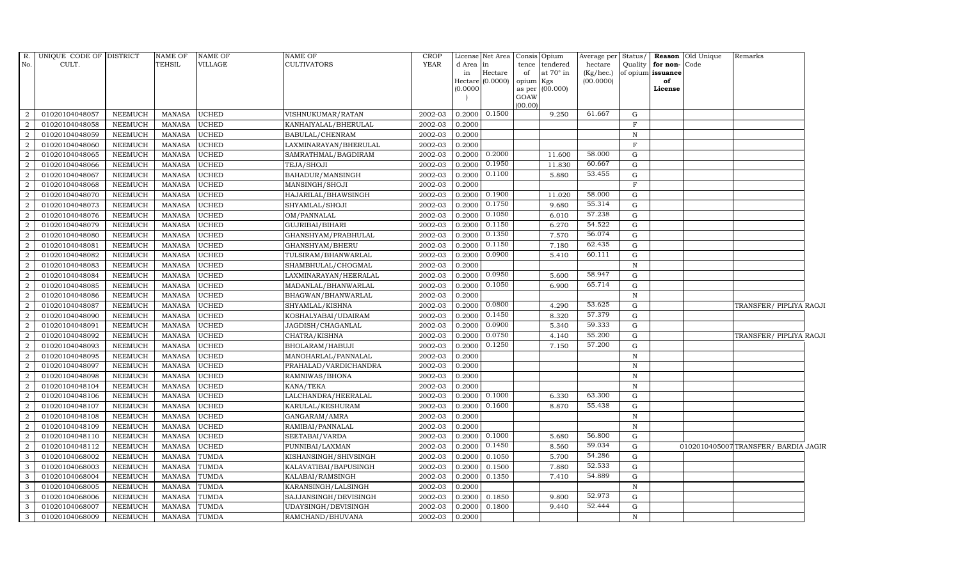| R.<br>No.      | UNIQUE CODE OF DISTRICT<br>CULT. |                | <b>NAME OF</b><br><b>TEHSIL</b> | <b>NAME OF</b><br>VILLAGE | <b>NAME OF</b><br><b>CULTIVATORS</b> | <b>CROP</b><br><b>YEAR</b> | d Area<br>in<br>(0.0000) | License Net Area<br> in<br>Hectare<br>Hectare (0.0000) | tence<br>of<br>opium Kgs<br>GOAW | Consis Opium<br>tendered<br>at 70° in<br>as per (00.000) | Average per<br>hectare<br>$(Kg/$ hec.)<br>(00.0000) | Status/<br>Quality | for non-Code<br>of opium issuance<br>of<br>License | Reason Old Unique | Remarks                             |  |
|----------------|----------------------------------|----------------|---------------------------------|---------------------------|--------------------------------------|----------------------------|--------------------------|--------------------------------------------------------|----------------------------------|----------------------------------------------------------|-----------------------------------------------------|--------------------|----------------------------------------------------|-------------------|-------------------------------------|--|
| 2              | 01020104048057                   | <b>NEEMUCH</b> | MANASA                          | <b>UCHED</b>              | VISHNUKUMAR/RATAN                    | 2002-03                    |                          | $0.2000 \quad 0.1500$                                  | (00.00)                          | 9.250                                                    | 61.667                                              | G                  |                                                    |                   |                                     |  |
| 2              | 01020104048058                   | <b>NEEMUCH</b> | <b>MANASA</b>                   | <b>UCHED</b>              | KANHAIYALAL/BHERULAL                 | 2002-03                    | 0.2000                   |                                                        |                                  |                                                          |                                                     | $\mathbf F$        |                                                    |                   |                                     |  |
| 2              | 01020104048059                   | <b>NEEMUCH</b> | <b>MANASA</b>                   | <b>UCHED</b>              | BABULAL/CHENRAM                      | 2002-03                    | 0.2000                   |                                                        |                                  |                                                          |                                                     | $\, {\rm N}$       |                                                    |                   |                                     |  |
| $\overline{2}$ | 01020104048060                   | <b>NEEMUCH</b> | <b>MANASA</b>                   | <b>UCHED</b>              | LAXMINARAYAN/BHERULAL                | 2002-03                    | 0.2000                   |                                                        |                                  |                                                          |                                                     | $\mathbf{F}$       |                                                    |                   |                                     |  |
| $\overline{a}$ | 01020104048065                   | <b>NEEMUCH</b> | <b>MANASA</b>                   | <b>UCHED</b>              | SAMRATHMAL/BAGDIRAM                  | 2002-03                    | 0.2000                   | 0.2000                                                 |                                  | 11.600                                                   | 58.000                                              | $\mathbf G$        |                                                    |                   |                                     |  |
| $\overline{2}$ | 01020104048066                   | <b>NEEMUCH</b> | <b>MANASA</b>                   | UCHED                     | TEJA/SHOJI                           | 2002-03                    | 0.2000                   | 0.1950                                                 |                                  | 11.830                                                   | 60.667                                              | $\mathbf G$        |                                                    |                   |                                     |  |
| 2              | 01020104048067                   | <b>NEEMUCH</b> | <b>MANASA</b>                   | <b>UCHED</b>              | BAHADUR/MANSINGH                     | 2002-03                    | 0.2000                   | 0.1100                                                 |                                  | 5.880                                                    | 53.455                                              | G                  |                                                    |                   |                                     |  |
| 2              | 01020104048068                   | <b>NEEMUCH</b> | <b>MANASA</b>                   | <b>UCHED</b>              | MANSINGH/SHOJI                       | 2002-03                    | 0.2000                   |                                                        |                                  |                                                          |                                                     | $\mathbf F$        |                                                    |                   |                                     |  |
| $\overline{2}$ | 01020104048070                   | <b>NEEMUCH</b> | <b>MANASA</b>                   | <b>UCHED</b>              | HAJARILAL/BHAWSINGH                  | 2002-03                    | 0.2000                   | 0.1900                                                 |                                  | 11.020                                                   | 58.000                                              | G                  |                                                    |                   |                                     |  |
| 2              | 01020104048073                   | <b>NEEMUCH</b> | <b>MANASA</b>                   | <b>UCHED</b>              | SHYAMLAL/SHOJI                       | 2002-03                    | 0.2000                   | 0.1750                                                 |                                  | 9.680                                                    | 55.314                                              | $\mathbf G$        |                                                    |                   |                                     |  |
| $\overline{2}$ | 01020104048076                   | <b>NEEMUCH</b> | <b>MANASA</b>                   | <b>UCHED</b>              | OM/PANNALAL                          | 2002-03                    | 0.2000                   | 0.1050                                                 |                                  | 6.010                                                    | 57.238                                              | G                  |                                                    |                   |                                     |  |
| $\overline{2}$ | 01020104048079                   | <b>NEEMUCH</b> | <b>MANASA</b>                   | <b>UCHED</b>              | GUJRIBAI/BIHARI                      | 2002-03                    | 0.2000                   | 0.1150                                                 |                                  | 6.270                                                    | 54.522                                              | G                  |                                                    |                   |                                     |  |
| 2              | 01020104048080                   | NEEMUCH        | <b>MANASA</b>                   | <b>UCHED</b>              | GHANSHYAM/PRABHULAL                  | 2002-03                    | 0.2000                   | 0.1350                                                 |                                  | 7.570                                                    | 56.074                                              | G                  |                                                    |                   |                                     |  |
| 2              | 01020104048081                   | <b>NEEMUCH</b> | <b>MANASA</b>                   | <b>UCHED</b>              | GHANSHYAM/BHERU                      | 2002-03                    | 0.2000                   | 0.1150                                                 |                                  | 7.180                                                    | 62.435                                              | ${\bf G}$          |                                                    |                   |                                     |  |
| $\overline{2}$ | 01020104048082                   | <b>NEEMUCH</b> | <b>MANASA</b>                   | UCHED                     | TULSIRAM/BHANWARLAL                  | 2002-03                    | 0.2000                   | 0.0900                                                 |                                  | 5.410                                                    | 60.111                                              | ${\rm G}$          |                                                    |                   |                                     |  |
| 2              | 01020104048083                   | <b>NEEMUCH</b> | <b>MANASA</b>                   | <b>UCHED</b>              | SHAMBHULAL/CHOGMAL                   | 2002-03                    | 0.2000                   |                                                        |                                  |                                                          |                                                     | ${\bf N}$          |                                                    |                   |                                     |  |
| 2              | 01020104048084                   | <b>NEEMUCH</b> | <b>MANASA</b>                   | <b>UCHED</b>              | LAXMINARAYAN/HEERALAL                | 2002-03                    | 0.2000                   | 0.0950                                                 |                                  | 5.600                                                    | 58.947                                              | $\mathbf G$        |                                                    |                   |                                     |  |
| $\overline{2}$ | 01020104048085                   | <b>NEEMUCH</b> | <b>MANASA</b>                   | <b>UCHED</b>              | MADANLAL/BHANWARLAL                  | 2002-03                    | 0.2000                   | 0.1050                                                 |                                  | 6.900                                                    | 65.714                                              | $\mathbf G$        |                                                    |                   |                                     |  |
| 2              | 01020104048086                   | <b>NEEMUCH</b> | <b>MANASA</b>                   | <b>UCHED</b>              | BHAGWAN/BHANWARLAL                   | 2002-03                    | 0.2000                   |                                                        |                                  |                                                          |                                                     | ${\bf N}$          |                                                    |                   |                                     |  |
| $\overline{2}$ | 01020104048087                   | <b>NEEMUCH</b> | <b>MANASA</b>                   | <b>UCHED</b>              | SHYAMLAL/KISHNA                      | 2002-03                    | 0.2000                   | 0.0800                                                 |                                  | 4.290                                                    | 53.625                                              | $\mathbf G$        |                                                    |                   | TRANSFER/ PIPLIYA RAOJI             |  |
| 2              | 01020104048090                   | NEEMUCH        | <b>MANASA</b>                   | <b>UCHED</b>              | KOSHALYABAI/UDAIRAM                  | 2002-03                    | 0.2000                   | 0.1450                                                 |                                  | 8.320                                                    | 57.379                                              | $\mathbf G$        |                                                    |                   |                                     |  |
| 2              | 01020104048091                   | <b>NEEMUCH</b> | <b>MANASA</b>                   | <b>UCHED</b>              | JAGDISH/CHAGANLAL                    | 2002-03                    | 0.2000                   | 0.0900                                                 |                                  | 5.340                                                    | 59.333                                              | $\mathbf G$        |                                                    |                   |                                     |  |
| $\overline{2}$ | 01020104048092                   | <b>NEEMUCH</b> | <b>MANASA</b>                   | <b>UCHED</b>              | CHATRA/KISHNA                        | 2002-03                    | 0.2000                   | 0.0750                                                 |                                  | 4.140                                                    | 55.200                                              | $\mathbf G$        |                                                    |                   | TRANSFER/ PIPLIYA RAOJI             |  |
| $\overline{2}$ | 01020104048093                   | <b>NEEMUCH</b> | <b>MANASA</b>                   | <b>UCHED</b>              | BHOLARAM/HABUJI                      | 2002-03                    | 0.2000                   | 0.1250                                                 |                                  | 7.150                                                    | 57.200                                              | G                  |                                                    |                   |                                     |  |
| $\overline{2}$ | 01020104048095                   | <b>NEEMUCH</b> | <b>MANASA</b>                   | UCHED                     | MANOHARLAL/PANNALAL                  | 2002-03                    | 0.2000                   |                                                        |                                  |                                                          |                                                     | $\, {\rm N}$       |                                                    |                   |                                     |  |
| $\overline{2}$ | 01020104048097                   | <b>NEEMUCH</b> | <b>MANASA</b>                   | <b>UCHED</b>              | PRAHALAD/VARDICHANDRA                | 2002-03                    | 0.2000                   |                                                        |                                  |                                                          |                                                     | $\, {\rm N}$       |                                                    |                   |                                     |  |
| 2              | 01020104048098                   | <b>NEEMUCH</b> | <b>MANASA</b>                   | <b>UCHED</b>              | RAMNIWAS/BHONA                       | 2002-03                    | 0.2000                   |                                                        |                                  |                                                          |                                                     | $\, {\rm N}$       |                                                    |                   |                                     |  |
| 2              | 01020104048104                   | <b>NEEMUCH</b> | <b>MANASA</b>                   | UCHED                     | KANA/TEKA                            | 2002-03                    | 0.2000                   |                                                        |                                  |                                                          |                                                     | $\, {\rm N}$       |                                                    |                   |                                     |  |
| 2              | 01020104048106                   | <b>NEEMUCH</b> | <b>MANASA</b>                   | <b>UCHED</b>              | LALCHANDRA/HEERALAL                  | 2002-03                    | 0.2000                   | 0.1000                                                 |                                  | 6.330                                                    | 63.300                                              | ${\bf G}$          |                                                    |                   |                                     |  |
| $\overline{2}$ | 01020104048107                   | <b>NEEMUCH</b> | <b>MANASA</b>                   | <b>UCHED</b>              | KARULAL/KESHURAM                     | 2002-03                    | 0.2000                   | 0.1600                                                 |                                  | 8.870                                                    | 55.438                                              | G                  |                                                    |                   |                                     |  |
| $\overline{2}$ | 01020104048108                   | <b>NEEMUCH</b> | <b>MANASA</b>                   | <b>UCHED</b>              | GANGARAM/AMRA                        | 2002-03                    | 0.2000                   |                                                        |                                  |                                                          |                                                     | ${\bf N}$          |                                                    |                   |                                     |  |
| 2              | 01020104048109                   | <b>NEEMUCH</b> | <b>MANASA</b>                   | <b>UCHED</b>              | RAMIBAI/PANNALAL                     | 2002-03                    | 0.2000                   |                                                        |                                  |                                                          |                                                     | $\, {\rm N}$       |                                                    |                   |                                     |  |
| 2              | 01020104048110                   | <b>NEEMUCH</b> | <b>MANASA</b>                   | UCHED                     | SEETABAI/VARDA                       | 2002-03                    | 0.2000                   | 0.1000                                                 |                                  | 5.680                                                    | 56.800                                              | G                  |                                                    |                   |                                     |  |
| 2              | 01020104048112                   | <b>NEEMUCH</b> | <b>MANASA</b>                   | <b>UCHED</b>              | PUNNIBAI/LAXMAN                      | 2002-03                    | 0.2000                   | 0.1450                                                 |                                  | 8.560                                                    | 59.034                                              | G                  |                                                    |                   | 0102010405007TRANSFER/ BARDIA JAGIR |  |
| 3              | 01020104068002                   | <b>NEEMUCH</b> | <b>MANASA</b>                   | <b>TUMDA</b>              | KISHANSINGH/SHIVSINGH                | 2002-03                    | 0.2000                   | 0.1050                                                 |                                  | 5.700                                                    | 54.286                                              | $\mathbf G$        |                                                    |                   |                                     |  |
| 3              | 01020104068003                   | <b>NEEMUCH</b> | <b>MANASA</b>                   | <b>TUMDA</b>              | KALAVATIBAI/BAPUSINGH                | 2002-03                    | 0.2000                   | 0.1500                                                 |                                  | 7.880                                                    | 52.533                                              | G                  |                                                    |                   |                                     |  |
| $\mathbf{3}$   | 01020104068004                   | <b>NEEMUCH</b> | <b>MANASA</b>                   | <b>TUMDA</b>              | KALABAI/RAMSINGH                     | 2002-03                    | 0.2000                   | 0.1350                                                 |                                  | 7.410                                                    | 54.889                                              | G                  |                                                    |                   |                                     |  |
| $\mathbf{3}$   | 01020104068005                   | NEEMUCH        | <b>MANASA</b>                   | TUMDA                     | KARANSINGH/LALSINGH                  | 2002-03                    | 0.2000                   |                                                        |                                  |                                                          |                                                     | $\, {\rm N}$       |                                                    |                   |                                     |  |
| $\mathbf{3}$   | 01020104068006                   | <b>NEEMUCH</b> | <b>MANASA</b>                   | TUMDA                     | SAJJANSINGH/DEVISINGH                | 2002-03                    | 0.2000                   | 0.1850                                                 |                                  | 9.800                                                    | 52.973                                              | G                  |                                                    |                   |                                     |  |
| $\mathbf{3}$   | 01020104068007                   | <b>NEEMUCH</b> | <b>MANASA</b>                   | <b>TUMDA</b>              | UDAYSINGH/DEVISINGH                  | 2002-03                    | 0.2000                   | 0.1800                                                 |                                  | 9.440                                                    | 52.444                                              | $\mathbf G$        |                                                    |                   |                                     |  |
| 3              | 01020104068009                   | <b>NEEMUCH</b> | MANASA                          | <b>TUMDA</b>              | RAMCHAND/BHUVANA                     | 2002-03                    | 0.2000                   |                                                        |                                  |                                                          |                                                     | $\mathbf N$        |                                                    |                   |                                     |  |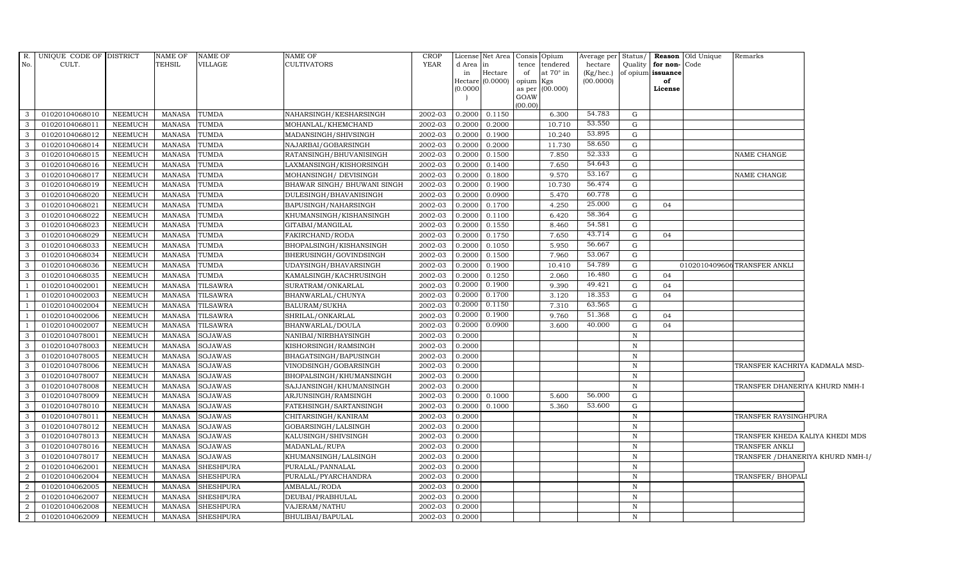|                | R. UNIQUE CODE OF DISTRICT |                | <b>NAME OF</b> | NAME OF          | <b>NAME OF</b>               | <b>CROP</b> |                     | License Net Area Consis Opium |           |                  | Average per Status/ |              |                   | <b>Reason</b> Old Unique | Remarks                          |  |
|----------------|----------------------------|----------------|----------------|------------------|------------------------------|-------------|---------------------|-------------------------------|-----------|------------------|---------------------|--------------|-------------------|--------------------------|----------------------------------|--|
| No.            | CULT.                      |                | TEHSIL         | VILLAGE          | <b>CULTIVATORS</b>           | YEAR        | d Area              | in                            |           | tence tendered   | hectare             | Quality      | for non-          | Code                     |                                  |  |
|                |                            |                |                |                  |                              |             | in                  | Hectare                       | of        | at $70^\circ$ in | (Kg/hec.)           |              | of opium issuance |                          |                                  |  |
|                |                            |                |                |                  |                              |             | Hectare<br>(0.0000) | (0.0000)                      | opium Kgs | as per (00.000)  | (00.0000)           |              | of<br>License     |                          |                                  |  |
|                |                            |                |                |                  |                              |             |                     |                               | GOAW      |                  |                     |              |                   |                          |                                  |  |
|                |                            |                |                |                  |                              |             |                     |                               | (00.00)   |                  |                     |              |                   |                          |                                  |  |
| $\mathbf{3}$   | 01020104068010             | NEEMUCH        | MANASA         | <b>TUMDA</b>     | NAHARSINGH/KESHARSINGH       | 2002-03     | 0.2000              | 0.1150                        |           | 6.300            | 54.783              | G            |                   |                          |                                  |  |
| 3              | 01020104068011             | NEEMUCH        | <b>MANASA</b>  | <b>TUMDA</b>     | MOHANLAL/KHEMCHAND           | 2002-03     | 0.2000              | 0.2000                        |           | 10.710           | 53.550              | G            |                   |                          |                                  |  |
| 3              | 01020104068012             | <b>NEEMUCH</b> | <b>MANASA</b>  | TUMDA            | MADANSINGH/SHIVSINGH         | 2002-03     | 0.2000              | 0.1900                        |           | 10.240           | 53.895              | G            |                   |                          |                                  |  |
| $\mathbf{3}$   | 01020104068014             | <b>NEEMUCH</b> | <b>MANASA</b>  | <b>TUMDA</b>     | NAJARBAI/GOBARSINGH          | 2002-03     | 0.2000              | 0.2000                        |           | 11.730           | 58.650              | G            |                   |                          |                                  |  |
| $\mathbf{3}$   | 01020104068015             | <b>NEEMUCH</b> | <b>MANASA</b>  | <b>TUMDA</b>     | RATANSINGH/BHUVANISINGH      | 2002-03     | 0.2000              | 0.1500                        |           | 7.850            | 52.333              | G            |                   |                          | NAME CHANGE                      |  |
| $\mathbf{3}$   | 01020104068016             | <b>NEEMUCH</b> | <b>MANASA</b>  | TUMDA            | LAXMANSINGH/KISHORSINGH      | 2002-03     | 0.2000              | 0.1400                        |           | 7.650            | 54.643              | G            |                   |                          |                                  |  |
| 3              | 01020104068017             | NEEMUCH        | <b>MANASA</b>  | TUMDA            | MOHANSINGH/ DEVISINGH        | 2002-03     | 0.2000              | 0.1800                        |           | 9.570            | 53.167              | G            |                   |                          | NAME CHANGE                      |  |
| 3              | 01020104068019             | <b>NEEMUCH</b> | <b>MANASA</b>  | TUMDA            | BHAWAR SINGH / BHUWANI SINGH | 2002-03     | 0.2000              | 0.1900                        |           | 10.730           | 56.474              | G            |                   |                          |                                  |  |
| 3              | 01020104068020             | <b>NEEMUCH</b> | <b>MANASA</b>  | TUMDA            | DULESINGH/BHAVANISINGH       | 2002-03     | 0.2000              | 0.0900                        |           | 5.470            | 60.778              | G            |                   |                          |                                  |  |
| 3              | 01020104068021             | <b>NEEMUCH</b> | <b>MANASA</b>  | TUMDA            | BAPUSINGH/NAHARSINGH         | 2002-03     | 0.2000              | 0.1700                        |           | 4.250            | 25.000              | G            | 04                |                          |                                  |  |
| $\mathbf{3}$   | 01020104068022             | <b>NEEMUCH</b> | <b>MANASA</b>  | <b>TUMDA</b>     | KHUMANSINGH/KISHANSINGH      | 2002-03     | 0.2000              | 0.1100                        |           | 6.420            | 58.364              | G            |                   |                          |                                  |  |
| 3              | 01020104068023             | <b>NEEMUCH</b> | <b>MANASA</b>  | <b>TUMDA</b>     | GITABAI/MANGILAL             | 2002-03     | 0.2000              | 0.1550                        |           | 8.460            | 54.581              | G            |                   |                          |                                  |  |
| 3              | 01020104068029             | <b>NEEMUCH</b> | <b>MANASA</b>  | TUMDA            | FAKIRCHAND/RODA              | 2002-03     | 0.2000              | 0.1750                        |           | 7.650            | 43.714              | G            | 04                |                          |                                  |  |
| -3             | 01020104068033             | <b>NEEMUCH</b> | <b>MANASA</b>  | TUMDA            | BHOPALSINGH/KISHANSINGH      | 2002-03     | 0.2000              | 0.1050                        |           | 5.950            | 56.667              | G            |                   |                          |                                  |  |
| 3              | 01020104068034             | <b>NEEMUCH</b> | <b>MANASA</b>  | TUMDA            | BHERUSINGH/GOVINDSINGH       | 2002-03     | 0.2000              | 0.1500                        |           | 7.960            | 53.067              | G            |                   |                          |                                  |  |
| $\mathbf{3}$   | 01020104068036             | <b>NEEMUCH</b> | <b>MANASA</b>  | TUMDA            | UDAYSINGH/BHAVARSINGH        | 2002-03     | 0.2000              | 0.1900                        |           | 10.410           | 54.789              | G            |                   |                          | 0102010409606TRANSFER ANKLI      |  |
| 3              | 01020104068035             | <b>NEEMUCH</b> | <b>MANASA</b>  | <b>TUMDA</b>     | KAMALSINGH/KACHRUSINGH       | 2002-03     | 0.2000              | 0.1250                        |           | 2.060            | 16.480              | G            | 04                |                          |                                  |  |
| $\overline{1}$ | 01020104002001             | <b>NEEMUCH</b> | <b>MANASA</b>  | <b>TILSAWRA</b>  | SURATRAM/ONKARLAL            | 2002-03     | 0.2000              | 0.1900                        |           | 9.390            | 49.421              | G            | 04                |                          |                                  |  |
|                | 01020104002003             | <b>NEEMUCH</b> | <b>MANASA</b>  | <b>TILSAWRA</b>  | BHANWARLAL/CHUNYA            | 2002-03     | 0.2000              | 0.1700                        |           | 3.120            | 18.353              | G            | 04                |                          |                                  |  |
|                | 01020104002004             | <b>NEEMUCH</b> | <b>MANASA</b>  | TILSAWRA         | BALURAM/SUKHA                | 2002-03     | 0.2000              | 0.1150                        |           | 7.310            | 63.565              | G            |                   |                          |                                  |  |
| - 1            | 01020104002006             | <b>NEEMUCH</b> | <b>MANASA</b>  | <b>TILSAWRA</b>  | SHRILAL/ONKARLAL             | 2002-03     | 0.2000              | 0.1900                        |           | 9.760            | 51.368              | G            | 04                |                          |                                  |  |
|                | 01020104002007             | <b>NEEMUCH</b> | <b>MANASA</b>  | <b>TILSAWRA</b>  | BHANWARLAL/DOULA             | 2002-03     | 0.2000              | 0.0900                        |           | 3.600            | 40.000              | G            | 04                |                          |                                  |  |
| 3              | 01020104078001             | <b>NEEMUCH</b> | <b>MANASA</b>  | <b>SOJAWAS</b>   | NANIBAI/NIRBHAYSINGH         | 2002-03     | 0.2000              |                               |           |                  |                     | N            |                   |                          |                                  |  |
| 3              | 01020104078003             | <b>NEEMUCH</b> | <b>MANASA</b>  | <b>SOJAWAS</b>   | KISHORSINGH/RAMSINGH         | 2002-03     | 0.2000              |                               |           |                  |                     | $\mathbf N$  |                   |                          |                                  |  |
| 3              | 01020104078005             | <b>NEEMUCH</b> | <b>MANASA</b>  | SOJAWAS          | BHAGATSINGH/BAPUSINGH        | 2002-03     | 0.2000              |                               |           |                  |                     | $\, {\rm N}$ |                   |                          |                                  |  |
| $\mathbf{3}$   | 01020104078006             | <b>NEEMUCH</b> | <b>MANASA</b>  | <b>SOJAWAS</b>   | VINODSINGH/GOBARSINGH        | 2002-03     | 0.2000              |                               |           |                  |                     | N            |                   |                          | TRANSFER KACHRIYA KADMALA MSD-   |  |
| $\mathbf{3}$   | 01020104078007             | <b>NEEMUCH</b> | <b>MANASA</b>  | <b>SOJAWAS</b>   | BHOPALSINGH/KHUMANSINGH      | 2002-03     | 0.2000              |                               |           |                  |                     | $\,$ N       |                   |                          |                                  |  |
| $\mathbf{3}$   | 01020104078008             | <b>NEEMUCH</b> | <b>MANASA</b>  | SOJAWAS          | SAJJANSINGH/KHUMANSINGH      | 2002-03     | 0.2000              |                               |           |                  |                     | $\, {\rm N}$ |                   |                          | TRANSFER DHANERIYA KHURD NMH-I   |  |
| 3              | 01020104078009             | <b>NEEMUCH</b> | <b>MANASA</b>  | <b>SOJAWAS</b>   | ARJUNSINGH/RAMSINGH          | 2002-03     | 0.2000              | 0.1000                        |           | 5.600            | 56.000              | G            |                   |                          |                                  |  |
| $\overline{3}$ | 01020104078010             | <b>NEEMUCH</b> | <b>MANASA</b>  | <b>SOJAWAS</b>   | FATEHSINGH/SARTANSINGH       | 2002-03     | 0.2000              | 0.1000                        |           | 5.360            | 53.600              | G            |                   |                          |                                  |  |
| $\mathbf{3}$   | 01020104078011             | <b>NEEMUCH</b> | <b>MANASA</b>  | SOJAWAS          | CHITARSINGH/KANIRAM          | 2002-03     | 0.2000              |                               |           |                  |                     | $\, {\bf N}$ |                   |                          | TRANSFER RAYSINGHPURA            |  |
| 3              | 01020104078012             | <b>NEEMUCH</b> | <b>MANASA</b>  | <b>SOJAWAS</b>   | GOBARSINGH/LALSINGH          | 2002-03     | 0.2000              |                               |           |                  |                     | $\mathbf N$  |                   |                          |                                  |  |
| 3              | 01020104078013             | <b>NEEMUCH</b> | <b>MANASA</b>  | SOJAWAS          | KALUSINGH/SHIVSINGH          | 2002-03     | 0.2000              |                               |           |                  |                     | $\mathbb N$  |                   |                          | TRANSFER KHEDA KALIYA KHEDI MDS  |  |
| 3              | 01020104078016             | <b>NEEMUCH</b> | <b>MANASA</b>  | <b>SOJAWAS</b>   | MADANLAL/RUPA                | 2002-03     | 0.2000              |                               |           |                  |                     | $\mathbf N$  |                   |                          | TRANSFER ANKLI                   |  |
| 3              | 01020104078017             | <b>NEEMUCH</b> | <b>MANASA</b>  | <b>SOJAWAS</b>   | KHUMANSINGH/LALSINGH         | 2002-03     | 0.2000              |                               |           |                  |                     | $\mathbf N$  |                   |                          | TRANSFER /DHANERIYA KHURD NMH-I/ |  |
| -2             | 01020104062001             | <b>NEEMUCH</b> | <b>MANASA</b>  | <b>SHESHPURA</b> | PURALAL/PANNALAL             | 2002-03     | 0.2000              |                               |           |                  |                     | $\mathbf N$  |                   |                          |                                  |  |
| 2              | 01020104062004             | <b>NEEMUCH</b> | <b>MANASA</b>  | <b>SHESHPURA</b> | PURALAL/PYARCHANDRA          | 2002-03     | 0.2000              |                               |           |                  |                     | $\mathbf N$  |                   |                          | TRANSFER/ BHOPAL                 |  |
| 2              | 01020104062005             | NEEMUCH        | <b>MANASA</b>  | <b>SHESHPURA</b> | AMBALAL/RODA                 | 2002-03     | 0.2000              |                               |           |                  |                     | N            |                   |                          |                                  |  |
| 2              | 01020104062007             | NEEMUCH        | <b>MANASA</b>  | <b>SHESHPURA</b> | DEUBAI/PRABHULAL             | 2002-03     | 0.2000              |                               |           |                  |                     | N            |                   |                          |                                  |  |
| $\overline{2}$ | 01020104062008             | <b>NEEMUCH</b> | <b>MANASA</b>  | <b>SHESHPURA</b> | VAJERAM/NATHU                | 2002-03     | 0.2000              |                               |           |                  |                     | $\mathbf N$  |                   |                          |                                  |  |
| $\overline{2}$ | 01020104062009             | <b>NEEMUCH</b> | <b>MANASA</b>  | <b>SHESHPURA</b> | BHULIBAI/BAPULAL             | 2002-03     | 0.2000              |                               |           |                  |                     | $\mathbb N$  |                   |                          |                                  |  |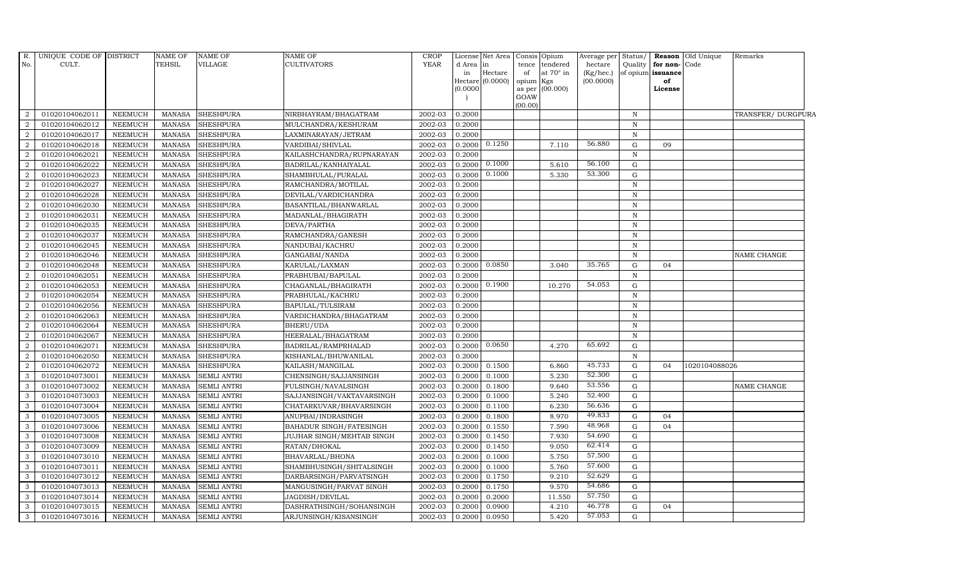| R.<br>No.      | UNIQUE CODE OF DISTRICT<br>CULT. |                | NAME OF<br><b>TEHSIL</b> | <b>NAME OF</b><br>VILLAGE | NAME OF<br><b>CULTIVATORS</b> | <b>CROP</b><br><b>YEAR</b> | d Area   | License Net Area<br>in        |                 | Consis Opium<br>tence tendered | Average per<br>hectare | Status/<br>Quality | for non-Code            | Reason Old Unique | Remarks            |  |
|----------------|----------------------------------|----------------|--------------------------|---------------------------|-------------------------------|----------------------------|----------|-------------------------------|-----------------|--------------------------------|------------------------|--------------------|-------------------------|-------------------|--------------------|--|
|                |                                  |                |                          |                           |                               |                            | in       | Hectare<br>Hectare $(0.0000)$ | of<br>opium Kgs | at $70^\circ$ in               | (Kg/hec.)<br>(00.0000) |                    | of opium issuance<br>of |                   |                    |  |
|                |                                  |                |                          |                           |                               |                            | (0.0000) |                               |                 | as per (00.000)                |                        |                    | License                 |                   |                    |  |
|                |                                  |                |                          |                           |                               |                            |          |                               | GOAW            |                                |                        |                    |                         |                   |                    |  |
| 2              | 01020104062011                   | <b>NEEMUCH</b> | MANASA                   | <b>SHESHPURA</b>          | NIRBHAYRAM/BHAGATRAM          | 2002-03                    | 0.2000   |                               | (00.00)         |                                |                        | $\mathbb N$        |                         |                   | TRANSFER/ DURGPURA |  |
| 2              | 01020104062012                   | <b>NEEMUCH</b> | <b>MANASA</b>            | <b>SHESHPURA</b>          | MULCHANDRA/KESHURAM           | 2002-03                    | 0.2000   |                               |                 |                                |                        | $\, {\bf N}$       |                         |                   |                    |  |
| 2              | 01020104062017                   | <b>NEEMUCH</b> | <b>MANASA</b>            | <b>SHESHPURA</b>          | LAXMINARAYAN/JETRAM           | 2002-03                    | 0.2000   |                               |                 |                                |                        | $\mathbf N$        |                         |                   |                    |  |
| $\overline{2}$ | 01020104062018                   | <b>NEEMUCH</b> | <b>MANASA</b>            | <b>SHESHPURA</b>          | VARDIBAI/SHIVLAL              | 2002-03                    | 0.2000   | 0.1250                        |                 | 7.110                          | 56.880                 | G                  | 09                      |                   |                    |  |
| $\overline{2}$ | 01020104062021                   | <b>NEEMUCH</b> | <b>MANASA</b>            | <b>SHESHPURA</b>          | KAILASHCHANDRA/RUPNARAYAN     | 2002-03                    | 0.2000   |                               |                 |                                |                        | $\, {\bf N}$       |                         |                   |                    |  |
| 2              | 01020104062022                   | <b>NEEMUCH</b> | <b>MANASA</b>            | <b>SHESHPURA</b>          | BADRILAL/KANHAIYALAL          | 2002-03                    | 0.2000   | 0.1000                        |                 | 5.610                          | 56.100                 | G                  |                         |                   |                    |  |
| $\overline{2}$ | 01020104062023                   | <b>NEEMUCH</b> | <b>MANASA</b>            | <b>SHESHPURA</b>          | SHAMBHULAL/PURALAL            | 2002-03                    | 0.2000   | 0.1000                        |                 | 5.330                          | 53.300                 | ${\rm G}$          |                         |                   |                    |  |
| $\overline{2}$ | 01020104062027                   | <b>NEEMUCH</b> | <b>MANASA</b>            | <b>SHESHPURA</b>          | RAMCHANDRA/MOTILAL            | 2002-03                    | 0.2000   |                               |                 |                                |                        | $\, {\bf N}$       |                         |                   |                    |  |
| $\overline{2}$ | 01020104062028                   | <b>NEEMUCH</b> | <b>MANASA</b>            | <b>SHESHPURA</b>          | DEVILAL/VARDICHANDRA          | 2002-03                    | 0.2000   |                               |                 |                                |                        | $\mathbf N$        |                         |                   |                    |  |
| 2              | 01020104062030                   | <b>NEEMUCH</b> | <b>MANASA</b>            | <b>SHESHPURA</b>          | BASANTILAL/BHANWARLAL         | 2002-03                    | 0.2000   |                               |                 |                                |                        | $\mathbb N$        |                         |                   |                    |  |
| $\overline{2}$ | 01020104062031                   | <b>NEEMUCH</b> | <b>MANASA</b>            | <b>SHESHPURA</b>          | MADANLAL/BHAGIRATH            | 2002-03                    | 0.2000   |                               |                 |                                |                        | $\mathbb N$        |                         |                   |                    |  |
| 2              | 01020104062035                   | <b>NEEMUCH</b> | <b>MANASA</b>            | <b>SHESHPURA</b>          | DEVA/PARTHA                   | 2002-03                    | 0.2000   |                               |                 |                                |                        | $\mathbf N$        |                         |                   |                    |  |
| 2              | 01020104062037                   | <b>NEEMUCH</b> | <b>MANASA</b>            | <b>SHESHPURA</b>          | RAMCHANDRA/GANESH             | 2002-03                    | 0.2000   |                               |                 |                                |                        | $\mathbb N$        |                         |                   |                    |  |
| 2              | 01020104062045                   | <b>NEEMUCH</b> | <b>MANASA</b>            | <b>SHESHPURA</b>          | NANDUBAI/KACHRU               | 2002-03                    | 0.2000   |                               |                 |                                |                        | $\mathbf N$        |                         |                   |                    |  |
| $\overline{2}$ | 01020104062046                   | <b>NEEMUCH</b> | <b>MANASA</b>            | <b>SHESHPURA</b>          | GANGABAI/NANDA                | 2002-03                    | 0.2000   |                               |                 |                                |                        | N                  |                         |                   | NAME CHANGE        |  |
| $\overline{2}$ | 01020104062048                   | <b>NEEMUCH</b> | <b>MANASA</b>            | <b>SHESHPURA</b>          | KARULAL/LAXMAN                | 2002-03                    | 0.2000   | 0.0850                        |                 | 3.040                          | 35.765                 | G                  | 04                      |                   |                    |  |
| 2              | 01020104062051                   | <b>NEEMUCH</b> | <b>MANASA</b>            | <b>SHESHPURA</b>          | PRABHUBAI/BAPULAL             | 2002-03                    | 0.2000   |                               |                 |                                |                        | $\mathbf N$        |                         |                   |                    |  |
| 2              | 01020104062053                   | <b>NEEMUCH</b> | <b>MANASA</b>            | <b>SHESHPURA</b>          | CHAGANLAL/BHAGIRATH           | 2002-03                    | 0.2000   | 0.1900                        |                 | 10.270                         | 54.053                 | G                  |                         |                   |                    |  |
| $\overline{2}$ | 01020104062054                   | <b>NEEMUCH</b> | <b>MANASA</b>            | <b>SHESHPURA</b>          | PRABHULAL/KACHRU              | 2002-03                    | 0.2000   |                               |                 |                                |                        | $\, {\bf N}$       |                         |                   |                    |  |
| $\overline{2}$ | 01020104062056                   | <b>NEEMUCH</b> | <b>MANASA</b>            | <b>SHESHPURA</b>          | BAPULAL/TULSIRAM              | 2002-03                    | 0.2000   |                               |                 |                                |                        | $\mathbf N$        |                         |                   |                    |  |
| $\overline{2}$ | 01020104062063                   | <b>NEEMUCH</b> | <b>MANASA</b>            | <b>SHESHPURA</b>          | VARDICHANDRA/BHAGATRAM        | 2002-03                    | 0.2000   |                               |                 |                                |                        | $\mathbb N$        |                         |                   |                    |  |
| $\overline{2}$ | 01020104062064                   | <b>NEEMUCH</b> | <b>MANASA</b>            | <b>SHESHPURA</b>          | BHERU/UDA                     | 2002-03                    | 0.2000   |                               |                 |                                |                        | $\mathbf N$        |                         |                   |                    |  |
| $\overline{2}$ | 01020104062067                   | <b>NEEMUCH</b> | <b>MANASA</b>            | <b>SHESHPURA</b>          | HEERALAL/BHAGATRAM            | 2002-03                    | 0.2000   |                               |                 |                                |                        | $\mathbb N$        |                         |                   |                    |  |
| 2              | 01020104062071                   | <b>NEEMUCH</b> | <b>MANASA</b>            | <b>SHESHPURA</b>          | BADRILAL/RAMPRHALAD           | 2002-03                    | 0.2000   | 0.0650                        |                 | 4.270                          | 65.692                 | G                  |                         |                   |                    |  |
| $\overline{a}$ | 01020104062050                   | <b>NEEMUCH</b> | <b>MANASA</b>            | <b>SHESHPURA</b>          | KISHANLAL/BHUWANILAL          | 2002-03                    | 0.2000   |                               |                 |                                |                        | $\mathbf N$        |                         |                   |                    |  |
| 2              | 01020104062072                   | <b>NEEMUCH</b> | <b>MANASA</b>            | <b>SHESHPURA</b>          | KAILASH/MANGILAL              | 2002-03                    | 0.2000   | 0.1500                        |                 | 6.860                          | 45.733                 | G                  | 04                      | 1020104088026     |                    |  |
| 3              | 01020104073001                   | <b>NEEMUCH</b> | <b>MANASA</b>            | <b>SEMLI ANTRI</b>        | CHENSINGH/SAJJANSINGH         | 2002-03                    | 0.2000   | 0.1000                        |                 | 5.230                          | 52.300                 | G                  |                         |                   |                    |  |
| $\mathbf{3}$   | 01020104073002                   | <b>NEEMUCH</b> | <b>MANASA</b>            | <b>SEMLI ANTRI</b>        | FULSINGH/NAVALSINGH           | 2002-03                    | 0.2000   | 0.1800                        |                 | 9.640                          | 53.556                 | G                  |                         |                   | NAME CHANGE        |  |
| 3              | 01020104073003                   | <b>NEEMUCH</b> | <b>MANASA</b>            | <b>SEMLI ANTRI</b>        | SAJJANSINGH/VAKTAVARSINGH     | 2002-03                    | 0.2000   | 0.1000                        |                 | 5.240                          | 52.400                 | ${\rm G}$          |                         |                   |                    |  |
| 3              | 01020104073004                   | NEEMUCH        | <b>MANASA</b>            | <b>SEMLI ANTRI</b>        | CHATARKUVAR/BHAVARSINGH       | 2002-03                    | 0.2000   | 0.1100                        |                 | 6.230                          | 56.636                 | G                  |                         |                   |                    |  |
| 3              | 01020104073005                   | <b>NEEMUCH</b> | <b>MANASA</b>            | SEMLI ANTRI               | ANUPBAI/INDRASINGH            | 2002-03                    | 0.2000   | 0.1800                        |                 | 8.970                          | 49.833                 | G                  | 04                      |                   |                    |  |
| $\mathbf{3}$   | 01020104073006                   | <b>NEEMUCH</b> | <b>MANASA</b>            | <b>SEMLI ANTRI</b>        | BAHADUR SINGH/FATESINGH       | 2002-03                    | 0.2000   | 0.1550                        |                 | 7.590                          | 48.968                 | G                  | 04                      |                   |                    |  |
| $\mathbf{3}$   | 01020104073008                   | <b>NEEMUCH</b> | <b>MANASA</b>            | <b>SEMLI ANTRI</b>        | JUJHAR SINGH/MEHTAB SINGH     | 2002-03                    | 0.2000   | 0.1450                        |                 | 7.930                          | 54.690                 | G                  |                         |                   |                    |  |
| 3              | 01020104073009                   | <b>NEEMUCH</b> | <b>MANASA</b>            | <b>SEMLI ANTRI</b>        | RATAN/DHOKAL                  | 2002-03                    | 0.2000   | 0.1450                        |                 | 9.050                          | 62.414                 | G                  |                         |                   |                    |  |
| 3              | 01020104073010                   | <b>NEEMUCH</b> | <b>MANASA</b>            | <b>SEMLI ANTRI</b>        | BHAVARLAL/BHONA               | 2002-03                    | 0.2000   | 0.1000                        |                 | 5.750                          | 57.500                 | G                  |                         |                   |                    |  |
| $\mathbf{3}$   | 01020104073011                   | <b>NEEMUCH</b> | <b>MANASA</b>            | <b>SEMLI ANTRI</b>        | SHAMBHUSINGH/SHITALSINGH      | 2002-03                    | 0.2000   | 0.1000                        |                 | 5.760                          | 57.600                 | G                  |                         |                   |                    |  |
| $\mathbf{3}$   | 01020104073012                   | <b>NEEMUCH</b> | <b>MANASA</b>            | <b>SEMLI ANTRI</b>        | DARBARSINGH/PARVATSINGH       | 2002-03                    | 0.2000   | 0.1750                        |                 | 9.210                          | 52.629                 | G                  |                         |                   |                    |  |
| $\mathbf{3}$   | 01020104073013                   | <b>NEEMUCH</b> | <b>MANASA</b>            | <b>SEMLI ANTRI</b>        | MANGUSINGH/PARVAT SINGH       | 2002-03                    | 0.2000   | 0.1750                        |                 | 9.570                          | 54.686                 | G                  |                         |                   |                    |  |
| 3              | 01020104073014                   | <b>NEEMUCH</b> | <b>MANASA</b>            | <b>SEMLI ANTRI</b>        | JAGDISH/DEVILAL               | 2002-03                    | 0.2000   | 0.2000                        |                 | 11.550                         | 57.750                 | G                  |                         |                   |                    |  |
| 3              | 01020104073015                   | <b>NEEMUCH</b> | <b>MANASA</b>            | <b>SEMLI ANTRI</b>        | DASHRATHSINGH/SOHANSINGH      | 2002-03                    | 0.2000   | 0.0900                        |                 | 4.210                          | 46.778                 | G                  | 04                      |                   |                    |  |
| 3              | 01020104073016                   | <b>NEEMUCH</b> | <b>MANASA</b>            | <b>SEMLI ANTRI</b>        | ARJUNSINGH/KISANSINGH'        | 2002-03                    | 0.2000   | 0.0950                        |                 | 5.420                          | 57.053                 | G                  |                         |                   |                    |  |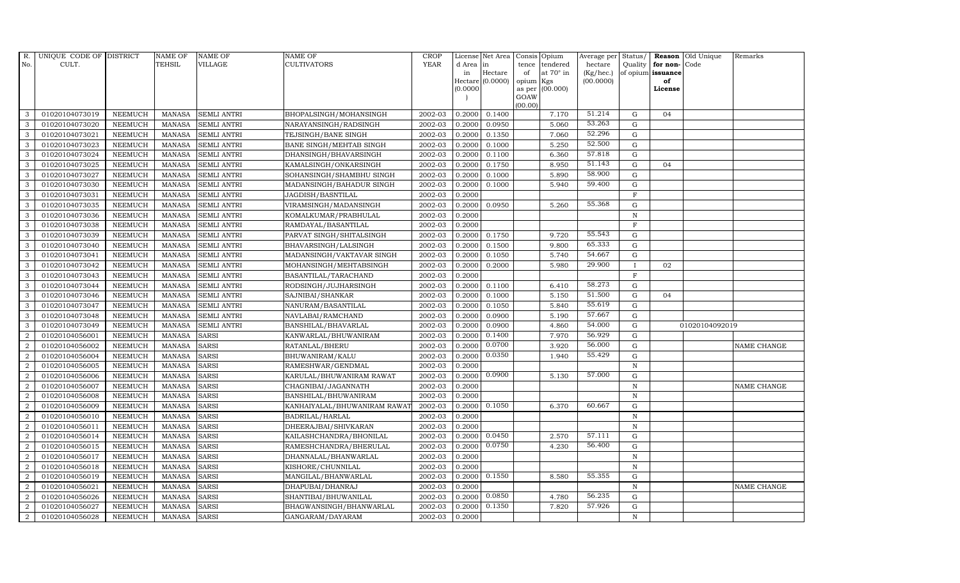| R.               | UNIQUE CODE OF DISTRICT |                | <b>NAME OF</b> | <b>NAME OF</b>     | <b>NAME OF</b>               | <b>CROP</b> |           | License Net Area | Consis          | Opium            | Average per | Status/      |                   | Reason Old Unique | Remarks     |
|------------------|-------------------------|----------------|----------------|--------------------|------------------------------|-------------|-----------|------------------|-----------------|------------------|-------------|--------------|-------------------|-------------------|-------------|
| No.              | CULT.                   |                | <b>TEHSIL</b>  | VILLAGE            | CULTIVATORS                  | <b>YEAR</b> | d Area in |                  | tence           | tendered         | hectare     | Quality      | for non-Code      |                   |             |
|                  |                         |                |                |                    |                              |             | in        | Hectare          | of              | at $70^\circ$ in | (Kg/hec.)   |              | of opium issuance |                   |             |
|                  |                         |                |                |                    |                              |             | (0.0000)  | Hectare (0.0000) | opium<br>as per | Kgs<br>(00.000)  | (00.0000)   |              | of<br>License     |                   |             |
|                  |                         |                |                |                    |                              |             |           |                  | GOAW            |                  |             |              |                   |                   |             |
|                  |                         |                |                |                    |                              |             |           |                  | (00.00)         |                  |             |              |                   |                   |             |
| 3                | 01020104073019          | <b>NEEMUCH</b> | <b>MANASA</b>  | <b>SEMLI ANTRI</b> | BHOPALSINGH/MOHANSINGH       | 2002-03     | 0.2000    | 0.1400           |                 | 7.170            | 51.214      | G            | 04                |                   |             |
| 3                | 01020104073020          | <b>NEEMUCH</b> | <b>MANASA</b>  | <b>SEMLI ANTRI</b> | NARAYANSINGH/RADSINGH        | 2002-03     | 0.2000    | 0.0950           |                 | 5.060            | 53.263      | G            |                   |                   |             |
| 3                | 01020104073021          | <b>NEEMUCH</b> | <b>MANASA</b>  | <b>SEMLI ANTRI</b> | TEJSINGH/BANE SINGH          | 2002-03     | 0.2000    | 0.1350           |                 | 7.060            | 52.296      | $\mathbf G$  |                   |                   |             |
| 3                | 01020104073023          | <b>NEEMUCH</b> | <b>MANASA</b>  | <b>SEMLI ANTRI</b> | BANE SINGH/MEHTAB SINGH      | 2002-03     | 0.2000    | 0.1000           |                 | 5.250            | 52.500      | $\mathbf G$  |                   |                   |             |
| 3                | 01020104073024          | <b>NEEMUCH</b> | <b>MANASA</b>  | <b>SEMLI ANTRI</b> | DHANSINGH/BHAVARSINGH        | 2002-03     | 0.2000    | 0.1100           |                 | 6.360            | 57.818      | $\mathbf G$  |                   |                   |             |
| 3                | 01020104073025          | <b>NEEMUCH</b> | <b>MANASA</b>  | <b>SEMLI ANTRI</b> | KAMALSINGH/ONKARSINGH        | 2002-03     | 0.2000    | 0.1750           |                 | 8.950            | 51.143      | G            | 04                |                   |             |
| 3                | 01020104073027          | <b>NEEMUCH</b> | <b>MANASA</b>  | <b>SEMLI ANTRI</b> | SOHANSINGH/SHAMBHU SINGH     | 2002-03     | 0.2000    | 0.1000           |                 | 5.890            | 58.900      | ${\rm G}$    |                   |                   |             |
| 3                | 01020104073030          | <b>NEEMUCH</b> | <b>MANASA</b>  | <b>SEMLI ANTRI</b> | MADANSINGH/BAHADUR SINGH     | 2002-03     | 0.2000    | 0.1000           |                 | 5.940            | 59.400      | G            |                   |                   |             |
| 3                | 01020104073031          | <b>NEEMUCH</b> | <b>MANASA</b>  | <b>SEMLI ANTRI</b> | JAGDISH/BASNTILAL            | 2002-03     | 0.2000    |                  |                 |                  |             | F            |                   |                   |             |
| 3                | 01020104073035          | <b>NEEMUCH</b> | <b>MANASA</b>  | <b>SEMLI ANTRI</b> | VIRAMSINGH/MADANSINGH        | 2002-03     | 0.2000    | 0.0950           |                 | 5.260            | 55.368      | $\mathbf G$  |                   |                   |             |
| 3                | 01020104073036          | <b>NEEMUCH</b> | <b>MANASA</b>  | <b>SEMLI ANTRI</b> | KOMALKUMAR/PRABHULAL         | 2002-03     | 0.2000    |                  |                 |                  |             | $\, {\rm N}$ |                   |                   |             |
| 3                | 01020104073038          | <b>NEEMUCH</b> | <b>MANASA</b>  | <b>SEMLI ANTRI</b> | RAMDAYAL/BASANTILAL          | 2002-03     | 0.2000    |                  |                 |                  |             | F            |                   |                   |             |
| 3                | 01020104073039          | <b>NEEMUCH</b> | <b>MANASA</b>  | <b>SEMLI ANTRI</b> | PARVAT SINGH/SHITALSINGH     | 2002-03     | 0.2000    | 0.1750           |                 | 9.720            | 55.543      | $\mathbf G$  |                   |                   |             |
| 3                | 01020104073040          | <b>NEEMUCH</b> | <b>MANASA</b>  | <b>SEMLI ANTRI</b> | BHAVARSINGH/LALSINGH         | 2002-03     | 0.2000    | 0.1500           |                 | 9.800            | 65.333      | G            |                   |                   |             |
| 3                | 01020104073041          | <b>NEEMUCH</b> | <b>MANASA</b>  | <b>SEMLI ANTRI</b> | MADANSINGH/VAKTAVAR SINGH    | 2002-03     | 0.2000    | 0.1050           |                 | 5.740            | 54.667      | $\mathbf G$  |                   |                   |             |
| 3                | 01020104073042          | <b>NEEMUCH</b> | <b>MANASA</b>  | <b>SEMLI ANTRI</b> | MOHANSINGH/MEHTABSINGH       | 2002-03     | 0.2000    | 0.2000           |                 | 5.980            | 29.900      | $\mathbf{I}$ | 02                |                   |             |
| 3                | 01020104073043          | <b>NEEMUCH</b> | <b>MANASA</b>  | <b>SEMLI ANTRI</b> | BASANTILAL/TARACHAND         | 2002-03     | 0.2000    |                  |                 |                  |             | $\mathbf{F}$ |                   |                   |             |
| $\mathbf{3}$     | 01020104073044          | <b>NEEMUCH</b> | <b>MANASA</b>  | <b>SEMLI ANTRI</b> | RODSINGH/JUJHARSINGH         | 2002-03     | 0.2000    | 0.1100           |                 | 6.410            | 58.273      | $\mathbf G$  |                   |                   |             |
| 3                | 01020104073046          | <b>NEEMUCH</b> | <b>MANASA</b>  | <b>SEMLI ANTRI</b> | SAJNIBAI/SHANKAR             | 2002-03     | 0.2000    | 0.1000           |                 | 5.150            | 51.500      | G            | 04                |                   |             |
| 3                | 01020104073047          | <b>NEEMUCH</b> | <b>MANASA</b>  | <b>SEMLI ANTRI</b> | NANURAM/BASANTILAL           | 2002-03     | 0.2000    | 0.1050           |                 | 5.840            | 55.619      | G            |                   |                   |             |
| 3                | 01020104073048          | <b>NEEMUCH</b> | <b>MANASA</b>  | <b>SEMLI ANTRI</b> | NAVLABAI/RAMCHAND            | 2002-03     | 0.2000    | 0.0900           |                 | 5.190            | 57.667      | G            |                   |                   |             |
| 3                | 01020104073049          | <b>NEEMUCH</b> | <b>MANASA</b>  | <b>SEMLI ANTRI</b> | BANSHILAL/BHAVARLAL          | 2002-03     | 0.2000    | 0.0900           |                 | 4.860            | 54.000      | G            |                   | 01020104092019    |             |
| $\overline{a}$   | 01020104056001          | <b>NEEMUCH</b> | <b>MANASA</b>  | <b>SARSI</b>       | KANWARLAL/BHUWANIRAM         | 2002-03     | 0.2000    | 0.1400           |                 | 7.970            | 56.929      | ${\rm G}$    |                   |                   |             |
| 2                | 01020104056002          | <b>NEEMUCH</b> | <b>MANASA</b>  | <b>SARSI</b>       | RATANLAL/BHERU               | 2002-03     | 0.2000    | 0.0700           |                 | 3.920            | 56.000      | $\mathbf G$  |                   |                   | NAME CHANGE |
| 2                | 01020104056004          | <b>NEEMUCH</b> | <b>MANASA</b>  | SARSI              | BHUWANIRAM/KALU              | 2002-03     | 0.2000    | 0.0350           |                 | 1.940            | 55.429      | G            |                   |                   |             |
| $\overline{a}$   | 01020104056005          | <b>NEEMUCH</b> | <b>MANASA</b>  | <b>SARSI</b>       | RAMESHWAR/GENDMAL            | 2002-03     | 0.2000    |                  |                 |                  |             | ${\bf N}$    |                   |                   |             |
| 2                | 01020104056006          | <b>NEEMUCH</b> | <b>MANASA</b>  | <b>SARSI</b>       | KARULAL/BHUWANIRAM RAWAT     | 2002-03     | 0.2000    | 0.0900           |                 | 5.130            | 57.000      | G            |                   |                   |             |
| 2                | 01020104056007          | <b>NEEMUCH</b> | <b>MANASA</b>  | <b>SARSI</b>       | CHAGNIBAI/JAGANNATH          | 2002-03     | 0.2000    |                  |                 |                  |             | $\mathbf N$  |                   |                   | NAME CHANGE |
| $\overline{a}$   | 01020104056008          | <b>NEEMUCH</b> | <b>MANASA</b>  | <b>SARSI</b>       | BANSHILAL/BHUWANIRAM         | 2002-03     | 0.2000    |                  |                 |                  |             | ${\bf N}$    |                   |                   |             |
| $\overline{2}$   | 01020104056009          | <b>NEEMUCH</b> | <b>MANASA</b>  | <b>SARSI</b>       | KANHAIYALAL/BHUWANIRAM RAWAT | 2002-03     | 0.2000    | 0.1050           |                 | 6.370            | 60.667      | $\mathbf G$  |                   |                   |             |
| $\boldsymbol{2}$ | 01020104056010          | <b>NEEMUCH</b> | <b>MANASA</b>  | <b>SARSI</b>       | BADRILAL/HARLAL              | 2002-03     | 0.2000    |                  |                 |                  |             | $\, {\rm N}$ |                   |                   |             |
| $\overline{2}$   | 01020104056011          | <b>NEEMUCH</b> | <b>MANASA</b>  | <b>SARSI</b>       | DHEERAJBAI/SHIVKARAN         | 2002-03     | 0.2000    |                  |                 |                  |             | $\, {\rm N}$ |                   |                   |             |
| 2                | 01020104056014          | <b>NEEMUCH</b> | <b>MANASA</b>  | <b>SARSI</b>       | KAILASHCHANDRA/BHONILAL      | 2002-03     | 0.2000    | 0.0450           |                 | 2.570            | 57.111      | G            |                   |                   |             |
| $\overline{2}$   | 01020104056015          | <b>NEEMUCH</b> | <b>MANASA</b>  | <b>SARSI</b>       | RAMESHCHANDRA/BHERULAL       | 2002-03     | 0.2000    | 0.0750           |                 | 4.230            | 56.400      | $\mathbf G$  |                   |                   |             |
| 2                | 01020104056017          | <b>NEEMUCH</b> | <b>MANASA</b>  | <b>SARSI</b>       | DHANNALAL/BHANWARLAL         | 2002-03     | 0.2000    |                  |                 |                  |             | $\, {\rm N}$ |                   |                   |             |
| $\overline{2}$   | 01020104056018          | <b>NEEMUCH</b> | <b>MANASA</b>  | <b>SARSI</b>       | KISHORE/CHUNNILAL            | 2002-03     | 0.2000    |                  |                 |                  |             | $\mathbf N$  |                   |                   |             |
| 2                | 01020104056019          | <b>NEEMUCH</b> | <b>MANASA</b>  | <b>SARSI</b>       | MANGILAL/BHANWARLAL          | 2002-03     | 0.2000    | 0.1550           |                 | 8.580            | 55.355      | G            |                   |                   |             |
| $\overline{a}$   | 01020104056021          | <b>NEEMUCH</b> | <b>MANASA</b>  | <b>SARSI</b>       | DHAPUBAI/DHANRAJ             | 2002-03     | 0.2000    |                  |                 |                  |             | $\, {\rm N}$ |                   |                   | NAME CHANGE |
| $\overline{2}$   | 01020104056026          | <b>NEEMUCH</b> | <b>MANASA</b>  | <b>SARSI</b>       | SHANTIBAI/BHUWANILAL         | 2002-03     | 0.2000    | 0.0850           |                 | 4.780            | 56.235      | $\mathbf G$  |                   |                   |             |
| 2                | 01020104056027          | <b>NEEMUCH</b> | <b>MANASA</b>  | <b>SARSI</b>       | BHAGWANSINGH/BHANWARLAL      | 2002-03     | 0.2000    | 0.1350           |                 | 7.820            | 57.926      | $\mathbf G$  |                   |                   |             |
| $\overline{a}$   | 01020104056028          | <b>NEEMUCH</b> | MANASA         | <b>SARSI</b>       | GANGARAM/DAYARAM             | 2002-03     | 0.2000    |                  |                 |                  |             | $\mathbf N$  |                   |                   |             |
|                  |                         |                |                |                    |                              |             |           |                  |                 |                  |             |              |                   |                   |             |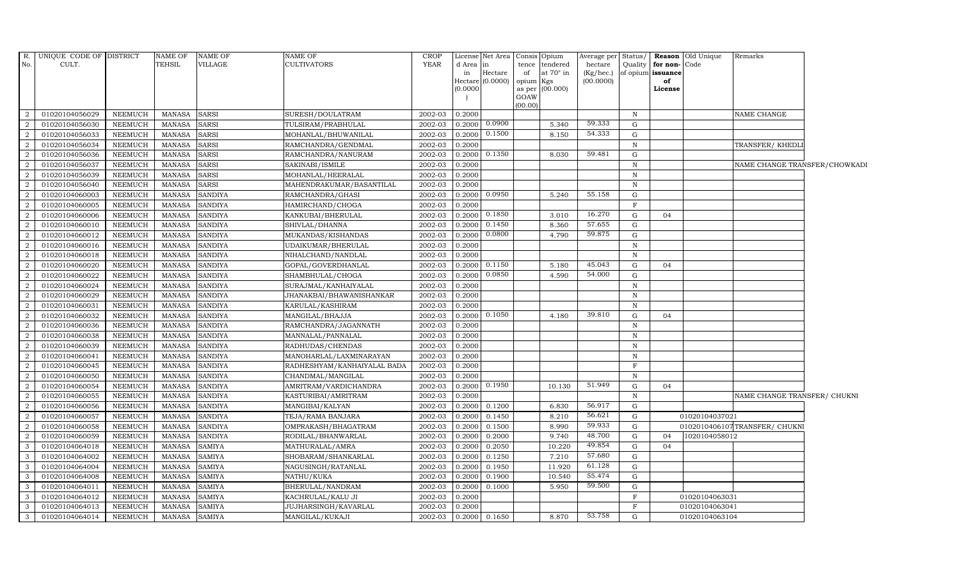| $R_{\cdot}$<br>No. | UNIQUE CODE OF DISTRICT<br>CULT. |                | <b>NAME OF</b><br>TEHSIL | <b>NAME OF</b><br>VILLAGE | NAME OF<br>CULTIVATORS      | CROP<br><b>YEAR</b> | d Area   | License Net Area<br>in |           | Consis Opium<br>tence tendered | Average per<br>hectare | Status/<br>Quality | for non-Code      | <b>Reason</b> Old Unique | Remarks                       |  |
|--------------------|----------------------------------|----------------|--------------------------|---------------------------|-----------------------------|---------------------|----------|------------------------|-----------|--------------------------------|------------------------|--------------------|-------------------|--------------------------|-------------------------------|--|
|                    |                                  |                |                          |                           |                             |                     | in       | Hectare                | of        | at $70^\circ$ in               | (Kg/hec.)              |                    | of opium issuance |                          |                               |  |
|                    |                                  |                |                          |                           |                             |                     | Hectare  | (0.0000)               | opium Kgs |                                | (00.0000)              |                    | of                |                          |                               |  |
|                    |                                  |                |                          |                           |                             |                     | (0.0000) |                        | GOAW      | as per (00.000)                |                        |                    | License           |                          |                               |  |
|                    |                                  |                |                          |                           |                             |                     |          |                        | (00.00)   |                                |                        |                    |                   |                          |                               |  |
| 2                  | 01020104056029                   | NEEMUCH        | <b>MANASA</b>            | <b>SARSI</b>              | SURESH/DOULATRAM            | 2002-03             | 0.2000   |                        |           |                                |                        | $\mathbf N$        |                   |                          | NAME CHANGE                   |  |
| $\overline{2}$     | 01020104056030                   | <b>NEEMUCH</b> | <b>MANASA</b>            | <b>SARSI</b>              | TULSIRAM/PRABHULAL          | 2002-03             | 0.2000   | 0.0900                 |           | 5.340                          | 59.333                 | G                  |                   |                          |                               |  |
| $\overline{2}$     | 01020104056033                   | <b>NEEMUCH</b> | <b>MANASA</b>            | <b>SARSI</b>              | MOHANLAL/BHUWANILAL         | 2002-03             | 0.2000   | 0.1500                 |           | 8.150                          | 54.333                 | G                  |                   |                          |                               |  |
| $\overline{2}$     | 01020104056034                   | <b>NEEMUCH</b> | <b>MANASA</b>            | <b>SARSI</b>              | RAMCHANDRA/GENDMAL          | 2002-03             | 0.2000   |                        |           |                                |                        | $\mathbb N$        |                   |                          | TRANSFER/ KHEDLI              |  |
| $\overline{2}$     | 01020104056036                   | <b>NEEMUCH</b> | <b>MANASA</b>            | <b>SARSI</b>              | RAMCHANDRA/NANURAM          | 2002-03             | 0.2000   | 0.1350                 |           | 8.030                          | 59.481                 | $\mathbf G$        |                   |                          |                               |  |
| 2                  | 01020104056037                   | <b>NEEMUCH</b> | <b>MANASA</b>            | <b>SARSI</b>              | SAKINABI/ISMILE             | 2002-03             | 0.2000   |                        |           |                                |                        | $\, {\bf N}$       |                   |                          | NAME CHANGE TRANSFER/CHOWKADI |  |
| $\overline{2}$     | 01020104056039                   | <b>NEEMUCH</b> | <b>MANASA</b>            | <b>SARSI</b>              | MOHANLAL/HEERALAL           | 2002-03             | 0.2000   |                        |           |                                |                        | N                  |                   |                          |                               |  |
| $\overline{2}$     | 01020104056040                   | <b>NEEMUCH</b> | <b>MANASA</b>            | <b>SARSI</b>              | MAHENDRAKUMAR/BASANTILAL    | 2002-03             | 0.2000   |                        |           |                                |                        | $\mathbb N$        |                   |                          |                               |  |
| 2                  | 01020104060003                   | <b>NEEMUCH</b> | <b>MANASA</b>            | <b>SANDIYA</b>            | RAMCHANDRA/GHASI            | 2002-03             | 0.2000   | 0.0950                 |           | 5.240                          | 55.158                 | G                  |                   |                          |                               |  |
| $\overline{2}$     | 01020104060005                   | <b>NEEMUCH</b> | <b>MANASA</b>            | <b>SANDIYA</b>            | HAMIRCHAND/CHOGA            | 2002-03             | 0.2000   |                        |           |                                |                        | $\mathbf F$        |                   |                          |                               |  |
| 2                  | 01020104060006                   | <b>NEEMUCH</b> | <b>MANASA</b>            | <b>SANDIYA</b>            | KANKUBAI/BHERULAL           | 2002-03             | 0.2000   | 0.1850                 |           | 3.010                          | 16.270                 | G                  | 04                |                          |                               |  |
| $\overline{2}$     | 01020104060010                   | <b>NEEMUCH</b> | <b>MANASA</b>            | <b>SANDIYA</b>            | SHIVLAL/DHANNA              | 2002-03             | 0.2000   | 0.1450                 |           | 8.360                          | 57.655                 | G                  |                   |                          |                               |  |
| -2                 | 01020104060012                   | <b>NEEMUCH</b> | <b>MANASA</b>            | <b>SANDIYA</b>            | MUKANDAS/KISHANDAS          | 2002-03             | 0.2000   | 0.0800                 |           | 4.790                          | 59.875                 | G                  |                   |                          |                               |  |
| $\overline{2}$     | 01020104060016                   | <b>NEEMUCH</b> | <b>MANASA</b>            | <b>SANDIYA</b>            | UDAIKUMAR/BHERULAL          | 2002-03             | 0.2000   |                        |           |                                |                        | $\mathbf N$        |                   |                          |                               |  |
| $\overline{2}$     | 01020104060018                   | <b>NEEMUCH</b> | <b>MANASA</b>            | <b>SANDIYA</b>            | NIHALCHAND/NANDLAL          | 2002-03             | 0.2000   |                        |           |                                |                        | $\, {\rm N}$       |                   |                          |                               |  |
| 2                  | 01020104060020                   | <b>NEEMUCH</b> | <b>MANASA</b>            | <b>SANDIYA</b>            | GOPAL/GOVERDHANLAL          | 2002-03             | 0.2000   | 0.1150                 |           | 5.180                          | 45.043                 | G                  | 04                |                          |                               |  |
| 2                  | 01020104060022                   | <b>NEEMUCH</b> | <b>MANASA</b>            | <b>SANDIYA</b>            | SHAMBHULAL/CHOGA            | 2002-03             | 0.2000   | 0.0850                 |           | 4.590                          | 54.000                 | $\mathbf G$        |                   |                          |                               |  |
| $\overline{a}$     | 01020104060024                   | <b>NEEMUCH</b> | <b>MANASA</b>            | <b>SANDIYA</b>            | SURAJMAL/KANHAIYALAL        | 2002-03             | 0.2000   |                        |           |                                |                        | $\mathbb N$        |                   |                          |                               |  |
| $\overline{2}$     | 01020104060029                   | <b>NEEMUCH</b> | <b>MANASA</b>            | <b>SANDIYA</b>            | JHANAKBAI/BHAWANISHANKAR    | 2002-03             | 0.2000   |                        |           |                                |                        | N                  |                   |                          |                               |  |
| $\overline{2}$     | 01020104060031                   | <b>NEEMUCH</b> | <b>MANASA</b>            | <b>SANDIYA</b>            | KARULAL/KASHIRAM            | 2002-03             | 0.2000   |                        |           |                                |                        | $\, {\rm N}$       |                   |                          |                               |  |
| 2                  | 01020104060032                   | NEEMUCH        | <b>MANASA</b>            | <b>SANDIYA</b>            | MANGILAL/BHAJJA             | 2002-03             |          | $0.2000 \mid 0.1050$   |           | 4.180                          | 39.810                 | G                  | 04                |                          |                               |  |
| 2                  | 01020104060036                   | <b>NEEMUCH</b> | <b>MANASA</b>            | <b>SANDIYA</b>            | RAMCHANDRA/JAGANNATH        | 2002-03             | 0.2000   |                        |           |                                |                        | $\, {\bf N}$       |                   |                          |                               |  |
| $\overline{2}$     | 01020104060038                   | <b>NEEMUCH</b> | <b>MANASA</b>            | <b>SANDIYA</b>            | MANNALAL/PANNALAL           | 2002-03             | 0.2000   |                        |           |                                |                        | $\mathbb N$        |                   |                          |                               |  |
| <sup>2</sup>       | 01020104060039                   | <b>NEEMUCH</b> | <b>MANASA</b>            | <b>SANDIYA</b>            | RADHUDAS/CHENDAS            | 2002-03             | 0.2000   |                        |           |                                |                        | $\mathbf N$        |                   |                          |                               |  |
| $\overline{2}$     | 01020104060041                   | <b>NEEMUCH</b> | <b>MANASA</b>            | <b>SANDIYA</b>            | MANOHARLAL/LAXMINARAYAN     | 2002-03             | 0.2000   |                        |           |                                |                        | ${\bf N}$          |                   |                          |                               |  |
| $\overline{a}$     | 01020104060045                   | <b>NEEMUCH</b> | <b>MANASA</b>            | <b>SANDIYA</b>            | RADHESHYAM/KANHAIYALAL BADA | 2002-03             | 0.2000   |                        |           |                                |                        | $\mathbf{F}$       |                   |                          |                               |  |
| 2                  | 01020104060050                   | <b>NEEMUCH</b> | <b>MANASA</b>            | <b>SANDIYA</b>            | CHANDMAL/MANGILAL           | 2002-03             | 0.2000   |                        |           |                                |                        | N                  |                   |                          |                               |  |
| $\overline{2}$     | 01020104060054                   | <b>NEEMUCH</b> | <b>MANASA</b>            | <b>SANDIYA</b>            | AMRITRAM/VARDICHANDRA       | 2002-03             | 0.2000   | 0.1950                 |           | 10.130                         | 51.949                 | G                  | 04                |                          |                               |  |
| $\overline{2}$     | 01020104060055                   | <b>NEEMUCH</b> | <b>MANASA</b>            | <b>SANDIYA</b>            | KASTURIBAI/AMRITRAM         | 2002-03             | 0.2000   |                        |           |                                |                        | $\, {\bf N}$       |                   |                          | NAME CHANGE TRANSFER/ CHUKNI  |  |
| $\overline{2}$     | 01020104060056                   | <b>NEEMUCH</b> | <b>MANASA</b>            | <b>SANDIYA</b>            | MANGIBAI/KALYAN             | 2002-03             | 0.2000   | 0.1200                 |           | 6.830                          | 56.917                 | G                  |                   |                          |                               |  |
| $\overline{2}$     | 01020104060057                   | <b>NEEMUCH</b> | <b>MANASA</b>            | <b>SANDIYA</b>            | TEJA/RAMA BANJARA           | 2002-03             | 0.2000   | 0.1450                 |           | 8.210                          | 56.621                 | $\mathbf G$        |                   | 01020104037021           |                               |  |
| 2                  | 01020104060058                   | <b>NEEMUCH</b> | <b>MANASA</b>            | <b>SANDIYA</b>            | OMPRAKASH/BHAGATRAM         | 2002-03             | 0.2000   | 0.1500                 |           | 8.990                          | 59.933                 | $\mathbf G$        |                   |                          | 0102010406107TRANSFER/ CHUKNI |  |
| $\overline{2}$     | 01020104060059                   | <b>NEEMUCH</b> | <b>MANASA</b>            | <b>SANDIYA</b>            | RODILAL/BHANWARLAL          | 2002-03             | 0.2000   | 0.2000                 |           | 9.740                          | 48.700                 | G                  | 04                | 1020104058012            |                               |  |
| 3                  | 01020104064018                   | <b>NEEMUCH</b> | <b>MANASA</b>            | <b>SAMIYA</b>             | MATHURALAL/AMRA             | 2002-03             | 0.2000   | 0.2050                 |           | 10.220                         | 49.854                 | $\mathbf G$        | 04                |                          |                               |  |
| 3                  | 01020104064002                   | <b>NEEMUCH</b> | <b>MANASA</b>            | <b>SAMIYA</b>             | SHOBARAM/SHANKARLAL         | 2002-03             | 0.2000   | 0.1250                 |           | 7.210                          | 57.680                 | G                  |                   |                          |                               |  |
| 3                  | 01020104064004                   | <b>NEEMUCH</b> | <b>MANASA</b>            | <b>SAMIYA</b>             | NAGUSINGH/RATANLAL          | 2002-03             | 0.2000   | 0.1950                 |           | 11.920                         | 61.128                 | G                  |                   |                          |                               |  |
| $\mathbf{3}$       | 01020104064008                   | <b>NEEMUCH</b> | <b>MANASA</b>            | <b>SAMIYA</b>             | NATHU/KUKA                  | 2002-03             | 0.2000   | 0.1900                 |           | 10.540                         | 55.474                 | $\mathbf G$        |                   |                          |                               |  |
| $\mathbf{3}$       | 01020104064011                   | <b>NEEMUCH</b> | <b>MANASA</b>            | <b>SAMIYA</b>             | BHERULAL/NANDRAM            | 2002-03             | 0.2000   | 0.1000                 |           | 5.950                          | 59.500                 | G                  |                   |                          |                               |  |
| 3                  | 01020104064012                   | <b>NEEMUCH</b> | <b>MANASA</b>            | <b>SAMIYA</b>             | KACHRULAL/KALU JI           | 2002-03             | 0.2000   |                        |           |                                |                        | $_{\rm F}$         |                   | 01020104063031           |                               |  |
| 3                  | 01020104064013                   | <b>NEEMUCH</b> | <b>MANASA</b>            | <b>SAMIYA</b>             | <b>JUJHARSINGH/KAVARLAL</b> | 2002-03             | 0.2000   |                        |           |                                |                        | $\mathbf F$        |                   | 01020104063041           |                               |  |
| 3                  | 01020104064014                   | <b>NEEMUCH</b> | <b>MANASA</b>            | <b>SAMIYA</b>             | MANGILAL/KUKAJI             | 2002-03             |          | $0.2000$ 0.1650        |           | 8.870                          | 53.758                 | G                  |                   | 01020104063104           |                               |  |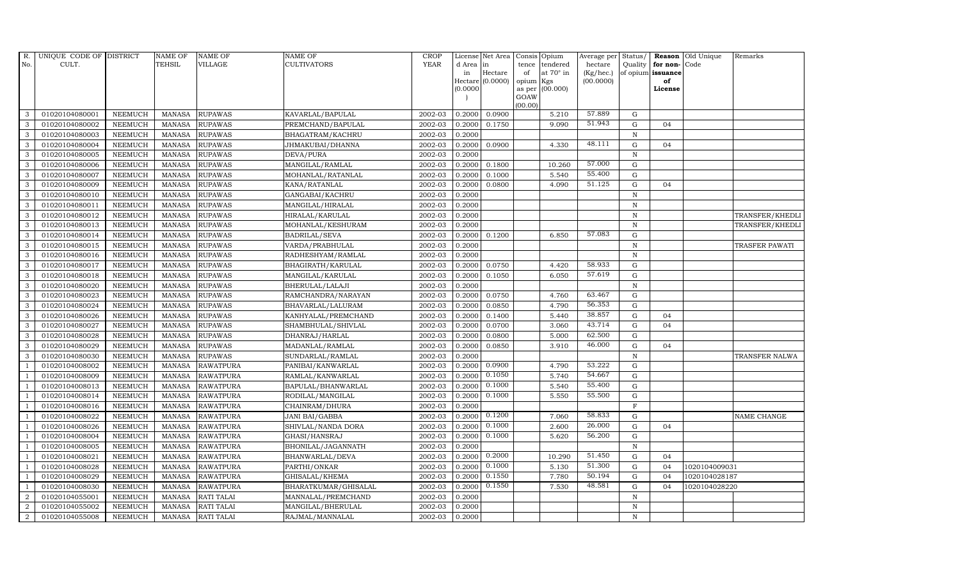| R.             | UNIQUE CODE OF DISTRICT |                | <b>NAME OF</b> | <b>NAME OF</b>    | <b>NAME OF</b>       | CROP        |           | License Net Area Consis Opium |           |                  | Average per | Status/      | Reason            | Old Unique    | Remarks         |
|----------------|-------------------------|----------------|----------------|-------------------|----------------------|-------------|-----------|-------------------------------|-----------|------------------|-------------|--------------|-------------------|---------------|-----------------|
| No.            | CULT.                   |                | <b>TEHSIL</b>  | <b>VILLAGE</b>    | <b>CULTIVATORS</b>   | <b>YEAR</b> | d Area in |                               |           | tence tendered   | hectare     | Quality      | for non-          | Code          |                 |
|                |                         |                |                |                   |                      |             | in        | Hectare                       | of        | at $70^\circ$ in | (Kg/hec.)   |              | of opium issuance |               |                 |
|                |                         |                |                |                   |                      |             |           | Hectare (0.0000)              | opium Kgs |                  | (00.0000)   |              | of                |               |                 |
|                |                         |                |                |                   |                      |             | (0.0000)  |                               | GOAW      | as per (00.000)  |             |              | License           |               |                 |
|                |                         |                |                |                   |                      |             |           |                               | (00.00)   |                  |             |              |                   |               |                 |
| 3              | 01020104080001          | <b>NEEMUCH</b> | MANASA         | <b>RUPAWAS</b>    | KAVARLAL/BAPULAL     | 2002-03     | 0.2000    | 0.0900                        |           | 5.210            | 57.889      | G            |                   |               |                 |
| 3              | 01020104080002          | <b>NEEMUCH</b> | <b>MANASA</b>  | <b>RUPAWAS</b>    | PREMCHAND/BAPULAL    | 2002-03     | 0.2000    | 0.1750                        |           | 9.090            | 51.943      | $\mathbf G$  | 04                |               |                 |
| 3              | 01020104080003          | <b>NEEMUCH</b> | <b>MANASA</b>  | <b>RUPAWAS</b>    | BHAGATRAM/KACHRU     | 2002-03     | 0.2000    |                               |           |                  |             | $\,$ N       |                   |               |                 |
| 3              | 01020104080004          | <b>NEEMUCH</b> | <b>MANASA</b>  | <b>RUPAWAS</b>    | JHMAKUBAI/DHANNA     | 2002-03     | 0.2000    | 0.0900                        |           | 4.330            | 48.111      | $\mathbf G$  | 04                |               |                 |
| 3              | 01020104080005          | <b>NEEMUCH</b> | <b>MANASA</b>  | <b>RUPAWAS</b>    | DEVA/PURA            | 2002-03     | 0.2000    |                               |           |                  |             | ${\bf N}$    |                   |               |                 |
| $\mathbf{3}$   | 01020104080006          | <b>NEEMUCH</b> | MANASA         | <b>RUPAWAS</b>    | MANGILAL/RAMLAL      | 2002-03     | 0.2000    | 0.1800                        |           | 10.260           | 57.000      | $\mathbf G$  |                   |               |                 |
| 3              | 01020104080007          | <b>NEEMUCH</b> | <b>MANASA</b>  | <b>RUPAWAS</b>    | MOHANLAL/RATANLAL    | 2002-03     | 0.2000    | 0.1000                        |           | 5.540            | 55.400      | $\mathbf G$  |                   |               |                 |
| 3              | 01020104080009          | <b>NEEMUCH</b> | <b>MANASA</b>  | <b>RUPAWAS</b>    | KANA/RATANLAL        | 2002-03     | 0.2000    | 0.0800                        |           | 4.090            | 51.125      | $\mathbf G$  | 04                |               |                 |
| 3              | 01020104080010          | <b>NEEMUCH</b> | <b>MANASA</b>  | <b>RUPAWAS</b>    | GANGABAI/KACHRU      | 2002-03     | 0.2000    |                               |           |                  |             | $\mathbb N$  |                   |               |                 |
| 3              | 01020104080011          | <b>NEEMUCH</b> | <b>MANASA</b>  | <b>RUPAWAS</b>    | MANGILAL/HIRALAL     | 2002-03     | 0.2000    |                               |           |                  |             | $\,$ N       |                   |               |                 |
| 3              | 01020104080012          | <b>NEEMUCH</b> | <b>MANASA</b>  | <b>RUPAWAS</b>    | HIRALAL/KARULAL      | 2002-03     | 0.2000    |                               |           |                  |             | $\,$ N       |                   |               | TRANSFER/KHEDLI |
| 3              | 01020104080013          | <b>NEEMUCH</b> | <b>MANASA</b>  | <b>RUPAWAS</b>    | MOHANLAL/KESHURAM    | 2002-03     | 0.2000    |                               |           |                  |             | $\mathbb N$  |                   |               | TRANSFER/KHEDLI |
| 3              | 01020104080014          | <b>NEEMUCH</b> | <b>MANASA</b>  | <b>RUPAWAS</b>    | <b>BADRILAL/SEVA</b> | 2002-03     | 0.2000    | 0.1200                        |           | 6.850            | 57.083      | $\mathbf G$  |                   |               |                 |
| 3              | 01020104080015          | <b>NEEMUCH</b> | <b>MANASA</b>  | <b>RUPAWAS</b>    | VARDA/PRABHULAL      | 2002-03     | 0.2000    |                               |           |                  |             | $\mathbb N$  |                   |               | TRASFER PAWATI  |
| 3              | 01020104080016          | <b>NEEMUCH</b> | <b>MANASA</b>  | <b>RUPAWAS</b>    | RADHESHYAM/RAMLAL    | 2002-03     | 0.2000    |                               |           |                  |             | $\mathbf N$  |                   |               |                 |
| 3              | 01020104080017          | <b>NEEMUCH</b> | <b>MANASA</b>  | <b>RUPAWAS</b>    | BHAGIRATH/KARULAL    | 2002-03     | 0.2000    | 0.0750                        |           | 4.420            | 58.933      | ${\rm G}$    |                   |               |                 |
| 3              | 01020104080018          | <b>NEEMUCH</b> | <b>MANASA</b>  | <b>RUPAWAS</b>    | MANGILAL/KARULAL     | 2002-03     | 0.2000    | 0.1050                        |           | 6.050            | 57.619      | ${\rm G}$    |                   |               |                 |
| $\mathbf{3}$   | 01020104080020          | <b>NEEMUCH</b> | <b>MANASA</b>  | <b>RUPAWAS</b>    | BHERULAL/LALAJI      | 2002-03     | 0.2000    |                               |           |                  |             | $\, {\rm N}$ |                   |               |                 |
| 3              | 01020104080023          | <b>NEEMUCH</b> | <b>MANASA</b>  | <b>RUPAWAS</b>    | RAMCHANDRA/NARAYAN   | 2002-03     | 0.2000    | 0.0750                        |           | 4.760            | 63.467      | $\mathbf G$  |                   |               |                 |
| 3              | 01020104080024          | <b>NEEMUCH</b> | <b>MANASA</b>  | <b>RUPAWAS</b>    | BHAVARLAL/LALURAM    | 2002-03     | 0.2000    | 0.0850                        |           | 4.790            | 56.353      | $\mathbf G$  |                   |               |                 |
| $\mathbf{3}$   | 01020104080026          | <b>NEEMUCH</b> | <b>MANASA</b>  | <b>RUPAWAS</b>    | KANHYALAL/PREMCHAND  | 2002-03     | 0.2000    | 0.1400                        |           | 5.440            | 38.857      | ${\rm G}$    | 04                |               |                 |
| 3              | 01020104080027          | <b>NEEMUCH</b> | <b>MANASA</b>  | <b>RUPAWAS</b>    | SHAMBHULAL/SHIVLAL   | 2002-03     | 0.2000    | 0.0700                        |           | 3.060            | 43.714      | ${\rm G}$    | 04                |               |                 |
| $\mathbf{3}$   | 01020104080028          | <b>NEEMUCH</b> | <b>MANASA</b>  | <b>RUPAWAS</b>    | DHANRAJ/HARLAL       | 2002-03     | 0.2000    | 0.0800                        |           | 5.000            | 62.500      | $\mathbf G$  |                   |               |                 |
| 3              | 01020104080029          | <b>NEEMUCH</b> | <b>MANASA</b>  | <b>RUPAWAS</b>    | MADANLAL/RAMLAL      | 2002-03     | 0.2000    | 0.0850                        |           | 3.910            | 46.000      | $\mathbf G$  | 04                |               |                 |
| 3              | 01020104080030          | <b>NEEMUCH</b> | <b>MANASA</b>  | <b>RUPAWAS</b>    | SUNDARLAL/RAMLAL     | 2002-03     | 0.2000    |                               |           |                  |             | ${\bf N}$    |                   |               | TRANSFER NALWA  |
| $\overline{1}$ | 01020104008002          | <b>NEEMUCH</b> | <b>MANASA</b>  | <b>RAWATPURA</b>  | PANIBAI/KANWARLAL    | 2002-03     | 0.2000    | 0.0900                        |           | 4.790            | 53.222      | G            |                   |               |                 |
| $\overline{1}$ | 01020104008009          | <b>NEEMUCH</b> | <b>MANASA</b>  | <b>RAWATPURA</b>  | RAMLAL/KANWARLAL     | 2002-03     | 0.2000    | 0.1050                        |           | 5.740            | 54.667      | ${\rm G}$    |                   |               |                 |
| $\overline{1}$ | 01020104008013          | <b>NEEMUCH</b> | MANASA         | <b>RAWATPURA</b>  | BAPULAL/BHANWARLAL   | 2002-03     | 0.2000    | 0.1000                        |           | 5.540            | 55.400      | $\mathbf G$  |                   |               |                 |
| $\overline{1}$ | 01020104008014          | <b>NEEMUCH</b> | <b>MANASA</b>  | <b>RAWATPURA</b>  | RODILAL/MANGILAL     | 2002-03     | 0.2000    | 0.1000                        |           | 5.550            | 55.500      | $\mathbf G$  |                   |               |                 |
|                | 01020104008016          | <b>NEEMUCH</b> | <b>MANASA</b>  | <b>RAWATPURA</b>  | CHAINRAM/DHURA       | 2002-03     | 0.2000    |                               |           |                  |             | $\mathbf F$  |                   |               |                 |
| $\overline{1}$ | 01020104008022          | <b>NEEMUCH</b> | <b>MANASA</b>  | <b>RAWATPURA</b>  | JANI BAI/GABBA       | 2002-03     | 0.2000    | 0.1200                        |           | 7.060            | 58.833      | G            |                   |               | NAME CHANGE     |
|                | 01020104008026          | <b>NEEMUCH</b> | <b>MANASA</b>  | <b>RAWATPURA</b>  | SHIVLAL/NANDA DORA   | 2002-03     | 0.2000    | 0.1000                        |           | 2.600            | 26.000      | ${\rm G}$    | 04                |               |                 |
| $\overline{1}$ | 01020104008004          | <b>NEEMUCH</b> | <b>MANASA</b>  | <b>RAWATPURA</b>  | GHASI/HANSRAJ        | 2002-03     | 0.2000    | 0.1000                        |           | 5.620            | 56.200      | ${\bf G}$    |                   |               |                 |
| $\mathbf{1}$   | 01020104008005          | <b>NEEMUCH</b> | <b>MANASA</b>  | <b>RAWATPURA</b>  | BHONILAL/JAGANNATH   | 2002-03     | 0.2000    |                               |           |                  |             | $\, {\rm N}$ |                   |               |                 |
|                | 01020104008021          | <b>NEEMUCH</b> | <b>MANASA</b>  | <b>RAWATPURA</b>  | BHANWARLAL/DEVA      | 2002-03     | 0.2000    | 0.2000                        |           | 10.290           | 51.450      | $\mathbf G$  | 04                |               |                 |
| $\overline{1}$ | 01020104008028          | <b>NEEMUCH</b> | <b>MANASA</b>  | <b>RAWATPURA</b>  | PARTHI/ONKAR         | 2002-03     | 0.2000    | 0.1000                        |           | 5.130            | 51.300      | $\mathbf G$  | 04                | 1020104009031 |                 |
|                | 01020104008029          | <b>NEEMUCH</b> | <b>MANASA</b>  | <b>RAWATPURA</b>  | GHISALAL/KHEMA       | 2002-03     | 0.2000    | 0.1550                        |           | 7.780            | 50.194      | $\mathbf G$  | 04                | 1020104028187 |                 |
| $\overline{1}$ | 01020104008030          | <b>NEEMUCH</b> | <b>MANASA</b>  | <b>RAWATPURA</b>  | BHARATKUMAR/GHISALAL | 2002-03     | 0.2000    | 0.1550                        |           | 7.530            | 48.581      | ${\rm G}$    | 04                | 1020104028220 |                 |
| $\overline{2}$ | 01020104055001          | <b>NEEMUCH</b> | <b>MANASA</b>  | <b>RATI TALAI</b> | MANNALAL/PREMCHAND   | 2002-03     | 0.2000    |                               |           |                  |             | $\mathbb N$  |                   |               |                 |
| 2              | 01020104055002          | <b>NEEMUCH</b> | <b>MANASA</b>  | <b>RATI TALAI</b> | MANGILAL/BHERULAL    | 2002-03     | 0.2000    |                               |           |                  |             | $\, {\rm N}$ |                   |               |                 |
| $\overline{a}$ | 01020104055008          | <b>NEEMUCH</b> |                | MANASA RATI TALAI | RAJMAL/MANNALAL      | 2002-03     | 0.2000    |                               |           |                  |             | $\, {\rm N}$ |                   |               |                 |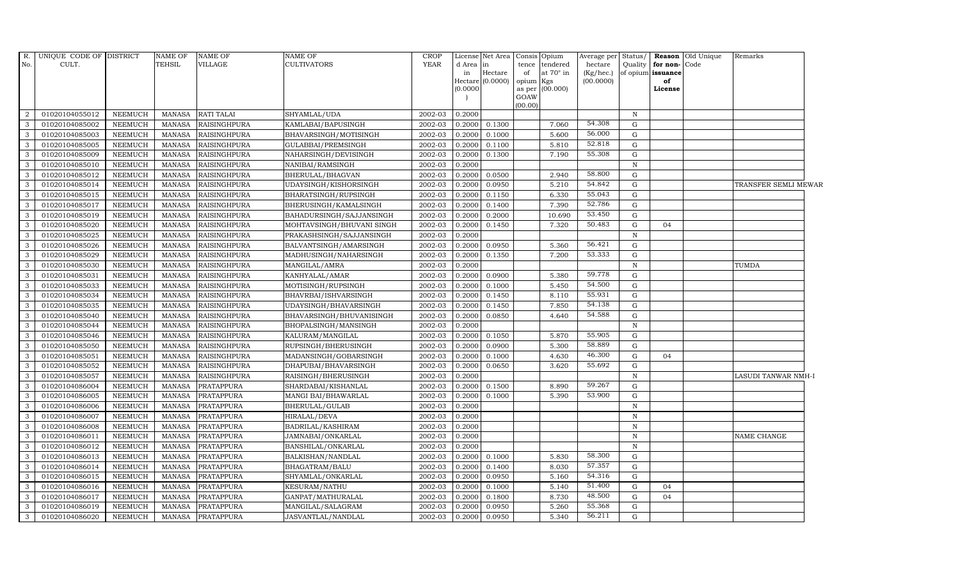| R.             | UNIQUE CODE OF DISTRICT |                | <b>NAME OF</b> | NAME OF             | NAME OF                   | <b>CROP</b> |               | License Net Area    | Consis                            | Opium                   | Average per            | Status/      |                         | Reason Old Unique | Remarks              |
|----------------|-------------------------|----------------|----------------|---------------------|---------------------------|-------------|---------------|---------------------|-----------------------------------|-------------------------|------------------------|--------------|-------------------------|-------------------|----------------------|
| No.            | CULT.                   |                | <b>TEHSIL</b>  | VILLAGE             | <b>CULTIVATORS</b>        | <b>YEAR</b> | d Area        | in                  | tence                             | tendered                | hectare                |              | Quality for non-Code    |                   |                      |
|                |                         |                |                |                     |                           |             | in<br>Hectare | Hectare<br>(0.0000) | of<br>$\ensuremath{\text{opium}}$ | at $70^\circ$ in<br>Kgs | (Kg/hec.)<br>(00.0000) |              | of opium issuance<br>of |                   |                      |
|                |                         |                |                |                     |                           |             | (0.0000)      |                     | as per                            | (00.000)                |                        |              | License                 |                   |                      |
|                |                         |                |                |                     |                           |             |               |                     | GOAW                              |                         |                        |              |                         |                   |                      |
|                |                         |                |                |                     |                           |             |               |                     | (00.00)                           |                         |                        |              |                         |                   |                      |
| $\overline{2}$ | 01020104055012          | <b>NEEMUCH</b> | <b>MANASA</b>  | <b>RATI TALAI</b>   | SHYAMLAL/UDA              | 2002-03     | 0.2000        |                     |                                   |                         |                        | $\, {\rm N}$ |                         |                   |                      |
| 3              | 01020104085002          | <b>NEEMUCH</b> | <b>MANASA</b>  | <b>RAISINGHPURA</b> | KAMLABAI/BAPUSINGH        | 2002-03     | 0.2000        | 0.1300              |                                   | 7.060                   | 54.308                 | G            |                         |                   |                      |
| $\mathbf{3}$   | 01020104085003          | <b>NEEMUCH</b> | <b>MANASA</b>  | <b>RAISINGHPURA</b> | BHAVARSINGH/MOTISINGH     | 2002-03     | 0.2000        | 0.1000              |                                   | 5.600                   | 56.000                 | G            |                         |                   |                      |
| 3              | 01020104085005          | <b>NEEMUCH</b> | <b>MANASA</b>  | <b>RAISINGHPURA</b> | GULABBAI/PREMSINGH        | 2002-03     | 0.2000        | 0.1100              |                                   | 5.810                   | 52.818                 | G            |                         |                   |                      |
| 3              | 01020104085009          | <b>NEEMUCH</b> | <b>MANASA</b>  | <b>RAISINGHPURA</b> | NAHARSINGH/DEVISINGH      | 2002-03     | 0.2000        | 0.1300              |                                   | 7.190                   | 55.308                 | $\mathbf G$  |                         |                   |                      |
| $\mathbf{3}$   | 01020104085010          | <b>NEEMUCH</b> | <b>MANASA</b>  | <b>RAISINGHPURA</b> | NANIBAI/RAMSINGH          | 2002-03     | 0.2000        |                     |                                   |                         |                        | $\mathbb N$  |                         |                   |                      |
| $\mathbf{3}$   | 01020104085012          | <b>NEEMUCH</b> | <b>MANASA</b>  | RAISINGHPURA        | BHERULAL/BHAGVAN          | 2002-03     | 0.2000        | 0.0500              |                                   | 2.940                   | 58.800                 | G            |                         |                   |                      |
| 3              | 01020104085014          | <b>NEEMUCH</b> | <b>MANASA</b>  | <b>RAISINGHPURA</b> | UDAYSINGH/KISHORSINGH     | 2002-03     | 0.2000        | 0.0950              |                                   | 5.210                   | 54.842                 | G            |                         |                   | TRANSFER SEMLI MEWAR |
| 3              | 01020104085015          | <b>NEEMUCH</b> | <b>MANASA</b>  | <b>RAISINGHPURA</b> | BHARATSINGH/RUPSINGH      | 2002-03     | 0.2000        | 0.1150              |                                   | 6.330                   | 55.043                 | G            |                         |                   |                      |
| $\mathbf{3}$   | 01020104085017          | <b>NEEMUCH</b> | MANASA         | <b>RAISINGHPURA</b> | BHERUSINGH/KAMALSINGH     | 2002-03     | 0.2000        | 0.1400              |                                   | 7.390                   | 52.786                 | ${\rm G}$    |                         |                   |                      |
| 3              | 01020104085019          | <b>NEEMUCH</b> | <b>MANASA</b>  | <b>RAISINGHPURA</b> | BAHADURSINGH/SAJJANSINGH  | 2002-03     | 0.2000        | 0.2000              |                                   | 10.690                  | 53.450                 | G            |                         |                   |                      |
| $\mathbf{3}$   | 01020104085020          | <b>NEEMUCH</b> | <b>MANASA</b>  | <b>RAISINGHPURA</b> | MOHTAVSINGH/BHUVANI SINGH | 2002-03     | 0.2000        | 0.1450              |                                   | 7.320                   | 50.483                 | G            | 04                      |                   |                      |
| $\mathbf{3}$   | 01020104085025          | <b>NEEMUCH</b> | <b>MANASA</b>  | <b>RAISINGHPURA</b> | PRAKASHSINGH/SAJJANSINGH  | 2002-03     | 0.2000        |                     |                                   |                         |                        | N            |                         |                   |                      |
| 3              | 01020104085026          | <b>NEEMUCH</b> | <b>MANASA</b>  | <b>RAISINGHPURA</b> | BALVANTSINGH/AMARSINGH    | 2002-03     | 0.2000        | 0.0950              |                                   | 5.360                   | 56.421                 | G            |                         |                   |                      |
| 3              | 01020104085029          | <b>NEEMUCH</b> | MANASA         | RAISINGHPURA        | MADHUSINGH/NAHARSINGH     | 2002-03     | 0.2000        | 0.1350              |                                   | 7.200                   | 53.333                 | $\mathbf G$  |                         |                   |                      |
| 3              | 01020104085030          | <b>NEEMUCH</b> | <b>MANASA</b>  | <b>RAISINGHPURA</b> | MANGILAL/AMRA             | 2002-03     | 0.2000        |                     |                                   |                         |                        | $\, {\rm N}$ |                         |                   | <b>TUMDA</b>         |
| 3              | 01020104085031          | <b>NEEMUCH</b> | <b>MANASA</b>  | <b>RAISINGHPURA</b> | KANHYALAL/AMAR            | 2002-03     | 0.2000        | 0.0900              |                                   | 5.380                   | 59.778                 | G            |                         |                   |                      |
| $\mathbf{3}$   | 01020104085033          | <b>NEEMUCH</b> | <b>MANASA</b>  | <b>RAISINGHPURA</b> | MOTISINGH/RUPSINGH        | 2002-03     | 0.2000        | 0.1000              |                                   | 5.450                   | 54.500                 | G            |                         |                   |                      |
| 3              | 01020104085034          | <b>NEEMUCH</b> | <b>MANASA</b>  | <b>RAISINGHPURA</b> | BHAVRBAI/ISHVARSINGH      | 2002-03     | 0.2000        | 0.1450              |                                   | 8.110                   | 55.931                 | G            |                         |                   |                      |
| 3              | 01020104085035          | <b>NEEMUCH</b> | <b>MANASA</b>  | RAISINGHPURA        | UDAYSINGH/BHAVARSINGH     | 2002-03     | 0.2000        | 0.1450              |                                   | 7.850                   | 54.138                 | $\mathbf G$  |                         |                   |                      |
| 3              | 01020104085040          | <b>NEEMUCH</b> | <b>MANASA</b>  | <b>RAISINGHPURA</b> | BHAVARSINGH/BHUVANISINGH  | 2002-03     | 0.2000        | 0.0850              |                                   | 4.640                   | 54.588                 | G            |                         |                   |                      |
| $\mathbf{3}$   | 01020104085044          | <b>NEEMUCH</b> | <b>MANASA</b>  | <b>RAISINGHPURA</b> | BHOPALSINGH/MANSINGH      | 2002-03     | 0.2000        |                     |                                   |                         |                        | $\, {\rm N}$ |                         |                   |                      |
| $\mathbf{3}$   | 01020104085046          | <b>NEEMUCH</b> | MANASA         | <b>RAISINGHPURA</b> | KALURAM/MANGILAL          | 2002-03     | 0.2000        | 0.1050              |                                   | 5.870                   | 55.905                 | G            |                         |                   |                      |
| 3              | 01020104085050          | <b>NEEMUCH</b> | <b>MANASA</b>  | <b>RAISINGHPURA</b> | RUPSINGH/BHERUSINGH       | 2002-03     | 0.2000        | 0.0900              |                                   | 5.300                   | 58.889                 | G            |                         |                   |                      |
| 3              | 01020104085051          | <b>NEEMUCH</b> | <b>MANASA</b>  | <b>RAISINGHPURA</b> | MADANSINGH/GOBARSINGH     | 2002-03     | 0.2000        | 0.1000              |                                   | 4.630                   | 46.300                 | $\mathbf G$  | 04                      |                   |                      |
| 3              | 01020104085052          | <b>NEEMUCH</b> | <b>MANASA</b>  | <b>RAISINGHPURA</b> | DHAPUBAI/BHAVARSINGH      | 2002-03     | 0.2000        | 0.0650              |                                   | 3.620                   | 55.692                 | G            |                         |                   |                      |
| $\mathbf{3}$   | 01020104085057          | <b>NEEMUCH</b> | <b>MANASA</b>  | <b>RAISINGHPURA</b> | RAISINGH/BHERUSINGH       | 2002-03     | 0.2000        |                     |                                   |                         |                        | $\, {\rm N}$ |                         |                   | LASUDI TANWAR NMH-I  |
| $\mathbf{3}$   | 01020104086004          | <b>NEEMUCH</b> | <b>MANASA</b>  | PRATAPPURA          | SHARDABAI/KISHANLAL       | 2002-03     | 0.2000        | 0.1500              |                                   | 8.890                   | 59.267                 | G            |                         |                   |                      |
| 3              | 01020104086005          | <b>NEEMUCH</b> | <b>MANASA</b>  | PRATAPPURA          | MANGI BAI/BHAWARLAL       | 2002-03     | 0.2000        | 0.1000              |                                   | 5.390                   | 53.900                 | G            |                         |                   |                      |
| 3              | 01020104086006          | <b>NEEMUCH</b> | <b>MANASA</b>  | PRATAPPURA          | BHERULAL/GULAB            | 2002-03     | 0.2000        |                     |                                   |                         |                        | $\, {\rm N}$ |                         |                   |                      |
| $\mathbf{3}$   | 01020104086007          | <b>NEEMUCH</b> | <b>MANASA</b>  | PRATAPPURA          | HIRALAL/DEVA              | 2002-03     | 0.2000        |                     |                                   |                         |                        | N            |                         |                   |                      |
| 3              | 01020104086008          | <b>NEEMUCH</b> | <b>MANASA</b>  | PRATAPPURA          | BADRILAL/KASHIRAM         | 2002-03     | 0.2000        |                     |                                   |                         |                        | N            |                         |                   |                      |
| $\mathbf{3}$   | 01020104086011          | <b>NEEMUCH</b> | <b>MANASA</b>  | PRATAPPURA          | JAMNABAI/ONKARLAL         | 2002-03     | 0.2000        |                     |                                   |                         |                        | N            |                         |                   | NAME CHANGE          |
| 3              | 01020104086012          | <b>NEEMUCH</b> | <b>MANASA</b>  | PRATAPPURA          | BANSHILAL/ONKARLAL        | 2002-03     | 0.2000        |                     |                                   |                         |                        | $\mathbb N$  |                         |                   |                      |
| 3              | 01020104086013          | <b>NEEMUCH</b> | <b>MANASA</b>  | PRATAPPURA          | BALKISHAN/NANDLAL         | 2002-03     | 0.2000        | 0.1000              |                                   | 5.830                   | 58.300                 | G            |                         |                   |                      |
| $\mathbf{3}$   | 01020104086014          | <b>NEEMUCH</b> | <b>MANASA</b>  | PRATAPPURA          | BHAGATRAM/BALU            | 2002-03     | 0.2000        | 0.1400              |                                   | 8.030                   | 57.357                 | G            |                         |                   |                      |
| 3              | 01020104086015          | <b>NEEMUCH</b> | <b>MANASA</b>  | PRATAPPURA          | SHYAMLAL/ONKARLAL         | 2002-03     | 0.2000        | 0.0950              |                                   | 5.160                   | 54.316                 | G            |                         |                   |                      |
| $\mathbf{3}$   | 01020104086016          | <b>NEEMUCH</b> | <b>MANASA</b>  | PRATAPPURA          | KESURAM/NATHU             | 2002-03     | 0.2000        | 0.1000              |                                   | 5.140                   | 51.400                 | G            | 04                      |                   |                      |
| 3              | 01020104086017          | <b>NEEMUCH</b> | <b>MANASA</b>  | PRATAPPURA          | GANPAT/MATHURALAL         | 2002-03     | 0.2000        | 0.1800              |                                   | 8.730                   | 48.500                 | G            | 04                      |                   |                      |
| 3              | 01020104086019          | <b>NEEMUCH</b> | <b>MANASA</b>  | PRATAPPURA          | MANGILAL/SALAGRAM         | 2002-03     | 0.2000        | 0.0950              |                                   | 5.260                   | 55.368                 | G            |                         |                   |                      |
| $\mathbf{3}$   | 01020104086020          | <b>NEEMUCH</b> | MANASA         | <b>PRATAPPURA</b>   | JASVANTLAL/NANDLAL        | 2002-03     | 0.2000        | 0.0950              |                                   | 5.340                   | 56.211                 | G            |                         |                   |                      |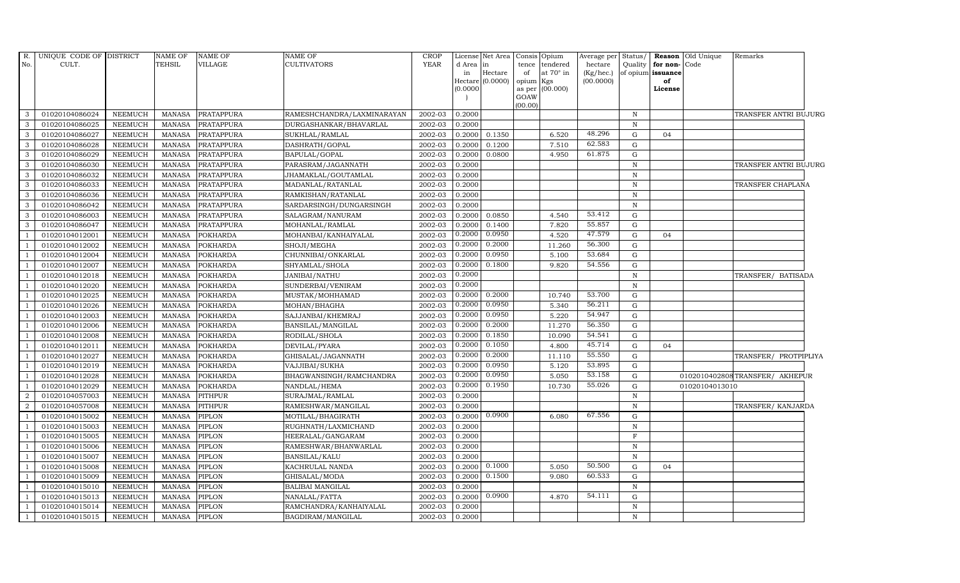| R.<br>No.      | UNIQUE CODE OF DISTRICT<br>CULT. |                | <b>NAME OF</b><br><b>TEHSIL</b> | <b>NAME OF</b><br>VILLAGE | <b>NAME OF</b><br><b>CULTIVATORS</b> | <b>CROP</b><br><b>YEAR</b> | d Area<br>in | License Net Area<br>lin<br>Hectare<br>Hectare (0.0000) | tence<br>of<br>opium Kgs | Consis Opium<br>tendered<br>at 70° in | Average per<br>hectare<br>(Kg/hec.)<br>(00.0000) | Status/<br>Quality | for non-Code<br>of opium issuance<br>of | Reason Old Unique | Remarks                        |
|----------------|----------------------------------|----------------|---------------------------------|---------------------------|--------------------------------------|----------------------------|--------------|--------------------------------------------------------|--------------------------|---------------------------------------|--------------------------------------------------|--------------------|-----------------------------------------|-------------------|--------------------------------|
|                |                                  |                |                                 |                           |                                      |                            | (0.0000)     |                                                        | GOAW<br>(00.00)          | as per (00.000)                       |                                                  |                    | License                                 |                   |                                |
| 3              | 01020104086024                   | <b>NEEMUCH</b> | MANASA                          | <b>PRATAPPURA</b>         | RAMESHCHANDRA/LAXMINARAYAN           | 2002-03                    | 0.2000       |                                                        |                          |                                       |                                                  | N                  |                                         |                   | TRANSFER ANTRI BUJURG          |
| 3              | 01020104086025                   | <b>NEEMUCH</b> | <b>MANASA</b>                   | <b>PRATAPPURA</b>         | DURGASHANKAR/BHAVARLAL               | 2002-03                    | 0.2000       |                                                        |                          |                                       |                                                  | $\, {\rm N}$       |                                         |                   |                                |
| 3              | 01020104086027                   | <b>NEEMUCH</b> | <b>MANASA</b>                   | PRATAPPURA                | SUKHLAL/RAMLAL                       | 2002-03                    | 0.2000       | 0.1350                                                 |                          | 6.520                                 | 48.296                                           | $\mathbf G$        | 04                                      |                   |                                |
| 3              | 01020104086028                   | <b>NEEMUCH</b> | <b>MANASA</b>                   | PRATAPPURA                | DASHRATH/GOPAL                       | 2002-03                    | 0.2000       | 0.1200                                                 |                          | 7.510                                 | 62.583                                           | G                  |                                         |                   |                                |
| $\mathbf{3}$   | 01020104086029                   | <b>NEEMUCH</b> | <b>MANASA</b>                   | PRATAPPURA                | BAPULAL/GOPAL                        | 2002-03                    | 0.2000       | 0.0800                                                 |                          | 4.950                                 | 61.875                                           | $\mathbf G$        |                                         |                   |                                |
| $\mathbf{3}$   | 01020104086030                   | <b>NEEMUCH</b> | <b>MANASA</b>                   | PRATAPPURA                | PARASRAM/JAGANNATH                   | 2002-03                    | 0.2000       |                                                        |                          |                                       |                                                  | $\, {\rm N}$       |                                         |                   | TRANSFER ANTRI BUJURG          |
| 3              | 01020104086032                   | <b>NEEMUCH</b> | <b>MANASA</b>                   | PRATAPPURA                | JHAMAKLAL/GOUTAMLAL                  | 2002-03                    | 0.2000       |                                                        |                          |                                       |                                                  | $\, {\rm N}$       |                                         |                   |                                |
| 3              | 01020104086033                   | <b>NEEMUCH</b> | <b>MANASA</b>                   | PRATAPPURA                | MADANLAL/RATANLAL                    | 2002-03                    | 0.2000       |                                                        |                          |                                       |                                                  | $\, {\rm N}$       |                                         |                   | TRANSFER CHAPLANA              |
| 3              | 01020104086036                   | <b>NEEMUCH</b> | <b>MANASA</b>                   | PRATAPPURA                | RAMKISHAN/RATANLAL                   | 2002-03                    | 0.2000       |                                                        |                          |                                       |                                                  | $\mathbf N$        |                                         |                   |                                |
| 3              | 01020104086042                   | <b>NEEMUCH</b> | <b>MANASA</b>                   | PRATAPPURA                | SARDARSINGH/DUNGARSINGH              | 2002-03                    | 0.2000       |                                                        |                          |                                       |                                                  | $\, {\rm N}$       |                                         |                   |                                |
| $\mathbf{3}$   | 01020104086003                   | <b>NEEMUCH</b> | <b>MANASA</b>                   | PRATAPPURA                | SALAGRAM/NANURAM                     | 2002-03                    | 0.2000       | 0.0850                                                 |                          | 4.540                                 | 53.412                                           | G                  |                                         |                   |                                |
| 3              | 01020104086047                   | <b>NEEMUCH</b> | <b>MANASA</b>                   | PRATAPPURA                | MOHANLAL/RAMLAL                      | 2002-03                    | 0.2000       | 0.1400                                                 |                          | 7.820                                 | 55.857                                           | G                  |                                         |                   |                                |
| $\overline{1}$ | 01020104012001                   | NEEMUCH        | <b>MANASA</b>                   | <b>POKHARDA</b>           | MOHANBAI/KANHAIYALAL                 | 2002-03                    | 0.2000       | 0.0950                                                 |                          | 4.520                                 | 47.579                                           | G                  | 04                                      |                   |                                |
| $\overline{1}$ | 01020104012002                   | <b>NEEMUCH</b> | <b>MANASA</b>                   | <b>POKHARDA</b>           | SHOJI/MEGHA                          | 2002-03                    | 0.2000       | 0.2000                                                 |                          | 11.260                                | 56.300                                           | $\mathbf G$        |                                         |                   |                                |
| $\overline{1}$ | 01020104012004                   | <b>NEEMUCH</b> | <b>MANASA</b>                   | POKHARDA                  | CHUNNIBAI/ONKARLAL                   | 2002-03                    | 0.2000       | 0.0950                                                 |                          | 5.100                                 | 53.684                                           | G                  |                                         |                   |                                |
| $\overline{1}$ | 01020104012007                   | <b>NEEMUCH</b> | <b>MANASA</b>                   | <b>POKHARDA</b>           | SHYAMLAL/SHOLA                       | 2002-03                    | 0.2000       | 0.1800                                                 |                          | 9.820                                 | 54.556                                           | $\mathbf G$        |                                         |                   |                                |
| 1              | 01020104012018                   | <b>NEEMUCH</b> | <b>MANASA</b>                   | <b>POKHARDA</b>           | <b>JANIBAI/NATHU</b>                 | 2002-03                    | 0.2000       |                                                        |                          |                                       |                                                  | $\, {\rm N}$       |                                         |                   | TRANSFER/ BATISADA             |
| $\overline{1}$ | 01020104012020                   | <b>NEEMUCH</b> | MANASA                          | <b>POKHARDA</b>           | SUNDERBAI/VENIRAM                    | 2002-03                    | 0.2000       |                                                        |                          |                                       |                                                  | $\, {\rm N}$       |                                         |                   |                                |
| $\overline{1}$ | 01020104012025                   | <b>NEEMUCH</b> | <b>MANASA</b>                   | <b>POKHARDA</b>           | MUSTAK/MOHHAMAD                      | 2002-03                    | 0.2000       | 0.2000                                                 |                          | 10.740                                | 53.700                                           | $\mathbf G$        |                                         |                   |                                |
| $\overline{1}$ | 01020104012026                   | <b>NEEMUCH</b> | <b>MANASA</b>                   | <b>POKHARDA</b>           | MOHAN/BHAGHA                         | 2002-03                    | 0.2000       | 0.0950                                                 |                          | 5.340                                 | 56.211                                           | $\mathbf G$        |                                         |                   |                                |
| <sup>1</sup>   | 01020104012003                   | <b>NEEMUCH</b> | <b>MANASA</b>                   | <b>POKHARDA</b>           | SAJJANBAI/KHEMRAJ                    | 2002-03                    | 0.2000       | 0.0950                                                 |                          | 5.220                                 | 54.947                                           | $\mathbf G$        |                                         |                   |                                |
| $\overline{1}$ | 01020104012006                   | <b>NEEMUCH</b> | <b>MANASA</b>                   | <b>POKHARDA</b>           | BANSILAL/MANGILAL                    | 2002-03                    | 0.2000       | 0.2000                                                 |                          | 11.270                                | 56.350                                           | $\mathbf G$        |                                         |                   |                                |
| $\overline{1}$ | 01020104012008                   | <b>NEEMUCH</b> | <b>MANASA</b>                   | <b>POKHARDA</b>           | RODILAL/SHOLA                        | 2002-03                    | 0.2000       | 0.1850                                                 |                          | 10.090                                | 54.541                                           | $\mathbf G$        |                                         |                   |                                |
| $\overline{1}$ | 01020104012011                   | <b>NEEMUCH</b> | <b>MANASA</b>                   | <b>POKHARDA</b>           | DEVILAL/PYARA                        | 2002-03                    | 0.2000       | 0.1050                                                 |                          | 4.800                                 | 45.714                                           | $\mathbf G$        | 04                                      |                   |                                |
| $\overline{1}$ | 01020104012027                   | <b>NEEMUCH</b> | <b>MANASA</b>                   | POKHARDA                  | GHISALAL/JAGANNATH                   | 2002-03                    | 0.2000       | 0.2000                                                 |                          | 11.110                                | 55.550                                           | $\mathbf G$        |                                         |                   | TRANSFER/ PROTPIPLIYA          |
| $\overline{1}$ | 01020104012019                   | <b>NEEMUCH</b> | <b>MANASA</b>                   | POKHARDA                  | VAJJIBAI/SUKHA                       | 2002-03                    | 0.2000       | 0.0950                                                 |                          | 5.120                                 | 53.895                                           | $\mathbf G$        |                                         |                   |                                |
| $\overline{1}$ | 01020104012028                   | <b>NEEMUCH</b> | <b>MANASA</b>                   | <b>POKHARDA</b>           | BHAGWANSINGH/RAMCHANDRA              | 2002-03                    | 0.2000       | 0.0950                                                 |                          | 5.050                                 | 53.158                                           | $\mathbf G$        |                                         |                   | 0102010402808TRANSFER/ AKHEPUR |
| $\overline{1}$ | 01020104012029                   | <b>NEEMUCH</b> | <b>MANASA</b>                   | <b>POKHARDA</b>           | NANDLAL/HEMA                         | 2002-03                    | 0.2000       | 0.1950                                                 |                          | 10.730                                | 55.026                                           | $\mathbf G$        |                                         | 01020104013010    |                                |
| 2              | 01020104057003                   | <b>NEEMUCH</b> | <b>MANASA</b>                   | <b>PITHPUR</b>            | SURAJMAL/RAMLAL                      | 2002-03                    | 0.2000       |                                                        |                          |                                       |                                                  | ${\bf N}$          |                                         |                   |                                |
| $\overline{2}$ | 01020104057008                   | <b>NEEMUCH</b> | <b>MANASA</b>                   | PITHPUR                   | RAMESHWAR/MANGILAL                   | 2002-03                    | 0.2000       |                                                        |                          |                                       |                                                  | $\mathbf N$        |                                         |                   | TRANSFER/ KANJARDA             |
| $\overline{1}$ | 01020104015002                   | <b>NEEMUCH</b> | <b>MANASA</b>                   | PIPLON                    | MOTILAL/BHAGIRATH                    | 2002-03                    | 0.2000       | 0.0900                                                 |                          | 6.080                                 | 67.556                                           | $\mathbf G$        |                                         |                   |                                |
| $\overline{1}$ | 01020104015003                   | <b>NEEMUCH</b> | <b>MANASA</b>                   | PIPLON                    | RUGHNATH/LAXMICHAND                  | 2002-03                    | 0.2000       |                                                        |                          |                                       |                                                  | $\, {\rm N}$       |                                         |                   |                                |
| -1             | 01020104015005                   | <b>NEEMUCH</b> | <b>MANASA</b>                   | PIPLON                    | HEERALAL/GANGARAM                    | 2002-03                    | 0.2000       |                                                        |                          |                                       |                                                  | $\mathbf F$        |                                         |                   |                                |
| - 1            | 01020104015006                   | <b>NEEMUCH</b> | <b>MANASA</b>                   | PIPLON                    | RAMESHWAR/BHANWARLAL                 | 2002-03                    | 0.2000       |                                                        |                          |                                       |                                                  | $\, {\rm N}$       |                                         |                   |                                |
| $\overline{1}$ | 01020104015007                   | <b>NEEMUCH</b> | <b>MANASA</b>                   | PIPLON                    | BANSILAL/KALU                        | 2002-03                    | 0.2000       |                                                        |                          |                                       |                                                  | $\, {\rm N}$       |                                         |                   |                                |
| $\overline{1}$ | 01020104015008                   | <b>NEEMUCH</b> | <b>MANASA</b>                   | PIPLON                    | KACHRULAL NANDA                      | 2002-03                    | 0.2000       | 0.1000                                                 |                          | 5.050                                 | 50.500                                           | G                  | 04                                      |                   |                                |
| $\overline{1}$ | 01020104015009                   | <b>NEEMUCH</b> | <b>MANASA</b>                   | PIPLON                    | GHISALAL/MODA                        | 2002-03                    | 0.2000       | 0.1500                                                 |                          | 9.080                                 | 60.533                                           | ${\rm G}$          |                                         |                   |                                |
| $\overline{1}$ | 01020104015010                   | <b>NEEMUCH</b> | <b>MANASA</b>                   | PIPLON                    | BALIBAI MANGILAL                     | 2002-03                    | 0.2000       |                                                        |                          |                                       |                                                  | $\, {\rm N}$       |                                         |                   |                                |
| -1             | 01020104015013                   | <b>NEEMUCH</b> | <b>MANASA</b>                   | PIPLON                    | NANALAL/FATTA                        | 2002-03                    | 0.2000       | 0.0900                                                 |                          | 4.870                                 | 54.111                                           | $\mathbf G$        |                                         |                   |                                |
| <sup>1</sup>   | 01020104015014                   | <b>NEEMUCH</b> | <b>MANASA</b>                   | PIPLON                    | RAMCHANDRA/KANHAIYALAL               | 2002-03                    | 0.2000       |                                                        |                          |                                       |                                                  | ${\bf N}$          |                                         |                   |                                |
| <sup>1</sup>   | 01020104015015                   | <b>NEEMUCH</b> | <b>MANASA</b>                   | <b>PIPLON</b>             | BAGDIRAM/MANGILAL                    | 2002-03                    | 0.2000       |                                                        |                          |                                       |                                                  | $\mathbf N$        |                                         |                   |                                |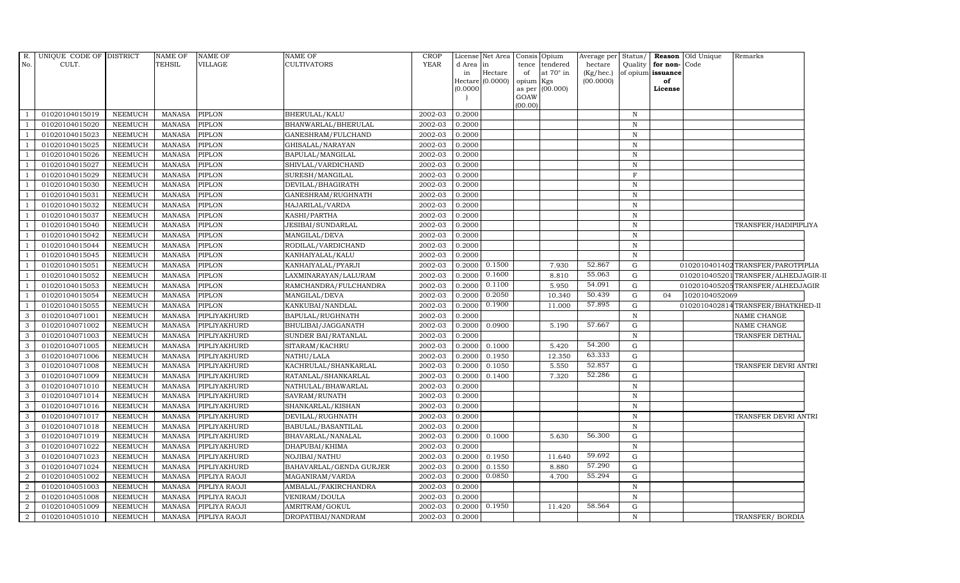| R.             | UNIQUE CODE OF DISTRICT |                | <b>NAME OF</b> | <b>NAME OF</b> | <b>NAME OF</b>          | <b>CROP</b> |            | License Net Area Consis |                 | Opium            | Average per Status/ |              |                   | Reason Old Unique | Remarks                             |  |
|----------------|-------------------------|----------------|----------------|----------------|-------------------------|-------------|------------|-------------------------|-----------------|------------------|---------------------|--------------|-------------------|-------------------|-------------------------------------|--|
| No.            | CULT.                   |                | <b>TEHSIL</b>  | <b>VILLAGE</b> | CULTIVATORS             | <b>YEAR</b> | d Area  in |                         | tence           | tendered         | hectare             | Quality      | for non-Code      |                   |                                     |  |
|                |                         |                |                |                |                         |             | in         | Hectare                 | of              | at $70^\circ$ in | $(Kg/$ hec. $)$     |              | of opium issuance |                   |                                     |  |
|                |                         |                |                |                |                         |             | (0.0000)   | Hectare (0.0000)        | opium<br>as per | Kgs<br>(00.000)  | (00.0000)           |              | of<br>License     |                   |                                     |  |
|                |                         |                |                |                |                         |             |            |                         | GOAW            |                  |                     |              |                   |                   |                                     |  |
|                |                         |                |                |                |                         |             |            |                         | (00.00)         |                  |                     |              |                   |                   |                                     |  |
|                | 01020104015019          | <b>NEEMUCH</b> | <b>MANASA</b>  | <b>PIPLON</b>  | BHERULAL/KALU           | 2002-03     | 0.2000     |                         |                 |                  |                     | $\, {\bf N}$ |                   |                   |                                     |  |
|                | 01020104015020          | <b>NEEMUCH</b> | <b>MANASA</b>  | <b>PIPLON</b>  | BHANWARLAL/BHERULAL     | 2002-03     | 0.2000     |                         |                 |                  |                     | ${\bf N}$    |                   |                   |                                     |  |
|                | 01020104015023          | <b>NEEMUCH</b> | <b>MANASA</b>  | <b>PIPLON</b>  | GANESHRAM/FULCHAND      | 2002-03     | 0.2000     |                         |                 |                  |                     | $\, {\rm N}$ |                   |                   |                                     |  |
|                | 01020104015025          | <b>NEEMUCH</b> | <b>MANASA</b>  | PIPLON         | GHISALAL/NARAYAN        | 2002-03     | 0.2000     |                         |                 |                  |                     | $\mathbf N$  |                   |                   |                                     |  |
|                | 01020104015026          | <b>NEEMUCH</b> | <b>MANASA</b>  | PIPLON         | BAPULAL/MANGILAL        | 2002-03     | 0.2000     |                         |                 |                  |                     | $\, {\rm N}$ |                   |                   |                                     |  |
|                | 01020104015027          | NEEMUCH        | <b>MANASA</b>  | <b>PIPLON</b>  | SHIVLAL/VARDICHAND      | 2002-03     | 0.2000     |                         |                 |                  |                     | $\, {\rm N}$ |                   |                   |                                     |  |
|                | 01020104015029          | NEEMUCH        | <b>MANASA</b>  | PIPLON         | SURESH/MANGILAL         | 2002-03     | 0.2000     |                         |                 |                  |                     | $\mathbf F$  |                   |                   |                                     |  |
|                | 01020104015030          | <b>NEEMUCH</b> | <b>MANASA</b>  | PIPLON         | DEVILAL/BHAGIRATH       | 2002-03     | 0.2000     |                         |                 |                  |                     | ${\bf N}$    |                   |                   |                                     |  |
|                | 01020104015031          | <b>NEEMUCH</b> | <b>MANASA</b>  | PIPLON         | GANESHRAM/RUGHNATH      | 2002-03     | 0.2000     |                         |                 |                  |                     | $\, {\rm N}$ |                   |                   |                                     |  |
|                | 01020104015032          | NEEMUCH        | <b>MANASA</b>  | PIPLON         | HAJARILAL/VARDA         | 2002-03     | 0.2000     |                         |                 |                  |                     | $\mathbf N$  |                   |                   |                                     |  |
|                | 01020104015037          | NEEMUCH        | <b>MANASA</b>  | PIPLON         | KASHI/PARTHA            | 2002-03     | 0.2000     |                         |                 |                  |                     | ${\bf N}$    |                   |                   |                                     |  |
|                | 01020104015040          | <b>NEEMUCH</b> | <b>MANASA</b>  | PIPLON         | JESIBAI/SUNDARLAL       | 2002-03     | 0.2000     |                         |                 |                  |                     | $\, {\rm N}$ |                   |                   | TRANSFER/HADIPIPLIYA                |  |
|                | 01020104015042          | <b>NEEMUCH</b> | <b>MANASA</b>  | PIPLON         | MANGILAL/DEVA           | 2002-03     | 0.2000     |                         |                 |                  |                     | $\mathbf N$  |                   |                   |                                     |  |
|                | 01020104015044          | <b>NEEMUCH</b> | <b>MANASA</b>  | <b>PIPLON</b>  | RODILAL/VARDICHAND      | 2002-03     | 0.2000     |                         |                 |                  |                     | $\, {\rm N}$ |                   |                   |                                     |  |
|                | 01020104015045          | <b>NEEMUCH</b> | <b>MANASA</b>  | PIPLON         | KANHAIYALAL/KALU        | 2002-03     | 0.2000     |                         |                 |                  |                     | $\, {\rm N}$ |                   |                   |                                     |  |
|                | 01020104015051          | NEEMUCH        | <b>MANASA</b>  | PIPLON         | KANHAIYALAL/PYARJI      | 2002-03     | 0.2000     | 0.1500                  |                 | 7.930            | 52.867              | $\mathbf G$  |                   |                   | 0102010401402TRANSFER/PAROTPIPLIA   |  |
|                | 01020104015052          | <b>NEEMUCH</b> | <b>MANASA</b>  | <b>PIPLON</b>  | LAXMINARAYAN/LALURAM    | 2002-03     | 0.2000     | 0.1600                  |                 | 8.810            | 55.063              | ${\rm G}$    |                   |                   | 0102010405201TRANSFER/ALHEDJAGIR-II |  |
|                | 01020104015053          | <b>NEEMUCH</b> | <b>MANASA</b>  | PIPLON         | RAMCHANDRA/FULCHANDRA   | 2002-03     | 0.2000     | 0.1100                  |                 | 5.950            | 54.091              | ${\rm G}$    |                   |                   | 0102010405205TRANSFER/ALHEDJAGIR    |  |
|                | 01020104015054          | NEEMUCH        | <b>MANASA</b>  | <b>PIPLON</b>  | MANGILAL/DEVA           | 2002-03     | 0.2000     | 0.2050                  |                 | 10.340           | 50.439              | ${\rm G}$    | 04                | 1020104052069     |                                     |  |
|                | 01020104015055          | <b>NEEMUCH</b> | <b>MANASA</b>  | <b>PIPLON</b>  | KANKUBAI/NANDLAL        | 2002-03     | 0.2000     | 0.1900                  |                 | 11.000           | 57.895              | $\mathbf G$  |                   |                   | 0102010402814TRANSFER/BHATKHED-II   |  |
| 3              | 01020104071001          | <b>NEEMUCH</b> | <b>MANASA</b>  | PIPLIYAKHURD   | BAPULAL/RUGHNATH        | 2002-03     | 0.2000     |                         |                 |                  |                     | $\, {\rm N}$ |                   |                   | NAME CHANGE                         |  |
| 3              | 01020104071002          | <b>NEEMUCH</b> | <b>MANASA</b>  | PIPLIYAKHURD   | BHULIBAI/JAGGANATH      | 2002-03     | 0.2000     | 0.0900                  |                 | 5.190            | 57.667              | ${\rm G}$    |                   |                   | NAME CHANGE                         |  |
| 3              | 01020104071003          | <b>NEEMUCH</b> | <b>MANASA</b>  | PIPLIYAKHURD   | SUNDER BAI/RATANLAL     | 2002-03     | 0.2000     |                         |                 |                  |                     | ${\bf N}$    |                   |                   | TRANSFER DETHAL                     |  |
| 3              | 01020104071005          | <b>NEEMUCH</b> | <b>MANASA</b>  | PIPLIYAKHURD   | SITARAM/KACHRU          | 2002-03     | 0.2000     | 0.1000                  |                 | 5.420            | 54.200              | ${\rm G}$    |                   |                   |                                     |  |
| 3              | 01020104071006          | <b>NEEMUCH</b> | <b>MANASA</b>  | PIPLIYAKHURD   | NATHU/LALA              | 2002-03     | 0.2000     | 0.1950                  |                 | 12.350           | 63.333              | ${\rm G}$    |                   |                   |                                     |  |
| 3              | 01020104071008          | <b>NEEMUCH</b> | <b>MANASA</b>  | PIPLIYAKHURD   | KACHRULAL/SHANKARLAL    | 2002-03     | 0.2000     | 0.1050                  |                 | 5.550            | 52.857              | G            |                   |                   | TRANSFER DEVRI ANTRI                |  |
| 3              | 01020104071009          | <b>NEEMUCH</b> | <b>MANASA</b>  | PIPLIYAKHURD   | RATANLAL/SHANKARLAL     | 2002-03     | 0.2000     | 0.1400                  |                 | 7.320            | 52.286              | ${\rm G}$    |                   |                   |                                     |  |
| 3              | 01020104071010          | NEEMUCH        | <b>MANASA</b>  | PIPLIYAKHURD   | NATHULAL/BHAWARLAL      | 2002-03     | 0.2000     |                         |                 |                  |                     | $\mathbf N$  |                   |                   |                                     |  |
| 3              | 01020104071014          | <b>NEEMUCH</b> | <b>MANASA</b>  | PIPLIYAKHURD   | SAVRAM/RUNATH           | 2002-03     | 0.2000     |                         |                 |                  |                     | $\mathbf N$  |                   |                   |                                     |  |
| 3              | 01020104071016          | <b>NEEMUCH</b> | <b>MANASA</b>  | PIPLIYAKHURD   | SHANKARLAL/KISHAN       | 2002-03     | 0.2000     |                         |                 |                  |                     | $\, {\rm N}$ |                   |                   |                                     |  |
| 3              | 01020104071017          | <b>NEEMUCH</b> | <b>MANASA</b>  | PIPLIYAKHURD   | DEVILAL/RUGHNATH        | 2002-03     | 0.2000     |                         |                 |                  |                     | $\, {\rm N}$ |                   |                   | TRANSFER DEVRI ANTRI                |  |
| 3              | 01020104071018          | <b>NEEMUCH</b> | <b>MANASA</b>  | PIPLIYAKHURD   | BABULAL/BASANTILAL      | 2002-03     | 0.2000     |                         |                 |                  |                     | $\, {\rm N}$ |                   |                   |                                     |  |
| 3              | 01020104071019          | <b>NEEMUCH</b> | <b>MANASA</b>  | PIPLIYAKHURD   | BHAVARLAL/NANALAL       | 2002-03     | 0.2000     | 0.1000                  |                 | 5.630            | 56.300              | G            |                   |                   |                                     |  |
| $\mathcal{E}$  | 01020104071022          | <b>NEEMUCH</b> | <b>MANASA</b>  | PIPLIYAKHURD   | DHAPUBAI/KHIMA          | 2002-03     | 0.2000     |                         |                 |                  |                     | $\, {\rm N}$ |                   |                   |                                     |  |
| 3              | 01020104071023          | NEEMUCH        | <b>MANASA</b>  | PIPLIYAKHURD   | NOJIBAI/NATHU           | 2002-03     | 0.2000     | 0.1950                  |                 | 11.640           | 59.692              | $\mathbf G$  |                   |                   |                                     |  |
| 3              | 01020104071024          | <b>NEEMUCH</b> | <b>MANASA</b>  | PIPLIYAKHURD   | BAHAVARLAL/GENDA GURJER | 2002-03     | 0.2000     | 0.1550                  |                 | 8.880            | 57.290              | $\mathbf G$  |                   |                   |                                     |  |
| $\mathcal{D}$  | 01020104051002          | <b>NEEMUCH</b> | <b>MANASA</b>  | PIPLIYA RAOJI  | MAGANIRAM/VARDA         | 2002-03     | 0.2000     | 0.0850                  |                 | 4.700            | 55.294              | $\mathbf G$  |                   |                   |                                     |  |
| 2              | 01020104051003          | <b>NEEMUCH</b> | <b>MANASA</b>  | PIPLIYA RAOJI  | AMBALAL/FAKIRCHANDRA    | 2002-03     | 0.2000     |                         |                 |                  |                     | $\, {\rm N}$ |                   |                   |                                     |  |
| 2              | 01020104051008          | <b>NEEMUCH</b> | <b>MANASA</b>  | PIPLIYA RAOJI  | VENIRAM/DOULA           | 2002-03     | 0.2000     |                         |                 |                  |                     | $\, {\rm N}$ |                   |                   |                                     |  |
| 2              | 01020104051009          | <b>NEEMUCH</b> | <b>MANASA</b>  | PIPLIYA RAOJI  | AMRITRAM/GOKUL          | 2002-03     | 0.2000     | 0.1950                  |                 | 11.420           | 58.564              | $\mathbf G$  |                   |                   |                                     |  |
| $\overline{2}$ | 01020104051010          | <b>NEEMUCH</b> | MANASA         | PIPLIYA RAOJI  | DROPATIBAI/NANDRAM      | 2002-03     | 0.2000     |                         |                 |                  |                     | $\mathbf N$  |                   |                   | TRANSFER/ BORDIA                    |  |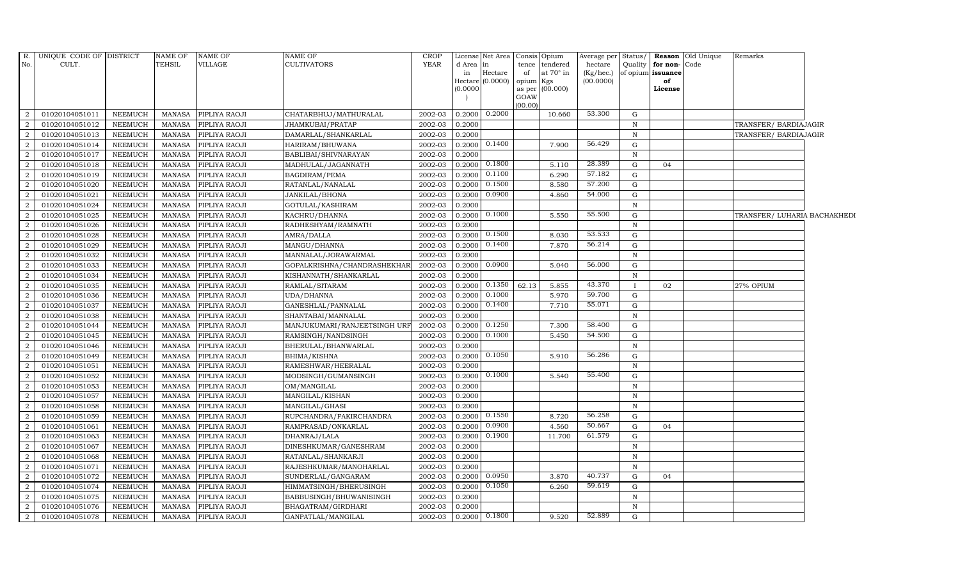| R.             | UNIQUE CODE OF DISTRICT |                | <b>NAME OF</b> | <b>NAME OF</b> | NAME OF                      | <b>CROP</b> |           | License Net Area |                | Consis Opium    | Average per Status/ |              |                   | <b>Reason</b> Old Unique | Remarks                      |  |
|----------------|-------------------------|----------------|----------------|----------------|------------------------------|-------------|-----------|------------------|----------------|-----------------|---------------------|--------------|-------------------|--------------------------|------------------------------|--|
| No.            | CULT.                   |                | TEHSIL         | VILLAGE        | CULTIVATORS                  | YEAR        | d Area in |                  | tence          | tendered        | hectare             | Quality      | for non-          | Code                     |                              |  |
|                |                         |                |                |                |                              |             | in        | Hectare          | of             | at 70° in       | $(Kg/ {\rm hec.})$  |              | of opium issuance |                          |                              |  |
|                |                         |                |                |                |                              |             |           | Hectare (0.0000) | opium          | Kgs<br>(00.000) | (00.0000)           |              | of                |                          |                              |  |
|                |                         |                |                |                |                              |             | (0.0000)  |                  | as per<br>GOAW |                 |                     |              | License           |                          |                              |  |
|                |                         |                |                |                |                              |             |           |                  | (00.00)        |                 |                     |              |                   |                          |                              |  |
| 2              | 01020104051011          | NEEMUCH        | <b>MANASA</b>  | PIPLIYA RAOJI  | CHATARBHUJ/MATHURALAL        | 2002-03     | 0.2000    | 0.2000           |                | 10.660          | 53.300              | G            |                   |                          |                              |  |
| 2              | 01020104051012          | NEEMUCH        | MANASA         | PIPLIYA RAOJI  | JHAMKUBAI/PRATAP             | 2002-03     | 0.2000    |                  |                |                 |                     | $\mathbb N$  |                   |                          | TRANSFER/ BARDIAJAGIR        |  |
| $\overline{2}$ | 01020104051013          | NEEMUCH        | <b>MANASA</b>  | PIPLIYA RAOJI  | DAMARLAL/SHANKARLAL          | 2002-03     | 0.2000    |                  |                |                 |                     | $\mathbb N$  |                   |                          | TRANSFER/ BARDIAJAGIR        |  |
| $\overline{2}$ | 01020104051014          | NEEMUCH        | <b>MANASA</b>  | PIPLIYA RAOJI  | HARIRAM/BHUWANA              | 2002-03     | 0.2000    | 0.1400           |                | 7.900           | 56.429              | G            |                   |                          |                              |  |
| $\overline{a}$ | 01020104051017          | NEEMUCH        | MANASA         | PIPLIYA RAOJI  | BABLIBAI/SHIVNARAYAN         | 2002-03     | 0.2000    |                  |                |                 |                     | N            |                   |                          |                              |  |
| 2              | 01020104051018          | <b>NEEMUCH</b> | <b>MANASA</b>  | PIPLIYA RAOJI  | MADHULAL/JAGANNATH           | 2002-03     | 0.2000    | 0.1800           |                | 5.110           | 28.389              | G            | 04                |                          |                              |  |
| 2              | 01020104051019          | NEEMUCH        | <b>MANASA</b>  | PIPLIYA RAOJI  | BAGDIRAM/PEMA                | 2002-03     | 0.2000    | 0.1100           |                | 6.290           | 57.182              | G            |                   |                          |                              |  |
| $\overline{2}$ | 01020104051020          | NEEMUCH        | <b>MANASA</b>  | PIPLIYA RAOJI  | RATANLAL/NANALAL             | 2002-03     | 0.2000    | 0.1500           |                | 8.580           | 57.200              | G            |                   |                          |                              |  |
| $\overline{2}$ | 01020104051021          | <b>NEEMUCH</b> | <b>MANASA</b>  | PIPLIYA RAOJI  | JANKILAL/BHONA               | 2002-03     | 0.2000    | 0.0900           |                | 4.860           | 54.000              | G            |                   |                          |                              |  |
| $\overline{2}$ | 01020104051024          | NEEMUCH        | <b>MANASA</b>  | PIPLIYA RAOJI  | GOTULAL/KASHIRAM             | 2002-03     | 0.2000    |                  |                |                 |                     | $\, {\rm N}$ |                   |                          |                              |  |
| 2              | 01020104051025          | NEEMUCH        | MANASA         | PIPLIYA RAOJI  | KACHRU/DHANNA                | 2002-03     | 0.2000    | 0.1000           |                | 5.550           | 55.500              | G            |                   |                          | TRANSFER/ LUHARIA BACHAKHEDI |  |
| 2              | 01020104051026          | NEEMUCH        | <b>MANASA</b>  | PIPLIYA RAOJI  | RADHESHYAM/RAMNATH           | 2002-03     | 0.2000    |                  |                |                 |                     | $\mathbb N$  |                   |                          |                              |  |
| $\overline{2}$ | 01020104051028          | NEEMUCH        | <b>MANASA</b>  | PIPLIYA RAOJI  | AMRA/DALLA                   | 2002-03     | 0.2000    | 0.1500           |                | 8.030           | 53.533              | G            |                   |                          |                              |  |
| $\overline{2}$ | 01020104051029          | NEEMUCH        | <b>MANASA</b>  | PIPLIYA RAOJI  | MANGU/DHANNA                 | 2002-03     | 0.2000    | 0.1400           |                | 7.870           | 56.214              | G            |                   |                          |                              |  |
| 2              | 01020104051032          | NEEMUCH        | <b>MANASA</b>  | PIPLIYA RAOJI  | MANNALAL/JORAWARMAL          | 2002-03     | 0.2000    |                  |                |                 |                     | N            |                   |                          |                              |  |
| $\overline{a}$ | 01020104051033          | NEEMUCH        | <b>MANASA</b>  | PIPLIYA RAOJI  | GOPALKRISHNA/CHANDRASHEKHAR  | 2002-03     | 0.2000    | 0.0900           |                | 5.040           | 56.000              | G            |                   |                          |                              |  |
| 2              | 01020104051034          | NEEMUCH        | <b>MANASA</b>  | PIPLIYA RAOJI  | KISHANNATH/SHANKARLAL        | 2002-03     | 0.2000    |                  |                |                 |                     | $\, {\rm N}$ |                   |                          |                              |  |
| 2              | 01020104051035          | NEEMUCH        | MANASA         | PIPLIYA RAOJI  | RAMLAL/SITARAM               | 2002-03     | 0.2000    | 0.1350           | 62.13          | 5.855           | 43.370              |              | 02                |                          | 27% OPIUM                    |  |
| 2              | 01020104051036          | NEEMUCH        | <b>MANASA</b>  | PIPLIYA RAOJI  | UDA/DHANNA                   | 2002-03     | 0.2000    | 0.1000           |                | 5.970           | 59.700              | G            |                   |                          |                              |  |
| $\overline{2}$ | 01020104051037          | NEEMUCH        | <b>MANASA</b>  | PIPLIYA RAOJI  | GANESHLAL/PANNALAL           | 2002-03     | 0.2000    | 0.1400           |                | 7.710           | 55.071              | G            |                   |                          |                              |  |
| 2              | 01020104051038          | NEEMUCH        | MANASA         | PIPLIYA RAOJI  | SHANTABAI/MANNALAL           | 2002-03     | 0.2000    |                  |                |                 |                     | $\, {\rm N}$ |                   |                          |                              |  |
| 2              | 01020104051044          | NEEMUCH        | <b>MANASA</b>  | PIPLIYA RAOJI  | MANJUKUMARI/RANJEETSINGH URF | 2002-03     | 0.2000    | 0.1250           |                | 7.300           | 58.400              | G            |                   |                          |                              |  |
| 2              | 01020104051045          | NEEMUCH        | <b>MANASA</b>  | PIPLIYA RAOJI  | RAMSINGH/NANDSINGH           | 2002-03     | 0.2000    | 0.1000           |                | 5.450           | 54.500              | G            |                   |                          |                              |  |
| $\overline{2}$ | 01020104051046          | NEEMUCH        | <b>MANASA</b>  | PIPLIYA RAOJI  | BHERULAL/BHANWARLAL          | 2002-03     | 0.2000    |                  |                |                 |                     | $\, {\rm N}$ |                   |                          |                              |  |
| 2              | 01020104051049          | NEEMUCH        | <b>MANASA</b>  | PIPLIYA RAOJI  | BHIMA/KISHNA                 | 2002-03     | 0.2000    | 0.1050           |                | 5.910           | 56.286              | G            |                   |                          |                              |  |
| $\overline{2}$ | 01020104051051          | NEEMUCH        | <b>MANASA</b>  | PIPLIYA RAOJI  | RAMESHWAR/HEERALAL           | 2002-03     | 0.2000    |                  |                |                 |                     | $\, {\rm N}$ |                   |                          |                              |  |
| $\overline{a}$ | 01020104051052          | NEEMUCH        | <b>MANASA</b>  | PIPLIYA RAOJI  | MODSINGH/GUMANSINGH          | 2002-03     | 0.2000    | 0.1000           |                | 5.540           | 55.400              | G            |                   |                          |                              |  |
| 2              | 01020104051053          | NEEMUCH        | <b>MANASA</b>  | PIPLIYA RAOJI  | OM/MANGILAL                  | 2002-03     | 0.2000    |                  |                |                 |                     | $\mathbb N$  |                   |                          |                              |  |
| 2              | 01020104051057          | NEEMUCH        | <b>MANASA</b>  | PIPLIYA RAOJI  | MANGILAL/KISHAN              | 2002-03     | 0.2000    |                  |                |                 |                     | $\mathbb N$  |                   |                          |                              |  |
| $\overline{2}$ | 01020104051058          | NEEMUCH        | <b>MANASA</b>  | PIPLIYA RAOJI  | MANGILAL/GHASI               | 2002-03     | 0.2000    |                  |                |                 |                     | $\mathbb N$  |                   |                          |                              |  |
| 2              | 01020104051059          | NEEMUCH        | <b>MANASA</b>  | PIPLIYA RAOJI  | RUPCHANDRA/FAKIRCHANDRA      | 2002-03     | 0.2000    | 0.1550           |                | 8.720           | 56.258              | G            |                   |                          |                              |  |
| $\overline{2}$ | 01020104051061          | <b>NEEMUCH</b> | <b>MANASA</b>  | PIPLIYA RAOJI  | RAMPRASAD/ONKARLAL           | 2002-03     | 0.2000    | 0.0900           |                | 4.560           | 50.667              | G            | 04                |                          |                              |  |
| 2              | 01020104051063          | NEEMUCH        | <b>MANASA</b>  | PIPLIYA RAOJI  | DHANRAJ/LALA                 | 2002-03     | 0.2000    | 0.1900           |                | 11.700          | 61.579              | G            |                   |                          |                              |  |
| 2              | 01020104051067          | NEEMUCH        | <b>MANASA</b>  | PIPLIYA RAOJI  | DINESHKUMAR/GANESHRAM        | 2002-03     | 0.2000    |                  |                |                 |                     | $\mathbf N$  |                   |                          |                              |  |
| 2              | 01020104051068          | <b>NEEMUCH</b> | MANASA         | PIPLIYA RAOJI  | RATANLAL/SHANKARJI           | 2002-03     | 0.2000    |                  |                |                 |                     | $\mathbf N$  |                   |                          |                              |  |
| $\overline{2}$ | 01020104051071          | NEEMUCH        | <b>MANASA</b>  | PIPLIYA RAOJI  | RAJESHKUMAR/MANOHARLAL       | 2002-03     | 0.2000    |                  |                |                 |                     | $\mathbb N$  |                   |                          |                              |  |
| 2              | 01020104051072          | NEEMUCH        | <b>MANASA</b>  | PIPLIYA RAOJI  | SUNDERLAL/GANGARAM           | 2002-03     | 0.2000    | 0.0950           |                | 3.870           | 40.737              | G            | 04                |                          |                              |  |
| 2              | 01020104051074          | <b>NEEMUCH</b> | <b>MANASA</b>  | PIPLIYA RAOJI  | HIMMATSINGH/BHERUSINGH       | 2002-03     | 0.2000    | 0.1050           |                | 6.260           | 59.619              | G            |                   |                          |                              |  |
| 2              | 01020104051075          | NEEMUCH        | <b>MANASA</b>  | PIPLIYA RAOJI  | BABBUSINGH/BHUWANISINGH      | 2002-03     | 0.2000    |                  |                |                 |                     | $\mathbb N$  |                   |                          |                              |  |
| $\overline{2}$ | 01020104051076          | NEEMUCH        | <b>MANASA</b>  | PIPLIYA RAOJI  | BHAGATRAM/GIRDHARI           | 2002-03     | 0.2000    |                  |                |                 |                     | $\mathbf N$  |                   |                          |                              |  |
| 2              | 01020104051078          | NEEMUCH        | MANASA         | PIPLIYA RAOJI  | GANPATLAL/MANGILAL           | 2002-03     | 0.2000    | 0.1800           |                | 9.520           | 52.889              | $\mathbf G$  |                   |                          |                              |  |
|                |                         |                |                |                |                              |             |           |                  |                |                 |                     |              |                   |                          |                              |  |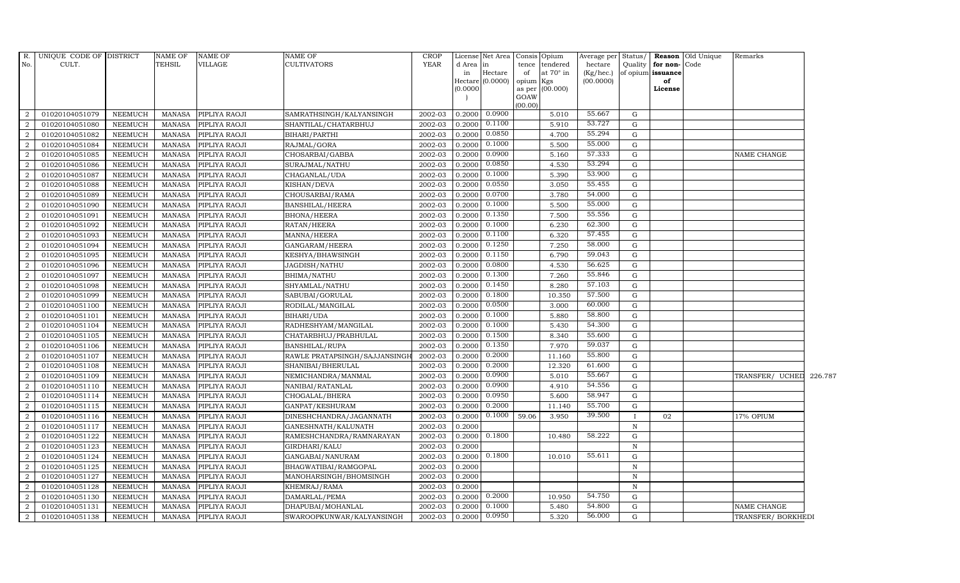| <b>TEHSIL</b><br>No.<br>CULT.<br>VILLAGE<br><b>CULTIVATORS</b><br>YEAR<br>Quality<br>for non-Code<br>d Area in<br>tence tendered<br>hectare<br>Hectare<br>at $70^\circ$ in<br>(Kg/hec.)<br>of opium issuance<br>in<br>of<br>Hectare (0.0000)<br>(00.0000)<br>opium Kgs<br>of<br>(0.0000)<br>as per (00.000)<br>License<br>GOAW<br>(00.00)<br>$0.2000$ $0.0900$<br>55.667<br>G<br>$\overline{2}$<br>01020104051079<br>NEEMUCH<br>MANASA<br>PIPLIYA RAOJI<br>SAMRATHSINGH/KALYANSINGH<br>2002-03<br>5.010<br>53.727<br>0.1100<br>2<br>01020104051080<br>2002-03<br>0.2000<br>5.910<br><b>NEEMUCH</b><br>MANASA<br>PIPLIYA RAOJI<br>SHANTILAL/CHATARBHUJ<br>G<br>0.0850<br>55.294<br>2<br>01020104051082<br><b>NEEMUCH</b><br><b>MANASA</b><br>PIPLIYA RAOJI<br>BIHARI/PARTHI<br>2002-03<br>0.2000<br>4.700<br>G<br>0.1000<br>55.000<br>$\overline{2}$<br>01020104051084<br><b>NEEMUCH</b><br><b>MANASA</b><br>PIPLIYA RAOJI<br>RAJMAL/GORA<br>2002-03<br>0.2000<br>5.500<br>$\mathbf G$<br>0.0900<br>57.333<br>2<br>01020104051085<br><b>NEEMUCH</b><br>PIPLIYA RAOJI<br>CHOSARBAI/GABBA<br>2002-03<br>$\mathbf G$<br>MANASA<br>0.2000<br>5.160<br>NAME CHANGE<br>53.294<br>0.0850<br>2<br>2002-03<br>4.530<br>01020104051086<br><b>NEEMUCH</b><br><b>MANASA</b><br>PIPLIYA RAOJI<br>SURAJMAL/NATHU<br>0.2000<br>G<br>0.1000<br>53.900<br>01020104051087<br>2002-03<br>$\overline{2}$<br><b>NEEMUCH</b><br><b>MANASA</b><br>PIPLIYA RAOJI<br>CHAGANLAL/UDA<br>0.2000<br>5.390<br>G<br>0.0550<br>55.455<br>2<br>01020104051088<br>2002-03<br><b>NEEMUCH</b><br><b>MANASA</b><br>PIPLIYA RAOJI<br>KISHAN/DEVA<br>0.2000<br>3.050<br>G<br>0.0700<br>54.000<br>$\overline{2}$<br>01020104051089<br><b>NEEMUCH</b><br>PIPLIYA RAOJI<br>CHOUSARBAI/RAMA<br>2002-03<br><b>MANASA</b><br>0.2000<br>3.780<br>G<br>0.1000<br>55.000<br>$\overline{2}$<br>5.500<br>01020104051090<br><b>NEEMUCH</b><br><b>MANASA</b><br>PIPLIYA RAOJI<br><b>BANSHILAL/HEERA</b><br>2002-03<br>0.2000<br>$\mathbf G$<br>0.1350<br>55.556<br>$\overline{2}$<br>2002-03<br>7.500<br>G |  |
|-------------------------------------------------------------------------------------------------------------------------------------------------------------------------------------------------------------------------------------------------------------------------------------------------------------------------------------------------------------------------------------------------------------------------------------------------------------------------------------------------------------------------------------------------------------------------------------------------------------------------------------------------------------------------------------------------------------------------------------------------------------------------------------------------------------------------------------------------------------------------------------------------------------------------------------------------------------------------------------------------------------------------------------------------------------------------------------------------------------------------------------------------------------------------------------------------------------------------------------------------------------------------------------------------------------------------------------------------------------------------------------------------------------------------------------------------------------------------------------------------------------------------------------------------------------------------------------------------------------------------------------------------------------------------------------------------------------------------------------------------------------------------------------------------------------------------------------------------------------------------------------------------------------------------------------------------------------------------------------------------------------------------------------------------------|--|
|                                                                                                                                                                                                                                                                                                                                                                                                                                                                                                                                                                                                                                                                                                                                                                                                                                                                                                                                                                                                                                                                                                                                                                                                                                                                                                                                                                                                                                                                                                                                                                                                                                                                                                                                                                                                                                                                                                                                                                                                                                                       |  |
|                                                                                                                                                                                                                                                                                                                                                                                                                                                                                                                                                                                                                                                                                                                                                                                                                                                                                                                                                                                                                                                                                                                                                                                                                                                                                                                                                                                                                                                                                                                                                                                                                                                                                                                                                                                                                                                                                                                                                                                                                                                       |  |
|                                                                                                                                                                                                                                                                                                                                                                                                                                                                                                                                                                                                                                                                                                                                                                                                                                                                                                                                                                                                                                                                                                                                                                                                                                                                                                                                                                                                                                                                                                                                                                                                                                                                                                                                                                                                                                                                                                                                                                                                                                                       |  |
|                                                                                                                                                                                                                                                                                                                                                                                                                                                                                                                                                                                                                                                                                                                                                                                                                                                                                                                                                                                                                                                                                                                                                                                                                                                                                                                                                                                                                                                                                                                                                                                                                                                                                                                                                                                                                                                                                                                                                                                                                                                       |  |
|                                                                                                                                                                                                                                                                                                                                                                                                                                                                                                                                                                                                                                                                                                                                                                                                                                                                                                                                                                                                                                                                                                                                                                                                                                                                                                                                                                                                                                                                                                                                                                                                                                                                                                                                                                                                                                                                                                                                                                                                                                                       |  |
|                                                                                                                                                                                                                                                                                                                                                                                                                                                                                                                                                                                                                                                                                                                                                                                                                                                                                                                                                                                                                                                                                                                                                                                                                                                                                                                                                                                                                                                                                                                                                                                                                                                                                                                                                                                                                                                                                                                                                                                                                                                       |  |
|                                                                                                                                                                                                                                                                                                                                                                                                                                                                                                                                                                                                                                                                                                                                                                                                                                                                                                                                                                                                                                                                                                                                                                                                                                                                                                                                                                                                                                                                                                                                                                                                                                                                                                                                                                                                                                                                                                                                                                                                                                                       |  |
|                                                                                                                                                                                                                                                                                                                                                                                                                                                                                                                                                                                                                                                                                                                                                                                                                                                                                                                                                                                                                                                                                                                                                                                                                                                                                                                                                                                                                                                                                                                                                                                                                                                                                                                                                                                                                                                                                                                                                                                                                                                       |  |
|                                                                                                                                                                                                                                                                                                                                                                                                                                                                                                                                                                                                                                                                                                                                                                                                                                                                                                                                                                                                                                                                                                                                                                                                                                                                                                                                                                                                                                                                                                                                                                                                                                                                                                                                                                                                                                                                                                                                                                                                                                                       |  |
|                                                                                                                                                                                                                                                                                                                                                                                                                                                                                                                                                                                                                                                                                                                                                                                                                                                                                                                                                                                                                                                                                                                                                                                                                                                                                                                                                                                                                                                                                                                                                                                                                                                                                                                                                                                                                                                                                                                                                                                                                                                       |  |
|                                                                                                                                                                                                                                                                                                                                                                                                                                                                                                                                                                                                                                                                                                                                                                                                                                                                                                                                                                                                                                                                                                                                                                                                                                                                                                                                                                                                                                                                                                                                                                                                                                                                                                                                                                                                                                                                                                                                                                                                                                                       |  |
|                                                                                                                                                                                                                                                                                                                                                                                                                                                                                                                                                                                                                                                                                                                                                                                                                                                                                                                                                                                                                                                                                                                                                                                                                                                                                                                                                                                                                                                                                                                                                                                                                                                                                                                                                                                                                                                                                                                                                                                                                                                       |  |
|                                                                                                                                                                                                                                                                                                                                                                                                                                                                                                                                                                                                                                                                                                                                                                                                                                                                                                                                                                                                                                                                                                                                                                                                                                                                                                                                                                                                                                                                                                                                                                                                                                                                                                                                                                                                                                                                                                                                                                                                                                                       |  |
|                                                                                                                                                                                                                                                                                                                                                                                                                                                                                                                                                                                                                                                                                                                                                                                                                                                                                                                                                                                                                                                                                                                                                                                                                                                                                                                                                                                                                                                                                                                                                                                                                                                                                                                                                                                                                                                                                                                                                                                                                                                       |  |
|                                                                                                                                                                                                                                                                                                                                                                                                                                                                                                                                                                                                                                                                                                                                                                                                                                                                                                                                                                                                                                                                                                                                                                                                                                                                                                                                                                                                                                                                                                                                                                                                                                                                                                                                                                                                                                                                                                                                                                                                                                                       |  |
| 01020104051091<br><b>NEEMUCH</b><br>MANASA<br>PIPLIYA RAOJI<br><b>BHONA/HEERA</b><br>0.2000                                                                                                                                                                                                                                                                                                                                                                                                                                                                                                                                                                                                                                                                                                                                                                                                                                                                                                                                                                                                                                                                                                                                                                                                                                                                                                                                                                                                                                                                                                                                                                                                                                                                                                                                                                                                                                                                                                                                                           |  |
| 0.1000<br>62.300<br>2<br>01020104051092<br><b>NEEMUCH</b><br>RATAN/HEERA<br>2002-03<br>0.2000<br>6.230<br>G<br>MANASA<br>PIPLIYA RAOJI                                                                                                                                                                                                                                                                                                                                                                                                                                                                                                                                                                                                                                                                                                                                                                                                                                                                                                                                                                                                                                                                                                                                                                                                                                                                                                                                                                                                                                                                                                                                                                                                                                                                                                                                                                                                                                                                                                                |  |
| 57.455<br>0.1100<br>$\overline{2}$<br>01020104051093<br><b>NEEMUCH</b><br><b>MANASA</b><br>PIPLIYA RAOJI<br>MANNA/HEERA<br>2002-03<br>0.2000<br>6.320<br>G                                                                                                                                                                                                                                                                                                                                                                                                                                                                                                                                                                                                                                                                                                                                                                                                                                                                                                                                                                                                                                                                                                                                                                                                                                                                                                                                                                                                                                                                                                                                                                                                                                                                                                                                                                                                                                                                                            |  |
| 0.1250<br>58.000<br>$\overline{2}$<br>01020104051094<br><b>NEEMUCH</b><br><b>MANASA</b><br>PIPLIYA RAOJI<br>GANGARAM/HEERA<br>2002-03<br>0.2000<br>7.250<br>G                                                                                                                                                                                                                                                                                                                                                                                                                                                                                                                                                                                                                                                                                                                                                                                                                                                                                                                                                                                                                                                                                                                                                                                                                                                                                                                                                                                                                                                                                                                                                                                                                                                                                                                                                                                                                                                                                         |  |
| 0.1150<br>59.043<br>2<br>01020104051095<br><b>NEEMUCH</b><br>PIPLIYA RAOJI<br>KESHYA/BHAWSINGH<br>2002-03<br>6.790<br>G<br><b>MANASA</b><br>0.2000                                                                                                                                                                                                                                                                                                                                                                                                                                                                                                                                                                                                                                                                                                                                                                                                                                                                                                                                                                                                                                                                                                                                                                                                                                                                                                                                                                                                                                                                                                                                                                                                                                                                                                                                                                                                                                                                                                    |  |
| 0.0800<br>56.625<br>$\overline{a}$<br>4.530<br>01020104051096<br><b>NEEMUCH</b><br><b>MANASA</b><br>PIPLIYA RAOJI<br>2002-03<br>0.2000<br>G<br>JAGDISH/NATHU                                                                                                                                                                                                                                                                                                                                                                                                                                                                                                                                                                                                                                                                                                                                                                                                                                                                                                                                                                                                                                                                                                                                                                                                                                                                                                                                                                                                                                                                                                                                                                                                                                                                                                                                                                                                                                                                                          |  |
| 0.1300<br>55.846<br>2002-03<br>2<br>01020104051097<br><b>NEEMUCH</b><br><b>MANASA</b><br>PIPLIYA RAOJI<br>BHIMA/NATHU<br>0.2000<br>7.260<br>G                                                                                                                                                                                                                                                                                                                                                                                                                                                                                                                                                                                                                                                                                                                                                                                                                                                                                                                                                                                                                                                                                                                                                                                                                                                                                                                                                                                                                                                                                                                                                                                                                                                                                                                                                                                                                                                                                                         |  |
| 0.1450<br>57.103<br>$\overline{2}$<br>01020104051098<br><b>NEEMUCH</b><br>MANASA<br>2002-03<br>0.2000<br>8.280<br>G<br>PIPLIYA RAOJI<br>SHYAMLAL/NATHU                                                                                                                                                                                                                                                                                                                                                                                                                                                                                                                                                                                                                                                                                                                                                                                                                                                                                                                                                                                                                                                                                                                                                                                                                                                                                                                                                                                                                                                                                                                                                                                                                                                                                                                                                                                                                                                                                                |  |
| 0.1800<br>57.500<br>01020104051099<br>2<br><b>NEEMUCH</b><br><b>MANASA</b><br>PIPLIYA RAOJI<br>SABUBAI/GORULAL<br>2002-03<br>0.2000<br>10.350<br>$\mathbf G$                                                                                                                                                                                                                                                                                                                                                                                                                                                                                                                                                                                                                                                                                                                                                                                                                                                                                                                                                                                                                                                                                                                                                                                                                                                                                                                                                                                                                                                                                                                                                                                                                                                                                                                                                                                                                                                                                          |  |
| 0.0500<br>$\overline{2}$<br>RODILAL/MANGILAL<br>60.000<br>01020104051100<br><b>NEEMUCH</b><br><b>MANASA</b><br>PIPLIYA RAOJI<br>2002-03<br>0.2000<br>3.000<br>$\mathbf G$                                                                                                                                                                                                                                                                                                                                                                                                                                                                                                                                                                                                                                                                                                                                                                                                                                                                                                                                                                                                                                                                                                                                                                                                                                                                                                                                                                                                                                                                                                                                                                                                                                                                                                                                                                                                                                                                             |  |
| 0.1000<br>58.800<br>2<br><b>NEEMUCH</b><br>2002-03<br>0.2000<br>5.880<br>G<br>01020104051101<br><b>MANASA</b><br>PIPLIYA RAOJI<br>BIHARI/UDA                                                                                                                                                                                                                                                                                                                                                                                                                                                                                                                                                                                                                                                                                                                                                                                                                                                                                                                                                                                                                                                                                                                                                                                                                                                                                                                                                                                                                                                                                                                                                                                                                                                                                                                                                                                                                                                                                                          |  |
| 0.1000<br>54.300<br>$\overline{2}$<br>01020104051104<br>PIPLIYA RAOJI<br>RADHESHYAM/MANGILAL<br>2002-03<br>0.2000<br>5.430<br><b>NEEMUCH</b><br>MANASA<br>G                                                                                                                                                                                                                                                                                                                                                                                                                                                                                                                                                                                                                                                                                                                                                                                                                                                                                                                                                                                                                                                                                                                                                                                                                                                                                                                                                                                                                                                                                                                                                                                                                                                                                                                                                                                                                                                                                           |  |
| 0.1500<br>55.600<br>$\overline{2}$<br>01020104051105<br><b>NEEMUCH</b><br><b>MANASA</b><br>PIPLIYA RAOJI<br>CHATARBHUJ/PRABHULAL<br>2002-03<br>0.2000<br>8.340<br>G                                                                                                                                                                                                                                                                                                                                                                                                                                                                                                                                                                                                                                                                                                                                                                                                                                                                                                                                                                                                                                                                                                                                                                                                                                                                                                                                                                                                                                                                                                                                                                                                                                                                                                                                                                                                                                                                                   |  |
| 0.1350<br>59.037<br>01020104051106<br>2002-03<br>7.970<br>$\overline{2}$<br><b>NEEMUCH</b><br><b>MANASA</b><br>PIPLIYA RAOJI<br><b>BANSHILAL/RUPA</b><br>0.2000<br>G                                                                                                                                                                                                                                                                                                                                                                                                                                                                                                                                                                                                                                                                                                                                                                                                                                                                                                                                                                                                                                                                                                                                                                                                                                                                                                                                                                                                                                                                                                                                                                                                                                                                                                                                                                                                                                                                                  |  |
| 0.2000<br>55.800<br>2<br>01020104051107<br><b>NEEMUCH</b><br>PIPLIYA RAOJI<br>2002-03<br><b>MANASA</b><br>RAWLE PRATAPSINGH/SAJJANSINGH<br>0.2000<br>11.160<br>G                                                                                                                                                                                                                                                                                                                                                                                                                                                                                                                                                                                                                                                                                                                                                                                                                                                                                                                                                                                                                                                                                                                                                                                                                                                                                                                                                                                                                                                                                                                                                                                                                                                                                                                                                                                                                                                                                      |  |
| 0.2000<br>61.600<br>$\overline{a}$<br>12.320<br>01020104051108<br><b>NEEMUCH</b><br><b>MANASA</b><br>PIPLIYA RAOJI<br>2002-03<br>0.2000<br>G<br>SHANIBAI/BHERULAL                                                                                                                                                                                                                                                                                                                                                                                                                                                                                                                                                                                                                                                                                                                                                                                                                                                                                                                                                                                                                                                                                                                                                                                                                                                                                                                                                                                                                                                                                                                                                                                                                                                                                                                                                                                                                                                                                     |  |
| 0.0900<br>$\overline{2}$<br>2002-03<br>55.667<br>01020104051109<br><b>NEEMUCH</b><br><b>MANASA</b><br>PIPLIYA RAOJI<br>NEMICHANDRA/MANMAL<br>0.2000<br>5.010<br>$\mathbf G$<br>TRANSFER/ UCHED 226.787                                                                                                                                                                                                                                                                                                                                                                                                                                                                                                                                                                                                                                                                                                                                                                                                                                                                                                                                                                                                                                                                                                                                                                                                                                                                                                                                                                                                                                                                                                                                                                                                                                                                                                                                                                                                                                                |  |
| 54.556<br>0.0900<br>2<br>01020104051110<br><b>NEEMUCH</b><br>2002-03<br>0.2000<br>MANASA<br>PIPLIYA RAOJI<br>NANIBAI/RATANLAL<br>4.910<br>G                                                                                                                                                                                                                                                                                                                                                                                                                                                                                                                                                                                                                                                                                                                                                                                                                                                                                                                                                                                                                                                                                                                                                                                                                                                                                                                                                                                                                                                                                                                                                                                                                                                                                                                                                                                                                                                                                                           |  |
| 0.0950<br>58.947<br>$\overline{2}$<br>01020104051114<br><b>NEEMUCH</b><br>CHOGALAL/BHERA<br>2002-03<br>0.2000<br>5.600<br><b>MANASA</b><br>PIPLIYA RAOJI<br>G                                                                                                                                                                                                                                                                                                                                                                                                                                                                                                                                                                                                                                                                                                                                                                                                                                                                                                                                                                                                                                                                                                                                                                                                                                                                                                                                                                                                                                                                                                                                                                                                                                                                                                                                                                                                                                                                                         |  |
| 0.2000<br>55.700<br>2<br>01020104051115<br><b>NEEMUCH</b><br><b>MANASA</b><br>PIPLIYA RAOJI<br>GANPAT/KESHURAM<br>2002-03<br>0.2000<br>11.140<br>G                                                                                                                                                                                                                                                                                                                                                                                                                                                                                                                                                                                                                                                                                                                                                                                                                                                                                                                                                                                                                                                                                                                                                                                                                                                                                                                                                                                                                                                                                                                                                                                                                                                                                                                                                                                                                                                                                                    |  |
| 0.1000<br>39.500<br>2<br>01020104051116<br><b>NEEMUCH</b><br><b>MANASA</b><br>PIPLIYA RAOJI<br>2002-03<br>0.2000<br>59.06<br>3.950<br>DINESHCHANDRA/JAGANNATH<br>02<br>17% OPIUM<br>$\mathbf{I}$                                                                                                                                                                                                                                                                                                                                                                                                                                                                                                                                                                                                                                                                                                                                                                                                                                                                                                                                                                                                                                                                                                                                                                                                                                                                                                                                                                                                                                                                                                                                                                                                                                                                                                                                                                                                                                                      |  |
| 2<br>01020104051117<br><b>NEEMUCH</b><br><b>MANASA</b><br>PIPLIYA RAOJI<br>GANESHNATH/KALUNATH<br>2002-03<br>0.2000<br>$\, {\rm N}$                                                                                                                                                                                                                                                                                                                                                                                                                                                                                                                                                                                                                                                                                                                                                                                                                                                                                                                                                                                                                                                                                                                                                                                                                                                                                                                                                                                                                                                                                                                                                                                                                                                                                                                                                                                                                                                                                                                   |  |
| $0.2000$ $0.1800$<br>58.222<br>$\overline{2}$<br>01020104051122<br><b>NEEMUCH</b><br><b>MANASA</b><br>PIPLIYA RAOJI<br>RAMESHCHANDRA/RAMNARAYAN<br>2002-03<br>10.480<br>G                                                                                                                                                                                                                                                                                                                                                                                                                                                                                                                                                                                                                                                                                                                                                                                                                                                                                                                                                                                                                                                                                                                                                                                                                                                                                                                                                                                                                                                                                                                                                                                                                                                                                                                                                                                                                                                                             |  |
| 2<br>01020104051123<br><b>NEEMUCH</b><br><b>MANASA</b><br>PIPLIYA RAOJI<br>GIRDHARI/KALU<br>2002-03<br>0.2000<br>N                                                                                                                                                                                                                                                                                                                                                                                                                                                                                                                                                                                                                                                                                                                                                                                                                                                                                                                                                                                                                                                                                                                                                                                                                                                                                                                                                                                                                                                                                                                                                                                                                                                                                                                                                                                                                                                                                                                                    |  |
| 0.1800<br>2<br>01020104051124<br>2002-03<br>0.2000<br>55.611<br><b>NEEMUCH</b><br>MANASA<br>PIPLIYA RAOJI<br>GANGABAI/NANURAM<br>10.010<br>G                                                                                                                                                                                                                                                                                                                                                                                                                                                                                                                                                                                                                                                                                                                                                                                                                                                                                                                                                                                                                                                                                                                                                                                                                                                                                                                                                                                                                                                                                                                                                                                                                                                                                                                                                                                                                                                                                                          |  |
| 2<br>01020104051125<br><b>NEEMUCH</b><br><b>MANASA</b><br>PIPLIYA RAOJI<br>BHAGWATIBAI/RAMGOPAL<br>2002-03<br>0.2000<br>$\, {\rm N}$                                                                                                                                                                                                                                                                                                                                                                                                                                                                                                                                                                                                                                                                                                                                                                                                                                                                                                                                                                                                                                                                                                                                                                                                                                                                                                                                                                                                                                                                                                                                                                                                                                                                                                                                                                                                                                                                                                                  |  |
| $\overline{2}$<br>01020104051127<br><b>NEEMUCH</b><br><b>MANASA</b><br>PIPLIYA RAOJI<br>2002-03<br>$\, {\rm N}$<br>MANOHARSINGH/BHOMSINGH<br>0.2000                                                                                                                                                                                                                                                                                                                                                                                                                                                                                                                                                                                                                                                                                                                                                                                                                                                                                                                                                                                                                                                                                                                                                                                                                                                                                                                                                                                                                                                                                                                                                                                                                                                                                                                                                                                                                                                                                                   |  |
| 2<br>01020104051128<br><b>NEEMUCH</b><br>MANASA<br>PIPLIYA RAOJI<br>KHEMRAJ/RAMA<br>2002-03<br>0.2000<br>N                                                                                                                                                                                                                                                                                                                                                                                                                                                                                                                                                                                                                                                                                                                                                                                                                                                                                                                                                                                                                                                                                                                                                                                                                                                                                                                                                                                                                                                                                                                                                                                                                                                                                                                                                                                                                                                                                                                                            |  |
| 0.2000<br>54.750<br>2002-03<br>$\overline{2}$<br>01020104051130<br><b>NEEMUCH</b><br><b>MANASA</b><br>PIPLIYA RAOJI<br>DAMARLAL/PEMA<br>0.2000<br>10.950<br>G                                                                                                                                                                                                                                                                                                                                                                                                                                                                                                                                                                                                                                                                                                                                                                                                                                                                                                                                                                                                                                                                                                                                                                                                                                                                                                                                                                                                                                                                                                                                                                                                                                                                                                                                                                                                                                                                                         |  |
| 0.1000<br>54.800<br>2<br>01020104051131<br><b>NEEMUCH</b><br>2002-03<br>0.2000<br>5.480<br>MANASA<br>PIPLIYA RAOJI<br>DHAPUBAI/MOHANLAL<br>G<br>NAME CHANGE                                                                                                                                                                                                                                                                                                                                                                                                                                                                                                                                                                                                                                                                                                                                                                                                                                                                                                                                                                                                                                                                                                                                                                                                                                                                                                                                                                                                                                                                                                                                                                                                                                                                                                                                                                                                                                                                                           |  |
| $0.2000$ 0.0950<br>56.000<br>$\overline{a}$<br>2002-03<br>5.320<br>G<br>01020104051138<br>NEEMUCH<br>MANASA<br>PIPLIYA RAOJI<br>SWAROOPKUNWAR/KALYANSINGH<br>TRANSFER/BORKHEDI                                                                                                                                                                                                                                                                                                                                                                                                                                                                                                                                                                                                                                                                                                                                                                                                                                                                                                                                                                                                                                                                                                                                                                                                                                                                                                                                                                                                                                                                                                                                                                                                                                                                                                                                                                                                                                                                        |  |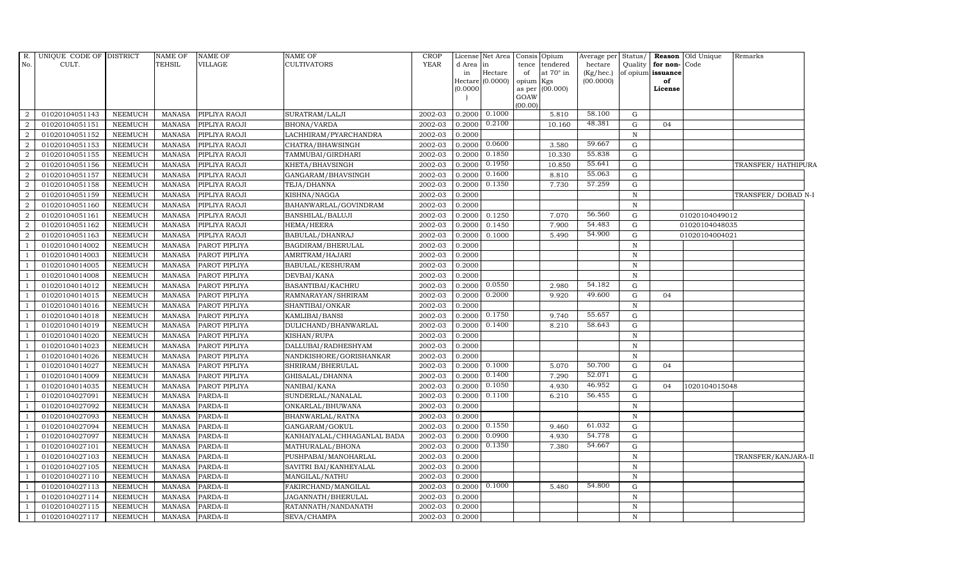| R.<br>No.      | UNIQUE CODE OF DISTRICT<br>CULT. |                | NAME OF<br><b>TEHSIL</b> | <b>NAME OF</b><br>VILLAGE | NAME OF<br><b>CULTIVATORS</b> | <b>CROP</b><br><b>YEAR</b> | d Area<br>in<br>(0.0000) | License Net Area<br>in<br>Hectare<br>Hectare $(0.0000)$ | Consis Opium<br>tence<br>of<br>opium Kgs<br>GOAW | tendered<br>at $70^\circ$ in<br>as per (00.000) | Average per Status/<br>hectare<br>(Kg/hec.)<br>(00.0000) | Quality      | for non-Code<br>of opium issuance<br>of<br>License | Reason Old Unique | Remarks             |  |
|----------------|----------------------------------|----------------|--------------------------|---------------------------|-------------------------------|----------------------------|--------------------------|---------------------------------------------------------|--------------------------------------------------|-------------------------------------------------|----------------------------------------------------------|--------------|----------------------------------------------------|-------------------|---------------------|--|
|                |                                  |                |                          |                           |                               |                            |                          |                                                         | (00.00)                                          |                                                 |                                                          |              |                                                    |                   |                     |  |
| 2              | 01020104051143                   | <b>NEEMUCH</b> | MANASA                   | PIPLIYA RAOJI             | SURATRAM/LALJI                | 2002-03                    | 0.2000                   | 0.1000                                                  |                                                  | 5.810                                           | 58.100                                                   | G            |                                                    |                   |                     |  |
| $\overline{2}$ | 01020104051151                   | <b>NEEMUCH</b> | <b>MANASA</b>            | PIPLIYA RAOJI             | <b>BHONA/VARDA</b>            | 2002-03                    | 0.2000                   | 0.2100                                                  |                                                  | 10.160                                          | 48.381                                                   | G            | 04                                                 |                   |                     |  |
| 2              | 01020104051152                   | <b>NEEMUCH</b> | <b>MANASA</b>            | PIPLIYA RAOJI             | LACHHIRAM/PYARCHANDRA         | 2002-03                    | 0.2000                   |                                                         |                                                  |                                                 |                                                          | $\mathbf N$  |                                                    |                   |                     |  |
| $\overline{2}$ | 01020104051153                   | <b>NEEMUCH</b> | <b>MANASA</b>            | PIPLIYA RAOJI             | CHATRA/BHAWSINGH              | 2002-03                    | 0.2000                   | 0.0600                                                  |                                                  | 3.580                                           | 59.667                                                   | G            |                                                    |                   |                     |  |
| $\overline{a}$ | 01020104051155                   | <b>NEEMUCH</b> | <b>MANASA</b>            | PIPLIYA RAOJI             | TAMMUBAI/GIRDHARI             | 2002-03                    | 0.2000                   | 0.1850                                                  |                                                  | 10.330                                          | 55.838                                                   | G            |                                                    |                   |                     |  |
| $\overline{2}$ | 01020104051156                   | <b>NEEMUCH</b> | <b>MANASA</b>            | PIPLIYA RAOJI             | KHETA/BHAVSINGH               | 2002-03                    | 0.2000                   | 0.1950                                                  |                                                  | 10.850                                          | 55.641                                                   | G            |                                                    |                   | TRANSFER/HATHIPURA  |  |
| $\overline{2}$ | 01020104051157                   | <b>NEEMUCH</b> | <b>MANASA</b>            | PIPLIYA RAOJI             | GANGARAM/BHAVSINGH            | 2002-03                    | 0.2000                   | 0.1600                                                  |                                                  | 8.810                                           | 55.063                                                   | ${\rm G}$    |                                                    |                   |                     |  |
| 2              | 01020104051158                   | <b>NEEMUCH</b> | <b>MANASA</b>            | PIPLIYA RAOJI             | TEJA/DHANNA                   | 2002-03                    | 0.2000                   | 0.1350                                                  |                                                  | 7.730                                           | 57.259                                                   | G            |                                                    |                   |                     |  |
| 2              | 01020104051159                   | <b>NEEMUCH</b> | <b>MANASA</b>            | PIPLIYA RAOJI             | KISHNA/NAGGA                  | 2002-03                    | 0.2000                   |                                                         |                                                  |                                                 |                                                          | $\mathbf N$  |                                                    |                   | TRANSFER/DOBAD N-I  |  |
| $\overline{2}$ | 01020104051160                   | <b>NEEMUCH</b> | <b>MANASA</b>            | PIPLIYA RAOJI             | BAHANWARLAL/GOVINDRAM         | 2002-03                    | 0.2000                   |                                                         |                                                  |                                                 |                                                          | $\mathbb N$  |                                                    |                   |                     |  |
| $\overline{2}$ | 01020104051161                   | <b>NEEMUCH</b> | <b>MANASA</b>            | PIPLIYA RAOJI             | BANSHILAL/BALUJI              | 2002-03                    | 0.2000                   | 0.1250                                                  |                                                  | 7.070                                           | 56.560                                                   | G            |                                                    | 01020104049012    |                     |  |
| 2              | 01020104051162                   | <b>NEEMUCH</b> | <b>MANASA</b>            | PIPLIYA RAOJI             | HEMA/HEERA                    | 2002-03                    | 0.2000                   | 0.1450                                                  |                                                  | 7.900                                           | 54.483                                                   | G            |                                                    | 01020104048035    |                     |  |
| 2              | 01020104051163                   | <b>NEEMUCH</b> | <b>MANASA</b>            | PIPLIYA RAOJI             | BABULAL/DHANRAJ               | 2002-03                    | 0.2000                   | 0.1000                                                  |                                                  | 5.490                                           | 54.900                                                   | G            |                                                    | 01020104004021    |                     |  |
| $\overline{1}$ | 01020104014002                   | <b>NEEMUCH</b> | <b>MANASA</b>            | PAROT PIPLIYA             | BAGDIRAM/BHERULAL             | 2002-03                    | 0.2000                   |                                                         |                                                  |                                                 |                                                          | $\mathbf N$  |                                                    |                   |                     |  |
| $\overline{1}$ | 01020104014003                   | <b>NEEMUCH</b> | <b>MANASA</b>            | PAROT PIPLIYA             | AMRITRAM/HAJARI               | 2002-03                    | 0.2000                   |                                                         |                                                  |                                                 |                                                          | $\, {\bf N}$ |                                                    |                   |                     |  |
| <sup>1</sup>   | 01020104014005                   | <b>NEEMUCH</b> | <b>MANASA</b>            | PAROT PIPLIYA             | BABULAL/KESHURAM              | 2002-03                    | 0.2000                   |                                                         |                                                  |                                                 |                                                          | $\mathbb N$  |                                                    |                   |                     |  |
| $\overline{1}$ | 01020104014008                   | <b>NEEMUCH</b> | <b>MANASA</b>            | PAROT PIPLIYA             | DEVBAI/KANA                   | 2002-03                    | 0.2000                   |                                                         |                                                  |                                                 |                                                          | $\mathbf N$  |                                                    |                   |                     |  |
| $\overline{1}$ | 01020104014012                   | <b>NEEMUCH</b> | <b>MANASA</b>            | PAROT PIPLIYA             | BASANTIBAI/KACHRU             | 2002-03                    | 0.2000                   | 0.0550                                                  |                                                  | 2.980                                           | 54.182                                                   | G            |                                                    |                   |                     |  |
| $\overline{1}$ | 01020104014015                   | <b>NEEMUCH</b> | <b>MANASA</b>            | PAROT PIPLIYA             | RAMNARAYAN/SHRIRAM            | 2002-03                    | 0.2000                   | 0.2000                                                  |                                                  | 9.920                                           | 49.600                                                   | G            | 04                                                 |                   |                     |  |
| $\overline{1}$ | 01020104014016                   | <b>NEEMUCH</b> | <b>MANASA</b>            | PAROT PIPLIYA             | SHANTIBAI/ONKAR               | 2002-03                    | 0.2000                   |                                                         |                                                  |                                                 |                                                          | $\mathbf N$  |                                                    |                   |                     |  |
| $\overline{1}$ | 01020104014018                   | <b>NEEMUCH</b> | <b>MANASA</b>            | PAROT PIPLIYA             | KAMLIBAI/BANSI                | 2002-03                    | 0.2000                   | 0.1750                                                  |                                                  | 9.740                                           | 55.657                                                   | G            |                                                    |                   |                     |  |
| $\overline{1}$ | 01020104014019                   | <b>NEEMUCH</b> | <b>MANASA</b>            | PAROT PIPLIYA             | DULICHAND/BHANWARLAL          | 2002-03                    | 0.2000                   | 0.1400                                                  |                                                  | 8.210                                           | 58.643                                                   | G            |                                                    |                   |                     |  |
| $\overline{1}$ | 01020104014020                   | <b>NEEMUCH</b> | <b>MANASA</b>            | PAROT PIPLIYA             | KISHAN/RUPA                   | 2002-03                    | 0.2000                   |                                                         |                                                  |                                                 |                                                          | $\mathbb N$  |                                                    |                   |                     |  |
|                | 01020104014023                   | <b>NEEMUCH</b> | <b>MANASA</b>            | PAROT PIPLIYA             | DALLUBAI/RADHESHYAM           | 2002-03                    | 0.2000                   |                                                         |                                                  |                                                 |                                                          | $\mathbf N$  |                                                    |                   |                     |  |
|                | 01020104014026                   | <b>NEEMUCH</b> | <b>MANASA</b>            | PAROT PIPLIYA             | NANDKISHORE/GORISHANKAR       | 2002-03                    | 0.2000                   |                                                         |                                                  |                                                 |                                                          | $\mathbf N$  |                                                    |                   |                     |  |
| - 1            | 01020104014027                   | <b>NEEMUCH</b> | <b>MANASA</b>            | PAROT PIPLIYA             | SHRIRAM/BHERULAL              | 2002-03                    | 0.2000                   | 0.1000                                                  |                                                  | 5.070                                           | 50.700                                                   | G            | 04                                                 |                   |                     |  |
| $\overline{1}$ | 01020104014009                   | <b>NEEMUCH</b> | <b>MANASA</b>            | PAROT PIPLIYA             | GHISALAL/DHANNA               | 2002-03                    | 0.2000                   | 0.1400                                                  |                                                  | 7.290                                           | 52.071                                                   | G            |                                                    |                   |                     |  |
| $\overline{1}$ | 01020104014035                   | <b>NEEMUCH</b> | <b>MANASA</b>            | PAROT PIPLIYA             | NANIBAI/KANA                  | 2002-03                    | 0.2000                   | 0.1050                                                  |                                                  | 4.930                                           | 46.952                                                   | G            | 04                                                 | 1020104015048     |                     |  |
| $\overline{1}$ | 01020104027091                   | <b>NEEMUCH</b> | <b>MANASA</b>            | PARDA-II                  | SUNDERLAL/NANALAL             | 2002-03                    | 0.2000                   | 0.1100                                                  |                                                  | 6.210                                           | 56.455                                                   | G            |                                                    |                   |                     |  |
|                | 01020104027092                   | <b>NEEMUCH</b> | <b>MANASA</b>            | PARDA-II                  | ONKARLAL/BHUWANA              | 2002-03                    | 0.2000                   |                                                         |                                                  |                                                 |                                                          | $\, {\bf N}$ |                                                    |                   |                     |  |
| $\overline{1}$ | 01020104027093                   | <b>NEEMUCH</b> | <b>MANASA</b>            | PARDA-II                  | BHANWARLAL/RATNA              | 2002-03                    | 0.2000                   |                                                         |                                                  |                                                 |                                                          | $\mathbb N$  |                                                    |                   |                     |  |
| $\overline{1}$ | 01020104027094                   | <b>NEEMUCH</b> | <b>MANASA</b>            | PARDA-II                  | GANGARAM/GOKUL                | 2002-03                    | 0.2000                   | 0.1550                                                  |                                                  | 9.460                                           | 61.032                                                   | G            |                                                    |                   |                     |  |
| $\overline{1}$ | 01020104027097                   | <b>NEEMUCH</b> | <b>MANASA</b>            | PARDA-II                  | KANHAIYALAL/CHHAGANLAL BADA   | 2002-03                    | 0.2000                   | 0.0900                                                  |                                                  | 4.930                                           | 54.778                                                   | G            |                                                    |                   |                     |  |
| $\overline{1}$ | 01020104027101                   | <b>NEEMUCH</b> | <b>MANASA</b>            | PARDA-II                  | MATHURALAL/BHONA              | 2002-03                    | 0.2000                   | 0.1350                                                  |                                                  | 7.380                                           | 54.667                                                   | G            |                                                    |                   |                     |  |
|                | 01020104027103                   | <b>NEEMUCH</b> | <b>MANASA</b>            | PARDA-II                  | PUSHPABAI/MANOHARLAL          | 2002-03                    | 0.2000                   |                                                         |                                                  |                                                 |                                                          | $\, {\bf N}$ |                                                    |                   | TRANSFER/KANJARA-II |  |
| $\overline{1}$ | 01020104027105                   | <b>NEEMUCH</b> | <b>MANASA</b>            | PARDA-II                  | SAVITRI BAI/KANHEYALAL        | 2002-03                    | 0.2000                   |                                                         |                                                  |                                                 |                                                          | $\mathbb N$  |                                                    |                   |                     |  |
| - 1            | 01020104027110                   | <b>NEEMUCH</b> | <b>MANASA</b>            | PARDA-II                  | MANGILAL/NATHU                | 2002-03                    | 0.2000                   |                                                         |                                                  |                                                 |                                                          | $\mathbb N$  |                                                    |                   |                     |  |
| $\overline{1}$ | 01020104027113                   | <b>NEEMUCH</b> | <b>MANASA</b>            | PARDA-II                  | FAKIRCHAND/MANGILAL           | 2002-03                    | 0.2000                   | 0.1000                                                  |                                                  | 5.480                                           | 54.800                                                   | G            |                                                    |                   |                     |  |
| $\overline{1}$ | 01020104027114                   | <b>NEEMUCH</b> | <b>MANASA</b>            | PARDA-II                  | JAGANNATH/BHERULAL            | 2002-03                    | 0.2000                   |                                                         |                                                  |                                                 |                                                          | $\mathbf N$  |                                                    |                   |                     |  |
|                | 01020104027115                   | <b>NEEMUCH</b> | <b>MANASA</b>            | PARDA-II                  | RATANNATH/NANDANATH           | 2002-03                    | 0.2000                   |                                                         |                                                  |                                                 |                                                          | $\mathbf N$  |                                                    |                   |                     |  |
| $\mathbf{1}$   | 01020104027117                   | <b>NEEMUCH</b> | <b>MANASA</b>            | PARDA-II                  | SEVA/CHAMPA                   | 2002-03                    | 0.2000                   |                                                         |                                                  |                                                 |                                                          | $\mathbf N$  |                                                    |                   |                     |  |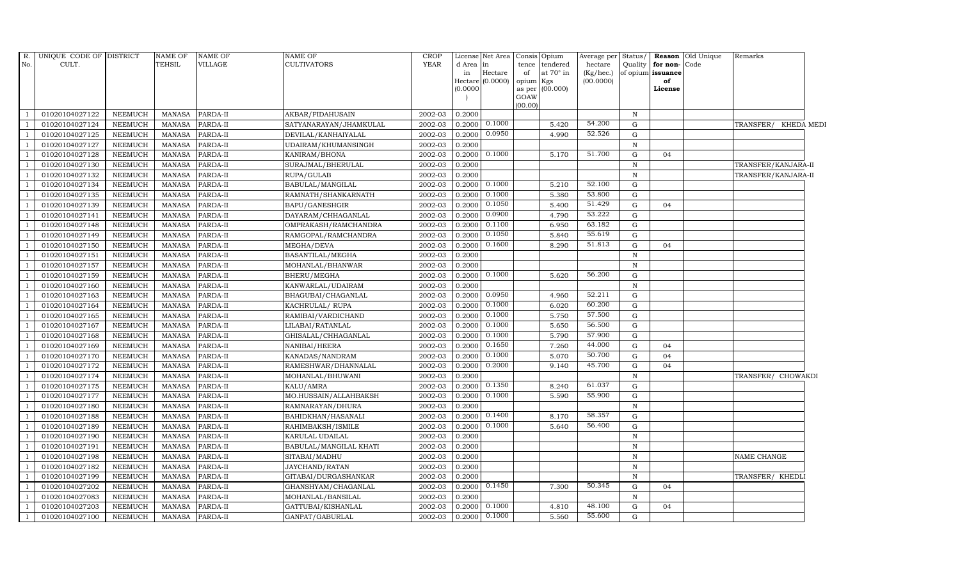|     | R. UNIQUE CODE OF DISTRICT |                | <b>NAME OF</b> | <b>NAME OF</b> | NAME OF                | <b>CROP</b> |           | License Net Area Consis     |                 | Opium            | Average per               | Status/      |                         | Reason Old Unique | Remarks                 |
|-----|----------------------------|----------------|----------------|----------------|------------------------|-------------|-----------|-----------------------------|-----------------|------------------|---------------------------|--------------|-------------------------|-------------------|-------------------------|
| No. | CULT.                      |                | <b>TEHSIL</b>  | <b>VILLAGE</b> | CULTIVATORS            | <b>YEAR</b> | d Area in |                             | tence           | tendered         | hectare                   | Quality      | for non-Code            |                   |                         |
|     |                            |                |                |                |                        |             | in        | Hectare<br>Hectare (0.0000) | of<br>opium Kgs | at $70^\circ$ in | $(Kg/$ hec.)<br>(00.0000) |              | of opium issuance<br>of |                   |                         |
|     |                            |                |                |                |                        |             | (0.0000)  |                             | as per          | (00.000)         |                           |              | License                 |                   |                         |
|     |                            |                |                |                |                        |             |           |                             | GOAW            |                  |                           |              |                         |                   |                         |
|     |                            |                |                |                |                        |             |           |                             | (00.00)         |                  |                           |              |                         |                   |                         |
|     | 01020104027122             | NEEMUCH        | MANASA         | PARDA-II       | AKBAR/FIDAHUSAIN       | 2002-03     | 0.2000    |                             |                 |                  |                           | $\, {\rm N}$ |                         |                   |                         |
|     | 01020104027124             | NEEMUCH        | <b>MANASA</b>  | PARDA-II       | SATYANARAYAN/JHAMKULAL | 2002-03     | 0.2000    | 0.1000                      |                 | 5.420            | 54.200                    | $\mathbf G$  |                         |                   | TRANSFER/<br>KHEDA MEDI |
|     | 01020104027125             | <b>NEEMUCH</b> | <b>MANASA</b>  | PARDA-II       | DEVILAL/KANHAIYALAL    | 2002-03     | 0.2000    | 0.0950                      |                 | 4.990            | 52.526                    | ${\rm G}$    |                         |                   |                         |
|     | 01020104027127             | <b>NEEMUCH</b> | <b>MANASA</b>  | PARDA-II       | UDAIRAM/KHUMANSINGH    | 2002-03     | 0.2000    |                             |                 |                  |                           | $\, {\rm N}$ |                         |                   |                         |
|     | 01020104027128             | <b>NEEMUCH</b> | <b>MANASA</b>  | PARDA-II       | KANIRAM/BHONA          | 2002-03     | 0.2000    | 0.1000                      |                 | 5.170            | 51.700                    | $\mathbf G$  | 04                      |                   |                         |
|     | 01020104027130             | <b>NEEMUCH</b> | <b>MANASA</b>  | PARDA-II       | SURAJMAL/BHERULAL      | 2002-03     | 0.2000    |                             |                 |                  |                           | $\mathbf N$  |                         |                   | TRANSFER/KANJARA-II     |
|     | 01020104027132             | <b>NEEMUCH</b> | <b>MANASA</b>  | PARDA-II       | RUPA/GULAB             | 2002-03     | 0.2000    |                             |                 |                  |                           | $\, {\rm N}$ |                         |                   | TRANSFER/KANJARA-II     |
|     | 01020104027134             | <b>NEEMUCH</b> | <b>MANASA</b>  | PARDA-II       | BABULAL/MANGILAL       | 2002-03     | 0.2000    | 0.1000                      |                 | 5.210            | 52.100                    | G            |                         |                   |                         |
|     | 01020104027135             | <b>NEEMUCH</b> | <b>MANASA</b>  | PARDA-II       | RAMNATH/SHANKARNATH    | 2002-03     | 0.2000    | 0.1000                      |                 | 5.380            | 53.800                    | $\mathbf G$  |                         |                   |                         |
|     | 01020104027139             | NEEMUCH        | <b>MANASA</b>  | PARDA-II       | BAPU/GANESHGIR         | 2002-03     | 0.2000    | 0.1050                      |                 | 5.400            | 51.429                    | ${\rm G}$    | 04                      |                   |                         |
|     | 01020104027141             | <b>NEEMUCH</b> | <b>MANASA</b>  | PARDA-II       | DAYARAM/CHHAGANLAL     | 2002-03     | 0.2000    | 0.0900                      |                 | 4.790            | 53.222                    | $\mathbf G$  |                         |                   |                         |
|     | 01020104027148             | <b>NEEMUCH</b> | <b>MANASA</b>  | PARDA-II       | OMPRAKASH/RAMCHANDRA   | 2002-03     | 0.2000    | 0.1100                      |                 | 6.950            | 63.182                    | G            |                         |                   |                         |
|     | 01020104027149             | <b>NEEMUCH</b> | <b>MANASA</b>  | PARDA-II       | RAMGOPAL/RAMCHANDRA    | 2002-03     | 0.2000    | 0.1050                      |                 | 5.840            | 55.619                    | $\mathbf G$  |                         |                   |                         |
|     | 01020104027150             | <b>NEEMUCH</b> | <b>MANASA</b>  | PARDA-II       | MEGHA/DEVA             | 2002-03     | 0.2000    | 0.1600                      |                 | 8.290            | 51.813                    | $\mathbf G$  | 04                      |                   |                         |
|     | 01020104027151             | NEEMUCH        | <b>MANASA</b>  | PARDA-II       | BASANTILAL/MEGHA       | 2002-03     | 0.2000    |                             |                 |                  |                           | $\, {\rm N}$ |                         |                   |                         |
|     | 01020104027157             | <b>NEEMUCH</b> | <b>MANASA</b>  | PARDA-II       | MOHANLAL/BHANWAR       | 2002-03     | 0.2000    |                             |                 |                  |                           | $\, {\rm N}$ |                         |                   |                         |
|     | 01020104027159             | <b>NEEMUCH</b> | <b>MANASA</b>  | PARDA-II       | BHERU/MEGHA            | 2002-03     | 0.2000    | 0.1000                      |                 | 5.620            | 56.200                    | $\mathbf G$  |                         |                   |                         |
|     | 01020104027160             | <b>NEEMUCH</b> | MANASA         | PARDA-II       | KANWARLAL/UDAIRAM      | 2002-03     | 0.2000    |                             |                 |                  |                           | $\, {\rm N}$ |                         |                   |                         |
|     | 01020104027163             | <b>NEEMUCH</b> | <b>MANASA</b>  | PARDA-II       | BHAGUBAI/CHAGANLAL     | 2002-03     | 0.2000    | 0.0950                      |                 | 4.960            | 52.211                    | $\mathbf G$  |                         |                   |                         |
|     | 01020104027164             | NEEMUCH        | <b>MANASA</b>  | PARDA-II       | KACHRULAL/RUPA         | 2002-03     | 0.2000    | 0.1000                      |                 | 6.020            | 60.200                    | $\mathbf G$  |                         |                   |                         |
|     | 01020104027165             | <b>NEEMUCH</b> | <b>MANASA</b>  | PARDA-II       | RAMIBAI/VARDICHAND     | 2002-03     | 0.2000    | 0.1000                      |                 | 5.750            | 57.500                    | $\mathbf G$  |                         |                   |                         |
|     | 01020104027167             | <b>NEEMUCH</b> | <b>MANASA</b>  | PARDA-II       | LILABAI/RATANLAL       | 2002-03     | 0.2000    | 0.1000                      |                 | 5.650            | 56.500                    | G            |                         |                   |                         |
|     | 01020104027168             | <b>NEEMUCH</b> | <b>MANASA</b>  | PARDA-II       | GHISALAL/CHHAGANLAL    | 2002-03     | 0.2000    | 0.1000                      |                 | 5.790            | 57.900                    | ${\rm G}$    |                         |                   |                         |
|     | 01020104027169             | <b>NEEMUCH</b> | <b>MANASA</b>  | PARDA-II       | NANIBAI/HEERA          | 2002-03     | 0.2000    | 0.1650                      |                 | 7.260            | 44.000                    | ${\rm G}$    | 04                      |                   |                         |
|     | 01020104027170             | <b>NEEMUCH</b> | <b>MANASA</b>  | PARDA-II       | KANADAS/NANDRAM        | 2002-03     | 0.2000    | 0.1000                      |                 | 5.070            | 50.700                    | $\mathbf G$  | 04                      |                   |                         |
|     | 01020104027172             | <b>NEEMUCH</b> | <b>MANASA</b>  | PARDA-II       | RAMESHWAR/DHANNALAL    | 2002-03     | 0.2000    | 0.2000                      |                 | 9.140            | 45.700                    | $\mathbf G$  | 04                      |                   |                         |
|     | 01020104027174             | <b>NEEMUCH</b> | <b>MANASA</b>  | PARDA-II       | MOHANLAL/BHUWANI       | 2002-03     | 0.2000    |                             |                 |                  |                           | $\, {\rm N}$ |                         |                   | TRANSFER/ CHOWAKDI      |
|     | 01020104027175             | <b>NEEMUCH</b> | <b>MANASA</b>  | PARDA-II       | KALU/AMRA              | 2002-03     | 0.2000    | 0.1350                      |                 | 8.240            | 61.037                    | ${\bf G}$    |                         |                   |                         |
|     | 01020104027177             | <b>NEEMUCH</b> | <b>MANASA</b>  | PARDA-II       | MO.HUSSAIN/ALLAHBAKSH  | 2002-03     | 0.2000    | 0.1000                      |                 | 5.590            | 55.900                    | ${\rm G}$    |                         |                   |                         |
|     | 01020104027180             | <b>NEEMUCH</b> | <b>MANASA</b>  | PARDA-II       | RAMNARAYAN/DHURA       | 2002-03     | 0.2000    |                             |                 |                  |                           | $\, {\rm N}$ |                         |                   |                         |
|     | 01020104027188             | NEEMUCH        | <b>MANASA</b>  | PARDA-II       | BAHIDKHAN/HASANALI     | 2002-03     | 0.2000    | 0.1400                      |                 | 8.170            | 58.357                    | ${\bf G}$    |                         |                   |                         |
|     | 01020104027189             | <b>NEEMUCH</b> | <b>MANASA</b>  | PARDA-II       | RAHIMBAKSH/ISMILE      | 2002-03     | 0.2000    | 0.1000                      |                 | 5.640            | 56.400                    | $\mathbf G$  |                         |                   |                         |
|     | 01020104027190             | <b>NEEMUCH</b> | <b>MANASA</b>  | PARDA-II       | KARULAL UDAILAL        | 2002-03     | 0.2000    |                             |                 |                  |                           | $\, {\rm N}$ |                         |                   |                         |
|     | 01020104027191             | <b>NEEMUCH</b> | <b>MANASA</b>  | PARDA-II       | BABULAL/MANGILAL KHATI | 2002-03     | 0.2000    |                             |                 |                  |                           | $\mathbf N$  |                         |                   |                         |
|     | 01020104027198             | <b>NEEMUCH</b> | <b>MANASA</b>  | PARDA-II       | SITABAI/MADHU          | 2002-03     | 0.2000    |                             |                 |                  |                           | $\, {\rm N}$ |                         |                   | NAME CHANGE             |
|     | 01020104027182             | <b>NEEMUCH</b> | <b>MANASA</b>  | PARDA-II       | JAYCHAND/RATAN         | 2002-03     | 0.2000    |                             |                 |                  |                           | $\, {\rm N}$ |                         |                   |                         |
|     | 01020104027199             | <b>NEEMUCH</b> | <b>MANASA</b>  | PARDA-II       | GITABAI/DURGASHANKAR   | 2002-03     | 0.2000    |                             |                 |                  |                           | $\, {\rm N}$ |                         |                   | TRANSFER/ KHEDLI        |
|     | 01020104027202             | <b>NEEMUCH</b> | <b>MANASA</b>  | PARDA-II       | GHANSHYAM/CHAGANLAL    | 2002-03     |           | $0.2000$ $0.1450$           |                 | 7.300            | 50.345                    | $\mathbf G$  | 04                      |                   |                         |
|     | 01020104027083             | <b>NEEMUCH</b> | <b>MANASA</b>  | PARDA-II       | MOHANLAL/BANSILAL      | 2002-03     | 0.2000    |                             |                 |                  |                           | $\mathbf N$  |                         |                   |                         |
|     | 01020104027203             | <b>NEEMUCH</b> | <b>MANASA</b>  | PARDA-II       | GATTUBAI/KISHANLAL     | 2002-03     | 0.2000    | 0.1000                      |                 | 4.810            | 48.100                    | G            | 04                      |                   |                         |
|     | 01020104027100             | <b>NEEMUCH</b> | MANASA         | PARDA-II       | GANPAT/GABURLAL        | 2002-03     | 0.2000    | 0.1000                      |                 | 5.560            | 55.600                    | G            |                         |                   |                         |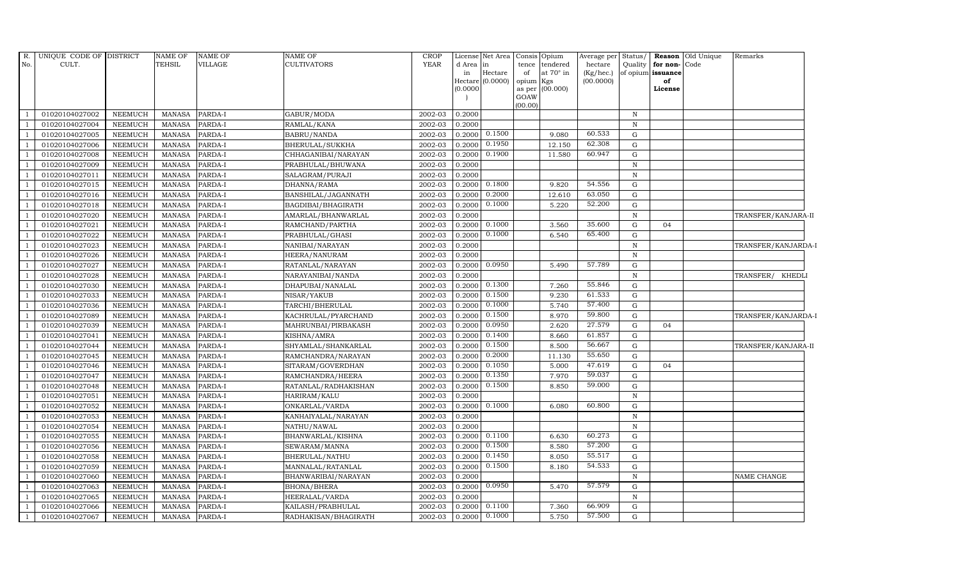| R.             | UNIQUE CODE OF DISTRICT |                | <b>NAME OF</b> | <b>NAME OF</b> | <b>NAME OF</b>         | CROP        |           | License Net Area            | Consis Opium    |                  | Average per               | Status/      |                         | Reason Old Unique | Remarks                    |  |
|----------------|-------------------------|----------------|----------------|----------------|------------------------|-------------|-----------|-----------------------------|-----------------|------------------|---------------------------|--------------|-------------------------|-------------------|----------------------------|--|
| No.            | CULT.                   |                | TEHSIL         | <b>VILLAGE</b> | <b>CULTIVATORS</b>     | <b>YEAR</b> | d Area in |                             |                 | tence tendered   | hectare                   | Quality      | for non-Code            |                   |                            |  |
|                |                         |                |                |                |                        |             | in        | Hectare<br>Hectare (0.0000) | of<br>opium Kgs | at $70^\circ$ in | $(Kg/$ hec.)<br>(00.0000) |              | of opium issuance<br>of |                   |                            |  |
|                |                         |                |                |                |                        |             | (0.0000)  |                             |                 | as per (00.000)  |                           |              | License                 |                   |                            |  |
|                |                         |                |                |                |                        |             |           |                             | GOAW            |                  |                           |              |                         |                   |                            |  |
|                |                         |                |                |                |                        |             |           |                             | (00.00)         |                  |                           |              |                         |                   |                            |  |
|                | 01020104027002          | <b>NEEMUCH</b> | <b>MANASA</b>  | PARDA-I        | GABUR/MODA             | 2002-03     | 0.2000    |                             |                 |                  |                           | $\,$ N       |                         |                   |                            |  |
|                | 01020104027004          | <b>NEEMUCH</b> | <b>MANASA</b>  | PARDA-I        | RAMLAL/KANA            | 2002-03     | 0.2000    |                             |                 |                  |                           | $\mathbb N$  |                         |                   |                            |  |
|                | 01020104027005          | <b>NEEMUCH</b> | <b>MANASA</b>  | PARDA-I        | <b>BABRU/NANDA</b>     | 2002-03     | 0.2000    | 0.1500                      |                 | 9.080            | 60.533                    | G            |                         |                   |                            |  |
|                | 01020104027006          | <b>NEEMUCH</b> | <b>MANASA</b>  | PARDA-I        | <b>BHERULAL/SUKKHA</b> | 2002-03     | 0.2000    | 0.1950                      |                 | 12.150           | 62.308                    | G            |                         |                   |                            |  |
|                | 01020104027008          | <b>NEEMUCH</b> | <b>MANASA</b>  | PARDA-I        | CHHAGANIBAI/NARAYAN    | 2002-03     | 0.2000    | 0.1900                      |                 | 11.580           | 60.947                    | $\mathbf G$  |                         |                   |                            |  |
|                | 01020104027009          | <b>NEEMUCH</b> | <b>MANASA</b>  | PARDA-I        | PRABHULAL/BHUWANA      | 2002-03     | 0.2000    |                             |                 |                  |                           | $\,$ N       |                         |                   |                            |  |
|                | 01020104027011          | <b>NEEMUCH</b> | <b>MANASA</b>  | PARDA-I        | SALAGRAM/PURAJI        | 2002-03     | 0.2000    |                             |                 |                  |                           | $\, {\rm N}$ |                         |                   |                            |  |
|                | 01020104027015          | <b>NEEMUCH</b> | <b>MANASA</b>  | PARDA-I        | DHANNA/RAMA            | 2002-03     | 0.2000    | 0.1800                      |                 | 9.820            | 54.556                    | G            |                         |                   |                            |  |
|                | 01020104027016          | <b>NEEMUCH</b> | <b>MANASA</b>  | PARDA-I        | BANSHILAL/JAGANNATH    | 2002-03     | 0.2000    | 0.2000                      |                 | 12.610           | 63.050                    | G            |                         |                   |                            |  |
|                | 01020104027018          | <b>NEEMUCH</b> | <b>MANASA</b>  | PARDA-I        | BAGDIBAI/BHAGIRATH     | 2002-03     | 0.2000    | 0.1000                      |                 | 5.220            | 52.200                    | G            |                         |                   |                            |  |
| $\overline{1}$ | 01020104027020          | <b>NEEMUCH</b> | <b>MANASA</b>  | PARDA-I        | AMARLAL/BHANWARLAL     | 2002-03     | 0.2000    |                             |                 |                  |                           | N            |                         |                   | TRANSFER/KANJARA-II        |  |
|                | 01020104027021          | <b>NEEMUCH</b> | <b>MANASA</b>  | PARDA-I        | RAMCHAND/PARTHA        | 2002-03     | 0.2000    | 0.1000                      |                 | 3.560            | 35.600                    | $\mathbf G$  | 04                      |                   |                            |  |
|                | 01020104027022          | <b>NEEMUCH</b> | <b>MANASA</b>  | PARDA-I        | PRABHULAL/GHASI        | 2002-03     | 0.2000    | 0.1000                      |                 | 6.540            | 65.400                    | G            |                         |                   |                            |  |
|                | 01020104027023          | <b>NEEMUCH</b> | <b>MANASA</b>  | PARDA-I        | NANIBAI/NARAYAN        | 2002-03     | 0.2000    |                             |                 |                  |                           | $\,$ N       |                         |                   | TRANSFER/KANJARDA-I        |  |
|                | 01020104027026          | <b>NEEMUCH</b> | <b>MANASA</b>  | PARDA-I        | HEERA/NANURAM          | 2002-03     | 0.2000    |                             |                 |                  |                           | $\, {\rm N}$ |                         |                   |                            |  |
|                | 01020104027027          | <b>NEEMUCH</b> | <b>MANASA</b>  | PARDA-I        | RATANLAL/NARAYAN       | 2002-03     | 0.2000    | 0.0950                      |                 | 5.490            | 57.789                    | $\mathbf G$  |                         |                   |                            |  |
|                | 01020104027028          | <b>NEEMUCH</b> | <b>MANASA</b>  | PARDA-I        | NARAYANIBAI/NANDA      | 2002-03     | 0.2000    |                             |                 |                  |                           | $\,$ N       |                         |                   | TRANSFER/<br><b>KHEDLI</b> |  |
|                | 01020104027030          | <b>NEEMUCH</b> | <b>MANASA</b>  | PARDA-I        | DHAPUBAI/NANALAL       | 2002-03     | 0.2000    | 0.1300                      |                 | 7.260            | 55.846                    | G            |                         |                   |                            |  |
|                | 01020104027033          | <b>NEEMUCH</b> | <b>MANASA</b>  | PARDA-I        | NISAR/YAKUB            | 2002-03     | 0.2000    | 0.1500                      |                 | 9.230            | 61.533                    | $\mathbf G$  |                         |                   |                            |  |
|                | 01020104027036          | <b>NEEMUCH</b> | <b>MANASA</b>  | PARDA-I        | TARCHI/BHERULAL        | 2002-03     | 0.2000    | 0.1000                      |                 | 5.740            | 57.400                    | $\mathbf G$  |                         |                   |                            |  |
| $\overline{1}$ | 01020104027089          | <b>NEEMUCH</b> | <b>MANASA</b>  | PARDA-I        | KACHRULAL/PYARCHAND    | 2002-03     | 0.2000    | 0.1500                      |                 | 8.970            | 59.800                    | G            |                         |                   | TRANSFER/KANJARDA-I        |  |
|                | 01020104027039          | <b>NEEMUCH</b> | <b>MANASA</b>  | PARDA-I        | MAHRUNBAI/PIRBAKASH    | 2002-03     | 0.2000    | 0.0950                      |                 | 2.620            | 27.579                    | $\mathbf G$  | 04                      |                   |                            |  |
|                | 01020104027041          | <b>NEEMUCH</b> | <b>MANASA</b>  | PARDA-I        | KISHNA/AMRA            | 2002-03     | 0.2000    | 0.1400                      |                 | 8.660            | 61.857                    | G            |                         |                   |                            |  |
|                | 01020104027044          | <b>NEEMUCH</b> | <b>MANASA</b>  | PARDA-I        | SHYAMLAL/SHANKARLAL    | 2002-03     | 0.2000    | 0.1500                      |                 | 8.500            | 56.667                    | G            |                         |                   | TRANSFER/KANJARA-II        |  |
|                | 01020104027045          | <b>NEEMUCH</b> | <b>MANASA</b>  | PARDA-I        | RAMCHANDRA/NARAYAN     | 2002-03     | 0.2000    | 0.2000                      |                 | 11.130           | 55.650                    | $\mathbf G$  |                         |                   |                            |  |
|                | 01020104027046          | <b>NEEMUCH</b> | MANASA         | PARDA-I        | SITARAM/GOVERDHAN      | 2002-03     | 0.2000    | 0.1050                      |                 | 5.000            | 47.619                    | $\mathbf G$  | 04                      |                   |                            |  |
|                | 01020104027047          | <b>NEEMUCH</b> | <b>MANASA</b>  | PARDA-I        | RAMCHANDRA/HEERA       | 2002-03     | 0.2000    | 0.1350                      |                 | 7.970            | 59.037                    | ${\rm G}$    |                         |                   |                            |  |
|                | 01020104027048          | <b>NEEMUCH</b> | <b>MANASA</b>  | PARDA-I        | RATANLAL/RADHAKISHAN   | 2002-03     | 0.2000    | 0.1500                      |                 | 8.850            | 59.000                    | $\mathbf G$  |                         |                   |                            |  |
|                | 01020104027051          | <b>NEEMUCH</b> | <b>MANASA</b>  | PARDA-I        | HARIRAM/KALU           | 2002-03     | 0.2000    |                             |                 |                  |                           | $\mathbb N$  |                         |                   |                            |  |
|                | 01020104027052          | <b>NEEMUCH</b> | <b>MANASA</b>  | PARDA-I        | ONKARLAL/VARDA         | 2002-03     | 0.2000    | 0.1000                      |                 | 6.080            | 60.800                    | $\mathbf G$  |                         |                   |                            |  |
|                | 01020104027053          | <b>NEEMUCH</b> | <b>MANASA</b>  | PARDA-I        | KANHAIYALAL/NARAYAN    | 2002-03     | 0.2000    |                             |                 |                  |                           | $\,$ N       |                         |                   |                            |  |
|                | 01020104027054          | <b>NEEMUCH</b> | <b>MANASA</b>  | PARDA-I        | NATHU/NAWAL            | 2002-03     | 0.2000    |                             |                 |                  |                           | $\mathbb N$  |                         |                   |                            |  |
|                | 01020104027055          | <b>NEEMUCH</b> | <b>MANASA</b>  | PARDA-I        | BHANWARLAL/KISHNA      | 2002-03     | 0.2000    | 0.1100                      |                 | 6.630            | 60.273                    | G            |                         |                   |                            |  |
|                | 01020104027056          | <b>NEEMUCH</b> | <b>MANASA</b>  | PARDA-I        | SEWARAM/MANNA          | 2002-03     | 0.2000    | 0.1500                      |                 | 8.580            | 57.200                    | G            |                         |                   |                            |  |
|                | 01020104027058          | <b>NEEMUCH</b> | <b>MANASA</b>  | PARDA-I        | BHERULAL/NATHU         | 2002-03     | 0.2000    | 0.1450                      |                 | 8.050            | 55.517                    | G            |                         |                   |                            |  |
|                | 01020104027059          | <b>NEEMUCH</b> | <b>MANASA</b>  | PARDA-I        | MANNALAL/RATANLAL      | 2002-03     | 0.2000    | 0.1500                      |                 | 8.180            | 54.533                    | G            |                         |                   |                            |  |
|                | 01020104027060          | <b>NEEMUCH</b> | <b>MANASA</b>  | PARDA-I        | BHANWARIBAI/NARAYAN    | 2002-03     | 0.2000    |                             |                 |                  |                           | $\,$ N       |                         |                   | NAME CHANGE                |  |
|                | 01020104027063          | <b>NEEMUCH</b> | <b>MANASA</b>  | PARDA-I        | <b>BHONA/BHERA</b>     | 2002-03     | 0.2000    | 0.0950                      |                 | 5.470            | 57.579                    | G            |                         |                   |                            |  |
|                | 01020104027065          | <b>NEEMUCH</b> | <b>MANASA</b>  | PARDA-I        | HEERALAL/VARDA         | 2002-03     | 0.2000    |                             |                 |                  |                           | $\mathbb N$  |                         |                   |                            |  |
|                | 01020104027066          | <b>NEEMUCH</b> | <b>MANASA</b>  | PARDA-I        | KAILASH/PRABHULAL      | 2002-03     | 0.2000    | 0.1100                      |                 | 7.360            | 66.909                    | $\mathbf G$  |                         |                   |                            |  |
|                | 01020104027067          | <b>NEEMUCH</b> | MANASA         | PARDA-I        | RADHAKISAN/BHAGIRATH   | 2002-03     | 0.2000    | 0.1000                      |                 | 5.750            | 57.500                    | $\mathbf G$  |                         |                   |                            |  |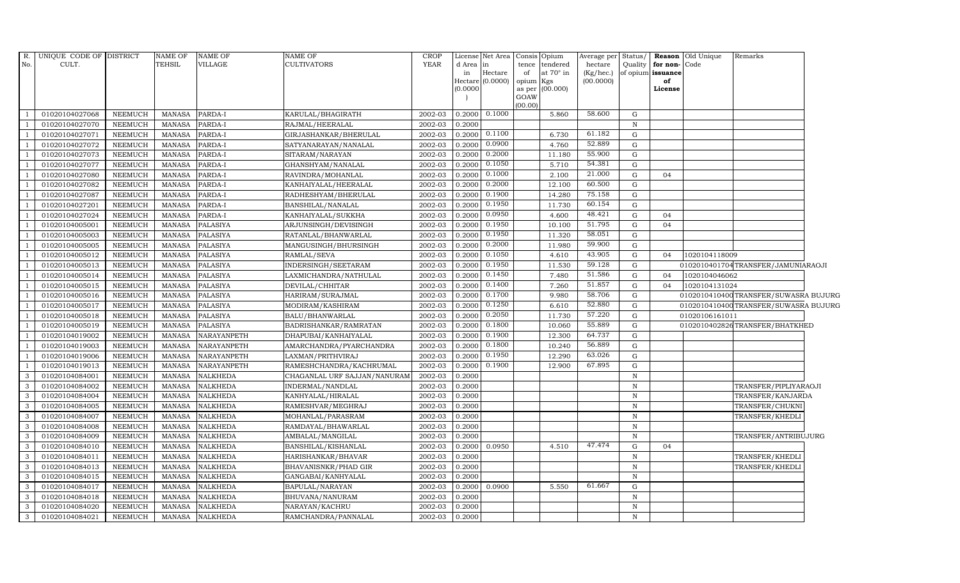| R.            | UNIQUE CODE OF DISTRICT |                | NAME OF       | <b>NAME OF</b>     | NAME OF                      | <b>CROP</b> |           | License Net Area Consis Opium |                 |                  | Average per | Status/      |                   | <b>Reason</b> Old Unique | Remarks                              |  |
|---------------|-------------------------|----------------|---------------|--------------------|------------------------------|-------------|-----------|-------------------------------|-----------------|------------------|-------------|--------------|-------------------|--------------------------|--------------------------------------|--|
| No.           | CULT.                   |                | TEHSIL        | VILLAGE            | <b>CULTIVATORS</b>           | <b>YEAR</b> | d Area in |                               | tence           | tendered         | hectare     | Quality      | for non-          | Code                     |                                      |  |
|               |                         |                |               |                    |                              |             | in        | $\rm{Hectare}$                | of              | at $70^\circ$ in | (Kg/hec.)   |              | of opium issuance |                          |                                      |  |
|               |                         |                |               |                    |                              |             | (0.0000)  | Hectare (0.0000)              | opium<br>as per | Kgs<br>(00.000)  | (00.0000)   |              | of<br>License     |                          |                                      |  |
|               |                         |                |               |                    |                              |             |           |                               | GOAW            |                  |             |              |                   |                          |                                      |  |
|               |                         |                |               |                    |                              |             |           |                               | (00.00)         |                  |             |              |                   |                          |                                      |  |
|               | 01020104027068          | NEEMUCH        | MANASA        | PARDA-I            | KARULAL/BHAGIRATH            | 2002-03     | 0.2000    | 0.1000                        |                 | 5.860            | 58.600      | G            |                   |                          |                                      |  |
|               | 01020104027070          | NEEMUCH        | <b>MANASA</b> | PARDA-I            | RAJMAL/HEERALAL              | 2002-03     | 0.2000    |                               |                 |                  |             | $\, {\bf N}$ |                   |                          |                                      |  |
|               | 01020104027071          | NEEMUCH        | <b>MANASA</b> | PARDA-I            | GIRJASHANKAR/BHERULAL        | 2002-03     | 0.2000    | 0.1100                        |                 | 6.730            | 61.182      | G            |                   |                          |                                      |  |
|               | 01020104027072          | <b>NEEMUCH</b> | <b>MANASA</b> | PARDA-I            | SATYANARAYAN/NANALAL         | 2002-03     | 0.2000    | 0.0900                        |                 | 4.760            | 52.889      | $\mathbf G$  |                   |                          |                                      |  |
|               | 01020104027073          | <b>NEEMUCH</b> | <b>MANASA</b> | PARDA-I            | SITARAM/NARAYAN              | 2002-03     | 0.2000    | 0.2000                        |                 | 11.180           | 55.900      | ${\rm G}$    |                   |                          |                                      |  |
|               | 01020104027077          | NEEMUCH        | MANASA        | PARDA-I            | GHANSHYAM/NANALAL            | 2002-03     | 0.2000    | 0.1050                        |                 | 5.710            | 54.381      | ${\rm G}$    |                   |                          |                                      |  |
|               | 01020104027080          | <b>NEEMUCH</b> | <b>MANASA</b> | PARDA-I            | RAVINDRA/MOHANLAL            | 2002-03     | 0.2000    | 0.1000                        |                 | 2.100            | 21.000      | $\mathbf G$  | 04                |                          |                                      |  |
|               | 01020104027082          | <b>NEEMUCH</b> | <b>MANASA</b> | PARDA-I            | KANHAIYALAL/HEERALAL         | 2002-03     | 0.2000    | 0.2000                        |                 | 12.100           | 60.500      | $\mathbf G$  |                   |                          |                                      |  |
|               | 01020104027087          | <b>NEEMUCH</b> | <b>MANASA</b> | PARDA-I            | RADHESHYAM/BHERULAL          | 2002-03     | 0.2000    | 0.1900                        |                 | 14.280           | 75.158      | $\mathbf G$  |                   |                          |                                      |  |
|               | 01020104027201          | <b>NEEMUCH</b> | <b>MANASA</b> | PARDA-I            | BANSHILAL/NANALAL            | 2002-03     | 0.2000    | 0.1950                        |                 | 11.730           | 60.154      | ${\rm G}$    |                   |                          |                                      |  |
|               | 01020104027024          | NEEMUCH        | <b>MANASA</b> | PARDA-I            | KANHAIYALAL/SUKKHA           | 2002-03     | 0.2000    | 0.0950                        |                 | 4.600            | 48.421      | ${\rm G}$    | 04                |                          |                                      |  |
|               | 01020104005001          | <b>NEEMUCH</b> | <b>MANASA</b> | <b>PALASIYA</b>    | ARJUNSINGH/DEVISINGH         | 2002-03     | 0.2000    | 0.1950                        |                 | 10.100           | 51.795      | ${\rm G}$    | 04                |                          |                                      |  |
|               | 01020104005003          | <b>NEEMUCH</b> | <b>MANASA</b> | <b>PALASIYA</b>    | RATANLAL/BHANWARLAL          | 2002-03     | 0.2000    | 0.1950                        |                 | 11.320           | 58.051      | $\mathbf G$  |                   |                          |                                      |  |
|               | 01020104005005          | <b>NEEMUCH</b> | <b>MANASA</b> | <b>PALASIYA</b>    | MANGUSINGH/BHURSINGH         | 2002-03     | 0.2000    | 0.2000                        |                 | 11.980           | 59.900      | G            |                   |                          |                                      |  |
|               | 01020104005012          | <b>NEEMUCH</b> | <b>MANASA</b> | <b>PALASIYA</b>    | RAMLAL/SEVA                  | 2002-03     | 0.2000    | 0.1050                        |                 | 4.610            | 43.905      | ${\rm G}$    | 04                | 1020104118009            |                                      |  |
|               | 01020104005013          | <b>NEEMUCH</b> | <b>MANASA</b> | <b>PALASIYA</b>    | INDERSINGH/SEETARAM          | 2002-03     | 0.2000    | 0.1950                        |                 | 11.530           | 59.128      | ${\rm G}$    |                   |                          | 0102010401704TRANSFER/JAMUNIARAOJI   |  |
|               | 01020104005014          | <b>NEEMUCH</b> | <b>MANASA</b> | <b>PALASIYA</b>    | LAXMICHANDRA/NATHULAL        | 2002-03     | 0.2000    | 0.1450                        |                 | 7.480            | 51.586      | $\mathbf G$  | 04                | 1020104046062            |                                      |  |
|               | 01020104005015          | <b>NEEMUCH</b> | <b>MANASA</b> | <b>PALASIYA</b>    | DEVILAL/CHHITAR              | 2002-03     | 0.2000    | 0.1400                        |                 | 7.260            | 51.857      | $\mathbf G$  | 04                | 1020104131024            |                                      |  |
|               | 01020104005016          | <b>NEEMUCH</b> | <b>MANASA</b> | <b>PALASIYA</b>    | HARIRAM/SURAJMAL             | 2002-03     | 0.2000    | 0.1700                        |                 | 9.980            | 58.706      | $\mathbf G$  |                   |                          | 0102010410400TRANSFER/SUWASRA BUJURG |  |
|               | 01020104005017          | <b>NEEMUCH</b> | <b>MANASA</b> | <b>PALASIYA</b>    | MODIRAM/KASHIRAM             | 2002-03     | 0.2000    | 0.1250                        |                 | 6.610            | 52.880      | ${\rm G}$    |                   |                          | 0102010410400TRANSFER/SUWASRA BUJURG |  |
|               | 01020104005018          | <b>NEEMUCH</b> | <b>MANASA</b> | <b>PALASIYA</b>    | BALU/BHANWARLAL              | 2002-03     | 0.2000    | 0.2050                        |                 | 11.730           | 57.220      | ${\rm G}$    |                   | 01020106161011           |                                      |  |
|               | 01020104005019          | <b>NEEMUCH</b> | <b>MANASA</b> | <b>PALASIYA</b>    | BADRISHANKAR/RAMRATAN        | 2002-03     | 0.2000    | 0.1800                        |                 | 10.060           | 55.889      | ${\rm G}$    |                   |                          | 0102010402826TRANSFER/BHATKHED       |  |
|               | 01020104019002          | <b>NEEMUCH</b> | MANASA        | <b>NARAYANPETH</b> | DHAPUBAI/KANHAIYALAL         | 2002-03     | 0.2000    | 0.1900                        |                 | 12.300           | 64.737      | ${\rm G}$    |                   |                          |                                      |  |
|               | 01020104019003          | <b>NEEMUCH</b> | <b>MANASA</b> | NARAYANPETH        | AMARCHANDRA/PYARCHANDRA      | 2002-03     | 0.2000    | 0.1800                        |                 | 10.240           | 56.889      | ${\rm G}$    |                   |                          |                                      |  |
|               | 01020104019006          | <b>NEEMUCH</b> | <b>MANASA</b> | NARAYANPETH        | LAXMAN/PRITHVIRAJ            | 2002-03     | 0.2000    | 0.1950                        |                 | 12.290           | 63.026      | ${\rm G}$    |                   |                          |                                      |  |
|               | 01020104019013          | <b>NEEMUCH</b> | <b>MANASA</b> | NARAYANPETH        | RAMESHCHANDRA/KACHRUMAL      | 2002-03     | 0.2000    | 0.1900                        |                 | 12.900           | 67.895      | ${\rm G}$    |                   |                          |                                      |  |
| 3             | 01020104084001          | <b>NEEMUCH</b> | <b>MANASA</b> | <b>NALKHEDA</b>    | CHAGANLAL URF SAJJAN/NANURAM | 2002-03     | 0.2000    |                               |                 |                  |             | $\, {\rm N}$ |                   |                          |                                      |  |
| 3             | 01020104084002          | <b>NEEMUCH</b> | MANASA        | <b>NALKHEDA</b>    | INDERMAL/NANDLAL             | 2002-03     | 0.2000    |                               |                 |                  |             | N            |                   |                          | TRANSFER/PIPLIYARAOJI                |  |
| 3             | 01020104084004          | <b>NEEMUCH</b> | <b>MANASA</b> | <b>NALKHEDA</b>    | KANHYALAL/HIRALAL            | 2002-03     | 0.2000    |                               |                 |                  |             | $\, {\rm N}$ |                   |                          | TRANSFER/KANJARDA                    |  |
| $\mathcal{B}$ | 01020104084005          | <b>NEEMUCH</b> | <b>MANASA</b> | <b>NALKHEDA</b>    | RAMESHVAR/MEGHRAJ            | 2002-03     | 0.2000    |                               |                 |                  |             | $\, {\bf N}$ |                   |                          | TRANSFER/CHUKNI                      |  |
| 3             | 01020104084007          | <b>NEEMUCH</b> | MANASA        | <b>NALKHEDA</b>    | MOHANLAL/PARASRAM            | 2002-03     | 0.2000    |                               |                 |                  |             | N            |                   |                          | TRANSFER/KHEDLI                      |  |
| 3             | 01020104084008          | <b>NEEMUCH</b> | <b>MANASA</b> | <b>NALKHEDA</b>    | RAMDAYAL/BHAWARLAL           | 2002-03     | 0.2000    |                               |                 |                  |             | $\, {\rm N}$ |                   |                          |                                      |  |
| 3             | 01020104084009          | <b>NEEMUCH</b> | <b>MANASA</b> | NALKHEDA           | AMBALAL/MANGILAL             | 2002-03     | 0.2000    |                               |                 |                  |             | $\, {\rm N}$ |                   |                          | TRANSFER/ANTRIBUJURG                 |  |
| 3             | 01020104084010          | <b>NEEMUCH</b> | <b>MANASA</b> | <b>NALKHEDA</b>    | BANSHILAL/KISHANLAL          | 2002-03     | 0.2000    | 0.0950                        |                 | 4.510            | 47.474      | ${\rm G}$    | 04                |                          |                                      |  |
| 3             | 01020104084011          | <b>NEEMUCH</b> | <b>MANASA</b> | <b>NALKHEDA</b>    | HARISHANKAR/BHAVAR           | 2002-03     | 0.2000    |                               |                 |                  |             | $\, {\rm N}$ |                   |                          | TRANSFER/KHEDLI                      |  |
| 3             | 01020104084013          | <b>NEEMUCH</b> | <b>MANASA</b> | NALKHEDA           | BHAVANISNKR/PHAD GIR         | 2002-03     | 0.2000    |                               |                 |                  |             | $\, {\rm N}$ |                   |                          | TRANSFER/KHEDLI                      |  |
| 3             | 01020104084015          | <b>NEEMUCH</b> | <b>MANASA</b> | <b>NALKHEDA</b>    | GANGABAI/KANHYALAL           | 2002-03     | 0.2000    |                               |                 |                  |             | N            |                   |                          |                                      |  |
| 3             | 01020104084017          | <b>NEEMUCH</b> | <b>MANASA</b> | NALKHEDA           | BAPULAL/NARAYAN              | 2002-03     | 0.2000    | 0.0900                        |                 | 5.550            | 61.667      | $\mathbf G$  |                   |                          |                                      |  |
| 3             | 01020104084018          | <b>NEEMUCH</b> | <b>MANASA</b> | <b>NALKHEDA</b>    | BHUVANA/NANURAM              | 2002-03     | 0.2000    |                               |                 |                  |             | $\, {\bf N}$ |                   |                          |                                      |  |
| 3             | 01020104084020          | <b>NEEMUCH</b> | <b>MANASA</b> | <b>NALKHEDA</b>    | NARAYAN/KACHRU               | 2002-03     | 0.2000    |                               |                 |                  |             | $\, {\bf N}$ |                   |                          |                                      |  |
| 3             | 01020104084021          | <b>NEEMUCH</b> | MANASA        | <b>NALKHEDA</b>    | RAMCHANDRA/PANNALAL          | 2002-03     | 0.2000    |                               |                 |                  |             | $\, {\rm N}$ |                   |                          |                                      |  |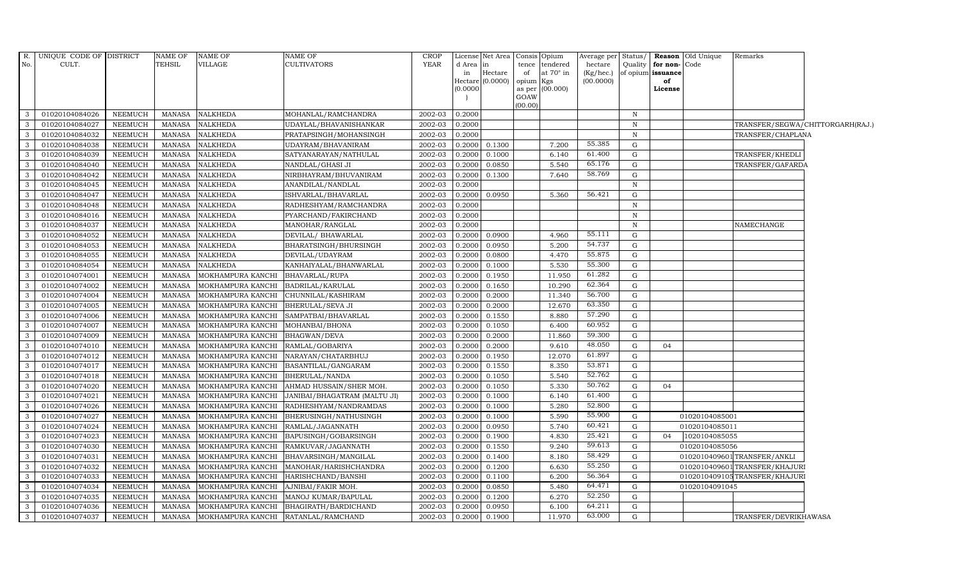| $R_{\cdot}$  | UNIQUE CODE OF DISTRICT          |                                  | NAME OF                 | <b>NAME OF</b>                         | NAME OF                                   | <b>CROP</b>        |                  | License Net Area Consis Opium |                 |                  | Average per            | Status/      |                         | Reason Old Unique | Remarks                          |  |
|--------------|----------------------------------|----------------------------------|-------------------------|----------------------------------------|-------------------------------------------|--------------------|------------------|-------------------------------|-----------------|------------------|------------------------|--------------|-------------------------|-------------------|----------------------------------|--|
| No.          | CULT.                            |                                  | TEHSIL                  | VILLAGE                                | <b>CULTIVATORS</b>                        | <b>YEAR</b>        | d Area  in       |                               |                 | tence tendered   | hectare                | Quality      | for non-                | Code              |                                  |  |
|              |                                  |                                  |                         |                                        |                                           |                    | in               | Hectare<br>Hectare (0.0000)   | of<br>opium Kgs | at $70^\circ$ in | (Kg/hec.)<br>(00.0000) |              | of opium issuance<br>of |                   |                                  |  |
|              |                                  |                                  |                         |                                        |                                           |                    | (0.0000)         |                               |                 | as per (00.000)  |                        |              | License                 |                   |                                  |  |
|              |                                  |                                  |                         |                                        |                                           |                    |                  |                               | GOAW            |                  |                        |              |                         |                   |                                  |  |
| 3            | 01020104084026                   | NEEMUCH                          | MANASA                  | <b>NALKHEDA</b>                        | MOHANLAL/RAMCHANDRA                       | 2002-03            | 0.2000           |                               | (00.00)         |                  |                        | $\, {\bf N}$ |                         |                   |                                  |  |
| 3            | 01020104084027                   | <b>NEEMUCH</b>                   | MANASA                  | <b>NALKHEDA</b>                        | UDAYLAL/BHAVANISHANKAR                    | 2002-03            | 0.2000           |                               |                 |                  |                        | $\mathbf N$  |                         |                   | TRANSFER/SEGWA/CHITTORGARH(RAJ.) |  |
| 3            | 01020104084032                   | <b>NEEMUCH</b>                   | <b>MANASA</b>           | <b>NALKHEDA</b>                        | PRATAPSINGH/MOHANSINGH                    | 2002-03            | 0.2000           |                               |                 |                  |                        | $\, {\bf N}$ |                         |                   | TRANSFER/CHAPLANA                |  |
| 3            | 01020104084038                   | <b>NEEMUCH</b>                   | MANASA                  | <b>NALKHEDA</b>                        | UDAYRAM/BHAVANIRAM                        | 2002-03            | 0.2000           | 0.1300                        |                 | 7.200            | 55.385                 | G            |                         |                   |                                  |  |
| 3            | 01020104084039                   | <b>NEEMUCH</b>                   | MANASA                  | <b>NALKHEDA</b>                        | SATYANARAYAN/NATHULAL                     | 2002-03            | 0.2000           | 0.1000                        |                 | 6.140            | 61.400                 | G            |                         |                   | TRANSFER/KHEDLI                  |  |
| $\mathbf{3}$ | 01020104084040                   | <b>NEEMUCH</b>                   | <b>MANASA</b>           | <b>NALKHEDA</b>                        | NANDLAL/GHASI JI                          | 2002-03            | 0.2000           | 0.0850                        |                 | 5.540            | 65.176                 | G            |                         |                   | TRANSFER/GAFARDA                 |  |
| $\mathbf{3}$ | 01020104084042                   | NEEMUCH                          | <b>MANASA</b>           | <b>NALKHEDA</b>                        | NIRBHAYRAM/BHUVANIRAM                     | 2002-03            | 0.2000           | 0.1300                        |                 | 7.640            | 58.769                 | G            |                         |                   |                                  |  |
| 3            | 01020104084045                   | <b>NEEMUCH</b>                   | <b>MANASA</b>           | <b>NALKHEDA</b>                        | ANANDILAL/NANDLAL                         | 2002-03            | 0.2000           |                               |                 |                  |                        | $\, {\bf N}$ |                         |                   |                                  |  |
| 3            | 01020104084047                   | <b>NEEMUCH</b>                   | <b>MANASA</b>           | <b>NALKHEDA</b>                        | ISHVARLAL/BHAVARLAL                       | 2002-03            | 0.2000           | 0.0950                        |                 | 5.360            | 56.421                 | G            |                         |                   |                                  |  |
| 3            | 01020104084048                   | <b>NEEMUCH</b>                   | <b>MANASA</b>           | <b>NALKHEDA</b>                        | RADHESHYAM/RAMCHANDRA                     | 2002-03            | 0.2000           |                               |                 |                  |                        | N            |                         |                   |                                  |  |
| $\mathbf{3}$ | 01020104084016                   | <b>NEEMUCH</b>                   | <b>MANASA</b>           | <b>NALKHEDA</b>                        | PYARCHAND/FAKIRCHAND                      | 2002-03            | 0.2000           |                               |                 |                  |                        | $\, {\bf N}$ |                         |                   |                                  |  |
| 3            | 01020104084037                   | NEEMUCH                          | MANASA                  | <b>NALKHEDA</b>                        | MANOHAR/RANGLAL                           | 2002-03            | 0.2000           |                               |                 |                  |                        | $\mathbf N$  |                         |                   | NAMECHANGE                       |  |
| 3            | 01020104084052                   | <b>NEEMUCH</b>                   | <b>MANASA</b>           | <b>NALKHEDA</b>                        | DEVILAL/ BHAWARLAL                        | 2002-03            | 0.2000           | 0.0900                        |                 | 4.960            | 55.111                 | G            |                         |                   |                                  |  |
| 3            | 01020104084053                   | <b>NEEMUCH</b>                   | MANASA                  | <b>NALKHEDA</b>                        | BHARATSINGH/BHURSINGH                     | 2002-03            | 0.2000           | 0.0950                        |                 | 5.200            | 54.737                 | G            |                         |                   |                                  |  |
| 3            | 01020104084055                   | <b>NEEMUCH</b>                   | MANASA                  | <b>NALKHEDA</b>                        | DEVILAL/UDAYRAM                           | 2002-03            | 0.2000           | 0.0800                        |                 | 4.470            | 55.875                 | G            |                         |                   |                                  |  |
| $\mathbf{3}$ | 01020104084054                   | <b>NEEMUCH</b>                   | <b>MANASA</b>           | <b>NALKHEDA</b>                        | KANHAIYALAL/BHANWARLAL                    | 2002-03            | 0.2000           | 0.1000                        |                 | 5.530            | 55.300                 | G            |                         |                   |                                  |  |
| $\mathbf{3}$ | 01020104074001                   | <b>NEEMUCH</b>                   | MANASA                  | MOKHAMPURA KANCHI                      | BHAVARLAL/RUPA                            | 2002-03            | 0.2000           | 0.1950                        |                 | 11.950           | 61.282                 | G            |                         |                   |                                  |  |
| 3            | 01020104074002                   | <b>NEEMUCH</b>                   | <b>MANASA</b>           | MOKHAMPURA KANCHI                      | BADRILAL/KARULAL                          | 2002-03            | 0.2000           | 0.1650                        |                 | 10.290           | 62.364                 | G            |                         |                   |                                  |  |
| 3            | 01020104074004                   | <b>NEEMUCH</b>                   | <b>MANASA</b>           | MOKHAMPURA KANCHI                      | CHUNNILAL/KASHIRAM                        | 2002-03            | 0.2000           | 0.2000                        |                 | 11.340           | 56.700                 | G            |                         |                   |                                  |  |
| $\mathbf{3}$ | 01020104074005                   | <b>NEEMUCH</b>                   | MANASA                  | MOKHAMPURA KANCHI                      | BHERULAL/SEVA JI                          | 2002-03            | 0.2000           | 0.2000                        |                 | 12.670           | 63.350                 | G            |                         |                   |                                  |  |
| $\mathbf{3}$ | 01020104074006                   | <b>NEEMUCH</b>                   | MANASA                  | MOKHAMPURA KANCHI                      | SAMPATBAI/BHAVARLAL                       | 2002-03            | 0.2000           | 0.1550                        |                 | 8.880            | 57.290                 | G            |                         |                   |                                  |  |
| 3            | 01020104074007                   | <b>NEEMUCH</b>                   | MANASA                  | MOKHAMPURA KANCHI                      | MOHANBAI/BHONA                            | 2002-03            | 0.2000           | 0.1050                        |                 | 6.400            | 60.952                 | G            |                         |                   |                                  |  |
| 3            | 01020104074009                   | <b>NEEMUCH</b>                   | <b>MANASA</b>           | MOKHAMPURA KANCHI                      | BHAGWAN/DEVA                              | 2002-03            | 0.2000           | 0.2000                        |                 | 11.860           | 59.300                 | G            |                         |                   |                                  |  |
| 3            | 01020104074010                   | <b>NEEMUCH</b>                   | <b>MANASA</b>           | MOKHAMPURA KANCHI                      | RAMLAL/GOBARIYA                           | 2002-03            | 0.2000           | 0.2000                        |                 | 9.610            | 48.050                 | G            | 04                      |                   |                                  |  |
| 3            | 01020104074012                   | <b>NEEMUCH</b>                   | MANASA                  | MOKHAMPURA KANCHI                      | NARAYAN/CHATARBHUJ                        | 2002-03            | 0.2000           | 0.1950                        |                 | 12.070           | 61.897                 | G            |                         |                   |                                  |  |
| $\mathbf{3}$ | 01020104074017                   | NEEMUCH                          | <b>MANASA</b>           | MOKHAMPURA KANCHI                      | BASANTILAL/GANGARAM                       | 2002-03            | 0.2000           | 0.1550                        |                 | 8.350            | 53.871                 | G            |                         |                   |                                  |  |
| $\mathbf{3}$ | 01020104074018                   | <b>NEEMUCH</b>                   | MANASA                  | MOKHAMPURA KANCHI                      | BHERULAL/NANDA                            | 2002-03            | 0.2000           | 0.1050                        |                 | 5.540            | 52.762                 | G            |                         |                   |                                  |  |
| $\mathbf{3}$ | 01020104074020                   | <b>NEEMUCH</b>                   | <b>MANASA</b>           | MOKHAMPURA KANCHI                      | AHMAD HUSSAIN/SHER MOH.                   | 2002-03            | 0.2000           | 0.1050                        |                 | 5.330            | 50.762                 | G            | 04                      |                   |                                  |  |
| 3            | 01020104074021                   | <b>NEEMUCH</b>                   | <b>MANASA</b>           | MOKHAMPURA KANCHI                      | JANIBAI/BHAGATRAM (MALTU JI)              | 2002-03            | 0.2000           | 0.1000                        |                 | 6.140            | 61.400                 | G            |                         |                   |                                  |  |
| 3            | 01020104074026                   | <b>NEEMUCH</b>                   | MANASA                  | MOKHAMPURA KANCHI                      | RADHESHYAM/NANDRAMDAS                     | 2002-03            | 0.2000           | 0.1000                        |                 | 5.280            | 52.800                 | G            |                         |                   |                                  |  |
| $\mathbf{3}$ | 01020104074027                   | <b>NEEMUCH</b>                   | <b>MANASA</b>           | MOKHAMPURA KANCHI                      | BHERUSINGH/NATHUSINGH                     | 2002-03            | 0.2000           | 0.1000                        |                 | 5.590            | 55.900                 | G            |                         | 01020104085001    |                                  |  |
| $\mathbf{3}$ | 01020104074024                   | <b>NEEMUCH</b>                   | MANASA                  | MOKHAMPURA KANCHI                      | RAMLAL/JAGANNATH                          | 2002-03            | 0.2000           | 0.0950                        |                 | 5.740            | 60.421                 | ${\rm G}$    |                         | 01020104085011    |                                  |  |
| 3            | 01020104074023                   | <b>NEEMUCH</b>                   | MANASA                  | MOKHAMPURA KANCHI                      | BAPUSINGH/GOBARSINGH                      | 2002-03            | 0.2000           | 0.1900                        |                 | 4.830            | 25.421                 | G            | 04                      | 1020104085055     |                                  |  |
| 3            | 01020104074030                   | <b>NEEMUCH</b>                   | <b>MANASA</b>           | MOKHAMPURA KANCHI                      | RAMKUVAR/JAGANNATH                        | 2002-03            | 0.2000           | 0.1550                        |                 | 9.240            | 59.613                 | G            |                         | 01020104085056    |                                  |  |
| 3            | 01020104074031                   | <b>NEEMUCH</b>                   | MANASA                  | MOKHAMPURA KANCHI                      | BHAVARSINGH/MANGILAL                      | 2002-03            | 0.2000           | 0.1400                        |                 | 8.180            | 58.429<br>55.250       | G            |                         |                   | 0102010409601TRANSFER/ANKLI      |  |
| $\mathbf{3}$ | 01020104074032                   | <b>NEEMUCH</b>                   | <b>MANASA</b>           | MOKHAMPURA KANCHI                      | MANOHAR/HARISHCHANDRA                     | 2002-03            | 0.2000           | 0.1200                        |                 | 6.630            | 56.364                 | G            |                         |                   | 0102010409601 TRANSFER/KHAJURI   |  |
| 3            | 01020104074033                   | <b>NEEMUCH</b>                   | MANASA                  | MOKHAMPURA KANCHI                      | HARISHCHAND/BANSHI                        | 2002-03            | 0.2000           | 0.1100                        |                 | 6.200            | 64.471                 | G            |                         |                   | 0102010409105TRANSFER/KHAJURI    |  |
| 3<br>3       | 01020104074034                   | <b>NEEMUCH</b>                   | MANASA                  | MOKHAMPURA KANCHI                      | AJNIBAI/FAKIR MOH.                        | 2002-03            | 0.2000           | 0.0850                        |                 | 5.480<br>6.270   | 52.250                 | G<br>G       |                         | 01020104091045    |                                  |  |
| 3            | 01020104074035<br>01020104074036 | <b>NEEMUCH</b><br><b>NEEMUCH</b> | <b>MANASA</b><br>MANASA | MOKHAMPURA KANCHI<br>MOKHAMPURA KANCHI | MANOJ KUMAR/BAPULAL                       | 2002-03<br>2002-03 | 0.2000<br>0.2000 | 0.1200                        |                 | 6.100            | 64.211                 | G            |                         |                   |                                  |  |
| $\mathbf{3}$ | 01020104074037                   | NEEMUCH                          |                         | MANASA MOKHAMPURA KANCHI               | BHAGIRATH/BARDICHAND<br>RATANLAL/RAMCHAND | 2002-03            | 0.2000           | 0.0950<br>0.1900              |                 | 11.970           | 63.000                 | G            |                         |                   | TRANSFER/DEVRIKHAWASA            |  |
|              |                                  |                                  |                         |                                        |                                           |                    |                  |                               |                 |                  |                        |              |                         |                   |                                  |  |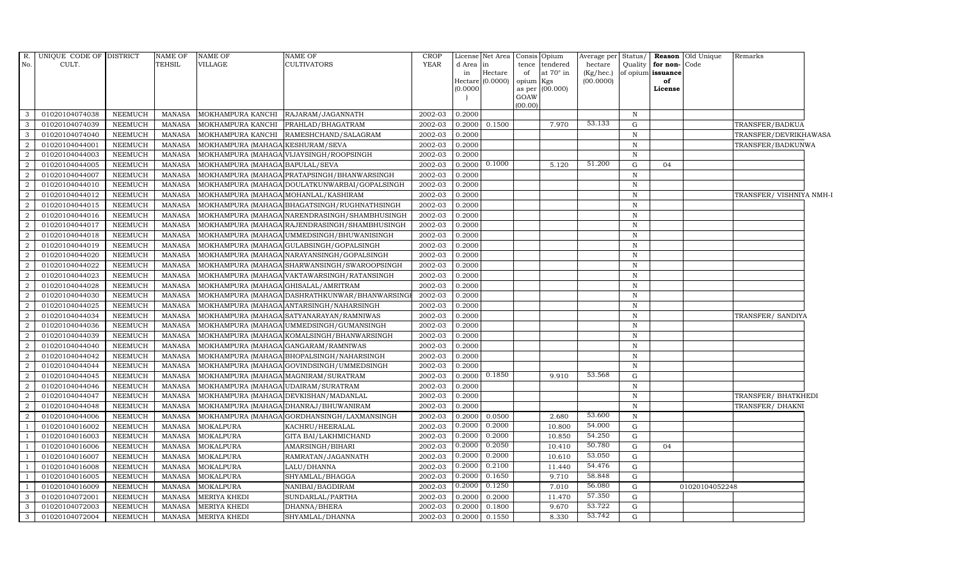| R.             | UNIQUE CODE OF DISTRICT |                | <b>NAME OF</b> | <b>NAME OF</b>                        | NAME OF                                         | CROP                   | License           | Net Area           |           | Consis Opium    | Average per     | Status/      |                   | <b>Reason</b> Old Unique | Remarks                  |
|----------------|-------------------------|----------------|----------------|---------------------------------------|-------------------------------------------------|------------------------|-------------------|--------------------|-----------|-----------------|-----------------|--------------|-------------------|--------------------------|--------------------------|
| No.            | CULT.                   |                | <b>TEHSIL</b>  | VILLAGE                               | CULTIVATORS                                     | <b>YEAR</b>            | d Area in         |                    |           | tence tendered  | hectare         | Quality      | for non-Code      |                          |                          |
|                |                         |                |                |                                       |                                                 |                        | in                | Hectare            | of        | at 70° in       | $(Kg/$ hec. $)$ |              | of opium issuance |                          |                          |
|                |                         |                |                |                                       |                                                 |                        |                   | Hectare $(0.0000)$ | opium Kgs |                 | (00.0000)       |              | of                |                          |                          |
|                |                         |                |                |                                       |                                                 |                        | (0.0000)          |                    | GOAW      | as per (00.000) |                 |              | License           |                          |                          |
|                |                         |                |                |                                       |                                                 |                        |                   |                    | (00.00)   |                 |                 |              |                   |                          |                          |
| 3              | 01020104074038          | NEEMUCH        | MANASA         | MOKHAMPURA KANCHI                     | RAJARAM/JAGANNATH                               | 2002-03                | 0.2000            |                    |           |                 |                 | $\mathbb N$  |                   |                          |                          |
| 3              | 01020104074039          | <b>NEEMUCH</b> | <b>MANASA</b>  | MOKHAMPURA KANCHI                     | PRAHLAD/BHAGATRAM                               | 2002-03                | 0.2000            | 0.1500             |           | 7.970           | 53.133          | G            |                   |                          | TRANSFER/BADKUA          |
| $\mathbf{3}$   | 01020104074040          | <b>NEEMUCH</b> | MANASA         | MOKHAMPURA KANCHI                     | RAMESHCHAND/SALAGRAM                            | 2002-03                | 0.2000            |                    |           |                 |                 | $\mathbf N$  |                   |                          | TRANSFER/DEVRIKHAWASA    |
| $\overline{2}$ | 01020104044001          | <b>NEEMUCH</b> | <b>MANASA</b>  | MOKHAMPURA (MAHAGA KESHURAM/SEVA      |                                                 | 2002-03                | 0.2000            |                    |           |                 |                 | $\mathbb N$  |                   |                          | TRANSFER/BADKUNWA        |
| $\overline{2}$ | 01020104044003          | <b>NEEMUCH</b> | <b>MANASA</b>  |                                       | MOKHAMPURA (MAHAGA VIJAYSINGH/ROOPSINGH         | 2002-03                | 0.2000            |                    |           |                 |                 | $\mathbf N$  |                   |                          |                          |
| $\overline{2}$ | 01020104044005          | <b>NEEMUCH</b> | <b>MANASA</b>  | MOKHAMPURA (MAHAGA BAPULAL/SEVA       |                                                 | 2002-03                | 0.2000            | 0.1000             |           | 5.120           | 51.200          | G            | 04                |                          |                          |
| 2              | 01020104044007          | <b>NEEMUCH</b> | <b>MANASA</b>  |                                       | MOKHAMPURA (MAHAGA PRATAPSINGH/BHANWARSINGH     | 2002-03                | 0.2000            |                    |           |                 |                 | $\mathbf N$  |                   |                          |                          |
| 2              | 01020104044010          | <b>NEEMUCH</b> | MANASA         |                                       | MOKHAMPURA (MAHAGA DOULATKUNWARBAI/GOPALSINGH   | 2002-03                | 0.2000            |                    |           |                 |                 | $\mathbb N$  |                   |                          |                          |
| $\overline{2}$ | 01020104044012          | <b>NEEMUCH</b> | <b>MANASA</b>  | MOKHAMPURA (MAHAGA MOHANLAL/KASHIRAM  |                                                 | 2002-03                | 0.2000            |                    |           |                 |                 | $\mathbf N$  |                   |                          | TRANSFER/ VISHNIYA NMH-I |
| $\overline{2}$ | 01020104044015          | <b>NEEMUCH</b> | <b>MANASA</b>  |                                       | MOKHAMPURA (MAHAGA BHAGATSINGH/RUGHNATHSINGH    | 2002-03                | 0.2000            |                    |           |                 |                 | $\, {\bf N}$ |                   |                          |                          |
| 2              | 01020104044016          | <b>NEEMUCH</b> | <b>MANASA</b>  |                                       | MOKHAMPURA (MAHAGA NARENDRASINGH / SHAMBHUSINGH | 2002-03                | 0.2000            |                    |           |                 |                 | $\mathbb N$  |                   |                          |                          |
| 2              | 01020104044017          | <b>NEEMUCH</b> | <b>MANASA</b>  |                                       | MOKHAMPURA (MAHAGA RAJENDRASINGH/SHAMBHUSINGH   | 2002-03                | 0.2000            |                    |           |                 |                 | $\mathbf N$  |                   |                          |                          |
| 2              | 01020104044018          | <b>NEEMUCH</b> | MANASA         |                                       | MOKHAMPURA (MAHAGA UMMEDSINGH/BHUWANISINGH      | 2002-03                | 0.2000            |                    |           |                 |                 | $\mathbb N$  |                   |                          |                          |
| 2              | 01020104044019          | <b>NEEMUCH</b> | <b>MANASA</b>  |                                       | MOKHAMPURA (MAHAGA GULABSINGH/GOPALSINGH        | 2002-03                | 0.2000            |                    |           |                 |                 | $\mathbf N$  |                   |                          |                          |
| $\overline{2}$ | 01020104044020          | <b>NEEMUCH</b> | <b>MANASA</b>  |                                       | MOKHAMPURA (MAHAGA NARAYANSINGH/GOPALSINGH      | 2002-03                | 0.2000            |                    |           |                 |                 | $\mathbf N$  |                   |                          |                          |
| 2              | 01020104044022          | <b>NEEMUCH</b> | <b>MANASA</b>  |                                       | MOKHAMPURA (MAHAGA SHARWANSINGH/SWAROOPSINGH    | 2002-03                | 0.2000            |                    |           |                 |                 | $\mathbb N$  |                   |                          |                          |
| 2              | 01020104044023          | <b>NEEMUCH</b> | <b>MANASA</b>  |                                       | MOKHAMPURA (MAHAGA VAKTAWARSINGH / RATANSINGH   | 2002-03                | 0.2000            |                    |           |                 |                 | $\mathbf N$  |                   |                          |                          |
| 2              | 01020104044028          | <b>NEEMUCH</b> | MANASA         | MOKHAMPURA (MAHAGA GHISALAL/AMRITRAM  |                                                 | 2002-03                | 0.2000            |                    |           |                 |                 | $\mathbb N$  |                   |                          |                          |
| 2              | 01020104044030          | <b>NEEMUCH</b> | <b>MANASA</b>  |                                       | MOKHAMPURA (MAHAGA DASHRATHKUNWAR / BHANWARSING | 2002-03                | 0.2000            |                    |           |                 |                 | $\mathbf N$  |                   |                          |                          |
| $\overline{2}$ | 01020104044025          | <b>NEEMUCH</b> | <b>MANASA</b>  |                                       | MOKHAMPURA (MAHAGA ANTARSINGH/NAHARSINGH        | 2002-03                | 0.2000            |                    |           |                 |                 | $\mathbf N$  |                   |                          |                          |
| 2              | 01020104044034          | <b>NEEMUCH</b> | <b>MANASA</b>  |                                       | MOKHAMPURA (MAHAGA SATYANARAYAN/RAMNIWAS        | 2002-03                | 0.2000            |                    |           |                 |                 | $\mathbb N$  |                   |                          | TRANSFER/ SANDIYA        |
| 2              | 01020104044036          | <b>NEEMUCH</b> | <b>MANASA</b>  |                                       | MOKHAMPURA (MAHAGA UMMEDSINGH/GUMANSINGH        | 2002-03                | 0.2000            |                    |           |                 |                 | $\mathbf N$  |                   |                          |                          |
| $\overline{2}$ | 01020104044039          | <b>NEEMUCH</b> | <b>MANASA</b>  |                                       | MOKHAMPURA (MAHAGA KOMALSINGH/BHANWARSINGH      | 2002-03                | 0.2000            |                    |           |                 |                 | $\, {\bf N}$ |                   |                          |                          |
| 2              | 01020104044040          | <b>NEEMUCH</b> | <b>MANASA</b>  | MOKHAMPURA (MAHAGA GANGARAM/RAMNIWAS  |                                                 | 2002-03                | 0.2000            |                    |           |                 |                 | $\mathbf N$  |                   |                          |                          |
| $\overline{2}$ | 01020104044042          | <b>NEEMUCH</b> | <b>MANASA</b>  |                                       | MOKHAMPURA (MAHAGA BHOPALSINGH/NAHARSINGH       | 2002-03                | 0.2000            |                    |           |                 |                 | $\mathbf N$  |                   |                          |                          |
| 2              | 01020104044044          | <b>NEEMUCH</b> | <b>MANASA</b>  |                                       | MOKHAMPURA (MAHAGA GOVINDSINGH/UMMEDSINGH       | 2002-03                | 0.2000            |                    |           |                 |                 | $\mathbb N$  |                   |                          |                          |
| 2              | 01020104044045          | <b>NEEMUCH</b> | <b>MANASA</b>  | MOKHAMPURA (MAHAGA MAGNIRAM/SURATRAM  |                                                 | 2002-03                | $0.2000$ $0.1850$ |                    |           | 9.910           | 53.568          | $\mathbf G$  |                   |                          |                          |
| $\overline{2}$ | 01020104044046          | <b>NEEMUCH</b> | <b>MANASA</b>  | MOKHAMPURA (MAHAGA UDAIRAM/SURATRAM   |                                                 | 2002-03                | 0.2000            |                    |           |                 |                 | $\mathbf N$  |                   |                          |                          |
| 2              | 01020104044047          | <b>NEEMUCH</b> | <b>MANASA</b>  | MOKHAMPURA (MAHAGA DEVKISHAN/MADANLAL |                                                 | 2002-03                | 0.2000            |                    |           |                 |                 | $\mathbf N$  |                   |                          | TRANSFER/ BHATKHEDI      |
| $\overline{2}$ | 01020104044048          | <b>NEEMUCH</b> | <b>MANASA</b>  |                                       | MOKHAMPURA (MAHAGA DHANRAJ/BHUWANIRAM           | 2002-03                | 0.2000            |                    |           |                 |                 | $\mathbf N$  |                   |                          | TRANSFER/DHAKNI          |
| $\overline{2}$ | 01020104044006          | <b>NEEMUCH</b> | <b>MANASA</b>  |                                       | MOKHAMPURA (MAHAGA GORDHANSINGH/LAXMANSINGH     | 2002-03                | 0.2000            | 0.0500             |           | 2.680           | 53.600          | $\, {\bf N}$ |                   |                          |                          |
| <sup>1</sup>   | 01020104016002          | <b>NEEMUCH</b> | <b>MANASA</b>  | MOKALPURA                             | KACHRU/HEERALAL                                 | 2002-03                | 0.2000            | 0.2000             |           | 10.800          | 54.000          | ${\rm G}$    |                   |                          |                          |
| <sup>1</sup>   | 01020104016003          | <b>NEEMUCH</b> | <b>MANASA</b>  | <b>MOKALPURA</b>                      | GITA BAI/LAKHMICHAND                            | 2002-03                | 0.2000            | 0.2000             |           | 10.850          | 54.250          | $\mathbf G$  |                   |                          |                          |
| <sup>1</sup>   | 01020104016006          | <b>NEEMUCH</b> | <b>MANASA</b>  | <b>MOKALPURA</b>                      | AMARSINGH/BIHARI                                | 2002-03                | 0.2000            | 0.2050             |           | 10.410          | 50.780          | $\mathbf G$  | 0 <sub>4</sub>    |                          |                          |
| $\overline{1}$ | 01020104016007          | <b>NEEMUCH</b> | <b>MANASA</b>  | <b>MOKALPURA</b>                      | RAMRATAN/JAGANNATH                              | 2002-03                | 0.2000            | 0.2000             |           | 10.610          | 53.050          | $\mathbf G$  |                   |                          |                          |
| $\overline{1}$ | 01020104016008          | <b>NEEMUCH</b> | MANASA         | MOKALPURA                             | LALU/DHANNA                                     | 2002-03                | 0.2000            | 0.2100             |           | 11.440          | 54.476          | G            |                   |                          |                          |
| $\overline{1}$ | 01020104016005          | <b>NEEMUCH</b> | <b>MANASA</b>  | MOKALPURA                             | SHYAMLAL/BHAGGA                                 | 2002-03                | 0.2000            | 0.1650             |           | 9.710           | 58.848          | $\mathbf G$  |                   |                          |                          |
| <sup>1</sup>   | 01020104016009          | <b>NEEMUCH</b> | <b>MANASA</b>  | MOKALPURA                             | NANIBAI/BAGDIRAM                                | 2002-03                | 0.2000            | 0.1250             |           | 7.010           | 56.080          | ${\rm G}$    |                   | 01020104052248           |                          |
| -3             | 01020104072001          | <b>NEEMUCH</b> | <b>MANASA</b>  | <b>MERIYA KHEDI</b>                   | SUNDARLAL/PARTHA                                | 2002-03                | 0.2000            | 0.2000             |           | 11.470          | 57.350          | $\mathbf G$  |                   |                          |                          |
| 3              | 01020104072003          | <b>NEEMUCH</b> | <b>MANASA</b>  | <b>MERIYA KHEDI</b>                   | DHANNA/BHERA                                    | 2002-03                | 0.2000            | 0.1800             |           | 9.670           | 53.722          | G            |                   |                          |                          |
| 3              | 01020104072004          | <b>NEEMUCH</b> | <b>MANASA</b>  | <b>MERIYA KHEDI</b>                   | SHYAMLAL/DHANNA                                 | $\overline{2002} - 03$ | 0.2000            | 0.1550             |           | 8.330           | 53.742          | G            |                   |                          |                          |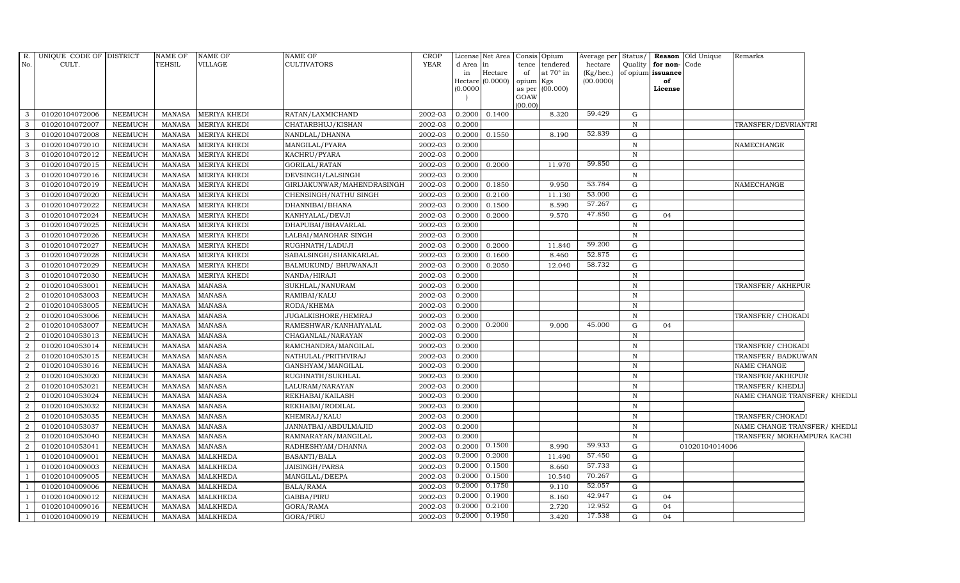| R.             | UNIQUE CODE OF DISTRICT |                 | <b>NAME OF</b> | <b>NAME OF</b>      | NAME OF                    | <b>CROP</b> |          | License Net Area Consis |                | Opium           | Average per Status/ |              |                   | <b>Reason</b> Old Unique | Remarks                      |  |
|----------------|-------------------------|-----------------|----------------|---------------------|----------------------------|-------------|----------|-------------------------|----------------|-----------------|---------------------|--------------|-------------------|--------------------------|------------------------------|--|
| No.            | CULT.                   |                 | TEHSIL         | VILLAGE             | CULTIVATORS                | YEAR        | d Area   | in                      | tence          | tendered        | hectare             | Quality      | for non-          | Code                     |                              |  |
|                |                         |                 |                |                     |                            |             | in       | $\rm{Hectare}$          | of             | at 70° in       | (Kg/hec.)           |              | of opium issuance |                          |                              |  |
|                |                         |                 |                |                     |                            |             | (0.0000) | Hectare (0.0000)        | opium          | Kgs<br>(00.000) | (00.0000)           |              | of<br>License     |                          |                              |  |
|                |                         |                 |                |                     |                            |             |          |                         | as per<br>GOAW |                 |                     |              |                   |                          |                              |  |
|                |                         |                 |                |                     |                            |             |          |                         | (00.00)        |                 |                     |              |                   |                          |                              |  |
| 3              | 01020104072006          | NEEMUCH         | MANASA         | <b>MERIYA KHEDI</b> | RATAN/LAXMICHAND           | 2002-03     | 0.2000   | 0.1400                  |                | 8.320           | 59.429              | G            |                   |                          |                              |  |
| 3              | 01020104072007          | NEEMUCH         | <b>MANASA</b>  | <b>MERIYA KHEDI</b> | CHATARBHUJ/KISHAN          | 2002-03     | 0.2000   |                         |                |                 |                     | $\, {\bf N}$ |                   |                          | TRANSFER/DEVRIANTRI          |  |
| 3              | 01020104072008          | NEEMUCH         | <b>MANASA</b>  | MERIYA KHEDI        | NANDLAL/DHANNA             | 2002-03     | 0.2000   | 0.1550                  |                | 8.190           | 52.839              | G            |                   |                          |                              |  |
| 3              | 01020104072010          | NEEMUCH         | <b>MANASA</b>  | <b>MERIYA KHEDI</b> | MANGILAL/PYARA             | 2002-03     | 0.2000   |                         |                |                 |                     | $\mathbb N$  |                   |                          | NAMECHANGE                   |  |
| 3              | 01020104072012          | NEEMUCH         | <b>MANASA</b>  | MERIYA KHEDI        | KACHRU/PYARA               | 2002-03     | 0.2000   |                         |                |                 |                     | $\mathbb N$  |                   |                          |                              |  |
| $\mathbf{3}$   | 01020104072015          | NEEMUCH         | <b>MANASA</b>  | MERIYA KHEDI        | GORILAL/RATAN              | 2002-03     | 0.2000   | 0.2000                  |                | 11.970          | 59.850              | G            |                   |                          |                              |  |
| 3              | 01020104072016          | NEEMUCH         | <b>MANASA</b>  | <b>MERIYA KHEDI</b> | DEVSINGH/LALSINGH          | 2002-03     | 0.2000   |                         |                |                 |                     | $\mathbb N$  |                   |                          |                              |  |
| 3              | 01020104072019          | NEEMUCH         | <b>MANASA</b>  | MERIYA KHEDI        | GIRIJAKUNWAR/MAHENDRASINGH | 2002-03     | 0.2000   | 0.1850                  |                | 9.950           | 53.784              | G            |                   |                          | NAMECHANGE                   |  |
| 3              | 01020104072020          | NEEMUCH         | <b>MANASA</b>  | <b>MERIYA KHEDI</b> | CHENSINGH/NATHU SINGH      | 2002-03     | 0.2000   | 0.2100                  |                | 11.130          | 53.000              | G            |                   |                          |                              |  |
| 3              | 01020104072022          | NEEMUCH         | <b>MANASA</b>  | <b>MERIYA KHEDI</b> | DHANNIBAI/BHANA            | 2002-03     | 0.2000   | 0.1500                  |                | 8.590           | 57.267              | G            |                   |                          |                              |  |
| 3              | 01020104072024          | NEEMUCH         | <b>MANASA</b>  | MERIYA KHEDI        | KANHYALAL/DEVJI            | 2002-03     | 0.2000   | 0.2000                  |                | 9.570           | 47.850              | G            | 04                |                          |                              |  |
| 3              | 01020104072025          | <b>NEEMUCH</b>  | <b>MANASA</b>  | MERIYA KHEDI        | DHAPUBAI/BHAVARLAL         | 2002-03     | 0.2000   |                         |                |                 |                     | $\mathbf N$  |                   |                          |                              |  |
| 3              | 01020104072026          | NEEMUCH         | <b>MANASA</b>  | MERIYA KHEDI        | LALBAI/MANOHAR SINGH       | 2002-03     | 0.2000   |                         |                |                 |                     | $\mathbf N$  |                   |                          |                              |  |
| 3              | 01020104072027          | <b>NEEMUCH</b>  | <b>MANASA</b>  | <b>MERIYA KHEDI</b> | RUGHNATH/LADUJI            | 2002-03     | 0.2000   | 0.2000                  |                | 11.840          | 59.200              | G            |                   |                          |                              |  |
| 3              | 01020104072028          | NEEMUCH         | <b>MANASA</b>  | MERIYA KHEDI        | SABALSINGH/SHANKARLAL      | 2002-03     | 0.2000   | 0.1600                  |                | 8.460           | 52.875              | G            |                   |                          |                              |  |
| 3              | 01020104072029          | <b>NEEMUCH</b>  | <b>MANASA</b>  | <b>MERIYA KHEDI</b> | BALMUKUND/ BHUWANAJI       | 2002-03     | 0.2000   | 0.2050                  |                | 12.040          | 58.732              | G            |                   |                          |                              |  |
| 3              | 01020104072030          | NEEMUCH         | <b>MANASA</b>  | <b>MERIYA KHEDI</b> | NANDA/HIRAJI               | 2002-03     | 0.2000   |                         |                |                 |                     | $\mathbb N$  |                   |                          |                              |  |
| 2              | 01020104053001          | NEEMUCH         | MANASA         | <b>MANASA</b>       | SUKHLAL/NANURAM            | 2002-03     | 0.2000   |                         |                |                 |                     | $\, {\bf N}$ |                   |                          | TRANSFER/ AKHEPUR            |  |
| $\overline{2}$ | 01020104053003          | <b>NEEMUCH</b>  | <b>MANASA</b>  | <b>MANASA</b>       | RAMIBAI/KALU               | 2002-03     | 0.2000   |                         |                |                 |                     | $\, {\bf N}$ |                   |                          |                              |  |
| $\overline{2}$ | 01020104053005          | <b>NEEMUCH</b>  | <b>MANASA</b>  | <b>MANASA</b>       | RODA/KHEMA                 | 2002-03     | 0.2000   |                         |                |                 |                     | $\, {\rm N}$ |                   |                          |                              |  |
| 2              | 01020104053006          | ${\tt NEEMUCH}$ | <b>MANASA</b>  | <b>MANASA</b>       | JUGALKISHORE/HEMRAJ        | 2002-03     | 0.2000   |                         |                |                 |                     | $\mathbf N$  |                   |                          | TRANSFER/ CHOKADI            |  |
| 2              | 01020104053007          | NEEMUCH         | <b>MANASA</b>  | <b>MANASA</b>       | RAMESHWAR/KANHAIYALAL      | 2002-03     | 0.2000   | 0.2000                  |                | 9.000           | 45.000              | G            | 04                |                          |                              |  |
| $\overline{2}$ | 01020104053013          | NEEMUCH         | <b>MANASA</b>  | <b>MANASA</b>       | CHAGANLAL/NARAYAN          | 2002-03     | 0.2000   |                         |                |                 |                     | $\mathbb N$  |                   |                          |                              |  |
| $\overline{2}$ | 01020104053014          | NEEMUCH         | <b>MANASA</b>  | <b>MANASA</b>       | RAMCHANDRA/MANGILAL        | 2002-03     | 0.2000   |                         |                |                 |                     | $\mathbf N$  |                   |                          | TRANSFER/ CHOKADI            |  |
| $\overline{2}$ | 01020104053015          | <b>NEEMUCH</b>  | <b>MANASA</b>  | <b>MANASA</b>       | NATHULAL/PRITHVIRAJ        | 2002-03     | 0.2000   |                         |                |                 |                     | N            |                   |                          | TRANSFER/ BADKUWAN           |  |
| $\overline{2}$ | 01020104053016          | NEEMUCH         | <b>MANASA</b>  | <b>MANASA</b>       | GANSHYAM/MANGILAL          | 2002-03     | 0.2000   |                         |                |                 |                     | $\, {\bf N}$ |                   |                          | NAME CHANGE                  |  |
| 2              | 01020104053020          | NEEMUCH         | <b>MANASA</b>  | <b>MANASA</b>       | RUGHNATH/SUKHLAL           | 2002-03     | 0.2000   |                         |                |                 |                     | N            |                   |                          | TRANSFER/AKHEPUR             |  |
| $\overline{2}$ | 01020104053021          | NEEMUCH         | <b>MANASA</b>  | <b>MANASA</b>       | LALURAM/NARAYAN            | 2002-03     | 0.2000   |                         |                |                 |                     | $\, {\bf N}$ |                   |                          | TRANSFER/ KHEDLI             |  |
| $\overline{2}$ | 01020104053024          | NEEMUCH         | <b>MANASA</b>  | <b>MANASA</b>       | REKHABAI/KAILASH           | 2002-03     | 0.2000   |                         |                |                 |                     | $\, {\bf N}$ |                   |                          | NAME CHANGE TRANSFER/ KHEDLI |  |
| $\overline{2}$ | 01020104053032          | NEEMUCH         | <b>MANASA</b>  | <b>MANASA</b>       | REKHABAI/RODILAL           | 2002-03     | 0.2000   |                         |                |                 |                     | $\mathbb N$  |                   |                          |                              |  |
| $\overline{2}$ | 01020104053035          | NEEMUCH         | <b>MANASA</b>  | <b>MANASA</b>       | KHEMRAJ/KALU               | 2002-03     | 0.2000   |                         |                |                 |                     | ${\bf N}$    |                   |                          | TRANSFER/CHOKADI             |  |
| 2              | 01020104053037          | NEEMUCH         | <b>MANASA</b>  | <b>MANASA</b>       | JANNATBAI/ABDULMAJID       | 2002-03     | 0.2000   |                         |                |                 |                     | $\mathbb N$  |                   |                          | NAME CHANGE TRANSFER/ KHEDLI |  |
| 2              | 01020104053040          | NEEMUCH         | <b>MANASA</b>  | MANASA              | RAMNARAYAN/MANGILAL        | 2002-03     | 0.2000   |                         |                |                 |                     | $\mathbb N$  |                   |                          | TRANSFER/ MOKHAMPURA KACHI   |  |
| 2              | 01020104053041          | NEEMUCH         | <b>MANASA</b>  | <b>MANASA</b>       | RADHESHYAM/DHANNA          | 2002-03     | 0.2000   | 0.1500                  |                | 8.990           | 59.933              | ${\rm G}$    |                   | 01020104014006           |                              |  |
|                | 01020104009001          | <b>NEEMUCH</b>  | <b>MANASA</b>  | <b>MALKHEDA</b>     | <b>BASANTI/BALA</b>        | 2002-03     | 0.2000   | 0.2000                  |                | 11.490          | 57.450              | G            |                   |                          |                              |  |
|                | 01020104009003          | <b>NEEMUCH</b>  | <b>MANASA</b>  | <b>MALKHEDA</b>     | JAISINGH/PARSA             | 2002-03     | 0.2000   | 0.1500                  |                | 8.660           | 57.733              | G            |                   |                          |                              |  |
|                | 01020104009005          | NEEMUCH         | <b>MANASA</b>  | <b>MALKHEDA</b>     | MANGILAL/DEEPA             | 2002-03     | 0.2000   | 0.1500                  |                | 10.540          | 70.267              | G            |                   |                          |                              |  |
| $\overline{1}$ | 01020104009006          | NEEMUCH         | <b>MANASA</b>  | <b>MALKHEDA</b>     | BALA/RAMA                  | 2002-03     | 0.2000   | 0.1750                  |                | 9.110           | 52.057              | G            |                   |                          |                              |  |
|                | 01020104009012          | <b>NEEMUCH</b>  | <b>MANASA</b>  | <b>MALKHEDA</b>     | GABBA/PIRU                 | 2002-03     | 0.2000   | 0.1900                  |                | 8.160           | 42.947              | G            | 04                |                          |                              |  |
|                | 01020104009016          | <b>NEEMUCH</b>  | <b>MANASA</b>  | <b>MALKHEDA</b>     | GORA/RAMA                  | 2002-03     | 0.2000   | 0.2100                  |                | 2.720           | 12.952              | G            | 04                |                          |                              |  |
|                | 01020104009019          | NEEMUCH         | <b>MANASA</b>  | <b>MALKHEDA</b>     | GORA/PIRU                  | 2002-03     | 0.2000   | 0.1950                  |                | 3.420           | 17.538              | G            | 04                |                          |                              |  |
|                |                         |                 |                |                     |                            |             |          |                         |                |                 |                     |              |                   |                          |                              |  |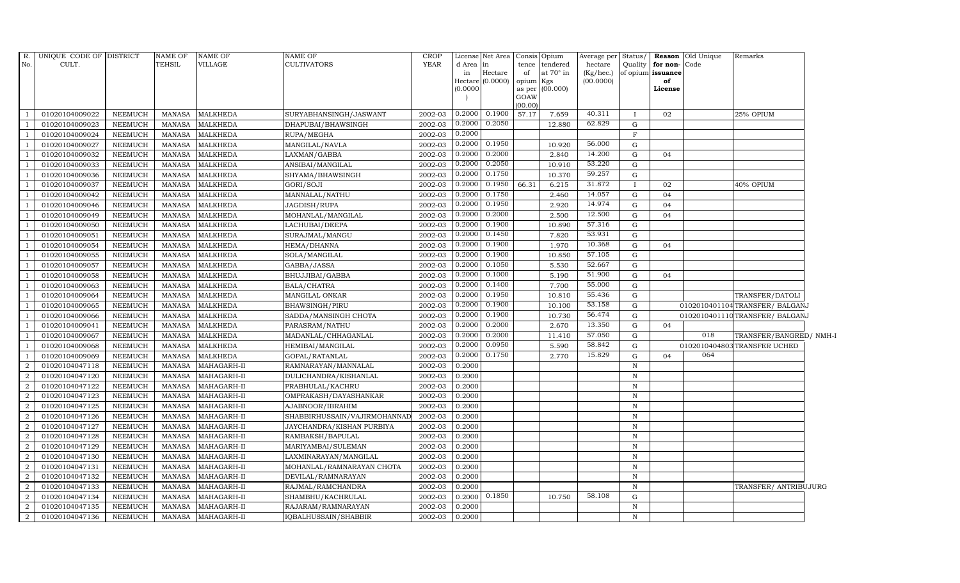| R.             | UNIQUE CODE OF DISTRICT |                | NAME OF       | <b>NAME OF</b>  | <b>NAME OF</b>               | <b>CROP</b> |          | License Net Area   |                | Consis Opium | Average per Status/ |              |                   | Reason Old Unique | Remarks                        |  |
|----------------|-------------------------|----------------|---------------|-----------------|------------------------------|-------------|----------|--------------------|----------------|--------------|---------------------|--------------|-------------------|-------------------|--------------------------------|--|
| No.            | CULT.                   |                | TEHSIL        | VILLAGE         | CULTIVATORS                  | <b>YEAR</b> | d Area   | in                 | tence          | tendered     | hectare             | Quality      | for non-Code      |                   |                                |  |
|                |                         |                |               |                 |                              |             | in       | Hectare            | of             | at 70° in    | (Kg/hec.)           |              | of opium issuance |                   |                                |  |
|                |                         |                |               |                 |                              |             |          | Hectare $(0.0000)$ | opium Kgs      |              | (00.0000)           |              | of                |                   |                                |  |
|                |                         |                |               |                 |                              |             | (0.0000) |                    | as per<br>GOAW | (00.000)     |                     |              | License           |                   |                                |  |
|                |                         |                |               |                 |                              |             |          |                    | (00.00)        |              |                     |              |                   |                   |                                |  |
| $\overline{1}$ | 01020104009022          | NEEMUCH        |               | MANASA MALKHEDA | SURYABHANSINGH/JASWANT       | 2002-03     | 0.2000   | 0.1900             | 57.17          | 7.659        | 40.311              |              | 02                |                   | 25% OPIUM                      |  |
| $\overline{1}$ | 01020104009023          | <b>NEEMUCH</b> | MANASA        | <b>MALKHEDA</b> | DHAPUBAI/BHAWSINGH           | 2002-03     | 0.2000   | 0.2050             |                | 12.880       | 62.829              | G            |                   |                   |                                |  |
| $\overline{1}$ | 01020104009024          | <b>NEEMUCH</b> | <b>MANASA</b> | <b>MALKHEDA</b> | RUPA/MEGHA                   | 2002-03     | 0.2000   |                    |                |              |                     | $\mathbf F$  |                   |                   |                                |  |
|                | 01020104009027          | <b>NEEMUCH</b> | <b>MANASA</b> | <b>MALKHEDA</b> | MANGILAL/NAVLA               | 2002-03     | 0.2000   | 0.1950             |                | 10.920       | 56.000              | $\mathbf G$  |                   |                   |                                |  |
| $\overline{1}$ | 01020104009032          | <b>NEEMUCH</b> | MANASA        | <b>MALKHEDA</b> | LAXMAN/GABBA                 | 2002-03     | 0.2000   | 0.2000             |                | 2.840        | 14.200              | G            | 04                |                   |                                |  |
| $\overline{1}$ | 01020104009033          | <b>NEEMUCH</b> | <b>MANASA</b> | <b>MALKHEDA</b> | ANSIBAI/MANGILAL             | 2002-03     | 0.2000   | 0.2050             |                | 10.910       | 53.220              | ${\rm G}$    |                   |                   |                                |  |
| $\overline{1}$ | 01020104009036          | <b>NEEMUCH</b> | <b>MANASA</b> | <b>MALKHEDA</b> | SHYAMA/BHAWSINGH             | 2002-03     | 0.2000   | 0.1750             |                | 10.370       | 59.257              | G            |                   |                   |                                |  |
| $\overline{1}$ | 01020104009037          | <b>NEEMUCH</b> | MANASA        | <b>MALKHEDA</b> | GORI/SOJI                    | 2002-03     | 0.2000   | 0.1950             | 66.31          | 6.215        | 31.872              |              | 02                |                   | 40% OPIUM                      |  |
|                | 01020104009042          | <b>NEEMUCH</b> | <b>MANASA</b> | <b>MALKHEDA</b> | MANNALAL/NATHU               | 2002-03     | 0.2000   | 0.1750             |                | 2.460        | 14.057              | ${\rm G}$    | 04                |                   |                                |  |
|                | 01020104009046          | <b>NEEMUCH</b> | <b>MANASA</b> | <b>MALKHEDA</b> | JAGDISH/RUPA                 | 2002-03     | 0.2000   | 0.1950             |                | 2.920        | 14.974              | ${\rm G}$    | 04                |                   |                                |  |
| <sup>1</sup>   | 01020104009049          | <b>NEEMUCH</b> | <b>MANASA</b> | <b>MALKHEDA</b> | MOHANLAL/MANGILAL            | 2002-03     | 0.2000   | 0.2000             |                | 2.500        | 12.500              | $\mathbf G$  | 04                |                   |                                |  |
| $\overline{1}$ | 01020104009050          | <b>NEEMUCH</b> | MANASA        | <b>MALKHEDA</b> | LACHUBAI/DEEPA               | 2002-03     | 0.2000   | 0.1900             |                | 10.890       | 57.316              | G            |                   |                   |                                |  |
| $\overline{1}$ | 01020104009051          | <b>NEEMUCH</b> | <b>MANASA</b> | <b>MALKHEDA</b> | SURAJMAL/MANGU               | 2002-03     | 0.2000   | 0.1450             |                | 7.820        | 53.931              | ${\rm G}$    |                   |                   |                                |  |
| $\overline{1}$ | 01020104009054          | <b>NEEMUCH</b> | <b>MANASA</b> | <b>MALKHEDA</b> | HEMA/DHANNA                  | 2002-03     | 0.2000   | 0.1900             |                | 1.970        | 10.368              | ${\rm G}$    | 04                |                   |                                |  |
|                | 01020104009055          | <b>NEEMUCH</b> | <b>MANASA</b> | <b>MALKHEDA</b> | SOLA/MANGILAL                | 2002-03     | 0.2000   | 0.1900             |                | 10.850       | 57.105              | G            |                   |                   |                                |  |
| -1             | 01020104009057          | NEEMUCH        | <b>MANASA</b> | <b>MALKHEDA</b> | GABBA/JASSA                  | 2002-03     | 0.2000   | 0.1050             |                | 5.530        | 52.667              | G            |                   |                   |                                |  |
| $\overline{1}$ | 01020104009058          | <b>NEEMUCH</b> | <b>MANASA</b> | <b>MALKHEDA</b> | BHUJJIBAI/GABBA              | 2002-03     | 0.2000   | 0.1000             |                | 5.190        | 51.900              | G            | 04                |                   |                                |  |
| $\overline{1}$ | 01020104009063          | NEEMUCH        | MANASA        | <b>MALKHEDA</b> | BALA/CHATRA                  | 2002-03     | 0.2000   | 0.1400             |                | 7.700        | 55.000              | G            |                   |                   |                                |  |
| <sup>1</sup>   | 01020104009064          | <b>NEEMUCH</b> | <b>MANASA</b> | <b>MALKHEDA</b> | MANGILAL ONKAR               | 2002-03     | 0.2000   | 0.1950             |                | 10.810       | 55.436              | ${\rm G}$    |                   |                   | TRANSFER/DATOLI                |  |
| $\overline{1}$ | 01020104009065          | <b>NEEMUCH</b> | <b>MANASA</b> | <b>MALKHEDA</b> | BHAWSINGH/PIRU               | 2002-03     | 0.2000   | 0.1900             |                | 10.100       | 53.158              | $\mathbf G$  |                   |                   | 0102010401104TRANSFER/ BALGANJ |  |
| -1             | 01020104009066          | NEEMUCH        | MANASA        | <b>MALKHEDA</b> | SADDA/MANSINGH CHOTA         | 2002-03     | 0.2000   | 0.1900             |                | 10.730       | 56.474              | G            |                   |                   | 0102010401110TRANSFER/ BALGANJ |  |
| $\overline{1}$ | 01020104009041          | <b>NEEMUCH</b> | <b>MANASA</b> | <b>MALKHEDA</b> | PARASRAM/NATHU               | 2002-03     | 0.2000   | 0.2000             |                | 2.670        | 13.350              | G            | 04                |                   |                                |  |
| <sup>1</sup>   | 01020104009067          | NEEMUCH        | <b>MANASA</b> | <b>MALKHEDA</b> | MADANLAL/CHHAGANLAL          | 2002-03     | 0.2000   | 0.2000             |                | 11.410       | 57.050              | G            |                   | 018               | TRANSFER/BANGRED/ NMH-I        |  |
| $\overline{1}$ | 01020104009068          | <b>NEEMUCH</b> | <b>MANASA</b> | <b>MALKHEDA</b> | HEMIBAI/MANGILAL             | 2002-03     | 0.2000   | 0.0950             |                | 5.590        | 58.842              | G            |                   |                   | 0102010404803 TRANSFER UCHED   |  |
| $\overline{1}$ | 01020104009069          | <b>NEEMUCH</b> | <b>MANASA</b> | <b>MALKHEDA</b> | GOPAL/RATANLAL               | 2002-03     | 0.2000   | 0.1750             |                | 2.770        | 15.829              | G            | 04                | 064               |                                |  |
| $\overline{2}$ | 01020104047118          | <b>NEEMUCH</b> | <b>MANASA</b> | MAHAGARH-II     | RAMNARAYAN/MANNALAL          | 2002-03     | 0.2000   |                    |                |              |                     | $\mathbf N$  |                   |                   |                                |  |
| $\overline{2}$ | 01020104047120          | <b>NEEMUCH</b> | <b>MANASA</b> | MAHAGARH-II     | DULICHANDRA/KISHANLAL        | 2002-03     | 0.2000   |                    |                |              |                     | $\, {\rm N}$ |                   |                   |                                |  |
| 2              | 01020104047122          | NEEMUCH        | <b>MANASA</b> | MAHAGARH-II     | PRABHULAL/KACHRU             | 2002-03     | 0.2000   |                    |                |              |                     | N            |                   |                   |                                |  |
| 2              | 01020104047123          | <b>NEEMUCH</b> | <b>MANASA</b> | MAHAGARH-II     | OMPRAKASH/DAYASHANKAR        | 2002-03     | 0.2000   |                    |                |              |                     | $\, {\bf N}$ |                   |                   |                                |  |
| $\overline{2}$ | 01020104047125          | <b>NEEMUCH</b> | <b>MANASA</b> | MAHAGARH-II     | AJABNOOR/IBRAHIM             | 2002-03     | 0.2000   |                    |                |              |                     | ${\bf N}$    |                   |                   |                                |  |
| $\overline{2}$ | 01020104047126          | <b>NEEMUCH</b> | <b>MANASA</b> | MAHAGARH-II     | SHABBIRHUSSAIN/VAJIRMOHANNAI | 2002-03     | 0.2000   |                    |                |              |                     | $\mathbf N$  |                   |                   |                                |  |
| $\overline{2}$ | 01020104047127          | <b>NEEMUCH</b> | <b>MANASA</b> | MAHAGARH-II     | JAYCHANDRA/KISHAN PURBIYA    | 2002-03     | 0.2000   |                    |                |              |                     | ${\bf N}$    |                   |                   |                                |  |
| 2              | 01020104047128          | <b>NEEMUCH</b> | <b>MANASA</b> | MAHAGARH-II     | RAMBAKSH/BAPULAL             | 2002-03     | 0.2000   |                    |                |              |                     | $\mathbf N$  |                   |                   |                                |  |
| $\overline{2}$ | 01020104047129          | NEEMUCH        | <b>MANASA</b> | MAHAGARH-II     | MARIYAMBAI/SULEMAN           | 2002-03     | 0.2000   |                    |                |              |                     | $\, {\bf N}$ |                   |                   |                                |  |
| 2              | 01020104047130          | <b>NEEMUCH</b> | MANASA        | MAHAGARH-II     | LAXMINARAYAN/MANGILAL        | 2002-03     | 0.2000   |                    |                |              |                     | $\mathbf N$  |                   |                   |                                |  |
| $\overline{2}$ | 01020104047131          | <b>NEEMUCH</b> | <b>MANASA</b> | MAHAGARH-II     | MOHANLAL/RAMNARAYAN CHOTA    | 2002-03     | 0.2000   |                    |                |              |                     | ${\bf N}$    |                   |                   |                                |  |
| $\overline{2}$ | 01020104047132          | NEEMUCH        | <b>MANASA</b> | MAHAGARH-II     | DEVILAL/RAMNARAYAN           | 2002-03     | 0.2000   |                    |                |              |                     | $\, {\rm N}$ |                   |                   |                                |  |
| 2              | 01020104047133          | NEEMUCH        | <b>MANASA</b> | MAHAGARH-II     | RAJMAL/RAMCHANDRA            | 2002-03     | 0.2000   |                    |                |              |                     | $\mathbf N$  |                   |                   | TRANSFER/ ANTRIBUJURG          |  |
| 2              | 01020104047134          | <b>NEEMUCH</b> | <b>MANASA</b> | MAHAGARH-II     | SHAMBHU/KACHRULAL            | 2002-03     | 0.2000   | 0.1850             |                | 10.750       | 58.108              | $\mathbf G$  |                   |                   |                                |  |
| 2              | 01020104047135          | NEEMUCH        | <b>MANASA</b> | MAHAGARH-II     | RAJARAM/RAMNARAYAN           | 2002-03     | 0.2000   |                    |                |              |                     | $\mathbf N$  |                   |                   |                                |  |
| 2              | 01020104047136          | <b>NEEMUCH</b> | MANASA        | MAHAGARH-II     | IQBALHUSSAIN/SHABBIR         | 2002-03     | 0.2000   |                    |                |              |                     | ${\bf N}$    |                   |                   |                                |  |
|                |                         |                |               |                 |                              |             |          |                    |                |              |                     |              |                   |                   |                                |  |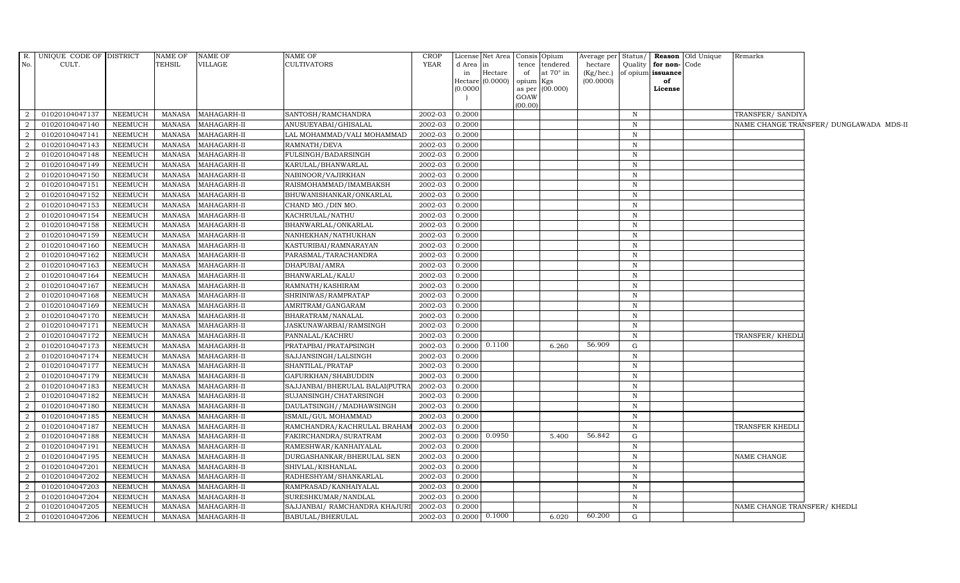|                | R. UNIQUE CODE OF DISTRICT |                 | <b>NAME OF</b> | <b>NAME OF</b> | <b>NAME OF</b>                 | <b>CROP</b> |          | License Net Area Consis Opium |           |                  | Average per |              |                         | Status/ Reason Old Unique | Remarks                      |                                         |
|----------------|----------------------------|-----------------|----------------|----------------|--------------------------------|-------------|----------|-------------------------------|-----------|------------------|-------------|--------------|-------------------------|---------------------------|------------------------------|-----------------------------------------|
| No.            | CULT.                      |                 | <b>TEHSIL</b>  | VILLAGE        | <b>CULTIVATORS</b>             | <b>YEAR</b> | d Area   | lin                           |           | tence tendered   | hectare     |              | Quality   for non- Code |                           |                              |                                         |
|                |                            |                 |                |                |                                |             | in       | Hectare                       | of        | at $70^\circ$ in | (Kg/hec.)   |              | of opium issuance       |                           |                              |                                         |
|                |                            |                 |                |                |                                |             |          | Hectare (0.0000)              | opium Kgs |                  | (00.0000)   |              | of                      |                           |                              |                                         |
|                |                            |                 |                |                |                                |             | (0.0000) |                               | GOAW      | as per (00.000)  |             |              | License                 |                           |                              |                                         |
|                |                            |                 |                |                |                                |             |          |                               | (00.00)   |                  |             |              |                         |                           |                              |                                         |
| 2              | 01020104047137             | NEEMUCH         | <b>MANASA</b>  | MAHAGARH-II    | SANTOSH/RAMCHANDRA             | 2002-03     | 0.2000   |                               |           |                  |             | $\mathbb N$  |                         |                           | TRANSFER/ SANDIYA            |                                         |
| $\overline{2}$ | 01020104047140             | <b>NEEMUCH</b>  | <b>MANASA</b>  | MAHAGARH-II    | ANUSUEYABAI/GHISALAL           | 2002-03     | 0.2000   |                               |           |                  |             | $\mathbb N$  |                         |                           |                              | NAME CHANGE TRANSFER/ DUNGLAWADA MDS-II |
| $\overline{2}$ | 01020104047141             | NEEMUCH         | <b>MANASA</b>  | MAHAGARH-II    | LAL MOHAMMAD/VALI MOHAMMAD     | 2002-03     | 0.2000   |                               |           |                  |             | $\mathbf N$  |                         |                           |                              |                                         |
| $\overline{2}$ | 01020104047143             | <b>NEEMUCH</b>  | <b>MANASA</b>  | MAHAGARH-II    | RAMNATH/DEVA                   | 2002-03     | 0.2000   |                               |           |                  |             | $\mathbf N$  |                         |                           |                              |                                         |
| $\overline{2}$ | 01020104047148             | NEEMUCH         | <b>MANASA</b>  | MAHAGARH-II    | FULSINGH/BADARSINGH            | 2002-03     | 0.2000   |                               |           |                  |             | $\mathbf N$  |                         |                           |                              |                                         |
| 2              | 01020104047149             | NEEMUCH         | <b>MANASA</b>  | MAHAGARH-II    | KARULAL/BHANWARLAL             | 2002-03     | 0.2000   |                               |           |                  |             | $\mathbb N$  |                         |                           |                              |                                         |
| 2              | 01020104047150             | <b>NEEMUCH</b>  | <b>MANASA</b>  | MAHAGARH-II    | NABINOOR/VAJIRKHAN             | 2002-03     | 0.2000   |                               |           |                  |             | $\mathbb N$  |                         |                           |                              |                                         |
| 2              | 01020104047151             | <b>NEEMUCH</b>  | <b>MANASA</b>  | MAHAGARH-II    | RAISMOHAMMAD/IMAMBAKSH         | 2002-03     | 0.2000   |                               |           |                  |             | $\mathbf N$  |                         |                           |                              |                                         |
| $\overline{2}$ | 01020104047152             | <b>NEEMUCH</b>  | <b>MANASA</b>  | MAHAGARH-II    | BHUWANISHANKAR/ONKARLAL        | 2002-03     | 0.2000   |                               |           |                  |             | $\mathbf N$  |                         |                           |                              |                                         |
| $\overline{2}$ | 01020104047153             | <b>NEEMUCH</b>  | <b>MANASA</b>  | MAHAGARH-II    | CHAND MO./DIN MO.              | 2002-03     | 0.2000   |                               |           |                  |             | $\mathbb N$  |                         |                           |                              |                                         |
| 2              | 01020104047154             | NEEMUCH         | <b>MANASA</b>  | MAHAGARH-II    | KACHRULAL/NATHU                | 2002-03     | 0.2000   |                               |           |                  |             | $\mathbb N$  |                         |                           |                              |                                         |
| $\overline{2}$ | 01020104047158             | ${\tt NEEMUCH}$ | <b>MANASA</b>  | MAHAGARH-II    | BHANWARLAL/ONKARLAL            | 2002-03     | 0.2000   |                               |           |                  |             | $\mathbb N$  |                         |                           |                              |                                         |
| 2              | 01020104047159             | NEEMUCH         | <b>MANASA</b>  | MAHAGARH-II    | NANHEKHAN/NATHUKHAN            | 2002-03     | 0.2000   |                               |           |                  |             | $\mathbb N$  |                         |                           |                              |                                         |
| $\overline{2}$ | 01020104047160             | <b>NEEMUCH</b>  | <b>MANASA</b>  | MAHAGARH-II    | KASTURIBAI/RAMNARAYAN          | 2002-03     | 0.2000   |                               |           |                  |             | $\, {\bf N}$ |                         |                           |                              |                                         |
| $\overline{2}$ | 01020104047162             | NEEMUCH         | <b>MANASA</b>  | MAHAGARH-II    | PARASMAL/TARACHANDRA           | 2002-03     | 0.2000   |                               |           |                  |             | $\, {\rm N}$ |                         |                           |                              |                                         |
| $\overline{2}$ | 01020104047163             | NEEMUCH         | <b>MANASA</b>  | MAHAGARH-II    | DHAPUBAI/AMRA                  | 2002-03     | 0.2000   |                               |           |                  |             | $\mathbb N$  |                         |                           |                              |                                         |
| 2              | 01020104047164             | NEEMUCH         | <b>MANASA</b>  | MAHAGARH-II    | BHANWARLAL/KALU                | 2002-03     | 0.2000   |                               |           |                  |             | $\, {\bf N}$ |                         |                           |                              |                                         |
| $\overline{2}$ | 01020104047167             | NEEMUCH         | <b>MANASA</b>  | MAHAGARH-II    | RAMNATH/KASHIRAM               | 2002-03     | 0.2000   |                               |           |                  |             | $\mathbb N$  |                         |                           |                              |                                         |
| 2              | 01020104047168             | <b>NEEMUCH</b>  | <b>MANASA</b>  | MAHAGARH-II    | SHRINIWAS/RAMPRATAP            | 2002-03     | 0.2000   |                               |           |                  |             | $\mathbb N$  |                         |                           |                              |                                         |
| $\overline{2}$ | 01020104047169             | NEEMUCH         | <b>MANASA</b>  | MAHAGARH-II    | AMRITRAM/GANGARAM              | 2002-03     | 0.2000   |                               |           |                  |             | $\, {\bf N}$ |                         |                           |                              |                                         |
| 2              | 01020104047170             | NEEMUCH         | <b>MANASA</b>  | MAHAGARH-II    | BHARATRAM/NANALAL              | 2002-03     | 0.2000   |                               |           |                  |             | $\mathbb N$  |                         |                           |                              |                                         |
| 2              | 01020104047171             | NEEMUCH         | <b>MANASA</b>  | MAHAGARH-II    | JASKUNAWARBAI/RAMSINGH         | 2002-03     | 0.2000   |                               |           |                  |             | $\mathbb N$  |                         |                           |                              |                                         |
| $\overline{2}$ | 01020104047172             | <b>NEEMUCH</b>  | <b>MANASA</b>  | MAHAGARH-II    | PANNALAL/KACHRU                | 2002-03     | 0.2000   |                               |           |                  |             | $\mathbb N$  |                         |                           | TRANSFER/KHEDLI              |                                         |
| 2              | 01020104047173             | NEEMUCH         | <b>MANASA</b>  | MAHAGARH-II    | PRATAPBAI/PRATAPSINGH          | 2002-03     | 0.2000   | 0.1100                        |           | 6.260            | 56.909      | G            |                         |                           |                              |                                         |
| $\overline{2}$ | 01020104047174             | <b>NEEMUCH</b>  | <b>MANASA</b>  | MAHAGARH-II    | SAJJANSINGH/LALSINGH           | 2002-03     | 0.2000   |                               |           |                  |             | N            |                         |                           |                              |                                         |
| $\overline{a}$ | 01020104047177             | NEEMUCH         | <b>MANASA</b>  | MAHAGARH-II    | SHANTILAL/PRATAP               | 2002-03     | 0.2000   |                               |           |                  |             | $\mathbb N$  |                         |                           |                              |                                         |
| 2              | 01020104047179             | NEEMUCH         | <b>MANASA</b>  | MAHAGARH-II    | GAFURKHAN/SHABUDDIN            | 2002-03     | 0.2000   |                               |           |                  |             | $\mathbb N$  |                         |                           |                              |                                         |
| $\overline{2}$ | 01020104047183             | <b>NEEMUCH</b>  | <b>MANASA</b>  | MAHAGARH-II    | SAJJANBAI/BHERULAL BALAI(PUTRA | 2002-03     | 0.2000   |                               |           |                  |             | $\mathbb N$  |                         |                           |                              |                                         |
| 2              | 01020104047182             | <b>NEEMUCH</b>  | <b>MANASA</b>  | MAHAGARH-II    | SUJANSINGH/CHATARSINGH         | 2002-03     | 0.2000   |                               |           |                  |             | $\mathbb N$  |                         |                           |                              |                                         |
| 2              | 01020104047180             | NEEMUCH         | <b>MANASA</b>  | MAHAGARH-II    | DAULATSINGH//MADHAWSINGH       | 2002-03     | 0.2000   |                               |           |                  |             | $\mathbf N$  |                         |                           |                              |                                         |
| $\overline{a}$ | 01020104047185             | <b>NEEMUCH</b>  | <b>MANASA</b>  | MAHAGARH-II    | ISMAIL/GUL MOHAMMAD            | 2002-03     | 0.2000   |                               |           |                  |             | $\mathbb N$  |                         |                           |                              |                                         |
| $\overline{2}$ | 01020104047187             | <b>NEEMUCH</b>  | <b>MANASA</b>  | MAHAGARH-II    | RAMCHANDRA/KACHRULAL BRAHAM    | 2002-03     | 0.2000   |                               |           |                  |             | $\mathbb N$  |                         |                           | TRANSFER KHEDLI              |                                         |
| $\overline{2}$ | 01020104047188             | NEEMUCH         | <b>MANASA</b>  | MAHAGARH-II    | FAKIRCHANDRA/SURATRAM          | 2002-03     | 0.2000   | 0.0950                        |           | 5.400            | 56.842      | G            |                         |                           |                              |                                         |
| 2              | 01020104047191             | <b>NEEMUCH</b>  | <b>MANASA</b>  | MAHAGARH-II    | RAMESHWAR/KANHAIYALAL          | 2002-03     | 0.2000   |                               |           |                  |             | $\mathbb N$  |                         |                           |                              |                                         |
| $\overline{2}$ | 01020104047195             | <b>NEEMUCH</b>  | <b>MANASA</b>  | MAHAGARH-II    | DURGASHANKAR/BHERULAL SEN      | 2002-03     | 0.2000   |                               |           |                  |             | $\mathbb N$  |                         |                           | NAME CHANGE                  |                                         |
| $\overline{2}$ | 01020104047201             | <b>NEEMUCH</b>  | <b>MANASA</b>  | MAHAGARH-II    | SHIVLAL/KISHANLAL              | 2002-03     | 0.2000   |                               |           |                  |             | $\mathbf N$  |                         |                           |                              |                                         |
| 2              | 01020104047202             | <b>NEEMUCH</b>  | <b>MANASA</b>  | MAHAGARH-II    | RADHESHYAM/SHANKARLAL          | 2002-03     | 0.2000   |                               |           |                  |             | $\mathbb N$  |                         |                           |                              |                                         |
| 2              | 01020104047203             | NEEMUCH         | <b>MANASA</b>  | MAHAGARH-II    | RAMPRASAD/KANHAIYALAL          | 2002-03     | 0.2000   |                               |           |                  |             | $\mathbb N$  |                         |                           |                              |                                         |
| $\overline{2}$ | 01020104047204             | <b>NEEMUCH</b>  | <b>MANASA</b>  | MAHAGARH-II    | SURESHKUMAR/NANDLAL            | 2002-03     | 0.2000   |                               |           |                  |             | N            |                         |                           |                              |                                         |
| $\overline{2}$ | 01020104047205             | NEEMUCH         | <b>MANASA</b>  | MAHAGARH-II    | SAJJANBAI/ RAMCHANDRA KHAJURI  | 2002-03     | 0.2000   |                               |           |                  |             | $\mathbb N$  |                         |                           | NAME CHANGE TRANSFER/ KHEDLI |                                         |
| $\overline{2}$ | 01020104047206             | NEEMUCH         | MANASA         | MAHAGARH-II    | BABULAL/BHERULAL               | 2002-03     |          | $0.2000 \mid 0.1000$          |           | 6.020            | 60.200      | G            |                         |                           |                              |                                         |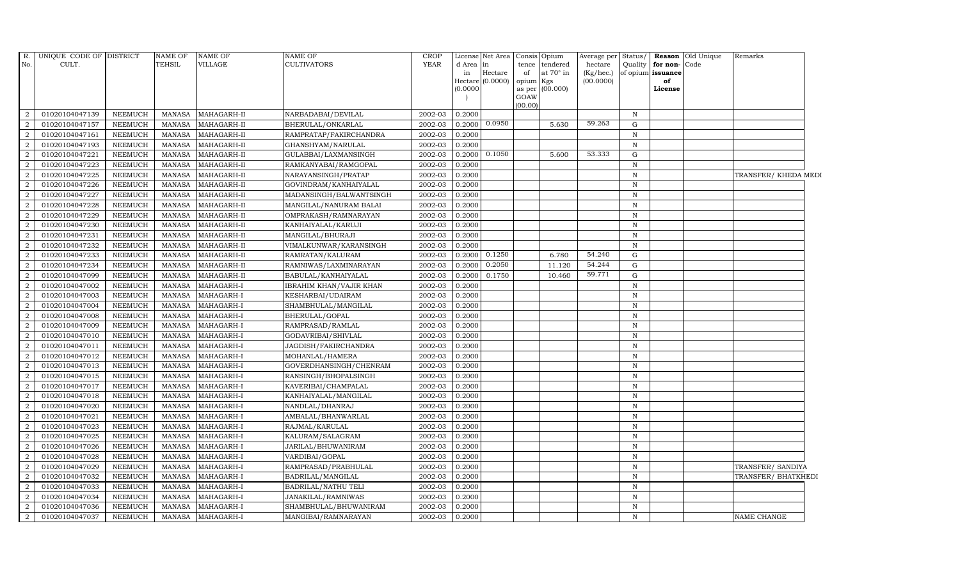| R.             | UNIQUE CODE OF DISTRICT |                | NAME OF       | <b>NAME OF</b> | NAME OF                 | CROP        |           | License Net Area            | Consis      | Opium            | Average per               | Status/      |                         | <b>Reason</b> Old Unique | Remarks              |
|----------------|-------------------------|----------------|---------------|----------------|-------------------------|-------------|-----------|-----------------------------|-------------|------------------|---------------------------|--------------|-------------------------|--------------------------|----------------------|
| No.            | CULT.                   |                | TEHSIL        | VILLAGE        | <b>CULTIVATORS</b>      | <b>YEAR</b> | d Area in |                             | tence       | tendered         | hectare                   |              | Quality for non-Code    |                          |                      |
|                |                         |                |               |                |                         |             | in        | Hectare<br>Hectare (0.0000) | of<br>opium | at 70° in<br>Kgs | $(Kg/$ hec.)<br>(00.0000) |              | of opium issuance<br>of |                          |                      |
|                |                         |                |               |                |                         |             | (0.0000)  |                             | as per      | (00.000)         |                           |              | License                 |                          |                      |
|                |                         |                |               |                |                         |             |           |                             | GOAW        |                  |                           |              |                         |                          |                      |
|                |                         |                |               |                |                         |             |           |                             | (00.00)     |                  |                           |              |                         |                          |                      |
| 2              | 01020104047139          | <b>NEEMUCH</b> | MANASA        | MAHAGARH-II    | NARBADABAI/DEVILAL      | 2002-03     | 0.2000    |                             |             |                  |                           | N            |                         |                          |                      |
| $\overline{2}$ | 01020104047157          | <b>NEEMUCH</b> | MANASA        | MAHAGARH-II    | BHERULAL/ONKARLAL       | 2002-03     | 0.2000    | 0.0950                      |             | 5.630            | 59.263                    | G            |                         |                          |                      |
| $\overline{2}$ | 01020104047161          | <b>NEEMUCH</b> | MANASA        | MAHAGARH-II    | RAMPRATAP/FAKIRCHANDRA  | 2002-03     | 0.2000    |                             |             |                  |                           | $\mathbb N$  |                         |                          |                      |
| $\overline{2}$ | 01020104047193          | <b>NEEMUCH</b> | <b>MANASA</b> | MAHAGARH-II    | GHANSHYAM/NARULAL       | 2002-03     | 0.2000    |                             |             |                  |                           | $\mathbb N$  |                         |                          |                      |
| $\overline{2}$ | 01020104047221          | NEEMUCH        | <b>MANASA</b> | MAHAGARH-II    | GULABBAI/LAXMANSINGH    | 2002-03     | 0.2000    | 0.1050                      |             | 5.600            | 53.333                    | $\mathbf G$  |                         |                          |                      |
| 2              | 01020104047223          | <b>NEEMUCH</b> | <b>MANASA</b> | MAHAGARH-II    | RAMKANYABAI/RAMGOPAL    | 2002-03     | 0.2000    |                             |             |                  |                           | $\mathbb N$  |                         |                          |                      |
| 2              | 01020104047225          | <b>NEEMUCH</b> | <b>MANASA</b> | MAHAGARH-II    | NARAYANSINGH/PRATAP     | 2002-03     | 0.2000    |                             |             |                  |                           | $\mathbf N$  |                         |                          | TRANSFER/ KHEDA MEDI |
| $\overline{2}$ | 01020104047226          | <b>NEEMUCH</b> | MANASA        | MAHAGARH-II    | GOVINDRAM/KANHAIYALAL   | 2002-03     | 0.2000    |                             |             |                  |                           | N            |                         |                          |                      |
| $\mathcal{D}$  | 01020104047227          | <b>NEEMUCH</b> | <b>MANASA</b> | MAHAGARH-II    | MADANSINGH/BALWANTSINGH | 2002-03     | 0.2000    |                             |             |                  |                           | $\mathbb N$  |                         |                          |                      |
|                | 01020104047228          | <b>NEEMUCH</b> | <b>MANASA</b> | MAHAGARH-II    | MANGILAL/NANURAM BALAI  | 2002-03     | 0.2000    |                             |             |                  |                           | $\mathbf N$  |                         |                          |                      |
| $\overline{2}$ | 01020104047229          | <b>NEEMUCH</b> | MANASA        | MAHAGARH-II    | OMPRAKASH/RAMNARAYAN    | 2002-03     | 0.2000    |                             |             |                  |                           | N            |                         |                          |                      |
| 2              | 01020104047230          | <b>NEEMUCH</b> | MANASA        | MAHAGARH-II    | KANHAIYALAL/KARUJI      | 2002-03     | 0.2000    |                             |             |                  |                           | $\mathbb N$  |                         |                          |                      |
| $\overline{2}$ | 01020104047231          | <b>NEEMUCH</b> | MANASA        | MAHAGARH-II    | MANGILAL/BHURAJI        | 2002-03     | 0.2000    |                             |             |                  |                           | $\, {\rm N}$ |                         |                          |                      |
| $\mathcal{D}$  | 01020104047232          | <b>NEEMUCH</b> | <b>MANASA</b> | MAHAGARH-II    | VIMALKUNWAR/KARANSINGH  | 2002-03     | 0.2000    |                             |             |                  |                           | $\mathbb N$  |                         |                          |                      |
|                | 01020104047233          | <b>NEEMUCH</b> | <b>MANASA</b> | MAHAGARH-II    | RAMRATAN/KALURAM        | 2002-03     | 0.2000    | 0.1250                      |             | 6.780            | 54.240                    | G            |                         |                          |                      |
| $\overline{2}$ | 01020104047234          | <b>NEEMUCH</b> | MANASA        | MAHAGARH-II    | RAMNIWAS/LAXMINARAYAN   | 2002-03     | 0.2000    | 0.2050                      |             | 11.120           | 54.244                    | G            |                         |                          |                      |
| 2              | 01020104047099          | <b>NEEMUCH</b> | <b>MANASA</b> | MAHAGARH-II    | BABULAL/KANHAIYALAL     | 2002-03     | 0.2000    | 0.1750                      |             | 10.460           | 59.771                    | G            |                         |                          |                      |
| $\overline{2}$ | 01020104047002          | <b>NEEMUCH</b> | <b>MANASA</b> | MAHAGARH-I     | IBRAHIM KHAN/VAJIR KHAN | 2002-03     | 0.2000    |                             |             |                  |                           | $\, {\rm N}$ |                         |                          |                      |
| $\overline{2}$ | 01020104047003          | <b>NEEMUCH</b> | <b>MANASA</b> | MAHAGARH-I     | KESHARBAI/UDAIRAM       | 2002-03     | 0.2000    |                             |             |                  |                           | $\mathbb N$  |                         |                          |                      |
| $\mathcal{D}$  | 01020104047004          | <b>NEEMUCH</b> | <b>MANASA</b> | MAHAGARH-I     | SHAMBHULAL/MANGILAL     | 2002-03     | 0.2000    |                             |             |                  |                           | $\mathbb N$  |                         |                          |                      |
| $\overline{2}$ | 01020104047008          | <b>NEEMUCH</b> | MANASA        | MAHAGARH-I     | BHERULAL/GOPAL          | 2002-03     | 0.2000    |                             |             |                  |                           | $\, {\rm N}$ |                         |                          |                      |
| $\overline{2}$ | 01020104047009          | <b>NEEMUCH</b> | <b>MANASA</b> | MAHAGARH-I     | RAMPRASAD/RAMLAL        | 2002-03     | 0.2000    |                             |             |                  |                           | N            |                         |                          |                      |
| 2              | 01020104047010          | <b>NEEMUCH</b> | <b>MANASA</b> | MAHAGARH-I     | GODAVRIBAI/SHIVLAL      | 2002-03     | 0.2000    |                             |             |                  |                           | $\mathbf N$  |                         |                          |                      |
| $\overline{2}$ | 01020104047011          | <b>NEEMUCH</b> | <b>MANASA</b> | MAHAGARH-I     | JAGDISH/FAKIRCHANDRA    | 2002-03     | 0.2000    |                             |             |                  |                           | $\mathbf N$  |                         |                          |                      |
| $\mathcal{D}$  | 01020104047012          | <b>NEEMUCH</b> | <b>MANASA</b> | MAHAGARH-I     | MOHANLAL/HAMERA         | 2002-03     | 0.2000    |                             |             |                  |                           | $\mathbb N$  |                         |                          |                      |
| 2              | 01020104047013          | <b>NEEMUCH</b> | <b>MANASA</b> | MAHAGARH-I     | GOVERDHANSINGH/CHENRAM  | 2002-03     | 0.2000    |                             |             |                  |                           | ${\bf N}$    |                         |                          |                      |
| $\overline{2}$ | 01020104047015          | <b>NEEMUCH</b> | <b>MANASA</b> | MAHAGARH-I     | RANSINGH/BHOPALSINGH    | 2002-03     | 0.2000    |                             |             |                  |                           | $\mathbb N$  |                         |                          |                      |
| 2              | 01020104047017          | <b>NEEMUCH</b> | <b>MANASA</b> | MAHAGARH-I     | KAVERIBAI/CHAMPALAL     | 2002-03     | 0.2000    |                             |             |                  |                           | $\mathbb N$  |                         |                          |                      |
| 2              | 01020104047018          | <b>NEEMUCH</b> | MANASA        | MAHAGARH-I     | KANHAIYALAL/MANGILAL    | 2002-03     | 0.2000    |                             |             |                  |                           | $\mathbb N$  |                         |                          |                      |
| $\mathcal{D}$  | 01020104047020          | <b>NEEMUCH</b> | <b>MANASA</b> | MAHAGARH-I     | NANDLAL/DHANRAJ         | 2002-03     | 0.2000    |                             |             |                  |                           | $\, {\rm N}$ |                         |                          |                      |
| $\overline{2}$ | 01020104047021          | <b>NEEMUCH</b> | <b>MANASA</b> | MAHAGARH-I     | AMBALAL/BHANWARLAL      | 2002-03     | 0.2000    |                             |             |                  |                           | $\mathbb N$  |                         |                          |                      |
| 2              | 01020104047023          | <b>NEEMUCH</b> | <b>MANASA</b> | MAHAGARH-I     | RAJMAL/KARULAL          | 2002-03     | 0.2000    |                             |             |                  |                           | $\mathbb N$  |                         |                          |                      |
| $\overline{2}$ | 01020104047025          | <b>NEEMUCH</b> | <b>MANASA</b> | MAHAGARH-I     | KALURAM/SALAGRAM        | 2002-03     | 0.2000    |                             |             |                  |                           | $\mathbb N$  |                         |                          |                      |
| $\overline{2}$ | 01020104047026          | <b>NEEMUCH</b> | MANASA        | MAHAGARH-I     | JARILAL/BHUWANIRAM      | 2002-03     | 0.2000    |                             |             |                  |                           | N            |                         |                          |                      |
| $\mathcal{D}$  | 01020104047028          | <b>NEEMUCH</b> | <b>MANASA</b> | MAHAGARH-I     | VARDIBAI/GOPAL          | 2002-03     | 0.2000    |                             |             |                  |                           | $\, {\rm N}$ |                         |                          |                      |
| 2              | 01020104047029          | <b>NEEMUCH</b> | <b>MANASA</b> | MAHAGARH-I     | RAMPRASAD/PRABHULAL     | 2002-03     | 0.2000    |                             |             |                  |                           | N            |                         |                          | TRANSFER/ SANDIYA    |
| $\overline{2}$ | 01020104047032          | <b>NEEMUCH</b> | <b>MANASA</b> | MAHAGARH-I     | BADRILAL/MANGILAL       | 2002-03     | 0.2000    |                             |             |                  |                           | N            |                         |                          | TRANSFER/ BHATKHEDI  |
| $\overline{2}$ | 01020104047033          | <b>NEEMUCH</b> | <b>MANASA</b> | MAHAGARH-I     | BADRILAL/NATHU TELI     | 2002-03     | 0.2000    |                             |             |                  |                           | $\mathbb N$  |                         |                          |                      |
| $\overline{2}$ | 01020104047034          | <b>NEEMUCH</b> | MANASA        | MAHAGARH-I     | JANAKILAL/RAMNIWAS      | 2002-03     | 0.2000    |                             |             |                  |                           | $\mathbb N$  |                         |                          |                      |
| 2              | 01020104047036          | <b>NEEMUCH</b> | <b>MANASA</b> | MAHAGARH-I     | SHAMBHULAL/BHUWANIRAM   | 2002-03     | 0.2000    |                             |             |                  |                           | $\, {\rm N}$ |                         |                          |                      |
| $\overline{a}$ | 01020104047037          | <b>NEEMUCH</b> | <b>MANASA</b> | MAHAGARH-I     | MANGIBAI/RAMNARAYAN     | 2002-03     | 0.2000    |                             |             |                  |                           | N            |                         |                          | NAME CHANGE          |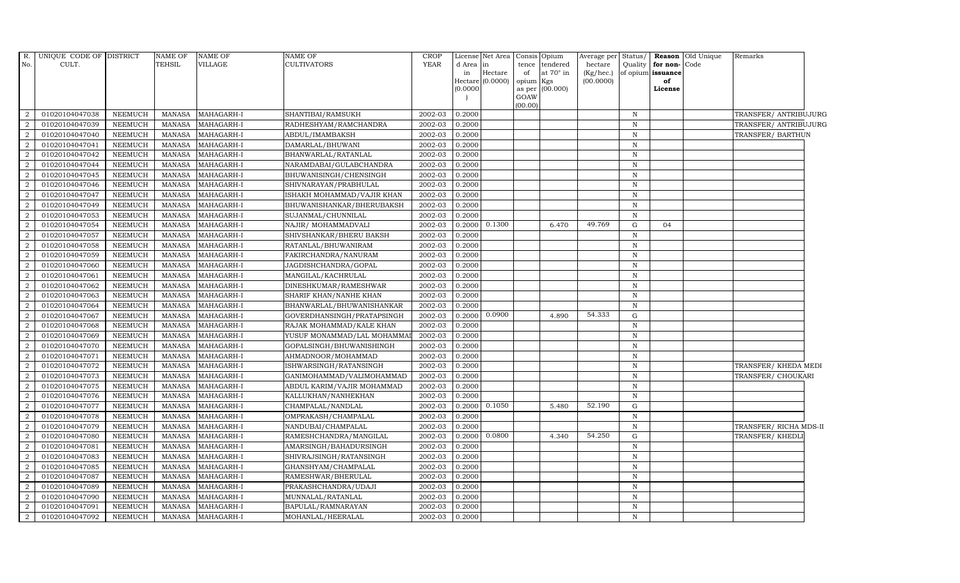| $R$ .                       | UNIQUE CODE OF DISTRICT |                | <b>NAME OF</b> | <b>NAME OF</b> | NAME OF                    | <b>CROP</b> | License  | Net Area       | Consis  | Opium            | Average per     | Status/      | Reason            | Old Unique | Remarks                |
|-----------------------------|-------------------------|----------------|----------------|----------------|----------------------------|-------------|----------|----------------|---------|------------------|-----------------|--------------|-------------------|------------|------------------------|
| No.                         | CULT.                   |                | TEHSIL         | VILLAGE        | CULTIVATORS                | <b>YEAR</b> | d Area   | in             | tence   | tendered         | hectare         | Quality      | for non-          | Code       |                        |
|                             |                         |                |                |                |                            |             | in       | $\rm{Hectare}$ | of      | at $70^\circ$ in | $(Kg/$ hec. $)$ |              | of opium issuance |            |                        |
|                             |                         |                |                |                |                            |             | Hectare  | (0.0000)       | opium   | Kgs              | (00.0000)       |              | of                |            |                        |
|                             |                         |                |                |                |                            |             | (0.0000) |                | GOAW    | as per (00.000)  |                 |              | License           |            |                        |
|                             |                         |                |                |                |                            |             |          |                | (00.00) |                  |                 |              |                   |            |                        |
| 2                           | 01020104047038          | <b>NEEMUCH</b> | <b>MANASA</b>  | MAHAGARH-I     | SHANTIBAI/RAMSUKH          | 2002-03     | 0.2000   |                |         |                  |                 | $\mathbb N$  |                   |            | TRANSFER/ANTRIBUJURG   |
| $\overline{2}$              | 01020104047039          | <b>NEEMUCH</b> | <b>MANASA</b>  | MAHAGARH-I     | RADHESHYAM/RAMCHANDRA      | 2002-03     | 0.2000   |                |         |                  |                 | $\mathbf N$  |                   |            | TRANSFER/ ANTRIBUJURG  |
| $\overline{2}$              | 01020104047040          | NEEMUCH        | <b>MANASA</b>  | MAHAGARH-I     | ABDUL/IMAMBAKSH            | 2002-03     | 0.2000   |                |         |                  |                 | $\mathbb N$  |                   |            | TRANSFER/BARTHUN       |
| $\mathcal{D}$               | 01020104047041          | <b>NEEMUCH</b> | <b>MANASA</b>  | MAHAGARH-I     | DAMARLAL/BHUWANI           | 2002-03     | 0.2000   |                |         |                  |                 | $\mathbf N$  |                   |            |                        |
|                             | 01020104047042          | <b>NEEMUCH</b> | <b>MANASA</b>  | MAHAGARH-I     | BHANWARLAL/RATANLAL        | 2002-03     | 0.2000   |                |         |                  |                 | $\mathbf N$  |                   |            |                        |
| 2                           | 01020104047044          | <b>NEEMUCH</b> | <b>MANASA</b>  | MAHAGARH-I     | NARAMDABAI/GULABCHANDRA    | 2002-03     | 0.2000   |                |         |                  |                 | $\mathbb N$  |                   |            |                        |
| 2                           | 01020104047045          | <b>NEEMUCH</b> | <b>MANASA</b>  | MAHAGARH-I     | BHUWANISINGH/CHENSINGH     | 2002-03     | 0.2000   |                |         |                  |                 | $\mathbf N$  |                   |            |                        |
| 2                           | 01020104047046          | <b>NEEMUCH</b> | <b>MANASA</b>  | MAHAGARH-I     | SHIVNARAYAN/PRABHULAL      | 2002-03     | 0.2000   |                |         |                  |                 | $\mathbb N$  |                   |            |                        |
| $\mathcal{D}$               | 01020104047047          | <b>NEEMUCH</b> | <b>MANASA</b>  | MAHAGARH-I     | ISHAKH MOHAMMAD/VAJIR KHAN | 2002-03     | 0.2000   |                |         |                  |                 | $\mathbf N$  |                   |            |                        |
|                             | 01020104047049          | <b>NEEMUCH</b> | <b>MANASA</b>  | MAHAGARH-I     | BHUWANISHANKAR/BHERUBAKSH  | 2002-03     | 0.2000   |                |         |                  |                 | $\mathbf N$  |                   |            |                        |
| 2                           | 01020104047053          | <b>NEEMUCH</b> | <b>MANASA</b>  | MAHAGARH-I     | SUJANMAL/CHUNNILAL         | 2002-03     | 0.2000   |                |         |                  |                 | $\mathbb N$  |                   |            |                        |
| 2                           | 01020104047054          | <b>NEEMUCH</b> | <b>MANASA</b>  | MAHAGARH-I     | NAJIR/ MOHAMMADVALI        | 2002-03     | 0.2000   | 0.1300         |         | 6.470            | 49.769          | G            | 04                |            |                        |
| 2                           | 01020104047057          | <b>NEEMUCH</b> | <b>MANASA</b>  | MAHAGARH-I     | SHIVSHANKAR/BHERU BAKSH    | 2002-03     | 0.2000   |                |         |                  |                 | $\mathbb N$  |                   |            |                        |
| $\overline{2}$              | 01020104047058          | <b>NEEMUCH</b> | <b>MANASA</b>  | MAHAGARH-I     | RATANLAL/BHUWANIRAM        | 2002-03     | 0.2000   |                |         |                  |                 | $\mathbb N$  |                   |            |                        |
|                             | 01020104047059          | <b>NEEMUCH</b> | <b>MANASA</b>  | MAHAGARH-I     | FAKIRCHANDRA/NANURAM       | 2002-03     | 0.2000   |                |         |                  |                 | $\mathbf N$  |                   |            |                        |
| $\overline{2}$              | 01020104047060          | <b>NEEMUCH</b> | <b>MANASA</b>  | MAHAGARH-I     | JAGDISHCHANDRA/GOPAL       | 2002-03     | 0.2000   |                |         |                  |                 | $\mathbb N$  |                   |            |                        |
| 2                           | 01020104047061          | <b>NEEMUCH</b> | <b>MANASA</b>  | MAHAGARH-I     | MANGILAL/KACHRULAL         | 2002-03     | 0.2000   |                |         |                  |                 | $\mathbb N$  |                   |            |                        |
| 2                           | 01020104047062          | <b>NEEMUCH</b> | <b>MANASA</b>  | MAHAGARH-I     | DINESHKUMAR/RAMESHWAR      | 2002-03     | 0.2000   |                |         |                  |                 | $\mathbb N$  |                   |            |                        |
| $\overline{2}$              | 01020104047063          | <b>NEEMUCH</b> | <b>MANASA</b>  | MAHAGARH-I     | SHARIF KHAN/NANHE KHAN     | 2002-03     | 0.2000   |                |         |                  |                 | $\mathbf N$  |                   |            |                        |
| $\overline{2}$              | 01020104047064          | <b>NEEMUCH</b> | <b>MANASA</b>  | MAHAGARH-I     | BHANWARLAL/BHUWANISHANKAR  | 2002-03     | 0.2000   |                |         |                  |                 | $\mathbb N$  |                   |            |                        |
| $\overline{2}$              | 01020104047067          | <b>NEEMUCH</b> | <b>MANASA</b>  | MAHAGARH-I     | GOVERDHANSINGH/PRATAPSINGH | 2002-03     | 0.2000   | 0.0900         |         | 4.890            | 54.333          | G            |                   |            |                        |
| 2                           | 01020104047068          | <b>NEEMUCH</b> | <b>MANASA</b>  | MAHAGARH-I     | RAJAK MOHAMMAD/KALE KHAN   | 2002-03     | 0.2000   |                |         |                  |                 | $\mathbf N$  |                   |            |                        |
| 2                           | 01020104047069          | <b>NEEMUCH</b> | <b>MANASA</b>  | MAHAGARH-I     | YUSUF MONAMMAD/LAL MOHAMMA | 2002-03     | 0.2000   |                |         |                  |                 | $\,$ N       |                   |            |                        |
| $\overline{2}$              | 01020104047070          | <b>NEEMUCH</b> | <b>MANASA</b>  | MAHAGARH-I     | GOPALSINGH/BHUWANISHINGH   | 2002-03     | 0.2000   |                |         |                  |                 | $\mathbf N$  |                   |            |                        |
| $\mathcal{D}$               | 01020104047071          | <b>NEEMUCH</b> | <b>MANASA</b>  | MAHAGARH-I     | AHMADNOOR/MOHAMMAD         | 2002-03     | 0.2000   |                |         |                  |                 | $\mathbb N$  |                   |            |                        |
| $\overline{2}$              | 01020104047072          | NEEMUCH        | <b>MANASA</b>  | MAHAGARH-I     | ISHWARSINGH/RATANSINGH     | 2002-03     | 0.2000   |                |         |                  |                 | $\mathbb N$  |                   |            | TRANSFER/ KHEDA MEDI   |
| $\overline{2}$              | 01020104047073          | <b>NEEMUCH</b> | <b>MANASA</b>  | MAHAGARH-I     | GANIMOHAMMAD/VALIMOHAMMAD  | 2002-03     | 0.2000   |                |         |                  |                 | $\mathbb N$  |                   |            | TRANSFER/ CHOUKARI     |
| $\overline{2}$              | 01020104047075          | <b>NEEMUCH</b> | <b>MANASA</b>  | MAHAGARH-I     | ABDUL KARIM/VAJIR MOHAMMAD | 2002-03     | 0.2000   |                |         |                  |                 | $\,$ N       |                   |            |                        |
| $\overline{2}$              | 01020104047076          | <b>NEEMUCH</b> | <b>MANASA</b>  | MAHAGARH-I     | KALLUKHAN/NANHEKHAN        | 2002-03     | 0.2000   |                |         |                  |                 | $\mathbf N$  |                   |            |                        |
|                             | 01020104047077          | <b>NEEMUCH</b> | <b>MANASA</b>  | MAHAGARH-I     | CHAMPALAL/NANDLAL          | 2002-03     | 0.2000   | 0.1050         |         | 5.480            | 52.190          | G            |                   |            |                        |
| $\overline{2}$              | 01020104047078          | <b>NEEMUCH</b> | <b>MANASA</b>  | MAHAGARH-I     | OMPRAKASH/CHAMPALAL        | 2002-03     | 0.2000   |                |         |                  |                 | $\, {\rm N}$ |                   |            |                        |
| $\overline{2}$              | 01020104047079          | <b>NEEMUCH</b> | <b>MANASA</b>  | MAHAGARH-I     | NANDUBAI/CHAMPALAL         | 2002-03     | 0.2000   |                |         |                  |                 | $\mathbf N$  |                   |            | TRANSFER/ RICHA MDS-II |
| $\overline{2}$              | 01020104047080          | <b>NEEMUCH</b> | <b>MANASA</b>  | MAHAGARH-I     | RAMESHCHANDRA/MANGILAL     | 2002-03     | 0.2000   | 0.0800         |         | 4.340            | 54.250          | G            |                   |            | TRANSFER/KHEDLI        |
| $\overline{2}$              | 01020104047081          | <b>NEEMUCH</b> | <b>MANASA</b>  | MAHAGARH-I     | AMARSINGH/BAHADURSINGH     | 2002-03     | 0.2000   |                |         |                  |                 | $\mathbf N$  |                   |            |                        |
| $\mathcal{D}$               | 01020104047083          | <b>NEEMUCH</b> | <b>MANASA</b>  | MAHAGARH-I     | SHIVRAJSINGH/RATANSINGH    | 2002-03     | 0.2000   |                |         |                  |                 | $\mathbb N$  |                   |            |                        |
| $\overline{2}$              | 01020104047085          | <b>NEEMUCH</b> | <b>MANASA</b>  | MAHAGARH-I     | GHANSHYAM/CHAMPALAL        | 2002-03     | 0.2000   |                |         |                  |                 | $\mathbb N$  |                   |            |                        |
| $\overline{2}$              | 01020104047087          | <b>NEEMUCH</b> | <b>MANASA</b>  | MAHAGARH-I     | RAMESHWAR/BHERULAL         | 2002-03     | 0.2000   |                |         |                  |                 | $\mathbb N$  |                   |            |                        |
| 2                           | 01020104047089          | <b>NEEMUCH</b> | <b>MANASA</b>  | MAHAGARH-I     | PRAKASHCHANDRA/UDAJI       | 2002-03     | 0.2000   |                |         |                  |                 | $\,$ N       |                   |            |                        |
| $\overline{2}$              | 01020104047090          | <b>NEEMUCH</b> | <b>MANASA</b>  | MAHAGARH-I     | MUNNALAL/RATANLAL          | 2002-03     | 0.2000   |                |         |                  |                 | $\mathbb N$  |                   |            |                        |
| $\mathcal{D}_{\mathcal{L}}$ | 01020104047091          | <b>NEEMUCH</b> | <b>MANASA</b>  | MAHAGARH-I     | BAPULAL/RAMNARAYAN         | 2002-03     | 0.2000   |                |         |                  |                 | $\mathbf N$  |                   |            |                        |
| $\overline{2}$              | 01020104047092          | <b>NEEMUCH</b> | <b>MANASA</b>  | MAHAGARH-I     | MOHANLAL/HEERALAL          | 2002-03     | 0.2000   |                |         |                  |                 | $\mathbf N$  |                   |            |                        |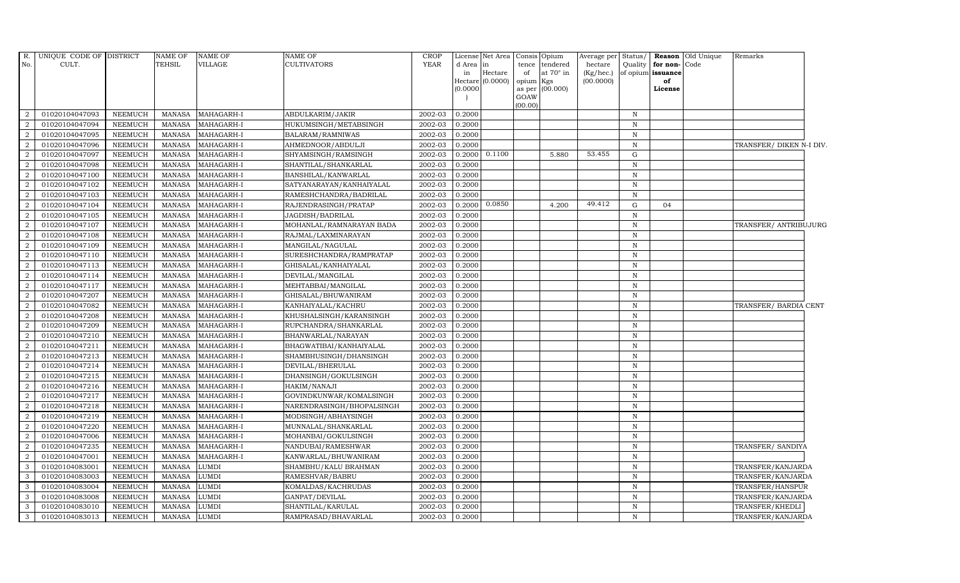| R.             | UNIQUE CODE OF DISTRICT |                | <b>NAME OF</b> | <b>NAME OF</b> | <b>NAME OF</b>            | <b>CROP</b> |           | License Net Area Consis |                 | Opium            | Average per     | Status <sub>l</sub> |                   | Reason Old Unique | Remarks                  |
|----------------|-------------------------|----------------|----------------|----------------|---------------------------|-------------|-----------|-------------------------|-----------------|------------------|-----------------|---------------------|-------------------|-------------------|--------------------------|
| No.            | CULT.                   |                | TEHSIL         | <b>VILLAGE</b> | <b>CULTIVATORS</b>        | <b>YEAR</b> | d Area in |                         | tence           | tendered         | hectare         | Quality             | for non-          | Code              |                          |
|                |                         |                |                |                |                           |             | in        | Hectare                 | of              | at $70^\circ$ in | $(Kg/$ hec. $)$ |                     | of opium issuance |                   |                          |
|                |                         |                |                |                |                           |             | (0.0000)  | Hectare $(0.0000)$      | opium<br>as per | Kgs<br>(00.000)  | (00.0000)       |                     | of<br>License     |                   |                          |
|                |                         |                |                |                |                           |             |           |                         | GOAW            |                  |                 |                     |                   |                   |                          |
|                |                         |                |                |                |                           |             |           |                         | (00.00)         |                  |                 |                     |                   |                   |                          |
| 2              | 01020104047093          | NEEMUCH        | <b>MANASA</b>  | MAHAGARH-I     | ABDULKARIM/JAKIR          | 2002-03     | 0.2000    |                         |                 |                  |                 | N                   |                   |                   |                          |
| 2              | 01020104047094          | NEEMUCH        | MANASA         | MAHAGARH-I     | HUKUMSINGH/METABSINGH     | 2002-03     | 0.2000    |                         |                 |                  |                 | $\, {\bf N}$        |                   |                   |                          |
| $\overline{2}$ | 01020104047095          | <b>NEEMUCH</b> | <b>MANASA</b>  | MAHAGARH-I     | BALARAM/RAMNIWAS          | 2002-03     | 0.2000    |                         |                 |                  |                 | $\mathbb N$         |                   |                   |                          |
|                | 01020104047096          | <b>NEEMUCH</b> | <b>MANASA</b>  | MAHAGARH-I     | AHMEDNOOR/ABDULJI         | 2002-03     | 0.2000    |                         |                 |                  |                 | $\mathbf N$         |                   |                   | TRANSFER/ DIKEN N-I DIV. |
|                | 01020104047097          | <b>NEEMUCH</b> | <b>MANASA</b>  | MAHAGARH-I     | SHYAMSINGH/RAMSINGH       | 2002-03     | 0.2000    | 0.1100                  |                 | 5.880            | 53.455          | G                   |                   |                   |                          |
| 2              | 01020104047098          | <b>NEEMUCH</b> | <b>MANASA</b>  | MAHAGARH-I     | SHANTILAL/SHANKARLAL      | 2002-03     | 0.2000    |                         |                 |                  |                 | $\, {\rm N}$        |                   |                   |                          |
| 2              | 01020104047100          | <b>NEEMUCH</b> | <b>MANASA</b>  | MAHAGARH-I     | BANSHILAL/KANWARLAL       | 2002-03     | 0.2000    |                         |                 |                  |                 | ${\bf N}$           |                   |                   |                          |
| $\overline{2}$ | 01020104047102          | <b>NEEMUCH</b> | <b>MANASA</b>  | MAHAGARH-I     | SATYANARAYAN/KANHAIYALAL  | 2002-03     | 0.2000    |                         |                 |                  |                 | $\mathbf N$         |                   |                   |                          |
| $\mathcal{D}$  | 01020104047103          | <b>NEEMUCH</b> | <b>MANASA</b>  | MAHAGARH-I     | RAMESHCHANDRA/BADRILAL    | 2002-03     | 0.2000    |                         |                 |                  |                 | $\mathbf N$         |                   |                   |                          |
|                | 01020104047104          | <b>NEEMUCH</b> | <b>MANASA</b>  | MAHAGARH-I     | RAJENDRASINGH/PRATAP      | 2002-03     | 0.2000    | 0.0850                  |                 | 4.200            | 49.412          | ${\rm G}$           | 04                |                   |                          |
| 2              | 01020104047105          | <b>NEEMUCH</b> | <b>MANASA</b>  | MAHAGARH-I     | JAGDISH/BADRILAL          | 2002-03     | 0.2000    |                         |                 |                  |                 | $\mathbb N$         |                   |                   |                          |
| 2              | 01020104047107          | <b>NEEMUCH</b> | <b>MANASA</b>  | MAHAGARH-I     | MOHANLAL/RAMNARAYAN BADA  | 2002-03     | 0.2000    |                         |                 |                  |                 | $\mathbb N$         |                   |                   | TRANSFER/ ANTRIBUJURG    |
| 2              | 01020104047108          | <b>NEEMUCH</b> | <b>MANASA</b>  | MAHAGARH-I     | RAJMAL/LAXMINARAYAN       | 2002-03     | 0.2000    |                         |                 |                  |                 | $\mathbb N$         |                   |                   |                          |
| $\mathcal{D}$  | 01020104047109          | <b>NEEMUCH</b> | <b>MANASA</b>  | MAHAGARH-I     | MANGILAL/NAGULAL          | 2002-03     | 0.2000    |                         |                 |                  |                 | $\mathbb N$         |                   |                   |                          |
|                | 01020104047110          | <b>NEEMUCH</b> | <b>MANASA</b>  | MAHAGARH-I     | SURESHCHANDRA/RAMPRATAP   | 2002-03     | 0.2000    |                         |                 |                  |                 | $\mathbb N$         |                   |                   |                          |
| 2              | 01020104047113          | <b>NEEMUCH</b> | <b>MANASA</b>  | MAHAGARH-I     | GHISALAL/KANHAIYALAL      | 2002-03     | 0.2000    |                         |                 |                  |                 | $\mathbb N$         |                   |                   |                          |
| 2              | 01020104047114          | <b>NEEMUCH</b> | <b>MANASA</b>  | MAHAGARH-I     | DEVILAL/MANGILAL          | 2002-03     | 0.2000    |                         |                 |                  |                 | $\mathbf N$         |                   |                   |                          |
| $\overline{2}$ | 01020104047117          | <b>NEEMUCH</b> | <b>MANASA</b>  | MAHAGARH-I     | MEHTABBAI/MANGILAL        | 2002-03     | 0.2000    |                         |                 |                  |                 | ${\bf N}$           |                   |                   |                          |
| $\overline{2}$ | 01020104047207          | <b>NEEMUCH</b> | <b>MANASA</b>  | MAHAGARH-I     | GHISALAL/BHUWANIRAM       | 2002-03     | 0.2000    |                         |                 |                  |                 | $\mathbb N$         |                   |                   |                          |
| $\overline{2}$ | 01020104047082          | <b>NEEMUCH</b> | <b>MANASA</b>  | MAHAGARH-I     | KANHAIYALAL/KACHRU        | 2002-03     | 0.2000    |                         |                 |                  |                 | $\mathbb{N}$        |                   |                   | TRANSFER/ BARDIA CENT    |
| $\overline{2}$ | 01020104047208          | <b>NEEMUCH</b> | <b>MANASA</b>  | MAHAGARH-I     | KHUSHALSINGH/KARANSINGH   | 2002-03     | 0.2000    |                         |                 |                  |                 | ${\bf N}$           |                   |                   |                          |
| 2              | 01020104047209          | <b>NEEMUCH</b> | <b>MANASA</b>  | MAHAGARH-I     | RUPCHANDRA/SHANKARLAL     | 2002-03     | 0.2000    |                         |                 |                  |                 | $\mathbb N$         |                   |                   |                          |
| $\overline{2}$ | 01020104047210          | <b>NEEMUCH</b> | <b>MANASA</b>  | MAHAGARH-I     | BHANWARLAL/NARAYAN        | 2002-03     | 0.2000    |                         |                 |                  |                 | $\, {\bf N}$        |                   |                   |                          |
| $\overline{2}$ | 01020104047211          | <b>NEEMUCH</b> | <b>MANASA</b>  | MAHAGARH-I     | BHAGWATIBAI/KANHAIYALAL   | 2002-03     | 0.2000    |                         |                 |                  |                 | $\mathbb N$         |                   |                   |                          |
| $\mathcal{D}$  | 01020104047213          | <b>NEEMUCH</b> | <b>MANASA</b>  | MAHAGARH-I     | SHAMBHUSINGH/DHANSINGH    | 2002-03     | 0.2000    |                         |                 |                  |                 | $\mathbf N$         |                   |                   |                          |
| 2              | 01020104047214          | <b>NEEMUCH</b> | <b>MANASA</b>  | MAHAGARH-I     | DEVILAL/BHERULAL          | 2002-03     | 0.2000    |                         |                 |                  |                 | ${\bf N}$           |                   |                   |                          |
| 2              | 01020104047215          | <b>NEEMUCH</b> | <b>MANASA</b>  | MAHAGARH-I     | DHANSINGH/GOKULSINGH      | 2002-03     | 0.2000    |                         |                 |                  |                 | $\, {\bf N}$        |                   |                   |                          |
| $\overline{2}$ | 01020104047216          | <b>NEEMUCH</b> | <b>MANASA</b>  | MAHAGARH-I     | HAKIM/NANAJI              | 2002-03     | 0.2000    |                         |                 |                  |                 | $\mathbf N$         |                   |                   |                          |
| $\overline{2}$ | 01020104047217          | <b>NEEMUCH</b> | <b>MANASA</b>  | MAHAGARH-I     | GOVINDKUNWAR/KOMALSINGH   | 2002-03     | 0.2000    |                         |                 |                  |                 | $\, {\bf N}$        |                   |                   |                          |
| $\mathcal{D}$  | 01020104047218          | <b>NEEMUCH</b> | <b>MANASA</b>  | MAHAGARH-I     | NARENDRASINGH/BHOPALSINGH | 2002-03     | 0.2000    |                         |                 |                  |                 | $\, {\rm N}$        |                   |                   |                          |
| $\overline{2}$ | 01020104047219          | <b>NEEMUCH</b> | <b>MANASA</b>  | MAHAGARH-I     | MODSINGH/ABHAYSINGH       | 2002-03     | 0.2000    |                         |                 |                  |                 | N                   |                   |                   |                          |
| 2              | 01020104047220          | <b>NEEMUCH</b> | <b>MANASA</b>  | MAHAGARH-I     | MUNNALAL/SHANKARLAL       | 2002-03     | 0.2000    |                         |                 |                  |                 | $\mathbb N$         |                   |                   |                          |
| 2              | 01020104047006          | <b>NEEMUCH</b> | <b>MANASA</b>  | MAHAGARH-I     | MOHANBAI/GOKULSINGH       | 2002-03     | 0.2000    |                         |                 |                  |                 | $\mathbf N$         |                   |                   |                          |
| $\overline{2}$ | 01020104047235          | <b>NEEMUCH</b> | <b>MANASA</b>  | MAHAGARH-I     | NANDUBAI/RAMESHWAR        | 2002-03     | 0.2000    |                         |                 |                  |                 | $\mathbf N$         |                   |                   | TRANSFER/SANDIYA         |
| $\mathcal{D}$  | 01020104047001          | <b>NEEMUCH</b> | <b>MANASA</b>  | MAHAGARH-I     | KANWARLAL/BHUWANIRAM      | 2002-03     | 0.2000    |                         |                 |                  |                 | $\mathbb N$         |                   |                   |                          |
| 3              | 01020104083001          | NEEMUCH        | <b>MANASA</b>  | LUMDI          | SHAMBHU/KALU BRAHMAN      | 2002-03     | 0.2000    |                         |                 |                  |                 | $\mathbf N$         |                   |                   | TRANSFER/KANJARDA        |
| 3              | 01020104083003          | <b>NEEMUCH</b> | <b>MANASA</b>  | LUMDI          | RAMESHVAR/BABRU           | 2002-03     | 0.2000    |                         |                 |                  |                 | ${\bf N}$           |                   |                   | TRANSFER/KANJARDA        |
| 3              | 01020104083004          | <b>NEEMUCH</b> | <b>MANASA</b>  | LUMDI          | KOMALDAS/KACHRUDAS        | 2002-03     | 0.2000    |                         |                 |                  |                 | $\mathbb N$         |                   |                   | TRANSFER/HANSPUR         |
| 3              | 01020104083008          | <b>NEEMUCH</b> | <b>MANASA</b>  | <b>LUMDI</b>   | GANPAT/DEVILAL            | 2002-03     | 0.2000    |                         |                 |                  |                 | $\mathbf N$         |                   |                   | TRANSFER/KANJARDA        |
| 3              | 01020104083010          | <b>NEEMUCH</b> | <b>MANASA</b>  | <b>LUMDI</b>   | SHANTILAL/KARULAL         | 2002-03     | 0.2000    |                         |                 |                  |                 | ${\bf N}$           |                   |                   | TRANSFER/KHEDLI          |
| 3              | 01020104083013          | <b>NEEMUCH</b> | <b>MANASA</b>  | <b>LUMDI</b>   | RAMPRASAD/BHAVARLAL       | 2002-03     | 0.2000    |                         |                 |                  |                 | $\mathbb{N}$        |                   |                   | TRANSFER/KANJARDA        |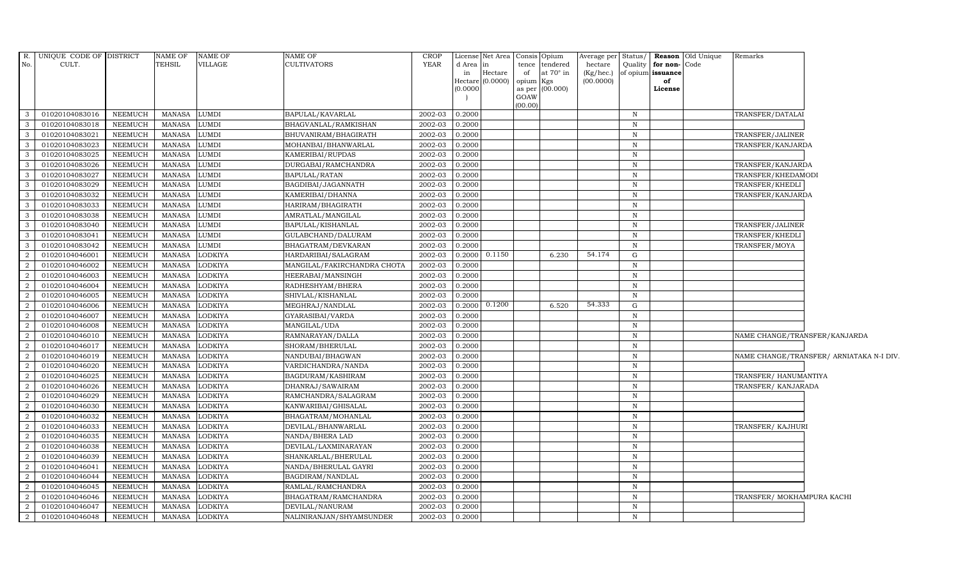| R.             | UNIQUE CODE OF DISTRICT |                | NAME OF       | NAME OF        | <b>NAME OF</b>              | <b>CROP</b> |                     | License Net Area Consis Opium |                 |                  | Average per Status/ |              |                      | <b>Reason</b> Old Unique | Remarks                       |                                          |
|----------------|-------------------------|----------------|---------------|----------------|-----------------------------|-------------|---------------------|-------------------------------|-----------------|------------------|---------------------|--------------|----------------------|--------------------------|-------------------------------|------------------------------------------|
| No.            | CULT.                   |                | TEHSIL        | VILLAGE        | <b>CULTIVATORS</b>          | <b>YEAR</b> | d Area              | in                            | tence           | tendered         | hectare             |              | Quality for non-Code |                          |                               |                                          |
|                |                         |                |               |                |                             |             | in                  | Hectare                       | of              | at $70^\circ$ in | $(Kg/$ hec. $)$     |              | of opium issuance    |                          |                               |                                          |
|                |                         |                |               |                |                             |             | Hectare<br>(0.0000) | (0.0000)                      | opium<br>as per | Kgs<br>(00.000)  | (00.0000)           |              | of<br>License        |                          |                               |                                          |
|                |                         |                |               |                |                             |             |                     |                               | GOAW            |                  |                     |              |                      |                          |                               |                                          |
|                |                         |                |               |                |                             |             |                     |                               | (00.00)         |                  |                     |              |                      |                          |                               |                                          |
| -3             | 01020104083016          | NEEMUCH        | MANASA        | LUMDI          | BAPULAL/KAVARLAL            | 2002-03     | 0.2000              |                               |                 |                  |                     | N            |                      |                          | TRANSFER/DATALAI              |                                          |
| -3             | 01020104083018          | NEEMUCH        | <b>MANASA</b> | LUMDI          | BHAGVANLAL/RAMKISHAN        | 2002-03     | 0.2000              |                               |                 |                  |                     | N            |                      |                          |                               |                                          |
| 3              | 01020104083021          | NEEMUCH        | <b>MANASA</b> | LUMDI          | BHUVANIRAM/BHAGIRATH        | 2002-03     | 0.2000              |                               |                 |                  |                     | N            |                      |                          | TRANSFER/JALINER              |                                          |
| 3              | 01020104083023          | NEEMUCH        | <b>MANASA</b> | LUMDI          | MOHANBAI/BHANWARLAL         | 2002-03     | 0.2000              |                               |                 |                  |                     | N            |                      |                          | TRANSFER/KANJARDA             |                                          |
| $\mathbf{3}$   | 01020104083025          | NEEMUCH        | <b>MANASA</b> | <b>LUMDI</b>   | KAMERIBAI/RUPDAS            | 2002-03     | 0.2000              |                               |                 |                  |                     | $\, {\bf N}$ |                      |                          |                               |                                          |
| $\mathbf{3}$   | 01020104083026          | NEEMUCH        | <b>MANASA</b> | LUMDI          | DURGABAI/RAMCHANDRA         | 2002-03     | 0.2000              |                               |                 |                  |                     | $\, {\rm N}$ |                      |                          | TRANSFER/KANJARDA             |                                          |
| 3              | 01020104083027          | NEEMUCH        | <b>MANASA</b> | <b>JUMDI</b>   | BAPULAL/RATAN               | 2002-03     | 0.2000              |                               |                 |                  |                     | $\mathbf N$  |                      |                          | TRANSFER/KHEDAMODI            |                                          |
| -3             | 01020104083029          | NEEMUCH        | <b>MANASA</b> | LUMDI          | BAGDIBAI/JAGANNATH          | 2002-03     | 0.2000              |                               |                 |                  |                     | $\mathbf N$  |                      |                          | TRANSFER/KHEDLI               |                                          |
| -3             | 01020104083032          | <b>NEEMUCH</b> | <b>MANASA</b> | <b>JUMDI</b>   | KAMERIBAI/DHANNA            | 2002-03     | 0.2000              |                               |                 |                  |                     | $\mathbf N$  |                      |                          | TRANSFER/KANJARDA             |                                          |
| 3              | 01020104083033          | NEEMUCH        | <b>MANASA</b> | LUMDI          | HARIRAM/BHAGIRATH           | 2002-03     | 0.2000              |                               |                 |                  |                     | $\, {\bf N}$ |                      |                          |                               |                                          |
| $\mathbf{3}$   | 01020104083038          | NEEMUCH        | <b>MANASA</b> | <b>LUMDI</b>   | AMRATLAL/MANGILAL           | 2002-03     | 0.2000              |                               |                 |                  |                     | N            |                      |                          |                               |                                          |
| 3              | 01020104083040          | NEEMUCH        | <b>MANASA</b> | LUMDI          | BAPULAL/KISHANLAL           | 2002-03     | 0.2000              |                               |                 |                  |                     | $\, {\rm N}$ |                      |                          | TRANSFER/JALINER              |                                          |
| $\mathbf{3}$   | 01020104083041          | NEEMUCH        | MANASA        | LUMDI          | GULABCHAND/DALURAM          | 2002-03     | 0.2000              |                               |                 |                  |                     | N            |                      |                          | TRANSFER/KHEDLI               |                                          |
| 3              | 01020104083042          | NEEMUCH        | <b>MANASA</b> | LUMDI          | BHAGATRAM/DEVKARAN          | 2002-03     | 0.2000              |                               |                 |                  |                     | $\mathbb N$  |                      |                          | TRANSFER/MOYA                 |                                          |
| $\overline{2}$ | 01020104046001          | NEEMUCH        | <b>MANASA</b> | LODKIYA        | HARDARIBAI/SALAGRAM         | 2002-03     | 0.2000              | 0.1150                        |                 | 6.230            | 54.174              | ${\rm G}$    |                      |                          |                               |                                          |
| 2              | 01020104046002          | NEEMUCH        | <b>MANASA</b> | LODKIYA        | MANGILAL/FAKIRCHANDRA CHOTA | 2002-03     | 0.2000              |                               |                 |                  |                     | N            |                      |                          |                               |                                          |
| 2              | 01020104046003          | NEEMUCH        | MANASA        | <b>LODKIYA</b> | HEERABAI/MANSINGH           | 2002-03     | 0.2000              |                               |                 |                  |                     | $\, {\rm N}$ |                      |                          |                               |                                          |
| 2              | 01020104046004          | NEEMUCH        | <b>MANASA</b> | LODKIYA        | RADHESHYAM/BHERA            | 2002-03     | 0.2000              |                               |                 |                  |                     | $\mathbb N$  |                      |                          |                               |                                          |
| 2              | 01020104046005          | NEEMUCH        | <b>MANASA</b> | LODKIYA        | SHIVLAL/KISHANLAL           | 2002-03     | 0.2000              |                               |                 |                  |                     | $\mathbb N$  |                      |                          |                               |                                          |
| $\overline{2}$ | 01020104046006          | NEEMUCH        | <b>MANASA</b> | LODKIYA        | MEGHRAJ/NANDLAL             | 2002-03     | 0.2000              | 0.1200                        |                 | 6.520            | 54.333              | G            |                      |                          |                               |                                          |
| 2              | 01020104046007          | NEEMUCH        | MANASA        | LODKIYA        | GYARASIBAI/VARDA            | 2002-03     | 0.2000              |                               |                 |                  |                     | N            |                      |                          |                               |                                          |
| 2              | 01020104046008          | <b>NEEMUCH</b> | <b>MANASA</b> | LODKIYA        | MANGILAL/UDA                | 2002-03     | 0.2000              |                               |                 |                  |                     | $\mathbb N$  |                      |                          |                               |                                          |
| 2              | 01020104046010          | NEEMUCH        | MANASA        | LODKIYA        | RAMNARAYAN/DALLA            | 2002-03     | 0.2000              |                               |                 |                  |                     | $\, {\rm N}$ |                      |                          | NAME CHANGE/TRANSFER/KANJARDA |                                          |
| 2              | 01020104046017          | NEEMUCH        | <b>MANASA</b> | LODKIYA        | SHORAM/BHERULAL             | 2002-03     | 0.2000              |                               |                 |                  |                     | $\mathbf N$  |                      |                          |                               |                                          |
| $\overline{2}$ | 01020104046019          | <b>NEEMUCH</b> | <b>MANASA</b> | LODKIYA        | NANDUBAI/BHAGWAN            | 2002-03     | 0.2000              |                               |                 |                  |                     | N            |                      |                          |                               | NAME CHANGE/TRANSFER/ ARNIATAKA N-I DIV. |
| $\overline{2}$ | 01020104046020          | NEEMUCH        | <b>MANASA</b> | LODKIYA        | VARDICHANDRA/NANDA          | 2002-03     | 0.2000              |                               |                 |                  |                     | $\mathbb N$  |                      |                          |                               |                                          |
| 2              | 01020104046025          | NEEMUCH        | <b>MANASA</b> | LODKIYA        | BAGDURAM/KASHIRAM           | 2002-03     | 0.2000              |                               |                 |                  |                     | $\, {\bf N}$ |                      |                          | TRANSFER/HANUMANTIYA          |                                          |
| 2              | 01020104046026          | NEEMUCH        | <b>MANASA</b> | LODKIYA        | DHANRAJ/SAWAIRAM            | 2002-03     | 0.2000              |                               |                 |                  |                     | $\mathbb N$  |                      |                          | TRANSFER/KANJARADA            |                                          |
| 2              | 01020104046029          | NEEMUCH        | <b>MANASA</b> | LODKIYA        | RAMCHANDRA/SALAGRAM         | 2002-03     | 0.2000              |                               |                 |                  |                     | N            |                      |                          |                               |                                          |
| 2              | 01020104046030          | NEEMUCH        | <b>MANASA</b> | LODKIYA        | KANWARIBAI/GHISALAL         | 2002-03     | 0.2000              |                               |                 |                  |                     | $\mathbf N$  |                      |                          |                               |                                          |
| $\overline{2}$ | 01020104046032          | <b>NEEMUCH</b> | <b>MANASA</b> | LODKIYA        | BHAGATRAM/MOHANLAL          | 2002-03     | 0.2000              |                               |                 |                  |                     | $\, {\rm N}$ |                      |                          |                               |                                          |
| $\overline{2}$ | 01020104046033          | NEEMUCH        | <b>MANASA</b> | LODKIYA        | DEVILAL/BHANWARLAL          | 2002-03     | 0.2000              |                               |                 |                  |                     | $\, {\rm N}$ |                      |                          | TRANSFER/KAJHURI              |                                          |
| 2              | 01020104046035          | NEEMUCH        | MANASA        | LODKIYA        | NANDA/BHERA LAD             | 2002-03     | 0.2000              |                               |                 |                  |                     | N            |                      |                          |                               |                                          |
| 2              | 01020104046038          | NEEMUCH        | <b>MANASA</b> | LODKIYA        | DEVILAL/LAXMINARAYAN        | 2002-03     | 0.2000              |                               |                 |                  |                     | $\mathbb N$  |                      |                          |                               |                                          |
| 2              | 01020104046039          | NEEMUCH        | <b>MANASA</b> | LODKIYA        | SHANKARLAL/BHERULAL         | 2002-03     | 0.2000              |                               |                 |                  |                     | $\mathbf N$  |                      |                          |                               |                                          |
| 2              | 01020104046041          | NEEMUCH        | <b>MANASA</b> | LODKIYA        | NANDA/BHERULAL GAYRI        | 2002-03     | 0.2000              |                               |                 |                  |                     | $\mathbf N$  |                      |                          |                               |                                          |
| $\overline{2}$ | 01020104046044          | <b>NEEMUCH</b> | <b>MANASA</b> | LODKIYA        | BAGDIRAM/NANDLAL            | 2002-03     | 0.2000              |                               |                 |                  |                     | $\mathbf N$  |                      |                          |                               |                                          |
| 2              | 01020104046045          | NEEMUCH        | <b>MANASA</b> | LODKIYA        | RAMLAL/RAMCHANDRA           | 2002-03     | 0.2000              |                               |                 |                  |                     | $\, {\rm N}$ |                      |                          |                               |                                          |
| 2              | 01020104046046          | <b>NEEMUCH</b> | <b>MANASA</b> | LODKIYA        | BHAGATRAM/RAMCHANDRA        | 2002-03     | 0.2000              |                               |                 |                  |                     | $\, {\bf N}$ |                      |                          | TRANSFER/ MOKHAMPURA KACHI    |                                          |
| 2              | 01020104046047          | NEEMUCH        | <b>MANASA</b> | LODKIYA        | DEVILAL/NANURAM             | 2002-03     | 0.2000              |                               |                 |                  |                     | $\mathbf N$  |                      |                          |                               |                                          |
| 2              | 01020104046048          | NEEMUCH        | MANASA        | <b>LODKIYA</b> | NALINIRANJAN/SHYAMSUNDER    | 2002-03     | 0.2000              |                               |                 |                  |                     | N            |                      |                          |                               |                                          |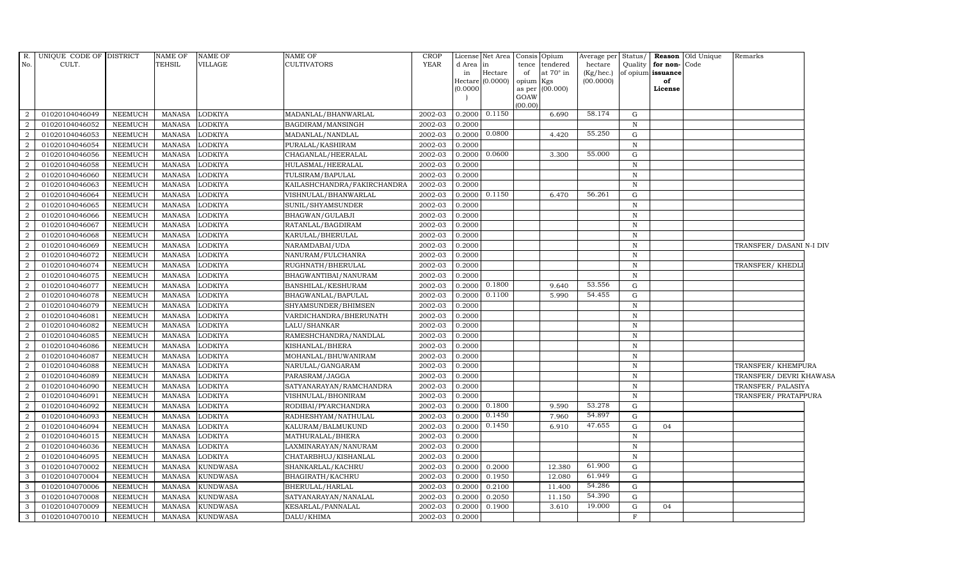| R.<br>No.         | UNIQUE CODE OF DISTRICT<br>CULT. |                | <b>NAME OF</b><br><b>TEHSIL</b> | <b>NAME OF</b><br>VILLAGE | NAME OF<br><b>CULTIVATORS</b> | <b>CROP</b><br>YEAR | d Area in<br>in<br>(0.0000) | License Net Area   Consis   Opium<br>Hectare<br>Hectare (0.0000) | tence<br>of<br>opium Kgs | tendered<br>at $70^\circ$ in<br>as per (00.000) | Average per Status/<br>hectare<br>(Kg/hec.)<br>(00.0000) | Quality      | for non-Code<br>of opium issuance<br>of<br>License | Reason Old Unique | Remarks                  |  |
|-------------------|----------------------------------|----------------|---------------------------------|---------------------------|-------------------------------|---------------------|-----------------------------|------------------------------------------------------------------|--------------------------|-------------------------------------------------|----------------------------------------------------------|--------------|----------------------------------------------------|-------------------|--------------------------|--|
|                   |                                  |                |                                 |                           |                               |                     |                             |                                                                  | GOAW<br>(00.00)          |                                                 |                                                          |              |                                                    |                   |                          |  |
| 2                 | 01020104046049                   | NEEMUCH        | MANASA                          | <b>LODKIYA</b>            | MADANLAL/BHANWARLAL           | 2002-03             |                             | 0.2000 0.1150                                                    |                          | 6.690                                           | 58.174                                                   | G            |                                                    |                   |                          |  |
| 2                 | 01020104046052                   | <b>NEEMUCH</b> | <b>MANASA</b>                   | <b>LODKIYA</b>            | BAGDIRAM/MANSINGH             | 2002-03             | 0.2000                      |                                                                  |                          |                                                 |                                                          | N            |                                                    |                   |                          |  |
| $\overline{2}$    | 01020104046053                   | <b>NEEMUCH</b> | <b>MANASA</b>                   | <b>LODKIYA</b>            | MADANLAL/NANDLAL              | 2002-03             | 0.2000                      | 0.0800                                                           |                          | 4.420                                           | 55.250                                                   | G            |                                                    |                   |                          |  |
| $\overline{2}$    | 01020104046054                   | <b>NEEMUCH</b> | <b>MANASA</b>                   | <b>LODKIYA</b>            | PURALAL/KASHIRAM              | 2002-03             | 0.2000                      |                                                                  |                          |                                                 |                                                          | N            |                                                    |                   |                          |  |
| $\overline{2}$    | 01020104046056                   | <b>NEEMUCH</b> | MANASA                          | <b>LODKIYA</b>            | CHAGANLAL/HEERALAL            | 2002-03             | 0.2000                      | 0.0600                                                           |                          | 3.300                                           | 55.000                                                   | G            |                                                    |                   |                          |  |
| $\overline{2}$    | 01020104046058                   | <b>NEEMUCH</b> | <b>MANASA</b>                   | <b>LODKIYA</b>            | HULASMAL/HEERALAL             | 2002-03             | 0.2000                      |                                                                  |                          |                                                 |                                                          | $\, {\rm N}$ |                                                    |                   |                          |  |
| $\overline{2}$    | 01020104046060                   | <b>NEEMUCH</b> | <b>MANASA</b>                   | <b>LODKIYA</b>            | TULSIRAM/BAPULAL              | 2002-03             | 0.2000                      |                                                                  |                          |                                                 |                                                          | $\mathbf N$  |                                                    |                   |                          |  |
| $\overline{2}$    | 01020104046063                   | <b>NEEMUCH</b> | MANASA                          | <b>LODKIYA</b>            | KAILASHCHANDRA/FAKIRCHANDRA   | 2002-03             | 0.2000                      |                                                                  |                          |                                                 |                                                          | N            |                                                    |                   |                          |  |
| $\overline{2}$    | 01020104046064                   | <b>NEEMUCH</b> | <b>MANASA</b>                   | <b>LODKIYA</b>            | VISHNULAL/BHANWARLAL          | 2002-03             | 0.2000                      | 0.1150                                                           |                          | 6.470                                           | 56.261                                                   | G            |                                                    |                   |                          |  |
| $\overline{2}$    | 01020104046065                   | <b>NEEMUCH</b> | <b>MANASA</b>                   | <b>LODKIYA</b>            | SUNIL/SHYAMSUNDER             | 2002-03             | 0.2000                      |                                                                  |                          |                                                 |                                                          | $\, {\rm N}$ |                                                    |                   |                          |  |
| $\overline{a}$    | 01020104046066                   | <b>NEEMUCH</b> | <b>MANASA</b>                   | <b>LODKIYA</b>            | BHAGWAN/GULABJI               | 2002-03             | 0.2000                      |                                                                  |                          |                                                 |                                                          | $\, {\bf N}$ |                                                    |                   |                          |  |
| 2                 | 01020104046067                   | <b>NEEMUCH</b> | <b>MANASA</b>                   | <b>LODKIYA</b>            | RATANLAL/BAGDIRAM             | 2002-03             | 0.2000                      |                                                                  |                          |                                                 |                                                          | $\, {\rm N}$ |                                                    |                   |                          |  |
| $\overline{2}$    | 01020104046068                   | <b>NEEMUCH</b> | <b>MANASA</b>                   | <b>LODKIYA</b>            | KARULAL/BHERULAL              | 2002-03             | 0.2000                      |                                                                  |                          |                                                 |                                                          | $\, {\rm N}$ |                                                    |                   |                          |  |
| $\overline{2}$    | 01020104046069                   | <b>NEEMUCH</b> | <b>MANASA</b>                   | <b>LODKIYA</b>            | NARAMDABAI/UDA                | 2002-03             | 0.2000                      |                                                                  |                          |                                                 |                                                          | $\mathbb N$  |                                                    |                   | TRANSFER/ DASANI N-I DIV |  |
| $\overline{a}$    | 01020104046072                   | <b>NEEMUCH</b> | <b>MANASA</b>                   | LODKIYA                   | NANURAM/FULCHANRA             | 2002-03             | 0.2000                      |                                                                  |                          |                                                 |                                                          | $\, {\rm N}$ |                                                    |                   |                          |  |
| $\overline{a}$    | 01020104046074                   | <b>NEEMUCH</b> | <b>MANASA</b>                   | LODKIYA                   | RUGHNATH/BHERULAL             | 2002-03             | 0.2000                      |                                                                  |                          |                                                 |                                                          | $\, {\rm N}$ |                                                    |                   | TRANSFER/ KHEDLI         |  |
| 2                 | 01020104046075                   | <b>NEEMUCH</b> | <b>MANASA</b>                   | <b>LODKIYA</b>            | BHAGWANTIBAI/NANURAM          | 2002-03             | 0.2000                      |                                                                  |                          |                                                 |                                                          | $\mathbb N$  |                                                    |                   |                          |  |
| $\overline{2}$    | 01020104046077                   | <b>NEEMUCH</b> | <b>MANASA</b>                   | <b>LODKIYA</b>            | BANSHILAL/KESHURAM            | 2002-03             | 0.2000                      | 0.1800                                                           |                          | 9.640                                           | 53.556                                                   | G            |                                                    |                   |                          |  |
| $\overline{2}$    | 01020104046078                   | <b>NEEMUCH</b> | <b>MANASA</b>                   | <b>LODKIYA</b>            | BHAGWANLAL/BAPULAL            | 2002-03             | 0.2000                      | 0.1100                                                           |                          | 5.990                                           | 54.455                                                   | G            |                                                    |                   |                          |  |
| $\overline{2}$    | 01020104046079                   | <b>NEEMUCH</b> | <b>MANASA</b>                   | <b>LODKIYA</b>            | SHYAMSUNDER/BHIMSEN           | 2002-03             | 0.2000                      |                                                                  |                          |                                                 |                                                          | $\mathbb N$  |                                                    |                   |                          |  |
| $\overline{a}$    | 01020104046081                   | <b>NEEMUCH</b> | MANASA                          | <b>LODKIYA</b>            | VARDICHANDRA/BHERUNATH        | 2002-03             | 0.2000                      |                                                                  |                          |                                                 |                                                          | $\, {\bf N}$ |                                                    |                   |                          |  |
| 2                 | 01020104046082                   | <b>NEEMUCH</b> | MANASA                          | <b>LODKIYA</b>            | LALU/SHANKAR                  | 2002-03             | 0.2000                      |                                                                  |                          |                                                 |                                                          | $\, {\bf N}$ |                                                    |                   |                          |  |
| 2                 | 01020104046085                   | <b>NEEMUCH</b> | MANASA                          | <b>LODKIYA</b>            | RAMESHCHANDRA/NANDLAL         | 2002-03             | 0.2000                      |                                                                  |                          |                                                 |                                                          | $\mathbb N$  |                                                    |                   |                          |  |
| 2                 | 01020104046086                   | <b>NEEMUCH</b> | MANASA                          | <b>LODKIYA</b>            | KISHANLAL/BHERA               | 2002-03             | 0.2000                      |                                                                  |                          |                                                 |                                                          | N            |                                                    |                   |                          |  |
| $\overline{2}$    | 01020104046087                   | <b>NEEMUCH</b> | <b>MANASA</b>                   | <b>LODKIYA</b>            | MOHANLAL/BHUWANIRAM           | 2002-03             | 0.2000                      |                                                                  |                          |                                                 |                                                          | $\, {\rm N}$ |                                                    |                   |                          |  |
| $\overline{a}$    | 01020104046088                   | <b>NEEMUCH</b> | <b>MANASA</b>                   | <b>LODKIYA</b>            | NARULAL/GANGARAM              | 2002-03             | 0.2000                      |                                                                  |                          |                                                 |                                                          | N            |                                                    |                   | TRANSFER/ KHEMPURA       |  |
| $\overline{2}$    | 01020104046089                   | <b>NEEMUCH</b> | <b>MANASA</b>                   | <b>LODKIYA</b>            | PARASRAM/JAGGA                | 2002-03             | 0.2000                      |                                                                  |                          |                                                 |                                                          | $\, {\rm N}$ |                                                    |                   | TRANSFER/ DEVRI KHAWASA  |  |
| $\overline{a}$    | 01020104046090                   | <b>NEEMUCH</b> | MANASA                          | <b>LODKIYA</b>            | SATYANARAYAN/RAMCHANDRA       | 2002-03             | 0.2000                      |                                                                  |                          |                                                 |                                                          | $\, {\bf N}$ |                                                    |                   | TRANSFER/ PALASIYA       |  |
| 2                 | 01020104046091                   | <b>NEEMUCH</b> | <b>MANASA</b>                   | <b>LODKIYA</b>            | VISHNULAL/BHONIRAM            | 2002-03             | 0.2000                      |                                                                  |                          |                                                 |                                                          | $\, {\bf N}$ |                                                    |                   | TRANSFER/ PRATAPPURA     |  |
| $\overline{2}$    | 01020104046092                   | <b>NEEMUCH</b> | <b>MANASA</b>                   | <b>LODKIYA</b>            | RODIBAI/PYARCHANDRA           | 2002-03             | 0.2000                      | 0.1800                                                           |                          | 9.590                                           | 53.278                                                   | G            |                                                    |                   |                          |  |
| $\overline{2}$    | 01020104046093                   | <b>NEEMUCH</b> | <b>MANASA</b>                   | <b>LODKIYA</b>            | RADHESHYAM/NATHULAL           | 2002-03             | 0.2000                      | 0.1450                                                           |                          | 7.960                                           | 54.897                                                   | G            |                                                    |                   |                          |  |
| 2                 | 01020104046094                   | <b>NEEMUCH</b> | <b>MANASA</b>                   | <b>LODKIYA</b>            | KALURAM/BALMUKUND             | 2002-03             | 0.2000                      | 0.1450                                                           |                          | 6.910                                           | 47.655                                                   | G            | 04                                                 |                   |                          |  |
| 2                 | 01020104046015                   | <b>NEEMUCH</b> | <b>MANASA</b>                   | <b>LODKIYA</b>            | MATHURALAL/BHERA              | 2002-03             | 0.2000                      |                                                                  |                          |                                                 |                                                          | $\, {\rm N}$ |                                                    |                   |                          |  |
| 2                 | 01020104046036                   | <b>NEEMUCH</b> | <b>MANASA</b>                   | <b>LODKIYA</b>            | LAXMINARAYAN/NANURAM          | 2002-03             | 0.2000                      |                                                                  |                          |                                                 |                                                          | $\, {\rm N}$ |                                                    |                   |                          |  |
| 2                 | 01020104046095                   | <b>NEEMUCH</b> | <b>MANASA</b>                   | <b>LODKIYA</b>            | CHATARBHUJ/KISHANLAL          | 2002-03             | 0.2000                      |                                                                  |                          |                                                 |                                                          | $\mathbf N$  |                                                    |                   |                          |  |
| 3                 | 01020104070002                   | <b>NEEMUCH</b> | <b>MANASA</b>                   | <b>KUNDWASA</b>           | SHANKARLAL/KACHRU             | 2002-03             | 0.2000                      | 0.2000                                                           |                          | 12.380                                          | 61.900<br>61.949                                         | G            |                                                    |                   |                          |  |
| $\mathbf{3}$      | 01020104070004                   | <b>NEEMUCH</b> | <b>MANASA</b>                   | <b>KUNDWASA</b>           | BHAGIRATH/KACHRU              | 2002-03             | 0.2000                      | 0.1950                                                           |                          | 12.080                                          | 54.286                                                   | G            |                                                    |                   |                          |  |
| $\mathbf{3}$      | 01020104070006                   | <b>NEEMUCH</b> | <b>MANASA</b>                   | <b>KUNDWASA</b>           | BHERULAL/HARLAL               | 2002-03<br>2002-03  | 0.2000                      | 0.2100                                                           |                          | 11.400<br>11.150                                | 54.390                                                   | G            |                                                    |                   |                          |  |
| 3<br>$\mathbf{3}$ | 01020104070008                   | <b>NEEMUCH</b> | <b>MANASA</b>                   | <b>KUNDWASA</b>           | SATYANARAYAN/NANALAL          |                     | 0.2000                      | 0.2050                                                           |                          | 3.610                                           | 19.000                                                   | G            |                                                    |                   |                          |  |
|                   | 01020104070009                   | <b>NEEMUCH</b> | MANASA                          | <b>KUNDWASA</b>           | KESARLAL/PANNALAL             | 2002-03             | 0.2000                      | 0.1900                                                           |                          |                                                 |                                                          | G            | 04                                                 |                   |                          |  |
| 3                 | 01020104070010                   | <b>NEEMUCH</b> | MANASA                          | <b>KUNDWASA</b>           | DALU/KHIMA                    | 2002-03             | 0.2000                      |                                                                  |                          |                                                 |                                                          | $_{\rm F}$   |                                                    |                   |                          |  |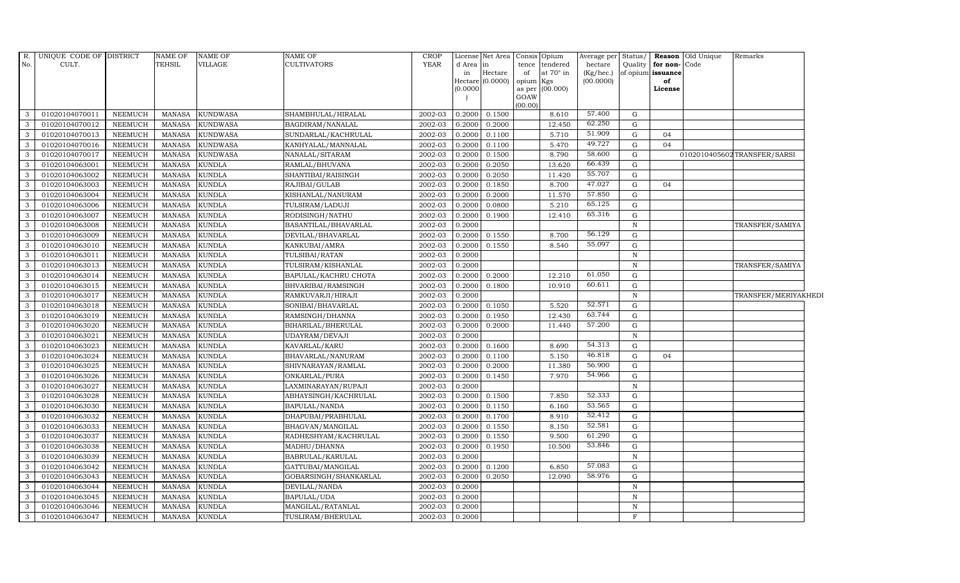| R.<br>No.      | UNIQUE CODE OF DISTRICT<br>CULT. |                | NAME OF<br><b>TEHSIL</b> | NAME OF<br>VILLAGE | NAME OF<br>CULTIVATORS | CROP<br><b>YEAR</b> | d Area<br>in | License Net Area Consis Opium<br>in<br>Hectare<br>Hectare (0.0000) | tence<br>of<br>opium | tendered<br>at $70^\circ$ in<br>Kgs | Average per<br>hectare<br>(Kg/hec.)<br>(00.0000) | Status/<br>Quality | for non-Code<br>of opium issuance<br>of | <b>Reason</b> Old Unique | Remarks                     |  |
|----------------|----------------------------------|----------------|--------------------------|--------------------|------------------------|---------------------|--------------|--------------------------------------------------------------------|----------------------|-------------------------------------|--------------------------------------------------|--------------------|-----------------------------------------|--------------------------|-----------------------------|--|
|                |                                  |                |                          |                    |                        |                     | (0.0000)     |                                                                    | as per<br>GOAW       | (00.000)                            |                                                  |                    | License                                 |                          |                             |  |
|                |                                  |                |                          |                    |                        |                     |              |                                                                    | (00.00)              |                                     |                                                  |                    |                                         |                          |                             |  |
| 3              | 01020104070011                   | NEEMUCH        | <b>MANASA</b>            | <b>KUNDWASA</b>    | SHAMBHULAL/HIRALAL     | 2002-03             | 0.2000       | 0.1500                                                             |                      | 8.610                               | 57.400                                           | G                  |                                         |                          |                             |  |
| 3              | 01020104070012                   | <b>NEEMUCH</b> | <b>MANASA</b>            | <b>KUNDWASA</b>    | BAGDIRAM/NANALAL       | 2002-03             | 0.2000       | 0.2000                                                             |                      | 12.450                              | 62.250                                           | G                  |                                         |                          |                             |  |
| $\mathbf{3}$   | 01020104070013                   | <b>NEEMUCH</b> | <b>MANASA</b>            | <b>KUNDWASA</b>    | SUNDARLAL/KACHRULAL    | 2002-03             | 0.2000       | 0.1100                                                             |                      | 5.710                               | 51.909                                           | G                  | 04                                      |                          |                             |  |
| 3              | 01020104070016                   | <b>NEEMUCH</b> | <b>MANASA</b>            | <b>KUNDWASA</b>    | KANHYALAL/MANNALAL     | 2002-03             | 0.2000       | 0.1100                                                             |                      | 5.470                               | 49.727                                           | G                  | 04                                      |                          |                             |  |
| $\mathbf{3}$   | 01020104070017                   | <b>NEEMUCH</b> | <b>MANASA</b>            | <b>KUNDWASA</b>    | NANALAL/SITARAM        | 2002-03             | 0.2000       | 0.1500                                                             |                      | 8.790                               | 58.600                                           | G                  |                                         |                          | 0102010405602TRANSFER/SARSI |  |
| 3              | 01020104063001                   | <b>NEEMUCH</b> | <b>MANASA</b>            | <b>KUNDLA</b>      | RAMLAL/BHUVANA         | 2002-03             | 0.2000       | 0.2050                                                             |                      | 13.620                              | 66.439                                           | G                  |                                         |                          |                             |  |
| $\mathbf{3}$   | 01020104063002                   | <b>NEEMUCH</b> | <b>MANASA</b>            | <b>KUNDLA</b>      | SHANTIBAI/RAISINGH     | 2002-03             | 0.2000       | 0.2050                                                             |                      | 11.420                              | 55.707                                           | G                  |                                         |                          |                             |  |
| $\overline{3}$ | 01020104063003                   | <b>NEEMUCH</b> | <b>MANASA</b>            | <b>KUNDLA</b>      | RAJIBAI/GULAB          | 2002-03             | 0.2000       | 0.1850                                                             |                      | 8.700                               | 47.027                                           | G                  | 04                                      |                          |                             |  |
| 3              | 01020104063004                   | <b>NEEMUCH</b> | <b>MANASA</b>            | <b>KUNDLA</b>      | KISHANLAL/NANURAM      | 2002-03             | 0.2000       | 0.2000                                                             |                      | 11.570                              | 57.850                                           | G                  |                                         |                          |                             |  |
| 3              | 01020104063006                   | <b>NEEMUCH</b> | <b>MANASA</b>            | <b>KUNDLA</b>      | TULSIRAM/LADUJI        | 2002-03             | 0.2000       | 0.0800                                                             |                      | 5.210                               | 65.125                                           | G                  |                                         |                          |                             |  |
| 3              | 01020104063007                   | <b>NEEMUCH</b> | <b>MANASA</b>            | <b>KUNDLA</b>      | RODISINGH/NATHU        | 2002-03             | 0.2000       | 0.1900                                                             |                      | 12.410                              | 65.316                                           | G                  |                                         |                          |                             |  |
| $\mathbf{3}$   | 01020104063008                   | <b>NEEMUCH</b> | <b>MANASA</b>            | <b>KUNDLA</b>      | BASANTILAL/BHAVARLAL   | 2002-03             | 0.2000       |                                                                    |                      |                                     |                                                  | $\mathbb N$        |                                         |                          | TRANSFER/SAMIYA             |  |
| $\mathbf{3}$   | 01020104063009                   | <b>NEEMUCH</b> | <b>MANASA</b>            | <b>KUNDLA</b>      | DEVILAL/BHAVARLAL      | 2002-03             | 0.2000       | 0.1550                                                             |                      | 8.700                               | 56.129                                           | G                  |                                         |                          |                             |  |
| 3              | 01020104063010                   | <b>NEEMUCH</b> | <b>MANASA</b>            | <b>KUNDLA</b>      | KANKUBAI/AMRA          | 2002-03             | 0.2000       | 0.1550                                                             |                      | 8.540                               | 55.097                                           | G                  |                                         |                          |                             |  |
| 3              | 01020104063011                   | <b>NEEMUCH</b> | <b>MANASA</b>            | <b>KUNDLA</b>      | TULSIBAI/RATAN         | 2002-03             | 0.2000       |                                                                    |                      |                                     |                                                  | $\mathbf N$        |                                         |                          |                             |  |
| 3              | 01020104063013                   | <b>NEEMUCH</b> | <b>MANASA</b>            | <b>KUNDLA</b>      | TULSIRAM/KISHANLAL     | 2002-03             | 0.2000       |                                                                    |                      |                                     |                                                  | $\, {\rm N}$       |                                         |                          | TRANSFER/SAMIYA             |  |
| 3              | 01020104063014                   | <b>NEEMUCH</b> | <b>MANASA</b>            | <b>KUNDLA</b>      | BAPULAL/KACHRU CHOTA   | 2002-03             | 0.2000       | 0.2000                                                             |                      | 12.210                              | 61.050                                           | G                  |                                         |                          |                             |  |
| $\mathbf{3}$   | 01020104063015                   | <b>NEEMUCH</b> | <b>MANASA</b>            | <b>KUNDLA</b>      | BHVARIBAI/RAMSINGH     | 2002-03             | 0.2000       | 0.1800                                                             |                      | 10.910                              | 60.611                                           | G                  |                                         |                          |                             |  |
| $\mathbf{3}$   | 01020104063017                   | <b>NEEMUCH</b> | <b>MANASA</b>            | <b>KUNDLA</b>      | RAMKUVARJI/HIRAJI      | 2002-03             | 0.2000       |                                                                    |                      |                                     |                                                  | $\mathbb N$        |                                         |                          | TRANSFER/MERIYAKHEDI        |  |
| 3              | 01020104063018                   | <b>NEEMUCH</b> | <b>MANASA</b>            | <b>KUNDLA</b>      | SONIBAI/BHAVARLAL      | 2002-03             | 0.2000       | 0.1050                                                             |                      | 5.520                               | 52.571                                           | G                  |                                         |                          |                             |  |
| 3              | 01020104063019                   | <b>NEEMUCH</b> | <b>MANASA</b>            | <b>KUNDLA</b>      | RAMSINGH/DHANNA        | 2002-03             | 0.2000       | 0.1950                                                             |                      | 12.430                              | 63.744                                           | G                  |                                         |                          |                             |  |
| 3              | 01020104063020                   | <b>NEEMUCH</b> | <b>MANASA</b>            | <b>KUNDLA</b>      | BIHARILAL/BHERULAL     | 2002-03             | 0.2000       | 0.2000                                                             |                      | 11.440                              | 57.200                                           | G                  |                                         |                          |                             |  |
| $\mathbf{3}$   | 01020104063021                   | <b>NEEMUCH</b> | <b>MANASA</b>            | <b>KUNDLA</b>      | UDAYRAM/DEVAJI         | 2002-03             | 0.2000       |                                                                    |                      |                                     |                                                  | $\mathbb N$        |                                         |                          |                             |  |
| 3              | 01020104063023                   | <b>NEEMUCH</b> | <b>MANASA</b>            | <b>KUNDLA</b>      | KAVARLAL/KARU          | 2002-03             | 0.2000       | 0.1600                                                             |                      | 8.690                               | 54.313                                           | G                  |                                         |                          |                             |  |
| 3              | 01020104063024                   | <b>NEEMUCH</b> | <b>MANASA</b>            | <b>KUNDLA</b>      | BHAVARLAL/NANURAM      | 2002-03             | 0.2000       | 0.1100                                                             |                      | 5.150                               | 46.818                                           | G                  | 04                                      |                          |                             |  |
| 3              | 01020104063025                   | <b>NEEMUCH</b> | <b>MANASA</b>            | <b>KUNDLA</b>      | SHIVNARAYAN/RAMLAL     | 2002-03             | 0.2000       | 0.2000                                                             |                      | 11.380                              | 56.900                                           | G                  |                                         |                          |                             |  |
| 3              | 01020104063026                   | <b>NEEMUCH</b> | <b>MANASA</b>            | <b>KUNDLA</b>      | ONKARLAL/PURA          | 2002-03             | 0.2000       | 0.1450                                                             |                      | 7.970                               | 54.966                                           | G                  |                                         |                          |                             |  |
| 3              | 01020104063027                   | <b>NEEMUCH</b> | <b>MANASA</b>            | <b>KUNDLA</b>      | LAXMINARAYAN/RUPAJI    | 2002-03             | 0.2000       |                                                                    |                      |                                     |                                                  | $\mathbb N$        |                                         |                          |                             |  |
| 3              | 01020104063028                   | <b>NEEMUCH</b> | <b>MANASA</b>            | <b>KUNDLA</b>      | ABHAYSINGH/KACHRULAL   | 2002-03             | 0.2000       | 0.1500                                                             |                      | 7.850                               | 52.333                                           | G                  |                                         |                          |                             |  |
| 3              | 01020104063030                   | <b>NEEMUCH</b> | <b>MANASA</b>            | <b>KUNDLA</b>      | BAPULAL/NANDA          | 2002-03             | 0.2000       | 0.1150                                                             |                      | 6.160                               | 53.565                                           | G                  |                                         |                          |                             |  |
| 3              | 01020104063032                   | <b>NEEMUCH</b> | <b>MANASA</b>            | <b>KUNDLA</b>      | DHAPUBAI/PRABHULAL     | 2002-03             | 0.2000       | 0.1700                                                             |                      | 8.910                               | 52.412                                           | G                  |                                         |                          |                             |  |
| 3              | 01020104063033                   | <b>NEEMUCH</b> | <b>MANASA</b>            | <b>KUNDLA</b>      | BHAGVAN/MANGILAL       | 2002-03             | 0.2000       | 0.1550                                                             |                      | 8.150                               | 52.581                                           | G                  |                                         |                          |                             |  |
| 3              | 01020104063037                   | <b>NEEMUCH</b> | <b>MANASA</b>            | KUNDLA             | RADHESHYAM/KACHRULAL   | 2002-03             | 0.2000       | 0.1550                                                             |                      | 9.500                               | 61.290                                           | G                  |                                         |                          |                             |  |
| 3              | 01020104063038                   | <b>NEEMUCH</b> | <b>MANASA</b>            | <b>KUNDLA</b>      | MADHU/DHANNA           | 2002-03             | 0.2000       | 0.1950                                                             |                      | 10.500                              | 53.846                                           | G                  |                                         |                          |                             |  |
| $\mathbf{3}$   | 01020104063039                   | <b>NEEMUCH</b> | <b>MANASA</b>            | <b>KUNDLA</b>      | BABRULAL/KARULAL       | 2002-03             | 0.2000       |                                                                    |                      |                                     |                                                  | $\,$ N             |                                         |                          |                             |  |
| 3              | 01020104063042                   | <b>NEEMUCH</b> | <b>MANASA</b>            | <b>KUNDLA</b>      | GATTUBAI/MANGILAL      | 2002-03             | 0.2000       | 0.1200                                                             |                      | 6.850                               | 57.083                                           | G                  |                                         |                          |                             |  |
| 3              | 01020104063043                   | <b>NEEMUCH</b> | <b>MANASA</b>            | <b>KUNDLA</b>      | GOBARSINGH/SHANKARLAL  | 2002-03             | 0.2000       | 0.2050                                                             |                      | 12.090                              | 58.976                                           | G                  |                                         |                          |                             |  |
| $\mathbf{3}$   | 01020104063044                   | <b>NEEMUCH</b> | <b>MANASA</b>            | <b>KUNDLA</b>      | DEVILAL/NANDA          | 2002-03             | 0.2000       |                                                                    |                      |                                     |                                                  | $\,$ N             |                                         |                          |                             |  |
| 3              | 01020104063045                   | <b>NEEMUCH</b> | <b>MANASA</b>            | <b>KUNDLA</b>      | BAPULAL/UDA            | 2002-03             | 0.2000       |                                                                    |                      |                                     |                                                  | $\, {\rm N}$       |                                         |                          |                             |  |
| $\mathbf{3}$   | 01020104063046                   | <b>NEEMUCH</b> | <b>MANASA</b>            | <b>KUNDLA</b>      | MANGILAL/RATANLAL      | 2002-03             | 0.2000       |                                                                    |                      |                                     |                                                  | $\,$ N             |                                         |                          |                             |  |
| 3              | 01020104063047                   | <b>NEEMUCH</b> | <b>MANASA</b>            | <b>KUNDLA</b>      | TUSLIRAM/BHERULAL      | 2002-03             | 0.2000       |                                                                    |                      |                                     |                                                  | $\mathbf{F}$       |                                         |                          |                             |  |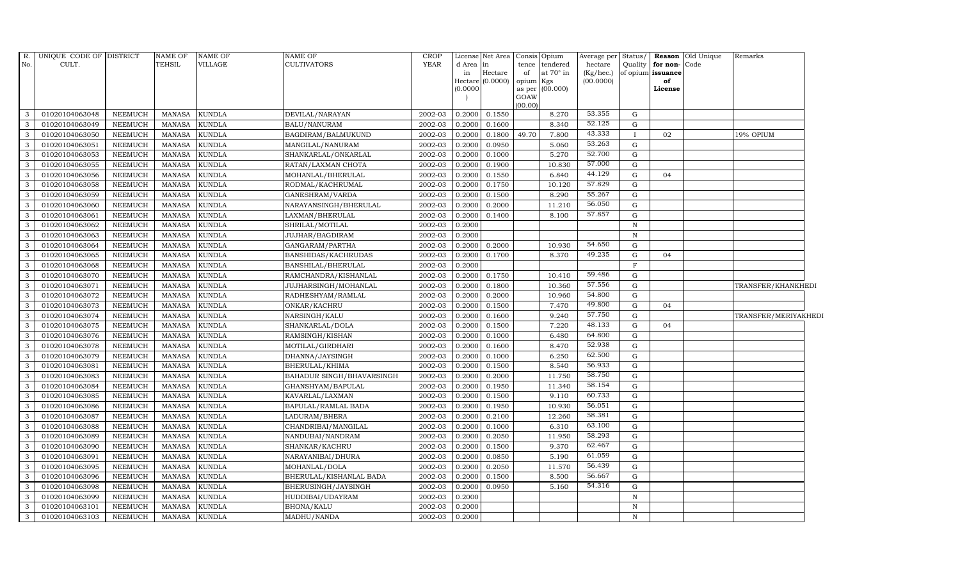| for non-Code<br>in<br>tence<br>Hectare<br>at $70^\circ$ in<br>of<br>(Kg/hec.)<br>of opium issuance<br>in<br>Hectare (0.0000)<br>opium Kgs<br>(00.0000)<br>of<br>(00.000)<br>(0.0000)<br>as per<br>License<br>GOAW<br>(00.00)<br>53.355<br><b>KUNDLA</b><br>0.2000<br>0.1550<br>8.270<br>G<br>3<br>01020104063048<br><b>NEEMUCH</b><br><b>MANASA</b><br>DEVILAL/NARAYAN<br>2002-03<br>52.125<br>2002-03<br>3<br>01020104063049<br><b>NEEMUCH</b><br><b>KUNDLA</b><br>BALU/NANURAM<br>0.2000<br>0.1600<br>8.340<br>G<br><b>MANASA</b><br>43.333<br>$\mathbf{3}$<br>49.70<br>01020104063050<br><b>KUNDLA</b><br>BAGDIRAM/BALMUKUND<br>2002-03<br>0.2000<br>0.1800<br>7.800<br>19% OPIUM<br><b>NEEMUCH</b><br><b>MANASA</b><br>02<br>$\mathbf{I}$<br>53.263<br><b>KUNDLA</b><br>0.0950<br>3<br>01020104063051<br><b>NEEMUCH</b><br><b>MANASA</b><br>MANGILAL/NANURAM<br>2002-03<br>0.2000<br>5.060<br>G<br>3<br>52.700<br>01020104063053<br><b>NEEMUCH</b><br><b>MANASA</b><br><b>KUNDLA</b><br>SHANKARLAL/ONKARLAL<br>2002-03<br>0.2000<br>5.270<br>G<br>0.1000<br>57.000<br>$\mathbf{3}$<br><b>KUNDLA</b><br>0.2000<br>01020104063055<br><b>NEEMUCH</b><br><b>MANASA</b><br>RATAN/LAXMAN CHOTA<br>2002-03<br>0.1900<br>10.830<br>G<br>44.129<br>$\mathbf{3}$<br>01020104063056<br><b>KUNDLA</b><br>2002-03<br>0.2000<br>0.1550<br><b>NEEMUCH</b><br><b>MANASA</b><br>MOHANLAL/BHERULAL<br>6.840<br>G<br>04<br>57.829<br>3<br>01020104063058<br><b>KUNDLA</b><br>0.2000<br><b>NEEMUCH</b><br><b>MANASA</b><br>RODMAL/KACHRUMAL<br>2002-03<br>0.1750<br>10.120<br>G<br>55.267<br>01020104063059<br><b>KUNDLA</b><br>0.1500<br>8.290<br>3<br><b>NEEMUCH</b><br><b>MANASA</b><br>GANESHRAM/VARDA<br>2002-03<br>0.2000<br>G<br>56.050<br>$\mathbf{3}$<br>01020104063060<br><b>NEEMUCH</b><br><b>KUNDLA</b><br>2002-03<br>0.2000<br>0.2000<br>11.210<br>G<br><b>MANASA</b><br>NARAYANSINGH/BHERULAL<br>57.857<br><b>KUNDLA</b><br>0.2000<br>3<br>01020104063061<br><b>NEEMUCH</b><br><b>MANASA</b><br>LAXMAN/BHERULAL<br>2002-03<br>0.1400<br>8.100<br>G<br>3<br>01020104063062<br><b>KUNDLA</b><br>2002-03<br>0.2000<br>$\, {\bf N}$<br><b>NEEMUCH</b><br><b>MANASA</b><br>SHRILAL/MOTILAL<br>$\mathbf{3}$<br>01020104063063<br><b>KUNDLA</b><br>2002-03<br>0.2000<br><b>NEEMUCH</b><br><b>MANASA</b><br><b>JUJHAR/BAGDIRAM</b><br>N<br>54.650<br>01020104063064<br><b>NEEMUCH</b><br><b>KUNDLA</b><br>0.2000<br>0.2000<br>10.930<br>3<br><b>MANASA</b><br>GANGARAM/PARTHA<br>2002-03<br>G<br>49.235<br>3<br>01020104063065<br><b>NEEMUCH</b><br><b>KUNDLA</b><br>2002-03<br>0.2000<br>0.1700<br>8.370<br>G<br><b>MANASA</b><br>BANSHIDAS/KACHRUDAS<br>04<br><b>KUNDLA</b><br>2002-03<br>0.2000<br>$\mathbf F$<br>3<br>01020104063068<br><b>NEEMUCH</b><br><b>MANASA</b><br>BANSHILAL/BHERULAL<br>59.486<br>01020104063070<br><b>KUNDLA</b><br>2002-03<br>0.2000<br>3<br><b>NEEMUCH</b><br><b>MANASA</b><br>RAMCHANDRA/KISHANLAL<br>0.1750<br>10.410<br>G<br>57.556<br>$\mathbf{3}$<br>01020104063071<br><b>NEEMUCH</b><br><b>KUNDLA</b><br>2002-03<br>0.2000<br>0.1800<br>10.360<br><b>MANASA</b><br>JUJHARSINGH/MOHANLAL<br>G<br>TRANSFER/KHANKHEDI<br>54.800<br>3<br>01020104063072<br><b>NEEMUCH</b><br><b>KUNDLA</b><br>0.2000<br>0.2000<br>10.960<br><b>MANASA</b><br>RADHESHYAM/RAMLAL<br>2002-03<br>G<br>49.800<br>3<br>$\mathbf G$<br>01020104063073<br><b>NEEMUCH</b><br><b>MANASA</b><br><b>KUNDLA</b><br>ONKAR/KACHRU<br>2002-03<br>0.2000<br>0.1500<br>7.470<br>04<br>57.750<br>01020104063074<br><b>KUNDLA</b><br>0.2000<br>3<br><b>NEEMUCH</b><br><b>MANASA</b><br>NARSINGH/KALU<br>2002-03<br>0.1600<br>9.240<br>G<br>TRANSFER/MERIYAKHEDI<br>48.133<br>$\mathbf{3}$<br>01020104063075<br><b>KUNDLA</b><br>2002-03<br>0.2000<br>0.1500<br>7.220<br><b>NEEMUCH</b><br><b>MANASA</b><br>SHANKARLAL/DOLA<br>G<br>04<br>$\mathbf{3}$<br>64.800<br>01020104063076<br><b>NEEMUCH</b><br><b>KUNDLA</b><br>2002-03<br>0.2000<br>0.1000<br>6.480<br><b>MANASA</b><br>RAMSINGH/KISHAN<br>G<br>52.938<br><b>KUNDLA</b><br>3<br>01020104063078<br><b>NEEMUCH</b><br><b>MANASA</b><br>2002-03<br>0.2000<br>0.1600<br>8.470<br>G<br>MOTILAL/GIRDHARI<br>62.500<br>3<br>$\mathbf G$<br>01020104063079<br><b>NEEMUCH</b><br><b>MANASA</b><br><b>KUNDLA</b><br>DHANNA/JAYSINGH<br>2002-03<br>0.2000<br>0.1000<br>6.250<br>56.933<br>3<br><b>KUNDLA</b><br>0.2000<br>0.1500<br>8.540<br>01020104063081<br><b>NEEMUCH</b><br><b>MANASA</b><br>BHERULAL/KHIMA<br>2002-03<br>G<br>58.750<br>3<br>01020104063083<br><b>KUNDLA</b><br>2002-03<br>0.2000<br>0.2000<br>11.750<br><b>NEEMUCH</b><br><b>MANASA</b><br>BAHADUR SINGH/BHAVARSINGH<br>G<br>58.154<br>$\mathbf{3}$<br>01020104063084<br><b>NEEMUCH</b><br><b>KUNDLA</b><br>2002-03<br>0.2000<br>0.1950<br>11.340<br>G<br><b>MANASA</b><br>GHANSHYAM/BAPULAL<br>60.733<br>3<br>01020104063085<br><b>KUNDLA</b><br>2002-03<br>0.2000<br>0.1500<br>9.110<br>G<br><b>NEEMUCH</b><br><b>MANASA</b><br>KAVARLAL/LAXMAN<br>56.051<br>3<br>01020104063086<br><b>KUNDLA</b><br>10.930<br>$\mathbf G$<br><b>NEEMUCH</b><br><b>MANASA</b><br>BAPULAL/RAMLAL BADA<br>2002-03<br>0.2000<br>0.1950<br>58.381<br>$\mathbf{3}$<br>01020104063087<br><b>KUNDLA</b><br>2002-03<br>0.2000<br>0.2100<br>12.260<br><b>NEEMUCH</b><br><b>MANASA</b><br>LADURAM/BHERA<br>G<br>63.100<br>3<br>01020104063088<br><b>KUNDLA</b><br>2002-03<br>0.2000<br>0.1000<br>6.310<br><b>NEEMUCH</b><br><b>MANASA</b><br>CHANDRIBAI/MANGILAL<br>G<br>58.293<br>$\mathbf{3}$<br>01020104063089<br><b>NEEMUCH</b><br><b>MANASA</b><br><b>KUNDLA</b><br>2002-03<br>0.2000<br>0.2050<br>11.950<br>G<br>NANDUBAI/NANDRAM<br>62.467<br>3<br>01020104063090<br><b>NEEMUCH</b><br><b>KUNDLA</b><br>2002-03<br>0.2000<br>0.1500<br>9.370<br><b>MANASA</b><br>SHANKAR/KACHRU<br>G<br>61.059<br>3<br>01020104063091<br><b>NEEMUCH</b><br><b>MANASA</b><br><b>KUNDLA</b><br>NARAYANIBAI/DHURA<br>2002-03<br>0.2000<br>0.0850<br>5.190<br>G<br>56.439<br>$\mathbf{3}$<br>01020104063095<br><b>KUNDLA</b><br>0.2000<br>0.2050<br>11.570<br>G<br><b>NEEMUCH</b><br><b>MANASA</b><br>MOHANLAL/DOLA<br>2002-03<br>56.667<br>3<br>01020104063096<br><b>KUNDLA</b><br>2002-03<br>0.2000<br>0.1500<br>8.500<br><b>NEEMUCH</b><br><b>MANASA</b><br>BHERULAL/KISHANLAL BADA<br>G<br>54.316<br>$\mathbf{3}$<br>0.2000<br>01020104063098<br><b>NEEMUCH</b><br><b>MANASA</b><br><b>KUNDLA</b><br>BHERUSINGH/JAYSINGH<br>2002-03<br>0.0950<br>5.160<br>G<br>3<br>01020104063099<br>KUNDLA<br>2002-03<br>0.2000<br><b>NEEMUCH</b><br><b>MANASA</b><br>HUDDIBAI/UDAYRAM<br>N<br>3<br>01020104063101<br><b>NEEMUCH</b><br><b>MANASA</b><br><b>KUNDLA</b><br><b>BHONA/KALU</b><br>2002-03<br>0.2000<br>N<br>$\mathbf{3}$<br>0.2000<br>01020104063103<br><b>NEEMUCH</b><br><b>MANASA</b><br><b>KUNDLA</b><br>MADHU/NANDA<br>2002-03<br>$\mathbf N$ | R.  | UNIQUE CODE OF DISTRICT | NAME OF       | NAME OF | NAME OF     | CROP        |        | License Net Area Consis Opium |          | Average per | Status/ | <b>Reason</b> Old Unique | Remarks |  |
|--------------------------------------------------------------------------------------------------------------------------------------------------------------------------------------------------------------------------------------------------------------------------------------------------------------------------------------------------------------------------------------------------------------------------------------------------------------------------------------------------------------------------------------------------------------------------------------------------------------------------------------------------------------------------------------------------------------------------------------------------------------------------------------------------------------------------------------------------------------------------------------------------------------------------------------------------------------------------------------------------------------------------------------------------------------------------------------------------------------------------------------------------------------------------------------------------------------------------------------------------------------------------------------------------------------------------------------------------------------------------------------------------------------------------------------------------------------------------------------------------------------------------------------------------------------------------------------------------------------------------------------------------------------------------------------------------------------------------------------------------------------------------------------------------------------------------------------------------------------------------------------------------------------------------------------------------------------------------------------------------------------------------------------------------------------------------------------------------------------------------------------------------------------------------------------------------------------------------------------------------------------------------------------------------------------------------------------------------------------------------------------------------------------------------------------------------------------------------------------------------------------------------------------------------------------------------------------------------------------------------------------------------------------------------------------------------------------------------------------------------------------------------------------------------------------------------------------------------------------------------------------------------------------------------------------------------------------------------------------------------------------------------------------------------------------------------------------------------------------------------------------------------------------------------------------------------------------------------------------------------------------------------------------------------------------------------------------------------------------------------------------------------------------------------------------------------------------------------------------------------------------------------------------------------------------------------------------------------------------------------------------------------------------------------------------------------------------------------------------------------------------------------------------------------------------------------------------------------------------------------------------------------------------------------------------------------------------------------------------------------------------------------------------------------------------------------------------------------------------------------------------------------------------------------------------------------------------------------------------------------------------------------------------------------------------------------------------------------------------------------------------------------------------------------------------------------------------------------------------------------------------------------------------------------------------------------------------------------------------------------------------------------------------------------------------------------------------------------------------------------------------------------------------------------------------------------------------------------------------------------------------------------------------------------------------------------------------------------------------------------------------------------------------------------------------------------------------------------------------------------------------------------------------------------------------------------------------------------------------------------------------------------------------------------------------------------------------------------------------------------------------------------------------------------------------------------------------------------------------------------------------------------------------------------------------------------------------------------------------------------------------------------------------------------------------------------------------------------------------------------------------------------------------------------------------------------------------------------------------------------------------------------------------------------------------------------------------------------------------------------------------------------------------------------------------------------------------------------------------------------------------------------------------------------------------------------------------------------------------------------------------------------------------------------------------------------------------------------------------------------------------------------------------------------------------------------------------------------------------------------------------------------------------------------------------------------------------------------------------------------------------------------------------------------------------------------------------------------------------------------------------------------------------------------------------------------|-----|-------------------------|---------------|---------|-------------|-------------|--------|-------------------------------|----------|-------------|---------|--------------------------|---------|--|
|                                                                                                                                                                                                                                                                                                                                                                                                                                                                                                                                                                                                                                                                                                                                                                                                                                                                                                                                                                                                                                                                                                                                                                                                                                                                                                                                                                                                                                                                                                                                                                                                                                                                                                                                                                                                                                                                                                                                                                                                                                                                                                                                                                                                                                                                                                                                                                                                                                                                                                                                                                                                                                                                                                                                                                                                                                                                                                                                                                                                                                                                                                                                                                                                                                                                                                                                                                                                                                                                                                                                                                                                                                                                                                                                                                                                                                                                                                                                                                                                                                                                                                                                                                                                                                                                                                                                                                                                                                                                                                                                                                                                                                                                                                                                                                                                                                                                                                                                                                                                                                                                                                                                                                                                                                                                                                                                                                                                                                                                                                                                                                                                                                                                                                                                                                                                                                                                                                                                                                                                                                                                                                                                                                                                                                                                                                                                                                                                                                                                                                                                                                                                                                                                                                                                                                                                                          | No. | CULT.                   | <b>TEHSIL</b> | VILLAGE | CULTIVATORS | <b>YEAR</b> | d Area |                               | tendered | hectare     | Quality |                          |         |  |
|                                                                                                                                                                                                                                                                                                                                                                                                                                                                                                                                                                                                                                                                                                                                                                                                                                                                                                                                                                                                                                                                                                                                                                                                                                                                                                                                                                                                                                                                                                                                                                                                                                                                                                                                                                                                                                                                                                                                                                                                                                                                                                                                                                                                                                                                                                                                                                                                                                                                                                                                                                                                                                                                                                                                                                                                                                                                                                                                                                                                                                                                                                                                                                                                                                                                                                                                                                                                                                                                                                                                                                                                                                                                                                                                                                                                                                                                                                                                                                                                                                                                                                                                                                                                                                                                                                                                                                                                                                                                                                                                                                                                                                                                                                                                                                                                                                                                                                                                                                                                                                                                                                                                                                                                                                                                                                                                                                                                                                                                                                                                                                                                                                                                                                                                                                                                                                                                                                                                                                                                                                                                                                                                                                                                                                                                                                                                                                                                                                                                                                                                                                                                                                                                                                                                                                                                                          |     |                         |               |         |             |             |        |                               |          |             |         |                          |         |  |
|                                                                                                                                                                                                                                                                                                                                                                                                                                                                                                                                                                                                                                                                                                                                                                                                                                                                                                                                                                                                                                                                                                                                                                                                                                                                                                                                                                                                                                                                                                                                                                                                                                                                                                                                                                                                                                                                                                                                                                                                                                                                                                                                                                                                                                                                                                                                                                                                                                                                                                                                                                                                                                                                                                                                                                                                                                                                                                                                                                                                                                                                                                                                                                                                                                                                                                                                                                                                                                                                                                                                                                                                                                                                                                                                                                                                                                                                                                                                                                                                                                                                                                                                                                                                                                                                                                                                                                                                                                                                                                                                                                                                                                                                                                                                                                                                                                                                                                                                                                                                                                                                                                                                                                                                                                                                                                                                                                                                                                                                                                                                                                                                                                                                                                                                                                                                                                                                                                                                                                                                                                                                                                                                                                                                                                                                                                                                                                                                                                                                                                                                                                                                                                                                                                                                                                                                                          |     |                         |               |         |             |             |        |                               |          |             |         |                          |         |  |
|                                                                                                                                                                                                                                                                                                                                                                                                                                                                                                                                                                                                                                                                                                                                                                                                                                                                                                                                                                                                                                                                                                                                                                                                                                                                                                                                                                                                                                                                                                                                                                                                                                                                                                                                                                                                                                                                                                                                                                                                                                                                                                                                                                                                                                                                                                                                                                                                                                                                                                                                                                                                                                                                                                                                                                                                                                                                                                                                                                                                                                                                                                                                                                                                                                                                                                                                                                                                                                                                                                                                                                                                                                                                                                                                                                                                                                                                                                                                                                                                                                                                                                                                                                                                                                                                                                                                                                                                                                                                                                                                                                                                                                                                                                                                                                                                                                                                                                                                                                                                                                                                                                                                                                                                                                                                                                                                                                                                                                                                                                                                                                                                                                                                                                                                                                                                                                                                                                                                                                                                                                                                                                                                                                                                                                                                                                                                                                                                                                                                                                                                                                                                                                                                                                                                                                                                                          |     |                         |               |         |             |             |        |                               |          |             |         |                          |         |  |
|                                                                                                                                                                                                                                                                                                                                                                                                                                                                                                                                                                                                                                                                                                                                                                                                                                                                                                                                                                                                                                                                                                                                                                                                                                                                                                                                                                                                                                                                                                                                                                                                                                                                                                                                                                                                                                                                                                                                                                                                                                                                                                                                                                                                                                                                                                                                                                                                                                                                                                                                                                                                                                                                                                                                                                                                                                                                                                                                                                                                                                                                                                                                                                                                                                                                                                                                                                                                                                                                                                                                                                                                                                                                                                                                                                                                                                                                                                                                                                                                                                                                                                                                                                                                                                                                                                                                                                                                                                                                                                                                                                                                                                                                                                                                                                                                                                                                                                                                                                                                                                                                                                                                                                                                                                                                                                                                                                                                                                                                                                                                                                                                                                                                                                                                                                                                                                                                                                                                                                                                                                                                                                                                                                                                                                                                                                                                                                                                                                                                                                                                                                                                                                                                                                                                                                                                                          |     |                         |               |         |             |             |        |                               |          |             |         |                          |         |  |
|                                                                                                                                                                                                                                                                                                                                                                                                                                                                                                                                                                                                                                                                                                                                                                                                                                                                                                                                                                                                                                                                                                                                                                                                                                                                                                                                                                                                                                                                                                                                                                                                                                                                                                                                                                                                                                                                                                                                                                                                                                                                                                                                                                                                                                                                                                                                                                                                                                                                                                                                                                                                                                                                                                                                                                                                                                                                                                                                                                                                                                                                                                                                                                                                                                                                                                                                                                                                                                                                                                                                                                                                                                                                                                                                                                                                                                                                                                                                                                                                                                                                                                                                                                                                                                                                                                                                                                                                                                                                                                                                                                                                                                                                                                                                                                                                                                                                                                                                                                                                                                                                                                                                                                                                                                                                                                                                                                                                                                                                                                                                                                                                                                                                                                                                                                                                                                                                                                                                                                                                                                                                                                                                                                                                                                                                                                                                                                                                                                                                                                                                                                                                                                                                                                                                                                                                                          |     |                         |               |         |             |             |        |                               |          |             |         |                          |         |  |
|                                                                                                                                                                                                                                                                                                                                                                                                                                                                                                                                                                                                                                                                                                                                                                                                                                                                                                                                                                                                                                                                                                                                                                                                                                                                                                                                                                                                                                                                                                                                                                                                                                                                                                                                                                                                                                                                                                                                                                                                                                                                                                                                                                                                                                                                                                                                                                                                                                                                                                                                                                                                                                                                                                                                                                                                                                                                                                                                                                                                                                                                                                                                                                                                                                                                                                                                                                                                                                                                                                                                                                                                                                                                                                                                                                                                                                                                                                                                                                                                                                                                                                                                                                                                                                                                                                                                                                                                                                                                                                                                                                                                                                                                                                                                                                                                                                                                                                                                                                                                                                                                                                                                                                                                                                                                                                                                                                                                                                                                                                                                                                                                                                                                                                                                                                                                                                                                                                                                                                                                                                                                                                                                                                                                                                                                                                                                                                                                                                                                                                                                                                                                                                                                                                                                                                                                                          |     |                         |               |         |             |             |        |                               |          |             |         |                          |         |  |
|                                                                                                                                                                                                                                                                                                                                                                                                                                                                                                                                                                                                                                                                                                                                                                                                                                                                                                                                                                                                                                                                                                                                                                                                                                                                                                                                                                                                                                                                                                                                                                                                                                                                                                                                                                                                                                                                                                                                                                                                                                                                                                                                                                                                                                                                                                                                                                                                                                                                                                                                                                                                                                                                                                                                                                                                                                                                                                                                                                                                                                                                                                                                                                                                                                                                                                                                                                                                                                                                                                                                                                                                                                                                                                                                                                                                                                                                                                                                                                                                                                                                                                                                                                                                                                                                                                                                                                                                                                                                                                                                                                                                                                                                                                                                                                                                                                                                                                                                                                                                                                                                                                                                                                                                                                                                                                                                                                                                                                                                                                                                                                                                                                                                                                                                                                                                                                                                                                                                                                                                                                                                                                                                                                                                                                                                                                                                                                                                                                                                                                                                                                                                                                                                                                                                                                                                                          |     |                         |               |         |             |             |        |                               |          |             |         |                          |         |  |
|                                                                                                                                                                                                                                                                                                                                                                                                                                                                                                                                                                                                                                                                                                                                                                                                                                                                                                                                                                                                                                                                                                                                                                                                                                                                                                                                                                                                                                                                                                                                                                                                                                                                                                                                                                                                                                                                                                                                                                                                                                                                                                                                                                                                                                                                                                                                                                                                                                                                                                                                                                                                                                                                                                                                                                                                                                                                                                                                                                                                                                                                                                                                                                                                                                                                                                                                                                                                                                                                                                                                                                                                                                                                                                                                                                                                                                                                                                                                                                                                                                                                                                                                                                                                                                                                                                                                                                                                                                                                                                                                                                                                                                                                                                                                                                                                                                                                                                                                                                                                                                                                                                                                                                                                                                                                                                                                                                                                                                                                                                                                                                                                                                                                                                                                                                                                                                                                                                                                                                                                                                                                                                                                                                                                                                                                                                                                                                                                                                                                                                                                                                                                                                                                                                                                                                                                                          |     |                         |               |         |             |             |        |                               |          |             |         |                          |         |  |
|                                                                                                                                                                                                                                                                                                                                                                                                                                                                                                                                                                                                                                                                                                                                                                                                                                                                                                                                                                                                                                                                                                                                                                                                                                                                                                                                                                                                                                                                                                                                                                                                                                                                                                                                                                                                                                                                                                                                                                                                                                                                                                                                                                                                                                                                                                                                                                                                                                                                                                                                                                                                                                                                                                                                                                                                                                                                                                                                                                                                                                                                                                                                                                                                                                                                                                                                                                                                                                                                                                                                                                                                                                                                                                                                                                                                                                                                                                                                                                                                                                                                                                                                                                                                                                                                                                                                                                                                                                                                                                                                                                                                                                                                                                                                                                                                                                                                                                                                                                                                                                                                                                                                                                                                                                                                                                                                                                                                                                                                                                                                                                                                                                                                                                                                                                                                                                                                                                                                                                                                                                                                                                                                                                                                                                                                                                                                                                                                                                                                                                                                                                                                                                                                                                                                                                                                                          |     |                         |               |         |             |             |        |                               |          |             |         |                          |         |  |
|                                                                                                                                                                                                                                                                                                                                                                                                                                                                                                                                                                                                                                                                                                                                                                                                                                                                                                                                                                                                                                                                                                                                                                                                                                                                                                                                                                                                                                                                                                                                                                                                                                                                                                                                                                                                                                                                                                                                                                                                                                                                                                                                                                                                                                                                                                                                                                                                                                                                                                                                                                                                                                                                                                                                                                                                                                                                                                                                                                                                                                                                                                                                                                                                                                                                                                                                                                                                                                                                                                                                                                                                                                                                                                                                                                                                                                                                                                                                                                                                                                                                                                                                                                                                                                                                                                                                                                                                                                                                                                                                                                                                                                                                                                                                                                                                                                                                                                                                                                                                                                                                                                                                                                                                                                                                                                                                                                                                                                                                                                                                                                                                                                                                                                                                                                                                                                                                                                                                                                                                                                                                                                                                                                                                                                                                                                                                                                                                                                                                                                                                                                                                                                                                                                                                                                                                                          |     |                         |               |         |             |             |        |                               |          |             |         |                          |         |  |
|                                                                                                                                                                                                                                                                                                                                                                                                                                                                                                                                                                                                                                                                                                                                                                                                                                                                                                                                                                                                                                                                                                                                                                                                                                                                                                                                                                                                                                                                                                                                                                                                                                                                                                                                                                                                                                                                                                                                                                                                                                                                                                                                                                                                                                                                                                                                                                                                                                                                                                                                                                                                                                                                                                                                                                                                                                                                                                                                                                                                                                                                                                                                                                                                                                                                                                                                                                                                                                                                                                                                                                                                                                                                                                                                                                                                                                                                                                                                                                                                                                                                                                                                                                                                                                                                                                                                                                                                                                                                                                                                                                                                                                                                                                                                                                                                                                                                                                                                                                                                                                                                                                                                                                                                                                                                                                                                                                                                                                                                                                                                                                                                                                                                                                                                                                                                                                                                                                                                                                                                                                                                                                                                                                                                                                                                                                                                                                                                                                                                                                                                                                                                                                                                                                                                                                                                                          |     |                         |               |         |             |             |        |                               |          |             |         |                          |         |  |
|                                                                                                                                                                                                                                                                                                                                                                                                                                                                                                                                                                                                                                                                                                                                                                                                                                                                                                                                                                                                                                                                                                                                                                                                                                                                                                                                                                                                                                                                                                                                                                                                                                                                                                                                                                                                                                                                                                                                                                                                                                                                                                                                                                                                                                                                                                                                                                                                                                                                                                                                                                                                                                                                                                                                                                                                                                                                                                                                                                                                                                                                                                                                                                                                                                                                                                                                                                                                                                                                                                                                                                                                                                                                                                                                                                                                                                                                                                                                                                                                                                                                                                                                                                                                                                                                                                                                                                                                                                                                                                                                                                                                                                                                                                                                                                                                                                                                                                                                                                                                                                                                                                                                                                                                                                                                                                                                                                                                                                                                                                                                                                                                                                                                                                                                                                                                                                                                                                                                                                                                                                                                                                                                                                                                                                                                                                                                                                                                                                                                                                                                                                                                                                                                                                                                                                                                                          |     |                         |               |         |             |             |        |                               |          |             |         |                          |         |  |
|                                                                                                                                                                                                                                                                                                                                                                                                                                                                                                                                                                                                                                                                                                                                                                                                                                                                                                                                                                                                                                                                                                                                                                                                                                                                                                                                                                                                                                                                                                                                                                                                                                                                                                                                                                                                                                                                                                                                                                                                                                                                                                                                                                                                                                                                                                                                                                                                                                                                                                                                                                                                                                                                                                                                                                                                                                                                                                                                                                                                                                                                                                                                                                                                                                                                                                                                                                                                                                                                                                                                                                                                                                                                                                                                                                                                                                                                                                                                                                                                                                                                                                                                                                                                                                                                                                                                                                                                                                                                                                                                                                                                                                                                                                                                                                                                                                                                                                                                                                                                                                                                                                                                                                                                                                                                                                                                                                                                                                                                                                                                                                                                                                                                                                                                                                                                                                                                                                                                                                                                                                                                                                                                                                                                                                                                                                                                                                                                                                                                                                                                                                                                                                                                                                                                                                                                                          |     |                         |               |         |             |             |        |                               |          |             |         |                          |         |  |
|                                                                                                                                                                                                                                                                                                                                                                                                                                                                                                                                                                                                                                                                                                                                                                                                                                                                                                                                                                                                                                                                                                                                                                                                                                                                                                                                                                                                                                                                                                                                                                                                                                                                                                                                                                                                                                                                                                                                                                                                                                                                                                                                                                                                                                                                                                                                                                                                                                                                                                                                                                                                                                                                                                                                                                                                                                                                                                                                                                                                                                                                                                                                                                                                                                                                                                                                                                                                                                                                                                                                                                                                                                                                                                                                                                                                                                                                                                                                                                                                                                                                                                                                                                                                                                                                                                                                                                                                                                                                                                                                                                                                                                                                                                                                                                                                                                                                                                                                                                                                                                                                                                                                                                                                                                                                                                                                                                                                                                                                                                                                                                                                                                                                                                                                                                                                                                                                                                                                                                                                                                                                                                                                                                                                                                                                                                                                                                                                                                                                                                                                                                                                                                                                                                                                                                                                                          |     |                         |               |         |             |             |        |                               |          |             |         |                          |         |  |
|                                                                                                                                                                                                                                                                                                                                                                                                                                                                                                                                                                                                                                                                                                                                                                                                                                                                                                                                                                                                                                                                                                                                                                                                                                                                                                                                                                                                                                                                                                                                                                                                                                                                                                                                                                                                                                                                                                                                                                                                                                                                                                                                                                                                                                                                                                                                                                                                                                                                                                                                                                                                                                                                                                                                                                                                                                                                                                                                                                                                                                                                                                                                                                                                                                                                                                                                                                                                                                                                                                                                                                                                                                                                                                                                                                                                                                                                                                                                                                                                                                                                                                                                                                                                                                                                                                                                                                                                                                                                                                                                                                                                                                                                                                                                                                                                                                                                                                                                                                                                                                                                                                                                                                                                                                                                                                                                                                                                                                                                                                                                                                                                                                                                                                                                                                                                                                                                                                                                                                                                                                                                                                                                                                                                                                                                                                                                                                                                                                                                                                                                                                                                                                                                                                                                                                                                                          |     |                         |               |         |             |             |        |                               |          |             |         |                          |         |  |
|                                                                                                                                                                                                                                                                                                                                                                                                                                                                                                                                                                                                                                                                                                                                                                                                                                                                                                                                                                                                                                                                                                                                                                                                                                                                                                                                                                                                                                                                                                                                                                                                                                                                                                                                                                                                                                                                                                                                                                                                                                                                                                                                                                                                                                                                                                                                                                                                                                                                                                                                                                                                                                                                                                                                                                                                                                                                                                                                                                                                                                                                                                                                                                                                                                                                                                                                                                                                                                                                                                                                                                                                                                                                                                                                                                                                                                                                                                                                                                                                                                                                                                                                                                                                                                                                                                                                                                                                                                                                                                                                                                                                                                                                                                                                                                                                                                                                                                                                                                                                                                                                                                                                                                                                                                                                                                                                                                                                                                                                                                                                                                                                                                                                                                                                                                                                                                                                                                                                                                                                                                                                                                                                                                                                                                                                                                                                                                                                                                                                                                                                                                                                                                                                                                                                                                                                                          |     |                         |               |         |             |             |        |                               |          |             |         |                          |         |  |
|                                                                                                                                                                                                                                                                                                                                                                                                                                                                                                                                                                                                                                                                                                                                                                                                                                                                                                                                                                                                                                                                                                                                                                                                                                                                                                                                                                                                                                                                                                                                                                                                                                                                                                                                                                                                                                                                                                                                                                                                                                                                                                                                                                                                                                                                                                                                                                                                                                                                                                                                                                                                                                                                                                                                                                                                                                                                                                                                                                                                                                                                                                                                                                                                                                                                                                                                                                                                                                                                                                                                                                                                                                                                                                                                                                                                                                                                                                                                                                                                                                                                                                                                                                                                                                                                                                                                                                                                                                                                                                                                                                                                                                                                                                                                                                                                                                                                                                                                                                                                                                                                                                                                                                                                                                                                                                                                                                                                                                                                                                                                                                                                                                                                                                                                                                                                                                                                                                                                                                                                                                                                                                                                                                                                                                                                                                                                                                                                                                                                                                                                                                                                                                                                                                                                                                                                                          |     |                         |               |         |             |             |        |                               |          |             |         |                          |         |  |
|                                                                                                                                                                                                                                                                                                                                                                                                                                                                                                                                                                                                                                                                                                                                                                                                                                                                                                                                                                                                                                                                                                                                                                                                                                                                                                                                                                                                                                                                                                                                                                                                                                                                                                                                                                                                                                                                                                                                                                                                                                                                                                                                                                                                                                                                                                                                                                                                                                                                                                                                                                                                                                                                                                                                                                                                                                                                                                                                                                                                                                                                                                                                                                                                                                                                                                                                                                                                                                                                                                                                                                                                                                                                                                                                                                                                                                                                                                                                                                                                                                                                                                                                                                                                                                                                                                                                                                                                                                                                                                                                                                                                                                                                                                                                                                                                                                                                                                                                                                                                                                                                                                                                                                                                                                                                                                                                                                                                                                                                                                                                                                                                                                                                                                                                                                                                                                                                                                                                                                                                                                                                                                                                                                                                                                                                                                                                                                                                                                                                                                                                                                                                                                                                                                                                                                                                                          |     |                         |               |         |             |             |        |                               |          |             |         |                          |         |  |
|                                                                                                                                                                                                                                                                                                                                                                                                                                                                                                                                                                                                                                                                                                                                                                                                                                                                                                                                                                                                                                                                                                                                                                                                                                                                                                                                                                                                                                                                                                                                                                                                                                                                                                                                                                                                                                                                                                                                                                                                                                                                                                                                                                                                                                                                                                                                                                                                                                                                                                                                                                                                                                                                                                                                                                                                                                                                                                                                                                                                                                                                                                                                                                                                                                                                                                                                                                                                                                                                                                                                                                                                                                                                                                                                                                                                                                                                                                                                                                                                                                                                                                                                                                                                                                                                                                                                                                                                                                                                                                                                                                                                                                                                                                                                                                                                                                                                                                                                                                                                                                                                                                                                                                                                                                                                                                                                                                                                                                                                                                                                                                                                                                                                                                                                                                                                                                                                                                                                                                                                                                                                                                                                                                                                                                                                                                                                                                                                                                                                                                                                                                                                                                                                                                                                                                                                                          |     |                         |               |         |             |             |        |                               |          |             |         |                          |         |  |
|                                                                                                                                                                                                                                                                                                                                                                                                                                                                                                                                                                                                                                                                                                                                                                                                                                                                                                                                                                                                                                                                                                                                                                                                                                                                                                                                                                                                                                                                                                                                                                                                                                                                                                                                                                                                                                                                                                                                                                                                                                                                                                                                                                                                                                                                                                                                                                                                                                                                                                                                                                                                                                                                                                                                                                                                                                                                                                                                                                                                                                                                                                                                                                                                                                                                                                                                                                                                                                                                                                                                                                                                                                                                                                                                                                                                                                                                                                                                                                                                                                                                                                                                                                                                                                                                                                                                                                                                                                                                                                                                                                                                                                                                                                                                                                                                                                                                                                                                                                                                                                                                                                                                                                                                                                                                                                                                                                                                                                                                                                                                                                                                                                                                                                                                                                                                                                                                                                                                                                                                                                                                                                                                                                                                                                                                                                                                                                                                                                                                                                                                                                                                                                                                                                                                                                                                                          |     |                         |               |         |             |             |        |                               |          |             |         |                          |         |  |
|                                                                                                                                                                                                                                                                                                                                                                                                                                                                                                                                                                                                                                                                                                                                                                                                                                                                                                                                                                                                                                                                                                                                                                                                                                                                                                                                                                                                                                                                                                                                                                                                                                                                                                                                                                                                                                                                                                                                                                                                                                                                                                                                                                                                                                                                                                                                                                                                                                                                                                                                                                                                                                                                                                                                                                                                                                                                                                                                                                                                                                                                                                                                                                                                                                                                                                                                                                                                                                                                                                                                                                                                                                                                                                                                                                                                                                                                                                                                                                                                                                                                                                                                                                                                                                                                                                                                                                                                                                                                                                                                                                                                                                                                                                                                                                                                                                                                                                                                                                                                                                                                                                                                                                                                                                                                                                                                                                                                                                                                                                                                                                                                                                                                                                                                                                                                                                                                                                                                                                                                                                                                                                                                                                                                                                                                                                                                                                                                                                                                                                                                                                                                                                                                                                                                                                                                                          |     |                         |               |         |             |             |        |                               |          |             |         |                          |         |  |
|                                                                                                                                                                                                                                                                                                                                                                                                                                                                                                                                                                                                                                                                                                                                                                                                                                                                                                                                                                                                                                                                                                                                                                                                                                                                                                                                                                                                                                                                                                                                                                                                                                                                                                                                                                                                                                                                                                                                                                                                                                                                                                                                                                                                                                                                                                                                                                                                                                                                                                                                                                                                                                                                                                                                                                                                                                                                                                                                                                                                                                                                                                                                                                                                                                                                                                                                                                                                                                                                                                                                                                                                                                                                                                                                                                                                                                                                                                                                                                                                                                                                                                                                                                                                                                                                                                                                                                                                                                                                                                                                                                                                                                                                                                                                                                                                                                                                                                                                                                                                                                                                                                                                                                                                                                                                                                                                                                                                                                                                                                                                                                                                                                                                                                                                                                                                                                                                                                                                                                                                                                                                                                                                                                                                                                                                                                                                                                                                                                                                                                                                                                                                                                                                                                                                                                                                                          |     |                         |               |         |             |             |        |                               |          |             |         |                          |         |  |
|                                                                                                                                                                                                                                                                                                                                                                                                                                                                                                                                                                                                                                                                                                                                                                                                                                                                                                                                                                                                                                                                                                                                                                                                                                                                                                                                                                                                                                                                                                                                                                                                                                                                                                                                                                                                                                                                                                                                                                                                                                                                                                                                                                                                                                                                                                                                                                                                                                                                                                                                                                                                                                                                                                                                                                                                                                                                                                                                                                                                                                                                                                                                                                                                                                                                                                                                                                                                                                                                                                                                                                                                                                                                                                                                                                                                                                                                                                                                                                                                                                                                                                                                                                                                                                                                                                                                                                                                                                                                                                                                                                                                                                                                                                                                                                                                                                                                                                                                                                                                                                                                                                                                                                                                                                                                                                                                                                                                                                                                                                                                                                                                                                                                                                                                                                                                                                                                                                                                                                                                                                                                                                                                                                                                                                                                                                                                                                                                                                                                                                                                                                                                                                                                                                                                                                                                                          |     |                         |               |         |             |             |        |                               |          |             |         |                          |         |  |
|                                                                                                                                                                                                                                                                                                                                                                                                                                                                                                                                                                                                                                                                                                                                                                                                                                                                                                                                                                                                                                                                                                                                                                                                                                                                                                                                                                                                                                                                                                                                                                                                                                                                                                                                                                                                                                                                                                                                                                                                                                                                                                                                                                                                                                                                                                                                                                                                                                                                                                                                                                                                                                                                                                                                                                                                                                                                                                                                                                                                                                                                                                                                                                                                                                                                                                                                                                                                                                                                                                                                                                                                                                                                                                                                                                                                                                                                                                                                                                                                                                                                                                                                                                                                                                                                                                                                                                                                                                                                                                                                                                                                                                                                                                                                                                                                                                                                                                                                                                                                                                                                                                                                                                                                                                                                                                                                                                                                                                                                                                                                                                                                                                                                                                                                                                                                                                                                                                                                                                                                                                                                                                                                                                                                                                                                                                                                                                                                                                                                                                                                                                                                                                                                                                                                                                                                                          |     |                         |               |         |             |             |        |                               |          |             |         |                          |         |  |
|                                                                                                                                                                                                                                                                                                                                                                                                                                                                                                                                                                                                                                                                                                                                                                                                                                                                                                                                                                                                                                                                                                                                                                                                                                                                                                                                                                                                                                                                                                                                                                                                                                                                                                                                                                                                                                                                                                                                                                                                                                                                                                                                                                                                                                                                                                                                                                                                                                                                                                                                                                                                                                                                                                                                                                                                                                                                                                                                                                                                                                                                                                                                                                                                                                                                                                                                                                                                                                                                                                                                                                                                                                                                                                                                                                                                                                                                                                                                                                                                                                                                                                                                                                                                                                                                                                                                                                                                                                                                                                                                                                                                                                                                                                                                                                                                                                                                                                                                                                                                                                                                                                                                                                                                                                                                                                                                                                                                                                                                                                                                                                                                                                                                                                                                                                                                                                                                                                                                                                                                                                                                                                                                                                                                                                                                                                                                                                                                                                                                                                                                                                                                                                                                                                                                                                                                                          |     |                         |               |         |             |             |        |                               |          |             |         |                          |         |  |
|                                                                                                                                                                                                                                                                                                                                                                                                                                                                                                                                                                                                                                                                                                                                                                                                                                                                                                                                                                                                                                                                                                                                                                                                                                                                                                                                                                                                                                                                                                                                                                                                                                                                                                                                                                                                                                                                                                                                                                                                                                                                                                                                                                                                                                                                                                                                                                                                                                                                                                                                                                                                                                                                                                                                                                                                                                                                                                                                                                                                                                                                                                                                                                                                                                                                                                                                                                                                                                                                                                                                                                                                                                                                                                                                                                                                                                                                                                                                                                                                                                                                                                                                                                                                                                                                                                                                                                                                                                                                                                                                                                                                                                                                                                                                                                                                                                                                                                                                                                                                                                                                                                                                                                                                                                                                                                                                                                                                                                                                                                                                                                                                                                                                                                                                                                                                                                                                                                                                                                                                                                                                                                                                                                                                                                                                                                                                                                                                                                                                                                                                                                                                                                                                                                                                                                                                                          |     |                         |               |         |             |             |        |                               |          |             |         |                          |         |  |
|                                                                                                                                                                                                                                                                                                                                                                                                                                                                                                                                                                                                                                                                                                                                                                                                                                                                                                                                                                                                                                                                                                                                                                                                                                                                                                                                                                                                                                                                                                                                                                                                                                                                                                                                                                                                                                                                                                                                                                                                                                                                                                                                                                                                                                                                                                                                                                                                                                                                                                                                                                                                                                                                                                                                                                                                                                                                                                                                                                                                                                                                                                                                                                                                                                                                                                                                                                                                                                                                                                                                                                                                                                                                                                                                                                                                                                                                                                                                                                                                                                                                                                                                                                                                                                                                                                                                                                                                                                                                                                                                                                                                                                                                                                                                                                                                                                                                                                                                                                                                                                                                                                                                                                                                                                                                                                                                                                                                                                                                                                                                                                                                                                                                                                                                                                                                                                                                                                                                                                                                                                                                                                                                                                                                                                                                                                                                                                                                                                                                                                                                                                                                                                                                                                                                                                                                                          |     |                         |               |         |             |             |        |                               |          |             |         |                          |         |  |
|                                                                                                                                                                                                                                                                                                                                                                                                                                                                                                                                                                                                                                                                                                                                                                                                                                                                                                                                                                                                                                                                                                                                                                                                                                                                                                                                                                                                                                                                                                                                                                                                                                                                                                                                                                                                                                                                                                                                                                                                                                                                                                                                                                                                                                                                                                                                                                                                                                                                                                                                                                                                                                                                                                                                                                                                                                                                                                                                                                                                                                                                                                                                                                                                                                                                                                                                                                                                                                                                                                                                                                                                                                                                                                                                                                                                                                                                                                                                                                                                                                                                                                                                                                                                                                                                                                                                                                                                                                                                                                                                                                                                                                                                                                                                                                                                                                                                                                                                                                                                                                                                                                                                                                                                                                                                                                                                                                                                                                                                                                                                                                                                                                                                                                                                                                                                                                                                                                                                                                                                                                                                                                                                                                                                                                                                                                                                                                                                                                                                                                                                                                                                                                                                                                                                                                                                                          |     |                         |               |         |             |             |        |                               |          |             |         |                          |         |  |
|                                                                                                                                                                                                                                                                                                                                                                                                                                                                                                                                                                                                                                                                                                                                                                                                                                                                                                                                                                                                                                                                                                                                                                                                                                                                                                                                                                                                                                                                                                                                                                                                                                                                                                                                                                                                                                                                                                                                                                                                                                                                                                                                                                                                                                                                                                                                                                                                                                                                                                                                                                                                                                                                                                                                                                                                                                                                                                                                                                                                                                                                                                                                                                                                                                                                                                                                                                                                                                                                                                                                                                                                                                                                                                                                                                                                                                                                                                                                                                                                                                                                                                                                                                                                                                                                                                                                                                                                                                                                                                                                                                                                                                                                                                                                                                                                                                                                                                                                                                                                                                                                                                                                                                                                                                                                                                                                                                                                                                                                                                                                                                                                                                                                                                                                                                                                                                                                                                                                                                                                                                                                                                                                                                                                                                                                                                                                                                                                                                                                                                                                                                                                                                                                                                                                                                                                                          |     |                         |               |         |             |             |        |                               |          |             |         |                          |         |  |
|                                                                                                                                                                                                                                                                                                                                                                                                                                                                                                                                                                                                                                                                                                                                                                                                                                                                                                                                                                                                                                                                                                                                                                                                                                                                                                                                                                                                                                                                                                                                                                                                                                                                                                                                                                                                                                                                                                                                                                                                                                                                                                                                                                                                                                                                                                                                                                                                                                                                                                                                                                                                                                                                                                                                                                                                                                                                                                                                                                                                                                                                                                                                                                                                                                                                                                                                                                                                                                                                                                                                                                                                                                                                                                                                                                                                                                                                                                                                                                                                                                                                                                                                                                                                                                                                                                                                                                                                                                                                                                                                                                                                                                                                                                                                                                                                                                                                                                                                                                                                                                                                                                                                                                                                                                                                                                                                                                                                                                                                                                                                                                                                                                                                                                                                                                                                                                                                                                                                                                                                                                                                                                                                                                                                                                                                                                                                                                                                                                                                                                                                                                                                                                                                                                                                                                                                                          |     |                         |               |         |             |             |        |                               |          |             |         |                          |         |  |
|                                                                                                                                                                                                                                                                                                                                                                                                                                                                                                                                                                                                                                                                                                                                                                                                                                                                                                                                                                                                                                                                                                                                                                                                                                                                                                                                                                                                                                                                                                                                                                                                                                                                                                                                                                                                                                                                                                                                                                                                                                                                                                                                                                                                                                                                                                                                                                                                                                                                                                                                                                                                                                                                                                                                                                                                                                                                                                                                                                                                                                                                                                                                                                                                                                                                                                                                                                                                                                                                                                                                                                                                                                                                                                                                                                                                                                                                                                                                                                                                                                                                                                                                                                                                                                                                                                                                                                                                                                                                                                                                                                                                                                                                                                                                                                                                                                                                                                                                                                                                                                                                                                                                                                                                                                                                                                                                                                                                                                                                                                                                                                                                                                                                                                                                                                                                                                                                                                                                                                                                                                                                                                                                                                                                                                                                                                                                                                                                                                                                                                                                                                                                                                                                                                                                                                                                                          |     |                         |               |         |             |             |        |                               |          |             |         |                          |         |  |
|                                                                                                                                                                                                                                                                                                                                                                                                                                                                                                                                                                                                                                                                                                                                                                                                                                                                                                                                                                                                                                                                                                                                                                                                                                                                                                                                                                                                                                                                                                                                                                                                                                                                                                                                                                                                                                                                                                                                                                                                                                                                                                                                                                                                                                                                                                                                                                                                                                                                                                                                                                                                                                                                                                                                                                                                                                                                                                                                                                                                                                                                                                                                                                                                                                                                                                                                                                                                                                                                                                                                                                                                                                                                                                                                                                                                                                                                                                                                                                                                                                                                                                                                                                                                                                                                                                                                                                                                                                                                                                                                                                                                                                                                                                                                                                                                                                                                                                                                                                                                                                                                                                                                                                                                                                                                                                                                                                                                                                                                                                                                                                                                                                                                                                                                                                                                                                                                                                                                                                                                                                                                                                                                                                                                                                                                                                                                                                                                                                                                                                                                                                                                                                                                                                                                                                                                                          |     |                         |               |         |             |             |        |                               |          |             |         |                          |         |  |
|                                                                                                                                                                                                                                                                                                                                                                                                                                                                                                                                                                                                                                                                                                                                                                                                                                                                                                                                                                                                                                                                                                                                                                                                                                                                                                                                                                                                                                                                                                                                                                                                                                                                                                                                                                                                                                                                                                                                                                                                                                                                                                                                                                                                                                                                                                                                                                                                                                                                                                                                                                                                                                                                                                                                                                                                                                                                                                                                                                                                                                                                                                                                                                                                                                                                                                                                                                                                                                                                                                                                                                                                                                                                                                                                                                                                                                                                                                                                                                                                                                                                                                                                                                                                                                                                                                                                                                                                                                                                                                                                                                                                                                                                                                                                                                                                                                                                                                                                                                                                                                                                                                                                                                                                                                                                                                                                                                                                                                                                                                                                                                                                                                                                                                                                                                                                                                                                                                                                                                                                                                                                                                                                                                                                                                                                                                                                                                                                                                                                                                                                                                                                                                                                                                                                                                                                                          |     |                         |               |         |             |             |        |                               |          |             |         |                          |         |  |
|                                                                                                                                                                                                                                                                                                                                                                                                                                                                                                                                                                                                                                                                                                                                                                                                                                                                                                                                                                                                                                                                                                                                                                                                                                                                                                                                                                                                                                                                                                                                                                                                                                                                                                                                                                                                                                                                                                                                                                                                                                                                                                                                                                                                                                                                                                                                                                                                                                                                                                                                                                                                                                                                                                                                                                                                                                                                                                                                                                                                                                                                                                                                                                                                                                                                                                                                                                                                                                                                                                                                                                                                                                                                                                                                                                                                                                                                                                                                                                                                                                                                                                                                                                                                                                                                                                                                                                                                                                                                                                                                                                                                                                                                                                                                                                                                                                                                                                                                                                                                                                                                                                                                                                                                                                                                                                                                                                                                                                                                                                                                                                                                                                                                                                                                                                                                                                                                                                                                                                                                                                                                                                                                                                                                                                                                                                                                                                                                                                                                                                                                                                                                                                                                                                                                                                                                                          |     |                         |               |         |             |             |        |                               |          |             |         |                          |         |  |
|                                                                                                                                                                                                                                                                                                                                                                                                                                                                                                                                                                                                                                                                                                                                                                                                                                                                                                                                                                                                                                                                                                                                                                                                                                                                                                                                                                                                                                                                                                                                                                                                                                                                                                                                                                                                                                                                                                                                                                                                                                                                                                                                                                                                                                                                                                                                                                                                                                                                                                                                                                                                                                                                                                                                                                                                                                                                                                                                                                                                                                                                                                                                                                                                                                                                                                                                                                                                                                                                                                                                                                                                                                                                                                                                                                                                                                                                                                                                                                                                                                                                                                                                                                                                                                                                                                                                                                                                                                                                                                                                                                                                                                                                                                                                                                                                                                                                                                                                                                                                                                                                                                                                                                                                                                                                                                                                                                                                                                                                                                                                                                                                                                                                                                                                                                                                                                                                                                                                                                                                                                                                                                                                                                                                                                                                                                                                                                                                                                                                                                                                                                                                                                                                                                                                                                                                                          |     |                         |               |         |             |             |        |                               |          |             |         |                          |         |  |
|                                                                                                                                                                                                                                                                                                                                                                                                                                                                                                                                                                                                                                                                                                                                                                                                                                                                                                                                                                                                                                                                                                                                                                                                                                                                                                                                                                                                                                                                                                                                                                                                                                                                                                                                                                                                                                                                                                                                                                                                                                                                                                                                                                                                                                                                                                                                                                                                                                                                                                                                                                                                                                                                                                                                                                                                                                                                                                                                                                                                                                                                                                                                                                                                                                                                                                                                                                                                                                                                                                                                                                                                                                                                                                                                                                                                                                                                                                                                                                                                                                                                                                                                                                                                                                                                                                                                                                                                                                                                                                                                                                                                                                                                                                                                                                                                                                                                                                                                                                                                                                                                                                                                                                                                                                                                                                                                                                                                                                                                                                                                                                                                                                                                                                                                                                                                                                                                                                                                                                                                                                                                                                                                                                                                                                                                                                                                                                                                                                                                                                                                                                                                                                                                                                                                                                                                                          |     |                         |               |         |             |             |        |                               |          |             |         |                          |         |  |
|                                                                                                                                                                                                                                                                                                                                                                                                                                                                                                                                                                                                                                                                                                                                                                                                                                                                                                                                                                                                                                                                                                                                                                                                                                                                                                                                                                                                                                                                                                                                                                                                                                                                                                                                                                                                                                                                                                                                                                                                                                                                                                                                                                                                                                                                                                                                                                                                                                                                                                                                                                                                                                                                                                                                                                                                                                                                                                                                                                                                                                                                                                                                                                                                                                                                                                                                                                                                                                                                                                                                                                                                                                                                                                                                                                                                                                                                                                                                                                                                                                                                                                                                                                                                                                                                                                                                                                                                                                                                                                                                                                                                                                                                                                                                                                                                                                                                                                                                                                                                                                                                                                                                                                                                                                                                                                                                                                                                                                                                                                                                                                                                                                                                                                                                                                                                                                                                                                                                                                                                                                                                                                                                                                                                                                                                                                                                                                                                                                                                                                                                                                                                                                                                                                                                                                                                                          |     |                         |               |         |             |             |        |                               |          |             |         |                          |         |  |
|                                                                                                                                                                                                                                                                                                                                                                                                                                                                                                                                                                                                                                                                                                                                                                                                                                                                                                                                                                                                                                                                                                                                                                                                                                                                                                                                                                                                                                                                                                                                                                                                                                                                                                                                                                                                                                                                                                                                                                                                                                                                                                                                                                                                                                                                                                                                                                                                                                                                                                                                                                                                                                                                                                                                                                                                                                                                                                                                                                                                                                                                                                                                                                                                                                                                                                                                                                                                                                                                                                                                                                                                                                                                                                                                                                                                                                                                                                                                                                                                                                                                                                                                                                                                                                                                                                                                                                                                                                                                                                                                                                                                                                                                                                                                                                                                                                                                                                                                                                                                                                                                                                                                                                                                                                                                                                                                                                                                                                                                                                                                                                                                                                                                                                                                                                                                                                                                                                                                                                                                                                                                                                                                                                                                                                                                                                                                                                                                                                                                                                                                                                                                                                                                                                                                                                                                                          |     |                         |               |         |             |             |        |                               |          |             |         |                          |         |  |
|                                                                                                                                                                                                                                                                                                                                                                                                                                                                                                                                                                                                                                                                                                                                                                                                                                                                                                                                                                                                                                                                                                                                                                                                                                                                                                                                                                                                                                                                                                                                                                                                                                                                                                                                                                                                                                                                                                                                                                                                                                                                                                                                                                                                                                                                                                                                                                                                                                                                                                                                                                                                                                                                                                                                                                                                                                                                                                                                                                                                                                                                                                                                                                                                                                                                                                                                                                                                                                                                                                                                                                                                                                                                                                                                                                                                                                                                                                                                                                                                                                                                                                                                                                                                                                                                                                                                                                                                                                                                                                                                                                                                                                                                                                                                                                                                                                                                                                                                                                                                                                                                                                                                                                                                                                                                                                                                                                                                                                                                                                                                                                                                                                                                                                                                                                                                                                                                                                                                                                                                                                                                                                                                                                                                                                                                                                                                                                                                                                                                                                                                                                                                                                                                                                                                                                                                                          |     |                         |               |         |             |             |        |                               |          |             |         |                          |         |  |
|                                                                                                                                                                                                                                                                                                                                                                                                                                                                                                                                                                                                                                                                                                                                                                                                                                                                                                                                                                                                                                                                                                                                                                                                                                                                                                                                                                                                                                                                                                                                                                                                                                                                                                                                                                                                                                                                                                                                                                                                                                                                                                                                                                                                                                                                                                                                                                                                                                                                                                                                                                                                                                                                                                                                                                                                                                                                                                                                                                                                                                                                                                                                                                                                                                                                                                                                                                                                                                                                                                                                                                                                                                                                                                                                                                                                                                                                                                                                                                                                                                                                                                                                                                                                                                                                                                                                                                                                                                                                                                                                                                                                                                                                                                                                                                                                                                                                                                                                                                                                                                                                                                                                                                                                                                                                                                                                                                                                                                                                                                                                                                                                                                                                                                                                                                                                                                                                                                                                                                                                                                                                                                                                                                                                                                                                                                                                                                                                                                                                                                                                                                                                                                                                                                                                                                                                                          |     |                         |               |         |             |             |        |                               |          |             |         |                          |         |  |
|                                                                                                                                                                                                                                                                                                                                                                                                                                                                                                                                                                                                                                                                                                                                                                                                                                                                                                                                                                                                                                                                                                                                                                                                                                                                                                                                                                                                                                                                                                                                                                                                                                                                                                                                                                                                                                                                                                                                                                                                                                                                                                                                                                                                                                                                                                                                                                                                                                                                                                                                                                                                                                                                                                                                                                                                                                                                                                                                                                                                                                                                                                                                                                                                                                                                                                                                                                                                                                                                                                                                                                                                                                                                                                                                                                                                                                                                                                                                                                                                                                                                                                                                                                                                                                                                                                                                                                                                                                                                                                                                                                                                                                                                                                                                                                                                                                                                                                                                                                                                                                                                                                                                                                                                                                                                                                                                                                                                                                                                                                                                                                                                                                                                                                                                                                                                                                                                                                                                                                                                                                                                                                                                                                                                                                                                                                                                                                                                                                                                                                                                                                                                                                                                                                                                                                                                                          |     |                         |               |         |             |             |        |                               |          |             |         |                          |         |  |
|                                                                                                                                                                                                                                                                                                                                                                                                                                                                                                                                                                                                                                                                                                                                                                                                                                                                                                                                                                                                                                                                                                                                                                                                                                                                                                                                                                                                                                                                                                                                                                                                                                                                                                                                                                                                                                                                                                                                                                                                                                                                                                                                                                                                                                                                                                                                                                                                                                                                                                                                                                                                                                                                                                                                                                                                                                                                                                                                                                                                                                                                                                                                                                                                                                                                                                                                                                                                                                                                                                                                                                                                                                                                                                                                                                                                                                                                                                                                                                                                                                                                                                                                                                                                                                                                                                                                                                                                                                                                                                                                                                                                                                                                                                                                                                                                                                                                                                                                                                                                                                                                                                                                                                                                                                                                                                                                                                                                                                                                                                                                                                                                                                                                                                                                                                                                                                                                                                                                                                                                                                                                                                                                                                                                                                                                                                                                                                                                                                                                                                                                                                                                                                                                                                                                                                                                                          |     |                         |               |         |             |             |        |                               |          |             |         |                          |         |  |
|                                                                                                                                                                                                                                                                                                                                                                                                                                                                                                                                                                                                                                                                                                                                                                                                                                                                                                                                                                                                                                                                                                                                                                                                                                                                                                                                                                                                                                                                                                                                                                                                                                                                                                                                                                                                                                                                                                                                                                                                                                                                                                                                                                                                                                                                                                                                                                                                                                                                                                                                                                                                                                                                                                                                                                                                                                                                                                                                                                                                                                                                                                                                                                                                                                                                                                                                                                                                                                                                                                                                                                                                                                                                                                                                                                                                                                                                                                                                                                                                                                                                                                                                                                                                                                                                                                                                                                                                                                                                                                                                                                                                                                                                                                                                                                                                                                                                                                                                                                                                                                                                                                                                                                                                                                                                                                                                                                                                                                                                                                                                                                                                                                                                                                                                                                                                                                                                                                                                                                                                                                                                                                                                                                                                                                                                                                                                                                                                                                                                                                                                                                                                                                                                                                                                                                                                                          |     |                         |               |         |             |             |        |                               |          |             |         |                          |         |  |
|                                                                                                                                                                                                                                                                                                                                                                                                                                                                                                                                                                                                                                                                                                                                                                                                                                                                                                                                                                                                                                                                                                                                                                                                                                                                                                                                                                                                                                                                                                                                                                                                                                                                                                                                                                                                                                                                                                                                                                                                                                                                                                                                                                                                                                                                                                                                                                                                                                                                                                                                                                                                                                                                                                                                                                                                                                                                                                                                                                                                                                                                                                                                                                                                                                                                                                                                                                                                                                                                                                                                                                                                                                                                                                                                                                                                                                                                                                                                                                                                                                                                                                                                                                                                                                                                                                                                                                                                                                                                                                                                                                                                                                                                                                                                                                                                                                                                                                                                                                                                                                                                                                                                                                                                                                                                                                                                                                                                                                                                                                                                                                                                                                                                                                                                                                                                                                                                                                                                                                                                                                                                                                                                                                                                                                                                                                                                                                                                                                                                                                                                                                                                                                                                                                                                                                                                                          |     |                         |               |         |             |             |        |                               |          |             |         |                          |         |  |
|                                                                                                                                                                                                                                                                                                                                                                                                                                                                                                                                                                                                                                                                                                                                                                                                                                                                                                                                                                                                                                                                                                                                                                                                                                                                                                                                                                                                                                                                                                                                                                                                                                                                                                                                                                                                                                                                                                                                                                                                                                                                                                                                                                                                                                                                                                                                                                                                                                                                                                                                                                                                                                                                                                                                                                                                                                                                                                                                                                                                                                                                                                                                                                                                                                                                                                                                                                                                                                                                                                                                                                                                                                                                                                                                                                                                                                                                                                                                                                                                                                                                                                                                                                                                                                                                                                                                                                                                                                                                                                                                                                                                                                                                                                                                                                                                                                                                                                                                                                                                                                                                                                                                                                                                                                                                                                                                                                                                                                                                                                                                                                                                                                                                                                                                                                                                                                                                                                                                                                                                                                                                                                                                                                                                                                                                                                                                                                                                                                                                                                                                                                                                                                                                                                                                                                                                                          |     |                         |               |         |             |             |        |                               |          |             |         |                          |         |  |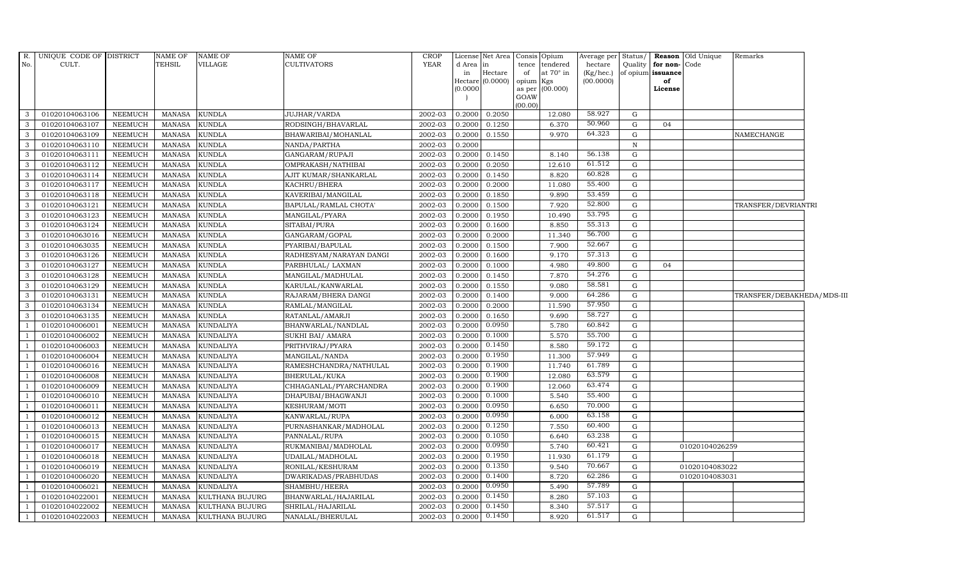| $R_{\cdot}$    | UNIQUE CODE OF DISTRICT |                | <b>NAME OF</b> | <b>NAME OF</b>         | <b>NAME OF</b>          | <b>CROP</b> |           | License Net Area   Consis   Opium |           |                  | Average per            |              |                         | Status/ Reason Old Unique | Remarks                    |  |
|----------------|-------------------------|----------------|----------------|------------------------|-------------------------|-------------|-----------|-----------------------------------|-----------|------------------|------------------------|--------------|-------------------------|---------------------------|----------------------------|--|
| No.            | CULT.                   |                | TEHSIL         | VILLAGE                | <b>CULTIVATORS</b>      | <b>YEAR</b> | d Area in |                                   | of        | tence tendered   | hectare                |              | Quality for non-Code    |                           |                            |  |
|                |                         |                |                |                        |                         |             | in        | Hectare<br>Hectare (0.0000)       | opium Kgs | at $70^\circ$ in | (Kg/hec.)<br>(00.0000) |              | of opium issuance<br>of |                           |                            |  |
|                |                         |                |                |                        |                         |             | (0.0000)  |                                   |           | as per (00.000)  |                        |              | License                 |                           |                            |  |
|                |                         |                |                |                        |                         |             |           |                                   | GOAW      |                  |                        |              |                         |                           |                            |  |
| 3              | 01020104063106          | NEEMUCH        | <b>MANASA</b>  | <b>KUNDLA</b>          | JUJHAR/VARDA            | 2002-03     | 0.2000    | 0.2050                            | (00.00)   | 12.080           | 58.927                 | G            |                         |                           |                            |  |
| -3             | 01020104063107          | NEEMUCH        | <b>MANASA</b>  | <b>KUNDLA</b>          | RODSINGH/BHAVARLAL      | 2002-03     | 0.2000    | 0.1250                            |           | 6.370            | 50.960                 | G            | 04                      |                           |                            |  |
| $\mathbf{3}$   | 01020104063109          | <b>NEEMUCH</b> | <b>MANASA</b>  | <b>KUNDLA</b>          | BHAWARIBAI/MOHANLAL     | 2002-03     | 0.2000    | 0.1550                            |           | 9.970            | 64.323                 | $\mathbf G$  |                         |                           | NAMECHANGE                 |  |
| 3              | 01020104063110          | <b>NEEMUCH</b> | <b>MANASA</b>  | <b>KUNDLA</b>          | NANDA/PARTHA            | 2002-03     | 0.2000    |                                   |           |                  |                        | $\, {\rm N}$ |                         |                           |                            |  |
| 3              | 01020104063111          | <b>NEEMUCH</b> | <b>MANASA</b>  | <b>KUNDLA</b>          | GANGARAM/RUPAJI         | 2002-03     | 0.2000    | 0.1450                            |           | 8.140            | 56.138                 | $\mathbf G$  |                         |                           |                            |  |
| $\mathbf{3}$   | 01020104063112          | NEEMUCH        | <b>MANASA</b>  | <b>KUNDLA</b>          | OMPRAKASH/NATHIBAI      | 2002-03     | 0.2000    | 0.2050                            |           | 12.610           | 61.512                 | $\mathbf G$  |                         |                           |                            |  |
| 3              | 01020104063114          | NEEMUCH        | <b>MANASA</b>  | <b>KUNDLA</b>          | AJIT KUMAR/SHANKARLAL   | 2002-03     | 0.200     | 0.1450                            |           | 8.820            | 60.828                 | $\mathbf G$  |                         |                           |                            |  |
| $\mathbf{3}$   | 01020104063117          | NEEMUCH        | <b>MANASA</b>  | <b>KUNDLA</b>          | KACHRU/BHERA            | 2002-03     | 0.2000    | 0.2000                            |           | 11.080           | 55.400                 | G            |                         |                           |                            |  |
| 3              | 01020104063118          | <b>NEEMUCH</b> | <b>MANASA</b>  | <b>KUNDLA</b>          | KAVERIBAI/MANGILAL      | 2002-03     | 0.2000    | 0.1850                            |           | 9.890            | 53.459                 | G            |                         |                           |                            |  |
| 3              | 01020104063121          | <b>NEEMUCH</b> | <b>MANASA</b>  | <b>KUNDLA</b>          | BAPULAL/RAMLAL CHOTA'   | 2002-03     | 0.200     | 0.1500                            |           | 7.920            | 52.800                 | $\mathbf G$  |                         |                           | TRANSFER/DEVRIANTRI        |  |
| 3              | 01020104063123          | NEEMUCH        | MANASA         | <b>KUNDLA</b>          | MANGILAL/PYARA          | 2002-03     | 0.2000    | 0.1950                            |           | 10.490           | 53.795                 | $\mathbf G$  |                         |                           |                            |  |
| $\mathbf{3}$   | 01020104063124          | <b>NEEMUCH</b> | <b>MANASA</b>  | <b>KUNDLA</b>          | SITABAI/PURA            | $2002 - 03$ | 0.200     | 0.1600                            |           | 8.850            | 55.313                 | G            |                         |                           |                            |  |
| $\overline{3}$ | 01020104063016          | <b>NEEMUCH</b> | <b>MANASA</b>  | <b>KUNDLA</b>          | GANGARAM/GOPAL          | 2002-03     | 0.200     | 0.2000                            |           | 11.340           | 56.700                 | $\mathbf G$  |                         |                           |                            |  |
| 3              | 01020104063035          | <b>NEEMUCH</b> | <b>MANASA</b>  | <b>KUNDLA</b>          | PYARIBAI/BAPULAL        | 2002-03     | 0.2000    | 0.1500                            |           | 7.900            | 52.667                 | $\mathbf G$  |                         |                           |                            |  |
| 3              | 01020104063126          | <b>NEEMUCH</b> | <b>MANASA</b>  | KUNDLA                 | RADHESYAM/NARAYAN DANGI | 2002-03     | 0.200     | 0.1600                            |           | 9.170            | 57.313                 | G            |                         |                           |                            |  |
| 3              | 01020104063127          | <b>NEEMUCH</b> | <b>MANASA</b>  | <b>KUNDLA</b>          | PARBHULAL/ LAXMAN       | 2002-03     | 0.2000    | 0.1000                            |           | 4.980            | 49.800                 | $\mathbf G$  | 04                      |                           |                            |  |
| $\mathbf{3}$   | 01020104063128          | NEEMUCH        | <b>MANASA</b>  | <b>KUNDLA</b>          | MANGILAL/MADHULAL       | 2002-03     | 0.2000    | 0.1450                            |           | 7.870            | 54.276                 | G            |                         |                           |                            |  |
| $\mathbf{3}$   | 01020104063129          | NEEMUCH        | <b>MANASA</b>  | <b>KUNDLA</b>          | KARULAL/KANWARLAL       | 2002-03     | 0.200     | 0.1550                            |           | 9.080            | 58.581                 | G            |                         |                           |                            |  |
| 3              | 01020104063131          | <b>NEEMUCH</b> | <b>MANASA</b>  | <b>KUNDLA</b>          | RAJARAM/BHERA DANGI     | 2002-03     | 0.2000    | 0.1400                            |           | 9.000            | 64.286                 | $\mathbf G$  |                         |                           | TRANSFER/DEBAKHEDA/MDS-III |  |
| 3              | 01020104063134          | <b>NEEMUCH</b> | <b>MANASA</b>  | KUNDLA                 | RAMLAL/MANGILAL         | 2002-03     | 0.200     | 0.2000                            |           | 11.590           | 57.950                 | $\mathbf G$  |                         |                           |                            |  |
| 3              | 01020104063135          | NEEMUCH        | <b>MANASA</b>  | <b>KUNDLA</b>          | RATANLAL/AMARJI         | 2002-03     | 0.2000    | 0.1650                            |           | 9.690            | 58.727                 | G            |                         |                           |                            |  |
| <sup>1</sup>   | 01020104006001          | <b>NEEMUCH</b> | <b>MANASA</b>  | <b>KUNDALIYA</b>       | BHANWARLAL/NANDLAL      | 2002-03     | 0.200     | 0.0950                            |           | 5.780            | 60.842                 | $\mathbf G$  |                         |                           |                            |  |
| <sup>1</sup>   | 01020104006002          | NEEMUCH        | <b>MANASA</b>  | <b>KUNDALIYA</b>       | SUKHI BAI/ AMARA        | $2002 - 03$ | 0.200     | 0.1000                            |           | 5.570            | 55.700                 | $\mathbf G$  |                         |                           |                            |  |
| $\overline{1}$ | 01020104006003          | NEEMUCH        | <b>MANASA</b>  | <b>KUNDALIYA</b>       | PRITHVIRAJ/PYARA        | 2002-03     | 0.200     | 0.1450                            |           | 8.580            | 59.172                 | $\mathbf G$  |                         |                           |                            |  |
| <sup>1</sup>   | 01020104006004          | <b>NEEMUCH</b> | <b>MANASA</b>  | <b>KUNDALIYA</b>       | MANGILAL/NANDA          | 2002-03     | 0.2000    | 0.1950                            |           | 11.300           | 57.949                 | G            |                         |                           |                            |  |
|                | 01020104006016          | <b>NEEMUCH</b> | <b>MANASA</b>  | <b>KUNDALIYA</b>       | RAMESHCHANDRA/NATHULAL  | 2002-03     | 0.200     | 0.1900                            |           | 11.740           | 61.789                 | $\mathbf G$  |                         |                           |                            |  |
| $\overline{1}$ | 01020104006008          | <b>NEEMUCH</b> | <b>MANASA</b>  | <b>KUNDALIYA</b>       | BHERULAL/KUKA           | 2002-03     | 0.2000    | 0.1900                            |           | 12.080           | 63.579                 | $\mathbf G$  |                         |                           |                            |  |
| <sup>1</sup>   | 01020104006009          | NEEMUCH        | <b>MANASA</b>  | <b>KUNDALIYA</b>       | CHHAGANLAL/PYARCHANDRA  | 2002-03     | 0.2000    | 0.1900                            |           | 12.060           | 63.474                 | G            |                         |                           |                            |  |
| <sup>1</sup>   | 01020104006010          | <b>NEEMUCH</b> | <b>MANASA</b>  | <b>KUNDALIYA</b>       | DHAPUBAI/BHAGWANJI      | 2002-03     | 0.200     | 0.1000                            |           | 5.540            | 55.400                 | $\mathbf G$  |                         |                           |                            |  |
| <sup>1</sup>   | 01020104006011          | NEEMUCH        | <b>MANASA</b>  | <b>KUNDALIYA</b>       | KESHURAM/MOTI           | 2002-03     | 0.2000    | 0.0950                            |           | 6.650            | 70.000                 | $\mathbf G$  |                         |                           |                            |  |
| $\overline{1}$ | 01020104006012          | <b>NEEMUCH</b> | <b>MANASA</b>  | <b>KUNDALIYA</b>       | KANWARLAL/RUPA          | 2002-03     | 0.200     | 0.0950                            |           | 6.000            | 63.158                 | G            |                         |                           |                            |  |
| $\overline{1}$ | 01020104006013          | <b>NEEMUCH</b> | <b>MANASA</b>  | KUNDALIYA              | PURNASHANKAR/MADHOLAL   | 2002-03     | 0.200     | 0.1250                            |           | 7.550            | 60.400                 | $\mathbf G$  |                         |                           |                            |  |
| $\overline{1}$ | 01020104006015          | <b>NEEMUCH</b> | <b>MANASA</b>  | <b>KUNDALIYA</b>       | PANNALAL/RUPA           | 2002-03     | 0.200     | 0.1050                            |           | 6.640            | 63.238                 | G            |                         |                           |                            |  |
| -1             | 01020104006017          | NEEMUCH        | <b>MANASA</b>  | <b>KUNDALIYA</b>       | RUKMANIBAI/MADHOLAL     | 2002-03     | 0.200     | 0.0950                            |           | 5.740            | 60.421                 | $\mathbf G$  |                         | 01020104026259            |                            |  |
| <sup>1</sup>   | 01020104006018          | <b>NEEMUCH</b> | <b>MANASA</b>  | <b>KUNDALIYA</b>       | UDAILAL/MADHOLAL        | 2002-03     | 0.2000    | 0.1950                            |           | 11.930           | 61.179                 | $\mathbf G$  |                         |                           |                            |  |
| $\overline{1}$ | 01020104006019          | <b>NEEMUCH</b> | <b>MANASA</b>  | <b>KUNDALIYA</b>       | RONILAL/KESHURAM        | 2002-03     | 0.200     | 0.1350                            |           | 9.540            | 70.667                 | $\mathbf G$  |                         | 01020104083022            |                            |  |
| $\overline{1}$ | 01020104006020          | <b>NEEMUCH</b> | <b>MANASA</b>  | <b>KUNDALIYA</b>       | DWARIKADAS/PRABHUDAS    | 2002-03     | 0.2000    | 0.1400                            |           | 8.720            | 62.286                 | $\mathbf G$  |                         | 01020104083031            |                            |  |
| $\overline{1}$ | 01020104006021          | <b>NEEMUCH</b> | <b>MANASA</b>  | <b>KUNDALIYA</b>       | SHAMBHU/HEERA           | 2002-03     | 0.2000    | 0.0950                            |           | 5.490            | 57.789                 | $\mathbf G$  |                         |                           |                            |  |
| <sup>1</sup>   | 01020104022001          | <b>NEEMUCH</b> | <b>MANASA</b>  | KULTHANA BUJURG        | BHANWARLAL/HAJARILAL    | 2002-03     | 0.200     | 0.1450                            |           | 8.280            | 57.103                 | $\mathbf G$  |                         |                           |                            |  |
| $\overline{1}$ | 01020104022002          | <b>NEEMUCH</b> | <b>MANASA</b>  | KULTHANA BUJURG        | SHRILAL/HAJARILAL       | 2002-03     | 0.2000    | 0.1450                            |           | 8.340            | 57.517                 | ${\rm G}$    |                         |                           |                            |  |
| $\overline{1}$ | 01020104022003          | NEEMUCH        | MANASA         | <b>KULTHANA BUJURG</b> | NANALAL/BHERULAL        | 2002-03     | 0.2000    | 0.1450                            |           | 8.920            | 61.517                 | G            |                         |                           |                            |  |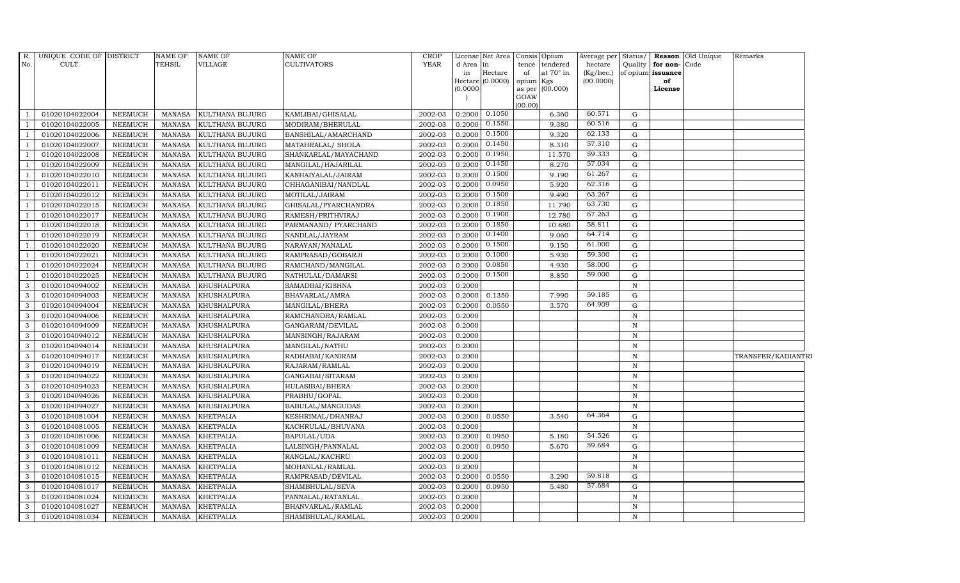| R.             | UNIQUE CODE OF DISTRICT |                | <b>NAME OF</b> | <b>NAME OF</b>     | <b>NAME OF</b>       | <b>CROP</b> |                 |                  | License Net Area   Consis   Opium    | Average per Status/  |              |                                   | <b>Reason</b> Old Unique | Remarks            |
|----------------|-------------------------|----------------|----------------|--------------------|----------------------|-------------|-----------------|------------------|--------------------------------------|----------------------|--------------|-----------------------------------|--------------------------|--------------------|
| No.            | CULT.                   |                | <b>TEHSIL</b>  | VILLAGE            | <b>CULTIVATORS</b>   | <b>YEAR</b> | d Area in<br>in | Hectare          | tence<br>tendered<br>at 70° in<br>of | hectare<br>(Kg/hec.) | Quality      | for non-Code<br>of opium issuance |                          |                    |
|                |                         |                |                |                    |                      |             |                 | Hectare (0.0000) | opium<br>Kgs                         | (00.0000)            |              | of                                |                          |                    |
|                |                         |                |                |                    |                      |             | (0.0000)        |                  | (00.000)<br>as per                   |                      |              | License                           |                          |                    |
|                |                         |                |                |                    |                      |             |                 |                  | GOAW<br>(00.00)                      |                      |              |                                   |                          |                    |
|                | 01020104022004          | NEEMUCH        | MANASA         | KULTHANA BUJURG    | KAMLIBAI/GHISALAL    | 2002-03     | 0.2000          | 0.1050           | 6.360                                | 60.571               | G            |                                   |                          |                    |
|                | 01020104022005          | NEEMUCH        | MANASA         | KULTHANA BUJURG    | MODIRAM/BHERULAL     | 2002-03     | 0.2000          | 0.1550           | 9.380                                | 60.516               | G            |                                   |                          |                    |
|                | 01020104022006          | <b>NEEMUCH</b> | <b>MANASA</b>  | KULTHANA BUJURG    | BANSHILAL/AMARCHAND  | 2002-03     | 0.2000          | 0.1500           | 9.320                                | 62.133               | $\mathbf G$  |                                   |                          |                    |
|                | 01020104022007          | <b>NEEMUCH</b> | <b>MANASA</b>  | KULTHANA BUJURG    | MATAHRALAL/ SHOLA    | 2002-03     | 0.2000          | 0.1450           | 8.310                                | 57.310               | $\mathbf G$  |                                   |                          |                    |
| $\overline{1}$ | 01020104022008          | <b>NEEMUCH</b> | <b>MANASA</b>  | KULTHANA BUJURG    | SHANKARLAL/MAYACHAND | 2002-03     | 0.2000          | 0.1950           | 11.570                               | 59.333               | ${\rm G}$    |                                   |                          |                    |
|                | 01020104022009          | NEEMUCH        | <b>MANASA</b>  | KULTHANA BUJURG    | MANGILAL/HAJARILAL   | 2002-03     | 0.2000          | 0.1450           | 8.270                                | 57.034               | G            |                                   |                          |                    |
|                | 01020104022010          | NEEMUCH        | MANASA         | KULTHANA BUJURG    | KANHAIYALAL/JAIRAM   | 2002-03     | 0.2000          | 0.1500           | 9.190                                | 61.267               | ${\rm G}$    |                                   |                          |                    |
|                | 01020104022011          | NEEMUCH        | <b>MANASA</b>  | KULTHANA BUJURG    | CHHAGANIBAI/NANDLAL  | 2002-03     | 0.2000          | 0.0950           | 5.920                                | 62.316               | $\mathbf G$  |                                   |                          |                    |
|                | 01020104022012          | <b>NEEMUCH</b> | <b>MANASA</b>  | KULTHANA BUJURG    | MOTILAL/JAIRAM       | 2002-03     | 0.2000          | 0.1500           | 9.490                                | 63.267               | G            |                                   |                          |                    |
| $\overline{1}$ | 01020104022015          | NEEMUCH        | <b>MANASA</b>  | KULTHANA BUJURG    | GHISALAL/PYARCHANDRA | 2002-03     | 0.2000          | 0.1850           | 11.790                               | 63.730               | ${\rm G}$    |                                   |                          |                    |
| $\overline{1}$ | 01020104022017          | NEEMUCH        | <b>MANASA</b>  | KULTHANA BUJURG    | RAMESH/PRITHVIRAJ    | 2002-03     | 0.2000          | 0.1900           | 12.780                               | 67.263               | G            |                                   |                          |                    |
|                | 01020104022018          | NEEMUCH        | <b>MANASA</b>  | KULTHANA BUJURG    | PARMANAND/ PYARCHAND | 2002-03     | 0.2000          | 0.1850           | 10.880                               | 58.811               | ${\rm G}$    |                                   |                          |                    |
| $\overline{1}$ | 01020104022019          | NEEMUCH        | <b>MANASA</b>  | KULTHANA BUJURG    | NANDLAL/JAYRAM       | 2002-03     | 0.2000          | 0.1400           | 9.060                                | 64.714               | ${\bf G}$    |                                   |                          |                    |
|                | 01020104022020          | <b>NEEMUCH</b> | <b>MANASA</b>  | KULTHANA BUJURG    | NARAYAN/NANALAL      | 2002-03     | 0.2000          | 0.1500           | 9.150                                | 61.000               | $\mathbf G$  |                                   |                          |                    |
| $\overline{1}$ | 01020104022021          | <b>NEEMUCH</b> | <b>MANASA</b>  | KULTHANA BUJURG    | RAMPRASAD/GOBARJI    | 2002-03     | 0.2000          | 0.1000           | 5.930                                | 59.300               | G            |                                   |                          |                    |
| 1              | 01020104022024          | NEEMUCH        | <b>MANASA</b>  | KULTHANA BUJURG    | RAMCHAND/MANGILAL    | 2002-03     | 0.2000          | 0.0850           | 4.930                                | 58.000               | ${\rm G}$    |                                   |                          |                    |
| $\overline{1}$ | 01020104022025          | <b>NEEMUCH</b> | <b>MANASA</b>  | KULTHANA BUJURG    | NATHULAL/DAMARSI     | 2002-03     | 0.2000          | 0.1500           | 8.850                                | 59.000               | G            |                                   |                          |                    |
| 3              | 01020104094002          | NEEMUCH        | MANASA         | KHUSHALPURA        | SAMADBAI/KISHNA      | 2002-03     | 0.2000          |                  |                                      |                      | $\mathbf N$  |                                   |                          |                    |
| 3              | 01020104094003          | <b>NEEMUCH</b> | <b>MANASA</b>  | <b>KHUSHALPURA</b> | BHAVARLAL/AMRA       | 2002-03     | 0.2000          | 0.1350           | 7.990                                | 59.185               | $\mathbf G$  |                                   |                          |                    |
| 3              | 01020104094004          | <b>NEEMUCH</b> | <b>MANASA</b>  | <b>KHUSHALPURA</b> | MANGILAL/BHERA       | 2002-03     | 0.2000          | 0.0550           | 3.570                                | 64.909               | G            |                                   |                          |                    |
| 3              | 01020104094006          | NEEMUCH        | <b>MANASA</b>  | <b>KHUSHALPURA</b> | RAMCHANDRA/RAMLAL    | 2002-03     | 0.2000          |                  |                                      |                      | $\mathbf N$  |                                   |                          |                    |
| 3              | 01020104094009          | NEEMUCH        | <b>MANASA</b>  | <b>KHUSHALPURA</b> | GANGARAM/DEVILAL     | 2002-03     | 0.2000          |                  |                                      |                      | $\, {\rm N}$ |                                   |                          |                    |
| $\mathbf{3}$   | 01020104094012          | <b>NEEMUCH</b> | MANASA         | <b>KHUSHALPURA</b> | MANSINGH/RAJARAM     | 2002-03     | 0.2000          |                  |                                      |                      | $\, {\rm N}$ |                                   |                          |                    |
| 3              | 01020104094014          | <b>NEEMUCH</b> | <b>MANASA</b>  | <b>KHUSHALPURA</b> | MANGILAL/NATHU       | 2002-03     | 0.2000          |                  |                                      |                      | $\mathbf N$  |                                   |                          |                    |
| 3              | 01020104094017          | NEEMUCH        | <b>MANASA</b>  | <b>KHUSHALPURA</b> | RADHABAI/KANIRAM     | 2002-03     | 0.2000          |                  |                                      |                      | $\, {\rm N}$ |                                   |                          | TRANSFER/KADIANTRI |
| $\mathbf{3}$   | 01020104094019          | <b>NEEMUCH</b> | <b>MANASA</b>  | KHUSHALPURA        | RAJARAM/RAMLAL       | 2002-03     | 0.2000          |                  |                                      |                      | $\mathbf N$  |                                   |                          |                    |
| 3              | 01020104094022          | <b>NEEMUCH</b> | <b>MANASA</b>  | <b>KHUSHALPURA</b> | GANGABAI/SITARAM     | 2002-03     | 0.2000          |                  |                                      |                      | $\, {\rm N}$ |                                   |                          |                    |
| 3              | 01020104094023          | <b>NEEMUCH</b> | MANASA         | <b>KHUSHALPURA</b> | HULASIBAI/BHERA      | 2002-03     | 0.2000          |                  |                                      |                      | N            |                                   |                          |                    |
| 3              | 01020104094026          | NEEMUCH        | <b>MANASA</b>  | <b>KHUSHALPURA</b> | PRABHU/GOPAL         | 2002-03     | 0.2000          |                  |                                      |                      | $\mathbf N$  |                                   |                          |                    |
| 3              | 01020104094027          | <b>NEEMUCH</b> | <b>MANASA</b>  | <b>KHUSHALPURA</b> | BABULAL/MANGUDAS     | 2002-03     | 0.2000          |                  |                                      |                      | $\, {\rm N}$ |                                   |                          |                    |
| 3              | 01020104081004          | <b>NEEMUCH</b> | <b>MANASA</b>  | <b>KHETPALIA</b>   | KESHRIMAL/DHANRAJ    | 2002-03     | 0.2000          | 0.0550           | 3.540                                | 64.364               | G            |                                   |                          |                    |
| 3              | 01020104081005          | <b>NEEMUCH</b> | <b>MANASA</b>  | <b>KHETPALIA</b>   | KACHRULAL/BHUVANA    | 2002-03     | 0.2000          |                  |                                      |                      | $\mathbf N$  |                                   |                          |                    |
| $\mathbf{3}$   | 01020104081006          | NEEMUCH        | <b>MANASA</b>  | <b>KHETPALIA</b>   | BAPULAL/UDA          | 2002-03     | 0.2000          | 0.0950           | 5.180                                | 54.526               | G            |                                   |                          |                    |
| 3              | 01020104081009          | <b>NEEMUCH</b> | <b>MANASA</b>  | <b>KHETPALIA</b>   | LALSINGH/PANNALAL    | 2002-03     | 0.2000          | 0.0950           | 5.670                                | 59.684               | ${\rm G}$    |                                   |                          |                    |
| 3              | 01020104081011          | <b>NEEMUCH</b> | <b>MANASA</b>  | <b>KHETPALIA</b>   | RANGLAL/KACHRU       | 2002-03     | 0.2000          |                  |                                      |                      | $\, {\rm N}$ |                                   |                          |                    |
| 3              | 01020104081012          | <b>NEEMUCH</b> | <b>MANASA</b>  | <b>KHETPALIA</b>   | MOHANLAL/RAMLAL      | 2002-03     | 0.2000          |                  |                                      |                      | $\, {\rm N}$ |                                   |                          |                    |
| 3              | 01020104081015          | <b>NEEMUCH</b> | <b>MANASA</b>  | <b>KHETPALIA</b>   | RAMPRASAD/DEVILAL    | 2002-03     | 0.2000          | 0.0550           | 3.290                                | 59.818               | G            |                                   |                          |                    |
| $\mathbf{3}$   | 01020104081017          | NEEMUCH        | <b>MANASA</b>  | <b>KHETPALIA</b>   | SHAMBHULAL/SEVA      | 2002-03     | 0.2000          | 0.0950           | 5.480                                | 57.684               | ${\rm G}$    |                                   |                          |                    |
| 3              | 01020104081024          | <b>NEEMUCH</b> | <b>MANASA</b>  | <b>KHETPALIA</b>   | PANNALAL/RATANLAL    | 2002-03     | 0.2000          |                  |                                      |                      | $\mathbf N$  |                                   |                          |                    |
| 3              | 01020104081027          | <b>NEEMUCH</b> | <b>MANASA</b>  | <b>KHETPALIA</b>   | BHANVARLAL/RAMLAL    | 2002-03     | 0.2000          |                  |                                      |                      | $\, {\rm N}$ |                                   |                          |                    |
| 3              | 01020104081034          | NEEMUCH        | MANASA         | <b>KHETPALIA</b>   | SHAMBHULAL/RAMLAL    | 2002-03     | 0.2000          |                  |                                      |                      | $\mathbf N$  |                                   |                          |                    |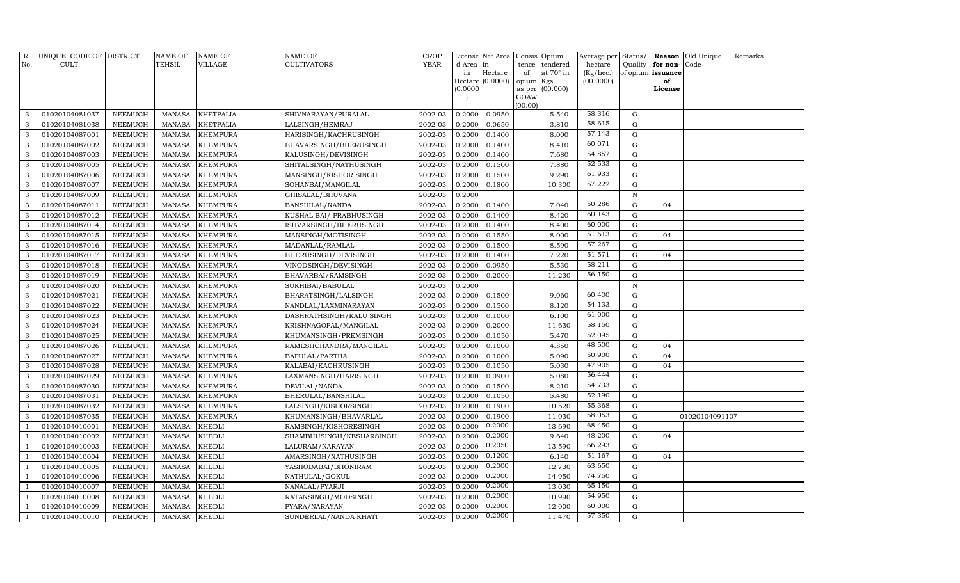| R.             | UNIQUE CODE OF DISTRICT |                | <b>NAME OF</b> | <b>NAME OF</b>   | NAME OF                  | <b>CROP</b> |           | License Net Area |                | Consis Opium     | Average per | Status/      |                   | Reason Old Unique | Remarks |
|----------------|-------------------------|----------------|----------------|------------------|--------------------------|-------------|-----------|------------------|----------------|------------------|-------------|--------------|-------------------|-------------------|---------|
| No.            | CULT.                   |                | <b>TEHSIL</b>  | VILLAGE          | CULTIVATORS              | <b>YEAR</b> | d Area in |                  | tence          | tendered         | hectare     | Quality      | for non-Code      |                   |         |
|                |                         |                |                |                  |                          |             | in        | Hectare          | of             | at $70^\circ$ in | (Kg/hec.)   |              | of opium issuance |                   |         |
|                |                         |                |                |                  |                          |             |           | Hectare (0.0000) | opium          | Kgs              | (00.0000)   |              | of                |                   |         |
|                |                         |                |                |                  |                          |             | (0.0000)  |                  | as per<br>GOAW | (00.000)         |             |              | License           |                   |         |
|                |                         |                |                |                  |                          |             |           |                  | (00.00)        |                  |             |              |                   |                   |         |
| 3              | 01020104081037          | <b>NEEMUCH</b> | MANASA         | <b>KHETPALIA</b> | SHIVNARAYAN/PURALAL      | 2002-03     | 0.2000    | 0.0950           |                | 5.540            | 58.316      | G            |                   |                   |         |
| 3              | 01020104081038          | <b>NEEMUCH</b> | <b>MANASA</b>  | <b>KHETPALIA</b> | LALSINGH/HEMRAJ          | 2002-03     | 0.2000    | 0.0650           |                | 3.810            | 58.615      | $\mathbf G$  |                   |                   |         |
| 3              | 01020104087001          | <b>NEEMUCH</b> | <b>MANASA</b>  | <b>KHEMPURA</b>  | HARISINGH/KACHRUSINGH    | 2002-03     | 0.2000    | 0.1400           |                | 8.000            | 57.143      | G            |                   |                   |         |
| 3              | 01020104087002          | <b>NEEMUCH</b> | <b>MANASA</b>  | <b>KHEMPURA</b>  | BHAVARSINGH/BHERUSINGH   | 2002-03     | 0.2000    | 0.1400           |                | 8.410            | 60.071      | ${\rm G}$    |                   |                   |         |
| 3              | 01020104087003          | <b>NEEMUCH</b> | <b>MANASA</b>  | <b>KHEMPURA</b>  | KALUSINGH/DEVISINGH      | 2002-03     | 0.2000    | 0.1400           |                | 7.680            | 54.857      | ${\rm G}$    |                   |                   |         |
| $\mathbf{3}$   | 01020104087005          | <b>NEEMUCH</b> | <b>MANASA</b>  | <b>KHEMPURA</b>  | SHITALSINGH/NATHUSINGH   | 2002-03     | 0.2000    | 0.1500           |                | 7.880            | 52.533      | G            |                   |                   |         |
| 3              | 01020104087006          | <b>NEEMUCH</b> | <b>MANASA</b>  | <b>KHEMPURA</b>  | MANSINGH/KISHOR SINGH    | 2002-03     | 0.2000    | 0.1500           |                | 9.290            | 61.933      | $\mathbf G$  |                   |                   |         |
| 3              | 01020104087007          | <b>NEEMUCH</b> | <b>MANASA</b>  | <b>KHEMPURA</b>  | SOHANBAI/MANGILAL        | 2002-03     | 0.2000    | 0.1800           |                | 10.300           | 57.222      | $\mathbf G$  |                   |                   |         |
| 3              | 01020104087009          | <b>NEEMUCH</b> | <b>MANASA</b>  | <b>KHEMPURA</b>  | GHISALAL/BHUVANA         | 2002-03     | 0.2000    |                  |                |                  |             | $\mathbf N$  |                   |                   |         |
| 3              | 01020104087011          | <b>NEEMUCH</b> | <b>MANASA</b>  | <b>KHEMPURA</b>  | BANSHILAL/NANDA          | 2002-03     | 0.2000    | 0.1400           |                | 7.040            | 50.286      | $\mathbf G$  | 04                |                   |         |
| $\mathbf{3}$   | 01020104087012          | <b>NEEMUCH</b> | <b>MANASA</b>  | <b>KHEMPURA</b>  | KUSHAL BAI/ PRABHUSINGH  | 2002-03     | 0.2000    | 0.1400           |                | 8.420            | 60.143      | ${\rm G}$    |                   |                   |         |
| 3              | 01020104087014          | <b>NEEMUCH</b> | <b>MANASA</b>  | <b>KHEMPURA</b>  | ISHVARSINGH/BHERUSINGH   | 2002-03     | 0.2000    | 0.1400           |                | 8.400            | 60.000      | $\mathbf G$  |                   |                   |         |
| $\mathbf{3}$   | 01020104087015          | <b>NEEMUCH</b> | <b>MANASA</b>  | <b>KHEMPURA</b>  | MANSINGH/MOTISINGH       | 2002-03     | 0.2000    | 0.1550           |                | 8.000            | 51.613      | $\mathbf G$  | 04                |                   |         |
| 3              | 01020104087016          | <b>NEEMUCH</b> | <b>MANASA</b>  | <b>KHEMPURA</b>  | MADANLAL/RAMLAL          | 2002-03     | 0.2000    | 0.1500           |                | 8.590            | 57.267      | G            |                   |                   |         |
| 3              | 01020104087017          | <b>NEEMUCH</b> | <b>MANASA</b>  | <b>KHEMPURA</b>  | BHERUSINGH/DEVISINGH     | 2002-03     | 0.2000    | 0.1400           |                | 7.220            | 51.571      | $\mathbf G$  | 04                |                   |         |
| $\mathbf{3}$   | 01020104087018          | <b>NEEMUCH</b> | <b>MANASA</b>  | <b>KHEMPURA</b>  | VINODSINGH/DEVISINGH     | 2002-03     | 0.2000    | 0.0950           |                | 5.530            | 58.211      | G            |                   |                   |         |
| 3              | 01020104087019          | <b>NEEMUCH</b> | <b>MANASA</b>  | <b>KHEMPURA</b>  | BHAVARBAI/RAMSINGH       | 2002-03     | 0.2000    | 0.2000           |                | 11.230           | 56.150      | G            |                   |                   |         |
| 3              | 01020104087020          | <b>NEEMUCH</b> | <b>MANASA</b>  | <b>KHEMPURA</b>  | SUKHIBAI/BABULAL         | 2002-03     | 0.2000    |                  |                |                  |             | $\, {\rm N}$ |                   |                   |         |
| 3              | 01020104087021          | <b>NEEMUCH</b> | <b>MANASA</b>  | <b>KHEMPURA</b>  | BHARATSINGH/LALSINGH     | 2002-03     | 0.2000    | 0.1500           |                | 9.060            | 60.400      | $\mathbf G$  |                   |                   |         |
| 3              | 01020104087022          | <b>NEEMUCH</b> | <b>MANASA</b>  | <b>KHEMPURA</b>  | NANDLAL/LAXMINARAYAN     | 2002-03     | 0.2000    | 0.1500           |                | 8.120            | 54.133      | $\mathbf G$  |                   |                   |         |
| $\mathbf{3}$   | 01020104087023          | <b>NEEMUCH</b> | <b>MANASA</b>  | <b>KHEMPURA</b>  | DASHRATHSINGH/KALU SINGH | 2002-03     | 0.2000    | 0.1000           |                | 6.100            | 61.000      | G            |                   |                   |         |
| 3              | 01020104087024          | <b>NEEMUCH</b> | <b>MANASA</b>  | <b>KHEMPURA</b>  | KRISHNAGOPAL/MANGILAL    | 2002-03     | 0.2000    | 0.2000           |                | 11.630           | 58.150      | G            |                   |                   |         |
| 3              | 01020104087025          | <b>NEEMUCH</b> | <b>MANASA</b>  | <b>KHEMPURA</b>  | KHUMANSINGH/PREMSINGH    | 2002-03     | 0.2000    | 0.1050           |                | 5.470            | 52.095      | G            |                   |                   |         |
| 3              | 01020104087026          | <b>NEEMUCH</b> | <b>MANASA</b>  | <b>KHEMPURA</b>  | RAMESHCHANDRA/MANGILAL   | 2002-03     | 0.2000    | 0.1000           |                | 4.850            | 48.500      | $\mathbf G$  | 04                |                   |         |
| 3              | 01020104087027          | <b>NEEMUCH</b> | <b>MANASA</b>  | <b>KHEMPURA</b>  | BAPULAL/PARTHA           | 2002-03     | 0.2000    | 0.1000           |                | 5.090            | 50.900      | G            | 0 <sub>4</sub>    |                   |         |
| 3              | 01020104087028          | <b>NEEMUCH</b> | <b>MANASA</b>  | <b>KHEMPURA</b>  | KALABAI/KACHRUSINGH      | 2002-03     | 0.2000    | 0.1050           |                | 5.030            | 47.905      | G            | 04                |                   |         |
| 3              | 01020104087029          | <b>NEEMUCH</b> | <b>MANASA</b>  | <b>KHEMPURA</b>  | LAXMANSINGH/HARISINGH    | 2002-03     | 0.2000    | 0.0900           |                | 5.080            | 56.444      | G            |                   |                   |         |
| 3              | 01020104087030          | <b>NEEMUCH</b> | <b>MANASA</b>  | <b>KHEMPURA</b>  | DEVILAL/NANDA            | 2002-03     | 0.2000    | 0.1500           |                | 8.210            | 54.733      | G            |                   |                   |         |
| 3              | 01020104087031          | <b>NEEMUCH</b> | <b>MANASA</b>  | <b>KHEMPURA</b>  | BHERULAL/BANSHILAL       | 2002-03     | 0.2000    | 0.1050           |                | 5.480            | 52.190      | $\mathbf G$  |                   |                   |         |
| 3              | 01020104087032          | <b>NEEMUCH</b> | <b>MANASA</b>  | <b>KHEMPURA</b>  | LALSINGH/KISHORSINGH     | 2002-03     | 0.2000    | 0.1900           |                | 10.520           | 55.368      | $\mathbf G$  |                   |                   |         |
| 3              | 01020104087035          | <b>NEEMUCH</b> | <b>MANASA</b>  | <b>KHEMPURA</b>  | KHUMANSINGH/BHAVARLAL    | 2002-03     | 0.2000    | 0.1900           |                | 11.030           | 58.053      | G            |                   | 01020104091107    |         |
| -1             | 01020104010001          | <b>NEEMUCH</b> | <b>MANASA</b>  | <b>KHEDLI</b>    | RAMSINGH/KISHORESINGH    | 2002-03     | 0.2000    | 0.2000           |                | 13.690           | 68.450      | ${\rm G}$    |                   |                   |         |
| $\overline{1}$ | 01020104010002          | <b>NEEMUCH</b> | <b>MANASA</b>  | KHEDLI           | SHAMBHUSINGH/KESHARSINGH | 2002-03     | 0.2000    | 0.2000           |                | 9.640            | 48.200      | G            | 04                |                   |         |
| $\overline{1}$ | 01020104010003          | <b>NEEMUCH</b> | <b>MANASA</b>  | <b>KHEDLI</b>    | LALURAM/NARAYAN          | 2002-03     | 0.2000    | 0.2050           |                | 13.590           | 66.293      | G            |                   |                   |         |
|                | 01020104010004          | <b>NEEMUCH</b> | <b>MANASA</b>  | <b>KHEDLI</b>    | AMARSINGH/NATHUSINGH     | 2002-03     | 0.2000    | 0.1200           |                | 6.140            | 51.167      | $\mathbf G$  | 04                |                   |         |
| $\overline{1}$ | 01020104010005          | <b>NEEMUCH</b> | <b>MANASA</b>  | <b>KHEDLI</b>    | YASHODABAI/BHONIRAM      | 2002-03     | 0.2000    | 0.2000           |                | 12.730           | 63.650      | G            |                   |                   |         |
|                | 01020104010006          | <b>NEEMUCH</b> | <b>MANASA</b>  | <b>KHEDLI</b>    | NATHULAL/GOKUL           | 2002-03     | 0.2000    | 0.2000           |                | 14.950           | 74.750      | ${\rm G}$    |                   |                   |         |
| $\overline{1}$ | 01020104010007          | <b>NEEMUCH</b> | <b>MANASA</b>  | <b>KHEDLI</b>    | NANALAL/PYARJI           | 2002-03     | 0.2000    | 0.2000           |                | 13.030           | 65.150      | ${\rm G}$    |                   |                   |         |
| $\overline{1}$ | 01020104010008          | <b>NEEMUCH</b> | <b>MANASA</b>  | <b>KHEDLI</b>    | RATANSINGH/MODSINGH      | 2002-03     | 0.2000    | 0.2000           |                | 10.990           | 54.950      | $\mathbf G$  |                   |                   |         |
|                | 01020104010009          | <b>NEEMUCH</b> | <b>MANASA</b>  | <b>KHEDLI</b>    | PYARA/NARAYAN            | 2002-03     | 0.2000    | 0.2000           |                | 12.000           | 60.000      | $\mathbf G$  |                   |                   |         |
| $\mathbf{1}$   | 01020104010010          | <b>NEEMUCH</b> | MANASA         | <b>KHEDLI</b>    | SUNDERLAL/NANDA KHATI    | 2002-03     | 0.2000    | 0.2000           |                | 11.470           | 57.350      | G            |                   |                   |         |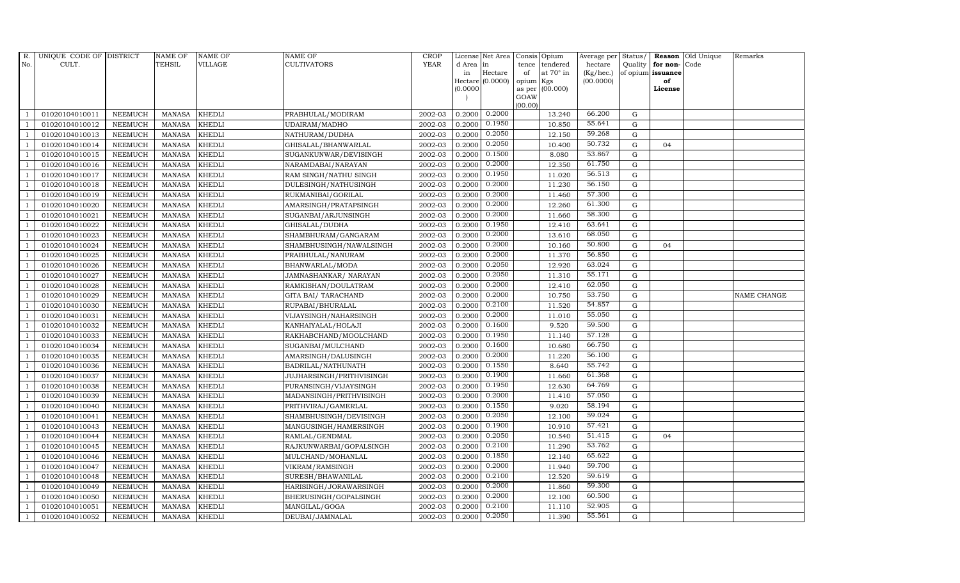| R.             | UNIQUE CODE OF DISTRICT |                | <b>NAME OF</b> | <b>NAME OF</b> | NAME OF                  | <b>CROP</b> |           | License Net Area |                 | Consis Opium     | Average per | Status/     |                   | Reason Old Unique | Remarks     |
|----------------|-------------------------|----------------|----------------|----------------|--------------------------|-------------|-----------|------------------|-----------------|------------------|-------------|-------------|-------------------|-------------------|-------------|
| No.            | CULT.                   |                | <b>TEHSIL</b>  | VILLAGE        | CULTIVATORS              | <b>YEAR</b> | d Area in |                  | tence           | tendered         | hectare     | Quality     | for non-Code      |                   |             |
|                |                         |                |                |                |                          |             | in        | Hectare          | of              | at $70^\circ$ in | (Kg/hec.)   |             | of opium issuance |                   |             |
|                |                         |                |                |                |                          |             | (0.0000)  | Hectare (0.0000) | opium<br>as per | Kgs<br>(00.000)  | (00.0000)   |             | of<br>License     |                   |             |
|                |                         |                |                |                |                          |             |           |                  | GOAW            |                  |             |             |                   |                   |             |
|                |                         |                |                |                |                          |             |           |                  | (00.00)         |                  |             |             |                   |                   |             |
|                | 01020104010011          | <b>NEEMUCH</b> | MANASA         | <b>KHEDLI</b>  | PRABHULAL/MODIRAM        | 2002-03     | 0.2000    | 0.2000           |                 | 13.240           | 66.200      | G           |                   |                   |             |
| -1             | 01020104010012          | <b>NEEMUCH</b> | <b>MANASA</b>  | <b>KHEDLI</b>  | UDAIRAM/MADHO            | 2002-03     | 0.2000    | 0.1950           |                 | 10.850           | 55.641      | $\mathbf G$ |                   |                   |             |
|                | 01020104010013          | <b>NEEMUCH</b> | <b>MANASA</b>  | <b>KHEDLI</b>  | NATHURAM/DUDHA           | 2002-03     | 0.2000    | 0.2050           |                 | 12.150           | 59.268      | G           |                   |                   |             |
|                | 01020104010014          | <b>NEEMUCH</b> | <b>MANASA</b>  | <b>KHEDLI</b>  | GHISALAL/BHANWARLAL      | 2002-03     | 0.2000    | 0.2050           |                 | 10.400           | 50.732      | $\mathbf G$ | 04                |                   |             |
| $\overline{1}$ | 01020104010015          | <b>NEEMUCH</b> | <b>MANASA</b>  | <b>KHEDLI</b>  | SUGANKUNWAR/DEVISINGH    | 2002-03     | 0.2000    | 0.1500           |                 | 8.080            | 53.867      | $\mathbf G$ |                   |                   |             |
|                | 01020104010016          | <b>NEEMUCH</b> | <b>MANASA</b>  | <b>KHEDLI</b>  | NARAMDABAI/NARAYAN       | 2002-03     | 0.2000    | 0.2000           |                 | 12.350           | 61.750      | G           |                   |                   |             |
| $\overline{1}$ | 01020104010017          | <b>NEEMUCH</b> | <b>MANASA</b>  | <b>KHEDLI</b>  | RAM SINGH/NATHU SINGH    | 2002-03     | 0.2000    | 0.1950           |                 | 11.020           | 56.513      | $\mathbf G$ |                   |                   |             |
| $\overline{1}$ | 01020104010018          | <b>NEEMUCH</b> | <b>MANASA</b>  | <b>KHEDLI</b>  | DULESINGH/NATHUSINGH     | 2002-03     | 0.2000    | 0.2000           |                 | 11.230           | 56.150      | $\mathbf G$ |                   |                   |             |
|                | 01020104010019          | <b>NEEMUCH</b> | <b>MANASA</b>  | <b>KHEDLI</b>  | RUKMANIBAI/GORILAL       | 2002-03     | 0.2000    | 0.2000           |                 | 11.460           | 57.300      | G           |                   |                   |             |
| $\overline{1}$ | 01020104010020          | <b>NEEMUCH</b> | <b>MANASA</b>  | <b>KHEDLI</b>  | AMARSINGH/PRATAPSINGH    | 2002-03     | 0.2000    | 0.2000           |                 | 12.260           | 61.300      | $\mathbf G$ |                   |                   |             |
| -1             | 01020104010021          | <b>NEEMUCH</b> | <b>MANASA</b>  | <b>KHEDLI</b>  | SUGANBAI/ARJUNSINGH      | 2002-03     | 0.2000    | 0.2000           |                 | 11.660           | 58.300      | ${\rm G}$   |                   |                   |             |
| $\overline{1}$ | 01020104010022          | <b>NEEMUCH</b> | <b>MANASA</b>  | <b>KHEDLI</b>  | GHISALAL/DUDHA           | 2002-03     | 0.2000    | 0.1950           |                 | 12.410           | 63.641      | $\mathbf G$ |                   |                   |             |
| $\overline{1}$ | 01020104010023          | <b>NEEMUCH</b> | <b>MANASA</b>  | <b>KHEDLI</b>  | SHAMBHURAM/GANGARAM      | 2002-03     | 0.2000    | 0.2000           |                 | 13.610           | 68.050      | $\mathbf G$ |                   |                   |             |
|                | 01020104010024          | <b>NEEMUCH</b> | <b>MANASA</b>  | <b>KHEDLI</b>  | SHAMBHUSINGH/NAWALSINGH  | 2002-03     | 0.2000    | 0.2000           |                 | 10.160           | 50.800      | G           | 04                |                   |             |
|                | 01020104010025          | <b>NEEMUCH</b> | <b>MANASA</b>  | <b>KHEDLI</b>  | PRABHULAL/NANURAM        | 2002-03     | 0.2000    | 0.2000           |                 | 11.370           | 56.850      | $\mathbf G$ |                   |                   |             |
| $\overline{1}$ | 01020104010026          | <b>NEEMUCH</b> | <b>MANASA</b>  | <b>KHEDLI</b>  | BHANWARLAL/MODA          | 2002-03     | 0.2000    | 0.2050           |                 | 12.920           | 63.024      | ${\rm G}$   |                   |                   |             |
| $\overline{1}$ | 01020104010027          | <b>NEEMUCH</b> | <b>MANASA</b>  | <b>KHEDLI</b>  | JAMNASHANKAR/ NARAYAN    | 2002-03     | 0.2000    | 0.2050           |                 | 11.310           | 55.171      | G           |                   |                   |             |
| $\overline{1}$ | 01020104010028          | <b>NEEMUCH</b> | <b>MANASA</b>  | <b>KHEDLI</b>  | RAMKISHAN/DOULATRAM      | 2002-03     | 0.2000    | 0.2000           |                 | 12.410           | 62.050      | $\mathbf G$ |                   |                   |             |
|                | 01020104010029          | <b>NEEMUCH</b> | <b>MANASA</b>  | <b>KHEDLI</b>  | GITA BAI / TARACHAND     | 2002-03     | 0.2000    | 0.2000           |                 | 10.750           | 53.750      | $\mathbf G$ |                   |                   | NAME CHANGE |
|                | 01020104010030          | <b>NEEMUCH</b> | <b>MANASA</b>  | <b>KHEDLI</b>  | RUPABAI/BHURALAL         | 2002-03     | 0.2000    | 0.2100           |                 | 11.520           | 54.857      | $\mathbf G$ |                   |                   |             |
| $\overline{1}$ | 01020104010031          | <b>NEEMUCH</b> | <b>MANASA</b>  | <b>KHEDLI</b>  | VIJAYSINGH/NAHARSINGH    | 2002-03     | 0.2000    | 0.2000           |                 | 11.010           | 55.050      | ${\rm G}$   |                   |                   |             |
| $\overline{1}$ | 01020104010032          | <b>NEEMUCH</b> | <b>MANASA</b>  | <b>KHEDLI</b>  | KANHAIYALAL/HOLAJI       | 2002-03     | 0.2000    | 0.1600           |                 | 9.520            | 59.500      | G           |                   |                   |             |
| $\overline{1}$ | 01020104010033          | <b>NEEMUCH</b> | <b>MANASA</b>  | <b>KHEDLI</b>  | RAKHABCHAND/MOOLCHAND    | 2002-03     | 0.2000    | 0.1950           |                 | 11.140           | 57.128      | G           |                   |                   |             |
|                | 01020104010034          | <b>NEEMUCH</b> | <b>MANASA</b>  | <b>KHEDLI</b>  | SUGANBAI/MULCHAND        | 2002-03     | 0.2000    | 0.1600           |                 | 10.680           | 66.750      | $\mathbf G$ |                   |                   |             |
|                | 01020104010035          | <b>NEEMUCH</b> | <b>MANASA</b>  | <b>KHEDLI</b>  | AMARSINGH/DALUSINGH      | 2002-03     | 0.2000    | 0.2000           |                 | 11.220           | 56.100      | G           |                   |                   |             |
| -1             | 01020104010036          | <b>NEEMUCH</b> | <b>MANASA</b>  | <b>KHEDLI</b>  | BADRILAL/NATHUNATH       | 2002-03     | 0.2000    | 0.1550           |                 | 8.640            | 55.742      | G           |                   |                   |             |
|                | 01020104010037          | <b>NEEMUCH</b> | <b>MANASA</b>  | <b>KHEDLI</b>  | JUJHARSINGH/PRITHVISINGH | 2002-03     | 0.2000    | 0.1900           |                 | 11.660           | 61.368      | ${\rm G}$   |                   |                   |             |
| $\overline{1}$ | 01020104010038          | <b>NEEMUCH</b> | <b>MANASA</b>  | <b>KHEDLI</b>  | PURANSINGH/VIJAYSINGH    | 2002-03     | 0.2000    | 0.1950           |                 | 12.630           | 64.769      | $\mathbf G$ |                   |                   |             |
|                | 01020104010039          | <b>NEEMUCH</b> | <b>MANASA</b>  | <b>KHEDLI</b>  | MADANSINGH/PRITHVISINGH  | 2002-03     | 0.2000    | 0.2000           |                 | 11.410           | 57.050      | $\mathbf G$ |                   |                   |             |
|                | 01020104010040          | <b>NEEMUCH</b> | <b>MANASA</b>  | <b>KHEDLI</b>  | PRITHVIRAJ/GAMERLAL      | 2002-03     | 0.2000    | 0.1550           |                 | 9.020            | 58.194      | $\mathbf G$ |                   |                   |             |
| $\overline{1}$ | 01020104010041          | <b>NEEMUCH</b> | <b>MANASA</b>  | <b>KHEDLI</b>  | SHAMBHUSINGH/DEVISINGH   | 2002-03     | 0.2000    | 0.2050           |                 | 12.100           | 59.024      | G           |                   |                   |             |
|                | 01020104010043          | <b>NEEMUCH</b> | <b>MANASA</b>  | <b>KHEDLI</b>  | MANGUSINGH/HAMERSINGH    | 2002-03     | 0.2000    | 0.1900           |                 | 10.910           | 57.421      | $\mathbf G$ |                   |                   |             |
| $\overline{1}$ | 01020104010044          | <b>NEEMUCH</b> | <b>MANASA</b>  | <b>KHEDLI</b>  | RAMLAL/GENDMAL           | 2002-03     | 0.2000    | 0.2050           |                 | 10.540           | 51.415      | $\mathbf G$ | 04                |                   |             |
| $\overline{1}$ | 01020104010045          | <b>NEEMUCH</b> | <b>MANASA</b>  | <b>KHEDLI</b>  | RAJKUNWARBAI/GOPALSINGH  | 2002-03     | 0.2000    | 0.2100           |                 | 11.290           | 53.762      | $\mathbf G$ |                   |                   |             |
|                | 01020104010046          | <b>NEEMUCH</b> | <b>MANASA</b>  | <b>KHEDLI</b>  | MULCHAND/MOHANLAL        | 2002-03     | 0.2000    | 0.1850           |                 | 12.140           | 65.622      | $\mathbf G$ |                   |                   |             |
| $\overline{1}$ | 01020104010047          | <b>NEEMUCH</b> | <b>MANASA</b>  | KHEDLI         | VIKRAM/RAMSINGH          | 2002-03     | 0.2000    | 0.2000           |                 | 11.940           | 59.700      | $\mathbf G$ |                   |                   |             |
|                | 01020104010048          | <b>NEEMUCH</b> | <b>MANASA</b>  | <b>KHEDLI</b>  | SURESH/BHAWANILAL        | 2002-03     | 0.2000    | 0.2100           |                 | 12.520           | 59.619      | ${\rm G}$   |                   |                   |             |
| $\overline{1}$ | 01020104010049          | <b>NEEMUCH</b> | <b>MANASA</b>  | <b>KHEDLI</b>  | HARISINGH/JORAWARSINGH   | 2002-03     | 0.2000    | 0.2000           |                 | 11.860           | 59.300      | G           |                   |                   |             |
| $\overline{1}$ | 01020104010050          | <b>NEEMUCH</b> | <b>MANASA</b>  | <b>KHEDLI</b>  | BHERUSINGH/GOPALSINGH    | 2002-03     | 0.2000    | 0.2000           |                 | 12.100           | 60.500      | $\mathbf G$ |                   |                   |             |
|                | 01020104010051          | <b>NEEMUCH</b> | <b>MANASA</b>  | <b>KHEDLI</b>  | MANGILAL/GOGA            | 2002-03     | 0.2000    | 0.2100           |                 | 11.110           | 52.905      | $\mathbf G$ |                   |                   |             |
| $\mathbf{1}$   | 01020104010052          | <b>NEEMUCH</b> | MANASA         | <b>KHEDLI</b>  | DEUBAI/JAMNALAL          | 2002-03     | 0.2000    | 0.2050           |                 | 11.390           | 55.561      | G           |                   |                   |             |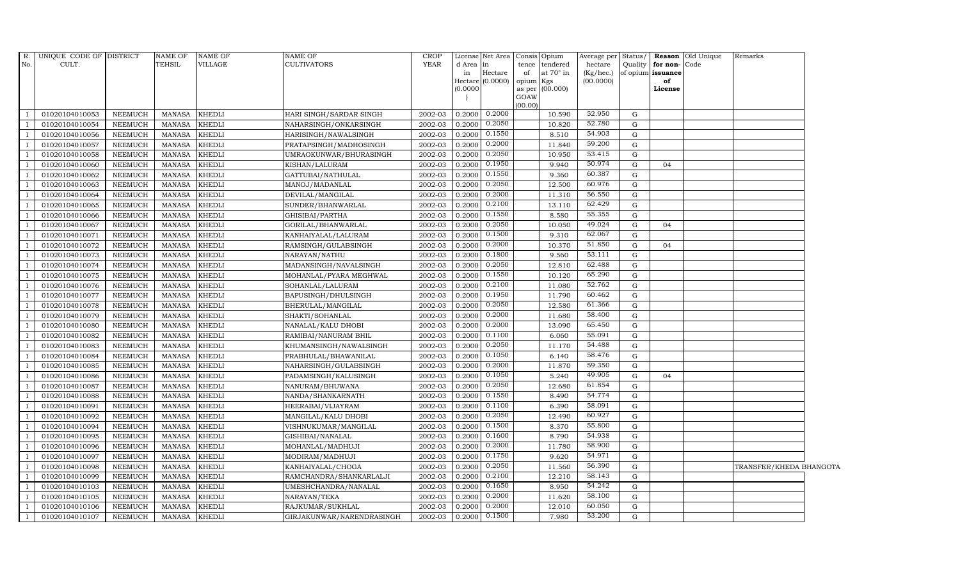| $R_{\cdot}$    | UNIQUE CODE OF DISTRICT |                | NAME OF       | <b>NAME OF</b> | NAME OF                   | <b>CROP</b> |           | License Net Area Consis Opium |                 |                  | Average per            | Status/     |                         | Reason Old Unique | Remarks                 |  |
|----------------|-------------------------|----------------|---------------|----------------|---------------------------|-------------|-----------|-------------------------------|-----------------|------------------|------------------------|-------------|-------------------------|-------------------|-------------------------|--|
| No.            | CULT.                   |                | <b>TEHSIL</b> | <b>VILLAGE</b> | CULTIVATORS               | <b>YEAR</b> | d Area in |                               |                 | tence tendered   | hectare                | Quality     | for non-                | Code              |                         |  |
|                |                         |                |               |                |                           |             | in        | Hectare<br>Hectare $(0.0000)$ | of<br>opium Kgs | at $70^\circ$ in | (Kg/hec.)<br>(00.0000) |             | of opium issuance<br>of |                   |                         |  |
|                |                         |                |               |                |                           |             | (0.0000)  |                               |                 | as per (00.000)  |                        |             | License                 |                   |                         |  |
|                |                         |                |               |                |                           |             |           |                               | GOAW            |                  |                        |             |                         |                   |                         |  |
| $\overline{1}$ | 01020104010053          | <b>NEEMUCH</b> | MANASA        | <b>KHEDLI</b>  | HARI SINGH/SARDAR SINGH   | 2002-03     | 0.2000    | 0.2000                        | (00.00)         | 10.590           | 52.950                 | G           |                         |                   |                         |  |
| <sup>1</sup>   | 01020104010054          | <b>NEEMUCH</b> | <b>MANASA</b> | <b>KHEDLI</b>  | NAHARSINGH/ONKARSINGH     | 2002-03     | 0.2000    | 0.2050                        |                 | 10.820           | 52.780                 | G           |                         |                   |                         |  |
|                | 01020104010056          | <b>NEEMUCH</b> | <b>MANASA</b> | <b>KHEDLI</b>  | HARISINGH/NAWALSINGH      | 2002-03     | 0.2000    | 0.1550                        |                 | 8.510            | 54.903                 | G           |                         |                   |                         |  |
| -1             | 01020104010057          | <b>NEEMUCH</b> | <b>MANASA</b> | <b>KHEDLI</b>  | PRATAPSINGH/MADHOSINGH    | 2002-03     | 0.2000    | 0.2000                        |                 | 11.840           | 59.200                 | $\mathbf G$ |                         |                   |                         |  |
| <sup>1</sup>   | 01020104010058          | <b>NEEMUCH</b> | <b>MANASA</b> | <b>KHEDLI</b>  | UMRAOKUNWAR/BHURASINGH    | 2002-03     | 0.2000    | 0.2050                        |                 | 10.950           | 53.415                 | G           |                         |                   |                         |  |
| $\overline{1}$ | 01020104010060          | <b>NEEMUCH</b> | MANASA        | <b>KHEDLI</b>  | KISHAN/LALURAM            | 2002-03     | 0.2000    | 0.1950                        |                 | 9.940            | 50.974                 | G           | 04                      |                   |                         |  |
| - 1            | 01020104010062          | <b>NEEMUCH</b> | <b>MANASA</b> | <b>KHEDLI</b>  | GATTUBAI/NATHULAL         | 2002-03     | 0.2000    | 0.1550                        |                 | 9.360            | 60.387                 | ${\bf G}$   |                         |                   |                         |  |
| $\overline{1}$ | 01020104010063          | <b>NEEMUCH</b> | <b>MANASA</b> | <b>KHEDLI</b>  | MANOJ/MADANLAL            | 2002-03     | 0.2000    | 0.2050                        |                 | 12.500           | 60.976                 | G           |                         |                   |                         |  |
|                | 01020104010064          | <b>NEEMUCH</b> | <b>MANASA</b> | <b>KHEDLI</b>  | DEVILAL/MANGILAL          | 2002-03     | 0.2000    | 0.2000                        |                 | 11.310           | 56.550                 | G           |                         |                   |                         |  |
| <sup>1</sup>   | 01020104010065          | <b>NEEMUCH</b> | <b>MANASA</b> | <b>KHEDLI</b>  | SUNDER/BHANWARLAL         | 2002-03     | 0.2000    | 0.2100                        |                 | 13.110           | 62.429                 | ${\rm G}$   |                         |                   |                         |  |
| <sup>1</sup>   | 01020104010066          | NEEMUCH        | MANASA        | <b>KHEDLI</b>  | GHISIBAI/PARTHA           | 2002-03     | 0.2000    | 0.1550                        |                 | 8.580            | 55.355                 | ${\rm G}$   |                         |                   |                         |  |
| $\overline{1}$ | 01020104010067          | <b>NEEMUCH</b> | <b>MANASA</b> | <b>KHEDLI</b>  | GORILAL/BHANWARLAL        | 2002-03     | 0.2000    | 0.2050                        |                 | 10.050           | 49.024                 | G           | 04                      |                   |                         |  |
| <sup>1</sup>   | 01020104010071          | <b>NEEMUCH</b> | <b>MANASA</b> | <b>KHEDLI</b>  | KANHAIYALAL/LALURAM       | 2002-03     | 0.2000    | 0.1500                        |                 | 9.310            | 62.067                 | G           |                         |                   |                         |  |
| -1             | 01020104010072          | <b>NEEMUCH</b> | <b>MANASA</b> | <b>KHEDLI</b>  | RAMSINGH/GULABSINGH       | 2002-03     | 0.2000    | 0.2000                        |                 | 10.370           | 51.850                 | G           | 04                      |                   |                         |  |
| - 1            | 01020104010073          | <b>NEEMUCH</b> | <b>MANASA</b> | <b>KHEDLI</b>  | NARAYAN/NATHU             | 2002-03     | 0.2000    | 0.1800                        |                 | 9.560            | 53.111                 | G           |                         |                   |                         |  |
| $\overline{1}$ | 01020104010074          | <b>NEEMUCH</b> | <b>MANASA</b> | <b>KHEDLI</b>  | MADANSINGH/NAVALSINGH     | 2002-03     | 0.2000    | 0.2050                        |                 | 12.810           | 62.488                 | ${\rm G}$   |                         |                   |                         |  |
| -1             | 01020104010075          | <b>NEEMUCH</b> | <b>MANASA</b> | <b>KHEDLI</b>  | MOHANLAL/PYARA MEGHWAL    | 2002-03     | 0.2000    | 0.1550                        |                 | 10.120           | 65.290                 | G           |                         |                   |                         |  |
| <sup>1</sup>   | 01020104010076          | <b>NEEMUCH</b> | <b>MANASA</b> | <b>KHEDLI</b>  | SOHANLAL/LALURAM          | 2002-03     | 0.2000    | 0.2100                        |                 | 11.080           | 52.762                 | G           |                         |                   |                         |  |
|                | 01020104010077          | <b>NEEMUCH</b> | <b>MANASA</b> | <b>KHEDLI</b>  | BAPUSINGH/DHULSINGH       | 2002-03     | 0.2000    | 0.1950                        |                 | 11.790           | 60.462                 | G           |                         |                   |                         |  |
| <sup>1</sup>   | 01020104010078          | <b>NEEMUCH</b> | <b>MANASA</b> | <b>KHEDLI</b>  | BHERULAL/MANGILAL         | 2002-03     | 0.2000    | 0.2050                        |                 | 12.580           | 61.366                 | G           |                         |                   |                         |  |
| -1             | 01020104010079          | <b>NEEMUCH</b> | <b>MANASA</b> | <b>KHEDLI</b>  | SHAKTI/SOHANLAL           | 2002-03     | 0.2000    | 0.2000                        |                 | 11.680           | 58.400                 | ${\rm G}$   |                         |                   |                         |  |
| <sup>1</sup>   | 01020104010080          | <b>NEEMUCH</b> | <b>MANASA</b> | <b>KHEDLI</b>  | NANALAL/KALU DHOBI        | 2002-03     | 0.2000    | 0.2000                        |                 | 13.090           | 65.450                 | G           |                         |                   |                         |  |
| <sup>1</sup>   | 01020104010082          | <b>NEEMUCH</b> | <b>MANASA</b> | <b>KHEDLI</b>  | RAMIBAI/NANURAM BHIL      | 2002-03     | 0.2000    | 0.1100                        |                 | 6.060            | 55.091                 | G           |                         |                   |                         |  |
| $\overline{1}$ | 01020104010083          | <b>NEEMUCH</b> | <b>MANASA</b> | <b>KHEDLI</b>  | KHUMANSINGH/NAWALSINGH    | 2002-03     | 0.2000    | 0.2050                        |                 | 11.170           | 54.488                 | ${\bf G}$   |                         |                   |                         |  |
| $\overline{1}$ | 01020104010084          | <b>NEEMUCH</b> | <b>MANASA</b> | <b>KHEDLI</b>  | PRABHULAL/BHAWANILAL      | 2002-03     | 0.2000    | 0.1050                        |                 | 6.140            | 58.476                 | G           |                         |                   |                         |  |
| -1             | 01020104010085          | <b>NEEMUCH</b> | <b>MANASA</b> | <b>KHEDLI</b>  | NAHARSINGH/GULABSINGH     | 2002-03     | 0.2000    | 0.2000                        |                 | 11.870           | 59.350                 | G           |                         |                   |                         |  |
| -1             | 01020104010086          | <b>NEEMUCH</b> | <b>MANASA</b> | <b>KHEDLI</b>  | PADAMSINGH/KALUSINGH      | 2002-03     | 0.2000    | 0.1050                        |                 | 5.240            | 49.905                 | G           | 04                      |                   |                         |  |
| <sup>1</sup>   | 01020104010087          | <b>NEEMUCH</b> | <b>MANASA</b> | <b>KHEDLI</b>  | NANURAM/BHUWANA           | 2002-03     | 0.2000    | 0.2050                        |                 | 12.680           | 61.854                 | G           |                         |                   |                         |  |
| $\overline{1}$ | 01020104010088          | <b>NEEMUCH</b> | <b>MANASA</b> | <b>KHEDLI</b>  | NANDA/SHANKARNATH         | 2002-03     | 0.2000    | 0.1550                        |                 | 8.490            | 54.774                 | ${\bf G}$   |                         |                   |                         |  |
|                | 01020104010091          | <b>NEEMUCH</b> | <b>MANASA</b> | <b>KHEDLI</b>  | HEERABAI/VIJAYRAM         | 2002-03     | 0.2000    | 0.1100                        |                 | 6.390            | 58.091                 | G           |                         |                   |                         |  |
| - 1            | 01020104010092          | <b>NEEMUCH</b> | <b>MANASA</b> | <b>KHEDLI</b>  | MANGILAL/KALU DHOBI       | 2002-03     | 0.2000    | 0.2050                        |                 | 12.490           | 60.927                 | G           |                         |                   |                         |  |
| -1             | 01020104010094          | <b>NEEMUCH</b> | <b>MANASA</b> | <b>KHEDLI</b>  | VISHNUKUMAR/MANGILAL      | 2002-03     | 0.2000    | 0.1500                        |                 | 8.370            | 55.800                 | ${\bf G}$   |                         |                   |                         |  |
| $\overline{1}$ | 01020104010095          | <b>NEEMUCH</b> | <b>MANASA</b> | <b>KHEDLI</b>  | GISHIBAI/NANALAL          | 2002-03     | 0.2000    | 0.1600                        |                 | 8.790            | 54.938                 | ${\rm G}$   |                         |                   |                         |  |
| $\overline{1}$ | 01020104010096          | <b>NEEMUCH</b> | <b>MANASA</b> | <b>KHEDLI</b>  | MOHANLAL/MADHUJI          | 2002-03     | 0.2000    | 0.2000                        |                 | 11.780           | 58.900                 | ${\rm G}$   |                         |                   |                         |  |
|                | 01020104010097          | <b>NEEMUCH</b> | <b>MANASA</b> | <b>KHEDLI</b>  | MODIRAM/MADHUJI           | 2002-03     | 0.2000    | 0.1750                        |                 | 9.620            | 54.971                 | G           |                         |                   |                         |  |
| - 1            | 01020104010098          | <b>NEEMUCH</b> | <b>MANASA</b> | <b>KHEDLI</b>  | KANHAIYALAL/CHOGA         | 2002-03     | 0.2000    | 0.2050                        |                 | 11.560           | 56.390                 | ${\rm G}$   |                         |                   | TRANSFER/KHEDA BHANGOTA |  |
| -1             | 01020104010099          | NEEMUCH        | <b>MANASA</b> | <b>KHEDLI</b>  | RAMCHANDRA/SHANKARLALJI   | 2002-03     | 0.2000    | 0.2100                        |                 | 12.210           | 58.143                 | G           |                         |                   |                         |  |
| <sup>1</sup>   | 01020104010103          | <b>NEEMUCH</b> | <b>MANASA</b> | <b>KHEDLI</b>  | UMESHCHANDRA/NANALAL      | 2002-03     | 0.2000    | 0.1650                        |                 | 8.950            | 54.242                 | ${\bf G}$   |                         |                   |                         |  |
| <sup>1</sup>   | 01020104010105          | <b>NEEMUCH</b> | <b>MANASA</b> | <b>KHEDLI</b>  | NARAYAN/TEKA              | 2002-03     | 0.2000    | 0.2000                        |                 | 11.620           | 58.100                 | ${\bf G}$   |                         |                   |                         |  |
|                | 01020104010106          | <b>NEEMUCH</b> | <b>MANASA</b> | <b>KHEDLI</b>  | RAJKUMAR/SUKHLAL          | 2002-03     | 0.2000    | 0.2000                        |                 | 12.010           | 60.050                 | G           |                         |                   |                         |  |
| $\mathbf{1}$   | 01020104010107          | <b>NEEMUCH</b> | <b>MANASA</b> | <b>KHEDLI</b>  | GIRJAKUNWAR/NARENDRASINGH | 2002-03     | 0.2000    | 0.1500                        |                 | 7.980            | 53.200                 | G           |                         |                   |                         |  |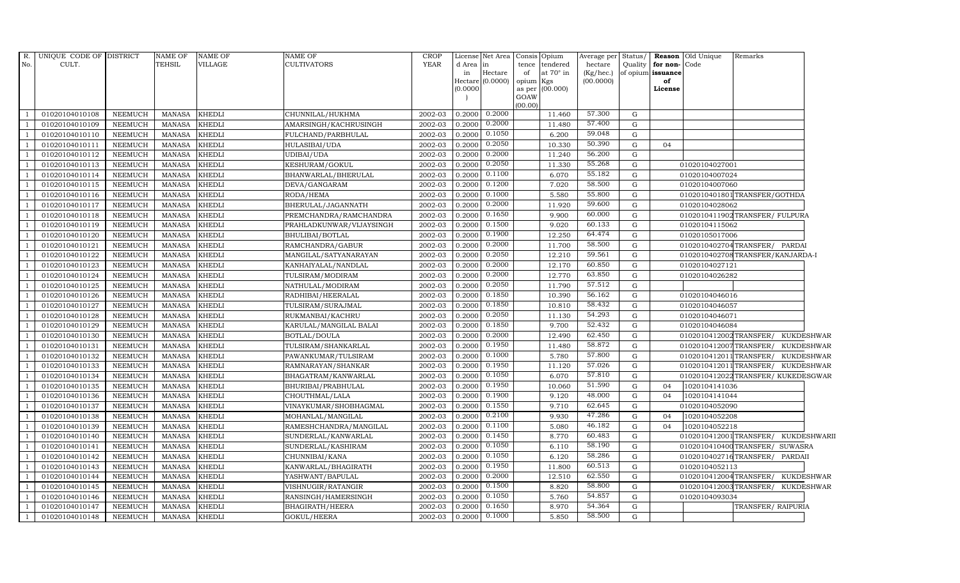| R.           | UNIQUE CODE OF DISTRICT |                | NAME OF       | <b>NAME OF</b> | NAME OF                  | <b>CROP</b> |           | License Net Area Consis Opium |         |                        |           |              |                      | Average per Status/ <b>Reason</b> Old Unique | Remarks                            |                   |
|--------------|-------------------------|----------------|---------------|----------------|--------------------------|-------------|-----------|-------------------------------|---------|------------------------|-----------|--------------|----------------------|----------------------------------------------|------------------------------------|-------------------|
| No.          | CULT.                   |                | <b>TEHSIL</b> | <b>VILLAGE</b> | CULTIVATORS              | <b>YEAR</b> | d Area in |                               |         | tence tendered         | hectare   |              | Quality for non-Code |                                              |                                    |                   |
|              |                         |                |               |                |                          |             | in        | Hectare                       | of      | at $70^\circ$ in       | (Kg/hec.) |              | of opium issuance    |                                              |                                    |                   |
|              |                         |                |               |                |                          |             | (0.0000)  | Hectare (0.0000)              | opium   | Kgs<br>as per (00.000) | (00.0000) |              | of<br>License        |                                              |                                    |                   |
|              |                         |                |               |                |                          |             |           |                               | GOAW    |                        |           |              |                      |                                              |                                    |                   |
|              |                         |                |               |                |                          |             |           |                               | (00.00) |                        |           |              |                      |                                              |                                    |                   |
|              | 01020104010108          | <b>NEEMUCH</b> | MANASA        | <b>KHEDLI</b>  | CHUNNILAL/HUKHMA         | 2002-03     |           | $0.2000$ $0.2000$             |         | 11.460                 | 57.300    | G            |                      |                                              |                                    |                   |
|              | 01020104010109          | <b>NEEMUCH</b> | <b>MANASA</b> | <b>KHEDLI</b>  | AMARSINGH/KACHRUSINGH    | 2002-03     | 0.2000    | 0.2000                        |         | 11.480                 | 57.400    | G            |                      |                                              |                                    |                   |
|              | 01020104010110          | <b>NEEMUCH</b> | <b>MANASA</b> | <b>KHEDLI</b>  | FULCHAND/PARBHULAL       | 2002-03     | 0.2000    | 0.1050                        |         | 6.200                  | 59.048    | G            |                      |                                              |                                    |                   |
|              | 01020104010111          | <b>NEEMUCH</b> | <b>MANASA</b> | <b>KHEDLI</b>  | HULASIBAI/UDA            | 2002-03     | 0.2000    | 0.2050                        |         | 10.330                 | 50.390    | G            | 04                   |                                              |                                    |                   |
|              | 01020104010112          | <b>NEEMUCH</b> | <b>MANASA</b> | <b>KHEDLI</b>  | UDIBAI/UDA               | 2002-03     | 0.2000    | 0.2000                        |         | 11.240                 | 56.200    | G            |                      |                                              |                                    |                   |
|              | 01020104010113          | <b>NEEMUCH</b> | <b>MANASA</b> | <b>KHEDLI</b>  | KESHURAM/GOKUL           | 2002-03     | 0.2000    | 0.2050                        |         | 11.330                 | 55.268    | G            |                      | 01020104027001                               |                                    |                   |
|              | 01020104010114          | <b>NEEMUCH</b> | <b>MANASA</b> | <b>KHEDLI</b>  | BHANWARLAL/BHERULAL      | 2002-03     | 0.2000    | $0.1\overline{100}$           |         | 6.070                  | 55.182    | G            |                      | 01020104007024                               |                                    |                   |
|              | 01020104010115          | <b>NEEMUCH</b> | <b>MANASA</b> | <b>KHEDLI</b>  | DEVA/GANGARAM            | 2002-03     | 0.2000    | 0.1200                        |         | 7.020                  | 58.500    | G            |                      | 01020104007060                               |                                    |                   |
|              | 01020104010116          | <b>NEEMUCH</b> | <b>MANASA</b> | <b>KHEDLI</b>  | RODA/HEMA                | 2002-03     | 0.2000    | 0.1000                        |         | 5.580                  | 55.800    | G            |                      |                                              | 0102010401801TRANSFER/GOTHDA       |                   |
|              | 01020104010117          | <b>NEEMUCH</b> | <b>MANASA</b> | <b>KHEDLI</b>  | BHERULAL/JAGANNATH       | 2002-03     | 0.2000    | 0.2000                        |         | 11.920                 | 59.600    | G            |                      | 01020104028062                               |                                    |                   |
|              | 01020104010118          | <b>NEEMUCH</b> | <b>MANASA</b> | <b>KHEDLI</b>  | PREMCHANDRA/RAMCHANDRA   | 2002-03     | 0.2000    | 0.1650                        |         | 9.900                  | 60.000    | G            |                      |                                              | 0102010411902 TRANSFER/ FULPURA    |                   |
|              | 01020104010119          | <b>NEEMUCH</b> | MANASA        | <b>KHEDLI</b>  | PRAHLADKUNWAR/VIJAYSINGH | 2002-03     | 0.2000    | 0.1500                        |         | 9.020                  | 60.133    | G            |                      | 01020104115062                               |                                    |                   |
|              | 01020104010120          | <b>NEEMUCH</b> | <b>MANASA</b> | <b>KHEDLI</b>  | BHULIBAI/BOTLAL          | 2002-03     | 0.2000    | 0.1900                        |         | 12.250                 | 64.474    | G            |                      | 01020105017006                               |                                    |                   |
|              | 01020104010121          | <b>NEEMUCH</b> | <b>MANASA</b> | <b>KHEDLI</b>  | RAMCHANDRA/GABUR         | 2002-03     | 0.2000    | 0.2000                        |         | 11.700                 | 58.500    | G            |                      |                                              | 0102010402704TRANSFER/ PARDAI      |                   |
|              | 01020104010122          | <b>NEEMUCH</b> | <b>MANASA</b> | <b>KHEDLI</b>  | MANGILAL/SATYANARAYAN    | 2002-03     | 0.2000    | 0.2050                        |         | 12.210                 | 59.561    | ${\rm G}$    |                      |                                              | 0102010402708TRANSFER/KANJARDA-I   |                   |
|              | 01020104010123          | <b>NEEMUCH</b> | <b>MANASA</b> | <b>KHEDLI</b>  | KANHAIYALAL/NANDLAL      | 2002-03     | 0.2000    | 0.2000                        |         | 12.170                 | 60.850    | G            |                      | 01020104027121                               |                                    |                   |
|              | 01020104010124          | <b>NEEMUCH</b> | MANASA        | <b>KHEDLI</b>  | TULSIRAM/MODIRAM         | 2002-03     | 0.2000    | 0.2000                        |         | 12.770                 | 63.850    | G            |                      | 01020104026282                               |                                    |                   |
|              | 01020104010125          | <b>NEEMUCH</b> | <b>MANASA</b> | <b>KHEDLI</b>  | NATHULAL/MODIRAM         | 2002-03     | 0.2000    | 0.2050                        |         | 11.790                 | 57.512    | ${\rm G}$    |                      |                                              |                                    |                   |
|              | 01020104010126          | <b>NEEMUCH</b> | <b>MANASA</b> | <b>KHEDLI</b>  | RADHIBAI/HEERALAL        | 2002-03     | 0.2000    | 0.1850                        |         | 10.390                 | 56.162    | G            |                      | 01020104046016                               |                                    |                   |
|              | 01020104010127          | <b>NEEMUCH</b> | <b>MANASA</b> | <b>KHEDLI</b>  | TULSIRAM/SURAJMAL        | 2002-03     | 0.2000    | 0.1850                        |         | 10.810                 | 58.432    | G            |                      | 01020104046057                               |                                    |                   |
|              | 01020104010128          | NEEMUCH        | <b>MANASA</b> | <b>KHEDLI</b>  | RUKMANBAI/KACHRU         | 2002-03     | 0.2000    | 0.2050                        |         | 11.130                 | 54.293    | G            |                      | 01020104046071                               |                                    |                   |
|              | 01020104010129          | <b>NEEMUCH</b> | MANASA        | <b>KHEDLI</b>  | KARULAL/MANGILAL BALAI   | 2002-03     | 0.2000    | 0.1850                        |         | 9.700                  | 52.432    | G            |                      | 01020104046084                               |                                    |                   |
|              | 01020104010130          | <b>NEEMUCH</b> | MANASA        | <b>KHEDLI</b>  | <b>BOTLAL/DOULA</b>      | 2002-03     | 0.2000    | 0.2000                        |         | 12.490                 | 62.450    | G            |                      | 0102010412002TRANSFER/                       |                                    | <b>KUKDESHWAR</b> |
|              | 01020104010131          | <b>NEEMUCH</b> | <b>MANASA</b> | <b>KHEDLI</b>  | TULSIRAM/SHANKARLAL      | 2002-03     | 0.2000    | 0.1950                        |         | 11.480                 | 58.872    | G            |                      | 0102010412007TRANSFER/                       |                                    | KUKDESHWAR        |
|              | 01020104010132          | <b>NEEMUCH</b> | <b>MANASA</b> | KHEDLI         | PAWANKUMAR/TULSIRAM      | 2002-03     | 0.2000    | 0.1000                        |         | 5.780                  | 57.800    | ${\rm G}$    |                      | 0102010412011TRANSFER/                       |                                    | <b>KUKDESHWAR</b> |
|              | 01020104010133          | <b>NEEMUCH</b> | MANASA        | <b>KHEDLI</b>  | RAMNARAYAN/SHANKAR       | 2002-03     | 0.2000    | 0.1950                        |         | 11.120                 | 57.026    | G            |                      |                                              | 0102010412011 TRANSFER/ KUKDESHWAR |                   |
|              | 01020104010134          | <b>NEEMUCH</b> | MANASA        | <b>KHEDLI</b>  | BHAGATRAM/KANWARLAL      | 2002-03     | 0.2000    | 0.1050                        |         | 6.070                  | 57.810    | G            |                      |                                              | 0102010412022TRANSFER/KUKEDESGWAR  |                   |
|              | 01020104010135          | <b>NEEMUCH</b> | MANASA        | <b>KHEDLI</b>  | BHURIBAI/PRABHULAL       | 2002-03     | 0.2000    | 0.1950                        |         | 10.060                 | 51.590    | G            | 04                   | 1020104141036                                |                                    |                   |
|              | 01020104010136          | <b>NEEMUCH</b> | <b>MANASA</b> | <b>KHEDLI</b>  | CHOUTHMAL/LALA           | 2002-03     | 0.2000    | 0.1900                        |         | 9.120                  | 48.000    | G            | 04                   | 1020104141044                                |                                    |                   |
|              | 01020104010137          | <b>NEEMUCH</b> | <b>MANASA</b> | <b>KHEDLI</b>  | VINAYKUMAR/SHOBHAGMAL    | 2002-03     | 0.2000    | 0.1550                        |         | 9.710                  | 62.645    | G            |                      | 01020104052090                               |                                    |                   |
|              | 01020104010138          | <b>NEEMUCH</b> | MANASA        | <b>KHEDLI</b>  | MOHANLAL/MANGILAL        | 2002-03     | 0.2000    | 0.2100                        |         | 9.930                  | 47.286    | G            | 04                   | 1020104052208                                |                                    |                   |
|              | 01020104010139          | <b>NEEMUCH</b> | <b>MANASA</b> | <b>KHEDLI</b>  | RAMESHCHANDRA/MANGILAL   | 2002-03     | 0.2000    | 0.1100                        |         | 5.080                  | 46.182    | G            | 04                   | 1020104052218                                |                                    |                   |
|              | 01020104010140          | <b>NEEMUCH</b> | MANASA        | <b>KHEDLI</b>  | SUNDERLAL/KANWARLAL      | 2002-03     | 0.2000    | 0.1450                        |         | 8.770                  | 60.483    | $\mathbf{G}$ |                      | 0102010412001TRANSFER/                       |                                    | KUKDESHWARII      |
| $\mathbf{1}$ | 01020104010141          | <b>NEEMUCH</b> | <b>MANASA</b> | <b>KHEDLI</b>  | SUNDERLAL/KASHIRAM       | 2002-03     | 0.2000    | 0.1050                        |         | 6.110                  | 58.190    | $\mathbf G$  |                      |                                              | 0102010410400TRANSFER/ SUWASRA     |                   |
|              | 01020104010142          | <b>NEEMUCH</b> | <b>MANASA</b> | <b>KHEDLI</b>  | CHUNNIBAI/KANA           | 2002-03     | 0.2000    | 0.1050                        |         | 6.120                  | 58.286    | G            |                      |                                              | 0102010402716TRANSFER/ PARDAII     |                   |
|              | 01020104010143          | <b>NEEMUCH</b> | <b>MANASA</b> | <b>KHEDLI</b>  | KANWARLAL/BHAGIRATH      | 2002-03     | 0.2000    | 0.1950                        |         | 11.800                 | 60.513    | G            |                      | 01020104052113                               |                                    |                   |
|              | 01020104010144          | <b>NEEMUCH</b> | <b>MANASA</b> | <b>KHEDLI</b>  | YASHWANT/BAPULAL         | 2002-03     | 0.2000    | 0.2000                        |         | 12.510                 | 62.550    | G            |                      |                                              | 0102010412004TRANSFER/ KUKDESHWAR  |                   |
|              | 01020104010145          | <b>NEEMUCH</b> | MANASA        | <b>KHEDLI</b>  | VISHNUGIR/RATANGIR       | 2002-03     | 0.2000    | 0.1500                        |         | 8.820                  | 58.800    | G            |                      |                                              | 0102010412003TRANSFER/ KUKDESHWAR  |                   |
|              | 01020104010146          | <b>NEEMUCH</b> | <b>MANASA</b> | <b>KHEDLI</b>  | RANSINGH/HAMERSINGH      | 2002-03     | 0.2000    | 0.1050                        |         | 5.760                  | 54.857    | G            |                      | 01020104093034                               |                                    |                   |
|              | 01020104010147          | <b>NEEMUCH</b> | <b>MANASA</b> | <b>KHEDLI</b>  | <b>BHAGIRATH/HEERA</b>   | 2002-03     | 0.2000    | 0.1650                        |         | 8.970                  | 54.364    | G            |                      |                                              | TRANSFER/ RAIPURIA                 |                   |
|              | 01020104010148          | <b>NEEMUCH</b> | MANASA        | <b>KHEDLI</b>  | GOKUL/HEERA              | 2002-03     |           | $0.2000$ $0.1000$             |         | 5.850                  | 58.500    | G            |                      |                                              |                                    |                   |
|              |                         |                |               |                |                          |             |           |                               |         |                        |           |              |                      |                                              |                                    |                   |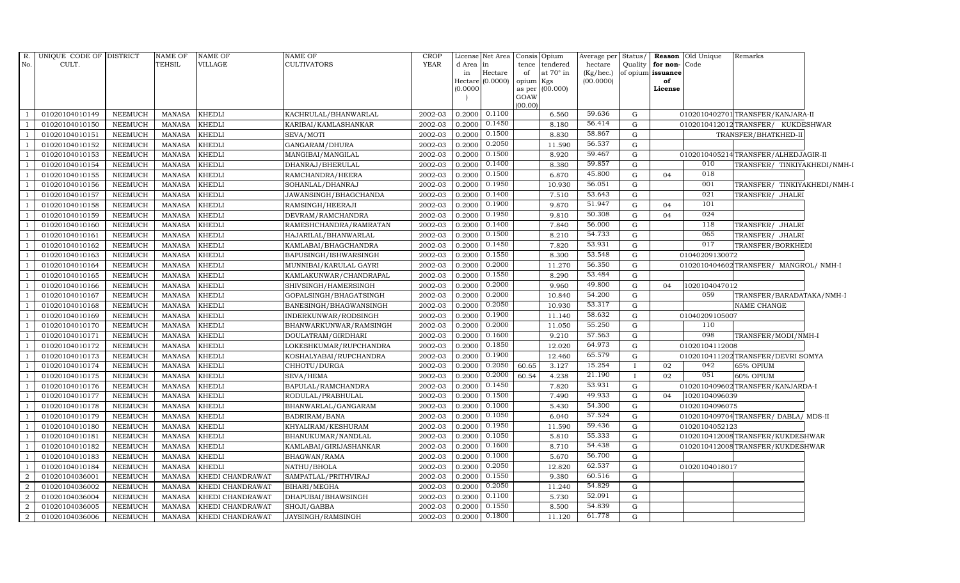| R.<br>No.                | UNIQUE CODE OF DISTRICT<br>CULT. |                | NAME OF<br>TEHSIL              | <b>NAME OF</b><br>VILLAGE | NAME OF<br><b>CULTIVATORS</b> | <b>CROP</b><br><b>YEAR</b> | License<br>d Area<br>in<br>Hectare<br>(0.0000) | Net Area<br>in<br>Hectare<br>(0.0000) | tence<br>of<br>opium<br>as per<br>GOAW<br>(00.00) | Consis Opium<br>tendered<br>at $70^\circ$ in<br>Kgs<br>(00.000) | Average per<br>hectare<br>(Kg/hec.)<br>(00.0000) | Status/      | Quality for non-Code<br>of opium issuance<br>of<br>License | <b>Reason</b> Old Unique | Remarks                               |  |
|--------------------------|----------------------------------|----------------|--------------------------------|---------------------------|-------------------------------|----------------------------|------------------------------------------------|---------------------------------------|---------------------------------------------------|-----------------------------------------------------------------|--------------------------------------------------|--------------|------------------------------------------------------------|--------------------------|---------------------------------------|--|
| $\overline{\phantom{0}}$ | 01020104010149                   | NEEMUCH        | MANASA                         | <b>KHEDLI</b>             | KACHRULAL/BHANWARLAL          | 2002-03                    | 0.2000                                         | 0.1100                                |                                                   | 6.560                                                           | 59.636                                           | G            |                                                            |                          | 0102010402701 TRANSFER/KANJARA-II     |  |
| $\overline{1}$           | 01020104010150                   | <b>NEEMUCH</b> | <b>MANASA</b>                  | <b>KHEDLI</b>             | KARIBAI/KAMLASHANKAR          | 2002-03                    | 0.2000                                         | 0.1450                                |                                                   | 8.180                                                           | 56.414                                           | G            |                                                            |                          | 0102010412012TRANSFER/ KUKDESHWAR     |  |
| $\overline{\phantom{0}}$ | 01020104010151                   | <b>NEEMUCH</b> | <b>MANASA</b>                  | <b>KHEDLI</b>             | SEVA/MOTI                     | 2002-03                    | 0.2000                                         | 0.1500                                |                                                   | 8.830                                                           | 58.867                                           | G            |                                                            |                          | TRANSFER/BHATKHED-II                  |  |
| $\overline{1}$           | 01020104010152                   | <b>NEEMUCH</b> | <b>MANASA</b>                  | <b>KHEDLI</b>             | GANGARAM/DHURA                | 2002-03                    | 0.2000                                         | 0.2050                                |                                                   | 11.590                                                          | 56.537                                           | ${\rm G}$    |                                                            |                          |                                       |  |
| $\overline{1}$           | 01020104010153                   | <b>NEEMUCH</b> | <b>MANASA</b>                  | <b>KHEDLI</b>             | MANGIBAI/MANGILAL             | 2002-03                    | 0.2000                                         | 0.1500                                |                                                   | 8.920                                                           | 59.467                                           | G            |                                                            |                          | 0102010405214TRANSFER/ALHEDJAGIR-II   |  |
| $\overline{1}$           | 01020104010154                   | <b>NEEMUCH</b> | <b>MANASA</b>                  | <b>KHEDLI</b>             | DHANRAJ/BHERULAL              | 2002-03                    | 0.2000                                         | 0.1400                                |                                                   | 8.380                                                           | 59.857                                           | G            |                                                            | 010                      | TRANSFER/ TINKIYAKHEDI/NMH-I          |  |
| $\overline{1}$           | 01020104010155                   | <b>NEEMUCH</b> | <b>MANASA</b>                  | <b>KHEDLI</b>             | RAMCHANDRA/HEERA              | 2002-03                    | 0.2000                                         | 0.1500                                |                                                   | 6.870                                                           | 45.800                                           | G            | 04                                                         | 018                      |                                       |  |
| $\overline{1}$           | 01020104010156                   | NEEMUCH        | <b>MANASA</b>                  | <b>KHEDLI</b>             | SOHANLAL/DHANRAJ              | 2002-03                    | 0.2000                                         | 0.1950                                |                                                   | 10.930                                                          | 56.051                                           | G            |                                                            | 001                      | TRANSFER/ TINKIYAKHEDI/NMH-I          |  |
|                          | 01020104010157                   | <b>NEEMUCH</b> | <b>MANASA</b>                  | <b>KHEDLI</b>             | JAWANSINGH/BHAGCHANDA         | 2002-03                    | 0.2000                                         | 0.1400                                |                                                   | 7.510                                                           | 53.643                                           | G            |                                                            | 021                      | TRANSFER/ JHALRI                      |  |
| $\overline{1}$           | 01020104010158                   | NEEMUCH        | <b>MANASA</b>                  | <b>KHEDLI</b>             | RAMSINGH/HEERAJI              | 2002-03                    | 0.2000                                         | 0.1900                                |                                                   | 9.870                                                           | 51.947                                           | $\mathbf G$  | 04                                                         | 101                      |                                       |  |
| $\overline{1}$           | 01020104010159                   | NEEMUCH        | <b>MANASA</b>                  | <b>KHEDLI</b>             | DEVRAM/RAMCHANDRA             | 2002-03                    | 0.2000                                         | 0.1950                                |                                                   | 9.810                                                           | 50.308                                           | G            | 04                                                         | 024                      |                                       |  |
| $\overline{1}$           | 01020104010160                   | <b>NEEMUCH</b> | MANASA                         | <b>KHEDLI</b>             | RAMESHCHANDRA/RAMRATAN        | 2002-03                    | 0.2000                                         | 0.1400                                |                                                   | 7.840                                                           | 56.000                                           | G            |                                                            | 118                      | TRANSFER/ JHALRI                      |  |
| $\overline{1}$           | 01020104010161                   | <b>NEEMUCH</b> | <b>MANASA</b>                  | <b>KHEDLI</b>             | HAJARILAL/BHANWARLAL          | 2002-03                    | 0.2000                                         | 0.1500                                |                                                   | 8.210                                                           | 54.733                                           | G            |                                                            | 065                      | TRANSFER/ JHALRI                      |  |
| $\overline{1}$           | 01020104010162                   | <b>NEEMUCH</b> | <b>MANASA</b>                  | <b>KHEDLI</b>             | KAMLABAI/BHAGCHANDRA          | 2002-03                    | 0.2000                                         | 0.1450                                |                                                   | 7.820                                                           | 53.931                                           | G            |                                                            | 017                      | TRANSFER/BORKHEDI                     |  |
| $\overline{1}$           | 01020104010163                   | <b>NEEMUCH</b> | <b>MANASA</b>                  | <b>KHEDLI</b>             | BAPUSINGH/ISHWARSINGH         | 2002-03                    | 0.2000                                         | 0.1550                                |                                                   | 8.300                                                           | 53.548                                           | G            |                                                            | 01040209130072           |                                       |  |
| $\overline{1}$           | 01020104010164                   | <b>NEEMUCH</b> | <b>MANASA</b>                  | <b>KHEDLI</b>             | MUNNIBAI/KARULAL GAYRI        | 2002-03                    | 0.2000                                         | 0.2000                                |                                                   | 11.270                                                          | 56.350                                           | G            |                                                            |                          | 0102010404602TRANSFER/ MANGROL/ NMH-I |  |
| $\overline{1}$           | 01020104010165                   | <b>NEEMUCH</b> | MANASA                         | <b>KHEDLI</b>             | KAMLAKUNWAR/CHANDRAPAL        | 2002-03                    | 0.2000                                         | 0.1550                                |                                                   | 8.290                                                           | 53.484                                           | G            |                                                            |                          |                                       |  |
| $\overline{1}$           | 01020104010166                   | <b>NEEMUCH</b> | <b>MANASA</b>                  | <b>KHEDLI</b>             | SHIVSINGH/HAMERSINGH          | 2002-03                    | 0.2000                                         | 0.2000                                |                                                   | 9.960                                                           | 49.800                                           | G            | 04                                                         | 1020104047012            |                                       |  |
| $\overline{1}$           | 01020104010167                   | <b>NEEMUCH</b> | <b>MANASA</b>                  | <b>KHEDL</b>              | GOPALSINGH/BHAGATSINGH        | 2002-03                    | 0.2000                                         | 0.2000                                |                                                   | 10.840                                                          | 54.200                                           | $\mathbf G$  |                                                            | 059                      | TRANSFER/BARADATAKA/NMH-I             |  |
| $\overline{1}$           | 01020104010168                   | <b>NEEMUCH</b> | <b>MANASA</b>                  | <b>KHEDLI</b>             | BANESINGH/BHAGWANSINGH        | 2002-03                    | 0.2000                                         | 0.2050                                |                                                   | 10.930                                                          | 53.317                                           | G            |                                                            |                          | NAME CHANGE                           |  |
| $\overline{1}$           | 01020104010169                   | <b>NEEMUCH</b> | <b>MANASA</b>                  | <b>KHEDLI</b>             | INDERKUNWAR/RODSINGH          | 2002-03                    | 0.2000                                         | 0.1900                                |                                                   | 11.140                                                          | 58.632                                           | G            |                                                            | 01040209105007           |                                       |  |
| $\overline{1}$           | 01020104010170                   | NEEMUCH        | <b>MANASA</b>                  | <b>KHEDLI</b>             | BHANWARKUNWAR/RAMSINGH        | 2002-03                    | 0.2000                                         | 0.2000                                |                                                   | 11.050                                                          | 55.250                                           | G            |                                                            | 110                      |                                       |  |
| $\overline{1}$           | 01020104010171                   | <b>NEEMUCH</b> | <b>MANASA</b>                  | <b>KHEDLI</b>             | DOULATRAM/GIRDHARI            | 2002-03                    | 0.2000                                         | 0.1600                                |                                                   | 9.210                                                           | 57.563                                           | G            |                                                            | 098                      | TRANSFER/MODI/NMH-I                   |  |
| $\overline{1}$           | 01020104010172                   | <b>NEEMUCH</b> | <b>MANASA</b>                  | <b>KHEDL</b>              | LOKESHKUMAR/RUPCHANDRA        | 2002-03                    | 0.2000                                         | 0.1850                                |                                                   | 12.020                                                          | 64.973                                           | $\mathbf G$  |                                                            | 01020104112008           |                                       |  |
| $\overline{1}$           | 01020104010173                   | <b>NEEMUCH</b> | <b>MANASA</b>                  | <b>KHEDLI</b>             | KOSHALYABAI/RUPCHANDRA        | 2002-03                    | 0.2000                                         | 0.1900                                |                                                   | 12.460                                                          | 65.579                                           | G            |                                                            |                          | 0102010411202TRANSFER/DEVRI SOMYA     |  |
| $\overline{1}$           | 01020104010174                   | <b>NEEMUCH</b> | <b>MANASA</b>                  | <b>KHEDLI</b>             | CHHOTU/DURGA                  | 2002-03                    | 0.2000                                         | 0.2050                                | 60.65                                             | 3.127                                                           | 15.254                                           | T            | 02                                                         | 042                      | 65% OPIUM                             |  |
| $\overline{1}$           | 01020104010175                   | <b>NEEMUCH</b> | <b>MANASA</b>                  | <b>KHEDLI</b>             | SEVA/HEMA                     | 2002-03                    | 0.2000                                         | 0.2000                                | 60.54                                             | 4.238                                                           | 21.190                                           | $\mathbf{I}$ | 02                                                         | 051                      | 60% OPIUM                             |  |
| $\overline{1}$           | 01020104010176                   | <b>NEEMUCH</b> | <b>MANASA</b>                  | <b>KHEDLI</b>             | BAPULAL/RAMCHANDRA            | 2002-03                    | 0.2000                                         | 0.1450                                |                                                   | 7.820                                                           | 53.931                                           | G            |                                                            |                          | 0102010409602TRANSFER/KANJARDA-I      |  |
| $\overline{1}$           | 01020104010177                   | <b>NEEMUCH</b> | <b>MANASA</b>                  | <b>KHEDLI</b>             | RODULAL/PRABHULAL             | 2002-03                    | 0.2000                                         | 0.1500                                |                                                   | 7.490                                                           | 49.933                                           | G            | 04                                                         | 1020104096039            |                                       |  |
| $\overline{1}$           | 01020104010178                   | NEEMUCH        | <b>MANASA</b>                  | <b>KHEDLI</b>             | BHANWARLAL/GANGARAM           | 2002-03                    | 0.2000                                         | 0.1000<br>0.1050                      |                                                   | 5.430                                                           | 54.300<br>57.524                                 | $\mathbf G$  |                                                            | 01020104096075           |                                       |  |
| $\overline{1}$           | 01020104010179                   | <b>NEEMUCH</b> | <b>MANASA</b>                  | <b>KHEDLI</b>             | BADRIRAM/BANA                 | 2002-03                    | 0.2000                                         | 0.1950                                |                                                   | 6.040                                                           | 59.436                                           | G            |                                                            |                          | 0102010409704 TRANSFER/ DABLA/ MDS-II |  |
| $\overline{\phantom{0}}$ | 01020104010180                   | <b>NEEMUCH</b> | <b>MANASA</b>                  | <b>KHEDLI</b>             | KHYALIRAM/KESHURAM            | 2002-03                    | 0.2000                                         | 0.1050                                |                                                   | 11.590                                                          | 55.333                                           | G            |                                                            | 01020104052123           |                                       |  |
| $\overline{1}$           | 01020104010181                   | NEEMUCH        | <b>MANASA</b>                  | <b>KHEDLI</b>             | BHANUKUMAR/NANDLAL            | 2002-03                    | 0.2000                                         | 0.1600                                |                                                   | 5.810                                                           | 54.438                                           | ${\rm G}$    |                                                            |                          | 0102010412008TRANSFER/KUKDESHWAR      |  |
| $\overline{1}$           | 01020104010182                   | <b>NEEMUCH</b> | <b>MANASA</b>                  | <b>KHEDLI</b>             | KAMLABAI/GIRIJASHANKAR        | 2002-03                    | 0.2000                                         |                                       |                                                   | 8.710                                                           |                                                  | $\mathbf G$  |                                                            |                          | 0102010412008TRANSFER/KUKDESHWAR      |  |
| $\overline{1}$           | 01020104010183                   | <b>NEEMUCH</b> | <b>MANASA</b>                  | <b>KHEDLI</b>             | BHAGWAN/RAMA                  | 2002-03                    | 0.2000                                         | 0.1000<br>0.2050                      |                                                   | 5.670                                                           | 56.700<br>62.537                                 | $\mathbf G$  |                                                            |                          |                                       |  |
| $\overline{1}$           | 01020104010184                   | <b>NEEMUCH</b> | MANASA                         | <b>KHEDLI</b>             | NATHU/BHOLA                   | 2002-03                    | 0.2000                                         | 0.1550                                |                                                   | 12.820                                                          | 60.516                                           | G            |                                                            | 01020104018017           |                                       |  |
| 2                        | 01020104036001                   | <b>NEEMUCH</b> | <b>MANASA</b>                  | KHEDI CHANDRAWAT          | SAMPATLAL/PRITHVIRAJ          | 2002-03                    | 0.2000                                         | 0.2050                                |                                                   | 9.380                                                           | 54.829                                           | G            |                                                            |                          |                                       |  |
| $\overline{2}$           | 01020104036002                   | <b>NEEMUCH</b> | <b>MANASA</b>                  | KHEDI CHANDRAWAT          | BIHARI/MEGHA                  | 2002-03                    | 0.2000                                         | 0.1100                                |                                                   | 11.240                                                          | 52.091                                           | G<br>G       |                                                            |                          |                                       |  |
| -2<br>$\overline{2}$     | 01020104036004                   | <b>NEEMUCH</b> | <b>MANASA</b><br><b>MANASA</b> | KHEDI CHANDRAWAT          | DHAPUBAI/BHAWSINGH            | 2002-03                    | 0.2000<br>0.2000                               | 0.1550                                |                                                   | 5.730<br>8.500                                                  | 54.839                                           | G            |                                                            |                          |                                       |  |
|                          | 01020104036005                   | <b>NEEMUCH</b> |                                | KHEDI CHANDRAWAT          | SHOJI/GABBA                   | 2002-03                    |                                                | 0.1800                                |                                                   |                                                                 | 61.778                                           |              |                                                            |                          |                                       |  |
| $\overline{2}$           | 01020104036006                   | <b>NEEMUCH</b> | <b>MANASA</b>                  | KHEDI CHANDRAWAT          | JAYSINGH/RAMSINGH             | 2002-03                    | 0.2000                                         |                                       |                                                   | 11.120                                                          |                                                  | G            |                                                            |                          |                                       |  |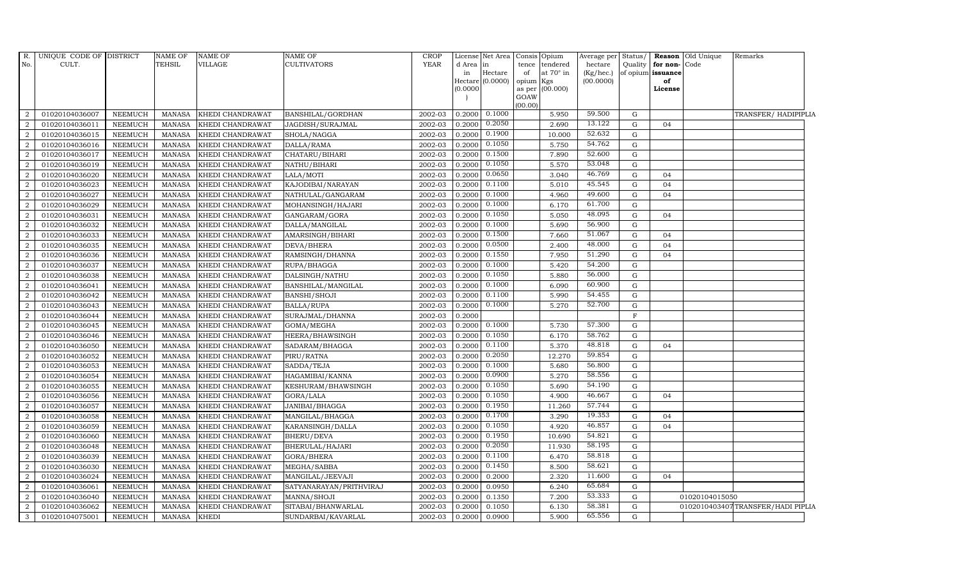| $R_{\cdot}$    | UNIQUE CODE OF DISTRICT |                | <b>NAME OF</b> | <b>NAME OF</b>   | <b>NAME OF</b>          | <b>CROP</b> | License  | Net Area                      | Consis Opium                           | Average per               | Status/     |                         | <b>Reason</b> Old Unique | Remarks                           |  |
|----------------|-------------------------|----------------|----------------|------------------|-------------------------|-------------|----------|-------------------------------|----------------------------------------|---------------------------|-------------|-------------------------|--------------------------|-----------------------------------|--|
| No.            | CULT.                   |                | <b>TEHSIL</b>  | <b>VILLAGE</b>   | CULTIVATORS             | <b>YEAR</b> | d Area   | in                            | tence<br>tendered                      | hectare                   | Quality     | for non-Code            |                          |                                   |  |
|                |                         |                |                |                  |                         |             | in       | Hectare<br>Hectare $(0.0000)$ | at $70^\circ$ in<br>of<br>opium<br>Kgs | $(Kg/$ hec.)<br>(00.0000) |             | of opium issuance<br>of |                          |                                   |  |
|                |                         |                |                |                  |                         |             | (0.0000) |                               | as per (00.000)                        |                           |             | License                 |                          |                                   |  |
|                |                         |                |                |                  |                         |             |          |                               | GOAW                                   |                           |             |                         |                          |                                   |  |
|                |                         |                |                |                  |                         |             |          |                               | (00.00)                                |                           |             |                         |                          |                                   |  |
| $\overline{2}$ | 01020104036007          | <b>NEEMUCH</b> | <b>MANASA</b>  | KHEDI CHANDRAWAT | BANSHILAL/GORDHAN       | 2002-03     | 0.2000   | 0.1000                        | 5.950                                  | 59.500                    | G           |                         |                          | TRANSFER/ HADIPIPLIA              |  |
| $\overline{2}$ | 01020104036011          | <b>NEEMUCH</b> | <b>MANASA</b>  | KHEDI CHANDRAWAT | JAGDISH/SURAJMAL        | 2002-03     | 0.2000   | 0.2050                        | 2.690                                  | 13.122                    | $\mathbf G$ | 04                      |                          |                                   |  |
| 2              | 01020104036015          | <b>NEEMUCH</b> | <b>MANASA</b>  | KHEDI CHANDRAWAT | SHOLA/NAGGA             | 2002-03     | 0.2000   | 0.1900                        | 10.000                                 | 52.632                    | G           |                         |                          |                                   |  |
| $\overline{2}$ | 01020104036016          | <b>NEEMUCH</b> | <b>MANASA</b>  | KHEDI CHANDRAWAT | DALLA/RAMA              | 2002-03     | 0.2000   | 0.1050                        | 5.750                                  | 54.762                    | $\mathbf G$ |                         |                          |                                   |  |
| $\overline{2}$ | 01020104036017          | <b>NEEMUCH</b> | <b>MANASA</b>  | KHEDI CHANDRAWAT | CHATARU/BIHARI          | 2002-03     | 0.2000   | 0.1500                        | 7.890                                  | 52.600                    | G           |                         |                          |                                   |  |
| $\overline{2}$ | 01020104036019          | <b>NEEMUCH</b> | <b>MANASA</b>  | KHEDI CHANDRAWAT | NATHU/BIHARI            | 2002-03     | 0.2000   | 0.1050                        | 5.570                                  | 53.048                    | $\mathbf G$ |                         |                          |                                   |  |
| $\overline{2}$ | 01020104036020          | <b>NEEMUCH</b> | <b>MANASA</b>  | KHEDI CHANDRAWAT | LALA/MOTI               | 2002-03     | 0.2000   | 0.0650                        | 3.040                                  | 46.769                    | ${\bf G}$   | 04                      |                          |                                   |  |
| $\overline{2}$ | 01020104036023          | <b>NEEMUCH</b> | <b>MANASA</b>  | KHEDI CHANDRAWAT | KAJODIBAI/NARAYAN       | 2002-03     | 0.2000   | 0.1100                        | 5.010                                  | 45.545                    | G           | 04                      |                          |                                   |  |
| $\overline{a}$ | 01020104036027          | <b>NEEMUCH</b> | <b>MANASA</b>  | KHEDI CHANDRAWAT | NATHULAL/GANGARAM       | 2002-03     | 0.2000   | 0.1000                        | 4.960                                  | 49.600                    | G           | 04                      |                          |                                   |  |
| $\overline{a}$ | 01020104036029          | NEEMUCH        | <b>MANASA</b>  | KHEDI CHANDRAWAT | MOHANSINGH/HAJARI       | 2002-03     | 0.2000   | 0.1000                        | 6.170                                  | 61.700                    | ${\rm G}$   |                         |                          |                                   |  |
| 2              | 01020104036031          | <b>NEEMUCH</b> | <b>MANASA</b>  | KHEDI CHANDRAWAT | GANGARAM/GORA           | 2002-03     | 0.2000   | 0.1050                        | 5.050                                  | 48.095                    | G           | 04                      |                          |                                   |  |
| $\overline{a}$ | 01020104036032          | <b>NEEMUCH</b> | <b>MANASA</b>  | KHEDI CHANDRAWAT | DALLA/MANGILAL          | 2002-03     | 0.2000   | 0.1000                        | 5.690                                  | 56.900                    | ${\bf G}$   |                         |                          |                                   |  |
| $\overline{2}$ | 01020104036033          | <b>NEEMUCH</b> | <b>MANASA</b>  | KHEDI CHANDRAWAT | AMARSINGH/BIHARI        | 2002-03     | 0.2000   | 0.1500                        | 7.660                                  | 51.067                    | G           | 04                      |                          |                                   |  |
| $\overline{2}$ | 01020104036035          | <b>NEEMUCH</b> | <b>MANASA</b>  | KHEDI CHANDRAWAT | DEVA/BHERA              | 2002-03     | 0.2000   | 0.0500                        | 2.400                                  | 48.000                    | G           | 04                      |                          |                                   |  |
| $\overline{a}$ | 01020104036036          | NEEMUCH        | <b>MANASA</b>  | KHEDI CHANDRAWAT | RAMSINGH/DHANNA         | 2002-03     | 0.2000   | 0.1550                        | 7.950                                  | 51.290                    | ${\rm G}$   | 04                      |                          |                                   |  |
| $\overline{2}$ | 01020104036037          | <b>NEEMUCH</b> | <b>MANASA</b>  | KHEDI CHANDRAWAT | RUPA/BHAGGA             | 2002-03     | 0.2000   | 0.1000                        | 5.420                                  | 54.200                    | $\mathbf G$ |                         |                          |                                   |  |
| $\overline{2}$ | 01020104036038          | <b>NEEMUCH</b> | <b>MANASA</b>  | KHEDI CHANDRAWAT | DALSINGH/NATHU          | 2002-03     | 0.2000   | 0.1050                        | 5.880                                  | 56.000                    | $\mathbf G$ |                         |                          |                                   |  |
| 2              | 01020104036041          | <b>NEEMUCH</b> | <b>MANASA</b>  | KHEDI CHANDRAWAT | BANSHILAL/MANGILAL      | 2002-03     | 0.2000   | 0.1000                        | 6.090                                  | 60.900                    | $\mathbf G$ |                         |                          |                                   |  |
| 2              | 01020104036042          | <b>NEEMUCH</b> | <b>MANASA</b>  | KHEDI CHANDRAWAT | <b>BANSHI/SHOJI</b>     | 2002-03     | 0.2000   | 0.1100                        | 5.990                                  | 54.455                    | $\mathbf G$ |                         |                          |                                   |  |
| $\overline{a}$ | 01020104036043          | <b>NEEMUCH</b> | <b>MANASA</b>  | KHEDI CHANDRAWAT | <b>BALLA/RUPA</b>       | 2002-03     | 0.2000   | 0.1000                        | 5.270                                  | 52.700                    | ${\bf G}$   |                         |                          |                                   |  |
| 2              | 01020104036044          | <b>NEEMUCH</b> | <b>MANASA</b>  | KHEDI CHANDRAWAT | SURAJMAL/DHANNA         | 2002-03     | 0.2000   |                               |                                        |                           | $\mathbf F$ |                         |                          |                                   |  |
| 2              | 01020104036045          | <b>NEEMUCH</b> | <b>MANASA</b>  | KHEDI CHANDRAWAT | GOMA/MEGHA              | 2002-03     | 0.2000   | 0.1000                        | 5.730                                  | 57.300                    | $\mathbf G$ |                         |                          |                                   |  |
| 2              | 01020104036046          | <b>NEEMUCH</b> | <b>MANASA</b>  | KHEDI CHANDRAWAT | HEERA/BHAWSINGH         | 2002-03     | 0.2000   | 0.1050                        | 6.170                                  | 58.762                    | ${\rm G}$   |                         |                          |                                   |  |
| 2              | 01020104036050          | <b>NEEMUCH</b> | <b>MANASA</b>  | KHEDI CHANDRAWAT | SADARAM/BHAGGA          | 2002-03     | 0.2000   | 0.1100                        | 5.370                                  | 48.818                    | G           | 04                      |                          |                                   |  |
| 2              | 01020104036052          | <b>NEEMUCH</b> | <b>MANASA</b>  | KHEDI CHANDRAWAT | PIRU/RATNA              | 2002-03     | 0.2000   | 0.2050                        | 12.270                                 | 59.854                    | G           |                         |                          |                                   |  |
| 2              | 01020104036053          | <b>NEEMUCH</b> | <b>MANASA</b>  | KHEDI CHANDRAWAT | SADDA/TEJA              | 2002-03     | 0.2000   | 0.1000                        | 5.680                                  | 56.800                    | $\mathbf G$ |                         |                          |                                   |  |
| $\overline{2}$ | 01020104036054          | <b>NEEMUCH</b> | <b>MANASA</b>  | KHEDI CHANDRAWAT | HAGAMIBAI/KANNA         | 2002-03     | 0.2000   | 0.0900                        | 5.270                                  | 58.556                    | $\mathbf G$ |                         |                          |                                   |  |
| 2              | 01020104036055          | <b>NEEMUCH</b> | <b>MANASA</b>  | KHEDI CHANDRAWAT | KESHURAM/BHAWSINGH      | 2002-03     | 0.2000   | 0.1050                        | 5.690                                  | 54.190                    | G           |                         |                          |                                   |  |
| 2              | 01020104036056          | <b>NEEMUCH</b> | <b>MANASA</b>  | KHEDI CHANDRAWAT | GORA/LALA               | 2002-03     | 0.2000   | 0.1050                        | 4.900                                  | 46.667                    | G           | 04                      |                          |                                   |  |
| 2              | 01020104036057          | <b>NEEMUCH</b> | <b>MANASA</b>  | KHEDI CHANDRAWAT | JANIBAI/BHAGGA          | 2002-03     | 0.2000   | 0.1950                        | 11.260                                 | 57.744                    | G           |                         |                          |                                   |  |
| $\overline{2}$ | 01020104036058          | <b>NEEMUCH</b> | <b>MANASA</b>  | KHEDI CHANDRAWAT | MANGILAL/BHAGGA         | 2002-03     | 0.2000   | 0.1700                        | 3.290                                  | 19.353                    | $\mathbf G$ | 04                      |                          |                                   |  |
| 2              | 01020104036059          | <b>NEEMUCH</b> | <b>MANASA</b>  | KHEDI CHANDRAWAT | KARANSINGH/DALLA        | 2002-03     | 0.2000   | 0.1050                        | 4.920                                  | 46.857                    | G           | 04                      |                          |                                   |  |
| $\overline{2}$ | 01020104036060          | <b>NEEMUCH</b> | <b>MANASA</b>  | KHEDI CHANDRAWAT | <b>BHERU/DEVA</b>       | 2002-03     | 0.2000   | 0.1950                        | 10.690                                 | 54.821                    | G           |                         |                          |                                   |  |
| 2              | 01020104036048          | <b>NEEMUCH</b> | <b>MANASA</b>  | KHEDI CHANDRAWAT | BHERULAL/HAJARI         | 2002-03     | 0.2000   | 0.2050                        | 11.930                                 | 58.195                    | $\mathbf G$ |                         |                          |                                   |  |
| 2              | 01020104036039          | <b>NEEMUCH</b> | <b>MANASA</b>  | KHEDI CHANDRAWAT | GORA/BHERA              | 2002-03     | 0.2000   | 0.1100                        | 6.470                                  | 58.818                    | G           |                         |                          |                                   |  |
| $\overline{a}$ | 01020104036030          | <b>NEEMUCH</b> | <b>MANASA</b>  | KHEDI CHANDRAWAT | MEGHA/SABBA             | 2002-03     | 0.2000   | 0.1450                        | 8.500                                  | 58.621                    | ${\bf G}$   |                         |                          |                                   |  |
| 2              | 01020104036024          | <b>NEEMUCH</b> | <b>MANASA</b>  | KHEDI CHANDRAWAT | MANGILAL/JEEVAJI        | 2002-03     | 0.2000   | 0.2000                        | 2.320                                  | 11.600                    | $\mathbf G$ | 04                      |                          |                                   |  |
| $\overline{2}$ | 01020104036061          | <b>NEEMUCH</b> | <b>MANASA</b>  | KHEDI CHANDRAWAT | SATYANARAYAN/PRITHVIRAJ | 2002-03     | 0.2000   | 0.0950                        | 6.240                                  | 65.684                    | $\mathbf G$ |                         |                          |                                   |  |
| 2              | 01020104036040          | <b>NEEMUCH</b> | <b>MANASA</b>  | KHEDI CHANDRAWAT | MANNA/SHOJI             | 2002-03     | 0.2000   | 0.1350                        | 7.200                                  | 53.333                    | $\mathbf G$ |                         | 01020104015050           |                                   |  |
| 2              | 01020104036062          | <b>NEEMUCH</b> | <b>MANASA</b>  | KHEDI CHANDRAWAT | SITABAI/BHANWARLAL      | 2002-03     | 0.2000   | 0.1050                        | 6.130                                  | 58.381                    | G           |                         |                          | 0102010403407TRANSFER/HADI PIPLIA |  |
| $\mathbf{3}$   | 01020104075001          | <b>NEEMUCH</b> | <b>MANASA</b>  | <b>KHEDI</b>     | SUNDARBAI/KAVARLAL      | 2002-03     | 0.2000   | 0.0900                        | 5.900                                  | 65.556                    | G           |                         |                          |                                   |  |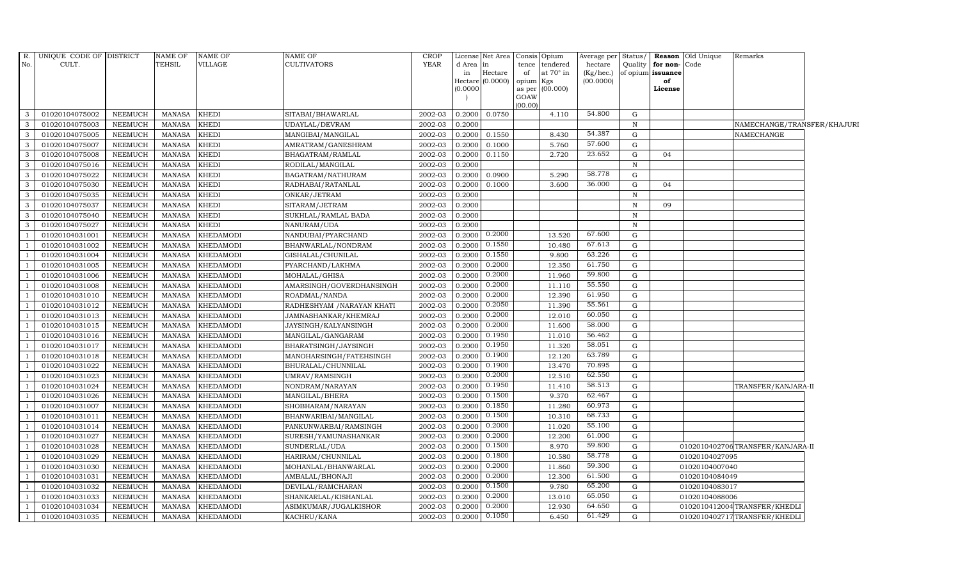| R.                       | UNIQUE CODE OF DISTRICT |                 | <b>NAME OF</b> | NAME OF          | <b>NAME OF</b>             | <b>CROP</b> |           | License Net Area Consis       |                 | Opium            | Average per            | Status/      |                         | <b>Reason</b> Old Unique | Remarks                          |  |
|--------------------------|-------------------------|-----------------|----------------|------------------|----------------------------|-------------|-----------|-------------------------------|-----------------|------------------|------------------------|--------------|-------------------------|--------------------------|----------------------------------|--|
| No.                      | CULT.                   |                 | TEHSIL         | VILLAGE          | <b>CULTIVATORS</b>         | <b>YEAR</b> | d Area in |                               | tence           | tendered         | hectare                | Quality      | for non-                | Code                     |                                  |  |
|                          |                         |                 |                |                  |                            |             | in        | Hectare<br>$Hectare (0.0000)$ | of<br>opium Kgs | at $70^\circ$ in | (Kg/hec.)<br>(00.0000) |              | of opium issuance<br>of |                          |                                  |  |
|                          |                         |                 |                |                  |                            |             | (0.0000)  |                               | as per          | (00.000)         |                        |              | License                 |                          |                                  |  |
|                          |                         |                 |                |                  |                            |             |           |                               | GOAW            |                  |                        |              |                         |                          |                                  |  |
|                          | 01020104075002          | NEEMUCH         | <b>MANASA</b>  | <b>KHEDI</b>     | SITABAI/BHAWARLAL          | 2002-03     | 0.2000    | 0.0750                        | (00.00)         | 4.110            | 54.800                 | G            |                         |                          |                                  |  |
| - 3<br>3                 | 01020104075003          | <b>NEEMUCH</b>  | <b>MANASA</b>  | <b>KHEDI</b>     | UDAYLAL/DEVRAM             | 2002-03     | 0.2000    |                               |                 |                  |                        | $\mathbb N$  |                         |                          | NAMECHANGE/TRANSFER/KHAJURI      |  |
| 3                        | 01020104075005          | <b>NEEMUCH</b>  | <b>MANASA</b>  | <b>KHEDI</b>     | MANGIBAI/MANGILAL          | 2002-03     | 0.2000    | 0.1550                        |                 | 8.430            | 54.387                 | $\mathbf G$  |                         |                          | NAMECHANGE                       |  |
| 3                        | 01020104075007          | <b>NEEMUCH</b>  | <b>MANASA</b>  | <b>KHEDI</b>     | AMRATRAM/GANESHRAM         | 2002-03     | 0.2000    | 0.1000                        |                 | 5.760            | 57.600                 | $\mathbf G$  |                         |                          |                                  |  |
| 3                        | 01020104075008          | <b>NEEMUCH</b>  | <b>MANASA</b>  | <b>KHEDI</b>     | BHAGATRAM/RAMLAL           | 2002-03     | 0.2000    | 0.1150                        |                 | 2.720            | 23.652                 | $\mathbf G$  | 04                      |                          |                                  |  |
| $\mathbf{3}$             | 01020104075016          | <b>NEEMUCH</b>  | <b>MANASA</b>  | <b>KHEDI</b>     | RODILAL/MANGILAL           | 2002-03     | 0.2000    |                               |                 |                  |                        | $\mathbb N$  |                         |                          |                                  |  |
| 3                        | 01020104075022          | NEEMUCH         | <b>MANASA</b>  | <b>KHEDI</b>     | BAGATRAM/NATHURAM          | 2002-03     | 0.2000    | 0.0900                        |                 | 5.290            | 58.778                 | $\mathbf G$  |                         |                          |                                  |  |
| 3                        | 01020104075030          | <b>NEEMUCH</b>  | <b>MANASA</b>  | <b>KHEDI</b>     | RADHABAI/RATANLAL          | 2002-03     | 0.2000    | 0.1000                        |                 | 3.600            | 36.000                 | G            | 04                      |                          |                                  |  |
| 3                        | 01020104075035          | <b>NEEMUCH</b>  | <b>MANASA</b>  | <b>KHEDI</b>     | ONKAR/JETRAM               | 2002-03     | 0.2000    |                               |                 |                  |                        | $\mathbb N$  |                         |                          |                                  |  |
| 3                        | 01020104075037          | NEEMUCH         | <b>MANASA</b>  | <b>KHEDI</b>     | SITARAM/JETRAM             | 2002-03     | 0.2000    |                               |                 |                  |                        | $\, {\rm N}$ | 09                      |                          |                                  |  |
| 3                        | 01020104075040          | <b>NEEMUCH</b>  | <b>MANASA</b>  | <b>KHEDI</b>     | SUKHLAL/RAMLAL BADA        | 2002-03     | 0.2000    |                               |                 |                  |                        | $\,$ N       |                         |                          |                                  |  |
| 3                        | 01020104075027          | <b>NEEMUCH</b>  | <b>MANASA</b>  | <b>KHEDI</b>     | NANURAM/UDA                | 2002-03     | 0.2000    |                               |                 |                  |                        | $\mathbb N$  |                         |                          |                                  |  |
| $\overline{\phantom{0}}$ | 01020104031001          | <b>NEEMUCH</b>  | <b>MANASA</b>  | <b>KHEDAMODI</b> | NANDUBAI/PYARCHAND         | 2002-03     | 0.2000    | 0.2000                        |                 | 13.520           | 67.600                 | G            |                         |                          |                                  |  |
|                          | 01020104031002          | <b>NEEMUCH</b>  | <b>MANASA</b>  | <b>KHEDAMODI</b> | BHANWARLAL/NONDRAM         | 2002-03     | 0.2000    | 0.1550                        |                 | 10.480           | 67.613                 | G            |                         |                          |                                  |  |
|                          | 01020104031004          | NEEMUCH         | <b>MANASA</b>  | KHEDAMODI        | GISHALAL/CHUNILAL          | 2002-03     | 0.2000    | 0.1550                        |                 | 9.800            | 63.226                 | $\mathbf G$  |                         |                          |                                  |  |
| - 1                      | 01020104031005          | <b>NEEMUCH</b>  | <b>MANASA</b>  | <b>KHEDAMODI</b> | PYARCHAND/LAKHMA           | 2002-03     | 0.2000    | 0.2000                        |                 | 12.350           | 61.750                 | G            |                         |                          |                                  |  |
| -1                       | 01020104031006          | <b>NEEMUCH</b>  | <b>MANASA</b>  | <b>KHEDAMODI</b> | MOHALAL/GHISA              | 2002-03     | 0.2000    | 0.2000                        |                 | 11.960           | 59.800                 | G            |                         |                          |                                  |  |
|                          | 01020104031008          | NEEMUCH         | <b>MANASA</b>  | KHEDAMODI        | AMARSINGH/GOVERDHANSINGH   | 2002-03     | 0.2000    | 0.2000                        |                 | 11.110           | 55.550                 | ${\rm G}$    |                         |                          |                                  |  |
|                          | 01020104031010          | <b>NEEMUCH</b>  | <b>MANASA</b>  | <b>KHEDAMODI</b> | ROADMAL/NANDA              | 2002-03     | 0.2000    | 0.2000                        |                 | 12.390           | 61.950                 | ${\rm G}$    |                         |                          |                                  |  |
|                          | 01020104031012          | NEEMUCH         | <b>MANASA</b>  | <b>KHEDAMODI</b> | RADHESHYAM / NARAYAN KHATI | 2002-03     | 0.2000    | 0.2050                        |                 | 11.390           | 55.561                 | $\mathbf G$  |                         |                          |                                  |  |
| $\overline{\phantom{0}}$ | 01020104031013          | ${\tt NEEMUCH}$ | <b>MANASA</b>  | <b>KHEDAMODI</b> | JAMNASHANKAR/KHEMRAJ       | 2002-03     | 0.2000    | 0.2000                        |                 | 12.010           | 60.050                 | $\mathbf G$  |                         |                          |                                  |  |
| -1                       | 01020104031015          | <b>NEEMUCH</b>  | <b>MANASA</b>  | <b>KHEDAMODI</b> | JAYSINGH/KALYANSINGH       | 2002-03     | 0.2000    | 0.2000                        |                 | 11.600           | 58.000                 | G            |                         |                          |                                  |  |
| $\overline{1}$           | 01020104031016          | NEEMUCH         | <b>MANASA</b>  | <b>KHEDAMODI</b> | MANGILAL/GANGARAM          | 2002-03     | 0.2000    | 0.1950                        |                 | 11.010           | 56.462                 | G            |                         |                          |                                  |  |
|                          | 01020104031017          | <b>NEEMUCH</b>  | <b>MANASA</b>  | <b>KHEDAMODI</b> | BHARATSINGH/JAYSINGH       | 2002-03     | 0.2000    | 0.1950                        |                 | 11.320           | 58.051                 | $\mathbf G$  |                         |                          |                                  |  |
|                          | 01020104031018          | <b>NEEMUCH</b>  | <b>MANASA</b>  | <b>KHEDAMODI</b> | MANOHARSINGH/FATEHSINGH    | 2002-03     | 0.2000    | 0.1900                        |                 | 12.120           | 63.789                 | $\mathbf G$  |                         |                          |                                  |  |
| -1                       | 01020104031022          | <b>NEEMUCH</b>  | <b>MANASA</b>  | <b>KHEDAMODI</b> | BHURALAL/CHUNNILAL         | 2002-03     | 0.2000    | 0.1900                        |                 | 13.470           | 70.895                 | G            |                         |                          |                                  |  |
| -1                       | 01020104031023          | <b>NEEMUCH</b>  | <b>MANASA</b>  | <b>KHEDAMODI</b> | <b>UMRAV/RAMSINGH</b>      | 2002-03     | 0.2000    | 0.2000                        |                 | 12.510           | 62.550                 | G            |                         |                          |                                  |  |
| $\overline{1}$           | 01020104031024          | <b>NEEMUCH</b>  | <b>MANASA</b>  | <b>KHEDAMODI</b> | NONDRAM/NARAYAN            | 2002-03     | 0.2000    | 0.1950                        |                 | 11.410           | 58.513                 | G            |                         |                          | TRANSFER/KANJARA-II              |  |
|                          | 01020104031026          | <b>NEEMUCH</b>  | <b>MANASA</b>  | <b>KHEDAMODI</b> | MANGILAL/BHERA             | 2002-03     | 0.2000    | 0.1500                        |                 | 9.370            | 62.467                 | $\mathbf G$  |                         |                          |                                  |  |
|                          | 01020104031007          | <b>NEEMUCH</b>  | <b>MANASA</b>  | <b>KHEDAMODI</b> | SHOBHARAM/NARAYAN          | 2002-03     | 0.2000    | 0.1850                        |                 | 11.280           | 60.973                 | G            |                         |                          |                                  |  |
|                          | 01020104031011          | NEEMUCH         | <b>MANASA</b>  | KHEDAMODI        | BHANWARIBAI/MANGILAL       | 2002-03     | 0.2000    | 0.1500                        |                 | 10.310           | 68.733                 | ${\rm G}$    |                         |                          |                                  |  |
|                          | 01020104031014          | <b>NEEMUCH</b>  | <b>MANASA</b>  | <b>KHEDAMODI</b> | PANKUNWARBAI/RAMSINGH      | 2002-03     | 0.2000    | 0.2000                        |                 | 11.020           | 55.100                 | G            |                         |                          |                                  |  |
|                          | 01020104031027          | <b>NEEMUCH</b>  | <b>MANASA</b>  | <b>KHEDAMODI</b> | SURESH/YAMUNASHANKAR       | 2002-03     | 0.2000    | 0.2000                        |                 | 12.200           | 61.000                 | G            |                         |                          |                                  |  |
|                          | 01020104031028          | <b>NEEMUCH</b>  | <b>MANASA</b>  | <b>KHEDAMODI</b> | SUNDERLAL/UDA              | 2002-03     | 0.2000    | 0.1500                        |                 | 8.970            | 59.800                 | $\mathbf G$  |                         |                          | 0102010402706TRANSFER/KANJARA-II |  |
|                          | 01020104031029          | <b>NEEMUCH</b>  | <b>MANASA</b>  | <b>KHEDAMODI</b> | HARIRAM/CHUNNILAL          | 2002-03     | 0.2000    | 0.1800                        |                 | 10.580           | 58.778                 | $\mathbf G$  |                         | 01020104027095           |                                  |  |
|                          | 01020104031030          | <b>NEEMUCH</b>  | <b>MANASA</b>  | KHEDAMODI        | MOHANLAL/BHANWARLAL        | 2002-03     | 0.2000    | 0.2000                        |                 | 11.860           | 59.300                 | $\mathbf G$  |                         | 01020104007040           |                                  |  |
|                          | 01020104031031          | <b>NEEMUCH</b>  | <b>MANASA</b>  | <b>KHEDAMODI</b> | AMBALAL/BHONAJI            | 2002-03     | 0.2000    | 0.2000                        |                 | 12.300           | 61.500                 | G            |                         | 01020104084049           |                                  |  |
|                          | 01020104031032          | <b>NEEMUCH</b>  | <b>MANASA</b>  | KHEDAMODI        | DEVILAL/RAMCHARAN          | 2002-03     | 0.2000    | 0.1500                        |                 | 9.780            | 65.200                 | G            |                         | 01020104083017           |                                  |  |
| $\overline{1}$           | 01020104031033          | <b>NEEMUCH</b>  | <b>MANASA</b>  | KHEDAMODI        | SHANKARLAL/KISHANLAL       | 2002-03     | 0.2000    | 0.2000                        |                 | 13.010           | 65.050                 | G            |                         | 01020104088006           |                                  |  |
|                          | 01020104031034          | <b>NEEMUCH</b>  | <b>MANASA</b>  | <b>KHEDAMODI</b> | ASIMKUMAR/JUGALKISHOR      | 2002-03     | 0.2000    | 0.2000                        |                 | 12.930           | 64.650                 | G            |                         |                          | 0102010412004TRANSFER/KHEDLI     |  |
|                          | 01020104031035          | <b>NEEMUCH</b>  | MANASA         | <b>KHEDAMODI</b> | KACHRU/KANA                | 2002-03     | 0.2000    | 0.1050                        |                 | 6.450            | 61.429                 | G            |                         |                          | 0102010402717TRANSFER/KHEDLI     |  |
|                          |                         |                 |                |                  |                            |             |           |                               |                 |                  |                        |              |                         |                          |                                  |  |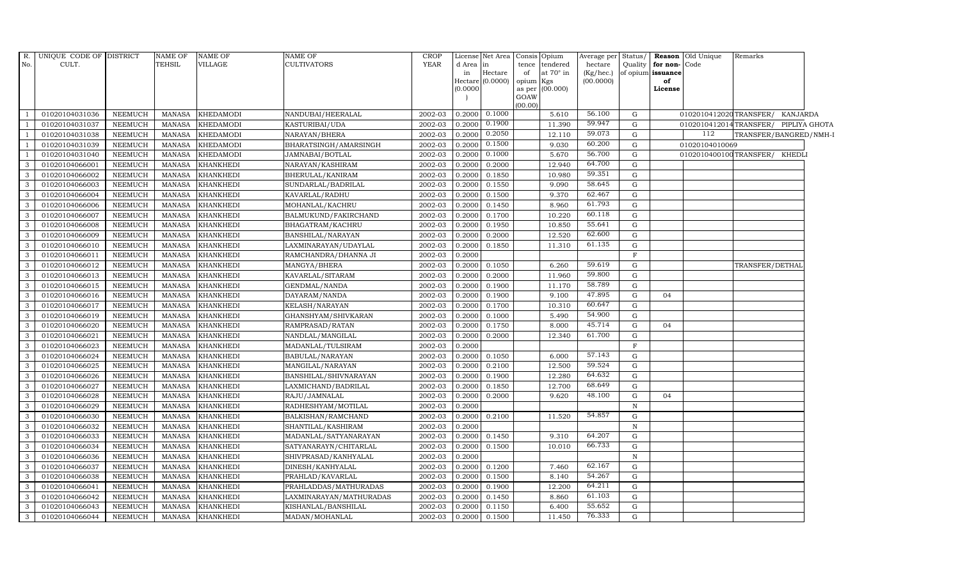| R.             | UNIQUE CODE OF DISTRICT |                | <b>NAME OF</b> | <b>NAME OF</b>   | <b>NAME OF</b>          | <b>CROP</b> |          | License Net Area | Consis Opium                 | Average per Status/ |              |                         | <b>Reason</b> Old Unique | Remarks                              |  |
|----------------|-------------------------|----------------|----------------|------------------|-------------------------|-------------|----------|------------------|------------------------------|---------------------|--------------|-------------------------|--------------------------|--------------------------------------|--|
| No.            | CULT.                   |                | <b>TEHSIL</b>  | VILLAGE          | <b>CULTIVATORS</b>      | <b>YEAR</b> | d Area   | $\ln$            | tence tendered               | hectare             |              | Quality   for non- Code |                          |                                      |  |
|                |                         |                |                |                  |                         |             | in       | $\rm{Hectare}$   | at $70^\circ$ in<br>of       | (Kg/hec.)           |              | of opium issuance       |                          |                                      |  |
|                |                         |                |                |                  |                         |             | (0.0000) | Hectare (0.0000) | opium Kgs<br>as per (00.000) | (00.0000)           |              | of<br>License           |                          |                                      |  |
|                |                         |                |                |                  |                         |             |          |                  | GOAW                         |                     |              |                         |                          |                                      |  |
|                |                         |                |                |                  |                         |             |          |                  | (00.00)                      |                     |              |                         |                          |                                      |  |
| $\overline{1}$ | 01020104031036          | <b>NEEMUCH</b> | <b>MANASA</b>  | <b>KHEDAMODI</b> | NANDUBAI/HEERALAL       | 2002-03     | 0.2000   | 0.1000           | 5.610                        | 56.100              | G            |                         |                          | 0102010412020TRANSFER/ KANJARDA      |  |
| $\overline{1}$ | 01020104031037          | <b>NEEMUCH</b> | MANASA         | <b>KHEDAMODI</b> | KASTURIBAI/UDA          | 2002-03     | 0.2000   | 0.1900           | 11.390                       | 59.947              | G            |                         |                          | 0102010412014TRANSFER/ PIPLIYA GHOTA |  |
| <sup>1</sup>   | 01020104031038          | <b>NEEMUCH</b> | MANASA         | <b>KHEDAMODI</b> | NARAYAN/BHERA           | 2002-03     | 0.2000   | 0.2050           | 12.110                       | 59.073              | G            |                         | 112                      | TRANSFER/BANGRED/NMH-I               |  |
|                | 01020104031039          | <b>NEEMUCH</b> | <b>MANASA</b>  | KHEDAMODI        | BHARATSINGH/AMARSINGH   | 2002-03     | 0.2000   | 0.1500           | 9.030                        | 60.200              | G            |                         | 01020104010069           |                                      |  |
| $\overline{1}$ | 01020104031040          | <b>NEEMUCH</b> | <b>MANASA</b>  | <b>KHEDAMODI</b> | JAMNABAI/BOTLAL         | 2002-03     | 0.2000   | 0.1000           | 5.670                        | 56.700              | $\mathbf G$  |                         |                          | 0102010400100TRANSFER/ KHEDLI        |  |
| 3              | 01020104066001          | <b>NEEMUCH</b> | <b>MANASA</b>  | KHANKHEDI        | NARAYAN/KASHIRAM        | 2002-03     | 0.2000   | 0.2000           | 12.940                       | 64.700              | G            |                         |                          |                                      |  |
| 3              | 01020104066002          | <b>NEEMUCH</b> | <b>MANASA</b>  | KHANKHEDI        | BHERULAL/KANIRAM        | 2002-03     | 0.2000   | 0.1850           | 10.980                       | 59.351              | G            |                         |                          |                                      |  |
| $\mathbf{3}$   | 01020104066003          | <b>NEEMUCH</b> | <b>MANASA</b>  | KHANKHEDI        | SUNDARLAL/BADRILAL      | 2002-03     | 0.2000   | 0.1550           | 9.090                        | 58.645              | G            |                         |                          |                                      |  |
| 3              | 01020104066004          | <b>NEEMUCH</b> | <b>MANASA</b>  | KHANKHEDI        | KAVARLAL/RADHU          | 2002-03     | 0.2000   | 0.1500           | 9.370                        | 62.467              | G            |                         |                          |                                      |  |
| 3              | 01020104066006          | <b>NEEMUCH</b> | <b>MANASA</b>  | KHANKHEDI        | MOHANLAL/KACHRU         | 2002-03     | 0.2000   | 0.1450           | 8.960                        | 61.793              | ${\rm G}$    |                         |                          |                                      |  |
| 3              | 01020104066007          | <b>NEEMUCH</b> | <b>MANASA</b>  | <b>KHANKHEDI</b> | BALMUKUND/FAKIRCHAND    | 2002-03     | 0.2000   | 0.1700           | 10.220                       | 60.118              | G            |                         |                          |                                      |  |
| 3              | 01020104066008          | <b>NEEMUCH</b> | <b>MANASA</b>  | KHANKHEDI        | BHAGATRAM/KACHRU        | 2002-03     | 0.2000   | 0.1950           | 10.850                       | 55.641              | ${\rm G}$    |                         |                          |                                      |  |
| $\mathbf{3}$   | 01020104066009          | <b>NEEMUCH</b> | <b>MANASA</b>  | <b>KHANKHEDI</b> | BANSHILAL/NARAYAN       | 2002-03     | 0.2000   | 0.2000           | 12.520                       | 62.600              | G            |                         |                          |                                      |  |
| 3              | 01020104066010          | <b>NEEMUCH</b> | <b>MANASA</b>  | KHANKHEDI        | LAXMINARAYAN / UDAYLAL  | 2002-03     | 0.2000   | 0.1850           | 11.310                       | 61.135              | G            |                         |                          |                                      |  |
| 3              | 01020104066011          | <b>NEEMUCH</b> | MANASA         | KHANKHEDI        | RAMCHANDRA/DHANNA JI    | 2002-03     | 0.2000   |                  |                              |                     | $\mathbf{F}$ |                         |                          |                                      |  |
| 3              | 01020104066012          | <b>NEEMUCH</b> | <b>MANASA</b>  | <b>KHANKHEDI</b> | MANGYA/BHERA            | 2002-03     | 0.2000   | 0.1050           | 6.260                        | 59.619              | G            |                         |                          | TRANSFER/DETHAI                      |  |
| $\mathbf{3}$   | 01020104066013          | <b>NEEMUCH</b> | <b>MANASA</b>  | KHANKHEDI        | KAVARLAL/SITARAM        | 2002-03     | 0.2000   | 0.2000           | 11.960                       | 59.800              | G            |                         |                          |                                      |  |
| $\mathbf{3}$   | 01020104066015          | <b>NEEMUCH</b> | <b>MANASA</b>  | KHANKHEDI        | GENDMAL/NANDA           | 2002-03     | 0.2000   | 0.1900           | 11.170                       | 58.789              | G            |                         |                          |                                      |  |
| 3              | 01020104066016          | <b>NEEMUCH</b> | <b>MANASA</b>  | KHANKHEDI        | DAYARAM/NANDA           | 2002-03     | 0.2000   | 0.1900           | 9.100                        | 47.895              | G            | 04                      |                          |                                      |  |
| 3              | 01020104066017          | <b>NEEMUCH</b> | <b>MANASA</b>  | <b>KHANKHEDI</b> | KELASH/NARAYAN          | 2002-03     | 0.2000   | 0.1700           | 10.310                       | 60.647              | G            |                         |                          |                                      |  |
| 3              | 01020104066019          | <b>NEEMUCH</b> | MANASA         | <b>KHANKHEDI</b> | GHANSHYAM/SHIVKARAN     | 2002-03     | 0.2000   | 0.1000           | 5.490                        | 54.900              | G            |                         |                          |                                      |  |
| 3              | 01020104066020          | <b>NEEMUCH</b> | <b>MANASA</b>  | <b>KHANKHEDI</b> | RAMPRASAD/RATAN         | 2002-03     | 0.2000   | 0.1750           | 8.000                        | 45.714              | G            | 04                      |                          |                                      |  |
| $\mathbf{3}$   | 01020104066021          | <b>NEEMUCH</b> | <b>MANASA</b>  | KHANKHEDI        | NANDLAL/MANGILAL        | 2002-03     | 0.2000   | 0.2000           | 12.340                       | 61.700              | ${\rm G}$    |                         |                          |                                      |  |
| $\mathbf{3}$   | 01020104066023          | <b>NEEMUCH</b> | <b>MANASA</b>  | KHANKHEDI        | MADANLAL/TULSIRAM       | 2002-03     | 0.2000   |                  |                              |                     | $\rm F$      |                         |                          |                                      |  |
| 3              | 01020104066024          | <b>NEEMUCH</b> | <b>MANASA</b>  | KHANKHEDI        | BABULAL/NARAYAN         | 2002-03     | 0.2000   | 0.1050           | 6.000                        | 57.143              | G            |                         |                          |                                      |  |
| 3              | 01020104066025          | <b>NEEMUCH</b> | <b>MANASA</b>  | KHANKHEDI        | MANGILAL/NARAYAN        | 2002-03     | 0.2000   | 0.2100           | 12.500                       | 59.524              | G            |                         |                          |                                      |  |
| $\mathbf{3}$   | 01020104066026          | <b>NEEMUCH</b> | <b>MANASA</b>  | <b>KHANKHEDI</b> | BANSHILAL/SHIVNARAYAN   | 2002-03     | 0.2000   | 0.1900           | 12.280                       | 64.632              | G            |                         |                          |                                      |  |
| 3              | 01020104066027          | <b>NEEMUCH</b> | <b>MANASA</b>  | KHANKHEDI        | LAXMICHAND/BADRILAL     | 2002-03     | 0.2000   | 0.1850           | 12.700                       | 68.649              | G            |                         |                          |                                      |  |
| 3              | 01020104066028          | <b>NEEMUCH</b> | <b>MANASA</b>  | KHANKHEDI        | RAJU/JAMNALAL           | 2002-03     | 0.2000   | 0.2000           | 9.620                        | 48.100              | G            | 04                      |                          |                                      |  |
| 3              | 01020104066029          | <b>NEEMUCH</b> | <b>MANASA</b>  | KHANKHEDI        | RADHESHYAM/MOTILAL      | 2002-03     | 0.2000   |                  |                              |                     | $\mathbb N$  |                         |                          |                                      |  |
| $\mathbf{3}$   | 01020104066030          | <b>NEEMUCH</b> | MANASA         | KHANKHEDI        | BALKISHAN/RAMCHAND      | 2002-03     | 0.2000   | 0.2100           | 11.520                       | 54.857              | G            |                         |                          |                                      |  |
| 3              | 01020104066032          | <b>NEEMUCH</b> | <b>MANASA</b>  | <b>KHANKHEDI</b> | SHANTILAL/KASHIRAM      | 2002-03     | 0.2000   |                  |                              |                     | N            |                         |                          |                                      |  |
| 3              | 01020104066033          | <b>NEEMUCH</b> | <b>MANASA</b>  | KHANKHEDI        | MADANLAL/SATYANARAYAN   | 2002-03     | 0.2000   | 0.1450           | 9.310                        | 64.207              | G            |                         |                          |                                      |  |
| 3              | 01020104066034          | <b>NEEMUCH</b> | <b>MANASA</b>  | KHANKHEDI        | SATYANARAYN/CHITARLAL   | 2002-03     | 0.2000   | 0.1500           | 10.010                       | 66.733              | G            |                         |                          |                                      |  |
| 3              | 01020104066036          | <b>NEEMUCH</b> | <b>MANASA</b>  | KHANKHEDI        | SHIVPRASAD/KANHYALAL    | 2002-03     | 0.2000   |                  |                              |                     | $\mathbb N$  |                         |                          |                                      |  |
| $\mathbf{3}$   | 01020104066037          | <b>NEEMUCH</b> | <b>MANASA</b>  | KHANKHEDI        | DINESH/KANHYALAL        | 2002-03     | 0.2000   | 0.1200           | 7.460                        | 62.167              | G            |                         |                          |                                      |  |
| 3              | 01020104066038          | <b>NEEMUCH</b> | <b>MANASA</b>  | KHANKHEDI        | PRAHLAD/KAVARLAL        | 2002-03     | 0.2000   | 0.1500           | 8.140                        | 54.267              | G            |                         |                          |                                      |  |
| 3              | 01020104066041          | <b>NEEMUCH</b> | <b>MANASA</b>  | KHANKHEDI        | PRAHLADDAS/MATHURADAS   | 2002-03     | 0.2000   | 0.1900           | 12.200                       | 64.211              | G            |                         |                          |                                      |  |
| -3             | 01020104066042          | <b>NEEMUCH</b> | <b>MANASA</b>  | KHANKHEDI        | LAXMINARAYAN/MATHURADAS | 2002-03     | 0.2000   | 0.1450           | 8.860                        | 61.103              | G            |                         |                          |                                      |  |
| 3              | 01020104066043          | <b>NEEMUCH</b> | <b>MANASA</b>  | KHANKHEDI        | KISHANLAL/BANSHILAL     | 2002-03     | 0.2000   | 0.1150           | 6.400                        | 55.652              | G            |                         |                          |                                      |  |
| $\mathbf{3}$   | 01020104066044          | <b>NEEMUCH</b> | MANASA         | <b>KHANKHEDI</b> | MADAN/MOHANLAL          | 2002-03     | 0.2000   | 0.1500           | 11.450                       | 76.333              | G            |                         |                          |                                      |  |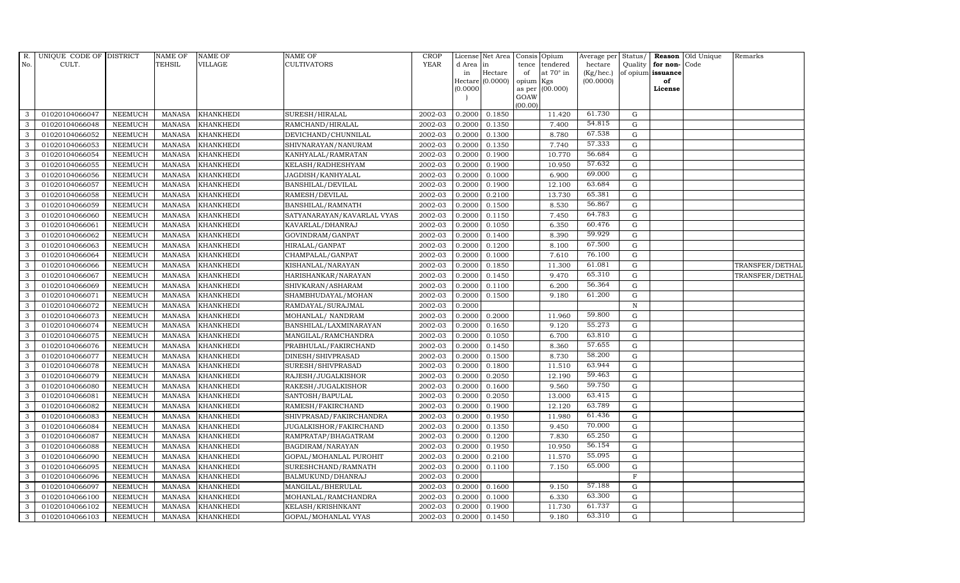| R.           | UNIQUE CODE OF DISTRICT |                | <b>NAME OF</b> | <b>NAME OF</b>   | NAME OF                    | <b>CROP</b> |           | License Net Area |                 | Consis Opium     | Average per | Status/      |                   | Reason Old Unique | Remarks         |
|--------------|-------------------------|----------------|----------------|------------------|----------------------------|-------------|-----------|------------------|-----------------|------------------|-------------|--------------|-------------------|-------------------|-----------------|
| No.          | CULT.                   |                | <b>TEHSIL</b>  | VILLAGE          | CULTIVATORS                | <b>YEAR</b> | d Area in |                  | tence           | tendered         | hectare     | Quality      | for non-Code      |                   |                 |
|              |                         |                |                |                  |                            |             | in        | Hectare          | of              | at $70^\circ$ in | (Kg/hec.)   |              | of opium issuance |                   |                 |
|              |                         |                |                |                  |                            |             | (0.0000)  | Hectare (0.0000) | opium<br>as per | Kgs<br>(00.000)  | (00.0000)   |              | of<br>License     |                   |                 |
|              |                         |                |                |                  |                            |             |           |                  | GOAW            |                  |             |              |                   |                   |                 |
|              |                         |                |                |                  |                            |             |           |                  | (00.00)         |                  |             |              |                   |                   |                 |
| 3            | 01020104066047          | NEEMUCH        | MANASA         | <b>KHANKHEDI</b> | SURESH/HIRALAL             | 2002-03     | 0.2000    | 0.1850           |                 | 11.420           | 61.730      | G            |                   |                   |                 |
| 3            | 01020104066048          | <b>NEEMUCH</b> | <b>MANASA</b>  | <b>KHANKHEDI</b> | RAMCHAND/HIRALAL           | 2002-03     | 0.2000    | 0.1350           |                 | 7.400            | 54.815      | $\mathbf G$  |                   |                   |                 |
| 3            | 01020104066052          | <b>NEEMUCH</b> | <b>MANASA</b>  | <b>KHANKHEDI</b> | DEVICHAND/CHUNNILAL        | 2002-03     | 0.2000    | 0.1300           |                 | 8.780            | 67.538      | G            |                   |                   |                 |
| 3            | 01020104066053          | <b>NEEMUCH</b> | <b>MANASA</b>  | <b>KHANKHEDI</b> | SHIVNARAYAN/NANURAM        | 2002-03     | 0.2000    | 0.1350           |                 | 7.740            | 57.333      | $\mathbf G$  |                   |                   |                 |
| 3            | 01020104066054          | <b>NEEMUCH</b> | <b>MANASA</b>  | <b>KHANKHEDI</b> | KANHYALAL/RAMRATAN         | 2002-03     | 0.2000    | 0.1900           |                 | 10.770           | 56.684      | ${\rm G}$    |                   |                   |                 |
| 3            | 01020104066055          | <b>NEEMUCH</b> | <b>MANASA</b>  | <b>KHANKHEDI</b> | KELASH/RADHESHYAM          | 2002-03     | 0.2000    | 0.1900           |                 | 10.950           | 57.632      | G            |                   |                   |                 |
| 3            | 01020104066056          | <b>NEEMUCH</b> | <b>MANASA</b>  | <b>KHANKHEDI</b> | JAGDISH/KANHYALAL          | 2002-03     | 0.2000    | 0.1000           |                 | 6.900            | 69.000      | $\mathbf G$  |                   |                   |                 |
| 3            | 01020104066057          | <b>NEEMUCH</b> | <b>MANASA</b>  | <b>KHANKHEDI</b> | BANSHILAL/DEVILAL          | 2002-03     | 0.2000    | 0.1900           |                 | 12.100           | 63.684      | $\mathbf G$  |                   |                   |                 |
| 3            | 01020104066058          | <b>NEEMUCH</b> | <b>MANASA</b>  | <b>KHANKHEDI</b> | RAMESH/DEVILAL             | 2002-03     | 0.2000    | 0.2100           |                 | 13.730           | 65.381      | G            |                   |                   |                 |
| 3            | 01020104066059          | <b>NEEMUCH</b> | <b>MANASA</b>  | <b>KHANKHEDI</b> | BANSHILAL/RAMNATH          | 2002-03     | 0.2000    | 0.1500           |                 | 8.530            | 56.867      | $\mathbf G$  |                   |                   |                 |
| $\mathbf{3}$ | 01020104066060          | <b>NEEMUCH</b> | <b>MANASA</b>  | <b>KHANKHEDI</b> | SATYANARAYAN/KAVARLAL VYAS | 2002-03     | 0.2000    | 0.1150           |                 | 7.450            | 64.783      | ${\rm G}$    |                   |                   |                 |
| 3            | 01020104066061          | <b>NEEMUCH</b> | <b>MANASA</b>  | <b>KHANKHEDI</b> | KAVARLAL/DHANRAJ           | 2002-03     | 0.2000    | 0.1050           |                 | 6.350            | 60.476      | $\mathbf G$  |                   |                   |                 |
| 3            | 01020104066062          | <b>NEEMUCH</b> | <b>MANASA</b>  | <b>KHANKHEDI</b> | GOVINDRAM/GANPAT           | 2002-03     | 0.2000    | 0.1400           |                 | 8.390            | 59.929      | $\mathbf G$  |                   |                   |                 |
| 3            | 01020104066063          | <b>NEEMUCH</b> | <b>MANASA</b>  | <b>KHANKHEDI</b> | HIRALAL/GANPAT             | 2002-03     | 0.2000    | 0.1200           |                 | 8.100            | 67.500      | G            |                   |                   |                 |
| 3            | 01020104066064          | <b>NEEMUCH</b> | <b>MANASA</b>  | <b>KHANKHEDI</b> | CHAMPALAL/GANPAT           | 2002-03     | 0.2000    | 0.1000           |                 | 7.610            | 76.100      | $\mathbf G$  |                   |                   |                 |
| $\mathbf{3}$ | 01020104066066          | <b>NEEMUCH</b> | <b>MANASA</b>  | <b>KHANKHEDI</b> | KISHANLAL/NARAYAN          | 2002-03     | 0.2000    | 0.1850           |                 | 11.300           | 61.081      | ${\rm G}$    |                   |                   | TRANSFER/DETHAL |
| 3            | 01020104066067          | <b>NEEMUCH</b> | <b>MANASA</b>  | <b>KHANKHEDI</b> | HARISHANKAR/NARAYAN        | 2002-03     | 0.2000    | 0.1450           |                 | 9.470            | 65.310      | G            |                   |                   | TRANSFER/DETHAL |
| 3            | 01020104066069          | <b>NEEMUCH</b> | <b>MANASA</b>  | <b>KHANKHEDI</b> | SHIVKARAN/ASHARAM          | 2002-03     | 0.2000    | 0.1100           |                 | 6.200            | 56.364      | $\mathbf G$  |                   |                   |                 |
| 3            | 01020104066071          | <b>NEEMUCH</b> | <b>MANASA</b>  | <b>KHANKHEDI</b> | SHAMBHUDAYAL/MOHAN         | 2002-03     | 0.2000    | 0.1500           |                 | 9.180            | 61.200      | $\mathbf G$  |                   |                   |                 |
| 3            | 01020104066072          | <b>NEEMUCH</b> | <b>MANASA</b>  | <b>KHANKHEDI</b> | RAMDAYAL/SURAJMAL          | 2002-03     | 0.2000    |                  |                 |                  |             | $\, {\rm N}$ |                   |                   |                 |
| 3            | 01020104066073          | <b>NEEMUCH</b> | <b>MANASA</b>  | <b>KHANKHEDI</b> | MOHANLAL/ NANDRAM          | 2002-03     | 0.2000    | 0.2000           |                 | 11.960           | 59.800      | G            |                   |                   |                 |
| 3            | 01020104066074          | <b>NEEMUCH</b> | <b>MANASA</b>  | KHANKHEDI        | BANSHILAL/LAXMINARAYAN     | 2002-03     | 0.2000    | 0.1650           |                 | 9.120            | 55.273      | G            |                   |                   |                 |
| 3            | 01020104066075          | <b>NEEMUCH</b> | <b>MANASA</b>  | <b>KHANKHEDI</b> | MANGILAL/RAMCHANDRA        | 2002-03     | 0.2000    | 0.1050           |                 | 6.700            | 63.810      | G            |                   |                   |                 |
| 3            | 01020104066076          | <b>NEEMUCH</b> | <b>MANASA</b>  | <b>KHANKHEDI</b> | PRABHULAL/FAKIRCHAND       | 2002-03     | 0.2000    | 0.1450           |                 | 8.360            | 57.655      | $\mathbf G$  |                   |                   |                 |
| 3            | 01020104066077          | <b>NEEMUCH</b> | <b>MANASA</b>  | <b>KHANKHEDI</b> | DINESH/SHIVPRASAD          | 2002-03     | 0.2000    | 0.1500           |                 | 8.730            | 58.200      | G            |                   |                   |                 |
| 3            | 01020104066078          | <b>NEEMUCH</b> | <b>MANASA</b>  | <b>KHANKHEDI</b> | SURESH/SHIVPRASAD          | 2002-03     | 0.2000    | 0.1800           |                 | 11.510           | 63.944      | G            |                   |                   |                 |
| 3            | 01020104066079          | <b>NEEMUCH</b> | <b>MANASA</b>  | KHANKHEDI        | RAJESH/JUGALKISHOR         | 2002-03     | 0.2000    | 0.2050           |                 | 12.190           | 59.463      | ${\rm G}$    |                   |                   |                 |
| 3            | 01020104066080          | <b>NEEMUCH</b> | <b>MANASA</b>  | <b>KHANKHEDI</b> | RAKESH/JUGALKISHOR         | 2002-03     | 0.2000    | 0.1600           |                 | 9.560            | 59.750      | $\mathbf G$  |                   |                   |                 |
| 3            | 01020104066081          | <b>NEEMUCH</b> | <b>MANASA</b>  | <b>KHANKHEDI</b> | SANTOSH/BAPULAL            | 2002-03     | 0.2000    | 0.2050           |                 | 13.000           | 63.415      | $\mathbf G$  |                   |                   |                 |
| 3            | 01020104066082          | <b>NEEMUCH</b> | <b>MANASA</b>  | <b>KHANKHEDI</b> | RAMESH/FAKIRCHAND          | 2002-03     | 0.2000    | 0.1900           |                 | 12.120           | 63.789      | $\mathbf G$  |                   |                   |                 |
| 3            | 01020104066083          | <b>NEEMUCH</b> | <b>MANASA</b>  | <b>KHANKHEDI</b> | SHIVPRASAD/FAKIRCHANDRA    | 2002-03     | 0.2000    | 0.1950           |                 | 11.980           | 61.436      | G            |                   |                   |                 |
| 3            | 01020104066084          | <b>NEEMUCH</b> | <b>MANASA</b>  | <b>KHANKHEDI</b> | JUGALKISHOR/FAKIRCHAND     | 2002-03     | 0.2000    | 0.1350           |                 | 9.450            | 70.000      | ${\rm G}$    |                   |                   |                 |
| 3            | 01020104066087          | <b>NEEMUCH</b> | <b>MANASA</b>  | <b>KHANKHEDI</b> | RAMPRATAP/BHAGATRAM        | 2002-03     | 0.2000    | 0.1200           |                 | 7.830            | 65.250      | $\mathbf G$  |                   |                   |                 |
| 3            | 01020104066088          | <b>NEEMUCH</b> | <b>MANASA</b>  | <b>KHANKHEDI</b> | BAGDIRAM/NARAYAN           | 2002-03     | 0.2000    | 0.1950           |                 | 10.950           | 56.154      | $\mathbf G$  |                   |                   |                 |
| 3            | 01020104066090          | <b>NEEMUCH</b> | <b>MANASA</b>  | <b>KHANKHEDI</b> | GOPAL/MOHANLAL PUROHIT     | 2002-03     | 0.2000    | 0.2100           |                 | 11.570           | 55.095      | $\mathbf G$  |                   |                   |                 |
| 3            | 01020104066095          | <b>NEEMUCH</b> | <b>MANASA</b>  | <b>KHANKHEDI</b> | SURESHCHAND/RAMNATH        | 2002-03     | 0.2000    | 0.1100           |                 | 7.150            | 65.000      | G            |                   |                   |                 |
| $\mathbf{3}$ | 01020104066096          | <b>NEEMUCH</b> | <b>MANASA</b>  | <b>KHANKHEDI</b> | BALMUKUND/DHANRAJ          | 2002-03     | 0.2000    |                  |                 |                  |             | $\mathbf F$  |                   |                   |                 |
| 3            | 01020104066097          | <b>NEEMUCH</b> | <b>MANASA</b>  | <b>KHANKHEDI</b> | MANGILAL/BHERULAL          | 2002-03     | 0.2000    | 0.1600           |                 | 9.150            | 57.188      | G            |                   |                   |                 |
| 3            | 01020104066100          | <b>NEEMUCH</b> | <b>MANASA</b>  | <b>KHANKHEDI</b> | MOHANLAL/RAMCHANDRA        | 2002-03     | 0.2000    | 0.1000           |                 | 6.330            | 63.300      | $\mathbf G$  |                   |                   |                 |
| 3            | 01020104066102          | <b>NEEMUCH</b> | <b>MANASA</b>  | <b>KHANKHEDI</b> | KELASH/KRISHNKANT          | 2002-03     | 0.2000    | 0.1900           |                 | 11.730           | 61.737      | $\mathbf G$  |                   |                   |                 |
| 3            | 01020104066103          | <b>NEEMUCH</b> | MANASA         | <b>KHANKHEDI</b> | GOPAL/MOHANLAL VYAS        | 2002-03     | 0.2000    | 0.1450           |                 | 9.180            | 63.310      | G            |                   |                   |                 |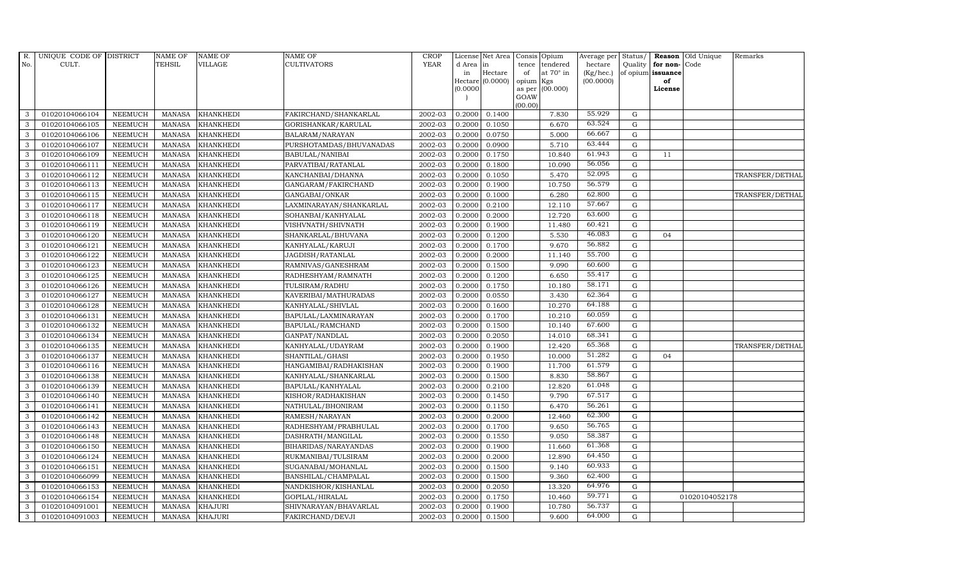| R.  | UNIQUE CODE OF DISTRICT |                | <b>NAME OF</b> | <b>NAME OF</b>   | <b>NAME OF</b>            | <b>CROP</b> |           | License Net Area   |                 | Consis Opium     | Average per | Status/     |                   | Reason Old Unique | Remarks         |
|-----|-------------------------|----------------|----------------|------------------|---------------------------|-------------|-----------|--------------------|-----------------|------------------|-------------|-------------|-------------------|-------------------|-----------------|
| No. | CULT.                   |                | <b>TEHSIL</b>  | <b>VILLAGE</b>   | <b>CULTIVATORS</b>        | <b>YEAR</b> | d Area in |                    | tence           | tendered         | hectare     | Quality     | for non-          | Code              |                 |
|     |                         |                |                |                  |                           |             | in        | Hectare            | of              | at $70^\circ$ in | (Kg/hec.)   |             | of opium issuance |                   |                 |
|     |                         |                |                |                  |                           |             | (0.0000)  | Hectare $(0.0000)$ | opium<br>as per | Kgs<br>(00.000)  | (00.0000)   |             | of<br>License     |                   |                 |
|     |                         |                |                |                  |                           |             |           |                    | GOAW            |                  |             |             |                   |                   |                 |
|     |                         |                |                |                  |                           |             |           |                    | (00.00)         |                  |             |             |                   |                   |                 |
| 3   | 01020104066104          | <b>NEEMUCH</b> | <b>MANASA</b>  | <b>KHANKHEDI</b> | FAKIRCHAND/SHANKARLAL     | 2002-03     | 0.2000    | 0.1400             |                 | 7.830            | 55.929      | G           |                   |                   |                 |
| 3   | 01020104066105          | <b>NEEMUCH</b> | <b>MANASA</b>  | <b>KHANKHEDI</b> | GORISHANKAR/KARULAL       | 2002-03     | 0.2000    | 0.1050             |                 | 6.670            | 63.524      | $\mathbf G$ |                   |                   |                 |
| 3   | 01020104066106          | <b>NEEMUCH</b> | <b>MANASA</b>  | <b>KHANKHEDI</b> | BALARAM / NARAYAN         | 2002-03     | 0.2000    | 0.0750             |                 | 5.000            | 66.667      | G           |                   |                   |                 |
| 3   | 01020104066107          | <b>NEEMUCH</b> | <b>MANASA</b>  | <b>KHANKHEDI</b> | PURSHOTAMDAS/BHUVANADAS   | 2002-03     | 0.2000    | 0.0900             |                 | 5.710            | 63.444      | $\mathbf G$ |                   |                   |                 |
| 3   | 01020104066109          | <b>NEEMUCH</b> | <b>MANASA</b>  | <b>KHANKHEDI</b> | BABULAL/NANIBAI           | 2002-03     | 0.2000    | 0.1750             |                 | 10.840           | 61.943      | G           | 11                |                   |                 |
| 3   | 01020104066111          | <b>NEEMUCH</b> | <b>MANASA</b>  | <b>KHANKHEDI</b> | PARVATIBAI/RATANLAL       | 2002-03     | 0.2000    | 0.1800             |                 | 10.090           | 56.056      | G           |                   |                   |                 |
| 3   | 01020104066112          | <b>NEEMUCH</b> | <b>MANASA</b>  | <b>KHANKHEDI</b> | KANCHANBAI/DHANNA         | 2002-03     | 0.2000    | 0.1050             |                 | 5.470            | 52.095      | G           |                   |                   | TRANSFER/DETHAL |
| 3   | 01020104066113          | <b>NEEMUCH</b> | <b>MANASA</b>  | <b>KHANKHEDI</b> | GANGARAM/FAKIRCHAND       | 2002-03     | 0.2000    | 0.1900             |                 | 10.750           | 56.579      | $\mathbf G$ |                   |                   |                 |
| 3   | 01020104066115          | <b>NEEMUCH</b> | <b>MANASA</b>  | <b>KHANKHEDI</b> | GANGABAI/ONKAR            | 2002-03     | 0.2000    | 0.1000             |                 | 6.280            | 62.800      | G           |                   |                   | TRANSFER/DETHAL |
| 3   | 01020104066117          | <b>NEEMUCH</b> | <b>MANASA</b>  | <b>KHANKHEDI</b> | LAXMINARAYAN / SHANKARLAL | 2002-03     | 0.2000    | 0.2100             |                 | 12.110           | 57.667      | G           |                   |                   |                 |
| 3   | 01020104066118          | <b>NEEMUCH</b> | <b>MANASA</b>  | KHANKHEDI        | SOHANBAI/KANHYALAL        | 2002-03     | 0.2000    | 0.2000             |                 | 12.720           | 63.600      | G           |                   |                   |                 |
| 3   | 01020104066119          | <b>NEEMUCH</b> | <b>MANASA</b>  | <b>KHANKHEDI</b> | VISHVNATH/SHIVNATH        | 2002-03     | 0.2000    | 0.1900             |                 | 11.480           | 60.421      | G           |                   |                   |                 |
| 3   | 01020104066120          | <b>NEEMUCH</b> | <b>MANASA</b>  | <b>KHANKHEDI</b> | SHANKARLAL/BHUVANA        | 2002-03     | 0.2000    | 0.1200             |                 | 5.530            | 46.083      | $\mathbf G$ | 04                |                   |                 |
| 3   | 01020104066121          | <b>NEEMUCH</b> | <b>MANASA</b>  | <b>KHANKHEDI</b> | KANHYALAL/KARUJI          | 2002-03     | 0.2000    | 0.1700             |                 | 9.670            | 56.882      | G           |                   |                   |                 |
| 3   | 01020104066122          | <b>NEEMUCH</b> | <b>MANASA</b>  | <b>KHANKHEDI</b> | JAGDISH/RATANLAL          | 2002-03     | 0.2000    | 0.2000             |                 | 11.140           | 55.700      | G           |                   |                   |                 |
| 3   | 01020104066123          | <b>NEEMUCH</b> | <b>MANASA</b>  | <b>KHANKHEDI</b> | RAMNIVAS/GANESHRAM        | 2002-03     | 0.2000    | 0.1500             |                 | 9.090            | 60.600      | G           |                   |                   |                 |
| 3   | 01020104066125          | <b>NEEMUCH</b> | <b>MANASA</b>  | <b>KHANKHEDI</b> | RADHESHYAM/RAMNATH        | 2002-03     | 0.2000    | 0.1200             |                 | 6.650            | 55.417      | G           |                   |                   |                 |
| 3   | 01020104066126          | <b>NEEMUCH</b> | <b>MANASA</b>  | <b>KHANKHEDI</b> | TULSIRAM/RADHU            | 2002-03     | 0.2000    | 0.1750             |                 | 10.180           | 58.171      | $\mathbf G$ |                   |                   |                 |
| 3   | 01020104066127          | <b>NEEMUCH</b> | <b>MANASA</b>  | <b>KHANKHEDI</b> | KAVERIBAI/MATHURADAS      | 2002-03     | 0.2000    | 0.0550             |                 | 3.430            | 62.364      | G           |                   |                   |                 |
| 3   | 01020104066128          | <b>NEEMUCH</b> | <b>MANASA</b>  | <b>KHANKHEDI</b> | KANHYALAL/SHIVLAL         | 2002-03     | 0.2000    | 0.1600             |                 | 10.270           | 64.188      | G           |                   |                   |                 |
| 3   | 01020104066131          | <b>NEEMUCH</b> | <b>MANASA</b>  | <b>KHANKHEDI</b> | BAPULAL/LAXMINARAYAN      | 2002-03     | 0.2000    | 0.1700             |                 | 10.210           | 60.059      | G           |                   |                   |                 |
| 3   | 01020104066132          | <b>NEEMUCH</b> | <b>MANASA</b>  | KHANKHEDI        | BAPULAL/RAMCHAND          | 2002-03     | 0.2000    | 0.1500             |                 | 10.140           | 67.600      | G           |                   |                   |                 |
| 3   | 01020104066134          | <b>NEEMUCH</b> | <b>MANASA</b>  | <b>KHANKHEDI</b> | GANPAT/NANDLAL            | 2002-03     | 0.2000    | 0.2050             |                 | 14.010           | 68.341      | G           |                   |                   |                 |
| 3   | 01020104066135          | <b>NEEMUCH</b> | <b>MANASA</b>  | <b>KHANKHEDI</b> | KANHYALAL/UDAYRAM         | 2002-03     | 0.2000    | 0.1900             |                 | 12.420           | 65.368      | $\mathbf G$ |                   |                   | TRANSFER/DETHAL |
| 3   | 01020104066137          | <b>NEEMUCH</b> | <b>MANASA</b>  | KHANKHEDI        | SHANTILAL/GHASI           | 2002-03     | 0.2000    | 0.1950             |                 | 10.000           | 51.282      | ${\rm G}$   | 04                |                   |                 |
| 3   | 01020104066116          | <b>NEEMUCH</b> | <b>MANASA</b>  | <b>KHANKHEDI</b> | HANGAMIBAI/RADHAKISHAN    | 2002-03     | 0.2000    | 0.1900             |                 | 11.700           | 61.579      | G           |                   |                   |                 |
| 3   | 01020104066138          | <b>NEEMUCH</b> | <b>MANASA</b>  | <b>KHANKHEDI</b> | KANHYALAL/SHANKARLAL      | 2002-03     | 0.2000    | 0.1500             |                 | 8.830            | 58.867      | G           |                   |                   |                 |
| 3   | 01020104066139          | <b>NEEMUCH</b> | <b>MANASA</b>  | <b>KHANKHEDI</b> | BAPULAL/KANHYALAL         | 2002-03     | 0.2000    | 0.2100             |                 | 12.820           | 61.048      | G           |                   |                   |                 |
| 3   | 01020104066140          | <b>NEEMUCH</b> | <b>MANASA</b>  | <b>KHANKHEDI</b> | KISHOR/RADHAKISHAN        | 2002-03     | 0.2000    | 0.1450             |                 | 9.790            | 67.517      | $\mathbf G$ |                   |                   |                 |
| 3   | 01020104066141          | <b>NEEMUCH</b> | <b>MANASA</b>  | <b>KHANKHEDI</b> | NATHULAL/BHONIRAM         | 2002-03     | 0.2000    | 0.1150             |                 | 6.470            | 56.261      | $\mathbf G$ |                   |                   |                 |
| 3   | 01020104066142          | <b>NEEMUCH</b> | <b>MANASA</b>  | <b>KHANKHEDI</b> | RAMESH/NARAYAN            | 2002-03     | 0.2000    | 0.2000             |                 | 12.460           | 62.300      | G           |                   |                   |                 |
| 3   | 01020104066143          | <b>NEEMUCH</b> | <b>MANASA</b>  | <b>KHANKHEDI</b> | RADHESHYAM/PRABHULAL      | 2002-03     | 0.2000    | 0.1700             |                 | 9.650            | 56.765      | G           |                   |                   |                 |
| 3   | 01020104066148          | <b>NEEMUCH</b> | <b>MANASA</b>  | <b>KHANKHEDI</b> | DASHRATH/MANGILAL         | 2002-03     | 0.2000    | 0.1550             |                 | 9.050            | 58.387      | G           |                   |                   |                 |
| 3   | 01020104066150          | <b>NEEMUCH</b> | <b>MANASA</b>  | <b>KHANKHEDI</b> | BIHARIDAS/NARAYANDAS      | 2002-03     | 0.2000    | 0.1900             |                 | 11.660           | 61.368      | G           |                   |                   |                 |
| 3   | 01020104066124          | <b>NEEMUCH</b> | <b>MANASA</b>  | <b>KHANKHEDI</b> | RUKMANIBAI/TULSIRAM       | 2002-03     | 0.2000    | 0.2000             |                 | 12.890           | 64.450      | $\mathbf G$ |                   |                   |                 |
| 3   | 01020104066151          | <b>NEEMUCH</b> | <b>MANASA</b>  | <b>KHANKHEDI</b> | SUGANABAI/MOHANLAL        | 2002-03     | 0.2000    | 0.1500             |                 | 9.140            | 60.933      | G           |                   |                   |                 |
| 3   | 01020104066099          | <b>NEEMUCH</b> | <b>MANASA</b>  | <b>KHANKHEDI</b> | BANSHILAL/CHAMPALAL       | 2002-03     | 0.2000    | 0.1500             |                 | 9.360            | 62.400      | G           |                   |                   |                 |
| 3   | 01020104066153          | <b>NEEMUCH</b> | <b>MANASA</b>  | <b>KHANKHEDI</b> | NANDKISHOR/KISHANLAL      | 2002-03     | 0.2000    | 0.2050             |                 | 13.320           | 64.976      | G           |                   |                   |                 |
| 3   | 01020104066154          | <b>NEEMUCH</b> | <b>MANASA</b>  | <b>KHANKHEDI</b> | GOPILAL/HIRALAL           | 2002-03     | 0.2000    | 0.1750             |                 | 10.460           | 59.771      | $\mathbf G$ |                   | 01020104052178    |                 |
| 3   | 01020104091001          | <b>NEEMUCH</b> | <b>MANASA</b>  | <b>KHAJURI</b>   | SHIVNARAYAN/BHAVARLAL     | 2002-03     | 0.2000    | 0.1900             |                 | 10.780           | 56.737      | $\mathbf G$ |                   |                   |                 |
| 3   | 01020104091003          | <b>NEEMUCH</b> | MANASA         | <b>KHAJURI</b>   | FAKIRCHAND/DEVJI          | 2002-03     | 0.2000    | 0.1500             |                 | 9.600            | 64.000      | G           |                   |                   |                 |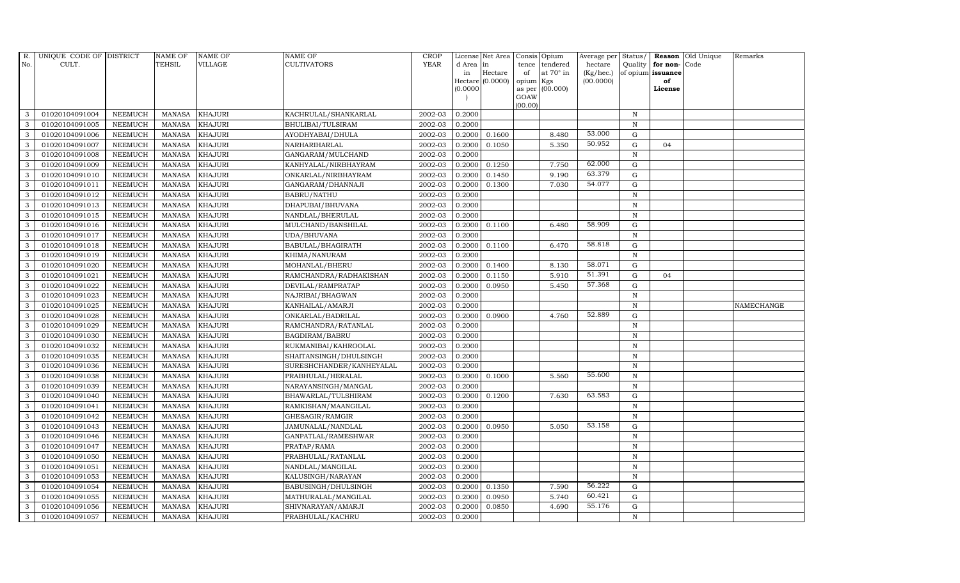| R.           | UNIQUE CODE OF DISTRICT |                | <b>NAME OF</b> | <b>NAME OF</b> | NAME OF                  | <b>CROP</b> |           | License Net Area |         | Consis Opium           | Average per | Status/      |                   | Reason Old Unique | Remarks    |
|--------------|-------------------------|----------------|----------------|----------------|--------------------------|-------------|-----------|------------------|---------|------------------------|-------------|--------------|-------------------|-------------------|------------|
| No.          | CULT.                   |                | TEHSIL         | VILLAGE        | <b>CULTIVATORS</b>       | <b>YEAR</b> | d Area in |                  | tence   | tendered               | hectare     | Quality      | for non-Code      |                   |            |
|              |                         |                |                |                |                          |             | in        | Hectare          | of      | at $70^\circ$ in       | (Kg/hec.)   |              | of opium issuance |                   |            |
|              |                         |                |                |                |                          |             | (0.0000)  | Hectare (0.0000) | opium   | Kgs<br>as per (00.000) | (00.0000)   |              | of<br>License     |                   |            |
|              |                         |                |                |                |                          |             |           |                  | GOAW    |                        |             |              |                   |                   |            |
|              |                         |                |                |                |                          |             |           |                  | (00.00) |                        |             |              |                   |                   |            |
| 3            | 01020104091004          | <b>NEEMUCH</b> | MANASA         | <b>KHAJURI</b> | KACHRULAL/SHANKARLAL     | 2002-03     | 0.2000    |                  |         |                        |             | N            |                   |                   |            |
| 3            | 01020104091005          | <b>NEEMUCH</b> | <b>MANASA</b>  | <b>KHAJURI</b> | BHULIBAI/TULSIRAM        | 2002-03     | 0.2000    |                  |         |                        |             | $\, {\rm N}$ |                   |                   |            |
| 3            | 01020104091006          | <b>NEEMUCH</b> | <b>MANASA</b>  | <b>KHAJURI</b> | AYODHYABAI/DHULA         | 2002-03     | 0.2000    | 0.1600           |         | 8.480                  | 53.000      | G            |                   |                   |            |
| 3            | 01020104091007          | <b>NEEMUCH</b> | <b>MANASA</b>  | <b>KHAJURI</b> | NARHARIHARLAL            | 2002-03     | 0.2000    | 0.1050           |         | 5.350                  | 50.952      | $\mathbf G$  | 04                |                   |            |
| 3            | 01020104091008          | <b>NEEMUCH</b> | <b>MANASA</b>  | <b>KHAJURI</b> | GANGARAM/MULCHAND        | 2002-03     | 0.2000    |                  |         |                        |             | $\, {\rm N}$ |                   |                   |            |
| $\mathbf{3}$ | 01020104091009          | NEEMUCH        | <b>MANASA</b>  | <b>KHAJURI</b> | KANHYALAL/NIRBHAYRAM     | 2002-03     | 0.2000    | 0.1250           |         | 7.750                  | 62.000      | G            |                   |                   |            |
| 3            | 01020104091010          | <b>NEEMUCH</b> | <b>MANASA</b>  | <b>KHAJURI</b> | ONKARLAL/NIRBHAYRAM      | 2002-03     | 0.2000    | 0.1450           |         | 9.190                  | 63.379      | $\mathbf G$  |                   |                   |            |
| 3            | 01020104091011          | <b>NEEMUCH</b> | <b>MANASA</b>  | <b>KHAJURI</b> | GANGARAM/DHANNAJI        | 2002-03     | 0.2000    | 0.1300           |         | 7.030                  | 54.077      | $\mathbf G$  |                   |                   |            |
| 3            | 01020104091012          | <b>NEEMUCH</b> | <b>MANASA</b>  | <b>KHAJURI</b> | <b>BABRU/NATHU</b>       | 2002-03     | 0.2000    |                  |         |                        |             | $\mathbf N$  |                   |                   |            |
| 3            | 01020104091013          | <b>NEEMUCH</b> | <b>MANASA</b>  | <b>KHAJURI</b> | DHAPUBAI/BHUVANA         | 2002-03     | 0.2000    |                  |         |                        |             | $\, {\rm N}$ |                   |                   |            |
| $\mathbf{3}$ | 01020104091015          | <b>NEEMUCH</b> | <b>MANASA</b>  | <b>KHAJURI</b> | NANDLAL/BHERULAL         | 2002-03     | 0.2000    |                  |         |                        |             | $\, {\bf N}$ |                   |                   |            |
| 3            | 01020104091016          | <b>NEEMUCH</b> | <b>MANASA</b>  | <b>KHAJURI</b> | MULCHAND/BANSHILAL       | 2002-03     | 0.2000    | 0.1100           |         | 6.480                  | 58.909      | $\mathbf G$  |                   |                   |            |
| $\mathbf{3}$ | 01020104091017          | <b>NEEMUCH</b> | <b>MANASA</b>  | <b>KHAJURI</b> | UDA/BHUVANA              | 2002-03     | 0.2000    |                  |         |                        |             | $\, {\rm N}$ |                   |                   |            |
| 3            | 01020104091018          | <b>NEEMUCH</b> | <b>MANASA</b>  | <b>KHAJURI</b> | BABULAL/BHAGIRATH        | 2002-03     | 0.2000    | 0.1100           |         | 6.470                  | 58.818      | G            |                   |                   |            |
| 3            | 01020104091019          | <b>NEEMUCH</b> | <b>MANASA</b>  | <b>KHAJURI</b> | KHIMA/NANURAM            | 2002-03     | 0.2000    |                  |         |                        |             | ${\bf N}$    |                   |                   |            |
| $\mathbf{3}$ | 01020104091020          | <b>NEEMUCH</b> | <b>MANASA</b>  | <b>KHAJURI</b> | MOHANLAL/BHERU           | 2002-03     | 0.2000    | 0.1400           |         | 8.130                  | 58.071      | G            |                   |                   |            |
| 3            | 01020104091021          | <b>NEEMUCH</b> | <b>MANASA</b>  | <b>KHAJURI</b> | RAMCHANDRA/RADHAKISHAN   | 2002-03     | 0.2000    | 0.1150           |         | 5.910                  | 51.391      | G            | 04                |                   |            |
| $\mathbf{3}$ | 01020104091022          | <b>NEEMUCH</b> | <b>MANASA</b>  | <b>KHAJURI</b> | DEVILAL/RAMPRATAP        | 2002-03     | 0.2000    | 0.0950           |         | 5.450                  | 57.368      | $\mathbf G$  |                   |                   |            |
| 3            | 01020104091023          | <b>NEEMUCH</b> | <b>MANASA</b>  | <b>KHAJURI</b> | NAJRIBAI/BHAGWAN         | 2002-03     | 0.2000    |                  |         |                        |             | $\, {\rm N}$ |                   |                   |            |
| 3            | 01020104091025          | <b>NEEMUCH</b> | MANASA         | <b>KHAJURI</b> | KANHAILAL/AMARJI         | 2002-03     | 0.2000    |                  |         |                        |             | $\, {\rm N}$ |                   |                   | NAMECHANGE |
| $\mathbf{3}$ | 01020104091028          | <b>NEEMUCH</b> | <b>MANASA</b>  | <b>KHAJURI</b> | ONKARLAL/BADRILAL        | 2002-03     | 0.2000    | 0.0900           |         | 4.760                  | 52.889      | G            |                   |                   |            |
| 3            | 01020104091029          | <b>NEEMUCH</b> | <b>MANASA</b>  | <b>KHAJURI</b> | RAMCHANDRA/RATANLAL      | 2002-03     | 0.2000    |                  |         |                        |             | $\mathbf N$  |                   |                   |            |
| $\mathbf{3}$ | 01020104091030          | <b>NEEMUCH</b> | <b>MANASA</b>  | <b>KHAJURI</b> | BAGDIRAM/BABRU           | 2002-03     | 0.2000    |                  |         |                        |             | $\, {\rm N}$ |                   |                   |            |
| 3            | 01020104091032          | <b>NEEMUCH</b> | <b>MANASA</b>  | <b>KHAJURI</b> | RUKMANIBAI/KAHROOLAL     | 2002-03     | 0.2000    |                  |         |                        |             | $\, {\bf N}$ |                   |                   |            |
| 3            | 01020104091035          | <b>NEEMUCH</b> | <b>MANASA</b>  | <b>KHAJURI</b> | SHAITANSINGH/DHULSINGH   | 2002-03     | 0.2000    |                  |         |                        |             | $\mathbf N$  |                   |                   |            |
| 3            | 01020104091036          | <b>NEEMUCH</b> | <b>MANASA</b>  | <b>KHAJURI</b> | SURESHCHANDER/KANHEYALAL | 2002-03     | 0.2000    |                  |         |                        |             | N            |                   |                   |            |
| 3            | 01020104091038          | <b>NEEMUCH</b> | <b>MANASA</b>  | <b>KHAJURI</b> | PRABHULAL/HERALAL        | 2002-03     | 0.2000    | 0.1000           |         | 5.560                  | 55.600      | $\, {\rm N}$ |                   |                   |            |
| 3            | 01020104091039          | <b>NEEMUCH</b> | <b>MANASA</b>  | <b>KHAJURI</b> | NARAYANSINGH/MANGAL      | 2002-03     | 0.2000    |                  |         |                        |             | $\, {\rm N}$ |                   |                   |            |
| 3            | 01020104091040          | <b>NEEMUCH</b> | <b>MANASA</b>  | <b>KHAJURI</b> | BHAWARLAL/TULSHIRAM      | 2002-03     | 0.2000    | 0.1200           |         | 7.630                  | 63.583      | $\mathbf G$  |                   |                   |            |
| 3            | 01020104091041          | <b>NEEMUCH</b> | <b>MANASA</b>  | <b>KHAJURI</b> | RAMKISHAN/MAANGILAL      | 2002-03     | 0.2000    |                  |         |                        |             | $\, {\rm N}$ |                   |                   |            |
| 3            | 01020104091042          | <b>NEEMUCH</b> | <b>MANASA</b>  | <b>KHAJURI</b> | GHESAGIR/RAMGIR          | 2002-03     | 0.2000    |                  |         |                        |             | $\mathbb N$  |                   |                   |            |
| 3            | 01020104091043          | <b>NEEMUCH</b> | <b>MANASA</b>  | <b>KHAJURI</b> | JAMUNALAL/NANDLAL        | 2002-03     | 0.2000    | 0.0950           |         | 5.050                  | 53.158      | ${\rm G}$    |                   |                   |            |
| 3            | 01020104091046          | <b>NEEMUCH</b> | <b>MANASA</b>  | <b>KHAJURI</b> | GANPATLAL/RAMESHWAR      | 2002-03     | 0.2000    |                  |         |                        |             | $\mathbf N$  |                   |                   |            |
| 3            | 01020104091047          | <b>NEEMUCH</b> | <b>MANASA</b>  | <b>KHAJURI</b> | PRATAP/RAMA              | 2002-03     | 0.2000    |                  |         |                        |             | $\, {\rm N}$ |                   |                   |            |
| 3            | 01020104091050          | <b>NEEMUCH</b> | <b>MANASA</b>  | <b>KHAJURI</b> | PRABHULAL/RATANLAL       | 2002-03     | 0.2000    |                  |         |                        |             | $\, {\rm N}$ |                   |                   |            |
| 3            | 01020104091051          | <b>NEEMUCH</b> | <b>MANASA</b>  | <b>KHAJURI</b> | NANDLAL/MANGILAL         | 2002-03     | 0.2000    |                  |         |                        |             | $\mathbf N$  |                   |                   |            |
| $\mathbf{3}$ | 01020104091053          | <b>NEEMUCH</b> | <b>MANASA</b>  | <b>KHAJURI</b> | KALUSINGH/NARAYAN        | 2002-03     | 0.2000    |                  |         |                        |             | $\, {\bf N}$ |                   |                   |            |
| 3            | 01020104091054          | <b>NEEMUCH</b> | <b>MANASA</b>  | <b>KHAJURI</b> | BABUSINGH/DHULSINGH      | 2002-03     | 0.2000    | 0.1350           |         | 7.590                  | 56.222      | G            |                   |                   |            |
| 3            | 01020104091055          | <b>NEEMUCH</b> | <b>MANASA</b>  | <b>KHAJURI</b> | MATHURALAL/MANGILAL      | 2002-03     | 0.2000    | 0.0950           |         | 5.740                  | 60.421      | $\mathbf G$  |                   |                   |            |
| 3            | 01020104091056          | <b>NEEMUCH</b> | <b>MANASA</b>  | <b>KHAJURI</b> | SHIVNARAYAN/AMARJI       | 2002-03     | 0.2000    | 0.0850           |         | 4.690                  | 55.176      | $\mathbf G$  |                   |                   |            |
| 3            | 01020104091057          | <b>NEEMUCH</b> | MANASA         | <b>KHAJURI</b> | PRABHULAL/KACHRU         | 2002-03     | 0.2000    |                  |         |                        |             | $\, {\rm N}$ |                   |                   |            |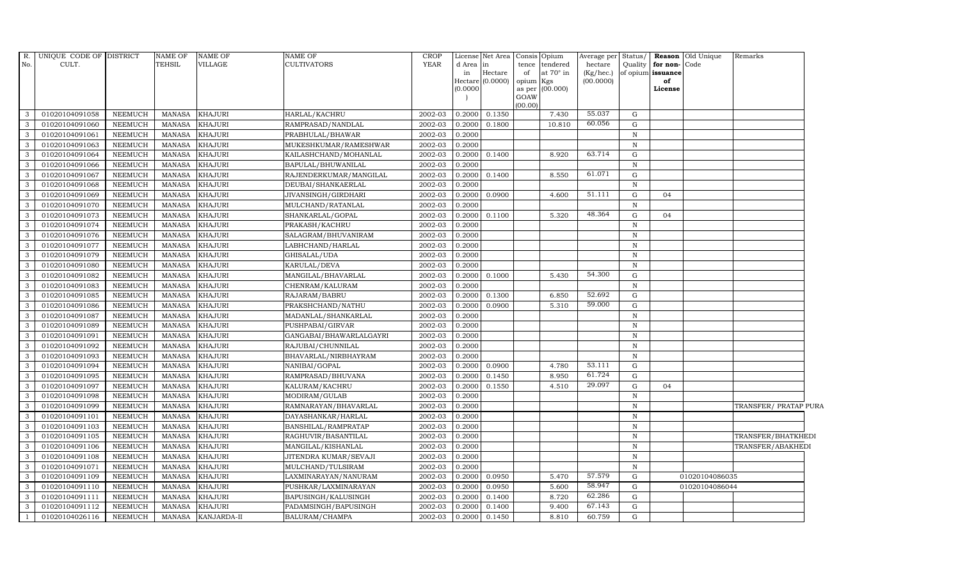| R.<br>No. | UNIQUE CODE OF DISTRICT<br>CULT. |                | NAME OF<br>TEHSIL | <b>NAME OF</b><br>VILLAGE | NAME OF<br><b>CULTIVATORS</b> | <b>CROP</b><br><b>YEAR</b> | d Area in<br>in<br>(0.0000) | License Net Area<br>Hectare<br>Hectare $(0.0000)$ | Consis Opium<br>tence<br>of<br>opium Kgs<br>GOAW | tendered<br>at $70^\circ$ in<br>as per (00.000) | Average per Status/<br>hectare<br>(Kg/hec.)<br>(00.0000) | Quality      | for non-Code<br>of opium issuance<br>of<br>License | Reason Old Unique | Remarks               |  |
|-----------|----------------------------------|----------------|-------------------|---------------------------|-------------------------------|----------------------------|-----------------------------|---------------------------------------------------|--------------------------------------------------|-------------------------------------------------|----------------------------------------------------------|--------------|----------------------------------------------------|-------------------|-----------------------|--|
| 3         | 01020104091058                   | NEEMUCH        | <b>MANASA</b>     | <b>KHAJURI</b>            | HARLAL/KACHRU                 | 2002-03                    | 0.2000                      | 0.1350                                            | (00.00)                                          | 7.430                                           | 55.037                                                   | G            |                                                    |                   |                       |  |
| 3         | 01020104091060                   | <b>NEEMUCH</b> | <b>MANASA</b>     | <b>KHAJURI</b>            | RAMPRASAD/NANDLAL             | 2002-03                    | 0.2000                      | 0.1800                                            |                                                  | 10.810                                          | 60.056                                                   | G            |                                                    |                   |                       |  |
| 3         | 01020104091061                   | <b>NEEMUCH</b> | <b>MANASA</b>     | <b>KHAJURI</b>            | PRABHULAL/BHAWAR              | 2002-03                    | 0.2000                      |                                                   |                                                  |                                                 |                                                          | N            |                                                    |                   |                       |  |
| 3         | 01020104091063                   | <b>NEEMUCH</b> | <b>MANASA</b>     | <b>KHAJURI</b>            | MUKESHKUMAR/RAMESHWAR         | 2002-03                    | 0.2000                      |                                                   |                                                  |                                                 |                                                          | $\mathbf N$  |                                                    |                   |                       |  |
| 3         | 01020104091064                   | <b>NEEMUCH</b> | <b>MANASA</b>     | <b>KHAJURI</b>            | KAILASHCHAND/MOHANLAL         | 2002-03                    | 0.2000                      | 0.1400                                            |                                                  | 8.920                                           | 63.714                                                   | G            |                                                    |                   |                       |  |
| 3         | 01020104091066                   | <b>NEEMUCH</b> | <b>MANASA</b>     | <b>KHAJURI</b>            | BAPULAL/BHUWANILAL            | 2002-03                    | 0.2000                      |                                                   |                                                  |                                                 |                                                          | $\,$ N       |                                                    |                   |                       |  |
| 3         | 01020104091067                   | <b>NEEMUCH</b> | MANASA            | <b>KHAJURI</b>            | RAJENDERKUMAR/MANGILAL        | 2002-03                    | 0.2000                      | 0.1400                                            |                                                  | 8.550                                           | 61.071                                                   | G            |                                                    |                   |                       |  |
| 3         | 01020104091068                   | <b>NEEMUCH</b> | <b>MANASA</b>     | <b>KHAJURI</b>            | DEUBAI/SHANKAERLAL            | 2002-03                    | 0.2000                      |                                                   |                                                  |                                                 |                                                          | N            |                                                    |                   |                       |  |
| 3         | 01020104091069                   | <b>NEEMUCH</b> | <b>MANASA</b>     | <b>KHAJURI</b>            | JIVANSINGH/GIRDHARI           | 2002-03                    | 0.2000                      | 0.0900                                            |                                                  | 4.600                                           | 51.111                                                   | G            | 04                                                 |                   |                       |  |
| 3         | 01020104091070                   | NEEMUCH        | <b>MANASA</b>     | <b>KHAJURI</b>            | MULCHAND/RATANLAL             | 2002-03                    | 0.2000                      |                                                   |                                                  |                                                 |                                                          | N            |                                                    |                   |                       |  |
| 3         | 01020104091073                   | <b>NEEMUCH</b> | <b>MANASA</b>     | <b>KHAJURI</b>            | SHANKARLAL/GOPAL              | 2002-03                    | 0.2000                      | 0.1100                                            |                                                  | 5.320                                           | 48.364                                                   | G            | 04                                                 |                   |                       |  |
| 3         | 01020104091074                   | <b>NEEMUCH</b> | <b>MANASA</b>     | <b>KHAJURI</b>            | PRAKASH/KACHRU                | 2002-03                    | 0.2000                      |                                                   |                                                  |                                                 |                                                          | N            |                                                    |                   |                       |  |
| 3         | 01020104091076                   | NEEMUCH        | MANASA            | <b>KHAJURI</b>            | SALAGRAM/BHUVANIRAM           | 2002-03                    | 0.2000                      |                                                   |                                                  |                                                 |                                                          | N            |                                                    |                   |                       |  |
| 3         | 01020104091077                   | <b>NEEMUCH</b> | <b>MANASA</b>     | <b>KHAJURI</b>            | LABHCHAND/HARLAL              | 2002-03                    | 0.2000                      |                                                   |                                                  |                                                 |                                                          | $\mathbf N$  |                                                    |                   |                       |  |
| 3         | 01020104091079                   | <b>NEEMUCH</b> | MANASA            | <b>KHAJURI</b>            | GHISALAL/UDA                  | 2002-03                    | 0.2000                      |                                                   |                                                  |                                                 |                                                          | $\mathbf N$  |                                                    |                   |                       |  |
| 3         | 01020104091080                   | <b>NEEMUCH</b> | <b>MANASA</b>     | <b>KHAJURI</b>            | KARULAL/DEVA                  | 2002-03                    | 0.2000                      |                                                   |                                                  |                                                 |                                                          | $\,$ N       |                                                    |                   |                       |  |
| 3         | 01020104091082                   | <b>NEEMUCH</b> | <b>MANASA</b>     | <b>KHAJURI</b>            | MANGILAL/BHAVARLAL            | 2002-03                    | 0.2000                      | 0.1000                                            |                                                  | 5.430                                           | 54.300                                                   | G            |                                                    |                   |                       |  |
| 3         | 01020104091083                   | NEEMUCH        | <b>MANASA</b>     | <b>KHAJURI</b>            | CHENRAM/KALURAM               | 2002-03                    | 0.2000                      |                                                   |                                                  |                                                 |                                                          | $\mathbf N$  |                                                    |                   |                       |  |
| 3         | 01020104091085                   | <b>NEEMUCH</b> | <b>MANASA</b>     | <b>KHAJURI</b>            | RAJARAM/BABRU                 | 2002-03                    | 0.2000                      | 0.1300                                            |                                                  | 6.850                                           | 52.692                                                   | G            |                                                    |                   |                       |  |
| 3         | 01020104091086                   | <b>NEEMUCH</b> | <b>MANASA</b>     | <b>KHAJURI</b>            | PRAKSHCHAND/NATHU             | 2002-03                    | 0.2000                      | 0.0900                                            |                                                  | 5.310                                           | 59.000                                                   | ${\rm G}$    |                                                    |                   |                       |  |
| 3         | 01020104091087                   | NEEMUCH        | MANASA            | <b>KHAJURI</b>            | MADANLAL/SHANKARLAL           | 2002-03                    | 0.2000                      |                                                   |                                                  |                                                 |                                                          | $\, {\bf N}$ |                                                    |                   |                       |  |
| 3         | 01020104091089                   | <b>NEEMUCH</b> | <b>MANASA</b>     | <b>KHAJURI</b>            | PUSHPABAI/GIRVAR              | 2002-03                    | 0.2000                      |                                                   |                                                  |                                                 |                                                          | $\, {\bf N}$ |                                                    |                   |                       |  |
| 3         | 01020104091091                   | <b>NEEMUCH</b> | <b>MANASA</b>     | <b>KHAJURI</b>            | GANGABAI/BHAWARLALGAYRI       | 2002-03                    | 0.2000                      |                                                   |                                                  |                                                 |                                                          | $\, {\bf N}$ |                                                    |                   |                       |  |
| 3         | 01020104091092                   | <b>NEEMUCH</b> | <b>MANASA</b>     | <b>KHAJURI</b>            | RAJUBAI/CHUNNILAL             | 2002-03                    | 0.2000                      |                                                   |                                                  |                                                 |                                                          | $\mathbf N$  |                                                    |                   |                       |  |
| 3         | 01020104091093                   | <b>NEEMUCH</b> | <b>MANASA</b>     | <b>KHAJURI</b>            | BHAVARLAL/NIRBHAYRAM          | 2002-03                    | 0.2000                      |                                                   |                                                  |                                                 |                                                          | $\mathbf N$  |                                                    |                   |                       |  |
| 3         | 01020104091094                   | <b>NEEMUCH</b> | <b>MANASA</b>     | <b>KHAJURI</b>            | NANIBAI/GOPAL                 | 2002-03                    | 0.2000                      | 0.0900                                            |                                                  | 4.780                                           | 53.111                                                   | G            |                                                    |                   |                       |  |
| 3         | 01020104091095                   | <b>NEEMUCH</b> | <b>MANASA</b>     | <b>KHAJURI</b>            | RAMPRASAD/BHUVANA             | 2002-03                    | 0.2000                      | 0.1450                                            |                                                  | 8.950                                           | 61.724                                                   | G            |                                                    |                   |                       |  |
| 3         | 01020104091097                   | <b>NEEMUCH</b> | <b>MANASA</b>     | <b>KHAJURI</b>            | KALURAM/KACHRU                | 2002-03                    | 0.2000                      | 0.1550                                            |                                                  | 4.510                                           | 29.097                                                   | G            | 04                                                 |                   |                       |  |
| 3         | 01020104091098                   | <b>NEEMUCH</b> | <b>MANASA</b>     | <b>KHAJURI</b>            | MODIRAM/GULAB                 | 2002-03                    | 0.2000                      |                                                   |                                                  |                                                 |                                                          | $\, {\bf N}$ |                                                    |                   |                       |  |
| 3         | 01020104091099                   | <b>NEEMUCH</b> | <b>MANASA</b>     | <b>KHAJURI</b>            | RAMNARAYAN/BHAVARLAL          | 2002-03                    | 0.2000                      |                                                   |                                                  |                                                 |                                                          | $\mathbf N$  |                                                    |                   | TRANSFER/ PRATAP PURA |  |
| 3         | 01020104091101                   | <b>NEEMUCH</b> | <b>MANASA</b>     | <b>KHAJURI</b>            | DAYASHANKAR/HARLAL            | 2002-03                    | 0.2000                      |                                                   |                                                  |                                                 |                                                          | $\mathbf N$  |                                                    |                   |                       |  |
| 3         | 01020104091103                   | <b>NEEMUCH</b> | <b>MANASA</b>     | <b>KHAJURI</b>            | BANSHILAL/RAMPRATAP           | 2002-03                    | 0.2000                      |                                                   |                                                  |                                                 |                                                          | $\mathbb N$  |                                                    |                   |                       |  |
| 3         | 01020104091105                   | <b>NEEMUCH</b> | <b>MANASA</b>     | <b>KHAJURI</b>            | RAGHUVIR/BASANTILAL           | 2002-03                    | 0.2000                      |                                                   |                                                  |                                                 |                                                          | $\mathbf N$  |                                                    |                   | TRANSFER/BHATKHEDI    |  |
| 3         | 01020104091106                   | <b>NEEMUCH</b> | <b>MANASA</b>     | <b>KHAJURI</b>            | MANGILAL/KISHANLAL            | 2002-03                    | 0.2000                      |                                                   |                                                  |                                                 |                                                          | $\, {\bf N}$ |                                                    |                   | TRANSFER/ABAKHEDI     |  |
| 3         | 01020104091108                   | <b>NEEMUCH</b> | <b>MANASA</b>     | <b>KHAJURI</b>            | JITENDRA KUMAR/SEVAJI         | 2002-03                    | 0.2000                      |                                                   |                                                  |                                                 |                                                          | N            |                                                    |                   |                       |  |
| 3         | 01020104091071                   | <b>NEEMUCH</b> | <b>MANASA</b>     | <b>KHAJURI</b>            | MULCHAND/TULSIRAM             | 2002-03                    | 0.2000                      |                                                   |                                                  |                                                 |                                                          | $\mathbf N$  |                                                    |                   |                       |  |
| 3         | 01020104091109                   | <b>NEEMUCH</b> | <b>MANASA</b>     | <b>KHAJURI</b>            | LAXMINARAYAN/NANURAM          | 2002-03                    | 0.2000                      | 0.0950                                            |                                                  | 5.470                                           | 57.579                                                   | G            |                                                    | 01020104086035    |                       |  |
| 3         | 01020104091110                   | <b>NEEMUCH</b> | <b>MANASA</b>     | <b>KHAJURI</b>            | PUSHKAR/LAXMINARAYAN          | 2002-03                    | 0.2000                      | 0.0950                                            |                                                  | 5.600                                           | 58.947                                                   | G            |                                                    | 01020104086044    |                       |  |
| 3         | 01020104091111                   | NEEMUCH        | MANASA            | <b>KHAJURI</b>            | BAPUSINGH/KALUSINGH           | 2002-03                    | 0.2000                      | 0.1400                                            |                                                  | 8.720                                           | 62.286                                                   | G            |                                                    |                   |                       |  |
| 3         | 01020104091112                   | <b>NEEMUCH</b> | <b>MANASA</b>     | <b>KHAJURI</b>            | PADAMSINGH/BAPUSINGH          | 2002-03                    | 0.2000                      | 0.1400                                            |                                                  | 9.400                                           | 67.143                                                   | G            |                                                    |                   |                       |  |
|           | 01020104026116                   | <b>NEEMUCH</b> | <b>MANASA</b>     | KANJARDA-II               | BALURAM/CHAMPA                | 2002-03                    | 0.2000                      | 0.1450                                            |                                                  | 8.810                                           | 60.759                                                   | G            |                                                    |                   |                       |  |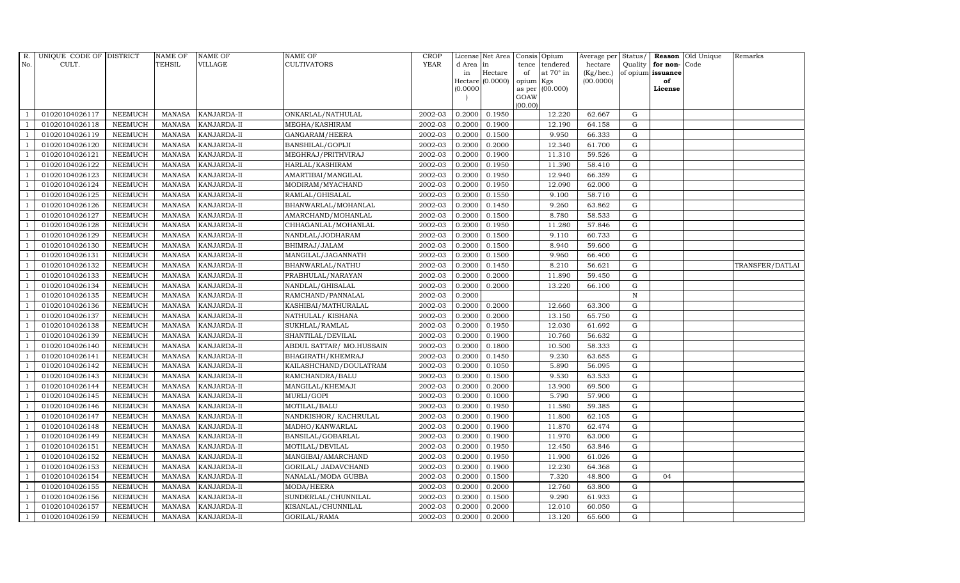| $R_{\cdot}$    | UNIQUE CODE OF DISTRICT |                | <b>NAME OF</b>  | <b>NAME OF</b>     | <b>NAME OF</b>           | <b>CROP</b> |           | License Net Area |           | Consis Opium     | Average per | Status/      |                   | Reason Old Unique | Remarks         |
|----------------|-------------------------|----------------|-----------------|--------------------|--------------------------|-------------|-----------|------------------|-----------|------------------|-------------|--------------|-------------------|-------------------|-----------------|
| No.            | CULT.                   |                | TEHSIL          | VILLAGE            | CULTIVATORS              | <b>YEAR</b> | d Area in |                  | tence     | tendered         | hectare     | Quality      | for non-Code      |                   |                 |
|                |                         |                |                 |                    |                          |             | in        | Hectare          | of        | at $70^\circ$ in | (Kg/hec.)   |              | of opium issuance |                   |                 |
|                |                         |                |                 |                    |                          |             | (0.0000)  | Hectare (0.0000) | opium Kgs | as per (00.000)  | (00.0000)   |              | of<br>License     |                   |                 |
|                |                         |                |                 |                    |                          |             |           |                  | GOAW      |                  |             |              |                   |                   |                 |
|                |                         |                |                 |                    |                          |             |           |                  | (00.00)   |                  |             |              |                   |                   |                 |
|                | 01020104026117          | <b>NEEMUCH</b> | MANASA          | <b>KANJARDA-II</b> | ONKARLAL/NATHULAL        | 2002-03     | 0.2000    | 0.1950           |           | 12.220           | 62.667      | G            |                   |                   |                 |
| -1             | 01020104026118          | <b>NEEMUCH</b> | MANASA          | KANJARDA-II        | MEGHA/KASHIRAM           | 2002-03     | 0.2000    | 0.1900           |           | 12.190           | 64.158      | $\mathbf G$  |                   |                   |                 |
|                | 01020104026119          | <b>NEEMUCH</b> | <b>MANASA</b>   | KANJARDA-II        | GANGARAM/HEERA           | 2002-03     | 0.2000    | 0.1500           |           | 9.950            | 66.333      | G            |                   |                   |                 |
|                | 01020104026120          | <b>NEEMUCH</b> | MANASA          | KANJARDA-II        | BANSHILAL/GOPIJI         | 2002-03     | 0.2000    | 0.2000           |           | 12.340           | 61.700      | ${\rm G}$    |                   |                   |                 |
| $\overline{1}$ | 01020104026121          | <b>NEEMUCH</b> | <b>MANASA</b>   | KANJARDA-II        | MEGHRAJ/PRITHVIRAJ       | 2002-03     | 0.2000    | 0.1900           |           | 11.310           | 59.526      | ${\rm G}$    |                   |                   |                 |
| $\overline{1}$ | 01020104026122          | <b>NEEMUCH</b> | <b>MANASA</b>   | KANJARDA-II        | HARLAL/KASHIRAM          | 2002-03     | 0.2000    | 0.1950           |           | 11.390           | 58.410      | G            |                   |                   |                 |
| $\overline{1}$ | 01020104026123          | <b>NEEMUCH</b> | MANASA          | <b>KANJARDA-II</b> | AMARTIBAI/MANGILAL       | 2002-03     | 0.2000    | 0.1950           |           | 12.940           | 66.359      | $\mathbf G$  |                   |                   |                 |
| $\overline{1}$ | 01020104026124          | <b>NEEMUCH</b> | <b>MANASA</b>   | KANJARDA-II        | MODIRAM/MYACHAND         | 2002-03     | 0.2000    | 0.1950           |           | 12.090           | 62.000      | $\mathbf G$  |                   |                   |                 |
|                | 01020104026125          | <b>NEEMUCH</b> | <b>MANASA</b>   | KANJARDA-II        | RAMLAL/GHISALAL          | 2002-03     | 0.2000    | 0.1550           |           | 9.100            | 58.710      | G            |                   |                   |                 |
| $\overline{1}$ | 01020104026126          | <b>NEEMUCH</b> | <b>MANASA</b>   | KANJARDA-II        | BHANWARLAL/MOHANLAL      | 2002-03     | 0.2000    | 0.1450           |           | 9.260            | 63.862      | G            |                   |                   |                 |
| -1             | 01020104026127          | <b>NEEMUCH</b> | <b>MANASA</b>   | KANJARDA-II        | AMARCHAND/MOHANLAL       | 2002-03     | 0.2000    | 0.1500           |           | 8.780            | 58.533      | ${\rm G}$    |                   |                   |                 |
| $\overline{1}$ | 01020104026128          | <b>NEEMUCH</b> | <b>MANASA</b>   | KANJARDA-II        | CHHAGANLAL/MOHANLAL      | 2002-03     | 0.2000    | 0.1950           |           | 11.280           | 57.846      | $\mathbf G$  |                   |                   |                 |
| $\overline{1}$ | 01020104026129          | <b>NEEMUCH</b> | <b>MANASA</b>   | KANJARDA-II        | NANDLAL/JODHARAM         | 2002-03     | 0.2000    | 0.1500           |           | 9.110            | 60.733      | $\mathbf G$  |                   |                   |                 |
|                | 01020104026130          | <b>NEEMUCH</b> | <b>MANASA</b>   | KANJARDA-II        | BHIMRAJ/JALAM            | 2002-03     | 0.2000    | 0.1500           |           | 8.940            | 59.600      | G            |                   |                   |                 |
|                | 01020104026131          | <b>NEEMUCH</b> | <b>MANASA</b>   | KANJARDA-II        | MANGILAL/JAGANNATH       | 2002-03     | 0.2000    | 0.1500           |           | 9.960            | 66.400      | ${\rm G}$    |                   |                   |                 |
| $\overline{1}$ | 01020104026132          | <b>NEEMUCH</b> | <b>MANASA</b>   | KANJARDA-II        | BHANWARLAL/NATHU         | 2002-03     | 0.2000    | 0.1450           |           | 8.210            | 56.621      | ${\rm G}$    |                   |                   | TRANSFER/DATLAI |
| $\overline{1}$ | 01020104026133          | <b>NEEMUCH</b> | <b>MANASA</b>   | KANJARDA-II        | PRABHULAL/NARAYAN        | 2002-03     | 0.2000    | 0.2000           |           | 11.890           | 59.450      | G            |                   |                   |                 |
| $\overline{1}$ | 01020104026134          | <b>NEEMUCH</b> | <b>MANASA</b>   | KANJARDA-II        | NANDLAL/GHISALAL         | 2002-03     | 0.2000    | 0.2000           |           | 13.220           | 66.100      | $\mathbf G$  |                   |                   |                 |
|                | 01020104026135          | <b>NEEMUCH</b> | <b>MANASA</b>   | KANJARDA-II        | RAMCHAND/PANNALAL        | 2002-03     | 0.2000    |                  |           |                  |             | $\, {\rm N}$ |                   |                   |                 |
|                | 01020104026136          | <b>NEEMUCH</b> | <b>MANASA</b>   | KANJARDA-II        | KASHIBAI/MATHURALAL      | 2002-03     | 0.2000    | 0.2000           |           | 12.660           | 63.300      | $\mathbf G$  |                   |                   |                 |
| $\overline{1}$ | 01020104026137          | <b>NEEMUCH</b> | <b>MANASA</b>   | KANJARDA-II        | NATHULAL/KISHANA         | 2002-03     | 0.2000    | 0.2000           |           | 13.150           | 65.750      | G            |                   |                   |                 |
| $\overline{1}$ | 01020104026138          | <b>NEEMUCH</b> | <b>MANASA</b>   | KANJARDA-II        | SUKHLAL/RAMLAL           | 2002-03     | 0.2000    | 0.1950           |           | 12.030           | 61.692      | ${\rm G}$    |                   |                   |                 |
| $\overline{1}$ | 01020104026139          | <b>NEEMUCH</b> | <b>MANASA</b>   | KANJARDA-II        | SHANTILAL/DEVILAL        | 2002-03     | 0.2000    | 0.1900           |           | 10.760           | 56.632      | G            |                   |                   |                 |
|                | 01020104026140          | <b>NEEMUCH</b> | <b>MANASA</b>   | KANJARDA-II        | ABDUL SATTAR/ MO.HUSSAIN | 2002-03     | 0.2000    | 0.1800           |           | 10.500           | 58.333      | $\mathbf G$  |                   |                   |                 |
|                | 01020104026141          | <b>NEEMUCH</b> | <b>MANASA</b>   | KANJARDA-II        | BHAGIRATH/KHEMRAJ        | 2002-03     | 0.2000    | 0.1450           |           | 9.230            | 63.655      | G            |                   |                   |                 |
| -1             | 01020104026142          | <b>NEEMUCH</b> | <b>MANASA</b>   | KANJARDA-II        | KAILASHCHAND/DOULATRAM   | 2002-03     | 0.2000    | 0.1050           |           | 5.890            | 56.095      | G            |                   |                   |                 |
|                | 01020104026143          | <b>NEEMUCH</b> | <b>MANASA</b>   | KANJARDA-II        | RAMCHANDRA/BALU          | 2002-03     | 0.2000    | 0.1500           |           | 9.530            | 63.533      | ${\rm G}$    |                   |                   |                 |
| $\overline{1}$ | 01020104026144          | <b>NEEMUCH</b> | <b>MANASA</b>   | KANJARDA-II        | MANGILAL/KHEMAJI         | 2002-03     | 0.2000    | 0.2000           |           | 13.900           | 69.500      | G            |                   |                   |                 |
| $\overline{1}$ | 01020104026145          | <b>NEEMUCH</b> | <b>MANASA</b>   | KANJARDA-II        | MURLI/GOPI               | 2002-03     | 0.2000    | 0.1000           |           | 5.790            | 57.900      | ${\rm G}$    |                   |                   |                 |
|                | 01020104026146          | <b>NEEMUCH</b> | <b>MANASA</b>   | KANJARDA-II        | MOTILAL/BALU             | 2002-03     | 0.2000    | 0.1950           |           | 11.580           | 59.385      | $\mathbf G$  |                   |                   |                 |
| $\overline{1}$ | 01020104026147          | <b>NEEMUCH</b> | <b>MANASA</b>   | KANJARDA-II        | NANDKISHOR/KACHRULAL     | 2002-03     | 0.2000    | 0.1900           |           | 11.800           | 62.105      | G            |                   |                   |                 |
|                | 01020104026148          | <b>NEEMUCH</b> | $\mbox{MANASA}$ | KANJARDA-II        | MADHO/KANWARLAL          | 2002-03     | 0.2000    | 0.1900           |           | 11.870           | 62.474      | ${\rm G}$    |                   |                   |                 |
| $\overline{1}$ | 01020104026149          | <b>NEEMUCH</b> | <b>MANASA</b>   | KANJARDA-II        | BANSILAL/GOBARLAL        | 2002-03     | 0.2000    | 0.1900           |           | 11.970           | 63.000      | $\mathbf G$  |                   |                   |                 |
| $\overline{1}$ | 01020104026151          | <b>NEEMUCH</b> | <b>MANASA</b>   | KANJARDA-II        | MOTILAL/DEVILAL          | 2002-03     | 0.2000    | 0.1950           |           | 12.450           | 63.846      | $\mathbf G$  |                   |                   |                 |
|                | 01020104026152          | <b>NEEMUCH</b> | <b>MANASA</b>   | KANJARDA-II        | MANGIBAI/AMARCHAND       | 2002-03     | 0.2000    | 0.1950           |           | 11.900           | 61.026      | $\mathbf G$  |                   |                   |                 |
| $\overline{1}$ | 01020104026153          | <b>NEEMUCH</b> | <b>MANASA</b>   | KANJARDA-II        | GORILAL/ JADAVCHAND      | 2002-03     | 0.2000    | 0.1900           |           | 12.230           | 64.368      | ${\rm G}$    |                   |                   |                 |
| $\overline{1}$ | 01020104026154          | <b>NEEMUCH</b> | <b>MANASA</b>   | KANJARDA-II        | NANALAL/MODA GUBBA       | 2002-03     | 0.2000    | 0.1500           |           | 7.320            | 48.800      | ${\rm G}$    | 04                |                   |                 |
| $\mathbf{1}$   | 01020104026155          | <b>NEEMUCH</b> | <b>MANASA</b>   | KANJARDA-II        | MODA/HEERA               | 2002-03     | 0.2000    | 0.2000           |           | 12.760           | 63.800      | G            |                   |                   |                 |
| $\overline{1}$ | 01020104026156          | <b>NEEMUCH</b> | <b>MANASA</b>   | KANJARDA-II        | SUNDERLAL/CHUNNILAL      | 2002-03     | 0.2000    | 0.1500           |           | 9.290            | 61.933      | $\mathbf G$  |                   |                   |                 |
|                | 01020104026157          | <b>NEEMUCH</b> | <b>MANASA</b>   | KANJARDA-II        | KISANLAL/CHUNNILAL       | 2002-03     | 0.2000    | 0.2000           |           | 12.010           | 60.050      | $\mathbf G$  |                   |                   |                 |
| $\mathbf{1}$   | 01020104026159          | <b>NEEMUCH</b> |                 | MANASA KANJARDA-II | GORILAL/RAMA             | 2002-03     | 0.2000    | 0.2000           |           | 13.120           | 65.600      | G            |                   |                   |                 |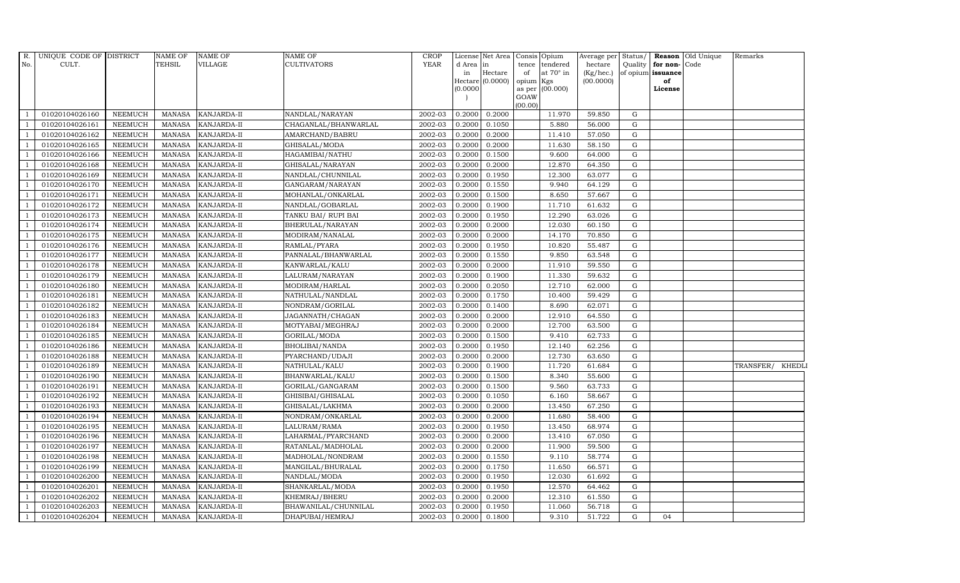| R.             | UNIQUE CODE OF DISTRICT |                | NAME OF       | <b>NAME OF</b>     | NAME OF              | <b>CROP</b> |           | License Net Area Consis Opium |                 |                  | Average per            |             |                         | Status/ Reason Old Unique | Remarks          |
|----------------|-------------------------|----------------|---------------|--------------------|----------------------|-------------|-----------|-------------------------------|-----------------|------------------|------------------------|-------------|-------------------------|---------------------------|------------------|
| No.            | CULT.                   |                | TEHSIL        | <b>VILLAGE</b>     | <b>CULTIVATORS</b>   | <b>YEAR</b> | d Area in |                               |                 | tence tendered   | hectare                |             | Quality   for non- Code |                           |                  |
|                |                         |                |               |                    |                      |             | in        | Hectare<br>Hectare (0.0000)   | of<br>opium Kgs | at $70^\circ$ in | (Kg/hec.)<br>(00.0000) |             | of opium issuance<br>of |                           |                  |
|                |                         |                |               |                    |                      |             | (0.0000)  |                               |                 | as per (00.000)  |                        |             | License                 |                           |                  |
|                |                         |                |               |                    |                      |             |           |                               | GOAW            |                  |                        |             |                         |                           |                  |
|                | 01020104026160          | <b>NEEMUCH</b> | MANASA        | <b>KANJARDA-II</b> | NANDLAL/NARAYAN      | 2002-03     | 0.2000    | 0.2000                        | (00.00)         | 11.970           | 59.850                 | G           |                         |                           |                  |
| -1             | 01020104026161          | <b>NEEMUCH</b> | <b>MANASA</b> | KANJARDA-II        | CHAGANLAL/BHANWARLAL | 2002-03     | 0.2000    | 0.1050                        |                 | 5.880            | 56.000                 | $\mathbf G$ |                         |                           |                  |
|                | 01020104026162          | <b>NEEMUCH</b> | <b>MANASA</b> | KANJARDA-II        | AMARCHAND/BABRU      | 2002-03     | 0.2000    | 0.2000                        |                 | 11.410           | 57.050                 | G           |                         |                           |                  |
|                | 01020104026165          | <b>NEEMUCH</b> | <b>MANASA</b> | KANJARDA-II        | GHISALAL/MODA        | 2002-03     | 0.2000    | 0.2000                        |                 | 11.630           | 58.150                 | $\mathbf G$ |                         |                           |                  |
| $\overline{1}$ | 01020104026166          | <b>NEEMUCH</b> | <b>MANASA</b> | KANJARDA-II        | HAGAMIBAI/NATHU      | 2002-03     | 0.2000    | 0.1500                        |                 | 9.600            | 64.000                 | ${\rm G}$   |                         |                           |                  |
| $\overline{1}$ | 01020104026168          | NEEMUCH        | <b>MANASA</b> | KANJARDA-II        | GHISALAL/NARAYAN     | 2002-03     | 0.2000    | 0.2000                        |                 | 12.870           | 64.350                 | G           |                         |                           |                  |
| $\overline{1}$ | 01020104026169          | <b>NEEMUCH</b> | <b>MANASA</b> | KANJARDA-II        | NANDLAL/CHUNNILAL    | 2002-03     | 0.2000    | 0.1950                        |                 | 12.300           | 63.077                 | $\mathbf G$ |                         |                           |                  |
| $\overline{1}$ | 01020104026170          | <b>NEEMUCH</b> | <b>MANASA</b> | KANJARDA-II        | GANGARAM/NARAYAN     | 2002-03     | 0.2000    | 0.1550                        |                 | 9.940            | 64.129                 | G           |                         |                           |                  |
|                | 01020104026171          | <b>NEEMUCH</b> | <b>MANASA</b> | KANJARDA-II        | MOHANLAL/ONKARLAL    | 2002-03     | 0.2000    | 0.1500                        |                 | 8.650            | 57.667                 | G           |                         |                           |                  |
|                | 01020104026172          | NEEMUCH        | <b>MANASA</b> | KANJARDA-II        | NANDLAL/GOBARLAL     | 2002-03     | 0.2000    | 0.1900                        |                 | 11.710           | 61.632                 | ${\rm G}$   |                         |                           |                  |
| $\overline{1}$ | 01020104026173          | NEEMUCH        | <b>MANASA</b> | KANJARDA-II        | TANKU BAI/ RUPI BAI  | 2002-03     | 0.2000    | 0.1950                        |                 | 12.290           | 63.026                 | G           |                         |                           |                  |
| $\overline{1}$ | 01020104026174          | <b>NEEMUCH</b> | <b>MANASA</b> | KANJARDA-II        | BHERULAL/NARAYAN     | 2002-03     | 0.2000    | 0.2000                        |                 | 12.030           | 60.150                 | $\mathbf G$ |                         |                           |                  |
| $\overline{1}$ | 01020104026175          | <b>NEEMUCH</b> | MANASA        | KANJARDA-II        | MODIRAM/NANALAL      | 2002-03     | 0.2000    | 0.2000                        |                 | 14.170           | 70.850                 | G           |                         |                           |                  |
|                | 01020104026176          | <b>NEEMUCH</b> | <b>MANASA</b> | KANJARDA-II        | RAMLAL/PYARA         | 2002-03     | 0.2000    | 0.1950                        |                 | 10.820           | 55.487                 | G           |                         |                           |                  |
|                | 01020104026177          | NEEMUCH        | <b>MANASA</b> | KANJARDA-II        | PANNALAL/BHANWARLAL  | 2002-03     | 0.2000    | 0.1550                        |                 | 9.850            | 63.548                 | ${\rm G}$   |                         |                           |                  |
| $\overline{1}$ | 01020104026178          | <b>NEEMUCH</b> | <b>MANASA</b> | KANJARDA-II        | KANWARLAL/KALU       | 2002-03     | 0.2000    | 0.2000                        |                 | 11.910           | 59.550                 | G           |                         |                           |                  |
| $\overline{1}$ | 01020104026179          | <b>NEEMUCH</b> | <b>MANASA</b> | KANJARDA-II        | LALURAM/NARAYAN      | 2002-03     | 0.2000    | 0.1900                        |                 | 11.330           | 59.632                 | G           |                         |                           |                  |
| $\overline{1}$ | 01020104026180          | <b>NEEMUCH</b> | <b>MANASA</b> | KANJARDA-II        | MODIRAM/HARLAL       | 2002-03     | 0.2000    | 0.2050                        |                 | 12.710           | 62.000                 | $\mathbf G$ |                         |                           |                  |
|                | 01020104026181          | <b>NEEMUCH</b> | <b>MANASA</b> | KANJARDA-II        | NATHULAL/NANDLAL     | 2002-03     | 0.2000    | 0.1750                        |                 | 10.400           | 59.429                 | $\mathbf G$ |                         |                           |                  |
|                | 01020104026182          | <b>NEEMUCH</b> | <b>MANASA</b> | KANJARDA-II        | NONDRAM/GORILAL      | 2002-03     | 0.2000    | 0.1400                        |                 | 8.690            | 62.071                 | $\mathbf G$ |                         |                           |                  |
| $\overline{1}$ | 01020104026183          | NEEMUCH        | <b>MANASA</b> | KANJARDA-II        | JAGANNATH/CHAGAN     | 2002-03     | 0.2000    | 0.2000                        |                 | 12.910           | 64.550                 | G           |                         |                           |                  |
|                | 01020104026184          | NEEMUCH        | <b>MANASA</b> | KANJARDA-II        | MOTYABAI/MEGHRAJ     | 2002-03     | 0.2000    | 0.2000                        |                 | 12.700           | 63.500                 | G           |                         |                           |                  |
| $\overline{1}$ | 01020104026185          | <b>NEEMUCH</b> | MANASA        | KANJARDA-II        | GORILAL/MODA         | 2002-03     | 0.2000    | 0.1500                        |                 | 9.410            | 62.733                 | G           |                         |                           |                  |
|                | 01020104026186          | NEEMUCH        | <b>MANASA</b> | KANJARDA-II        | BHOLIBAI/NANDA       | 2002-03     | 0.2000    | 0.1950                        |                 | 12.140           | 62.256                 | $\mathbf G$ |                         |                           |                  |
|                | 01020104026188          | <b>NEEMUCH</b> | <b>MANASA</b> | KANJARDA-II        | PYARCHAND/UDAJI      | 2002-03     | 0.2000    | 0.2000                        |                 | 12.730           | 63.650                 | ${\rm G}$   |                         |                           |                  |
| -1             | 01020104026189          | <b>NEEMUCH</b> | <b>MANASA</b> | KANJARDA-II        | NATHULAL/KALU        | 2002-03     | 0.2000    | 0.1900                        |                 | 11.720           | 61.684                 | G           |                         |                           | TRANSFER/ KHEDLI |
|                | 01020104026190          | NEEMUCH        | <b>MANASA</b> | KANJARDA-II        | BHANWARLAL/KALU      | 2002-03     | 0.2000    | 0.1500                        |                 | 8.340            | 55.600                 | G           |                         |                           |                  |
| $\overline{1}$ | 01020104026191          | <b>NEEMUCH</b> | <b>MANASA</b> | KANJARDA-II        | GORILAL/GANGARAM     | 2002-03     | 0.2000    | 0.1500                        |                 | 9.560            | 63.733                 | G           |                         |                           |                  |
| $\mathbf{1}$   | 01020104026192          | NEEMUCH        | <b>MANASA</b> | KANJARDA-II        | GHISIBAI/GHISALAL    | 2002-03     | 0.2000    | 0.1050                        |                 | 6.160            | 58.667                 | $\mathbf G$ |                         |                           |                  |
|                | 01020104026193          | <b>NEEMUCH</b> | <b>MANASA</b> | KANJARDA-II        | GHISALAL/LAKHMA      | 2002-03     | 0.2000    | 0.2000                        |                 | 13.450           | 67.250                 | G           |                         |                           |                  |
| $\overline{1}$ | 01020104026194          | <b>NEEMUCH</b> | <b>MANASA</b> | KANJARDA-II        | NONDRAM/ONKARLAL     | 2002-03     | 0.2000    | 0.2000                        |                 | 11.680           | 58.400                 | G           |                         |                           |                  |
| -1             | 01020104026195          | NEEMUCH        | <b>MANASA</b> | KANJARDA-II        | LALURAM/RAMA         | 2002-03     | 0.2000    | 0.1950                        |                 | 13.450           | 68.974                 | $\mathbf G$ |                         |                           |                  |
| $\overline{1}$ | 01020104026196          | NEEMUCH        | <b>MANASA</b> | KANJARDA-II        | LAHARMAL/PYARCHAND   | 2002-03     | 0.2000    | 0.2000                        |                 | 13.410           | 67.050                 | G           |                         |                           |                  |
|                | 01020104026197          | <b>NEEMUCH</b> | <b>MANASA</b> | KANJARDA-II        | RATANLAL/MADHOLAL    | 2002-03     | 0.2000    | 0.2000                        |                 | 11.900           | 59.500                 | $\mathbf G$ |                         |                           |                  |
|                | 01020104026198          | <b>NEEMUCH</b> | <b>MANASA</b> | KANJARDA-II        | MADHOLAL/NONDRAM     | 2002-03     | 0.2000    | 0.1550                        |                 | 9.110            | 58.774                 | $\mathbf G$ |                         |                           |                  |
|                | 01020104026199          | NEEMUCH        | <b>MANASA</b> | KANJARDA-II        | MANGILAL/BHURALAL    | 2002-03     | 0.2000    | 0.1750                        |                 | 11.650           | 66.571                 | G           |                         |                           |                  |
|                | 01020104026200          | <b>NEEMUCH</b> | <b>MANASA</b> | KANJARDA-II        | NANDLAL/MODA         | 2002-03     | 0.2000    | 0.1950                        |                 | 12.030           | 61.692                 | G           |                         |                           |                  |
| $\overline{1}$ | 01020104026201          | <b>NEEMUCH</b> | <b>MANASA</b> | KANJARDA-II        | SHANKARLAL/MODA      | 2002-03     | 0.2000    | 0.1950                        |                 | 12.570           | 64.462                 | G           |                         |                           |                  |
| $\overline{1}$ | 01020104026202          | NEEMUCH        | <b>MANASA</b> | KANJARDA-II        | KHEMRAJ/BHERU        | 2002-03     | 0.2000    | 0.2000                        |                 | 12.310           | 61.550                 | $\mathbf G$ |                         |                           |                  |
|                | 01020104026203          | <b>NEEMUCH</b> | <b>MANASA</b> | KANJARDA-II        | BHAWANILAL/CHUNNILAL | 2002-03     | 0.2000    | 0.1950                        |                 | 11.060           | 56.718                 | $\mathbf G$ |                         |                           |                  |
| $\overline{1}$ | 01020104026204          | <b>NEEMUCH</b> | <b>MANASA</b> | <b>KANJARDA-II</b> | DHAPUBAI/HEMRAJ      | 2002-03     | 0.2000    | 0.1800                        |                 | 9.310            | 51.722                 | G           | 04                      |                           |                  |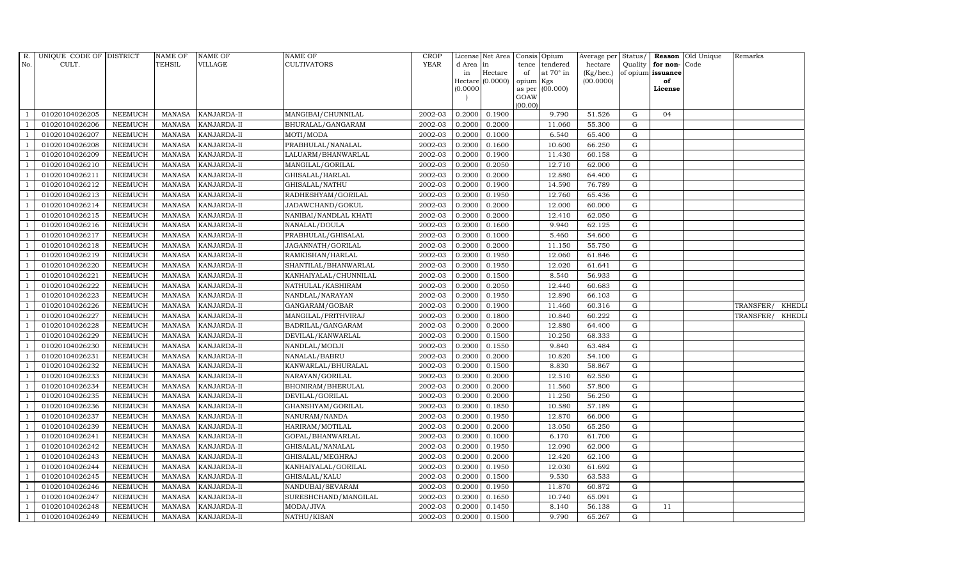| R.<br>No.      | UNIQUE CODE OF DISTRICT<br>CULT. |                           | NAME OF<br>TEHSIL              | <b>NAME OF</b><br><b>VILLAGE</b> | NAME OF<br>CULTIVATORS               | <b>CROP</b><br><b>YEAR</b> | d Area in        | License Net Area Consis Opium |           | tence tendered   | Average per<br>hectare |                | Quality for non-Code | Status/ Reason Old Unique | Remarks                    |
|----------------|----------------------------------|---------------------------|--------------------------------|----------------------------------|--------------------------------------|----------------------------|------------------|-------------------------------|-----------|------------------|------------------------|----------------|----------------------|---------------------------|----------------------------|
|                |                                  |                           |                                |                                  |                                      |                            | in               | Hectare                       | of        | at $70^\circ$ in | (Kg/hec.)              |                | of opium issuance    |                           |                            |
|                |                                  |                           |                                |                                  |                                      |                            |                  | Hectare (0.0000)              | opium Kgs |                  | (00.0000)              |                | of                   |                           |                            |
|                |                                  |                           |                                |                                  |                                      |                            | (0.0000)         |                               | GOAW      | as per (00.000)  |                        |                | License              |                           |                            |
|                |                                  |                           |                                |                                  |                                      |                            |                  |                               | (00.00)   |                  |                        |                |                      |                           |                            |
|                | 01020104026205                   | <b>NEEMUCH</b>            | MANASA                         | KANJARDA-II                      | MANGIBAI/CHUNNILAL                   | 2002-03                    |                  | 0.2000 0.1900                 |           | 9.790            | 51.526                 | G              | 04                   |                           |                            |
| $\overline{1}$ | 01020104026206                   | NEEMUCH                   | <b>MANASA</b>                  | KANJARDA-II                      | BHURALAL/GANGARAM                    | 2002-03                    | 0.2000           | 0.2000                        |           | 11.060           | 55.300                 | $\mathbf G$    |                      |                           |                            |
|                | 01020104026207                   | <b>NEEMUCH</b>            | <b>MANASA</b>                  | KANJARDA-II                      | MOTI/MODA                            | 2002-03                    | 0.2000           | 0.1000                        |           | 6.540            | 65.400                 | G              |                      |                           |                            |
|                | 01020104026208                   | <b>NEEMUCH</b>            | <b>MANASA</b>                  | KANJARDA-II                      | PRABHULAL/NANALAL                    | 2002-03                    | 0.2000           | 0.1600                        |           | 10.600           | 66.250                 | G              |                      |                           |                            |
| -1             | 01020104026209                   | NEEMUCH                   | <b>MANASA</b>                  | KANJARDA-II                      | LALUARM/BHANWARLAL                   | 2002-03                    | 0.2000           | 0.1900                        |           | 11.430           | 60.158                 | ${\rm G}$      |                      |                           |                            |
| $\overline{1}$ | 01020104026210                   | NEEMUCH                   | <b>MANASA</b>                  | KANJARDA-II                      | MANGILAL/GORILAL                     | 2002-03                    | 0.2000           | 0.2050                        |           | 12.710           | 62.000                 | G              |                      |                           |                            |
| $\overline{1}$ | 01020104026211                   | NEEMUCH                   | <b>MANASA</b>                  | KANJARDA-II                      | GHISALAL/HARLAL                      | 2002-03                    | 0.2000           | 0.2000                        |           | 12.880           | 64.400                 | $\mathbf G$    |                      |                           |                            |
| $\overline{1}$ | 01020104026212                   | <b>NEEMUCH</b>            | <b>MANASA</b>                  | KANJARDA-II                      | GHISALAL/NATHU                       | 2002-03                    | 0.2000           | 0.1900                        |           | 14.590           | 76.789                 | G              |                      |                           |                            |
|                | 01020104026213                   | NEEMUCH                   | <b>MANASA</b>                  | KANJARDA-II                      | RADHESHYAM/GORILAL                   | 2002-03                    | 0.2000           | 0.1950                        |           | 12.760           | 65.436                 | G              |                      |                           |                            |
|                | 01020104026214                   | <b>NEEMUCH</b>            | <b>MANASA</b>                  | KANJARDA-II                      | JADAWCHAND/GOKUL                     | 2002-03                    | 0.2000           | 0.2000                        |           | 12.000           | 60.000                 | $\mathbf G$    |                      |                           |                            |
| -1             | 01020104026215                   | <b>NEEMUCH</b>            | <b>MANASA</b>                  | KANJARDA-II                      | NANIBAI/NANDLAL KHATI                | 2002-03                    | 0.2000           | 0.2000                        |           | 12.410           | 62.050                 | G              |                      |                           |                            |
|                | 01020104026216                   | NEEMUCH                   | <b>MANASA</b>                  | KANJARDA-II                      | NANALAL/DOULA                        | 2002-03                    | 0.2000           | 0.1600                        |           | 9.940            | 62.125                 | G              |                      |                           |                            |
| $\overline{1}$ | 01020104026217                   | <b>NEEMUCH</b>            | <b>MANASA</b>                  | KANJARDA-II                      | PRABHULAL/GHISALAL                   | 2002-03                    | 0.2000           | 0.1000                        |           | 5.460            | 54.600                 | G              |                      |                           |                            |
|                | 01020104026218                   | <b>NEEMUCH</b>            | <b>MANASA</b>                  | KANJARDA-II                      | JAGANNATH/GORILAL                    | 2002-03                    | 0.2000           | 0.2000                        |           | 11.150           | 55.750                 | $\mathbf G$    |                      |                           |                            |
|                | 01020104026219                   | NEEMUCH                   | <b>MANASA</b>                  | KANJARDA-II                      | RAMKISHAN/HARLAL                     | 2002-03                    | 0.2000           | 0.1950                        |           | 12.060           | 61.846                 | ${\rm G}$      |                      |                           |                            |
| $\overline{1}$ | 01020104026220                   | <b>NEEMUCH</b>            | <b>MANASA</b>                  | KANJARDA-II                      | SHANTILAL/BHANWARLAL                 | 2002-03                    | 0.2000           | 0.1950                        |           | 12.020           | 61.641                 | G              |                      |                           |                            |
|                | 01020104026221                   | NEEMUCH                   | <b>MANASA</b>                  | KANJARDA-II                      | KANHAIYALAL/CHUNNILAL                | 2002-03                    | 0.2000           | 0.1500                        |           | 8.540            | 56.933                 | G              |                      |                           |                            |
| $\overline{1}$ | 01020104026222                   | NEEMUCH                   | <b>MANASA</b>                  | KANJARDA-II                      | NATHULAL/KASHIRAM                    | 2002-03                    | 0.2000           | 0.2050                        |           | 12.440           | 60.683                 | G              |                      |                           |                            |
|                | 01020104026223                   | <b>NEEMUCH</b>            | <b>MANASA</b>                  | KANJARDA-II                      | NANDLAL/NARAYAN                      | 2002-03                    | 0.2000           | 0.1950                        |           | 12.890           | 66.103                 | G              |                      |                           |                            |
|                | 01020104026226                   | NEEMUCH                   | <b>MANASA</b>                  | KANJARDA-II                      | GANGARAM/GOBAR                       | 2002-03                    | 0.2000           | 0.1900                        |           | 11.460           | 60.316                 | $\mathbf G$    |                      |                           | TRANSFER/<br><b>KHEDLI</b> |
|                | 01020104026227                   | NEEMUCH                   | <b>MANASA</b>                  | KANJARDA-II                      | MANGILAL/PRITHVIRAJ                  | 2002-03                    | 0.2000           | 0.1800                        |           | 10.840           | 60.222                 | G              |                      |                           | TRANSFER/<br>KHEDLI        |
|                | 01020104026228                   | <b>NEEMUCH</b>            | <b>MANASA</b>                  | KANJARDA-II                      | BADRILAL/GANGARAM                    | 2002-03                    | 0.2000           | 0.2000                        |           | 12.880           | 64.400                 | G              |                      |                           |                            |
| $\overline{1}$ | 01020104026229                   | <b>NEEMUCH</b>            | <b>MANASA</b>                  | KANJARDA-II                      | DEVILAL/KANWARLAL                    | 2002-03                    | 0.2000           | 0.1500                        |           | 10.250           | 68.333                 | G              |                      |                           |                            |
|                | 01020104026230                   | <b>NEEMUCH</b>            | <b>MANASA</b>                  | KANJARDA-II                      | NANDLAL/MODJI                        | 2002-03                    | 0.2000           | 0.1550                        |           | 9.840            | 63.484                 | $\mathbf G$    |                      |                           |                            |
|                | 01020104026231                   | <b>NEEMUCH</b>            | <b>MANASA</b>                  | KANJARDA-II                      | NANALAL/BABRU                        | 2002-03                    | 0.2000           | 0.2000                        |           | 10.820           | 54.100                 | ${\rm G}$      |                      |                           |                            |
| $\overline{1}$ | 01020104026232                   | NEEMUCH                   | <b>MANASA</b>                  | KANJARDA-II                      | KANWARLAL/BHURALAL                   | 2002-03                    | 0.2000           | 0.1500                        |           | 8.830            | 58.867                 | $\mathbf G$    |                      |                           |                            |
|                | 01020104026233                   | <b>NEEMUCH</b>            | <b>MANASA</b>                  | KANJARDA-II                      | NARAYAN/GORILAL                      | 2002-03                    | 0.2000           | 0.2000                        |           | 12.510           | 62.550                 | G              |                      |                           |                            |
| $\mathbf{1}$   | 01020104026234                   | NEEMUCH                   | MANASA                         | KANJARDA-II                      | BHONIRAM/BHERULAL                    | 2002-03                    | 0.2000           | 0.2000                        |           | 11.560           | 57.800                 | G<br>${\rm G}$ |                      |                           |                            |
|                | 01020104026235                   | NEEMUCH                   | <b>MANASA</b>                  | KANJARDA-II                      | DEVILAL/GORILAL                      | 2002-03                    | 0.2000           | 0.2000                        |           | 11.250           | 56.250                 | G              |                      |                           |                            |
|                | 01020104026236                   | NEEMUCH                   | <b>MANASA</b>                  | KANJARDA-II                      | GHANSHYAM/GORILAL                    | 2002-03                    | 0.2000<br>0.2000 | 0.1850                        |           | 10.580<br>12.870 | 57.189                 | $\mathbf G$    |                      |                           |                            |
|                | 01020104026237<br>01020104026239 | NEEMUCH<br><b>NEEMUCH</b> | <b>MANASA</b><br><b>MANASA</b> | KANJARDA-II                      | NANURAM/NANDA                        | 2002-03<br>2002-03         | 0.2000           | 0.1950<br>0.2000              |           | 13.050           | 66.000<br>65.250       | G              |                      |                           |                            |
|                |                                  |                           |                                | KANJARDA-II                      | HARIRAM/MOTILAL                      |                            |                  |                               |           | 6.170            |                        | G              |                      |                           |                            |
| $\overline{1}$ | 01020104026241<br>01020104026242 | <b>NEEMUCH</b><br>NEEMUCH | <b>MANASA</b><br><b>MANASA</b> | KANJARDA-II<br>KANJARDA-II       | GOPAL/BHANWARLAL<br>GHISALAL/NANALAL | 2002-03<br>2002-03         | 0.2000<br>0.2000 | 0.1000<br>0.1950              |           | 12.090           | 61.700<br>62.000       | $\mathbf G$    |                      |                           |                            |
|                | 01020104026243                   | <b>NEEMUCH</b>            | <b>MANASA</b>                  | KANJARDA-II                      |                                      | 2002-03                    | 0.2000           | 0.2000                        |           | 12.420           | 62.100                 | G              |                      |                           |                            |
|                | 01020104026244                   | <b>NEEMUCH</b>            | <b>MANASA</b>                  | KANJARDA-II                      | GHISALAL/MEGHRAJ                     | 2002-03                    | 0.2000           | 0.1950                        |           | 12.030           | 61.692                 | G              |                      |                           |                            |
|                | 01020104026245                   | NEEMUCH                   | <b>MANASA</b>                  | KANJARDA-II                      | KANHAIYALAL/GORILAL<br>GHISALAL/KALU | 2002-03                    | 0.2000           | 0.1500                        |           | 9.530            | 63.533                 | G              |                      |                           |                            |
| $\overline{1}$ | 01020104026246                   | NEEMUCH                   | <b>MANASA</b>                  | KANJARDA-II                      | NANDUBAI/SEVARAM                     | 2002-03                    | 0.2000           | 0.1950                        |           | 11.870           | 60.872                 | G              |                      |                           |                            |
| $\overline{1}$ | 01020104026247                   | <b>NEEMUCH</b>            | <b>MANASA</b>                  | KANJARDA-II                      | SURESHCHAND/MANGILAL                 | 2002-03                    | 0.2000           | 0.1650                        |           | 10.740           | 65.091                 | G              |                      |                           |                            |
| $\overline{1}$ | 01020104026248                   | NEEMUCH                   | <b>MANASA</b>                  | KANJARDA-II                      | MODA/JIVA                            | 2002-03                    | 0.2000           | 0.1450                        |           | 8.140            | 56.138                 | $\mathbf G$    | 11                   |                           |                            |
|                | 01020104026249                   | NEEMUCH                   | MANASA                         | <b>KANJARDA-II</b>               | NATHU/KISAN                          | 2002-03                    |                  | 0.2000 0.1500                 |           | 9.790            | 65.267                 | G              |                      |                           |                            |
|                |                                  |                           |                                |                                  |                                      |                            |                  |                               |           |                  |                        |                |                      |                           |                            |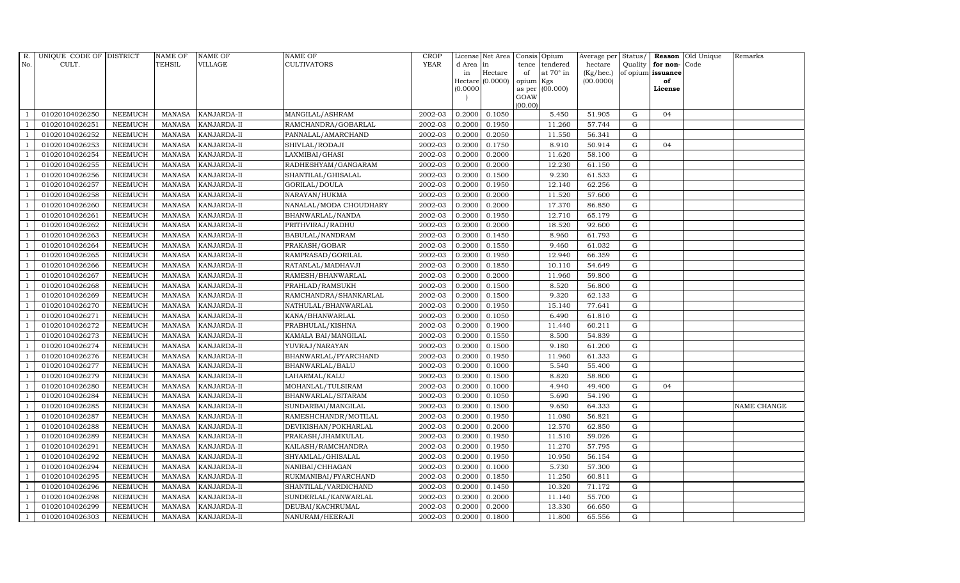| R.             | UNIQUE CODE OF DISTRICT |                | <b>NAME OF</b> | <b>NAME OF</b>     | <b>NAME OF</b>         | CROP        |           | License Net Area   |           | Consis Opium     | Average per Status/ |             |                      | Reason Old Unique | Remarks     |
|----------------|-------------------------|----------------|----------------|--------------------|------------------------|-------------|-----------|--------------------|-----------|------------------|---------------------|-------------|----------------------|-------------------|-------------|
| No.            | CULT.                   |                | <b>TEHSIL</b>  | VILLAGE            | <b>CULTIVATORS</b>     | <b>YEAR</b> | d Area in |                    | tence     | tendered         | hectare             |             | Quality $ $ for non- | Code              |             |
|                |                         |                |                |                    |                        |             | in        | Hectare            | of        | at $70^\circ$ in | (Kg/hec.)           |             | of opium issuance    |                   |             |
|                |                         |                |                |                    |                        |             | (0.0000)  | Hectare $(0.0000)$ | opium Kgs | as per (00.000)  | (00.0000)           |             | of<br>License        |                   |             |
|                |                         |                |                |                    |                        |             |           |                    | GOAW      |                  |                     |             |                      |                   |             |
|                |                         |                |                |                    |                        |             |           |                    | (00.00)   |                  |                     |             |                      |                   |             |
|                | 01020104026250          | <b>NEEMUCH</b> | MANASA         | <b>KANJARDA-II</b> | MANGILAL/ASHRAM        | 2002-03     | 0.2000    | 0.1050             |           | 5.450            | 51.905              | G           | 04                   |                   |             |
| -1             | 01020104026251          | <b>NEEMUCH</b> | MANASA         | KANJARDA-II        | RAMCHANDRA/GOBARLAL    | 2002-03     | 0.2000    | 0.1950             |           | 11.260           | 57.744              | $\mathbf G$ |                      |                   |             |
|                | 01020104026252          | <b>NEEMUCH</b> | <b>MANASA</b>  | KANJARDA-II        | PANNALAL/AMARCHAND     | 2002-03     | 0.2000    | 0.2050             |           | 11.550           | 56.341              | G           |                      |                   |             |
|                | 01020104026253          | <b>NEEMUCH</b> | MANASA         | KANJARDA-II        | SHIVLAL/RODAJI         | 2002-03     | 0.2000    | 0.1750             |           | 8.910            | 50.914              | G           | 04                   |                   |             |
| $\overline{1}$ | 01020104026254          | <b>NEEMUCH</b> | <b>MANASA</b>  | KANJARDA-II        | LAXMIBAI/GHASI         | 2002-03     | 0.2000    | 0.2000             |           | 11.620           | 58.100              | G           |                      |                   |             |
| $\overline{1}$ | 01020104026255          | <b>NEEMUCH</b> | MANASA         | KANJARDA-II        | RADHESHYAM/GANGARAM    | 2002-03     | 0.2000    | 0.2000             |           | 12.230           | 61.150              | G           |                      |                   |             |
| $\overline{1}$ | 01020104026256          | <b>NEEMUCH</b> | MANASA         | KANJARDA-II        | SHANTILAL/GHISALAL     | 2002-03     | 0.2000    | 0.1500             |           | 9.230            | 61.533              | ${\rm G}$   |                      |                   |             |
| $\overline{1}$ | 01020104026257          | <b>NEEMUCH</b> | <b>MANASA</b>  | KANJARDA-II        | GORILAL/DOULA          | 2002-03     | 0.2000    | 0.1950             |           | 12.140           | 62.256              | $\mathbf G$ |                      |                   |             |
|                | 01020104026258          | <b>NEEMUCH</b> | MANASA         | KANJARDA-II        | NARAYAN/HUKMA          | 2002-03     | 0.2000    | 0.2000             |           | 11.520           | 57.600              | $\mathbf G$ |                      |                   |             |
|                | 01020104026260          | <b>NEEMUCH</b> | <b>MANASA</b>  | KANJARDA-II        | NANALAL/MODA CHOUDHARY | 2002-03     | 0.2000    | 0.2000             |           | 17.370           | 86.850              | ${\rm G}$   |                      |                   |             |
| $\overline{1}$ | 01020104026261          | <b>NEEMUCH</b> | <b>MANASA</b>  | KANJARDA-II        | BHANWARLAL/NANDA       | 2002-03     | 0.2000    | 0.1950             |           | 12.710           | 65.179              | G           |                      |                   |             |
| $\overline{1}$ | 01020104026262          | <b>NEEMUCH</b> | MANASA         | <b>KANJARDA-II</b> | PRITHVIRAJ/RADHU       | 2002-03     | 0.2000    | 0.2000             |           | 18.520           | 92.600              | G           |                      |                   |             |
| $\overline{1}$ | 01020104026263          | <b>NEEMUCH</b> | <b>MANASA</b>  | KANJARDA-II        | BABULAL/NANDRAM        | 2002-03     | 0.2000    | 0.1450             |           | 8.960            | 61.793              | $\mathbf G$ |                      |                   |             |
|                | 01020104026264          | <b>NEEMUCH</b> | MANASA         | KANJARDA-II        | PRAKASH/GOBAR          | 2002-03     | 0.2000    | 0.1550             |           | 9.460            | 61.032              | G           |                      |                   |             |
| $\overline{1}$ | 01020104026265          | <b>NEEMUCH</b> | MANASA         | KANJARDA-II        | RAMPRASAD/GORILAL      | 2002-03     | 0.2000    | 0.1950             |           | 12.940           | 66.359              | G           |                      |                   |             |
| $\overline{1}$ | 01020104026266          | <b>NEEMUCH</b> | MANASA         | KANJARDA-II        | RATANLAL/MADHAVJI      | 2002-03     | 0.2000    | 0.1850             |           | 10.110           | 54.649              | G           |                      |                   |             |
|                | 01020104026267          | <b>NEEMUCH</b> | MANASA         | KANJARDA-II        | RAMESH/BHANWARLAL      | 2002-03     | 0.2000    | 0.2000             |           | 11.960           | 59.800              | G           |                      |                   |             |
| $\overline{1}$ | 01020104026268          | <b>NEEMUCH</b> | MANASA         | <b>KANJARDA-II</b> | PRAHLAD/RAMSUKH        | 2002-03     | 0.2000    | 0.1500             |           | 8.520            | 56.800              | G           |                      |                   |             |
|                | 01020104026269          | <b>NEEMUCH</b> | MANASA         | KANJARDA-II        | RAMCHANDRA/SHANKARLAL  | 2002-03     | 0.2000    | 0.1500             |           | 9.320            | 62.133              | G           |                      |                   |             |
|                | 01020104026270          | <b>NEEMUCH</b> | <b>MANASA</b>  | KANJARDA-II        | NATHULAL/BHANWARLAL    | 2002-03     | 0.2000    | 0.1950             |           | 15.140           | 77.641              | G           |                      |                   |             |
| -1             | 01020104026271          | <b>NEEMUCH</b> | <b>MANASA</b>  | KANJARDA-II        | KANA/BHANWARLAL        | 2002-03     | 0.2000    | 0.1050             |           | 6.490            | 61.810              | G           |                      |                   |             |
|                | 01020104026272          | <b>NEEMUCH</b> | MANASA         | KANJARDA-II        | PRABHULAL/KISHNA       | 2002-03     | 0.2000    | 0.1900             |           | 11.440           | 60.211              | G           |                      |                   |             |
| $\overline{1}$ | 01020104026273          | <b>NEEMUCH</b> | MANASA         | <b>KANJARDA-II</b> | KAMALA BAI/MANGILAL    | 2002-03     | 0.2000    | 0.1550             |           | 8.500            | 54.839              | G           |                      |                   |             |
|                | 01020104026274          | <b>NEEMUCH</b> | <b>MANASA</b>  | KANJARDA-II        | YUVRAJ/NARAYAN         | 2002-03     | 0.2000    | 0.1500             |           | 9.180            | 61.200              | $\mathbf G$ |                      |                   |             |
|                | 01020104026276          | <b>NEEMUCH</b> | <b>MANASA</b>  | KANJARDA-II        | BHANWARLAL/PYARCHAND   | 2002-03     | 0.2000    | 0.1950             |           | 11.960           | 61.333              | G           |                      |                   |             |
| -1             | 01020104026277          | <b>NEEMUCH</b> | <b>MANASA</b>  | <b>KANJARDA-II</b> | BHANWARLAL/BALU        | 2002-03     | 0.2000    | 0.1000             |           | 5.540            | 55.400              | G           |                      |                   |             |
| $\overline{1}$ | 01020104026279          | <b>NEEMUCH</b> | <b>MANASA</b>  | KANJARDA-II        | LAHARMAL/KALU          | 2002-03     | 0.2000    | 0.1500             |           | 8.820            | 58.800              | G           |                      |                   |             |
| $\overline{1}$ | 01020104026280          | <b>NEEMUCH</b> | MANASA         | <b>KANJARDA-II</b> | MOHANLAL/TULSIRAM      | 2002-03     | 0.2000    | 0.1000             |           | 4.940            | 49.400              | G           | 04                   |                   |             |
| $\overline{1}$ | 01020104026284          | <b>NEEMUCH</b> | MANASA         | KANJARDA-II        | BHANWARLAL/SITARAM     | 2002-03     | 0.2000    | 0.1050             |           | 5.690            | 54.190              | $\mathbf G$ |                      |                   |             |
|                | 01020104026285          | <b>NEEMUCH</b> | MANASA         | KANJARDA-II        | SUNDARBAI/MANGILAL     | 2002-03     | 0.2000    | 0.1500             |           | 9.650            | 64.333              | G           |                      |                   | NAME CHANGE |
| $\overline{1}$ | 01020104026287          | <b>NEEMUCH</b> | MANASA         | KANJARDA-II        | RAMESHCHANDR/MOTILAL   | 2002-03     | 0.2000    | 0.1950             |           | 11.080           | 56.821              | G           |                      |                   |             |
|                | 01020104026288          | <b>NEEMUCH</b> | MANASA         | KANJARDA-II        | DEVIKISHAN/POKHARLAL   | 2002-03     | 0.2000    | 0.2000             |           | 12.570           | 62.850              | G           |                      |                   |             |
| $\overline{1}$ | 01020104026289          | <b>NEEMUCH</b> | MANASA         | KANJARDA-II        | PRAKASH/JHAMKULAL      | 2002-03     | 0.2000    | 0.1950             |           | 11.510           | 59.026              | G           |                      |                   |             |
| $\overline{1}$ | 01020104026291          | <b>NEEMUCH</b> | <b>MANASA</b>  | <b>KANJARDA-II</b> | KAILASH/RAMCHANDRA     | 2002-03     | 0.2000    | 0.1950             |           | 11.270           | 57.795              | G           |                      |                   |             |
|                | 01020104026292          | <b>NEEMUCH</b> | <b>MANASA</b>  | KANJARDA-II        | SHYAMLAL/GHISALAL      | 2002-03     | 0.2000    | 0.1950             |           | 10.950           | 56.154              | $\mathbf G$ |                      |                   |             |
| $\overline{1}$ | 01020104026294          | <b>NEEMUCH</b> | <b>MANASA</b>  | KANJARDA-II        | NANIBAI/CHHAGAN        | 2002-03     | 0.2000    | 0.1000             |           | 5.730            | 57.300              | G           |                      |                   |             |
| $\overline{1}$ | 01020104026295          | <b>NEEMUCH</b> | MANASA         | KANJARDA-II        | RUKMANIBAI/PYARCHAND   | 2002-03     | 0.2000    | 0.1850             |           | 11.250           | 60.811              | G           |                      |                   |             |
| $\overline{1}$ | 01020104026296          | NEEMUCH        | MANASA         | KANJARDA-II        | SHANTILAL/VARDICHAND   | 2002-03     | 0.2000    | 0.1450             |           | 10.320           | 71.172              | G           |                      |                   |             |
| $\overline{1}$ | 01020104026298          | <b>NEEMUCH</b> | <b>MANASA</b>  | KANJARDA-II        | SUNDERLAL/KANWARLAL    | 2002-03     | 0.2000    | 0.2000             |           | 11.140           | 55.700              | G           |                      |                   |             |
|                | 01020104026299          | <b>NEEMUCH</b> | <b>MANASA</b>  | KANJARDA-II        | DEUBAI/KACHRUMAL       | 2002-03     | 0.2000    | 0.2000             |           | 13.330           | 66.650              | $\mathbf G$ |                      |                   |             |
| $\mathbf{1}$   | 01020104026303          | <b>NEEMUCH</b> |                | MANASA KANJARDA-II | NANURAM/HEERAJI        | 2002-03     | 0.2000    | 0.1800             |           | 11.800           | 65.556              | G           |                      |                   |             |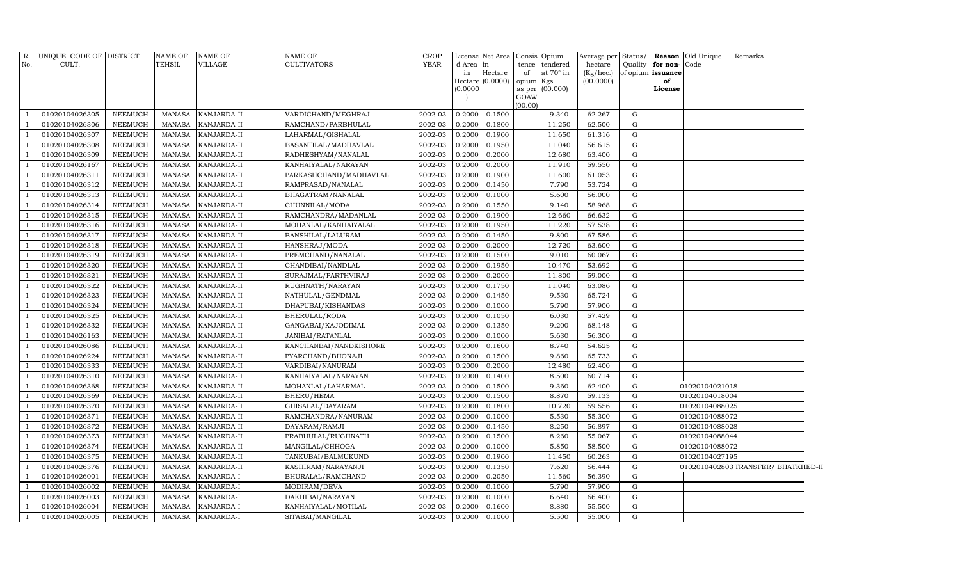| $R$ .<br>No.   | UNIQUE CODE OF DISTRICT<br>CULT. |                | NAME OF<br>TEHSIL | <b>NAME OF</b><br>VILLAGE | <b>NAME OF</b><br>CULTIVATORS | <b>CROP</b><br><b>YEAR</b> | d Area in<br>in<br>(0.0000) | License Net Area Consis Opium<br>Hectare<br>Hectare $(0.0000)$ | tence<br>of<br>opium<br>as per<br>GOAW<br>(00.00) | tendered<br>at $70^\circ$ in<br>Kgs<br>(00.000) | Average per Status/<br>hectare<br>(Kg/hec.)<br>(00.0000) | Quality     | for non-Code<br>of opium issuance<br>of<br>License | Reason Old Unique | Remarks                           |
|----------------|----------------------------------|----------------|-------------------|---------------------------|-------------------------------|----------------------------|-----------------------------|----------------------------------------------------------------|---------------------------------------------------|-------------------------------------------------|----------------------------------------------------------|-------------|----------------------------------------------------|-------------------|-----------------------------------|
|                | 01020104026305                   | <b>NEEMUCH</b> | MANASA            | KANJARDA-II               | VARDICHAND/MEGHRAJ            | 2002-03                    | 0.2000                      | 0.1500                                                         |                                                   | 9.340                                           | 62.267                                                   | G           |                                                    |                   |                                   |
|                | 01020104026306                   | <b>NEEMUCH</b> | MANASA            | KANJARDA-II               | RAMCHAND/PARBHULAL            | 2002-03                    | 0.2000                      | 0.1800                                                         |                                                   | 11.250                                          | 62.500                                                   | G           |                                                    |                   |                                   |
|                | 01020104026307                   | <b>NEEMUCH</b> | MANASA            | KANJARDA-II               | LAHARMAL/GISHALAL             | 2002-03                    | 0.2000                      | 0.1900                                                         |                                                   | 11.650                                          | 61.316                                                   | G           |                                                    |                   |                                   |
|                | 01020104026308                   | <b>NEEMUCH</b> | MANASA            | KANJARDA-II               | BASANTILAL/MADHAVLAL          | 2002-03                    | 0.2000                      | 0.1950                                                         |                                                   | 11.040                                          | 56.615                                                   | G           |                                                    |                   |                                   |
|                | 01020104026309                   | <b>NEEMUCH</b> | MANASA            | KANJARDA-II               | RADHESHYAM/NANALAL            | 2002-03                    | 0.2000                      | 0.2000                                                         |                                                   | 12.680                                          | 63.400                                                   | ${\rm G}$   |                                                    |                   |                                   |
|                | 01020104026167                   | NEEMUCH        | MANASA            | KANJARDA-II               | KANHAIYALAL/NARAYAN           | 2002-03                    | 0.2000                      | 0.2000                                                         |                                                   | 11.910                                          | 59.550                                                   | G           |                                                    |                   |                                   |
|                | 01020104026311                   | <b>NEEMUCH</b> | MANASA            | KANJARDA-II               | PARKASHCHAND/MADHAVLAL        | 2002-03                    | 0.2000                      | 0.1900                                                         |                                                   | 11.600                                          | 61.053                                                   | G           |                                                    |                   |                                   |
|                | 01020104026312                   | <b>NEEMUCH</b> | MANASA            | KANJARDA-II               | RAMPRASAD/NANALAL             | 2002-03                    | 0.2000                      | 0.1450                                                         |                                                   | 7.790                                           | 53.724                                                   | G           |                                                    |                   |                                   |
|                | 01020104026313                   | <b>NEEMUCH</b> | MANASA            | KANJARDA-II               | BHAGATRAM/NANALAL             | 2002-03                    | 0.2000                      | 0.1000                                                         |                                                   | 5.600                                           | 56.000                                                   | G           |                                                    |                   |                                   |
|                | 01020104026314                   | <b>NEEMUCH</b> | MANASA            | KANJARDA-II               | CHUNNILAL/MODA                | 2002-03                    | 0.2000                      | 0.1550                                                         |                                                   | 9.140                                           | 58.968                                                   | G           |                                                    |                   |                                   |
| $\overline{1}$ | 01020104026315                   | <b>NEEMUCH</b> | MANASA            | KANJARDA-II               | RAMCHANDRA/MADANLAL           | 2002-03                    | 0.2000                      | 0.1900                                                         |                                                   | 12.660                                          | 66.632                                                   | G           |                                                    |                   |                                   |
|                | 01020104026316                   | <b>NEEMUCH</b> | MANASA            | KANJARDA-II               | MOHANLAL/KANHAIYALAL          | 2002-03                    | 0.2000                      | 0.1950                                                         |                                                   | 11.220                                          | 57.538                                                   | G           |                                                    |                   |                                   |
|                | 01020104026317                   | <b>NEEMUCH</b> | MANASA            | KANJARDA-II               | BANSHILAL/LALURAM             | 2002-03                    | 0.2000                      | 0.1450                                                         |                                                   | 9.800                                           | 67.586                                                   | G           |                                                    |                   |                                   |
|                | 01020104026318                   | <b>NEEMUCH</b> | MANASA            | KANJARDA-II               | HANSHRAJ/MODA                 | 2002-03                    | 0.2000                      | 0.2000                                                         |                                                   | 12.720                                          | 63.600                                                   | G           |                                                    |                   |                                   |
|                | 01020104026319                   | <b>NEEMUCH</b> | MANASA            | KANJARDA-II               | PREMCHAND/NANALAL             | 2002-03                    | 0.2000                      | 0.1500                                                         |                                                   | 9.010                                           | 60.067                                                   | G           |                                                    |                   |                                   |
| $\overline{1}$ | 01020104026320                   | <b>NEEMUCH</b> | MANASA            | KANJARDA-II               | CHANDIBAI/NANDLAL             | 2002-03                    | 0.2000                      | 0.1950                                                         |                                                   | 10.470                                          | 53.692                                                   | G           |                                                    |                   |                                   |
|                | 01020104026321                   | <b>NEEMUCH</b> | MANASA            | KANJARDA-II               | SURAJMAL/PARTHVIRAJ           | 2002-03                    | 0.2000                      | 0.2000                                                         |                                                   | 11.800                                          | 59.000                                                   | G           |                                                    |                   |                                   |
|                | 01020104026322                   | <b>NEEMUCH</b> | MANASA            | KANJARDA-II               | RUGHNATH/NARAYAN              | 2002-03                    | 0.2000                      | 0.1750                                                         |                                                   | 11.040                                          | 63.086                                                   | G           |                                                    |                   |                                   |
|                | 01020104026323                   | <b>NEEMUCH</b> | MANASA            | KANJARDA-II               | NATHULAL/GENDMAL              | 2002-03                    | 0.2000                      | 0.1450                                                         |                                                   | 9.530                                           | 65.724                                                   | G           |                                                    |                   |                                   |
|                | 01020104026324                   | <b>NEEMUCH</b> | MANASA            | KANJARDA-II               | DHAPUBAI/KISHANDAS            | 2002-03                    | 0.2000                      | 0.1000                                                         |                                                   | 5.790                                           | 57.900                                                   | $\mathbf G$ |                                                    |                   |                                   |
| -1             | 01020104026325                   | <b>NEEMUCH</b> | MANASA            | KANJARDA-II               | BHERULAL/RODA                 | 2002-03                    | 0.2000                      | 0.1050                                                         |                                                   | 6.030                                           | 57.429                                                   | G           |                                                    |                   |                                   |
|                | 01020104026332                   | <b>NEEMUCH</b> | MANASA            | KANJARDA-II               | GANGABAI/KAJODIMAL            | 2002-03                    | 0.2000                      | 0.1350                                                         |                                                   | 9.200                                           | 68.148                                                   | G           |                                                    |                   |                                   |
|                | 01020104026163                   | <b>NEEMUCH</b> | MANASA            | KANJARDA-II               | JANIBAI/RATANLAL              | 2002-03                    | 0.2000                      | 0.1000                                                         |                                                   | 5.630                                           | 56.300                                                   | G           |                                                    |                   |                                   |
|                | 01020104026086                   | <b>NEEMUCH</b> | <b>MANASA</b>     | KANJARDA-II               | KANCHANBAI/NANDKISHORE        | 2002-03                    | 0.2000                      | 0.1600                                                         |                                                   | 8.740                                           | 54.625                                                   | G           |                                                    |                   |                                   |
|                | 01020104026224                   | <b>NEEMUCH</b> | <b>MANASA</b>     | KANJARDA-II               | PYARCHAND/BHONAJI             | 2002-03                    | 0.2000                      | 0.1500                                                         |                                                   | 9.860                                           | 65.733                                                   | ${\rm G}$   |                                                    |                   |                                   |
|                | 01020104026333                   | <b>NEEMUCH</b> | MANASA            | KANJARDA-II               | VARDIBAI/NANURAM              | 2002-03                    | 0.2000                      | 0.2000                                                         |                                                   | 12.480                                          | 62.400                                                   | G           |                                                    |                   |                                   |
|                | 01020104026310                   | <b>NEEMUCH</b> | MANASA            | KANJARDA-II               | KANHAIYALAL/NARAYAN           | 2002-03                    | 0.2000                      | 0.1400                                                         |                                                   | 8.500                                           | 60.714                                                   | G           |                                                    |                   |                                   |
|                | 01020104026368                   | <b>NEEMUCH</b> | MANASA            | KANJARDA-II               | MOHANLAL/LAHARMAL             | 2002-03                    | 0.2000                      | 0.1500                                                         |                                                   | 9.360                                           | 62.400                                                   | G           |                                                    | 01020104021018    |                                   |
|                | 01020104026369                   | <b>NEEMUCH</b> | <b>MANASA</b>     | KANJARDA-II               | BHERU/HEMA                    | 2002-03                    | 0.2000                      | 0.1500                                                         |                                                   | 8.870                                           | 59.133                                                   | G           |                                                    | 01020104018004    |                                   |
|                | 01020104026370                   | <b>NEEMUCH</b> | <b>MANASA</b>     | KANJARDA-II               | GHISALAL/DAYARAM              | 2002-03                    | 0.2000                      | 0.1800                                                         |                                                   | 10.720                                          | 59.556                                                   | $\mathbf G$ |                                                    | 01020104088025    |                                   |
|                | 01020104026371                   | <b>NEEMUCH</b> | MANASA            | KANJARDA-II               | RAMCHANDRA/NANURAM            | 2002-03                    | 0.2000                      | 0.1000                                                         |                                                   | 5.530                                           | 55.300                                                   | G           |                                                    | 01020104088072    |                                   |
|                | 01020104026372                   | <b>NEEMUCH</b> | MANASA            | KANJARDA-II               | DAYARAM/RAMJI                 | 2002-03                    | 0.2000                      | 0.1450                                                         |                                                   | 8.250                                           | 56.897                                                   | G           |                                                    | 01020104088028    |                                   |
|                | 01020104026373                   | <b>NEEMUCH</b> | MANASA            | KANJARDA-II               | PRABHULAL/RUGHNATH            | 2002-03                    | 0.2000                      | 0.1500                                                         |                                                   | 8.260                                           | 55.067                                                   | ${\rm G}$   |                                                    | 01020104088044    |                                   |
|                | 01020104026374                   | <b>NEEMUCH</b> | <b>MANASA</b>     | KANJARDA-II               | MANGILAL/CHHOGA               | 2002-03                    | 0.2000                      | 0.1000                                                         |                                                   | 5.850                                           | 58.500                                                   | G           |                                                    | 01020104088072    |                                   |
|                | 01020104026375                   | <b>NEEMUCH</b> | <b>MANASA</b>     | KANJARDA-II               | TANKUBAI/BALMUKUND            | 2002-03                    | 0.2000                      | 0.1900                                                         |                                                   | 11.450                                          | 60.263                                                   | G           |                                                    | 01020104027195    |                                   |
|                | 01020104026376                   | <b>NEEMUCH</b> | MANASA            | KANJARDA-II               | KASHIRAM/NARAYANJI            | 2002-03                    | 0.2000                      | 0.1350                                                         |                                                   | 7.620                                           | 56.444                                                   | G           |                                                    |                   | 0102010402803TRANSFER/BHATKHED-II |
|                | 01020104026001                   | <b>NEEMUCH</b> | <b>MANASA</b>     | KANJARDA-I                | BHURALAL/RAMCHAND             | 2002-03                    | 0.2000                      | 0.2050                                                         |                                                   | 11.560                                          | 56.390                                                   | G           |                                                    |                   |                                   |
|                | 01020104026002                   | <b>NEEMUCH</b> | MANASA            | KANJARDA-I                | MODIRAM/DEVA                  | 2002-03                    | 0.2000                      | 0.1000                                                         |                                                   | 5.790                                           | 57.900                                                   | G           |                                                    |                   |                                   |
|                | 01020104026003                   | <b>NEEMUCH</b> | <b>MANASA</b>     | KANJARDA-I                | DAKHIBAI/NARAYAN              | 2002-03                    | 0.2000                      | 0.1000                                                         |                                                   | 6.640                                           | 66.400                                                   | G           |                                                    |                   |                                   |
|                | 01020104026004                   | <b>NEEMUCH</b> | MANASA            | KANJARDA-I                | KANHAIYALAL/MOTILAL           | 2002-03                    | 0.2000                      | 0.1600                                                         |                                                   | 8.880                                           | 55.500                                                   | $\mathbf G$ |                                                    |                   |                                   |
|                | 01020104026005                   | NEEMUCH        | MANASA            | <b>KANJARDA-I</b>         | SITABAI/MANGILAL              | 2002-03                    | 0.2000                      | 0.1000                                                         |                                                   | 5.500                                           | 55.000                                                   | $\mathbf G$ |                                                    |                   |                                   |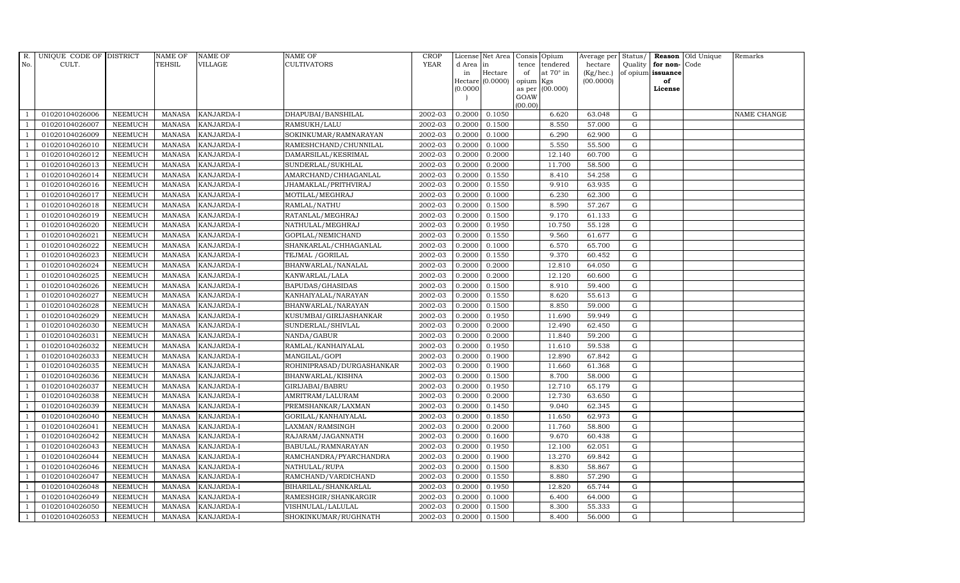| R.             | UNIQUE CODE OF DISTRICT |                | <b>NAME OF</b> | <b>NAME OF</b>    | <b>NAME OF</b>            | CROP    |           | License Net Area Consis Opium |           |                  | Average per Status/ |             |                   | <b>Reason</b> Old Unique | Remarks     |
|----------------|-------------------------|----------------|----------------|-------------------|---------------------------|---------|-----------|-------------------------------|-----------|------------------|---------------------|-------------|-------------------|--------------------------|-------------|
| No.            | CULT.                   |                | <b>TEHSIL</b>  | <b>VILLAGE</b>    | <b>CULTIVATORS</b>        | YEAR    | d Area in |                               |           | tence tendered   | hectare             | Quality     | for non-          | Code                     |             |
|                |                         |                |                |                   |                           |         | in        | Hectare                       | of        | at $70^\circ$ in | (Kg/hec.)           |             | of opium issuance |                          |             |
|                |                         |                |                |                   |                           |         |           | Hectare (0.0000)              | opium Kgs |                  | (00.0000)           |             | of                |                          |             |
|                |                         |                |                |                   |                           |         | (0.0000)  |                               | GOAW      | as per (00.000)  |                     |             | License           |                          |             |
|                |                         |                |                |                   |                           |         |           |                               | (00.00)   |                  |                     |             |                   |                          |             |
|                | 01020104026006          | <b>NEEMUCH</b> | MANASA         | <b>KANJARDA-I</b> | DHAPUBAI/BANSHILAL        | 2002-03 | 0.2000    | 0.1050                        |           | 6.620            | 63.048              | G           |                   |                          | NAME CHANGE |
| -1             | 01020104026007          | <b>NEEMUCH</b> | MANASA         | <b>KANJARDA-I</b> | RAMSUKH/LALU              | 2002-03 | 0.2000    | 0.1500                        |           | 8.550            | 57.000              | $\mathbf G$ |                   |                          |             |
|                | 01020104026009          | <b>NEEMUCH</b> | <b>MANASA</b>  | KANJARDA-I        | SOKINKUMAR/RAMNARAYAN     | 2002-03 | 0.2000    | 0.1000                        |           | 6.290            | 62.900              | G           |                   |                          |             |
|                | 01020104026010          | <b>NEEMUCH</b> | MANASA         | KANJARDA-I        | RAMESHCHAND/CHUNNILAL     | 2002-03 | 0.2000    | 0.1000                        |           | 5.550            | 55.500              | $\mathbf G$ |                   |                          |             |
| $\overline{1}$ | 01020104026012          | <b>NEEMUCH</b> | <b>MANASA</b>  | KANJARDA-I        | DAMARSILAL/KESRIMAL       | 2002-03 | 0.2000    | 0.2000                        |           | 12.140           | 60.700              | ${\rm G}$   |                   |                          |             |
| $\overline{1}$ | 01020104026013          | <b>NEEMUCH</b> | <b>MANASA</b>  | KANJARDA-I        | SUNDERLAL/SUKHLAL         | 2002-03 | 0.2000    | 0.2000                        |           | 11.700           | 58.500              | $\mathbf G$ |                   |                          |             |
| $\overline{1}$ | 01020104026014          | <b>NEEMUCH</b> | <b>MANASA</b>  | KANJARDA-I        | AMARCHAND/CHHAGANLAL      | 2002-03 | 0.2000    | 0.1550                        |           | 8.410            | 54.258              | $\mathbf G$ |                   |                          |             |
| $\overline{1}$ | 01020104026016          | <b>NEEMUCH</b> | <b>MANASA</b>  | KANJARDA-I        | JHAMAKLAL/PRITHVIRAJ      | 2002-03 | 0.2000    | 0.1550                        |           | 9.910            | 63.935              | $\mathbf G$ |                   |                          |             |
|                | 01020104026017          | <b>NEEMUCH</b> | <b>MANASA</b>  | <b>KANJARDA-I</b> | MOTILAL/MEGHRAJ           | 2002-03 | 0.2000    | 0.1000                        |           | 6.230            | 62.300              | $\mathbf G$ |                   |                          |             |
|                | 01020104026018          | <b>NEEMUCH</b> | <b>MANASA</b>  | KANJARDA-I        | RAMLAL/NATHU              | 2002-03 | 0.2000    | 0.1500                        |           | 8.590            | 57.267              | ${\bf G}$   |                   |                          |             |
| $\overline{1}$ | 01020104026019          | <b>NEEMUCH</b> | <b>MANASA</b>  | KANJARDA-I        | RATANLAL/MEGHRAJ          | 2002-03 | 0.2000    | 0.1500                        |           | 9.170            | 61.133              | ${\rm G}$   |                   |                          |             |
| $\overline{1}$ | 01020104026020          | <b>NEEMUCH</b> | <b>MANASA</b>  | KANJARDA-I        | NATHULAL/MEGHRAJ          | 2002-03 | 0.2000    | 0.1950                        |           | 10.750           | 55.128              | ${\rm G}$   |                   |                          |             |
| $\overline{1}$ | 01020104026021          | <b>NEEMUCH</b> | <b>MANASA</b>  | KANJARDA-I        | GOPILAL/NEMICHAND         | 2002-03 | 0.2000    | 0.1550                        |           | 9.560            | 61.677              | $\mathbf G$ |                   |                          |             |
|                | 01020104026022          | <b>NEEMUCH</b> | <b>MANASA</b>  | <b>KANJARDA-I</b> | SHANKARLAL/CHHAGANLAL     | 2002-03 | 0.2000    | 0.1000                        |           | 6.570            | 65.700              | $\mathbf G$ |                   |                          |             |
| $\overline{1}$ | 01020104026023          | <b>NEEMUCH</b> | <b>MANASA</b>  | KANJARDA-I        | TEJMAL /GORILAL           | 2002-03 | 0.2000    | 0.1550                        |           | 9.370            | 60.452              | G           |                   |                          |             |
| $\overline{1}$ | 01020104026024          | <b>NEEMUCH</b> | <b>MANASA</b>  | KANJARDA-I        | BHANWARLAL/NANALAL        | 2002-03 | 0.2000    | 0.2000                        |           | 12.810           | 64.050              | ${\rm G}$   |                   |                          |             |
|                | 01020104026025          | <b>NEEMUCH</b> | <b>MANASA</b>  | KANJARDA-I        | KANWARLAL/LALA            | 2002-03 | 0.2000    | 0.2000                        |           | 12.120           | 60.600              | ${\rm G}$   |                   |                          |             |
| $\overline{1}$ | 01020104026026          | <b>NEEMUCH</b> | MANASA         | <b>KANJARDA-I</b> | BAPUDAS/GHASIDAS          | 2002-03 | 0.2000    | 0.1500                        |           | 8.910            | 59.400              | G           |                   |                          |             |
|                | 01020104026027          | <b>NEEMUCH</b> | <b>MANASA</b>  | KANJARDA-I        | KANHAIYALAL/NARAYAN       | 2002-03 | 0.2000    | 0.1550                        |           | 8.620            | 55.613              | $\mathbf G$ |                   |                          |             |
|                | 01020104026028          | <b>NEEMUCH</b> | <b>MANASA</b>  | KANJARDA-I        | BHANWARLAL/NARAYAN        | 2002-03 | 0.2000    | 0.1500                        |           | 8.850            | 59.000              | $\mathbf G$ |                   |                          |             |
| -1             | 01020104026029          | <b>NEEMUCH</b> | <b>MANASA</b>  | KANJARDA-I        | KUSUMBAI/GIRIJASHANKAR    | 2002-03 | 0.2000    | 0.1950                        |           | 11.690           | 59.949              | ${\rm G}$   |                   |                          |             |
| $\overline{1}$ | 01020104026030          | <b>NEEMUCH</b> | <b>MANASA</b>  | KANJARDA-I        | SUNDERLAL/SHIVLAL         | 2002-03 | 0.2000    | 0.2000                        |           | 12.490           | 62.450              | ${\rm G}$   |                   |                          |             |
| $\overline{1}$ | 01020104026031          | <b>NEEMUCH</b> | MANASA         | <b>KANJARDA-I</b> | NANDA/GABUR               | 2002-03 | 0.2000    | 0.2000                        |           | 11.840           | 59.200              | G           |                   |                          |             |
|                | 01020104026032          | <b>NEEMUCH</b> | <b>MANASA</b>  | KANJARDA-I        | RAMLAL/KANHAIYALAL        | 2002-03 | 0.2000    | 0.1950                        |           | 11.610           | 59.538              | $\mathbf G$ |                   |                          |             |
|                | 01020104026033          | <b>NEEMUCH</b> | <b>MANASA</b>  | KANJARDA-I        | MANGILAL/GOPI             | 2002-03 | 0.2000    | 0.1900                        |           | 12.890           | 67.842              | $\mathbf G$ |                   |                          |             |
| -1             | 01020104026035          | <b>NEEMUCH</b> | <b>MANASA</b>  | <b>KANJARDA-I</b> | ROHINIPRASAD/DURGASHANKAR | 2002-03 | 0.2000    | 0.1900                        |           | 11.660           | 61.368              | G           |                   |                          |             |
| $\overline{1}$ | 01020104026036          | <b>NEEMUCH</b> | <b>MANASA</b>  | KANJARDA-I        | BHANWARLAL/KISHNA         | 2002-03 | 0.2000    | 0.1500                        |           | 8.700            | 58.000              | ${\rm G}$   |                   |                          |             |
| $\overline{1}$ | 01020104026037          | <b>NEEMUCH</b> | MANASA         | KANJARDA-I        | GIRIJABAI/BABRU           | 2002-03 | 0.2000    | 0.1950                        |           | 12.710           | 65.179              | G           |                   |                          |             |
| $\overline{1}$ | 01020104026038          | <b>NEEMUCH</b> | <b>MANASA</b>  | KANJARDA-I        | AMRITRAM/LALURAM          | 2002-03 | 0.2000    | 0.2000                        |           | 12.730           | 63.650              | $\mathbf G$ |                   |                          |             |
|                | 01020104026039          | <b>NEEMUCH</b> | <b>MANASA</b>  | KANJARDA-I        | PREMSHANKAR/LAXMAN        | 2002-03 | 0.2000    | 0.1450                        |           | 9.040            | 62.345              | $\mathbf G$ |                   |                          |             |
| -1             | 01020104026040          | <b>NEEMUCH</b> | <b>MANASA</b>  | KANJARDA-I        | GORILAL/KANHAIYALAL       | 2002-03 | 0.2000    | 0.1850                        |           | 11.650           | 62.973              | G           |                   |                          |             |
|                | 01020104026041          | <b>NEEMUCH</b> | <b>MANASA</b>  | KANJARDA-I        | LAXMAN/RAMSINGH           | 2002-03 | 0.2000    | 0.2000                        |           | 11.760           | 58.800              | ${\rm G}$   |                   |                          |             |
| $\overline{1}$ | 01020104026042          | <b>NEEMUCH</b> | MANASA         | KANJARDA-I        | RAJARAM/JAGANNATH         | 2002-03 | 0.2000    | 0.1600                        |           | 9.670            | 60.438              | $\mathbf G$ |                   |                          |             |
| $\overline{1}$ | 01020104026043          | <b>NEEMUCH</b> | <b>MANASA</b>  | KANJARDA-I        | BABULAL/RAMNARAYAN        | 2002-03 | 0.2000    | 0.1950                        |           | 12.100           | 62.051              | $\mathbf G$ |                   |                          |             |
|                | 01020104026044          | <b>NEEMUCH</b> | <b>MANASA</b>  | KANJARDA-I        | RAMCHANDRA/PYARCHANDRA    | 2002-03 | 0.2000    | 0.1900                        |           | 13.270           | 69.842              | $\mathbf G$ |                   |                          |             |
| $\overline{1}$ | 01020104026046          | <b>NEEMUCH</b> | <b>MANASA</b>  | KANJARDA-I        | NATHULAL/RUPA             | 2002-03 | 0.2000    | 0.1500                        |           | 8.830            | 58.867              | ${\rm G}$   |                   |                          |             |
|                | 01020104026047          | <b>NEEMUCH</b> | <b>MANASA</b>  | KANJARDA-I        | RAMCHAND/VARDICHAND       | 2002-03 | 0.2000    | 0.1550                        |           | 8.880            | 57.290              | ${\rm G}$   |                   |                          |             |
| $\overline{1}$ | 01020104026048          | <b>NEEMUCH</b> | <b>MANASA</b>  | KANJARDA-I        | BIHARILAL/SHANKARLAL      | 2002-03 | 0.2000    | 0.1950                        |           | 12.820           | 65.744              | $\mathbf G$ |                   |                          |             |
| $\overline{1}$ | 01020104026049          | <b>NEEMUCH</b> | <b>MANASA</b>  | KANJARDA-I        | RAMESHGIR/SHANKARGIR      | 2002-03 | 0.2000    | 0.1000                        |           | 6.400            | 64.000              | $\mathbf G$ |                   |                          |             |
|                | 01020104026050          | <b>NEEMUCH</b> | <b>MANASA</b>  | KANJARDA-I        | VISHNULAL/LALULAL         | 2002-03 | 0.2000    | 0.1500                        |           | 8.300            | 55.333              | $\mathbf G$ |                   |                          |             |
| $\mathbf{1}$   | 01020104026053          | <b>NEEMUCH</b> |                | MANASA KANJARDA-I | SHOKINKUMAR/RUGHNATH      | 2002-03 | 0.2000    | 0.1500                        |           | 8.400            | 56.000              | G           |                   |                          |             |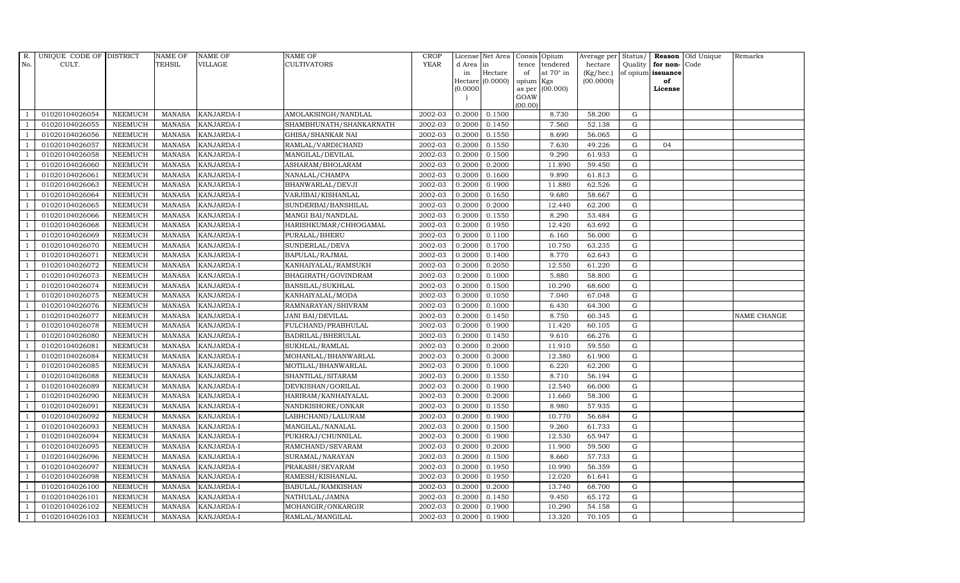| R.             | UNIQUE CODE OF DISTRICT |                | <b>NAME OF</b> | <b>NAME OF</b>    | <b>NAME OF</b>          | CROP        |           | License Net Area   |           | Consis Opium     | Average per Status/ |             |                      | <b>Reason</b> Old Unique | Remarks     |
|----------------|-------------------------|----------------|----------------|-------------------|-------------------------|-------------|-----------|--------------------|-----------|------------------|---------------------|-------------|----------------------|--------------------------|-------------|
| No.            | CULT.                   |                | <b>TEHSIL</b>  | VILLAGE           | <b>CULTIVATORS</b>      | <b>YEAR</b> | d Area in |                    | tence     | tendered         | hectare             |             | Quality $ $ for non- | Code                     |             |
|                |                         |                |                |                   |                         |             | in        | Hectare            | of        | at $70^\circ$ in | (Kg/hec.)           |             | of opium issuance    |                          |             |
|                |                         |                |                |                   |                         |             |           | Hectare $(0.0000)$ | opium Kgs |                  | (00.0000)           |             | of<br>License        |                          |             |
|                |                         |                |                |                   |                         |             | (0.0000)  |                    | GOAW      | as per (00.000)  |                     |             |                      |                          |             |
|                |                         |                |                |                   |                         |             |           |                    | (00.00)   |                  |                     |             |                      |                          |             |
|                | 01020104026054          | <b>NEEMUCH</b> | MANASA         | <b>KANJARDA-I</b> | AMOLAKSINGH/NANDLAL     | 2002-03     | 0.2000    | 0.1500             |           | 8.730            | 58.200              | G           |                      |                          |             |
| -1             | 01020104026055          | <b>NEEMUCH</b> | MANASA         | <b>KANJARDA-I</b> | SHAMBHUNATH/SHANKARNATH | 2002-03     | 0.2000    | 0.1450             |           | 7.560            | 52.138              | G           |                      |                          |             |
|                | 01020104026056          | <b>NEEMUCH</b> | <b>MANASA</b>  | KANJARDA-I        | GHISA/SHANKAR NAI       | 2002-03     | 0.2000    | 0.1550             |           | 8.690            | 56.065              | G           |                      |                          |             |
|                | 01020104026057          | <b>NEEMUCH</b> | MANASA         | KANJARDA-I        | RAMLAL/VARDICHAND       | 2002-03     | 0.2000    | 0.1550             |           | 7.630            | 49.226              | $\mathbf G$ | 04                   |                          |             |
| $\overline{1}$ | 01020104026058          | <b>NEEMUCH</b> | <b>MANASA</b>  | KANJARDA-I        | MANGILAL/DEVILAL        | 2002-03     | 0.2000    | 0.1500             |           | 9.290            | 61.933              | G           |                      |                          |             |
| $\overline{1}$ | 01020104026060          | NEEMUCH        | <b>MANASA</b>  | KANJARDA-I        | ASHARAM/BHOLARAM        | 2002-03     | 0.2000    | 0.2000             |           | 11.890           | 59.450              | G           |                      |                          |             |
| $\overline{1}$ | 01020104026061          | <b>NEEMUCH</b> | MANASA         | KANJARDA-I        | NANALAL/CHAMPA          | 2002-03     | 0.2000    | 0.1600             |           | 9.890            | 61.813              | ${\rm G}$   |                      |                          |             |
| $\overline{1}$ | 01020104026063          | <b>NEEMUCH</b> | <b>MANASA</b>  | KANJARDA-I        | BHANWARLAL/DEVJI        | 2002-03     | 0.2000    | 0.1900             |           | 11.880           | 62.526              | ${\rm G}$   |                      |                          |             |
|                | 01020104026064          | <b>NEEMUCH</b> | <b>MANASA</b>  | <b>KANJARDA-I</b> | VARJIBAI/KISHANLAL      | 2002-03     | 0.2000    | 0.1650             |           | 9.680            | 58.667              | $\mathbf G$ |                      |                          |             |
|                | 01020104026065          | <b>NEEMUCH</b> | <b>MANASA</b>  | KANJARDA-I        | SUNDERBAI/BANSHILAL     | 2002-03     | 0.2000    | 0.2000             |           | 12.440           | 62.200              | G           |                      |                          |             |
| $\overline{1}$ | 01020104026066          | <b>NEEMUCH</b> | <b>MANASA</b>  | KANJARDA-I        | MANGI BAI/NANDLAL       | 2002-03     | 0.2000    | 0.1550             |           | 8.290            | 53.484              | G           |                      |                          |             |
| $\overline{1}$ | 01020104026068          | <b>NEEMUCH</b> | MANASA         | <b>KANJARDA-I</b> | HARISHKUMAR/CHHOGAMAL   | 2002-03     | 0.2000    | 0.1950             |           | 12.420           | 63.692              | G           |                      |                          |             |
| $\overline{1}$ | 01020104026069          | <b>NEEMUCH</b> | <b>MANASA</b>  | KANJARDA-I        | PURALAL/BHERU           | 2002-03     | 0.2000    | 0.1100             |           | 6.160            | 56.000              | $\mathbf G$ |                      |                          |             |
|                | 01020104026070          | <b>NEEMUCH</b> | <b>MANASA</b>  | <b>KANJARDA-I</b> | SUNDERLAL/DEVA          | 2002-03     | 0.2000    | 0.1700             |           | 10.750           | 63.235              | G           |                      |                          |             |
| $\overline{1}$ | 01020104026071          | <b>NEEMUCH</b> | MANASA         | KANJARDA-I        | BAPULAL/RAJMAL          | 2002-03     | 0.2000    | 0.1400             |           | 8.770            | 62.643              | G           |                      |                          |             |
| $\overline{1}$ | 01020104026072          | <b>NEEMUCH</b> | MANASA         | KANJARDA-I        | KANHAIYALAL/RAMSUKH     | 2002-03     | 0.2000    | 0.2050             |           | 12.550           | 61.220              | G           |                      |                          |             |
|                | 01020104026073          | <b>NEEMUCH</b> | MANASA         | KANJARDA-I        | BHAGIRATH/GOVINDRAM     | 2002-03     | 0.2000    | 0.1000             |           | 5.880            | 58.800              | G           |                      |                          |             |
| $\overline{1}$ | 01020104026074          | <b>NEEMUCH</b> | MANASA         | <b>KANJARDA-I</b> | BANSILAL/SUKHLAL        | 2002-03     | 0.2000    | 0.1500             |           | 10.290           | 68.600              | G           |                      |                          |             |
|                | 01020104026075          | <b>NEEMUCH</b> | MANASA         | <b>KANJARDA-I</b> | KANHAIYALAL/MODA        | 2002-03     | 0.2000    | 0.1050             |           | 7.040            | 67.048              | G           |                      |                          |             |
|                | 01020104026076          | <b>NEEMUCH</b> | <b>MANASA</b>  | KANJARDA-I        | RAMNARAYAN/SHIVRAM      | 2002-03     | 0.2000    | 0.1000             |           | 6.430            | 64.300              | G           |                      |                          |             |
| -1             | 01020104026077          | <b>NEEMUCH</b> | <b>MANASA</b>  | KANJARDA-I        | <b>JANI BAI/DEVILAL</b> | 2002-03     | 0.2000    | 0.1450             |           | 8.750            | 60.345              | G           |                      |                          | NAME CHANGE |
|                | 01020104026078          | <b>NEEMUCH</b> | <b>MANASA</b>  | KANJARDA-I        | FULCHAND/PRABHULAL      | 2002-03     | 0.2000    | 0.1900             |           | 11.420           | 60.105              | G           |                      |                          |             |
| $\overline{1}$ | 01020104026080          | <b>NEEMUCH</b> | MANASA         | KANJARDA-I        | BADRILAL/BHERULAL       | 2002-03     | 0.2000    | 0.1450             |           | 9.610            | 66.276              | G           |                      |                          |             |
|                | 01020104026081          | <b>NEEMUCH</b> | <b>MANASA</b>  | KANJARDA-I        | SUKHLAL/RAMLAL          | 2002-03     | 0.2000    | 0.2000             |           | 11.910           | 59.550              | $\mathbf G$ |                      |                          |             |
|                | 01020104026084          | <b>NEEMUCH</b> | MANASA         | KANJARDA-I        | MOHANLAL/BHANWARLAL     | 2002-03     | 0.2000    | 0.2000             |           | 12.380           | 61.900              | G           |                      |                          |             |
| -1             | 01020104026085          | <b>NEEMUCH</b> | <b>MANASA</b>  | KANJARDA-I        | MOTILAL/BHANWARLAL      | 2002-03     | 0.2000    | 0.1000             |           | 6.220            | 62.200              | G           |                      |                          |             |
| $\overline{1}$ | 01020104026088          | <b>NEEMUCH</b> | <b>MANASA</b>  | KANJARDA-I        | SHANTILAL/SITARAM       | 2002-03     | 0.2000    | 0.1550             |           | 8.710            | 56.194              | G           |                      |                          |             |
| $\overline{1}$ | 01020104026089          | <b>NEEMUCH</b> | MANASA         | KANJARDA-I        | DEVKISHAN/GORILAL       | 2002-03     | 0.2000    | 0.1900             |           | 12.540           | 66.000              | G           |                      |                          |             |
| $\mathbf{1}$   | 01020104026090          | <b>NEEMUCH</b> | <b>MANASA</b>  | KANJARDA-I        | HARIRAM/KANHAIYALAL     | 2002-03     | 0.2000    | 0.2000             |           | 11.660           | 58.300              | $\mathbf G$ |                      |                          |             |
|                | 01020104026091          | <b>NEEMUCH</b> | <b>MANASA</b>  | KANJARDA-I        | NANDKISHORE/ONKAR       | 2002-03     | 0.2000    | 0.1550             |           | 8.980            | 57.935              | G           |                      |                          |             |
| -1             | 01020104026092          | <b>NEEMUCH</b> | MANASA         | <b>KANJARDA-I</b> | LABHCHAND/LALURAM       | 2002-03     | 0.2000    | 0.1900             |           | 10.770           | 56.684              | G           |                      |                          |             |
|                | 01020104026093          | <b>NEEMUCH</b> | <b>MANASA</b>  | KANJARDA-I        | MANGILAL/NANALAL        | 2002-03     | 0.2000    | 0.1500             |           | 9.260            | 61.733              | G           |                      |                          |             |
| $\overline{1}$ | 01020104026094          | <b>NEEMUCH</b> | <b>MANASA</b>  | KANJARDA-I        | PUKHRAJ/CHUNNILAL       | 2002-03     | 0.2000    | 0.1900             |           | 12.530           | 65.947              | G           |                      |                          |             |
| $\overline{1}$ | 01020104026095          | <b>NEEMUCH</b> | <b>MANASA</b>  | KANJARDA-I        | RAMCHAND/SEVARAM        | 2002-03     | 0.2000    | 0.2000             |           | 11.900           | 59.500              | G           |                      |                          |             |
|                | 01020104026096          | <b>NEEMUCH</b> | <b>MANASA</b>  | KANJARDA-I        | SURAMAL/NARAYAN         | 2002-03     | 0.2000    | 0.1500             |           | 8.660            | 57.733              | $\mathbf G$ |                      |                          |             |
| $\overline{1}$ | 01020104026097          | <b>NEEMUCH</b> | <b>MANASA</b>  | KANJARDA-I        | PRAKASH/SEVARAM         | 2002-03     | 0.2000    | 0.1950             |           | 10.990           | 56.359              | G           |                      |                          |             |
|                | 01020104026098          | <b>NEEMUCH</b> | <b>MANASA</b>  | KANJARDA-I        | RAMESH/KISHANLAL        | 2002-03     | 0.2000    | 0.1950             |           | 12.020           | 61.641              | ${\rm G}$   |                      |                          |             |
| $\overline{1}$ | 01020104026100          | <b>NEEMUCH</b> | <b>MANASA</b>  | KANJARDA-I        | BABULAL/RAMKISHAN       | 2002-03     | 0.2000    | 0.2000             |           | 13.740           | 68.700              | G           |                      |                          |             |
| $\overline{1}$ | 01020104026101          | <b>NEEMUCH</b> | <b>MANASA</b>  | KANJARDA-I        | NATHULAL/JAMNA          | 2002-03     | 0.2000    | 0.1450             |           | 9.450            | 65.172              | G           |                      |                          |             |
|                | 01020104026102          | <b>NEEMUCH</b> | <b>MANASA</b>  | KANJARDA-I        | MOHANGIR/ONKARGIR       | 2002-03     | 0.2000    | 0.1900             |           | 10.290           | 54.158              | $\mathbf G$ |                      |                          |             |
| $\overline{1}$ | 01020104026103          | <b>NEEMUCH</b> |                | MANASA KANJARDA-I | RAMLAL/MANGILAL         | 2002-03     | 0.2000    | 0.1900             |           | 13.320           | 70.105              | G           |                      |                          |             |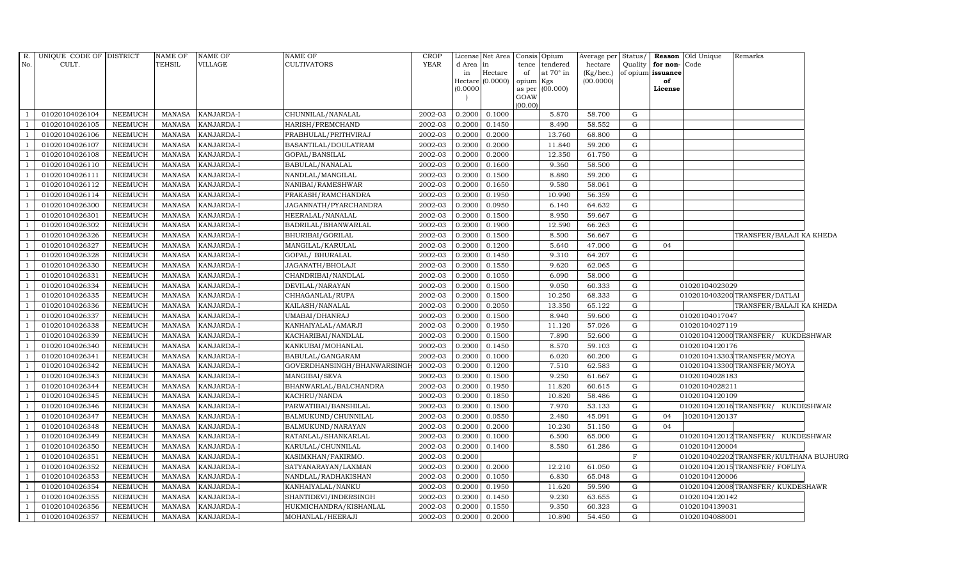| R.  | UNIQUE CODE OF DISTRICT |                | NAME OF       | <b>NAME OF</b>    | NAME OF                     | <b>CROP</b> |           | License Net Area Consis Opium |           |                 | Average per | Status/     |                         | <b>Reason</b> Old Unique | Remarks                                 |  |
|-----|-------------------------|----------------|---------------|-------------------|-----------------------------|-------------|-----------|-------------------------------|-----------|-----------------|-------------|-------------|-------------------------|--------------------------|-----------------------------------------|--|
| No. | CULT.                   |                | TEHSIL        | <b>VILLAGE</b>    | CULTIVATORS                 | <b>YEAR</b> | d Area in |                               |           | tence tendered  | hectare     |             | Quality   for non- Code |                          |                                         |  |
|     |                         |                |               |                   |                             |             | in        | Hectare                       | of        | at 70° in       | (Kg/hec.)   |             | of opium issuance       |                          |                                         |  |
|     |                         |                |               |                   |                             |             | (0.0000)  | Hectare (0.0000)              | opium Kgs | as per (00.000) | (00.0000)   |             | of<br>License           |                          |                                         |  |
|     |                         |                |               |                   |                             |             |           |                               | GOAW      |                 |             |             |                         |                          |                                         |  |
|     |                         |                |               |                   |                             |             |           |                               | (00.00)   |                 |             |             |                         |                          |                                         |  |
|     | 01020104026104          | NEEMUCH        | <b>MANASA</b> | KANJARDA-I        | CHUNNILAL/NANALAL           | 2002-03     | 0.2000    | 0.1000                        |           | 5.870           | 58.700      | G           |                         |                          |                                         |  |
|     | 01020104026105          | NEEMUCH        | <b>MANASA</b> | KANJARDA-I        | HARISH/PREMCHAND            | 2002-03     | 0.2000    | 0.1450                        |           | 8.490           | 58.552      | G           |                         |                          |                                         |  |
|     | 01020104026106          | NEEMUCH        | <b>MANASA</b> | KANJARDA-I        | PRABHULAL/PRITHVIRAJ        | 2002-03     | 0.2000    | 0.2000                        |           | 13.760          | 68.800      | G           |                         |                          |                                         |  |
|     | 01020104026107          | <b>NEEMUCH</b> | <b>MANASA</b> | KANJARDA-I        | BASANTILAL/DOULATRAM        | 2002-03     | 0.2000    | 0.2000                        |           | 11.840          | 59.200      | $\mathbf G$ |                         |                          |                                         |  |
|     | 01020104026108          | <b>NEEMUCH</b> | <b>MANASA</b> | KANJARDA-I        | GOPAL/BANSILAL              | 2002-03     | 0.2000    | 0.2000                        |           | 12.350          | 61.750      | $\mathbf G$ |                         |                          |                                         |  |
|     | 01020104026110          | <b>NEEMUCH</b> | <b>MANASA</b> | KANJARDA-I        | BABULAL/NANALAL             | 2002-03     | 0.2000    | 0.1600                        |           | 9.360           | 58.500      | G           |                         |                          |                                         |  |
|     | 01020104026111          | NEEMUCH        | MANASA        | KANJARDA-I        | NANDLAL/MANGILAL            | 2002-03     | 0.2000    | 0.1500                        |           | 8.880           | 59.200      | $\mathbf G$ |                         |                          |                                         |  |
|     | 01020104026112          | NEEMUCH        | <b>MANASA</b> | KANJARDA-I        | NANIBAI/RAMESHWAR           | 2002-03     | 0.2000    | 0.1650                        |           | 9.580           | 58.061      | G           |                         |                          |                                         |  |
|     | 01020104026114          | <b>NEEMUCH</b> | <b>MANASA</b> | KANJARDA-I        | PRAKASH/RAMCHANDRA          | 2002-03     | 0.2000    | 0.1950                        |           | 10.990          | 56.359      | $\mathbf G$ |                         |                          |                                         |  |
|     | 01020104026300          | <b>NEEMUCH</b> | <b>MANASA</b> | KANJARDA-I        | JAGANNATH/PYARCHANDRA       | 2002-03     | 0.2000    | 0.0950                        |           | 6.140           | 64.632      | $\mathbf G$ |                         |                          |                                         |  |
|     | 01020104026301          | <b>NEEMUCH</b> | <b>MANASA</b> | KANJARDA-I        | HEERALAL/NANALAL            | 2002-03     | 0.2000    | 0.1500                        |           | 8.950           | 59.667      | G           |                         |                          |                                         |  |
|     | 01020104026302          | <b>NEEMUCH</b> | <b>MANASA</b> | KANJARDA-I        | BADRILAL/BHANWARLAL         | 2002-03     | 0.2000    | 0.1900                        |           | 12.590          | 66.263      | $\mathbf G$ |                         |                          |                                         |  |
|     | 01020104026326          | NEEMUCH        | <b>MANASA</b> | KANJARDA-I        | BHURIBAI/GORILAL            | 2002-03     | 0.2000    | 0.1500                        |           | 8.500           | 56.667      | G           |                         |                          | TRANSFER/BALAJI KA KHEDA                |  |
|     | 01020104026327          | <b>NEEMUCH</b> | <b>MANASA</b> | KANJARDA-I        | MANGILAL/KARULAL            | 2002-03     | 0.2000    | 0.1200                        |           | 5.640           | 47.000      | G           | 04                      |                          |                                         |  |
|     | 01020104026328          | <b>NEEMUCH</b> | <b>MANASA</b> | KANJARDA-I        | GOPAL/ BHURALAL             | 2002-03     | 0.2000    | 0.1450                        |           | 9.310           | 64.207      | G           |                         |                          |                                         |  |
|     | 01020104026330          | <b>NEEMUCH</b> | <b>MANASA</b> | KANJARDA-I        | JAGANATH/BHOLAJI            | 2002-03     | 0.2000    | 0.1550                        |           | 9.620           | 62.065      | G           |                         |                          |                                         |  |
|     | 01020104026331          | <b>NEEMUCH</b> | <b>MANASA</b> | KANJARDA-I        | CHANDRIBAI/NANDLAL          | 2002-03     | 0.2000    | 0.1050                        |           | 6.090           | 58.000      | G           |                         |                          |                                         |  |
|     | 01020104026334          | NEEMUCH        | MANASA        | KANJARDA-I        | DEVILAL/NARAYAN             | 2002-03     | 0.2000    | 0.1500                        |           | 9.050           | 60.333      | G           |                         | 01020104023029           |                                         |  |
|     | 01020104026335          | <b>NEEMUCH</b> | <b>MANASA</b> | KANJARDA-I        | CHHAGANLAL/RUPA             | 2002-03     | 0.2000    | 0.1500                        |           | 10.250          | 68.333      | G           |                         |                          | 0102010403200 TRANSFER/DATLAI           |  |
|     | 01020104026336          | <b>NEEMUCH</b> | <b>MANASA</b> | KANJARDA-I        | KAILASH/NANALAL             | 2002-03     | 0.2000    | 0.2050                        |           | 13.350          | 65.122      | $\mathbf G$ |                         |                          | TRANSFER/BALAJI KA KHEDA                |  |
|     | 01020104026337          | <b>NEEMUCH</b> | <b>MANASA</b> | KANJARDA-I        | UMABAI/DHANRAJ              | 2002-03     | 0.2000    | 0.1500                        |           | 8.940           | 59.600      | G           |                         | 01020104017047           |                                         |  |
|     | 01020104026338          | <b>NEEMUCH</b> | <b>MANASA</b> | KANJARDA-I        | KANHAIYALAL/AMARJI          | 2002-03     | 0.2000    | 0.1950                        |           | 11.120          | 57.026      | $\mathbf G$ |                         | 01020104027119           |                                         |  |
|     | 01020104026339          | NEEMUCH        | MANASA        | KANJARDA-I        | KACHARIBAI/NANDLAL          | 2002-03     | 0.2000    | 0.1500                        |           | 7.890           | 52.600      | ${\rm G}$   |                         |                          | 0102010412000TRANSFER/ KUKDESHWAR       |  |
|     | 01020104026340          | NEEMUCH        | <b>MANASA</b> | KANJARDA-I        | KANKUBAI/MOHANLAL           | 2002-03     | 0.2000    | 0.1450                        |           | 8.570           | 59.103      | $\mathbf G$ |                         | 01020104120176           |                                         |  |
|     | 01020104026341          | <b>NEEMUCH</b> | <b>MANASA</b> | KANJARDA-I        | BABULAL/GANGARAM            | 2002-03     | 0.2000    | 0.1000                        |           | 6.020           | 60.200      | G           |                         |                          | 0102010413303TRANSFER/MOYA              |  |
|     | 01020104026342          | <b>NEEMUCH</b> | <b>MANASA</b> | KANJARDA-I        | GOVERDHANSINGH/BHANWARSING! | 2002-03     | 0.2000    | 0.1200                        |           | 7.510           | 62.583      | G           |                         |                          | 0102010413300 TRANSFER/MOYA             |  |
|     | 01020104026343          | <b>NEEMUCH</b> | <b>MANASA</b> | KANJARDA-I        | MANGIBAI/SEVA               | 2002-03     | 0.2000    | 0.1500                        |           | 9.250           | 61.667      | $\mathbf G$ |                         | 01020104028183           |                                         |  |
|     | 01020104026344          | NEEMUCH        | MANASA        | KANJARDA-I        | BHANWARLAL/BALCHANDRA       | 2002-03     | 0.2000    | 0.1950                        |           | 11.820          | 60.615      | G           |                         | 01020104028211           |                                         |  |
|     | 01020104026345          | NEEMUCH        | <b>MANASA</b> | KANJARDA-I        | KACHRU/NANDA                | 2002-03     | 0.2000    | 0.1850                        |           | 10.820          | 58.486      | $\mathbf G$ |                         | 01020104120109           |                                         |  |
|     | 01020104026346          | <b>NEEMUCH</b> | <b>MANASA</b> | KANJARDA-I        | PARWATIBAI/BANSHILAL        | 2002-03     | 0.2000    | 0.1500                        |           | 7.970           | 53.133      | $\mathbf G$ |                         |                          | 0102010412016TRANSFER/ KUKDESHWAR       |  |
|     | 01020104026347          | NEEMUCH        | MANASA        | KANJARDA-I        | BALMUKUND/CHUNNILAL         | 2002-03     | 0.2000    | 0.0550                        |           | 2.480           | 45.091      | G           | 04                      | 1020104120137            |                                         |  |
|     | 01020104026348          | <b>NEEMUCH</b> | <b>MANASA</b> | KANJARDA-I        | BALMUKUND/NARAYAN           | 2002-03     | 0.2000    | 0.2000                        |           | 10.230          | 51.150      | $\mathbf G$ | 04                      |                          |                                         |  |
|     | 01020104026349          | <b>NEEMUCH</b> | MANASA        | KANJARDA-I        | RATANLAL/SHANKARLAL         | 2002-03     | 0.2000    | 0.1000                        |           | 6.500           | 65.000      | G           |                         |                          | 0102010412012TRANSFER/ KUKDESHWAR       |  |
|     | 01020104026350          | <b>NEEMUCH</b> | <b>MANASA</b> | <b>KANJARDA-I</b> | KARULAL/CHUNNILAL           | 2002-03     | 0.2000    | 0.1400                        |           | 8.580           | 61.286      | G           |                         | 01020104120004           |                                         |  |
|     | 01020104026351          | <b>NEEMUCH</b> | <b>MANASA</b> | KANJARDA-I        | KASIMKHAN/FAKIRMO.          | 2002-03     | 0.2000    |                               |           |                 |             | $\mathbf F$ |                         |                          | 0102010402202 TRANSFER/KULTHANA BUJHURG |  |
|     | 01020104026352          | <b>NEEMUCH</b> | <b>MANASA</b> | KANJARDA-I        | SATYANARAYAN/LAXMAN         | 2002-03     | 0.2000    | 0.2000                        |           | 12.210          | 61.050      | G           |                         |                          | 0102010412015TRANSFER/FOFLIYA           |  |
|     | 01020104026353          | <b>NEEMUCH</b> | <b>MANASA</b> | KANJARDA-I        | NANDLAL/RADHAKISHAN         | 2002-03     | 0.2000    | 0.1050                        |           | 6.830           | 65.048      | G           |                         | 01020104120006           |                                         |  |
|     | 01020104026354          | NEEMUCH        | <b>MANASA</b> | KANJARDA-I        | KANHAIYALAL/NANKU           | 2002-03     | 0.2000    | 0.1950                        |           | 11.620          | 59.590      | $\mathbf G$ |                         |                          | 0102010412008TRANSFER/KUKDESHAWR        |  |
|     | 01020104026355          | <b>NEEMUCH</b> | <b>MANASA</b> | KANJARDA-I        | SHANTIDEVI/INDERSINGH       | 2002-03     | 0.2000    | 0.1450                        |           | 9.230           | 63.655      | G           |                         | 01020104120142           |                                         |  |
|     | 01020104026356          | <b>NEEMUCH</b> | <b>MANASA</b> | <b>KANJARDA-I</b> | HUKMICHANDRA/KISHANLAL      | 2002-03     | 0.2000    | 0.1550                        |           | 9.350           | 60.323      | G           |                         | 01020104139031           |                                         |  |
|     | 01020104026357          | NEEMUCH        | MANASA        | KANJARDA-I        | MOHANLAL/HEERAJI            | 2002-03     | 0.2000    | 0.2000                        |           | 10.890          | 54.450      | G           |                         | 01020104088001           |                                         |  |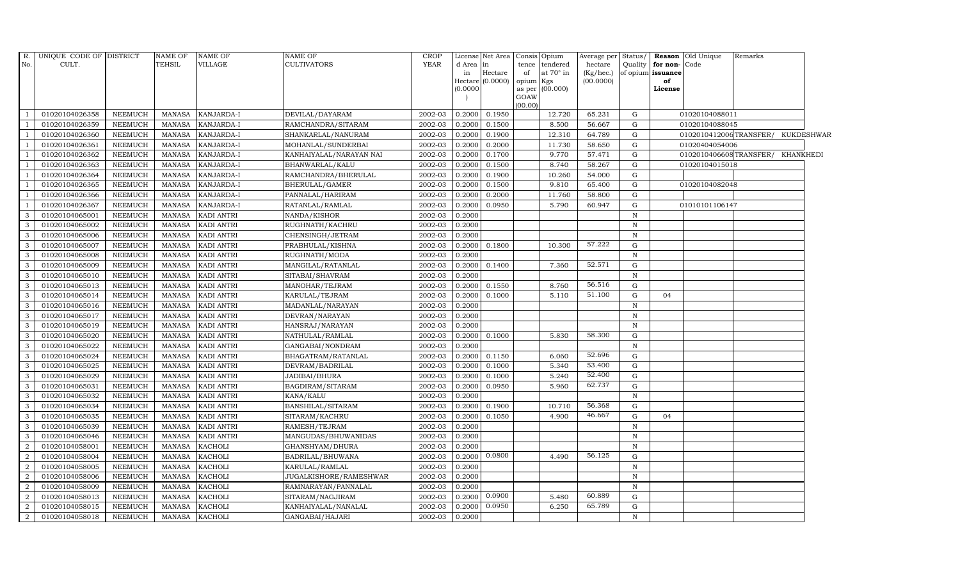|                | R. UNIQUE CODE OF DISTRICT |                | <b>NAME OF</b> | <b>NAME OF</b>    | <b>NAME OF</b>          | <b>CROP</b> |           | License Net Area Consis Opium |         |                        | Average per Status/ |              |                   | <b>Reason</b> Old Unique          | Remarks |  |
|----------------|----------------------------|----------------|----------------|-------------------|-------------------------|-------------|-----------|-------------------------------|---------|------------------------|---------------------|--------------|-------------------|-----------------------------------|---------|--|
| No.            | CULT.                      |                | <b>TEHSIL</b>  | VILLAGE           | <b>CULTIVATORS</b>      | <b>YEAR</b> | d Area in |                               | tence   | tendered               | hectare             | Quality      | for non-Code      |                                   |         |  |
|                |                            |                |                |                   |                         |             | in        | Hectare                       | of      | at 70° in              | $(Kg/$ hec. $)$     |              | of opium issuance |                                   |         |  |
|                |                            |                |                |                   |                         |             | (0.0000)  | Hectare (0.0000)              | opium   | Kgs<br>as per (00.000) | (00.0000)           |              | of<br>License     |                                   |         |  |
|                |                            |                |                |                   |                         |             |           |                               | GOAW    |                        |                     |              |                   |                                   |         |  |
|                |                            |                |                |                   |                         |             |           |                               | (00.00) |                        |                     |              |                   |                                   |         |  |
|                | 01020104026358             | <b>NEEMUCH</b> | MANASA         | KANJARDA-I        | DEVILAL/DAYARAM         | 2002-03     | 0.2000    | 0.1950                        |         | 12.720                 | 65.231              | G            |                   | 01020104088011                    |         |  |
|                | 01020104026359             | <b>NEEMUCH</b> | <b>MANASA</b>  | KANJARDA-I        | RAMCHANDRA/SITARAM      | 2002-03     | 0.2000    | 0.1500                        |         | 8.500                  | 56.667              | G            |                   | 01020104088045                    |         |  |
|                | 01020104026360             | <b>NEEMUCH</b> | MANASA         | KANJARDA-I        | SHANKARLAL/NANURAM      | 2002-03     | 0.2000    | 0.1900                        |         | 12.310                 | 64.789              | G            |                   | 0102010412006TRANSFER/ KUKDESHWAR |         |  |
|                | 01020104026361             | <b>NEEMUCH</b> | <b>MANASA</b>  | KANJARDA-I        | MOHANLAL/SUNDERBAI      | 2002-03     | 0.2000    | 0.2000                        |         | 11.730                 | 58.650              | G            |                   | 01020404054006                    |         |  |
|                | 01020104026362             | <b>NEEMUCH</b> | <b>MANASA</b>  | KANJARDA-I        | KANHAIYALAL/NARAYAN NAI | 2002-03     | 0.2000    | 0.1700                        |         | 9.770                  | 57.471              | ${\rm G}$    |                   | 0102010406608TRANSFER/ KHANKHEDI  |         |  |
|                | 01020104026363             | <b>NEEMUCH</b> | <b>MANASA</b>  | KANJARDA-I        | BHANWARLAL/KALU         | 2002-03     | 0.2000    | 0.1500                        |         | 8.740                  | 58.267              | G            |                   | 01020104015018                    |         |  |
|                | 01020104026364             | <b>NEEMUCH</b> | <b>MANASA</b>  | KANJARDA-I        | RAMCHANDRA/BHERULAL     | 2002-03     | 0.2000    | 0.1900                        |         | 10.260                 | 54.000              | ${\rm G}$    |                   |                                   |         |  |
|                | 01020104026365             | <b>NEEMUCH</b> | MANASA         | KANJARDA-I        | BHERULAL/GAMER          | 2002-03     | 0.2000    | 0.1500                        |         | 9.810                  | 65.400              | G            |                   | 01020104082048                    |         |  |
|                | 01020104026366             | <b>NEEMUCH</b> | <b>MANASA</b>  | KANJARDA-I        | PANNALAL/HARIRAM        | 2002-03     | 0.2000    | 0.2000                        |         | 11.760                 | 58.800              | G            |                   |                                   |         |  |
|                | 01020104026367             | <b>NEEMUCH</b> | <b>MANASA</b>  | KANJARDA-I        | RATANLAL/RAMLAL         | 2002-03     | 0.2000    | 0.0950                        |         | 5.790                  | 60.947              | G            |                   | 01010101106147                    |         |  |
| 3              | 01020104065001             | <b>NEEMUCH</b> | <b>MANASA</b>  | KADI ANTRI        | NANDA/KISHOR            | 2002-03     | 0.2000    |                               |         |                        |                     | N            |                   |                                   |         |  |
| 3              | 01020104065002             | <b>NEEMUCH</b> | <b>MANASA</b>  | <b>KADI ANTRI</b> | RUGHNATH/KACHRU         | 2002-03     | 0.2000    |                               |         |                        |                     | $\mathbb N$  |                   |                                   |         |  |
| 3              | 01020104065006             | <b>NEEMUCH</b> | <b>MANASA</b>  | <b>KADI ANTRI</b> | CHENSINGH/JETRAM        | 2002-03     | 0.2000    |                               |         |                        |                     | N            |                   |                                   |         |  |
| 3              | 01020104065007             | <b>NEEMUCH</b> | <b>MANASA</b>  | <b>KADI ANTRI</b> | PRABHULAL/KISHNA        | 2002-03     | 0.2000    | 0.1800                        |         | 10.300                 | 57.222              | G            |                   |                                   |         |  |
| 3              | 01020104065008             | <b>NEEMUCH</b> | <b>MANASA</b>  | <b>KADI ANTRI</b> | RUGHNATH/MODA           | 2002-03     | 0.2000    |                               |         |                        |                     | $\, {\rm N}$ |                   |                                   |         |  |
| 3              | 01020104065009             | <b>NEEMUCH</b> | <b>MANASA</b>  | KADI ANTRI        | MANGILAL/RATANLAL       | 2002-03     | 0.2000    | 0.1400                        |         | 7.360                  | 52.571              | G            |                   |                                   |         |  |
| 3              | 01020104065010             | <b>NEEMUCH</b> | <b>MANASA</b>  | <b>KADI ANTRI</b> | SITABAI/SHAVRAM         | 2002-03     | 0.2000    |                               |         |                        |                     | $\mathbb N$  |                   |                                   |         |  |
| 3              | 01020104065013             | <b>NEEMUCH</b> | <b>MANASA</b>  | <b>KADI ANTRI</b> | MANOHAR/TEJRAM          | 2002-03     | 0.2000    | 0.1550                        |         | 8.760                  | 56.516              | G            |                   |                                   |         |  |
| 3              | 01020104065014             | <b>NEEMUCH</b> | <b>MANASA</b>  | <b>KADI ANTRI</b> | KARULAL/TEJRAM          | 2002-03     | 0.2000    | 0.1000                        |         | 5.110                  | 51.100              | G            | 04                |                                   |         |  |
| 3              | 01020104065016             | <b>NEEMUCH</b> | <b>MANASA</b>  | KADI ANTRI        | MADANLAL/NARAYAN        | 2002-03     | 0.2000    |                               |         |                        |                     | $\mathbb N$  |                   |                                   |         |  |
| 3              | 01020104065017             | <b>NEEMUCH</b> | <b>MANASA</b>  | KADI ANTRI        | DEVRAN/NARAYAN          | 2002-03     | 0.2000    |                               |         |                        |                     | $\, {\bf N}$ |                   |                                   |         |  |
| 3              | 01020104065019             | <b>NEEMUCH</b> | <b>MANASA</b>  | KADI ANTRI        | HANSRAJ/NARAYAN         | 2002-03     | 0.2000    |                               |         |                        |                     | $\mathbf N$  |                   |                                   |         |  |
| 3              | 01020104065020             | <b>NEEMUCH</b> | <b>MANASA</b>  | <b>KADI ANTRI</b> | NATHULAL/RAMLAL         | 2002-03     | 0.2000    | 0.1000                        |         | 5.830                  | 58.300              | G            |                   |                                   |         |  |
| 3              | 01020104065022             | <b>NEEMUCH</b> | <b>MANASA</b>  | <b>KADI ANTRI</b> | GANGABAI/NONDRAM        | 2002-03     | 0.2000    |                               |         |                        |                     | $\mathbb N$  |                   |                                   |         |  |
| 3              | 01020104065024             | <b>NEEMUCH</b> | <b>MANASA</b>  | <b>KADI ANTRI</b> | BHAGATRAM/RATANLAL      | 2002-03     | 0.2000    | 0.1150                        |         | 6.060                  | 52.696              | G            |                   |                                   |         |  |
| 3              | 01020104065025             | <b>NEEMUCH</b> | <b>MANASA</b>  | <b>KADI ANTRI</b> | DEVRAM/BADRILAL         | 2002-03     | 0.2000    | 0.1000                        |         | 5.340                  | 53.400              | G            |                   |                                   |         |  |
| 3              | 01020104065029             | <b>NEEMUCH</b> | <b>MANASA</b>  | KADI ANTRI        | JADIBAI/BHURA           | 2002-03     | 0.2000    | 0.1000                        |         | 5.240                  | 52.400              | G            |                   |                                   |         |  |
| 3              | 01020104065031             | <b>NEEMUCH</b> | <b>MANASA</b>  | <b>KADI ANTRI</b> | BAGDIRAM/SITARAM        | 2002-03     | 0.2000    | 0.0950                        |         | 5.960                  | 62.737              | G            |                   |                                   |         |  |
| 3              | 01020104065032             | <b>NEEMUCH</b> | <b>MANASA</b>  | <b>KADI ANTRI</b> | KANA/KALU               | 2002-03     | 0.2000    |                               |         |                        |                     | $\mathbb N$  |                   |                                   |         |  |
| 3              | 01020104065034             | <b>NEEMUCH</b> | <b>MANASA</b>  | <b>KADI ANTRI</b> | BANSHILAL/SITARAM       | 2002-03     | 0.2000    | 0.1900                        |         | 10.710                 | 56.368              | G            |                   |                                   |         |  |
| 3              | 01020104065035             | <b>NEEMUCH</b> | <b>MANASA</b>  | <b>KADI ANTRI</b> | SITARAM/KACHRU          | 2002-03     | 0.2000    | 0.1050                        |         | 4.900                  | 46.667              | G            | 04                |                                   |         |  |
| 3              | 01020104065039             | <b>NEEMUCH</b> | <b>MANASA</b>  | <b>KADI ANTRI</b> | RAMESH/TEJRAM           | 2002-03     | 0.2000    |                               |         |                        |                     | $\mathbb N$  |                   |                                   |         |  |
| 3              | 01020104065046             | <b>NEEMUCH</b> | <b>MANASA</b>  | KADI ANTRI        | MANGUDAS/BHUWANIDAS     | 2002-03     | 0.2000    |                               |         |                        |                     | $\mathbf N$  |                   |                                   |         |  |
| 2              | 01020104058001             | <b>NEEMUCH</b> | <b>MANASA</b>  | <b>KACHOLI</b>    | GHANSHYAM/DHURA         | 2002-03     | 0.2000    |                               |         |                        |                     | N            |                   |                                   |         |  |
| $\mathcal{D}$  | 01020104058004             | <b>NEEMUCH</b> | <b>MANASA</b>  | <b>KACHOLI</b>    | BADRILAL/BHUWANA        | 2002-03     | 0.2000    | 0.0800                        |         | 4.490                  | 56.125              | G            |                   |                                   |         |  |
| $\overline{2}$ | 01020104058005             | <b>NEEMUCH</b> | <b>MANASA</b>  | <b>KACHOLI</b>    | KARULAL/RAMLAL          | 2002-03     | 0.2000    |                               |         |                        |                     | $\mathbf N$  |                   |                                   |         |  |
| 2              | 01020104058006             | <b>NEEMUCH</b> | <b>MANASA</b>  | <b>KACHOLI</b>    | JUGALKISHORE/RAMESHWAR  | 2002-03     | 0.2000    |                               |         |                        |                     | $\mathbb N$  |                   |                                   |         |  |
| $\overline{2}$ | 01020104058009             | <b>NEEMUCH</b> | <b>MANASA</b>  | <b>KACHOLI</b>    | RAMNARAYAN/PANNALAL     | 2002-03     | 0.2000    |                               |         |                        |                     | $\mathbb N$  |                   |                                   |         |  |
| 2              | 01020104058013             | <b>NEEMUCH</b> | <b>MANASA</b>  | <b>KACHOLI</b>    | SITARAM/NAGJIRAM        | 2002-03     | 0.2000    | 0.0900                        |         | 5.480                  | 60.889              | G            |                   |                                   |         |  |
| 2              | 01020104058015             | <b>NEEMUCH</b> | <b>MANASA</b>  | <b>KACHOLI</b>    | KANHAIYALAL/NANALAL     | 2002-03     | 0.2000    | 0.0950                        |         | 6.250                  | 65.789              | G            |                   |                                   |         |  |
| $\overline{2}$ | 01020104058018             | <b>NEEMUCH</b> | MANASA KACHOLI |                   | GANGABAI/HAJARI         | 2002-03     | 0.2000    |                               |         |                        |                     | $\mathbf N$  |                   |                                   |         |  |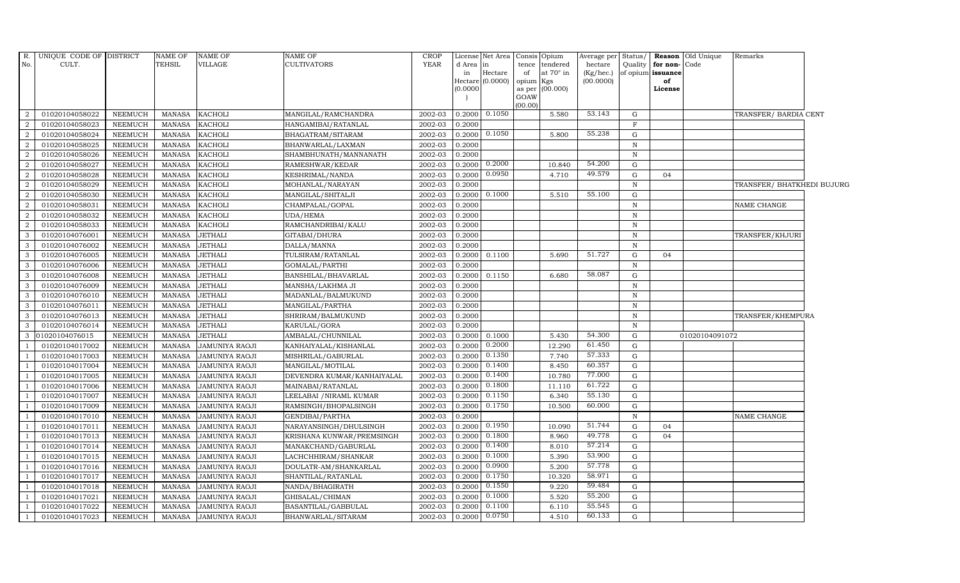| R.             | UNIQUE CODE OF DISTRICT          |                           | NAME OF       | <b>NAME OF</b>                   | NAME OF                                    | <b>CROP</b> |          | License Net Area Consis Opium |                 |                  | Average per Status/    |              |                              | Reason Old Unique | Remarks                    |  |
|----------------|----------------------------------|---------------------------|---------------|----------------------------------|--------------------------------------------|-------------|----------|-------------------------------|-----------------|------------------|------------------------|--------------|------------------------------|-------------------|----------------------------|--|
| No.            | CULT.                            |                           | <b>TEHSIL</b> | <b>VILLAGE</b>                   | <b>CULTIVATORS</b>                         | <b>YEAR</b> | d Area   | in                            |                 | tence tendered   | hectare                |              | Quality <b>for non-</b> Code |                   |                            |  |
|                |                                  |                           |               |                                  |                                            |             | in       | Hectare<br>Hectare (0.0000)   | of<br>opium Kgs | at $70^\circ$ in | (Kg/hec.)<br>(00.0000) |              | of opium issuance<br>of      |                   |                            |  |
|                |                                  |                           |               |                                  |                                            |             | (0.0000) |                               |                 | as per (00.000)  |                        |              | License                      |                   |                            |  |
|                |                                  |                           |               |                                  |                                            |             |          |                               | GOAW            |                  |                        |              |                              |                   |                            |  |
| 2              |                                  |                           | <b>MANASA</b> |                                  |                                            | 2002-03     | 0.2000   | 0.1050                        | (00.00)         | 5.580            | 53.143                 | G            |                              |                   | TRANSFER/ BARDIA CENT      |  |
| $\overline{2}$ | 01020104058022<br>01020104058023 | NEEMUCH<br><b>NEEMUCH</b> | <b>MANASA</b> | <b>KACHOLI</b><br><b>KACHOLI</b> | MANGILAL/RAMCHANDRA<br>HANGAMIBAI/RATANLAL | 2002-03     | 0.2000   |                               |                 |                  |                        | $\mathbf{F}$ |                              |                   |                            |  |
| 2              | 01020104058024                   | <b>NEEMUCH</b>            | <b>MANASA</b> |                                  |                                            | 2002-03     | 0.2000   | 0.1050                        |                 | 5.800            | 55.238                 | G            |                              |                   |                            |  |
| $\overline{2}$ | 01020104058025                   | <b>NEEMUCH</b>            | <b>MANASA</b> | <b>KACHOLI</b><br><b>KACHOLI</b> | BHAGATRAM/SITARAM<br>BHANWARLAL/LAXMAN     | 2002-03     | 0.2000   |                               |                 |                  |                        | ${\bf N}$    |                              |                   |                            |  |
| $\overline{2}$ | 01020104058026                   | <b>NEEMUCH</b>            | <b>MANASA</b> | <b>KACHOLI</b>                   | SHAMBHUNATH/MANNANATH                      | 2002-03     | 0.2000   |                               |                 |                  |                        | $\, {\bf N}$ |                              |                   |                            |  |
| 2              | 01020104058027                   | NEEMUCH                   | <b>MANASA</b> | <b>KACHOLI</b>                   | RAMESHWAR/KEDAR                            | 2002-03     | 0.2000   | 0.2000                        |                 | 10.840           | 54.200                 | G            |                              |                   |                            |  |
| 2              | 01020104058028                   | <b>NEEMUCH</b>            | <b>MANASA</b> | <b>KACHOLI</b>                   | KESHRIMAL/NANDA                            | 2002-03     | 0.2000   | 0.0950                        |                 | 4.710            | 49.579                 | G            | 04                           |                   |                            |  |
| 2              | 01020104058029                   | <b>NEEMUCH</b>            | <b>MANASA</b> | <b>KACHOLI</b>                   | MOHANLAL/NARAYAN                           | 2002-03     | 0.2000   |                               |                 |                  |                        | N            |                              |                   | TRANSFER/ BHATKHEDI BUJURG |  |
| 2              | 01020104058030                   | <b>NEEMUCH</b>            | <b>MANASA</b> | <b>KACHOLI</b>                   | MANGILAL/SHITALJI                          | 2002-03     | 0.2000   | 0.1000                        |                 | 5.510            | 55.100                 | G            |                              |                   |                            |  |
| $\overline{2}$ | 01020104058031                   | <b>NEEMUCH</b>            | <b>MANASA</b> | <b>KACHOLI</b>                   | CHAMPALAL/GOPAL                            | 2002-03     | 0.2000   |                               |                 |                  |                        | $\, {\rm N}$ |                              |                   | NAME CHANGE                |  |
| 2              | 01020104058032                   | <b>NEEMUCH</b>            | <b>MANASA</b> | <b>KACHOLI</b>                   | UDA/HEMA                                   | 2002-03     | 0.2000   |                               |                 |                  |                        | $\mathbb N$  |                              |                   |                            |  |
| 2              | 01020104058033                   | <b>NEEMUCH</b>            | <b>MANASA</b> | <b>KACHOLI</b>                   | RAMCHANDRIBAI/KALU                         | 2002-03     | 0.2000   |                               |                 |                  |                        | N            |                              |                   |                            |  |
| 3              | 01020104076001                   | <b>NEEMUCH</b>            | <b>MANASA</b> | <b>JETHALI</b>                   | GITABAI/DHURA                              | 2002-03     | 0.2000   |                               |                 |                  |                        | $\, {\bf N}$ |                              |                   | TRANSFER/KHJURI            |  |
| 3              | 01020104076002                   | <b>NEEMUCH</b>            | <b>MANASA</b> | <b>JETHALI</b>                   | DALLA/MANNA                                | 2002-03     | 0.2000   |                               |                 |                  |                        | $\mathbf N$  |                              |                   |                            |  |
| $\mathbf{3}$   | 01020104076005                   | <b>NEEMUCH</b>            | <b>MANASA</b> | <b>JETHALI</b>                   | TULSIRAM/RATANLAL                          | 2002-03     | 0.2000   | 0.1100                        |                 | 5.690            | 51.727                 | ${\rm G}$    | 04                           |                   |                            |  |
| $\mathbf{3}$   | 01020104076006                   | <b>NEEMUCH</b>            | <b>MANASA</b> | <b>JETHALI</b>                   | GOMALAL/PARTHI                             | 2002-03     | 0.2000   |                               |                 |                  |                        | $\mathbb N$  |                              |                   |                            |  |
| $\mathbf{3}$   | 01020104076008                   | <b>NEEMUCH</b>            | <b>MANASA</b> | <b>JETHALI</b>                   | BANSHILAL/BHAVARLAL                        | 2002-03     | 0.2000   | 0.1150                        |                 | 6.680            | 58.087                 | G            |                              |                   |                            |  |
| $\overline{3}$ | 01020104076009                   | <b>NEEMUCH</b>            | <b>MANASA</b> | JETHALI                          | MANSHA/LAKHMA JI                           | 2002-03     | 0.2000   |                               |                 |                  |                        | N            |                              |                   |                            |  |
| 3              | 01020104076010                   | <b>NEEMUCH</b>            | <b>MANASA</b> | <b>JETHALI</b>                   | MADANLAL/BALMUKUND                         | 2002-03     | 0.2000   |                               |                 |                  |                        | $\, {\bf N}$ |                              |                   |                            |  |
| 3              | 01020104076011                   | <b>NEEMUCH</b>            | <b>MANASA</b> | <b>JETHALI</b>                   | MANGILAL/PARTHA                            | 2002-03     | 0.2000   |                               |                 |                  |                        | $\, {\bf N}$ |                              |                   |                            |  |
| $\mathbf{3}$   | 01020104076013                   | <b>NEEMUCH</b>            | <b>MANASA</b> | <b>JETHALI</b>                   | SHRIRAM/BALMUKUND                          | 2002-03     | 0.2000   |                               |                 |                  |                        | N            |                              |                   | TRANSFER/KHEMPURA          |  |
| 3              | 01020104076014                   | <b>NEEMUCH</b>            | <b>MANASA</b> | <b>JETHALI</b>                   | KARULAL/GORA                               | 2002-03     | 0.2000   |                               |                 |                  |                        | $\mathbf N$  |                              |                   |                            |  |
| -3             | 01020104076015                   | <b>NEEMUCH</b>            | <b>MANASA</b> | <b>JETHALI</b>                   | AMBALAL/CHUNNILAL                          | 2002-03     | 0.2000   | 0.1000                        |                 | 5.430            | 54.300                 | G            |                              | 01020104091072    |                            |  |
| $\overline{1}$ | 01020104017002                   | <b>NEEMUCH</b>            | <b>MANASA</b> | <b>JAMUNIYA RAOJI</b>            | KANHAIYALAL/KISHANLAL                      | 2002-03     | 0.2000   | 0.2000                        |                 | 12.290           | 61.450                 | G            |                              |                   |                            |  |
|                | 01020104017003                   | <b>NEEMUCH</b>            | MANASA        | JAMUNIYA RAOJI                   | MISHRILAL/GABURLAL                         | 2002-03     | 0.2000   | 0.1350                        |                 | 7.740            | 57.333                 | G            |                              |                   |                            |  |
| $\overline{1}$ | 01020104017004                   | <b>NEEMUCH</b>            | <b>MANASA</b> | JAMUNIYA RAOJI                   | MANGILAL/MOTILAL                           | 2002-03     | 0.2000   | 0.1400                        |                 | 8.450            | 60.357                 | G            |                              |                   |                            |  |
| $\mathbf{1}$   | 01020104017005                   | <b>NEEMUCH</b>            | <b>MANASA</b> | <b>JAMUNIYA RAOJI</b>            | DEVENDRA KUMAR/KANHAIYALAL                 | 2002-03     | 0.2000   | 0.1400                        |                 | 10.780           | 77.000                 | G            |                              |                   |                            |  |
| $\overline{1}$ | 01020104017006                   | NEEMUCH                   | <b>MANASA</b> | <b>JAMUNIYA RAOJI</b>            | MAINABAI/RATANLAL                          | 2002-03     | 0.2000   | 0.1800                        |                 | 11.110           | 61.722                 | G            |                              |                   |                            |  |
| $\overline{1}$ | 01020104017007                   | <b>NEEMUCH</b>            | <b>MANASA</b> | <b>JAMUNIYA RAOJI</b>            | LEELABAI / NIRAML KUMAR                    | 2002-03     | 0.2000   | 0.1150                        |                 | 6.340            | 55.130                 | G            |                              |                   |                            |  |
|                | 01020104017009                   | <b>NEEMUCH</b>            | <b>MANASA</b> | <b>JAMUNIYA RAOJI</b>            | RAMSINGH/BHOPALSINGH                       | 2002-03     | 0.2000   | 0.1750                        |                 | 10.500           | 60.000                 | ${\rm G}$    |                              |                   |                            |  |
| <sup>1</sup>   | 01020104017010                   | NEEMUCH                   | <b>MANASA</b> | JAMUNIYA RAOJI                   | GENDIBAI/PARTHA                            | 2002-03     | 0.2000   |                               |                 |                  |                        | N            |                              |                   | NAME CHANGE                |  |
| $\mathbf{1}$   | 01020104017011                   | <b>NEEMUCH</b>            | <b>MANASA</b> | <b>JAMUNIYA RAOJI</b>            | NARAYANSINGH/DHULSINGH                     | 2002-03     | 0.2000   | 0.1950                        |                 | 10.090           | 51.744                 | G            | 04                           |                   |                            |  |
| $\overline{1}$ | 01020104017013                   | <b>NEEMUCH</b>            | MANASA        | <b>JAMUNIYA RAOJI</b>            | KRISHANA KUNWAR/PREMSINGH                  | 2002-03     | 0.2000   | 0.1800                        |                 | 8.960            | 49.778                 | G            | 04                           |                   |                            |  |
| $\overline{1}$ | 01020104017014                   | <b>NEEMUCH</b>            | <b>MANASA</b> | <b>JAMUNIYA RAOJI</b>            | MANAKCHAND/GABURLAL                        | 2002-03     | 0.2000   | 0.1400                        |                 | 8.010            | 57.214                 | G            |                              |                   |                            |  |
|                | 01020104017015                   | <b>NEEMUCH</b>            | <b>MANASA</b> | <b>JAMUNIYA RAOJI</b>            | LACHCHHIRAM/SHANKAR                        | 2002-03     | 0.2000   | 0.1000                        |                 | 5.390            | 53.900                 | $\mathbf G$  |                              |                   |                            |  |
| $\overline{1}$ | 01020104017016                   | <b>NEEMUCH</b>            | <b>MANASA</b> | JAMUNIYA RAOJI                   | DOULATR-AM/SHANKARLAL                      | 2002-03     | 0.2000   | 0.0900                        |                 | 5.200            | 57.778                 | G            |                              |                   |                            |  |
| <sup>1</sup>   | 01020104017017                   | <b>NEEMUCH</b>            | <b>MANASA</b> | <b>JAMUNIYA RAOJI</b>            | SHANTILAL/RATANLAL                         | 2002-03     | 0.2000   | 0.1750                        |                 | 10.320           | 58.971                 | G            |                              |                   |                            |  |
| $\overline{1}$ | 01020104017018                   | NEEMUCH                   | <b>MANASA</b> | <b>JAMUNIYA RAOJI</b>            | NANDA/BHAGIRATH                            | 2002-03     | 0.2000   | 0.1550                        |                 | 9.220            | 59.484                 | G            |                              |                   |                            |  |
| $\overline{1}$ | 01020104017021                   | <b>NEEMUCH</b>            | <b>MANASA</b> | <b>JAMUNIYA RAOJI</b>            | GHISALAL/CHIMAN                            | 2002-03     | 0.2000   | 0.1000                        |                 | 5.520            | 55.200                 | G            |                              |                   |                            |  |
| $\overline{1}$ | 01020104017022                   | <b>NEEMUCH</b>            | <b>MANASA</b> | <b>JAMUNIYA RAOJI</b>            | BASANTILAL/GABBULAL                        | 2002-03     | 0.2000   | 0.1100                        |                 | 6.110            | 55.545                 | G            |                              |                   |                            |  |
| $\mathbf{1}$   | 01020104017023                   | NEEMUCH                   | MANASA        | <b>JAMUNIYA RAOJI</b>            | BHANWARLAL/SITARAM                         | 2002-03     | 0.2000   | 0.0750                        |                 | 4.510            | 60.133                 | G            |                              |                   |                            |  |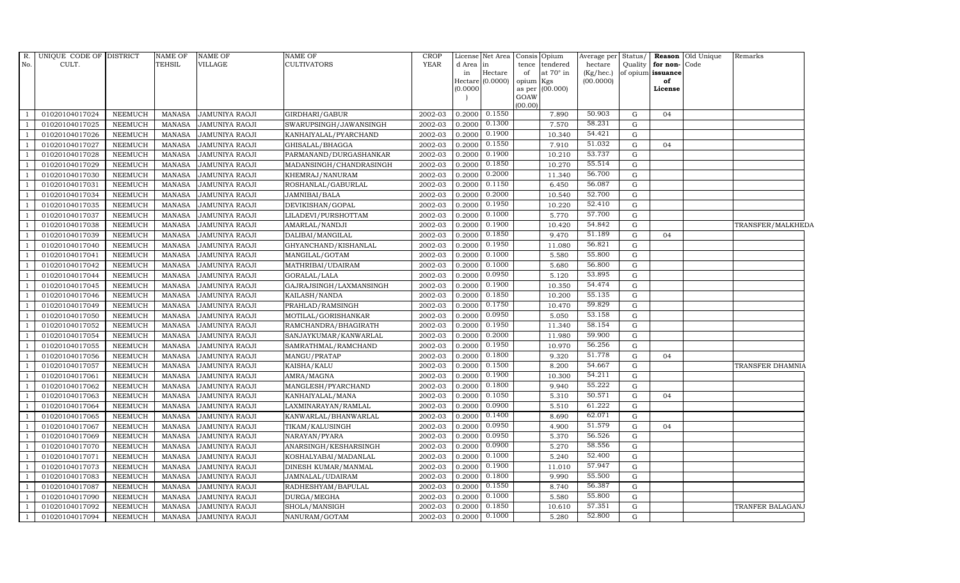| R.             | UNIQUE CODE OF DISTRICT |                | <b>NAME OF</b> | <b>NAME OF</b>        | <b>NAME OF</b>          | <b>CROP</b> |           |                  | License Net Area Consis Opium | Average per Status/ |             |                   | <b>Reason</b> Old Unique | Remarks           |
|----------------|-------------------------|----------------|----------------|-----------------------|-------------------------|-------------|-----------|------------------|-------------------------------|---------------------|-------------|-------------------|--------------------------|-------------------|
| No.            | CULT.                   |                | <b>TEHSIL</b>  | VILLAGE               | <b>CULTIVATORS</b>      | <b>YEAR</b> | d Area in |                  | tence<br>tendered             | hectare             | Quality     | for non-Code      |                          |                   |
|                |                         |                |                |                       |                         |             | in        | Hectare          | at 70° in<br>of               | (Kg/hec.)           |             | of opium issuance |                          |                   |
|                |                         |                |                |                       |                         |             | (0.0000)  | Hectare (0.0000) | opium Kgs<br>as per (00.000)  | (00.0000)           |             | of<br>License     |                          |                   |
|                |                         |                |                |                       |                         |             |           |                  | GOAW                          |                     |             |                   |                          |                   |
|                |                         |                |                |                       |                         |             |           |                  | (00.00)                       |                     |             |                   |                          |                   |
|                | 01020104017024          | <b>NEEMUCH</b> | MANASA         | <b>JAMUNIYA RAOJI</b> | GIRDHARI/GABUR          | 2002-03     | 0.2000    | 0.1550           | 7.890                         | 50.903              | G           | 04                |                          |                   |
|                | 01020104017025          | NEEMUCH        | MANASA         | <b>JAMUNIYA RAOJI</b> | SWARUPSINGH/JAWANSINGH  | 2002-03     | 0.2000    | 0.1300           | 7.570                         | 58.231              | G           |                   |                          |                   |
|                | 01020104017026          | <b>NEEMUCH</b> | MANASA         | <b>JAMUNIYA RAOJI</b> | KANHAIYALAL/PYARCHAND   | 2002-03     | 0.2000    | 0.1900           | 10.340                        | 54.421              | $\mathbf G$ |                   |                          |                   |
|                | 01020104017027          | <b>NEEMUCH</b> | <b>MANASA</b>  | <b>JAMUNIYA RAOJI</b> | GHISALAL/BHAGGA         | 2002-03     | 0.2000    | 0.1550           | 7.910                         | 51.032              | ${\rm G}$   | 04                |                          |                   |
|                | 01020104017028          | <b>NEEMUCH</b> | <b>MANASA</b>  | <b>JAMUNIYA RAOJI</b> | PARMANAND/DURGASHANKAR  | 2002-03     | 0.2000    | 0.1900           | 10.210                        | 53.737              | G           |                   |                          |                   |
|                | 01020104017029          | NEEMUCH        | <b>MANASA</b>  | <b>JAMUNIYA RAOJI</b> | MADANSINGH/CHANDRASINGH | 2002-03     | 0.2000    | 0.1850           | 10.270                        | 55.514              | G           |                   |                          |                   |
|                | 01020104017030          | <b>NEEMUCH</b> | <b>MANASA</b>  | <b>JAMUNIYA RAOJI</b> | KHEMRAJ/NANURAM         | 2002-03     | 0.2000    | 0.2000           | 11.340                        | 56.700              | G           |                   |                          |                   |
|                | 01020104017031          | <b>NEEMUCH</b> | <b>MANASA</b>  | <b>JAMUNIYA RAOJI</b> | ROSHANLAL/GABURLAL      | 2002-03     | 0.2000    | 0.1150           | 6.450                         | 56.087              | ${\rm G}$   |                   |                          |                   |
|                | 01020104017034          | <b>NEEMUCH</b> | <b>MANASA</b>  | <b>JAMUNIYA RAOJI</b> | JAMNIBAI/BALA           | 2002-03     | 0.2000    | 0.2000           | 10.540                        | 52.700              | ${\rm G}$   |                   |                          |                   |
|                | 01020104017035          | <b>NEEMUCH</b> | <b>MANASA</b>  | <b>JAMUNIYA RAOJI</b> | DEVIKISHAN/GOPAL        | 2002-03     | 0.2000    | 0.1950           | 10.220                        | 52.410              | ${\rm G}$   |                   |                          |                   |
|                | 01020104017037          | <b>NEEMUCH</b> | <b>MANASA</b>  | JAMUNIYA RAOJI        | LILADEVI/PURSHOTTAM     | 2002-03     | 0.2000    | 0.1000           | 5.770                         | 57.700              | G           |                   |                          |                   |
|                | 01020104017038          | <b>NEEMUCH</b> | <b>MANASA</b>  | <b>JAMUNIYA RAOJI</b> | AMARLAL/NANDJI          | 2002-03     | 0.2000    | 0.1900           | 10.420                        | 54.842              | ${\rm G}$   |                   |                          | TRANSFER/MALKHEDA |
|                | 01020104017039          | <b>NEEMUCH</b> | <b>MANASA</b>  | <b>JAMUNIYA RAOJI</b> | DALIBAI/MANGILAL        | 2002-03     | 0.2000    | 0.1850           | 9.470                         | 51.189              | ${\rm G}$   | 04                |                          |                   |
|                | 01020104017040          | <b>NEEMUCH</b> | <b>MANASA</b>  | <b>JAMUNIYA RAOJI</b> | GHYANCHAND/KISHANLAL    | 2002-03     | 0.2000    | 0.1950           | 11.080                        | 56.821              | ${\rm G}$   |                   |                          |                   |
|                | 01020104017041          | <b>NEEMUCH</b> | <b>MANASA</b>  | <b>JAMUNIYA RAOJI</b> | MANGILAL/GOTAM          | 2002-03     | 0.2000    | 0.1000           | 5.580                         | 55.800              | ${\rm G}$   |                   |                          |                   |
| $\overline{1}$ | 01020104017042          | <b>NEEMUCH</b> | <b>MANASA</b>  | <b>JAMUNIYA RAOJI</b> | MATHRIBAI/UDAIRAM       | 2002-03     | 0.2000    | 0.1000           | 5.680                         | 56.800              | ${\rm G}$   |                   |                          |                   |
|                | 01020104017044          | <b>NEEMUCH</b> | <b>MANASA</b>  | <b>JAMUNIYA RAOJI</b> | GORALAL/LALA            | 2002-03     | 0.2000    | 0.0950           | 5.120                         | 53.895              | G           |                   |                          |                   |
|                | 01020104017045          | <b>NEEMUCH</b> | <b>MANASA</b>  | <b>JAMUNIYA RAOJI</b> | GAJRAJSINGH/LAXMANSINGH | 2002-03     | 0.2000    | 0.1900           | 10.350                        | 54.474              | ${\rm G}$   |                   |                          |                   |
|                | 01020104017046          | <b>NEEMUCH</b> | <b>MANASA</b>  | <b>JAMUNIYA RAOJI</b> | KAILASH/NANDA           | 2002-03     | 0.2000    | 0.1850           | 10.200                        | 55.135              | ${\rm G}$   |                   |                          |                   |
|                | 01020104017049          | <b>NEEMUCH</b> | <b>MANASA</b>  | <b>JAMUNIYA RAOJI</b> | PRAHLAD/RAMSINGH        | 2002-03     | 0.2000    | 0.1750           | 10.470                        | 59.829              | G           |                   |                          |                   |
| -1             | 01020104017050          | <b>NEEMUCH</b> | <b>MANASA</b>  | <b>JAMUNIYA RAOJI</b> | MOTILAL/GORISHANKAR     | 2002-03     | 0.2000    | 0.0950           | 5.050                         | 53.158              | G           |                   |                          |                   |
|                | 01020104017052          | <b>NEEMUCH</b> | <b>MANASA</b>  | <b>JAMUNIYA RAOJI</b> | RAMCHANDRA/BHAGIRATH    | 2002-03     | 0.2000    | 0.1950           | 11.340                        | 58.154              | G           |                   |                          |                   |
|                | 01020104017054          | <b>NEEMUCH</b> | <b>MANASA</b>  | <b>JAMUNIYA RAOJI</b> | SANJAYKUMAR/KANWARLAL   | 2002-03     | 0.2000    | 0.2000           | 11.980                        | 59.900              | G           |                   |                          |                   |
|                | 01020104017055          | <b>NEEMUCH</b> | <b>MANASA</b>  | <b>JAMUNIYA RAOJI</b> | SAMRATHMAL/RAMCHAND     | 2002-03     | 0.2000    | 0.1950           | 10.970                        | 56.256              | ${\rm G}$   |                   |                          |                   |
|                | 01020104017056          | <b>NEEMUCH</b> | <b>MANASA</b>  | <b>JAMUNIYA RAOJI</b> | MANGU/PRATAP            | 2002-03     | 0.2000    | 0.1800           | 9.320                         | 51.778              | G           | 04                |                          |                   |
|                | 01020104017057          | <b>NEEMUCH</b> | <b>MANASA</b>  | <b>JAMUNIYA RAOJI</b> | KAISHA/KALU             | 2002-03     | 0.2000    | 0.1500           | 8.200                         | 54.667              | G           |                   |                          | TRANSFER DHAMNIA  |
|                | 01020104017061          | <b>NEEMUCH</b> | <b>MANASA</b>  | <b>JAMUNIYA RAOJI</b> | AMRA/MAGNA              | 2002-03     | 0.2000    | 0.1900           | 10.300                        | 54.211              | G           |                   |                          |                   |
|                | 01020104017062          | <b>NEEMUCH</b> | <b>MANASA</b>  | <b>JAMUNIYA RAOJI</b> | MANGLESH/PYARCHAND      | 2002-03     | 0.2000    | 0.1800           | 9.940                         | 55.222              | G           |                   |                          |                   |
| $\mathbf{1}$   | 01020104017063          | <b>NEEMUCH</b> | <b>MANASA</b>  | <b>JAMUNIYA RAOJI</b> | KANHAIYALAL/MANA        | 2002-03     | 0.2000    | 0.1050           | 5.310                         | 50.571              | ${\rm G}$   | 04                |                          |                   |
|                | 01020104017064          | <b>NEEMUCH</b> | <b>MANASA</b>  | <b>JAMUNIYA RAOJI</b> | LAXMINARAYAN/RAMLAL     | 2002-03     | 0.2000    | 0.0900           | 5.510                         | 61.222              | G           |                   |                          |                   |
|                | 01020104017065          | <b>NEEMUCH</b> | <b>MANASA</b>  | <b>JAMUNIYA RAOJI</b> | KANWARLAL/BHANWARLAL    | 2002-03     | 0.2000    | 0.1400           | 8.690                         | 62.071              | G           |                   |                          |                   |
|                | 01020104017067          | <b>NEEMUCH</b> | <b>MANASA</b>  | <b>JAMUNIYA RAOJI</b> | TIKAM/KALUSINGH         | 2002-03     | 0.2000    | 0.0950           | 4.900                         | 51.579              | G           | 04                |                          |                   |
|                | 01020104017069          | <b>NEEMUCH</b> | MANASA         | <b>JAMUNIYA RAOJI</b> | NARAYAN/PYARA           | 2002-03     | 0.2000    | 0.0950           | 5.370                         | 56.526              | G           |                   |                          |                   |
|                | 01020104017070          | <b>NEEMUCH</b> | <b>MANASA</b>  | <b>JAMUNIYA RAOJI</b> | ANARSINGH/KESHARSINGH   | 2002-03     | 0.2000    | 0.0900           | 5.270                         | 58.556              | ${\rm G}$   |                   |                          |                   |
|                | 01020104017071          | <b>NEEMUCH</b> | <b>MANASA</b>  | <b>JAMUNIYA RAOJI</b> | KOSHALYABAI/MADANLAL    | 2002-03     | 0.2000    | 0.1000           | 5.240                         | 52.400              | ${\rm G}$   |                   |                          |                   |
|                | 01020104017073          | <b>NEEMUCH</b> | <b>MANASA</b>  | <b>JAMUNIYA RAOJI</b> | DINESH KUMAR/MANMAL     | 2002-03     | 0.2000    | 0.1900           | 11.010                        | 57.947              | $\mathbf G$ |                   |                          |                   |
|                | 01020104017083          | <b>NEEMUCH</b> | <b>MANASA</b>  | <b>JAMUNIYA RAOJI</b> | JAMNALAL/UDAIRAM        | 2002-03     | 0.2000    | 0.1800           | 9.990                         | 55.500              | G           |                   |                          |                   |
|                | 01020104017087          | <b>NEEMUCH</b> | <b>MANASA</b>  | <b>JAMUNIYA RAOJI</b> | RADHESHYAM/BAPULAL      | 2002-03     | 0.2000    | 0.1550           | 8.740                         | 56.387              | ${\rm G}$   |                   |                          |                   |
|                | 01020104017090          | <b>NEEMUCH</b> | <b>MANASA</b>  | <b>JAMUNIYA RAOJI</b> | DURGA/MEGHA             | 2002-03     | 0.2000    | 0.1000           | 5.580                         | 55.800              | ${\rm G}$   |                   |                          |                   |
|                | 01020104017092          | <b>NEEMUCH</b> | <b>MANASA</b>  | <b>JAMUNIYA RAOJI</b> | SHOLA/MANSIGH           | 2002-03     | 0.2000    | 0.1850           | 10.610                        | 57.351              | ${\rm G}$   |                   |                          | TRANFER BALAGANJ  |
|                | 01020104017094          | <b>NEEMUCH</b> | <b>MANASA</b>  | <b>JAMUNIYA RAOJI</b> | NANURAM/GOTAM           | 2002-03     | 0.2000    | 0.1000           | 5.280                         | 52.800              | $\mathbf G$ |                   |                          |                   |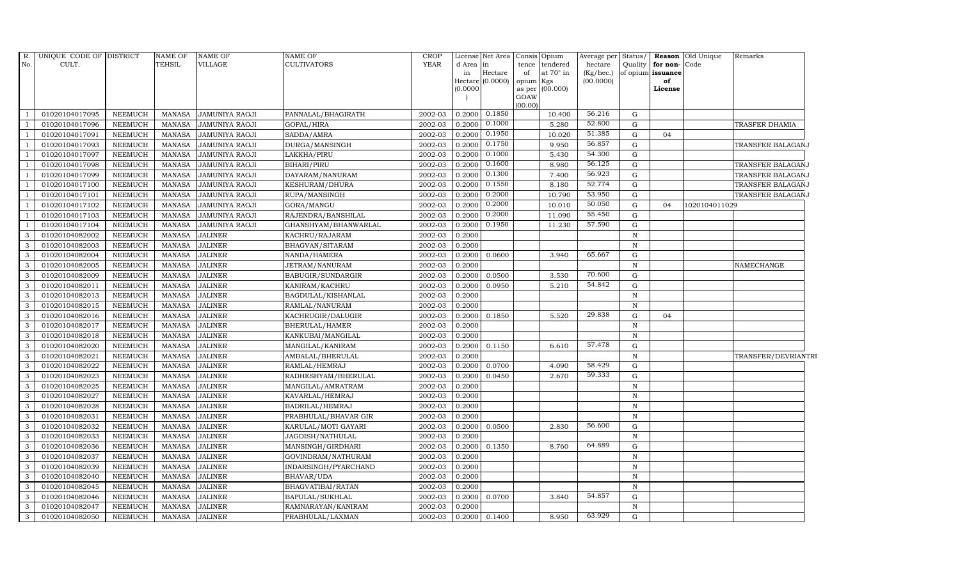| R.                               | UNIQUE CODE OF DISTRICT          |                                  | NAME OF                        | <b>NAME OF</b>                          | NAME OF                                | <b>CROP</b>          | License <sup>l</sup> | Net Area         | Consis Opium    |                              | Average per            | Status/      |                         | Reason Old Unique | Remarks             |
|----------------------------------|----------------------------------|----------------------------------|--------------------------------|-----------------------------------------|----------------------------------------|----------------------|----------------------|------------------|-----------------|------------------------------|------------------------|--------------|-------------------------|-------------------|---------------------|
| No.                              | CULT.                            |                                  | <b>TEHSIL</b>                  | VILLAGE                                 | CULTIVATORS                            | <b>YEAR</b>          | d Area<br>in         | in<br>Hectare    | tence           | tendered<br>at $70^\circ$ in | hectare                | Quality      | for non-Code            |                   |                     |
|                                  |                                  |                                  |                                |                                         |                                        |                      |                      | Hectare (0.0000) | of<br>opium Kgs |                              | (Kg/hec.)<br>(00.0000) |              | of opium issuance<br>of |                   |                     |
|                                  |                                  |                                  |                                |                                         |                                        |                      | (0.0000)             |                  |                 | as per (00.000)              |                        |              | License                 |                   |                     |
|                                  |                                  |                                  |                                |                                         |                                        |                      |                      |                  | GOAW            |                              |                        |              |                         |                   |                     |
|                                  |                                  |                                  |                                |                                         |                                        |                      |                      | 0.1850           | (00.00)         |                              | 56.216                 |              |                         |                   |                     |
|                                  | 01020104017095                   | <b>NEEMUCH</b>                   | <b>MANASA</b>                  | <b>JAMUNIYA RAOJI</b>                   | PANNALAL/BHAGIRATH                     | 2002-03              | 0.2000               | 0.1000           |                 | 10.400                       | 52.800                 | G            |                         |                   |                     |
| - 1                              | 01020104017096                   | <b>NEEMUCH</b>                   | <b>MANASA</b>                  | JAMUNIYA RAOJI                          | GOPAL/HIRA                             | 2002-03              | 0.2000               | 0.1950           |                 | 5.280                        | 51.385                 | ${\rm G}$    |                         |                   | TRASFER DHAMIA      |
| $\overline{1}$                   | 01020104017091                   | <b>NEEMUCH</b>                   | <b>MANASA</b>                  | <b>JAMUNIYA RAOJI</b>                   | SADDA/AMRA                             | 2002-03              | 0.2000               | 0.1750           |                 | 10.020                       | 56.857                 | G            | 04                      |                   |                     |
|                                  | 01020104017093                   | <b>NEEMUCH</b>                   | <b>MANASA</b>                  | <b>JAMUNIYA RAOJI</b>                   | DURGA/MANSINGH                         | 2002-03              | 0.2000               | 0.1000           |                 | 9.950                        | 54.300                 | G            |                         |                   | TRANSFER BALAGANJ   |
|                                  | 01020104017097                   | NEEMUCH                          | <b>MANASA</b>                  | JAMUNIYA RAOJI                          | LAKKHA/PIRU                            | 2002-03              | 0.2000               | 0.1600           |                 | 5.430                        | 56.125                 | ${\rm G}$    |                         |                   |                     |
| <sup>1</sup>                     | 01020104017098                   | <b>NEEMUCH</b>                   | <b>MANASA</b>                  | <b>JAMUNIYA RAOJI</b>                   | BIHARI/PIRU                            | 2002-03<br>2002-03   | 0.2000               | 0.1300           |                 | 8.980<br>7.400               | 56.923                 | G<br>G       |                         |                   | TRANSFER BALAGANJ   |
| $\overline{1}$<br>$\overline{1}$ | 01020104017099                   | <b>NEEMUCH</b>                   | <b>MANASA</b>                  | <b>JAMUNIYA RAOJI</b>                   | DAYARAM/NANURAM                        |                      | 0.2000               | 0.1550           |                 |                              | 52.774                 |              |                         |                   | TRANSFER BALAGANJ   |
|                                  | 01020104017100<br>01020104017101 | <b>NEEMUCH</b><br><b>NEEMUCH</b> | <b>MANASA</b>                  | JAMUNIYA RAOJI                          | KESHURAM/DHURA                         | 2002-03<br>2002-03   | 0.2000<br>0.2000     | 0.2000           |                 | 8.180<br>10.790              | 53.950                 | G<br>G       |                         |                   | TRANSFER BALAGANJ   |
|                                  |                                  |                                  | <b>MANASA</b>                  | <b>JAMUNIYA RAOJI</b>                   | RUPA/MANSINGH                          |                      |                      | 0.2000           |                 |                              | 50.050                 | ${\rm G}$    | 04                      |                   | TRANSFER BALAGANJ   |
| <sup>1</sup>                     | 01020104017102                   | <b>NEEMUCH</b><br><b>NEEMUCH</b> | <b>MANASA</b><br><b>MANASA</b> | <b>JAMUNIYA RAOJI</b>                   | GORA/MANGU                             | 2002-03<br>2002-03   | 0.2000<br>0.2000     | 0.2000           |                 | 10.010<br>11.090             | 55.450                 | G            |                         | 1020104011029     |                     |
| - 1                              | 01020104017103<br>01020104017104 | <b>NEEMUCH</b>                   | <b>MANASA</b>                  | JAMUNIYA RAOJI                          | RAJENDRA/BANSHILAL                     | 2002-03              | 0.2000               | 0.1950           |                 | 11.230                       | 57.590                 | $\mathbf G$  |                         |                   |                     |
| 3                                | 01020104082002                   | <b>NEEMUCH</b>                   | <b>MANASA</b>                  | <b>JAMUNIYA RAOJI</b><br><b>JALINER</b> | GHANSHYAM/BHANWARLAL<br>KACHRU/RAJARAM | 2002-03              | 0.2000               |                  |                 |                              |                        | $\mathbb N$  |                         |                   |                     |
| 3                                | 01020104082003                   | <b>NEEMUCH</b>                   | <b>MANASA</b>                  | <b>JALINER</b>                          | BHAGVAN/SITARAM                        | 2002-03              | 0.2000               |                  |                 |                              |                        | $\mathbf N$  |                         |                   |                     |
| 3                                | 01020104082004                   | <b>NEEMUCH</b>                   | <b>MANASA</b>                  | <b>JALINER</b>                          | NANDA/HAMERA                           | 2002-03              | 0.2000               | 0.0600           |                 | 3.940                        | 65.667                 | G            |                         |                   |                     |
| $\mathbf{3}$                     | 01020104082005                   | <b>NEEMUCH</b>                   | <b>MANASA</b>                  | <b>JALINER</b>                          | JETRAM/NANURAM                         | 2002-03              | 0.2000               |                  |                 |                              |                        | $\mathbb N$  |                         |                   | NAMECHANGE          |
| 3                                | 01020104082009                   | <b>NEEMUCH</b>                   | <b>MANASA</b>                  | <b>JALINER</b>                          | BABUGIR/SUNDARGIR                      | 2002-03              | 0.2000               | 0.0500           |                 | 3.530                        | 70.600                 | G            |                         |                   |                     |
| $\mathbf{3}$                     | 01020104082011                   | <b>NEEMUCH</b>                   | <b>MANASA</b>                  | <b>JALINER</b>                          | KANIRAM/KACHRU                         | 2002-03              | 0.2000               | 0.0950           |                 | 5.210                        | 54.842                 | $\mathbf G$  |                         |                   |                     |
| $\mathbf{3}$                     | 01020104082013                   | <b>NEEMUCH</b>                   | <b>MANASA</b>                  | <b>JALINER</b>                          | BAGDULAL/KISHANLAL                     | 2002-03              | 0.2000               |                  |                 |                              |                        | $\mathbb N$  |                         |                   |                     |
| 3                                | 01020104082015                   | <b>NEEMUCH</b>                   | <b>MANASA</b>                  | <b>JALINER</b>                          | RAMLAL/NANURAM                         | 2002-03              | 0.2000               |                  |                 |                              |                        | $\mathbf N$  |                         |                   |                     |
| $\mathbf{3}$                     | 01020104082016                   | <b>NEEMUCH</b>                   | <b>MANASA</b>                  | <b>JALINER</b>                          | KACHRUGIR/DALUGIR                      | 2002-03              | 0.2000               | 0.1850           |                 | 5.520                        | 29.838                 | G            | 04                      |                   |                     |
| $\mathbf{3}$                     | 01020104082017                   | <b>NEEMUCH</b>                   | <b>MANASA</b>                  | <b>JALINER</b>                          | BHERULAL/HAMER                         | 2002-03              | 0.2000               |                  |                 |                              |                        | $\mathbb N$  |                         |                   |                     |
| $\mathbf{3}$                     | 01020104082018                   | <b>NEEMUCH</b>                   | <b>MANASA</b>                  | <b>JALINER</b>                          | KANKUBAI/MANGILAL                      | $\overline{2}002-03$ | 0.2000               |                  |                 |                              |                        | $\mathbf N$  |                         |                   |                     |
| 3                                | 01020104082020                   | <b>NEEMUCH</b>                   | <b>MANASA</b>                  | <b>JALINER</b>                          | MANGILAL/KANIRAM                       | 2002-03              | 0.2000               | 0.1150           |                 | 6.610                        | 57.478                 | G            |                         |                   |                     |
| 3                                | 01020104082021                   | <b>NEEMUCH</b>                   | <b>MANASA</b>                  | <b>JALINER</b>                          | AMBALAL/BHERULAL                       | 2002-03              | 0.2000               |                  |                 |                              |                        | $\mathbf N$  |                         |                   | TRANSFER/DEVRIANTRI |
| $\mathbf{3}$                     | 01020104082022                   | NEEMUCH                          | <b>MANASA</b>                  | <b>JALINER</b>                          | RAMLAL/HEMRAJ                          | 2002-03              | 0.2000               | 0.0700           |                 | 4.090                        | 58.429                 | $\mathbf G$  |                         |                   |                     |
| 3                                | 01020104082023                   | <b>NEEMUCH</b>                   | <b>MANASA</b>                  | <b>JALINER</b>                          | RADHESHYAM/BHERULAL                    | 2002-03              | 0.2000               | 0.0450           |                 | 2.670                        | 59.333                 | G            |                         |                   |                     |
| 3                                | 01020104082025                   | <b>NEEMUCH</b>                   | <b>MANASA</b>                  | <b>JALINER</b>                          | MANGILAL/AMRATRAM                      | 2002-03              | 0.2000               |                  |                 |                              |                        | $\mathbf N$  |                         |                   |                     |
| 3                                | 01020104082027                   | <b>NEEMUCH</b>                   | <b>MANASA</b>                  | <b>JALINER</b>                          | KAVARLAL/HEMRAJ                        | 2002-03              | 0.2000               |                  |                 |                              |                        | $\mathbb N$  |                         |                   |                     |
| 3                                | 01020104082028                   | <b>NEEMUCH</b>                   | <b>MANASA</b>                  | <b>JALINER</b>                          | BADRILAL/HEMRAJ                        | 2002-03              | 0.2000               |                  |                 |                              |                        | $\, {\bf N}$ |                         |                   |                     |
| $\mathbf{3}$                     | 01020104082031                   | NEEMUCH                          | <b>MANASA</b>                  | <b>JALINER</b>                          | PRABHULAL/BHAVAR GIR                   | 2002-03              | 0.2000               |                  |                 |                              |                        | $\mathbf N$  |                         |                   |                     |
| 3                                | 01020104082032                   | <b>NEEMUCH</b>                   | <b>MANASA</b>                  | <b>JALINER</b>                          | KARULAL/MOTI GAYARI                    | 2002-03              | 0.2000               | 0.0500           |                 | 2.830                        | 56.600                 | G            |                         |                   |                     |
| 3                                | 01020104082033                   | <b>NEEMUCH</b>                   | <b>MANASA</b>                  | <b>JALINER</b>                          | JAGDISH/NATHULAL                       | 2002-03              | 0.2000               |                  |                 |                              |                        | $\mathbb N$  |                         |                   |                     |
| $\mathbf{3}$                     | 01020104082036                   | <b>NEEMUCH</b>                   | <b>MANASA</b>                  | <b>JALINER</b>                          | MANSINGH/GIRDHARI                      | 2002-03              | 0.2000               | 0.1350           |                 | 8.760                        | 64.889                 | ${\rm G}$    |                         |                   |                     |
| $\mathbf{3}$                     | 01020104082037                   | <b>NEEMUCH</b>                   | <b>MANASA</b>                  | <b>JALINER</b>                          | GOVINDRAM/NATHURAM                     | 2002-03              | 0.2000               |                  |                 |                              |                        | $\, {\bf N}$ |                         |                   |                     |
| 3                                | 01020104082039                   | <b>NEEMUCH</b>                   | <b>MANASA</b>                  | <b>JALINER</b>                          | INDARSINGH/PYARCHAND                   | 2002-03              | 0.2000               |                  |                 |                              |                        | $\mathbf N$  |                         |                   |                     |
| 3                                | 01020104082040                   | <b>NEEMUCH</b>                   | <b>MANASA</b>                  | <b>JALINER</b>                          | BHAVAR/UDA                             | 2002-03              | 0.2000               |                  |                 |                              |                        | $\mathbb N$  |                         |                   |                     |
| $\mathbf{3}$                     | 01020104082045                   | <b>NEEMUCH</b>                   | <b>MANASA</b>                  | <b>JALINER</b>                          | BHAGVATIBAI/RATAN                      | 2002-03              | 0.2000               |                  |                 |                              |                        | $\mathbb N$  |                         |                   |                     |
| 3                                | 01020104082046                   | <b>NEEMUCH</b>                   | <b>MANASA</b>                  | <b>JALINER</b>                          | BAPULAL/SUKHLAL                        | 2002-03              | 0.2000               | 0.0700           |                 | 3.840                        | 54.857                 | G            |                         |                   |                     |
| $\mathbf{3}$                     | 01020104082047                   | <b>NEEMUCH</b>                   | <b>MANASA</b>                  | <b>JALINER</b>                          | RAMNARAYAN/KANIRAM                     | 2002-03              | 0.2000               |                  |                 |                              |                        | $\, {\bf N}$ |                         |                   |                     |
| 3                                | 01020104082050                   | <b>NEEMUCH</b>                   | <b>MANASA</b>                  | <b>JALINER</b>                          | PRABHULAL/LAXMAN                       | 2002-03              |                      | $0.2000$ 0.1400  |                 | 8.950                        | 63.929                 | G            |                         |                   |                     |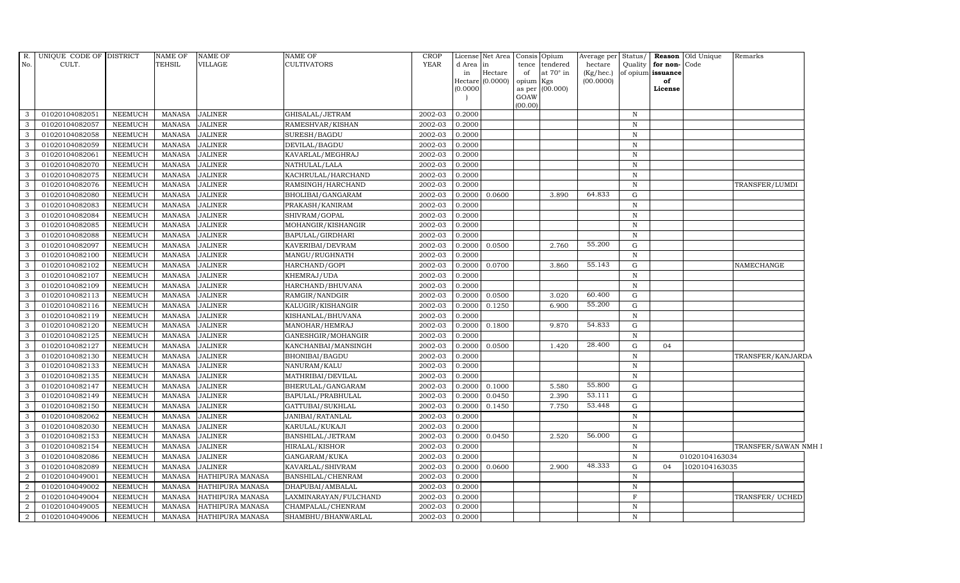| R.             | UNIQUE CODE OF DISTRICT |                | <b>NAME OF</b> | NAME OF          | NAME OF               | CROP        |           | License Net Area                                                                                                               | Consis      | Opium                   | Average per               | Status/      |                         | <b>Reason</b> Old Unique | Remarks              |  |
|----------------|-------------------------|----------------|----------------|------------------|-----------------------|-------------|-----------|--------------------------------------------------------------------------------------------------------------------------------|-------------|-------------------------|---------------------------|--------------|-------------------------|--------------------------|----------------------|--|
| No.            | CULT.                   |                | <b>TEHSIL</b>  | VILLAGE          | <b>CULTIVATORS</b>    | <b>YEAR</b> | d Area in |                                                                                                                                | tence       | tendered                | hectare                   | Quality      | for non-Code            |                          |                      |  |
|                |                         |                |                |                  |                       |             | in        | $\operatorname*{Hectare}% \nolimits_{\mathbb{Z}}\left( \mathbb{Z}^{\Sigma\left( 1\right) }\right) ^{\ast}$<br>Hectare (0.0000) | of<br>opium | at $70^\circ$ in<br>Kgs | $(Kg/$ hec.)<br>(00.0000) |              | of opium issuance<br>of |                          |                      |  |
|                |                         |                |                |                  |                       |             | (0.0000)  |                                                                                                                                | as per      | (00.000)                |                           |              | License                 |                          |                      |  |
|                |                         |                |                |                  |                       |             |           |                                                                                                                                | GOAW        |                         |                           |              |                         |                          |                      |  |
|                |                         |                |                |                  |                       |             |           |                                                                                                                                | (00.00)     |                         |                           |              |                         |                          |                      |  |
| 3              | 01020104082051          | <b>NEEMUCH</b> | <b>MANASA</b>  | <b>JALINER</b>   | GHISALAL/JETRAM       | 2002-03     | 0.2000    |                                                                                                                                |             |                         |                           | $\, {\bf N}$ |                         |                          |                      |  |
| -3             | 01020104082057          | <b>NEEMUCH</b> | <b>MANASA</b>  | <b>JALINER</b>   | RAMESHVAR/KISHAN      | 2002-03     | 0.2000    |                                                                                                                                |             |                         |                           | $\mathbb N$  |                         |                          |                      |  |
| 3              | 01020104082058          | <b>NEEMUCH</b> | <b>MANASA</b>  | <b>JALINER</b>   | SURESH/BAGDU          | 2002-03     | 0.2000    |                                                                                                                                |             |                         |                           | $\, {\bf N}$ |                         |                          |                      |  |
| 3              | 01020104082059          | <b>NEEMUCH</b> | <b>MANASA</b>  | <b>JALINER</b>   | DEVILAL/BAGDU         | 2002-03     | 0.2000    |                                                                                                                                |             |                         |                           | $\mathbb N$  |                         |                          |                      |  |
| 3              | 01020104082061          | <b>NEEMUCH</b> | <b>MANASA</b>  | <b>JALINER</b>   | KAVARLAL/MEGHRAJ      | 2002-03     | 0.2000    |                                                                                                                                |             |                         |                           | $\, {\rm N}$ |                         |                          |                      |  |
| $\mathbf{3}$   | 01020104082070          | <b>NEEMUCH</b> | <b>MANASA</b>  | <b>JALINER</b>   | NATHULAL/LALA         | 2002-03     | 0.2000    |                                                                                                                                |             |                         |                           | $\, {\bf N}$ |                         |                          |                      |  |
| 3              | 01020104082075          | <b>NEEMUCH</b> | <b>MANASA</b>  | <b>JALINER</b>   | KACHRULAL/HARCHAND    | 2002-03     | 0.2000    |                                                                                                                                |             |                         |                           | $\, {\rm N}$ |                         |                          |                      |  |
| $\mathbf{3}$   | 01020104082076          | <b>NEEMUCH</b> | <b>MANASA</b>  | <b>JALINER</b>   | RAMSINGH/HARCHAND     | 2002-03     | 0.2000    |                                                                                                                                |             |                         |                           | N            |                         |                          | TRANSFER/LUMDI       |  |
| 3              | 01020104082080          | <b>NEEMUCH</b> | <b>MANASA</b>  | <b>JALINER</b>   | BHOLIBAI/GANGARAM     | 2002-03     | 0.2000    | 0.0600                                                                                                                         |             | 3.890                   | 64.833                    | G            |                         |                          |                      |  |
| 3              | 01020104082083          | <b>NEEMUCH</b> | <b>MANASA</b>  | JALINER          | PRAKASH/KANIRAM       | 2002-03     | 0.2000    |                                                                                                                                |             |                         |                           | $\mathbb N$  |                         |                          |                      |  |
| $\mathbf{3}$   | 01020104082084          | <b>NEEMUCH</b> | <b>MANASA</b>  | <b>JALINER</b>   | SHIVRAM/GOPAL         | 2002-03     | 0.2000    |                                                                                                                                |             |                         |                           | $\, {\bf N}$ |                         |                          |                      |  |
| $\mathbf{3}$   | 01020104082085          | <b>NEEMUCH</b> | <b>MANASA</b>  | <b>JALINER</b>   | MOHANGIR/KISHANGIR    | 2002-03     | 0.2000    |                                                                                                                                |             |                         |                           | $\, {\rm N}$ |                         |                          |                      |  |
| $\mathbf{3}$   | 01020104082088          | <b>NEEMUCH</b> | <b>MANASA</b>  | <b>JALINER</b>   | BAPULAL/GIRDHARI      | 2002-03     | 0.2000    |                                                                                                                                |             |                         |                           | $\, {\bf N}$ |                         |                          |                      |  |
| $\mathbf{3}$   | 01020104082097          | <b>NEEMUCH</b> | <b>MANASA</b>  | <b>JALINER</b>   | KAVERIBAI/DEVRAM      | 2002-03     | 0.2000    | 0.0500                                                                                                                         |             | 2.760                   | 55.200                    | $\mathbf G$  |                         |                          |                      |  |
| 3              | 01020104082100          | <b>NEEMUCH</b> | <b>MANASA</b>  | <b>JALINER</b>   | MANGU/RUGHNATH        | 2002-03     | 0.2000    |                                                                                                                                |             |                         |                           | ${\bf N}$    |                         |                          |                      |  |
| $\mathbf{3}$   | 01020104082102          | <b>NEEMUCH</b> | <b>MANASA</b>  | <b>JALINER</b>   | HARCHAND/GOPI         | 2002-03     | 0.2000    | 0.0700                                                                                                                         |             | 3.860                   | 55.143                    | G            |                         |                          | NAMECHANGE           |  |
| 3              | 01020104082107          | <b>NEEMUCH</b> | <b>MANASA</b>  | <b>JALINER</b>   | KHEMRAJ/UDA           | 2002-03     | 0.2000    |                                                                                                                                |             |                         |                           | $\, {\bf N}$ |                         |                          |                      |  |
| $\mathbf{3}$   | 01020104082109          | <b>NEEMUCH</b> | <b>MANASA</b>  | <b>JALINER</b>   | HARCHAND/BHUVANA      | 2002-03     | 0.2000    |                                                                                                                                |             |                         |                           | $\, {\rm N}$ |                         |                          |                      |  |
| $\mathbf{3}$   | 01020104082113          | <b>NEEMUCH</b> | <b>MANASA</b>  | <b>JALINER</b>   | RAMGIR/NANDGIR        | 2002-03     | 0.2000    | 0.0500                                                                                                                         |             | 3.020                   | 60.400                    | $\mathbf G$  |                         |                          |                      |  |
| 3              | 01020104082116          | <b>NEEMUCH</b> | <b>MANASA</b>  | <b>JALINER</b>   | KALUGIR/KISHANGIR     | 2002-03     | 0.2000    | 0.1250                                                                                                                         |             | 6.900                   | 55.200                    | $\mathbf G$  |                         |                          |                      |  |
| $\mathbf{3}$   | 01020104082119          | <b>NEEMUCH</b> | <b>MANASA</b>  | <b>JALINER</b>   | KISHANLAL/BHUVANA     | 2002-03     | 0.2000    |                                                                                                                                |             |                         |                           | $\, {\bf N}$ |                         |                          |                      |  |
| 3              | 01020104082120          | <b>NEEMUCH</b> | <b>MANASA</b>  | <b>JALINER</b>   | MANOHAR/HEMRAJ        | 2002-03     | 0.2000    | 0.1800                                                                                                                         |             | 9.870                   | 54.833                    | G            |                         |                          |                      |  |
| $\mathbf{3}$   | 01020104082125          | <b>NEEMUCH</b> | <b>MANASA</b>  | <b>JALINER</b>   | GANESHGIR/MOHANGIR    | 2002-03     | 0.2000    |                                                                                                                                |             |                         |                           | N            |                         |                          |                      |  |
| 3              | 01020104082127          | <b>NEEMUCH</b> | <b>MANASA</b>  | <b>JALINER</b>   | KANCHANBAI/MANSINGH   | 2002-03     | 0.2000    | 0.0500                                                                                                                         |             | 1.420                   | 28.400                    | G            | 04                      |                          |                      |  |
| 3              | 01020104082130          | <b>NEEMUCH</b> | <b>MANASA</b>  | <b>JALINER</b>   | BHONIBAI/BAGDU        | 2002-03     | 0.2000    |                                                                                                                                |             |                         |                           | $\mathbf N$  |                         |                          | TRANSFER/KANJARDA    |  |
| $\mathbf{3}$   | 01020104082133          | <b>NEEMUCH</b> | <b>MANASA</b>  | JALINER          | NANURAM/KALU          | 2002-03     | 0.2000    |                                                                                                                                |             |                         |                           | N            |                         |                          |                      |  |
| 3              | 01020104082135          | <b>NEEMUCH</b> | <b>MANASA</b>  | <b>JALINER</b>   | MATHRIBAI/DEVILAL     | 2002-03     | 0.2000    |                                                                                                                                |             |                         |                           | $\, {\rm N}$ |                         |                          |                      |  |
| $\mathbf{3}$   | 01020104082147          | <b>NEEMUCH</b> | <b>MANASA</b>  | <b>JALINER</b>   | BHERULAL/GANGARAM     | 2002-03     | 0.2000    | 0.1000                                                                                                                         |             | 5.580                   | 55.800                    | G            |                         |                          |                      |  |
| 3              | 01020104082149          | <b>NEEMUCH</b> | <b>MANASA</b>  | <b>JALINER</b>   | BAPULAL/PRABHULAL     | 2002-03     | 0.2000    | 0.0450                                                                                                                         |             | 2.390                   | 53.111                    | G            |                         |                          |                      |  |
| 3              | 01020104082150          | <b>NEEMUCH</b> | <b>MANASA</b>  | <b>JALINER</b>   | GATTUBAI/SUKHLAL      | 2002-03     | 0.2000    | 0.1450                                                                                                                         |             | 7.750                   | 53.448                    | G            |                         |                          |                      |  |
| $\mathbf{3}$   | 01020104082062          | <b>NEEMUCH</b> | <b>MANASA</b>  | <b>JALINER</b>   | JANIBAI/RATANLAL      | 2002-03     | 0.2000    |                                                                                                                                |             |                         |                           | $\mathbb N$  |                         |                          |                      |  |
| $\mathbf{3}$   | 01020104082030          | <b>NEEMUCH</b> | <b>MANASA</b>  | <b>JALINER</b>   | KARULAL/KUKAJI        | 2002-03     | 0.2000    |                                                                                                                                |             |                         |                           | $\mathbb N$  |                         |                          |                      |  |
| $\mathbf{3}$   | 01020104082153          | <b>NEEMUCH</b> | <b>MANASA</b>  | <b>JALINER</b>   | BANSHILAL/JETRAM      | 2002-03     | 0.2000    | 0.0450                                                                                                                         |             | 2.520                   | 56.000                    | $\mathbf G$  |                         |                          |                      |  |
| 3              | 01020104082154          | <b>NEEMUCH</b> | <b>MANASA</b>  | <b>JALINER</b>   | HIRALAL/KISHOR        | 2002-03     | 0.2000    |                                                                                                                                |             |                         |                           | $\,$ N       |                         |                          | TRANSFER/SAWAN NMH I |  |
| 3              | 01020104082086          | <b>NEEMUCH</b> | <b>MANASA</b>  | <b>JALINER</b>   | GANGARAM/KUKA         | 2002-03     | 0.2000    |                                                                                                                                |             |                         |                           | $\mathbb N$  |                         | 01020104163034           |                      |  |
| $\mathbf{3}$   | 01020104082089          | <b>NEEMUCH</b> | <b>MANASA</b>  | <b>JALINER</b>   | KAVARLAL/SHIVRAM      | 2002-03     | 0.2000    | 0.0600                                                                                                                         |             | 2.900                   | 48.333                    | $\mathbf G$  | 04                      | 1020104163035            |                      |  |
| 2              | 01020104049001          | <b>NEEMUCH</b> | <b>MANASA</b>  | HATHIPURA MANASA | BANSHILAL/CHENRAM     | 2002-03     | 0.2000    |                                                                                                                                |             |                         |                           | N            |                         |                          |                      |  |
| $\overline{2}$ | 01020104049002          | <b>NEEMUCH</b> | <b>MANASA</b>  | HATHIPURA MANASA | DHAPUBAI/AMBALAL      | 2002-03     | 0.2000    |                                                                                                                                |             |                         |                           | $\, {\rm N}$ |                         |                          |                      |  |
| 2              | 01020104049004          | <b>NEEMUCH</b> | <b>MANASA</b>  | HATHIPURA MANASA | LAXMINARAYAN/FULCHAND | 2002-03     | 0.2000    |                                                                                                                                |             |                         |                           | F            |                         |                          | TRANSFER/ UCHED      |  |
| 2              | 01020104049005          | <b>NEEMUCH</b> | <b>MANASA</b>  | HATHIPURA MANASA | CHAMPALAL/CHENRAM     | 2002-03     | 0.2000    |                                                                                                                                |             |                         |                           | $\mathbb N$  |                         |                          |                      |  |
| $\overline{2}$ | 01020104049006          | <b>NEEMUCH</b> | <b>MANASA</b>  | HATHIPURA MANASA | SHAMBHU/BHANWARLAL    | 2002-03     | 0.2000    |                                                                                                                                |             |                         |                           | $\mathbf N$  |                         |                          |                      |  |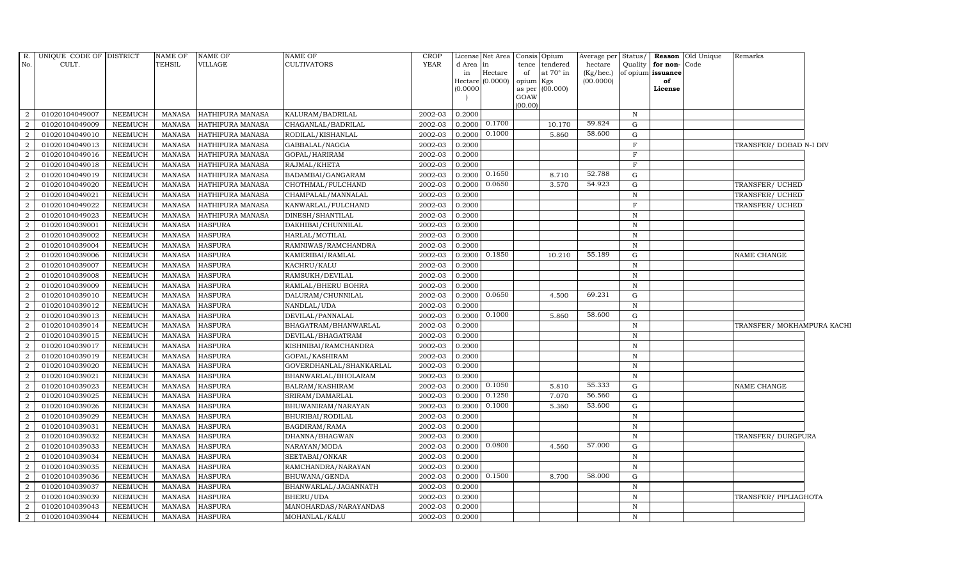| R.<br>No.      | UNIQUE CODE OF DISTRICT<br>CULT. |                                  | NAME OF<br>TEHSIL              | <b>NAME OF</b><br><b>VILLAGE</b> | NAME OF<br>CULTIVATORS            | <b>CROP</b><br><b>YEAR</b> | d Area in<br>in  | License Net Area<br>Hectare | of              | Consis Opium<br>tence tendered<br>at $70^\circ$ in | Average per Status/<br>hectare<br>(Kg/hec.) | Quality           | for non-Code<br>of opium issuance | <b>Reason</b> Old Unique | Remarks                    |  |
|----------------|----------------------------------|----------------------------------|--------------------------------|----------------------------------|-----------------------------------|----------------------------|------------------|-----------------------------|-----------------|----------------------------------------------------|---------------------------------------------|-------------------|-----------------------------------|--------------------------|----------------------------|--|
|                |                                  |                                  |                                |                                  |                                   |                            |                  | Hectare (0.0000)            | opium Kgs       |                                                    | (00.0000)                                   |                   | of                                |                          |                            |  |
|                |                                  |                                  |                                |                                  |                                   |                            | (0.0000)         |                             |                 | as per (00.000)                                    |                                             |                   | License                           |                          |                            |  |
|                |                                  |                                  |                                |                                  |                                   |                            |                  |                             | GOAW<br>(00.00) |                                                    |                                             |                   |                                   |                          |                            |  |
| 2              | 01020104049007                   | NEEMUCH                          | MANASA                         | HATHIPURA MANASA                 | KALURAM/BADRILAL                  | 2002-03                    | 0.2000           |                             |                 |                                                    |                                             | $\mathbb N$       |                                   |                          |                            |  |
| 2              | 01020104049009                   | <b>NEEMUCH</b>                   | <b>MANASA</b>                  | <b>HATHIPURA MANASA</b>          | CHAGANLAL/BADRILAL                | 2002-03                    | 0.2000           | 0.1700                      |                 | 10.170                                             | 59.824                                      | G                 |                                   |                          |                            |  |
| $\overline{2}$ | 01020104049010                   | <b>NEEMUCH</b>                   | <b>MANASA</b>                  | HATHIPURA MANASA                 | RODILAL/KISHANLAL                 | 2002-03                    | 0.2000           | 0.1000                      |                 | 5.860                                              | 58.600                                      | $\mathbf G$       |                                   |                          |                            |  |
| $\overline{2}$ | 01020104049013                   | <b>NEEMUCH</b>                   | <b>MANASA</b>                  | HATHIPURA MANASA                 | GABBALAL/NAGGA                    | 2002-03                    | 0.2000           |                             |                 |                                                    |                                             | $\mathbf{F}$      |                                   |                          | TRANSFER/ DOBAD N-I DIV    |  |
| $\overline{2}$ | 01020104049016                   | <b>NEEMUCH</b>                   | <b>MANASA</b>                  | HATHIPURA MANASA                 | GOPAL/HARIRAM                     | 2002-03                    | 0.2000           |                             |                 |                                                    |                                             | $\mathbf F$       |                                   |                          |                            |  |
| $\overline{2}$ | 01020104049018                   | <b>NEEMUCH</b>                   | <b>MANASA</b>                  | HATHIPURA MANASA                 | RAJMAL/KHETA                      | 2002-03                    | 0.2000           |                             |                 |                                                    |                                             | F                 |                                   |                          |                            |  |
| 2              | 01020104049019                   | <b>NEEMUCH</b>                   | <b>MANASA</b>                  | HATHIPURA MANASA                 | BADAMBAI/GANGARAM                 | 2002-03                    | 0.2000           | 0.1650                      |                 | 8.710                                              | 52.788                                      | G                 |                                   |                          |                            |  |
| 2              | 01020104049020                   | <b>NEEMUCH</b>                   | <b>MANASA</b>                  | HATHIPURA MANASA                 | CHOTHMAL/FULCHAND                 | 2002-03                    | 0.2000           | 0.0650                      |                 | 3.570                                              | 54.923                                      | G                 |                                   |                          | TRANSFER/ UCHED            |  |
| $\overline{2}$ | 01020104049021                   | <b>NEEMUCH</b>                   | <b>MANASA</b>                  | HATHIPURA MANASA                 | CHAMPALAL/MANNALAL                | 2002-03                    | 0.2000           |                             |                 |                                                    |                                             | $\mathbb N$       |                                   |                          | TRANSFER/ UCHED            |  |
| $\overline{2}$ | 01020104049022                   | <b>NEEMUCH</b>                   | <b>MANASA</b>                  | HATHIPURA MANASA                 | KANWARLAL/FULCHAND                | 2002-03                    | 0.2000           |                             |                 |                                                    |                                             | $\mathbf F$       |                                   |                          | TRANSFER/ UCHED            |  |
| 2              | 01020104049023                   | <b>NEEMUCH</b>                   | <b>MANASA</b>                  | HATHIPURA MANASA                 | DINESH/SHANTILAL                  | 2002-03                    | 0.2000           |                             |                 |                                                    |                                             | $\, {\rm N}$      |                                   |                          |                            |  |
| 2              | 01020104039001                   | <b>NEEMUCH</b>                   | <b>MANASA</b>                  | <b>HASPURA</b>                   | DAKHIBAI/CHUNNILAL                | 2002-03                    | 0.2000           |                             |                 |                                                    |                                             | $\mathbf N$       |                                   |                          |                            |  |
| 2              | 01020104039002                   | <b>NEEMUCH</b>                   | MANASA                         | <b>HASPURA</b>                   | HARLAL/MOTILAL                    | 2002-03                    | 0.2000           |                             |                 |                                                    |                                             | $\, {\rm N}$      |                                   |                          |                            |  |
| $\overline{2}$ | 01020104039004                   | <b>NEEMUCH</b>                   | <b>MANASA</b>                  | <b>HASPURA</b>                   | RAMNIWAS/RAMCHANDRA               | 2002-03                    | 0.2000           |                             |                 |                                                    |                                             | $\, {\rm N}$      |                                   |                          |                            |  |
| $\overline{2}$ | 01020104039006                   | <b>NEEMUCH</b>                   | <b>MANASA</b>                  | <b>HASPURA</b>                   | KAMERIBAI/RAMLAL                  | 2002-03                    | 0.2000           | 0.1850                      |                 | 10.210                                             | 55.189                                      | G                 |                                   |                          | NAME CHANGE                |  |
| 2              | 01020104039007                   | <b>NEEMUCH</b>                   | <b>MANASA</b>                  | <b>HASPURA</b>                   | KACHRU/KALU                       | 2002-03                    | 0.2000           |                             |                 |                                                    |                                             | $\, {\rm N}$      |                                   |                          |                            |  |
| 2              | 01020104039008                   | <b>NEEMUCH</b>                   | <b>MANASA</b>                  | <b>HASPURA</b>                   | RAMSUKH/DEVILAL                   | 2002-03                    | 0.2000           |                             |                 |                                                    |                                             | $\, {\bf N}$      |                                   |                          |                            |  |
| 2              | 01020104039009                   | NEEMUCH                          | MANASA                         | <b>HASPURA</b>                   | RAMLAL/BHERU BOHRA                | 2002-03                    | 0.2000           |                             |                 |                                                    |                                             | N                 |                                   |                          |                            |  |
| 2              | 01020104039010                   | <b>NEEMUCH</b>                   | <b>MANASA</b>                  | <b>HASPURA</b>                   | DALURAM/CHUNNILAL                 | 2002-03                    | 0.2000           | 0.0650                      |                 | 4.500                                              | 69.231                                      | $\mathbf G$       |                                   |                          |                            |  |
| $\overline{2}$ | 01020104039012                   | <b>NEEMUCH</b>                   | <b>MANASA</b>                  | <b>HASPURA</b>                   | NANDLAL/UDA                       | 2002-03                    | 0.2000           |                             |                 |                                                    |                                             | ${\bf N}$         |                                   |                          |                            |  |
| $\overline{2}$ | 01020104039013                   | <b>NEEMUCH</b>                   | <b>MANASA</b>                  | <b>HASPURA</b>                   | DEVILAL/PANNALAL                  | 2002-03                    | 0.2000           | 0.1000                      |                 | 5.860                                              | 58.600                                      | G                 |                                   |                          |                            |  |
| $\overline{2}$ | 01020104039014                   | <b>NEEMUCH</b>                   | <b>MANASA</b>                  | <b>HASPURA</b>                   | BHAGATRAM/BHANWARLAL              | 2002-03                    | 0.2000           |                             |                 |                                                    |                                             | $\, {\rm N}$      |                                   |                          | TRANSFER/ MOKHAMPURA KACHI |  |
| 2              | 01020104039015                   | <b>NEEMUCH</b>                   | <b>MANASA</b>                  | <b>HASPURA</b>                   | DEVILAL/BHAGATRAM                 | 2002-03                    | 0.2000           |                             |                 |                                                    |                                             | $\, {\rm N}$      |                                   |                          |                            |  |
| 2              | 01020104039017                   | <b>NEEMUCH</b>                   | MANASA                         | <b>HASPURA</b>                   | KISHNIBAI/RAMCHANDRA              | 2002-03                    | 0.2000           |                             |                 |                                                    |                                             | $\, {\rm N}$      |                                   |                          |                            |  |
| 2              | 01020104039019                   | <b>NEEMUCH</b>                   | <b>MANASA</b>                  | <b>HASPURA</b>                   | GOPAL/KASHIRAM                    | 2002-03                    | 0.2000           |                             |                 |                                                    |                                             | N                 |                                   |                          |                            |  |
| $\overline{2}$ | 01020104039020                   | <b>NEEMUCH</b>                   | <b>MANASA</b>                  | <b>HASPURA</b>                   | GOVERDHANLAL/SHANKARLAL           | 2002-03                    | 0.2000           |                             |                 |                                                    |                                             | $\mathbb N$       |                                   |                          |                            |  |
| 2              | 01020104039021                   | <b>NEEMUCH</b>                   | <b>MANASA</b>                  | <b>HASPURA</b>                   | BHANWARLAL/BHOLARAM               | 2002-03                    | 0.2000           |                             |                 |                                                    |                                             | $\, {\rm N}$      |                                   |                          |                            |  |
| 2              | 01020104039023                   | <b>NEEMUCH</b>                   | <b>MANASA</b>                  | <b>HASPURA</b>                   | BALRAM/KASHIRAM                   | 2002-03                    | 0.2000           | 0.1050                      |                 | 5.810                                              | 55.333                                      | G                 |                                   |                          | NAME CHANGE                |  |
| 2              | 01020104039025                   | <b>NEEMUCH</b>                   | <b>MANASA</b>                  | <b>HASPURA</b>                   | SRIRAM/DAMARLAL                   | 2002-03                    | 0.2000           | 0.1250                      |                 | 7.070                                              | 56.560                                      | G                 |                                   |                          |                            |  |
| 2              | 01020104039026                   | <b>NEEMUCH</b>                   | <b>MANASA</b>                  | <b>HASPURA</b>                   | BHUWANIRAM/NARAYAN                | 2002-03                    | 0.2000           | 0.1000                      |                 | 5.360                                              | 53.600                                      | $\mathbf G$       |                                   |                          |                            |  |
| $\overline{2}$ | 01020104039029                   | <b>NEEMUCH</b>                   | <b>MANASA</b>                  | <b>HASPURA</b>                   | BHURIBAI/RODILAL                  | 2002-03                    | 0.2000           |                             |                 |                                                    |                                             | $\mathbb N$       |                                   |                          |                            |  |
| $\overline{2}$ | 01020104039031                   | <b>NEEMUCH</b>                   | <b>MANASA</b>                  | <b>HASPURA</b>                   | BAGDIRAM/RAMA                     | 2002-03                    | 0.2000           |                             |                 |                                                    |                                             | ${\bf N}$         |                                   |                          |                            |  |
| 2              | 01020104039032                   | <b>NEEMUCH</b>                   | <b>MANASA</b>                  | <b>HASPURA</b>                   | DHANNA/BHAGWAN                    | 2002-03                    | 0.2000           | 0.0800                      |                 |                                                    | 57.000                                      | $\, {\rm N}$      |                                   |                          | TRANSFER/ DURGPURA         |  |
| 2              | 01020104039033                   | <b>NEEMUCH</b>                   | <b>MANASA</b>                  | <b>HASPURA</b>                   | NARAYAN/MODA                      | 2002-03                    | 0.2000           |                             |                 | 4.560                                              |                                             | G                 |                                   |                          |                            |  |
| 2              | 01020104039034                   | <b>NEEMUCH</b>                   | MANASA                         | <b>HASPURA</b>                   | SEETABAI/ONKAR                    | 2002-03                    | 0.2000           |                             |                 |                                                    |                                             | N                 |                                   |                          |                            |  |
| $\overline{2}$ | 01020104039035                   | <b>NEEMUCH</b>                   | <b>MANASA</b>                  | <b>HASPURA</b>                   | RAMCHANDRA/NARAYAN                | 2002-03                    | 0.2000           | 0.1500                      |                 | 8.700                                              | 58.000                                      | $\mathbf N$<br>G  |                                   |                          |                            |  |
| $\overline{2}$ | 01020104039036                   | <b>NEEMUCH</b>                   | <b>MANASA</b>                  | <b>HASPURA</b>                   | BHUWANA/GENDA                     | 2002-03                    | 0.2000           |                             |                 |                                                    |                                             |                   |                                   |                          |                            |  |
| 2<br>2         | 01020104039037<br>01020104039039 | <b>NEEMUCH</b><br><b>NEEMUCH</b> | <b>MANASA</b><br><b>MANASA</b> | <b>HASPURA</b><br><b>HASPURA</b> | BHANWARLAL/JAGANNATH<br>BHERU/UDA | 2002-03<br>2002-03         | 0.2000<br>0.2000 |                             |                 |                                                    |                                             | N<br>$\, {\rm N}$ |                                   |                          | TRANSFER/ PIPLIAGHOTA      |  |
| $\overline{2}$ | 01020104039043                   | <b>NEEMUCH</b>                   |                                | <b>HASPURA</b>                   | MANOHARDAS/NARAYANDAS             | 2002-03                    | 0.2000           |                             |                 |                                                    |                                             | $\, {\rm N}$      |                                   |                          |                            |  |
| $\overline{2}$ | 01020104039044                   | <b>NEEMUCH</b>                   | MANASA<br>MANASA               | <b>HASPURA</b>                   | MOHANLAL/KALU                     | 2002-03                    | 0.2000           |                             |                 |                                                    |                                             | $\mathbf N$       |                                   |                          |                            |  |
|                |                                  |                                  |                                |                                  |                                   |                            |                  |                             |                 |                                                    |                                             |                   |                                   |                          |                            |  |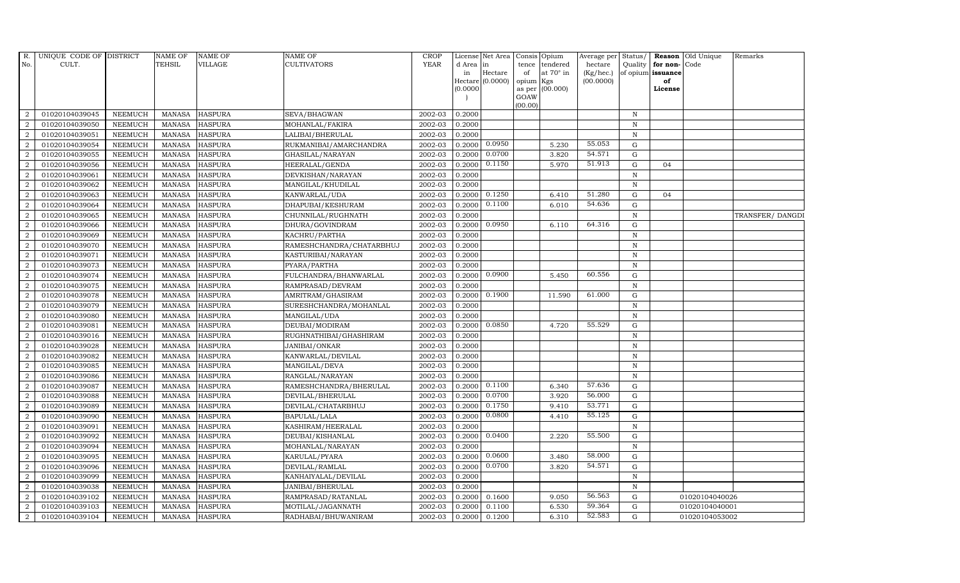| R.               | UNIQUE CODE OF DISTRICT |                | <b>NAME OF</b>  | <b>NAME OF</b> | <b>NAME OF</b>           | CROP        |           | License Net Area Consis Opium |                |                  | Average per        | Status/      | Reason            | Old Unique     | Remarks         |
|------------------|-------------------------|----------------|-----------------|----------------|--------------------------|-------------|-----------|-------------------------------|----------------|------------------|--------------------|--------------|-------------------|----------------|-----------------|
| No.              | CULT.                   |                | <b>TEHSIL</b>   | <b>VILLAGE</b> | <b>CULTIVATORS</b>       | <b>YEAR</b> | d Area in |                               | tence          | tendered         | hectare            | Quality      | for non-          | Code           |                 |
|                  |                         |                |                 |                |                          |             | in        | Hectare                       | of             | at $70^\circ$ in | $(Kg/ {\rm hec.})$ |              | of opium issuance |                |                 |
|                  |                         |                |                 |                |                          |             |           | Hectare (0.0000)              | opium Kgs      |                  | (00.0000)          |              | of<br>License     |                |                 |
|                  |                         |                |                 |                |                          |             | (0.0000)  |                               | as per<br>GOAW | (00.000)         |                    |              |                   |                |                 |
|                  |                         |                |                 |                |                          |             |           |                               | (00.00)        |                  |                    |              |                   |                |                 |
| 2                | 01020104039045          | <b>NEEMUCH</b> | <b>MANASA</b>   | <b>HASPURA</b> | SEVA/BHAGWAN             | 2002-03     | 0.2000    |                               |                |                  |                    | $\mathbb N$  |                   |                |                 |
| $\overline{2}$   | 01020104039050          | <b>NEEMUCH</b> | <b>MANASA</b>   | <b>HASPURA</b> | MOHANLAL/FAKIRA          | 2002-03     | 0.2000    |                               |                |                  |                    | $\,$ N       |                   |                |                 |
| 2                | 01020104039051          | <b>NEEMUCH</b> | <b>MANASA</b>   | <b>HASPURA</b> | LALIBAI/BHERULAL         | 2002-03     | 0.2000    |                               |                |                  |                    | N            |                   |                |                 |
| $\boldsymbol{2}$ | 01020104039054          | <b>NEEMUCH</b> | MANASA          | <b>HASPURA</b> | RUKMANIBAI/AMARCHANDRA   | 2002-03     | 0.2000    | 0.0950                        |                | 5.230            | 55.053             | $\mathbf G$  |                   |                |                 |
| $\overline{2}$   | 01020104039055          | <b>NEEMUCH</b> | $\mbox{MANASA}$ | <b>HASPURA</b> | GHASILAL/NARAYAN         | 2002-03     | 0.2000    | 0.0700                        |                | 3.820            | 54.571             | $\mathbf G$  |                   |                |                 |
| $\overline{2}$   | 01020104039056          | <b>NEEMUCH</b> | <b>MANASA</b>   | <b>HASPURA</b> | HEERALAL/GENDA           | 2002-03     | 0.2000    | 0.1150                        |                | 5.970            | 51.913             | ${\rm G}$    | 04                |                |                 |
| $\overline{a}$   | 01020104039061          | <b>NEEMUCH</b> | MANASA          | <b>HASPURA</b> | DEVKISHAN/NARAYAN        | 2002-03     | 0.2000    |                               |                |                  |                    | $\, {\bf N}$ |                   |                |                 |
| 2                | 01020104039062          | <b>NEEMUCH</b> | MANASA          | <b>HASPURA</b> | MANGILAL/KHUDILAL        | 2002-03     | 0.2000    |                               |                |                  |                    | $\,$ N       |                   |                |                 |
| 2                | 01020104039063          | <b>NEEMUCH</b> | <b>MANASA</b>   | <b>HASPURA</b> | KANWARLAL/UDA            | 2002-03     | 0.2000    | 0.1250                        |                | 6.410            | 51.280             | $\mathbf G$  | 04                |                |                 |
| $\boldsymbol{2}$ | 01020104039064          | <b>NEEMUCH</b> | MANASA          | <b>HASPURA</b> | DHAPUBAI/KESHURAM        | 2002-03     | 0.2000    | 0.1100                        |                | 6.010            | 54.636             | $\mathbf G$  |                   |                |                 |
| 2                | 01020104039065          | <b>NEEMUCH</b> | <b>MANASA</b>   | <b>HASPURA</b> | CHUNNILAL/RUGHNATH       | 2002-03     | 0.2000    |                               |                |                  |                    | N            |                   |                | TRANSFER/DANGDI |
| $\overline{a}$   | 01020104039066          | <b>NEEMUCH</b> | <b>MANASA</b>   | <b>HASPURA</b> | DHURA/GOVINDRAM          | 2002-03     | 0.2000    | 0.0950                        |                | 6.110            | 64.316             | $\mathbf G$  |                   |                |                 |
| $\overline{2}$   | 01020104039069          | <b>NEEMUCH</b> | MANASA          | <b>HASPURA</b> | KACHRU/PARTHA            | 2002-03     | 0.2000    |                               |                |                  |                    | $\,$ N       |                   |                |                 |
| $\overline{2}$   | 01020104039070          | <b>NEEMUCH</b> | <b>MANASA</b>   | <b>HASPURA</b> | RAMESHCHANDRA/CHATARBHUJ | 2002-03     | 0.2000    |                               |                |                  |                    | $\, {\bf N}$ |                   |                |                 |
| $\overline{a}$   | 01020104039071          | <b>NEEMUCH</b> | <b>MANASA</b>   | <b>HASPURA</b> | KASTURIBAI/NARAYAN       | 2002-03     | 0.2000    |                               |                |                  |                    | ${\bf N}$    |                   |                |                 |
| $\overline{a}$   | 01020104039073          | <b>NEEMUCH</b> | <b>MANASA</b>   | <b>HASPURA</b> | PYARA/PARTHA             | 2002-03     | 0.2000    |                               |                |                  |                    | N            |                   |                |                 |
| $\overline{a}$   | 01020104039074          | <b>NEEMUCH</b> | <b>MANASA</b>   | <b>HASPURA</b> | FULCHANDRA/BHANWARLAL    | 2002-03     | 0.2000    | 0.0900                        |                | 5.450            | 60.556             | ${\rm G}$    |                   |                |                 |
| $\overline{2}$   | 01020104039075          | <b>NEEMUCH</b> | MANASA          | <b>HASPURA</b> | RAMPRASAD/DEVRAM         | 2002-03     | 0.2000    |                               |                |                  |                    | $\, {\rm N}$ |                   |                |                 |
| $\overline{2}$   | 01020104039078          | <b>NEEMUCH</b> | <b>MANASA</b>   | <b>HASPURA</b> | AMRITRAM/GHASIRAM        | 2002-03     | 0.2000    | 0.1900                        |                | 11.590           | 61.000             | $\mathbf G$  |                   |                |                 |
| $\overline{2}$   | 01020104039079          | <b>NEEMUCH</b> | <b>MANASA</b>   | <b>HASPURA</b> | SURESHCHANDRA/MOHANLAL   | 2002-03     | 0.2000    |                               |                |                  |                    | $\, {\bf N}$ |                   |                |                 |
| 2                | 01020104039080          | <b>NEEMUCH</b> | <b>MANASA</b>   | <b>HASPURA</b> | MANGILAL/UDA             | 2002-03     | 0.2000    |                               |                |                  |                    | N            |                   |                |                 |
| $\overline{2}$   | 01020104039081          | <b>NEEMUCH</b> | <b>MANASA</b>   | <b>HASPURA</b> | DEUBAI/MODIRAM           | 2002-03     | 0.2000    | 0.0850                        |                | 4.720            | 55.529             | ${\rm G}$    |                   |                |                 |
| $\overline{a}$   | 01020104039016          | <b>NEEMUCH</b> | MANASA          | <b>HASPURA</b> | RUGHNATHIBAI/GHASHIRAM   | 2002-03     | 0.2000    |                               |                |                  |                    | ${\bf N}$    |                   |                |                 |
| 2                | 01020104039028          | <b>NEEMUCH</b> | <b>MANASA</b>   | <b>HASPURA</b> | JANIBAI/ONKAR            | 2002-03     | 0.2000    |                               |                |                  |                    | $\, {\rm N}$ |                   |                |                 |
| $\overline{2}$   | 01020104039082          | <b>NEEMUCH</b> | <b>MANASA</b>   | <b>HASPURA</b> | KANWARLAL/DEVILAL        | 2002-03     | 0.2000    |                               |                |                  |                    | ${\bf N}$    |                   |                |                 |
| 2                | 01020104039085          | <b>NEEMUCH</b> | <b>MANASA</b>   | <b>HASPURA</b> | MANGILAL/DEVA            | 2002-03     | 0.2000    |                               |                |                  |                    | $\mathbf N$  |                   |                |                 |
| 2                | 01020104039086          | <b>NEEMUCH</b> | <b>MANASA</b>   | <b>HASPURA</b> | RANGLAL/NARAYAN          | 2002-03     | 0.2000    |                               |                |                  |                    | $\mathbb N$  |                   |                |                 |
| $\overline{a}$   | 01020104039087          | <b>NEEMUCH</b> | <b>MANASA</b>   | <b>HASPURA</b> | RAMESHCHANDRA/BHERULAL   | 2002-03     | 0.2000    | 0.1100                        |                | 6.340            | 57.636             | $\mathbf G$  |                   |                |                 |
| $\overline{2}$   | 01020104039088          | <b>NEEMUCH</b> | <b>MANASA</b>   | <b>HASPURA</b> | DEVILAL/BHERULAL         | 2002-03     | 0.2000    | 0.0700                        |                | 3.920            | 56.000             | $\mathbf G$  |                   |                |                 |
| $\overline{2}$   | 01020104039089          | <b>NEEMUCH</b> | <b>MANASA</b>   | <b>HASPURA</b> | DEVILAL/CHATARBHUJ       | 2002-03     | 0.2000    | 0.1750                        |                | 9.410            | 53.771             | $\mathbf G$  |                   |                |                 |
| $\overline{2}$   | 01020104039090          | <b>NEEMUCH</b> | <b>MANASA</b>   | <b>HASPURA</b> | BAPULAL/LALA             | 2002-03     | 0.2000    | 0.0800                        |                | 4.410            | 55.125             | ${\rm G}$    |                   |                |                 |
| $\overline{2}$   | 01020104039091          | <b>NEEMUCH</b> | <b>MANASA</b>   | <b>HASPURA</b> | KASHIRAM/HEERALAL        | 2002-03     | 0.2000    |                               |                |                  |                    | $\, {\bf N}$ |                   |                |                 |
| $\overline{a}$   | 01020104039092          | <b>NEEMUCH</b> | <b>MANASA</b>   | <b>HASPURA</b> | DEUBAI/KISHANLAL         | 2002-03     | 0.2000    | 0.0400                        |                | 2.220            | 55.500             | ${\rm G}$    |                   |                |                 |
| 2                | 01020104039094          | <b>NEEMUCH</b> | <b>MANASA</b>   | <b>HASPURA</b> | MOHANLAL/NARAYAN         | 2002-03     | 0.2000    |                               |                |                  |                    | $\, {\bf N}$ |                   |                |                 |
| 2                | 01020104039095          | <b>NEEMUCH</b> | <b>MANASA</b>   | <b>HASPURA</b> | KARULAL/PYARA            | 2002-03     | 0.2000    | 0.0600                        |                | 3.480            | 58.000             | $\mathbf G$  |                   |                |                 |
| $\overline{a}$   | 01020104039096          | <b>NEEMUCH</b> | <b>MANASA</b>   | <b>HASPURA</b> | DEVILAL/RAMLAL           | 2002-03     | 0.2000    | 0.0700                        |                | 3.820            | 54.571             | $\mathbf G$  |                   |                |                 |
| 2                | 01020104039099          | <b>NEEMUCH</b> | <b>MANASA</b>   | <b>HASPURA</b> | KANHAIYALAL/DEVILAL      | 2002-03     | 0.2000    |                               |                |                  |                    | $\,$ N       |                   |                |                 |
| $\overline{a}$   | 01020104039038          | <b>NEEMUCH</b> | <b>MANASA</b>   | <b>HASPURA</b> | JANIBAI/BHERULAL         | 2002-03     | 0.2000    |                               |                |                  |                    | ${\bf N}$    |                   |                |                 |
| $\overline{2}$   | 01020104039102          | <b>NEEMUCH</b> | <b>MANASA</b>   | <b>HASPURA</b> | RAMPRASAD/RATANLAL       | 2002-03     | 0.2000    | 0.1600                        |                | 9.050            | 56.563             | G            |                   | 01020104040026 |                 |
| 2                | 01020104039103          | <b>NEEMUCH</b> | <b>MANASA</b>   | <b>HASPURA</b> | MOTILAL/JAGANNATH        | 2002-03     | 0.2000    | 0.1100                        |                | 6.530            | 59.364             | G            |                   | 01020104040001 |                 |
| $\overline{a}$   | 01020104039104          | <b>NEEMUCH</b> |                 | MANASA HASPURA | RADHABAI/BHUWANIRAM      | 2002-03     | 0.2000    | 0.1200                        |                | 6.310            | 52.583             | G            |                   | 01020104053002 |                 |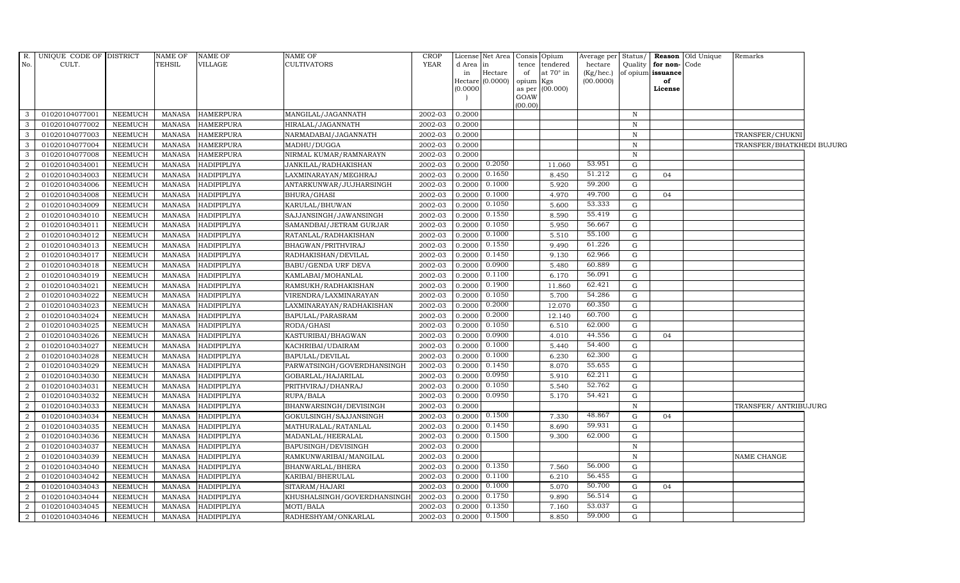| R.             | UNIQUE CODE OF DISTRICT |                | NAME OF       | <b>NAME OF</b>     | <b>NAME OF</b>              | <b>CROP</b> |           | License Net Area   Consis   Opium |           |                  | Average per Status/    |              |                         | <b>Reason</b> Old Unique | Remarks                   |  |
|----------------|-------------------------|----------------|---------------|--------------------|-----------------------------|-------------|-----------|-----------------------------------|-----------|------------------|------------------------|--------------|-------------------------|--------------------------|---------------------------|--|
| No.            | CULT.                   |                | <b>TEHSIL</b> | VILLAGE            | <b>CULTIVATORS</b>          | YEAR        | d Area in |                                   |           | tence tendered   | hectare                | Quality      | for non-Code            |                          |                           |  |
|                |                         |                |               |                    |                             |             | in        | Hectare<br>Hectare (0.0000)       | of        | at $70^\circ$ in | (Kg/hec.)<br>(00.0000) |              | of opium issuance<br>of |                          |                           |  |
|                |                         |                |               |                    |                             |             | (0.0000)  |                                   | opium Kgs | as per (00.000)  |                        |              | License                 |                          |                           |  |
|                |                         |                |               |                    |                             |             |           |                                   | GOAW      |                  |                        |              |                         |                          |                           |  |
|                |                         |                |               |                    |                             |             |           |                                   | (00.00)   |                  |                        |              |                         |                          |                           |  |
| 3              | 01020104077001          | NEEMUCH        | MANASA        | <b>HAMERPURA</b>   | MANGILAL/JAGANNATH          | 2002-03     | 0.2000    |                                   |           |                  |                        | $\mathbb N$  |                         |                          |                           |  |
| 3              | 01020104077002          | NEEMUCH        | MANASA        | <b>HAMERPURA</b>   | HIRALAL/JAGANNATH           | 2002-03     | 0.2000    |                                   |           |                  |                        | $\mathbf N$  |                         |                          |                           |  |
| 3              | 01020104077003          | <b>NEEMUCH</b> | MANASA        | <b>HAMERPURA</b>   | NARMADABAI/JAGANNATH        | 2002-03     | 0.2000    |                                   |           |                  |                        | $\, {\rm N}$ |                         |                          | TRANSFER/CHUKNI           |  |
| 3              | 01020104077004          | <b>NEEMUCH</b> | <b>MANASA</b> | <b>HAMERPURA</b>   | MADHU/DUGGA                 | 2002-03     | 0.2000    |                                   |           |                  |                        | N            |                         |                          | TRANSFER/BHATKHEDI BUJURG |  |
| 3              | 01020104077008          | <b>NEEMUCH</b> | MANASA        | <b>HAMERPURA</b>   | NIRMAL KUMAR/RAMNARAYN      | 2002-03     | 0.2000    |                                   |           |                  |                        | $\, {\bf N}$ |                         |                          |                           |  |
| 2              | 01020104034001          | <b>NEEMUCH</b> | MANASA        | HADIPIPLIYA        | JANKILAL/RADHAKISHAN        | 2002-03     | 0.2000    | 0.2050                            |           | 11.060           | 53.951                 | $\mathbf G$  |                         |                          |                           |  |
| 2              | 01020104034003          | NEEMUCH        | <b>MANASA</b> | HADIPIPLIYA        | LAXMINARAYAN/MEGHRAJ        | 2002-03     | 0.200     | 0.1650                            |           | 8.450            | 51.212                 | $\mathbf G$  | 04                      |                          |                           |  |
| 2              | 01020104034006          | <b>NEEMUCH</b> | MANASA        | <b>HADIPIPLIYA</b> | ANTARKUNWAR/JUJHARSINGH     | 2002-03     | 0.2000    | 0.1000                            |           | 5.920            | 59.200                 | $\mathbf G$  |                         |                          |                           |  |
| 2              | 01020104034008          | <b>NEEMUCH</b> | MANASA        | <b>HADIPIPLIYA</b> | BHURA/GHASI                 | 2002-03     | 0.200     | 0.1000                            |           | 4.970            | 49.700                 | G            | 04                      |                          |                           |  |
| 2              | 01020104034009          | <b>NEEMUCH</b> | <b>MANASA</b> | <b>HADIPIPLIYA</b> | KARULAL/BHUWAN              | 2002-03     | 0.2000    | 0.1050                            |           | 5.600            | 53.333                 | G            |                         |                          |                           |  |
| 2              | 01020104034010          | <b>NEEMUCH</b> | MANASA        | <b>HADIPIPLIYA</b> | SAJJANSINGH/JAWANSINGH      | 2002-03     | 0.200     | 0.1550                            |           | 8.590            | 55.419                 | $\mathbf G$  |                         |                          |                           |  |
| 2              | 01020104034011          | NEEMUCH        | MANASA        | HADIPIPLIYA        | SAMANDBAI/JETRAM GURJAR     | 2002-03     | 0.200     | 0.1050                            |           | 5.950            | 56.667                 | G            |                         |                          |                           |  |
| 2              | 01020104034012          | NEEMUCH        | <b>MANASA</b> | HADIPIPLIYA        | RATANLAL/RADHAKISHAN        | 2002-03     | 0.2000    | 0.1000                            |           | 5.510            | 55.100                 | G            |                         |                          |                           |  |
| $\overline{2}$ | 01020104034013          | <b>NEEMUCH</b> | MANASA        | HADIPIPLIYA        | BHAGWAN/PRITHVIRAJ          | 2002-03     | 0.2000    | 0.1550                            |           | 9.490            | 61.226                 | $\mathbf G$  |                         |                          |                           |  |
| 2              | 01020104034017          | <b>NEEMUCH</b> | MANASA        | HADIPIPLIYA        | RADHAKISHAN/DEVILAL         | 2002-03     | 0.200     | 0.1450                            |           | 9.130            | 62.966                 | $\mathbf G$  |                         |                          |                           |  |
| 2              | 01020104034018          | <b>NEEMUCH</b> | <b>MANASA</b> | <b>HADIPIPLIYA</b> | BABU/GENDA URF DEVA         | 2002-03     | 0.2000    | 0.0900                            |           | 5.480            | 60.889                 | G            |                         |                          |                           |  |
| 2              | 01020104034019          | <b>NEEMUCH</b> | MANASA        | HADIPIPLIYA        | KAMLABAI/MOHANLAL           | 2002-03     | 0.200     | 0.1100                            |           | 6.170            | 56.091                 | $\mathbf G$  |                         |                          |                           |  |
| 2              | 01020104034021          | NEEMUCH        | MANASA        | HADIPIPLIYA        | RAMSUKH/RADHAKISHAN         | 2002-03     | 0.2000    | 0.1900                            |           | 11.860           | 62.421                 | G            |                         |                          |                           |  |
| 2              | 01020104034022          | <b>NEEMUCH</b> | <b>MANASA</b> | HADIPIPLIYA        | VIRENDRA/LAXMINARAYAN       | 2002-03     | 0.2000    | 0.1050                            |           | 5.700            | 54.286                 | $\mathbf G$  |                         |                          |                           |  |
| $\overline{2}$ | 01020104034023          | <b>NEEMUCH</b> | <b>MANASA</b> | HADIPIPLIYA        | LAXMINARAYAN/RADHAKISHAN    | 2002-03     | 0.2000    | 0.2000                            |           | 12.070           | 60.350                 | $\mathbf G$  |                         |                          |                           |  |
| 2              | 01020104034024          | <b>NEEMUCH</b> | MANASA        | <b>HADIPIPLIYA</b> | BAPULAL/PARASRAM            | 2002-03     | 0.2000    | 0.2000                            |           | 12.140           | 60.700                 | $\mathbf G$  |                         |                          |                           |  |
| 2              | 01020104034025          | <b>NEEMUCH</b> | MANASA        | HADIPIPLIYA        | RODA/GHASI                  | 2002-03     | 0.200     | 0.1050                            |           | 6.510            | 62.000                 | $\mathbf G$  |                         |                          |                           |  |
| 2              | 01020104034026          | NEEMUCH        | MANASA        | HADIPIPLIYA        | KASTURIBAI/BHAGWAN          | 2002-03     | 0.2000    | 0.0900                            |           | 4.010            | 44.556                 | $\mathbf G$  | 04                      |                          |                           |  |
| 2              | 01020104034027          | <b>NEEMUCH</b> | <b>MANASA</b> | HADIPIPLIYA        | KACHRIBAI/UDAIRAM           | 2002-03     | 0.2000    | 0.1000                            |           | 5.440            | 54.400                 | G            |                         |                          |                           |  |
| $\overline{2}$ | 01020104034028          | <b>NEEMUCH</b> | <b>MANASA</b> | <b>HADIPIPLIYA</b> | BAPULAL/DEVILAL             | 2002-03     | 0.2000    | 0.1000                            |           | 6.230            | 62.300                 | G            |                         |                          |                           |  |
| 2              | 01020104034029          | <b>NEEMUCH</b> | MANASA        | <b>HADIPIPLIYA</b> | PARWATSINGH/GOVERDHANSINGH  | $2002 - 03$ | 0.2000    | 0.1450                            |           | 8.070            | 55.655                 | $\mathbf G$  |                         |                          |                           |  |
| 2              | 01020104034030          | <b>NEEMUCH</b> | MANASA        | <b>HADIPIPLIYA</b> | GOBARLAL/HAJARILAL          | 2002-03     | 0.2000    | 0.0950                            |           | 5.910            | 62.211                 | G            |                         |                          |                           |  |
| 2              | 01020104034031          | <b>NEEMUCH</b> | <b>MANASA</b> | <b>HADIPIPLIYA</b> | PRITHVIRAJ/DHANRAJ          | 2002-03     | 0.200     | 0.1050                            |           | 5.540            | 52.762                 | $\mathbf G$  |                         |                          |                           |  |
| $\overline{2}$ | 01020104034032          | <b>NEEMUCH</b> | <b>MANASA</b> | HADIPIPLIYA        | RUPA/BALA                   | 2002-03     | 0.2000    | 0.0950                            |           | 5.170            | 54.421                 | $\mathbf G$  |                         |                          |                           |  |
| $\overline{2}$ | 01020104034033          | <b>NEEMUCH</b> | <b>MANASA</b> | HADIPIPLIYA        | BHANWARSINGH/DEVISINGH      | 2002-03     | 0.2000    |                                   |           |                  |                        | N            |                         |                          | TRANSFER/ ANTRIBUJURG     |  |
| 2              | 01020104034034          | <b>NEEMUCH</b> | <b>MANASA</b> | <b>HADIPIPLIYA</b> | GOKULSINGH/SAJJANSINGH      | 2002-03     | 0.2000    | 0.1500                            |           | 7.330            | 48.867                 | $\mathbf G$  | 04                      |                          |                           |  |
| 2              | 01020104034035          | <b>NEEMUCH</b> | <b>MANASA</b> | HADIPIPLIYA        | MATHURALAL/RATANLAL         | 2002-03     | 0.2000    | 0.1450                            |           | 8.690            | 59.931                 | $\mathbf G$  |                         |                          |                           |  |
| 2              | 01020104034036          | <b>NEEMUCH</b> | MANASA        | <b>HADIPIPLIYA</b> | MADANLAL/HEERALAL           | 2002-03     | 0.2000    | 0.1500                            |           | 9.300            | 62.000                 | G            |                         |                          |                           |  |
| $\overline{2}$ | 01020104034037          | <b>NEEMUCH</b> | <b>MANASA</b> | HADIPIPLIYA        | BAPUSINGH/DEVISINGH         | 2002-03     | 0.2000    |                                   |           |                  |                        | $\, {\rm N}$ |                         |                          |                           |  |
| $\overline{2}$ | 01020104034039          | <b>NEEMUCH</b> | <b>MANASA</b> | HADIPIPLIYA        | RAMKUNWARIBAI/MANGILAL      | 2002-03     | 0.2000    |                                   |           |                  |                        | $\, {\rm N}$ |                         |                          | NAME CHANGE               |  |
| $\overline{2}$ | 01020104034040          | <b>NEEMUCH</b> | MANASA        | HADIPIPLIYA        | BHANWARLAL/BHERA            | 2002-03     | 0.2000    | 0.1350                            |           | 7.560            | 56.000                 | $\mathbf G$  |                         |                          |                           |  |
| 2              | 01020104034042          | <b>NEEMUCH</b> | <b>MANASA</b> | HADIPIPLIYA        | KARIBAI/BHERULAL            | 2002-03     | 0.2000    | 0.1100                            |           | 6.210            | 56.455                 | $\mathbf G$  |                         |                          |                           |  |
| 2              | 01020104034043          | NEEMUCH        | <b>MANASA</b> | HADIPIPLIYA        | SITARAM/HAJARI              | 2002-03     | 0.2000    | 0.1000                            |           | 5.070            | 50.700                 | $\mathbf G$  | 04                      |                          |                           |  |
| 2              | 01020104034044          | <b>NEEMUCH</b> | MANASA        | <b>HADIPIPLIYA</b> | KHUSHALSINGH/GOVERDHANSINGI | 2002-03     | 0.200     | 0.1750                            |           | 9.890            | 56.514                 | G            |                         |                          |                           |  |
| $\overline{2}$ | 01020104034045          | <b>NEEMUCH</b> | <b>MANASA</b> | HADIPIPLIYA        | MOTI/BALA                   | 2002-03     | 0.2000    | 0.1350                            |           | 7.160            | 53.037                 | $\mathbf G$  |                         |                          |                           |  |
| $\overline{2}$ | 01020104034046          | <b>NEEMUCH</b> |               | MANASA HADIPIPLIYA | RADHESHYAM/ONKARLAL         | 2002-03     | 0.2000    | 0.1500                            |           | 8.850            | 59.000                 | G            |                         |                          |                           |  |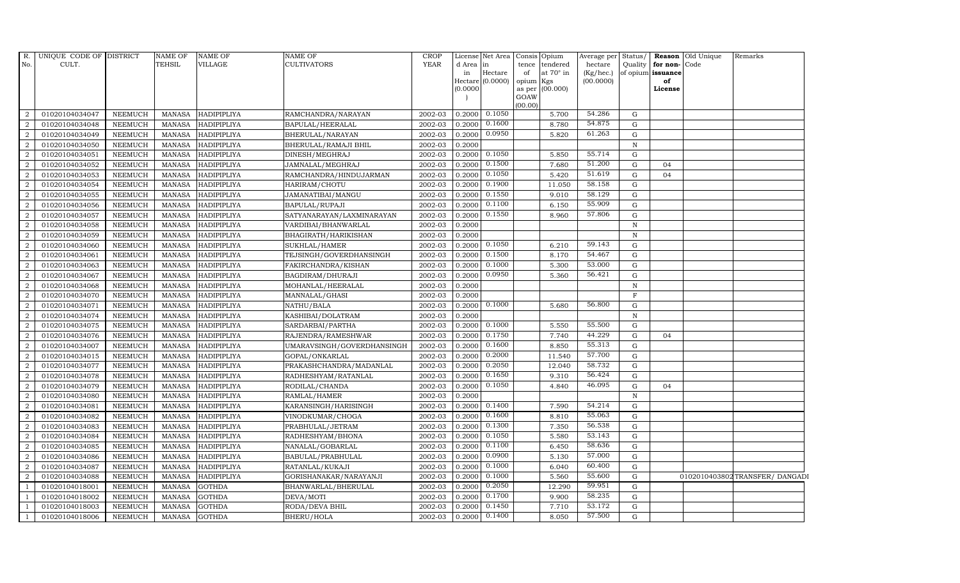| R.             | UNIQUE CODE OF DISTRICT |                | <b>NAME OF</b> | NAME OF            | <b>NAME OF</b>             | <b>CROP</b> |           | License Net Area            | Consis Opium    |           |                        |              |                         | Average per Status/   Reason   Old Unique | Remarks                       |
|----------------|-------------------------|----------------|----------------|--------------------|----------------------------|-------------|-----------|-----------------------------|-----------------|-----------|------------------------|--------------|-------------------------|-------------------------------------------|-------------------------------|
| No.            | CULT.                   |                | TEHSIL         | VILLAGE            | <b>CULTIVATORS</b>         | <b>YEAR</b> | d Area in |                             | tence           | tendered  | hectare                |              | Quality for non-Code    |                                           |                               |
|                |                         |                |                |                    |                            |             | in        | Hectare<br>Hectare (0.0000) | of<br>opium Kgs | at 70° in | (Kg/hec.)<br>(00.0000) |              | of opium issuance<br>of |                                           |                               |
|                |                         |                |                |                    |                            |             | (0.0000)  |                             | as per          | (00.000)  |                        |              | License                 |                                           |                               |
|                |                         |                |                |                    |                            |             |           |                             | GOAW            |           |                        |              |                         |                                           |                               |
|                |                         |                |                |                    |                            |             |           |                             | (00.00)         |           |                        |              |                         |                                           |                               |
| 2              | 01020104034047          | <b>NEEMUCH</b> | MANASA         | <b>HADIPIPLIYA</b> | RAMCHANDRA/NARAYAN         | 2002-03     | 0.2000    | 0.1050                      |                 | 5.700     | 54.286                 | G            |                         |                                           |                               |
| $\overline{2}$ | 01020104034048          | <b>NEEMUCH</b> | MANASA         | <b>HADIPIPLIYA</b> | BAPULAL/HEERALAL           | 2002-03     | 0.2000    | 0.1600                      |                 | 8.780     | 54.875                 | G            |                         |                                           |                               |
| $\overline{2}$ | 01020104034049          | <b>NEEMUCH</b> | <b>MANASA</b>  | HADIPIPLIYA        | BHERULAL/NARAYAN           | 2002-03     | 0.2000    | 0.0950                      |                 | 5.820     | 61.263                 | G            |                         |                                           |                               |
| $\overline{2}$ | 01020104034050          | <b>NEEMUCH</b> | <b>MANASA</b>  | <b>HADIPIPLIYA</b> | BHERULAL/RAMAJI BHIL       | 2002-03     | 0.2000    |                             |                 |           |                        | ${\bf N}$    |                         |                                           |                               |
| $\overline{2}$ | 01020104034051          | <b>NEEMUCH</b> | <b>MANASA</b>  | <b>HADIPIPLIYA</b> | DINESH/MEGHRAJ             | 2002-03     | 0.2000    | 0.1050                      |                 | 5.850     | 55.714                 | $\mathbf G$  |                         |                                           |                               |
| 2              | 01020104034052          | NEEMUCH        | <b>MANASA</b>  | HADIPIPLIYA        | JAMNALAL/MEGHRAJ           | 2002-03     | 0.2000    | 0.1500                      |                 | 7.680     | 51.200                 | G            | 04                      |                                           |                               |
| 2              | 01020104034053          | <b>NEEMUCH</b> | <b>MANASA</b>  | <b>HADIPIPLIYA</b> | RAMCHANDRA/HINDUJARMAN     | 2002-03     | 0.2000    | 0.1050                      |                 | 5.420     | 51.619                 | ${\rm G}$    | 04                      |                                           |                               |
| $\overline{2}$ | 01020104034054          | <b>NEEMUCH</b> | <b>MANASA</b>  | <b>HADIPIPLIYA</b> | HARIRAM/CHOTU              | 2002-03     | 0.2000    | 0.1900                      |                 | 11.050    | 58.158                 | $\mathbf G$  |                         |                                           |                               |
| $\overline{2}$ | 01020104034055          | <b>NEEMUCH</b> | <b>MANASA</b>  | HADIPIPLIYA        | JAMANATIBAI/MANGU          | 2002-03     | 0.2000    | 0.1550                      |                 | 9.010     | 58.129                 | G            |                         |                                           |                               |
| $\overline{2}$ | 01020104034056          | <b>NEEMUCH</b> | <b>MANASA</b>  | <b>HADIPIPLIYA</b> | BAPULAL/RUPAJI             | 2002-03     | 0.2000    | 0.1100                      |                 | 6.150     | 55.909                 | $\mathbf G$  |                         |                                           |                               |
| $\overline{a}$ | 01020104034057          | <b>NEEMUCH</b> | <b>MANASA</b>  | HADIPIPLIYA        | SATYANARAYAN/LAXMINARAYAN  | 2002-03     | 0.2000    | 0.1550                      |                 | 8.960     | 57.806                 | G            |                         |                                           |                               |
| $\overline{2}$ | 01020104034058          | <b>NEEMUCH</b> | <b>MANASA</b>  | <b>HADIPIPLIYA</b> | VARDIBAI/BHANWARLAL        | 2002-03     | 0.2000    |                             |                 |           |                        | N            |                         |                                           |                               |
| 2              | 01020104034059          | <b>NEEMUCH</b> | <b>MANASA</b>  | <b>HADIPIPLIYA</b> | BHAGIRATH/HARIKISHAN       | 2002-03     | 0.2000    |                             |                 |           |                        | N            |                         |                                           |                               |
| $\overline{2}$ | 01020104034060          | <b>NEEMUCH</b> | <b>MANASA</b>  | HADIPIPLIYA        | SUKHLAL/HAMER              | 2002-03     | 0.2000    | 0.1050                      |                 | 6.210     | 59.143                 | G            |                         |                                           |                               |
| $\overline{2}$ | 01020104034061          | <b>NEEMUCH</b> | <b>MANASA</b>  | HADIPIPLIYA        | TEJSINGH/GOVERDHANSINGH    | 2002-03     | 0.2000    | 0.1500                      |                 | 8.170     | 54.467                 | ${\rm G}$    |                         |                                           |                               |
| $\overline{a}$ | 01020104034063          | <b>NEEMUCH</b> | <b>MANASA</b>  | <b>HADIPIPLIYA</b> | FAKIRCHANDRA/KISHAN        | 2002-03     | 0.2000    | 0.1000                      |                 | 5.300     | 53.000                 | G            |                         |                                           |                               |
| $\overline{2}$ | 01020104034067          | <b>NEEMUCH</b> | <b>MANASA</b>  | HADIPIPLIYA        | BAGDIRAM/DHURAJI           | 2002-03     | 0.2000    | 0.0950                      |                 | 5.360     | 56.421                 | G            |                         |                                           |                               |
| 2              | 01020104034068          | <b>NEEMUCH</b> | <b>MANASA</b>  | <b>HADIPIPLIYA</b> | MOHANLAL/HEERALAL          | 2002-03     | 0.2000    |                             |                 |           |                        | N            |                         |                                           |                               |
| $\overline{2}$ | 01020104034070          | <b>NEEMUCH</b> | <b>MANASA</b>  | HADIPIPLIYA        | MANNALAL/GHASI             | 2002-03     | 0.2000    |                             |                 |           |                        | $\mathbf{F}$ |                         |                                           |                               |
| $\overline{2}$ | 01020104034071          | <b>NEEMUCH</b> | <b>MANASA</b>  | <b>HADIPIPLIYA</b> | NATHU/BALA                 | 2002-03     | 0.2000    | 0.1000                      |                 | 5.680     | 56.800                 | $\mathbf G$  |                         |                                           |                               |
| 2              | 01020104034074          | <b>NEEMUCH</b> | <b>MANASA</b>  | <b>HADIPIPLIYA</b> | KASHIBAI/DOLATRAM          | 2002-03     | 0.2000    |                             |                 |           |                        | $\, {\rm N}$ |                         |                                           |                               |
| $\overline{2}$ | 01020104034075          | <b>NEEMUCH</b> | <b>MANASA</b>  | HADIPIPLIYA        | SARDARBAI/PARTHA           | 2002-03     | 0.2000    | 0.1000                      |                 | 5.550     | 55.500                 | G            |                         |                                           |                               |
| 2              | 01020104034076          | <b>NEEMUCH</b> | MANASA         | HADIPIPLIYA        | RAJENDRA/RAMESHWAR         | 2002-03     | 0.2000    | 0.1750                      |                 | 7.740     | 44.229                 | G            | 04                      |                                           |                               |
| $\overline{2}$ | 01020104034007          | <b>NEEMUCH</b> | <b>MANASA</b>  | HADIPIPLIYA        | UMARAVSINGH/GOVERDHANSINGH | 2002-03     | 0.2000    | 0.1600                      |                 | 8.850     | 55.313                 | $\mathbf G$  |                         |                                           |                               |
| 2              | 01020104034015          | <b>NEEMUCH</b> | <b>MANASA</b>  | HADIPIPLIYA        | GOPAL/ONKARLAL             | 2002-03     | 0.2000    | 0.2000                      |                 | 11.540    | 57.700                 | ${\rm G}$    |                         |                                           |                               |
| $\overline{2}$ | 01020104034077          | <b>NEEMUCH</b> | <b>MANASA</b>  | HADIPIPLIYA        | PRAKASHCHANDRA/MADANLAL    | 2002-03     | 0.2000    | 0.2050                      |                 | 12.040    | 58.732                 | G            |                         |                                           |                               |
| 2              | 01020104034078          | <b>NEEMUCH</b> | <b>MANASA</b>  | HADIPIPLIYA        | RADHESHYAM/RATANLAL        | 2002-03     | 0.2000    | 0.1650                      |                 | 9.310     | 56.424                 | G            |                         |                                           |                               |
| 2              | 01020104034079          | <b>NEEMUCH</b> | <b>MANASA</b>  | HADIPIPLIYA        | RODILAL/CHANDA             | 2002-03     | 0.2000    | 0.1050                      |                 | 4.840     | 46.095                 | G            | 04                      |                                           |                               |
| 2              | 01020104034080          | <b>NEEMUCH</b> | <b>MANASA</b>  | HADIPIPLIYA        | RAMLAL/HAMER               | 2002-03     | 0.2000    |                             |                 |           |                        | $\, {\rm N}$ |                         |                                           |                               |
| $\overline{2}$ | 01020104034081          | <b>NEEMUCH</b> | <b>MANASA</b>  | HADIPIPLIYA        | KARANSINGH/HARISINGH       | 2002-03     | 0.2000    | 0.1400                      |                 | 7.590     | 54.214                 | $\mathbf G$  |                         |                                           |                               |
| $\overline{2}$ | 01020104034082          | <b>NEEMUCH</b> | <b>MANASA</b>  | <b>HADIPIPLIYA</b> | VINODKUMAR/CHOGA           | 2002-03     | 0.2000    | 0.1600                      |                 | 8.810     | 55.063                 | G            |                         |                                           |                               |
| 2              | 01020104034083          | <b>NEEMUCH</b> | <b>MANASA</b>  | HADIPIPLIYA        | PRABHULAL/JETRAM           | 2002-03     | 0.2000    | 0.1300                      |                 | 7.350     | 56.538                 | G            |                         |                                           |                               |
| $\overline{a}$ | 01020104034084          | <b>NEEMUCH</b> | <b>MANASA</b>  | HADIPIPLIYA        | RADHESHYAM/BHONA           | 2002-03     | 0.2000    | 0.1050                      |                 | 5.580     | 53.143                 | ${\rm G}$    |                         |                                           |                               |
| 2              | 01020104034085          | <b>NEEMUCH</b> | <b>MANASA</b>  | <b>HADIPIPLIYA</b> | NANALAL/GOBARLAL           | 2002-03     | 0.2000    | 0.1100                      |                 | 6.450     | 58.636                 | ${\rm G}$    |                         |                                           |                               |
| $\overline{2}$ | 01020104034086          | <b>NEEMUCH</b> | <b>MANASA</b>  | HADIPIPLIYA        | BABULAL/PRABHULAL          | 2002-03     | 0.2000    | 0.0900                      |                 | 5.130     | 57.000                 | $\mathbf G$  |                         |                                           |                               |
| $\overline{2}$ | 01020104034087          | <b>NEEMUCH</b> | <b>MANASA</b>  | HADIPIPLIYA        | RATANLAL/KUKAJI            | 2002-03     | 0.2000    | 0.1000                      |                 | 6.040     | 60.400                 | G            |                         |                                           |                               |
| $\overline{2}$ | 01020104034088          | <b>NEEMUCH</b> | <b>MANASA</b>  | HADIPIPLIYA        | GORISHANAKAR/NARAYANJI     | 2002-03     | 0.2000    | 0.1000                      |                 | 5.560     | 55.600                 | G            |                         |                                           | 0102010403802TRANSFER/DANGADI |
| $\overline{1}$ | 01020104018001          | <b>NEEMUCH</b> | <b>MANASA</b>  | GOTHDA             | BHANWARLAL/BHERULAL        | 2002-03     | 0.2000    | 0.2050                      |                 | 12.290    | 59.951                 | G            |                         |                                           |                               |
| $\overline{1}$ | 01020104018002          | <b>NEEMUCH</b> | <b>MANASA</b>  | <b>GOTHDA</b>      | DEVA/MOTI                  | 2002-03     | 0.2000    | 0.1700                      |                 | 9.900     | 58.235                 | G            |                         |                                           |                               |
|                | 01020104018003          | <b>NEEMUCH</b> | <b>MANASA</b>  | <b>GOTHDA</b>      | RODA/DEVA BHIL             | 2002-03     | 0.2000    | 0.1450                      |                 | 7.710     | 53.172                 | $\mathbf G$  |                         |                                           |                               |
| $\overline{1}$ | 01020104018006          | <b>NEEMUCH</b> | <b>MANASA</b>  | <b>GOTHDA</b>      | BHERU/HOLA                 | 2002-03     | 0.2000    | 0.1400                      |                 | 8.050     | 57.500                 | G            |                         |                                           |                               |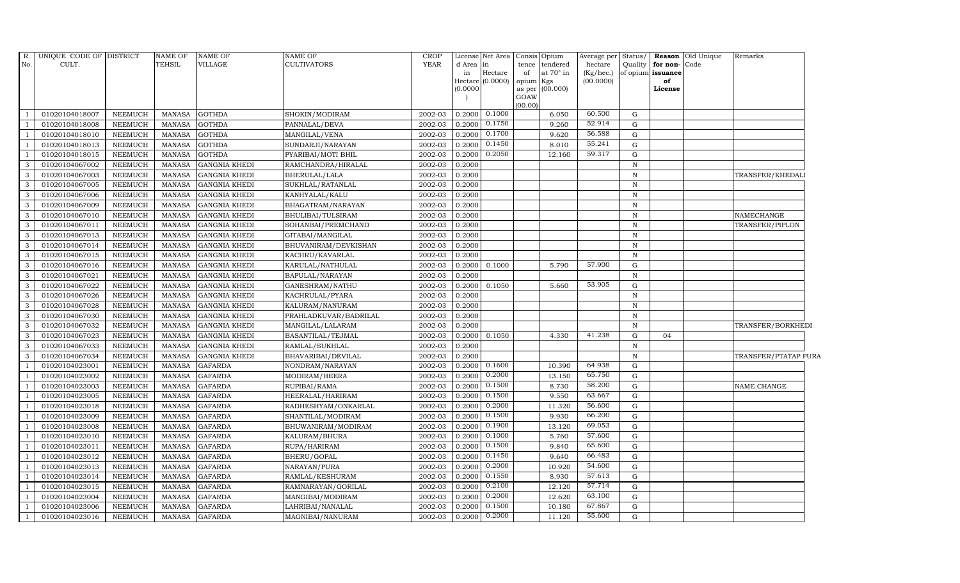| R.                       | UNIQUE CODE OF DISTRICT |                | <b>NAME OF</b> | <b>NAME OF</b>       | NAME OF               | CROP        |                 | License Net Area | Consis      | Opium                        | Average per Status/  |              |                                   | <b>Reason</b> Old Unique | Remarks              |
|--------------------------|-------------------------|----------------|----------------|----------------------|-----------------------|-------------|-----------------|------------------|-------------|------------------------------|----------------------|--------------|-----------------------------------|--------------------------|----------------------|
| No.                      | CULT.                   |                | <b>TEHSIL</b>  | VILLAGE              | CULTIVATORS           | <b>YEAR</b> | d Area in<br>in | Hectare          | tence<br>of | tendered<br>at $70^\circ$ in | hectare<br>(Kg/hec.) | Quality      | for non-Code<br>of opium issuance |                          |                      |
|                          |                         |                |                |                      |                       |             |                 | Hectare (0.0000) | opium       | Kgs                          | (00.0000)            |              | of                                |                          |                      |
|                          |                         |                |                |                      |                       |             | (0.0000)        |                  | as per      | (00.000)                     |                      |              | License                           |                          |                      |
|                          |                         |                |                |                      |                       |             |                 |                  | GOAW        |                              |                      |              |                                   |                          |                      |
| - 1                      | 01020104018007          | <b>NEEMUCH</b> | MANASA         | <b>GOTHDA</b>        | SHOKIN/MODIRAM        | 2002-03     | 0.2000          | 0.1000           | (00.00)     | 6.050                        | 60.500               | G            |                                   |                          |                      |
| $\overline{\phantom{0}}$ | 01020104018008          | <b>NEEMUCH</b> | <b>MANASA</b>  | <b>GOTHDA</b>        | PANNALAL/DEVA         | 2002-03     | 0.2000          | 0.1750           |             | 9.260                        | 52.914               | G            |                                   |                          |                      |
| $\overline{1}$           | 01020104018010          | <b>NEEMUCH</b> | <b>MANASA</b>  | <b>GOTHDA</b>        | MANGILAL/VENA         | 2002-03     | 0.2000          | 0.1700           |             | 9.620                        | 56.588               | G            |                                   |                          |                      |
|                          | 01020104018013          | <b>NEEMUCH</b> | <b>MANASA</b>  | <b>GOTHDA</b>        | SUNDARJI/NARAYAN      | 2002-03     | 0.2000          | 0.1450           |             | 8.010                        | 55.241               | G            |                                   |                          |                      |
| $\overline{1}$           | 01020104018015          | <b>NEEMUCH</b> | <b>MANASA</b>  | <b>GOTHDA</b>        | PYARIBAI/MOTI BHIL    | 2002-03     | 0.2000          | 0.2050           |             | 12.160                       | 59.317               | ${\rm G}$    |                                   |                          |                      |
| $\mathbf{3}$             | 01020104067002          | <b>NEEMUCH</b> | <b>MANASA</b>  | <b>GANGNIA KHEDI</b> | RAMCHANDRA/HIRALAL    | 2002-03     | 0.2000          |                  |             |                              |                      | $\mathbb N$  |                                   |                          |                      |
| $\mathbf{3}$             | 01020104067003          | <b>NEEMUCH</b> | <b>MANASA</b>  | <b>GANGNIA KHEDI</b> | BHERULAL/LALA         | 2002-03     | 0.2000          |                  |             |                              |                      | $\, {\bf N}$ |                                   |                          | TRANSFER/KHEDAL      |
| $\mathbf{3}$             | 01020104067005          | NEEMUCH        | <b>MANASA</b>  | <b>GANGNIA KHEDI</b> | SUKHLAL/RATANLAL      | 2002-03     | 0.2000          |                  |             |                              |                      | $\mathbf N$  |                                   |                          |                      |
| 3                        | 01020104067006          | <b>NEEMUCH</b> | <b>MANASA</b>  | <b>GANGNIA KHEDI</b> | KANHYALAL/KALU        | 2002-03     | 0.2000          |                  |             |                              |                      | $\mathbb N$  |                                   |                          |                      |
| 3                        | 01020104067009          | <b>NEEMUCH</b> | <b>MANASA</b>  | <b>GANGNIA KHEDI</b> | BHAGATRAM/NARAYAN     | 2002-03     | 0.2000          |                  |             |                              |                      | $\, {\rm N}$ |                                   |                          |                      |
| 3                        | 01020104067010          | <b>NEEMUCH</b> | <b>MANASA</b>  | <b>GANGNIA KHEDI</b> | BHULIBAI/TULSIRAM     | 2002-03     | 0.2000          |                  |             |                              |                      | $\mathbf N$  |                                   |                          | NAMECHANGE           |
| $\mathbf{3}$             | 01020104067011          | <b>NEEMUCH</b> | <b>MANASA</b>  | <b>GANGNIA KHEDI</b> | SOHANBAI/PREMCHAND    | 2002-03     | 0.2000          |                  |             |                              |                      | $\mathbf N$  |                                   |                          | TRANSFER/PIPLON      |
| $\mathbf{3}$             | 01020104067013          | NEEMUCH        | <b>MANASA</b>  | <b>GANGNIA KHEDI</b> | GITABAI/MANGILAL      | 2002-03     | 0.2000          |                  |             |                              |                      | N            |                                   |                          |                      |
| 3                        | 01020104067014          | <b>NEEMUCH</b> | <b>MANASA</b>  | <b>GANGNIA KHEDI</b> | BHUVANIRAM/DEVKISHAN  | 2002-03     | 0.2000          |                  |             |                              |                      | $\mathbb N$  |                                   |                          |                      |
| 3                        | 01020104067015          | <b>NEEMUCH</b> | <b>MANASA</b>  | <b>GANGNIA KHEDI</b> | KACHRU/KAVARLAL       | 2002-03     | 0.2000          |                  |             |                              |                      | $\mathbf N$  |                                   |                          |                      |
| $\mathbf{3}$             | 01020104067016          | <b>NEEMUCH</b> | <b>MANASA</b>  | <b>GANGNIA KHEDI</b> | KARULAL/NATHULAL      | 2002-03     | 0.2000          | 0.1000           |             | 5.790                        | 57.900               | G            |                                   |                          |                      |
| 3                        | 01020104067021          | <b>NEEMUCH</b> | <b>MANASA</b>  | <b>GANGNIA KHEDI</b> | BAPULAL/NARAYAN       | 2002-03     | 0.2000          |                  |             |                              |                      | $\mathbf N$  |                                   |                          |                      |
| $\mathbf{3}$             | 01020104067022          | <b>NEEMUCH</b> | <b>MANASA</b>  | <b>GANGNIA KHEDI</b> | GANESHRAM/NATHU       | 2002-03     | 0.2000          | 0.1050           |             | 5.660                        | 53.905               | G            |                                   |                          |                      |
| $\mathbf{3}$             | 01020104067026          | <b>NEEMUCH</b> | <b>MANASA</b>  | <b>GANGNIA KHEDI</b> | KACHRULAL/PYARA       | 2002-03     | 0.2000          |                  |             |                              |                      | $\mathbf N$  |                                   |                          |                      |
| 3                        | 01020104067028          | <b>NEEMUCH</b> | <b>MANASA</b>  | <b>GANGNIA KHEDI</b> | KALURAM/NANURAM       | 2002-03     | 0.2000          |                  |             |                              |                      | $\mathbf N$  |                                   |                          |                      |
| $\mathbf{3}$             | 01020104067030          | <b>NEEMUCH</b> | <b>MANASA</b>  | <b>GANGNIA KHEDI</b> | PRAHLADKUVAR/BADRILAL | 2002-03     | 0.2000          |                  |             |                              |                      | N            |                                   |                          |                      |
| $\mathbf{3}$             | 01020104067032          | NEEMUCH        | <b>MANASA</b>  | <b>GANGNIA KHEDI</b> | MANGILAL/LALARAM      | 2002-03     | 0.2000          |                  |             |                              |                      | $\mathbf N$  |                                   |                          | TRANSFER/BORKHEDI    |
| $\mathbf{3}$             | 01020104067023          | <b>NEEMUCH</b> | <b>MANASA</b>  | <b>GANGNIA KHEDI</b> | BASANTILAL/TEJMAL     | 2002-03     | 0.2000          | 0.1050           |             | 4.330                        | 41.238               | G            | 04                                |                          |                      |
| 3                        | 01020104067033          | <b>NEEMUCH</b> | <b>MANASA</b>  | <b>GANGNIA KHEDI</b> | RAMLAL/SUKHLAL        | 2002-03     | 0.2000          |                  |             |                              |                      | N            |                                   |                          |                      |
| 3                        | 01020104067034          | <b>NEEMUCH</b> | <b>MANASA</b>  | <b>GANGNIA KHEDI</b> | BHAVARIBAI/DEVILAL    | 2002-03     | 0.2000          |                  |             |                              |                      | $\mathbb N$  |                                   |                          | TRANSFER/PTATAP PURA |
| $\overline{1}$           | 01020104023001          | <b>NEEMUCH</b> | <b>MANASA</b>  | <b>GAFARDA</b>       | NONDRAM/NARAYAN       | 2002-03     | 0.2000          | 0.1600           |             | 10.390                       | 64.938               | G            |                                   |                          |                      |
| $\overline{1}$           | 01020104023002          | NEEMUCH        | <b>MANASA</b>  | <b>GAFARDA</b>       | MODIRAM/HEERA         | 2002-03     | 0.2000          | 0.2000           |             | 13.150                       | 65.750               | G            |                                   |                          |                      |
| <sup>1</sup>             | 01020104023003          | <b>NEEMUCH</b> | <b>MANASA</b>  | <b>GAFARDA</b>       | RUPIBAI/RAMA          | 2002-03     | 0.2000          | 0.1500           |             | 8.730                        | 58.200               | G            |                                   |                          | NAME CHANGE          |
| $\overline{1}$           | 01020104023005          | <b>NEEMUCH</b> | <b>MANASA</b>  | <b>GAFARDA</b>       | HEERALAL/HARIRAM      | 2002-03     | 0.2000          | 0.1500           |             | 9.550                        | 63.667               | $\mathbf G$  |                                   |                          |                      |
| $\overline{1}$           | 01020104023018          | <b>NEEMUCH</b> | <b>MANASA</b>  | <b>GAFARDA</b>       | RADHESHYAM/ONKARLAL   | 2002-03     | 0.2000          | 0.2000           |             | 11.320                       | 56.600               | G            |                                   |                          |                      |
| $\overline{1}$           | 01020104023009          | <b>NEEMUCH</b> | <b>MANASA</b>  | <b>GAFARDA</b>       | SHANTILAL/MODIRAM     | 2002-03     | 0.2000          | 0.1500           |             | 9.930                        | 66.200               | G            |                                   |                          |                      |
| $\overline{1}$           | 01020104023008          | <b>NEEMUCH</b> | <b>MANASA</b>  | <b>GAFARDA</b>       | BHUWANIRAM/MODIRAM    | 2002-03     | 0.2000          | 0.1900           |             | 13.120                       | 69.053               | $\mathbf G$  |                                   |                          |                      |
| <sup>1</sup>             | 01020104023010          | <b>NEEMUCH</b> | <b>MANASA</b>  | <b>GAFARDA</b>       | KALURAM/BHURA         | 2002-03     | 0.2000          | 0.1000           |             | 5.760                        | 57.600               | G            |                                   |                          |                      |
| $\overline{1}$           | 01020104023011          | <b>NEEMUCH</b> | <b>MANASA</b>  | <b>GAFARDA</b>       | RUPA/HARIRAM          | 2002-03     | 0.2000          | 0.1500           |             | 9.840                        | 65.600               | G            |                                   |                          |                      |
| $\overline{1}$           | 01020104023012          | <b>NEEMUCH</b> | <b>MANASA</b>  | <b>GAFARDA</b>       | BHERU/GOPAL           | 2002-03     | 0.2000          | 0.1450<br>0.2000 |             | 9.640                        | 66.483<br>54.600     | G            |                                   |                          |                      |
| $\overline{1}$           | 01020104023013          | <b>NEEMUCH</b> | <b>MANASA</b>  | <b>GAFARDA</b>       | NARAYAN/PURA          | 2002-03     | 0.2000          |                  |             | 10.920                       | 57.613               | G            |                                   |                          |                      |
| <sup>1</sup>             | 01020104023014          | <b>NEEMUCH</b> | <b>MANASA</b>  | <b>GAFARDA</b>       | RAMLAL/KESHURAM       | 2002-03     | 0.2000          | 0.1550<br>0.2100 |             | 8.930                        | 57.714               | $\mathbf G$  |                                   |                          |                      |
| $\overline{1}$           | 01020104023015          | <b>NEEMUCH</b> | MANASA         | <b>GAFARDA</b>       | RAMNARAYAN/GORILAL    | 2002-03     | 0.2000          | 0.2000           |             | 12.120                       | 63.100               | G            |                                   |                          |                      |
| -1                       | 01020104023004          | <b>NEEMUCH</b> | <b>MANASA</b>  | <b>GAFARDA</b>       | MANGIBAI/MODIRAM      | 2002-03     | 0.2000          | 0.1500           |             | 12.620                       | 67.867               | G            |                                   |                          |                      |
| <sup>1</sup>             | 01020104023006          | <b>NEEMUCH</b> | <b>MANASA</b>  | <b>GAFARDA</b>       | LAHRIBAI/NANALAL      | 2002-03     | 0.2000          | 0.2000           |             | 10.180                       | 55.600               | G            |                                   |                          |                      |
| $\mathbf{1}$             | 01020104023016          | <b>NEEMUCH</b> | <b>MANASA</b>  | <b>GAFARDA</b>       | MAGNIBAI/NANURAM      | 2002-03     | 0.2000          |                  |             | 11.120                       |                      | G            |                                   |                          |                      |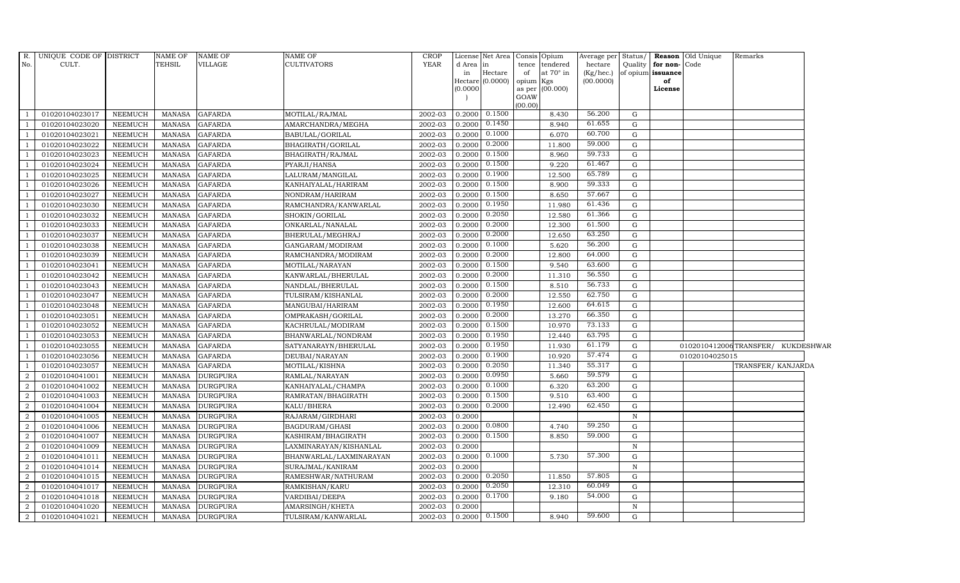| R.               | UNIQUE CODE OF DISTRICT |                | NAME OF       | <b>NAME OF</b>  | <b>NAME OF</b>          | <b>CROP</b> |          | License Net Area   Consis   Opium |           |                  | Average per            | Status/     |                         | <b>Reason</b> Old Unique | Remarks                           |  |
|------------------|-------------------------|----------------|---------------|-----------------|-------------------------|-------------|----------|-----------------------------------|-----------|------------------|------------------------|-------------|-------------------------|--------------------------|-----------------------------------|--|
| No.              | CULT.                   |                | TEHSIL        | VILLAGE         | <b>CULTIVATORS</b>      | YEAR        | d Area   | in                                |           | tence tendered   | hectare                | Quality     | for non-                | Code                     |                                   |  |
|                  |                         |                |               |                 |                         |             | in       | Hectare<br>Hectare (0.0000)       | of        | at $70^\circ$ in | (Kg/hec.)<br>(00.0000) |             | of opium issuance<br>of |                          |                                   |  |
|                  |                         |                |               |                 |                         |             | (0.0000) |                                   | opium Kgs | as per (00.000)  |                        |             | License                 |                          |                                   |  |
|                  |                         |                |               |                 |                         |             |          |                                   | GOAW      |                  |                        |             |                         |                          |                                   |  |
|                  |                         |                |               |                 |                         |             |          |                                   | (00.00)   |                  |                        |             |                         |                          |                                   |  |
| $\overline{1}$   | 01020104023017          | <b>NEEMUCH</b> | MANASA        | <b>GAFARDA</b>  | MOTILAL/RAJMAL          | 2002-03     | 0.2000   | 0.1500                            |           | 8.430            | 56.200                 | G           |                         |                          |                                   |  |
| $\overline{1}$   | 01020104023020          | NEEMUCH        | MANASA        | <b>GAFARDA</b>  | AMARCHANDRA/MEGHA       | 2002-03     | 0.2000   | 0.1450                            |           | 8.940            | 61.655                 | G           |                         |                          |                                   |  |
| $\overline{1}$   | 01020104023021          | <b>NEEMUCH</b> | <b>MANASA</b> | <b>GAFARDA</b>  | BABULAL/GORILAL         | 2002-03     | 0.2000   | 0.1000                            |           | 6.070            | 60.700                 | G           |                         |                          |                                   |  |
|                  | 01020104023022          | <b>NEEMUCH</b> | <b>MANASA</b> | <b>GAFARDA</b>  | BHAGIRATH/GORILAL       | 2002-03     | 0.2000   | 0.2000                            |           | 11.800           | 59.000                 | G           |                         |                          |                                   |  |
| $\mathbf{1}$     | 01020104023023          | <b>NEEMUCH</b> | <b>MANASA</b> | <b>GAFARDA</b>  | BHAGIRATH / RAJMAL      | 2002-03     | 0.2000   | 0.1500                            |           | 8.960            | 59.733                 | G           |                         |                          |                                   |  |
| $\overline{1}$   | 01020104023024          | <b>NEEMUCH</b> | <b>MANASA</b> | <b>GAFARDA</b>  | PYARJI/HANSA            | 2002-03     | 0.2000   | 0.1500                            |           | 9.220            | 61.467                 | G           |                         |                          |                                   |  |
| $\overline{1}$   | 01020104023025          | <b>NEEMUCH</b> | <b>MANASA</b> | <b>GAFARDA</b>  | LALURAM/MANGILAL        | 2002-03     | 0.2000   | 0.1900                            |           | 12.500           | 65.789                 | G           |                         |                          |                                   |  |
| $\overline{1}$   | 01020104023026          | <b>NEEMUCH</b> | <b>MANASA</b> | <b>GAFARDA</b>  | KANHAIYALAL/HARIRAM     | 2002-03     | 0.2000   | 0.1500                            |           | 8.900            | 59.333                 | G           |                         |                          |                                   |  |
|                  | 01020104023027          | <b>NEEMUCH</b> | <b>MANASA</b> | <b>GAFARDA</b>  | NONDRAM/HARIRAM         | 2002-03     | 0.2000   | 0.1500                            |           | 8.650            | 57.667                 | G           |                         |                          |                                   |  |
| $\overline{1}$   | 01020104023030          | <b>NEEMUCH</b> | <b>MANASA</b> | <b>GAFARDA</b>  | RAMCHANDRA/KANWARLAL    | 2002-03     | 0.2000   | 0.1950                            |           | 11.980           | 61.436                 | G           |                         |                          |                                   |  |
| $\overline{1}$   | 01020104023032          | <b>NEEMUCH</b> | <b>MANASA</b> | <b>GAFARDA</b>  | SHOKIN/GORILAL          | 2002-03     | 0.2000   | 0.2050                            |           | 12.580           | 61.366                 | G           |                         |                          |                                   |  |
| $\overline{1}$   | 01020104023033          | <b>NEEMUCH</b> | MANASA        | <b>GAFARDA</b>  | ONKARLAL/NANALAL        | 2002-03     | 0.2000   | 0.2000                            |           | 12.300           | 61.500                 | G           |                         |                          |                                   |  |
| $\overline{1}$   | 01020104023037          | <b>NEEMUCH</b> | <b>MANASA</b> | <b>GAFARDA</b>  | BHERULAL/MEGHRAJ        | 2002-03     | 0.2000   | 0.2000                            |           | 12.650           | 63.250                 | G           |                         |                          |                                   |  |
| $\overline{1}$   | 01020104023038          | <b>NEEMUCH</b> | <b>MANASA</b> | <b>GAFARDA</b>  | GANGARAM/MODIRAM        | 2002-03     | 0.2000   | 0.1000                            |           | 5.620            | 56.200                 | G           |                         |                          |                                   |  |
|                  | 01020104023039          | NEEMUCH        | <b>MANASA</b> | <b>GAFARDA</b>  | RAMCHANDRA/MODIRAM      | 2002-03     | 0.2000   | 0.2000                            |           | 12.800           | 64.000                 | ${\rm G}$   |                         |                          |                                   |  |
| $\mathbf{1}$     | 01020104023041          | <b>NEEMUCH</b> | <b>MANASA</b> | <b>GAFARDA</b>  | MOTILAL/NARAYAN         | 2002-03     | 0.2000   | 0.1500                            |           | 9.540            | 63.600                 | G           |                         |                          |                                   |  |
| $\mathbf{1}$     | 01020104023042          | <b>NEEMUCH</b> | MANASA        | <b>GAFARDA</b>  | KANWARLAL/BHERULAL      | 2002-03     | 0.2000   | 0.2000                            |           | 11.310           | 56.550                 | G           |                         |                          |                                   |  |
| $\overline{1}$   | 01020104023043          | <b>NEEMUCH</b> | <b>MANASA</b> | <b>GAFARDA</b>  | NANDLAL/BHERULAL        | 2002-03     | 0.2000   | 0.1500                            |           | 8.510            | 56.733                 | G           |                         |                          |                                   |  |
| $\mathbf{1}$     | 01020104023047          | <b>NEEMUCH</b> | <b>MANASA</b> | <b>GAFARDA</b>  | TULSIRAM/KISHANLAL      | 2002-03     | 0.2000   | 0.2000                            |           | 12.550           | 62.750                 | G           |                         |                          |                                   |  |
|                  | 01020104023048          | <b>NEEMUCH</b> | <b>MANASA</b> | <b>GAFARDA</b>  | MANGUBAI/HARIRAM        | 2002-03     | 0.2000   | 0.1950                            |           | 12.600           | 64.615                 | G           |                         |                          |                                   |  |
| $\overline{1}$   | 01020104023051          | <b>NEEMUCH</b> | <b>MANASA</b> | <b>GAFARDA</b>  | OMPRAKASH/GORILAL       | 2002-03     | 0.2000   | 0.2000                            |           | 13.270           | 66.350                 | G           |                         |                          |                                   |  |
| -1               | 01020104023052          | <b>NEEMUCH</b> | MANASA        | <b>GAFARDA</b>  | KACHRULAL/MODIRAM       | 2002-03     | 0.2000   | 0.1500                            |           | 10.970           | 73.133                 | G           |                         |                          |                                   |  |
| $\overline{1}$   | 01020104023053          | NEEMUCH        | <b>MANASA</b> | <b>GAFARDA</b>  | BHANWARLAL/NONDRAM      | 2002-03     | 0.2000   | 0.1950                            |           | 12.440           | 63.795                 | G           |                         |                          |                                   |  |
| $\overline{1}$   | 01020104023055          | <b>NEEMUCH</b> | <b>MANASA</b> | <b>GAFARDA</b>  | SATYANARAYN/BHERULAL    | 2002-03     | 0.2000   | 0.1950                            |           | 11.930           | 61.179                 | G           |                         |                          | 0102010412006TRANSFER/ KUKDESHWAR |  |
|                  | 01020104023056          | <b>NEEMUCH</b> | <b>MANASA</b> | <b>GAFARDA</b>  | DEUBAI/NARAYAN          | 2002-03     | 0.2000   | 0.1900                            |           | 10.920           | 57.474                 | ${\rm G}$   |                         | 01020104025015           |                                   |  |
| $\mathbf{1}$     | 01020104023057          | <b>NEEMUCH</b> | <b>MANASA</b> | <b>GAFARDA</b>  | MOTILAL/KISHNA          | 2002-03     | 0.2000   | 0.2050                            |           | 11.340           | 55.317                 | G           |                         |                          | TRANSFER/ KANJARDA                |  |
| 2                | 01020104041001          | <b>NEEMUCH</b> | <b>MANASA</b> | <b>DURGPURA</b> | RAMLAL/NARAYAN          | 2002-03     | 0.2000   | 0.0950                            |           | 5.660            | 59.579                 | G           |                         |                          |                                   |  |
| $\boldsymbol{2}$ | 01020104041002          | <b>NEEMUCH</b> | <b>MANASA</b> | <b>DURGPURA</b> | KANHAIYALAL/CHAMPA      | 2002-03     | 0.2000   | 0.1000                            |           | 6.320            | 63.200                 | $\mathbf G$ |                         |                          |                                   |  |
| $\overline{2}$   | 01020104041003          | <b>NEEMUCH</b> | <b>MANASA</b> | <b>DURGPURA</b> | RAMRATAN/BHAGIRATH      | 2002-03     | 0.2000   | 0.1500                            |           | 9.510            | 63.400                 | G           |                         |                          |                                   |  |
| 2                | 01020104041004          | <b>NEEMUCH</b> | <b>MANASA</b> | <b>DURGPURA</b> | KALU/BHERA              | 2002-03     | 0.2000   | 0.2000                            |           | 12.490           | 62.450                 | G           |                         |                          |                                   |  |
| $\boldsymbol{2}$ | 01020104041005          | <b>NEEMUCH</b> | <b>MANASA</b> | <b>DURGPURA</b> | RAJARAM / GIRDHARI      | 2002-03     | 0.2000   |                                   |           |                  |                        | $\mathbf N$ |                         |                          |                                   |  |
| 2                | 01020104041006          | <b>NEEMUCH</b> | <b>MANASA</b> | <b>DURGPURA</b> | BAGDURAM/GHASI          | 2002-03     | 0.2000   | 0.0800                            |           | 4.740            | 59.250                 | G           |                         |                          |                                   |  |
| $\overline{2}$   | 01020104041007          | <b>NEEMUCH</b> | MANASA        | <b>DURGPURA</b> | KASHIRAM/BHAGIRATH      | 2002-03     | 0.2000   | 0.1500                            |           | 8.850            | 59.000                 | G           |                         |                          |                                   |  |
| $\overline{2}$   | 01020104041009          | <b>NEEMUCH</b> | <b>MANASA</b> | <b>DURGPURA</b> | LAXMINARAYAN/KISHANLAL  | 2002-03     | 0.2000   |                                   |           |                  |                        | N           |                         |                          |                                   |  |
| $\overline{2}$   | 01020104041011          | <b>NEEMUCH</b> | <b>MANASA</b> | <b>DURGPURA</b> | BHANWARLAL/LAXMINARAYAN | 2002-03     | 0.2000   | 0.1000                            |           | 5.730            | 57.300                 | G           |                         |                          |                                   |  |
| $\overline{2}$   | 01020104041014          | <b>NEEMUCH</b> | <b>MANASA</b> | <b>DURGPURA</b> | SURAJMAL/KANIRAM        | 2002-03     | 0.2000   |                                   |           |                  |                        | $\mathbf N$ |                         |                          |                                   |  |
| 2                | 01020104041015          | <b>NEEMUCH</b> | <b>MANASA</b> | <b>DURGPURA</b> | RAMESHWAR/NATHURAM      | 2002-03     | 0.2000   | 0.2050                            |           | 11.850           | 57.805                 | G           |                         |                          |                                   |  |
| $\boldsymbol{2}$ | 01020104041017          | <b>NEEMUCH</b> | <b>MANASA</b> | <b>DURGPURA</b> | RAMKISHAN/KARU          | 2002-03     | 0.2000   | 0.2050                            |           | 12.310           | 60.049                 | G           |                         |                          |                                   |  |
| $\overline{2}$   | 01020104041018          | <b>NEEMUCH</b> | <b>MANASA</b> | <b>DURGPURA</b> | VARDIBAI/DEEPA          | 2002-03     | 0.2000   | 0.1700                            |           | 9.180            | 54.000                 | G           |                         |                          |                                   |  |
| 2                | 01020104041020          | <b>NEEMUCH</b> | <b>MANASA</b> | <b>DURGPURA</b> | AMARSINGH/KHETA         | 2002-03     | 0.2000   |                                   |           |                  |                        | $\mathbb N$ |                         |                          |                                   |  |
| $\overline{2}$   | 01020104041021          | <b>NEEMUCH</b> |               | MANASA DURGPURA | TULSIRAM/KANWARLAL      | 2002-03     | 0.2000   | 0.1500                            |           | 8.940            | 59.600                 | G           |                         |                          |                                   |  |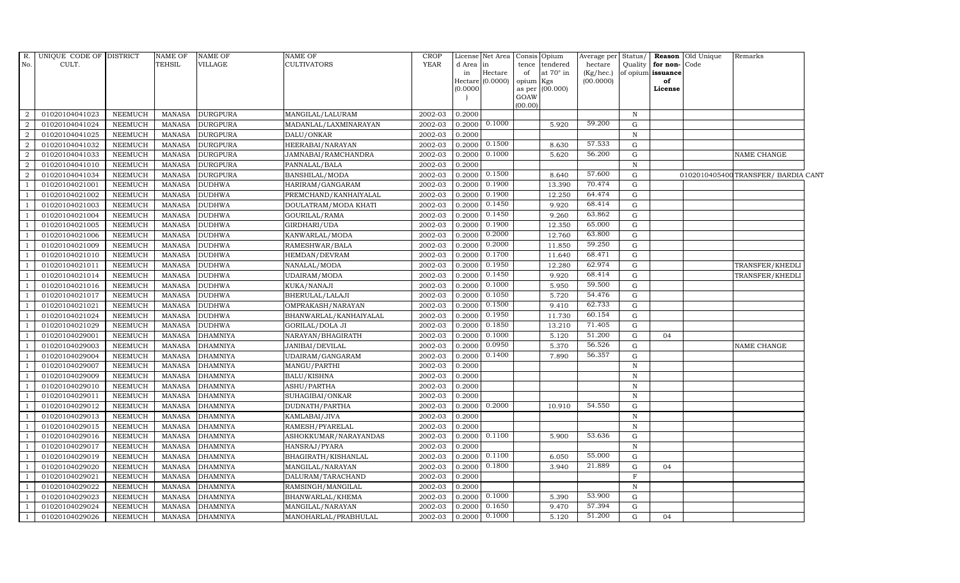| R.<br>No.      | UNIQUE CODE OF DISTRICT<br>CULT. |                | NAME OF<br>TEHSIL | <b>NAME OF</b><br>VILLAGE | NAME OF<br><b>CULTIVATORS</b> | <b>CROP</b><br><b>YEAR</b> | d Area in<br>in<br>(0.0000) | License Net Area<br>Hectare<br>Hectare $(0.0000)$ | tence<br>of<br>opium Kgs<br>GOAW | Consis Opium<br>tendered<br>at $70^\circ$ in<br>as per (00.000) | Average per Status/<br>hectare<br>(Kg/hec.)<br>(00.0000) | Quality      | for non-Code<br>of opium issuance<br>of<br>License | Reason Old Unique | Remarks                             |  |
|----------------|----------------------------------|----------------|-------------------|---------------------------|-------------------------------|----------------------------|-----------------------------|---------------------------------------------------|----------------------------------|-----------------------------------------------------------------|----------------------------------------------------------|--------------|----------------------------------------------------|-------------------|-------------------------------------|--|
|                |                                  |                |                   |                           |                               |                            |                             |                                                   | (00.00)                          |                                                                 |                                                          |              |                                                    |                   |                                     |  |
| $\overline{2}$ | 01020104041023                   | NEEMUCH        | <b>MANASA</b>     | <b>DURGPURA</b>           | MANGILAL/LALURAM              | 2002-03                    | 0.2000                      |                                                   |                                  |                                                                 |                                                          | $\mathbb N$  |                                                    |                   |                                     |  |
| $\overline{2}$ | 01020104041024                   | <b>NEEMUCH</b> | <b>MANASA</b>     | <b>DURGPURA</b>           | MADANLAL/LAXMINARAYAN         | 2002-03                    | 0.2000                      | 0.1000                                            |                                  | 5.920                                                           | 59.200                                                   | G            |                                                    |                   |                                     |  |
| $\overline{2}$ | 01020104041025                   | <b>NEEMUCH</b> | <b>MANASA</b>     | <b>DURGPURA</b>           | DALU/ONKAR                    | 2002-03                    | 0.2000                      |                                                   |                                  |                                                                 |                                                          | N            |                                                    |                   |                                     |  |
| $\overline{2}$ | 01020104041032                   | <b>NEEMUCH</b> | <b>MANASA</b>     | <b>DURGPURA</b>           | HEERABAI/NARAYAN              | 2002-03                    | 0.2000                      | 0.1500                                            |                                  | 8.630                                                           | 57.533                                                   | G            |                                                    |                   |                                     |  |
| $\overline{2}$ | 01020104041033                   | <b>NEEMUCH</b> | <b>MANASA</b>     | <b>DURGPURA</b>           | JAMNABAI/RAMCHANDRA           | 2002-03                    | 0.2000                      | 0.1000                                            |                                  | 5.620                                                           | 56.200                                                   | G            |                                                    |                   | NAME CHANGE                         |  |
| $\overline{2}$ | 01020104041010                   | <b>NEEMUCH</b> | <b>MANASA</b>     | <b>DURGPURA</b>           | PANNALAL/BALA                 | 2002-03                    | 0.2000                      |                                                   |                                  |                                                                 |                                                          | $\,$ N       |                                                    |                   |                                     |  |
| 2              | 01020104041034                   | <b>NEEMUCH</b> | MANASA            | <b>DURGPURA</b>           | BANSHILAL/MODA                | 2002-03                    | 0.2000                      | 0.1500                                            |                                  | 8.640                                                           | 57.600                                                   | G            |                                                    |                   | 0102010405400 TRANSFER/ BARDIA CANT |  |
|                | 01020104021001                   | <b>NEEMUCH</b> | <b>MANASA</b>     | <b>DUDHWA</b>             | HARIRAM/GANGARAM              | 2002-03                    | 0.2000                      | 0.1900                                            |                                  | 13.390                                                          | 70.474                                                   | G            |                                                    |                   |                                     |  |
|                | 01020104021002                   | <b>NEEMUCH</b> | <b>MANASA</b>     | <b>DUDHWA</b>             | PREMCHAND/KANHAIYALAL         | 2002-03                    | 0.2000                      | 0.1900                                            |                                  | 12.250                                                          | 64.474                                                   | G            |                                                    |                   |                                     |  |
|                | 01020104021003                   | NEEMUCH        | MANASA            | <b>DUDHWA</b>             | DOULATRAM/MODA KHATI          | 2002-03                    | 0.2000                      | 0.1450                                            |                                  | 9.920                                                           | 68.414                                                   | G            |                                                    |                   |                                     |  |
| -1             | 01020104021004                   | <b>NEEMUCH</b> | <b>MANASA</b>     | <b>DUDHWA</b>             | GOURILAL/RAMA                 | 2002-03                    | 0.2000                      | 0.1450                                            |                                  | 9.260                                                           | 63.862                                                   | G            |                                                    |                   |                                     |  |
|                | 01020104021005                   | <b>NEEMUCH</b> | <b>MANASA</b>     | <b>DUDHWA</b>             | GIRDHARI/UDA                  | 2002-03                    | 0.2000                      | 0.1900                                            |                                  | 12.350                                                          | 65.000                                                   | G            |                                                    |                   |                                     |  |
|                | 01020104021006                   | NEEMUCH        | MANASA            | <b>DUDHWA</b>             | KANWARLAL/MODA                | 2002-03                    | 0.2000                      | 0.2000                                            |                                  | 12.760                                                          | 63.800                                                   | G            |                                                    |                   |                                     |  |
|                | 01020104021009                   | <b>NEEMUCH</b> | <b>MANASA</b>     | <b>DUDHWA</b>             | RAMESHWAR/BALA                | 2002-03                    | 0.2000                      | 0.2000                                            |                                  | 11.850                                                          | 59.250                                                   | G            |                                                    |                   |                                     |  |
|                | 01020104021010                   | <b>NEEMUCH</b> | MANASA            | <b>DUDHWA</b>             | HEMDAN/DEVRAM                 | 2002-03                    | 0.2000                      | 0.1700                                            |                                  | 11.640                                                          | 68.471                                                   | ${\rm G}$    |                                                    |                   |                                     |  |
|                | 01020104021011                   | NEEMUCH        | <b>MANASA</b>     | <b>DUDHWA</b>             | NANALAL/MODA                  | 2002-03                    | 0.2000                      | 0.1950                                            |                                  | 12.280                                                          | 62.974                                                   | G            |                                                    |                   | TRANSFER/KHEDLI                     |  |
|                | 01020104021014                   | <b>NEEMUCH</b> | <b>MANASA</b>     | <b>DUDHWA</b>             | UDAIRAM/MODA                  | 2002-03                    | 0.2000                      | 0.1450                                            |                                  | 9.920                                                           | 68.414                                                   | G            |                                                    |                   | TRANSFER/KHEDLI                     |  |
|                | 01020104021016                   | NEEMUCH        | <b>MANASA</b>     | <b>DUDHWA</b>             | KUKA/NANAJI                   | 2002-03                    | 0.2000                      | 0.1000                                            |                                  | 5.950                                                           | 59.500                                                   | G            |                                                    |                   |                                     |  |
|                | 01020104021017                   | <b>NEEMUCH</b> | <b>MANASA</b>     | <b>DUDHWA</b>             | BHERULAL/LALAJI               | 2002-03                    | 0.2000                      | 0.1050                                            |                                  | 5.720                                                           | 54.476                                                   | G            |                                                    |                   |                                     |  |
|                | 01020104021021                   | <b>NEEMUCH</b> | <b>MANASA</b>     | <b>DUDHWA</b>             | OMPRAKASH/NARAYAN             | 2002-03                    | 0.2000                      | 0.1500                                            |                                  | 9.410                                                           | 62.733                                                   | ${\rm G}$    |                                                    |                   |                                     |  |
|                | 01020104021024                   | NEEMUCH        | MANASA            | <b>DUDHWA</b>             | BHANWARLAL/KANHAIYALAL        | 2002-03                    | 0.2000                      | 0.1950                                            |                                  | 11.730                                                          | 60.154                                                   | G            |                                                    |                   |                                     |  |
|                | 01020104021029                   | <b>NEEMUCH</b> | <b>MANASA</b>     | <b>DUDHWA</b>             | GORILAL/DOLA JI               | 2002-03                    | 0.2000                      | 0.1850                                            |                                  | 13.210                                                          | 71.405                                                   | G            |                                                    |                   |                                     |  |
|                | 01020104029001                   | <b>NEEMUCH</b> | <b>MANASA</b>     | <b>DHAMNIYA</b>           | NARAYAN/BHAGIRATH             | 2002-03                    | 0.2000                      | 0.1000                                            |                                  | 5.120                                                           | 51.200                                                   | G            | 04                                                 |                   |                                     |  |
|                | 01020104029003                   | <b>NEEMUCH</b> | <b>MANASA</b>     | <b>DHAMNIYA</b>           | JANIBAI/DEVILAL               | 2002-03                    | 0.2000                      | 0.0950                                            |                                  | 5.370                                                           | 56.526                                                   | G            |                                                    |                   | NAME CHANGE                         |  |
|                | 01020104029004                   | <b>NEEMUCH</b> | <b>MANASA</b>     | <b>DHAMNIYA</b>           | UDAIRAM/GANGARAM              | 2002-03                    | 0.2000                      | 0.1400                                            |                                  | 7.890                                                           | 56.357                                                   | $\mathbf G$  |                                                    |                   |                                     |  |
|                | 01020104029007                   | <b>NEEMUCH</b> | <b>MANASA</b>     | <b>DHAMNIYA</b>           | MANGU/PARTHI                  | 2002-03                    | 0.2000                      |                                                   |                                  |                                                                 |                                                          | $\, {\bf N}$ |                                                    |                   |                                     |  |
|                | 01020104029009                   | <b>NEEMUCH</b> | <b>MANASA</b>     | <b>DHAMNIYA</b>           | <b>BALU/KISHNA</b>            | 2002-03                    | 0.2000                      |                                                   |                                  |                                                                 |                                                          | $\mathbf N$  |                                                    |                   |                                     |  |
|                | 01020104029010                   | <b>NEEMUCH</b> | <b>MANASA</b>     | <b>DHAMNIYA</b>           | ASHU/PARTHA                   | 2002-03                    | 0.2000                      |                                                   |                                  |                                                                 |                                                          | $\mathbf N$  |                                                    |                   |                                     |  |
|                | 01020104029011                   | <b>NEEMUCH</b> | <b>MANASA</b>     | <b>DHAMNIYA</b>           | SUHAGIBAI/ONKAR               | 2002-03                    | 0.2000                      |                                                   |                                  |                                                                 |                                                          | $\, {\bf N}$ |                                                    |                   |                                     |  |
|                | 01020104029012                   | <b>NEEMUCH</b> | <b>MANASA</b>     | <b>DHAMNIYA</b>           | DUDNATH/PARTHA                | 2002-03                    | 0.2000                      | 0.2000                                            |                                  | 10.910                                                          | 54.550                                                   | G            |                                                    |                   |                                     |  |
|                | 01020104029013                   | <b>NEEMUCH</b> | <b>MANASA</b>     | <b>DHAMNIYA</b>           | KAMLABAI/JIVA                 | 2002-03                    | 0.2000                      |                                                   |                                  |                                                                 |                                                          | $\mathbf N$  |                                                    |                   |                                     |  |
|                | 01020104029015                   | NEEMUCH        | <b>MANASA</b>     | <b>DHAMNIYA</b>           | RAMESH/PYARELAL               | 2002-03                    | 0.2000                      |                                                   |                                  |                                                                 |                                                          | $\mathbb N$  |                                                    |                   |                                     |  |
|                | 01020104029016                   | <b>NEEMUCH</b> | <b>MANASA</b>     | <b>DHAMNIYA</b>           | ASHOKKUMAR/NARAYANDAS         | 2002-03                    | 0.2000                      | 0.1100                                            |                                  | 5.900                                                           | 53.636                                                   | G            |                                                    |                   |                                     |  |
|                | 01020104029017                   | <b>NEEMUCH</b> | <b>MANASA</b>     | <b>DHAMNIYA</b>           | HANSRAJ/PYARA                 | 2002-03                    | 0.2000                      |                                                   |                                  |                                                                 |                                                          | $\, {\bf N}$ |                                                    |                   |                                     |  |
|                | 01020104029019                   | <b>NEEMUCH</b> | <b>MANASA</b>     | <b>DHAMNIYA</b>           | BHAGIRATH/KISHANLAL           | 2002-03                    | 0.2000                      | 0.1100                                            |                                  | 6.050                                                           | 55.000                                                   | G            |                                                    |                   |                                     |  |
|                | 01020104029020                   | <b>NEEMUCH</b> | <b>MANASA</b>     | <b>DHAMNIYA</b>           | MANGILAL/NARAYAN              | 2002-03                    | 0.2000                      | 0.1800                                            |                                  | 3.940                                                           | 21.889                                                   | G            | 04                                                 |                   |                                     |  |
|                | 01020104029021                   | <b>NEEMUCH</b> | <b>MANASA</b>     | <b>DHAMNIYA</b>           | DALURAM/TARACHAND             | 2002-03                    | 0.2000                      |                                                   |                                  |                                                                 |                                                          | $\mathbf F$  |                                                    |                   |                                     |  |
|                | 01020104029022                   | <b>NEEMUCH</b> | MANASA            | <b>DHAMNIYA</b>           | RAMSINGH/MANGILAL             | 2002-03                    | 0.2000                      |                                                   |                                  |                                                                 |                                                          | $\mathbb N$  |                                                    |                   |                                     |  |
| -1             | 01020104029023                   | <b>NEEMUCH</b> | <b>MANASA</b>     | <b>DHAMNIYA</b>           | BHANWARLAL/KHEMA              | 2002-03                    | 0.2000                      | 0.1000                                            |                                  | 5.390                                                           | 53.900                                                   | G            |                                                    |                   |                                     |  |
|                | 01020104029024                   | <b>NEEMUCH</b> | <b>MANASA</b>     | <b>DHAMNIYA</b>           | MANGILAL/NARAYAN              | 2002-03                    | 0.2000                      | 0.1650                                            |                                  | 9.470                                                           | 57.394                                                   | G            |                                                    |                   |                                     |  |
|                | 01020104029026                   | <b>NEEMUCH</b> | MANASA            | <b>DHAMNIYA</b>           | MANOHARLAL/PRABHULAL          | 2002-03                    | 0.2000                      | 0.1000                                            |                                  | 5.120                                                           | 51.200                                                   | G            | 04                                                 |                   |                                     |  |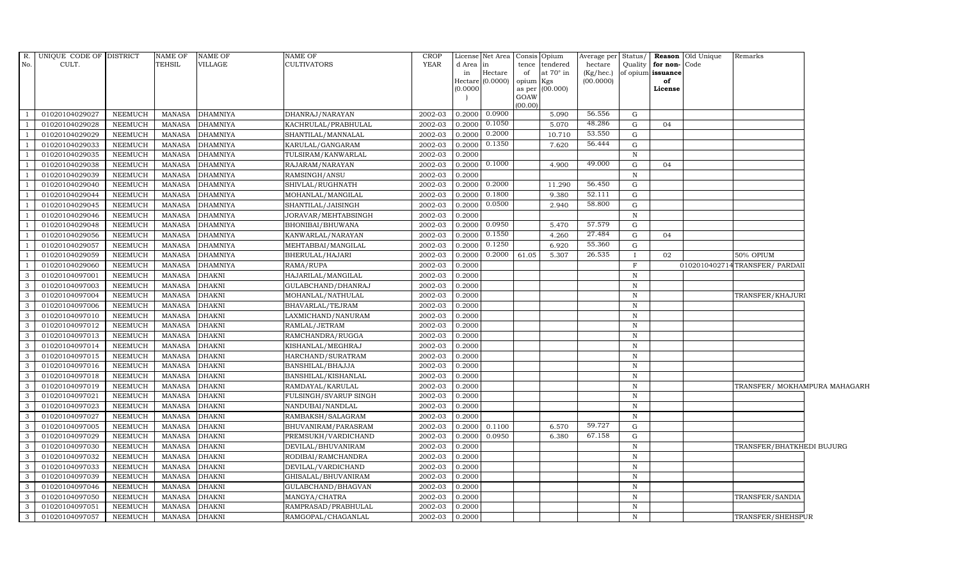|                | R. UNIQUE CODE OF DISTRICT |                | <b>NAME OF</b> | <b>NAME OF</b>  | <b>NAME OF</b>        | <b>CROP</b> |                     | License Net Area Consis Opium |           |                  | Average per Status/ |              |                   | <b>Reason</b> Old Unique | Remarks                        |  |
|----------------|----------------------------|----------------|----------------|-----------------|-----------------------|-------------|---------------------|-------------------------------|-----------|------------------|---------------------|--------------|-------------------|--------------------------|--------------------------------|--|
| No.            | CULT.                      |                | TEHSIL         | VILLAGE         | <b>CULTIVATORS</b>    | YEAR        | d Area              | in                            |           | tence tendered   | hectare             | Quality      | for non-Code      |                          |                                |  |
|                |                            |                |                |                 |                       |             | in                  | Hectare                       | of        | at $70^\circ$ in | (Kg/hec.)           |              | of opium issuance |                          |                                |  |
|                |                            |                |                |                 |                       |             | Hectare<br>(0.0000) | (0.0000)                      | opium Kgs | as per (00.000)  | (00.0000)           |              | of<br>License     |                          |                                |  |
|                |                            |                |                |                 |                       |             |                     |                               | GOAW      |                  |                     |              |                   |                          |                                |  |
|                |                            |                |                |                 |                       |             |                     |                               | (00.00)   |                  |                     |              |                   |                          |                                |  |
|                | 01020104029027             | <b>NEEMUCH</b> | <b>MANASA</b>  | <b>DHAMNIYA</b> | DHANRAJ/NARAYAN       | 2002-03     | 0.2000              | 0.0900                        |           | 5.090            | 56.556              | G            |                   |                          |                                |  |
|                | 01020104029028             | <b>NEEMUCH</b> | <b>MANASA</b>  | <b>DHAMNIYA</b> | KACHRULAL/PRABHULAL   | 2002-03     | 0.2000              | 0.1050                        |           | 5.070            | 48.286              | G            | 04                |                          |                                |  |
|                | 01020104029029             | <b>NEEMUCH</b> | <b>MANASA</b>  | <b>DHAMNIYA</b> | SHANTILAL/MANNALAL    | 2002-03     | 0.2000              | 0.2000                        |           | 10.710           | 53.550              | G            |                   |                          |                                |  |
|                | 01020104029033             | <b>NEEMUCH</b> | <b>MANASA</b>  | <b>DHAMNIYA</b> | KARULAL/GANGARAM      | 2002-03     | 0.2000              | 0.1350                        |           | 7.620            | 56.444              | G            |                   |                          |                                |  |
|                | 01020104029035             | <b>NEEMUCH</b> | <b>MANASA</b>  | <b>DHAMNIYA</b> | TULSIRAM/KANWARLAL    | 2002-03     | 0.2000              |                               |           |                  |                     | N            |                   |                          |                                |  |
|                | 01020104029038             | <b>NEEMUCH</b> | <b>MANASA</b>  | <b>DHAMNIYA</b> | RAJARAM/NARAYAN       | 2002-03     | 0.2000              | 0.1000                        |           | 4.900            | 49.000              | G            | 04                |                          |                                |  |
|                | 01020104029039             | <b>NEEMUCH</b> | <b>MANASA</b>  | <b>DHAMNIYA</b> | RAMSINGH/ANSU         | 2002-03     | 0.2000              |                               |           |                  |                     | $\mathbf N$  |                   |                          |                                |  |
|                | 01020104029040             | <b>NEEMUCH</b> | <b>MANASA</b>  | <b>DHAMNIYA</b> | SHIVLAL/RUGHNATH      | 2002-03     | 0.2000              | 0.2000                        |           | 11.290           | 56.450              | G            |                   |                          |                                |  |
|                | 01020104029044             | <b>NEEMUCH</b> | <b>MANASA</b>  | <b>DHAMNIYA</b> | MOHANLAL/MANGILAL     | 2002-03     | 0.2000              | 0.1800                        |           | 9.380            | 52.111              | G            |                   |                          |                                |  |
|                | 01020104029045             | <b>NEEMUCH</b> | <b>MANASA</b>  | <b>DHAMNIYA</b> | SHANTILAL/JAISINGH    | 2002-03     | 0.2000              | 0.0500                        |           | 2.940            | 58.800              | G            |                   |                          |                                |  |
|                | 01020104029046             | <b>NEEMUCH</b> | <b>MANASA</b>  | <b>DHAMNIYA</b> | JORAVAR/MEHTABSINGH   | 2002-03     | 0.2000              |                               |           |                  |                     | N            |                   |                          |                                |  |
|                | 01020104029048             | <b>NEEMUCH</b> | <b>MANASA</b>  | <b>DHAMNIYA</b> | BHONIBAI/BHUWANA      | 2002-03     | 0.2000              | 0.0950                        |           | 5.470            | 57.579              | G            |                   |                          |                                |  |
|                | 01020104029056             | <b>NEEMUCH</b> | <b>MANASA</b>  | <b>DHAMNIYA</b> | KANWARLAL/NARAYAN     | 2002-03     | 0.2000              | 0.1550                        |           | 4.260            | 27.484              | G            | 04                |                          |                                |  |
|                | 01020104029057             | NEEMUCH        | <b>MANASA</b>  | <b>DHAMNIYA</b> | MEHTABBAI/MANGILAL    | 2002-03     | 0.2000              | 0.1250                        |           | 6.920            | 55.360              | G            |                   |                          |                                |  |
|                | 01020104029059             | <b>NEEMUCH</b> | <b>MANASA</b>  | <b>DHAMNIYA</b> | BHERULAL/HAJARI       | 2002-03     | 0.2000              | 0.2000                        | 61.05     | 5.307            | 26.535              | $\mathbf I$  | 02                |                          | 50% OPIUM                      |  |
|                | 01020104029060             | <b>NEEMUCH</b> | <b>MANASA</b>  | <b>DHAMNIYA</b> | RAMA/RUPA             | $2002 - 03$ | 0.2000              |                               |           |                  |                     | $\mathbf{F}$ |                   |                          | 0102010402714TRANSFER/ PARDAII |  |
| 3              | 01020104097001             | <b>NEEMUCH</b> | <b>MANASA</b>  | <b>DHAKNI</b>   | HAJARILAL/MANGILAL    | 2002-03     | 0.2000              |                               |           |                  |                     | N            |                   |                          |                                |  |
| $\mathbf{3}$   | 01020104097003             | <b>NEEMUCH</b> | <b>MANASA</b>  | <b>DHAKNI</b>   | GULABCHAND/DHANRAJ    | 2002-03     | 0.2000              |                               |           |                  |                     | $\,$ N       |                   |                          |                                |  |
| 3              | 01020104097004             | <b>NEEMUCH</b> | <b>MANASA</b>  | <b>DHAKNI</b>   | MOHANLAL/NATHULAL     | 2002-03     | 0.2000              |                               |           |                  |                     | $\,$ N       |                   |                          | TRANSFER/KHAJURI               |  |
| 3              | 01020104097006             | <b>NEEMUCH</b> | <b>MANASA</b>  | <b>DHAKNI</b>   | BHAVARLAL/TEJRAM      | 2002-03     | 0.2000              |                               |           |                  |                     | $\mathbb N$  |                   |                          |                                |  |
| $\mathbf{3}$   | 01020104097010             | <b>NEEMUCH</b> | <b>MANASA</b>  | <b>DHAKNI</b>   | LAXMICHAND/NANURAM    | 2002-03     | 0.2000              |                               |           |                  |                     | $\mathbb N$  |                   |                          |                                |  |
| 3              | 01020104097012             | <b>NEEMUCH</b> | <b>MANASA</b>  | <b>DHAKNI</b>   | RAMLAL/JETRAM         | 2002-03     | 0.2000              |                               |           |                  |                     | $\,$ N       |                   |                          |                                |  |
| $\mathbf{3}$   | 01020104097013             | <b>NEEMUCH</b> | <b>MANASA</b>  | <b>DHAKNI</b>   | RAMCHANDRA/RUGGA      | 2002-03     | 0.2000              |                               |           |                  |                     | $\mathbf N$  |                   |                          |                                |  |
| 3              | 01020104097014             | <b>NEEMUCH</b> | <b>MANASA</b>  | <b>DHAKNI</b>   | KISHANLAL/MEGHRAJ     | 2002-03     | 0.2000              |                               |           |                  |                     | $\, {\bf N}$ |                   |                          |                                |  |
| 3              | 01020104097015             | <b>NEEMUCH</b> | <b>MANASA</b>  | <b>DHAKNI</b>   | HARCHAND/SURATRAM     | 2002-03     | 0.2000              |                               |           |                  |                     | $\mathbf N$  |                   |                          |                                |  |
| $\mathbf{3}$   | 01020104097016             | <b>NEEMUCH</b> | <b>MANASA</b>  | <b>DHAKNI</b>   | BANSHILAL/BHAJJA      | 2002-03     | 0.2000              |                               |           |                  |                     | $\mathbb N$  |                   |                          |                                |  |
| $\mathbf{3}$   | 01020104097018             | <b>NEEMUCH</b> | <b>MANASA</b>  | <b>DHAKNI</b>   | BANSHILAL/KISHANLAL   | $2002 - 03$ | 0.2000              |                               |           |                  |                     | $\mathbb N$  |                   |                          |                                |  |
| $\mathbf{3}$   | 01020104097019             | <b>NEEMUCH</b> | <b>MANASA</b>  | <b>DHAKNI</b>   | RAMDAYAL/KARULAL      | 2002-03     | 0.2000              |                               |           |                  |                     | $\mathbb N$  |                   |                          | TRANSFER/ MOKHAMPURA MAHAGARH  |  |
| 3              | 01020104097021             | <b>NEEMUCH</b> | <b>MANASA</b>  | <b>DHAKNI</b>   | FULSINGH/SVARUP SINGH | 2002-03     | 0.2000              |                               |           |                  |                     | N            |                   |                          |                                |  |
| $\overline{3}$ | 01020104097023             | <b>NEEMUCH</b> | <b>MANASA</b>  | <b>DHAKNI</b>   | NANDUBAI/NANDLAL      | 2002-03     | 0.2000              |                               |           |                  |                     | N            |                   |                          |                                |  |
| $\mathbf{3}$   | 01020104097027             | <b>NEEMUCH</b> | <b>MANASA</b>  | <b>DHAKNI</b>   | RAMBAKSH/SALAGRAM     | 2002-03     | 0.2000              |                               |           |                  |                     | $\mathbb N$  |                   |                          |                                |  |
| $\mathbf{3}$   | 01020104097005             | <b>NEEMUCH</b> | <b>MANASA</b>  | <b>DHAKNI</b>   | BHUVANIRAM/PARASRAM   | 2002-03     | 0.2000              | 0.1100                        |           | 6.570            | 59.727              | G            |                   |                          |                                |  |
| 3              | 01020104097029             | <b>NEEMUCH</b> | <b>MANASA</b>  | <b>DHAKNI</b>   | PREMSUKH/VARDICHAND   | 2002-03     | 0.2000              | 0.0950                        |           | 6.380            | 67.158              | G            |                   |                          |                                |  |
| 3              | 01020104097030             | <b>NEEMUCH</b> | <b>MANASA</b>  | <b>DHAKNI</b>   | DEVILAL/BHUVANIRAM    | 2002-03     | 0.2000              |                               |           |                  |                     | $\mathbf N$  |                   |                          | TRANSFER/BHATKHEDI BUJURG      |  |
| 3              | 01020104097032             | <b>NEEMUCH</b> | <b>MANASA</b>  | <b>DHAKNI</b>   | RODIBAI/RAMCHANDRA    | 2002-03     | 0.2000              |                               |           |                  |                     | N            |                   |                          |                                |  |
| 3              | 01020104097033             | <b>NEEMUCH</b> | <b>MANASA</b>  | <b>DHAKNI</b>   | DEVILAL/VARDICHAND    | 2002-03     | 0.2000              |                               |           |                  |                     | N            |                   |                          |                                |  |
| 3              | 01020104097039             | <b>NEEMUCH</b> | <b>MANASA</b>  | <b>DHAKNI</b>   | GHISALAL/BHUVANIRAM   | 2002-03     | 0.2000              |                               |           |                  |                     | $\mathbf N$  |                   |                          |                                |  |
| $\mathbf{3}$   | 01020104097046             | <b>NEEMUCH</b> | <b>MANASA</b>  | <b>DHAKNI</b>   | GULABCHAND/BHAGVAN    | 2002-03     | 0.2000              |                               |           |                  |                     | N            |                   |                          |                                |  |
| 3              | 01020104097050             | <b>NEEMUCH</b> | <b>MANASA</b>  | <b>DHAKNI</b>   | MANGYA/CHATRA         | 2002-03     | 0.2000              |                               |           |                  |                     | N            |                   |                          | <b>TRANSFER/SANDIA</b>         |  |
| 3              | 01020104097051             | <b>NEEMUCH</b> | <b>MANASA</b>  | <b>DHAKNI</b>   | RAMPRASAD/PRABHULAL   | 2002-03     | 0.2000              |                               |           |                  |                     | $\mathbb N$  |                   |                          |                                |  |
| 3              | 01020104097057             | <b>NEEMUCH</b> | <b>MANASA</b>  | <b>DHAKNI</b>   | RAMGOPAL/CHAGANLAL    | 2002-03     | 0.2000              |                               |           |                  |                     | N            |                   |                          | TRANSFER/SHEHSPUR              |  |
|                |                            |                |                |                 |                       |             |                     |                               |           |                  |                     |              |                   |                          |                                |  |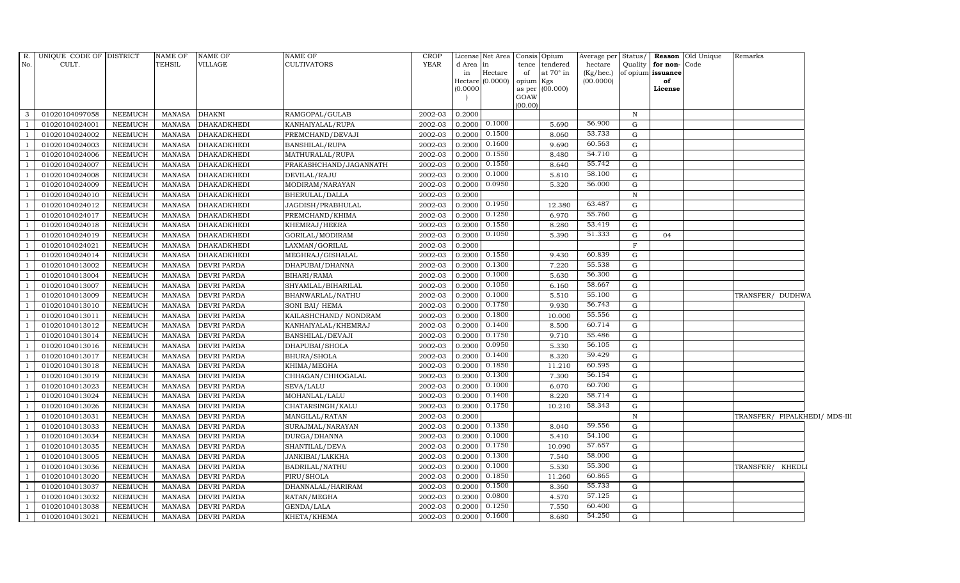| $R$ .          | UNIQUE CODE OF DISTRICT |                | <b>NAME OF</b> | <b>NAME OF</b>     | <b>NAME OF</b>         | <b>CROP</b> |          | License Net Area Consis Opium |           |                  | Average per Status/ |              |                      | <b>Reason</b> Old Unique | Remarks                       |  |
|----------------|-------------------------|----------------|----------------|--------------------|------------------------|-------------|----------|-------------------------------|-----------|------------------|---------------------|--------------|----------------------|--------------------------|-------------------------------|--|
| No.            | CULT.                   |                | TEHSIL         | VILLAGE            | <b>CULTIVATORS</b>     | YEAR        | d Area   | in                            |           | tence tendered   | hectare             |              | Quality for non-Code |                          |                               |  |
|                |                         |                |                |                    |                        |             | in       | Hectare                       | of        | at $70^\circ$ in | $(Kg/$ hec.)        |              | of opium issuance    |                          |                               |  |
|                |                         |                |                |                    |                        |             | (0.0000) | Hectare (0.0000)              | opium Kgs | as per (00.000)  | (00.0000)           |              | of<br>License        |                          |                               |  |
|                |                         |                |                |                    |                        |             |          |                               | GOAW      |                  |                     |              |                      |                          |                               |  |
|                |                         |                |                |                    |                        |             |          |                               | (00.00)   |                  |                     |              |                      |                          |                               |  |
| 3              | 01020104097058          | NEEMUCH        | <b>MANASA</b>  | <b>DHAKNI</b>      | RAMGOPAL/GULAB         | 2002-03     | 0.2000   |                               |           |                  |                     | $\mathbb N$  |                      |                          |                               |  |
| - 1            | 01020104024001          | <b>NEEMUCH</b> | <b>MANASA</b>  | <b>DHAKADKHEDI</b> | KANHAIYALAL/RUPA       | 2002-03     | 0.2000   | 0.1000                        |           | 5.690            | 56.900              | G            |                      |                          |                               |  |
|                | 01020104024002          | <b>NEEMUCH</b> | <b>MANASA</b>  | <b>DHAKADKHEDI</b> | PREMCHAND/DEVAJI       | 2002-03     | 0.2000   | 0.1500                        |           | 8.060            | 53.733              | G            |                      |                          |                               |  |
|                | 01020104024003          | <b>NEEMUCH</b> | <b>MANASA</b>  | <b>DHAKADKHEDI</b> | BANSHILAL/RUPA         | 2002-03     | 0.2000   | 0.1600                        |           | 9.690            | 60.563              | G            |                      |                          |                               |  |
|                | 01020104024006          | <b>NEEMUCH</b> | <b>MANASA</b>  | <b>DHAKADKHEDI</b> | MATHURALAL/RUPA        | 2002-03     | 0.2000   | 0.1550                        |           | 8.480            | 54.710              | G            |                      |                          |                               |  |
|                | 01020104024007          | NEEMUCH        | <b>MANASA</b>  | DHAKADKHEDI        | PRAKASHCHAND/JAGANNATH | 2002-03     | 0.2000   | 0.1550                        |           | 8.640            | 55.742              | G            |                      |                          |                               |  |
|                | 01020104024008          | <b>NEEMUCH</b> | <b>MANASA</b>  | <b>DHAKADKHEDI</b> | DEVILAL/RAJU           | 2002-03     | 0.2000   | 0.1000                        |           | 5.810            | 58.100              | G            |                      |                          |                               |  |
|                | 01020104024009          | <b>NEEMUCH</b> | <b>MANASA</b>  | <b>DHAKADKHEDI</b> | MODIRAM/NARAYAN        | 2002-03     | 0.2000   | 0.0950                        |           | 5.320            | 56.000              | G            |                      |                          |                               |  |
|                | 01020104024010          | <b>NEEMUCH</b> | <b>MANASA</b>  | <b>DHAKADKHEDI</b> | BHERULAL/DALLA         | 2002-03     | 0.2000   |                               |           |                  |                     | N            |                      |                          |                               |  |
|                | 01020104024012          | <b>NEEMUCH</b> | <b>MANASA</b>  | DHAKADKHEDI        | JAGDISH/PRABHULAL      | 2002-03     | 0.2000   | 0.1950                        |           | 12.380           | 63.487              | G            |                      |                          |                               |  |
| -1             | 01020104024017          | <b>NEEMUCH</b> | <b>MANASA</b>  | <b>DHAKADKHEDI</b> | PREMCHAND/KHIMA        | 2002-03     | 0.2000   | 0.1250                        |           | 6.970            | 55.760              | G            |                      |                          |                               |  |
|                | 01020104024018          | <b>NEEMUCH</b> | <b>MANASA</b>  | <b>DHAKADKHEDI</b> | KHEMRAJ/HEERA          | 2002-03     | 0.2000   | 0.1550                        |           | 8.280            | 53.419              | G            |                      |                          |                               |  |
|                | 01020104024019          | <b>NEEMUCH</b> | <b>MANASA</b>  | <b>DHAKADKHEDI</b> | GORILAL/MODIRAM        | 2002-03     | 0.2000   | 0.1050                        |           | 5.390            | 51.333              | G            | 04                   |                          |                               |  |
|                | 01020104024021          | <b>NEEMUCH</b> | <b>MANASA</b>  | <b>DHAKADKHEDI</b> | LAXMAN/GORILAL         | 2002-03     | 0.2000   |                               |           |                  |                     | $\mathbf{F}$ |                      |                          |                               |  |
|                | 01020104024014          | <b>NEEMUCH</b> | <b>MANASA</b>  | <b>DHAKADKHEDI</b> | MEGHRAJ/GISHALAL       | 2002-03     | 0.2000   | 0.1550                        |           | 9.430            | 60.839              | G            |                      |                          |                               |  |
|                | 01020104013002          | NEEMUCH        | <b>MANASA</b>  | <b>DEVRI PARDA</b> | DHAPUBAI/DHANNA        | 2002-03     | 0.2000   | 0.1300                        |           | 7.220            | 55.538              | G            |                      |                          |                               |  |
|                | 01020104013004          | <b>NEEMUCH</b> | <b>MANASA</b>  | <b>DEVRI PARDA</b> | BIHARI/RAMA            | 2002-03     | 0.2000   | 0.1000                        |           | 5.630            | 56.300              | G            |                      |                          |                               |  |
|                | 01020104013007          | <b>NEEMUCH</b> | MANASA         | DEVRI PARDA        | SHYAMLAL/BIHARILAL     | 2002-03     | 0.2000   | 0.1050                        |           | 6.160            | 58.667              | G            |                      |                          |                               |  |
|                | 01020104013009          | <b>NEEMUCH</b> | <b>MANASA</b>  | <b>DEVRI PARDA</b> | BHANWARLAL/NATHU       | 2002-03     | 0.2000   | 0.1000                        |           | 5.510            | 55.100              | G            |                      |                          | TRANSFER/ DUDHWA              |  |
|                | 01020104013010          | <b>NEEMUCH</b> | <b>MANASA</b>  | <b>DEVRI PARDA</b> | SONI BAI/ HEMA         | 2002-03     | 0.2000   | 0.1750                        |           | 9.930            | 56.743              | G            |                      |                          |                               |  |
|                | 01020104013011          | <b>NEEMUCH</b> | <b>MANASA</b>  | <b>DEVRI PARDA</b> | KAILASHCHAND/ NONDRAM  | 2002-03     | 0.2000   | 0.1800                        |           | 10.000           | 55.556              | G            |                      |                          |                               |  |
|                | 01020104013012          | <b>NEEMUCH</b> | <b>MANASA</b>  | <b>DEVRI PARDA</b> | KANHAIYALAL/KHEMRAJ    | 2002-03     | 0.2000   | 0.1400                        |           | 8.500            | 60.714              | $\mathbf G$  |                      |                          |                               |  |
|                | 01020104013014          | NEEMUCH        | <b>MANASA</b>  | <b>DEVRI PARDA</b> | BANSHILAL/DEVAJI       | 2002-03     | 0.2000   | 0.1750                        |           | 9.710            | 55.486              | G            |                      |                          |                               |  |
|                | 01020104013016          | <b>NEEMUCH</b> | MANASA         | <b>DEVRI PARDA</b> | DHAPUBAI/SHOLA         | 2002-03     | 0.2000   | 0.0950                        |           | 5.330            | 56.105              | G            |                      |                          |                               |  |
|                | 01020104013017          | <b>NEEMUCH</b> | <b>MANASA</b>  | <b>DEVRI PARDA</b> | BHURA/SHOLA            | 2002-03     | 0.2000   | 0.1400                        |           | 8.320            | 59.429              | $\mathbf G$  |                      |                          |                               |  |
|                | 01020104013018          | <b>NEEMUCH</b> | <b>MANASA</b>  | <b>DEVRI PARDA</b> | KHIMA/MEGHA            | 2002-03     | 0.2000   | 0.1850                        |           | 11.210           | 60.595              | G            |                      |                          |                               |  |
|                | 01020104013019          | <b>NEEMUCH</b> | <b>MANASA</b>  | <b>DEVRI PARDA</b> | CHHAGAN/CHHOGALAL      | 2002-03     | 0.2000   | 0.1300                        |           | 7.300            | 56.154              | G            |                      |                          |                               |  |
| $\overline{1}$ | 01020104013023          | <b>NEEMUCH</b> | <b>MANASA</b>  | <b>DEVRI PARDA</b> | SEVA/LALU              | 2002-03     | 0.2000   | 0.1000                        |           | 6.070            | 60.700              | G            |                      |                          |                               |  |
|                | 01020104013024          | <b>NEEMUCH</b> | <b>MANASA</b>  | <b>DEVRI PARDA</b> | MOHANLAL/LALU          | 2002-03     | 0.2000   | 0.1400                        |           | 8.220            | 58.714              | G            |                      |                          |                               |  |
|                | 01020104013026          | <b>NEEMUCH</b> | <b>MANASA</b>  | <b>DEVRI PARDA</b> | CHATARSINGH/KALU       | 2002-03     | 0.2000   | 0.1750                        |           | 10.210           | 58.343              | G            |                      |                          |                               |  |
|                | 01020104013031          | <b>NEEMUCH</b> | <b>MANASA</b>  | <b>DEVRI PARDA</b> | MANGILAL/RATAN         | 2002-03     | 0.2000   |                               |           |                  |                     | $\mathbb N$  |                      |                          | TRANSFER/ PIPALKHEDI/ MDS-III |  |
|                | 01020104013033          | <b>NEEMUCH</b> | <b>MANASA</b>  | <b>DEVRI PARDA</b> | SURAJMAL/NARAYAN       | 2002-03     | 0.2000   | 0.1350                        |           | 8.040            | 59.556              | G            |                      |                          |                               |  |
|                | 01020104013034          | NEEMUCH        | <b>MANASA</b>  | <b>DEVRI PARDA</b> | DURGA/DHANNA           | 2002-03     | 0.2000   | 0.1000                        |           | 5.410            | 54.100              | G            |                      |                          |                               |  |
|                | 01020104013035          | <b>NEEMUCH</b> | <b>MANASA</b>  | <b>DEVRI PARDA</b> | SHANTILAL/DEVA         | 2002-03     | 0.2000   | 0.1750                        |           | 10.090           | 57.657              | G            |                      |                          |                               |  |
| - 1            | 01020104013005          | <b>NEEMUCH</b> | MANASA         | <b>DEVRI PARDA</b> | JANKIBAI/LAKKHA        | 2002-03     | 0.2000   | 0.1300                        |           | 7.540            | 58.000              | G            |                      |                          |                               |  |
|                | 01020104013036          | <b>NEEMUCH</b> | <b>MANASA</b>  | <b>DEVRI PARDA</b> | BADRILAL/NATHU         | 2002-03     | 0.2000   | 0.1000                        |           | 5.530            | 55.300              | G            |                      |                          | TRANSFER/ KHEDLI              |  |
|                | 01020104013020          | <b>NEEMUCH</b> | <b>MANASA</b>  | <b>DEVRI PARDA</b> | PIRU/SHOLA             | 2002-03     | 0.2000   | 0.1850                        |           | 11.260           | 60.865              | G            |                      |                          |                               |  |
|                | 01020104013037          | <b>NEEMUCH</b> | <b>MANASA</b>  | <b>DEVRI PARDA</b> | DHANNALAL/HARIRAM      | 2002-03     | 0.2000   | 0.1500                        |           | 8.360            | 55.733              | G            |                      |                          |                               |  |
| -1             | 01020104013032          | <b>NEEMUCH</b> | <b>MANASA</b>  | <b>DEVRI PARDA</b> | RATAN/MEGHA            | 2002-03     | 0.2000   | 0.0800                        |           | 4.570            | 57.125              | G            |                      |                          |                               |  |
| $\overline{1}$ | 01020104013038          | <b>NEEMUCH</b> | <b>MANASA</b>  | <b>DEVRI PARDA</b> | GENDA/LALA             | 2002-03     | 0.2000   | 0.1250                        |           | 7.550            | 60.400              | G            |                      |                          |                               |  |
| -1             | 01020104013021          | <b>NEEMUCH</b> | MANASA         | <b>DEVRI PARDA</b> | KHETA/KHEMA            | 2002-03     | 0.2000   | 0.1600                        |           | 8.680            | 54.250              | G            |                      |                          |                               |  |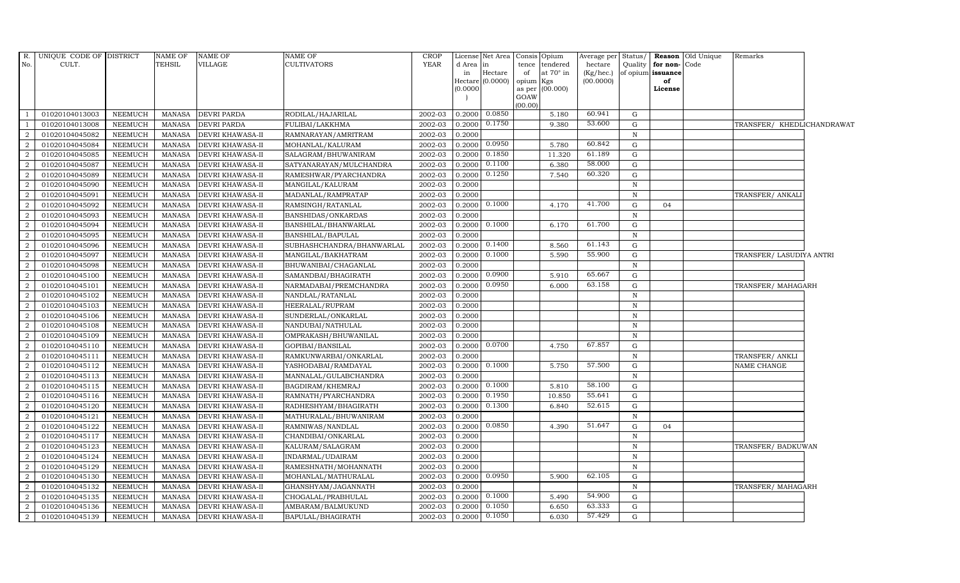| R.             | UNIQUE CODE OF DISTRICT |                | NAME OF       | NAME OF                 | NAME OF                   | <b>CROP</b> |           | License Net Area            | Consis          | Opium     | Average per               | Status <sub>l</sub> | Reason         | Old Unique | Remarks                    |  |
|----------------|-------------------------|----------------|---------------|-------------------------|---------------------------|-------------|-----------|-----------------------------|-----------------|-----------|---------------------------|---------------------|----------------|------------|----------------------------|--|
| No.            | CULT.                   |                | TEHSIL        | VILLAGE                 | <b>CULTIVATORS</b>        | <b>YEAR</b> | d Area in |                             | tence           | tendered  | hectare                   | Quality             | for non-       | Code       |                            |  |
|                |                         |                |               |                         |                           |             | in        | Hectare<br>Hectare (0.0000) | of<br>opium Kgs | at 70° in | $(Kg/$ hec.)<br>(00.0000) | of opium            | issuance<br>of |            |                            |  |
|                |                         |                |               |                         |                           |             | (0.0000)  |                             | as per          | (00.000)  |                           |                     | License        |            |                            |  |
|                |                         |                |               |                         |                           |             |           |                             | GOAW            |           |                           |                     |                |            |                            |  |
|                |                         |                |               |                         |                           |             |           |                             | (00.00)         |           |                           |                     |                |            |                            |  |
| $\overline{1}$ | 01020104013003          | NEEMUCH        | <b>MANASA</b> | <b>DEVRI PARDA</b>      | RODILAL/HAJARILAL         | 2002-03     | 0.2000    | 0.0850                      |                 | 5.180     | 60.941                    | G                   |                |            |                            |  |
|                | 01020104013008          | <b>NEEMUCH</b> | <b>MANASA</b> | <b>DEVRI PARDA</b>      | FULIBAI/LAKKHMA           | 2002-03     | 0.2000    | 0.1750                      |                 | 9.380     | 53.600                    | G                   |                |            | TRANSFER/ KHEDLICHANDRAWAT |  |
| 2              | 01020104045082          | <b>NEEMUCH</b> | <b>MANASA</b> | <b>DEVRI KHAWASA-II</b> | RAMNARAYAN/AMRITRAM       | 2002-03     | 0.2000    |                             |                 |           |                           | $\, {\bf N}$        |                |            |                            |  |
| $\overline{2}$ | 01020104045084          | <b>NEEMUCH</b> | <b>MANASA</b> | <b>DEVRI KHAWASA-II</b> | MOHANLAL/KALURAM          | 2002-03     | 0.2000    | 0.0950                      |                 | 5.780     | 60.842                    | $\mathbf G$         |                |            |                            |  |
| 2              | 01020104045085          | <b>NEEMUCH</b> | <b>MANASA</b> | <b>DEVRI KHAWASA-II</b> | SALAGRAM/BHUWANIRAM       | 2002-03     | 0.2000    | 0.1850                      |                 | 11.320    | 61.189                    | G                   |                |            |                            |  |
| 2              | 01020104045087          | <b>NEEMUCH</b> | <b>MANASA</b> | <b>DEVRI KHAWASA-II</b> | SATYANARAYAN/MULCHANDRA   | 2002-03     | 0.2000    | 0.1100                      |                 | 6.380     | 58.000                    | G                   |                |            |                            |  |
| 2              | 01020104045089          | <b>NEEMUCH</b> | <b>MANASA</b> | <b>DEVRI KHAWASA-II</b> | RAMESHWAR/PYARCHANDRA     | 2002-03     | 0.2000    | 0.1250                      |                 | 7.540     | 60.320                    | G                   |                |            |                            |  |
| <sup>2</sup>   | 01020104045090          | <b>NEEMUCH</b> | <b>MANASA</b> | DEVRI KHAWASA-II        | MANGILAL/KALURAM          | 2002-03     | 0.2000    |                             |                 |           |                           | $\,$ N              |                |            |                            |  |
| 2              | 01020104045091          | <b>NEEMUCH</b> | <b>MANASA</b> | <b>DEVRI KHAWASA-II</b> | MADANLAL/RAMPRATAP        | 2002-03     | 0.2000    |                             |                 |           |                           | $\, {\bf N}$        |                |            | TRANSFER/ ANKALI           |  |
| 2              | 01020104045092          | <b>NEEMUCH</b> | <b>MANASA</b> | DEVRI KHAWASA-II        | RAMSINGH/RATANLAL         | 2002-03     | 0.2000    | 0.1000                      |                 | 4.170     | 41.700                    | G                   | 04             |            |                            |  |
| 2              | 01020104045093          | NEEMUCH        | <b>MANASA</b> | <b>DEVRI KHAWASA-II</b> | BANSHIDAS/ONKARDAS        | 2002-03     | 0.2000    |                             |                 |           |                           | N                   |                |            |                            |  |
| 2              | 01020104045094          | <b>NEEMUCH</b> | <b>MANASA</b> | DEVRI KHAWASA-II        | BANSHILAL/BHANWARLAL      | 2002-03     | 0.2000    | 0.1000                      |                 | 6.170     | 61.700                    | G                   |                |            |                            |  |
| 2              | 01020104045095          | <b>NEEMUCH</b> | <b>MANASA</b> | DEVRI KHAWASA-II        | BANSHILAL/BAPULAL         | 2002-03     | 0.2000    |                             |                 |           |                           | $\, {\bf N}$        |                |            |                            |  |
| 2              | 01020104045096          | <b>NEEMUCH</b> | <b>MANASA</b> | <b>DEVRI KHAWASA-II</b> | SUBHASHCHANDRA/BHANWARLAL | 2002-03     | 0.2000    | 0.1400                      |                 | 8.560     | 61.143                    | G                   |                |            |                            |  |
| 2              | 01020104045097          | <b>NEEMUCH</b> | <b>MANASA</b> | DEVRI KHAWASA-II        | MANGILAL/BAKHATRAM        | 2002-03     | 0.2000    | 0.1000                      |                 | 5.590     | 55.900                    | G                   |                |            | TRANSFER/ LASUDIYA ANTRI   |  |
| $\overline{2}$ | 01020104045098          | <b>NEEMUCH</b> | <b>MANASA</b> | <b>DEVRI KHAWASA-II</b> | BHUWANIBAI/CHAGANLAL      | 2002-03     | 0.2000    |                             |                 |           |                           | $\,$ N              |                |            |                            |  |
| 2              | 01020104045100          | <b>NEEMUCH</b> | <b>MANASA</b> | DEVRI KHAWASA-II        | SAMANDBAI/BHAGIRATH       | 2002-03     | 0.2000    | 0.0900                      |                 | 5.910     | 65.667                    | G                   |                |            |                            |  |
| 2              | 01020104045101          | <b>NEEMUCH</b> | <b>MANASA</b> | DEVRI KHAWASA-II        | NARMADABAI/PREMCHANDRA    | 2002-03     | 0.2000    | 0.0950                      |                 | 6.000     | 63.158                    | ${\rm G}$           |                |            | TRANSFER/ MAHAGARH         |  |
| 2              | 01020104045102          | NEEMUCH        | <b>MANASA</b> | <b>DEVRI KHAWASA-II</b> | NANDLAL/RATANLAL          | 2002-03     | 0.2000    |                             |                 |           |                           | N                   |                |            |                            |  |
| $\overline{2}$ | 01020104045103          | <b>NEEMUCH</b> | <b>MANASA</b> | DEVRI KHAWASA-II        | HEERALAL/RUPRAM           | 2002-03     | 0.2000    |                             |                 |           |                           | N                   |                |            |                            |  |
| $\overline{2}$ | 01020104045106          | <b>NEEMUCH</b> | <b>MANASA</b> | <b>DEVRI KHAWASA-II</b> | SUNDERLAL/ONKARLAL        | 2002-03     | 0.2000    |                             |                 |           |                           | $\mathbf N$         |                |            |                            |  |
| 2              | 01020104045108          | NEEMUCH        | <b>MANASA</b> | <b>DEVRI KHAWASA-II</b> | NANDUBAI/NATHULAL         | 2002-03     | 0.2000    |                             |                 |           |                           | $\mathbb N$         |                |            |                            |  |
| 2              | 01020104045109          | <b>NEEMUCH</b> | <b>MANASA</b> | DEVRI KHAWASA-II        | OMPRAKASH/BHUWANILAL      | 2002-03     | 0.2000    |                             |                 |           |                           | $\,$ N              |                |            |                            |  |
| 2              | 01020104045110          | <b>NEEMUCH</b> | <b>MANASA</b> | <b>DEVRI KHAWASA-II</b> | GOPIBAI/BANSILAL          | 2002-03     | 0.2000    | 0.0700                      |                 | 4.750     | 67.857                    | G                   |                |            |                            |  |
| $\overline{2}$ | 01020104045111          | <b>NEEMUCH</b> | <b>MANASA</b> | DEVRI KHAWASA-II        | RAMKUNWARBAI/ONKARLAL     | 2002-03     | 0.2000    |                             |                 |           |                           | $\, {\rm N}$        |                |            | TRANSFER/ ANKLI            |  |
| 2              | 01020104045112          | <b>NEEMUCH</b> | <b>MANASA</b> | <b>DEVRI KHAWASA-II</b> | YASHODABAI/RAMDAYAL       | 2002-03     | 0.2000    | 0.1000                      |                 | 5.750     | 57.500                    | G                   |                |            | NAME CHANGE                |  |
| 2              | 01020104045113          | <b>NEEMUCH</b> | <b>MANASA</b> | <b>DEVRI KHAWASA-II</b> | MANNALAL/GULABCHANDRA     | 2002-03     | 0.2000    |                             |                 |           |                           | $\mathbb N$         |                |            |                            |  |
| 2              | 01020104045115          | <b>NEEMUCH</b> | <b>MANASA</b> | <b>DEVRI KHAWASA-II</b> | BAGDIRAM/KHEMRAJ          | 2002-03     | 0.2000    | 0.1000                      |                 | 5.810     | 58.100                    | G                   |                |            |                            |  |
| 2              | 01020104045116          | <b>NEEMUCH</b> | <b>MANASA</b> | DEVRI KHAWASA-II        | RAMNATH/PYARCHANDRA       | 2002-03     | 0.2000    | 0.1950                      |                 | 10.850    | 55.641                    | G                   |                |            |                            |  |
| $\overline{2}$ | 01020104045120          | <b>NEEMUCH</b> | <b>MANASA</b> | DEVRI KHAWASA-II        | RADHESHYAM/BHAGIRATH      | 2002-03     | 0.2000    | 0.1300                      |                 | 6.840     | 52.615                    | G                   |                |            |                            |  |
| 2              | 01020104045121          | <b>NEEMUCH</b> | <b>MANASA</b> | <b>DEVRI KHAWASA-II</b> | MATHURALAL/BHUWANIRAM     | 2002-03     | 0.2000    |                             |                 |           |                           | $\,$ N              |                |            |                            |  |
| 2              | 01020104045122          | <b>NEEMUCH</b> | <b>MANASA</b> | <b>DEVRI KHAWASA-II</b> | RAMNIWAS/NANDLAL          | 2002-03     | 0.2000    | 0.0850                      |                 | 4.390     | 51.647                    | G                   | 04             |            |                            |  |
| 2              | 01020104045117          | NEEMUCH        | <b>MANASA</b> | <b>DEVRI KHAWASA-II</b> | CHANDIBAI/ONKARLAL        | 2002-03     | 0.2000    |                             |                 |           |                           | N                   |                |            |                            |  |
| 2              | 01020104045123          | <b>NEEMUCH</b> | <b>MANASA</b> | DEVRI KHAWASA-II        | KALURAM/SALAGRAM          | 2002-03     | 0.2000    |                             |                 |           |                           | $\mathbf N$         |                |            | TRANSFER/ BADKUWAN         |  |
| 2              | 01020104045124          | <b>NEEMUCH</b> | <b>MANASA</b> | DEVRI KHAWASA-II        | INDARMAL/UDAIRAM          | 2002-03     | 0.2000    |                             |                 |           |                           | $\mathbf N$         |                |            |                            |  |
| 2              | 01020104045129          | <b>NEEMUCH</b> | <b>MANASA</b> | <b>DEVRI KHAWASA-II</b> | RAMESHNATH/MOHANNATH      | 2002-03     | 0.2000    |                             |                 |           |                           | $\mathbb N$         |                |            |                            |  |
| 2              | 01020104045130          | <b>NEEMUCH</b> | <b>MANASA</b> | <b>DEVRI KHAWASA-II</b> | MOHANLAL/MATHURALAL       | 2002-03     | 0.2000    | 0.0950                      |                 | 5.900     | 62.105                    | G                   |                |            |                            |  |
| 2              | 01020104045132          | <b>NEEMUCH</b> | <b>MANASA</b> | DEVRI KHAWASA-II        | GHANSHYAM/JAGANNATH       | 2002-03     | 0.2000    |                             |                 |           |                           | $\,$ N              |                |            | TRANSFER/ MAHAGARH         |  |
| 2              | 01020104045135          | <b>NEEMUCH</b> | <b>MANASA</b> | DEVRI KHAWASA-II        | CHOGALAL/PRABHULAL        | 2002-03     | 0.2000    | 0.1000                      |                 | 5.490     | 54.900                    | G                   |                |            |                            |  |
| 2              | 01020104045136          | <b>NEEMUCH</b> | <b>MANASA</b> | DEVRI KHAWASA-II        | AMBARAM/BALMUKUND         | 2002-03     | 0.2000    | 0.1050                      |                 | 6.650     | 63.333                    | G                   |                |            |                            |  |
| $\overline{a}$ | 01020104045139          | <b>NEEMUCH</b> | <b>MANASA</b> | <b>DEVRI KHAWASA-II</b> | BAPULAL/BHAGIRATH         | 2002-03     | 0.2000    | 0.1050                      |                 | 6.030     | 57.429                    | G                   |                |            |                            |  |
|                |                         |                |               |                         |                           |             |           |                             |                 |           |                           |                     |                |            |                            |  |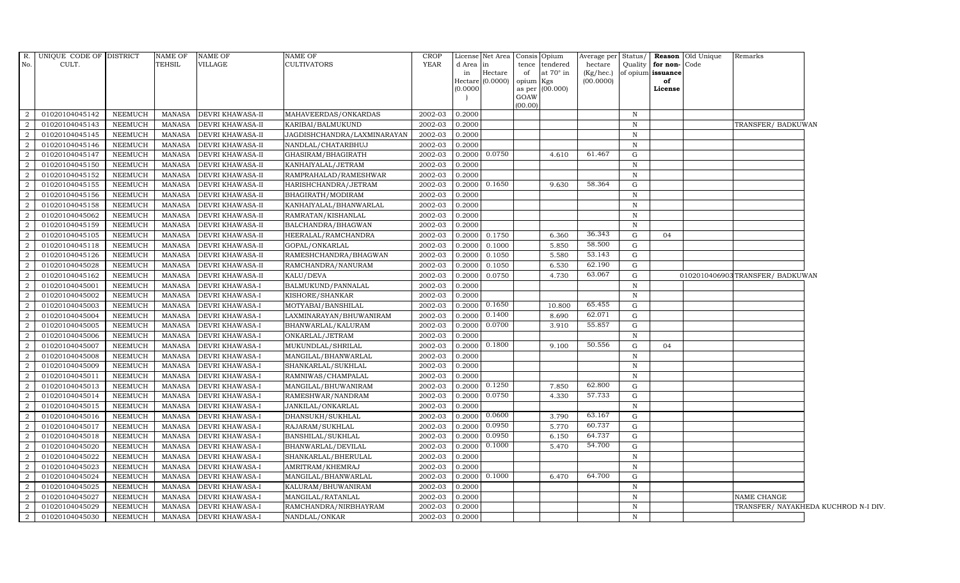|                | R. UNIQUE CODE OF DISTRICT |                | NAME OF       | <b>NAME OF</b>          | NAME OF                     | <b>CROP</b> |           | License Net Area   Consis   Opium |           |                 | Average per Status/ |              |                   | <b>Reason</b> Old Unique | Remarks                              |
|----------------|----------------------------|----------------|---------------|-------------------------|-----------------------------|-------------|-----------|-----------------------------------|-----------|-----------------|---------------------|--------------|-------------------|--------------------------|--------------------------------------|
| No.            | CULT.                      |                | TEHSIL        | VILLAGE                 | <b>CULTIVATORS</b>          | YEAR        | d Area in |                                   | tence     | tendered        | hectare             | Quality      | for non-Code      |                          |                                      |
|                |                            |                |               |                         |                             |             | in        | Hectare                           | of        | at 70° in       | (Kg/hec.)           |              | of opium issuance |                          |                                      |
|                |                            |                |               |                         |                             |             | (0.0000)  | Hectare (0.0000)                  | opium Kgs | as per (00.000) | (00.0000)           |              | of<br>License     |                          |                                      |
|                |                            |                |               |                         |                             |             |           |                                   | GOAW      |                 |                     |              |                   |                          |                                      |
|                |                            |                |               |                         |                             |             |           |                                   | (00.00)   |                 |                     |              |                   |                          |                                      |
| 2              | 01020104045142             | <b>NEEMUCH</b> |               | MANASA DEVRI KHAWASA-II | MAHAVEERDAS/ONKARDAS        | 2002-03     | 0.2000    |                                   |           |                 |                     | $\mathbf N$  |                   |                          |                                      |
| 2              | 01020104045143             | <b>NEEMUCH</b> | <b>MANASA</b> | <b>DEVRI KHAWASA-II</b> | KARIBAI/BALMUKUND           | 2002-03     | 0.2000    |                                   |           |                 |                     | $\mathbb N$  |                   |                          | TRANSFER/ BADKUWAN                   |
| 2              | 01020104045145             | <b>NEEMUCH</b> | MANASA        | DEVRI KHAWASA-II        | JAGDISHCHANDRA/LAXMINARAYAN | 2002-03     | 0.2000    |                                   |           |                 |                     | N            |                   |                          |                                      |
| $\overline{2}$ | 01020104045146             | <b>NEEMUCH</b> | MANASA        | <b>DEVRI KHAWASA-II</b> | NANDLAL/CHATARBHUJ          | 2002-03     | 0.2000    |                                   |           |                 |                     | $\,$ N       |                   |                          |                                      |
| 2              | 01020104045147             | NEEMUCH        | MANASA        | <b>DEVRI KHAWASA-II</b> | GHASIRAM/BHAGIRATH          | 2002-03     | 0.2000    | 0.0750                            |           | 4.610           | 61.467              | G            |                   |                          |                                      |
| 2              | 01020104045150             | <b>NEEMUCH</b> | MANASA        | <b>DEVRI KHAWASA-II</b> | KANHAIYALAL/JETRAM          | 2002-03     | 0.2000    |                                   |           |                 |                     | $\mathbb N$  |                   |                          |                                      |
| 2              | 01020104045152             | <b>NEEMUCH</b> | MANASA        | <b>DEVRI KHAWASA-II</b> | RAMPRAHALAD/RAMESHWAR       | 2002-03     | 0.2000    |                                   |           |                 |                     | $\,$ N       |                   |                          |                                      |
| $\overline{2}$ | 01020104045155             | <b>NEEMUCH</b> | <b>MANASA</b> | DEVRI KHAWASA-II        | HARISHCHANDRA/JETRAM        | 2002-03     | 0.2000    | 0.1650                            |           | 9.630           | 58.364              | G            |                   |                          |                                      |
| $\overline{2}$ | 01020104045156             | <b>NEEMUCH</b> | MANASA        | <b>DEVRI KHAWASA-II</b> | BHAGIRATH/MODIRAM           | 2002-03     | 0.2000    |                                   |           |                 |                     | $\,$ N       |                   |                          |                                      |
| $\overline{2}$ | 01020104045158             | <b>NEEMUCH</b> | MANASA        | <b>DEVRI KHAWASA-II</b> | KANHAIYALAL/BHANWARLAL      | 2002-03     | 0.2000    |                                   |           |                 |                     | $\,$ N       |                   |                          |                                      |
| $\overline{2}$ | 01020104045062             | <b>NEEMUCH</b> | MANASA        | <b>DEVRI KHAWASA-II</b> | RAMRATAN/KISHANLAL          | 2002-03     | 0.2000    |                                   |           |                 |                     | $\,$ N       |                   |                          |                                      |
| 2              | 01020104045159             | NEEMUCH        | MANASA        | <b>DEVRI KHAWASA-II</b> | BALCHANDRA/BHAGWAN          | 2002-03     | 0.2000    |                                   |           |                 |                     | N            |                   |                          |                                      |
| 2              | 01020104045105             | <b>NEEMUCH</b> | <b>MANASA</b> | <b>DEVRI KHAWASA-II</b> | HEERALAL/RAMCHANDRA         | 2002-03     | 0.2000    | 0.1750                            |           | 6.360           | 36.343              | G            | 04                |                          |                                      |
| 2              | 01020104045118             | <b>NEEMUCH</b> | MANASA        | <b>DEVRI KHAWASA-II</b> | GOPAL/ONKARLAL              | 2002-03     | 0.2000    | 0.1000                            |           | 5.850           | 58.500              | G            |                   |                          |                                      |
| $\overline{2}$ | 01020104045126             | NEEMUCH        | MANASA        | <b>DEVRI KHAWASA-II</b> | RAMESHCHANDRA/BHAGWAN       | 2002-03     | 0.2000    | 0.1050                            |           | 5.580           | 53.143              | G            |                   |                          |                                      |
| 2              | 01020104045028             | <b>NEEMUCH</b> | MANASA        | <b>DEVRI KHAWASA-II</b> | RAMCHANDRA/NANURAM          | 2002-03     | 0.2000    | 0.1050                            |           | 6.530           | 62.190              | G            |                   |                          |                                      |
| $\overline{2}$ | 01020104045162             | <b>NEEMUCH</b> | MANASA        | <b>DEVRI KHAWASA-II</b> | KALU/DEVA                   | 2002-03     | 0.2000    | 0.0750                            |           | 4.730           | 63.067              | G            |                   |                          | 0102010406903TRANSFER/BADKUWAN       |
| 2              | 01020104045001             | <b>NEEMUCH</b> | MANASA        | <b>DEVRI KHAWASA-I</b>  | BALMUKUND/PANNALAL          | 2002-03     | 0.2000    |                                   |           |                 |                     | $\,$ N       |                   |                          |                                      |
| $\overline{2}$ | 01020104045002             | <b>NEEMUCH</b> | <b>MANASA</b> | <b>DEVRI KHAWASA-I</b>  | KISHORE/SHANKAR             | 2002-03     | 0.2000    |                                   |           |                 |                     | $\mathbb N$  |                   |                          |                                      |
| $\overline{2}$ | 01020104045003             | <b>NEEMUCH</b> | <b>MANASA</b> | DEVRI KHAWASA-I         | MOTYABAI/BANSHILAL          | 2002-03     | 0.2000    | 0.1650                            |           | 10.800          | 65.455              | G            |                   |                          |                                      |
| $\overline{2}$ | 01020104045004             | <b>NEEMUCH</b> | MANASA        | <b>DEVRI KHAWASA-I</b>  | LAXMINARAYAN/BHUWANIRAM     | 2002-03     | 0.2000    | 0.1400                            |           | 8.690           | 62.071              | G            |                   |                          |                                      |
| 2              | 01020104045005             | NEEMUCH        | MANASA        | <b>DEVRI KHAWASA-I</b>  | BHANWARLAL/KALURAM          | 2002-03     | 0.2000    | 0.0700                            |           | 3.910           | 55.857              | G            |                   |                          |                                      |
| 2              | 01020104045006             | <b>NEEMUCH</b> | MANASA        | <b>DEVRI KHAWASA-I</b>  | ONKARLAL/JETRAM             | 2002-03     | 0.2000    |                                   |           |                 |                     | N            |                   |                          |                                      |
| $\overline{2}$ | 01020104045007             | <b>NEEMUCH</b> | MANASA        | <b>DEVRI KHAWASA-I</b>  | MUKUNDLAL/SHRILAL           | 2002-03     | 0.2000    | 0.1800                            |           | 9.100           | 50.556              | G            | 04                |                          |                                      |
| $\overline{2}$ | 01020104045008             | <b>NEEMUCH</b> | <b>MANASA</b> | DEVRI KHAWASA-I         | MANGILAL/BHANWARLAL         | 2002-03     | 0.2000    |                                   |           |                 |                     | $\,$ N       |                   |                          |                                      |
| 2              | 01020104045009             | <b>NEEMUCH</b> | MANASA        | DEVRI KHAWASA-I         | SHANKARLAL/SUKHLAL          | 2002-03     | 0.2000    |                                   |           |                 |                     | $\, {\bf N}$ |                   |                          |                                      |
| 2              | 01020104045011             | <b>NEEMUCH</b> | MANASA        | <b>DEVRI KHAWASA-I</b>  | RAMNIWAS/CHAMPALAL          | 2002-03     | 0.2000    |                                   |           |                 |                     | $\,$ N       |                   |                          |                                      |
| $\overline{2}$ | 01020104045013             | NEEMUCH        | MANASA        | <b>DEVRI KHAWASA-I</b>  | MANGILAL/BHUWANIRAM         | 2002-03     | 0.2000    | 0.1250                            |           | 7.850           | 62.800              | G            |                   |                          |                                      |
| 2              | 01020104045014             | NEEMUCH        | MANASA        | <b>DEVRI KHAWASA-I</b>  | RAMESHWAR/NANDRAM           | 2002-03     | 0.2000    | 0.0750                            |           | 4.330           | 57.733              | G            |                   |                          |                                      |
| $\overline{a}$ | 01020104045015             | <b>NEEMUCH</b> | <b>MANASA</b> | DEVRI KHAWASA-I         | JANKILAL/ONKARLAL           | 2002-03     | 0.2000    |                                   |           |                 |                     | $\,$ N       |                   |                          |                                      |
| $\overline{2}$ | 01020104045016             | <b>NEEMUCH</b> | MANASA        | <b>DEVRI KHAWASA-I</b>  | DHANSUKH/SUKHLAL            | 2002-03     |           | 0.2000 0.0600                     |           | 3.790           | 63.167              | G            |                   |                          |                                      |
| $\overline{2}$ | 01020104045017             | NEEMUCH        | MANASA        | <b>DEVRI KHAWASA-I</b>  | RAJARAM/SUKHLAL             | 2002-03     | 0.2000    | 0.0950                            |           | 5.770           | 60.737              | G            |                   |                          |                                      |
| 2              | 01020104045018             | <b>NEEMUCH</b> | MANASA        | <b>DEVRI KHAWASA-I</b>  | <b>BANSHILAL/SUKHLAL</b>    | 2002-03     | 0.2000    | 0.0950                            |           | 6.150           | 64.737              | G            |                   |                          |                                      |
| 2              | 01020104045020             | <b>NEEMUCH</b> | MANASA        | <b>DEVRI KHAWASA-I</b>  | BHANWARLAL/DEVILAL          | 2002-03     | 0.2000    | 0.1000                            |           | 5.470           | 54.700              | G            |                   |                          |                                      |
| 2              | 01020104045022             | <b>NEEMUCH</b> | <b>MANASA</b> | DEVRI KHAWASA-I         | SHANKARLAL/BHERULAL         | 2002-03     | 0.2000    |                                   |           |                 |                     | N            |                   |                          |                                      |
| 2              | 01020104045023             | <b>NEEMUCH</b> | <b>MANASA</b> | <b>DEVRI KHAWASA-I</b>  | AMRITRAM/KHEMRAJ            | 2002-03     | 0.2000    |                                   |           |                 |                     | $\, {\bf N}$ |                   |                          |                                      |
| 2              | 01020104045024             | <b>NEEMUCH</b> | MANASA        | <b>DEVRI KHAWASA-I</b>  | MANGILAL/BHANWARLAL         | 2002-03     | 0.2000    | 0.1000                            |           | 6.470           | 64.700              | G            |                   |                          |                                      |
| $\overline{2}$ | 01020104045025             | <b>NEEMUCH</b> | MANASA        | <b>DEVRI KHAWASA-I</b>  | KALURAM/BHUWANIRAM          | 2002-03     | 0.2000    |                                   |           |                 |                     | $\mathbb N$  |                   |                          |                                      |
| 2              | 01020104045027             | <b>NEEMUCH</b> | MANASA        | <b>DEVRI KHAWASA-I</b>  | MANGILAL/RATANLAL           | 2002-03     | 0.2000    |                                   |           |                 |                     | N            |                   |                          | NAME CHANGE                          |
| 2              | 01020104045029             | <b>NEEMUCH</b> | MANASA        | <b>DEVRI KHAWASA-I</b>  | RAMCHANDRA/NIRBHAYRAM       | 2002-03     | 0.2000    |                                   |           |                 |                     | $\,$ N       |                   |                          | TRANSFER/ NAYAKHEDA KUCHROD N-I DIV. |
| $\overline{a}$ | 01020104045030             | <b>NEEMUCH</b> | MANASA        | <b>DEVRI KHAWASA-I</b>  | NANDLAL/ONKAR               | 2002-03     | 0.2000    |                                   |           |                 |                     | N            |                   |                          |                                      |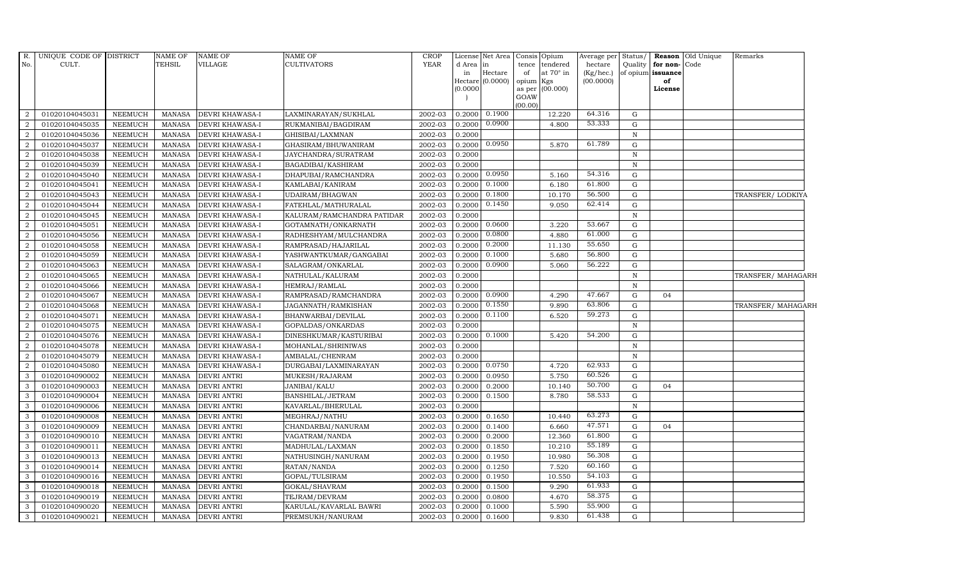| $R_{\cdot}$    | UNIQUE CODE OF DISTRICT |                | NAME OF       | <b>NAME OF</b>         | NAME OF                    | CROP        |          | License Net Area            | Consis Opium    |                  | Average per            | Status/      |                         | Reason Old Unique | Remarks            |
|----------------|-------------------------|----------------|---------------|------------------------|----------------------------|-------------|----------|-----------------------------|-----------------|------------------|------------------------|--------------|-------------------------|-------------------|--------------------|
| No.            | CULT.                   |                | <b>TEHSIL</b> | VILLAGE                | CULTIVATORS                | <b>YEAR</b> | d Area   | in                          | tence           | tendered         | hectare                | Quality      | for non-Code            |                   |                    |
|                |                         |                |               |                        |                            |             | in       | Hectare<br>Hectare (0.0000) | of<br>opium Kgs | at $70^\circ$ in | (Kg/hec.)<br>(00.0000) |              | of opium issuance<br>of |                   |                    |
|                |                         |                |               |                        |                            |             | (0.0000) |                             |                 | as per (00.000)  |                        |              | License                 |                   |                    |
|                |                         |                |               |                        |                            |             |          |                             | GOAW            |                  |                        |              |                         |                   |                    |
|                |                         |                |               |                        |                            |             |          |                             | (00.00)         |                  |                        |              |                         |                   |                    |
| $\overline{2}$ | 01020104045031          | <b>NEEMUCH</b> | <b>MANASA</b> | <b>DEVRI KHAWASA-I</b> | LAXMINARAYAN/SUKHLAL       | 2002-03     | 0.2000   | 0.1900                      |                 | 12.220           | 64.316                 | G            |                         |                   |                    |
| $\overline{2}$ | 01020104045035          | <b>NEEMUCH</b> | <b>MANASA</b> | DEVRI KHAWASA-I        | RUKMANIBAI/BAGDIRAM        | 2002-03     | 0.2000   | 0.0900                      |                 | 4.800            | 53.333                 | G            |                         |                   |                    |
| 2              | 01020104045036          | <b>NEEMUCH</b> | <b>MANASA</b> | <b>DEVRI KHAWASA-I</b> | GHISIBAI/LAXMNAN           | 2002-03     | 0.2000   |                             |                 |                  |                        | N            |                         |                   |                    |
| $\overline{2}$ | 01020104045037          | <b>NEEMUCH</b> | <b>MANASA</b> | <b>DEVRI KHAWASA-I</b> | GHASIRAM/BHUWANIRAM        | 2002-03     | 0.2000   | 0.0950                      |                 | 5.870            | 61.789                 | G            |                         |                   |                    |
| 2              | 01020104045038          | <b>NEEMUCH</b> | <b>MANASA</b> | DEVRI KHAWASA-I        | JAYCHANDRA/SURATRAM        | 2002-03     | 0.2000   |                             |                 |                  |                        | $\, {\bf N}$ |                         |                   |                    |
| 2              | 01020104045039          | <b>NEEMUCH</b> | <b>MANASA</b> | DEVRI KHAWASA-I        | BAGADIBAI/KASHIRAM         | 2002-03     | 0.2000   |                             |                 |                  |                        | $\mathbb N$  |                         |                   |                    |
| $\overline{2}$ | 01020104045040          | <b>NEEMUCH</b> | <b>MANASA</b> | DEVRI KHAWASA-I        | DHAPUBAI/RAMCHANDRA        | 2002-03     | 0.2000   | 0.0950                      |                 | 5.160            | 54.316                 | G            |                         |                   |                    |
| 2              | 01020104045041          | <b>NEEMUCH</b> | <b>MANASA</b> | DEVRI KHAWASA-I        | KAMLABAI/KANIRAM           | 2002-03     | 0.2000   | 0.1000                      |                 | 6.180            | 61.800                 | G            |                         |                   |                    |
| 2              | 01020104045043          | <b>NEEMUCH</b> | <b>MANASA</b> | DEVRI KHAWASA-I        | UDAIRAM/BHAGWAN            | 2002-03     | 0.2000   | 0.1800                      |                 | 10.170           | 56.500                 | G            |                         |                   | TRANSFER/ LODKIYA  |
| $\overline{a}$ | 01020104045044          | <b>NEEMUCH</b> | <b>MANASA</b> | DEVRI KHAWASA-I        | FATEHLAL/MATHURALAL        | 2002-03     | 0.2000   | 0.1450                      |                 | 9.050            | 62.414                 | ${\rm G}$    |                         |                   |                    |
| 2              | 01020104045045          | <b>NEEMUCH</b> | <b>MANASA</b> | <b>DEVRI KHAWASA-I</b> | KALURAM/RAMCHANDRA PATIDAR | 2002-03     | 0.2000   |                             |                 |                  |                        | $\mathbb N$  |                         |                   |                    |
| $\overline{a}$ | 01020104045051          | <b>NEEMUCH</b> | <b>MANASA</b> | DEVRI KHAWASA-I        | GOTAMNATH/ONKARNATH        | 2002-03     | 0.2000   | 0.0600                      |                 | 3.220            | 53.667                 | G            |                         |                   |                    |
| 2              | 01020104045056          | <b>NEEMUCH</b> | <b>MANASA</b> | <b>DEVRI KHAWASA-I</b> | RADHESHYAM/MULCHANDRA      | 2002-03     | 0.2000   | 0.0800                      |                 | 4.880            | 61.000                 | G            |                         |                   |                    |
| $\overline{a}$ | 01020104045058          | <b>NEEMUCH</b> | <b>MANASA</b> | <b>DEVRI KHAWASA-I</b> | RAMPRASAD/HAJARILAL        | 2002-03     | 0.2000   | 0.2000                      |                 | 11.130           | 55.650                 | G            |                         |                   |                    |
| $\overline{a}$ | 01020104045059          | NEEMUCH        | <b>MANASA</b> | DEVRI KHAWASA-I        | YASHWANTKUMAR/GANGABAI     | 2002-03     | 0.2000   | 0.1000                      |                 | 5.680            | 56.800                 | ${\rm G}$    |                         |                   |                    |
| 2              | 01020104045063          | <b>NEEMUCH</b> | <b>MANASA</b> | DEVRI KHAWASA-I        | SALAGRAM/ONKARLAL          | 2002-03     | 0.2000   | 0.0900                      |                 | 5.060            | 56.222                 | G            |                         |                   |                    |
| $\overline{2}$ | 01020104045065          | <b>NEEMUCH</b> | <b>MANASA</b> | DEVRI KHAWASA-I        | NATHULAL/KALURAM           | 2002-03     | 0.2000   |                             |                 |                  |                        | $\, {\bf N}$ |                         |                   | TRANSFER/ MAHAGARH |
| 2              | 01020104045066          | <b>NEEMUCH</b> | <b>MANASA</b> | DEVRI KHAWASA-I        | HEMRAJ/RAMLAL              | 2002-03     | 0.2000   |                             |                 |                  |                        | $\mathbb N$  |                         |                   |                    |
| 2              | 01020104045067          | <b>NEEMUCH</b> | <b>MANASA</b> | <b>DEVRI KHAWASA-I</b> | RAMPRASAD/RAMCHANDRA       | 2002-03     | 0.2000   | 0.0900                      |                 | 4.290            | 47.667                 | G            | 04                      |                   |                    |
| $\overline{2}$ | 01020104045068          | <b>NEEMUCH</b> | <b>MANASA</b> | DEVRI KHAWASA-I        | JAGANNATH/RAMKISHAN        | 2002-03     | 0.2000   | 0.1550                      |                 | 9.890            | 63.806                 | G            |                         |                   | TRANSFER/MAHAGARH  |
| 2              | 01020104045071          | <b>NEEMUCH</b> | <b>MANASA</b> | <b>DEVRI KHAWASA-I</b> | BHANWARBAI/DEVILAL         | 2002-03     | 0.2000   | 0.1100                      |                 | 6.520            | 59.273                 | G            |                         |                   |                    |
| 2              | 01020104045075          | <b>NEEMUCH</b> | <b>MANASA</b> | DEVRI KHAWASA-I        | GOPALDAS/ONKARDAS          | 2002-03     | 0.2000   |                             |                 |                  |                        | $\, {\bf N}$ |                         |                   |                    |
| $\overline{2}$ | 01020104045076          | <b>NEEMUCH</b> | <b>MANASA</b> | DEVRI KHAWASA-I        | DINESHKUMAR/KASTURIBAI     | 2002-03     | 0.2000   | 0.1000                      |                 | 5.420            | 54.200                 | G            |                         |                   |                    |
| 2              | 01020104045078          | <b>NEEMUCH</b> | <b>MANASA</b> | <b>DEVRI KHAWASA-I</b> | MOHANLAL/SHRINIWAS         | 2002-03     | 0.2000   |                             |                 |                  |                        | $\mathbb N$  |                         |                   |                    |
| $\overline{2}$ | 01020104045079          | NEEMUCH        | <b>MANASA</b> | DEVRI KHAWASA-I        | AMBALAL/CHENRAM            | 2002-03     | 0.2000   |                             |                 |                  |                        | $\, {\bf N}$ |                         |                   |                    |
| 2              | 01020104045080          | <b>NEEMUCH</b> | <b>MANASA</b> | DEVRI KHAWASA-I        | DURGABAI/LAXMINARAYAN      | 2002-03     | 0.2000   | 0.0750                      |                 | 4.720            | 62.933                 | G            |                         |                   |                    |
| $\mathbf{3}$   | 01020104090002          | <b>NEEMUCH</b> | <b>MANASA</b> | <b>DEVRI ANTRI</b>     | MUKESH/RAJARAM             | 2002-03     | 0.2000   | 0.0950                      |                 | 5.750            | 60.526                 | G            |                         |                   |                    |
| $\mathbf{3}$   | 01020104090003          | <b>NEEMUCH</b> | <b>MANASA</b> | DEVRI ANTRI            | JANIBAI/KALU               | 2002-03     | 0.2000   | 0.2000                      |                 | 10.140           | 50.700                 | G            | 04                      |                   |                    |
| 3              | 01020104090004          | <b>NEEMUCH</b> | <b>MANASA</b> | <b>DEVRI ANTRI</b>     | <b>BANSHILAL/JETRAM</b>    | 2002-03     | 0.2000   | 0.1500                      |                 | 8.780            | 58.533                 | G            |                         |                   |                    |
| 3              | 01020104090006          | NEEMUCH        | <b>MANASA</b> | <b>DEVRI ANTRI</b>     | KAVARLAL/BHERULAL          | 2002-03     | 0.2000   |                             |                 |                  |                        | $\mathbf N$  |                         |                   |                    |
| $\mathbf{3}$   | 01020104090008          | <b>NEEMUCH</b> | <b>MANASA</b> | <b>DEVRI ANTRI</b>     | MEGHRAJ/NATHU              | 2002-03     | 0.2000   | 0.1650                      |                 | 10.440           | 63.273                 | G            |                         |                   |                    |
| $\mathbf{3}$   | 01020104090009          | <b>NEEMUCH</b> | <b>MANASA</b> | <b>DEVRI ANTRI</b>     | CHANDARBAI/NANURAM         | 2002-03     | 0.2000   | 0.1400                      |                 | 6.660            | 47.571                 | G            | 04                      |                   |                    |
| $\mathbf{3}$   | 01020104090010          | <b>NEEMUCH</b> | <b>MANASA</b> | <b>DEVRI ANTRI</b>     | VAGATRAM/NANDA             | 2002-03     | 0.2000   | 0.2000                      |                 | 12.360           | 61.800                 | G            |                         |                   |                    |
| $\mathbf{3}$   | 01020104090011          | <b>NEEMUCH</b> | <b>MANASA</b> | <b>DEVRI ANTRI</b>     | MADHULAL/LAXMAN            | 2002-03     | 0.2000   | 0.1850                      |                 | 10.210           | 55.189                 | G            |                         |                   |                    |
| 3              | 01020104090013          | <b>NEEMUCH</b> | <b>MANASA</b> | <b>DEVRI ANTRI</b>     | NATHUSINGH/NANURAM         | 2002-03     | 0.2000   | 0.1950                      |                 | 10.980           | 56.308                 | G            |                         |                   |                    |
| $\mathbf{3}$   | 01020104090014          | <b>NEEMUCH</b> | <b>MANASA</b> | DEVRI ANTRI            | RATAN/NANDA                | 2002-03     | 0.2000   | 0.1250                      |                 | 7.520            | 60.160                 | G            |                         |                   |                    |
| 3              | 01020104090016          | <b>NEEMUCH</b> | <b>MANASA</b> | <b>DEVRI ANTRI</b>     | GOPAL/TULSIRAM             | 2002-03     | 0.2000   | 0.1950                      |                 | 10.550           | 54.103                 | G            |                         |                   |                    |
| $\mathbf{3}$   | 01020104090018          | <b>NEEMUCH</b> | <b>MANASA</b> | <b>DEVRI ANTRI</b>     | GOKAL/SHAVRAM              | 2002-03     | 0.2000   | 0.1500                      |                 | 9.290            | 61.933                 | G            |                         |                   |                    |
| 3              | 01020104090019          | <b>NEEMUCH</b> | <b>MANASA</b> | <b>DEVRI ANTRI</b>     | TEJRAM/DEVRAM              | 2002-03     | 0.2000   | 0.0800                      |                 | 4.670            | 58.375                 | G            |                         |                   |                    |
| 3              | 01020104090020          | <b>NEEMUCH</b> | <b>MANASA</b> | <b>DEVRI ANTRI</b>     | KARULAL/KAVARLAL BAWRI     | 2002-03     | 0.2000   | 0.1000                      |                 | 5.590            | 55.900                 | G            |                         |                   |                    |
| 3              | 01020104090021          | <b>NEEMUCH</b> | MANASA        | <b>DEVRI ANTRI</b>     | PREMSUKH/NANURAM           | 2002-03     | 0.2000   | 0.1600                      |                 | 9.830            | 61.438                 | G            |                         |                   |                    |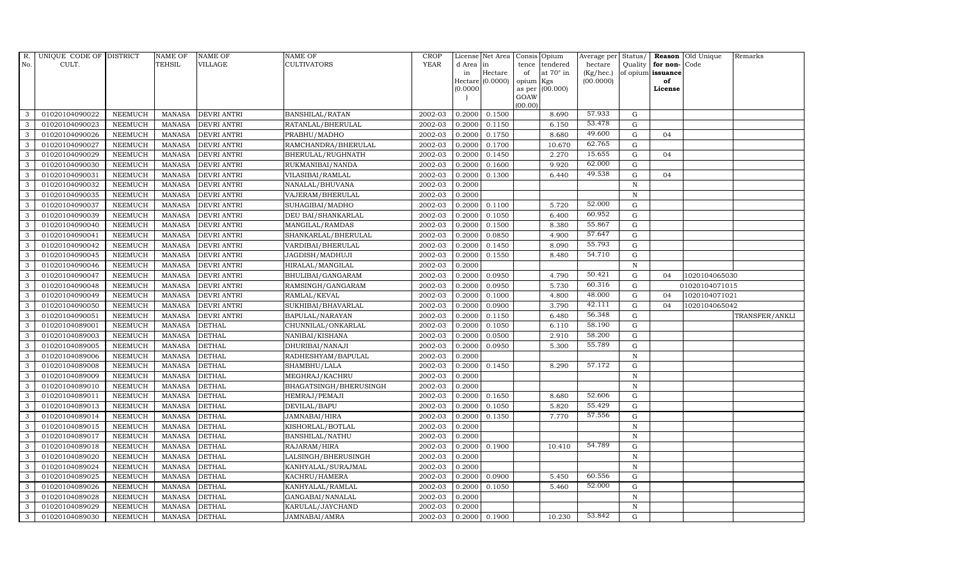| R.  | UNIQUE CODE OF DISTRICT |                | <b>NAME OF</b> | <b>NAME OF</b>     | NAME OF                | <b>CROP</b> |           | License Net Area   |                | Consis Opium     | Average per Status/ |              |                   | Reason Old Unique | Remarks        |
|-----|-------------------------|----------------|----------------|--------------------|------------------------|-------------|-----------|--------------------|----------------|------------------|---------------------|--------------|-------------------|-------------------|----------------|
| No. | CULT.                   |                | <b>TEHSIL</b>  | <b>VILLAGE</b>     | <b>CULTIVATORS</b>     | <b>YEAR</b> | d Area in |                    | tence          | tendered         | hectare             |              | Quality for non-  | Code              |                |
|     |                         |                |                |                    |                        |             | in        | Hectare            | of             | at $70^\circ$ in | (Kg/hec.)           |              | of opium issuance |                   |                |
|     |                         |                |                |                    |                        |             | (0.0000)  | Hectare $(0.0000)$ | opium          | Kgs<br>(00.000)  | (00.0000)           |              | of<br>License     |                   |                |
|     |                         |                |                |                    |                        |             |           |                    | as per<br>GOAW |                  |                     |              |                   |                   |                |
|     |                         |                |                |                    |                        |             |           |                    | (00.00)        |                  |                     |              |                   |                   |                |
| 3   | 01020104090022          | <b>NEEMUCH</b> | MANASA         | <b>DEVRI ANTRI</b> | <b>BANSHILAL/RATAN</b> | 2002-03     | 0.2000    | 0.1500             |                | 8.690            | 57.933              | G            |                   |                   |                |
| 3   | 01020104090023          | <b>NEEMUCH</b> | <b>MANASA</b>  | <b>DEVRI ANTRI</b> | RATANLAL/BHERULAL      | 2002-03     | 0.2000    | 0.1150             |                | 6.150            | 53.478              | $\mathbf G$  |                   |                   |                |
| 3   | 01020104090026          | <b>NEEMUCH</b> | <b>MANASA</b>  | <b>DEVRI ANTRI</b> | PRABHU/MADHO           | 2002-03     | 0.2000    | 0.1750             |                | 8.680            | 49.600              | G            | 04                |                   |                |
| 3   | 01020104090027          | <b>NEEMUCH</b> | <b>MANASA</b>  | <b>DEVRI ANTRI</b> | RAMCHANDRA/BHERULAL    | 2002-03     | 0.2000    | 0.1700             |                | 10.670           | 62.765              | G            |                   |                   |                |
| 3   | 01020104090029          | <b>NEEMUCH</b> | <b>MANASA</b>  | <b>DEVRI ANTRI</b> | BHERULAL/RUGHNATH      | 2002-03     | 0.2000    | 0.1450             |                | 2.270            | 15.655              | G            | 04                |                   |                |
| 3   | 01020104090030          | <b>NEEMUCH</b> | <b>MANASA</b>  | <b>DEVRI ANTRI</b> | RUKMANIBAI/NANDA       | 2002-03     | 0.2000    | 0.1600             |                | 9.920            | 62.000              | G            |                   |                   |                |
| 3   | 01020104090031          | <b>NEEMUCH</b> | <b>MANASA</b>  | <b>DEVRI ANTRI</b> | VILASIBAI/RAMLAL       | 2002-03     | 0.2000    | 0.1300             |                | 6.440            | 49.538              | G            | 04                |                   |                |
| 3   | 01020104090032          | <b>NEEMUCH</b> | <b>MANASA</b>  | <b>DEVRI ANTRI</b> | NANALAL/BHUVANA        | 2002-03     | 0.2000    |                    |                |                  |                     | $\mathbf N$  |                   |                   |                |
| 3   | 01020104090035          | <b>NEEMUCH</b> | <b>MANASA</b>  | <b>DEVRI ANTRI</b> | VAJERAM/BHERULAL       | 2002-03     | 0.2000    |                    |                |                  |                     | N            |                   |                   |                |
| 3   | 01020104090037          | <b>NEEMUCH</b> | <b>MANASA</b>  | <b>DEVRI ANTRI</b> | SUHAGIBAI/MADHO        | 2002-03     | 0.2000    | 0.1100             |                | 5.720            | 52.000              | G            |                   |                   |                |
| 3   | 01020104090039          | <b>NEEMUCH</b> | <b>MANASA</b>  | <b>DEVRI ANTRI</b> | DEU BAI/SHANKARLAL     | 2002-03     | 0.2000    | 0.1050             |                | 6.400            | 60.952              | G            |                   |                   |                |
| 3   | 01020104090040          | <b>NEEMUCH</b> | <b>MANASA</b>  | <b>DEVRI ANTRI</b> | MANGILAL/RAMDAS        | 2002-03     | 0.2000    | 0.1500             |                | 8.380            | 55.867              | G            |                   |                   |                |
| 3   | 01020104090041          | <b>NEEMUCH</b> | <b>MANASA</b>  | <b>DEVRI ANTRI</b> | SHANKARLAL/BHERULAL    | 2002-03     | 0.2000    | 0.0850             |                | 4.900            | 57.647              | $\mathbf G$  |                   |                   |                |
| 3   | 01020104090042          | <b>NEEMUCH</b> | <b>MANASA</b>  | <b>DEVRI ANTRI</b> | VARDIBAI/BHERULAL      | 2002-03     | 0.2000    | 0.1450             |                | 8.090            | 55.793              | G            |                   |                   |                |
| 3   | 01020104090045          | <b>NEEMUCH</b> | <b>MANASA</b>  | <b>DEVRI ANTRI</b> | JAGDISH/MADHUJI        | 2002-03     | 0.2000    | 0.1550             |                | 8.480            | 54.710              | G            |                   |                   |                |
| 3   | 01020104090046          | <b>NEEMUCH</b> | <b>MANASA</b>  | <b>DEVRI ANTRI</b> | HIRALAL/MANGILAL       | 2002-03     | 0.2000    |                    |                |                  |                     | $\mathbf N$  |                   |                   |                |
| 3   | 01020104090047          | <b>NEEMUCH</b> | <b>MANASA</b>  | <b>DEVRI ANTRI</b> | BHULIBAI/GANGARAM      | 2002-03     | 0.2000    | 0.0950             |                | 4.790            | 50.421              | G            | 04                | 1020104065030     |                |
| 3   | 01020104090048          | <b>NEEMUCH</b> | <b>MANASA</b>  | <b>DEVRI ANTRI</b> | RAMSINGH/GANGARAM      | 2002-03     | 0.2000    | 0.0950             |                | 5.730            | 60.316              | $\mathbf G$  |                   | 01020104071015    |                |
| 3   | 01020104090049          | <b>NEEMUCH</b> | <b>MANASA</b>  | <b>DEVRI ANTRI</b> | RAMLAL/KEVAL           | 2002-03     | 0.2000    | 0.1000             |                | 4.800            | 48.000              | $\mathbf G$  | 0 <sub>4</sub>    | 1020104071021     |                |
| 3   | 01020104090050          | <b>NEEMUCH</b> | <b>MANASA</b>  | <b>DEVRI ANTRI</b> | SUKHIBAI/BHAVARLAL     | 2002-03     | 0.2000    | 0.0900             |                | 3.790            | 42.111              | $\mathbf G$  | 0 <sub>4</sub>    | 1020104065042     |                |
| 3   | 01020104090051          | <b>NEEMUCH</b> | <b>MANASA</b>  | DEVRI ANTRI        | BAPULAL/NARAYAN        | 2002-03     | 0.2000    | 0.1150             |                | 6.480            | 56.348              | G            |                   |                   | TRANSFER/ANKLI |
| 3   | 01020104089001          | <b>NEEMUCH</b> | <b>MANASA</b>  | <b>DETHAL</b>      | CHUNNILAL/ONKARLAL     | 2002-03     | 0.2000    | 0.1050             |                | 6.110            | 58.190              | G            |                   |                   |                |
| 3   | 01020104089003          | <b>NEEMUCH</b> | <b>MANASA</b>  | <b>DETHAL</b>      | NANIBAI/KISHANA        | 2002-03     | 0.2000    | 0.0500             |                | 2.910            | 58.200              | G            |                   |                   |                |
| 3   | 01020104089005          | <b>NEEMUCH</b> | <b>MANASA</b>  | <b>DETHAL</b>      | DHURIBAI/NANAJI        | 2002-03     | 0.2000    | 0.0950             |                | 5.300            | 55.789              | $\mathbf G$  |                   |                   |                |
| 3   | 01020104089006          | <b>NEEMUCH</b> | <b>MANASA</b>  | <b>DETHAL</b>      | RADHESHYAM/BAPULAL     | 2002-03     | 0.2000    |                    |                |                  |                     | $\, {\bf N}$ |                   |                   |                |
| 3   | 01020104089008          | <b>NEEMUCH</b> | <b>MANASA</b>  | <b>DETHAL</b>      | SHAMBHU/LALA           | 2002-03     | 0.2000    | 0.1450             |                | 8.290            | 57.172              | G            |                   |                   |                |
| 3   | 01020104089009          | <b>NEEMUCH</b> | <b>MANASA</b>  | <b>DETHAL</b>      | MEGHRAJ/KACHRU         | 2002-03     | 0.2000    |                    |                |                  |                     | $\mathbf N$  |                   |                   |                |
| 3   | 01020104089010          | <b>NEEMUCH</b> | <b>MANASA</b>  | <b>DETHAL</b>      | BHAGATSINGH/BHERUSINGH | 2002-03     | 0.2000    |                    |                |                  |                     | N            |                   |                   |                |
| 3   | 01020104089011          | <b>NEEMUCH</b> | <b>MANASA</b>  | <b>DETHAL</b>      | HEMRAJ/PEMAJI          | 2002-03     | 0.2000    | 0.1650             |                | 8.680            | 52.606              | $\mathbf G$  |                   |                   |                |
| 3   | 01020104089013          | <b>NEEMUCH</b> | <b>MANASA</b>  | <b>DETHAL</b>      | DEVILAL/BAPU           | 2002-03     | 0.2000    | 0.1050             |                | 5.820            | 55.429              | G            |                   |                   |                |
| 3   | 01020104089014          | <b>NEEMUCH</b> | <b>MANASA</b>  | <b>DETHAL</b>      | JAMNABAI/HIRA          | 2002-03     | 0.2000    | 0.1350             |                | 7.770            | 57.556              | G            |                   |                   |                |
| 3   | 01020104089015          | <b>NEEMUCH</b> | <b>MANASA</b>  | <b>DETHAL</b>      | KISHORLAL/BOTLAL       | 2002-03     | 0.2000    |                    |                |                  |                     | $\mathbf N$  |                   |                   |                |
| 3   | 01020104089017          | <b>NEEMUCH</b> | <b>MANASA</b>  | <b>DETHAL</b>      | BANSHILAL/NATHU        | 2002-03     | 0.2000    |                    |                |                  |                     | $\, {\bf N}$ |                   |                   |                |
| 3   | 01020104089018          | <b>NEEMUCH</b> | <b>MANASA</b>  | <b>DETHAL</b>      | RAJARAM/HIRA           | 2002-03     | 0.2000    | 0.1900             |                | 10.410           | 54.789              | $\mathbf G$  |                   |                   |                |
| 3   | 01020104089020          | <b>NEEMUCH</b> | <b>MANASA</b>  | <b>DETHAL</b>      | LALSINGH/BHERUSINGH    | 2002-03     | 0.2000    |                    |                |                  |                     | $\mathbf N$  |                   |                   |                |
| 3   | 01020104089024          | <b>NEEMUCH</b> | <b>MANASA</b>  | <b>DETHAL</b>      | KANHYALAL/SURAJMAL     | 2002-03     | 0.2000    |                    |                |                  |                     | N            |                   |                   |                |
| 3   | 01020104089025          | <b>NEEMUCH</b> | <b>MANASA</b>  | <b>DETHAL</b>      | KACHRU/HAMERA          | 2002-03     | 0.2000    | 0.0900             |                | 5.450            | 60.556              | G            |                   |                   |                |
| 3   | 01020104089026          | <b>NEEMUCH</b> | <b>MANASA</b>  | <b>DETHAL</b>      | KANHYALAL/RAMLAL       | 2002-03     | 0.2000    | 0.1050             |                | 5.460            | 52.000              | G            |                   |                   |                |
| 3   | 01020104089028          | <b>NEEMUCH</b> | <b>MANASA</b>  | <b>DETHAL</b>      | GANGABAI/NANALAL       | 2002-03     | 0.2000    |                    |                |                  |                     | $\mathbf N$  |                   |                   |                |
| 3   | 01020104089029          | <b>NEEMUCH</b> | <b>MANASA</b>  | <b>DETHAL</b>      | KARULAL/JAYCHAND       | 2002-03     | 0.2000    |                    |                |                  |                     | $\mathbf N$  |                   |                   |                |
| 3   | 01020104089030          | <b>NEEMUCH</b> | MANASA         | <b>DETHAL</b>      | JAMNABAI/AMRA          | 2002-03     | 0.2000    | 0.1900             |                | 10.230           | 53.842              | G            |                   |                   |                |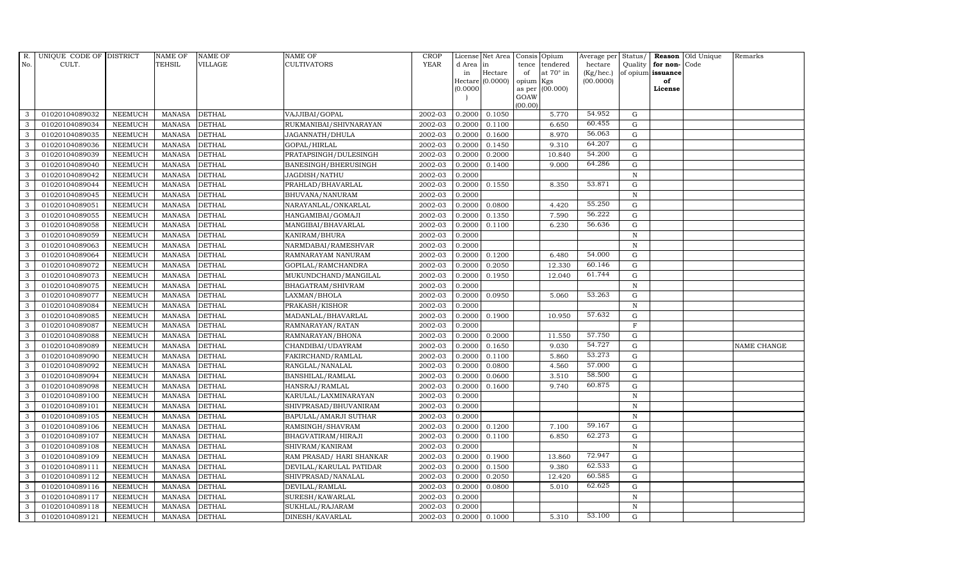| R.  | UNIQUE CODE OF DISTRICT |                | <b>NAME OF</b> | <b>NAME OF</b> | <b>NAME OF</b>           | <b>CROP</b> |           | License Net Area   |                 | Consis Opium     | Average per Status/ |                |                   | Reason Old Unique | Remarks     |
|-----|-------------------------|----------------|----------------|----------------|--------------------------|-------------|-----------|--------------------|-----------------|------------------|---------------------|----------------|-------------------|-------------------|-------------|
| No. | CULT.                   |                | <b>TEHSIL</b>  | <b>VILLAGE</b> | <b>CULTIVATORS</b>       | <b>YEAR</b> | d Area in |                    | tence           | tendered         | hectare             |                | Quality for non-  | Code              |             |
|     |                         |                |                |                |                          |             | in        | Hectare            | of              | at $70^\circ$ in | (Kg/hec.)           |                | of opium issuance |                   |             |
|     |                         |                |                |                |                          |             | (0.0000)  | Hectare $(0.0000)$ | opium<br>as per | Kgs<br>(00.000)  | (00.0000)           |                | of<br>License     |                   |             |
|     |                         |                |                |                |                          |             |           |                    | GOAW            |                  |                     |                |                   |                   |             |
|     |                         |                |                |                |                          |             |           |                    | (00.00)         |                  |                     |                |                   |                   |             |
| 3   | 01020104089032          | <b>NEEMUCH</b> | MANASA         | <b>DETHAL</b>  | VAJJIBAI/GOPAL           | 2002-03     | 0.2000    | 0.1050             |                 | 5.770            | 54.952              | G              |                   |                   |             |
| 3   | 01020104089034          | <b>NEEMUCH</b> | <b>MANASA</b>  | <b>DETHAL</b>  | RUKMANIBAI/SHIVNARAYAN   | 2002-03     | 0.2000    | 0.1100             |                 | 6.650            | 60.455              | G              |                   |                   |             |
| 3   | 01020104089035          | <b>NEEMUCH</b> | <b>MANASA</b>  | <b>DETHAL</b>  | JAGANNATH/DHULA          | 2002-03     | 0.2000    | 0.1600             |                 | 8.970            | 56.063              | G              |                   |                   |             |
| 3   | 01020104089036          | <b>NEEMUCH</b> | <b>MANASA</b>  | <b>DETHAL</b>  | GOPAL/HIRLAL             | 2002-03     | 0.2000    | 0.1450             |                 | 9.310            | 64.207              | $\mathbf G$    |                   |                   |             |
| 3   | 01020104089039          | <b>NEEMUCH</b> | <b>MANASA</b>  | <b>DETHAL</b>  | PRATAPSINGH/DULESINGH    | 2002-03     | 0.2000    | 0.2000             |                 | 10.840           | 54.200              | G              |                   |                   |             |
| 3   | 01020104089040          | <b>NEEMUCH</b> | <b>MANASA</b>  | <b>DETHAL</b>  | BANESINGH/BHERUSINGH     | 2002-03     | 0.2000    | 0.1400             |                 | 9.000            | 64.286              | G              |                   |                   |             |
| 3   | 01020104089042          | <b>NEEMUCH</b> | <b>MANASA</b>  | <b>DETHAL</b>  | JAGDISH/NATHU            | 2002-03     | 0.2000    |                    |                 |                  |                     | ${\bf N}$      |                   |                   |             |
| 3   | 01020104089044          | <b>NEEMUCH</b> | <b>MANASA</b>  | <b>DETHAL</b>  | PRAHLAD/BHAVARLAL        | 2002-03     | 0.2000    | 0.1550             |                 | 8.350            | 53.871              | G              |                   |                   |             |
| 3   | 01020104089045          | <b>NEEMUCH</b> | <b>MANASA</b>  | <b>DETHAL</b>  | BHUVANA/NANURAM          | 2002-03     | 0.2000    |                    |                 |                  |                     | $\mathbf N$    |                   |                   |             |
| 3   | 01020104089051          | <b>NEEMUCH</b> | <b>MANASA</b>  | <b>DETHAL</b>  | NARAYANLAL/ONKARLAL      | 2002-03     | 0.2000    | 0.0800             |                 | 4.420            | 55.250              | G              |                   |                   |             |
| 3   | 01020104089055          | <b>NEEMUCH</b> | <b>MANASA</b>  | <b>DETHAL</b>  | HANGAMIBAI/GOMAJI        | 2002-03     | 0.2000    | 0.1350             |                 | 7.590            | 56.222              | G              |                   |                   |             |
| 3   | 01020104089058          | <b>NEEMUCH</b> | <b>MANASA</b>  | <b>DETHAL</b>  | MANGIBAI/BHAVARLAL       | 2002-03     | 0.2000    | 0.1100             |                 | 6.230            | 56.636              | G              |                   |                   |             |
| 3   | 01020104089059          | <b>NEEMUCH</b> | <b>MANASA</b>  | <b>DETHAL</b>  | KANIRAM/BHURA            | 2002-03     | 0.2000    |                    |                 |                  |                     | $\mathbf N$    |                   |                   |             |
| 3   | 01020104089063          | <b>NEEMUCH</b> | <b>MANASA</b>  | <b>DETHAL</b>  | NARMDABAI/RAMESHVAR      | 2002-03     | 0.2000    |                    |                 |                  |                     | $\overline{N}$ |                   |                   |             |
| 3   | 01020104089064          | <b>NEEMUCH</b> | <b>MANASA</b>  | <b>DETHAL</b>  | RAMNARAYAM NANURAM       | 2002-03     | 0.2000    | 0.1200             |                 | 6.480            | 54.000              | G              |                   |                   |             |
| 3   | 01020104089072          | <b>NEEMUCH</b> | <b>MANASA</b>  | <b>DETHAL</b>  | GOPILAL/RAMCHANDRA       | 2002-03     | 0.2000    | 0.2050             |                 | 12.330           | 60.146              | G              |                   |                   |             |
| 3   | 01020104089073          | <b>NEEMUCH</b> | <b>MANASA</b>  | <b>DETHAL</b>  | MUKUNDCHAND/MANGILAL     | 2002-03     | 0.2000    | 0.1950             |                 | 12.040           | 61.744              | G              |                   |                   |             |
| 3   | 01020104089075          | <b>NEEMUCH</b> | <b>MANASA</b>  | <b>DETHAL</b>  | BHAGATRAM/SHIVRAM        | 2002-03     | 0.2000    |                    |                 |                  |                     | $\mathbf N$    |                   |                   |             |
| 3   | 01020104089077          | <b>NEEMUCH</b> | <b>MANASA</b>  | <b>DETHAL</b>  | LAXMAN/BHOLA             | 2002-03     | 0.2000    | 0.0950             |                 | 5.060            | 53.263              | G              |                   |                   |             |
| 3   | 01020104089084          | <b>NEEMUCH</b> | <b>MANASA</b>  | <b>DETHAL</b>  | PRAKASH/KISHOR           | 2002-03     | 0.2000    |                    |                 |                  |                     | $\mathbf N$    |                   |                   |             |
| 3   | 01020104089085          | <b>NEEMUCH</b> | <b>MANASA</b>  | <b>DETHAL</b>  | MADANLAL/BHAVARLAL       | 2002-03     | 0.2000    | 0.1900             |                 | 10.950           | 57.632              | G              |                   |                   |             |
| 3   | 01020104089087          | <b>NEEMUCH</b> | <b>MANASA</b>  | <b>DETHAL</b>  | RAMNARAYAN/RATAN         | 2002-03     | 0.2000    |                    |                 |                  |                     | $\mathbf F$    |                   |                   |             |
| 3   | 01020104089088          | <b>NEEMUCH</b> | <b>MANASA</b>  | <b>DETHAL</b>  | RAMNARAYAN/BHONA         | 2002-03     | 0.2000    | 0.2000             |                 | 11.550           | 57.750              | ${\rm G}$      |                   |                   |             |
| 3   | 01020104089089          | <b>NEEMUCH</b> | <b>MANASA</b>  | <b>DETHAL</b>  | CHANDIBAI/UDAYRAM        | 2002-03     | 0.2000    | 0.1650             |                 | 9.030            | 54.727              | G              |                   |                   | NAME CHANGE |
| 3   | 01020104089090          | <b>NEEMUCH</b> | <b>MANASA</b>  | <b>DETHAL</b>  | FAKIRCHAND/RAMLAL        | 2002-03     | 0.2000    | 0.1100             |                 | 5.860            | 53.273              | $\mathbf G$    |                   |                   |             |
| 3   | 01020104089092          | <b>NEEMUCH</b> | <b>MANASA</b>  | <b>DETHAL</b>  | RANGLAL/NANALAL          | 2002-03     | 0.2000    | 0.0800             |                 | 4.560            | 57.000              | G              |                   |                   |             |
| 3   | 01020104089094          | <b>NEEMUCH</b> | <b>MANASA</b>  | <b>DETHAL</b>  | BANSHILAL/RAMLAL         | 2002-03     | 0.2000    | 0.0600             |                 | 3.510            | 58.500              | G              |                   |                   |             |
| 3   | 01020104089098          | <b>NEEMUCH</b> | <b>MANASA</b>  | <b>DETHAL</b>  | HANSRAJ/RAMLAL           | 2002-03     | 0.2000    | 0.1600             |                 | 9.740            | 60.875              | G              |                   |                   |             |
| 3   | 01020104089100          | <b>NEEMUCH</b> | <b>MANASA</b>  | <b>DETHAL</b>  | KARULAL/LAXMINARAYAN     | 2002-03     | 0.2000    |                    |                 |                  |                     | N              |                   |                   |             |
| 3   | 01020104089101          | <b>NEEMUCH</b> | <b>MANASA</b>  | <b>DETHAL</b>  | SHIVPRASAD/BHUVANIRAM    | 2002-03     | 0.2000    |                    |                 |                  |                     | $\mathbf N$    |                   |                   |             |
| 3   | 01020104089105          | <b>NEEMUCH</b> | <b>MANASA</b>  | <b>DETHAL</b>  | BAPULAL/AMARJI SUTHAR    | 2002-03     | 0.2000    |                    |                 |                  |                     | $\mathbf N$    |                   |                   |             |
| 3   | 01020104089106          | <b>NEEMUCH</b> | <b>MANASA</b>  | <b>DETHAL</b>  | RAMSINGH/SHAVRAM         | 2002-03     | 0.2000    | 0.1200             |                 | 7.100            | 59.167              | G              |                   |                   |             |
| 3   | 01020104089107          | <b>NEEMUCH</b> | <b>MANASA</b>  | <b>DETHAL</b>  | BHAGVATIRAM/HIRAJI       | 2002-03     | 0.2000    | 0.1100             |                 | 6.850            | 62.273              | $\mathbf G$    |                   |                   |             |
| 3   | 01020104089108          | <b>NEEMUCH</b> | <b>MANASA</b>  | <b>DETHAL</b>  | SHIVRAM/KANIRAM          | 2002-03     | 0.2000    |                    |                 |                  |                     | N              |                   |                   |             |
| 3   | 01020104089109          | <b>NEEMUCH</b> | <b>MANASA</b>  | <b>DETHAL</b>  | RAM PRASAD/ HARI SHANKAR | 2002-03     | 0.2000    | 0.1900             |                 | 13.860           | 72.947              | G              |                   |                   |             |
| 3   | 01020104089111          | <b>NEEMUCH</b> | <b>MANASA</b>  | <b>DETHAL</b>  | DEVILAL/KARULAL PATIDAR  | 2002-03     | 0.2000    | 0.1500             |                 | 9.380            | 62.533              | G              |                   |                   |             |
| 3   | 01020104089112          | <b>NEEMUCH</b> | <b>MANASA</b>  | <b>DETHAL</b>  | SHIVPRASAD/NANALAL       | 2002-03     | 0.2000    | 0.2050             |                 | 12.420           | 60.585              | G              |                   |                   |             |
| 3   | 01020104089116          | <b>NEEMUCH</b> | <b>MANASA</b>  | <b>DETHAL</b>  | DEVILAL/RAMLAL           | 2002-03     | 0.2000    | 0.0800             |                 | 5.010            | 62.625              | $\mathbf G$    |                   |                   |             |
| 3   | 01020104089117          | <b>NEEMUCH</b> | <b>MANASA</b>  | <b>DETHAL</b>  | SURESH/KAWARLAL          | 2002-03     | 0.2000    |                    |                 |                  |                     | N              |                   |                   |             |
| 3   | 01020104089118          | <b>NEEMUCH</b> | <b>MANASA</b>  | <b>DETHAL</b>  | SUKHLAL/RAJARAM          | 2002-03     | 0.2000    |                    |                 |                  |                     | N              |                   |                   |             |
| 3   | 01020104089121          | <b>NEEMUCH</b> | MANASA         | <b>DETHAL</b>  | DINESH/KAVARLAL          | 2002-03     |           | 0.2000 0.1000      |                 | 5.310            | 53.100              | G              |                   |                   |             |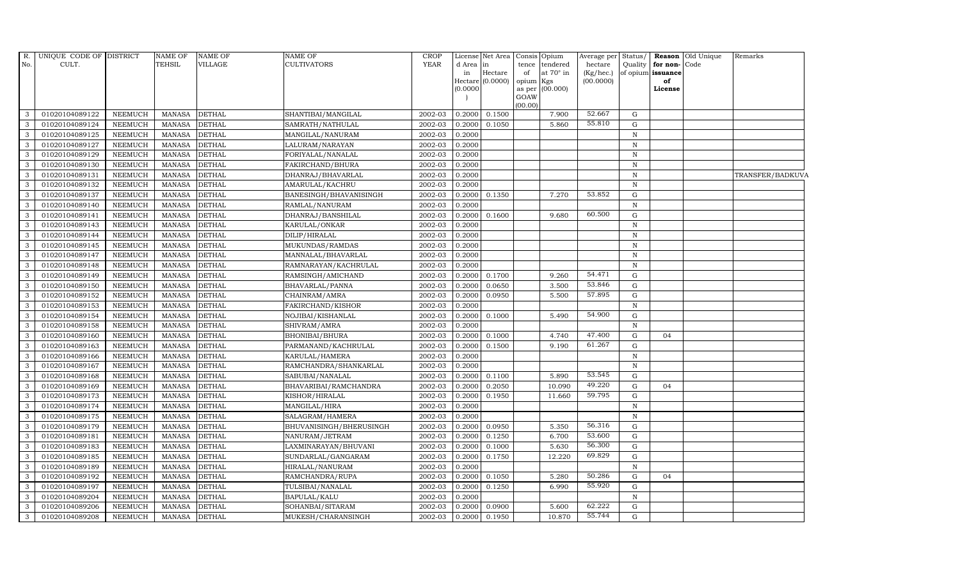| R.           | UNIQUE CODE OF DISTRICT |                | NAME OF       | <b>NAME OF</b> | NAME OF                 | <b>CROP</b> |           | License Net Area            | Consis Opium |                         |                        |              |                         | Average per Status/ Reason Old Unique | Remarks          |
|--------------|-------------------------|----------------|---------------|----------------|-------------------------|-------------|-----------|-----------------------------|--------------|-------------------------|------------------------|--------------|-------------------------|---------------------------------------|------------------|
| No.          | CULT.                   |                | <b>TEHSIL</b> | <b>VILLAGE</b> | CULTIVATORS             | <b>YEAR</b> | d Area in |                             | tence        | tendered                | hectare                |              | Quality for non-Code    |                                       |                  |
|              |                         |                |               |                |                         |             | in        | Hectare<br>Hectare (0.0000) | of<br>opium  | at $70^\circ$ in<br>Kgs | (Kg/hec.)<br>(00.0000) |              | of opium issuance<br>of |                                       |                  |
|              |                         |                |               |                |                         |             | (0.0000)  |                             | as per       | (00.000)                |                        |              | License                 |                                       |                  |
|              |                         |                |               |                |                         |             |           |                             | GOAW         |                         |                        |              |                         |                                       |                  |
|              |                         |                |               |                |                         |             |           |                             | (00.00)      |                         |                        |              |                         |                                       |                  |
| 3            | 01020104089122          | <b>NEEMUCH</b> | <b>MANASA</b> | <b>DETHAL</b>  | SHANTIBAI/MANGILAL      | 2002-03     | 0.2000    | 0.1500                      |              | 7.900                   | 52.667                 | G            |                         |                                       |                  |
| 3            | 01020104089124          | <b>NEEMUCH</b> | <b>MANASA</b> | <b>DETHAL</b>  | SAMRATH/NATHULAL        | 2002-03     | 0.2000    | 0.1050                      |              | 5.860                   | 55.810                 | G            |                         |                                       |                  |
| 3            | 01020104089125          | <b>NEEMUCH</b> | <b>MANASA</b> | <b>DETHAL</b>  | MANGILAL/NANURAM        | 2002-03     | 0.2000    |                             |              |                         |                        | $\mathbb N$  |                         |                                       |                  |
| 3            | 01020104089127          | <b>NEEMUCH</b> | <b>MANASA</b> | <b>DETHAL</b>  | LALURAM/NARAYAN         | 2002-03     | 0.2000    |                             |              |                         |                        | $\, {\rm N}$ |                         |                                       |                  |
| 3            | 01020104089129          | <b>NEEMUCH</b> | <b>MANASA</b> | <b>DETHAL</b>  | FORIYALAL/NANALAL       | 2002-03     | 0.2000    |                             |              |                         |                        | $\, {\rm N}$ |                         |                                       |                  |
| 3            | 01020104089130          | <b>NEEMUCH</b> | <b>MANASA</b> | <b>DETHAL</b>  | FAKIRCHAND/BHURA        | 2002-03     | 0.2000    |                             |              |                         |                        | $\, {\bf N}$ |                         |                                       |                  |
| 3            | 01020104089131          | <b>NEEMUCH</b> | <b>MANASA</b> | <b>DETHAL</b>  | DHANRAJ/BHAVARLAL       | 2002-03     | 0.2000    |                             |              |                         |                        | $\,$ N       |                         |                                       | TRANSFER/BADKUVA |
| 3            | 01020104089132          | <b>NEEMUCH</b> | <b>MANASA</b> | <b>DETHAL</b>  | AMARULAL/KACHRU         | 2002-03     | 0.2000    |                             |              |                         |                        | N            |                         |                                       |                  |
| 3            | 01020104089137          | <b>NEEMUCH</b> | <b>MANASA</b> | <b>DETHAL</b>  | BANESINGH/BHAVANISINGH  | 2002-03     | 0.2000    | 0.1350                      |              | 7.270                   | 53.852                 | $\mathbf G$  |                         |                                       |                  |
| 3            | 01020104089140          | <b>NEEMUCH</b> | <b>MANASA</b> | <b>DETHAL</b>  | RAMLAL/NANURAM          | 2002-03     | 0.2000    |                             |              |                         |                        | $\, {\rm N}$ |                         |                                       |                  |
| 3            | 01020104089141          | <b>NEEMUCH</b> | <b>MANASA</b> | <b>DETHAL</b>  | DHANRAJ/BANSHILAL       | 2002-03     | 0.2000    | 0.1600                      |              | 9.680                   | 60.500                 | G            |                         |                                       |                  |
| 3            | 01020104089143          | <b>NEEMUCH</b> | <b>MANASA</b> | <b>DETHAL</b>  | KARULAL/ONKAR           | 2002-03     | 0.2000    |                             |              |                         |                        | $\mathbf N$  |                         |                                       |                  |
| 3            | 01020104089144          | <b>NEEMUCH</b> | <b>MANASA</b> | <b>DETHAL</b>  | DILIP/HIRALAL           | 2002-03     | 0.2000    |                             |              |                         |                        | N            |                         |                                       |                  |
| 3            | 01020104089145          | <b>NEEMUCH</b> | <b>MANASA</b> | <b>DETHAL</b>  | MUKUNDAS/RAMDAS         | 2002-03     | 0.2000    |                             |              |                         |                        | $\, {\bf N}$ |                         |                                       |                  |
| 3            | 01020104089147          | NEEMUCH        | <b>MANASA</b> | <b>DETHAL</b>  | MANNALAL/BHAVARLAL      | 2002-03     | 0.2000    |                             |              |                         |                        | $\, {\rm N}$ |                         |                                       |                  |
| 3            | 01020104089148          | <b>NEEMUCH</b> | <b>MANASA</b> | <b>DETHAL</b>  | RAMNARAYAN/KACHRULAL    | 2002-03     | 0.2000    |                             |              |                         |                        | N            |                         |                                       |                  |
| 3            | 01020104089149          | <b>NEEMUCH</b> | <b>MANASA</b> | <b>DETHAL</b>  | RAMSINGH/AMICHAND       | 2002-03     | 0.2000    | 0.1700                      |              | 9.260                   | 54.471                 | G            |                         |                                       |                  |
| 3            | 01020104089150          | <b>NEEMUCH</b> | <b>MANASA</b> | <b>DETHAL</b>  | BHAVARLAL/PANNA         | 2002-03     | 0.2000    | 0.0650                      |              | 3.500                   | 53.846                 | G            |                         |                                       |                  |
| 3            | 01020104089152          | <b>NEEMUCH</b> | <b>MANASA</b> | <b>DETHAL</b>  | CHAINRAM/AMRA           | 2002-03     | 0.2000    | 0.0950                      |              | 5.500                   | 57.895                 | ${\rm G}$    |                         |                                       |                  |
| 3            | 01020104089153          | <b>NEEMUCH</b> | <b>MANASA</b> | <b>DETHAL</b>  | FAKIRCHAND/KISHOR       | 2002-03     | 0.2000    |                             |              |                         |                        | $\, {\rm N}$ |                         |                                       |                  |
| 3            | 01020104089154          | <b>NEEMUCH</b> | <b>MANASA</b> | <b>DETHAL</b>  | NOJIBAI/KISHANLAL       | 2002-03     | 0.2000    | 0.1000                      |              | 5.490                   | 54.900                 | G            |                         |                                       |                  |
| 3            | 01020104089158          | <b>NEEMUCH</b> | <b>MANASA</b> | <b>DETHAL</b>  | SHIVRAM/AMRA            | 2002-03     | 0.2000    |                             |              |                         |                        | $\, {\bf N}$ |                         |                                       |                  |
| $\mathbf{3}$ | 01020104089160          | <b>NEEMUCH</b> | <b>MANASA</b> | <b>DETHAL</b>  | BHONIBAI/BHURA          | 2002-03     | 0.2000    | 0.1000                      |              | 4.740                   | 47.400                 | G            | 04                      |                                       |                  |
| 3            | 01020104089163          | <b>NEEMUCH</b> | <b>MANASA</b> | <b>DETHAL</b>  | PARMANAND/KACHRULAL     | 2002-03     | 0.2000    | 0.1500                      |              | 9.190                   | 61.267                 | $\mathbf G$  |                         |                                       |                  |
| 3            | 01020104089166          | <b>NEEMUCH</b> | <b>MANASA</b> | <b>DETHAL</b>  | KARULAL/HAMERA          | 2002-03     | 0.2000    |                             |              |                         |                        | $\, {\rm N}$ |                         |                                       |                  |
| 3            | 01020104089167          | <b>NEEMUCH</b> | <b>MANASA</b> | <b>DETHAL</b>  | RAMCHANDRA/SHANKARLAL   | 2002-03     | 0.2000    |                             |              |                         |                        | $\, {\bf N}$ |                         |                                       |                  |
| 3            | 01020104089168          | <b>NEEMUCH</b> | <b>MANASA</b> | <b>DETHAL</b>  | SABUBAI/NANALAL         | 2002-03     | 0.2000    | 0.1100                      |              | 5.890                   | 53.545                 | G            |                         |                                       |                  |
| 3            | 01020104089169          | <b>NEEMUCH</b> | <b>MANASA</b> | <b>DETHAL</b>  | BHAVARIBAI/RAMCHANDRA   | 2002-03     | 0.2000    | 0.2050                      |              | 10.090                  | 49.220                 | ${\rm G}$    | 04                      |                                       |                  |
| 3            | 01020104089173          | <b>NEEMUCH</b> | <b>MANASA</b> | <b>DETHAL</b>  | KISHOR/HIRALAL          | 2002-03     | 0.2000    | 0.1950                      |              | 11.660                  | 59.795                 | $\mathbf G$  |                         |                                       |                  |
| 3            | 01020104089174          | <b>NEEMUCH</b> | <b>MANASA</b> | <b>DETHAL</b>  | MANGILAL/HIRA           | 2002-03     | 0.2000    |                             |              |                         |                        | $\, {\rm N}$ |                         |                                       |                  |
| 3            | 01020104089175          | <b>NEEMUCH</b> | <b>MANASA</b> | <b>DETHAL</b>  | SALAGRAM/HAMERA         | 2002-03     | 0.2000    |                             |              |                         |                        | $\, {\rm N}$ |                         |                                       |                  |
| 3            | 01020104089179          | <b>NEEMUCH</b> | <b>MANASA</b> | <b>DETHAL</b>  | BHUVANISINGH/BHERUSINGH | 2002-03     | 0.2000    | 0.0950                      |              | 5.350                   | 56.316                 | G            |                         |                                       |                  |
| 3            | 01020104089181          | <b>NEEMUCH</b> | <b>MANASA</b> | <b>DETHAL</b>  | NANURAM/JETRAM          | 2002-03     | 0.2000    | 0.1250                      |              | 6.700                   | 53.600                 | $\mathbf G$  |                         |                                       |                  |
| 3            | 01020104089183          | <b>NEEMUCH</b> | <b>MANASA</b> | <b>DETHAL</b>  | LAXMINARAYAN/BHUVANI    | 2002-03     | 0.2000    | 0.1000                      |              | 5.630                   | 56.300                 | $\mathbf G$  |                         |                                       |                  |
| 3            | 01020104089185          | <b>NEEMUCH</b> | <b>MANASA</b> | <b>DETHAL</b>  | SUNDARLAL/GANGARAM      | 2002-03     | 0.2000    | 0.1750                      |              | 12.220                  | 69.829                 | $\mathbf G$  |                         |                                       |                  |
| 3            | 01020104089189          | <b>NEEMUCH</b> | <b>MANASA</b> | <b>DETHAL</b>  | HIRALAL/NANURAM         | 2002-03     | 0.2000    |                             |              |                         |                        | $\, {\rm N}$ |                         |                                       |                  |
| 3            | 01020104089192          | <b>NEEMUCH</b> | <b>MANASA</b> | <b>DETHAL</b>  | RAMCHANDRA/RUPA         | 2002-03     | 0.2000    | 0.1050                      |              | 5.280                   | 50.286                 | $\mathbf G$  | 04                      |                                       |                  |
| $\mathbf{3}$ | 01020104089197          | <b>NEEMUCH</b> | <b>MANASA</b> | <b>DETHAL</b>  | TULSIBAI/NANALAL        | 2002-03     | 0.2000    | 0.1250                      |              | 6.990                   | 55.920                 | G            |                         |                                       |                  |
| 3            | 01020104089204          | <b>NEEMUCH</b> | <b>MANASA</b> | <b>DETHAL</b>  | BAPULAL/KALU            | 2002-03     | 0.2000    |                             |              |                         |                        | $\mathbb N$  |                         |                                       |                  |
| 3            | 01020104089206          | <b>NEEMUCH</b> | <b>MANASA</b> | <b>DETHAL</b>  | SOHANBAI/SITARAM        | 2002-03     | 0.2000    | 0.0900                      |              | 5.600                   | 62.222                 | $\mathbf G$  |                         |                                       |                  |
| 3            | 01020104089208          | <b>NEEMUCH</b> | <b>MANASA</b> | <b>DETHAL</b>  | MUKESH/CHARANSINGH      | 2002-03     | 0.2000    | 0.1950                      |              | 10.870                  | 55.744                 | G            |                         |                                       |                  |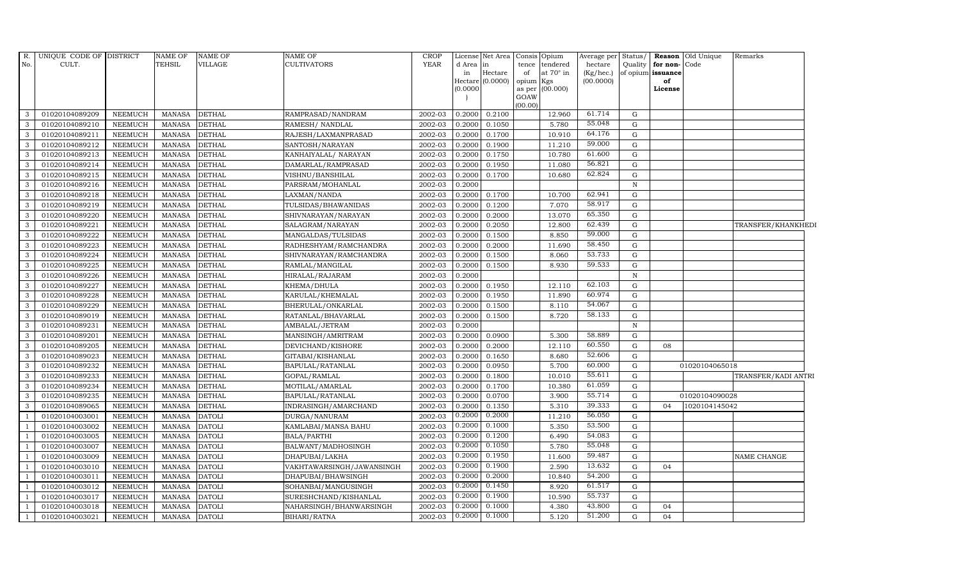| CULT.<br>TEHSIL<br>VILLAGE<br><b>CULTIVATORS</b><br><b>YEAR</b><br>Quality<br>d Area in<br>tence<br>tendered<br>hectare<br>for non-Code<br>in<br>Hectare<br>of<br>at $70^\circ$ in<br>(Kg/hec.)<br>of opium issuance<br>(0.0000)<br>opium Kgs<br>(00.0000)<br>Hectare<br>of<br>(0.0000)<br>as per (00.000)<br>License<br>GOAW<br>(00.00)<br>61.714<br>G<br>01020104089209<br>NEEMUCH<br>MANASA<br><b>DETHAL</b><br>2002-03<br>0.2000<br>0.2100<br>12.960<br>RAMPRASAD/NANDRAM<br>55.048<br>5.780<br>G<br>01020104089210<br><b>NEEMUCH</b><br><b>MANASA</b><br><b>DETHAL</b><br>RAMESH/ NANDLAL<br>2002-03<br>0.2000<br>0.1050<br>64.176<br>01020104089211<br><b>NEEMUCH</b><br><b>DETHAL</b><br>2002-03<br>0.2000<br>10.910<br>G<br><b>MANASA</b><br>RAJESH/LAXMANPRASAD<br>0.1700<br>59.000<br>3<br>01020104089212<br><b>NEEMUCH</b><br><b>MANASA</b><br><b>DETHAL</b><br>SANTOSH/NARAYAN<br>2002-03<br>0.2000<br>0.1900<br>11.210<br>G<br>61.600<br>01020104089213<br><b>NEEMUCH</b><br><b>MANASA</b><br><b>DETHAL</b><br>KANHAIYALAL/ NARAYAN<br>2002-03<br>0.2000<br>10.780<br>G<br>0.1750<br>56.821<br><b>MANASA</b><br>2002-03<br>11.080<br>G<br>01020104089214<br><b>NEEMUCH</b><br><b>DETHAL</b><br>DAMARLAL/RAMPRASAD<br>0.2000<br>0.1950<br>62.824<br>01020104089215<br>2002-03<br>G<br><b>NEEMUCH</b><br><b>MANASA</b><br><b>DETHAL</b><br>VISHNU/BANSHILAL<br>0.2000<br>0.1700<br>10.680<br>01020104089216<br><b>NEEMUCH</b><br>2002-03<br><b>MANASA</b><br><b>DETHAL</b><br>PARSRAM/MOHANLAL<br>0.2000<br>$\mathbf N$<br>62.941<br><b>DETHAL</b><br>G<br>3<br>01020104089218<br><b>NEEMUCH</b><br><b>MANASA</b><br>LAXMAN/NANDA<br>2002-03<br>0.2000<br>0.1700<br>10.700<br>58.917<br>01020104089219<br><b>NEEMUCH</b><br>2002-03<br>0.2000<br>7.070<br>G<br><b>MANASA</b><br><b>DETHAL</b><br>TULSIDAS/BHAWANIDAS<br>0.1200<br>65.350<br>G<br>01020104089220<br><b>NEEMUCH</b><br>MANASA<br><b>DETHAL</b><br>SHIVNARAYAN/NARAYAN<br>2002-03<br>0.2000<br>0.2000<br>13.070<br>62.439<br>01020104089221<br><b>NEEMUCH</b><br><b>MANASA</b><br><b>DETHAL</b><br>2002-03<br>12.800<br>G<br>SALAGRAM/NARAYAN<br>0.2000<br>0.2050<br>TRANSFER/KHANKHEDI<br>59.000<br>01020104089222<br><b>NEEMUCH</b><br><b>MANASA</b><br><b>DETHAL</b><br>2002-03<br>0.2000<br>0.1500<br>8.850<br>G<br>MANGALDAS/TULSIDAS<br>58.450<br>$\mathbf{G}$<br>01020104089223<br><b>NEEMUCH</b><br><b>MANASA</b><br><b>DETHAL</b><br>RADHESHYAM/RAMCHANDRA<br>2002-03<br>0.2000<br>0.2000<br>11.690<br>53.733<br><b>MANASA</b><br>3<br>01020104089224<br><b>NEEMUCH</b><br><b>DETHAL</b><br>SHIVNARAYAN/RAMCHANDRA<br>2002-03<br>0.2000<br>0.1500<br>8.060<br>G<br>59.533<br>G<br><b>NEEMUCH</b><br><b>MANASA</b><br><b>DETHAL</b><br>2002-03<br>0.2000<br>0.1500<br>8.930<br>01020104089225<br>RAMLAL/MANGILAL<br>01020104089226<br><b>NEEMUCH</b><br><b>MANASA</b><br>2002-03<br><b>DETHAL</b><br>HIRALAL/RAJARAM<br>0.2000<br>$\mathbf N$<br>62.103<br>0.1950<br>G<br>01020104089227<br><b>NEEMUCH</b><br><b>MANASA</b><br><b>DETHAL</b><br>2002-03<br>0.2000<br>12.110<br>KHEMA/DHULA<br>60.974<br>$\mathbf G$<br>01020104089228<br><b>NEEMUCH</b><br><b>MANASA</b><br><b>DETHAL</b><br>KARULAL/KHEMALAL<br>2002-03<br>0.2000<br>0.1950<br>11.890<br>54.067<br>3<br>01020104089229<br><b>NEEMUCH</b><br><b>MANASA</b><br><b>DETHAL</b><br>BHERULAL/ONKARLAL<br>2002-03<br>0.2000<br>0.1500<br>8.110<br>G<br>58.133<br>G<br><b>DETHAL</b><br>8.720<br>01020104089019<br><b>NEEMUCH</b><br><b>MANASA</b><br>RATANLAL/BHAVARLAL<br>2002-03<br>0.2000<br>0.1500<br>$\mathbf{3}$<br>01020104089231<br>NEEMUCH<br>MANASA<br>AMBALAL/JETRAM<br>2002-03<br><b>DETHAL</b><br>0.2000<br>N<br>58.889<br>01020104089201<br><b>NEEMUCH</b><br><b>MANASA</b><br><b>DETHAL</b><br>MANSINGH/AMRITRAM<br>2002-03<br>0.2000<br>0.0900<br>5.300<br>G<br>60.550<br>G<br>01020104089205<br><b>NEEMUCH</b><br><b>MANASA</b><br><b>DETHAL</b><br>DEVICHAND/KISHORE<br>2002-03<br>0.2000<br>0.2000<br>12.110<br>08<br>52.606<br>3<br>01020104089023<br><b>NEEMUCH</b><br><b>MANASA</b><br>GITABAI/KISHANLAL<br>2002-03<br>0.2000<br>0.1650<br>8.680<br>$\mathbf{G}$<br><b>DETHAL</b><br>60.000<br>$\mathbf{3}$<br>5.700<br>G<br>01020104089232<br><b>NEEMUCH</b><br><b>MANASA</b><br><b>DETHAL</b><br>BAPULAL/RATANLAL<br>2002-03<br>0.2000<br>0.0950<br>01020104065018<br>55.611<br>2002-03<br>01020104089233<br><b>NEEMUCH</b><br><b>MANASA</b><br><b>DETHAL</b><br>GOPAL/RAMLAL<br>0.2000<br>0.1800<br>10.010<br>G<br>TRANSFER/KADI ANTRI<br>61.059<br>01020104089234<br><b>NEEMUCH</b><br><b>MANASA</b><br><b>DETHAL</b><br>2002-03<br>0.1700<br>10.380<br>G<br>MOTILAL/AMARLAL<br>0.2000<br>55.714<br>2002-03<br>${\rm G}$<br>01020104089235<br><b>NEEMUCH</b><br><b>MANASA</b><br><b>DETHAL</b><br>BAPULAL/RATANLAL<br>0.2000<br>0.0700<br>3.900<br>01020104090028<br>39.333<br>01020104089065<br><b>NEEMUCH</b><br><b>MANASA</b><br>INDRASINGH/AMARCHAND<br>2002-03<br>0.2000<br>0.1350<br>5.310<br>G<br>1020104145042<br><b>DETHAL</b><br>04<br>0.2000<br>56.050<br>0.2000<br>2002-03<br>11.210<br>$\mathbf{G}$<br>01020104003001<br><b>NEEMUCH</b><br><b>MANASA</b><br><b>DATOLI</b><br>DURGA/NANURAM<br>53.500<br>0.2000<br>0.1000<br>01020104003002<br><b>NEEMUCH</b><br><b>MANASA</b><br>2002-03<br>5.350<br>G<br><b>DATOLI</b><br>KAMLABAI/MANSA BAHU<br>0.2000<br>0.1200<br>54.083<br>01020104003005<br><b>NEEMUCH</b><br>2002-03<br>6.490<br>G<br>MANASA<br><b>DATOLI</b><br><b>BALA/PARTHI</b><br>0.2000<br>0.1050<br>55.048<br>2002-03<br>G<br>01020104003007<br>NEEMUCH<br><b>MANASA</b><br><b>DATOLI</b><br>BALWANT/MADHOSINGH<br>5.780<br>0.2000<br>0.1950<br>59.487<br>01020104003009<br><b>NEEMUCH</b><br><b>MANASA</b><br>2002-03<br>11.600<br>G<br>NAME CHANGE<br><b>DATOLI</b><br>DHAPUBAI/LAKHA<br>0.1900<br>13.632<br>0.2000<br><b>DATOLI</b><br>2.590<br>$\mathbf{G}$<br>04<br>01020104003010<br><b>NEEMUCH</b><br><b>MANASA</b><br>VAKHTAWARSINGH/JAWANSINGH<br>2002-03<br>0.2000<br>0.2000<br>54.200<br>G<br>01020104003011<br><b>NEEMUCH</b><br><b>MANASA</b><br><b>DATOLI</b><br>DHAPUBAI/BHAWSINGH<br>2002-03<br>10.840<br>0.2000<br>0.1450<br>61.517<br>01020104003012<br><b>NEEMUCH</b><br><b>MANASA</b><br><b>DATOLI</b><br>SOHANBAI/MANGUSINGH<br>2002-03<br>8.920<br>G<br>55.737<br>0.2000<br>0.1900<br>01020104003017<br>SURESHCHAND/KISHANLAL<br>2002-03<br>G<br>NEEMUCH<br><b>MANASA</b><br><b>DATOLI</b><br>10.590<br>0.1000<br>2002-03<br>0.2000<br>4.380<br>43.800<br>01020104003018<br><b>NEEMUCH</b><br><b>MANASA</b><br><b>DATOLI</b><br>NAHARSINGH/BHANWARSINGH<br>G<br>04<br>51.200<br>0.2000<br>0.1000<br>01020104003021<br><b>NEEMUCH</b><br><b>MANASA</b><br><b>DATOLI</b><br>BIHARI/RATNA<br>2002-03<br>5.120<br>G<br>04 | R.             | UNIQUE CODE OF DISTRICT | <b>NAME OF</b> | NAME OF | NAME OF | CROP |  | License Net Area Consis Opium | Average per | Status/ | <b>Reason</b> Old Unique | Remarks |  |
|--------------------------------------------------------------------------------------------------------------------------------------------------------------------------------------------------------------------------------------------------------------------------------------------------------------------------------------------------------------------------------------------------------------------------------------------------------------------------------------------------------------------------------------------------------------------------------------------------------------------------------------------------------------------------------------------------------------------------------------------------------------------------------------------------------------------------------------------------------------------------------------------------------------------------------------------------------------------------------------------------------------------------------------------------------------------------------------------------------------------------------------------------------------------------------------------------------------------------------------------------------------------------------------------------------------------------------------------------------------------------------------------------------------------------------------------------------------------------------------------------------------------------------------------------------------------------------------------------------------------------------------------------------------------------------------------------------------------------------------------------------------------------------------------------------------------------------------------------------------------------------------------------------------------------------------------------------------------------------------------------------------------------------------------------------------------------------------------------------------------------------------------------------------------------------------------------------------------------------------------------------------------------------------------------------------------------------------------------------------------------------------------------------------------------------------------------------------------------------------------------------------------------------------------------------------------------------------------------------------------------------------------------------------------------------------------------------------------------------------------------------------------------------------------------------------------------------------------------------------------------------------------------------------------------------------------------------------------------------------------------------------------------------------------------------------------------------------------------------------------------------------------------------------------------------------------------------------------------------------------------------------------------------------------------------------------------------------------------------------------------------------------------------------------------------------------------------------------------------------------------------------------------------------------------------------------------------------------------------------------------------------------------------------------------------------------------------------------------------------------------------------------------------------------------------------------------------------------------------------------------------------------------------------------------------------------------------------------------------------------------------------------------------------------------------------------------------------------------------------------------------------------------------------------------------------------------------------------------------------------------------------------------------------------------------------------------------------------------------------------------------------------------------------------------------------------------------------------------------------------------------------------------------------------------------------------------------------------------------------------------------------------------------------------------------------------------------------------------------------------------------------------------------------------------------------------------------------------------------------------------------------------------------------------------------------------------------------------------------------------------------------------------------------------------------------------------------------------------------------------------------------------------------------------------------------------------------------------------------------------------------------------------------------------------------------------------------------------------------------------------------------------------------------------------------------------------------------------------------------------------------------------------------------------------------------------------------------------------------------------------------------------------------------------------------------------------------------------------------------------------------------------------------------------------------------------------------------------------------------------------------------------------------------------------------------------------------------------------------------------------------------------------------------------------------------------------------------------------------------------------------------------------------------------------------------------------------------------------------------------------------------------------------------------------------------------------------------------------------------------------------------------------------------------------------------------------------------------------------------------------------------------------------------------------------------------------------------------------------------------------------------------------------------------------------------------------------------------------------------------|----------------|-------------------------|----------------|---------|---------|------|--|-------------------------------|-------------|---------|--------------------------|---------|--|
|                                                                                                                                                                                                                                                                                                                                                                                                                                                                                                                                                                                                                                                                                                                                                                                                                                                                                                                                                                                                                                                                                                                                                                                                                                                                                                                                                                                                                                                                                                                                                                                                                                                                                                                                                                                                                                                                                                                                                                                                                                                                                                                                                                                                                                                                                                                                                                                                                                                                                                                                                                                                                                                                                                                                                                                                                                                                                                                                                                                                                                                                                                                                                                                                                                                                                                                                                                                                                                                                                                                                                                                                                                                                                                                                                                                                                                                                                                                                                                                                                                                                                                                                                                                                                                                                                                                                                                                                                                                                                                                                                                                                                                                                                                                                                                                                                                                                                                                                                                                                                                                                                                                                                                                                                                                                                                                                                                                                                                                                                                                                                                                                                                                                                                                                                                                                                                                                                                                                                                                                                                                                                                                                                                                                                                                                                                                                                                                                                                                                                                                                                                                                                                                                                                                                            | No.            |                         |                |         |         |      |  |                               |             |         |                          |         |  |
|                                                                                                                                                                                                                                                                                                                                                                                                                                                                                                                                                                                                                                                                                                                                                                                                                                                                                                                                                                                                                                                                                                                                                                                                                                                                                                                                                                                                                                                                                                                                                                                                                                                                                                                                                                                                                                                                                                                                                                                                                                                                                                                                                                                                                                                                                                                                                                                                                                                                                                                                                                                                                                                                                                                                                                                                                                                                                                                                                                                                                                                                                                                                                                                                                                                                                                                                                                                                                                                                                                                                                                                                                                                                                                                                                                                                                                                                                                                                                                                                                                                                                                                                                                                                                                                                                                                                                                                                                                                                                                                                                                                                                                                                                                                                                                                                                                                                                                                                                                                                                                                                                                                                                                                                                                                                                                                                                                                                                                                                                                                                                                                                                                                                                                                                                                                                                                                                                                                                                                                                                                                                                                                                                                                                                                                                                                                                                                                                                                                                                                                                                                                                                                                                                                                                            |                |                         |                |         |         |      |  |                               |             |         |                          |         |  |
|                                                                                                                                                                                                                                                                                                                                                                                                                                                                                                                                                                                                                                                                                                                                                                                                                                                                                                                                                                                                                                                                                                                                                                                                                                                                                                                                                                                                                                                                                                                                                                                                                                                                                                                                                                                                                                                                                                                                                                                                                                                                                                                                                                                                                                                                                                                                                                                                                                                                                                                                                                                                                                                                                                                                                                                                                                                                                                                                                                                                                                                                                                                                                                                                                                                                                                                                                                                                                                                                                                                                                                                                                                                                                                                                                                                                                                                                                                                                                                                                                                                                                                                                                                                                                                                                                                                                                                                                                                                                                                                                                                                                                                                                                                                                                                                                                                                                                                                                                                                                                                                                                                                                                                                                                                                                                                                                                                                                                                                                                                                                                                                                                                                                                                                                                                                                                                                                                                                                                                                                                                                                                                                                                                                                                                                                                                                                                                                                                                                                                                                                                                                                                                                                                                                                            |                |                         |                |         |         |      |  |                               |             |         |                          |         |  |
|                                                                                                                                                                                                                                                                                                                                                                                                                                                                                                                                                                                                                                                                                                                                                                                                                                                                                                                                                                                                                                                                                                                                                                                                                                                                                                                                                                                                                                                                                                                                                                                                                                                                                                                                                                                                                                                                                                                                                                                                                                                                                                                                                                                                                                                                                                                                                                                                                                                                                                                                                                                                                                                                                                                                                                                                                                                                                                                                                                                                                                                                                                                                                                                                                                                                                                                                                                                                                                                                                                                                                                                                                                                                                                                                                                                                                                                                                                                                                                                                                                                                                                                                                                                                                                                                                                                                                                                                                                                                                                                                                                                                                                                                                                                                                                                                                                                                                                                                                                                                                                                                                                                                                                                                                                                                                                                                                                                                                                                                                                                                                                                                                                                                                                                                                                                                                                                                                                                                                                                                                                                                                                                                                                                                                                                                                                                                                                                                                                                                                                                                                                                                                                                                                                                                            |                |                         |                |         |         |      |  |                               |             |         |                          |         |  |
|                                                                                                                                                                                                                                                                                                                                                                                                                                                                                                                                                                                                                                                                                                                                                                                                                                                                                                                                                                                                                                                                                                                                                                                                                                                                                                                                                                                                                                                                                                                                                                                                                                                                                                                                                                                                                                                                                                                                                                                                                                                                                                                                                                                                                                                                                                                                                                                                                                                                                                                                                                                                                                                                                                                                                                                                                                                                                                                                                                                                                                                                                                                                                                                                                                                                                                                                                                                                                                                                                                                                                                                                                                                                                                                                                                                                                                                                                                                                                                                                                                                                                                                                                                                                                                                                                                                                                                                                                                                                                                                                                                                                                                                                                                                                                                                                                                                                                                                                                                                                                                                                                                                                                                                                                                                                                                                                                                                                                                                                                                                                                                                                                                                                                                                                                                                                                                                                                                                                                                                                                                                                                                                                                                                                                                                                                                                                                                                                                                                                                                                                                                                                                                                                                                                                            |                |                         |                |         |         |      |  |                               |             |         |                          |         |  |
|                                                                                                                                                                                                                                                                                                                                                                                                                                                                                                                                                                                                                                                                                                                                                                                                                                                                                                                                                                                                                                                                                                                                                                                                                                                                                                                                                                                                                                                                                                                                                                                                                                                                                                                                                                                                                                                                                                                                                                                                                                                                                                                                                                                                                                                                                                                                                                                                                                                                                                                                                                                                                                                                                                                                                                                                                                                                                                                                                                                                                                                                                                                                                                                                                                                                                                                                                                                                                                                                                                                                                                                                                                                                                                                                                                                                                                                                                                                                                                                                                                                                                                                                                                                                                                                                                                                                                                                                                                                                                                                                                                                                                                                                                                                                                                                                                                                                                                                                                                                                                                                                                                                                                                                                                                                                                                                                                                                                                                                                                                                                                                                                                                                                                                                                                                                                                                                                                                                                                                                                                                                                                                                                                                                                                                                                                                                                                                                                                                                                                                                                                                                                                                                                                                                                            | $\mathbf{3}$   |                         |                |         |         |      |  |                               |             |         |                          |         |  |
|                                                                                                                                                                                                                                                                                                                                                                                                                                                                                                                                                                                                                                                                                                                                                                                                                                                                                                                                                                                                                                                                                                                                                                                                                                                                                                                                                                                                                                                                                                                                                                                                                                                                                                                                                                                                                                                                                                                                                                                                                                                                                                                                                                                                                                                                                                                                                                                                                                                                                                                                                                                                                                                                                                                                                                                                                                                                                                                                                                                                                                                                                                                                                                                                                                                                                                                                                                                                                                                                                                                                                                                                                                                                                                                                                                                                                                                                                                                                                                                                                                                                                                                                                                                                                                                                                                                                                                                                                                                                                                                                                                                                                                                                                                                                                                                                                                                                                                                                                                                                                                                                                                                                                                                                                                                                                                                                                                                                                                                                                                                                                                                                                                                                                                                                                                                                                                                                                                                                                                                                                                                                                                                                                                                                                                                                                                                                                                                                                                                                                                                                                                                                                                                                                                                                            | 3              |                         |                |         |         |      |  |                               |             |         |                          |         |  |
|                                                                                                                                                                                                                                                                                                                                                                                                                                                                                                                                                                                                                                                                                                                                                                                                                                                                                                                                                                                                                                                                                                                                                                                                                                                                                                                                                                                                                                                                                                                                                                                                                                                                                                                                                                                                                                                                                                                                                                                                                                                                                                                                                                                                                                                                                                                                                                                                                                                                                                                                                                                                                                                                                                                                                                                                                                                                                                                                                                                                                                                                                                                                                                                                                                                                                                                                                                                                                                                                                                                                                                                                                                                                                                                                                                                                                                                                                                                                                                                                                                                                                                                                                                                                                                                                                                                                                                                                                                                                                                                                                                                                                                                                                                                                                                                                                                                                                                                                                                                                                                                                                                                                                                                                                                                                                                                                                                                                                                                                                                                                                                                                                                                                                                                                                                                                                                                                                                                                                                                                                                                                                                                                                                                                                                                                                                                                                                                                                                                                                                                                                                                                                                                                                                                                            | $\mathbf{3}$   |                         |                |         |         |      |  |                               |             |         |                          |         |  |
|                                                                                                                                                                                                                                                                                                                                                                                                                                                                                                                                                                                                                                                                                                                                                                                                                                                                                                                                                                                                                                                                                                                                                                                                                                                                                                                                                                                                                                                                                                                                                                                                                                                                                                                                                                                                                                                                                                                                                                                                                                                                                                                                                                                                                                                                                                                                                                                                                                                                                                                                                                                                                                                                                                                                                                                                                                                                                                                                                                                                                                                                                                                                                                                                                                                                                                                                                                                                                                                                                                                                                                                                                                                                                                                                                                                                                                                                                                                                                                                                                                                                                                                                                                                                                                                                                                                                                                                                                                                                                                                                                                                                                                                                                                                                                                                                                                                                                                                                                                                                                                                                                                                                                                                                                                                                                                                                                                                                                                                                                                                                                                                                                                                                                                                                                                                                                                                                                                                                                                                                                                                                                                                                                                                                                                                                                                                                                                                                                                                                                                                                                                                                                                                                                                                                            |                |                         |                |         |         |      |  |                               |             |         |                          |         |  |
|                                                                                                                                                                                                                                                                                                                                                                                                                                                                                                                                                                                                                                                                                                                                                                                                                                                                                                                                                                                                                                                                                                                                                                                                                                                                                                                                                                                                                                                                                                                                                                                                                                                                                                                                                                                                                                                                                                                                                                                                                                                                                                                                                                                                                                                                                                                                                                                                                                                                                                                                                                                                                                                                                                                                                                                                                                                                                                                                                                                                                                                                                                                                                                                                                                                                                                                                                                                                                                                                                                                                                                                                                                                                                                                                                                                                                                                                                                                                                                                                                                                                                                                                                                                                                                                                                                                                                                                                                                                                                                                                                                                                                                                                                                                                                                                                                                                                                                                                                                                                                                                                                                                                                                                                                                                                                                                                                                                                                                                                                                                                                                                                                                                                                                                                                                                                                                                                                                                                                                                                                                                                                                                                                                                                                                                                                                                                                                                                                                                                                                                                                                                                                                                                                                                                            | $\mathbf{3}$   |                         |                |         |         |      |  |                               |             |         |                          |         |  |
|                                                                                                                                                                                                                                                                                                                                                                                                                                                                                                                                                                                                                                                                                                                                                                                                                                                                                                                                                                                                                                                                                                                                                                                                                                                                                                                                                                                                                                                                                                                                                                                                                                                                                                                                                                                                                                                                                                                                                                                                                                                                                                                                                                                                                                                                                                                                                                                                                                                                                                                                                                                                                                                                                                                                                                                                                                                                                                                                                                                                                                                                                                                                                                                                                                                                                                                                                                                                                                                                                                                                                                                                                                                                                                                                                                                                                                                                                                                                                                                                                                                                                                                                                                                                                                                                                                                                                                                                                                                                                                                                                                                                                                                                                                                                                                                                                                                                                                                                                                                                                                                                                                                                                                                                                                                                                                                                                                                                                                                                                                                                                                                                                                                                                                                                                                                                                                                                                                                                                                                                                                                                                                                                                                                                                                                                                                                                                                                                                                                                                                                                                                                                                                                                                                                                            | 3              |                         |                |         |         |      |  |                               |             |         |                          |         |  |
|                                                                                                                                                                                                                                                                                                                                                                                                                                                                                                                                                                                                                                                                                                                                                                                                                                                                                                                                                                                                                                                                                                                                                                                                                                                                                                                                                                                                                                                                                                                                                                                                                                                                                                                                                                                                                                                                                                                                                                                                                                                                                                                                                                                                                                                                                                                                                                                                                                                                                                                                                                                                                                                                                                                                                                                                                                                                                                                                                                                                                                                                                                                                                                                                                                                                                                                                                                                                                                                                                                                                                                                                                                                                                                                                                                                                                                                                                                                                                                                                                                                                                                                                                                                                                                                                                                                                                                                                                                                                                                                                                                                                                                                                                                                                                                                                                                                                                                                                                                                                                                                                                                                                                                                                                                                                                                                                                                                                                                                                                                                                                                                                                                                                                                                                                                                                                                                                                                                                                                                                                                                                                                                                                                                                                                                                                                                                                                                                                                                                                                                                                                                                                                                                                                                                            | $\mathbf{3}$   |                         |                |         |         |      |  |                               |             |         |                          |         |  |
|                                                                                                                                                                                                                                                                                                                                                                                                                                                                                                                                                                                                                                                                                                                                                                                                                                                                                                                                                                                                                                                                                                                                                                                                                                                                                                                                                                                                                                                                                                                                                                                                                                                                                                                                                                                                                                                                                                                                                                                                                                                                                                                                                                                                                                                                                                                                                                                                                                                                                                                                                                                                                                                                                                                                                                                                                                                                                                                                                                                                                                                                                                                                                                                                                                                                                                                                                                                                                                                                                                                                                                                                                                                                                                                                                                                                                                                                                                                                                                                                                                                                                                                                                                                                                                                                                                                                                                                                                                                                                                                                                                                                                                                                                                                                                                                                                                                                                                                                                                                                                                                                                                                                                                                                                                                                                                                                                                                                                                                                                                                                                                                                                                                                                                                                                                                                                                                                                                                                                                                                                                                                                                                                                                                                                                                                                                                                                                                                                                                                                                                                                                                                                                                                                                                                            | $\mathbf{3}$   |                         |                |         |         |      |  |                               |             |         |                          |         |  |
|                                                                                                                                                                                                                                                                                                                                                                                                                                                                                                                                                                                                                                                                                                                                                                                                                                                                                                                                                                                                                                                                                                                                                                                                                                                                                                                                                                                                                                                                                                                                                                                                                                                                                                                                                                                                                                                                                                                                                                                                                                                                                                                                                                                                                                                                                                                                                                                                                                                                                                                                                                                                                                                                                                                                                                                                                                                                                                                                                                                                                                                                                                                                                                                                                                                                                                                                                                                                                                                                                                                                                                                                                                                                                                                                                                                                                                                                                                                                                                                                                                                                                                                                                                                                                                                                                                                                                                                                                                                                                                                                                                                                                                                                                                                                                                                                                                                                                                                                                                                                                                                                                                                                                                                                                                                                                                                                                                                                                                                                                                                                                                                                                                                                                                                                                                                                                                                                                                                                                                                                                                                                                                                                                                                                                                                                                                                                                                                                                                                                                                                                                                                                                                                                                                                                            |                |                         |                |         |         |      |  |                               |             |         |                          |         |  |
|                                                                                                                                                                                                                                                                                                                                                                                                                                                                                                                                                                                                                                                                                                                                                                                                                                                                                                                                                                                                                                                                                                                                                                                                                                                                                                                                                                                                                                                                                                                                                                                                                                                                                                                                                                                                                                                                                                                                                                                                                                                                                                                                                                                                                                                                                                                                                                                                                                                                                                                                                                                                                                                                                                                                                                                                                                                                                                                                                                                                                                                                                                                                                                                                                                                                                                                                                                                                                                                                                                                                                                                                                                                                                                                                                                                                                                                                                                                                                                                                                                                                                                                                                                                                                                                                                                                                                                                                                                                                                                                                                                                                                                                                                                                                                                                                                                                                                                                                                                                                                                                                                                                                                                                                                                                                                                                                                                                                                                                                                                                                                                                                                                                                                                                                                                                                                                                                                                                                                                                                                                                                                                                                                                                                                                                                                                                                                                                                                                                                                                                                                                                                                                                                                                                                            | 3              |                         |                |         |         |      |  |                               |             |         |                          |         |  |
|                                                                                                                                                                                                                                                                                                                                                                                                                                                                                                                                                                                                                                                                                                                                                                                                                                                                                                                                                                                                                                                                                                                                                                                                                                                                                                                                                                                                                                                                                                                                                                                                                                                                                                                                                                                                                                                                                                                                                                                                                                                                                                                                                                                                                                                                                                                                                                                                                                                                                                                                                                                                                                                                                                                                                                                                                                                                                                                                                                                                                                                                                                                                                                                                                                                                                                                                                                                                                                                                                                                                                                                                                                                                                                                                                                                                                                                                                                                                                                                                                                                                                                                                                                                                                                                                                                                                                                                                                                                                                                                                                                                                                                                                                                                                                                                                                                                                                                                                                                                                                                                                                                                                                                                                                                                                                                                                                                                                                                                                                                                                                                                                                                                                                                                                                                                                                                                                                                                                                                                                                                                                                                                                                                                                                                                                                                                                                                                                                                                                                                                                                                                                                                                                                                                                            | 3              |                         |                |         |         |      |  |                               |             |         |                          |         |  |
|                                                                                                                                                                                                                                                                                                                                                                                                                                                                                                                                                                                                                                                                                                                                                                                                                                                                                                                                                                                                                                                                                                                                                                                                                                                                                                                                                                                                                                                                                                                                                                                                                                                                                                                                                                                                                                                                                                                                                                                                                                                                                                                                                                                                                                                                                                                                                                                                                                                                                                                                                                                                                                                                                                                                                                                                                                                                                                                                                                                                                                                                                                                                                                                                                                                                                                                                                                                                                                                                                                                                                                                                                                                                                                                                                                                                                                                                                                                                                                                                                                                                                                                                                                                                                                                                                                                                                                                                                                                                                                                                                                                                                                                                                                                                                                                                                                                                                                                                                                                                                                                                                                                                                                                                                                                                                                                                                                                                                                                                                                                                                                                                                                                                                                                                                                                                                                                                                                                                                                                                                                                                                                                                                                                                                                                                                                                                                                                                                                                                                                                                                                                                                                                                                                                                            | $\mathbf{3}$   |                         |                |         |         |      |  |                               |             |         |                          |         |  |
|                                                                                                                                                                                                                                                                                                                                                                                                                                                                                                                                                                                                                                                                                                                                                                                                                                                                                                                                                                                                                                                                                                                                                                                                                                                                                                                                                                                                                                                                                                                                                                                                                                                                                                                                                                                                                                                                                                                                                                                                                                                                                                                                                                                                                                                                                                                                                                                                                                                                                                                                                                                                                                                                                                                                                                                                                                                                                                                                                                                                                                                                                                                                                                                                                                                                                                                                                                                                                                                                                                                                                                                                                                                                                                                                                                                                                                                                                                                                                                                                                                                                                                                                                                                                                                                                                                                                                                                                                                                                                                                                                                                                                                                                                                                                                                                                                                                                                                                                                                                                                                                                                                                                                                                                                                                                                                                                                                                                                                                                                                                                                                                                                                                                                                                                                                                                                                                                                                                                                                                                                                                                                                                                                                                                                                                                                                                                                                                                                                                                                                                                                                                                                                                                                                                                            | $\mathbf{3}$   |                         |                |         |         |      |  |                               |             |         |                          |         |  |
|                                                                                                                                                                                                                                                                                                                                                                                                                                                                                                                                                                                                                                                                                                                                                                                                                                                                                                                                                                                                                                                                                                                                                                                                                                                                                                                                                                                                                                                                                                                                                                                                                                                                                                                                                                                                                                                                                                                                                                                                                                                                                                                                                                                                                                                                                                                                                                                                                                                                                                                                                                                                                                                                                                                                                                                                                                                                                                                                                                                                                                                                                                                                                                                                                                                                                                                                                                                                                                                                                                                                                                                                                                                                                                                                                                                                                                                                                                                                                                                                                                                                                                                                                                                                                                                                                                                                                                                                                                                                                                                                                                                                                                                                                                                                                                                                                                                                                                                                                                                                                                                                                                                                                                                                                                                                                                                                                                                                                                                                                                                                                                                                                                                                                                                                                                                                                                                                                                                                                                                                                                                                                                                                                                                                                                                                                                                                                                                                                                                                                                                                                                                                                                                                                                                                            | 3              |                         |                |         |         |      |  |                               |             |         |                          |         |  |
|                                                                                                                                                                                                                                                                                                                                                                                                                                                                                                                                                                                                                                                                                                                                                                                                                                                                                                                                                                                                                                                                                                                                                                                                                                                                                                                                                                                                                                                                                                                                                                                                                                                                                                                                                                                                                                                                                                                                                                                                                                                                                                                                                                                                                                                                                                                                                                                                                                                                                                                                                                                                                                                                                                                                                                                                                                                                                                                                                                                                                                                                                                                                                                                                                                                                                                                                                                                                                                                                                                                                                                                                                                                                                                                                                                                                                                                                                                                                                                                                                                                                                                                                                                                                                                                                                                                                                                                                                                                                                                                                                                                                                                                                                                                                                                                                                                                                                                                                                                                                                                                                                                                                                                                                                                                                                                                                                                                                                                                                                                                                                                                                                                                                                                                                                                                                                                                                                                                                                                                                                                                                                                                                                                                                                                                                                                                                                                                                                                                                                                                                                                                                                                                                                                                                            |                |                         |                |         |         |      |  |                               |             |         |                          |         |  |
|                                                                                                                                                                                                                                                                                                                                                                                                                                                                                                                                                                                                                                                                                                                                                                                                                                                                                                                                                                                                                                                                                                                                                                                                                                                                                                                                                                                                                                                                                                                                                                                                                                                                                                                                                                                                                                                                                                                                                                                                                                                                                                                                                                                                                                                                                                                                                                                                                                                                                                                                                                                                                                                                                                                                                                                                                                                                                                                                                                                                                                                                                                                                                                                                                                                                                                                                                                                                                                                                                                                                                                                                                                                                                                                                                                                                                                                                                                                                                                                                                                                                                                                                                                                                                                                                                                                                                                                                                                                                                                                                                                                                                                                                                                                                                                                                                                                                                                                                                                                                                                                                                                                                                                                                                                                                                                                                                                                                                                                                                                                                                                                                                                                                                                                                                                                                                                                                                                                                                                                                                                                                                                                                                                                                                                                                                                                                                                                                                                                                                                                                                                                                                                                                                                                                            | $\mathbf{3}$   |                         |                |         |         |      |  |                               |             |         |                          |         |  |
|                                                                                                                                                                                                                                                                                                                                                                                                                                                                                                                                                                                                                                                                                                                                                                                                                                                                                                                                                                                                                                                                                                                                                                                                                                                                                                                                                                                                                                                                                                                                                                                                                                                                                                                                                                                                                                                                                                                                                                                                                                                                                                                                                                                                                                                                                                                                                                                                                                                                                                                                                                                                                                                                                                                                                                                                                                                                                                                                                                                                                                                                                                                                                                                                                                                                                                                                                                                                                                                                                                                                                                                                                                                                                                                                                                                                                                                                                                                                                                                                                                                                                                                                                                                                                                                                                                                                                                                                                                                                                                                                                                                                                                                                                                                                                                                                                                                                                                                                                                                                                                                                                                                                                                                                                                                                                                                                                                                                                                                                                                                                                                                                                                                                                                                                                                                                                                                                                                                                                                                                                                                                                                                                                                                                                                                                                                                                                                                                                                                                                                                                                                                                                                                                                                                                            | 3              |                         |                |         |         |      |  |                               |             |         |                          |         |  |
|                                                                                                                                                                                                                                                                                                                                                                                                                                                                                                                                                                                                                                                                                                                                                                                                                                                                                                                                                                                                                                                                                                                                                                                                                                                                                                                                                                                                                                                                                                                                                                                                                                                                                                                                                                                                                                                                                                                                                                                                                                                                                                                                                                                                                                                                                                                                                                                                                                                                                                                                                                                                                                                                                                                                                                                                                                                                                                                                                                                                                                                                                                                                                                                                                                                                                                                                                                                                                                                                                                                                                                                                                                                                                                                                                                                                                                                                                                                                                                                                                                                                                                                                                                                                                                                                                                                                                                                                                                                                                                                                                                                                                                                                                                                                                                                                                                                                                                                                                                                                                                                                                                                                                                                                                                                                                                                                                                                                                                                                                                                                                                                                                                                                                                                                                                                                                                                                                                                                                                                                                                                                                                                                                                                                                                                                                                                                                                                                                                                                                                                                                                                                                                                                                                                                            | $\mathbf{3}$   |                         |                |         |         |      |  |                               |             |         |                          |         |  |
|                                                                                                                                                                                                                                                                                                                                                                                                                                                                                                                                                                                                                                                                                                                                                                                                                                                                                                                                                                                                                                                                                                                                                                                                                                                                                                                                                                                                                                                                                                                                                                                                                                                                                                                                                                                                                                                                                                                                                                                                                                                                                                                                                                                                                                                                                                                                                                                                                                                                                                                                                                                                                                                                                                                                                                                                                                                                                                                                                                                                                                                                                                                                                                                                                                                                                                                                                                                                                                                                                                                                                                                                                                                                                                                                                                                                                                                                                                                                                                                                                                                                                                                                                                                                                                                                                                                                                                                                                                                                                                                                                                                                                                                                                                                                                                                                                                                                                                                                                                                                                                                                                                                                                                                                                                                                                                                                                                                                                                                                                                                                                                                                                                                                                                                                                                                                                                                                                                                                                                                                                                                                                                                                                                                                                                                                                                                                                                                                                                                                                                                                                                                                                                                                                                                                            | 3              |                         |                |         |         |      |  |                               |             |         |                          |         |  |
|                                                                                                                                                                                                                                                                                                                                                                                                                                                                                                                                                                                                                                                                                                                                                                                                                                                                                                                                                                                                                                                                                                                                                                                                                                                                                                                                                                                                                                                                                                                                                                                                                                                                                                                                                                                                                                                                                                                                                                                                                                                                                                                                                                                                                                                                                                                                                                                                                                                                                                                                                                                                                                                                                                                                                                                                                                                                                                                                                                                                                                                                                                                                                                                                                                                                                                                                                                                                                                                                                                                                                                                                                                                                                                                                                                                                                                                                                                                                                                                                                                                                                                                                                                                                                                                                                                                                                                                                                                                                                                                                                                                                                                                                                                                                                                                                                                                                                                                                                                                                                                                                                                                                                                                                                                                                                                                                                                                                                                                                                                                                                                                                                                                                                                                                                                                                                                                                                                                                                                                                                                                                                                                                                                                                                                                                                                                                                                                                                                                                                                                                                                                                                                                                                                                                            |                |                         |                |         |         |      |  |                               |             |         |                          |         |  |
|                                                                                                                                                                                                                                                                                                                                                                                                                                                                                                                                                                                                                                                                                                                                                                                                                                                                                                                                                                                                                                                                                                                                                                                                                                                                                                                                                                                                                                                                                                                                                                                                                                                                                                                                                                                                                                                                                                                                                                                                                                                                                                                                                                                                                                                                                                                                                                                                                                                                                                                                                                                                                                                                                                                                                                                                                                                                                                                                                                                                                                                                                                                                                                                                                                                                                                                                                                                                                                                                                                                                                                                                                                                                                                                                                                                                                                                                                                                                                                                                                                                                                                                                                                                                                                                                                                                                                                                                                                                                                                                                                                                                                                                                                                                                                                                                                                                                                                                                                                                                                                                                                                                                                                                                                                                                                                                                                                                                                                                                                                                                                                                                                                                                                                                                                                                                                                                                                                                                                                                                                                                                                                                                                                                                                                                                                                                                                                                                                                                                                                                                                                                                                                                                                                                                            | $\mathbf{3}$   |                         |                |         |         |      |  |                               |             |         |                          |         |  |
|                                                                                                                                                                                                                                                                                                                                                                                                                                                                                                                                                                                                                                                                                                                                                                                                                                                                                                                                                                                                                                                                                                                                                                                                                                                                                                                                                                                                                                                                                                                                                                                                                                                                                                                                                                                                                                                                                                                                                                                                                                                                                                                                                                                                                                                                                                                                                                                                                                                                                                                                                                                                                                                                                                                                                                                                                                                                                                                                                                                                                                                                                                                                                                                                                                                                                                                                                                                                                                                                                                                                                                                                                                                                                                                                                                                                                                                                                                                                                                                                                                                                                                                                                                                                                                                                                                                                                                                                                                                                                                                                                                                                                                                                                                                                                                                                                                                                                                                                                                                                                                                                                                                                                                                                                                                                                                                                                                                                                                                                                                                                                                                                                                                                                                                                                                                                                                                                                                                                                                                                                                                                                                                                                                                                                                                                                                                                                                                                                                                                                                                                                                                                                                                                                                                                            |                |                         |                |         |         |      |  |                               |             |         |                          |         |  |
|                                                                                                                                                                                                                                                                                                                                                                                                                                                                                                                                                                                                                                                                                                                                                                                                                                                                                                                                                                                                                                                                                                                                                                                                                                                                                                                                                                                                                                                                                                                                                                                                                                                                                                                                                                                                                                                                                                                                                                                                                                                                                                                                                                                                                                                                                                                                                                                                                                                                                                                                                                                                                                                                                                                                                                                                                                                                                                                                                                                                                                                                                                                                                                                                                                                                                                                                                                                                                                                                                                                                                                                                                                                                                                                                                                                                                                                                                                                                                                                                                                                                                                                                                                                                                                                                                                                                                                                                                                                                                                                                                                                                                                                                                                                                                                                                                                                                                                                                                                                                                                                                                                                                                                                                                                                                                                                                                                                                                                                                                                                                                                                                                                                                                                                                                                                                                                                                                                                                                                                                                                                                                                                                                                                                                                                                                                                                                                                                                                                                                                                                                                                                                                                                                                                                            | $\mathbf{3}$   |                         |                |         |         |      |  |                               |             |         |                          |         |  |
|                                                                                                                                                                                                                                                                                                                                                                                                                                                                                                                                                                                                                                                                                                                                                                                                                                                                                                                                                                                                                                                                                                                                                                                                                                                                                                                                                                                                                                                                                                                                                                                                                                                                                                                                                                                                                                                                                                                                                                                                                                                                                                                                                                                                                                                                                                                                                                                                                                                                                                                                                                                                                                                                                                                                                                                                                                                                                                                                                                                                                                                                                                                                                                                                                                                                                                                                                                                                                                                                                                                                                                                                                                                                                                                                                                                                                                                                                                                                                                                                                                                                                                                                                                                                                                                                                                                                                                                                                                                                                                                                                                                                                                                                                                                                                                                                                                                                                                                                                                                                                                                                                                                                                                                                                                                                                                                                                                                                                                                                                                                                                                                                                                                                                                                                                                                                                                                                                                                                                                                                                                                                                                                                                                                                                                                                                                                                                                                                                                                                                                                                                                                                                                                                                                                                            | 3              |                         |                |         |         |      |  |                               |             |         |                          |         |  |
|                                                                                                                                                                                                                                                                                                                                                                                                                                                                                                                                                                                                                                                                                                                                                                                                                                                                                                                                                                                                                                                                                                                                                                                                                                                                                                                                                                                                                                                                                                                                                                                                                                                                                                                                                                                                                                                                                                                                                                                                                                                                                                                                                                                                                                                                                                                                                                                                                                                                                                                                                                                                                                                                                                                                                                                                                                                                                                                                                                                                                                                                                                                                                                                                                                                                                                                                                                                                                                                                                                                                                                                                                                                                                                                                                                                                                                                                                                                                                                                                                                                                                                                                                                                                                                                                                                                                                                                                                                                                                                                                                                                                                                                                                                                                                                                                                                                                                                                                                                                                                                                                                                                                                                                                                                                                                                                                                                                                                                                                                                                                                                                                                                                                                                                                                                                                                                                                                                                                                                                                                                                                                                                                                                                                                                                                                                                                                                                                                                                                                                                                                                                                                                                                                                                                            |                |                         |                |         |         |      |  |                               |             |         |                          |         |  |
|                                                                                                                                                                                                                                                                                                                                                                                                                                                                                                                                                                                                                                                                                                                                                                                                                                                                                                                                                                                                                                                                                                                                                                                                                                                                                                                                                                                                                                                                                                                                                                                                                                                                                                                                                                                                                                                                                                                                                                                                                                                                                                                                                                                                                                                                                                                                                                                                                                                                                                                                                                                                                                                                                                                                                                                                                                                                                                                                                                                                                                                                                                                                                                                                                                                                                                                                                                                                                                                                                                                                                                                                                                                                                                                                                                                                                                                                                                                                                                                                                                                                                                                                                                                                                                                                                                                                                                                                                                                                                                                                                                                                                                                                                                                                                                                                                                                                                                                                                                                                                                                                                                                                                                                                                                                                                                                                                                                                                                                                                                                                                                                                                                                                                                                                                                                                                                                                                                                                                                                                                                                                                                                                                                                                                                                                                                                                                                                                                                                                                                                                                                                                                                                                                                                                            |                |                         |                |         |         |      |  |                               |             |         |                          |         |  |
|                                                                                                                                                                                                                                                                                                                                                                                                                                                                                                                                                                                                                                                                                                                                                                                                                                                                                                                                                                                                                                                                                                                                                                                                                                                                                                                                                                                                                                                                                                                                                                                                                                                                                                                                                                                                                                                                                                                                                                                                                                                                                                                                                                                                                                                                                                                                                                                                                                                                                                                                                                                                                                                                                                                                                                                                                                                                                                                                                                                                                                                                                                                                                                                                                                                                                                                                                                                                                                                                                                                                                                                                                                                                                                                                                                                                                                                                                                                                                                                                                                                                                                                                                                                                                                                                                                                                                                                                                                                                                                                                                                                                                                                                                                                                                                                                                                                                                                                                                                                                                                                                                                                                                                                                                                                                                                                                                                                                                                                                                                                                                                                                                                                                                                                                                                                                                                                                                                                                                                                                                                                                                                                                                                                                                                                                                                                                                                                                                                                                                                                                                                                                                                                                                                                                            | $\mathbf{3}$   |                         |                |         |         |      |  |                               |             |         |                          |         |  |
|                                                                                                                                                                                                                                                                                                                                                                                                                                                                                                                                                                                                                                                                                                                                                                                                                                                                                                                                                                                                                                                                                                                                                                                                                                                                                                                                                                                                                                                                                                                                                                                                                                                                                                                                                                                                                                                                                                                                                                                                                                                                                                                                                                                                                                                                                                                                                                                                                                                                                                                                                                                                                                                                                                                                                                                                                                                                                                                                                                                                                                                                                                                                                                                                                                                                                                                                                                                                                                                                                                                                                                                                                                                                                                                                                                                                                                                                                                                                                                                                                                                                                                                                                                                                                                                                                                                                                                                                                                                                                                                                                                                                                                                                                                                                                                                                                                                                                                                                                                                                                                                                                                                                                                                                                                                                                                                                                                                                                                                                                                                                                                                                                                                                                                                                                                                                                                                                                                                                                                                                                                                                                                                                                                                                                                                                                                                                                                                                                                                                                                                                                                                                                                                                                                                                            | $\mathbf{3}$   |                         |                |         |         |      |  |                               |             |         |                          |         |  |
|                                                                                                                                                                                                                                                                                                                                                                                                                                                                                                                                                                                                                                                                                                                                                                                                                                                                                                                                                                                                                                                                                                                                                                                                                                                                                                                                                                                                                                                                                                                                                                                                                                                                                                                                                                                                                                                                                                                                                                                                                                                                                                                                                                                                                                                                                                                                                                                                                                                                                                                                                                                                                                                                                                                                                                                                                                                                                                                                                                                                                                                                                                                                                                                                                                                                                                                                                                                                                                                                                                                                                                                                                                                                                                                                                                                                                                                                                                                                                                                                                                                                                                                                                                                                                                                                                                                                                                                                                                                                                                                                                                                                                                                                                                                                                                                                                                                                                                                                                                                                                                                                                                                                                                                                                                                                                                                                                                                                                                                                                                                                                                                                                                                                                                                                                                                                                                                                                                                                                                                                                                                                                                                                                                                                                                                                                                                                                                                                                                                                                                                                                                                                                                                                                                                                            | 3              |                         |                |         |         |      |  |                               |             |         |                          |         |  |
|                                                                                                                                                                                                                                                                                                                                                                                                                                                                                                                                                                                                                                                                                                                                                                                                                                                                                                                                                                                                                                                                                                                                                                                                                                                                                                                                                                                                                                                                                                                                                                                                                                                                                                                                                                                                                                                                                                                                                                                                                                                                                                                                                                                                                                                                                                                                                                                                                                                                                                                                                                                                                                                                                                                                                                                                                                                                                                                                                                                                                                                                                                                                                                                                                                                                                                                                                                                                                                                                                                                                                                                                                                                                                                                                                                                                                                                                                                                                                                                                                                                                                                                                                                                                                                                                                                                                                                                                                                                                                                                                                                                                                                                                                                                                                                                                                                                                                                                                                                                                                                                                                                                                                                                                                                                                                                                                                                                                                                                                                                                                                                                                                                                                                                                                                                                                                                                                                                                                                                                                                                                                                                                                                                                                                                                                                                                                                                                                                                                                                                                                                                                                                                                                                                                                            | 3              |                         |                |         |         |      |  |                               |             |         |                          |         |  |
|                                                                                                                                                                                                                                                                                                                                                                                                                                                                                                                                                                                                                                                                                                                                                                                                                                                                                                                                                                                                                                                                                                                                                                                                                                                                                                                                                                                                                                                                                                                                                                                                                                                                                                                                                                                                                                                                                                                                                                                                                                                                                                                                                                                                                                                                                                                                                                                                                                                                                                                                                                                                                                                                                                                                                                                                                                                                                                                                                                                                                                                                                                                                                                                                                                                                                                                                                                                                                                                                                                                                                                                                                                                                                                                                                                                                                                                                                                                                                                                                                                                                                                                                                                                                                                                                                                                                                                                                                                                                                                                                                                                                                                                                                                                                                                                                                                                                                                                                                                                                                                                                                                                                                                                                                                                                                                                                                                                                                                                                                                                                                                                                                                                                                                                                                                                                                                                                                                                                                                                                                                                                                                                                                                                                                                                                                                                                                                                                                                                                                                                                                                                                                                                                                                                                            | $\overline{1}$ |                         |                |         |         |      |  |                               |             |         |                          |         |  |
|                                                                                                                                                                                                                                                                                                                                                                                                                                                                                                                                                                                                                                                                                                                                                                                                                                                                                                                                                                                                                                                                                                                                                                                                                                                                                                                                                                                                                                                                                                                                                                                                                                                                                                                                                                                                                                                                                                                                                                                                                                                                                                                                                                                                                                                                                                                                                                                                                                                                                                                                                                                                                                                                                                                                                                                                                                                                                                                                                                                                                                                                                                                                                                                                                                                                                                                                                                                                                                                                                                                                                                                                                                                                                                                                                                                                                                                                                                                                                                                                                                                                                                                                                                                                                                                                                                                                                                                                                                                                                                                                                                                                                                                                                                                                                                                                                                                                                                                                                                                                                                                                                                                                                                                                                                                                                                                                                                                                                                                                                                                                                                                                                                                                                                                                                                                                                                                                                                                                                                                                                                                                                                                                                                                                                                                                                                                                                                                                                                                                                                                                                                                                                                                                                                                                            | $\overline{1}$ |                         |                |         |         |      |  |                               |             |         |                          |         |  |
|                                                                                                                                                                                                                                                                                                                                                                                                                                                                                                                                                                                                                                                                                                                                                                                                                                                                                                                                                                                                                                                                                                                                                                                                                                                                                                                                                                                                                                                                                                                                                                                                                                                                                                                                                                                                                                                                                                                                                                                                                                                                                                                                                                                                                                                                                                                                                                                                                                                                                                                                                                                                                                                                                                                                                                                                                                                                                                                                                                                                                                                                                                                                                                                                                                                                                                                                                                                                                                                                                                                                                                                                                                                                                                                                                                                                                                                                                                                                                                                                                                                                                                                                                                                                                                                                                                                                                                                                                                                                                                                                                                                                                                                                                                                                                                                                                                                                                                                                                                                                                                                                                                                                                                                                                                                                                                                                                                                                                                                                                                                                                                                                                                                                                                                                                                                                                                                                                                                                                                                                                                                                                                                                                                                                                                                                                                                                                                                                                                                                                                                                                                                                                                                                                                                                            | $\overline{1}$ |                         |                |         |         |      |  |                               |             |         |                          |         |  |
|                                                                                                                                                                                                                                                                                                                                                                                                                                                                                                                                                                                                                                                                                                                                                                                                                                                                                                                                                                                                                                                                                                                                                                                                                                                                                                                                                                                                                                                                                                                                                                                                                                                                                                                                                                                                                                                                                                                                                                                                                                                                                                                                                                                                                                                                                                                                                                                                                                                                                                                                                                                                                                                                                                                                                                                                                                                                                                                                                                                                                                                                                                                                                                                                                                                                                                                                                                                                                                                                                                                                                                                                                                                                                                                                                                                                                                                                                                                                                                                                                                                                                                                                                                                                                                                                                                                                                                                                                                                                                                                                                                                                                                                                                                                                                                                                                                                                                                                                                                                                                                                                                                                                                                                                                                                                                                                                                                                                                                                                                                                                                                                                                                                                                                                                                                                                                                                                                                                                                                                                                                                                                                                                                                                                                                                                                                                                                                                                                                                                                                                                                                                                                                                                                                                                            | $\overline{1}$ |                         |                |         |         |      |  |                               |             |         |                          |         |  |
|                                                                                                                                                                                                                                                                                                                                                                                                                                                                                                                                                                                                                                                                                                                                                                                                                                                                                                                                                                                                                                                                                                                                                                                                                                                                                                                                                                                                                                                                                                                                                                                                                                                                                                                                                                                                                                                                                                                                                                                                                                                                                                                                                                                                                                                                                                                                                                                                                                                                                                                                                                                                                                                                                                                                                                                                                                                                                                                                                                                                                                                                                                                                                                                                                                                                                                                                                                                                                                                                                                                                                                                                                                                                                                                                                                                                                                                                                                                                                                                                                                                                                                                                                                                                                                                                                                                                                                                                                                                                                                                                                                                                                                                                                                                                                                                                                                                                                                                                                                                                                                                                                                                                                                                                                                                                                                                                                                                                                                                                                                                                                                                                                                                                                                                                                                                                                                                                                                                                                                                                                                                                                                                                                                                                                                                                                                                                                                                                                                                                                                                                                                                                                                                                                                                                            | $\overline{1}$ |                         |                |         |         |      |  |                               |             |         |                          |         |  |
|                                                                                                                                                                                                                                                                                                                                                                                                                                                                                                                                                                                                                                                                                                                                                                                                                                                                                                                                                                                                                                                                                                                                                                                                                                                                                                                                                                                                                                                                                                                                                                                                                                                                                                                                                                                                                                                                                                                                                                                                                                                                                                                                                                                                                                                                                                                                                                                                                                                                                                                                                                                                                                                                                                                                                                                                                                                                                                                                                                                                                                                                                                                                                                                                                                                                                                                                                                                                                                                                                                                                                                                                                                                                                                                                                                                                                                                                                                                                                                                                                                                                                                                                                                                                                                                                                                                                                                                                                                                                                                                                                                                                                                                                                                                                                                                                                                                                                                                                                                                                                                                                                                                                                                                                                                                                                                                                                                                                                                                                                                                                                                                                                                                                                                                                                                                                                                                                                                                                                                                                                                                                                                                                                                                                                                                                                                                                                                                                                                                                                                                                                                                                                                                                                                                                            | $\overline{1}$ |                         |                |         |         |      |  |                               |             |         |                          |         |  |
|                                                                                                                                                                                                                                                                                                                                                                                                                                                                                                                                                                                                                                                                                                                                                                                                                                                                                                                                                                                                                                                                                                                                                                                                                                                                                                                                                                                                                                                                                                                                                                                                                                                                                                                                                                                                                                                                                                                                                                                                                                                                                                                                                                                                                                                                                                                                                                                                                                                                                                                                                                                                                                                                                                                                                                                                                                                                                                                                                                                                                                                                                                                                                                                                                                                                                                                                                                                                                                                                                                                                                                                                                                                                                                                                                                                                                                                                                                                                                                                                                                                                                                                                                                                                                                                                                                                                                                                                                                                                                                                                                                                                                                                                                                                                                                                                                                                                                                                                                                                                                                                                                                                                                                                                                                                                                                                                                                                                                                                                                                                                                                                                                                                                                                                                                                                                                                                                                                                                                                                                                                                                                                                                                                                                                                                                                                                                                                                                                                                                                                                                                                                                                                                                                                                                            | $\overline{1}$ |                         |                |         |         |      |  |                               |             |         |                          |         |  |
|                                                                                                                                                                                                                                                                                                                                                                                                                                                                                                                                                                                                                                                                                                                                                                                                                                                                                                                                                                                                                                                                                                                                                                                                                                                                                                                                                                                                                                                                                                                                                                                                                                                                                                                                                                                                                                                                                                                                                                                                                                                                                                                                                                                                                                                                                                                                                                                                                                                                                                                                                                                                                                                                                                                                                                                                                                                                                                                                                                                                                                                                                                                                                                                                                                                                                                                                                                                                                                                                                                                                                                                                                                                                                                                                                                                                                                                                                                                                                                                                                                                                                                                                                                                                                                                                                                                                                                                                                                                                                                                                                                                                                                                                                                                                                                                                                                                                                                                                                                                                                                                                                                                                                                                                                                                                                                                                                                                                                                                                                                                                                                                                                                                                                                                                                                                                                                                                                                                                                                                                                                                                                                                                                                                                                                                                                                                                                                                                                                                                                                                                                                                                                                                                                                                                            | $\overline{1}$ |                         |                |         |         |      |  |                               |             |         |                          |         |  |
|                                                                                                                                                                                                                                                                                                                                                                                                                                                                                                                                                                                                                                                                                                                                                                                                                                                                                                                                                                                                                                                                                                                                                                                                                                                                                                                                                                                                                                                                                                                                                                                                                                                                                                                                                                                                                                                                                                                                                                                                                                                                                                                                                                                                                                                                                                                                                                                                                                                                                                                                                                                                                                                                                                                                                                                                                                                                                                                                                                                                                                                                                                                                                                                                                                                                                                                                                                                                                                                                                                                                                                                                                                                                                                                                                                                                                                                                                                                                                                                                                                                                                                                                                                                                                                                                                                                                                                                                                                                                                                                                                                                                                                                                                                                                                                                                                                                                                                                                                                                                                                                                                                                                                                                                                                                                                                                                                                                                                                                                                                                                                                                                                                                                                                                                                                                                                                                                                                                                                                                                                                                                                                                                                                                                                                                                                                                                                                                                                                                                                                                                                                                                                                                                                                                                            | -1             |                         |                |         |         |      |  |                               |             |         |                          |         |  |
|                                                                                                                                                                                                                                                                                                                                                                                                                                                                                                                                                                                                                                                                                                                                                                                                                                                                                                                                                                                                                                                                                                                                                                                                                                                                                                                                                                                                                                                                                                                                                                                                                                                                                                                                                                                                                                                                                                                                                                                                                                                                                                                                                                                                                                                                                                                                                                                                                                                                                                                                                                                                                                                                                                                                                                                                                                                                                                                                                                                                                                                                                                                                                                                                                                                                                                                                                                                                                                                                                                                                                                                                                                                                                                                                                                                                                                                                                                                                                                                                                                                                                                                                                                                                                                                                                                                                                                                                                                                                                                                                                                                                                                                                                                                                                                                                                                                                                                                                                                                                                                                                                                                                                                                                                                                                                                                                                                                                                                                                                                                                                                                                                                                                                                                                                                                                                                                                                                                                                                                                                                                                                                                                                                                                                                                                                                                                                                                                                                                                                                                                                                                                                                                                                                                                            | $\overline{1}$ |                         |                |         |         |      |  |                               |             |         |                          |         |  |
|                                                                                                                                                                                                                                                                                                                                                                                                                                                                                                                                                                                                                                                                                                                                                                                                                                                                                                                                                                                                                                                                                                                                                                                                                                                                                                                                                                                                                                                                                                                                                                                                                                                                                                                                                                                                                                                                                                                                                                                                                                                                                                                                                                                                                                                                                                                                                                                                                                                                                                                                                                                                                                                                                                                                                                                                                                                                                                                                                                                                                                                                                                                                                                                                                                                                                                                                                                                                                                                                                                                                                                                                                                                                                                                                                                                                                                                                                                                                                                                                                                                                                                                                                                                                                                                                                                                                                                                                                                                                                                                                                                                                                                                                                                                                                                                                                                                                                                                                                                                                                                                                                                                                                                                                                                                                                                                                                                                                                                                                                                                                                                                                                                                                                                                                                                                                                                                                                                                                                                                                                                                                                                                                                                                                                                                                                                                                                                                                                                                                                                                                                                                                                                                                                                                                            | $\mathbf{1}$   |                         |                |         |         |      |  |                               |             |         |                          |         |  |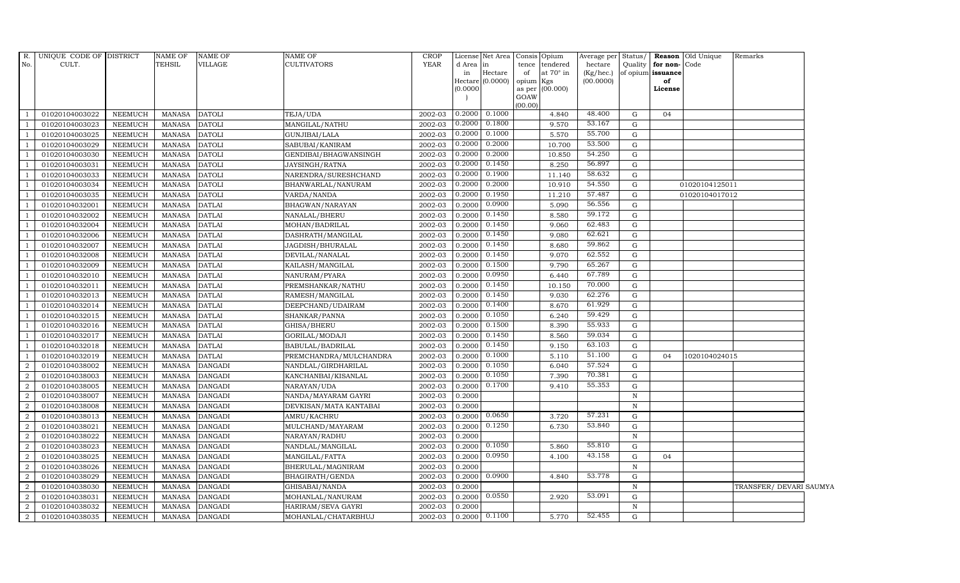| $R$ .          | UNIQUE CODE OF DISTRICT |                | <b>NAME OF</b> | <b>NAME OF</b> | <b>NAME OF</b>          | <b>CROP</b> |                 | License Net Area |                 | Consis Opium                |                      |              |                                              | Average per Status/ <b>Reason</b> Old Unique | Remarks                 |  |
|----------------|-------------------------|----------------|----------------|----------------|-------------------------|-------------|-----------------|------------------|-----------------|-----------------------------|----------------------|--------------|----------------------------------------------|----------------------------------------------|-------------------------|--|
| No.            | CULT.                   |                | <b>TEHSIL</b>  | VILLAGE        | <b>CULTIVATORS</b>      | <b>YEAR</b> | d Area in<br>in | Hectare          | of              | tence tendered<br>at 70° in | hectare<br>(Kg/hec.) |              | Quality   for non- Code<br>of opium issuance |                                              |                         |  |
|                |                         |                |                |                |                         |             |                 | Hectare (0.0000) | opium Kgs       |                             | (00.0000)            |              | of                                           |                                              |                         |  |
|                |                         |                |                |                |                         |             | (0.0000)        |                  |                 | as per (00.000)             |                      |              | License                                      |                                              |                         |  |
|                |                         |                |                |                |                         |             |                 |                  | GOAW<br>(00.00) |                             |                      |              |                                              |                                              |                         |  |
|                | 01020104003022          | <b>NEEMUCH</b> | MANASA         | <b>DATOLI</b>  | TEJA/UDA                | 2002-03     | 0.2000          | 0.1000           |                 | 4.840                       | 48.400               | G            | 04                                           |                                              |                         |  |
|                | 01020104003023          | <b>NEEMUCH</b> | <b>MANASA</b>  | <b>DATOLI</b>  | MANGILAL/NATHU          | 2002-03     | 0.2000          | 0.1800           |                 | 9.570                       | 53.167               | G            |                                              |                                              |                         |  |
|                | 01020104003025          | <b>NEEMUCH</b> | <b>MANASA</b>  | <b>DATOLI</b>  | GUNJIBAI/LALA           | 2002-03     | 0.2000          | 0.1000           |                 | 5.570                       | 55.700               | G            |                                              |                                              |                         |  |
|                | 01020104003029          | <b>NEEMUCH</b> | <b>MANASA</b>  | <b>DATOLI</b>  | SABUBAI/KANIRAM         | 2002-03     | 0.2000          | 0.2000           |                 | 10.700                      | 53.500               | G            |                                              |                                              |                         |  |
|                | 01020104003030          | <b>NEEMUCH</b> | <b>MANASA</b>  | <b>DATOLI</b>  | GENDIBAI/BHAGWANSINGH   | 2002-03     | 0.2000          | 0.2000           |                 | 10.850                      | 54.250               | ${\bf G}$    |                                              |                                              |                         |  |
|                | 01020104003031          | NEEMUCH        | <b>MANASA</b>  | <b>DATOLI</b>  | JAYSINGH/RATNA          | 2002-03     | 0.2000          | 0.1450           |                 | 8.250                       | 56.897               | G            |                                              |                                              |                         |  |
|                | 01020104003033          | <b>NEEMUCH</b> | <b>MANASA</b>  | <b>DATOLI</b>  | NARENDRA/SURESHCHAND    | 2002-03     | 0.2000          | 0.1900           |                 | 11.140                      | 58.632               | G            |                                              |                                              |                         |  |
|                | 01020104003034          | <b>NEEMUCH</b> | <b>MANASA</b>  | <b>DATOLI</b>  | BHANWARLAL/NANURAM      | 2002-03     | 0.2000          | 0.2000           |                 | 10.910                      | 54.550               | G            |                                              | 01020104125011                               |                         |  |
|                | 01020104003035          | <b>NEEMUCH</b> | <b>MANASA</b>  | <b>DATOLI</b>  | VARDA/NANDA             | 2002-03     | 0.2000          | 0.1950           |                 | 11.210                      | 57.487               | G            |                                              | 01020104017012                               |                         |  |
|                | 01020104032001          | <b>NEEMUCH</b> | <b>MANASA</b>  | <b>DATLAI</b>  | BHAGWAN/NARAYAN         | 2002-03     | 0.2000          | 0.0900           |                 | 5.090                       | 56.556               | G            |                                              |                                              |                         |  |
|                | 01020104032002          | <b>NEEMUCH</b> | <b>MANASA</b>  | <b>DATLAI</b>  | NANALAL/BHERU           | 2002-03     | 0.2000          | 0.1450           |                 | 8.580                       | 59.172               | G            |                                              |                                              |                         |  |
|                | 01020104032004          | NEEMUCH        | MANASA         | <b>DATLAI</b>  | MOHAN/BADRILAL          | 2002-03     | 0.2000          | 0.1450           |                 | 9.060                       | 62.483               | G            |                                              |                                              |                         |  |
|                | 01020104032006          | <b>NEEMUCH</b> | <b>MANASA</b>  | <b>DATLAI</b>  | DASHRATH/MANGILAL       | 2002-03     | 0.2000          | 0.1450           |                 | 9.080                       | 62.621               | G            |                                              |                                              |                         |  |
|                | 01020104032007          | <b>NEEMUCH</b> | <b>MANASA</b>  | <b>DATLAI</b>  | JAGDISH/BHURALAL        | 2002-03     | 0.2000          | 0.1450           |                 | 8.680                       | 59.862               | G            |                                              |                                              |                         |  |
|                | 01020104032008          | <b>NEEMUCH</b> | <b>MANASA</b>  | <b>DATLAI</b>  | DEVILAL/NANALAL         | 2002-03     | 0.2000          | 0.1450           |                 | 9.070                       | 62.552               | G            |                                              |                                              |                         |  |
|                | 01020104032009          | <b>NEEMUCH</b> | <b>MANASA</b>  | <b>DATLAI</b>  | KAILASH/MANGILAL        | 2002-03     | 0.2000          | 0.1500           |                 | 9.790                       | 65.267               | G            |                                              |                                              |                         |  |
|                | 01020104032010          | <b>NEEMUCH</b> | <b>MANASA</b>  | <b>DATLAI</b>  | NANURAM/PYARA           | 2002-03     | 0.2000          | 0.0950           |                 | 6.440                       | 67.789               | G            |                                              |                                              |                         |  |
|                | 01020104032011          | <b>NEEMUCH</b> | MANASA         | <b>DATLAI</b>  | PREMSHANKAR/NATHU       | 2002-03     | 0.2000          | 0.1450           |                 | 10.150                      | 70.000               | G            |                                              |                                              |                         |  |
|                | 01020104032013          | <b>NEEMUCH</b> | <b>MANASA</b>  | <b>DATLAI</b>  | RAMESH/MANGILAL         | 2002-03     | 0.2000          | 0.1450           |                 | 9.030                       | 62.276               | G            |                                              |                                              |                         |  |
|                | 01020104032014          | <b>NEEMUCH</b> | <b>MANASA</b>  | <b>DATLAI</b>  | DEEPCHAND/UDAIRAM       | 2002-03     | 0.2000          | 0.1400           |                 | 8.670                       | 61.929               | ${\bf G}$    |                                              |                                              |                         |  |
|                | 01020104032015          | NEEMUCH        | MANASA         | <b>DATLAI</b>  | SHANKAR/PANNA           | 2002-03     | 0.2000          | 0.1050           |                 | 6.240                       | 59.429               | G            |                                              |                                              |                         |  |
|                | 01020104032016          | <b>NEEMUCH</b> | <b>MANASA</b>  | <b>DATLAI</b>  | GHISA/BHERU             | 2002-03     | 0.2000          | 0.1500           |                 | 8.390                       | 55.933               | G            |                                              |                                              |                         |  |
|                | 01020104032017          | <b>NEEMUCH</b> | MANASA         | <b>DATLAI</b>  | GORILAL/MODAJI          | 2002-03     | 0.2000          | 0.1450           |                 | 8.560                       | 59.034               | $\mathbf G$  |                                              |                                              |                         |  |
|                | 01020104032018          | <b>NEEMUCH</b> | <b>MANASA</b>  | <b>DATLAI</b>  | <b>BABULAL/BADRILAL</b> | 2002-03     | 0.2000          | 0.1450           |                 | 9.150                       | 63.103               | G            |                                              |                                              |                         |  |
|                | 01020104032019          | <b>NEEMUCH</b> | <b>MANASA</b>  | <b>DATLAI</b>  | PREMCHANDRA/MULCHANDRA  | 2002-03     | 0.2000          | 0.1000           |                 | 5.110                       | 51.100               | $\mathbf G$  | 04                                           | 1020104024015                                |                         |  |
| 2              | 01020104038002          | <b>NEEMUCH</b> | <b>MANASA</b>  | <b>DANGADI</b> | NANDLAL/GIRDHARILAL     | 2002-03     | 0.2000          | 0.1050           |                 | 6.040                       | 57.524               | G            |                                              |                                              |                         |  |
| 2              | 01020104038003          | <b>NEEMUCH</b> | <b>MANASA</b>  | <b>DANGADI</b> | KANCHANBAI/KISANLAL     | 2002-03     | 0.2000          | 0.1050           |                 | 7.390                       | 70.381               | G            |                                              |                                              |                         |  |
| 2              | 01020104038005          | <b>NEEMUCH</b> | MANASA         | <b>DANGADI</b> | NARAYAN/UDA             | 2002-03     | 0.2000          | 0.1700           |                 | 9.410                       | 55.353               | G            |                                              |                                              |                         |  |
| 2              | 01020104038007          | <b>NEEMUCH</b> | <b>MANASA</b>  | <b>DANGADI</b> | NANDA/MAYARAM GAYRI     | 2002-03     | 0.2000          |                  |                 |                             |                      | $\mathbb N$  |                                              |                                              |                         |  |
| $\mathcal{D}$  | 01020104038008          | <b>NEEMUCH</b> | <b>MANASA</b>  | <b>DANGADI</b> | DEVKISAN/MATA KANTABAI  | 2002-03     | 0.2000          |                  |                 |                             |                      | $\, {\rm N}$ |                                              |                                              |                         |  |
| $\overline{2}$ | 01020104038013          | <b>NEEMUCH</b> | MANASA         | <b>DANGADI</b> | AMRU/KACHRU             | 2002-03     | 0.2000          | 0.0650           |                 | 3.720                       | 57.231               | G            |                                              |                                              |                         |  |
| 2              | 01020104038021          | <b>NEEMUCH</b> | <b>MANASA</b>  | <b>DANGADI</b> | MULCHAND/MAYARAM        | 2002-03     | 0.2000          | 0.1250           |                 | 6.730                       | 53.840               | $\mathbf G$  |                                              |                                              |                         |  |
| 2              | 01020104038022          | <b>NEEMUCH</b> | <b>MANASA</b>  | <b>DANGADI</b> | NARAYAN/RADHU           | 2002-03     | 0.2000          |                  |                 |                             |                      | $\mathbb N$  |                                              |                                              |                         |  |
| $\overline{2}$ | 01020104038023          | <b>NEEMUCH</b> | <b>MANASA</b>  | <b>DANGADI</b> | NANDLAL/MANGILAL        | 2002-03     | 0.2000          | 0.1050           |                 | 5.860                       | 55.810               | $\mathbf G$  |                                              |                                              |                         |  |
| $\overline{2}$ | 01020104038025          | <b>NEEMUCH</b> | <b>MANASA</b>  | <b>DANGADI</b> | MANGILAL/FATTA          | 2002-03     | 0.2000          | 0.0950           |                 | 4.100                       | 43.158               | G            | 04                                           |                                              |                         |  |
| 2              | 01020104038026          | <b>NEEMUCH</b> | <b>MANASA</b>  | <b>DANGADI</b> | BHERULAL/MAGNIRAM       | 2002-03     | 0.2000          |                  |                 |                             |                      | $\mathbf N$  |                                              |                                              |                         |  |
| $\overline{2}$ | 01020104038029          | <b>NEEMUCH</b> | <b>MANASA</b>  | <b>DANGADI</b> | BHAGIRATH/GENDA         | 2002-03     | 0.2000          | 0.0900           |                 | 4.840                       | 53.778               | $\mathbf G$  |                                              |                                              |                         |  |
| $\overline{2}$ | 01020104038030          | <b>NEEMUCH</b> | <b>MANASA</b>  | <b>DANGADI</b> | GHISABAI/NANDA          | 2002-03     | 0.2000          |                  |                 |                             |                      | $\mathbb N$  |                                              |                                              | TRANSFER/ DEVARI SAUMYA |  |
| 2              | 01020104038031          | <b>NEEMUCH</b> | <b>MANASA</b>  | <b>DANGADI</b> | MOHANLAL/NANURAM        | 2002-03     | 0.2000          | 0.0550           |                 | 2.920                       | 53.091               | G            |                                              |                                              |                         |  |
| 2              | 01020104038032          | <b>NEEMUCH</b> | MANASA         | <b>DANGADI</b> | HARIRAM/SEVA GAYRI      | 2002-03     | 0.2000          |                  |                 |                             |                      | $\mathbb N$  |                                              |                                              |                         |  |
| $\overline{a}$ | 01020104038035          | <b>NEEMUCH</b> | <b>MANASA</b>  | <b>DANGADI</b> | MOHANLAL/CHATARBHUJ     | 2002-03     | 0.2000          | 0.1100           |                 | 5.770                       | 52.455               | G            |                                              |                                              |                         |  |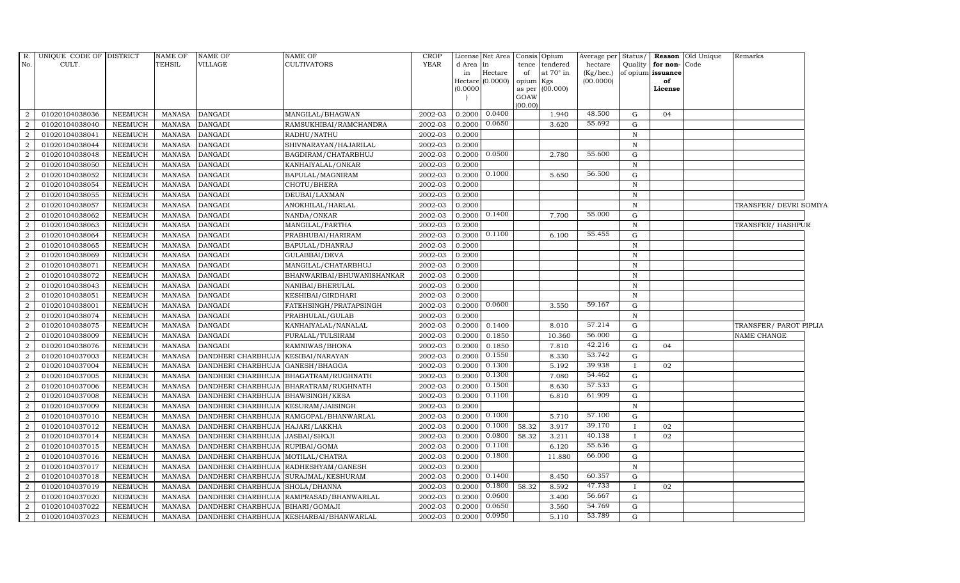| R.               | UNIQUE CODE OF DISTRICT |                | <b>NAME OF</b> | <b>NAME OF</b>                   | <b>NAME OF</b>                          | CROP        |              | License Net Area Consis |                 | Opium                        | Average per             | Status/      |                               | <b>Reason</b> Old Unique | Remarks                |  |
|------------------|-------------------------|----------------|----------------|----------------------------------|-----------------------------------------|-------------|--------------|-------------------------|-----------------|------------------------------|-------------------------|--------------|-------------------------------|--------------------------|------------------------|--|
| No.              | CULT.                   |                | TEHSIL         | <b>VILLAGE</b>                   | CULTIVATORS                             | <b>YEAR</b> | d Area<br>in | in<br>Hectare           | tence<br>of     | tendered<br>at $70^\circ$ in | hectare<br>$(Kg/$ hec.) | Quality      | for non-<br>of opium issuance | Code                     |                        |  |
|                  |                         |                |                |                                  |                                         |             |              | Hectare (0.0000)        | opium           | Kgs                          | (00.0000)               |              | of                            |                          |                        |  |
|                  |                         |                |                |                                  |                                         |             | (0.0000)     |                         | as per          | (00.000)                     |                         |              | License                       |                          |                        |  |
|                  |                         |                |                |                                  |                                         |             |              |                         | GOAW<br>(00.00) |                              |                         |              |                               |                          |                        |  |
| 2                | 01020104038036          | NEEMUCH        | MANASA         | <b>DANGADI</b>                   | MANGILAL/BHAGWAN                        | 2002-03     | 0.2000       | 0.0400                  |                 | 1.940                        | 48.500                  | G            | 04                            |                          |                        |  |
| $\overline{2}$   | 01020104038040          | <b>NEEMUCH</b> | MANASA         | <b>DANGADI</b>                   | RAMSUKHIBAI/RAMCHANDRA                  | 2002-03     | 0.2000       | 0.0650                  |                 | 3.620                        | 55.692                  | $\mathbf G$  |                               |                          |                        |  |
| $\overline{2}$   | 01020104038041          | NEEMUCH        | MANASA         | <b>DANGADI</b>                   | RADHU/NATHU                             | 2002-03     | 0.2000       |                         |                 |                              |                         | $\, {\rm N}$ |                               |                          |                        |  |
| $\overline{2}$   | 01020104038044          | <b>NEEMUCH</b> | <b>MANASA</b>  | <b>DANGADI</b>                   | SHIVNARAYAN/HAJARILAL                   | 2002-03     | 0.2000       |                         |                 |                              |                         | $\, {\rm N}$ |                               |                          |                        |  |
| $\overline{2}$   | 01020104038048          | <b>NEEMUCH</b> | <b>MANASA</b>  | <b>DANGADI</b>                   | BAGDIRAM/CHATARBHUJ                     | 2002-03     | 0.2000       | 0.0500                  |                 | 2.780                        | 55.600                  | G            |                               |                          |                        |  |
| $\overline{2}$   | 01020104038050          | <b>NEEMUCH</b> | <b>MANASA</b>  | <b>DANGADI</b>                   | KANHAIYALAL/ONKAR                       | 2002-03     | 0.2000       |                         |                 |                              |                         | ${\bf N}$    |                               |                          |                        |  |
| $\overline{a}$   | 01020104038052          | <b>NEEMUCH</b> | <b>MANASA</b>  | <b>DANGADI</b>                   | BAPULAL/MAGNIRAM                        | 2002-03     | 0.2000       | 0.1000                  |                 | 5.650                        | 56.500                  | G            |                               |                          |                        |  |
| $\overline{2}$   | 01020104038054          | NEEMUCH        | MANASA         | <b>DANGADI</b>                   | CHOTU/BHERA                             | 2002-03     | 0.2000       |                         |                 |                              |                         | $\mathbf N$  |                               |                          |                        |  |
| $\overline{2}$   | 01020104038055          | <b>NEEMUCH</b> | <b>MANASA</b>  | <b>DANGADI</b>                   | DEUBAI/LAXMAN                           | 2002-03     | 0.2000       |                         |                 |                              |                         | $\, {\rm N}$ |                               |                          |                        |  |
| $\overline{2}$   | 01020104038057          | <b>NEEMUCH</b> | <b>MANASA</b>  | <b>DANGADI</b>                   | ANOKHILAL/HARLAL                        | 2002-03     | 0.2000       |                         |                 |                              |                         | $\, {\rm N}$ |                               |                          | TRANSFER/DEVRI SOMIYA  |  |
| $\overline{2}$   | 01020104038062          | NEEMUCH        | <b>MANASA</b>  | <b>DANGADI</b>                   | NANDA/ONKAR                             | 2002-03     |              | $0.2000$ $0.1400$       |                 | 7.700                        | 55.000                  | G            |                               |                          |                        |  |
| $\overline{a}$   | 01020104038063          | <b>NEEMUCH</b> | <b>MANASA</b>  | <b>DANGADI</b>                   | MANGILAL/PARTHA                         | 2002-03     | 0.2000       |                         |                 |                              |                         | ${\bf N}$    |                               |                          | TRANSFER/ HASHPUR      |  |
| $\overline{2}$   | 01020104038064          | <b>NEEMUCH</b> | <b>MANASA</b>  | <b>DANGADI</b>                   | PRABHUBAI/HARIRAM                       | 2002-03     | 0.2000       | 0.1100                  |                 | 6.100                        | 55.455                  | G            |                               |                          |                        |  |
| $\overline{2}$   | 01020104038065          | <b>NEEMUCH</b> | <b>MANASA</b>  | <b>DANGADI</b>                   | BAPULAL/DHANRAJ                         | 2002-03     | 0.2000       |                         |                 |                              |                         | $\, {\rm N}$ |                               |                          |                        |  |
| $\overline{2}$   | 01020104038069          | <b>NEEMUCH</b> | <b>MANASA</b>  | <b>DANGADI</b>                   | GULABBAI/DEVA                           | 2002-03     | 0.2000       |                         |                 |                              |                         | $\, {\rm N}$ |                               |                          |                        |  |
| $\overline{2}$   | 01020104038071          | NEEMUCH        | MANASA         | <b>DANGADI</b>                   | MANGILAL/CHATARBHUJ                     | 2002-03     | 0.2000       |                         |                 |                              |                         | $\mathbb N$  |                               |                          |                        |  |
| $\overline{2}$   | 01020104038072          | <b>NEEMUCH</b> | <b>MANASA</b>  | <b>DANGADI</b>                   | BHANWARIBAI/BHUWANISHANKAR              | 2002-03     | 0.2000       |                         |                 |                              |                         | $\, {\rm N}$ |                               |                          |                        |  |
| $\overline{a}$   | 01020104038043          | NEEMUCH        | MANASA         | <b>DANGADI</b>                   | NANIBAI/BHERULAL                        | 2002-03     | 0.2000       |                         |                 |                              |                         | $\mathbf N$  |                               |                          |                        |  |
| $\overline{2}$   | 01020104038051          | <b>NEEMUCH</b> | <b>MANASA</b>  | <b>DANGADI</b>                   | KESHIBAI/GIRDHARI                       | 2002-03     | 0.2000       |                         |                 |                              |                         | $\mathbf N$  |                               |                          |                        |  |
| $\overline{2}$   | 01020104038001          | <b>NEEMUCH</b> | <b>MANASA</b>  | <b>DANGADI</b>                   | FATEHSINGH/PRATAPSINGH                  | 2002-03     | 0.2000       | 0.0600                  |                 | 3.550                        | 59.167                  | ${\rm G}$    |                               |                          |                        |  |
| $\overline{2}$   | 01020104038074          | <b>NEEMUCH</b> | <b>MANASA</b>  | <b>DANGADI</b>                   | PRABHULAL/GULAB                         | 2002-03     | 0.2000       |                         |                 |                              |                         | $\, {\rm N}$ |                               |                          |                        |  |
| $\overline{2}$   | 01020104038075          | <b>NEEMUCH</b> | <b>MANASA</b>  | <b>DANGADI</b>                   | KANHAIYALAL/NANALAL                     | 2002-03     | 0.2000       | 0.1400                  |                 | 8.010                        | 57.214                  | G            |                               |                          | TRANSFER/ PAROT PIPLIA |  |
| $\overline{2}$   | 01020104038009          | <b>NEEMUCH</b> | <b>MANASA</b>  | <b>DANGADI</b>                   | PURALAL/TULSIRAM                        | 2002-03     | 0.2000       | 0.1850                  |                 | 10.360                       | 56.000                  | ${\rm G}$    |                               |                          | NAME CHANGE            |  |
| $\overline{2}$   | 01020104038076          | <b>NEEMUCH</b> | <b>MANASA</b>  | <b>DANGADI</b>                   | RAMNIWAS/BHONA                          | 2002-03     | 0.2000       | 0.1850                  |                 | 7.810                        | 42.216                  | $\mathbf G$  | 04                            |                          |                        |  |
| $\overline{2}$   | 01020104037003          | <b>NEEMUCH</b> | <b>MANASA</b>  | DANDHERI CHARBHUJA               | <b>KESIBAI/NARAYAN</b>                  | 2002-03     | 0.2000       | 0.1550                  |                 | 8.330                        | 53.742                  | G            |                               |                          |                        |  |
| $\overline{2}$   | 01020104037004          | NEEMUCH        | <b>MANASA</b>  | DANDHERI CHARBHUJA               | GANESH/BHAGGA                           | 2002-03     | 0.2000       | 0.1300                  |                 | 5.192                        | 39.938                  |              | 02                            |                          |                        |  |
| $\overline{a}$   | 01020104037005          | <b>NEEMUCH</b> | <b>MANASA</b>  |                                  | DANDHERI CHARBHUJA BHAGATRAM/RUGHNATH   | 2002-03     | 0.2000       | 0.1300                  |                 | 7.080                        | 54.462                  | G            |                               |                          |                        |  |
| $\overline{2}$   | 01020104037006          | <b>NEEMUCH</b> | <b>MANASA</b>  | DANDHERI CHARBHUJA               | BHARATRAM/RUGHNATH                      | 2002-03     | 0.2000       | 0.1500                  |                 | 8.630                        | 57.533                  | ${\rm G}$    |                               |                          |                        |  |
| $\overline{2}$   | 01020104037008          | <b>NEEMUCH</b> | <b>MANASA</b>  | DANDHERI CHARBHUJA               | <b>BHAWSINGH/KESA</b>                   | 2002-03     | 0.2000       | 0.1100                  |                 | 6.810                        | 61.909                  | ${\rm G}$    |                               |                          |                        |  |
| $\overline{2}$   | 01020104037009          | <b>NEEMUCH</b> | <b>MANASA</b>  | DANDHERI CHARBHUJA               | KESURAM/JAISINGH                        | 2002-03     | 0.2000       |                         |                 |                              |                         | N            |                               |                          |                        |  |
| $\overline{2}$   | 01020104037010          | <b>NEEMUCH</b> | <b>MANASA</b>  |                                  | DANDHERI CHARBHUJA RAMGOPAL/BHANWARLAL  | 2002-03     | 0.2000       | 0.1000                  |                 | 5.710                        | 57.100                  | G            |                               |                          |                        |  |
| 2                | 01020104037012          | <b>NEEMUCH</b> | <b>MANASA</b>  | DANDHERI CHARBHUJA HAJARI/LAKKHA |                                         | 2002-03     | 0.2000       | 0.1000                  | 58.32           | 3.917                        | 39.170                  | $\mathbf{I}$ | 02                            |                          |                        |  |
| $\overline{a}$   | 01020104037014          | <b>NEEMUCH</b> | <b>MANASA</b>  | DANDHERI CHARBHUJA JASBAI/SHOJI  |                                         | 2002-03     | 0.2000       | 0.0800                  | 58.32           | 3.211                        | 40.138                  |              | 02                            |                          |                        |  |
| $\overline{2}$   | 01020104037015          | <b>NEEMUCH</b> | <b>MANASA</b>  | DANDHERI CHARBHUJA               | RUPIBAI/GOMA                            | 2002-03     | 0.2000       | 0.1100                  |                 | 6.120                        | 55.636                  | G            |                               |                          |                        |  |
| $\overline{2}$   | 01020104037016          | <b>NEEMUCH</b> | <b>MANASA</b>  | DANDHERI CHARBHUJA               | MOTILAL/CHATRA                          | 2002-03     | 0.2000       | 0.1800                  |                 | 11.880                       | 66.000                  | $\mathbf G$  |                               |                          |                        |  |
| $\boldsymbol{2}$ | 01020104037017          | <b>NEEMUCH</b> | <b>MANASA</b>  | DANDHERI CHARBHUJA               | RADHESHYAM/GANESH                       | 2002-03     | 0.2000       |                         |                 |                              |                         | $\,$ N       |                               |                          |                        |  |
| 2                | 01020104037018          | <b>NEEMUCH</b> | <b>MANASA</b>  |                                  | DANDHERI CHARBHUJA SURAJMAL/KESHURAM    | 2002-03     | 0.2000       | 0.1400                  |                 | 8.450                        | 60.357                  | G            |                               |                          |                        |  |
| $\overline{2}$   | 01020104037019          | <b>NEEMUCH</b> | <b>MANASA</b>  | DANDHERI CHARBHUJA               | SHOLA/DHANNA                            | 2002-03     | 0.2000       | 0.1800                  | 58.32           | 8.592                        | 47.733                  | $\mathbf{I}$ | 02                            |                          |                        |  |
| 2                | 01020104037020          | <b>NEEMUCH</b> | <b>MANASA</b>  | DANDHERI CHARBHUJA               | RAMPRASAD/BHANWARLAL                    | 2002-03     | 0.2000       | 0.0600                  |                 | 3.400                        | 56.667                  | G            |                               |                          |                        |  |
| $\overline{2}$   | 01020104037022          | <b>NEEMUCH</b> | <b>MANASA</b>  | DANDHERI CHARBHUJA               | BIHARI/GOMAJI                           | 2002-03     | 0.2000       | 0.0650                  |                 | 3.560                        | 54.769                  | G            |                               |                          |                        |  |
| $\overline{a}$   | 01020104037023          | <b>NEEMUCH</b> | <b>MANASA</b>  |                                  | DANDHERI CHARBHUJA KESHARBAI/BHANWARLAL | 2002-03     | 0.2000       | 0.0950                  |                 | 5.110                        | 53.789                  | G            |                               |                          |                        |  |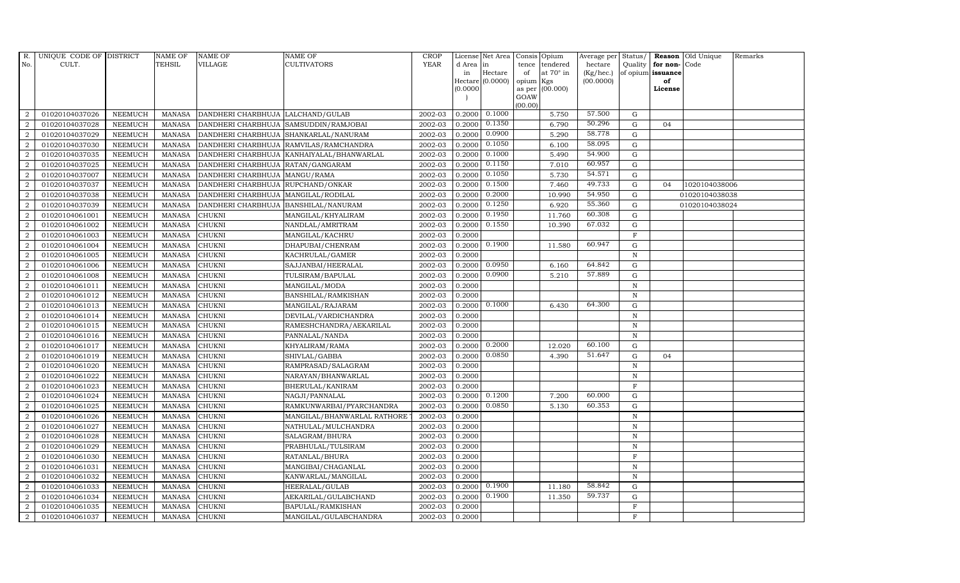| R.               | UNIQUE CODE OF DISTRICT |                | <b>NAME OF</b> | <b>NAME OF</b>                    | <b>NAME OF</b>                            | CROP        |           | License Net Area   |                 | Consis Opium     | Average per     | Status/      |                   | <b>Reason</b> Old Unique | Remarks |
|------------------|-------------------------|----------------|----------------|-----------------------------------|-------------------------------------------|-------------|-----------|--------------------|-----------------|------------------|-----------------|--------------|-------------------|--------------------------|---------|
| No.              | CULT.                   |                | <b>TEHSIL</b>  | <b>VILLAGE</b>                    | CULTIVATORS                               | <b>YEAR</b> | d Area in |                    | tence           | tendered         | hectare         | Quality      | for non-          | Code                     |         |
|                  |                         |                |                |                                   |                                           |             | in        | Hectare            | of              | at $70^\circ$ in | $(Kg/$ hec. $)$ |              | of opium issuance |                          |         |
|                  |                         |                |                |                                   |                                           |             | (0.0000)  | Hectare $(0.0000)$ | opium<br>as per | Kgs<br>(00.000)  | (00.0000)       |              | of<br>License     |                          |         |
|                  |                         |                |                |                                   |                                           |             |           |                    | GOAW            |                  |                 |              |                   |                          |         |
|                  |                         |                |                |                                   |                                           |             |           |                    | (00.00)         |                  |                 |              |                   |                          |         |
| 2                | 01020104037026          | <b>NEEMUCH</b> | <b>MANASA</b>  | DANDHERI CHARBHUJA LALCHAND/GULAB |                                           | 2002-03     | 0.2000    | 0.1000             |                 | 5.750            | 57.500          | G            |                   |                          |         |
| $\overline{2}$   | 01020104037028          | <b>NEEMUCH</b> | <b>MANASA</b>  | DANDHERI CHARBHUJA                | SAMSUDDIN/RAMJOBAI                        | 2002-03     | 0.2000    | 0.1350             |                 | 6.790            | 50.296          | G            | 04                |                          |         |
| 2                | 01020104037029          | <b>NEEMUCH</b> | <b>MANASA</b>  | DANDHERI CHARBHUJA                | SHANKARLAL/NANURAM                        | 2002-03     | 0.2000    | 0.0900             |                 | 5.290            | 58.778          | $\mathbf G$  |                   |                          |         |
| $\overline{2}$   | 01020104037030          | <b>NEEMUCH</b> | <b>MANASA</b>  |                                   | DANDHERI CHARBHUJA RAMVILAS/RAMCHANDRA    | 2002-03     | 0.2000    | 0.1050             |                 | 6.100            | 58.095          | $\mathbf G$  |                   |                          |         |
| $\overline{2}$   | 01020104037035          | <b>NEEMUCH</b> | <b>MANASA</b>  |                                   | DANDHERI CHARBHUJA KANHAIYALAL/BHANWARLAL | 2002-03     | 0.2000    | 0.1000             |                 | 5.490            | 54.900          | G            |                   |                          |         |
| $\overline{2}$   | 01020104037025          | <b>NEEMUCH</b> | <b>MANASA</b>  | DANDHERI CHARBHUJA                | RATAN/GANGARAM                            | 2002-03     | 0.2000    | 0.1150             |                 | 7.010            | 60.957          | G            |                   |                          |         |
| $\overline{2}$   | 01020104037007          | <b>NEEMUCH</b> | <b>MANASA</b>  | DANDHERI CHARBHUJA                | MANGU/RAMA                                | 2002-03     | 0.2000    | 0.1050             |                 | 5.730            | 54.571          | G            |                   |                          |         |
| 2                | 01020104037037          | <b>NEEMUCH</b> | <b>MANASA</b>  | DANDHERI CHARBHUJA                | RUPCHAND/ONKAR                            | 2002-03     | 0.2000    | 0.1500             |                 | 7.460            | 49.733          | G            | 04                | 1020104038006            |         |
| $\overline{2}$   | 01020104037038          | <b>NEEMUCH</b> | <b>MANASA</b>  | DANDHERI CHARBHUJA                | MANGILAL/RODILAL                          | 2002-03     | 0.2000    | 0.2000             |                 | 10.990           | 54.950          | G            |                   | 01020104038038           |         |
| $\overline{2}$   | 01020104037039          | <b>NEEMUCH</b> | <b>MANASA</b>  | DANDHERI CHARBHUJA                | BANSHILAL/NANURAM                         | 2002-03     | 0.2000    | 0.1250             |                 | 6.920            | 55.360          | G            |                   | 01020104038024           |         |
| 2                | 01020104061001          | <b>NEEMUCH</b> | <b>MANASA</b>  | <b>CHUKNI</b>                     | MANGILAL/KHYALIRAM                        | 2002-03     | 0.2000    | 0.1950             |                 | 11.760           | 60.308          | G            |                   |                          |         |
| $\overline{2}$   | 01020104061002          | <b>NEEMUCH</b> | <b>MANASA</b>  | <b>CHUKNI</b>                     | NANDLAL/AMRITRAM                          | 2002-03     | 0.2000    | 0.1550             |                 | 10.390           | 67.032          | G            |                   |                          |         |
| $\overline{2}$   | 01020104061003          | <b>NEEMUCH</b> | <b>MANASA</b>  | <b>CHUKNI</b>                     | MANGILAL/KACHRU                           | 2002-03     | 0.2000    |                    |                 |                  |                 | $\mathbf{F}$ |                   |                          |         |
| $\overline{2}$   | 01020104061004          | <b>NEEMUCH</b> | <b>MANASA</b>  | <b>CHUKNI</b>                     | DHAPUBAI/CHENRAM                          | 2002-03     | 0.2000    | 0.1900             |                 | 11.580           | 60.947          | $\mathbf G$  |                   |                          |         |
| $\boldsymbol{2}$ | 01020104061005          | <b>NEEMUCH</b> | <b>MANASA</b>  | CHUKNI                            | KACHRULAL/GAMER                           | 2002-03     | 0.2000    |                    |                 |                  |                 | $\, {\bf N}$ |                   |                          |         |
| 2                | 01020104061006          | <b>NEEMUCH</b> | <b>MANASA</b>  | <b>CHUKNI</b>                     | SAJJANBAI/HEERALAL                        | 2002-03     | 0.2000    | 0.0950             |                 | 6.160            | 64.842          | G            |                   |                          |         |
| $\overline{2}$   | 01020104061008          | <b>NEEMUCH</b> | <b>MANASA</b>  | <b>CHUKNI</b>                     | TULSIRAM/BAPULAL                          | 2002-03     | 0.2000    | 0.0900             |                 | 5.210            | 57.889          | G            |                   |                          |         |
| $\overline{2}$   | 01020104061011          | <b>NEEMUCH</b> | <b>MANASA</b>  | <b>CHUKNI</b>                     | MANGILAL/MODA                             | 2002-03     | 0.2000    |                    |                 |                  |                 | $\, {\rm N}$ |                   |                          |         |
| 2                | 01020104061012          | <b>NEEMUCH</b> | <b>MANASA</b>  | <b>CHUKNI</b>                     | BANSHILAL/RAMKISHAN                       | 2002-03     | 0.2000    |                    |                 |                  |                 | $\mathbf N$  |                   |                          |         |
| $\overline{2}$   | 01020104061013          | <b>NEEMUCH</b> | <b>MANASA</b>  | CHUKNI                            | MANGILAL/RAJARAM                          | 2002-03     | 0.2000    | 0.1000             |                 | 6.430            | 64.300          | $\mathbf G$  |                   |                          |         |
| $\overline{2}$   | 01020104061014          | <b>NEEMUCH</b> | <b>MANASA</b>  | <b>CHUKNI</b>                     | DEVILAL/VARDICHANDRA                      | 2002-03     | 0.2000    |                    |                 |                  |                 | $\, {\rm N}$ |                   |                          |         |
| $\overline{2}$   | 01020104061015          | <b>NEEMUCH</b> | <b>MANASA</b>  | <b>CHUKNI</b>                     | RAMESHCHANDRA/AEKARILAL                   | 2002-03     | 0.2000    |                    |                 |                  |                 | $\mathbf N$  |                   |                          |         |
| $\overline{2}$   | 01020104061016          | <b>NEEMUCH</b> | <b>MANASA</b>  | <b>CHUKNI</b>                     | PANNALAL/NANDA                            | 2002-03     | 0.2000    |                    |                 |                  |                 | $\, {\bf N}$ |                   |                          |         |
| $\overline{2}$   | 01020104061017          | <b>NEEMUCH</b> | <b>MANASA</b>  | <b>CHUKNI</b>                     | KHYALIRAM/RAMA                            | 2002-03     | 0.2000    | 0.2000             |                 | 12.020           | 60.100          | G            |                   |                          |         |
| $\overline{2}$   | 01020104061019          | <b>NEEMUCH</b> | <b>MANASA</b>  | CHUKNI                            | SHIVLAL/GABBA                             | 2002-03     | 0.2000    | 0.0850             |                 | 4.390            | 51.647          | $\mathbf G$  | 04                |                          |         |
| $\overline{2}$   | 01020104061020          | <b>NEEMUCH</b> | <b>MANASA</b>  | CHUKNI                            | RAMPRASAD/SALAGRAM                        | 2002-03     | 0.2000    |                    |                 |                  |                 | $\, {\rm N}$ |                   |                          |         |
| $\overline{2}$   | 01020104061022          | <b>NEEMUCH</b> | <b>MANASA</b>  | <b>CHUKNI</b>                     | NARAYAN/BHANWARLAL                        | 2002-03     | 0.2000    |                    |                 |                  |                 | $\, {\rm N}$ |                   |                          |         |
| $\overline{2}$   | 01020104061023          | <b>NEEMUCH</b> | <b>MANASA</b>  | <b>CHUKNI</b>                     | BHERULAL/KANIRAM                          | 2002-03     | 0.2000    |                    |                 |                  |                 | F            |                   |                          |         |
| $\overline{2}$   | 01020104061024          | <b>NEEMUCH</b> | <b>MANASA</b>  | CHUKNI                            | NAGJI/PANNALAL                            | 2002-03     | 0.2000    | 0.1200             |                 | 7.200            | 60.000          | ${\rm G}$    |                   |                          |         |
| $\overline{2}$   | 01020104061025          | <b>NEEMUCH</b> | <b>MANASA</b>  | <b>CHUKNI</b>                     | RAMKUNWARBAI/PYARCHANDRA                  | 2002-03     | 0.2000    | 0.0850             |                 | 5.130            | 60.353          | G            |                   |                          |         |
| $\overline{2}$   | 01020104061026          | <b>NEEMUCH</b> | <b>MANASA</b>  | CHUKNI                            | MANGILAL/BHANWARLAL RATHORE               | 2002-03     | 0.2000    |                    |                 |                  |                 | $\, {\rm N}$ |                   |                          |         |
| $\overline{2}$   | 01020104061027          | <b>NEEMUCH</b> | <b>MANASA</b>  | <b>CHUKNI</b>                     | NATHULAL/MULCHANDRA                       | 2002-03     | 0.2000    |                    |                 |                  |                 | N            |                   |                          |         |
| $\overline{2}$   | 01020104061028          | <b>NEEMUCH</b> | <b>MANASA</b>  | CHUKNI                            | SALAGRAM/BHURA                            | 2002-03     | 0.2000    |                    |                 |                  |                 | $\mathbf N$  |                   |                          |         |
| 2                | 01020104061029          | <b>NEEMUCH</b> | <b>MANASA</b>  | <b>CHUKNI</b>                     | PRABHULAL/TULSIRAM                        | 2002-03     | 0.2000    |                    |                 |                  |                 | $\mathbf N$  |                   |                          |         |
| 2                | 01020104061030          | <b>NEEMUCH</b> | <b>MANASA</b>  | <b>CHUKNI</b>                     | RATANLAL/BHURA                            | 2002-03     | 0.2000    |                    |                 |                  |                 | $\mathbf{F}$ |                   |                          |         |
| $\overline{2}$   | 01020104061031          | <b>NEEMUCH</b> | <b>MANASA</b>  | CHUKNI                            | MANGIBAI/CHAGANLAL                        | 2002-03     | 0.2000    |                    |                 |                  |                 | $\mathbf N$  |                   |                          |         |
| 2                | 01020104061032          | <b>NEEMUCH</b> | <b>MANASA</b>  | <b>CHUKNI</b>                     | KANWARLAL/MANGILAL                        | 2002-03     | 0.2000    |                    |                 |                  |                 | N            |                   |                          |         |
| $\overline{2}$   | 01020104061033          | <b>NEEMUCH</b> | <b>MANASA</b>  | CHUKNI                            | HEERALAL/GULAB                            | 2002-03     | 0.2000    | 0.1900             |                 | 11.180           | 58.842          | G            |                   |                          |         |
| 2                | 01020104061034          | <b>NEEMUCH</b> | <b>MANASA</b>  | <b>CHUKNI</b>                     | AEKARILAL/GULABCHAND                      | 2002-03     | 0.2000    | 0.1900             |                 | 11.350           | 59.737          | G            |                   |                          |         |
| 2                | 01020104061035          | <b>NEEMUCH</b> | <b>MANASA</b>  | <b>CHUKNI</b>                     | BAPULAL/RAMKISHAN                         | 2002-03     | 0.2000    |                    |                 |                  |                 | $\mathbf{F}$ |                   |                          |         |
| $\overline{2}$   | 01020104061037          | <b>NEEMUCH</b> | MANASA         | <b>CHUKNI</b>                     | MANGILAL/GULABCHANDRA                     | 2002-03     | 0.2000    |                    |                 |                  |                 | F            |                   |                          |         |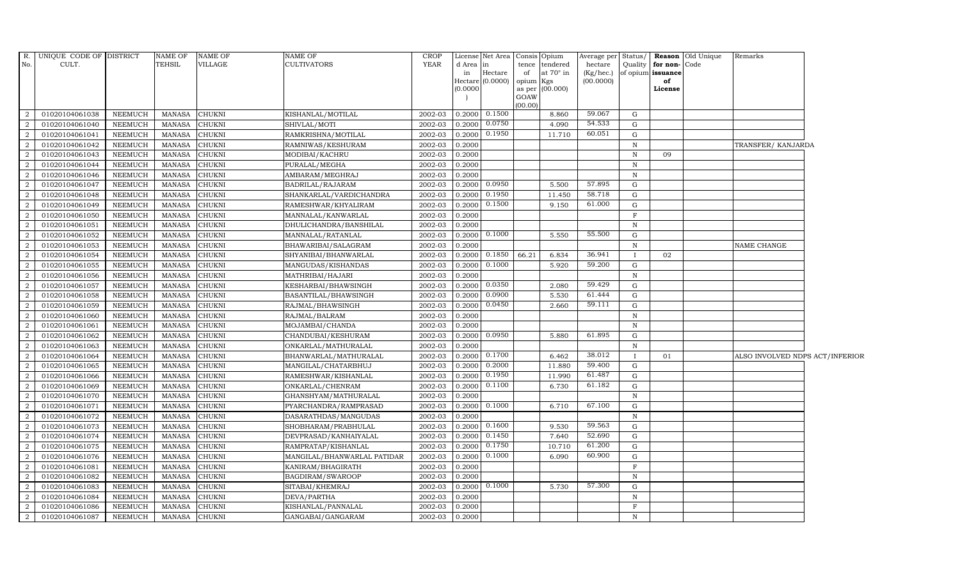| $R$ .          | UNIQUE CODE OF DISTRICT |                 | <b>NAME OF</b> | <b>NAME OF</b> | <b>NAME OF</b>              | <b>CROP</b> |           | License Net Area Consis Opium |         |                 |           |              |                      | Average per Status/ <b>Reason</b> Old Unique | Remarks                         |  |
|----------------|-------------------------|-----------------|----------------|----------------|-----------------------------|-------------|-----------|-------------------------------|---------|-----------------|-----------|--------------|----------------------|----------------------------------------------|---------------------------------|--|
| No.            | CULT.                   |                 | TEHSIL         | <b>VILLAGE</b> | <b>CULTIVATORS</b>          | <b>YEAR</b> | d Area in |                               | tence   | tendered        | hectare   |              | Quality for non-Code |                                              |                                 |  |
|                |                         |                 |                |                |                             |             | in        | Hectare                       | of      | at 70° in       | (Kg/hec.) |              | of opium issuance    |                                              |                                 |  |
|                |                         |                 |                |                |                             |             | (0.0000)  | Hectare (0.0000) opium Kgs    |         | as per (00.000) | (00.0000) |              | of<br>License        |                                              |                                 |  |
|                |                         |                 |                |                |                             |             |           |                               | GOAW    |                 |           |              |                      |                                              |                                 |  |
|                |                         |                 |                |                |                             |             |           |                               | (00.00) |                 |           |              |                      |                                              |                                 |  |
| 2              | 01020104061038          | NEEMUCH         | <b>MANASA</b>  | <b>CHUKNI</b>  | KISHANLAL/MOTILAL           | 2002-03     |           | $0.2000$ $0.1500$             |         | 8.860           | 59.067    | G            |                      |                                              |                                 |  |
| 2              | 01020104061040          | NEEMUCH         | <b>MANASA</b>  | <b>CHUKNI</b>  | SHIVLAL/MOTI                | 2002-03     | 0.2000    | 0.0750                        |         | 4.090           | 54.533    | G            |                      |                                              |                                 |  |
| $\mathcal{D}$  | 01020104061041          | NEEMUCH         | <b>MANASA</b>  | <b>CHUKNI</b>  | RAMKRISHNA/MOTILAL          | 2002-03     | 0.2000    | 0.1950                        |         | 11.710          | 60.051    | G            |                      |                                              |                                 |  |
| $\overline{2}$ | 01020104061042          | NEEMUCH         | <b>MANASA</b>  | <b>CHUKNI</b>  | RAMNIWAS/KESHURAM           | 2002-03     | 0.2000    |                               |         |                 |           | $\, {\rm N}$ |                      |                                              | TRANSFER/ KANJARDA              |  |
| 2              | 01020104061043          | NEEMUCH         | <b>MANASA</b>  | <b>CHUKNI</b>  | MODIBAI/KACHRU              | 2002-03     | 0.2000    |                               |         |                 |           | $\, {\rm N}$ | 09                   |                                              |                                 |  |
| 2              | 01020104061044          | NEEMUCH         | <b>MANASA</b>  | <b>CHUKNI</b>  | PURALAL/MEGHA               | 2002-03     | 0.2000    |                               |         |                 |           | $\mathbb N$  |                      |                                              |                                 |  |
| 2              | 01020104061046          | NEEMUCH         | <b>MANASA</b>  | <b>CHUKNI</b>  | AMBARAM/MEGHRAJ             | 2002-03     | 0.2000    |                               |         |                 |           | ${\bf N}$    |                      |                                              |                                 |  |
| 2              | 01020104061047          | NEEMUCH         | <b>MANASA</b>  | <b>CHUKNI</b>  | BADRILAL/RAJARAM            | 2002-03     | 0.2000    | 0.0950                        |         | 5.500           | 57.895    | G            |                      |                                              |                                 |  |
|                | 01020104061048          | NEEMUCH         | <b>MANASA</b>  | <b>CHUKNI</b>  | SHANKARLAL/VARDICHANDRA     | 2002-03     | 0.2000    | 0.1950                        |         | 11.450          | 58.718    | G            |                      |                                              |                                 |  |
| 2              | 01020104061049          | NEEMUCH         | <b>MANASA</b>  | <b>CHUKNI</b>  | RAMESHWAR/KHYALIRAM         | 2002-03     | 0.2000    | 0.1500                        |         | 9.150           | 61.000    | G            |                      |                                              |                                 |  |
| 2              | 01020104061050          | NEEMUCH         | <b>MANASA</b>  | <b>CHUKNI</b>  | MANNALAL/KANWARLAL          | 2002-03     | 0.2000    |                               |         |                 |           | $\mathbf F$  |                      |                                              |                                 |  |
| 2              | 01020104061051          | NEEMUCH         | <b>MANASA</b>  | <b>CHUKNI</b>  | DHULICHANDRA/BANSHILAL      | 2002-03     | 0.2000    |                               |         |                 |           | $\, {\rm N}$ |                      |                                              |                                 |  |
| 2              | 01020104061052          | NEEMUCH         | <b>MANASA</b>  | <b>CHUKNI</b>  | MANNALAL/RATANLAL           | 2002-03     | 0.2000    | 0.1000                        |         | 5.550           | 55.500    | G            |                      |                                              |                                 |  |
| 2              | 01020104061053          | <b>NEEMUCH</b>  | <b>MANASA</b>  | <b>CHUKNI</b>  | BHAWARIBAI/SALAGRAM         | 2002-03     | 0.2000    |                               |         |                 |           | $\mathbf N$  |                      |                                              | NAME CHANGE                     |  |
| 2              | 01020104061054          | NEEMUCH         | <b>MANASA</b>  | <b>CHUKNI</b>  | SHYANIBAI/BHANWARLAL        | 2002-03     | 0.2000    | 0.1850                        | 66.21   | 6.834           | 36.941    | -1           | 02                   |                                              |                                 |  |
| 2              | 01020104061055          | ${\tt NEEMUCH}$ | <b>MANASA</b>  | <b>CHUKNI</b>  | MANGUDAS/KISHANDAS          | 2002-03     | 0.2000    | 0.1000                        |         | 5.920           | 59.200    | G            |                      |                                              |                                 |  |
| 2              | 01020104061056          | NEEMUCH         | <b>MANASA</b>  | <b>CHUKNI</b>  | MATHRIBAI/HAJARI            | 2002-03     | 0.2000    |                               |         |                 |           | N            |                      |                                              |                                 |  |
| 2              | 01020104061057          | NEEMUCH         | <b>MANASA</b>  | <b>CHUKNI</b>  | KESHARBAI/BHAWSINGH         | 2002-03     | 0.2000    | 0.0350                        |         | 2.080           | 59.429    | G            |                      |                                              |                                 |  |
| 2              | 01020104061058          | NEEMUCH         | <b>MANASA</b>  | <b>CHUKNI</b>  | BASANTILAL/BHAWSINGH        | 2002-03     | 0.2000    | 0.0900                        |         | 5.530           | 61.444    | $\mathbf G$  |                      |                                              |                                 |  |
| $\mathcal{D}$  | 01020104061059          | <b>NEEMUCH</b>  | <b>MANASA</b>  | <b>CHUKNI</b>  | RAJMAL/BHAWSINGH            | 2002-03     | 0.2000    | 0.0450                        |         | 2.660           | 59.111    | G            |                      |                                              |                                 |  |
| 2              | 01020104061060          | NEEMUCH         | <b>MANASA</b>  | <b>CHUKNI</b>  | RAJMAL/BALRAM               | 2002-03     | 0.2000    |                               |         |                 |           | $\mathbb N$  |                      |                                              |                                 |  |
| 2              | 01020104061061          | NEEMUCH         | <b>MANASA</b>  | <b>CHUKNI</b>  | MOJAMBAI/CHANDA             | 2002-03     | 0.2000    |                               |         |                 |           | $\mathbb N$  |                      |                                              |                                 |  |
| 2              | 01020104061062          | NEEMUCH         | <b>MANASA</b>  | <b>CHUKNI</b>  | CHANDUBAI/KESHURAM          | 2002-03     |           | 0.2000 0.0950                 |         | 5.880           | 61.895    | G            |                      |                                              |                                 |  |
| 2              | 01020104061063          | NEEMUCH         | <b>MANASA</b>  | <b>CHUKNI</b>  | ONKARLAL/MATHURALAL         | 2002-03     | 0.2000    |                               |         |                 |           | N            |                      |                                              |                                 |  |
| $\overline{2}$ | 01020104061064          | NEEMUCH         | <b>MANASA</b>  | <b>CHUKNI</b>  | BHANWARLAL/MATHURALAL       | 2002-03     | 0.2000    | 0.1700                        |         | 6.462           | 38.012    | $\mathbf{I}$ | 01                   |                                              | ALSO INVOLVED NDPS ACT/INFERIOR |  |
| 2              | 01020104061065          | NEEMUCH         | <b>MANASA</b>  | <b>CHUKNI</b>  | MANGILAL/CHATARBHUJ         | 2002-03     | 0.2000    | 0.2000                        |         | 11.880          | 59.400    | G            |                      |                                              |                                 |  |
| 2              | 01020104061066          | <b>NEEMUCH</b>  | <b>MANASA</b>  | <b>CHUKNI</b>  | RAMESHWAR/KISHANLAL         | 2002-03     | 0.2000    | 0.1950                        |         | 11.990          | 61.487    | G            |                      |                                              |                                 |  |
| 2              | 01020104061069          | NEEMUCH         | <b>MANASA</b>  | <b>CHUKNI</b>  | ONKARLAL/CHENRAM            | 2002-03     |           | $0.2000 \quad 0.1100$         |         | 6.730           | 61.182    | G            |                      |                                              |                                 |  |
| 2              | 01020104061070          | NEEMUCH         | <b>MANASA</b>  | <b>CHUKNI</b>  | GHANSHYAM/MATHURALAL        | 2002-03     | 0.2000    |                               |         |                 |           | $\, {\rm N}$ |                      |                                              |                                 |  |
| 2              | 01020104061071          | NEEMUCH         | <b>MANASA</b>  | <b>CHUKNI</b>  | PYARCHANDRA/RAMPRASAD       | 2002-03     | 0.2000    | 0.1000                        |         | 6.710           | 67.100    | G            |                      |                                              |                                 |  |
| $\mathcal{D}$  | 01020104061072          | <b>NEEMUCH</b>  | <b>MANASA</b>  | <b>CHUKNI</b>  | DASARATHDAS/MANGUDAS        | 2002-03     | 0.2000    |                               |         |                 |           | $\mathbf N$  |                      |                                              |                                 |  |
| $\overline{2}$ | 01020104061073          | <b>NEEMUCH</b>  | <b>MANASA</b>  | <b>CHUKNI</b>  | SHOBHARAM/PRABHULAL         | 2002-03     | 0.2000    | 0.1600                        |         | 9.530           | 59.563    | $\mathbf G$  |                      |                                              |                                 |  |
| 2              | 01020104061074          | NEEMUCH         | <b>MANASA</b>  | <b>CHUKNI</b>  | DEVPRASAD/KANHAIYALAL       | 2002-03     |           | $0.2000 \quad 0.1450$         |         | 7.640           | 52.690    | G            |                      |                                              |                                 |  |
| 2              | 01020104061075          | NEEMUCH         | <b>MANASA</b>  | <b>CHUKNI</b>  | RAMPRATAP/KISHANLAL         | 2002-03     | 0.2000    | 0.1750                        |         | 10.710          | 61.200    | G            |                      |                                              |                                 |  |
| 2              | 01020104061076          | <b>NEEMUCH</b>  | <b>MANASA</b>  | <b>CHUKNI</b>  | MANGILAL/BHANWARLAL PATIDAR | 2002-03     | 0.2000    | 0.1000                        |         | 6.090           | 60.900    | G            |                      |                                              |                                 |  |
| 2              | 01020104061081          | <b>NEEMUCH</b>  | <b>MANASA</b>  | <b>CHUKNI</b>  | KANIRAM/BHAGIRATH           | 2002-03     | 0.2000    |                               |         |                 |           | $\mathbf F$  |                      |                                              |                                 |  |
| 2              | 01020104061082          | NEEMUCH         | <b>MANASA</b>  | <b>CHUKNI</b>  | BAGDIRAM/SWAROOP            | 2002-03     | 0.2000    |                               |         |                 |           | $\, {\rm N}$ |                      |                                              |                                 |  |
| $\overline{2}$ | 01020104061083          | NEEMUCH         | <b>MANASA</b>  | <b>CHUKNI</b>  | SITABAI/KHEMRAJ             | 2002-03     | 0.2000    | 0.1000                        |         | 5.730           | 57.300    | G            |                      |                                              |                                 |  |
| 2              | 01020104061084          | <b>NEEMUCH</b>  | <b>MANASA</b>  | <b>CHUKNI</b>  | DEVA/PARTHA                 | 2002-03     | 0.2000    |                               |         |                 |           | $\mathbb N$  |                      |                                              |                                 |  |
| 2              | 01020104061086          | <b>NEEMUCH</b>  | <b>MANASA</b>  | <b>CHUKNI</b>  | KISHANLAL/PANNALAL          | 2002-03     | 0.2000    |                               |         |                 |           | F            |                      |                                              |                                 |  |
| 2              | 01020104061087          | <b>NEEMUCH</b>  | <b>MANASA</b>  | <b>CHUKNI</b>  | GANGABAI/GANGARAM           | 2002-03     | 0.2000    |                               |         |                 |           | $\mathbb N$  |                      |                                              |                                 |  |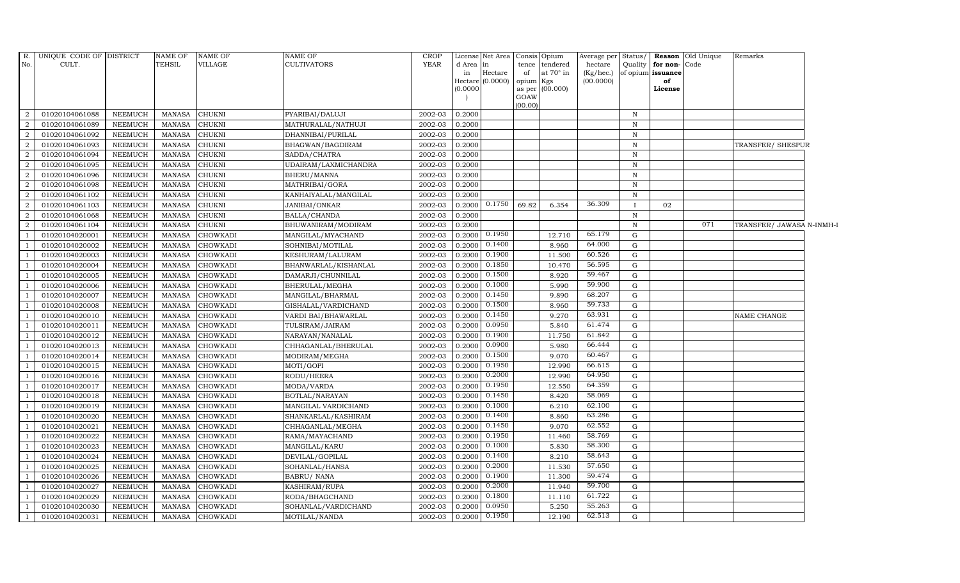| R.<br>No.      | UNIQUE CODE OF DISTRICT<br>CULT. |                                  | NAME OF<br>TEHSIL              | <b>NAME OF</b><br>VILLAGE          | <b>NAME OF</b><br><b>CULTIVATORS</b> | <b>CROP</b><br><b>YEAR</b> | d Area in        | License Net Area |                 | Consis Opium                       | Average per<br>hectare | Status/          | for non-Code      | <b>Reason</b> Old Unique | Remarks                   |  |
|----------------|----------------------------------|----------------------------------|--------------------------------|------------------------------------|--------------------------------------|----------------------------|------------------|------------------|-----------------|------------------------------------|------------------------|------------------|-------------------|--------------------------|---------------------------|--|
|                |                                  |                                  |                                |                                    |                                      |                            | in               | Hectare          | of              | tence tendered<br>at $70^\circ$ in | $(Kg/$ hec.)           | Quality          | of opium issuance |                          |                           |  |
|                |                                  |                                  |                                |                                    |                                      |                            |                  | Hectare (0.0000) | opium Kgs       |                                    | (00.0000)              |                  | of                |                          |                           |  |
|                |                                  |                                  |                                |                                    |                                      |                            | (0.0000)         |                  |                 | as per (00.000)                    |                        |                  | License           |                          |                           |  |
|                |                                  |                                  |                                |                                    |                                      |                            |                  |                  | GOAW<br>(00.00) |                                    |                        |                  |                   |                          |                           |  |
| 2              | 01020104061088                   | <b>NEEMUCH</b>                   | <b>MANASA</b>                  | <b>CHUKNI</b>                      | PYARIBAI/DALUJI                      | 2002-03                    | 0.2000           |                  |                 |                                    |                        | $\mathbb N$      |                   |                          |                           |  |
| 2              | 01020104061089                   | <b>NEEMUCH</b>                   | <b>MANASA</b>                  | <b>CHUKNI</b>                      | MATHURALAL/NATHUJI                   | 2002-03                    | 0.2000           |                  |                 |                                    |                        | $\, {\rm N}$     |                   |                          |                           |  |
| $\overline{2}$ | 01020104061092                   | <b>NEEMUCH</b>                   | <b>MANASA</b>                  | <b>CHUKNI</b>                      | DHANNIBAI/PURILAL                    | 2002-03                    | 0.2000           |                  |                 |                                    |                        | $\, {\rm N}$     |                   |                          |                           |  |
| 2              | 01020104061093                   | <b>NEEMUCH</b>                   | <b>MANASA</b>                  | <b>CHUKNI</b>                      | BHAGWAN/BAGDIRAM                     | 2002-03                    | 0.2000           |                  |                 |                                    |                        | $\mathbf N$      |                   |                          | TRANSFER/SHESPUR          |  |
| $\overline{2}$ | 01020104061094                   | <b>NEEMUCH</b>                   | <b>MANASA</b>                  | CHUKNI                             | SADDA/CHATRA                         | 2002-03                    | 0.2000           |                  |                 |                                    |                        | $\, {\rm N}$     |                   |                          |                           |  |
| 2              | 01020104061095                   | <b>NEEMUCH</b>                   | <b>MANASA</b>                  | CHUKNI                             | UDAIRAM/LAXMICHANDRA                 | 2002-03                    | 0.2000           |                  |                 |                                    |                        | $\mathbf N$      |                   |                          |                           |  |
| 2              | 01020104061096                   | <b>NEEMUCH</b>                   | <b>MANASA</b>                  | CHUKNI                             | BHERU/MANNA                          | 2002-03                    | 0.2000           |                  |                 |                                    |                        | $\, {\bf N}$     |                   |                          |                           |  |
| 2              | 01020104061098                   | <b>NEEMUCH</b>                   | <b>MANASA</b>                  | <b>CHUKNI</b>                      | MATHRIBAI/GORA                       | 2002-03                    | 0.2000           |                  |                 |                                    |                        | $\mathbf N$      |                   |                          |                           |  |
| 2              | 01020104061102                   | <b>NEEMUCH</b>                   | <b>MANASA</b>                  | CHUKNI                             | KANHAIYALAL/MANGILAL                 | 2002-03                    | 0.2000           |                  |                 |                                    |                        | $\,$ N           |                   |                          |                           |  |
| $\overline{2}$ | 01020104061103                   | <b>NEEMUCH</b>                   | <b>MANASA</b>                  | CHUKNI                             | JANIBAI/ONKAR                        | 2002-03                    | 0.2000           | 0.1750           | 69.82           | 6.354                              | 36.309                 |                  | 02                |                          |                           |  |
| 2              | 01020104061068                   | <b>NEEMUCH</b>                   | <b>MANASA</b>                  | CHUKNI                             | BALLA/CHANDA                         | 2002-03                    | 0.2000           |                  |                 |                                    |                        | $\, {\rm N}$     |                   |                          |                           |  |
| 2              | 01020104061104                   | <b>NEEMUCH</b>                   | <b>MANASA</b>                  | <b>CHUKNI</b>                      | BHUWANIRAM/MODIRAM                   | 2002-03                    | 0.2000           |                  |                 |                                    |                        | $\, {\bf N}$     |                   | 071                      | TRANSFER/ JAWASA N-INMH-I |  |
|                | 01020104020001                   | NEEMUCH                          | <b>MANASA</b>                  | CHOWKADI                           | MANGILAL/MYACHAND                    | 2002-03                    | 0.2000           | 0.1950           |                 | 12.710                             | 65.179                 | $\mathbf G$      |                   |                          |                           |  |
|                | 01020104020002                   | <b>NEEMUCH</b>                   | <b>MANASA</b>                  | <b>CHOWKADI</b>                    | SOHNIBAI/MOTILAL                     | 2002-03                    | 0.2000           | 0.1400           |                 | 8.960                              | 64.000                 | G                |                   |                          |                           |  |
|                | 01020104020003                   | <b>NEEMUCH</b>                   | <b>MANASA</b>                  | <b>CHOWKADI</b>                    | KESHURAM/LALURAM                     | 2002-03                    | 0.2000           | 0.1900           |                 | 11.500                             | 60.526                 | $\mathbf G$      |                   |                          |                           |  |
|                | 01020104020004                   | <b>NEEMUCH</b>                   | <b>MANASA</b>                  | CHOWKADI                           | BHANWARLAL/KISHANLAL                 | 2002-03                    | 0.2000           | 0.1850           |                 | 10.470                             | 56.595                 | ${\rm G}$        |                   |                          |                           |  |
|                | 01020104020005                   | <b>NEEMUCH</b>                   | <b>MANASA</b>                  | <b>CHOWKADI</b>                    | DAMARJI/CHUNNILAL                    | 2002-03                    | 0.2000           | 0.1500           |                 | 8.920                              | 59.467                 | G                |                   |                          |                           |  |
|                | 01020104020006                   | <b>NEEMUCH</b>                   | <b>MANASA</b>                  | CHOWKADI                           | BHERULAL/MEGHA                       | 2002-03                    | 0.2000           | 0.1000           |                 | 5.990                              | 59.900                 | ${\rm G}$        |                   |                          |                           |  |
|                | 01020104020007                   | <b>NEEMUCH</b>                   | <b>MANASA</b>                  | <b>CHOWKADI</b>                    | MANGILAL/BHARMAL                     | 2002-03                    | 0.2000           | 0.1450           |                 | 9.890                              | 68.207                 | $\mathbf G$      |                   |                          |                           |  |
|                | 01020104020008                   | <b>NEEMUCH</b>                   | <b>MANASA</b>                  | <b>CHOWKADI</b>                    | GISHALAL/VARDICHAND                  | 2002-03                    | 0.2000           | 0.1500           |                 | 8.960                              | 59.733                 | G                |                   |                          |                           |  |
|                | 01020104020010                   | <b>NEEMUCH</b>                   | <b>MANASA</b>                  | <b>CHOWKADI</b>                    | VARDI BAI/BHAWARLAL                  | 2002-03                    | 0.2000           | 0.1450           |                 | 9.270                              | 63.931                 | ${\rm G}$        |                   |                          | NAME CHANGE               |  |
|                | 01020104020011                   | NEEMUCH                          | <b>MANASA</b>                  | CHOWKADI                           | TULSIRAM/JAIRAM                      | 2002-03                    | 0.2000           | 0.0950           |                 | 5.840                              | 61.474                 | G                |                   |                          |                           |  |
|                | 01020104020012                   | <b>NEEMUCH</b>                   | <b>MANASA</b>                  | <b>CHOWKADI</b>                    | NARAYAN/NANALAL                      | 2002-03                    | 0.2000           | 0.1900           |                 | 11.750                             | 61.842                 | G                |                   |                          |                           |  |
|                | 01020104020013                   | <b>NEEMUCH</b>                   | <b>MANASA</b>                  | <b>CHOWKADI</b>                    | CHHAGANLAL/BHERULAL                  | 2002-03                    | 0.2000           | 0.0900           |                 | 5.980                              | 66.444                 | ${\rm G}$        |                   |                          |                           |  |
|                | 01020104020014                   | <b>NEEMUCH</b>                   | <b>MANASA</b>                  | <b>CHOWKADI</b>                    | MODIRAM/MEGHA                        | 2002-03                    | 0.2000           | 0.1500           |                 | 9.070                              | 60.467                 | G                |                   |                          |                           |  |
|                | 01020104020015                   | <b>NEEMUCH</b>                   | <b>MANASA</b>                  | <b>CHOWKADI</b>                    | MOTI/GOPI                            | 2002-03                    | 0.2000           | 0.1950           |                 | 12.990                             | 66.615                 | ${\rm G}$        |                   |                          |                           |  |
|                | 01020104020016                   | <b>NEEMUCH</b>                   | <b>MANASA</b>                  | CHOWKADI                           | RODU/HEERA                           | 2002-03                    | 0.2000           | 0.2000           |                 | 12.990                             | 64.950                 | G                |                   |                          |                           |  |
|                | 01020104020017                   | <b>NEEMUCH</b>                   | <b>MANASA</b>                  | <b>CHOWKADI</b>                    | MODA/VARDA                           | 2002-03                    | 0.2000           | 0.1950           |                 | 12.550                             | 64.359                 | G                |                   |                          |                           |  |
|                | 01020104020018                   | <b>NEEMUCH</b>                   | <b>MANASA</b>                  | <b>CHOWKADI</b>                    | BOTLAL/NARAYAN                       | 2002-03                    | 0.2000           | 0.1450           |                 | 8.420                              | 58.069                 | ${\rm G}$        |                   |                          |                           |  |
|                | 01020104020019                   | <b>NEEMUCH</b>                   | <b>MANASA</b>                  | <b>CHOWKADI</b>                    | MANGILAL VARDICHAND                  | 2002-03                    | 0.2000           | 0.1000           |                 | 6.210                              | 62.100                 | $\mathbf G$      |                   |                          |                           |  |
|                | 01020104020020                   | <b>NEEMUCH</b>                   | <b>MANASA</b>                  | <b>CHOWKADI</b>                    | SHANKARLAL/KASHIRAM                  | 2002-03                    | 0.2000           | 0.1400           |                 | 8.860                              | 63.286                 | G                |                   |                          |                           |  |
|                | 01020104020021                   | <b>NEEMUCH</b>                   | <b>MANASA</b>                  | <b>CHOWKADI</b>                    | CHHAGANLAL/MEGHA                     | 2002-03                    | 0.2000           | 0.1450           |                 | 9.070                              | 62.552<br>58.769       | G                |                   |                          |                           |  |
|                | 01020104020022                   | NEEMUCH                          | <b>MANASA</b>                  | <b>CHOWKADI</b>                    | RAMA/MAYACHAND                       | 2002-03                    | 0.2000           | 0.1950           |                 | 11.460                             | 58.300                 | G                |                   |                          |                           |  |
|                | 01020104020023                   | <b>NEEMUCH</b>                   | <b>MANASA</b>                  | <b>CHOWKADI</b>                    | MANGILAL/KARU                        | 2002-03                    | 0.2000           | 0.1000<br>0.1400 |                 | 5.830                              | 58.643                 | ${\rm G}$        |                   |                          |                           |  |
|                | 01020104020024                   | <b>NEEMUCH</b>                   | <b>MANASA</b>                  | <b>CHOWKADI</b>                    | DEVILAL/GOPILAL                      | 2002-03                    | 0.2000           | 0.2000           |                 | 8.210                              | 57.650                 | $\mathbf G$      |                   |                          |                           |  |
|                | 01020104020025                   | <b>NEEMUCH</b>                   | <b>MANASA</b>                  | CHOWKADI                           | SOHANLAL/HANSA                       | 2002-03                    | 0.2000           | 0.1900           |                 | 11.530                             | 59.474                 | G                |                   |                          |                           |  |
| $\overline{1}$ | 01020104020026                   | <b>NEEMUCH</b>                   | <b>MANASA</b>                  | <b>CHOWKADI</b>                    | <b>BABRU/ NANA</b>                   | 2002-03                    | 0.2000<br>0.2000 | 0.2000           |                 | 11.300                             | 59.700                 | G<br>$\mathbf G$ |                   |                          |                           |  |
|                | 01020104020027<br>01020104020029 | <b>NEEMUCH</b><br><b>NEEMUCH</b> | <b>MANASA</b><br><b>MANASA</b> | <b>CHOWKADI</b><br><b>CHOWKADI</b> | KASHIRAM/RUPA<br>RODA/BHAGCHAND      | 2002-03<br>2002-03         | 0.2000           | 0.1800           |                 | 11.940<br>11.110                   | 61.722                 | G                |                   |                          |                           |  |
|                | 01020104020030                   | <b>NEEMUCH</b>                   | <b>MANASA</b>                  | <b>CHOWKADI</b>                    | SOHANLAL/VARDICHAND                  | 2002-03                    | 0.2000           | 0.0950           |                 | 5.250                              | 55.263                 | ${\rm G}$        |                   |                          |                           |  |
|                | 01020104020031                   | <b>NEEMUCH</b>                   | <b>MANASA</b>                  | <b>CHOWKADI</b>                    | MOTILAL/NANDA                        | 2002-03                    |                  | 0.2000 0.1950    |                 | 12.190                             | 62.513                 | G                |                   |                          |                           |  |
|                |                                  |                                  |                                |                                    |                                      |                            |                  |                  |                 |                                    |                        |                  |                   |                          |                           |  |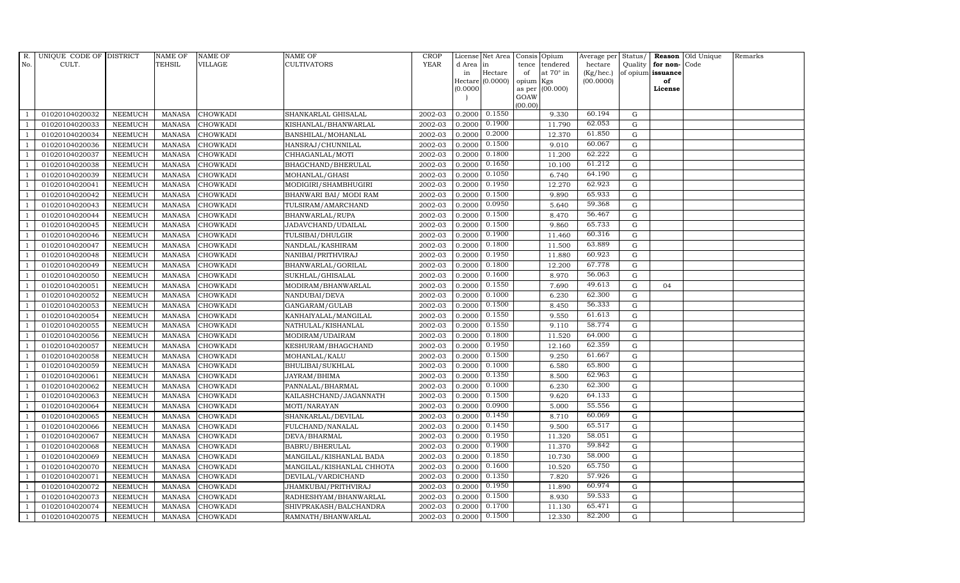| R.             | UNIQUE CODE OF DISTRICT |                | <b>NAME OF</b> | <b>NAME OF</b>  | NAME OF                   | <b>CROP</b> |           | License Net Area |                 | Consis Opium     | Average per | Status/     |                   | Reason Old Unique | Remarks |
|----------------|-------------------------|----------------|----------------|-----------------|---------------------------|-------------|-----------|------------------|-----------------|------------------|-------------|-------------|-------------------|-------------------|---------|
| No.            | CULT.                   |                | TEHSIL         | VILLAGE         | CULTIVATORS               | <b>YEAR</b> | d Area in |                  | tence           | tendered         | hectare     | Quality     | for non-Code      |                   |         |
|                |                         |                |                |                 |                           |             | in        | Hectare          | of              | at $70^\circ$ in | (Kg/hec.)   |             | of opium issuance |                   |         |
|                |                         |                |                |                 |                           |             | (0.0000)  | Hectare (0.0000) | opium<br>as per | Kgs<br>(00.000)  | (00.0000)   |             | of<br>License     |                   |         |
|                |                         |                |                |                 |                           |             |           |                  | GOAW            |                  |             |             |                   |                   |         |
|                |                         |                |                |                 |                           |             |           |                  | (00.00)         |                  |             |             |                   |                   |         |
|                | 01020104020032          | <b>NEEMUCH</b> | MANASA         | <b>CHOWKADI</b> | SHANKARLAL GHISALAL       | 2002-03     | 0.2000    | 0.1550           |                 | 9.330            | 60.194      | G           |                   |                   |         |
| -1             | 01020104020033          | <b>NEEMUCH</b> | <b>MANASA</b>  | CHOWKADI        | KISHANLAL/BHANWARLAL      | 2002-03     | 0.2000    | 0.1900           |                 | 11.790           | 62.053      | $\mathbf G$ |                   |                   |         |
|                | 01020104020034          | <b>NEEMUCH</b> | <b>MANASA</b>  | <b>CHOWKADI</b> | BANSHILAL/MOHANLAL        | 2002-03     | 0.2000    | 0.2000           |                 | 12.370           | 61.850      | G           |                   |                   |         |
|                | 01020104020036          | <b>NEEMUCH</b> | <b>MANASA</b>  | <b>CHOWKADI</b> | HANSRAJ/CHUNNILAL         | 2002-03     | 0.2000    | 0.1500           |                 | 9.010            | 60.067      | $\mathbf G$ |                   |                   |         |
| $\overline{1}$ | 01020104020037          | <b>NEEMUCH</b> | <b>MANASA</b>  | CHOWKADI        | CHHAGANLAL/MOTI           | 2002-03     | 0.2000    | 0.1800           |                 | 11.200           | 62.222      | ${\rm G}$   |                   |                   |         |
|                | 01020104020038          | <b>NEEMUCH</b> | <b>MANASA</b>  | CHOWKADI        | BHAGCHAND/BHERULAL        | 2002-03     | 0.2000    | 0.1650           |                 | 10.100           | 61.212      | G           |                   |                   |         |
| $\overline{1}$ | 01020104020039          | <b>NEEMUCH</b> | <b>MANASA</b>  | CHOWKADI        | MOHANLAL/GHASI            | 2002-03     | 0.2000    | 0.1050           |                 | 6.740            | 64.190      | $\mathbf G$ |                   |                   |         |
| $\overline{1}$ | 01020104020041          | <b>NEEMUCH</b> | <b>MANASA</b>  | CHOWKADI        | MODIGIRI/SHAMBHUGIRI      | 2002-03     | 0.2000    | 0.1950           |                 | 12.270           | 62.923      | $\mathbf G$ |                   |                   |         |
|                | 01020104020042          | <b>NEEMUCH</b> | <b>MANASA</b>  | <b>CHOWKADI</b> | BHANWARI BAI/ MODI RAM    | 2002-03     | 0.2000    | 0.1500           |                 | 9.890            | 65.933      | G           |                   |                   |         |
| $\overline{1}$ | 01020104020043          | <b>NEEMUCH</b> | <b>MANASA</b>  | CHOWKADI        | TULSIRAM/AMARCHAND        | 2002-03     | 0.2000    | 0.0950           |                 | 5.640            | 59.368      | G           |                   |                   |         |
| -1             | 01020104020044          | <b>NEEMUCH</b> | <b>MANASA</b>  | CHOWKADI        | BHANWARLAL/RUPA           | 2002-03     | 0.2000    | 0.1500           |                 | 8.470            | 56.467      | ${\rm G}$   |                   |                   |         |
| $\overline{1}$ | 01020104020045          | <b>NEEMUCH</b> | <b>MANASA</b>  | <b>CHOWKADI</b> | JADAVCHAND/UDAILAL        | 2002-03     | 0.2000    | 0.1500           |                 | 9.860            | 65.733      | $\mathbf G$ |                   |                   |         |
| $\overline{1}$ | 01020104020046          | <b>NEEMUCH</b> | <b>MANASA</b>  | CHOWKADI        | TULSIBAI/DHULGIR          | 2002-03     | 0.2000    | 0.1900           |                 | 11.460           | 60.316      | $\mathbf G$ |                   |                   |         |
|                | 01020104020047          | <b>NEEMUCH</b> | <b>MANASA</b>  | <b>CHOWKADI</b> | NANDLAL/KASHIRAM          | 2002-03     | 0.2000    | 0.1800           |                 | 11.500           | 63.889      | G           |                   |                   |         |
|                | 01020104020048          | <b>NEEMUCH</b> | <b>MANASA</b>  | <b>CHOWKADI</b> | NANIBAI/PRITHVIRAJ        | 2002-03     | 0.2000    | 0.1950           |                 | 11.880           | 60.923      | ${\rm G}$   |                   |                   |         |
| $\overline{1}$ | 01020104020049          | <b>NEEMUCH</b> | <b>MANASA</b>  | CHOWKADI        | BHANWARLAL/GORILAL        | 2002-03     | 0.2000    | 0.1800           |                 | 12.200           | 67.778      | ${\rm G}$   |                   |                   |         |
| $\overline{1}$ | 01020104020050          | <b>NEEMUCH</b> | <b>MANASA</b>  | CHOWKADI        | SUKHLAL/GHISALAL          | 2002-03     | 0.2000    | 0.1600           |                 | 8.970            | 56.063      | G           |                   |                   |         |
| $\overline{1}$ | 01020104020051          | <b>NEEMUCH</b> | <b>MANASA</b>  | CHOWKADI        | MODIRAM/BHANWARLAL        | 2002-03     | 0.2000    | 0.1550           |                 | 7.690            | 49.613      | $\mathbf G$ | 04                |                   |         |
|                | 01020104020052          | <b>NEEMUCH</b> | <b>MANASA</b>  | CHOWKADI        | NANDUBAI/DEVA             | 2002-03     | 0.2000    | 0.1000           |                 | 6.230            | 62.300      | $\mathbf G$ |                   |                   |         |
|                | 01020104020053          | <b>NEEMUCH</b> | <b>MANASA</b>  | <b>CHOWKADI</b> | GANGARAM/GULAB            | 2002-03     | 0.2000    | 0.1500           |                 | 8.450            | 56.333      | $\mathbf G$ |                   |                   |         |
| $\overline{1}$ | 01020104020054          | <b>NEEMUCH</b> | <b>MANASA</b>  | CHOWKADI        | KANHAIYALAL/MANGILAL      | 2002-03     | 0.2000    | 0.1550           |                 | 9.550            | 61.613      | G           |                   |                   |         |
| $\overline{1}$ | 01020104020055          | <b>NEEMUCH</b> | <b>MANASA</b>  | CHOWKADI        | NATHULAL/KISHANLAL        | 2002-03     | 0.2000    | 0.1550           |                 | 9.110            | 58.774      | G           |                   |                   |         |
| $\overline{1}$ | 01020104020056          | <b>NEEMUCH</b> | <b>MANASA</b>  | <b>CHOWKADI</b> | MODIRAM/UDAIRAM           | 2002-03     | 0.2000    | 0.1800           |                 | 11.520           | 64.000      | G           |                   |                   |         |
|                | 01020104020057          | <b>NEEMUCH</b> | <b>MANASA</b>  | <b>CHOWKADI</b> | KESHURAM/BHAGCHAND        | 2002-03     | 0.2000    | 0.1950           |                 | 12.160           | 62.359      | $\mathbf G$ |                   |                   |         |
|                | 01020104020058          | <b>NEEMUCH</b> | <b>MANASA</b>  | CHOWKADI        | MOHANLAL/KALU             | 2002-03     | 0.2000    | 0.1500           |                 | 9.250            | 61.667      | G           |                   |                   |         |
| -1             | 01020104020059          | <b>NEEMUCH</b> | <b>MANASA</b>  | <b>CHOWKADI</b> | BHULIBAI/SUKHLAL          | 2002-03     | 0.2000    | 0.1000           |                 | 6.580            | 65.800      | G           |                   |                   |         |
|                | 01020104020061          | <b>NEEMUCH</b> | <b>MANASA</b>  | CHOWKADI        | JAYRAM/BHIMA              | 2002-03     | 0.2000    | 0.1350           |                 | 8.500            | 62.963      | ${\rm G}$   |                   |                   |         |
| $\overline{1}$ | 01020104020062          | <b>NEEMUCH</b> | <b>MANASA</b>  | <b>CHOWKADI</b> | PANNALAL/BHARMAL          | 2002-03     | 0.2000    | 0.1000           |                 | 6.230            | 62.300      | G           |                   |                   |         |
|                | 01020104020063          | <b>NEEMUCH</b> | <b>MANASA</b>  | <b>CHOWKADI</b> | KAILASHCHAND/JAGANNATH    | 2002-03     | 0.2000    | 0.1500           |                 | 9.620            | 64.133      | $\mathbf G$ |                   |                   |         |
|                | 01020104020064          | <b>NEEMUCH</b> | <b>MANASA</b>  | CHOWKADI        | MOTI/NARAYAN              | 2002-03     | 0.2000    | 0.0900           |                 | 5.000            | 55.556      | $\mathbf G$ |                   |                   |         |
| $\overline{1}$ | 01020104020065          | <b>NEEMUCH</b> | <b>MANASA</b>  | <b>CHOWKADI</b> | SHANKARLAL/DEVILAL        | 2002-03     | 0.2000    | 0.1450           |                 | 8.710            | 60.069      | G           |                   |                   |         |
|                | 01020104020066          | <b>NEEMUCH</b> | <b>MANASA</b>  | CHOWKADI        | FULCHAND/NANALAL          | 2002-03     | 0.2000    | 0.1450           |                 | 9.500            | 65.517      | ${\rm G}$   |                   |                   |         |
| $\overline{1}$ | 01020104020067          | <b>NEEMUCH</b> | <b>MANASA</b>  | CHOWKADI        | DEVA/BHARMAL              | 2002-03     | 0.2000    | 0.1950           |                 | 11.320           | 58.051      | $\mathbf G$ |                   |                   |         |
| $\overline{1}$ | 01020104020068          | <b>NEEMUCH</b> | <b>MANASA</b>  | <b>CHOWKADI</b> | BABRU/BHERULAL            | 2002-03     | 0.2000    | 0.1900           |                 | 11.370           | 59.842      | $\mathbf G$ |                   |                   |         |
|                | 01020104020069          | <b>NEEMUCH</b> | <b>MANASA</b>  | CHOWKADI        | MANGILAL/KISHANLAL BADA   | 2002-03     | 0.2000    | 0.1850           |                 | 10.730           | 58.000      | $\mathbf G$ |                   |                   |         |
| $\overline{1}$ | 01020104020070          | <b>NEEMUCH</b> | <b>MANASA</b>  | <b>CHOWKADI</b> | MANGILAL/KISHANLAL CHHOTA | 2002-03     | 0.2000    | 0.1600           |                 | 10.520           | 65.750      | G           |                   |                   |         |
|                | 01020104020071          | <b>NEEMUCH</b> | <b>MANASA</b>  | <b>CHOWKADI</b> | DEVILAL/VARDICHAND        | 2002-03     | 0.2000    | 0.1350           |                 | 7.820            | 57.926      | ${\rm G}$   |                   |                   |         |
| $\overline{1}$ | 01020104020072          | <b>NEEMUCH</b> | <b>MANASA</b>  | CHOWKADI        | JHAMKUBAI/PRITHVIRAJ      | 2002-03     | 0.2000    | 0.1950           |                 | 11.890           | 60.974      | G           |                   |                   |         |
| $\overline{1}$ | 01020104020073          | <b>NEEMUCH</b> | <b>MANASA</b>  | <b>CHOWKADI</b> | RADHESHYAM/BHANWARLAL     | 2002-03     | 0.2000    | 0.1500           |                 | 8.930            | 59.533      | $\mathbf G$ |                   |                   |         |
|                | 01020104020074          | <b>NEEMUCH</b> | <b>MANASA</b>  | <b>CHOWKADI</b> | SHIVPRAKASH/BALCHANDRA    | 2002-03     | 0.2000    | 0.1700           |                 | 11.130           | 65.471      | G           |                   |                   |         |
| $\mathbf{1}$   | 01020104020075          | <b>NEEMUCH</b> | MANASA         | <b>CHOWKADI</b> | RAMNATH/BHANWARLAL        | 2002-03     | 0.2000    | 0.1500           |                 | 12.330           | 82.200      | G           |                   |                   |         |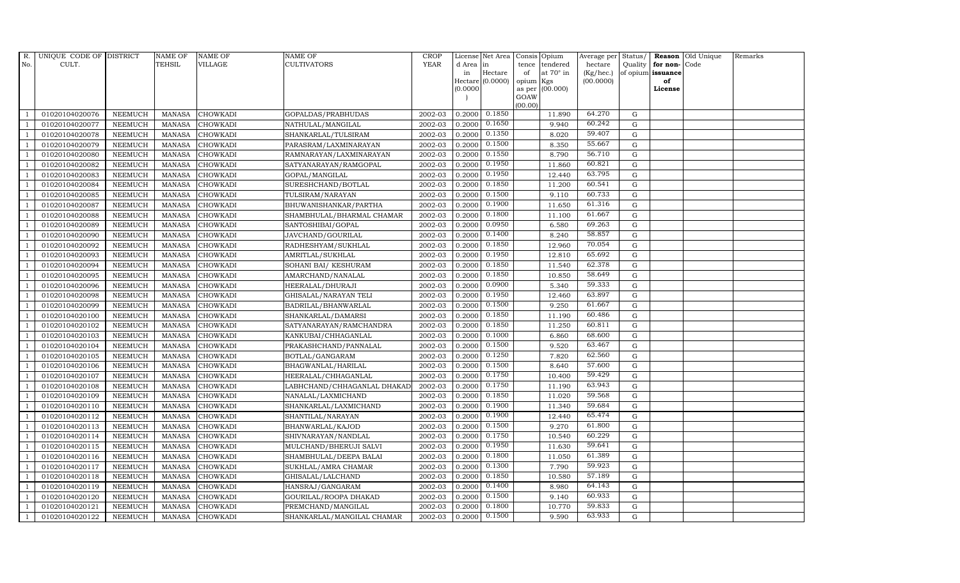| R.             | UNIQUE CODE OF DISTRICT |                | <b>NAME OF</b> | <b>NAME OF</b>  | NAME OF                     | <b>CROP</b> |           | License Net Area |         | Consis Opium     | Average per | Status/     |                   | Reason Old Unique | Remarks |
|----------------|-------------------------|----------------|----------------|-----------------|-----------------------------|-------------|-----------|------------------|---------|------------------|-------------|-------------|-------------------|-------------------|---------|
| No.            | CULT.                   |                | TEHSIL         | VILLAGE         | CULTIVATORS                 | <b>YEAR</b> | d Area in |                  | tence   | tendered         | hectare     | Quality     | for non-Code      |                   |         |
|                |                         |                |                |                 |                             |             | in        | Hectare          | of      | at $70^\circ$ in | (Kg/hec.)   |             | of opium issuance |                   |         |
|                |                         |                |                |                 |                             |             |           | Hectare (0.0000) | opium   | Kgs              | (00.0000)   |             | of                |                   |         |
|                |                         |                |                |                 |                             |             | (0.0000)  |                  | GOAW    | as per (00.000)  |             |             | License           |                   |         |
|                |                         |                |                |                 |                             |             |           |                  | (00.00) |                  |             |             |                   |                   |         |
|                | 01020104020076          | <b>NEEMUCH</b> | MANASA         | <b>CHOWKADI</b> | GOPALDAS/PRABHUDAS          | 2002-03     | 0.2000    | 0.1850           |         | 11.890           | 64.270      | G           |                   |                   |         |
| -1             | 01020104020077          | <b>NEEMUCH</b> | <b>MANASA</b>  | <b>CHOWKADI</b> | NATHULAL/MANGILAL           | 2002-03     | 0.2000    | 0.1650           |         | 9.940            | 60.242      | $\mathbf G$ |                   |                   |         |
|                | 01020104020078          | <b>NEEMUCH</b> | <b>MANASA</b>  | <b>CHOWKADI</b> | SHANKARLAL/TULSIRAM         | 2002-03     | 0.2000    | 0.1350           |         | 8.020            | 59.407      | G           |                   |                   |         |
|                | 01020104020079          | <b>NEEMUCH</b> | <b>MANASA</b>  | <b>CHOWKADI</b> | PARASRAM/LAXMINARAYAN       | 2002-03     | 0.2000    | 0.1500           |         | 8.350            | 55.667      | $\mathbf G$ |                   |                   |         |
| $\overline{1}$ | 01020104020080          | <b>NEEMUCH</b> | <b>MANASA</b>  | CHOWKADI        | RAMNARAYAN/LAXMINARAYAN     | 2002-03     | 0.2000    | 0.1550           |         | 8.790            | 56.710      | ${\rm G}$   |                   |                   |         |
|                | 01020104020082          | NEEMUCH        | <b>MANASA</b>  | CHOWKADI        | SATYANARAYAN/RAMGOPAL       | 2002-03     | 0.2000    | 0.1950           |         | 11.860           | 60.821      | G           |                   |                   |         |
| $\overline{1}$ | 01020104020083          | <b>NEEMUCH</b> | <b>MANASA</b>  | CHOWKADI        | GOPAL/MANGILAL              | 2002-03     | 0.2000    | 0.1950           |         | 12.440           | 63.795      | $\mathbf G$ |                   |                   |         |
| $\overline{1}$ | 01020104020084          | <b>NEEMUCH</b> | <b>MANASA</b>  | CHOWKADI        | SURESHCHAND/BOTLAL          | 2002-03     | 0.2000    | 0.1850           |         | 11.200           | 60.541      | $\mathbf G$ |                   |                   |         |
|                | 01020104020085          | <b>NEEMUCH</b> | <b>MANASA</b>  | <b>CHOWKADI</b> | TULSIRAM/NARAYAN            | 2002-03     | 0.2000    | 0.1500           |         | 9.110            | 60.733      | G           |                   |                   |         |
| $\overline{1}$ | 01020104020087          | <b>NEEMUCH</b> | <b>MANASA</b>  | CHOWKADI        | BHUWANISHANKAR/PARTHA       | 2002-03     | 0.2000    | 0.1900           |         | 11.650           | 61.316      | $\mathbf G$ |                   |                   |         |
| -1             | 01020104020088          | <b>NEEMUCH</b> | <b>MANASA</b>  | CHOWKADI        | SHAMBHULAL/BHARMAL CHAMAR   | 2002-03     | 0.2000    | 0.1800           |         | 11.100           | 61.667      | ${\rm G}$   |                   |                   |         |
| $\overline{1}$ | 01020104020089          | <b>NEEMUCH</b> | <b>MANASA</b>  | <b>CHOWKADI</b> | SANTOSHIBAI/GOPAL           | 2002-03     | 0.2000    | 0.0950           |         | 6.580            | 69.263      | $\mathbf G$ |                   |                   |         |
| $\overline{1}$ | 01020104020090          | <b>NEEMUCH</b> | <b>MANASA</b>  | CHOWKADI        | JAVCHAND/GOURILAL           | 2002-03     | 0.2000    | 0.1400           |         | 8.240            | 58.857      | $\mathbf G$ |                   |                   |         |
|                | 01020104020092          | <b>NEEMUCH</b> | <b>MANASA</b>  | <b>CHOWKADI</b> | RADHESHYAM/SUKHLAL          | 2002-03     | 0.2000    | 0.1850           |         | 12.960           | 70.054      | G           |                   |                   |         |
|                | 01020104020093          | <b>NEEMUCH</b> | <b>MANASA</b>  | <b>CHOWKADI</b> | AMRITLAL/SUKHLAL            | 2002-03     | 0.2000    | 0.1950           |         | 12.810           | 65.692      | $\mathbf G$ |                   |                   |         |
| $\overline{1}$ | 01020104020094          | <b>NEEMUCH</b> | <b>MANASA</b>  | CHOWKADI        | SOHANI BAI / KESHURAM       | 2002-03     | 0.2000    | 0.1850           |         | 11.540           | 62.378      | ${\rm G}$   |                   |                   |         |
| $\overline{1}$ | 01020104020095          | <b>NEEMUCH</b> | <b>MANASA</b>  | <b>CHOWKADI</b> | AMARCHAND/NANALAL           | 2002-03     | 0.2000    | 0.1850           |         | 10.850           | 58.649      | G           |                   |                   |         |
| $\overline{1}$ | 01020104020096          | <b>NEEMUCH</b> | <b>MANASA</b>  | CHOWKADI        | HEERALAL/DHURAJI            | 2002-03     | 0.2000    | 0.0900           |         | 5.340            | 59.333      | $\mathbf G$ |                   |                   |         |
|                | 01020104020098          | <b>NEEMUCH</b> | <b>MANASA</b>  | CHOWKADI        | GHISALAL/NARAYAN TELI       | 2002-03     | 0.2000    | 0.1950           |         | 12.460           | 63.897      | $\mathbf G$ |                   |                   |         |
|                | 01020104020099          | <b>NEEMUCH</b> | <b>MANASA</b>  | <b>CHOWKADI</b> | BADRILAL/BHANWARLAL         | 2002-03     | 0.2000    | 0.1500           |         | 9.250            | 61.667      | $\mathbf G$ |                   |                   |         |
| $\overline{1}$ | 01020104020100          | <b>NEEMUCH</b> | <b>MANASA</b>  | CHOWKADI        | SHANKARLAL/DAMARSI          | 2002-03     | 0.2000    | 0.1850           |         | 11.190           | 60.486      | G           |                   |                   |         |
| $\overline{1}$ | 01020104020102          | <b>NEEMUCH</b> | <b>MANASA</b>  | CHOWKADI        | SATYANARAYAN/RAMCHANDRA     | 2002-03     | 0.2000    | 0.1850           |         | 11.250           | 60.811      | G           |                   |                   |         |
| $\overline{1}$ | 01020104020103          | <b>NEEMUCH</b> | <b>MANASA</b>  | <b>CHOWKADI</b> | KANKUBAI/CHHAGANLAL         | 2002-03     | 0.2000    | 0.1000           |         | 6.860            | 68.600      | G           |                   |                   |         |
|                | 01020104020104          | <b>NEEMUCH</b> | <b>MANASA</b>  | <b>CHOWKADI</b> | PRAKASHCHAND/PANNALAL       | 2002-03     | 0.2000    | 0.1500           |         | 9.520            | 63.467      | $\mathbf G$ |                   |                   |         |
|                | 01020104020105          | <b>NEEMUCH</b> | <b>MANASA</b>  | <b>CHOWKADI</b> | BOTLAL/GANGARAM             | 2002-03     | 0.2000    | 0.1250           |         | 7.820            | 62.560      | G           |                   |                   |         |
| -1             | 01020104020106          | <b>NEEMUCH</b> | <b>MANASA</b>  | <b>CHOWKADI</b> | BHAGWANLAL/HARILAL          | 2002-03     | 0.2000    | 0.1500           |         | 8.640            | 57.600      | G           |                   |                   |         |
|                | 01020104020107          | <b>NEEMUCH</b> | <b>MANASA</b>  | CHOWKADI        | HEERALAL/CHHAGANLAL         | 2002-03     | 0.2000    | 0.1750           |         | 10.400           | 59.429      | ${\rm G}$   |                   |                   |         |
| $\overline{1}$ | 01020104020108          | <b>NEEMUCH</b> | <b>MANASA</b>  | <b>CHOWKADI</b> | LABHCHAND/CHHAGANLAL DHAKAD | 2002-03     | 0.2000    | 0.1750           |         | 11.190           | 63.943      | $\mathbf G$ |                   |                   |         |
| $\overline{1}$ | 01020104020109          | <b>NEEMUCH</b> | <b>MANASA</b>  | <b>CHOWKADI</b> | NANALAL/LAXMICHAND          | 2002-03     | 0.2000    | 0.1850           |         | 11.020           | 59.568      | $\mathbf G$ |                   |                   |         |
|                | 01020104020110          | <b>NEEMUCH</b> | <b>MANASA</b>  | CHOWKADI        | SHANKARLAL/LAXMICHAND       | 2002-03     | 0.2000    | 0.1900           |         | 11.340           | 59.684      | $\mathbf G$ |                   |                   |         |
| $\overline{1}$ | 01020104020112          | <b>NEEMUCH</b> | <b>MANASA</b>  | <b>CHOWKADI</b> | SHANTILAL/NARAYAN           | 2002-03     | 0.2000    | 0.1900           |         | 12.440           | 65.474      | G           |                   |                   |         |
|                | 01020104020113          | <b>NEEMUCH</b> | <b>MANASA</b>  | CHOWKADI        | BHANWARLAL/KAJOD            | 2002-03     | 0.2000    | 0.1500           |         | 9.270            | 61.800      | ${\rm G}$   |                   |                   |         |
| $\overline{1}$ | 01020104020114          | <b>NEEMUCH</b> | <b>MANASA</b>  | CHOWKADI        | SHIVNARAYAN/NANDLAL         | 2002-03     | 0.2000    | 0.1750           |         | 10.540           | 60.229      | $\mathbf G$ |                   |                   |         |
| $\overline{1}$ | 01020104020115          | <b>NEEMUCH</b> | <b>MANASA</b>  | <b>CHOWKADI</b> | MULCHAND/BHERUJI SALVI      | 2002-03     | 0.2000    | 0.1950           |         | 11.630           | 59.641      | $\mathbf G$ |                   |                   |         |
|                | 01020104020116          | <b>NEEMUCH</b> | <b>MANASA</b>  | CHOWKADI        | SHAMBHULAL/DEEPA BALAI      | 2002-03     | 0.2000    | 0.1800           |         | 11.050           | 61.389      | $\mathbf G$ |                   |                   |         |
| $\overline{1}$ | 01020104020117          | <b>NEEMUCH</b> | <b>MANASA</b>  | <b>CHOWKADI</b> | SUKHLAL/AMRA CHAMAR         | 2002-03     | 0.2000    | 0.1300           |         | 7.790            | 59.923      | G           |                   |                   |         |
|                | 01020104020118          | <b>NEEMUCH</b> | <b>MANASA</b>  | <b>CHOWKADI</b> | GHISALAL/LALCHAND           | 2002-03     | 0.2000    | 0.1850           |         | 10.580           | 57.189      | ${\rm G}$   |                   |                   |         |
| $\overline{1}$ | 01020104020119          | <b>NEEMUCH</b> | <b>MANASA</b>  | CHOWKADI        | HANSRAJ/GANGARAM            | 2002-03     | 0.2000    | 0.1400           |         | 8.980            | 64.143      | G           |                   |                   |         |
| $\overline{1}$ | 01020104020120          | <b>NEEMUCH</b> | <b>MANASA</b>  | <b>CHOWKADI</b> | GOURILAL/ROOPA DHAKAD       | 2002-03     | 0.2000    | 0.1500           |         | 9.140            | 60.933      | $\mathbf G$ |                   |                   |         |
|                | 01020104020121          | <b>NEEMUCH</b> | <b>MANASA</b>  | <b>CHOWKADI</b> | PREMCHAND/MANGILAL          | 2002-03     | 0.2000    | 0.1800           |         | 10.770           | 59.833      | $\mathbf G$ |                   |                   |         |
| $\mathbf{1}$   | 01020104020122          | <b>NEEMUCH</b> | MANASA         | <b>CHOWKADI</b> | SHANKARLAL/MANGILAL CHAMAR  | 2002-03     | 0.2000    | 0.1500           |         | 9.590            | 63.933      | G           |                   |                   |         |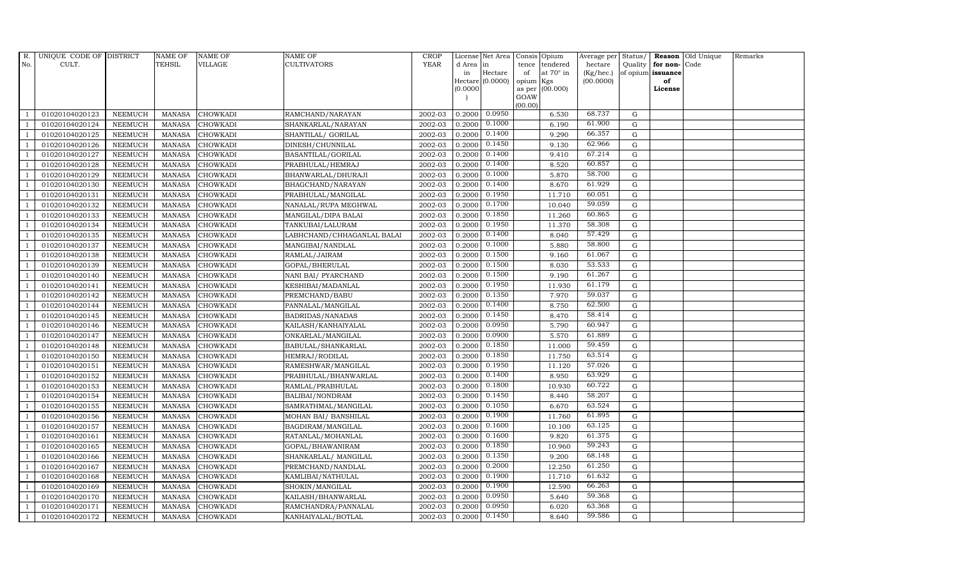| R.             | UNIQUE CODE OF DISTRICT |                | <b>NAME OF</b> | <b>NAME OF</b>  | <b>NAME OF</b>             | <b>CROP</b> |           | License Net Area |                | Consis Opium     | Average per | Status/     |                   | Reason Old Unique | Remarks |
|----------------|-------------------------|----------------|----------------|-----------------|----------------------------|-------------|-----------|------------------|----------------|------------------|-------------|-------------|-------------------|-------------------|---------|
| No.            | CULT.                   |                | TEHSIL         | VILLAGE         | CULTIVATORS                | <b>YEAR</b> | d Area in |                  | tence          | tendered         | hectare     | Quality     | for non-Code      |                   |         |
|                |                         |                |                |                 |                            |             | in        | Hectare          | of             | at $70^\circ$ in | (Kg/hec.)   |             | of opium issuance |                   |         |
|                |                         |                |                |                 |                            |             |           | Hectare (0.0000) | opium          | Kgs              | (00.0000)   |             | of                |                   |         |
|                |                         |                |                |                 |                            |             | (0.0000)  |                  | as per<br>GOAW | (00.000)         |             |             | License           |                   |         |
|                |                         |                |                |                 |                            |             |           |                  | (00.00)        |                  |             |             |                   |                   |         |
|                | 01020104020123          | <b>NEEMUCH</b> | MANASA         | <b>CHOWKADI</b> | RAMCHAND/NARAYAN           | 2002-03     | 0.2000    | 0.0950           |                | 6.530            | 68.737      | G           |                   |                   |         |
| -1             | 01020104020124          | <b>NEEMUCH</b> | <b>MANASA</b>  | CHOWKADI        | SHANKARLAL/NARAYAN         | 2002-03     | 0.2000    | 0.1000           |                | 6.190            | 61.900      | $\mathbf G$ |                   |                   |         |
|                | 01020104020125          | <b>NEEMUCH</b> | <b>MANASA</b>  | <b>CHOWKADI</b> | SHANTILAL/ GORILAL         | 2002-03     | 0.2000    | 0.1400           |                | 9.290            | 66.357      | G           |                   |                   |         |
|                | 01020104020126          | <b>NEEMUCH</b> | <b>MANASA</b>  | <b>CHOWKADI</b> | DINESH/CHUNNILAL           | 2002-03     | 0.2000    | 0.1450           |                | 9.130            | 62.966      | $\mathbf G$ |                   |                   |         |
| $\overline{1}$ | 01020104020127          | <b>NEEMUCH</b> | <b>MANASA</b>  | CHOWKADI        | BASANTILAL/GORILAL         | 2002-03     | 0.2000    | 0.1400           |                | 9.410            | 67.214      | ${\rm G}$   |                   |                   |         |
|                | 01020104020128          | <b>NEEMUCH</b> | <b>MANASA</b>  | CHOWKADI        | PRABHULAL/HEMRAJ           | 2002-03     | 0.2000    | 0.1400           |                | 8.520            | 60.857      | G           |                   |                   |         |
| $\overline{1}$ | 01020104020129          | <b>NEEMUCH</b> | <b>MANASA</b>  | CHOWKADI        | BHANWARLAL/DHURAJI         | 2002-03     | 0.2000    | 0.1000           |                | 5.870            | 58.700      | $\mathbf G$ |                   |                   |         |
|                | 01020104020130          | <b>NEEMUCH</b> | <b>MANASA</b>  | CHOWKADI        | BHAGCHAND/NARAYAN          | 2002-03     | 0.2000    | 0.1400           |                | 8.670            | 61.929      | $\mathbf G$ |                   |                   |         |
|                | 01020104020131          | <b>NEEMUCH</b> | <b>MANASA</b>  | <b>CHOWKADI</b> | PRABHULAL/MANGILAL         | 2002-03     | 0.2000    | 0.1950           |                | 11.710           | 60.051      | G           |                   |                   |         |
| -1             | 01020104020132          | <b>NEEMUCH</b> | <b>MANASA</b>  | CHOWKADI        | NANALAL/RUPA MEGHWAL       | 2002-03     | 0.2000    | 0.1700           |                | 10.040           | 59.059      | $\mathbf G$ |                   |                   |         |
| -1             | 01020104020133          | <b>NEEMUCH</b> | <b>MANASA</b>  | CHOWKADI        | MANGILAL/DIPA BALAI        | 2002-03     | 0.2000    | 0.1850           |                | 11.260           | 60.865      | ${\rm G}$   |                   |                   |         |
| $\overline{1}$ | 01020104020134          | <b>NEEMUCH</b> | <b>MANASA</b>  | <b>CHOWKADI</b> | TANKUBAI/LALURAM           | 2002-03     | 0.2000    | 0.1950           |                | 11.370           | 58.308      | $\mathbf G$ |                   |                   |         |
| $\overline{1}$ | 01020104020135          | <b>NEEMUCH</b> | <b>MANASA</b>  | CHOWKADI        | LABHCHAND/CHHAGANLAL BALAI | 2002-03     | 0.2000    | 0.1400           |                | 8.040            | 57.429      | $\mathbf G$ |                   |                   |         |
|                | 01020104020137          | <b>NEEMUCH</b> | <b>MANASA</b>  | <b>CHOWKADI</b> | MANGIBAI/NANDLAL           | 2002-03     | 0.2000    | 0.1000           |                | 5.880            | 58.800      | G           |                   |                   |         |
|                | 01020104020138          | <b>NEEMUCH</b> | <b>MANASA</b>  | <b>CHOWKADI</b> | RAMLAL/JAIRAM              | 2002-03     | 0.2000    | 0.1500           |                | 9.160            | 61.067      | $\mathbf G$ |                   |                   |         |
| $\overline{1}$ | 01020104020139          | <b>NEEMUCH</b> | <b>MANASA</b>  | CHOWKADI        | GOPAL/BHERULAL             | 2002-03     | 0.2000    | 0.1500           |                | 8.030            | 53.533      | ${\rm G}$   |                   |                   |         |
| $\overline{1}$ | 01020104020140          | <b>NEEMUCH</b> | <b>MANASA</b>  | CHOWKADI        | NANI BAI/ PYARCHAND        | 2002-03     | 0.2000    | 0.1500           |                | 9.190            | 61.267      | G           |                   |                   |         |
| $\overline{1}$ | 01020104020141          | <b>NEEMUCH</b> | <b>MANASA</b>  | CHOWKADI        | KESHIBAI/MADANLAL          | 2002-03     | 0.2000    | 0.1950           |                | 11.930           | 61.179      | $\mathbf G$ |                   |                   |         |
|                | 01020104020142          | <b>NEEMUCH</b> | <b>MANASA</b>  | <b>CHOWKADI</b> | PREMCHAND/BABU             | 2002-03     | 0.2000    | 0.1350           |                | 7.970            | 59.037      | $\mathbf G$ |                   |                   |         |
|                | 01020104020144          | <b>NEEMUCH</b> | MANASA         | <b>CHOWKADI</b> | PANNALAL/MANGILAL          | 2002-03     | 0.2000    | 0.1400           |                | 8.750            | 62.500      | $\mathbf G$ |                   |                   |         |
| $\overline{1}$ | 01020104020145          | <b>NEEMUCH</b> | <b>MANASA</b>  | CHOWKADI        | BADRIDAS/NANADAS           | 2002-03     | 0.2000    | 0.1450           |                | 8.470            | 58.414      | G           |                   |                   |         |
| $\overline{1}$ | 01020104020146          | <b>NEEMUCH</b> | <b>MANASA</b>  | CHOWKADI        | KAILASH/KANHAIYALAL        | 2002-03     | 0.2000    | 0.0950           |                | 5.790            | 60.947      | G           |                   |                   |         |
| $\overline{1}$ | 01020104020147          | <b>NEEMUCH</b> | <b>MANASA</b>  | <b>CHOWKADI</b> | ONKARLAL/MANGILAL          | 2002-03     | 0.2000    | 0.0900           |                | 5.570            | 61.889      | G           |                   |                   |         |
|                | 01020104020148          | <b>NEEMUCH</b> | <b>MANASA</b>  | <b>CHOWKADI</b> | BABULAL/SHANKARLAL         | 2002-03     | 0.2000    | 0.1850           |                | 11.000           | 59.459      | $\mathbf G$ |                   |                   |         |
|                | 01020104020150          | <b>NEEMUCH</b> | <b>MANASA</b>  | CHOWKADI        | HEMRAJ/RODILAL             | 2002-03     | 0.2000    | 0.1850           |                | 11.750           | 63.514      | G           |                   |                   |         |
| -1             | 01020104020151          | <b>NEEMUCH</b> | <b>MANASA</b>  | <b>CHOWKADI</b> | RAMESHWAR/MANGILAL         | 2002-03     | 0.2000    | 0.1950           |                | 11.120           | 57.026      | G           |                   |                   |         |
|                | 01020104020152          | <b>NEEMUCH</b> | <b>MANASA</b>  | CHOWKADI        | PRABHULAL/BHANWARLAL       | 2002-03     | 0.2000    | 0.1400           |                | 8.950            | 63.929      | ${\rm G}$   |                   |                   |         |
| $\overline{1}$ | 01020104020153          | <b>NEEMUCH</b> | <b>MANASA</b>  | <b>CHOWKADI</b> | RAMLAL/PRABHULAL           | 2002-03     | 0.2000    | 0.1800           |                | 10.930           | 60.722      | $\mathbf G$ |                   |                   |         |
|                | 01020104020154          | <b>NEEMUCH</b> | <b>MANASA</b>  | <b>CHOWKADI</b> | BALIBAI/NONDRAM            | 2002-03     | 0.2000    | 0.1450           |                | 8.440            | 58.207      | $\mathbf G$ |                   |                   |         |
|                | 01020104020155          | <b>NEEMUCH</b> | <b>MANASA</b>  | CHOWKADI        | SAMRATHMAL/MANGILAL        | 2002-03     | 0.2000    | 0.1050           |                | 6.670            | 63.524      | $\mathbf G$ |                   |                   |         |
| $\overline{1}$ | 01020104020156          | <b>NEEMUCH</b> | <b>MANASA</b>  | <b>CHOWKADI</b> | MOHAN BAI/ BANSHILAL       | 2002-03     | 0.2000    | 0.1900           |                | 11.760           | 61.895      | G           |                   |                   |         |
|                | 01020104020157          | <b>NEEMUCH</b> | <b>MANASA</b>  | CHOWKADI        | BAGDIRAM/MANGILAL          | 2002-03     | 0.2000    | 0.1600           |                | 10.100           | 63.125      | ${\rm G}$   |                   |                   |         |
| $\overline{1}$ | 01020104020161          | <b>NEEMUCH</b> | <b>MANASA</b>  | CHOWKADI        | RATANLAL/MOHANLAL          | 2002-03     | 0.2000    | 0.1600           |                | 9.820            | 61.375      | G           |                   |                   |         |
|                | 01020104020165          | <b>NEEMUCH</b> | <b>MANASA</b>  | <b>CHOWKADI</b> | GOPAL/BHAWANIRAM           | 2002-03     | 0.2000    | 0.1850           |                | 10.960           | 59.243      | $\mathbf G$ |                   |                   |         |
|                | 01020104020166          | <b>NEEMUCH</b> | <b>MANASA</b>  | CHOWKADI        | SHANKARLAL/ MANGILAL       | 2002-03     | 0.2000    | 0.1350           |                | 9.200            | 68.148      | $\mathbf G$ |                   |                   |         |
| $\overline{1}$ | 01020104020167          | <b>NEEMUCH</b> | <b>MANASA</b>  | <b>CHOWKADI</b> | PREMCHAND/NANDLAL          | 2002-03     | 0.2000    | 0.2000           |                | 12.250           | 61.250      | G           |                   |                   |         |
|                | 01020104020168          | <b>NEEMUCH</b> | <b>MANASA</b>  | <b>CHOWKADI</b> | KAMLIBAI/NATHULAL          | 2002-03     | 0.2000    | 0.1900           |                | 11.710           | 61.632      | ${\rm G}$   |                   |                   |         |
| $\overline{1}$ | 01020104020169          | <b>NEEMUCH</b> | <b>MANASA</b>  | CHOWKADI        | SHOKIN/MANGILAL            | 2002-03     | 0.2000    | 0.1900           |                | 12.590           | 66.263      | G           |                   |                   |         |
| $\overline{1}$ | 01020104020170          | <b>NEEMUCH</b> | <b>MANASA</b>  | <b>CHOWKADI</b> | KAILASH/BHANWARLAL         | 2002-03     | 0.2000    | 0.0950           |                | 5.640            | 59.368      | $\mathbf G$ |                   |                   |         |
|                | 01020104020171          | <b>NEEMUCH</b> | <b>MANASA</b>  | <b>CHOWKADI</b> | RAMCHANDRA/PANNALAL        | 2002-03     | 0.2000    | 0.0950           |                | 6.020            | 63.368      | $\mathbf G$ |                   |                   |         |
| $\mathbf{1}$   | 01020104020172          | <b>NEEMUCH</b> | MANASA         | <b>CHOWKADI</b> | KANHAIYALAL/BOTLAL         | 2002-03     | 0.2000    | 0.1450           |                | 8.640            | 59.586      | G           |                   |                   |         |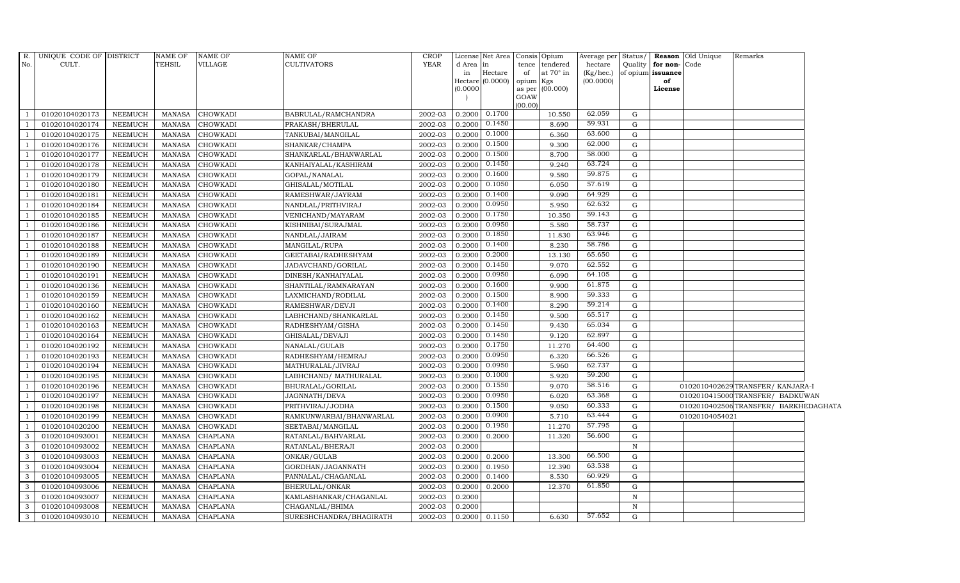| R.                      | UNIQUE CODE OF DISTRICT |                | NAME OF       | <b>NAME OF</b>  | NAME OF                 | <b>CROP</b> |           | License Net Area Consis Opium |                |                  | Average per Status/ |              |                   | <b>Reason</b> Old Unique | Remarks                             |  |
|-------------------------|-------------------------|----------------|---------------|-----------------|-------------------------|-------------|-----------|-------------------------------|----------------|------------------|---------------------|--------------|-------------------|--------------------------|-------------------------------------|--|
| No.                     | CULT.                   |                | TEHSIL        | VILLAGE         | CULTIVATORS             | <b>YEAR</b> | d Area in |                               | tence          | tendered         | hectare             | Quality      | for non-Code      |                          |                                     |  |
|                         |                         |                |               |                 |                         |             | in        | Hectare                       | of             | at $70^\circ$ in | (Kg/hec.)           |              | of opium issuance |                          |                                     |  |
|                         |                         |                |               |                 |                         |             | (0.0000)  | $Hectare (0.0000)$            | opium Kgs      |                  | (00.0000)           |              | of                |                          |                                     |  |
|                         |                         |                |               |                 |                         |             |           |                               | as per<br>GOAW | (00.000)         |                     |              | License           |                          |                                     |  |
|                         |                         |                |               |                 |                         |             |           |                               | (00.00)        |                  |                     |              |                   |                          |                                     |  |
| $\overline{1}$          | 01020104020173          | NEEMUCH        | MANASA        | <b>CHOWKADI</b> | BABRULAL/RAMCHANDRA     | 2002-03     |           | $0.2000$ $0.1700$             |                | 10.550           | 62.059              | G            |                   |                          |                                     |  |
| -1                      | 01020104020174          | <b>NEEMUCH</b> | <b>MANASA</b> | CHOWKADI        | PRAKASH/BHERULAL        | 2002-03     | 0.2000    | 0.1450                        |                | 8.690            | 59.931              | G            |                   |                          |                                     |  |
| $\overline{1}$          | 01020104020175          | <b>NEEMUCH</b> | <b>MANASA</b> | CHOWKADI        | TANKUBAI/MANGILAL       | 2002-03     | 0.2000    | 0.1000                        |                | 6.360            | 63.600              | G            |                   |                          |                                     |  |
|                         | 01020104020176          | <b>NEEMUCH</b> | <b>MANASA</b> | <b>CHOWKADI</b> | SHANKAR/CHAMPA          | 2002-03     | 0.2000    | 0.1500                        |                | 9.300            | 62.000              | G            |                   |                          |                                     |  |
| $\mathbf{1}$            | 01020104020177          | <b>NEEMUCH</b> | <b>MANASA</b> | CHOWKADI        | SHANKARLAL/BHANWARLAL   | 2002-03     | 0.2000    | 0.1500                        |                | 8.700            | 58.000              | ${\rm G}$    |                   |                          |                                     |  |
| $\overline{1}$          | 01020104020178          | <b>NEEMUCH</b> | <b>MANASA</b> | CHOWKADI        | KANHAIYALAL/KASHIRAM    | 2002-03     | 0.2000    | 0.1450                        |                | 9.240            | 63.724              | ${\rm G}$    |                   |                          |                                     |  |
| $\overline{1}$          | 01020104020179          | <b>NEEMUCH</b> | <b>MANASA</b> | CHOWKADI        | GOPAL/NANALAL           | 2002-03     | 0.2000    | 0.1600                        |                | 9.580            | 59.875              | ${\rm G}$    |                   |                          |                                     |  |
| <sup>1</sup>            | 01020104020180          | <b>NEEMUCH</b> | <b>MANASA</b> | CHOWKADI        | GHISALAL/MOTILAL        | 2002-03     | 0.2000    | 0.1050                        |                | 6.050            | 57.619              | G            |                   |                          |                                     |  |
|                         | 01020104020181          | <b>NEEMUCH</b> | <b>MANASA</b> | CHOWKADI        | RAMESHWAR/JAYRAM        | 2002-03     | 0.2000    | 0.1400                        |                | 9.090            | 64.929              | $\mathbf G$  |                   |                          |                                     |  |
| $\overline{1}$          | 01020104020184          | <b>NEEMUCH</b> | <b>MANASA</b> | CHOWKADI        | NANDLAL/PRITHVIRAJ      | 2002-03     | 0.2000    | 0.0950                        |                | 5.950            | 62.632              | ${\rm G}$    |                   |                          |                                     |  |
| $\overline{1}$          | 01020104020185          | <b>NEEMUCH</b> | <b>MANASA</b> | CHOWKADI        | VENICHAND/MAYARAM       | 2002-03     | 0.2000    | 0.1750                        |                | 10.350           | 59.143              | ${\rm G}$    |                   |                          |                                     |  |
| $\overline{1}$          | 01020104020186          | <b>NEEMUCH</b> | <b>MANASA</b> | CHOWKADI        | KISHNIBAI/SURAJMAL      | 2002-03     | 0.2000    | 0.0950                        |                | 5.580            | 58.737              | $\mathbf G$  |                   |                          |                                     |  |
| <sup>1</sup>            | 01020104020187          | <b>NEEMUCH</b> | <b>MANASA</b> | CHOWKADI        | NANDLAL/JAIRAM          | 2002-03     | 0.2000    | 0.1850                        |                | 11.830           | 63.946              | G            |                   |                          |                                     |  |
| $\overline{1}$          | 01020104020188          | <b>NEEMUCH</b> | <b>MANASA</b> | <b>CHOWKADI</b> | MANGILAL/RUPA           | 2002-03     | 0.2000    | 0.1400                        |                | 8.230            | 58.786              | G            |                   |                          |                                     |  |
| $\overline{1}$          | 01020104020189          | <b>NEEMUCH</b> | <b>MANASA</b> | CHOWKADI        | GEETABAI/RADHESHYAM     | 2002-03     | 0.2000    | 0.2000                        |                | 13.130           | 65.650              | G            |                   |                          |                                     |  |
| <sup>1</sup>            | 01020104020190          | <b>NEEMUCH</b> | <b>MANASA</b> | CHOWKADI        | JADAVCHAND/GORILAL      | 2002-03     | 0.2000    | 0.1450                        |                | 9.070            | 62.552              | ${\rm G}$    |                   |                          |                                     |  |
| <sup>1</sup>            | 01020104020191          | <b>NEEMUCH</b> | <b>MANASA</b> | CHOWKADI        | DINESH/KANHAIYALAL      | 2002-03     | 0.2000    | 0.0950                        |                | 6.090            | 64.105              | ${\rm G}$    |                   |                          |                                     |  |
| $\overline{1}$          | 01020104020136          | <b>NEEMUCH</b> | MANASA        | CHOWKADI        | SHANTILAL/RAMNARAYAN    | 2002-03     | 0.2000    | 0.1600                        |                | 9.900            | 61.875              | G            |                   |                          |                                     |  |
| $\overline{1}$          | 01020104020159          | <b>NEEMUCH</b> | <b>MANASA</b> | <b>CHOWKADI</b> | LAXMICHAND/RODILAL      | 2002-03     | 0.2000    | 0.1500                        |                | 8.900            | 59.333              | ${\rm G}$    |                   |                          |                                     |  |
|                         | 01020104020160          | <b>NEEMUCH</b> | <b>MANASA</b> | CHOWKADI        | RAMESHWAR/DEVJI         | 2002-03     | 0.2000    | 0.1400                        |                | 8.290            | 59.214              | G            |                   |                          |                                     |  |
| $\overline{1}$          | 01020104020162          | NEEMUCH        | MANASA        | CHOWKADI        | LABHCHAND/SHANKARLAL    | 2002-03     | 0.2000    | 0.1450                        |                | 9.500            | 65.517              | ${\rm G}$    |                   |                          |                                     |  |
| 1                       | 01020104020163          | <b>NEEMUCH</b> | <b>MANASA</b> | <b>CHOWKADI</b> | RADHESHYAM/GISHA        | 2002-03     | 0.2000    | 0.1450                        |                | 9.430            | 65.034              | ${\rm G}$    |                   |                          |                                     |  |
| <sup>1</sup>            | 01020104020164          | <b>NEEMUCH</b> | <b>MANASA</b> | CHOWKADI        | GHISALAL/DEVAJI         | 2002-03     | 0.2000    | 0.1450                        |                | 9.120            | 62.897              | ${\rm G}$    |                   |                          |                                     |  |
| $\overline{1}$          | 01020104020192          | NEEMUCH        | <b>MANASA</b> | CHOWKADI        | NANALAL/GULAB           | 2002-03     | 0.2000    | 0.1750                        |                | 11.270           | 64.400              | $\mathbf G$  |                   |                          |                                     |  |
|                         | 01020104020193          | <b>NEEMUCH</b> | <b>MANASA</b> | <b>CHOWKADI</b> | RADHESHYAM/HEMRAJ       | 2002-03     | 0.2000    | 0.0950                        |                | 6.320            | 66.526              | G            |                   |                          |                                     |  |
| $\mathbf{1}$            | 01020104020194          | <b>NEEMUCH</b> | <b>MANASA</b> | CHOWKADI        | MATHURALAL/JIVRAJ       | 2002-03     | 0.2000    | 0.0950                        |                | 5.960            | 62.737              | ${\rm G}$    |                   |                          |                                     |  |
| -1                      | 01020104020195          | <b>NEEMUCH</b> | <b>MANASA</b> | CHOWKADI        | LABHCHAND/ MATHURALAL   | 2002-03     | 0.2000    | 0.1000                        |                | 5.920            | 59.200              | G            |                   |                          |                                     |  |
| 1                       | 01020104020196          | <b>NEEMUCH</b> | <b>MANASA</b> | CHOWKADI        | BHURALAL/GORILAL        | 2002-03     | 0.2000    | 0.1550                        |                | 9.070            | 58.516              | ${\rm G}$    |                   |                          | 0102010402629TRANSFER/KANJARA-I     |  |
| $\overline{1}$          | 01020104020197          | <b>NEEMUCH</b> | <b>MANASA</b> | CHOWKADI        | JAGNNATH/DEVA           | 2002-03     | 0.2000    | 0.0950                        |                | 6.020            | 63.368              | ${\rm G}$    |                   |                          | 0102010415000TRANSFER/ BADKUWAN     |  |
|                         | 01020104020198          | <b>NEEMUCH</b> | <b>MANASA</b> | CHOWKADI        | PRITHVIRAJ/JODHA        | 2002-03     | 0.2000    | 0.1500                        |                | 9.050            | 60.333              | G            |                   |                          | 0102010402506TRANSFER/BARKHEDAGHATA |  |
| $\overline{1}$          | 01020104020199          | <b>NEEMUCH</b> | <b>MANASA</b> | CHOWKADI        | RAMKUNWARBAI/BHANWARLAL | 2002-03     | 0.2000    | 0.0900                        |                | 5.710            | 63.444              | G            |                   | 01020104054021           |                                     |  |
| $\overline{1}$          | 01020104020200          | <b>NEEMUCH</b> | <b>MANASA</b> | CHOWKADI        | SEETABAI/MANGILAL       | 2002-03     | 0.2000    | 0.1950                        |                | 11.270           | 57.795              | G            |                   |                          |                                     |  |
| -3                      | 01020104093001          | <b>NEEMUCH</b> | <b>MANASA</b> | <b>CHAPLANA</b> | RATANLAL/BAHVARLAL      | 2002-03     | 0.2000    | 0.2000                        |                | 11.320           | 56.600              | G            |                   |                          |                                     |  |
| 3                       | 01020104093002          | <b>NEEMUCH</b> | <b>MANASA</b> | <b>CHAPLANA</b> | RATANLAL/BHERAJI        | 2002-03     | 0.2000    |                               |                |                  |                     | $\, {\rm N}$ |                   |                          |                                     |  |
| 3                       | 01020104093003          | <b>NEEMUCH</b> | <b>MANASA</b> | <b>CHAPLANA</b> | ONKAR/GULAB             | 2002-03     | 0.2000    | 0.2000                        |                | 13.300           | 66.500              | G            |                   |                          |                                     |  |
| 3                       | 01020104093004          | <b>NEEMUCH</b> | <b>MANASA</b> | <b>CHAPLANA</b> | GORDHAN/JAGANNATH       | 2002-03     | 0.2000    | 0.1950                        |                | 12.390           | 63.538              | $\mathbf G$  |                   |                          |                                     |  |
| 3                       | 01020104093005          | <b>NEEMUCH</b> | <b>MANASA</b> | <b>CHAPLANA</b> | PANNALAL/CHAGANLAL      | 2002-03     | 0.2000    | 0.1400                        |                | 8.530            | 60.929              | G            |                   |                          |                                     |  |
| $\overline{\mathbf{3}}$ | 01020104093006          | <b>NEEMUCH</b> | <b>MANASA</b> | CHAPLANA        | BHERULAL/ONKAR          | 2002-03     | 0.2000    | 0.2000                        |                | 12.370           | 61.850              | ${\rm G}$    |                   |                          |                                     |  |
| 3                       | 01020104093007          | <b>NEEMUCH</b> | <b>MANASA</b> | CHAPLANA        | KAMLASHANKAR/CHAGANLAL  | 2002-03     | 0.2000    |                               |                |                  |                     | $\, {\rm N}$ |                   |                          |                                     |  |
| 3                       | 01020104093008          | <b>NEEMUCH</b> | <b>MANASA</b> | <b>CHAPLANA</b> | CHAGANLAL/BHIMA         | 2002-03     | 0.2000    |                               |                |                  |                     | ${\bf N}$    |                   |                          |                                     |  |
| 3                       | 01020104093010          | <b>NEEMUCH</b> | MANASA        | <b>CHAPLANA</b> | SURESHCHANDRA/BHAGIRATH | 2002-03     |           | $0.2000$ 0.1150               |                | 6.630            | 57.652              | G            |                   |                          |                                     |  |
|                         |                         |                |               |                 |                         |             |           |                               |                |                  |                     |              |                   |                          |                                     |  |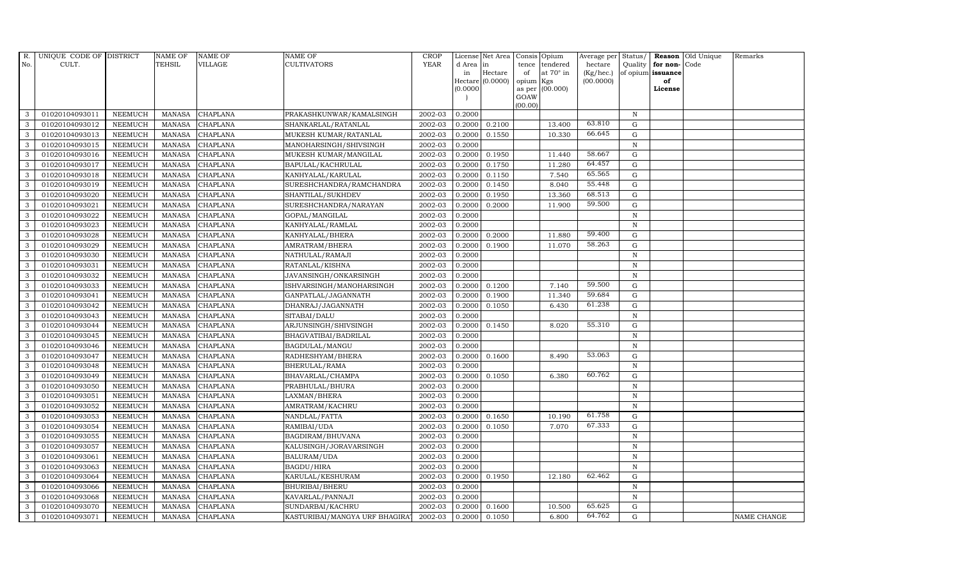| Reason Old Unique<br><b>TEHSIL</b><br><b>YEAR</b><br>CULT.<br>VILLAGE<br><b>CULTIVATORS</b><br>No.<br>d Area in<br>tence<br>tendered<br>hectare<br>Quality $ $ for non-<br>Code<br>at $70^\circ$ in<br>(Kg/hec.)<br>Hectare<br>of opium issuance<br>in<br>of<br>Hectare $(0.0000)$<br>(00.0000)<br>opium Kgs<br>of<br>as per (00.000)<br>(0.0000)<br>License<br>GOAW<br>(00.00)<br>3<br>01020104093011<br><b>CHAPLANA</b><br>2002-03<br>0.2000<br>N<br><b>NEEMUCH</b><br>MANASA<br>PRAKASHKUNWAR/KAMALSINGH<br>63.810<br>01020104093012<br><b>CHAPLANA</b><br>2002-03<br>0.2100<br>13.400<br>$\mathbf G$<br>3<br><b>NEEMUCH</b><br>MANASA<br>SHANKARLAL/RATANLAL<br>0.2000<br>66.645<br>3<br><b>CHAPLANA</b><br>2002-03<br>10.330<br>01020104093013<br><b>NEEMUCH</b><br><b>MANASA</b><br>MUKESH KUMAR/RATANLAL<br>0.2000<br>0.1550<br>G<br><b>CHAPLANA</b><br>$\overline{N}$<br>3<br>01020104093015<br><b>NEEMUCH</b><br><b>MANASA</b><br>MANOHARSINGH/SHIVSINGH<br>2002-03<br>0.2000<br>58.667<br>3<br>01020104093016<br><b>MANASA</b><br><b>CHAPLANA</b><br>2002-03<br>0.2000<br>0.1950<br>11.440<br>G<br><b>NEEMUCH</b><br>MUKESH KUMAR/MANGILAL<br>64.457<br>$\mathbf{3}$<br><b>NEEMUCH</b><br><b>MANASA</b><br><b>CHAPLANA</b><br>2002-03<br>0.2000<br>0.1750<br>11.280<br>G<br>01020104093017<br>BAPULAL/KACHRULAL<br>65.565<br>2002-03<br>7.540<br>G<br>3<br>01020104093018<br><b>NEEMUCH</b><br><b>MANASA</b><br><b>CHAPLANA</b><br>0.2000<br>0.1150<br>KANHYALAL/KARULAL<br>55.448<br>3<br>01020104093019<br><b>NEEMUCH</b><br><b>CHAPLANA</b><br>2002-03<br>0.2000<br>0.1450<br>8.040<br>$\mathbf G$<br><b>MANASA</b><br>SURESHCHANDRA/RAMCHANDRA<br>68.513<br><b>NEEMUCH</b><br><b>MANASA</b><br>CHAPLANA<br>2002-03<br>0.1950<br>13.360<br>G<br>3<br>01020104093020<br>SHANTILAL/SUKHDEV<br>0.2000<br>59.500<br>3<br>G<br>01020104093021<br><b>MANASA</b><br><b>CHAPLANA</b><br>2002-03<br>0.2000<br>0.2000<br>11.900<br><b>NEEMUCH</b><br>SURESHCHANDRA/NARAYAN<br>3<br><b>NEEMUCH</b><br><b>MANASA</b><br><b>CHAPLANA</b><br>2002-03<br>0.2000<br>$\mathbf N$<br>01020104093022<br>GOPAL/MANGILAL<br>2002-03<br>01020104093023<br><b>CHAPLANA</b><br>0.2000<br>$\mathbf N$<br>3<br><b>NEEMUCH</b><br><b>MANASA</b><br>KANHYALAL/RAMLAL<br>59.400<br>3<br>01020104093028<br><b>NEEMUCH</b><br><b>CHAPLANA</b><br>KANHYALAL/BHERA<br>2002-03<br>0.2000<br>0.2000<br>11.880<br>G<br><b>MANASA</b><br>58.263<br>3<br>01020104093029<br><b>NEEMUCH</b><br><b>MANASA</b><br><b>CHAPLANA</b><br>2002-03<br>0.2000<br>0.1900<br>11.070<br>G<br>AMRATRAM/BHERA<br>3<br>01020104093030<br><b>NEEMUCH</b><br><b>MANASA</b><br><b>CHAPLANA</b><br>2002-03<br>0.2000<br>NATHULAL/RAMAJI<br>N<br>3<br>01020104093031<br><b>NEEMUCH</b><br><b>MANASA</b><br><b>CHAPLANA</b><br>2002-03<br>0.2000<br>$\mathbf N$<br>RATANLAL/KISHNA<br>3<br>01020104093032<br><b>NEEMUCH</b><br><b>MANASA</b><br><b>CHAPLANA</b><br>JAVANSINGH/ONKARSINGH<br>2002-03<br>0.2000<br>N<br>59.500<br>3<br>01020104093033<br><b>NEEMUCH</b><br><b>CHAPLANA</b><br>ISHVARSINGH/MANOHARSINGH<br>2002-03<br>0.2000<br>0.1200<br>7.140<br>G<br>MANASA<br>59.684<br>3<br>01020104093041<br><b>NEEMUCH</b><br><b>MANASA</b><br><b>CHAPLANA</b><br>GANPATLAL/JAGANNATH<br>2002-03<br>0.2000<br>0.1900<br>11.340<br>G<br>61.238<br>3<br>2002-03<br>6.430<br>G<br>01020104093042<br><b>NEEMUCH</b><br><b>MANASA</b><br><b>CHAPLANA</b><br>DHANRAJ/JAGANNATH<br>0.2000<br>0.1050<br>2002-03<br>$\mathbf{3}$<br>01020104093043<br><b>NEEMUCH</b><br><b>MANASA</b><br><b>CHAPLANA</b><br>SITABAI/DALU<br>0.2000<br>$\, {\rm N}$<br>55.310<br>3<br>01020104093044<br><b>NEEMUCH</b><br><b>MANASA</b><br>CHAPLANA<br>ARJUNSINGH/SHIVSINGH<br>2002-03<br>0.2000<br>0.1450<br>8.020<br>G<br>$\mathbf{3}$<br>2002-03<br>01020104093045<br><b>NEEMUCH</b><br><b>CHAPLANA</b><br>BHAGVATIBAI/BADRILAL<br>0.2000<br>N<br>MANASA<br><b>CHAPLANA</b><br>2002-03<br>3<br>01020104093046<br><b>NEEMUCH</b><br><b>MANASA</b><br>BAGDULAL/MANGU<br>0.2000<br>$\mathbf N$<br>53.063<br>3<br><b>MANASA</b><br><b>CHAPLANA</b><br>2002-03<br>0.1600<br>8.490<br>G<br>01020104093047<br><b>NEEMUCH</b><br>RADHESHYAM/BHERA<br>0.2000<br>3<br><b>NEEMUCH</b><br><b>MANASA</b><br><b>CHAPLANA</b><br>2002-03<br>0.2000<br>N<br>01020104093048<br>BHERULAL/RAMA<br>60.762<br>2002-03<br>3<br>01020104093049<br><b>NEEMUCH</b><br><b>MANASA</b><br><b>CHAPLANA</b><br>BHAVARLAL/CHAMPA<br>0.2000<br>0.1050<br>6.380<br>G<br>3<br>01020104093050<br>2002-03<br><b>NEEMUCH</b><br><b>MANASA</b><br>CHAPLANA<br>PRABHULAL/BHURA<br>0.2000<br>N |
|-------------------------------------------------------------------------------------------------------------------------------------------------------------------------------------------------------------------------------------------------------------------------------------------------------------------------------------------------------------------------------------------------------------------------------------------------------------------------------------------------------------------------------------------------------------------------------------------------------------------------------------------------------------------------------------------------------------------------------------------------------------------------------------------------------------------------------------------------------------------------------------------------------------------------------------------------------------------------------------------------------------------------------------------------------------------------------------------------------------------------------------------------------------------------------------------------------------------------------------------------------------------------------------------------------------------------------------------------------------------------------------------------------------------------------------------------------------------------------------------------------------------------------------------------------------------------------------------------------------------------------------------------------------------------------------------------------------------------------------------------------------------------------------------------------------------------------------------------------------------------------------------------------------------------------------------------------------------------------------------------------------------------------------------------------------------------------------------------------------------------------------------------------------------------------------------------------------------------------------------------------------------------------------------------------------------------------------------------------------------------------------------------------------------------------------------------------------------------------------------------------------------------------------------------------------------------------------------------------------------------------------------------------------------------------------------------------------------------------------------------------------------------------------------------------------------------------------------------------------------------------------------------------------------------------------------------------------------------------------------------------------------------------------------------------------------------------------------------------------------------------------------------------------------------------------------------------------------------------------------------------------------------------------------------------------------------------------------------------------------------------------------------------------------------------------------------------------------------------------------------------------------------------------------------------------------------------------------------------------------------------------------------------------------------------------------------------------------------------------------------------------------------------------------------------------------------------------------------------------------------------------------------------------------------------------------------------------------------------------------------------------------------------------------------------------------------------------------------------------------------------------------------------------------------------------------------------------------------------------------------------------------------------------------------------------------------------------------------------------------------------------------------------------------------------------------------------------------------------------------------------------------------------------------------------------------------------------|
|                                                                                                                                                                                                                                                                                                                                                                                                                                                                                                                                                                                                                                                                                                                                                                                                                                                                                                                                                                                                                                                                                                                                                                                                                                                                                                                                                                                                                                                                                                                                                                                                                                                                                                                                                                                                                                                                                                                                                                                                                                                                                                                                                                                                                                                                                                                                                                                                                                                                                                                                                                                                                                                                                                                                                                                                                                                                                                                                                                                                                                                                                                                                                                                                                                                                                                                                                                                                                                                                                                                                                                                                                                                                                                                                                                                                                                                                                                                                                                                                                                                                                                                                                                                                                                                                                                                                                                                                                                                                                                                                                                                     |
|                                                                                                                                                                                                                                                                                                                                                                                                                                                                                                                                                                                                                                                                                                                                                                                                                                                                                                                                                                                                                                                                                                                                                                                                                                                                                                                                                                                                                                                                                                                                                                                                                                                                                                                                                                                                                                                                                                                                                                                                                                                                                                                                                                                                                                                                                                                                                                                                                                                                                                                                                                                                                                                                                                                                                                                                                                                                                                                                                                                                                                                                                                                                                                                                                                                                                                                                                                                                                                                                                                                                                                                                                                                                                                                                                                                                                                                                                                                                                                                                                                                                                                                                                                                                                                                                                                                                                                                                                                                                                                                                                                                     |
|                                                                                                                                                                                                                                                                                                                                                                                                                                                                                                                                                                                                                                                                                                                                                                                                                                                                                                                                                                                                                                                                                                                                                                                                                                                                                                                                                                                                                                                                                                                                                                                                                                                                                                                                                                                                                                                                                                                                                                                                                                                                                                                                                                                                                                                                                                                                                                                                                                                                                                                                                                                                                                                                                                                                                                                                                                                                                                                                                                                                                                                                                                                                                                                                                                                                                                                                                                                                                                                                                                                                                                                                                                                                                                                                                                                                                                                                                                                                                                                                                                                                                                                                                                                                                                                                                                                                                                                                                                                                                                                                                                                     |
|                                                                                                                                                                                                                                                                                                                                                                                                                                                                                                                                                                                                                                                                                                                                                                                                                                                                                                                                                                                                                                                                                                                                                                                                                                                                                                                                                                                                                                                                                                                                                                                                                                                                                                                                                                                                                                                                                                                                                                                                                                                                                                                                                                                                                                                                                                                                                                                                                                                                                                                                                                                                                                                                                                                                                                                                                                                                                                                                                                                                                                                                                                                                                                                                                                                                                                                                                                                                                                                                                                                                                                                                                                                                                                                                                                                                                                                                                                                                                                                                                                                                                                                                                                                                                                                                                                                                                                                                                                                                                                                                                                                     |
|                                                                                                                                                                                                                                                                                                                                                                                                                                                                                                                                                                                                                                                                                                                                                                                                                                                                                                                                                                                                                                                                                                                                                                                                                                                                                                                                                                                                                                                                                                                                                                                                                                                                                                                                                                                                                                                                                                                                                                                                                                                                                                                                                                                                                                                                                                                                                                                                                                                                                                                                                                                                                                                                                                                                                                                                                                                                                                                                                                                                                                                                                                                                                                                                                                                                                                                                                                                                                                                                                                                                                                                                                                                                                                                                                                                                                                                                                                                                                                                                                                                                                                                                                                                                                                                                                                                                                                                                                                                                                                                                                                                     |
|                                                                                                                                                                                                                                                                                                                                                                                                                                                                                                                                                                                                                                                                                                                                                                                                                                                                                                                                                                                                                                                                                                                                                                                                                                                                                                                                                                                                                                                                                                                                                                                                                                                                                                                                                                                                                                                                                                                                                                                                                                                                                                                                                                                                                                                                                                                                                                                                                                                                                                                                                                                                                                                                                                                                                                                                                                                                                                                                                                                                                                                                                                                                                                                                                                                                                                                                                                                                                                                                                                                                                                                                                                                                                                                                                                                                                                                                                                                                                                                                                                                                                                                                                                                                                                                                                                                                                                                                                                                                                                                                                                                     |
|                                                                                                                                                                                                                                                                                                                                                                                                                                                                                                                                                                                                                                                                                                                                                                                                                                                                                                                                                                                                                                                                                                                                                                                                                                                                                                                                                                                                                                                                                                                                                                                                                                                                                                                                                                                                                                                                                                                                                                                                                                                                                                                                                                                                                                                                                                                                                                                                                                                                                                                                                                                                                                                                                                                                                                                                                                                                                                                                                                                                                                                                                                                                                                                                                                                                                                                                                                                                                                                                                                                                                                                                                                                                                                                                                                                                                                                                                                                                                                                                                                                                                                                                                                                                                                                                                                                                                                                                                                                                                                                                                                                     |
|                                                                                                                                                                                                                                                                                                                                                                                                                                                                                                                                                                                                                                                                                                                                                                                                                                                                                                                                                                                                                                                                                                                                                                                                                                                                                                                                                                                                                                                                                                                                                                                                                                                                                                                                                                                                                                                                                                                                                                                                                                                                                                                                                                                                                                                                                                                                                                                                                                                                                                                                                                                                                                                                                                                                                                                                                                                                                                                                                                                                                                                                                                                                                                                                                                                                                                                                                                                                                                                                                                                                                                                                                                                                                                                                                                                                                                                                                                                                                                                                                                                                                                                                                                                                                                                                                                                                                                                                                                                                                                                                                                                     |
|                                                                                                                                                                                                                                                                                                                                                                                                                                                                                                                                                                                                                                                                                                                                                                                                                                                                                                                                                                                                                                                                                                                                                                                                                                                                                                                                                                                                                                                                                                                                                                                                                                                                                                                                                                                                                                                                                                                                                                                                                                                                                                                                                                                                                                                                                                                                                                                                                                                                                                                                                                                                                                                                                                                                                                                                                                                                                                                                                                                                                                                                                                                                                                                                                                                                                                                                                                                                                                                                                                                                                                                                                                                                                                                                                                                                                                                                                                                                                                                                                                                                                                                                                                                                                                                                                                                                                                                                                                                                                                                                                                                     |
|                                                                                                                                                                                                                                                                                                                                                                                                                                                                                                                                                                                                                                                                                                                                                                                                                                                                                                                                                                                                                                                                                                                                                                                                                                                                                                                                                                                                                                                                                                                                                                                                                                                                                                                                                                                                                                                                                                                                                                                                                                                                                                                                                                                                                                                                                                                                                                                                                                                                                                                                                                                                                                                                                                                                                                                                                                                                                                                                                                                                                                                                                                                                                                                                                                                                                                                                                                                                                                                                                                                                                                                                                                                                                                                                                                                                                                                                                                                                                                                                                                                                                                                                                                                                                                                                                                                                                                                                                                                                                                                                                                                     |
|                                                                                                                                                                                                                                                                                                                                                                                                                                                                                                                                                                                                                                                                                                                                                                                                                                                                                                                                                                                                                                                                                                                                                                                                                                                                                                                                                                                                                                                                                                                                                                                                                                                                                                                                                                                                                                                                                                                                                                                                                                                                                                                                                                                                                                                                                                                                                                                                                                                                                                                                                                                                                                                                                                                                                                                                                                                                                                                                                                                                                                                                                                                                                                                                                                                                                                                                                                                                                                                                                                                                                                                                                                                                                                                                                                                                                                                                                                                                                                                                                                                                                                                                                                                                                                                                                                                                                                                                                                                                                                                                                                                     |
|                                                                                                                                                                                                                                                                                                                                                                                                                                                                                                                                                                                                                                                                                                                                                                                                                                                                                                                                                                                                                                                                                                                                                                                                                                                                                                                                                                                                                                                                                                                                                                                                                                                                                                                                                                                                                                                                                                                                                                                                                                                                                                                                                                                                                                                                                                                                                                                                                                                                                                                                                                                                                                                                                                                                                                                                                                                                                                                                                                                                                                                                                                                                                                                                                                                                                                                                                                                                                                                                                                                                                                                                                                                                                                                                                                                                                                                                                                                                                                                                                                                                                                                                                                                                                                                                                                                                                                                                                                                                                                                                                                                     |
|                                                                                                                                                                                                                                                                                                                                                                                                                                                                                                                                                                                                                                                                                                                                                                                                                                                                                                                                                                                                                                                                                                                                                                                                                                                                                                                                                                                                                                                                                                                                                                                                                                                                                                                                                                                                                                                                                                                                                                                                                                                                                                                                                                                                                                                                                                                                                                                                                                                                                                                                                                                                                                                                                                                                                                                                                                                                                                                                                                                                                                                                                                                                                                                                                                                                                                                                                                                                                                                                                                                                                                                                                                                                                                                                                                                                                                                                                                                                                                                                                                                                                                                                                                                                                                                                                                                                                                                                                                                                                                                                                                                     |
|                                                                                                                                                                                                                                                                                                                                                                                                                                                                                                                                                                                                                                                                                                                                                                                                                                                                                                                                                                                                                                                                                                                                                                                                                                                                                                                                                                                                                                                                                                                                                                                                                                                                                                                                                                                                                                                                                                                                                                                                                                                                                                                                                                                                                                                                                                                                                                                                                                                                                                                                                                                                                                                                                                                                                                                                                                                                                                                                                                                                                                                                                                                                                                                                                                                                                                                                                                                                                                                                                                                                                                                                                                                                                                                                                                                                                                                                                                                                                                                                                                                                                                                                                                                                                                                                                                                                                                                                                                                                                                                                                                                     |
|                                                                                                                                                                                                                                                                                                                                                                                                                                                                                                                                                                                                                                                                                                                                                                                                                                                                                                                                                                                                                                                                                                                                                                                                                                                                                                                                                                                                                                                                                                                                                                                                                                                                                                                                                                                                                                                                                                                                                                                                                                                                                                                                                                                                                                                                                                                                                                                                                                                                                                                                                                                                                                                                                                                                                                                                                                                                                                                                                                                                                                                                                                                                                                                                                                                                                                                                                                                                                                                                                                                                                                                                                                                                                                                                                                                                                                                                                                                                                                                                                                                                                                                                                                                                                                                                                                                                                                                                                                                                                                                                                                                     |
|                                                                                                                                                                                                                                                                                                                                                                                                                                                                                                                                                                                                                                                                                                                                                                                                                                                                                                                                                                                                                                                                                                                                                                                                                                                                                                                                                                                                                                                                                                                                                                                                                                                                                                                                                                                                                                                                                                                                                                                                                                                                                                                                                                                                                                                                                                                                                                                                                                                                                                                                                                                                                                                                                                                                                                                                                                                                                                                                                                                                                                                                                                                                                                                                                                                                                                                                                                                                                                                                                                                                                                                                                                                                                                                                                                                                                                                                                                                                                                                                                                                                                                                                                                                                                                                                                                                                                                                                                                                                                                                                                                                     |
|                                                                                                                                                                                                                                                                                                                                                                                                                                                                                                                                                                                                                                                                                                                                                                                                                                                                                                                                                                                                                                                                                                                                                                                                                                                                                                                                                                                                                                                                                                                                                                                                                                                                                                                                                                                                                                                                                                                                                                                                                                                                                                                                                                                                                                                                                                                                                                                                                                                                                                                                                                                                                                                                                                                                                                                                                                                                                                                                                                                                                                                                                                                                                                                                                                                                                                                                                                                                                                                                                                                                                                                                                                                                                                                                                                                                                                                                                                                                                                                                                                                                                                                                                                                                                                                                                                                                                                                                                                                                                                                                                                                     |
|                                                                                                                                                                                                                                                                                                                                                                                                                                                                                                                                                                                                                                                                                                                                                                                                                                                                                                                                                                                                                                                                                                                                                                                                                                                                                                                                                                                                                                                                                                                                                                                                                                                                                                                                                                                                                                                                                                                                                                                                                                                                                                                                                                                                                                                                                                                                                                                                                                                                                                                                                                                                                                                                                                                                                                                                                                                                                                                                                                                                                                                                                                                                                                                                                                                                                                                                                                                                                                                                                                                                                                                                                                                                                                                                                                                                                                                                                                                                                                                                                                                                                                                                                                                                                                                                                                                                                                                                                                                                                                                                                                                     |
|                                                                                                                                                                                                                                                                                                                                                                                                                                                                                                                                                                                                                                                                                                                                                                                                                                                                                                                                                                                                                                                                                                                                                                                                                                                                                                                                                                                                                                                                                                                                                                                                                                                                                                                                                                                                                                                                                                                                                                                                                                                                                                                                                                                                                                                                                                                                                                                                                                                                                                                                                                                                                                                                                                                                                                                                                                                                                                                                                                                                                                                                                                                                                                                                                                                                                                                                                                                                                                                                                                                                                                                                                                                                                                                                                                                                                                                                                                                                                                                                                                                                                                                                                                                                                                                                                                                                                                                                                                                                                                                                                                                     |
|                                                                                                                                                                                                                                                                                                                                                                                                                                                                                                                                                                                                                                                                                                                                                                                                                                                                                                                                                                                                                                                                                                                                                                                                                                                                                                                                                                                                                                                                                                                                                                                                                                                                                                                                                                                                                                                                                                                                                                                                                                                                                                                                                                                                                                                                                                                                                                                                                                                                                                                                                                                                                                                                                                                                                                                                                                                                                                                                                                                                                                                                                                                                                                                                                                                                                                                                                                                                                                                                                                                                                                                                                                                                                                                                                                                                                                                                                                                                                                                                                                                                                                                                                                                                                                                                                                                                                                                                                                                                                                                                                                                     |
|                                                                                                                                                                                                                                                                                                                                                                                                                                                                                                                                                                                                                                                                                                                                                                                                                                                                                                                                                                                                                                                                                                                                                                                                                                                                                                                                                                                                                                                                                                                                                                                                                                                                                                                                                                                                                                                                                                                                                                                                                                                                                                                                                                                                                                                                                                                                                                                                                                                                                                                                                                                                                                                                                                                                                                                                                                                                                                                                                                                                                                                                                                                                                                                                                                                                                                                                                                                                                                                                                                                                                                                                                                                                                                                                                                                                                                                                                                                                                                                                                                                                                                                                                                                                                                                                                                                                                                                                                                                                                                                                                                                     |
|                                                                                                                                                                                                                                                                                                                                                                                                                                                                                                                                                                                                                                                                                                                                                                                                                                                                                                                                                                                                                                                                                                                                                                                                                                                                                                                                                                                                                                                                                                                                                                                                                                                                                                                                                                                                                                                                                                                                                                                                                                                                                                                                                                                                                                                                                                                                                                                                                                                                                                                                                                                                                                                                                                                                                                                                                                                                                                                                                                                                                                                                                                                                                                                                                                                                                                                                                                                                                                                                                                                                                                                                                                                                                                                                                                                                                                                                                                                                                                                                                                                                                                                                                                                                                                                                                                                                                                                                                                                                                                                                                                                     |
|                                                                                                                                                                                                                                                                                                                                                                                                                                                                                                                                                                                                                                                                                                                                                                                                                                                                                                                                                                                                                                                                                                                                                                                                                                                                                                                                                                                                                                                                                                                                                                                                                                                                                                                                                                                                                                                                                                                                                                                                                                                                                                                                                                                                                                                                                                                                                                                                                                                                                                                                                                                                                                                                                                                                                                                                                                                                                                                                                                                                                                                                                                                                                                                                                                                                                                                                                                                                                                                                                                                                                                                                                                                                                                                                                                                                                                                                                                                                                                                                                                                                                                                                                                                                                                                                                                                                                                                                                                                                                                                                                                                     |
|                                                                                                                                                                                                                                                                                                                                                                                                                                                                                                                                                                                                                                                                                                                                                                                                                                                                                                                                                                                                                                                                                                                                                                                                                                                                                                                                                                                                                                                                                                                                                                                                                                                                                                                                                                                                                                                                                                                                                                                                                                                                                                                                                                                                                                                                                                                                                                                                                                                                                                                                                                                                                                                                                                                                                                                                                                                                                                                                                                                                                                                                                                                                                                                                                                                                                                                                                                                                                                                                                                                                                                                                                                                                                                                                                                                                                                                                                                                                                                                                                                                                                                                                                                                                                                                                                                                                                                                                                                                                                                                                                                                     |
|                                                                                                                                                                                                                                                                                                                                                                                                                                                                                                                                                                                                                                                                                                                                                                                                                                                                                                                                                                                                                                                                                                                                                                                                                                                                                                                                                                                                                                                                                                                                                                                                                                                                                                                                                                                                                                                                                                                                                                                                                                                                                                                                                                                                                                                                                                                                                                                                                                                                                                                                                                                                                                                                                                                                                                                                                                                                                                                                                                                                                                                                                                                                                                                                                                                                                                                                                                                                                                                                                                                                                                                                                                                                                                                                                                                                                                                                                                                                                                                                                                                                                                                                                                                                                                                                                                                                                                                                                                                                                                                                                                                     |
|                                                                                                                                                                                                                                                                                                                                                                                                                                                                                                                                                                                                                                                                                                                                                                                                                                                                                                                                                                                                                                                                                                                                                                                                                                                                                                                                                                                                                                                                                                                                                                                                                                                                                                                                                                                                                                                                                                                                                                                                                                                                                                                                                                                                                                                                                                                                                                                                                                                                                                                                                                                                                                                                                                                                                                                                                                                                                                                                                                                                                                                                                                                                                                                                                                                                                                                                                                                                                                                                                                                                                                                                                                                                                                                                                                                                                                                                                                                                                                                                                                                                                                                                                                                                                                                                                                                                                                                                                                                                                                                                                                                     |
|                                                                                                                                                                                                                                                                                                                                                                                                                                                                                                                                                                                                                                                                                                                                                                                                                                                                                                                                                                                                                                                                                                                                                                                                                                                                                                                                                                                                                                                                                                                                                                                                                                                                                                                                                                                                                                                                                                                                                                                                                                                                                                                                                                                                                                                                                                                                                                                                                                                                                                                                                                                                                                                                                                                                                                                                                                                                                                                                                                                                                                                                                                                                                                                                                                                                                                                                                                                                                                                                                                                                                                                                                                                                                                                                                                                                                                                                                                                                                                                                                                                                                                                                                                                                                                                                                                                                                                                                                                                                                                                                                                                     |
|                                                                                                                                                                                                                                                                                                                                                                                                                                                                                                                                                                                                                                                                                                                                                                                                                                                                                                                                                                                                                                                                                                                                                                                                                                                                                                                                                                                                                                                                                                                                                                                                                                                                                                                                                                                                                                                                                                                                                                                                                                                                                                                                                                                                                                                                                                                                                                                                                                                                                                                                                                                                                                                                                                                                                                                                                                                                                                                                                                                                                                                                                                                                                                                                                                                                                                                                                                                                                                                                                                                                                                                                                                                                                                                                                                                                                                                                                                                                                                                                                                                                                                                                                                                                                                                                                                                                                                                                                                                                                                                                                                                     |
|                                                                                                                                                                                                                                                                                                                                                                                                                                                                                                                                                                                                                                                                                                                                                                                                                                                                                                                                                                                                                                                                                                                                                                                                                                                                                                                                                                                                                                                                                                                                                                                                                                                                                                                                                                                                                                                                                                                                                                                                                                                                                                                                                                                                                                                                                                                                                                                                                                                                                                                                                                                                                                                                                                                                                                                                                                                                                                                                                                                                                                                                                                                                                                                                                                                                                                                                                                                                                                                                                                                                                                                                                                                                                                                                                                                                                                                                                                                                                                                                                                                                                                                                                                                                                                                                                                                                                                                                                                                                                                                                                                                     |
|                                                                                                                                                                                                                                                                                                                                                                                                                                                                                                                                                                                                                                                                                                                                                                                                                                                                                                                                                                                                                                                                                                                                                                                                                                                                                                                                                                                                                                                                                                                                                                                                                                                                                                                                                                                                                                                                                                                                                                                                                                                                                                                                                                                                                                                                                                                                                                                                                                                                                                                                                                                                                                                                                                                                                                                                                                                                                                                                                                                                                                                                                                                                                                                                                                                                                                                                                                                                                                                                                                                                                                                                                                                                                                                                                                                                                                                                                                                                                                                                                                                                                                                                                                                                                                                                                                                                                                                                                                                                                                                                                                                     |
|                                                                                                                                                                                                                                                                                                                                                                                                                                                                                                                                                                                                                                                                                                                                                                                                                                                                                                                                                                                                                                                                                                                                                                                                                                                                                                                                                                                                                                                                                                                                                                                                                                                                                                                                                                                                                                                                                                                                                                                                                                                                                                                                                                                                                                                                                                                                                                                                                                                                                                                                                                                                                                                                                                                                                                                                                                                                                                                                                                                                                                                                                                                                                                                                                                                                                                                                                                                                                                                                                                                                                                                                                                                                                                                                                                                                                                                                                                                                                                                                                                                                                                                                                                                                                                                                                                                                                                                                                                                                                                                                                                                     |
|                                                                                                                                                                                                                                                                                                                                                                                                                                                                                                                                                                                                                                                                                                                                                                                                                                                                                                                                                                                                                                                                                                                                                                                                                                                                                                                                                                                                                                                                                                                                                                                                                                                                                                                                                                                                                                                                                                                                                                                                                                                                                                                                                                                                                                                                                                                                                                                                                                                                                                                                                                                                                                                                                                                                                                                                                                                                                                                                                                                                                                                                                                                                                                                                                                                                                                                                                                                                                                                                                                                                                                                                                                                                                                                                                                                                                                                                                                                                                                                                                                                                                                                                                                                                                                                                                                                                                                                                                                                                                                                                                                                     |
|                                                                                                                                                                                                                                                                                                                                                                                                                                                                                                                                                                                                                                                                                                                                                                                                                                                                                                                                                                                                                                                                                                                                                                                                                                                                                                                                                                                                                                                                                                                                                                                                                                                                                                                                                                                                                                                                                                                                                                                                                                                                                                                                                                                                                                                                                                                                                                                                                                                                                                                                                                                                                                                                                                                                                                                                                                                                                                                                                                                                                                                                                                                                                                                                                                                                                                                                                                                                                                                                                                                                                                                                                                                                                                                                                                                                                                                                                                                                                                                                                                                                                                                                                                                                                                                                                                                                                                                                                                                                                                                                                                                     |
| 2002-03<br>$\mathbf N$<br>3<br>01020104093051<br><b>NEEMUCH</b><br><b>MANASA</b><br><b>CHAPLANA</b><br>LAXMAN/BHERA<br>0.2000                                                                                                                                                                                                                                                                                                                                                                                                                                                                                                                                                                                                                                                                                                                                                                                                                                                                                                                                                                                                                                                                                                                                                                                                                                                                                                                                                                                                                                                                                                                                                                                                                                                                                                                                                                                                                                                                                                                                                                                                                                                                                                                                                                                                                                                                                                                                                                                                                                                                                                                                                                                                                                                                                                                                                                                                                                                                                                                                                                                                                                                                                                                                                                                                                                                                                                                                                                                                                                                                                                                                                                                                                                                                                                                                                                                                                                                                                                                                                                                                                                                                                                                                                                                                                                                                                                                                                                                                                                                       |
| 3<br>01020104093052<br><b>NEEMUCH</b><br><b>MANASA</b><br><b>CHAPLANA</b><br>AMRATRAM/KACHRU<br>2002-03<br>$\mathbf N$<br>0.2000                                                                                                                                                                                                                                                                                                                                                                                                                                                                                                                                                                                                                                                                                                                                                                                                                                                                                                                                                                                                                                                                                                                                                                                                                                                                                                                                                                                                                                                                                                                                                                                                                                                                                                                                                                                                                                                                                                                                                                                                                                                                                                                                                                                                                                                                                                                                                                                                                                                                                                                                                                                                                                                                                                                                                                                                                                                                                                                                                                                                                                                                                                                                                                                                                                                                                                                                                                                                                                                                                                                                                                                                                                                                                                                                                                                                                                                                                                                                                                                                                                                                                                                                                                                                                                                                                                                                                                                                                                                    |
| 61.758<br>3<br>01020104093053<br><b>NEEMUCH</b><br><b>MANASA</b><br><b>CHAPLANA</b><br>2002-03<br>0.2000<br>0.1650<br>10.190<br>G<br>NANDLAL/FATTA                                                                                                                                                                                                                                                                                                                                                                                                                                                                                                                                                                                                                                                                                                                                                                                                                                                                                                                                                                                                                                                                                                                                                                                                                                                                                                                                                                                                                                                                                                                                                                                                                                                                                                                                                                                                                                                                                                                                                                                                                                                                                                                                                                                                                                                                                                                                                                                                                                                                                                                                                                                                                                                                                                                                                                                                                                                                                                                                                                                                                                                                                                                                                                                                                                                                                                                                                                                                                                                                                                                                                                                                                                                                                                                                                                                                                                                                                                                                                                                                                                                                                                                                                                                                                                                                                                                                                                                                                                  |
| 67.333<br>01020104093054<br><b>MANASA</b><br>2002-03<br>0.1050<br>7.070<br>G<br>3<br><b>NEEMUCH</b><br><b>CHAPLANA</b><br>RAMIBAI/UDA<br>0.2000                                                                                                                                                                                                                                                                                                                                                                                                                                                                                                                                                                                                                                                                                                                                                                                                                                                                                                                                                                                                                                                                                                                                                                                                                                                                                                                                                                                                                                                                                                                                                                                                                                                                                                                                                                                                                                                                                                                                                                                                                                                                                                                                                                                                                                                                                                                                                                                                                                                                                                                                                                                                                                                                                                                                                                                                                                                                                                                                                                                                                                                                                                                                                                                                                                                                                                                                                                                                                                                                                                                                                                                                                                                                                                                                                                                                                                                                                                                                                                                                                                                                                                                                                                                                                                                                                                                                                                                                                                     |
| 2002-03<br>3<br>01020104093055<br><b>NEEMUCH</b><br>0.2000<br>$\, {\bf N}$<br><b>MANASA</b><br>CHAPLANA<br>BAGDIRAM/BHUVANA                                                                                                                                                                                                                                                                                                                                                                                                                                                                                                                                                                                                                                                                                                                                                                                                                                                                                                                                                                                                                                                                                                                                                                                                                                                                                                                                                                                                                                                                                                                                                                                                                                                                                                                                                                                                                                                                                                                                                                                                                                                                                                                                                                                                                                                                                                                                                                                                                                                                                                                                                                                                                                                                                                                                                                                                                                                                                                                                                                                                                                                                                                                                                                                                                                                                                                                                                                                                                                                                                                                                                                                                                                                                                                                                                                                                                                                                                                                                                                                                                                                                                                                                                                                                                                                                                                                                                                                                                                                         |
| <b>MANASA</b><br>2002-03<br>$\mathbf N$<br>3<br>01020104093057<br><b>NEEMUCH</b><br><b>CHAPLANA</b><br>KALUSINGH/JORAVARSINGH<br>0.2000                                                                                                                                                                                                                                                                                                                                                                                                                                                                                                                                                                                                                                                                                                                                                                                                                                                                                                                                                                                                                                                                                                                                                                                                                                                                                                                                                                                                                                                                                                                                                                                                                                                                                                                                                                                                                                                                                                                                                                                                                                                                                                                                                                                                                                                                                                                                                                                                                                                                                                                                                                                                                                                                                                                                                                                                                                                                                                                                                                                                                                                                                                                                                                                                                                                                                                                                                                                                                                                                                                                                                                                                                                                                                                                                                                                                                                                                                                                                                                                                                                                                                                                                                                                                                                                                                                                                                                                                                                             |
| 3<br>01020104093061<br><b>NEEMUCH</b><br><b>MANASA</b><br>CHAPLANA<br>BALURAM/UDA<br>2002-03<br>$\mathbf N$<br>0.2000                                                                                                                                                                                                                                                                                                                                                                                                                                                                                                                                                                                                                                                                                                                                                                                                                                                                                                                                                                                                                                                                                                                                                                                                                                                                                                                                                                                                                                                                                                                                                                                                                                                                                                                                                                                                                                                                                                                                                                                                                                                                                                                                                                                                                                                                                                                                                                                                                                                                                                                                                                                                                                                                                                                                                                                                                                                                                                                                                                                                                                                                                                                                                                                                                                                                                                                                                                                                                                                                                                                                                                                                                                                                                                                                                                                                                                                                                                                                                                                                                                                                                                                                                                                                                                                                                                                                                                                                                                                               |
| 3<br>$\mathbf N$<br>01020104093063<br><b>NEEMUCH</b><br><b>MANASA</b><br><b>CHAPLANA</b><br>BAGDU/HIRA<br>2002-03<br>0.2000                                                                                                                                                                                                                                                                                                                                                                                                                                                                                                                                                                                                                                                                                                                                                                                                                                                                                                                                                                                                                                                                                                                                                                                                                                                                                                                                                                                                                                                                                                                                                                                                                                                                                                                                                                                                                                                                                                                                                                                                                                                                                                                                                                                                                                                                                                                                                                                                                                                                                                                                                                                                                                                                                                                                                                                                                                                                                                                                                                                                                                                                                                                                                                                                                                                                                                                                                                                                                                                                                                                                                                                                                                                                                                                                                                                                                                                                                                                                                                                                                                                                                                                                                                                                                                                                                                                                                                                                                                                         |
| 62.462<br>01020104093064<br>2002-03<br>G<br>3<br><b>NEEMUCH</b><br><b>MANASA</b><br><b>CHAPLANA</b><br>KARULAL/KESHURAM<br>0.2000<br>0.1950<br>12.180                                                                                                                                                                                                                                                                                                                                                                                                                                                                                                                                                                                                                                                                                                                                                                                                                                                                                                                                                                                                                                                                                                                                                                                                                                                                                                                                                                                                                                                                                                                                                                                                                                                                                                                                                                                                                                                                                                                                                                                                                                                                                                                                                                                                                                                                                                                                                                                                                                                                                                                                                                                                                                                                                                                                                                                                                                                                                                                                                                                                                                                                                                                                                                                                                                                                                                                                                                                                                                                                                                                                                                                                                                                                                                                                                                                                                                                                                                                                                                                                                                                                                                                                                                                                                                                                                                                                                                                                                               |
| 2002-03<br>3<br>01020104093066<br><b>NEEMUCH</b><br>BHURIBAI/BHERU<br>0.2000<br>$\mathbf N$<br><b>MANASA</b><br>CHAPLANA                                                                                                                                                                                                                                                                                                                                                                                                                                                                                                                                                                                                                                                                                                                                                                                                                                                                                                                                                                                                                                                                                                                                                                                                                                                                                                                                                                                                                                                                                                                                                                                                                                                                                                                                                                                                                                                                                                                                                                                                                                                                                                                                                                                                                                                                                                                                                                                                                                                                                                                                                                                                                                                                                                                                                                                                                                                                                                                                                                                                                                                                                                                                                                                                                                                                                                                                                                                                                                                                                                                                                                                                                                                                                                                                                                                                                                                                                                                                                                                                                                                                                                                                                                                                                                                                                                                                                                                                                                                            |
| 2002-03<br>0.2000<br>$\mathbf N$<br>3<br>01020104093068<br><b>NEEMUCH</b><br><b>MANASA</b><br><b>CHAPLANA</b><br>KAVARLAL/PANNAJI                                                                                                                                                                                                                                                                                                                                                                                                                                                                                                                                                                                                                                                                                                                                                                                                                                                                                                                                                                                                                                                                                                                                                                                                                                                                                                                                                                                                                                                                                                                                                                                                                                                                                                                                                                                                                                                                                                                                                                                                                                                                                                                                                                                                                                                                                                                                                                                                                                                                                                                                                                                                                                                                                                                                                                                                                                                                                                                                                                                                                                                                                                                                                                                                                                                                                                                                                                                                                                                                                                                                                                                                                                                                                                                                                                                                                                                                                                                                                                                                                                                                                                                                                                                                                                                                                                                                                                                                                                                   |
| 65.625<br>3<br>01020104093070<br><b>NEEMUCH</b><br><b>MANASA</b><br>CHAPLANA<br>SUNDARBAI/KACHRU<br>2002-03<br>0.2000<br>0.1600<br>10.500<br>$\mathbf G$                                                                                                                                                                                                                                                                                                                                                                                                                                                                                                                                                                                                                                                                                                                                                                                                                                                                                                                                                                                                                                                                                                                                                                                                                                                                                                                                                                                                                                                                                                                                                                                                                                                                                                                                                                                                                                                                                                                                                                                                                                                                                                                                                                                                                                                                                                                                                                                                                                                                                                                                                                                                                                                                                                                                                                                                                                                                                                                                                                                                                                                                                                                                                                                                                                                                                                                                                                                                                                                                                                                                                                                                                                                                                                                                                                                                                                                                                                                                                                                                                                                                                                                                                                                                                                                                                                                                                                                                                            |
| 64.762<br>3<br>01020104093071<br>NEEMUCH<br>MANASA CHAPLANA<br>2002-03<br>0.2000<br>0.1050<br>6.800<br>G<br>NAME CHANGE<br>KASTURIBAI/MANGYA URF BHAGIRA'                                                                                                                                                                                                                                                                                                                                                                                                                                                                                                                                                                                                                                                                                                                                                                                                                                                                                                                                                                                                                                                                                                                                                                                                                                                                                                                                                                                                                                                                                                                                                                                                                                                                                                                                                                                                                                                                                                                                                                                                                                                                                                                                                                                                                                                                                                                                                                                                                                                                                                                                                                                                                                                                                                                                                                                                                                                                                                                                                                                                                                                                                                                                                                                                                                                                                                                                                                                                                                                                                                                                                                                                                                                                                                                                                                                                                                                                                                                                                                                                                                                                                                                                                                                                                                                                                                                                                                                                                           |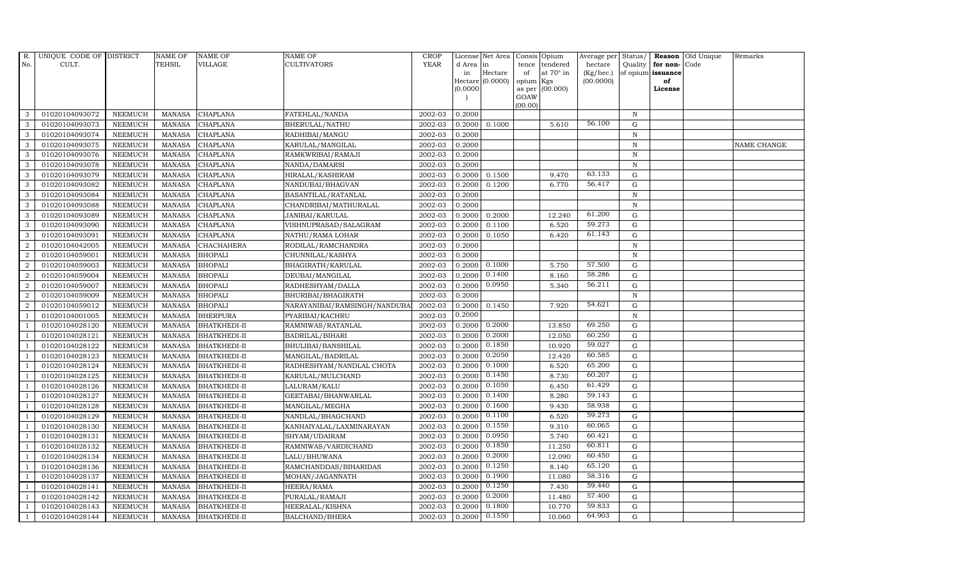| R.             | UNIQUE CODE OF DISTRICT |                | <b>NAME OF</b> | <b>NAME OF</b>      | <b>NAME OF</b>               | <b>CROP</b> |           | License Net Area | Consis          | Opium            | Average per     | Status/      |                   | <b>Reason</b> Old Unique | Remarks            |
|----------------|-------------------------|----------------|----------------|---------------------|------------------------------|-------------|-----------|------------------|-----------------|------------------|-----------------|--------------|-------------------|--------------------------|--------------------|
| No.            | CULT.                   |                | TEHSIL         | VILLAGE             | CULTIVATORS                  | <b>YEAR</b> | d Area in |                  | tence           | tendered         | hectare         | Quality      | for non-Code      |                          |                    |
|                |                         |                |                |                     |                              |             | in        | Hectare          | of              | at $70^\circ$ in | $(Kg/$ hec. $)$ |              | of opium issuance |                          |                    |
|                |                         |                |                |                     |                              |             | (0.0000)  | Hectare (0.0000) | opium<br>as per | Kgs<br>(00.000)  | (00.0000)       |              | of<br>License     |                          |                    |
|                |                         |                |                |                     |                              |             |           |                  | GOAW            |                  |                 |              |                   |                          |                    |
|                |                         |                |                |                     |                              |             |           |                  | (00.00)         |                  |                 |              |                   |                          |                    |
| 3              | 01020104093072          | <b>NEEMUCH</b> | <b>MANASA</b>  | <b>CHAPLANA</b>     | FATEHLAL/NANDA               | 2002-03     | 0.2000    |                  |                 |                  |                 | $\mathbb N$  |                   |                          |                    |
| 3              | 01020104093073          | <b>NEEMUCH</b> | <b>MANASA</b>  | CHAPLANA            | BHERULAL/NATHU               | 2002-03     | 0.2000    | 0.1000           |                 | 5.610            | 56.100          | G            |                   |                          |                    |
| 3              | 01020104093074          | <b>NEEMUCH</b> | <b>MANASA</b>  | CHAPLANA            | RADHIBAI/MANGU               | 2002-03     | 0.2000    |                  |                 |                  |                 | $\, {\rm N}$ |                   |                          |                    |
| 3              | 01020104093075          | <b>NEEMUCH</b> | <b>MANASA</b>  | <b>CHAPLANA</b>     | KARULAL/MANGILAL             | 2002-03     | 0.2000    |                  |                 |                  |                 | $\, {\rm N}$ |                   |                          | <b>NAME CHANGE</b> |
| 3              | 01020104093076          | <b>NEEMUCH</b> | <b>MANASA</b>  | <b>CHAPLANA</b>     | RAMKWRIBAI/RAMAJI            | 2002-03     | 0.2000    |                  |                 |                  |                 | $\, {\rm N}$ |                   |                          |                    |
| $\mathbf{3}$   | 01020104093078          | <b>NEEMUCH</b> | <b>MANASA</b>  | CHAPLANA            | NANDA/DAMARSI                | 2002-03     | 0.2000    |                  |                 |                  |                 | ${\bf N}$    |                   |                          |                    |
| 3              | 01020104093079          | <b>NEEMUCH</b> | <b>MANASA</b>  | CHAPLANA            | HIRALAL/KASHIRAM             | 2002-03     | 0.2000    | 0.1500           |                 | 9.470            | 63.133          | G            |                   |                          |                    |
| 3              | 01020104093082          | <b>NEEMUCH</b> | <b>MANASA</b>  | CHAPLANA            | NANDUBAI/BHAGVAN             | 2002-03     | 0.2000    | 0.1200           |                 | 6.770            | 56.417          | G            |                   |                          |                    |
| 3              | 01020104093084          | <b>NEEMUCH</b> | <b>MANASA</b>  | <b>CHAPLANA</b>     | BASANTILAL/RATANLAL          | 2002-03     | 0.2000    |                  |                 |                  |                 | $\, {\rm N}$ |                   |                          |                    |
| 3              | 01020104093088          | <b>NEEMUCH</b> | MANASA         | <b>CHAPLANA</b>     | CHANDRIBAI/MATHURALAL        | 2002-03     | 0.2000    |                  |                 |                  |                 | $\, {\rm N}$ |                   |                          |                    |
| 3              | 01020104093089          | <b>NEEMUCH</b> | <b>MANASA</b>  | CHAPLANA            | JANIBAI/KARULAL              | 2002-03     | 0.2000    | 0.2000           |                 | 12.240           | 61.200          | G            |                   |                          |                    |
| 3              | 01020104093090          | <b>NEEMUCH</b> | <b>MANASA</b>  | <b>CHAPLANA</b>     | VISHNUPRASAD/SALAGRAM        | 2002-03     | 0.2000    | 0.1100           |                 | 6.520            | 59.273          | ${\rm G}$    |                   |                          |                    |
| 3              | 01020104093091          | <b>NEEMUCH</b> | <b>MANASA</b>  | CHAPLANA            | NATHU/RAMA LOHAR             | 2002-03     | 0.2000    | 0.1050           |                 | 6.420            | 61.143          | G            |                   |                          |                    |
| $\overline{2}$ | 01020104042005          | <b>NEEMUCH</b> | <b>MANASA</b>  | <b>CHACHAHERA</b>   | RODILAL/RAMCHANDRA           | 2002-03     | 0.2000    |                  |                 |                  |                 | ${\bf N}$    |                   |                          |                    |
| $\sqrt{2}$     | 01020104059001          | <b>NEEMUCH</b> | <b>MANASA</b>  | <b>BHOPALI</b>      | CHUNNILAL/KASHYA             | 2002-03     | 0.2000    |                  |                 |                  |                 | $\, {\rm N}$ |                   |                          |                    |
| 2              | 01020104059003          | <b>NEEMUCH</b> | <b>MANASA</b>  | <b>BHOPALI</b>      | BHAGIRATH/KARULAL            | 2002-03     | 0.2000    | 0.1000           |                 | 5.750            | 57.500          | G            |                   |                          |                    |
| $\overline{a}$ | 01020104059004          | <b>NEEMUCH</b> | <b>MANASA</b>  | <b>BHOPALI</b>      | DEUBAI/MANGILAL              | 2002-03     | 0.2000    | 0.1400           |                 | 8.160            | 58.286          | G            |                   |                          |                    |
| $\overline{a}$ | 01020104059007          | <b>NEEMUCH</b> | <b>MANASA</b>  | <b>BHOPALI</b>      | RADHESHYAM/DALLA             | 2002-03     | 0.2000    | 0.0950           |                 | 5.340            | 56.211          | $\mathbf G$  |                   |                          |                    |
| $\overline{2}$ | 01020104059009          | <b>NEEMUCH</b> | <b>MANASA</b>  | <b>BHOPALI</b>      | BHURIBAI/BHAGIRATH           | 2002-03     | 0.2000    |                  |                 |                  |                 | ${\bf N}$    |                   |                          |                    |
| $\overline{2}$ | 01020104059012          | <b>NEEMUCH</b> | <b>MANASA</b>  | <b>BHOPALI</b>      | NARAYANIBAI/RAMSINGH/NANDUBA | 2002-03     | 0.2000    | 0.1450           |                 | 7.920            | 54.621          | $\mathbf G$  |                   |                          |                    |
| $\overline{1}$ | 01020104001005          | <b>NEEMUCH</b> | <b>MANASA</b>  | <b>BHERPURA</b>     | PYARIBAI/KACHRU              | 2002-03     | 0.2000    |                  |                 |                  |                 | ${\bf N}$    |                   |                          |                    |
| -1             | 01020104028120          | <b>NEEMUCH</b> | <b>MANASA</b>  | <b>BHATKHEDI-II</b> | RAMNIWAS/RATANLAL            | 2002-03     | 0.2000    | 0.2000           |                 | 13.850           | 69.250          | G            |                   |                          |                    |
| $\overline{1}$ | 01020104028121          | <b>NEEMUCH</b> | <b>MANASA</b>  | <b>BHATKHEDI-II</b> | BADRILAL/BIHARI              | 2002-03     | 0.2000    | 0.2000           |                 | 12.050           | 60.250          | $\mathbf G$  |                   |                          |                    |
|                | 01020104028122          | <b>NEEMUCH</b> | <b>MANASA</b>  | <b>BHATKHEDI-II</b> | BHULIBAI/BANSHILAL           | 2002-03     | 0.2000    | 0.1850           |                 | 10.920           | 59.027          | $\mathbf G$  |                   |                          |                    |
|                | 01020104028123          | <b>NEEMUCH</b> | <b>MANASA</b>  | BHATKHEDI-II        | MANGILAL/BADRILAL            | 2002-03     | 0.2000    | 0.2050           |                 | 12.420           | 60.585          | $\mathbf G$  |                   |                          |                    |
| -1             | 01020104028124          | <b>NEEMUCH</b> | <b>MANASA</b>  | <b>BHATKHEDI-II</b> | RADHESHYAM/NANDLAL CHOTA     | 2002-03     | 0.2000    | 0.1000           |                 | 6.520            | 65.200          | G            |                   |                          |                    |
| -1             | 01020104028125          | <b>NEEMUCH</b> | <b>MANASA</b>  | <b>BHATKHEDI-II</b> | KARULAL/MULCHAND             | 2002-03     | 0.2000    | 0.1450           |                 | 8.730            | 60.207          | ${\rm G}$    |                   |                          |                    |
| $\overline{1}$ | 01020104028126          | <b>NEEMUCH</b> | <b>MANASA</b>  | <b>BHATKHEDI-II</b> | LALURAM/KALU                 | 2002-03     | 0.2000    | 0.1050           |                 | 6.450            | 61.429          | ${\rm G}$    |                   |                          |                    |
| $\overline{1}$ | 01020104028127          | <b>NEEMUCH</b> | <b>MANASA</b>  | <b>BHATKHEDI-II</b> | GEETABAI/BHANWARLAL          | 2002-03     | 0.2000    | 0.1400           |                 | 8.280            | 59.143          | $\mathbf G$  |                   |                          |                    |
|                | 01020104028128          | <b>NEEMUCH</b> | <b>MANASA</b>  | BHATKHEDI-II        | MANGILAL/MEGHA               | 2002-03     | 0.2000    | 0.1600           |                 | 9.430            | 58.938          | $\mathbf G$  |                   |                          |                    |
| $\overline{1}$ | 01020104028129          | <b>NEEMUCH</b> | <b>MANASA</b>  | <b>BHATKHEDI-II</b> | NANDLAL/BHAGCHAND            | 2002-03     | 0.2000    | 0.1100           |                 | 6.520            | 59.273          | ${\rm G}$    |                   |                          |                    |
|                | 01020104028130          | <b>NEEMUCH</b> | <b>MANASA</b>  | <b>BHATKHEDI-II</b> | KANHAIYALAL/LAXMINARAYAN     | 2002-03     | 0.2000    | 0.1550           |                 | 9.310            | 60.065          | ${\rm G}$    |                   |                          |                    |
| $\overline{1}$ | 01020104028131          | <b>NEEMUCH</b> | <b>MANASA</b>  | <b>BHATKHEDI-II</b> | SHYAM/UDAIRAM                | 2002-03     | 0.2000    | 0.0950           |                 | 5.740            | 60.421          | G            |                   |                          |                    |
| $\overline{1}$ | 01020104028132          | <b>NEEMUCH</b> | <b>MANASA</b>  | <b>BHATKHEDI-II</b> | RAMNIWAS/VARDICHAND          | 2002-03     | 0.2000    | 0.1850           |                 | 11.250           | 60.811          | G            |                   |                          |                    |
|                | 01020104028134          | <b>NEEMUCH</b> | <b>MANASA</b>  | <b>BHATKHEDI-II</b> | LALU/BHUWANA                 | 2002-03     | 0.2000    | 0.2000           |                 | 12.090           | 60.450          | $\mathbf G$  |                   |                          |                    |
| $\overline{1}$ | 01020104028136          | <b>NEEMUCH</b> | <b>MANASA</b>  | <b>BHATKHEDI-II</b> | RAMCHANDDAS/BIHARIDAS        | 2002-03     | 0.2000    | 0.1250           |                 | 8.140            | 65.120          | G            |                   |                          |                    |
| $\overline{1}$ | 01020104028137          | <b>NEEMUCH</b> | <b>MANASA</b>  | <b>BHATKHEDI-II</b> | MOHAN/JAGANNATH              | 2002-03     | 0.2000    | 0.1900           |                 | 11.080           | 58.316          | G            |                   |                          |                    |
| $\overline{1}$ | 01020104028141          | <b>NEEMUCH</b> | <b>MANASA</b>  | <b>BHATKHEDI-II</b> | HEERA/RAMA                   | 2002-03     | 0.2000    | 0.1250           |                 | 7.430            | 59.440          | G            |                   |                          |                    |
| $\overline{1}$ | 01020104028142          | <b>NEEMUCH</b> | <b>MANASA</b>  | <b>BHATKHEDI-II</b> | PURALAL/RAMAJI               | 2002-03     | 0.2000    | 0.2000           |                 | 11.480           | 57.400          | $\mathbf G$  |                   |                          |                    |
|                | 01020104028143          | <b>NEEMUCH</b> | <b>MANASA</b>  | <b>BHATKHEDI-II</b> | HEERALAL/KISHNA              | 2002-03     | 0.2000    | 0.1800           |                 | 10.770           | 59.833          | $\mathbf G$  |                   |                          |                    |
| $\mathbf{1}$   | 01020104028144          | <b>NEEMUCH</b> | MANASA         | <b>BHATKHEDI-II</b> | <b>BALCHAND/BHERA</b>        | 2002-03     | 0.2000    | 0.1550           |                 | 10.060           | 64.903          | G            |                   |                          |                    |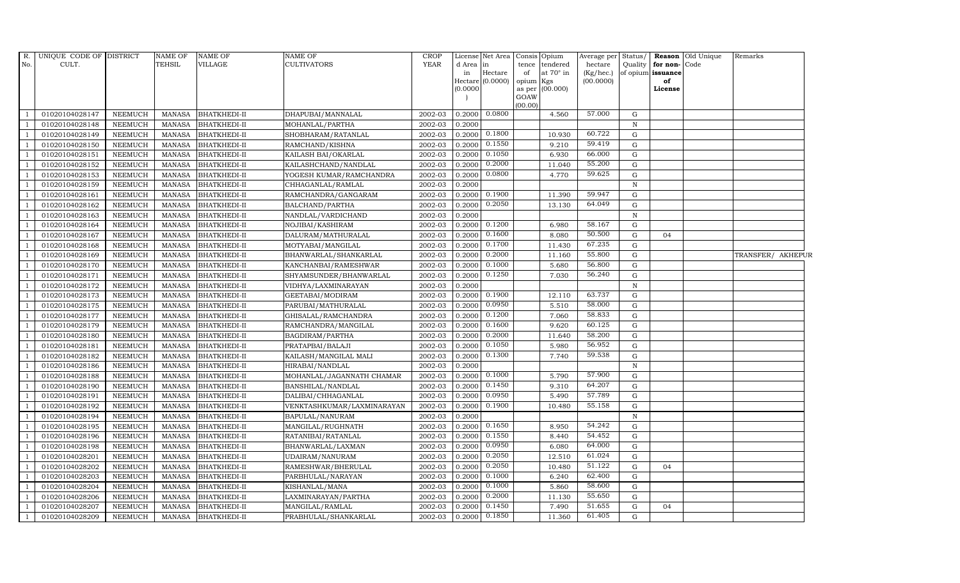| R.           | UNIQUE CODE OF DISTRICT |                | <b>NAME OF</b> | <b>NAME OF</b>      | <b>NAME OF</b>             | <b>CROP</b> |                 |                  | License Net Area Consis Opium               | Average per Status/    |              |                                   | <b>Reason</b> Old Unique | Remarks           |
|--------------|-------------------------|----------------|----------------|---------------------|----------------------------|-------------|-----------------|------------------|---------------------------------------------|------------------------|--------------|-----------------------------------|--------------------------|-------------------|
| No.          | CULT.                   |                | <b>TEHSIL</b>  | <b>VILLAGE</b>      | <b>CULTIVATORS</b>         | <b>YEAR</b> | d Area in<br>in | Hectare          | tence<br>tendered<br>at $70^\circ$ in<br>of | hectare                | Quality      | for non-Code<br>of opium issuance |                          |                   |
|              |                         |                |                |                     |                            |             |                 | Hectare (0.0000) | opium Kgs                                   | (Kg/hec.)<br>(00.0000) |              | of                                |                          |                   |
|              |                         |                |                |                     |                            |             | (0.0000)        |                  | as per (00.000)                             |                        |              | License                           |                          |                   |
|              |                         |                |                |                     |                            |             |                 |                  | GOAW                                        |                        |              |                                   |                          |                   |
|              | 01020104028147          | <b>NEEMUCH</b> | <b>MANASA</b>  | <b>BHATKHEDI-II</b> | DHAPUBAI/MANNALAL          | 2002-03     | 0.2000          | 0.0800           | (00.00)<br>4.560                            | 57.000                 | G            |                                   |                          |                   |
|              | 01020104028148          | <b>NEEMUCH</b> | <b>MANASA</b>  | <b>BHATKHEDI-II</b> | MOHANLAL/PARTHA            | 2002-03     | 0.2000          |                  |                                             |                        | $\, {\rm N}$ |                                   |                          |                   |
|              | 01020104028149          | <b>NEEMUCH</b> | <b>MANASA</b>  | <b>BHATKHEDI-II</b> | SHOBHARAM/RATANLAL         | 2002-03     | 0.2000          | 0.1800           | 10.930                                      | 60.722                 | $\mathbf G$  |                                   |                          |                   |
|              | 01020104028150          | <b>NEEMUCH</b> | <b>MANASA</b>  | <b>BHATKHEDI-II</b> | RAMCHAND/KISHNA            | 2002-03     | 0.2000          | 0.1550           | 9.210                                       | 59.419                 | $\mathbf G$  |                                   |                          |                   |
|              | 01020104028151          | <b>NEEMUCH</b> | <b>MANASA</b>  | <b>BHATKHEDI-II</b> | KAILASH BAI/OKARLAL        | 2002-03     | 0.2000          | 0.1050           | 6.930                                       | 66.000                 | G            |                                   |                          |                   |
|              | 01020104028152          | <b>NEEMUCH</b> | <b>MANASA</b>  | <b>BHATKHEDI-II</b> | KAILASHCHAND/NANDLAL       | 2002-03     | 0.2000          | 0.2000           | 11.040                                      | 55.200                 | G            |                                   |                          |                   |
|              | 01020104028153          | NEEMUCH        | <b>MANASA</b>  | <b>BHATKHEDI-II</b> | YOGESH KUMAR/RAMCHANDRA    | 2002-03     | 0.2000          | 0.0800           | 4.770                                       | 59.625                 | G            |                                   |                          |                   |
|              | 01020104028159          | <b>NEEMUCH</b> | <b>MANASA</b>  | <b>BHATKHEDI-II</b> | CHHAGANLAL/RAMLAL          | 2002-03     | 0.2000          |                  |                                             |                        | $\, {\rm N}$ |                                   |                          |                   |
|              | 01020104028161          | <b>NEEMUCH</b> | <b>MANASA</b>  | <b>BHATKHEDI-II</b> | RAMCHANDRA/GANGARAM        | 2002-03     | 0.2000          | 0.1900           | 11.390                                      | 59.947                 | $\mathbf G$  |                                   |                          |                   |
|              | 01020104028162          | <b>NEEMUCH</b> | <b>MANASA</b>  | <b>BHATKHEDI-II</b> | BALCHAND/PARTHA            | 2002-03     | 0.2000          | 0.2050           | 13.130                                      | 64.049                 | G            |                                   |                          |                   |
|              | 01020104028163          | <b>NEEMUCH</b> | <b>MANASA</b>  | <b>BHATKHEDI-II</b> | NANDLAL/VARDICHAND         | 2002-03     | 0.2000          |                  |                                             |                        | $\mathbf N$  |                                   |                          |                   |
|              | 01020104028164          | <b>NEEMUCH</b> | <b>MANASA</b>  | <b>BHATKHEDI-II</b> | NOJIBAI/KASHIRAM           | 2002-03     | 0.2000          | 0.1200           | 6.980                                       | 58.167                 | G            |                                   |                          |                   |
|              | 01020104028167          | <b>NEEMUCH</b> | <b>MANASA</b>  | <b>BHATKHEDI-II</b> | DALURAM/MATHURALAL         | 2002-03     | 0.2000          | 0.1600           | 8.080                                       | 50.500                 | $\mathbf G$  | 04                                |                          |                   |
|              | 01020104028168          | <b>NEEMUCH</b> | <b>MANASA</b>  | <b>BHATKHEDI-II</b> | MOTYABAI/MANGILAL          | 2002-03     | 0.2000          | 0.1700           | 11.430                                      | 67.235                 | $\mathbf G$  |                                   |                          |                   |
|              | 01020104028169          | <b>NEEMUCH</b> | <b>MANASA</b>  | <b>BHATKHEDI-II</b> | BHANWARLAL/SHANKARLAL      | 2002-03     | 0.2000          | 0.2000           | 11.160                                      | 55.800                 | G            |                                   |                          | TRANSFER/ AKHEPUR |
|              | 01020104028170          | <b>NEEMUCH</b> | <b>MANASA</b>  | <b>BHATKHEDI-II</b> | KANCHANBAI/RAMESHWAR       | 2002-03     | 0.2000          | 0.1000           | 5.680                                       | 56.800                 | G            |                                   |                          |                   |
|              | 01020104028171          | <b>NEEMUCH</b> | <b>MANASA</b>  | <b>BHATKHEDI-II</b> | SHYAMSUNDER/BHANWARLAL     | 2002-03     | 0.2000          | 0.1250           | 7.030                                       | 56.240                 | G            |                                   |                          |                   |
|              | 01020104028172          | <b>NEEMUCH</b> | <b>MANASA</b>  | <b>BHATKHEDI-II</b> | VIDHYA/LAXMINARAYAN        | 2002-03     | 0.2000          |                  |                                             |                        | $\, {\rm N}$ |                                   |                          |                   |
|              | 01020104028173          | <b>NEEMUCH</b> | <b>MANASA</b>  | <b>BHATKHEDI-II</b> | GEETABAI/MODIRAM           | 2002-03     | 0.2000          | 0.1900           | 12.110                                      | 63.737                 | ${\rm G}$    |                                   |                          |                   |
|              | 01020104028175          | <b>NEEMUCH</b> | <b>MANASA</b>  | <b>BHATKHEDI-II</b> | PARUBAI/MATHURALAL         | 2002-03     | 0.2000          | 0.0950           | 5.510                                       | 58.000                 | G            |                                   |                          |                   |
|              | 01020104028177          | <b>NEEMUCH</b> | <b>MANASA</b>  | <b>BHATKHEDI-II</b> | GHISALAL/RAMCHANDRA        | 2002-03     | 0.2000          | 0.1200           | 7.060                                       | 58.833                 | G            |                                   |                          |                   |
|              | 01020104028179          | <b>NEEMUCH</b> | <b>MANASA</b>  | <b>BHATKHEDI-II</b> | RAMCHANDRA/MANGILAL        | 2002-03     | 0.2000          | 0.1600           | 9.620                                       | 60.125                 | G            |                                   |                          |                   |
| $\mathbf{1}$ | 01020104028180          | <b>NEEMUCH</b> | <b>MANASA</b>  | <b>BHATKHEDI-II</b> | BAGDIRAM/PARTHA            | 2002-03     | 0.2000          | 0.2000           | 11.640                                      | 58.200                 | G            |                                   |                          |                   |
|              | 01020104028181          | <b>NEEMUCH</b> | <b>MANASA</b>  | <b>BHATKHEDI-II</b> | PRATAPBAI/BALAJI           | 2002-03     | 0.2000          | 0.1050           | 5.980                                       | 56.952                 | ${\rm G}$    |                                   |                          |                   |
|              | 01020104028182          | <b>NEEMUCH</b> | <b>MANASA</b>  | <b>BHATKHEDI-II</b> | KAILASH/MANGILAL MALI      | 2002-03     | 0.2000          | 0.1300           | 7.740                                       | 59.538                 | G            |                                   |                          |                   |
|              | 01020104028186          | <b>NEEMUCH</b> | <b>MANASA</b>  | <b>BHATKHEDI-II</b> | HIRABAI/NANDLAL            | 2002-03     | 0.2000          |                  |                                             |                        | $\, {\rm N}$ |                                   |                          |                   |
|              | 01020104028188          | <b>NEEMUCH</b> | <b>MANASA</b>  | <b>BHATKHEDI-II</b> | MOHANLAL/JAGANNATH CHAMAR  | 2002-03     | 0.2000          | 0.1000           | 5.790                                       | 57.900                 | G            |                                   |                          |                   |
|              | 01020104028190          | <b>NEEMUCH</b> | <b>MANASA</b>  | <b>BHATKHEDI-II</b> | BANSHILAL/NANDLAL          | 2002-03     | 0.2000          | 0.1450           | 9.310                                       | 64.207                 | ${\rm G}$    |                                   |                          |                   |
|              | 01020104028191          | <b>NEEMUCH</b> | <b>MANASA</b>  | <b>BHATKHEDI-II</b> | DALIBAI/CHHAGANLAL         | 2002-03     | 0.2000          | 0.0950           | 5.490                                       | 57.789                 | ${\rm G}$    |                                   |                          |                   |
|              | 01020104028192          | <b>NEEMUCH</b> | <b>MANASA</b>  | <b>BHATKHEDI-II</b> | VENKTASHKUMAR/LAXMINARAYAN | 2002-03     | 0.2000          | 0.1900           | 10.480                                      | 55.158                 | G            |                                   |                          |                   |
|              | 01020104028194          | <b>NEEMUCH</b> | <b>MANASA</b>  | <b>BHATKHEDI-II</b> | BAPULAL/NANURAM            | 2002-03     | 0.2000          |                  |                                             |                        | $\, {\rm N}$ |                                   |                          |                   |
|              | 01020104028195          | <b>NEEMUCH</b> | <b>MANASA</b>  | <b>BHATKHEDI-II</b> | MANGILAL/RUGHNATH          | 2002-03     | 0.2000          | 0.1650           | 8.950                                       | 54.242                 | $\mathbf G$  |                                   |                          |                   |
|              | 01020104028196          | <b>NEEMUCH</b> | <b>MANASA</b>  | <b>BHATKHEDI-II</b> | RATANIBAI/RATANLAL         | 2002-03     | 0.2000          | 0.1550           | 8.440                                       | 54.452                 | ${\rm G}$    |                                   |                          |                   |
|              | 01020104028198          | <b>NEEMUCH</b> | <b>MANASA</b>  | <b>BHATKHEDI-II</b> | BHANWARLAL/LAXMAN          | 2002-03     | 0.2000          | 0.0950           | 6.080                                       | 64.000                 | $\mathbf G$  |                                   |                          |                   |
|              | 01020104028201          | <b>NEEMUCH</b> | <b>MANASA</b>  | <b>BHATKHEDI-II</b> | UDAIRAM/NANURAM            | 2002-03     | 0.2000          | 0.2050           | 12.510                                      | 61.024                 | $\mathbf G$  |                                   |                          |                   |
|              | 01020104028202          | <b>NEEMUCH</b> | <b>MANASA</b>  | <b>BHATKHEDI-II</b> | RAMESHWAR/BHERULAL         | 2002-03     | 0.2000          | 0.2050           | 10.480                                      | 51.122                 | ${\rm G}$    | 04                                |                          |                   |
|              | 01020104028203          | <b>NEEMUCH</b> | <b>MANASA</b>  | <b>BHATKHEDI-II</b> | PARBHULAL/NARAYAN          | 2002-03     | 0.2000          | 0.1000           | 6.240                                       | 62.400                 | G            |                                   |                          |                   |
|              | 01020104028204          | <b>NEEMUCH</b> | <b>MANASA</b>  | <b>BHATKHEDI-II</b> | KISHANLAL/MANA             | 2002-03     | 0.2000          | 0.1000           | 5.860                                       | 58.600                 | ${\rm G}$    |                                   |                          |                   |
| $\mathbf{1}$ | 01020104028206          | <b>NEEMUCH</b> | <b>MANASA</b>  | <b>BHATKHEDI-II</b> | LAXMINARAYAN/PARTHA        | 2002-03     | 0.2000          | 0.2000           | 11.130                                      | 55.650                 | $\mathbf G$  |                                   |                          |                   |
|              | 01020104028207          | <b>NEEMUCH</b> | <b>MANASA</b>  | <b>BHATKHEDI-II</b> | MANGILAL/RAMLAL            | 2002-03     | 0.2000          | 0.1450           | 7.490                                       | 51.655                 | $\mathbf G$  | 04                                |                          |                   |
| $\mathbf{1}$ | 01020104028209          | <b>NEEMUCH</b> | MANASA         | <b>BHATKHEDI-II</b> | PRABHULAL/SHANKARLAL       | 2002-03     | 0.2000          | 0.1850           | 11.360                                      | 61.405                 | G            |                                   |                          |                   |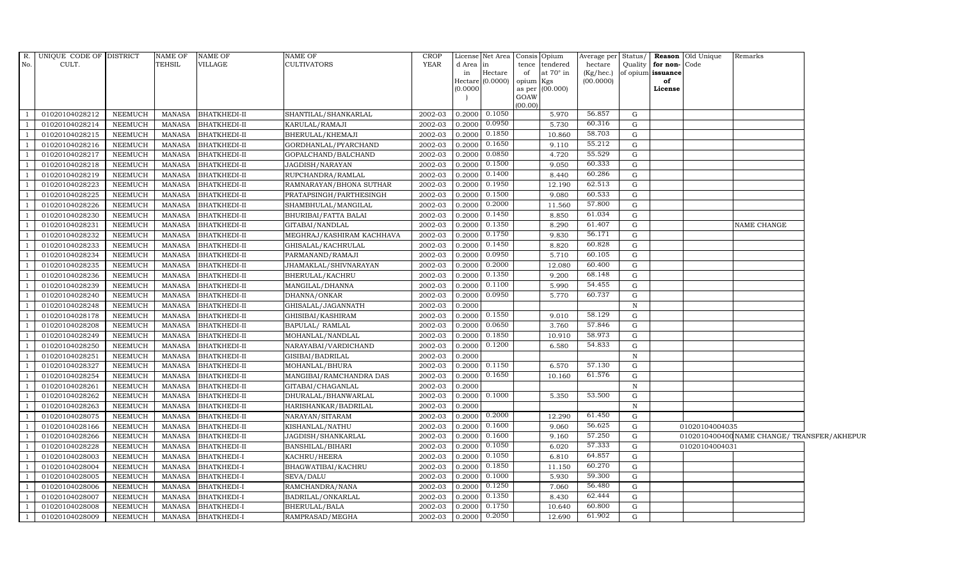|                | R. UNIQUE CODE OF DISTRICT |                | NAME OF       | <b>NAME OF</b>      | <b>NAME OF</b>            | <b>CROP</b> |           | License Net Area Consis Opium |           |                  |           |              |                      | Average per Status/ <b>Reason</b> Old Unique | Remarks                                     |  |
|----------------|----------------------------|----------------|---------------|---------------------|---------------------------|-------------|-----------|-------------------------------|-----------|------------------|-----------|--------------|----------------------|----------------------------------------------|---------------------------------------------|--|
| No.            | CULT.                      |                | TEHSIL        | VILLAGE             | <b>CULTIVATORS</b>        | <b>YEAR</b> | d Area in |                               | tence     | tendered         | hectare   |              | Quality for non-Code |                                              |                                             |  |
|                |                            |                |               |                     |                           |             | in        | Hectare                       | of        | at $70^\circ$ in | (Kg/hec.) |              | of opium issuance    |                                              |                                             |  |
|                |                            |                |               |                     |                           |             | (0.0000)  | Hectare $(0.0000)$            | opium Kgs | as per (00.000)  | (00.0000) |              | of<br>License        |                                              |                                             |  |
|                |                            |                |               |                     |                           |             |           |                               | GOAW      |                  |           |              |                      |                                              |                                             |  |
|                |                            |                |               |                     |                           |             |           |                               | (00.00)   |                  |           |              |                      |                                              |                                             |  |
|                | 01020104028212             | NEEMUCH        | MANASA        | <b>BHATKHEDI-II</b> | SHANTILAL/SHANKARLAL      | 2002-03     |           | 0.2000 0.1050                 |           | 5.970            | 56.857    | $\mathbf G$  |                      |                                              |                                             |  |
| $\overline{1}$ | 01020104028214             | <b>NEEMUCH</b> | <b>MANASA</b> | <b>BHATKHEDI-II</b> | KARULAL/RAMAJI            | 2002-03     | 0.2000    | 0.0950                        |           | 5.730            | 60.316    | G            |                      |                                              |                                             |  |
|                | 01020104028215             | <b>NEEMUCH</b> | <b>MANASA</b> | <b>BHATKHEDI-II</b> | BHERULAL/KHEMAJI          | 2002-03     | 0.2000    | 0.1850                        |           | 10.860           | 58.703    | G            |                      |                                              |                                             |  |
|                | 01020104028216             | <b>NEEMUCH</b> | <b>MANASA</b> | <b>BHATKHEDI-II</b> | GORDHANLAL/PYARCHAND      | 2002-03     |           | $0.2000$ $0.1650$             |           | 9.110            | 55.212    | G            |                      |                                              |                                             |  |
|                | 01020104028217             | <b>NEEMUCH</b> | <b>MANASA</b> | <b>BHATKHEDI-II</b> | GOPALCHAND/BALCHAND       | 2002-03     | 0.2000    | 0.0850                        |           | 4.720            | 55.529    | G            |                      |                                              |                                             |  |
| $\overline{1}$ | 01020104028218             | NEEMUCH        | <b>MANASA</b> | <b>BHATKHEDI-II</b> | JAGDISH/NARAYAN           | 2002-03     |           | $0.2000$ $0.1500$             |           | 9.050            | 60.333    | G            |                      |                                              |                                             |  |
|                | 01020104028219             | NEEMUCH        | <b>MANASA</b> | <b>BHATKHEDI-II</b> | RUPCHANDRA/RAMLAL         | 2002-03     | 0.2000    | 0.1400                        |           | 8.440            | 60.286    | G            |                      |                                              |                                             |  |
|                | 01020104028223             | <b>NEEMUCH</b> | <b>MANASA</b> | <b>BHATKHEDI-II</b> | RAMNARAYAN/BHONA SUTHAR   | 2002-03     | 0.2000    | 0.1950                        |           | 12.190           | 62.513    | G            |                      |                                              |                                             |  |
|                | 01020104028225             | NEEMUCH        | <b>MANASA</b> | <b>BHATKHEDI-II</b> | PRATAPSINGH/PARTHESINGH   | 2002-03     | 0.2000    | 0.1500                        |           | 9.080            | 60.533    | G            |                      |                                              |                                             |  |
|                | 01020104028226             | <b>NEEMUCH</b> | <b>MANASA</b> | <b>BHATKHEDI-II</b> | SHAMBHULAL/MANGILAL       | 2002-03     | 0.2000    | 0.2000                        |           | 11.560           | 57.800    | G            |                      |                                              |                                             |  |
| $\overline{1}$ | 01020104028230             | NEEMUCH        | <b>MANASA</b> | <b>BHATKHEDI-II</b> | BHURIBAI/FATTA BALAI      | 2002-03     |           | 0.2000 0.1450                 |           | 8.850            | 61.034    | G            |                      |                                              |                                             |  |
|                | 01020104028231             | NEEMUCH        | <b>MANASA</b> | <b>BHATKHEDI-II</b> | GITABAI/NANDLAL           | 2002-03     | 0.2000    | 0.1350                        |           | 8.290            | 61.407    | G            |                      |                                              | NAME CHANGE                                 |  |
|                | 01020104028232             | <b>NEEMUCH</b> | <b>MANASA</b> | <b>BHATKHEDI-II</b> | MEGHRAJ/KASHIRAM KACHHAVA | 2002-03     | 0.2000    | 0.1750                        |           | 9.830            | 56.171    | G            |                      |                                              |                                             |  |
|                | 01020104028233             | <b>NEEMUCH</b> | <b>MANASA</b> | <b>BHATKHEDI-II</b> | GHISALAL/KACHRULAL        | 2002-03     |           | $0.2000$ $0.1450$             |           | 8.820            | 60.828    | G            |                      |                                              |                                             |  |
| -1             | 01020104028234             | <b>NEEMUCH</b> | <b>MANASA</b> | <b>BHATKHEDI-II</b> | PARMANAND/RAMAJI          | 2002-03     | 0.2000    | 0.0950                        |           | 5.710            | 60.105    | G            |                      |                                              |                                             |  |
| -1             | 01020104028235             | NEEMUCH        | <b>MANASA</b> | <b>BHATKHEDI-II</b> | JHAMAKLAL/SHIVNARAYAN     | 2002-03     |           | $0.2000 \quad 0.2000$         |           | 12.080           | 60.400    | G            |                      |                                              |                                             |  |
| $\overline{1}$ | 01020104028236             | <b>NEEMUCH</b> | <b>MANASA</b> | <b>BHATKHEDI-II</b> | BHERULAL/KACHRU           | 2002-03     | 0.2000    | 0.1350                        |           | 9.200            | 68.148    | G            |                      |                                              |                                             |  |
| $\overline{1}$ | 01020104028239             | <b>NEEMUCH</b> | <b>MANASA</b> | <b>BHATKHEDI-II</b> | MANGILAL/DHANNA           | 2002-03     | 0.2000    | 0.1100                        |           | 5.990            | 54.455    | G            |                      |                                              |                                             |  |
|                | 01020104028240             | <b>NEEMUCH</b> | <b>MANASA</b> | <b>BHATKHEDI-II</b> | DHANNA/ONKAR              | 2002-03     |           | $0.2000$ $0.0950$             |           | 5.770            | 60.737    | G            |                      |                                              |                                             |  |
|                | 01020104028248             | <b>NEEMUCH</b> | <b>MANASA</b> | <b>BHATKHEDI-II</b> | GHISALAL/JAGANNATH        | 2002-03     | 0.2000    |                               |           |                  |           | $\, {\rm N}$ |                      |                                              |                                             |  |
| $\overline{1}$ | 01020104028178             | NEEMUCH        | <b>MANASA</b> | <b>BHATKHEDI-II</b> | GHISIBAI/KASHIRAM         | 2002-03     |           | 0.2000 0.1550                 |           | 9.010            | 58.129    | G            |                      |                                              |                                             |  |
| $\overline{1}$ | 01020104028208             | <b>NEEMUCH</b> | <b>MANASA</b> | <b>BHATKHEDI-II</b> | BAPULAL/RAMLAL            | 2002-03     | 0.2000    | 0.0650                        |           | 3.760            | 57.846    | G            |                      |                                              |                                             |  |
| $\overline{1}$ | 01020104028249             | <b>NEEMUCH</b> | <b>MANASA</b> | <b>BHATKHEDI-II</b> | MOHANLAL/NANDLAL          | 2002-03     | 0.2000    | 0.1850                        |           | 10.910           | 58.973    | G            |                      |                                              |                                             |  |
|                | 01020104028250             | <b>NEEMUCH</b> | <b>MANASA</b> | <b>BHATKHEDI-II</b> | NARAYABAI/VARDICHAND      | 2002-03     |           | $0.2000 \mid 0.1200$          |           | 6.580            | 54.833    | G            |                      |                                              |                                             |  |
|                | 01020104028251             | <b>NEEMUCH</b> | <b>MANASA</b> | <b>BHATKHEDI-II</b> | GISIBAI/BADRILAL          | 2002-03     | 0.2000    |                               |           |                  |           | $\, {\rm N}$ |                      |                                              |                                             |  |
| - 1            | 01020104028327             | <b>NEEMUCH</b> | <b>MANASA</b> | <b>BHATKHEDI-II</b> | MOHANLAL/BHURA            | 2002-03     |           | $0.2000$ $\boxed{0.1150}$     |           | 6.570            | 57.130    | G            |                      |                                              |                                             |  |
|                | 01020104028254             | <b>NEEMUCH</b> | <b>MANASA</b> | <b>BHATKHEDI-II</b> | MANGIBAI/RAMCHANDRA DAS   | 2002-03     |           | $0.2000 \quad 0.1650$         |           | 10.160           | 61.576    | G            |                      |                                              |                                             |  |
| $\overline{1}$ | 01020104028261             | <b>NEEMUCH</b> | <b>MANASA</b> | <b>BHATKHEDI-II</b> | GITABAI/CHAGANLAL         | 2002-03     | 0.2000    |                               |           |                  |           | N            |                      |                                              |                                             |  |
|                | 01020104028262             | <b>NEEMUCH</b> | <b>MANASA</b> | <b>BHATKHEDI-II</b> | DHURALAL/BHANWARLAL       | 2002-03     |           | $0.2000$ $0.1000$             |           | 5.350            | 53.500    | G            |                      |                                              |                                             |  |
|                | 01020104028263             | <b>NEEMUCH</b> | <b>MANASA</b> | <b>BHATKHEDI-II</b> | HARISHANKAR/BADRILAL      | 2002-03     | 0.2000    |                               |           |                  |           | $\, {\bf N}$ |                      |                                              |                                             |  |
|                | 01020104028075             | NEEMUCH        | <b>MANASA</b> | <b>BHATKHEDI-II</b> | NARAYAN/SITARAM           | 2002-03     |           | $0.2000$ $0.2000$             |           | 12.290           | 61.450    | G            |                      |                                              |                                             |  |
|                | 01020104028166             | NEEMUCH        | <b>MANASA</b> | <b>BHATKHEDI-II</b> | KISHANLAL/NATHU           | 2002-03     |           | $0.2000$ $0.1600$             |           | 9.060            | 56.625    | G            |                      | 01020104004035                               |                                             |  |
| $\overline{1}$ | 01020104028266             | <b>NEEMUCH</b> | <b>MANASA</b> | <b>BHATKHEDI-II</b> | JAGDISH/SHANKARLAL        | 2002-03     |           | $0.2000 \mid 0.1600$          |           | 9.160            | 57.250    | G            |                      |                                              | 0102010400400 NAME CHANGE/ TRANSFER/AKHEPUR |  |
| -1             | 01020104028228             | <b>NEEMUCH</b> | <b>MANASA</b> | <b>BHATKHEDI-II</b> | <b>BANSHILAL/BIHARI</b>   | 2002-03     | 0.2000    | 0.1050                        |           | 6.020            | 57.333    | G            |                      | 01020104004031                               |                                             |  |
|                | 01020104028003             | <b>NEEMUCH</b> | <b>MANASA</b> | <b>BHATKHEDI-I</b>  | KACHRU/HEERA              | 2002-03     | 0.2000    | 0.1050                        |           | 6.810            | 64.857    | G            |                      |                                              |                                             |  |
| $\overline{1}$ | 01020104028004             | <b>NEEMUCH</b> | <b>MANASA</b> | <b>BHATKHEDI-I</b>  | BHAGWATIBAI/KACHRU        | 2002-03     | 0.2000    | 0.1850                        |           | 11.150           | 60.270    | G            |                      |                                              |                                             |  |
| - 1            | 01020104028005             | <b>NEEMUCH</b> | <b>MANASA</b> | <b>BHATKHEDI-I</b>  | SEVA/DALU                 | 2002-03     | 0.2000    | 0.1000                        |           | 5.930            | 59.300    | G            |                      |                                              |                                             |  |
| $\overline{1}$ | 01020104028006             | <b>NEEMUCH</b> | <b>MANASA</b> | <b>BHATKHEDI-I</b>  | RAMCHANDRA/NANA           | 2002-03     |           | $0.2000$ $0.1250$             |           | 7.060            | 56.480    | G            |                      |                                              |                                             |  |
| $\overline{1}$ | 01020104028007             | <b>NEEMUCH</b> | <b>MANASA</b> | <b>BHATKHEDI-I</b>  | BADRILAL/ONKARLAL         | 2002-03     | 0.2000    | 0.1350                        |           | 8.430            | 62.444    | G            |                      |                                              |                                             |  |
|                | 01020104028008             | <b>NEEMUCH</b> | <b>MANASA</b> | <b>BHATKHEDI-I</b>  | BHERULAL/BALA             | 2002-03     | 0.2000    | 0.1750                        |           | 10.640           | 60.800    | G            |                      |                                              |                                             |  |
|                | 01020104028009             | NEEMUCH        | MANASA        | <b>BHATKHEDI-I</b>  | RAMPRASAD/MEGHA           | 2002-03     | 0.2000    | 0.2050                        |           | 12.690           | 61.902    | G            |                      |                                              |                                             |  |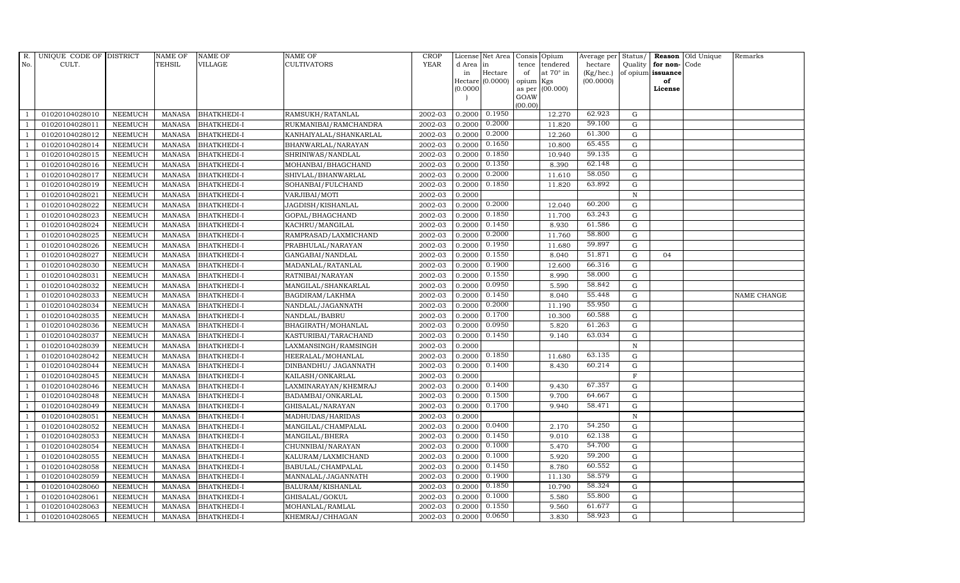| $R_{\cdot}$    | UNIQUE CODE OF DISTRICT |                | <b>NAME OF</b> | <b>NAME OF</b>     | <b>NAME OF</b>         | <b>CROP</b> |           | License Net Area |           | Consis Opium     | Average per | Status/      |                   | <b>Reason</b> Old Unique | Remarks     |
|----------------|-------------------------|----------------|----------------|--------------------|------------------------|-------------|-----------|------------------|-----------|------------------|-------------|--------------|-------------------|--------------------------|-------------|
| No.            | CULT.                   |                | TEHSIL         | VILLAGE            | CULTIVATORS            | <b>YEAR</b> | d Area in |                  | tence     | tendered         | hectare     | Quality      | for non-Code      |                          |             |
|                |                         |                |                |                    |                        |             | in        | Hectare          | of        | at $70^\circ$ in | (Kg/hec.)   |              | of opium issuance |                          |             |
|                |                         |                |                |                    |                        |             |           | Hectare (0.0000) | opium Kgs |                  | (00.0000)   |              | of                |                          |             |
|                |                         |                |                |                    |                        |             | (0.0000)  |                  | GOAW      | as per (00.000)  |             |              | License           |                          |             |
|                |                         |                |                |                    |                        |             |           |                  | (00.00)   |                  |             |              |                   |                          |             |
|                | 01020104028010          | <b>NEEMUCH</b> | MANASA         | <b>BHATKHEDI-I</b> | RAMSUKH/RATANLAL       | 2002-03     | 0.2000    | 0.1950           |           | 12.270           | 62.923      | G            |                   |                          |             |
| -1             | 01020104028011          | <b>NEEMUCH</b> | MANASA         | <b>BHATKHEDI-I</b> | RUKMANIBAI/RAMCHANDRA  | 2002-03     | 0.2000    | 0.2000           |           | 11.820           | 59.100      | $\mathbf G$  |                   |                          |             |
|                | 01020104028012          | <b>NEEMUCH</b> | <b>MANASA</b>  | <b>BHATKHEDI-I</b> | KANHAIYALAL/SHANKARLAL | 2002-03     | 0.2000    | 0.2000           |           | 12.260           | 61.300      | G            |                   |                          |             |
|                | 01020104028014          | <b>NEEMUCH</b> | MANASA         | <b>BHATKHEDI-I</b> | BHANWARLAL/NARAYAN     | 2002-03     | 0.2000    | 0.1650           |           | 10.800           | 65.455      | ${\rm G}$    |                   |                          |             |
| $\overline{1}$ | 01020104028015          | <b>NEEMUCH</b> | <b>MANASA</b>  | <b>BHATKHEDI-I</b> | SHRINIWAS/NANDLAL      | 2002-03     | 0.2000    | 0.1850           |           | 10.940           | 59.135      | ${\rm G}$    |                   |                          |             |
| $\overline{1}$ | 01020104028016          | NEEMUCH        | <b>MANASA</b>  | <b>BHATKHEDI-I</b> | MOHANBAI/BHAGCHAND     | 2002-03     | 0.2000    | 0.1350           |           | 8.390            | 62.148      | G            |                   |                          |             |
| $\overline{1}$ | 01020104028017          | <b>NEEMUCH</b> | MANASA         | <b>BHATKHEDI-I</b> | SHIVLAL/BHANWARLAL     | 2002-03     | 0.2000    | 0.2000           |           | 11.610           | 58.050      | $\mathbf G$  |                   |                          |             |
| $\overline{1}$ | 01020104028019          | <b>NEEMUCH</b> | <b>MANASA</b>  | <b>BHATKHEDI-I</b> | SOHANBAI/FULCHAND      | 2002-03     | 0.2000    | 0.1850           |           | 11.820           | 63.892      | $\mathbf G$  |                   |                          |             |
|                | 01020104028021          | <b>NEEMUCH</b> | <b>MANASA</b>  | <b>BHATKHEDI-I</b> | VARJIBAI/MOTI          | 2002-03     | 0.2000    |                  |           |                  |             | $\mathbf N$  |                   |                          |             |
| $\overline{1}$ | 01020104028022          | <b>NEEMUCH</b> | <b>MANASA</b>  | <b>BHATKHEDI-I</b> | JAGDISH/KISHANLAL      | 2002-03     | 0.2000    | 0.2000           |           | 12.040           | 60.200      | $\mathbf G$  |                   |                          |             |
| -1             | 01020104028023          | <b>NEEMUCH</b> | <b>MANASA</b>  | <b>BHATKHEDI-I</b> | GOPAL/BHAGCHAND        | 2002-03     | 0.2000    | 0.1850           |           | 11.700           | 63.243      | ${\rm G}$    |                   |                          |             |
| $\overline{1}$ | 01020104028024          | <b>NEEMUCH</b> | <b>MANASA</b>  | <b>BHATKHEDI-I</b> | KACHRU/MANGILAL        | 2002-03     | 0.2000    | 0.1450           |           | 8.930            | 61.586      | $\mathbf G$  |                   |                          |             |
| $\overline{1}$ | 01020104028025          | <b>NEEMUCH</b> | <b>MANASA</b>  | <b>BHATKHEDI-I</b> | RAMPRASAD/LAXMICHAND   | 2002-03     | 0.2000    | 0.2000           |           | 11.760           | 58.800      | $\mathbf G$  |                   |                          |             |
|                | 01020104028026          | <b>NEEMUCH</b> | <b>MANASA</b>  | <b>BHATKHEDI-I</b> | PRABHULAL/NARAYAN      | 2002-03     | 0.2000    | 0.1950           |           | 11.680           | 59.897      | G            |                   |                          |             |
|                | 01020104028027          | <b>NEEMUCH</b> | <b>MANASA</b>  | BHATKHEDI-I        | GANGABAI/NANDLAL       | 2002-03     | 0.2000    | 0.1550           |           | 8.040            | 51.871      | $\mathbf G$  | 04                |                          |             |
| $\overline{1}$ | 01020104028030          | <b>NEEMUCH</b> | <b>MANASA</b>  | <b>BHATKHEDI-I</b> | MADANLAL/RATANLAL      | 2002-03     | 0.2000    | 0.1900           |           | 12.600           | 66.316      | G            |                   |                          |             |
| $\overline{1}$ | 01020104028031          | <b>NEEMUCH</b> | <b>MANASA</b>  | <b>BHATKHEDI-I</b> | RATNIBAI/NARAYAN       | 2002-03     | 0.2000    | 0.1550           |           | 8.990            | 58.000      | G            |                   |                          |             |
| $\overline{1}$ | 01020104028032          | <b>NEEMUCH</b> | <b>MANASA</b>  | <b>BHATKHEDI-I</b> | MANGILAL/SHANKARLAL    | 2002-03     | 0.2000    | 0.0950           |           | 5.590            | 58.842      | $\mathbf G$  |                   |                          |             |
|                | 01020104028033          | <b>NEEMUCH</b> | <b>MANASA</b>  | <b>BHATKHEDI-I</b> | BAGDIRAM/LAKHMA        | 2002-03     | 0.2000    | 0.1450           |           | 8.040            | 55.448      | $\mathbf G$  |                   |                          | NAME CHANGE |
|                | 01020104028034          | <b>NEEMUCH</b> | <b>MANASA</b>  | <b>BHATKHEDI-I</b> | NANDLAL/JAGANNATH      | 2002-03     | 0.2000    | 0.2000           |           | 11.190           | 55.950      | $\mathbf G$  |                   |                          |             |
| $\overline{1}$ | 01020104028035          | <b>NEEMUCH</b> | <b>MANASA</b>  | <b>BHATKHEDI-I</b> | NANDLAL/BABRU          | 2002-03     | 0.2000    | 0.1700           |           | 10.300           | 60.588      | G            |                   |                          |             |
| $\overline{1}$ | 01020104028036          | <b>NEEMUCH</b> | MANASA         | <b>BHATKHEDI-I</b> | BHAGIRATH / MOHANLAL   | 2002-03     | 0.2000    | 0.0950           |           | 5.820            | 61.263      | G            |                   |                          |             |
| $\overline{1}$ | 01020104028037          | <b>NEEMUCH</b> | MANASA         | <b>BHATKHEDI-I</b> | KASTURIBAI/TARACHAND   | 2002-03     | 0.2000    | 0.1450           |           | 9.140            | 63.034      | G            |                   |                          |             |
|                | 01020104028039          | <b>NEEMUCH</b> | <b>MANASA</b>  | <b>BHATKHEDI-I</b> | LAXMANSINGH/RAMSINGH   | 2002-03     | 0.2000    |                  |           |                  |             | ${\bf N}$    |                   |                          |             |
|                | 01020104028042          | <b>NEEMUCH</b> | <b>MANASA</b>  | BHATKHEDI-I        | HEERALAL/MOHANLAL      | 2002-03     | 0.2000    | 0.1850           |           | 11.680           | 63.135      | G            |                   |                          |             |
| -1             | 01020104028044          | <b>NEEMUCH</b> | <b>MANASA</b>  | <b>BHATKHEDI-I</b> | DINBANDHU/ JAGANNATH   | 2002-03     | 0.2000    | 0.1400           |           | 8.430            | 60.214      | G            |                   |                          |             |
|                | 01020104028045          | <b>NEEMUCH</b> | <b>MANASA</b>  | <b>BHATKHEDI-I</b> | KAILASH/ONKARLAL       | 2002-03     | 0.2000    |                  |           |                  |             | $\mathbf F$  |                   |                          |             |
| $\overline{1}$ | 01020104028046          | <b>NEEMUCH</b> | <b>MANASA</b>  | BHATKHEDI-I        | LAXMINARAYAN/KHEMRAJ   | 2002-03     | 0.2000    | 0.1400           |           | 9.430            | 67.357      | $\mathbf G$  |                   |                          |             |
| $\overline{1}$ | 01020104028048          | <b>NEEMUCH</b> | <b>MANASA</b>  | <b>BHATKHEDI-I</b> | BADAMBAI/ONKARLAL      | 2002-03     | 0.2000    | 0.1500           |           | 9.700            | 64.667      | $\mathbf G$  |                   |                          |             |
|                | 01020104028049          | <b>NEEMUCH</b> | <b>MANASA</b>  | BHATKHEDI-I        | GHISALAL/NARAYAN       | 2002-03     | 0.2000    | 0.1700           |           | 9.940            | 58.471      | $\mathbf G$  |                   |                          |             |
| $\overline{1}$ | 01020104028051          | <b>NEEMUCH</b> | <b>MANASA</b>  | <b>BHATKHEDI-I</b> | MADHUDAS/HARIDAS       | 2002-03     | 0.2000    |                  |           |                  |             | $\, {\rm N}$ |                   |                          |             |
|                | 01020104028052          | <b>NEEMUCH</b> | MANASA         | <b>BHATKHEDI-I</b> | MANGILAL/CHAMPALAL     | 2002-03     | 0.2000    | 0.0400           |           | 2.170            | 54.250      | $\mathbf G$  |                   |                          |             |
| $\overline{1}$ | 01020104028053          | <b>NEEMUCH</b> | <b>MANASA</b>  | BHATKHEDI-I        | MANGILAL/BHERA         | 2002-03     | 0.2000    | 0.1450           |           | 9.010            | 62.138      | $\mathbf G$  |                   |                          |             |
| $\overline{1}$ | 01020104028054          | <b>NEEMUCH</b> | <b>MANASA</b>  | <b>BHATKHEDI-I</b> | CHUNNIBAI/NARAYAN      | 2002-03     | 0.2000    | 0.1000           |           | 5.470            | 54.700      | $\mathbf G$  |                   |                          |             |
|                | 01020104028055          | <b>NEEMUCH</b> | <b>MANASA</b>  | BHATKHEDI-I        | KALURAM/LAXMICHAND     | 2002-03     | 0.2000    | 0.1000           |           | 5.920            | 59.200      | $\mathbf G$  |                   |                          |             |
| $\overline{1}$ | 01020104028058          | <b>NEEMUCH</b> | <b>MANASA</b>  | <b>BHATKHEDI-I</b> | BABULAL/CHAMPALAL      | 2002-03     | 0.2000    | 0.1450           |           | 8.780            | 60.552      | ${\rm G}$    |                   |                          |             |
| $\overline{1}$ | 01020104028059          | <b>NEEMUCH</b> | <b>MANASA</b>  | <b>BHATKHEDI-I</b> | MANNALAL/JAGANNATH     | 2002-03     | 0.2000    | 0.1900           |           | 11.130           | 58.579      | ${\rm G}$    |                   |                          |             |
| 1              | 01020104028060          | <b>NEEMUCH</b> | <b>MANASA</b>  | BHATKHEDI-I        | BALURAM/KISHANLAL      | 2002-03     | 0.2000    | 0.1850           |           | 10.790           | 58.324      | ${\rm G}$    |                   |                          |             |
| $\overline{1}$ | 01020104028061          | <b>NEEMUCH</b> | <b>MANASA</b>  | <b>BHATKHEDI-I</b> | GHISALAL/GOKUL         | 2002-03     | 0.2000    | 0.1000           |           | 5.580            | 55.800      | $\mathbf G$  |                   |                          |             |
|                | 01020104028063          | <b>NEEMUCH</b> | <b>MANASA</b>  | <b>BHATKHEDI-I</b> | MOHANLAL/RAMLAL        | 2002-03     | 0.2000    | 0.1550           |           | 9.560            | 61.677      | $\mathbf G$  |                   |                          |             |
| $\mathbf{1}$   | 01020104028065          | <b>NEEMUCH</b> | MANASA         | <b>BHATKHEDI-I</b> | KHEMRAJ/CHHAGAN        | 2002-03     | 0.2000    | 0.0650           |           | 3.830            | 58.923      | G            |                   |                          |             |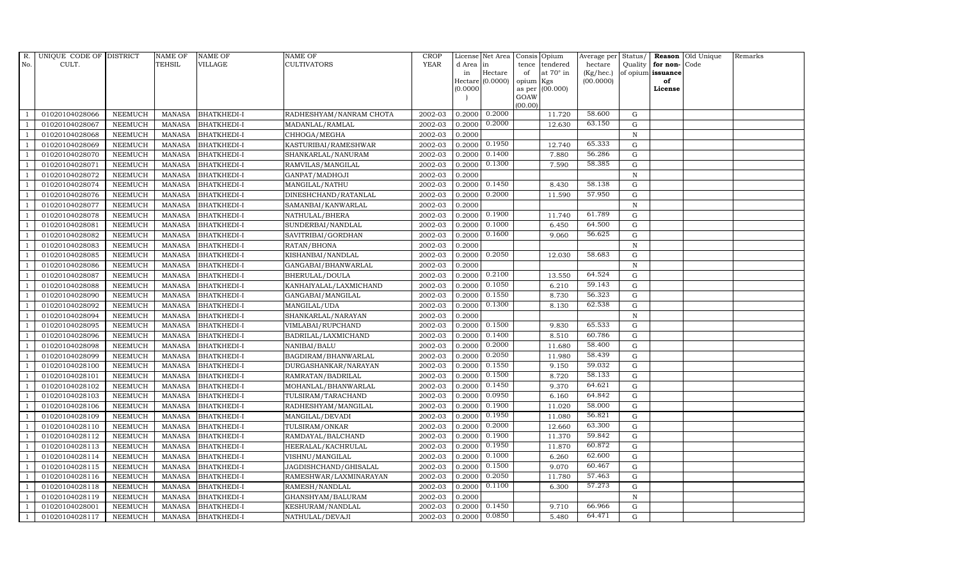| $R_{\cdot}$    | UNIQUE CODE OF DISTRICT |                | <b>NAME OF</b> | <b>NAME OF</b>     | <b>NAME OF</b>          | <b>CROP</b> |           | License Net Area |           | Consis Opium     | Average per | Status/      |                   | Reason Old Unique | Remarks |
|----------------|-------------------------|----------------|----------------|--------------------|-------------------------|-------------|-----------|------------------|-----------|------------------|-------------|--------------|-------------------|-------------------|---------|
| No.            | CULT.                   |                | TEHSIL         | VILLAGE            | <b>CULTIVATORS</b>      | <b>YEAR</b> | d Area in |                  | tence     | tendered         | hectare     | Quality      | for non-Code      |                   |         |
|                |                         |                |                |                    |                         |             | in        | Hectare          | of        | at $70^\circ$ in | (Kg/hec.)   |              | of opium issuance |                   |         |
|                |                         |                |                |                    |                         |             |           | Hectare (0.0000) | opium Kgs |                  | (00.0000)   |              | of                |                   |         |
|                |                         |                |                |                    |                         |             | (0.0000)  |                  | GOAW      | as per (00.000)  |             |              | License           |                   |         |
|                |                         |                |                |                    |                         |             |           |                  | (00.00)   |                  |             |              |                   |                   |         |
|                | 01020104028066          | <b>NEEMUCH</b> | MANASA         | <b>BHATKHEDI-I</b> | RADHESHYAM/NANRAM CHOTA | 2002-03     | 0.2000    | 0.2000           |           | 11.720           | 58.600      | G            |                   |                   |         |
| -1             | 01020104028067          | <b>NEEMUCH</b> | MANASA         | <b>BHATKHEDI-I</b> | MADANLAL/RAMLAL         | 2002-03     | 0.2000    | 0.2000           |           | 12.630           | 63.150      | $\mathbf G$  |                   |                   |         |
|                | 01020104028068          | NEEMUCH        | <b>MANASA</b>  | <b>BHATKHEDI-I</b> | CHHOGA/MEGHA            | 2002-03     | 0.2000    |                  |           |                  |             | $\, {\rm N}$ |                   |                   |         |
|                | 01020104028069          | <b>NEEMUCH</b> | MANASA         | <b>BHATKHEDI-I</b> | KASTURIBAI/RAMESHWAR    | 2002-03     | 0.2000    | 0.1950           |           | 12.740           | 65.333      | $\mathbf G$  |                   |                   |         |
| $\overline{1}$ | 01020104028070          | <b>NEEMUCH</b> | <b>MANASA</b>  | <b>BHATKHEDI-I</b> | SHANKARLAL/NANURAM      | 2002-03     | 0.2000    | 0.1400           |           | 7.880            | 56.286      | ${\rm G}$    |                   |                   |         |
| $\overline{1}$ | 01020104028071          | <b>NEEMUCH</b> | <b>MANASA</b>  | <b>BHATKHEDI-I</b> | RAMVILAS/MANGILAL       | 2002-03     | 0.2000    | 0.1300           |           | 7.590            | 58.385      | G            |                   |                   |         |
| $\overline{1}$ | 01020104028072          | <b>NEEMUCH</b> | MANASA         | <b>BHATKHEDI-I</b> | GANPAT/MADHOJI          | 2002-03     | 0.2000    |                  |           |                  |             | ${\bf N}$    |                   |                   |         |
| $\overline{1}$ | 01020104028074          | <b>NEEMUCH</b> | <b>MANASA</b>  | <b>BHATKHEDI-I</b> | MANGILAL/NATHU          | 2002-03     | 0.2000    | 0.1450           |           | 8.430            | 58.138      | $\mathbf G$  |                   |                   |         |
|                | 01020104028076          | <b>NEEMUCH</b> | <b>MANASA</b>  | <b>BHATKHEDI-I</b> | DINESHCHAND/RATANLAL    | 2002-03     | 0.2000    | 0.2000           |           | 11.590           | 57.950      | G            |                   |                   |         |
| $\overline{1}$ | 01020104028077          | <b>NEEMUCH</b> | <b>MANASA</b>  | <b>BHATKHEDI-I</b> | SAMANBAI/KANWARLAL      | 2002-03     | 0.2000    |                  |           |                  |             | ${\bf N}$    |                   |                   |         |
| -1             | 01020104028078          | <b>NEEMUCH</b> | <b>MANASA</b>  | <b>BHATKHEDI-I</b> | NATHULAL/BHERA          | 2002-03     | 0.2000    | 0.1900           |           | 11.740           | 61.789      | ${\rm G}$    |                   |                   |         |
| $\overline{1}$ | 01020104028081          | <b>NEEMUCH</b> | <b>MANASA</b>  | <b>BHATKHEDI-I</b> | SUNDERBAI/NANDLAL       | 2002-03     | 0.2000    | 0.1000           |           | 6.450            | 64.500      | $\mathbf G$  |                   |                   |         |
| $\overline{1}$ | 01020104028082          | <b>NEEMUCH</b> | <b>MANASA</b>  | <b>BHATKHEDI-I</b> | SAVITRIBAI/GORDHAN      | 2002-03     | 0.2000    | 0.1600           |           | 9.060            | 56.625      | $\mathbf G$  |                   |                   |         |
|                | 01020104028083          | <b>NEEMUCH</b> | <b>MANASA</b>  | <b>BHATKHEDI-I</b> | RATAN/BHONA             | 2002-03     | 0.2000    |                  |           |                  |             | $\mathbf N$  |                   |                   |         |
|                | 01020104028085          | <b>NEEMUCH</b> | <b>MANASA</b>  | <b>BHATKHEDI-I</b> | KISHANBAI/NANDLAL       | 2002-03     | 0.2000    | 0.2050           |           | 12.030           | 58.683      | $\mathbf G$  |                   |                   |         |
| $\overline{1}$ | 01020104028086          | <b>NEEMUCH</b> | <b>MANASA</b>  | <b>BHATKHEDI-I</b> | GANGABAI/BHANWARLAL     | 2002-03     | 0.2000    |                  |           |                  |             | $\, {\rm N}$ |                   |                   |         |
| $\overline{1}$ | 01020104028087          | <b>NEEMUCH</b> | <b>MANASA</b>  | <b>BHATKHEDI-I</b> | BHERULAL/DOULA          | 2002-03     | 0.2000    | 0.2100           |           | 13.550           | 64.524      | G            |                   |                   |         |
| $\overline{1}$ | 01020104028088          | <b>NEEMUCH</b> | <b>MANASA</b>  | <b>BHATKHEDI-I</b> | KANHAIYALAL/LAXMICHAND  | 2002-03     | 0.2000    | 0.1050           |           | 6.210            | 59.143      | $\mathbf G$  |                   |                   |         |
| $\overline{1}$ | 01020104028090          | <b>NEEMUCH</b> | <b>MANASA</b>  | <b>BHATKHEDI-I</b> | GANGABAI/MANGILAL       | 2002-03     | 0.2000    | 0.1550           |           | 8.730            | 56.323      | $\mathbf G$  |                   |                   |         |
| $\overline{1}$ | 01020104028092          | <b>NEEMUCH</b> | MANASA         | <b>BHATKHEDI-I</b> | MANGILAL/UDA            | 2002-03     | 0.2000    | 0.1300           |           | 8.130            | 62.538      | $\mathbf G$  |                   |                   |         |
| $\overline{1}$ | 01020104028094          | <b>NEEMUCH</b> | <b>MANASA</b>  | <b>BHATKHEDI-I</b> | SHANKARLAL/NARAYAN      | 2002-03     | 0.2000    |                  |           |                  |             | $\, {\rm N}$ |                   |                   |         |
| $\overline{1}$ | 01020104028095          | <b>NEEMUCH</b> | MANASA         | <b>BHATKHEDI-I</b> | VIMLABAI/RUPCHAND       | 2002-03     | 0.2000    | 0.1500           |           | 9.830            | 65.533      | G            |                   |                   |         |
| $\overline{1}$ | 01020104028096          | <b>NEEMUCH</b> | <b>MANASA</b>  | <b>BHATKHEDI-I</b> | BADRILAL/LAXMICHAND     | 2002-03     | 0.2000    | 0.1400           |           | 8.510            | 60.786      | G            |                   |                   |         |
|                | 01020104028098          | <b>NEEMUCH</b> | <b>MANASA</b>  | <b>BHATKHEDI-I</b> | NANIBAI/BALU            | 2002-03     | 0.2000    | 0.2000           |           | 11.680           | 58.400      | $\mathbf G$  |                   |                   |         |
| $\overline{1}$ | 01020104028099          | <b>NEEMUCH</b> | <b>MANASA</b>  | BHATKHEDI-I        | BAGDIRAM/BHANWARLAL     | 2002-03     | 0.2000    | 0.2050           |           | 11.980           | 58.439      | G            |                   |                   |         |
| -1             | 01020104028100          | <b>NEEMUCH</b> | <b>MANASA</b>  | <b>BHATKHEDI-I</b> | DURGASHANKAR/NARAYAN    | 2002-03     | 0.2000    | 0.1550           |           | 9.150            | 59.032      | G            |                   |                   |         |
| $\overline{1}$ | 01020104028101          | <b>NEEMUCH</b> | <b>MANASA</b>  | <b>BHATKHEDI-I</b> | RAMRATAN/BADRILAL       | 2002-03     | 0.2000    | 0.1500           |           | 8.720            | 58.133      | ${\rm G}$    |                   |                   |         |
| $\overline{1}$ | 01020104028102          | <b>NEEMUCH</b> | <b>MANASA</b>  | <b>BHATKHEDI-I</b> | MOHANLAL/BHANWARLAL     | 2002-03     | 0.2000    | 0.1450           |           | 9.370            | 64.621      | $\mathbf G$  |                   |                   |         |
| $\overline{1}$ | 01020104028103          | <b>NEEMUCH</b> | <b>MANASA</b>  | <b>BHATKHEDI-I</b> | TULSIRAM/TARACHAND      | 2002-03     | 0.2000    | 0.0950           |           | 6.160            | 64.842      | $\mathbf G$  |                   |                   |         |
|                | 01020104028106          | <b>NEEMUCH</b> | <b>MANASA</b>  | BHATKHEDI-I        | RADHESHYAM/MANGILAL     | 2002-03     | 0.2000    | 0.1900           |           | 11.020           | 58.000      | $\mathbf G$  |                   |                   |         |
| $\overline{1}$ | 01020104028109          | <b>NEEMUCH</b> | <b>MANASA</b>  | <b>BHATKHEDI-I</b> | MANGILAL/DEVADI         | 2002-03     | 0.2000    | 0.1950           |           | 11.080           | 56.821      | G            |                   |                   |         |
| -1             | 01020104028110          | <b>NEEMUCH</b> | <b>MANASA</b>  | <b>BHATKHEDI-I</b> | TULSIRAM/ONKAR          | 2002-03     | 0.2000    | 0.2000           |           | 12.660           | 63.300      | ${\rm G}$    |                   |                   |         |
| $\overline{1}$ | 01020104028112          | <b>NEEMUCH</b> | <b>MANASA</b>  | BHATKHEDI-I        | RAMDAYAL/BALCHAND       | 2002-03     | 0.2000    | 0.1900           |           | 11.370           | 59.842      | $\mathbf G$  |                   |                   |         |
| $\overline{1}$ | 01020104028113          | <b>NEEMUCH</b> | <b>MANASA</b>  | <b>BHATKHEDI-I</b> | HEERALAL/KACHRULAL      | 2002-03     | 0.2000    | 0.1950           |           | 11.870           | 60.872      | $\mathbf G$  |                   |                   |         |
|                | 01020104028114          | <b>NEEMUCH</b> | <b>MANASA</b>  | <b>BHATKHEDI-I</b> | VISHNU/MANGILAL         | 2002-03     | 0.2000    | 0.1000           |           | 6.260            | 62.600      | $\mathbf G$  |                   |                   |         |
| $\overline{1}$ | 01020104028115          | <b>NEEMUCH</b> | <b>MANASA</b>  | <b>BHATKHEDI-I</b> | JAGDISHCHAND/GHISALAL   | 2002-03     | 0.2000    | 0.1500           |           | 9.070            | 60.467      | G            |                   |                   |         |
| $\overline{1}$ | 01020104028116          | <b>NEEMUCH</b> | <b>MANASA</b>  | <b>BHATKHEDI-I</b> | RAMESHWAR/LAXMINARAYAN  | 2002-03     | 0.2000    | 0.2050           |           | 11.780           | 57.463      | ${\rm G}$    |                   |                   |         |
| 1              | 01020104028118          | <b>NEEMUCH</b> | <b>MANASA</b>  | BHATKHEDI-I        | RAMESH/NANDLAL          | 2002-03     | 0.2000    | 0.1100           |           | 6.300            | 57.273      | ${\rm G}$    |                   |                   |         |
| $\overline{1}$ | 01020104028119          | <b>NEEMUCH</b> | <b>MANASA</b>  | <b>BHATKHEDI-I</b> | GHANSHYAM/BALURAM       | 2002-03     | 0.2000    |                  |           |                  |             | $\mathbf N$  |                   |                   |         |
|                | 01020104028001          | <b>NEEMUCH</b> | <b>MANASA</b>  | <b>BHATKHEDI-I</b> | KESHURAM/NANDLAL        | 2002-03     | 0.2000    | 0.1450           |           | 9.710            | 66.966      | $\mathbf G$  |                   |                   |         |
| $\mathbf{1}$   | 01020104028117          | <b>NEEMUCH</b> | MANASA         | <b>BHATKHEDI-I</b> | NATHULAL/DEVAJI         | 2002-03     | 0.2000    | 0.0850           |           | 5.480            | 64.471      | G            |                   |                   |         |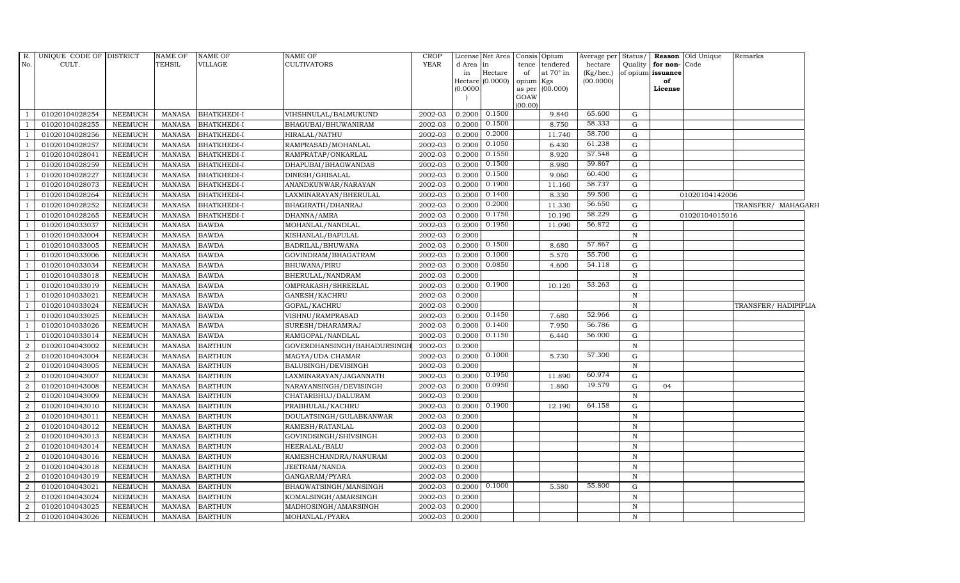| R.<br>No.                | UNIQUE CODE OF DISTRICT<br>CULT. |                | <b>NAME OF</b><br><b>TEHSIL</b> | <b>NAME OF</b><br>VILLAGE | <b>NAME OF</b><br>CULTIVATORS | <b>CROP</b><br><b>YEAR</b> | d Area<br>in<br>(0.0000) | License Net Area<br>in<br>Hectare<br>Hectare $(0.0000)$ | Consis Opium<br>tendered<br>tence<br>at $70^\circ$ in<br>of<br>opium<br>Kgs<br>as per (00.000)<br>GOAW<br>(00.00) | Average per<br>hectare<br>(Kg/hec.)<br>(00.0000) | Status/<br>Quality | for non-Code<br>of opium issuance<br>of<br>License | <b>Reason</b> Old Unique | Remarks              |
|--------------------------|----------------------------------|----------------|---------------------------------|---------------------------|-------------------------------|----------------------------|--------------------------|---------------------------------------------------------|-------------------------------------------------------------------------------------------------------------------|--------------------------------------------------|--------------------|----------------------------------------------------|--------------------------|----------------------|
|                          | 01020104028254                   | <b>NEEMUCH</b> | MANASA                          | <b>BHATKHEDI-I</b>        | VIHSHNULAL/BALMUKUND          | 2002-03                    | 0.2000                   | 0.1500                                                  | 9.840                                                                                                             | 65.600                                           | G                  |                                                    |                          |                      |
| - 1                      | 01020104028255                   | <b>NEEMUCH</b> | <b>MANASA</b>                   | <b>BHATKHEDI-I</b>        | BHAGUBAI/BHUWANIRAM           | 2002-03                    | 0.2000                   | 0.1500                                                  | 8.750                                                                                                             | 58.333                                           | G                  |                                                    |                          |                      |
| $\overline{1}$           | 01020104028256                   | <b>NEEMUCH</b> | <b>MANASA</b>                   | <b>BHATKHEDI-I</b>        | HIRALAL/NATHU                 | 2002-03                    | 0.2000                   | 0.2000                                                  | 11.740                                                                                                            | 58.700                                           | G                  |                                                    |                          |                      |
|                          | 01020104028257                   | <b>NEEMUCH</b> | <b>MANASA</b>                   | <b>BHATKHEDI-I</b>        | RAMPRASAD/MOHANLAL            | 2002-03                    | 0.2000                   | 0.1050                                                  | 6.430                                                                                                             | 61.238                                           | G                  |                                                    |                          |                      |
| $\overline{1}$           | 01020104028041                   | <b>NEEMUCH</b> | <b>MANASA</b>                   | <b>BHATKHEDI-I</b>        | RAMPRATAP/ONKARLAL            | 2002-03                    | 0.2000                   | 0.1550                                                  | 8.920                                                                                                             | 57.548                                           | $\mathbf G$        |                                                    |                          |                      |
| $\overline{1}$           | 01020104028259                   | <b>NEEMUCH</b> | <b>MANASA</b>                   | <b>BHATKHEDI-I</b>        | DHAPUBAI/BHAGWANDAS           | 2002-03                    | 0.2000                   | 0.1500                                                  | 8.980                                                                                                             | 59.867                                           | $\mathbf G$        |                                                    |                          |                      |
| $\overline{\phantom{0}}$ | 01020104028227                   | <b>NEEMUCH</b> | <b>MANASA</b>                   | <b>BHATKHEDI-I</b>        | DINESH/GHISALAL               | 2002-03                    | 0.2000                   | 0.1500                                                  | 9.060                                                                                                             | 60.400                                           | $\mathbf G$        |                                                    |                          |                      |
| $\overline{1}$           | 01020104028073                   | <b>NEEMUCH</b> | <b>MANASA</b>                   | <b>BHATKHEDI-I</b>        | ANANDKUNWAR/NARAYAN           | 2002-03                    | 0.2000                   | 0.1900                                                  | 11.160                                                                                                            | 58.737                                           | $\mathbf G$        |                                                    |                          |                      |
|                          | 01020104028264                   | <b>NEEMUCH</b> | <b>MANASA</b>                   | <b>BHATKHEDI-I</b>        | LAXMINARAYAN/BHERULAL         | 2002-03                    | 0.2000                   | 0.1400                                                  | 8.330                                                                                                             | 59.500                                           | G                  |                                                    | 01020104142006           |                      |
| $\overline{1}$           | 01020104028252                   | <b>NEEMUCH</b> | <b>MANASA</b>                   | <b>BHATKHEDI-I</b>        | BHAGIRATH/DHANRAJ             | 2002-03                    | 0.2000                   | 0.2000                                                  | 11.330                                                                                                            | 56.650                                           | $\mathbf G$        |                                                    |                          | TRANSFER/ MAHAGARH   |
| $\overline{1}$           | 01020104028265                   | <b>NEEMUCH</b> | <b>MANASA</b>                   | <b>BHATKHEDI-I</b>        | DHANNA/AMRA                   | 2002-03                    | 0.2000                   | 0.1750                                                  | 10.190                                                                                                            | 58.229                                           | G                  |                                                    | 01020104015016           |                      |
| $\overline{\phantom{0}}$ | 01020104033037                   | <b>NEEMUCH</b> | <b>MANASA</b>                   | <b>BAWDA</b>              | MOHANLAL/NANDLAL              | 2002-03                    | 0.2000                   | 0.1950                                                  | 11.090                                                                                                            | 56.872                                           | $\mathbf G$        |                                                    |                          |                      |
| $\overline{1}$           | 01020104033004                   | <b>NEEMUCH</b> | <b>MANASA</b>                   | <b>BAWDA</b>              | KISHANLAL/BAPULAL             | 2002-03                    | 0.2000                   |                                                         |                                                                                                                   |                                                  | $\, {\rm N}$       |                                                    |                          |                      |
|                          | 01020104033005                   | <b>NEEMUCH</b> | <b>MANASA</b>                   | <b>BAWDA</b>              | BADRILAL/BHUWANA              | 2002-03                    | 0.2000                   | 0.1500                                                  | 8.680                                                                                                             | 57.867                                           | $\mathbf G$        |                                                    |                          |                      |
| $\overline{1}$           | 01020104033006                   | <b>NEEMUCH</b> | <b>MANASA</b>                   | <b>BAWDA</b>              | GOVINDRAM/BHAGATRAM           | 2002-03                    | 0.2000                   | 0.1000                                                  | 5.570                                                                                                             | 55.700                                           | $\mathbf G$        |                                                    |                          |                      |
| $\overline{1}$           | 01020104033034                   | <b>NEEMUCH</b> | <b>MANASA</b>                   | <b>BAWDA</b>              | BHUWANA/PIRU                  | 2002-03                    | 0.2000                   | 0.0850                                                  | 4.600                                                                                                             | 54.118                                           | G                  |                                                    |                          |                      |
| $\overline{1}$           | 01020104033018                   | <b>NEEMUCH</b> | <b>MANASA</b>                   | <b>BAWDA</b>              | BHERULAL/NANDRAM              | 2002-03                    | 0.2000                   |                                                         |                                                                                                                   |                                                  | $\, {\rm N}$       |                                                    |                          |                      |
| $\overline{1}$           | 01020104033019                   | <b>NEEMUCH</b> | <b>MANASA</b>                   | <b>BAWDA</b>              | OMPRAKASH/SHREELAL            | 2002-03                    | 0.2000                   | 0.1900                                                  | 10.120                                                                                                            | 53.263                                           | $\mathbf G$        |                                                    |                          |                      |
| $\overline{\phantom{0}}$ | 01020104033021                   | <b>NEEMUCH</b> | <b>MANASA</b>                   | <b>BAWDA</b>              | GANESH/KACHRU                 | 2002-03                    | 0.2000                   |                                                         |                                                                                                                   |                                                  | ${\bf N}$          |                                                    |                          |                      |
|                          | 01020104033024                   | <b>NEEMUCH</b> | <b>MANASA</b>                   | <b>BAWDA</b>              | GOPAL/KACHRU                  | 2002-03                    | 0.2000                   |                                                         |                                                                                                                   |                                                  | $\, {\rm N}$       |                                                    |                          | TRANSFER/ HADIPIPLIA |
| $\overline{1}$           | 01020104033025                   | <b>NEEMUCH</b> | <b>MANASA</b>                   | <b>BAWDA</b>              | VISHNU/RAMPRASAD              | 2002-03                    | 0.2000                   | 0.1450                                                  | 7.680                                                                                                             | 52.966                                           | $\mathbf G$        |                                                    |                          |                      |
| $\overline{1}$           | 01020104033026                   | <b>NEEMUCH</b> | <b>MANASA</b>                   | <b>BAWDA</b>              | SURESH/DHARAMRAJ              | 2002-03                    | 0.2000                   | 0.1400                                                  | 7.950                                                                                                             | 56.786                                           | $\mathbf G$        |                                                    |                          |                      |
| $\overline{1}$           | 01020104033014                   | <b>NEEMUCH</b> | <b>MANASA</b>                   | <b>BAWDA</b>              | RAMGOPAL/NANDLAL              | 2002-03                    | 0.2000                   | 0.1150                                                  | 6.440                                                                                                             | 56.000                                           | G                  |                                                    |                          |                      |
| 2                        | 01020104043002                   | <b>NEEMUCH</b> | <b>MANASA</b>                   | <b>BARTHUN</b>            | GOVERDHANSINGH/BAHADURSINGI   | 2002-03                    | 0.2000                   |                                                         |                                                                                                                   |                                                  | $\mathbf N$        |                                                    |                          |                      |
| $\overline{2}$           | 01020104043004                   | <b>NEEMUCH</b> | <b>MANASA</b>                   | <b>BARTHUN</b>            | MAGYA/UDA CHAMAR              | 2002-03                    | 0.2000                   | 0.1000                                                  | 5.730                                                                                                             | 57.300                                           | ${\bf G}$          |                                                    |                          |                      |
| $\overline{2}$           | 01020104043005                   | <b>NEEMUCH</b> | <b>MANASA</b>                   | <b>BARTHUN</b>            | BALUSINGH/DEVISINGH           | 2002-03                    | 0.2000                   |                                                         |                                                                                                                   |                                                  | $\, {\rm N}$       |                                                    |                          |                      |
| 2                        | 01020104043007                   | <b>NEEMUCH</b> | <b>MANASA</b>                   | <b>BARTHUN</b>            | LAXMINARAYAN/JAGANNATH        | 2002-03                    | 0.2000                   | 0.1950                                                  | 11.890                                                                                                            | 60.974                                           | G                  |                                                    |                          |                      |
| $\overline{2}$           | 01020104043008                   | <b>NEEMUCH</b> | <b>MANASA</b>                   | <b>BARTHUN</b>            | NARAYANSINGH/DEVISINGH        | 2002-03                    | 0.2000                   | 0.0950                                                  | 1.860                                                                                                             | 19.579                                           | $\mathbf G$        | 04                                                 |                          |                      |
| $\overline{2}$           | 01020104043009                   | <b>NEEMUCH</b> | <b>MANASA</b>                   | <b>BARTHUN</b>            | CHATARBHUJ/DALURAM            | 2002-03                    | 0.2000                   |                                                         |                                                                                                                   |                                                  | $\, {\rm N}$       |                                                    |                          |                      |
| 2                        | 01020104043010                   | NEEMUCH        | <b>MANASA</b>                   | <b>BARTHUN</b>            | PRABHULAL/KACHRU              | 2002-03                    | 0.2000                   | 0.1900                                                  | 12.190                                                                                                            | 64.158                                           | G                  |                                                    |                          |                      |
| $\overline{a}$           | 01020104043011                   | <b>NEEMUCH</b> | <b>MANASA</b>                   | <b>BARTHUN</b>            | DOULATSINGH/GULABKANWAR       | 2002-03                    | 0.2000                   |                                                         |                                                                                                                   |                                                  | $\, {\rm N}$       |                                                    |                          |                      |
| 2                        | 01020104043012                   | <b>NEEMUCH</b> | <b>MANASA</b>                   | <b>BARTHUN</b>            | RAMESH/RATANLAL               | 2002-03                    | 0.2000                   |                                                         |                                                                                                                   |                                                  | $\, {\rm N}$       |                                                    |                          |                      |
| $\overline{2}$           | 01020104043013                   | <b>NEEMUCH</b> | <b>MANASA</b>                   | <b>BARTHUN</b>            | GOVINDSINGH/SHIVSINGH         | 2002-03                    | 0.2000                   |                                                         |                                                                                                                   |                                                  | N                  |                                                    |                          |                      |
| $\overline{2}$           | 01020104043014                   | <b>NEEMUCH</b> | <b>MANASA</b>                   | <b>BARTHUN</b>            | HEERALAL/BALU                 | 2002-03                    | 0.2000                   |                                                         |                                                                                                                   |                                                  | $\mathbb N$        |                                                    |                          |                      |
| 2                        | 01020104043016                   | <b>NEEMUCH</b> | <b>MANASA</b>                   | <b>BARTHUN</b>            | RAMESHCHANDRA/NANURAM         | 2002-03                    | 0.2000                   |                                                         |                                                                                                                   |                                                  | $\,$ N             |                                                    |                          |                      |
| 2                        | 01020104043018                   | <b>NEEMUCH</b> | <b>MANASA</b>                   | <b>BARTHUN</b>            | JEETRAM/NANDA                 | 2002-03                    | 0.2000                   |                                                         |                                                                                                                   |                                                  | $\mathbb N$        |                                                    |                          |                      |
| $\overline{2}$           | 01020104043019                   | <b>NEEMUCH</b> | <b>MANASA</b>                   | <b>BARTHUN</b>            | GANGARAM/PYARA                | 2002-03                    | 0.2000                   |                                                         |                                                                                                                   |                                                  | $\,$ N             |                                                    |                          |                      |
| $\overline{2}$           | 01020104043021                   | <b>NEEMUCH</b> | MANASA                          | <b>BARTHUN</b>            | BHAGWATSINGH/MANSINGH         | 2002-03                    | 0.2000                   | 0.1000                                                  | 5.580                                                                                                             | 55.800                                           | $\mathbf G$        |                                                    |                          |                      |
| 2                        | 01020104043024                   | <b>NEEMUCH</b> | <b>MANASA</b>                   | <b>BARTHUN</b>            | KOMALSINGH/AMARSINGH          | 2002-03                    | 0.2000                   |                                                         |                                                                                                                   |                                                  | N                  |                                                    |                          |                      |
| 2                        | 01020104043025                   | <b>NEEMUCH</b> | <b>MANASA</b>                   | <b>BARTHUN</b>            | MADHOSINGH/AMARSINGH          | 2002-03                    | 0.2000                   |                                                         |                                                                                                                   |                                                  | $\, {\rm N}$       |                                                    |                          |                      |
| $\overline{a}$           | 01020104043026                   | <b>NEEMUCH</b> | MANASA                          | <b>BARTHUN</b>            | MOHANLAL/PYARA                | 2002-03                    | 0.2000                   |                                                         |                                                                                                                   |                                                  | $\mathbb N$        |                                                    |                          |                      |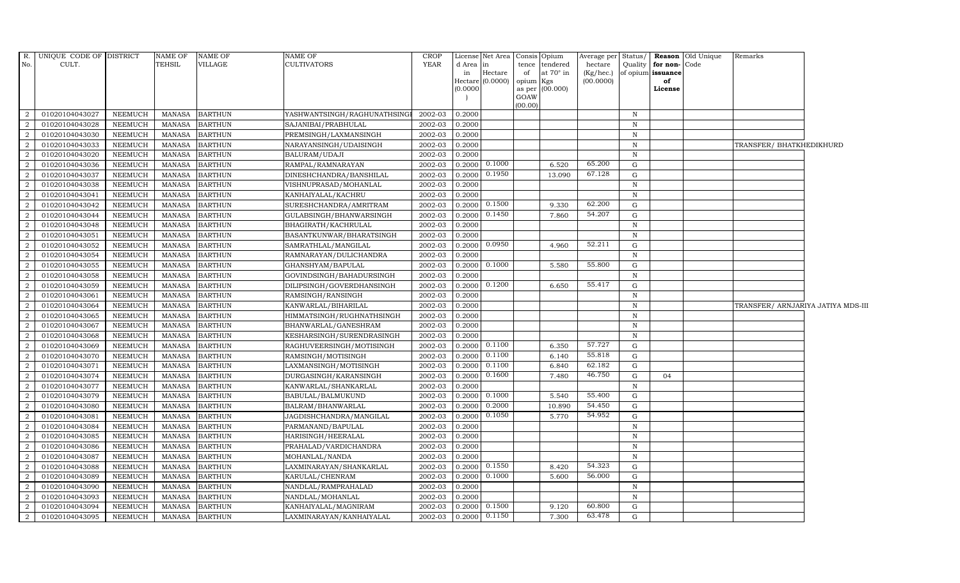| R.             | UNIQUE CODE OF DISTRICT |                | <b>NAME OF</b> | NAME OF        | <b>NAME OF</b>               | <b>CROP</b> |                 | License Net Area Consis Opium |                 |                                    | Average per Status/  |              |                                       | Reason Old Unique | Remarks                            |  |
|----------------|-------------------------|----------------|----------------|----------------|------------------------------|-------------|-----------------|-------------------------------|-----------------|------------------------------------|----------------------|--------------|---------------------------------------|-------------------|------------------------------------|--|
| No.            | CULT.                   |                | TEHSIL         | VILLAGE        | <b>CULTIVATORS</b>           | <b>YEAR</b> | d Area in<br>in | Hectare                       | of              | tence tendered<br>at $70^\circ$ in | hectare<br>(Kg/hec.) |              | Quality for non-<br>of opium issuance | Code              |                                    |  |
|                |                         |                |                |                |                              |             |                 | Hectare (0.0000)              | opium Kgs       |                                    | (00.0000)            |              | of                                    |                   |                                    |  |
|                |                         |                |                |                |                              |             | (0.0000)        |                               |                 | as per (00.000)                    |                      |              | License                               |                   |                                    |  |
|                |                         |                |                |                |                              |             |                 |                               | GOAW<br>(00.00) |                                    |                      |              |                                       |                   |                                    |  |
| 2              | 01020104043027          | <b>NEEMUCH</b> | <b>MANASA</b>  | <b>BARTHUN</b> | YASHWANTSINGH/RAGHUNATHSINGI | 2002-03     | 0.2000          |                               |                 |                                    |                      | $\mathbb N$  |                                       |                   |                                    |  |
| 2              | 01020104043028          | <b>NEEMUCH</b> | <b>MANASA</b>  | <b>BARTHUN</b> | SAJANIBAI/PRABHULAL          | 2002-03     | 0.2000          |                               |                 |                                    |                      | N            |                                       |                   |                                    |  |
| $\overline{2}$ | 01020104043030          | <b>NEEMUCH</b> | <b>MANASA</b>  | <b>BARTHUN</b> | PREMSINGH/LAXMANSINGH        | 2002-03     | 0.2000          |                               |                 |                                    |                      | $\mathbf N$  |                                       |                   |                                    |  |
| $\overline{2}$ | 01020104043033          | <b>NEEMUCH</b> | <b>MANASA</b>  | <b>BARTHUN</b> | NARAYANSINGH/UDAISINGH       | 2002-03     | 0.2000          |                               |                 |                                    |                      | N            |                                       |                   | TRANSFER/ BHATKHEDIKHURD           |  |
| $\overline{2}$ | 01020104043020          | <b>NEEMUCH</b> | <b>MANASA</b>  | <b>BARTHUN</b> | BALURAM/UDAJI                | 2002-03     | 0.2000          |                               |                 |                                    |                      | $\mathbb N$  |                                       |                   |                                    |  |
| 2              | 01020104043036          | <b>NEEMUCH</b> | <b>MANASA</b>  | <b>BARTHUN</b> | RAMPAL/RAMNARAYAN            | 2002-03     |                 | $0.2000$ $0.1000$             |                 | 6.520                              | 65.200               | G            |                                       |                   |                                    |  |
| 2              | 01020104043037          | <b>NEEMUCH</b> | <b>MANASA</b>  | <b>BARTHUN</b> | DINESHCHANDRA/BANSHILAL      | 2002-03     |                 | $0.2000$ $0.1950$             |                 | 13.090                             | 67.128               | G            |                                       |                   |                                    |  |
| $\overline{2}$ | 01020104043038          | NEEMUCH        | <b>MANASA</b>  | <b>BARTHUN</b> | VISHNUPRASAD/MOHANLAL        | 2002-03     | 0.2000          |                               |                 |                                    |                      | $\mathbb N$  |                                       |                   |                                    |  |
| $\overline{2}$ | 01020104043041          | <b>NEEMUCH</b> | <b>MANASA</b>  | <b>BARTHUN</b> | KANHAIYALAL/KACHRU           | 2002-03     | 0.2000          |                               |                 |                                    |                      | $\,$ N       |                                       |                   |                                    |  |
| $\overline{2}$ | 01020104043042          | NEEMUCH        | <b>MANASA</b>  | <b>BARTHUN</b> | SURESHCHANDRA/AMRITRAM       | 2002-03     | 0.2000          | 0.1500                        |                 | 9.330                              | 62.200               | G            |                                       |                   |                                    |  |
| 2              | 01020104043044          | <b>NEEMUCH</b> | <b>MANASA</b>  | <b>BARTHUN</b> | GULABSINGH/BHANWARSINGH      | 2002-03     |                 | 0.2000 0.1450                 |                 | 7.860                              | 54.207               | G            |                                       |                   |                                    |  |
| 2              | 01020104043048          | <b>NEEMUCH</b> | <b>MANASA</b>  | <b>BARTHUN</b> | BHAGIRATH/KACHRULAL          | 2002-03     | 0.2000          |                               |                 |                                    |                      | $\, {\bf N}$ |                                       |                   |                                    |  |
| $\overline{a}$ | 01020104043051          | <b>NEEMUCH</b> | <b>MANASA</b>  | <b>BARTHUN</b> | BASANTKUNWAR/BHARATSINGH     | 2002-03     | 0.2000          |                               |                 |                                    |                      | $\mathbb N$  |                                       |                   |                                    |  |
| $\overline{2}$ | 01020104043052          | <b>NEEMUCH</b> | <b>MANASA</b>  | <b>BARTHUN</b> | SAMRATHLAL/MANGILAL          | 2002-03     | 0.2000          | 0.0950                        |                 | 4.960                              | 52.211               | G            |                                       |                   |                                    |  |
| $\overline{2}$ | 01020104043054          | <b>NEEMUCH</b> | <b>MANASA</b>  | <b>BARTHUN</b> | RAMNARAYAN/DULICHANDRA       | 2002-03     | 0.2000          |                               |                 |                                    |                      | $\mathbb N$  |                                       |                   |                                    |  |
| $\overline{a}$ | 01020104043055          | <b>NEEMUCH</b> | <b>MANASA</b>  | <b>BARTHUN</b> | GHANSHYAM/BAPULAL            | 2002-03     |                 | $0.2000 \ 0.1000$             |                 | 5.580                              | 55.800               | G            |                                       |                   |                                    |  |
| 2              | 01020104043058          | <b>NEEMUCH</b> | <b>MANASA</b>  | <b>BARTHUN</b> | GOVINDSINGH/BAHADURSINGH     | 2002-03     | 0.2000          |                               |                 |                                    |                      | N            |                                       |                   |                                    |  |
| $\overline{2}$ | 01020104043059          | <b>NEEMUCH</b> | <b>MANASA</b>  | <b>BARTHUN</b> | DILIPSINGH/GOVERDHANSINGH    | 2002-03     |                 | $0.2000 \mid 0.1200$          |                 | 6.650                              | 55.417               | G            |                                       |                   |                                    |  |
| $\overline{2}$ | 01020104043061          | <b>NEEMUCH</b> | <b>MANASA</b>  | <b>BARTHUN</b> | RAMSINGH/RANSINGH            | 2002-03     | 0.2000          |                               |                 |                                    |                      | $\mathbb N$  |                                       |                   |                                    |  |
| $\overline{2}$ | 01020104043064          | <b>NEEMUCH</b> | <b>MANASA</b>  | <b>BARTHUN</b> | KANWARLAL/BIHARILAL          | 2002-03     | 0.2000          |                               |                 |                                    |                      | $\mathbb N$  |                                       |                   | TRANSFER/ ARNJARIYA JATIYA MDS-III |  |
| $\overline{a}$ | 01020104043065          | <b>NEEMUCH</b> | <b>MANASA</b>  | <b>BARTHUN</b> | HIMMATSINGH/RUGHNATHSINGH    | 2002-03     | 0.2000          |                               |                 |                                    |                      | $\mathbf N$  |                                       |                   |                                    |  |
| 2              | 01020104043067          | <b>NEEMUCH</b> | <b>MANASA</b>  | <b>BARTHUN</b> | BHANWARLAL/GANESHRAM         | 2002-03     | 0.2000          |                               |                 |                                    |                      | $\mathbf N$  |                                       |                   |                                    |  |
| $\overline{2}$ | 01020104043068          | <b>NEEMUCH</b> | <b>MANASA</b>  | <b>BARTHUN</b> | KESHARSINGH/SURENDRASINGH    | 2002-03     | 0.2000          |                               |                 |                                    |                      | $\mathbf N$  |                                       |                   |                                    |  |
| 2              | 01020104043069          | <b>NEEMUCH</b> | <b>MANASA</b>  | <b>BARTHUN</b> | RAGHUVEERSINGH/MOTISINGH     | 2002-03     | 0.2000          | 0.1100                        |                 | 6.350                              | 57.727               | G            |                                       |                   |                                    |  |
| $\overline{2}$ | 01020104043070          | <b>NEEMUCH</b> | <b>MANASA</b>  | <b>BARTHUN</b> | RAMSINGH/MOTISINGH           | 2002-03     | 0.2000          | 0.1100                        |                 | 6.140                              | 55.818               | G            |                                       |                   |                                    |  |
| $\overline{2}$ | 01020104043071          | <b>NEEMUCH</b> | <b>MANASA</b>  | <b>BARTHUN</b> | LAXMANSINGH/MOTISINGH        | 2002-03     | 0.2000          | 0.1100                        |                 | 6.840                              | 62.182               | G            |                                       |                   |                                    |  |
| 2              | 01020104043074          | <b>NEEMUCH</b> | <b>MANASA</b>  | <b>BARTHUN</b> | DURGASINGH/KARANSINGH        | 2002-03     | 0.2000          | 0.1600                        |                 | 7.480                              | 46.750               | G            | 04                                    |                   |                                    |  |
| 2              | 01020104043077          | <b>NEEMUCH</b> | <b>MANASA</b>  | <b>BARTHUN</b> | KANWARLAL/SHANKARLAL         | 2002-03     | 0.2000          |                               |                 |                                    |                      | $\,$ N       |                                       |                   |                                    |  |
| 2              | 01020104043079          | NEEMUCH        | <b>MANASA</b>  | <b>BARTHUN</b> | <b>BABULAL/BALMUKUND</b>     | 2002-03     | 0.2000          | 0.1000                        |                 | 5.540                              | 55.400               | G            |                                       |                   |                                    |  |
| $\overline{2}$ | 01020104043080          | <b>NEEMUCH</b> | <b>MANASA</b>  | <b>BARTHUN</b> | BALRAM/BHANWARLAL            | 2002-03     | 0.2000          | 0.2000                        |                 | 10.890                             | 54.450               | G            |                                       |                   |                                    |  |
| $\overline{2}$ | 01020104043081          | <b>NEEMUCH</b> | <b>MANASA</b>  | <b>BARTHUN</b> | JAGDISHCHANDRA/MANGILAL      | 2002-03     | 0.2000          | 0.1050                        |                 | 5.770                              | 54.952               | G            |                                       |                   |                                    |  |
| -2             | 01020104043084          | NEEMUCH        | <b>MANASA</b>  | <b>BARTHUN</b> | PARMANAND/BAPULAL            | 2002-03     | 0.2000          |                               |                 |                                    |                      | $\mathbf N$  |                                       |                   |                                    |  |
| 2              | 01020104043085          | <b>NEEMUCH</b> | <b>MANASA</b>  | <b>BARTHUN</b> | HARISINGH/HEERALAL           | 2002-03     | 0.2000          |                               |                 |                                    |                      | $\mathbb N$  |                                       |                   |                                    |  |
| $\overline{2}$ | 01020104043086          | <b>NEEMUCH</b> | <b>MANASA</b>  | <b>BARTHUN</b> | PRAHALAD/VARDICHANDRA        | 2002-03     | 0.2000          |                               |                 |                                    |                      | $\mathbb N$  |                                       |                   |                                    |  |
| $\overline{2}$ | 01020104043087          | NEEMUCH        | <b>MANASA</b>  | <b>BARTHUN</b> | MOHANLAL/NANDA               | 2002-03     | 0.2000          |                               |                 |                                    |                      | $\mathbf N$  |                                       |                   |                                    |  |
| $\overline{2}$ | 01020104043088          | <b>NEEMUCH</b> | <b>MANASA</b>  | <b>BARTHUN</b> | LAXMINARAYAN/SHANKARLAL      | 2002-03     | 0.2000          | 0.1550                        |                 | 8.420                              | 54.323               | G            |                                       |                   |                                    |  |
| $\overline{2}$ | 01020104043089          | <b>NEEMUCH</b> | <b>MANASA</b>  | <b>BARTHUN</b> | KARULAL/CHENRAM              | 2002-03     | 0.2000          | 0.1000                        |                 | 5.600                              | 56.000               | G            |                                       |                   |                                    |  |
| 2              | 01020104043090          | <b>NEEMUCH</b> | <b>MANASA</b>  | <b>BARTHUN</b> | NANDLAL/RAMPRAHALAD          | 2002-03     | 0.2000          |                               |                 |                                    |                      | $\mathbb N$  |                                       |                   |                                    |  |
| 2              | 01020104043093          | <b>NEEMUCH</b> | <b>MANASA</b>  | <b>BARTHUN</b> | NANDLAL/MOHANLAL             | 2002-03     | 0.2000          |                               |                 |                                    |                      | N            |                                       |                   |                                    |  |
| $\overline{a}$ | 01020104043094          | <b>NEEMUCH</b> | <b>MANASA</b>  | <b>BARTHUN</b> | KANHAIYALAL/MAGNIRAM         | 2002-03     |                 | 0.2000 0.1500                 |                 | 9.120                              | 60.800               | G            |                                       |                   |                                    |  |
| 2              | 01020104043095          | <b>NEEMUCH</b> | <b>MANASA</b>  | <b>BARTHUN</b> | LAXMINARAYAN / KANHAIYALAL   | 2002-03     | 0.2000          | 0.1150                        |                 | 7.300                              | 63.478               | G            |                                       |                   |                                    |  |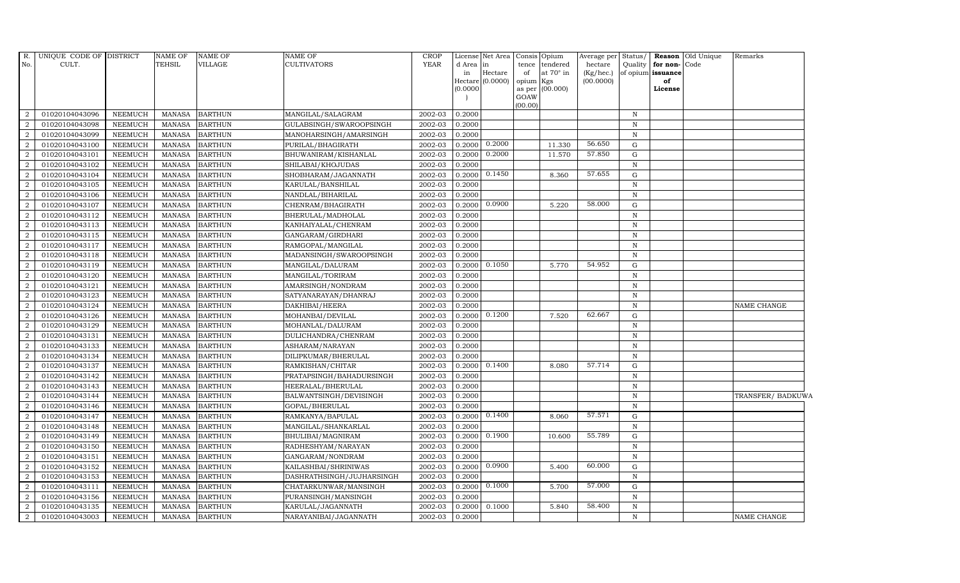| R.<br>No.                   | UNIQUE CODE OF DISTRICT<br>CULT. |                | <b>NAME OF</b><br><b>TEHSIL</b> | <b>NAME OF</b><br>VILLAGE | NAME OF<br><b>CULTIVATORS</b> | <b>CROP</b><br><b>YEAR</b> | d Area in<br>in<br>(0.0000) | License Net Area<br>Hectare<br>Hectare (0.0000) | tence<br>of<br>opium<br>as per | Consis Opium<br>tendered<br>at $70^\circ$ in<br>Kgs<br>(00.000) | Average per<br>hectare<br>(Kg/hec.)<br>(00.0000) | Status/<br>Quality | for non-Code<br>of opium issuance<br>of<br>License | <b>Reason</b> Old Unique | Remarks           |
|-----------------------------|----------------------------------|----------------|---------------------------------|---------------------------|-------------------------------|----------------------------|-----------------------------|-------------------------------------------------|--------------------------------|-----------------------------------------------------------------|--------------------------------------------------|--------------------|----------------------------------------------------|--------------------------|-------------------|
|                             |                                  |                |                                 |                           |                               |                            |                             |                                                 | GOAW                           |                                                                 |                                                  |                    |                                                    |                          |                   |
| $\overline{2}$              | 01020104043096                   | <b>NEEMUCH</b> | <b>MANASA</b>                   | <b>BARTHUN</b>            | MANGILAL/SALAGRAM             | 2002-03                    | 0.2000                      |                                                 | (00.00)                        |                                                                 |                                                  | $\, {\rm N}$       |                                                    |                          |                   |
| $\overline{2}$              | 01020104043098                   | <b>NEEMUCH</b> | <b>MANASA</b>                   | <b>BARTHUN</b>            | GULABSINGH/SWAROOPSINGH       | 2002-03                    | 0.2000                      |                                                 |                                |                                                                 |                                                  | $\mathbf N$        |                                                    |                          |                   |
| $\overline{2}$              | 01020104043099                   | <b>NEEMUCH</b> | <b>MANASA</b>                   | <b>BARTHUN</b>            | MANOHARSINGH/AMARSINGH        | 2002-03                    | 0.2000                      |                                                 |                                |                                                                 |                                                  | $\mathbf N$        |                                                    |                          |                   |
| $\overline{2}$              | 01020104043100                   | <b>NEEMUCH</b> | <b>MANASA</b>                   | <b>BARTHUN</b>            | PURILAL/BHAGIRATH             | 2002-03                    | 0.2000                      | 0.2000                                          |                                | 11.330                                                          | 56.650                                           | G                  |                                                    |                          |                   |
| $\overline{2}$              | 01020104043101                   | <b>NEEMUCH</b> | <b>MANASA</b>                   | <b>BARTHUN</b>            | BHUWANIRAM/KISHANLAL          | 2002-03                    | 0.2000                      | 0.2000                                          |                                | 11.570                                                          | 57.850                                           | ${\rm G}$          |                                                    |                          |                   |
| 2                           | 01020104043102                   | <b>NEEMUCH</b> | <b>MANASA</b>                   | <b>BARTHUN</b>            | SHILABAI/KHOJUDAS             | 2002-03                    | 0.2000                      |                                                 |                                |                                                                 |                                                  | $\, {\rm N}$       |                                                    |                          |                   |
| $\overline{2}$              | 01020104043104                   | <b>NEEMUCH</b> | <b>MANASA</b>                   | <b>BARTHUN</b>            | SHOBHARAM/JAGANNATH           | 2002-03                    | 0.2000                      | 0.1450                                          |                                | 8.360                                                           | 57.655                                           | ${\rm G}$          |                                                    |                          |                   |
| 2                           | 01020104043105                   | <b>NEEMUCH</b> | <b>MANASA</b>                   | <b>BARTHUN</b>            | KARULAL/BANSHILAL             | 2002-03                    | 0.2000                      |                                                 |                                |                                                                 |                                                  | $\mathbf N$        |                                                    |                          |                   |
| $\overline{2}$              | 01020104043106                   | <b>NEEMUCH</b> | <b>MANASA</b>                   | <b>BARTHUN</b>            | NANDLAL/BIHARILAL             | 2002-03                    | 0.2000                      |                                                 |                                |                                                                 |                                                  | $\mathbb N$        |                                                    |                          |                   |
| $\overline{2}$              | 01020104043107                   | <b>NEEMUCH</b> | <b>MANASA</b>                   | <b>BARTHUN</b>            | CHENRAM/BHAGIRATH             | 2002-03                    | 0.2000                      | 0.0900                                          |                                | 5.220                                                           | 58.000                                           | G                  |                                                    |                          |                   |
| 2                           | 01020104043112                   | <b>NEEMUCH</b> | <b>MANASA</b>                   | <b>BARTHUN</b>            | BHERULAL/MADHOLAL             | 2002-03                    | 0.2000                      |                                                 |                                |                                                                 |                                                  | $\, {\rm N}$       |                                                    |                          |                   |
| 2                           | 01020104043113                   | <b>NEEMUCH</b> | <b>MANASA</b>                   | <b>BARTHUN</b>            | KANHAIYALAL/CHENRAM           | 2002-03                    | 0.2000                      |                                                 |                                |                                                                 |                                                  | $\, {\rm N}$       |                                                    |                          |                   |
| $\overline{2}$              | 01020104043115                   | <b>NEEMUCH</b> | <b>MANASA</b>                   | <b>BARTHUN</b>            | GANGARAM/GIRDHARI             | 2002-03                    | 0.2000                      |                                                 |                                |                                                                 |                                                  | $\, {\rm N}$       |                                                    |                          |                   |
| $\overline{2}$              | 01020104043117                   | <b>NEEMUCH</b> | <b>MANASA</b>                   | <b>BARTHUN</b>            | RAMGOPAL/MANGILAL             | 2002-03                    | 0.2000                      |                                                 |                                |                                                                 |                                                  | $\mathbf N$        |                                                    |                          |                   |
| 2                           | 01020104043118                   | NEEMUCH        | <b>MANASA</b>                   | <b>BARTHUN</b>            | MADANSINGH/SWAROOPSINGH       | 2002-03                    | 0.2000                      |                                                 |                                |                                                                 |                                                  | $\, {\rm N}$       |                                                    |                          |                   |
| $\overline{2}$              | 01020104043119                   | <b>NEEMUCH</b> | <b>MANASA</b>                   | <b>BARTHUN</b>            | MANGILAL/DALURAM              | 2002-03                    | 0.2000                      | 0.1050                                          |                                | 5.770                                                           | 54.952                                           | ${\rm G}$          |                                                    |                          |                   |
| $\overline{2}$              | 01020104043120                   | <b>NEEMUCH</b> | <b>MANASA</b>                   | <b>BARTHUN</b>            | MANGILAL/TORIRAM              | 2002-03                    | 0.2000                      |                                                 |                                |                                                                 |                                                  | $\, {\rm N}$       |                                                    |                          |                   |
| $\overline{2}$              | 01020104043121                   | <b>NEEMUCH</b> | <b>MANASA</b>                   | <b>BARTHUN</b>            | AMARSINGH/NONDRAM             | 2002-03                    | 0.2000                      |                                                 |                                |                                                                 |                                                  | $\, {\rm N}$       |                                                    |                          |                   |
| $\overline{2}$              | 01020104043123                   | <b>NEEMUCH</b> | <b>MANASA</b>                   | <b>BARTHUN</b>            | SATYANARAYAN/DHANRAJ          | 2002-03                    | 0.2000                      |                                                 |                                |                                                                 |                                                  | $\mathbf N$        |                                                    |                          |                   |
| $\overline{2}$              | 01020104043124                   | NEEMUCH        | <b>MANASA</b>                   | <b>BARTHUN</b>            | DAKHIBAI/HEERA                | 2002-03                    | 0.2000                      |                                                 |                                |                                                                 |                                                  | $\mathbf N$        |                                                    |                          | NAME CHANGE       |
| $\overline{2}$              | 01020104043126                   | <b>NEEMUCH</b> | <b>MANASA</b>                   | <b>BARTHUN</b>            | MOHANBAI/DEVILAL              | 2002-03                    | 0.2000                      | 0.1200                                          |                                | 7.520                                                           | 62.667                                           | G                  |                                                    |                          |                   |
| 2                           | 01020104043129                   | <b>NEEMUCH</b> | <b>MANASA</b>                   | <b>BARTHUN</b>            | MOHANLAL/DALURAM              | 2002-03                    | 0.2000                      |                                                 |                                |                                                                 |                                                  | $\, {\rm N}$       |                                                    |                          |                   |
| $\overline{2}$              | 01020104043131                   | <b>NEEMUCH</b> | <b>MANASA</b>                   | <b>BARTHUN</b>            | DULICHANDRA/CHENRAM           | 2002-03                    | 0.2000                      |                                                 |                                |                                                                 |                                                  | $\mathbf N$        |                                                    |                          |                   |
| $\overline{2}$              | 01020104043133                   | <b>NEEMUCH</b> | <b>MANASA</b>                   | <b>BARTHUN</b>            | ASHARAM/NARAYAN               | 2002-03                    | 0.2000                      |                                                 |                                |                                                                 |                                                  | $\, {\bf N}$       |                                                    |                          |                   |
| $\overline{2}$              | 01020104043134                   | <b>NEEMUCH</b> | <b>MANASA</b>                   | <b>BARTHUN</b>            | DILIPKUMAR/BHERULAL           | 2002-03                    | 0.2000                      |                                                 |                                |                                                                 |                                                  | $\, {\rm N}$       |                                                    |                          |                   |
| $\overline{2}$              | 01020104043137                   | <b>NEEMUCH</b> | <b>MANASA</b>                   | <b>BARTHUN</b>            | RAMKISHAN/CHITAR              | 2002-03                    | 0.2000                      | 0.1400                                          |                                | 8.080                                                           | 57.714                                           | ${\rm G}$          |                                                    |                          |                   |
| 2                           | 01020104043142                   | <b>NEEMUCH</b> | <b>MANASA</b>                   | <b>BARTHUN</b>            | PRATAPSINGH/BAHADURSINGH      | 2002-03                    | 0.2000                      |                                                 |                                |                                                                 |                                                  | $\, {\bf N}$       |                                                    |                          |                   |
| 2                           | 01020104043143                   | <b>NEEMUCH</b> | <b>MANASA</b>                   | <b>BARTHUN</b>            | HEERALAL/BHERULAL             | 2002-03                    | 0.2000                      |                                                 |                                |                                                                 |                                                  | $\mathbf N$        |                                                    |                          |                   |
| 2                           | 01020104043144                   | <b>NEEMUCH</b> | <b>MANASA</b>                   | <b>BARTHUN</b>            | BALWANTSINGH/DEVISINGH        | 2002-03                    | 0.2000                      |                                                 |                                |                                                                 |                                                  | $\, {\rm N}$       |                                                    |                          | TRANSFER/ BADKUWA |
| $\mathcal{D}_{\mathcal{L}}$ | 01020104043146                   | <b>NEEMUCH</b> | <b>MANASA</b>                   | <b>BARTHUN</b>            | GOPAL/BHERULAL                | 2002-03                    | 0.2000                      |                                                 |                                |                                                                 |                                                  | $\mathbf N$        |                                                    |                          |                   |
| $\overline{2}$              | 01020104043147                   | <b>NEEMUCH</b> | <b>MANASA</b>                   | <b>BARTHUN</b>            | RAMKANYA/BAPULAL              | 2002-03                    | 0.2000                      | 0.1400                                          |                                | 8.060                                                           | 57.571                                           | ${\rm G}$          |                                                    |                          |                   |
| $\overline{2}$              | 01020104043148                   | <b>NEEMUCH</b> | <b>MANASA</b>                   | <b>BARTHUN</b>            | MANGILAL/SHANKARLAL           | 2002-03                    | 0.2000                      |                                                 |                                |                                                                 |                                                  | $\mathbf N$        |                                                    |                          |                   |
| $\overline{2}$              | 01020104043149                   | <b>NEEMUCH</b> | <b>MANASA</b>                   | <b>BARTHUN</b>            | BHULIBAI/MAGNIRAM             | 2002-03                    | 0.2000                      | 0.1900                                          |                                | 10.600                                                          | 55.789                                           | G                  |                                                    |                          |                   |
| $\overline{2}$              | 01020104043150                   | <b>NEEMUCH</b> | <b>MANASA</b>                   | <b>BARTHUN</b>            | RADHESHYAM/NARAYAN            | 2002-03                    | 0.2000                      |                                                 |                                |                                                                 |                                                  | $\, {\rm N}$       |                                                    |                          |                   |
| $\overline{2}$              | 01020104043151                   | <b>NEEMUCH</b> | <b>MANASA</b>                   | <b>BARTHUN</b>            | GANGARAM/NONDRAM              | 2002-03                    | 0.2000                      |                                                 |                                |                                                                 |                                                  | $\, {\rm N}$       |                                                    |                          |                   |
| $\overline{2}$              | 01020104043152                   | <b>NEEMUCH</b> | <b>MANASA</b>                   | <b>BARTHUN</b>            | KAILASHBAI/SHRINIWAS          | 2002-03                    | 0.2000                      | 0.0900                                          |                                | 5.400                                                           | 60.000                                           | G                  |                                                    |                          |                   |
| $\overline{2}$              | 01020104043153                   | <b>NEEMUCH</b> | <b>MANASA</b>                   | <b>BARTHUN</b>            | DASHRATHSINGH/JUJHARSINGH     | 2002-03                    | 0.2000                      |                                                 |                                |                                                                 |                                                  | $\mathbf N$        |                                                    |                          |                   |
| $\overline{a}$              | 01020104043111                   | <b>NEEMUCH</b> | <b>MANASA</b>                   | <b>BARTHUN</b>            | CHATARKUNWAR/MANSINGH         | 2002-03                    | 0.2000                      | 0.1000                                          |                                | 5.700                                                           | 57.000                                           | G                  |                                                    |                          |                   |
| $\overline{2}$              | 01020104043156                   | <b>NEEMUCH</b> | <b>MANASA</b>                   | <b>BARTHUN</b>            | PURANSINGH/MANSINGH           | 2002-03                    | 0.2000                      |                                                 |                                |                                                                 |                                                  | $\mathbf N$        |                                                    |                          |                   |
| 2                           | 01020104043135                   | <b>NEEMUCH</b> | <b>MANASA</b>                   | <b>BARTHUN</b>            | KARULAL/JAGANNATH             | 2002-03                    | 0.2000                      | 0.1000                                          |                                | 5.840                                                           | 58.400                                           | $\mathbf N$        |                                                    |                          |                   |
| $\overline{2}$              | 01020104043003                   | <b>NEEMUCH</b> | MANASA                          | <b>BARTHUN</b>            | NARAYANIBAI/JAGANNATH         | 2002-03                    | 0.2000                      |                                                 |                                |                                                                 |                                                  | $\mathbf N$        |                                                    |                          | NAME CHANGE       |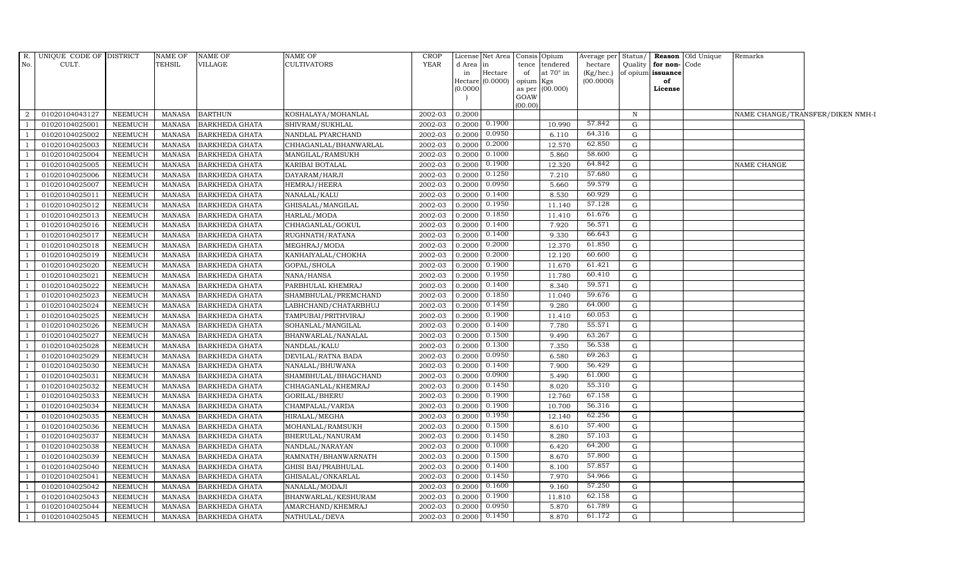| R.<br>No.      | UNIQUE CODE OF DISTRICT<br>CULT. |                | NAME OF<br><b>TEHSIL</b> | <b>NAME OF</b><br>VILLAGE | <b>NAME OF</b><br><b>CULTIVATORS</b> | <b>CROP</b><br>YEAR | d Area in | License Net Area   | tence           | Consis Opium<br>tendered | hectare   |             | Quality for non-Code | Average per Status/ Reason Old Unique | Remarks            |                                  |
|----------------|----------------------------------|----------------|--------------------------|---------------------------|--------------------------------------|---------------------|-----------|--------------------|-----------------|--------------------------|-----------|-------------|----------------------|---------------------------------------|--------------------|----------------------------------|
|                |                                  |                |                          |                           |                                      |                     | in        | Hectare            | of              | at $70^\circ$ in         | (Kg/hec.) |             | of opium issuance    |                                       |                    |                                  |
|                |                                  |                |                          |                           |                                      |                     |           | $Hectare (0.0000)$ | opium Kgs       |                          | (00.0000) |             | of                   |                                       |                    |                                  |
|                |                                  |                |                          |                           |                                      |                     | (0.0000)  |                    |                 | as per (00.000)          |           |             | License              |                                       |                    |                                  |
|                |                                  |                |                          |                           |                                      |                     |           |                    | GOAW<br>(00.00) |                          |           |             |                      |                                       |                    |                                  |
| 2              | 01020104043127                   | NEEMUCH        | MANASA                   | <b>BARTHUN</b>            | KOSHALAYA/MOHANLAL                   | 2002-03             | 0.2000    |                    |                 |                          |           | N           |                      |                                       |                    | NAME CHANGE/TRANSFER/DIKEN NMH-I |
| $\overline{1}$ | 01020104025001                   | <b>NEEMUCH</b> | <b>MANASA</b>            | <b>BARKHEDA GHATA</b>     | SHIVRAM/SUKHLAL                      | 2002-03             | 0.2000    | 0.1900             |                 | 10.990                   | 57.842    | G           |                      |                                       |                    |                                  |
| $\overline{1}$ | 01020104025002                   | <b>NEEMUCH</b> | <b>MANASA</b>            | <b>BARKHEDA GHATA</b>     | NANDLAL PYARCHAND                    | 2002-03             | 0.2000    | 0.0950             |                 | 6.110                    | 64.316    | G           |                      |                                       |                    |                                  |
| $\overline{1}$ | 01020104025003                   | <b>NEEMUCH</b> | <b>MANASA</b>            | <b>BARKHEDA GHATA</b>     | CHHAGANLAL/BHANWARLAL                | 2002-03             | 0.2000    | 0.2000             |                 | 12.570                   | 62.850    | G           |                      |                                       |                    |                                  |
| $\overline{1}$ | 01020104025004                   | <b>NEEMUCH</b> | <b>MANASA</b>            | BARKHEDA GHATA            | MANGILAL/RAMSUKH                     | 2002-03             | 0.2000    | 0.1000             |                 | 5.860                    | 58.600    | G           |                      |                                       |                    |                                  |
| $\overline{1}$ | 01020104025005                   | <b>NEEMUCH</b> | <b>MANASA</b>            | <b>BARKHEDA GHATA</b>     | KARIBAI BOTALAL                      | 2002-03             | 0.2000    | 0.1900             |                 | 12.320                   | 64.842    | G           |                      |                                       | <b>NAME CHANGE</b> |                                  |
| $\overline{1}$ | 01020104025006                   | <b>NEEMUCH</b> | <b>MANASA</b>            | <b>BARKHEDA GHATA</b>     | DAYARAM/HARJI                        | 2002-03             | 0.2000    | 0.1250             |                 | 7.210                    | 57.680    | G           |                      |                                       |                    |                                  |
| $\overline{1}$ | 01020104025007                   | <b>NEEMUCH</b> | <b>MANASA</b>            | <b>BARKHEDA GHATA</b>     | HEMRAJ/HEERA                         | 2002-03             | 0.2000    | 0.0950             |                 | 5.660                    | 59.579    | G           |                      |                                       |                    |                                  |
|                | 01020104025011                   | <b>NEEMUCH</b> | <b>MANASA</b>            | <b>BARKHEDA GHATA</b>     | NANALAL/KALU                         | 2002-03             | 0.2000    | 0.1400             |                 | 8.530                    | 60.929    | G           |                      |                                       |                    |                                  |
| $\overline{1}$ | 01020104025012                   | <b>NEEMUCH</b> | <b>MANASA</b>            | <b>BARKHEDA GHATA</b>     | GHISALAL/MANGILAL                    | 2002-03             | 0.2000    | 0.1950             |                 | 11.140                   | 57.128    | G           |                      |                                       |                    |                                  |
| $\overline{1}$ | 01020104025013                   | NEEMUCH        | <b>MANASA</b>            | <b>BARKHEDA GHATA</b>     | HARLAL/MODA                          | 2002-03             | 0.2000    | 0.1850             |                 | 11.410                   | 61.676    | G           |                      |                                       |                    |                                  |
| $\overline{1}$ | 01020104025016                   | <b>NEEMUCH</b> | <b>MANASA</b>            | <b>BARKHEDA GHATA</b>     | CHHAGANLAL/GOKUL                     | 2002-03             | 0.2000    | 0.1400             |                 | 7.920                    | 56.571    | G           |                      |                                       |                    |                                  |
| $\overline{1}$ | 01020104025017                   | <b>NEEMUCH</b> | <b>MANASA</b>            | <b>BARKHEDA GHATA</b>     | RUGHNATH/RATANA                      | 2002-03             | 0.2000    | 0.1400             |                 | 9.330                    | 66.643    | G           |                      |                                       |                    |                                  |
|                | 01020104025018                   | <b>NEEMUCH</b> | <b>MANASA</b>            | <b>BARKHEDA GHATA</b>     | MEGHRAJ/MODA                         | 2002-03             | 0.2000    | 0.2000             |                 | 12.370                   | 61.850    | G           |                      |                                       |                    |                                  |
| - 1            | 01020104025019                   | <b>NEEMUCH</b> | <b>MANASA</b>            | <b>BARKHEDA GHATA</b>     | KANHAIYALAL/CHOKHA                   | 2002-03             | 0.2000    | 0.2000             |                 | 12.120                   | 60.600    | G           |                      |                                       |                    |                                  |
| $\overline{1}$ | 01020104025020                   | <b>NEEMUCH</b> | <b>MANASA</b>            | <b>BARKHEDA GHATA</b>     | GOPAL/SHOLA                          | 2002-03             | 0.2000    | 0.1900             |                 | 11.670                   | 61.421    | G           |                      |                                       |                    |                                  |
| -1             | 01020104025021                   | <b>NEEMUCH</b> | <b>MANASA</b>            | <b>BARKHEDA GHATA</b>     | NANA/HANSA                           | 2002-03             | 0.2000    | 0.1950             |                 | 11.780                   | 60.410    | G           |                      |                                       |                    |                                  |
| $\overline{1}$ | 01020104025022                   | <b>NEEMUCH</b> | <b>MANASA</b>            | <b>BARKHEDA GHATA</b>     | PARBHULAL KHEMRAJ                    | 2002-03             | 0.2000    | 0.1400             |                 | 8.340                    | 59.571    | G           |                      |                                       |                    |                                  |
|                | 01020104025023                   | <b>NEEMUCH</b> | <b>MANASA</b>            | <b>BARKHEDA GHATA</b>     | SHAMBHULAL/PREMCHAND                 | 2002-03             | 0.2000    | 0.1850             |                 | 11.040                   | 59.676    | G           |                      |                                       |                    |                                  |
| $\overline{1}$ | 01020104025024                   | <b>NEEMUCH</b> | <b>MANASA</b>            | <b>BARKHEDA GHATA</b>     | LABHCHAND/CHATARBHUJ                 | 2002-03             | 0.2000    | 0.1450             |                 | 9.280                    | 64.000    | G           |                      |                                       |                    |                                  |
| $\mathbf{1}$   | 01020104025025                   | <b>NEEMUCH</b> | <b>MANASA</b>            | <b>BARKHEDA GHATA</b>     | TAMPUBAI/PRITHVIRAJ                  | 2002-03             | 0.2000    | 0.1900             |                 | 11.410                   | 60.053    | G           |                      |                                       |                    |                                  |
| $\mathbf{1}$   | 01020104025026                   | <b>NEEMUCH</b> | <b>MANASA</b>            | <b>BARKHEDA GHATA</b>     | SOHANLAL/MANGILAL                    | 2002-03             | 0.2000    | 0.1400             |                 | 7.780                    | 55.571    | G           |                      |                                       |                    |                                  |
| $\overline{1}$ | 01020104025027                   | <b>NEEMUCH</b> | <b>MANASA</b>            | <b>BARKHEDA GHATA</b>     | BHANWARLAL/NANALAL                   | 2002-03             | 0.2000    | 0.1500             |                 | 9.490                    | 63.267    | G           |                      |                                       |                    |                                  |
|                | 01020104025028                   | <b>NEEMUCH</b> | <b>MANASA</b>            | <b>BARKHEDA GHATA</b>     | NANDLAL/KALU                         | 2002-03             | 0.2000    | 0.1300             |                 | 7.350                    | 56.538    | $\mathbf G$ |                      |                                       |                    |                                  |
| $\overline{1}$ | 01020104025029                   | <b>NEEMUCH</b> | <b>MANASA</b>            | <b>BARKHEDA GHATA</b>     | DEVILAL/RATNA BADA                   | 2002-03             | 0.2000    | 0.0950             |                 | 6.580                    | 69.263    | G           |                      |                                       |                    |                                  |
| $\mathbf{1}$   | 01020104025030                   | <b>NEEMUCH</b> | MANASA                   | <b>BARKHEDA GHATA</b>     | NANALAL/BHUWANA                      | 2002-03             | 0.2000    | 0.1400             |                 | 7.900                    | 56.429    | G           |                      |                                       |                    |                                  |
| $\overline{1}$ | 01020104025031                   | <b>NEEMUCH</b> | <b>MANASA</b>            | <b>BARKHEDA GHATA</b>     | SHAMBHULAL/BHAGCHAND                 | 2002-03             | 0.2000    | 0.0900             |                 | 5.490                    | 61.000    | G           |                      |                                       |                    |                                  |
| $\overline{1}$ | 01020104025032                   | <b>NEEMUCH</b> | <b>MANASA</b>            | <b>BARKHEDA GHATA</b>     | CHHAGANLAL/KHEMRAJ                   | 2002-03             | 0.2000    | 0.1450             |                 | 8.020                    | 55.310    | G           |                      |                                       |                    |                                  |
| $\overline{1}$ | 01020104025033                   | <b>NEEMUCH</b> | <b>MANASA</b>            | <b>BARKHEDA GHATA</b>     | GORILAL/BHERU                        | 2002-03             | 0.2000    | 0.1900             |                 | 12.760                   | 67.158    | G           |                      |                                       |                    |                                  |
|                | 01020104025034                   | <b>NEEMUCH</b> | <b>MANASA</b>            | BARKHEDA GHATA            | CHAMPALAL/VARDA                      | 2002-03             | 0.2000    | 0.1900             |                 | 10.700                   | 56.316    | G           |                      |                                       |                    |                                  |
| $\overline{1}$ | 01020104025035                   | <b>NEEMUCH</b> | <b>MANASA</b>            | <b>BARKHEDA GHATA</b>     | HIRALAL/MEGHA                        | 2002-03             | 0.2000    | 0.1950             |                 | 12.140                   | 62.256    | G           |                      |                                       |                    |                                  |
| - 1            | 01020104025036                   | <b>NEEMUCH</b> | <b>MANASA</b>            | <b>BARKHEDA GHATA</b>     | MOHANLAL/RAMSUKH                     | 2002-03             | 0.2000    | 0.1500             |                 | 8.610                    | 57.400    | G           |                      |                                       |                    |                                  |
| $\overline{1}$ | 01020104025037                   | <b>NEEMUCH</b> | <b>MANASA</b>            | <b>BARKHEDA GHATA</b>     | BHERULAL/NANURAM                     | 2002-03             | 0.2000    | 0.1450             |                 | 8.280                    | 57.103    | G           |                      |                                       |                    |                                  |
| $\overline{1}$ | 01020104025038                   | <b>NEEMUCH</b> | <b>MANASA</b>            | <b>BARKHEDA GHATA</b>     | NANDLAL/NARAYAN                      | 2002-03             | 0.2000    | 0.1000             |                 | 6.420                    | 64.200    | $\mathbf G$ |                      |                                       |                    |                                  |
|                | 01020104025039                   | <b>NEEMUCH</b> | <b>MANASA</b>            | <b>BARKHEDA GHATA</b>     | RAMNATH/BHANWARNATH                  | 2002-03             | 0.2000    | 0.1500             |                 | 8.670                    | 57.800    | G           |                      |                                       |                    |                                  |
| $\overline{1}$ | 01020104025040                   | <b>NEEMUCH</b> | <b>MANASA</b>            | <b>BARKHEDA GHATA</b>     | GHISI BAI/PRABHULAL                  | 2002-03             | 0.2000    | 0.1400             |                 | 8.100                    | 57.857    | G           |                      |                                       |                    |                                  |
| - 1            | 01020104025041                   | <b>NEEMUCH</b> | <b>MANASA</b>            | <b>BARKHEDA GHATA</b>     | GHISALAL/ONKARLAL                    | 2002-03             | 0.2000    | 0.1450             |                 | 7.970                    | 54.966    | G           |                      |                                       |                    |                                  |
| $\overline{1}$ | 01020104025042                   | <b>NEEMUCH</b> | <b>MANASA</b>            | <b>BARKHEDA GHATA</b>     | NANALAL/MODAJI                       | 2002-03             | 0.2000    | 0.1600             |                 | 9.160                    | 57.250    | G           |                      |                                       |                    |                                  |
| $\overline{1}$ | 01020104025043                   | <b>NEEMUCH</b> | <b>MANASA</b>            | <b>BARKHEDA GHATA</b>     | BHANWARLAL/KESHURAM                  | 2002-03             | 0.2000    | 0.1900             |                 | 11.810                   | 62.158    | G           |                      |                                       |                    |                                  |
|                | 01020104025044                   | <b>NEEMUCH</b> | <b>MANASA</b>            | <b>BARKHEDA GHATA</b>     | AMARCHAND/KHEMRAJ                    | 2002-03             | 0.2000    | 0.0950             |                 | 5.870                    | 61.789    | G           |                      |                                       |                    |                                  |
| $\overline{1}$ | 01020104025045                   | NEEMUCH        | <b>MANASA</b>            | <b>BARKHEDA GHATA</b>     | NATHULAL/DEVA                        | 2002-03             | 0.2000    | 0.1450             |                 | 8.870                    | 61.172    | G           |                      |                                       |                    |                                  |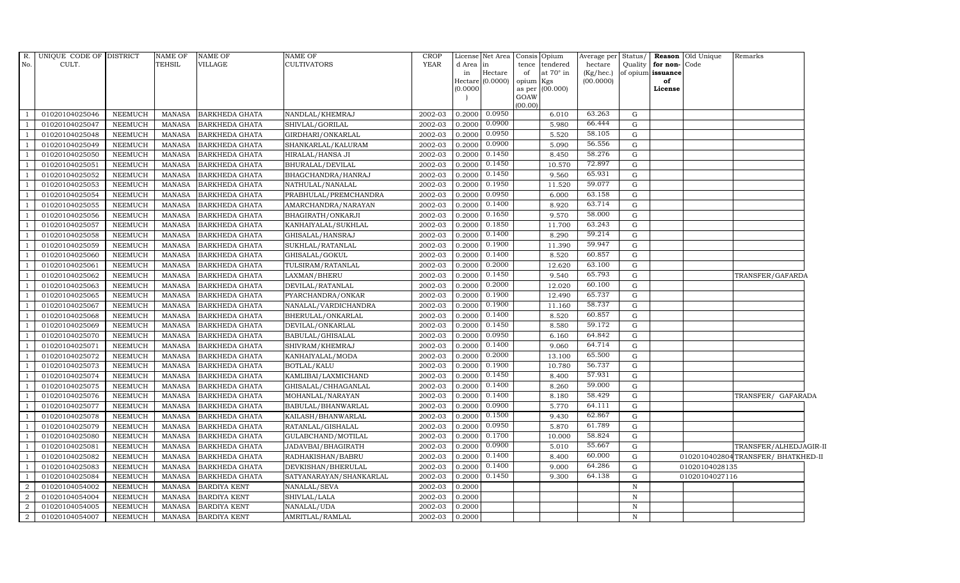|                | R. UNIQUE CODE OF DISTRICT |                | <b>NAME OF</b> | <b>NAME OF</b>        | <b>NAME OF</b>          | <b>CROP</b> |            | License Net Area Consis | Opium                   | Average per Status/ |              |                   | <b>Reason</b> Old Unique | Remarks                           |  |
|----------------|----------------------------|----------------|----------------|-----------------------|-------------------------|-------------|------------|-------------------------|-------------------------|---------------------|--------------|-------------------|--------------------------|-----------------------------------|--|
| No.            | CULT.                      |                | <b>TEHSIL</b>  | <b>VILLAGE</b>        | CULTIVATORS             | <b>YEAR</b> | d Area  in |                         | tence<br>tendered       | hectare             | Quality      | for non-Code      |                          |                                   |  |
|                |                            |                |                |                       |                         |             | in         | Hectare                 | at $70^\circ$ in<br>of  | $(Kg/$ hec. $)$     |              | of opium issuance |                          |                                   |  |
|                |                            |                |                |                       |                         |             |            | Hectare (0.0000)        | Kgs<br>opium            | (00.0000)           |              | of                |                          |                                   |  |
|                |                            |                |                |                       |                         |             | 00000(0)   |                         | as per (00.000)<br>GOAW |                     |              | License           |                          |                                   |  |
|                |                            |                |                |                       |                         |             |            |                         | (00.00)                 |                     |              |                   |                          |                                   |  |
|                | 01020104025046             | NEEMUCH        | MANASA         | <b>BARKHEDA GHATA</b> | NANDLAL/KHEMRAJ         | 2002-03     |            | $0.2000$ $0.0950$       | 6.010                   | 63.263              | G            |                   |                          |                                   |  |
|                | 01020104025047             | NEEMUCH        | MANASA         | <b>BARKHEDA GHATA</b> | SHIVLAL/GORILAL         | 2002-03     | 0.2000     | 0.0900                  | 5.980                   | 66.444              | G            |                   |                          |                                   |  |
|                | 01020104025048             | <b>NEEMUCH</b> | <b>MANASA</b>  | <b>BARKHEDA GHATA</b> | GIRDHARI/ONKARLAL       | 2002-03     | 0.2000     | 0.0950                  | 5.520                   | 58.105              | G            |                   |                          |                                   |  |
|                | 01020104025049             | <b>NEEMUCH</b> | <b>MANASA</b>  | <b>BARKHEDA GHATA</b> | SHANKARLAL/KALURAM      | 2002-03     | 0.2000     | 0.0900                  | 5.090                   | 56.556              | ${\rm G}$    |                   |                          |                                   |  |
|                | 01020104025050             | <b>NEEMUCH</b> | <b>MANASA</b>  | <b>BARKHEDA GHATA</b> | HIRALAL/HANSA JI        | 2002-03     | 0.2000     | 0.1450                  | 8.450                   | 58.276              | $\mathbf G$  |                   |                          |                                   |  |
|                | 01020104025051             | <b>NEEMUCH</b> | <b>MANASA</b>  | BARKHEDA GHATA        | BHURALAL/DEVILAL        | 2002-03     | 0.2000     | 0.1450                  | 10.570                  | 72.897              | ${\rm G}$    |                   |                          |                                   |  |
|                | 01020104025052             | NEEMUCH        | <b>MANASA</b>  | <b>BARKHEDA GHATA</b> | BHAGCHANDRA/HANRAJ      | 2002-03     | 0.2000     | 0.1450                  | 9.560                   | 65.931              | $\mathbf G$  |                   |                          |                                   |  |
|                | 01020104025053             | <b>NEEMUCH</b> | <b>MANASA</b>  | <b>BARKHEDA GHATA</b> | NATHULAL/NANALAL        | 2002-03     | 0.2000     | 0.1950                  | 11.520                  | 59.077              | G            |                   |                          |                                   |  |
|                | 01020104025054             | <b>NEEMUCH</b> | <b>MANASA</b>  | BARKHEDA GHATA        | PRABHULAL/PREMCHANDRA   | 2002-03     | 0.2000     | 0.0950                  | 6.000                   | 63.158              | $\mathbf G$  |                   |                          |                                   |  |
|                | 01020104025055             | <b>NEEMUCH</b> | <b>MANASA</b>  | <b>BARKHEDA GHATA</b> | AMARCHANDRA/NARAYAN     | 2002-03     | 0.2000     | 0.1400                  | 8.920                   | 63.714              | $\mathbf G$  |                   |                          |                                   |  |
|                | 01020104025056             | <b>NEEMUCH</b> | <b>MANASA</b>  | <b>BARKHEDA GHATA</b> | BHAGIRATH/ONKARJI       | 2002-03     | 0.2000     | 0.1650                  | 9.570                   | 58.000              | G            |                   |                          |                                   |  |
|                | 01020104025057             | NEEMUCH        | MANASA         | <b>BARKHEDA GHATA</b> | KANHAIYALAL/SUKHLAL     | 2002-03     | 0.2000     | 0.1850                  | 11.700                  | 63.243              | ${\rm G}$    |                   |                          |                                   |  |
|                | 01020104025058             | <b>NEEMUCH</b> | <b>MANASA</b>  | <b>BARKHEDA GHATA</b> | GHISALAL/HANSRAJ        | 2002-03     | 0.2000     | 0.1400                  | 8.290                   | 59.214              | ${\rm G}$    |                   |                          |                                   |  |
|                | 01020104025059             | <b>NEEMUCH</b> | <b>MANASA</b>  | BARKHEDA GHATA        | SUKHLAL/RATANLAL        | 2002-03     | 0.2000     | 0.1900                  | 11.390                  | 59.947              | ${\rm G}$    |                   |                          |                                   |  |
|                | 01020104025060             | <b>NEEMUCH</b> | <b>MANASA</b>  | <b>BARKHEDA GHATA</b> | GHISALAL/GOKUL          | 2002-03     | 0.2000     | 0.1400                  | 8.520                   | 60.857              | $\mathbf G$  |                   |                          |                                   |  |
|                | 01020104025061             | <b>NEEMUCH</b> | <b>MANASA</b>  | BARKHEDA GHATA        | TULSIRAM/RATANLAL       | 2002-03     | 0.2000     | 0.2000                  | 12.620                  | 63.100              | ${\rm G}$    |                   |                          |                                   |  |
|                | 01020104025062             | <b>NEEMUCH</b> | <b>MANASA</b>  | <b>BARKHEDA GHATA</b> | LAXMAN/BHERU            | 2002-03     | 0.2000     | 0.1450                  | 9.540                   | 65.793              | G            |                   |                          | TRANSFER/GAFARDA                  |  |
|                | 01020104025063             | <b>NEEMUCH</b> | <b>MANASA</b>  | <b>BARKHEDA GHATA</b> | DEVILAL/RATANLAL        | 2002-03     | 0.2000     | 0.2000                  | 12.020                  | 60.100              | ${\rm G}$    |                   |                          |                                   |  |
|                | 01020104025065             | <b>NEEMUCH</b> | MANASA         | <b>BARKHEDA GHATA</b> | PYARCHANDRA/ONKAR       | 2002-03     | 0.2000     | 0.1900                  | 12.490                  | 65.737              | ${\rm G}$    |                   |                          |                                   |  |
|                | 01020104025067             | <b>NEEMUCH</b> | <b>MANASA</b>  | <b>BARKHEDA GHATA</b> | NANALAL/VARDICHANDRA    | 2002-03     | 0.2000     | 0.1900                  | 11.160                  | 58.737              | $\mathbf G$  |                   |                          |                                   |  |
|                | 01020104025068             | NEEMUCH        | <b>MANASA</b>  | <b>BARKHEDA GHATA</b> | BHERULAL/ONKARLAL       | 2002-03     | 0.2000     | 0.1400                  | 8.520                   | 60.857              | G            |                   |                          |                                   |  |
|                | 01020104025069             | <b>NEEMUCH</b> | <b>MANASA</b>  | <b>BARKHEDA GHATA</b> | DEVILAL/ONKARLAL        | 2002-03     | 0.2000     | 0.1450                  | 8.580                   | 59.172              | $\mathbf G$  |                   |                          |                                   |  |
|                | 01020104025070             | <b>NEEMUCH</b> | <b>MANASA</b>  | <b>BARKHEDA GHATA</b> | BABULAL/GHISALAL        | 2002-03     | 0.2000     | 0.0950                  | 6.160                   | 64.842              | ${\rm G}$    |                   |                          |                                   |  |
|                | 01020104025071             | <b>NEEMUCH</b> | <b>MANASA</b>  | BARKHEDA GHATA        | SHIVRAM/KHEMRAJ         | 2002-03     | 0.2000     | 0.1400                  | 9.060                   | 64.714              | ${\rm G}$    |                   |                          |                                   |  |
|                | 01020104025072             | <b>NEEMUCH</b> | <b>MANASA</b>  | <b>BARKHEDA GHATA</b> | KANHAIYALAL/MODA        | 2002-03     | 0.2000     | 0.2000                  | 13.100                  | 65.500              | $\mathbf G$  |                   |                          |                                   |  |
|                | 01020104025073             | <b>NEEMUCH</b> | <b>MANASA</b>  | <b>BARKHEDA GHATA</b> | BOTLAL/KALU             | 2002-03     | 0.2000     | 0.1900                  | 10.780                  | 56.737              | G            |                   |                          |                                   |  |
|                | 01020104025074             | NEEMUCH        | <b>MANASA</b>  | <b>BARKHEDA GHATA</b> | KAMLIBAI/LAXMICHAND     | 2002-03     | 0.2000     | 0.1450                  | 8.400                   | 57.931              | G            |                   |                          |                                   |  |
|                | 01020104025075             | <b>NEEMUCH</b> | <b>MANASA</b>  | <b>BARKHEDA GHATA</b> | GHISALAL/CHHAGANLAL     | 2002-03     | 0.2000     | 0.1400                  | 8.260                   | 59.000              | ${\rm G}$    |                   |                          |                                   |  |
|                | 01020104025076             | <b>NEEMUCH</b> | <b>MANASA</b>  | <b>BARKHEDA GHATA</b> | MOHANLAL/NARAYAN        | 2002-03     | 0.2000     | 0.1400                  | 8.180                   | 58.429              | $\mathbf G$  |                   |                          | TRANSFER/ GAFARADA                |  |
|                | 01020104025077             | <b>NEEMUCH</b> | <b>MANASA</b>  | <b>BARKHEDA GHATA</b> | BABULAL/BHANWARLAL      | 2002-03     | 0.2000     | 0.0900                  | 5.770                   | 64.111              | G            |                   |                          |                                   |  |
|                | 01020104025078             | <b>NEEMUCH</b> | <b>MANASA</b>  | <b>BARKHEDA GHATA</b> | KAILASH/BHANWARLAL      | 2002-03     | 0.2000     | 0.1500                  | 9.430                   | 62.867              | ${\rm G}$    |                   |                          |                                   |  |
|                | 01020104025079             | NEEMUCH        | <b>MANASA</b>  | <b>BARKHEDA GHATA</b> | RATANLAL/GISHALAL       | 2002-03     | 0.2000     | 0.0950                  | 5.870                   | 61.789              | ${\rm G}$    |                   |                          |                                   |  |
|                | 01020104025080             | <b>NEEMUCH</b> | <b>MANASA</b>  | <b>BARKHEDA GHATA</b> | GULABCHAND/MOTILAL      | 2002-03     | 0.2000     | 0.1700                  | 10.000                  | 58.824              | ${\rm G}$    |                   |                          |                                   |  |
|                | 01020104025081             | <b>NEEMUCH</b> | <b>MANASA</b>  | <b>BARKHEDA GHATA</b> | JADAVBAI/BHAGIRATH      | 2002-03     | 0.2000     | 0.0900                  | 5.010                   | 55.667              | $\mathbf G$  |                   |                          | TRANSFER/ALHEDJAGIR-II            |  |
|                | 01020104025082             | <b>NEEMUCH</b> | MANASA         | <b>BARKHEDA GHATA</b> | RADHAKISHAN/BABRU       | 2002-03     | 0.2000     | 0.1400                  | 8.400                   | 60.000              | $\mathbf G$  |                   |                          | 0102010402804TRANSFER/BHATKHED-II |  |
|                | 01020104025083             | NEEMUCH        | <b>MANASA</b>  | BARKHEDA GHATA        | DEVKISHAN/BHERULAL      | 2002-03     | 0.2000     | 0.1400                  | 9.000                   | 64.286              | G            |                   | 01020104028135           |                                   |  |
|                | 01020104025084             | NEEMUCH        | <b>MANASA</b>  | <b>BARKHEDA GHATA</b> | SATYANARAYAN/SHANKARLAL | 2002-03     | 0.2000     | 0.1450                  | 9.300                   | 64.138              | G            |                   | 01020104027116           |                                   |  |
| $\overline{2}$ | 01020104054002             | <b>NEEMUCH</b> | <b>MANASA</b>  | <b>BARDIYA KENT</b>   | NANALAL/SEVA            | 2002-03     | 0.2000     |                         |                         |                     | $\, {\rm N}$ |                   |                          |                                   |  |
| $\mathcal{D}$  | 01020104054004             | <b>NEEMUCH</b> | <b>MANASA</b>  | <b>BARDIYA KENT</b>   | SHIVLAL/LALA            | 2002-03     | 0.2000     |                         |                         |                     | $\, {\rm N}$ |                   |                          |                                   |  |
| 2              | 01020104054005             | <b>NEEMUCH</b> | MANASA         | <b>BARDIYA KENT</b>   | NANALAL/UDA             | 2002-03     | 0.2000     |                         |                         |                     | $\, {\rm N}$ |                   |                          |                                   |  |
| 2              | 01020104054007             | NEEMUCH        | MANASA         | <b>BARDIYA KENT</b>   | AMRITLAL/RAMLAL         | 2002-03     | 0.2000     |                         |                         |                     | $\, {\rm N}$ |                   |                          |                                   |  |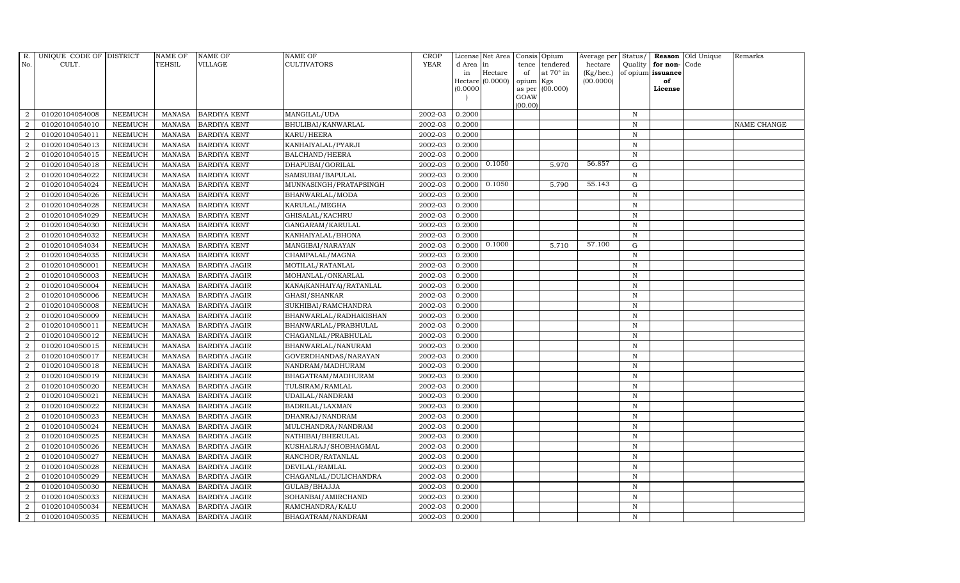| R.             | UNIQUE CODE OF DISTRICT |                | NAME OF         | <b>NAME OF</b>       | <b>NAME OF</b>            | <b>CROP</b> |           | License Net Area Consis Opium |           |                  | Average per Status/    |              |                         | <b>Reason</b> Old Unique | Remarks     |
|----------------|-------------------------|----------------|-----------------|----------------------|---------------------------|-------------|-----------|-------------------------------|-----------|------------------|------------------------|--------------|-------------------------|--------------------------|-------------|
| No.            | CULT.                   |                | <b>TEHSIL</b>   | <b>VILLAGE</b>       | <b>CULTIVATORS</b>        | <b>YEAR</b> | d Area in |                               |           | tence tendered   | hectare                | Quality      | for non-                | Code                     |             |
|                |                         |                |                 |                      |                           |             | in        | Hectare<br>Hectare (0.0000)   | of        | at $70^\circ$ in | (Kg/hec.)<br>(00.0000) |              | of opium issuance<br>of |                          |             |
|                |                         |                |                 |                      |                           |             | (0.0000)  |                               | opium Kgs | as per (00.000)  |                        |              | License                 |                          |             |
|                |                         |                |                 |                      |                           |             |           |                               | GOAW      |                  |                        |              |                         |                          |             |
|                |                         |                |                 |                      |                           |             |           |                               | (00.00)   |                  |                        |              |                         |                          |             |
| $\overline{2}$ | 01020104054008          | <b>NEEMUCH</b> | MANASA          | <b>BARDIYA KENT</b>  | MANGILAL/UDA              | 2002-03     | 0.2000    |                               |           |                  |                        | $_{\rm N}$   |                         |                          |             |
| $\overline{2}$ | 01020104054010          | <b>NEEMUCH</b> | MANASA          | <b>BARDIYA KENT</b>  | BHULIBAI/KANWARLAL        | 2002-03     | 0.2000    |                               |           |                  |                        | $\mathbb N$  |                         |                          | NAME CHANGE |
| $\overline{2}$ | 01020104054011          | <b>NEEMUCH</b> | <b>MANASA</b>   | <b>BARDIYA KENT</b>  | KARU/HEERA                | 2002-03     | 0.2000    |                               |           |                  |                        | $\mathbb N$  |                         |                          |             |
| $\overline{2}$ | 01020104054013          | <b>NEEMUCH</b> | MANASA          | <b>BARDIYA KENT</b>  | KANHAIYALAL/PYARJI        | 2002-03     | 0.2000    |                               |           |                  |                        | $\,$ N       |                         |                          |             |
| $\overline{2}$ | 01020104054015          | <b>NEEMUCH</b> | <b>MANASA</b>   | <b>BARDIYA KENT</b>  | BALCHAND/HEERA            | 2002-03     | 0.2000    |                               |           |                  |                        | $\,$ N       |                         |                          |             |
| $\overline{a}$ | 01020104054018          | <b>NEEMUCH</b> | <b>MANASA</b>   | <b>BARDIYA KENT</b>  | DHAPUBAI/GORILAL          | 2002-03     |           | $0.2000$ $0.1050$             |           | 5.970            | 56.857                 | ${\rm G}$    |                         |                          |             |
| 2              | 01020104054022          | <b>NEEMUCH</b> | MANASA          | <b>BARDIYA KENT</b>  | SAMSUBAI/BAPULAL          | 2002-03     | 0.2000    |                               |           |                  |                        | $\, {\rm N}$ |                         |                          |             |
| 2              | 01020104054024          | <b>NEEMUCH</b> | <b>MANASA</b>   | <b>BARDIYA KENT</b>  | MUNNASINGH/PRATAPSINGH    | 2002-03     | 0.2000    | 0.1050                        |           | 5.790            | 55.143                 | $\mathbf G$  |                         |                          |             |
| $\overline{2}$ | 01020104054026          | <b>NEEMUCH</b> | <b>MANASA</b>   | <b>BARDIYA KENT</b>  | BHANWARLAL/MODA           | 2002-03     | 0.2000    |                               |           |                  |                        | $\mathbb N$  |                         |                          |             |
| 2              | 01020104054028          | <b>NEEMUCH</b> | <b>MANASA</b>   | <b>BARDIYA KENT</b>  | KARULAL/MEGHA             | 2002-03     | 0.2000    |                               |           |                  |                        | $\mathbb N$  |                         |                          |             |
| $\overline{a}$ | 01020104054029          | <b>NEEMUCH</b> | <b>MANASA</b>   | <b>BARDIYA KENT</b>  | GHISALAL/KACHRU           | 2002-03     | 0.2000    |                               |           |                  |                        | $\mathbb N$  |                         |                          |             |
| $\overline{a}$ | 01020104054030          | <b>NEEMUCH</b> | MANASA          | <b>BARDIYA KENT</b>  | GANGARAM/KARULAL          | 2002-03     | 0.2000    |                               |           |                  |                        | $\mathbb N$  |                         |                          |             |
| 2              | 01020104054032          | <b>NEEMUCH</b> | MANASA          | <b>BARDIYA KENT</b>  | KANHAIYALAL/BHONA         | 2002-03     | 0.2000    |                               |           |                  |                        | $\mathbb N$  |                         |                          |             |
| $\overline{2}$ | 01020104054034          | <b>NEEMUCH</b> | MANASA          | <b>BARDIYA KENT</b>  | MANGIBAI/NARAYAN          | 2002-03     | 0.2000    | 0.1000                        |           | 5.710            | 57.100                 | $\mathbf G$  |                         |                          |             |
| $\overline{2}$ | 01020104054035          | <b>NEEMUCH</b> | $\mbox{MANASA}$ | <b>BARDIYA KENT</b>  | CHAMPALAL/MAGNA           | 2002-03     | 0.2000    |                               |           |                  |                        | $\, {\bf N}$ |                         |                          |             |
| 2              | 01020104050001          | <b>NEEMUCH</b> | <b>MANASA</b>   | <b>BARDIYA JAGIR</b> | MOTILAL/RATANLAL          | 2002-03     | 0.2000    |                               |           |                  |                        | $_{\rm N}$   |                         |                          |             |
| $\overline{a}$ | 01020104050003          | <b>NEEMUCH</b> | <b>MANASA</b>   | <b>BARDIYA JAGIR</b> | MOHANLAL/ONKARLAL         | 2002-03     | 0.2000    |                               |           |                  |                        | $\mathbb N$  |                         |                          |             |
| $\overline{a}$ | 01020104050004          | <b>NEEMUCH</b> | MANASA          | <b>BARDIYA JAGIR</b> | KANA(KANHAIYA) / RATANLAL | 2002-03     | 0.2000    |                               |           |                  |                        | $\mathbb N$  |                         |                          |             |
| $\overline{2}$ | 01020104050006          | <b>NEEMUCH</b> | <b>MANASA</b>   | <b>BARDIYA JAGIR</b> | GHASI/SHANKAR             | 2002-03     | 0.2000    |                               |           |                  |                        | $\, {\bf N}$ |                         |                          |             |
| $\overline{2}$ | 01020104050008          | <b>NEEMUCH</b> | <b>MANASA</b>   | <b>BARDIYA JAGIR</b> | SUKHIBAI/RAMCHANDRA       | 2002-03     | 0.2000    |                               |           |                  |                        | $\,$ N       |                         |                          |             |
| 2              | 01020104050009          | <b>NEEMUCH</b> | <b>MANASA</b>   | <b>BARDIYA JAGIR</b> | BHANWARLAL/RADHAKISHAN    | 2002-03     | 0.2000    |                               |           |                  |                        | $\mathbf N$  |                         |                          |             |
| 2              | 01020104050011          | <b>NEEMUCH</b> | <b>MANASA</b>   | <b>BARDIYA JAGIR</b> | BHANWARLAL/PRABHULAL      | 2002-03     | 0.2000    |                               |           |                  |                        | $\mathbb N$  |                         |                          |             |
| $\overline{a}$ | 01020104050012          | <b>NEEMUCH</b> | MANASA          | <b>BARDIYA JAGIR</b> | CHAGANLAL/PRABHULAL       | 2002-03     | 0.2000    |                               |           |                  |                        | $\,$ N       |                         |                          |             |
| 2              | 01020104050015          | <b>NEEMUCH</b> | <b>MANASA</b>   | <b>BARDIYA JAGIR</b> | BHANWARLAL/NANURAM        | 2002-03     | 0.2000    |                               |           |                  |                        | $\, {\bf N}$ |                         |                          |             |
| $\overline{2}$ | 01020104050017          | <b>NEEMUCH</b> | <b>MANASA</b>   | <b>BARDIYA JAGIR</b> | GOVERDHANDAS/NARAYAN      | 2002-03     | 0.2000    |                               |           |                  |                        | $\,$ N       |                         |                          |             |
| $\overline{a}$ | 01020104050018          | <b>NEEMUCH</b> | MANASA          | <b>BARDIYA JAGIR</b> | NANDRAM/MADHURAM          | 2002-03     | 0.2000    |                               |           |                  |                        | $\mathbb N$  |                         |                          |             |
| 2              | 01020104050019          | <b>NEEMUCH</b> | <b>MANASA</b>   | <b>BARDIYA JAGIR</b> | BHAGATRAM/MADHURAM        | 2002-03     | 0.2000    |                               |           |                  |                        | $\mathbb N$  |                         |                          |             |
| $\overline{a}$ | 01020104050020          | <b>NEEMUCH</b> | MANASA          | <b>BARDIYA JAGIR</b> | TULSIRAM/RAMLAL           | 2002-03     | 0.2000    |                               |           |                  |                        | $\,$ N       |                         |                          |             |
| $\overline{2}$ | 01020104050021          | <b>NEEMUCH</b> | MANASA          | <b>BARDIYA JAGIR</b> | UDAILAL/NANDRAM           | 2002-03     | 0.2000    |                               |           |                  |                        | $\,$ N       |                         |                          |             |
| 2              | 01020104050022          | <b>NEEMUCH</b> | <b>MANASA</b>   | <b>BARDIYA JAGIR</b> | BADRILAL/LAXMAN           | 2002-03     | 0.2000    |                               |           |                  |                        | $\mathbb N$  |                         |                          |             |
| $\overline{2}$ | 01020104050023          | <b>NEEMUCH</b> | <b>MANASA</b>   | <b>BARDIYA JAGIR</b> | DHANRAJ/NANDRAM           | 2002-03     | 0.2000    |                               |           |                  |                        | $\, {\rm N}$ |                         |                          |             |
| $\overline{2}$ | 01020104050024          | <b>NEEMUCH</b> | <b>MANASA</b>   | <b>BARDIYA JAGIR</b> | MULCHANDRA/NANDRAM        | 2002-03     | 0.2000    |                               |           |                  |                        | $\mathbb N$  |                         |                          |             |
| $\overline{a}$ | 01020104050025          | <b>NEEMUCH</b> | MANASA          | <b>BARDIYA JAGIR</b> | NATHIBAI/BHERULAL         | 2002-03     | 0.2000    |                               |           |                  |                        | N            |                         |                          |             |
| $\overline{a}$ | 01020104050026          | <b>NEEMUCH</b> | MANASA          | <b>BARDIYA JAGIR</b> | KUSHALRAJ/SHOBHAGMAL      | 2002-03     | 0.2000    |                               |           |                  |                        | $\,$ N       |                         |                          |             |
| $\overline{2}$ | 01020104050027          | <b>NEEMUCH</b> | <b>MANASA</b>   | <b>BARDIYA JAGIR</b> | RANCHOR/RATANLAL          | 2002-03     | 0.2000    |                               |           |                  |                        | $\,$ N       |                         |                          |             |
| $\overline{2}$ | 01020104050028          | <b>NEEMUCH</b> | <b>MANASA</b>   | <b>BARDIYA JAGIR</b> | DEVILAL/RAMLAL            | 2002-03     | 0.2000    |                               |           |                  |                        | $\mathbb N$  |                         |                          |             |
| $\overline{2}$ | 01020104050029          | <b>NEEMUCH</b> | <b>MANASA</b>   | <b>BARDIYA JAGIR</b> | CHAGANLAL/DULICHANDRA     | 2002-03     | 0.2000    |                               |           |                  |                        | $\,$ N       |                         |                          |             |
| $\overline{a}$ | 01020104050030          | <b>NEEMUCH</b> | <b>MANASA</b>   | <b>BARDIYA JAGIR</b> | GULAB/BHAJJA              | 2002-03     | 0.2000    |                               |           |                  |                        | $\mathbb N$  |                         |                          |             |
| 2              | 01020104050033          | <b>NEEMUCH</b> | MANASA          | <b>BARDIYA JAGIR</b> | SOHANBAI/AMIRCHAND        | 2002-03     | 0.2000    |                               |           |                  |                        | $\,$ N       |                         |                          |             |
| 2              | 01020104050034          | <b>NEEMUCH</b> | <b>MANASA</b>   | <b>BARDIYA JAGIR</b> | RAMCHANDRA/KALU           | 2002-03     | 0.2000    |                               |           |                  |                        | $\, {\rm N}$ |                         |                          |             |
| $\overline{a}$ | 01020104050035          | <b>NEEMUCH</b> |                 | MANASA BARDIYA JAGIR | BHAGATRAM/NANDRAM         | 2002-03     | 0.2000    |                               |           |                  |                        | $\mathbb N$  |                         |                          |             |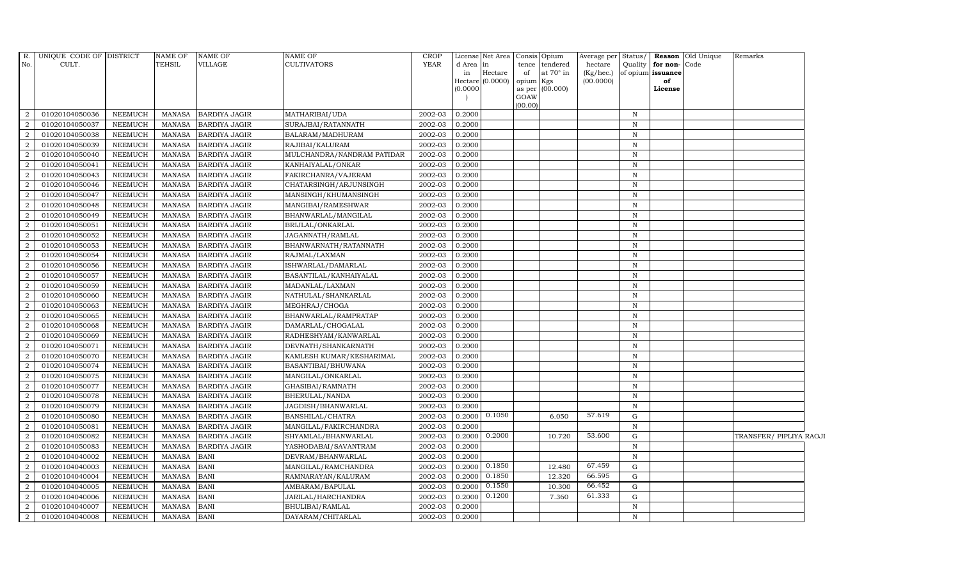|                | R. UNIQUE CODE OF DISTRICT |                | <b>NAME OF</b> | <b>NAME OF</b>       | <b>NAME OF</b>             | <b>CROP</b> |        | License Net Area Consis Opium |           |                  | Average per  | Status/      |                         | Reason Old Unique | Remarks                 |  |
|----------------|----------------------------|----------------|----------------|----------------------|----------------------------|-------------|--------|-------------------------------|-----------|------------------|--------------|--------------|-------------------------|-------------------|-------------------------|--|
| No.            | CULT.                      |                | <b>TEHSIL</b>  | VILLAGE              | <b>CULTIVATORS</b>         | <b>YEAR</b> | d Area | $\ln$                         | tence     | tendered         | hectare      | Quality      | for non-Code            |                   |                         |  |
|                |                            |                |                |                      |                            |             | in     | Hectare<br>Hectare (0.0000)   | of        | at $70^\circ$ in | $(Kg/$ hec.) |              | of opium issuance<br>of |                   |                         |  |
|                |                            |                |                |                      |                            |             | 0.0000 |                               | opium Kgs | as per (00.000)  | (00.0000)    |              | License                 |                   |                         |  |
|                |                            |                |                |                      |                            |             |        |                               | GOAW      |                  |              |              |                         |                   |                         |  |
|                |                            |                |                |                      |                            |             |        |                               | (00.00)   |                  |              |              |                         |                   |                         |  |
| $\overline{2}$ | 01020104050036             | <b>NEEMUCH</b> | MANASA         | <b>BARDIYA JAGIR</b> | MATHARIBAI/UDA             | 2002-03     | 0.2000 |                               |           |                  |              | $\mathbb N$  |                         |                   |                         |  |
| 2              | 01020104050037             | <b>NEEMUCH</b> | MANASA         | <b>BARDIYA JAGIR</b> | SURAJBAI/RATANNATH         | 2002-03     | 0.2000 |                               |           |                  |              | $\mathbb N$  |                         |                   |                         |  |
| $\overline{2}$ | 01020104050038             | <b>NEEMUCH</b> | MANASA         | <b>BARDIYA JAGIR</b> | BALARAM/MADHURAM           | 2002-03     | 0.2000 |                               |           |                  |              | $\, {\rm N}$ |                         |                   |                         |  |
| $\overline{2}$ | 01020104050039             | <b>NEEMUCH</b> | <b>MANASA</b>  | <b>BARDIYA JAGIR</b> | RAJIBAI/KALURAM            | 2002-03     | 0.2000 |                               |           |                  |              | $\mathbb N$  |                         |                   |                         |  |
| $\overline{2}$ | 01020104050040             | <b>NEEMUCH</b> | <b>MANASA</b>  | <b>BARDIYA JAGIR</b> | MULCHANDRA/NANDRAM PATIDAR | 2002-03     | 0.2000 |                               |           |                  |              | $\, {\rm N}$ |                         |                   |                         |  |
| $\overline{2}$ | 01020104050041             | <b>NEEMUCH</b> | <b>MANASA</b>  | <b>BARDIYA JAGIR</b> | KANHAIYALAL/ONKAR          | 2002-03     | 0.2000 |                               |           |                  |              | $\, {\bf N}$ |                         |                   |                         |  |
| $\overline{2}$ | 01020104050043             | <b>NEEMUCH</b> | MANASA         | <b>BARDIYA JAGIR</b> | FAKIRCHANRA/VAJERAM        | 2002-03     | 0.2000 |                               |           |                  |              | $\mathbf N$  |                         |                   |                         |  |
| 2              | 01020104050046             | <b>NEEMUCH</b> | MANASA         | <b>BARDIYA JAGIR</b> | CHATARSINGH/ARJUNSINGH     | 2002-03     | 0.2000 |                               |           |                  |              | $\, {\rm N}$ |                         |                   |                         |  |
|                | 01020104050047             | <b>NEEMUCH</b> | <b>MANASA</b>  | <b>BARDIYA JAGIR</b> | MANSINGH/KHUMANSINGH       | 2002-03     | 0.2000 |                               |           |                  |              | $\mathbb N$  |                         |                   |                         |  |
| $\overline{2}$ | 01020104050048             | <b>NEEMUCH</b> | <b>MANASA</b>  | <b>BARDIYA JAGIR</b> | MANGIBAI/RAMESHWAR         | 2002-03     | 0.2000 |                               |           |                  |              | $\, {\bf N}$ |                         |                   |                         |  |
| 2              | 01020104050049             | <b>NEEMUCH</b> | <b>MANASA</b>  | <b>BARDIYA JAGIR</b> | BHANWARLAL/MANGILAL        | 2002-03     | 0.2000 |                               |           |                  |              | ${\bf N}$    |                         |                   |                         |  |
| $\overline{2}$ | 01020104050051             | <b>NEEMUCH</b> | <b>MANASA</b>  | <b>BARDIYA JAGIR</b> | BRIJLAL/ONKARLAL           | 2002-03     | 0.2000 |                               |           |                  |              | $\mathbf N$  |                         |                   |                         |  |
| $\overline{2}$ | 01020104050052             | <b>NEEMUCH</b> | MANASA         | <b>BARDIYA JAGIR</b> | JAGANNATH/RAMLAL           | 2002-03     | 0.2000 |                               |           |                  |              | $\, {\rm N}$ |                         |                   |                         |  |
| $\overline{2}$ | 01020104050053             | <b>NEEMUCH</b> | <b>MANASA</b>  | <b>BARDIYA JAGIR</b> | BHANWARNATH/RATANNATH      | 2002-03     | 0.2000 |                               |           |                  |              | $\mathbf N$  |                         |                   |                         |  |
| $\overline{2}$ | 01020104050054             | <b>NEEMUCH</b> | <b>MANASA</b>  | <b>BARDIYA JAGIR</b> | RAJMAL/LAXMAN              | 2002-03     | 0.2000 |                               |           |                  |              | $\mathbf N$  |                         |                   |                         |  |
| 2              | 01020104050056             | <b>NEEMUCH</b> | <b>MANASA</b>  | <b>BARDIYA JAGIR</b> | ISHWARLAL/DAMARLAL         | 2002-03     | 0.2000 |                               |           |                  |              | $\mathbf N$  |                         |                   |                         |  |
| 2              | 01020104050057             | <b>NEEMUCH</b> | <b>MANASA</b>  | <b>BARDIYA JAGIR</b> | BASANTILAL/KANHAIYALAL     | 2002-03     | 0.2000 |                               |           |                  |              | $\, {\bf N}$ |                         |                   |                         |  |
| 2              | 01020104050059             | <b>NEEMUCH</b> | MANASA         | <b>BARDIYA JAGIR</b> | MADANLAL/LAXMAN            | 2002-03     | 0.2000 |                               |           |                  |              | $\, {\rm N}$ |                         |                   |                         |  |
| $\mathcal{D}$  | 01020104050060             | <b>NEEMUCH</b> | <b>MANASA</b>  | <b>BARDIYA JAGIR</b> | NATHULAL/SHANKARLAL        | 2002-03     | 0.2000 |                               |           |                  |              | $\mathbf N$  |                         |                   |                         |  |
| $\mathcal{D}$  | 01020104050063             | <b>NEEMUCH</b> | <b>MANASA</b>  | <b>BARDIYA JAGIR</b> | MEGHRAJ/CHOGA              | 2002-03     | 0.2000 |                               |           |                  |              | $\, {\rm N}$ |                         |                   |                         |  |
| 2              | 01020104050065             | <b>NEEMUCH</b> | MANASA         | <b>BARDIYA JAGIR</b> | BHANWARLAL/RAMPRATAP       | 2002-03     | 0.2000 |                               |           |                  |              | $\mathbf N$  |                         |                   |                         |  |
| $\overline{2}$ | 01020104050068             | <b>NEEMUCH</b> | <b>MANASA</b>  | <b>BARDIYA JAGIR</b> | DAMARLAL/CHOGALAL          | 2002-03     | 0.2000 |                               |           |                  |              | $\mathbf N$  |                         |                   |                         |  |
| $\overline{2}$ | 01020104050069             | <b>NEEMUCH</b> | MANASA         | <b>BARDIYA JAGIR</b> | RADHESHYAM/KANWARLAL       | 2002-03     | 0.2000 |                               |           |                  |              | N            |                         |                   |                         |  |
| $\mathcal{D}$  | 01020104050071             | <b>NEEMUCH</b> | <b>MANASA</b>  | <b>BARDIYA JAGIR</b> | DEVNATH/SHANKARNATH        | 2002-03     | 0.2000 |                               |           |                  |              | $\mathbb N$  |                         |                   |                         |  |
| $\overline{2}$ | 01020104050070             | <b>NEEMUCH</b> | <b>MANASA</b>  | <b>BARDIYA JAGIR</b> | KAMLESH KUMAR/KESHARIMAL   | 2002-03     | 0.2000 |                               |           |                  |              | $\mathbf N$  |                         |                   |                         |  |
| $\overline{2}$ | 01020104050074             | <b>NEEMUCH</b> | <b>MANASA</b>  | <b>BARDIYA JAGIR</b> | BASANTIBAI/BHUWANA         | 2002-03     | 0.2000 |                               |           |                  |              | $\mathbb N$  |                         |                   |                         |  |
| 2              | 01020104050075             | <b>NEEMUCH</b> | <b>MANASA</b>  | <b>BARDIYA JAGIR</b> | MANGILAL/ONKARLAL          | 2002-03     | 0.2000 |                               |           |                  |              | $\mathbb N$  |                         |                   |                         |  |
| $\overline{2}$ | 01020104050077             | <b>NEEMUCH</b> | MANASA         | <b>BARDIYA JAGIR</b> | GHASIBAI/RAMNATH           | 2002-03     | 0.2000 |                               |           |                  |              | $\mathbf N$  |                         |                   |                         |  |
| 2              | 01020104050078             | <b>NEEMUCH</b> | MANASA         | <b>BARDIYA JAGIR</b> | BHERULAL/NANDA             | 2002-03     | 0.2000 |                               |           |                  |              | $\mathbb N$  |                         |                   |                         |  |
| $\overline{2}$ | 01020104050079             | <b>NEEMUCH</b> | <b>MANASA</b>  | <b>BARDIYA JAGIR</b> | JAGDISH/BHANWARLAL         | 2002-03     | 0.2000 |                               |           |                  |              | ${\bf N}$    |                         |                   |                         |  |
| $\overline{2}$ | 01020104050080             | <b>NEEMUCH</b> | <b>MANASA</b>  | <b>BARDIYA JAGIR</b> | BANSHILAL/CHATRA           | 2002-03     | 0.2000 | 0.1050                        |           | 6.050            | 57.619       | G            |                         |                   |                         |  |
| 2              | 01020104050081             | <b>NEEMUCH</b> | <b>MANASA</b>  | <b>BARDIYA JAGIR</b> | MANGILAL/FAKIRCHANDRA      | 2002-03     | 0.2000 |                               |           |                  |              | N            |                         |                   |                         |  |
| 2              | 01020104050082             | <b>NEEMUCH</b> | MANASA         | <b>BARDIYA JAGIR</b> | SHYAMLAL/BHANWARLAL        | 2002-03     | 0.2000 | 0.2000                        |           | 10.720           | 53.600       | $\mathbf G$  |                         |                   | TRANSFER/ PIPLIYA RAOJI |  |
| 2              | 01020104050083             | <b>NEEMUCH</b> | MANASA         | <b>BARDIYA JAGIR</b> | YASHODABAI/SAVANTRAM       | 2002-03     | 0.2000 |                               |           |                  |              | $\mathbf N$  |                         |                   |                         |  |
|                | 01020104040002             | <b>NEEMUCH</b> | <b>MANASA</b>  | <b>BANI</b>          | DEVRAM/BHANWARLAL          | 2002-03     | 0.2000 |                               |           |                  |              | $\, {\rm N}$ |                         |                   |                         |  |
| 2              | 01020104040003             | <b>NEEMUCH</b> | <b>MANASA</b>  | <b>BANI</b>          | MANGILAL/RAMCHANDRA        | 2002-03     | 0.2000 | 0.1850                        |           | 12.480           | 67.459       | G            |                         |                   |                         |  |
| $\overline{2}$ | 01020104040004             | <b>NEEMUCH</b> | <b>MANASA</b>  | <b>BANI</b>          | RAMNARAYAN/KALURAM         | 2002-03     | 0.2000 | 0.1850                        |           | 12.320           | 66.595       | G            |                         |                   |                         |  |
| $\overline{2}$ | 01020104040005             | <b>NEEMUCH</b> | <b>MANASA</b>  | <b>BANI</b>          | AMBARAM/BAPULAL            | 2002-03     | 0.2000 | 0.1550                        |           | 10.300           | 66.452       | ${\rm G}$    |                         |                   |                         |  |
| 2              | 01020104040006             | <b>NEEMUCH</b> | <b>MANASA</b>  | <b>BANI</b>          | JARILAL/HARCHANDRA         | 2002-03     | 0.2000 | 0.1200                        |           | 7.360            | 61.333       | $\mathbf G$  |                         |                   |                         |  |
| $\overline{2}$ | 01020104040007             | <b>NEEMUCH</b> | <b>MANASA</b>  | <b>BANI</b>          | BHULIBAI/RAMLAL            | 2002-03     | 0.2000 |                               |           |                  |              | $\mathbf N$  |                         |                   |                         |  |
| $\overline{2}$ | 01020104040008             | <b>NEEMUCH</b> | <b>MANASA</b>  | <b>BANI</b>          | DAYARAM/CHITARLAL          | 2002-03     | 0.2000 |                               |           |                  |              | $\mathbf N$  |                         |                   |                         |  |
|                |                            |                |                |                      |                            |             |        |                               |           |                  |              |              |                         |                   |                         |  |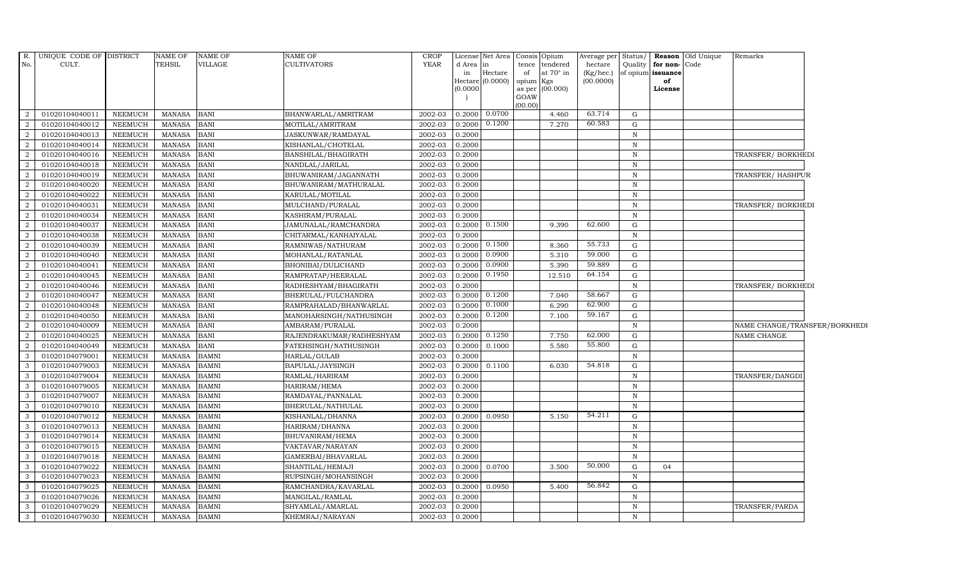| $R_{\cdot}$    | UNIQUE CODE OF DISTRICT |                | <b>NAME OF</b> | NAME OF      | NAME OF                  | <b>CROP</b> |              | License Net Area |                 | Consis Opium                | Average per          | Status/      |                                   | <b>Reason</b> Old Unique | Remarks                       |  |
|----------------|-------------------------|----------------|----------------|--------------|--------------------------|-------------|--------------|------------------|-----------------|-----------------------------|----------------------|--------------|-----------------------------------|--------------------------|-------------------------------|--|
| No.            | CULT.                   |                | <b>TEHSIL</b>  | VILLAGE      | CULTIVATORS              | <b>YEAR</b> | d Area<br>in | in<br>Hectare    | of              | tence tendered<br>at 70° in | hectare<br>(Kg/hec.) | Quality      | for non-Code<br>of opium issuance |                          |                               |  |
|                |                         |                |                |              |                          |             | Hectare      | (0.0000)         | opium Kgs       |                             | (00.0000)            |              | of                                |                          |                               |  |
|                |                         |                |                |              |                          |             | (0.0000)     |                  |                 | as per (00.000)             |                      |              | License                           |                          |                               |  |
|                |                         |                |                |              |                          |             |              |                  | GOAW<br>(00.00) |                             |                      |              |                                   |                          |                               |  |
| 2              | 01020104040011          | <b>NEEMUCH</b> | <b>MANASA</b>  | <b>BANI</b>  | BHANWARLAL/AMRITRAM      | 2002-03     | 0.2000       | 0.0700           |                 | 4.460                       | 63.714               | G            |                                   |                          |                               |  |
| 2              | 01020104040012          | <b>NEEMUCH</b> | <b>MANASA</b>  | <b>BANI</b>  | MOTILAL/AMRITRAM         | 2002-03     | 0.2000       | 0.1200           |                 | 7.270                       | 60.583               | G            |                                   |                          |                               |  |
| 2              | 01020104040013          | <b>NEEMUCH</b> | <b>MANASA</b>  | <b>BANI</b>  | JASKUNWAR/RAMDAYAL       | 2002-03     | 0.2000       |                  |                 |                             |                      | $\,$ N       |                                   |                          |                               |  |
| $\mathcal{D}$  | 01020104040014          | <b>NEEMUCH</b> | <b>MANASA</b>  | <b>BANI</b>  | KISHANLAL/CHOTELAL       | 2002-03     | 0.2000       |                  |                 |                             |                      | $\, {\rm N}$ |                                   |                          |                               |  |
| 2              | 01020104040016          | <b>NEEMUCH</b> | <b>MANASA</b>  | <b>BANI</b>  | BANSHILAL/BHAGIRATH      | 2002-03     | 0.2000       |                  |                 |                             |                      | $\, {\rm N}$ |                                   |                          | TRANSFER/BORKHEDI             |  |
| 2              | 01020104040018          | <b>NEEMUCH</b> | <b>MANASA</b>  | <b>BANI</b>  | NANDLAL/JARILAL          | 2002-03     | 0.2000       |                  |                 |                             |                      | $\,$ N       |                                   |                          |                               |  |
| 2              | 01020104040019          | <b>NEEMUCH</b> | <b>MANASA</b>  | <b>BANI</b>  | BHUWANIRAM/JAGANNATH     | 2002-03     | 0.2000       |                  |                 |                             |                      | $\,$ N       |                                   |                          | TRANSFER/HASHPUR              |  |
| 2              | 01020104040020          | <b>NEEMUCH</b> | <b>MANASA</b>  | <b>BANI</b>  | BHUWANIRAM/MATHURALAL    | 2002-03     | 0.2000       |                  |                 |                             |                      | N            |                                   |                          |                               |  |
| 2              | 01020104040022          | <b>NEEMUCH</b> | <b>MANASA</b>  | <b>BANI</b>  | KARULAL/MOTILAL          | 2002-03     | 0.2000       |                  |                 |                             |                      | $\mathbf N$  |                                   |                          |                               |  |
| $\overline{2}$ | 01020104040031          | <b>NEEMUCH</b> | <b>MANASA</b>  | <b>BANI</b>  | MULCHAND/PURALAL         | 2002-03     | 0.2000       |                  |                 |                             |                      | $\, {\rm N}$ |                                   |                          | TRANSFER/BORKHEDI             |  |
| 2              | 01020104040034          | <b>NEEMUCH</b> | <b>MANASA</b>  | <b>BANI</b>  | KASHIRAM/PURALAL         | 2002-03     | 0.2000       |                  |                 |                             |                      | N            |                                   |                          |                               |  |
| 2              | 01020104040037          | <b>NEEMUCH</b> | <b>MANASA</b>  | <b>BANI</b>  | JAMUNALAL/RAMCHANDRA     | 2002-03     | 0.2000       | 0.1500           |                 | 9.390                       | 62.600               | G            |                                   |                          |                               |  |
| 2              | 01020104040038          | <b>NEEMUCH</b> | <b>MANASA</b>  | <b>BANI</b>  | CHITARMAL/KANHAIYALAL    | 2002-03     | 0.2000       |                  |                 |                             |                      | N            |                                   |                          |                               |  |
| 2              | 01020104040039          | <b>NEEMUCH</b> | <b>MANASA</b>  | <b>BANI</b>  | RAMNIWAS/NATHURAM        | 2002-03     | 0.2000       | 0.1500           |                 | 8.360                       | 55.733               | G            |                                   |                          |                               |  |
| $\overline{2}$ | 01020104040040          | <b>NEEMUCH</b> | <b>MANASA</b>  | <b>BANI</b>  | MOHANLAL/RATANLAL        | 2002-03     | 0.2000       | 0.0900           |                 | 5.310                       | 59.000               | G            |                                   |                          |                               |  |
| 2              | 01020104040041          | <b>NEEMUCH</b> | <b>MANASA</b>  | <b>BANI</b>  | BHONIBAI/DULICHAND       | 2002-03     | 0.2000       | 0.0900           |                 | 5.390                       | 59.889               | G            |                                   |                          |                               |  |
| 2              | 01020104040045          | <b>NEEMUCH</b> | <b>MANASA</b>  | <b>BANI</b>  | RAMPRATAP/HEERALAL       | 2002-03     | 0.2000       | 0.1950           |                 | 12.510                      | 64.154               | G            |                                   |                          |                               |  |
| 2              | 01020104040046          | <b>NEEMUCH</b> | <b>MANASA</b>  | <b>BANI</b>  | RADHESHYAM/BHAGIRATH     | 2002-03     | 0.2000       |                  |                 |                             |                      | N            |                                   |                          | TRANSFER/BORKHEDI             |  |
| 2              | 01020104040047          | <b>NEEMUCH</b> | <b>MANASA</b>  | <b>BANI</b>  | BHERULAL/FULCHANDRA      | 2002-03     | 0.2000       | 0.1200           |                 | 7.040                       | 58.667               | G            |                                   |                          |                               |  |
| $\overline{2}$ | 01020104040048          | <b>NEEMUCH</b> | <b>MANASA</b>  | <b>BANI</b>  | RAMPRAHALAD/BHANWARLAL   | 2002-03     | 0.2000       | 0.1000           |                 | 6.290                       | 62.900               | G            |                                   |                          |                               |  |
| 2              | 01020104040050          | NEEMUCH        | <b>MANASA</b>  | <b>BANI</b>  | MANOHARSINGH/NATHUSINGH  | 2002-03     | 0.2000       | 0.1200           |                 | 7.100                       | 59.167               | G            |                                   |                          |                               |  |
| 2              | 01020104040009          | <b>NEEMUCH</b> | <b>MANASA</b>  | <b>BANI</b>  | AMBARAM/PURALAL          | 2002-03     | 0.2000       |                  |                 |                             |                      | N            |                                   |                          | NAME CHANGE/TRANSFER/BORKHEDI |  |
| 2              | 01020104040025          | <b>NEEMUCH</b> | <b>MANASA</b>  | <b>BANI</b>  | RAJENDRAKUMAR/RADHESHYAM | 2002-03     | 0.2000       | 0.1250           |                 | 7.750                       | 62.000               | G            |                                   |                          | NAME CHANGE                   |  |
| 2              | 01020104040049          | <b>NEEMUCH</b> | <b>MANASA</b>  | <b>BANI</b>  | FATEHSINGH/NATHUSINGH    | 2002-03     | 0.2000       | 0.1000           |                 | 5.580                       | 55.800               | G            |                                   |                          |                               |  |
| 3              | 01020104079001          | <b>NEEMUCH</b> | <b>MANASA</b>  | <b>BAMNI</b> | HARLAL/GULAB             | 2002-03     | 0.2000       |                  |                 |                             |                      | N            |                                   |                          |                               |  |
| 3              | 01020104079003          | <b>NEEMUCH</b> | <b>MANASA</b>  | <b>BAMNI</b> | BAPULAL/JAYSINGH         | 2002-03     | 0.2000       | 0.1100           |                 | 6.030                       | 54.818               | G            |                                   |                          |                               |  |
| 3              | 01020104079004          | <b>NEEMUCH</b> | <b>MANASA</b>  | <b>BAMNI</b> | RAMLAL/HARIRAM           | 2002-03     | 0.2000       |                  |                 |                             |                      | $\, {\bf N}$ |                                   |                          | TRANSFER/DANGDI               |  |
| 3              | 01020104079005          | NEEMUCH        | MANASA         | <b>BAMNI</b> | HARIRAM/HEMA             | 2002-03     | 0.2000       |                  |                 |                             |                      | N            |                                   |                          |                               |  |
| 3              | 01020104079007          | <b>NEEMUCH</b> | <b>MANASA</b>  | <b>BAMNI</b> | RAMDAYAL/PANNALAL        | 2002-03     | 0.2000       |                  |                 |                             |                      | $\,$ N       |                                   |                          |                               |  |
| 3              | 01020104079010          | <b>NEEMUCH</b> | <b>MANASA</b>  | <b>BAMNI</b> | BHERULAL/NATHULAL        | 2002-03     | 0.2000       |                  |                 |                             |                      | N            |                                   |                          |                               |  |
| 3              | 01020104079012          | <b>NEEMUCH</b> | <b>MANASA</b>  | <b>BAMNI</b> | KISHANLAL/DHANNA         | 2002-03     | 0.2000       | 0.0950           |                 | 5.150                       | 54.211               | G            |                                   |                          |                               |  |
| 3              | 01020104079013          | <b>NEEMUCH</b> | <b>MANASA</b>  | <b>BAMNI</b> | HARIRAM/DHANNA           | 2002-03     | 0.2000       |                  |                 |                             |                      | $\, {\rm N}$ |                                   |                          |                               |  |
| 3              | 01020104079014          | <b>NEEMUCH</b> | <b>MANASA</b>  | <b>BAMNI</b> | BHUVANIRAM/HEMA          | 2002-03     | 0.2000       |                  |                 |                             |                      | N            |                                   |                          |                               |  |
| 3              | 01020104079015          | <b>NEEMUCH</b> | <b>MANASA</b>  | <b>BAMNI</b> | VAKTAVAR/NARAYAN         | 2002-03     | 0.2000       |                  |                 |                             |                      | $\mathbb N$  |                                   |                          |                               |  |
| 3              | 01020104079018          | <b>NEEMUCH</b> | <b>MANASA</b>  | <b>BAMNI</b> | GAMERBAI/BHAVARLAL       | 2002-03     | 0.2000       |                  |                 |                             |                      | N            |                                   |                          |                               |  |
| 3              | 01020104079022          | <b>NEEMUCH</b> | <b>MANASA</b>  | <b>BAMNI</b> | SHANTILAL/HEMAJI         | 2002-03     | 0.2000       | 0.0700           |                 | 3.500                       | 50.000               | G            | 04                                |                          |                               |  |
| $\mathcal{A}$  | 01020104079023          | <b>NEEMUCH</b> | <b>MANASA</b>  | <b>BAMNI</b> | RUPSINGH/MOHANSINGH      | 2002-03     | 0.2000       |                  |                 |                             |                      | $\, {\rm N}$ |                                   |                          |                               |  |
| 3              | 01020104079025          | <b>NEEMUCH</b> | <b>MANASA</b>  | <b>BAMNI</b> | RAMCHANDRA/KAVARLAL      | 2002-03     | 0.2000       | 0.0950           |                 | 5.400                       | 56.842               | G            |                                   |                          |                               |  |
| 3              | 01020104079026          | <b>NEEMUCH</b> | <b>MANASA</b>  | <b>BAMNI</b> | MANGILAL/RAMLAL          | $2002 - 03$ | 0.2000       |                  |                 |                             |                      | $\,$ N       |                                   |                          |                               |  |
| $\mathcal{E}$  | 01020104079029          | <b>NEEMUCH</b> | <b>MANASA</b>  | <b>BAMNI</b> | SHYAMLAL/AMARLAL         | 2002-03     | 0.2000       |                  |                 |                             |                      | N            |                                   |                          | TRANSFER/PARDA                |  |
| 3              | 01020104079030          | NEEMUCH        | <b>MANASA</b>  | <b>BAMNI</b> | KHEMRAJ/NARAYAN          | 2002-03     | 0.2000       |                  |                 |                             |                      | $\mathbb N$  |                                   |                          |                               |  |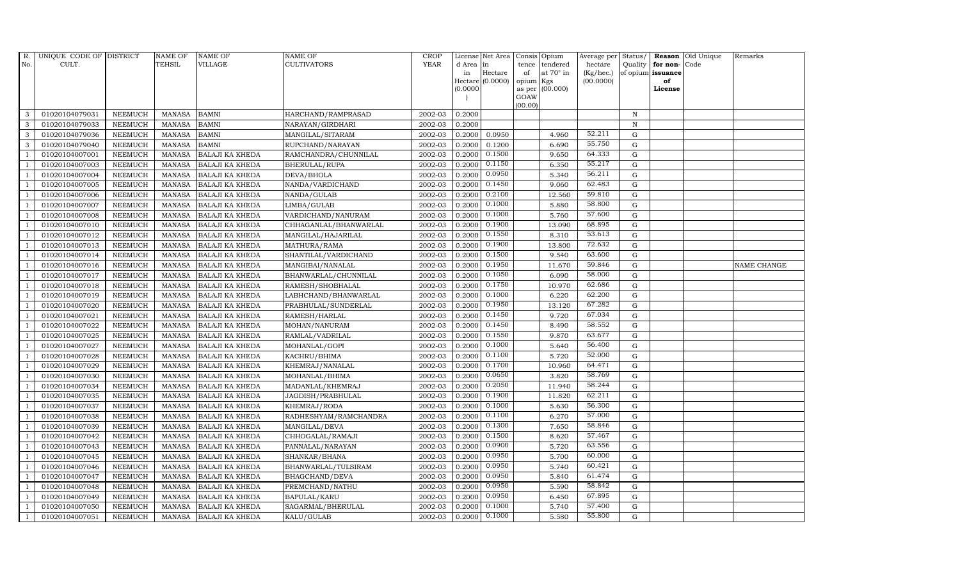| $R_{\cdot}$    | UNIQUE CODE OF DISTRICT |                | <b>NAME OF</b> | <b>NAME OF</b>         | <b>NAME OF</b>        | <b>CROP</b> |           | License Net Area |           | Consis Opium     | Average per | Status/      |                   | <b>Reason</b> Old Unique | Remarks     |
|----------------|-------------------------|----------------|----------------|------------------------|-----------------------|-------------|-----------|------------------|-----------|------------------|-------------|--------------|-------------------|--------------------------|-------------|
| No.            | CULT.                   |                | TEHSIL         | VILLAGE                | CULTIVATORS           | <b>YEAR</b> | d Area in |                  | tence     | tendered         | hectare     | Quality      | for non-Code      |                          |             |
|                |                         |                |                |                        |                       |             | in        | Hectare          | of        | at $70^\circ$ in | (Kg/hec.)   |              | of opium issuance |                          |             |
|                |                         |                |                |                        |                       |             | (0.0000)  | Hectare (0.0000) | opium Kgs | as per (00.000)  | (00.0000)   |              | of<br>License     |                          |             |
|                |                         |                |                |                        |                       |             |           |                  | GOAW      |                  |             |              |                   |                          |             |
|                |                         |                |                |                        |                       |             |           |                  | (00.00)   |                  |             |              |                   |                          |             |
| 3              | 01020104079031          | <b>NEEMUCH</b> | MANASA         | <b>BAMNI</b>           | HARCHAND/RAMPRASAD    | 2002-03     | 0.2000    |                  |           |                  |             | N            |                   |                          |             |
| 3              | 01020104079033          | <b>NEEMUCH</b> | <b>MANASA</b>  | <b>BAMNI</b>           | NARAYAN/GIRDHARI      | 2002-03     | 0.2000    |                  |           |                  |             | $\, {\rm N}$ |                   |                          |             |
| 3              | 01020104079036          | <b>NEEMUCH</b> | <b>MANASA</b>  | <b>BAMNI</b>           | MANGILAL/SITARAM      | 2002-03     | 0.2000    | 0.0950           |           | 4.960            | 52.211      | G            |                   |                          |             |
| 3              | 01020104079040          | <b>NEEMUCH</b> | <b>MANASA</b>  | <b>BAMNI</b>           | RUPCHAND/NARAYAN      | 2002-03     | 0.2000    | 0.1200           |           | 6.690            | 55.750      | $\mathbf G$  |                   |                          |             |
| $\mathbf{1}$   | 01020104007001          | <b>NEEMUCH</b> | <b>MANASA</b>  | <b>BALAJI KA KHEDA</b> | RAMCHANDRA/CHUNNILAL  | 2002-03     | 0.2000    | 0.1500           |           | 9.650            | 64.333      | ${\rm G}$    |                   |                          |             |
| $\overline{1}$ | 01020104007003          | NEEMUCH        | <b>MANASA</b>  | <b>BALAJI KA KHEDA</b> | BHERULAL/RUPA         | 2002-03     | 0.2000    | 0.1150           |           | 6.350            | 55.217      | G            |                   |                          |             |
| $\overline{1}$ | 01020104007004          | <b>NEEMUCH</b> | <b>MANASA</b>  | <b>BALAJI KA KHEDA</b> | DEVA/BHOLA            | 2002-03     | 0.2000    | 0.0950           |           | 5.340            | 56.211      | $\mathbf G$  |                   |                          |             |
| $\overline{1}$ | 01020104007005          | <b>NEEMUCH</b> | <b>MANASA</b>  | <b>BALAJI KA KHEDA</b> | NANDA/VARDICHAND      | 2002-03     | 0.2000    | 0.1450           |           | 9.060            | 62.483      | $\mathbf G$  |                   |                          |             |
|                | 01020104007006          | <b>NEEMUCH</b> | <b>MANASA</b>  | <b>BALAJI KA KHEDA</b> | NANDA/GULAB           | 2002-03     | 0.2000    | 0.2100           |           | 12.560           | 59.810      | G            |                   |                          |             |
| $\overline{1}$ | 01020104007007          | <b>NEEMUCH</b> | <b>MANASA</b>  | <b>BALAJI KA KHEDA</b> | LIMBA/GULAB           | 2002-03     | 0.2000    | 0.1000           |           | 5.880            | 58.800      | G            |                   |                          |             |
| -1             | 01020104007008          | <b>NEEMUCH</b> | <b>MANASA</b>  | <b>BALAJI KA KHEDA</b> | VARDICHAND/NANURAM    | 2002-03     | 0.2000    | 0.1000           |           | 5.760            | 57.600      | ${\rm G}$    |                   |                          |             |
| $\overline{1}$ | 01020104007010          | <b>NEEMUCH</b> | <b>MANASA</b>  | <b>BALAJI KA KHEDA</b> | CHHAGANLAL/BHANWARLAL | 2002-03     | 0.2000    | 0.1900           |           | 13.090           | 68.895      | $\mathbf G$  |                   |                          |             |
| $\overline{1}$ | 01020104007012          | <b>NEEMUCH</b> | <b>MANASA</b>  | <b>BALAJI KA KHEDA</b> | MANGILAL/HAJARILAL    | 2002-03     | 0.2000    | 0.1550           |           | 8.310            | 53.613      | $\mathbf G$  |                   |                          |             |
|                | 01020104007013          | <b>NEEMUCH</b> | <b>MANASA</b>  | <b>BALAJI KA KHEDA</b> | MATHURA/RAMA          | 2002-03     | 0.2000    | 0.1900           |           | 13.800           | 72.632      | G            |                   |                          |             |
| $\overline{1}$ | 01020104007014          | <b>NEEMUCH</b> | <b>MANASA</b>  | <b>BALAJI KA KHEDA</b> | SHANTILAL/VARDICHAND  | 2002-03     | 0.2000    | 0.1500           |           | 9.540            | 63.600      | $\mathbf G$  |                   |                          |             |
| 1              | 01020104007016          | <b>NEEMUCH</b> | <b>MANASA</b>  | <b>BALAJI KA KHEDA</b> | MANGIBAI/NANALAL      | 2002-03     | 0.2000    | 0.1950           |           | 11.670           | 59.846      | G            |                   |                          | NAME CHANGE |
| $\overline{1}$ | 01020104007017          | <b>NEEMUCH</b> | <b>MANASA</b>  | <b>BALAJI KA KHEDA</b> | BHANWARLAL/CHUNNILAL  | 2002-03     | 0.2000    | 0.1050           |           | 6.090            | 58.000      | G            |                   |                          |             |
| $\overline{1}$ | 01020104007018          | <b>NEEMUCH</b> | <b>MANASA</b>  | <b>BALAJI KA KHEDA</b> | RAMESH/SHOBHALAL      | 2002-03     | 0.2000    | 0.1750           |           | 10.970           | 62.686      | $\mathbf G$  |                   |                          |             |
| $\overline{1}$ | 01020104007019          | <b>NEEMUCH</b> | <b>MANASA</b>  | <b>BALAJI KA KHEDA</b> | LABHCHAND/BHANWARLAL  | 2002-03     | 0.2000    | 0.1000           |           | 6.220            | 62.200      | $\mathbf G$  |                   |                          |             |
| $\overline{1}$ | 01020104007020          | <b>NEEMUCH</b> | <b>MANASA</b>  | <b>BALAJI KA KHEDA</b> | PRABHULAL/SUNDERLAL   | 2002-03     | 0.2000    | 0.1950           |           | 13.120           | 67.282      | $\mathbf G$  |                   |                          |             |
| $\overline{1}$ | 01020104007021          | <b>NEEMUCH</b> | <b>MANASA</b>  | <b>BALAJI KA KHEDA</b> | RAMESH/HARLAL         | 2002-03     | 0.2000    | 0.1450           |           | 9.720            | 67.034      | G            |                   |                          |             |
| $\overline{1}$ | 01020104007022          | <b>NEEMUCH</b> | <b>MANASA</b>  | <b>BALAJI KA KHEDA</b> | MOHAN/NANURAM         | 2002-03     | 0.2000    | 0.1450           |           | 8.490            | 58.552      | G            |                   |                          |             |
| $\overline{1}$ | 01020104007025          | <b>NEEMUCH</b> | MANASA         | <b>BALAJI KA KHEDA</b> | RAMLAL/VADRILAL       | 2002-03     | 0.2000    | 0.1550           |           | 9.870            | 63.677      | G            |                   |                          |             |
|                | 01020104007027          | <b>NEEMUCH</b> | <b>MANASA</b>  | <b>BALAJI KA KHEDA</b> | MOHANLAL/GOPI         | 2002-03     | 0.2000    | 0.1000           |           | 5.640            | 56.400      | $\mathbf G$  |                   |                          |             |
| $\overline{1}$ | 01020104007028          | <b>NEEMUCH</b> | <b>MANASA</b>  | <b>BALAJI KA KHEDA</b> | KACHRU/BHIMA          | 2002-03     | 0.2000    | 0.1100           |           | 5.720            | 52.000      | G            |                   |                          |             |
| -1             | 01020104007029          | <b>NEEMUCH</b> | <b>MANASA</b>  | <b>BALAJI KA KHEDA</b> | KHEMRAJ/NANALAL       | 2002-03     | 0.2000    | 0.1700           |           | 10.960           | 64.471      | G            |                   |                          |             |
| $\overline{1}$ | 01020104007030          | <b>NEEMUCH</b> | <b>MANASA</b>  | <b>BALAJI KA KHEDA</b> | MOHANLAL/BHIMA        | 2002-03     | 0.2000    | 0.0650           |           | 3.820            | 58.769      | ${\rm G}$    |                   |                          |             |
| $\overline{1}$ | 01020104007034          | <b>NEEMUCH</b> | <b>MANASA</b>  | <b>BALAJI KA KHEDA</b> | MADANLAL/KHEMRAJ      | 2002-03     | 0.2000    | 0.2050           |           | 11.940           | 58.244      | $\mathbf G$  |                   |                          |             |
| $\overline{1}$ | 01020104007035          | <b>NEEMUCH</b> | <b>MANASA</b>  | <b>BALAJI KA KHEDA</b> | JAGDISH/PRABHULAL     | 2002-03     | 0.2000    | 0.1900           |           | 11.820           | 62.211      | $\mathbf G$  |                   |                          |             |
|                | 01020104007037          | <b>NEEMUCH</b> | <b>MANASA</b>  | <b>BALAJI KA KHEDA</b> | KHEMRAJ/RODA          | 2002-03     | 0.2000    | 0.1000           |           | 5.630            | 56.300      | $\mathbf G$  |                   |                          |             |
| $\overline{1}$ | 01020104007038          | <b>NEEMUCH</b> | <b>MANASA</b>  | <b>BALAJI KA KHEDA</b> | RADHESHYAM/RAMCHANDRA | 2002-03     | 0.2000    | 0.1100           |           | 6.270            | 57.000      | G            |                   |                          |             |
| -1             | 01020104007039          | <b>NEEMUCH</b> | <b>MANASA</b>  | BALAJI KA KHEDA        | MANGILAL/DEVA         | 2002-03     | 0.2000    | 0.1300           |           | 7.650            | 58.846      | ${\rm G}$    |                   |                          |             |
| $\overline{1}$ | 01020104007042          | <b>NEEMUCH</b> | <b>MANASA</b>  | BALAJI KA KHEDA        | CHHOGALAL/RAMAJI      | 2002-03     | 0.2000    | 0.1500           |           | 8.620            | 57.467      | $\mathbf G$  |                   |                          |             |
| $\overline{1}$ | 01020104007043          | <b>NEEMUCH</b> | <b>MANASA</b>  | <b>BALAJI KA KHEDA</b> | PANNALAL/NARAYAN      | 2002-03     | 0.2000    | 0.0900           |           | 5.720            | 63.556      | $\mathbf G$  |                   |                          |             |
|                | 01020104007045          | <b>NEEMUCH</b> | <b>MANASA</b>  | <b>BALAJI KA KHEDA</b> | SHANKAR/BHANA         | 2002-03     | 0.2000    | 0.0950           |           | 5.700            | 60.000      | $\mathbf G$  |                   |                          |             |
| $\overline{1}$ | 01020104007046          | <b>NEEMUCH</b> | <b>MANASA</b>  | <b>BALAJI KA KHEDA</b> | BHANWARLAL/TULSIRAM   | 2002-03     | 0.2000    | 0.0950           |           | 5.740            | 60.421      | G            |                   |                          |             |
| $\overline{1}$ | 01020104007047          | <b>NEEMUCH</b> | <b>MANASA</b>  | BALAJI KA KHEDA        | BHAGCHAND/DEVA        | 2002-03     | 0.2000    | 0.0950           |           | 5.840            | 61.474      | ${\rm G}$    |                   |                          |             |
| $\mathbf{1}$   | 01020104007048          | <b>NEEMUCH</b> | <b>MANASA</b>  | BALAJI KA KHEDA        | PREMCHAND/NATHU       | 2002-03     | 0.2000    | 0.0950           |           | 5.590            | 58.842      | ${\rm G}$    |                   |                          |             |
| $\overline{1}$ | 01020104007049          | <b>NEEMUCH</b> | <b>MANASA</b>  | <b>BALAJI KA KHEDA</b> | BAPULAL/KARU          | 2002-03     | 0.2000    | 0.0950           |           | 6.450            | 67.895      | $\mathbf G$  |                   |                          |             |
|                | 01020104007050          | <b>NEEMUCH</b> | <b>MANASA</b>  | <b>BALAJI KA KHEDA</b> | SAGARMAL/BHERULAL     | 2002-03     | 0.2000    | 0.1000           |           | 5.740            | 57.400      | $\mathbf G$  |                   |                          |             |
| $\mathbf{1}$   | 01020104007051          | <b>NEEMUCH</b> | MANASA         | <b>BALAJI KA KHEDA</b> | KALU/GULAB            | 2002-03     | 0.2000    | 0.1000           |           | 5.580            | 55.800      | G            |                   |                          |             |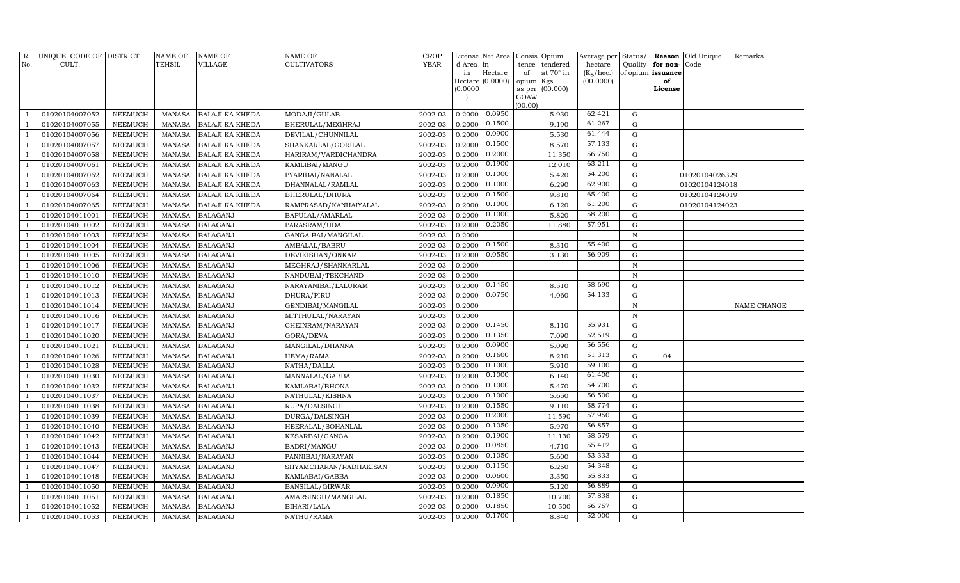| R.             | UNIQUE CODE OF DISTRICT |                | <b>NAME OF</b> | <b>NAME OF</b>         | <b>NAME OF</b>         | <b>CROP</b> |           | License Net Area | Consis          | Opium            | Average per     | Status/      |                   | Reason Old Unique | Remarks     |
|----------------|-------------------------|----------------|----------------|------------------------|------------------------|-------------|-----------|------------------|-----------------|------------------|-----------------|--------------|-------------------|-------------------|-------------|
| No.            | CULT.                   |                | TEHSIL         | VILLAGE                | CULTIVATORS            | <b>YEAR</b> | d Area in |                  | tence           | tendered         | hectare         | Quality      | for non-Code      |                   |             |
|                |                         |                |                |                        |                        |             | in        | Hectare          | of              | at $70^\circ$ in | $(Kg/$ hec. $)$ |              | of opium issuance |                   |             |
|                |                         |                |                |                        |                        |             | (0.0000)  | Hectare (0.0000) | opium<br>as per | Kgs<br>(00.000)  | (00.0000)       |              | of<br>License     |                   |             |
|                |                         |                |                |                        |                        |             |           |                  | GOAW            |                  |                 |              |                   |                   |             |
|                |                         |                |                |                        |                        |             |           |                  | (00.00)         |                  |                 |              |                   |                   |             |
|                | 01020104007052          | <b>NEEMUCH</b> | <b>MANASA</b>  | <b>BALAJI KA KHEDA</b> | MODAJI/GULAB           | 2002-03     | 0.2000    | 0.0950           |                 | 5.930            | 62.421          | G            |                   |                   |             |
|                | 01020104007055          | <b>NEEMUCH</b> | <b>MANASA</b>  | <b>BALAJI KA KHEDA</b> | BHERULAL/MEGHRAJ       | 2002-03     | 0.2000    | 0.1500           |                 | 9.190            | 61.267          | $\mathbf G$  |                   |                   |             |
| $\overline{1}$ | 01020104007056          | <b>NEEMUCH</b> | <b>MANASA</b>  | <b>BALAJI KA KHEDA</b> | DEVILAL/CHUNNILAL      | 2002-03     | 0.2000    | 0.0900           |                 | 5.530            | 61.444          | $\mathbf G$  |                   |                   |             |
|                | 01020104007057          | <b>NEEMUCH</b> | <b>MANASA</b>  | <b>BALAJI KA KHEDA</b> | SHANKARLAL/GORILAL     | 2002-03     | 0.2000    | 0.1500           |                 | 8.570            | 57.133          | $\mathbf G$  |                   |                   |             |
|                | 01020104007058          | <b>NEEMUCH</b> | <b>MANASA</b>  | <b>BALAJI KA KHEDA</b> | HARIRAM/VARDICHANDRA   | 2002-03     | 0.2000    | 0.2000           |                 | 11.350           | 56.750          | $\mathbf G$  |                   |                   |             |
| $\overline{1}$ | 01020104007061          | <b>NEEMUCH</b> | <b>MANASA</b>  | <b>BALAJI KA KHEDA</b> | KAMLIBAI/MANGU         | 2002-03     | 0.2000    | 0.1900           |                 | 12.010           | 63.211          | ${\rm G}$    |                   |                   |             |
| $\overline{1}$ | 01020104007062          | <b>NEEMUCH</b> | <b>MANASA</b>  | <b>BALAJI KA KHEDA</b> | PYARIBAI/NANALAL       | 2002-03     | 0.2000    | 0.1000           |                 | 5.420            | 54.200          | G            |                   | 01020104026329    |             |
| $\overline{1}$ | 01020104007063          | <b>NEEMUCH</b> | <b>MANASA</b>  | <b>BALAJI KA KHEDA</b> | DHANNALAL/RAMLAL       | 2002-03     | 0.2000    | 0.1000           |                 | 6.290            | 62.900          | $\mathbf G$  |                   | 01020104124018    |             |
|                | 01020104007064          | <b>NEEMUCH</b> | <b>MANASA</b>  | <b>BALAJI KA KHEDA</b> | BHERULAL/DHURA         | 2002-03     | 0.2000    | 0.1500           |                 | 9.810            | 65.400          | $\mathbf G$  |                   | 01020104124019    |             |
| $\overline{1}$ | 01020104007065          | <b>NEEMUCH</b> | <b>MANASA</b>  | BALAJI KA KHEDA        | RAMPRASAD/KANHAIYALAL  | 2002-03     | 0.2000    | 0.1000           |                 | 6.120            | 61.200          | $\mathbf G$  |                   | 01020104124023    |             |
| $\overline{1}$ | 01020104011001          | <b>NEEMUCH</b> | <b>MANASA</b>  | <b>BALAGANJ</b>        | BAPULAL/AMARLAL        | 2002-03     | 0.2000    | 0.1000           |                 | 5.820            | 58.200          | ${\rm G}$    |                   |                   |             |
| $\overline{1}$ | 01020104011002          | <b>NEEMUCH</b> | <b>MANASA</b>  | <b>BALAGANJ</b>        | PARASRAM/UDA           | 2002-03     | 0.2000    | 0.2050           |                 | 11.880           | 57.951          | ${\rm G}$    |                   |                   |             |
| $\overline{1}$ | 01020104011003          | <b>NEEMUCH</b> | <b>MANASA</b>  | <b>BALAGANJ</b>        | GANGA BAI/MANGILAL     | 2002-03     | 0.2000    |                  |                 |                  |                 | $\mathbb N$  |                   |                   |             |
|                | 01020104011004          | <b>NEEMUCH</b> | <b>MANASA</b>  | <b>BALAGANJ</b>        | AMBALAL/BABRU          | 2002-03     | 0.2000    | 0.1500           |                 | 8.310            | 55.400          | $\mathbf G$  |                   |                   |             |
|                | 01020104011005          | <b>NEEMUCH</b> | <b>MANASA</b>  | <b>BALAGANJ</b>        | DEVIKISHAN/ONKAR       | 2002-03     | 0.2000    | 0.0550           |                 | 3.130            | 56.909          | $\mathbf G$  |                   |                   |             |
| -1             | 01020104011006          | <b>NEEMUCH</b> | <b>MANASA</b>  | <b>BALAGANJ</b>        | MEGHRAJ/SHANKARLAL     | 2002-03     | 0.2000    |                  |                 |                  |                 | $\, {\rm N}$ |                   |                   |             |
| -1             | 01020104011010          | <b>NEEMUCH</b> | <b>MANASA</b>  | <b>BALAGANJ</b>        | NANDUBAI/TEKCHAND      | 2002-03     | 0.2000    |                  |                 |                  |                 | $\, {\rm N}$ |                   |                   |             |
| $\overline{1}$ | 01020104011012          | <b>NEEMUCH</b> | <b>MANASA</b>  | <b>BALAGANJ</b>        | NARAYANIBAI/LALURAM    | 2002-03     | 0.2000    | 0.1450           |                 | 8.510            | 58.690          | G            |                   |                   |             |
|                | 01020104011013          | <b>NEEMUCH</b> | <b>MANASA</b>  | <b>BALAGANJ</b>        | DHURA/PIRU             | 2002-03     | 0.2000    | 0.0750           |                 | 4.060            | 54.133          | $\mathbf G$  |                   |                   |             |
|                | 01020104011014          | <b>NEEMUCH</b> | <b>MANASA</b>  | <b>BALAGANJ</b>        | GENDIBAI/MANGILAL      | 2002-03     | 0.2000    |                  |                 |                  |                 | $\, {\rm N}$ |                   |                   | NAME CHANGE |
| $\overline{1}$ | 01020104011016          | <b>NEEMUCH</b> | <b>MANASA</b>  | <b>BALAGANJ</b>        | MITTHULAL/NARAYAN      | 2002-03     | 0.2000    |                  |                 |                  |                 | ${\bf N}$    |                   |                   |             |
| -1             | 01020104011017          | <b>NEEMUCH</b> | <b>MANASA</b>  | <b>BALAGANJ</b>        | CHEINRAM/NARAYAN       | 2002-03     | 0.2000    | 0.1450           |                 | 8.110            | 55.931          | G            |                   |                   |             |
| $\overline{1}$ | 01020104011020          | <b>NEEMUCH</b> | <b>MANASA</b>  | <b>BALAGANJ</b>        | GORA/DEVA              | 2002-03     | 0.2000    | 0.1350           |                 | 7.090            | 52.519          | ${\rm G}$    |                   |                   |             |
|                | 01020104011021          | <b>NEEMUCH</b> | <b>MANASA</b>  | <b>BALAGANJ</b>        | MANGILAL/DHANNA        | 2002-03     | 0.2000    | 0.0900           |                 | 5.090            | 56.556          | $\mathbf G$  |                   |                   |             |
|                | 01020104011026          | <b>NEEMUCH</b> | <b>MANASA</b>  | <b>BALAGANJ</b>        | HEMA/RAMA              | 2002-03     | 0.2000    | 0.1600           |                 | 8.210            | 51.313          | $\mathbf G$  | 04                |                   |             |
| -1             | 01020104011028          | <b>NEEMUCH</b> | <b>MANASA</b>  | <b>BALAGANJ</b>        | NATHA/DALLA            | 2002-03     | 0.2000    | 0.1000           |                 | 5.910            | 59.100          | G            |                   |                   |             |
|                | 01020104011030          | <b>NEEMUCH</b> | <b>MANASA</b>  | <b>BALAGANJ</b>        | MANNALAL/GABBA         | 2002-03     | 0.2000    | 0.1000           |                 | 6.140            | 61.400          | ${\rm G}$    |                   |                   |             |
| $\overline{1}$ | 01020104011032          | <b>NEEMUCH</b> | <b>MANASA</b>  | <b>BALAGANJ</b>        | KAMLABAI/BHONA         | 2002-03     | 0.2000    | 0.1000           |                 | 5.470            | 54.700          | G            |                   |                   |             |
| $\overline{1}$ | 01020104011037          | <b>NEEMUCH</b> | <b>MANASA</b>  | <b>BALAGANJ</b>        | NATHULAL/KISHNA        | 2002-03     | 0.2000    | 0.1000           |                 | 5.650            | 56.500          | $\mathbf G$  |                   |                   |             |
|                | 01020104011038          | <b>NEEMUCH</b> | <b>MANASA</b>  | <b>BALAGANJ</b>        | RUPA/DALSINGH          | 2002-03     | 0.2000    | 0.1550           |                 | 9.110            | 58.774          | $\mathbf G$  |                   |                   |             |
| $\overline{1}$ | 01020104011039          | <b>NEEMUCH</b> | <b>MANASA</b>  | <b>BALAGANJ</b>        | DURGA/DALSINGH         | 2002-03     | 0.2000    | 0.2000           |                 | 11.590           | 57.950          | ${\rm G}$    |                   |                   |             |
|                | 01020104011040          | <b>NEEMUCH</b> | <b>MANASA</b>  | <b>BALAGANJ</b>        | HEERALAL/SOHANLAL      | 2002-03     | 0.2000    | 0.1050           |                 | 5.970            | 56.857          | ${\rm G}$    |                   |                   |             |
| $\overline{1}$ | 01020104011042          | <b>NEEMUCH</b> | <b>MANASA</b>  | <b>BALAGANJ</b>        | KESARBAI/GANGA         | 2002-03     | 0.2000    | 0.1900           |                 | 11.130           | 58.579          | ${\rm G}$    |                   |                   |             |
| $\overline{1}$ | 01020104011043          | <b>NEEMUCH</b> | <b>MANASA</b>  | <b>BALAGANJ</b>        | <b>BADRI/MANGU</b>     | 2002-03     | 0.2000    | 0.0850           |                 | 4.710            | 55.412          | $\mathbf G$  |                   |                   |             |
|                | 01020104011044          | <b>NEEMUCH</b> | <b>MANASA</b>  | <b>BALAGANJ</b>        | PANNIBAI/NARAYAN       | 2002-03     | 0.2000    | 0.1050           |                 | 5.600            | 53.333          | $\mathbf G$  |                   |                   |             |
| $\overline{1}$ | 01020104011047          | <b>NEEMUCH</b> | <b>MANASA</b>  | <b>BALAGANJ</b>        | SHYAMCHARAN/RADHAKISAN | 2002-03     | 0.2000    | 0.1150           |                 | 6.250            | 54.348          | G            |                   |                   |             |
| $\overline{1}$ | 01020104011048          | <b>NEEMUCH</b> | <b>MANASA</b>  | <b>BALAGANJ</b>        | KAMLABAI/GABBA         | 2002-03     | 0.2000    | 0.0600           |                 | 3.350            | 55.833          | G            |                   |                   |             |
| $\overline{1}$ | 01020104011050          | <b>NEEMUCH</b> | <b>MANASA</b>  | <b>BALAGANJ</b>        | BANSILAL/GIRWAR        | 2002-03     | 0.2000    | 0.0900           |                 | 5.120            | 56.889          | ${\rm G}$    |                   |                   |             |
| $\overline{1}$ | 01020104011051          | <b>NEEMUCH</b> | <b>MANASA</b>  | <b>BALAGANJ</b>        | AMARSINGH/MANGILAL     | 2002-03     | 0.2000    | 0.1850           |                 | 10.700           | 57.838          | $\mathbf G$  |                   |                   |             |
|                | 01020104011052          | <b>NEEMUCH</b> | <b>MANASA</b>  | <b>BALAGANJ</b>        | BIHARI/LALA            | 2002-03     | 0.2000    | 0.1850           |                 | 10.500           | 56.757          | G            |                   |                   |             |
| $\mathbf{1}$   | 01020104011053          | <b>NEEMUCH</b> | MANASA         | <b>BALAGANJ</b>        | NATHU/RAMA             | 2002-03     | 0.2000    | 0.1700           |                 | 8.840            | 52.000          | G            |                   |                   |             |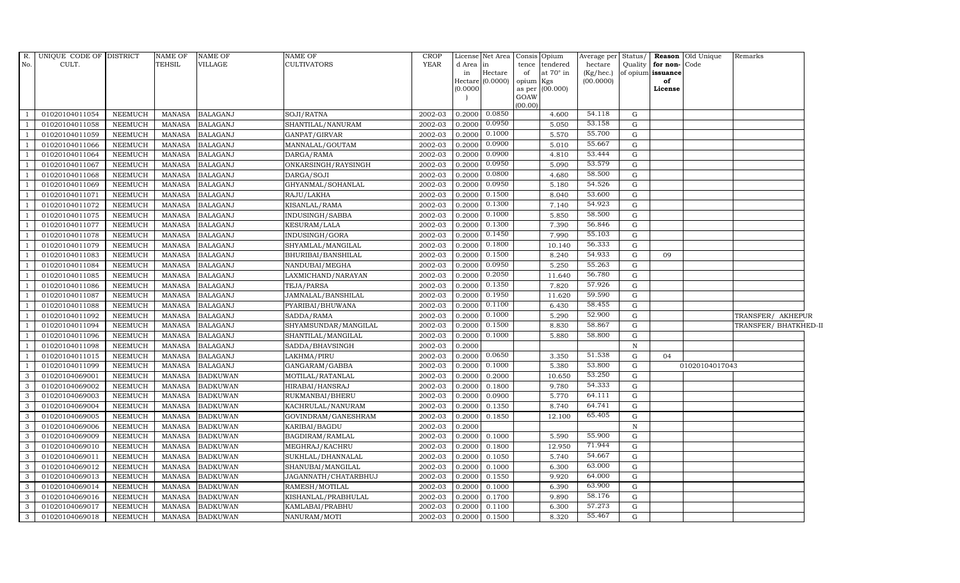| R.<br>No.      | UNIQUE CODE OF DISTRICT<br>CULT. |                | NAME OF<br><b>TEHSIL</b> | NAME OF<br>VILLAGE | NAME OF<br><b>CULTIVATORS</b> | <b>CROP</b><br><b>YEAR</b> | d Area in<br>in<br>(0.0000) | License Net Area Consis Opium<br>Hectare<br>Hectare (0.0000) | tence<br>of<br>opium<br>as per<br>GOAW<br>(00.00) | tendered<br>at $70^\circ$ in<br>Kgs<br>(00.000) | Average per Status/<br>hectare<br>(Kg/hec.)<br>(00.0000) |              | Quality for non-Code<br>of opium issuance<br>of<br>License | Reason Old Unique | Remarks               |
|----------------|----------------------------------|----------------|--------------------------|--------------------|-------------------------------|----------------------------|-----------------------------|--------------------------------------------------------------|---------------------------------------------------|-------------------------------------------------|----------------------------------------------------------|--------------|------------------------------------------------------------|-------------------|-----------------------|
| $\overline{1}$ | 01020104011054                   | <b>NEEMUCH</b> | MANASA                   | <b>BALAGANJ</b>    | SOJI/RATNA                    | 2002-03                    | 0.2000                      | 0.0850                                                       |                                                   | 4.600                                           | 54.118                                                   | G            |                                                            |                   |                       |
| $\overline{1}$ | 01020104011058                   | <b>NEEMUCH</b> | <b>MANASA</b>            | <b>BALAGANJ</b>    | SHANTILAL/NANURAM             | 2002-03                    | 0.2000                      | 0.0950                                                       |                                                   | 5.050                                           | 53.158                                                   | G            |                                                            |                   |                       |
| $\overline{1}$ | 01020104011059                   | <b>NEEMUCH</b> | <b>MANASA</b>            | <b>BALAGANJ</b>    | GANPAT/GIRVAR                 | 2002-03                    | 0.2000                      | 0.1000                                                       |                                                   | 5.570                                           | 55.700                                                   | G            |                                                            |                   |                       |
| $\overline{1}$ | 01020104011066                   | <b>NEEMUCH</b> | <b>MANASA</b>            | <b>BALAGANJ</b>    | MANNALAL/GOUTAM               | 2002-03                    | 0.2000                      | 0.0900                                                       |                                                   | 5.010                                           | 55.667                                                   | G            |                                                            |                   |                       |
| $\mathbf{1}$   | 01020104011064                   | <b>NEEMUCH</b> | <b>MANASA</b>            | <b>BALAGANJ</b>    | DARGA/RAMA                    | 2002-03                    | 0.2000                      | 0.0900                                                       |                                                   | 4.810                                           | 53.444                                                   | $\mathbf G$  |                                                            |                   |                       |
| <sup>1</sup>   | 01020104011067                   | <b>NEEMUCH</b> | <b>MANASA</b>            | <b>BALAGANJ</b>    | ONKARSINGH/RAYSINGH           | 2002-03                    | 0.2000                      | 0.0950                                                       |                                                   | 5.090                                           | 53.579                                                   | G            |                                                            |                   |                       |
| $\overline{1}$ | 01020104011068                   | <b>NEEMUCH</b> | <b>MANASA</b>            | <b>BALAGANJ</b>    | DARGA/SOJI                    | 2002-03                    | 0.2000                      | 0.0800                                                       |                                                   | 4.680                                           | 58.500                                                   | G            |                                                            |                   |                       |
| $\overline{1}$ | 01020104011069                   | <b>NEEMUCH</b> | <b>MANASA</b>            | <b>BALAGANJ</b>    | GHYANMAL/SOHANLAL             | 2002-03                    | 0.2000                      | 0.0950                                                       |                                                   | 5.180                                           | 54.526                                                   | G            |                                                            |                   |                       |
| $\overline{1}$ | 01020104011071                   | <b>NEEMUCH</b> | <b>MANASA</b>            | <b>BALAGANJ</b>    | RAJU/LAKHA                    | 2002-03                    | 0.2000                      | 0.1500                                                       |                                                   | 8.040                                           | 53.600                                                   | G            |                                                            |                   |                       |
| $\mathbf{1}$   | 01020104011072                   | <b>NEEMUCH</b> | <b>MANASA</b>            | <b>BALAGANJ</b>    | KISANLAL/RAMA                 | 2002-03                    | 0.2000                      | 0.1300                                                       |                                                   | 7.140                                           | 54.923                                                   | $\mathbf G$  |                                                            |                   |                       |
| $\overline{1}$ | 01020104011075                   | <b>NEEMUCH</b> | <b>MANASA</b>            | <b>BALAGANJ</b>    | INDUSINGH/SABBA               | 2002-03                    | 0.2000                      | 0.1000                                                       |                                                   | 5.850                                           | 58.500                                                   | G            |                                                            |                   |                       |
| $\overline{1}$ | 01020104011077                   | <b>NEEMUCH</b> | <b>MANASA</b>            | <b>BALAGANJ</b>    | <b>KESURAM/LALA</b>           | 2002-03                    | 0.2000                      | 0.1300                                                       |                                                   | 7.390                                           | 56.846                                                   | G            |                                                            |                   |                       |
| $\overline{1}$ | 01020104011078                   | <b>NEEMUCH</b> | <b>MANASA</b>            | <b>BALAGANJ</b>    | INDUSINGH/GORA                | 2002-03                    | 0.2000                      | 0.1450                                                       |                                                   | 7.990                                           | 55.103                                                   | G            |                                                            |                   |                       |
| $\overline{1}$ | 01020104011079                   | <b>NEEMUCH</b> | <b>MANASA</b>            | <b>BALAGANJ</b>    | SHYAMLAL/MANGILAL             | 2002-03                    | 0.2000                      | 0.1800                                                       |                                                   | 10.140                                          | 56.333                                                   | G            |                                                            |                   |                       |
| <sup>1</sup>   | 01020104011083                   | <b>NEEMUCH</b> | <b>MANASA</b>            | <b>BALAGANJ</b>    | BHURIBAI/BANSHILAL            | 2002-03                    | 0.2000                      | 0.1500                                                       |                                                   | 8.240                                           | 54.933                                                   | G            | 09                                                         |                   |                       |
| <sup>1</sup>   | 01020104011084                   | <b>NEEMUCH</b> | <b>MANASA</b>            | <b>BALAGANJ</b>    | NANDUBAI/MEGHA                | 2002-03                    | 0.2000                      | 0.0950                                                       |                                                   | 5.250                                           | 55.263                                                   | G            |                                                            |                   |                       |
| <sup>1</sup>   | 01020104011085                   | <b>NEEMUCH</b> | <b>MANASA</b>            | <b>BALAGANJ</b>    | LAXMICHAND/NARAYAN            | 2002-03                    | 0.2000                      | 0.2050                                                       |                                                   | 11.640                                          | 56.780                                                   | G            |                                                            |                   |                       |
| $\overline{1}$ | 01020104011086                   | <b>NEEMUCH</b> | <b>MANASA</b>            | <b>BALAGANJ</b>    | TEJA/PARSA                    | 2002-03                    | 0.2000                      | 0.1350                                                       |                                                   | 7.820                                           | 57.926                                                   | G            |                                                            |                   |                       |
| $\overline{1}$ | 01020104011087                   | <b>NEEMUCH</b> | <b>MANASA</b>            | <b>BALAGANJ</b>    | JAMNALAL/BANSHILAL            | 2002-03                    | 0.2000                      | 0.1950                                                       |                                                   | 11.620                                          | 59.590                                                   | $\mathbf G$  |                                                            |                   |                       |
| $\overline{1}$ | 01020104011088                   | <b>NEEMUCH</b> | <b>MANASA</b>            | <b>BALAGANJ</b>    | PYARIBAI/BHUWANA              | 2002-03                    | 0.2000                      | 0.1100                                                       |                                                   | 6.430                                           | 58.455                                                   | $\mathbf G$  |                                                            |                   |                       |
| $\mathbf{1}$   | 01020104011092                   | <b>NEEMUCH</b> | <b>MANASA</b>            | <b>BALAGANJ</b>    | SADDA/RAMA                    | 2002-03                    | 0.2000                      | 0.1000                                                       |                                                   | 5.290                                           | 52.900                                                   | G            |                                                            |                   | TRANSFER/ AKHEPUR     |
| $\mathbf{1}$   | 01020104011094                   | <b>NEEMUCH</b> | <b>MANASA</b>            | <b>BALAGANJ</b>    | SHYAMSUNDAR/MANGILAL          | 2002-03                    | 0.2000                      | 0.1500                                                       |                                                   | 8.830                                           | 58.867                                                   | G            |                                                            |                   | TRANSFER/ BHATKHED-II |
| $\overline{1}$ | 01020104011096                   | <b>NEEMUCH</b> | <b>MANASA</b>            | <b>BALAGANJ</b>    | SHANTILAL/MANGILAL            | 2002-03                    | 0.2000                      | 0.1000                                                       |                                                   | 5.880                                           | 58.800                                                   | G            |                                                            |                   |                       |
| $\overline{1}$ | 01020104011098                   | <b>NEEMUCH</b> | <b>MANASA</b>            | <b>BALAGANJ</b>    | SADDA/BHAVSINGH               | 2002-03                    | 0.2000                      |                                                              |                                                   |                                                 |                                                          | $\mathbf N$  |                                                            |                   |                       |
| $\overline{1}$ | 01020104011015                   | <b>NEEMUCH</b> | <b>MANASA</b>            | <b>BALAGANJ</b>    | LAKHMA/PIRU                   | 2002-03                    | 0.2000                      | 0.0650                                                       |                                                   | 3.350                                           | 51.538                                                   | G            | 04                                                         |                   |                       |
| <sup>1</sup>   | 01020104011099                   | <b>NEEMUCH</b> | <b>MANASA</b>            | <b>BALAGANJ</b>    | GANGARAM/GABBA                | 2002-03                    | 0.2000                      | 0.1000                                                       |                                                   | 5.380                                           | 53.800                                                   | G            |                                                            | 01020104017043    |                       |
| 3              | 01020104069001                   | <b>NEEMUCH</b> | <b>MANASA</b>            | <b>BADKUWAN</b>    | MOTILAL/RATANLAL              | 2002-03                    | 0.2000                      | 0.2000                                                       |                                                   | 10.650                                          | 53.250                                                   | G            |                                                            |                   |                       |
| $\mathbf{3}$   | 01020104069002                   | <b>NEEMUCH</b> | <b>MANASA</b>            | <b>BADKUWAN</b>    | HIRABAI/HANSRAJ               | 2002-03                    | 0.2000                      | 0.1800                                                       |                                                   | 9.780                                           | 54.333                                                   | G            |                                                            |                   |                       |
| 3              | 01020104069003                   | <b>NEEMUCH</b> | <b>MANASA</b>            | <b>BADKUWAN</b>    | RUKMANBAI/BHERU               | 2002-03                    | 0.2000                      | 0.0900                                                       |                                                   | 5.770                                           | 64.111                                                   | G            |                                                            |                   |                       |
| 3              | 01020104069004                   | <b>NEEMUCH</b> | <b>MANASA</b>            | <b>BADKUWAN</b>    | KACHRULAL/NANURAM             | 2002-03                    | 0.2000                      | 0.1350                                                       |                                                   | 8.740                                           | 64.741                                                   | $\mathbf G$  |                                                            |                   |                       |
| 3              | 01020104069005                   | <b>NEEMUCH</b> | <b>MANASA</b>            | <b>BADKUWAN</b>    | GOVINDRAM/GANESHRAM           | 2002-03                    | 0.2000                      | 0.1850                                                       |                                                   | 12.100                                          | 65.405                                                   | G            |                                                            |                   |                       |
| 3              | 01020104069006                   | <b>NEEMUCH</b> | <b>MANASA</b>            | <b>BADKUWAN</b>    | KARIBAI/BAGDU                 | 2002-03                    | 0.2000                      |                                                              |                                                   |                                                 |                                                          | $\, {\rm N}$ |                                                            |                   |                       |
| $\mathbf{3}$   | 01020104069009                   | <b>NEEMUCH</b> | <b>MANASA</b>            | <b>BADKUWAN</b>    | BAGDIRAM/RAMLAL               | 2002-03                    | 0.2000                      | 0.1000                                                       |                                                   | 5.590                                           | 55.900                                                   | G            |                                                            |                   |                       |
| 3              | 01020104069010                   | <b>NEEMUCH</b> | <b>MANASA</b>            | <b>BADKUWAN</b>    | MEGHRAJ/KACHRU                | 2002-03                    | 0.2000                      | 0.1800                                                       |                                                   | 12.950                                          | 71.944                                                   | G            |                                                            |                   |                       |
| 3              | 01020104069011                   | <b>NEEMUCH</b> | <b>MANASA</b>            | <b>BADKUWAN</b>    | SUKHLAL/DHANNALAL             | 2002-03                    | 0.2000                      | 0.1050                                                       |                                                   | 5.740                                           | 54.667                                                   | G            |                                                            |                   |                       |
| $\mathbf{3}$   | 01020104069012                   | <b>NEEMUCH</b> | <b>MANASA</b>            | <b>BADKUWAN</b>    | SHANUBAI/MANGILAL             | 2002-03                    | 0.2000                      | 0.1000                                                       |                                                   | 6.300                                           | 63.000                                                   | G            |                                                            |                   |                       |
| 3              | 01020104069013                   | <b>NEEMUCH</b> | <b>MANASA</b>            | <b>BADKUWAN</b>    | JAGANNATH/CHATARBHUJ          | 2002-03                    | 0.2000                      | 0.1550                                                       |                                                   | 9.920                                           | 64.000                                                   | G            |                                                            |                   |                       |
| $\mathbf{3}$   | 01020104069014                   | <b>NEEMUCH</b> | <b>MANASA</b>            | <b>BADKUWAN</b>    | RAMESH/MOTILAL                | 2002-03                    | 0.2000                      | 0.1000                                                       |                                                   | 6.390                                           | 63.900                                                   | G            |                                                            |                   |                       |
| 3              | 01020104069016                   | <b>NEEMUCH</b> | <b>MANASA</b>            | <b>BADKUWAN</b>    | KISHANLAL/PRABHULAL           | 2002-03                    | 0.2000                      | 0.1700                                                       |                                                   | 9.890                                           | 58.176                                                   | G            |                                                            |                   |                       |
| 3              | 01020104069017                   | <b>NEEMUCH</b> | <b>MANASA</b>            | <b>BADKUWAN</b>    | KAMLABAI/PRABHU               | 2002-03                    | 0.2000                      | 0.1100                                                       |                                                   | 6.300                                           | 57.273                                                   | $\mathbf G$  |                                                            |                   |                       |
| $\mathbf{3}$   | 01020104069018                   | <b>NEEMUCH</b> | MANASA                   | <b>BADKUWAN</b>    | NANURAM/MOTI                  | 2002-03                    | 0.2000                      | 0.1500                                                       |                                                   | 8.320                                           | 55.467                                                   | G            |                                                            |                   |                       |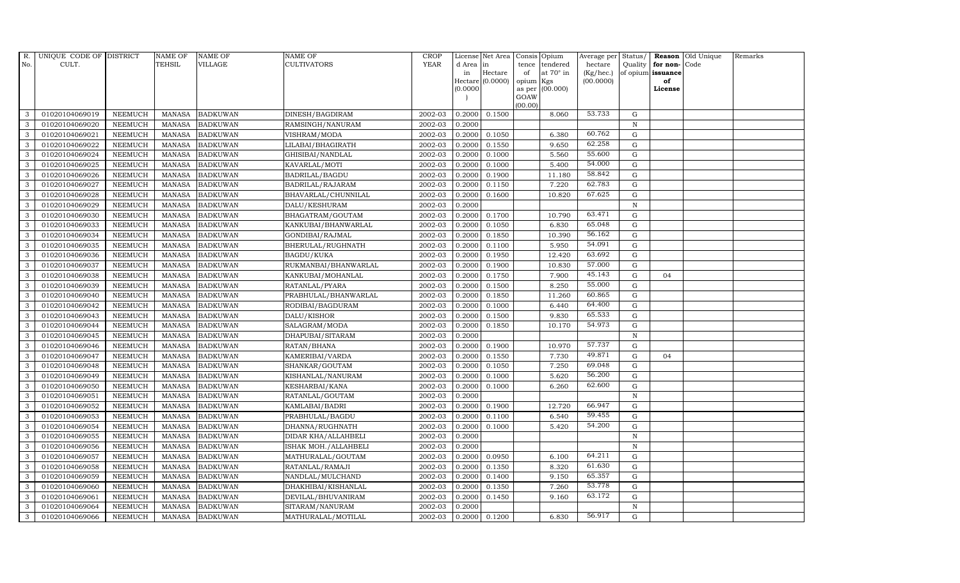| R.            | UNIQUE CODE OF DISTRICT |                | <b>NAME OF</b> | <b>NAME OF</b>  | NAME OF              | <b>CROP</b> |           | License Net Area   |                | Consis Opium     | Average per Status/ |             |                   | Reason Old Unique | Remarks |
|---------------|-------------------------|----------------|----------------|-----------------|----------------------|-------------|-----------|--------------------|----------------|------------------|---------------------|-------------|-------------------|-------------------|---------|
| No.           | CULT.                   |                | <b>TEHSIL</b>  | <b>VILLAGE</b>  | <b>CULTIVATORS</b>   | <b>YEAR</b> | d Area in |                    | tence          | tendered         | hectare             |             | Quality for non-  | Code              |         |
|               |                         |                |                |                 |                      |             | in        | Hectare            | of             | at $70^\circ$ in | (Kg/hec.)           |             | of opium issuance |                   |         |
|               |                         |                |                |                 |                      |             | (0.0000)  | Hectare $(0.0000)$ | opium          | Kgs<br>(00.000)  | (00.0000)           |             | of<br>License     |                   |         |
|               |                         |                |                |                 |                      |             |           |                    | as per<br>GOAW |                  |                     |             |                   |                   |         |
|               |                         |                |                |                 |                      |             |           |                    | (00.00)        |                  |                     |             |                   |                   |         |
| 3             | 01020104069019          | <b>NEEMUCH</b> | MANASA         | <b>BADKUWAN</b> | DINESH/BAGDIRAM      | 2002-03     | 0.2000    | 0.1500             |                | 8.060            | 53.733              | G           |                   |                   |         |
| 3             | 01020104069020          | <b>NEEMUCH</b> | <b>MANASA</b>  | <b>BADKUWAN</b> | RAMSINGH/NANURAM     | 2002-03     | 0.2000    |                    |                |                  |                     | $\mathbf N$ |                   |                   |         |
| 3             | 01020104069021          | <b>NEEMUCH</b> | <b>MANASA</b>  | <b>BADKUWAN</b> | VISHRAM/MODA         | 2002-03     | 0.2000    | 0.1050             |                | 6.380            | 60.762              | G           |                   |                   |         |
| 3             | 01020104069022          | <b>NEEMUCH</b> | <b>MANASA</b>  | <b>BADKUWAN</b> | LILABAI/BHAGIRATH    | 2002-03     | 0.2000    | 0.1550             |                | 9.650            | 62.258              | G           |                   |                   |         |
| 3             | 01020104069024          | <b>NEEMUCH</b> | <b>MANASA</b>  | <b>BADKUWAN</b> | GHISIBAI/NANDLAL     | 2002-03     | 0.2000    | 0.1000             |                | 5.560            | 55.600              | G           |                   |                   |         |
| 3             | 01020104069025          | <b>NEEMUCH</b> | <b>MANASA</b>  | <b>BADKUWAN</b> | KAVARLAL/MOTI        | 2002-03     | 0.2000    | 0.1000             |                | 5.400            | 54.000              | G           |                   |                   |         |
| 3             | 01020104069026          | <b>NEEMUCH</b> | <b>MANASA</b>  | <b>BADKUWAN</b> | BADRILAL/BAGDU       | 2002-03     | 0.2000    | 0.1900             |                | 11.180           | 58.842              | G           |                   |                   |         |
| 3             | 01020104069027          | <b>NEEMUCH</b> | <b>MANASA</b>  | <b>BADKUWAN</b> | BADRILAL/RAJARAM     | 2002-03     | 0.2000    | 0.1150             |                | 7.220            | 62.783              | $\mathbf G$ |                   |                   |         |
| 3             | 01020104069028          | <b>NEEMUCH</b> | <b>MANASA</b>  | <b>BADKUWAN</b> | BHAVARLAL/CHUNNILAL  | 2002-03     | 0.2000    | 0.1600             |                | 10.820           | 67.625              | G           |                   |                   |         |
| 3             | 01020104069029          | <b>NEEMUCH</b> | <b>MANASA</b>  | <b>BADKUWAN</b> | DALU/KESHURAM        | 2002-03     | 0.2000    |                    |                |                  |                     | $\mathbf N$ |                   |                   |         |
| 3             | 01020104069030          | <b>NEEMUCH</b> | <b>MANASA</b>  | <b>BADKUWAN</b> | BHAGATRAM/GOUTAM     | 2002-03     | 0.2000    | 0.1700             |                | 10.790           | 63.471              | G           |                   |                   |         |
| 3             | 01020104069033          | <b>NEEMUCH</b> | <b>MANASA</b>  | <b>BADKUWAN</b> | KANKUBAI/BHANWARLAL  | 2002-03     | 0.2000    | 0.1050             |                | 6.830            | 65.048              | G           |                   |                   |         |
| 3             | 01020104069034          | <b>NEEMUCH</b> | <b>MANASA</b>  | <b>BADKUWAN</b> | GONDIBAI/RAJMAL      | 2002-03     | 0.2000    | 0.1850             |                | 10.390           | 56.162              | $\mathbf G$ |                   |                   |         |
| 3             | 01020104069035          | <b>NEEMUCH</b> | <b>MANASA</b>  | <b>BADKUWAN</b> | BHERULAL/RUGHNATH    | 2002-03     | 0.2000    | 0.1100             |                | 5.950            | 54.091              | G           |                   |                   |         |
| 3             | 01020104069036          | <b>NEEMUCH</b> | <b>MANASA</b>  | <b>BADKUWAN</b> | BAGDU/KUKA           | 2002-03     | 0.2000    | 0.1950             |                | 12.420           | 63.692              | G           |                   |                   |         |
| 3             | 01020104069037          | <b>NEEMUCH</b> | <b>MANASA</b>  | <b>BADKUWAN</b> | RUKMANBAI/BHANWARLAL | 2002-03     | 0.2000    | 0.1900             |                | 10.830           | 57.000              | G           |                   |                   |         |
| 3             | 01020104069038          | <b>NEEMUCH</b> | <b>MANASA</b>  | <b>BADKUWAN</b> | KANKUBAI/MOHANLAL    | 2002-03     | 0.2000    | 0.1750             |                | 7.900            | 45.143              | G           | 04                |                   |         |
| 3             | 01020104069039          | <b>NEEMUCH</b> | <b>MANASA</b>  | <b>BADKUWAN</b> | RATANLAL/PYARA       | 2002-03     | 0.2000    | 0.1500             |                | 8.250            | 55.000              | G           |                   |                   |         |
| 3             | 01020104069040          | <b>NEEMUCH</b> | <b>MANASA</b>  | <b>BADKUWAN</b> | PRABHULAL/BHANWARLAL | 2002-03     | 0.2000    | 0.1850             |                | 11.260           | 60.865              | G           |                   |                   |         |
| 3             | 01020104069042          | <b>NEEMUCH</b> | <b>MANASA</b>  | <b>BADKUWAN</b> | RODIBAI/BAGDURAM     | 2002-03     | 0.2000    | 0.1000             |                | 6.440            | 64.400              | G           |                   |                   |         |
| 3             | 01020104069043          | <b>NEEMUCH</b> | <b>MANASA</b>  | <b>BADKUWAN</b> | DALU/KISHOR          | 2002-03     | 0.2000    | 0.1500             |                | 9.830            | 65.533              | G           |                   |                   |         |
| 3             | 01020104069044          | <b>NEEMUCH</b> | <b>MANASA</b>  | <b>BADKUWAN</b> | SALAGRAM/MODA        | 2002-03     | 0.2000    | 0.1850             |                | 10.170           | 54.973              | G           |                   |                   |         |
| 3             | 01020104069045          | <b>NEEMUCH</b> | <b>MANASA</b>  | <b>BADKUWAN</b> | DHAPUBAI/SITARAM     | 2002-03     | 0.2000    |                    |                |                  |                     | N           |                   |                   |         |
| 3             | 01020104069046          | <b>NEEMUCH</b> | <b>MANASA</b>  | <b>BADKUWAN</b> | RATAN/BHANA          | 2002-03     | 0.2000    | 0.1900             |                | 10.970           | 57.737              | $\mathbf G$ |                   |                   |         |
| 3             | 01020104069047          | <b>NEEMUCH</b> | <b>MANASA</b>  | <b>BADKUWAN</b> | KAMERIBAI/VARDA      | 2002-03     | 0.2000    | 0.1550             |                | 7.730            | 49.871              | ${\rm G}$   | 04                |                   |         |
| 3             | 01020104069048          | <b>NEEMUCH</b> | <b>MANASA</b>  | <b>BADKUWAN</b> | SHANKAR/GOUTAM       | 2002-03     | 0.2000    | 0.1050             |                | 7.250            | 69.048              | G           |                   |                   |         |
| 3             | 01020104069049          | <b>NEEMUCH</b> | <b>MANASA</b>  | <b>BADKUWAN</b> | KISHANLAL/NANURAM    | 2002-03     | 0.2000    | 0.1000             |                | 5.620            | 56.200              | G           |                   |                   |         |
| 3             | 01020104069050          | <b>NEEMUCH</b> | <b>MANASA</b>  | <b>BADKUWAN</b> | KESHARBAI/KANA       | 2002-03     | 0.2000    | 0.1000             |                | 6.260            | 62.600              | G           |                   |                   |         |
| 3             | 01020104069051          | <b>NEEMUCH</b> | <b>MANASA</b>  | <b>BADKUWAN</b> | RATANLAL/GOUTAM      | 2002-03     | 0.2000    |                    |                |                  |                     | $\mathbf N$ |                   |                   |         |
| $\mathcal{E}$ | 01020104069052          | <b>NEEMUCH</b> | <b>MANASA</b>  | <b>BADKUWAN</b> | KAMLABAI/BADRI       | 2002-03     | 0.2000    | 0.1900             |                | 12.720           | 66.947              | G           |                   |                   |         |
| 3             | 01020104069053          | <b>NEEMUCH</b> | <b>MANASA</b>  | <b>BADKUWAN</b> | PRABHULAL/BAGDU      | 2002-03     | 0.2000    | 0.1100             |                | 6.540            | 59.455              | G           |                   |                   |         |
| 3             | 01020104069054          | <b>NEEMUCH</b> | <b>MANASA</b>  | <b>BADKUWAN</b> | DHANNA/RUGHNATH      | 2002-03     | 0.2000    | 0.1000             |                | 5.420            | 54.200              | G           |                   |                   |         |
| 3             | 01020104069055          | <b>NEEMUCH</b> | <b>MANASA</b>  | <b>BADKUWAN</b> | DIDAR KHA/ALLAHBELI  | 2002-03     | 0.2000    |                    |                |                  |                     | N           |                   |                   |         |
| 3             | 01020104069056          | <b>NEEMUCH</b> | <b>MANASA</b>  | <b>BADKUWAN</b> | ISHAK MOH./ALLAHBELI | 2002-03     | 0.2000    |                    |                |                  |                     | $\mathbf N$ |                   |                   |         |
| 3             | 01020104069057          | <b>NEEMUCH</b> | <b>MANASA</b>  | <b>BADKUWAN</b> | MATHURALAL/GOUTAM    | 2002-03     | 0.2000    | 0.0950             |                | 6.100            | 64.211              | $\mathbf G$ |                   |                   |         |
| 3             | 01020104069058          | <b>NEEMUCH</b> | <b>MANASA</b>  | <b>BADKUWAN</b> | RATANLAL/RAMAJI      | 2002-03     | 0.2000    | 0.1350             |                | 8.320            | 61.630              | G           |                   |                   |         |
| 3             | 01020104069059          | <b>NEEMUCH</b> | <b>MANASA</b>  | <b>BADKUWAN</b> | NANDLAL/MULCHAND     | 2002-03     | 0.2000    | 0.1400             |                | 9.150            | 65.357              | G           |                   |                   |         |
| 3             | 01020104069060          | <b>NEEMUCH</b> | <b>MANASA</b>  | <b>BADKUWAN</b> | DHAKHIBAI/KISHANLAL  | 2002-03     | 0.2000    | 0.1350             |                | 7.260            | 53.778              | G           |                   |                   |         |
| 3             | 01020104069061          | <b>NEEMUCH</b> | <b>MANASA</b>  | <b>BADKUWAN</b> | DEVILAL/BHUVANIRAM   | 2002-03     | 0.2000    | 0.1450             |                | 9.160            | 63.172              | G           |                   |                   |         |
| 3             | 01020104069064          | <b>NEEMUCH</b> | <b>MANASA</b>  | <b>BADKUWAN</b> | SITARAM/NANURAM      | 2002-03     | 0.2000    |                    |                |                  |                     | $\mathbf N$ |                   |                   |         |
| 3             | 01020104069066          | <b>NEEMUCH</b> | MANASA         | <b>BADKUWAN</b> | MATHURALAL/MOTILAL   | 2002-03     | 0.2000    | 0.1200             |                | 6.830            | 56.917              | G           |                   |                   |         |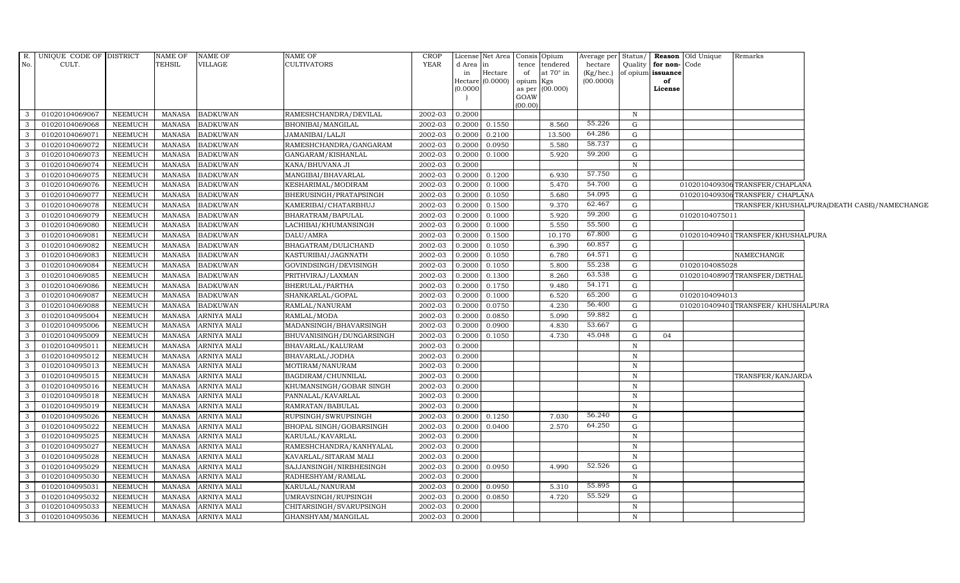|                         | R. UNIQUE CODE OF DISTRICT |                | NAME OF       | NAME OF            | NAME OF                  | <b>CROP</b> |              | License Net Area Consis Opium |                 |                                    | Average per          |              |                                              | Status/ <b>Reason</b> Old Unique | Remarks                            |                                             |
|-------------------------|----------------------------|----------------|---------------|--------------------|--------------------------|-------------|--------------|-------------------------------|-----------------|------------------------------------|----------------------|--------------|----------------------------------------------|----------------------------------|------------------------------------|---------------------------------------------|
| No.                     | CULT.                      |                | TEHSIL        | VILLAGE            | <b>CULTIVATORS</b>       | YEAR        | d Area<br>in | in<br>Hectare                 | of              | tence tendered<br>at $70^\circ$ in | hectare<br>(Kg/hec.) |              | Quality   for non- Code<br>of opium issuance |                                  |                                    |                                             |
|                         |                            |                |               |                    |                          |             |              | Hectare (0.0000)              | opium Kgs       |                                    | (00.0000)            |              | of                                           |                                  |                                    |                                             |
|                         |                            |                |               |                    |                          |             | (0.0000)     |                               |                 | as per (00.000)                    |                      |              | License                                      |                                  |                                    |                                             |
|                         |                            |                |               |                    |                          |             |              |                               | GOAW<br>(00.00) |                                    |                      |              |                                              |                                  |                                    |                                             |
| $\overline{\mathbf{3}}$ | 01020104069067             | NEEMUCH        | MANASA        | <b>BADKUWAN</b>    | RAMESHCHANDRA/DEVILAL    | 2002-03     | 0.2000       |                               |                 |                                    |                      | $\mathbb N$  |                                              |                                  |                                    |                                             |
| $\mathbf{3}$            | 01020104069068             | <b>NEEMUCH</b> | MANASA        | <b>BADKUWAN</b>    | BHONIBAI/MANGILAL        | 2002-03     | 0.2000       | 0.1550                        |                 | 8.560                              | 55.226               | G            |                                              |                                  |                                    |                                             |
| $\mathbf{3}$            | 01020104069071             | <b>NEEMUCH</b> | <b>MANASA</b> | <b>BADKUWAN</b>    | JAMANIBAI/LALJI          | 2002-03     | 0.2000       | 0.2100                        |                 | 13.500                             | 64.286               | G            |                                              |                                  |                                    |                                             |
| $\mathbf{3}$            | 01020104069072             | <b>NEEMUCH</b> | <b>MANASA</b> | <b>BADKUWAN</b>    | RAMESHCHANDRA/GANGARAM   | 2002-03     | 0.2000       | 0.0950                        |                 | 5.580                              | 58.737               | ${\rm G}$    |                                              |                                  |                                    |                                             |
| $\mathbf{3}$            | 01020104069073             | <b>NEEMUCH</b> | <b>MANASA</b> | <b>BADKUWAN</b>    | GANGARAM/KISHANLAL       | 2002-03     | 0.2000       | 0.1000                        |                 | 5.920                              | 59.200               | G            |                                              |                                  |                                    |                                             |
| $\mathbf{3}$            | 01020104069074             | <b>NEEMUCH</b> | <b>MANASA</b> | <b>BADKUWAN</b>    | KANA/BHUVANA JI          | 2002-03     | 0.2000       |                               |                 |                                    |                      | $\, {\bf N}$ |                                              |                                  |                                    |                                             |
| $\mathbf{3}$            | 01020104069075             | <b>NEEMUCH</b> | <b>MANASA</b> | <b>BADKUWAN</b>    | MANGIBAI/BHAVARLAL       | 2002-03     | 0.2000       | 0.1200                        |                 | 6.930                              | 57.750               | ${\rm G}$    |                                              |                                  |                                    |                                             |
| $\overline{\mathbf{3}}$ | 01020104069076             | NEEMUCH        | MANASA        | <b>BADKUWAN</b>    | KESHARIMAL/MODIRAM       | 2002-03     | 0.2000       | 0.1000                        |                 | 5.470                              | 54.700               | G            |                                              |                                  | 0102010409306TRANSFER/CHAPLANA     |                                             |
| $\mathbf{3}$            | 01020104069077             | <b>NEEMUCH</b> | <b>MANASA</b> | <b>BADKUWAN</b>    | BHERUSINGH/PRATAPSINGH   | 2002-03     | 0.2000       | 0.1050                        |                 | 5.680                              | 54.095               | G            |                                              |                                  | 0102010409306TRANSFER/ CHAPLANA    |                                             |
| $\mathbf{3}$            | 01020104069078             | <b>NEEMUCH</b> | <b>MANASA</b> | <b>BADKUWAN</b>    | KAMERIBAI/CHATARBHUJ     | 2002-03     | 0.2000       | 0.1500                        |                 | 9.370                              | 62.467               | G            |                                              |                                  |                                    | TRANSFER/KHUSHALPURA(DEATH CASE)/NAMECHANGE |
| $\overline{\mathbf{3}}$ | 01020104069079             | <b>NEEMUCH</b> | <b>MANASA</b> | <b>BADKUWAN</b>    | BHARATRAM/BAPULAL        | 2002-03     | 0.2000       | 0.1000                        |                 | 5.920                              | 59.200               | G            |                                              | 01020104075011                   |                                    |                                             |
| $\mathbf{3}$            | 01020104069080             | <b>NEEMUCH</b> | <b>MANASA</b> | <b>BADKUWAN</b>    | LACHIBAI/KHUMANSINGH     | 2002-03     | 0.2000       | 0.1000                        |                 | 5.550                              | 55.500               | G            |                                              |                                  |                                    |                                             |
| $\mathbf{3}$            | 01020104069081             | <b>NEEMUCH</b> | <b>MANASA</b> | <b>BADKUWAN</b>    | DALU/AMRA                | 2002-03     | 0.2000       | 0.1500                        |                 | 10.170                             | 67.800               | ${\rm G}$    |                                              |                                  | 0102010409401 TRANSFER/KHUSHALPURA |                                             |
| 3                       | 01020104069082             | <b>NEEMUCH</b> | <b>MANASA</b> | <b>BADKUWAN</b>    | BHAGATRAM/DULICHAND      | 2002-03     | 0.2000       | 0.1050                        |                 | 6.390                              | 60.857               | G            |                                              |                                  |                                    |                                             |
| 3                       | 01020104069083             | <b>NEEMUCH</b> | <b>MANASA</b> | <b>BADKUWAN</b>    | KASTURIBAI/JAGNNATH      | 2002-03     | 0.2000       | 0.1050                        |                 | 6.780                              | 64.571               | G            |                                              |                                  | NAMECHANGE                         |                                             |
| $\overline{3}$          | 01020104069084             | <b>NEEMUCH</b> | MANASA        | <b>BADKUWAN</b>    | GOVINDSINGH/DEVISINGH    | 2002-03     | 0.2000       | 0.1050                        |                 | 5.800                              | 55.238               | G            |                                              | 01020104085028                   |                                    |                                             |
| $\mathbf{3}$            | 01020104069085             | <b>NEEMUCH</b> | <b>MANASA</b> | <b>BADKUWAN</b>    | PRITHVIRAJ/LAXMAN        | 2002-03     | 0.2000       | 0.1300                        |                 | 8.260                              | 63.538               | G            |                                              |                                  | 0102010408907TRANSFER/DETHAL       |                                             |
| $\mathbf{3}$            | 01020104069086             | NEEMUCH        | MANASA        | <b>BADKUWAN</b>    | BHERULAL/PARTHA          | 2002-03     | 0.2000       | 0.1750                        |                 | 9.480                              | 54.171               | G            |                                              |                                  |                                    |                                             |
| $\mathbf{3}$            | 01020104069087             | <b>NEEMUCH</b> | <b>MANASA</b> | <b>BADKUWAN</b>    | SHANKARLAL/GOPAL         | 2002-03     | 0.2000       | 0.1000                        |                 | 6.520                              | 65.200               | G            |                                              | 01020104094013                   |                                    |                                             |
| $\overline{\mathbf{3}}$ | 01020104069088             | <b>NEEMUCH</b> | <b>MANASA</b> | <b>BADKUWAN</b>    | RAMLAL/NANURAM           | 2002-03     | 0.2000       | 0.0750                        |                 | 4.230                              | 56.400               | ${\rm G}$    |                                              |                                  | 0102010409401 TRANSFER/KHUSHALPURA |                                             |
| $\mathbf{3}$            | 01020104095004             | NEEMUCH        | MANASA        | ARNIYA MALI        | RAMLAL/MODA              | 2002-03     | 0.2000       | 0.0850                        |                 | 5.090                              | 59.882               | G            |                                              |                                  |                                    |                                             |
| $\mathbf{3}$            | 01020104095006             | <b>NEEMUCH</b> | MANASA        | <b>ARNIYA MALI</b> | MADANSINGH/BHAVARSINGH   | 2002-03     | 0.2000       | 0.0900                        |                 | 4.830                              | 53.667               | G            |                                              |                                  |                                    |                                             |
| $\mathbf{3}$            | 01020104095009             | <b>NEEMUCH</b> | <b>MANASA</b> | ARNIYA MALI        | BHUVANISINGH/DUNGARSINGH | 2002-03     | 0.2000       | 0.1050                        |                 | 4.730                              | 45.048               | G            | 04                                           |                                  |                                    |                                             |
| $\mathbf{3}$            | 01020104095011             | <b>NEEMUCH</b> | MANASA        | ARNIYA MALI        | BHAVARLAL/KALURAM        | 2002-03     | 0.2000       |                               |                 |                                    |                      | $\, {\rm N}$ |                                              |                                  |                                    |                                             |
| $\overline{\mathbf{3}}$ | 01020104095012             | <b>NEEMUCH</b> | <b>MANASA</b> | <b>ARNIYA MALI</b> | BHAVARLAL/JODHA          | 2002-03     | 0.2000       |                               |                 |                                    |                      | $\mathbb N$  |                                              |                                  |                                    |                                             |
| $\mathbf{3}$            | 01020104095013             | <b>NEEMUCH</b> | <b>MANASA</b> | <b>ARNIYA MALI</b> | MOTIRAM/NANURAM          | 2002-03     | 0.2000       |                               |                 |                                    |                      | $\mathbb N$  |                                              |                                  |                                    |                                             |
| $\mathbf{3}$            | 01020104095015             | <b>NEEMUCH</b> | MANASA        | <b>ARNIYA MALI</b> | BAGDIRAM/CHUNNILAL       | 2002-03     | 0.2000       |                               |                 |                                    |                      | $\, {\rm N}$ |                                              |                                  | TRANSFER/KANJARDA                  |                                             |
| $\overline{\mathbf{3}}$ | 01020104095016             | <b>NEEMUCH</b> | MANASA        | <b>ARNIYA MALI</b> | KHUMANSINGH/GOBAR SINGH  | 2002-03     | 0.2000       |                               |                 |                                    |                      | $\mathbb N$  |                                              |                                  |                                    |                                             |
| $\mathbf{3}$            | 01020104095018             | <b>NEEMUCH</b> | <b>MANASA</b> | <b>ARNIYA MALI</b> | PANNALAL/KAVARLAL        | 2002-03     | 0.2000       |                               |                 |                                    |                      | $\, {\bf N}$ |                                              |                                  |                                    |                                             |
| $\overline{\mathbf{3}}$ | 01020104095019             | <b>NEEMUCH</b> | <b>MANASA</b> | ARNIYA MALI        | RAMRATAN/BABULAL         | 2002-03     | 0.2000       |                               |                 |                                    |                      | $\, {\bf N}$ |                                              |                                  |                                    |                                             |
| $\mathbf{3}$            | 01020104095026             | <b>NEEMUCH</b> | <b>MANASA</b> | ARNIYA MALI        | RUPSINGH/SWRUPSINGH      | 2002-03     | 0.2000       | 0.1250                        |                 | 7.030                              | 56.240               | G            |                                              |                                  |                                    |                                             |
| $\mathbf{3}$            | 01020104095022             | <b>NEEMUCH</b> | <b>MANASA</b> | <b>ARNIYA MALI</b> | BHOPAL SINGH/GOBARSINGH  | 2002-03     | 0.2000       | 0.0400                        |                 | 2.570                              | 64.250               | G            |                                              |                                  |                                    |                                             |
| $\mathbf{3}$            | 01020104095025             | <b>NEEMUCH</b> | <b>MANASA</b> | <b>ARNIYA MALI</b> | KARULAL/KAVARLAL         | 2002-03     | 0.2000       |                               |                 |                                    |                      | $\, {\rm N}$ |                                              |                                  |                                    |                                             |
| 3                       | 01020104095027             | <b>NEEMUCH</b> | <b>MANASA</b> | ARNIYA MALI        | RAMESHCHANDRA/KANHYALAL  | 2002-03     | 0.2000       |                               |                 |                                    |                      | $\mathbb N$  |                                              |                                  |                                    |                                             |
| $\mathbf{3}$            | 01020104095028             | <b>NEEMUCH</b> | MANASA        | ARNIYA MALI        | KAVARLAL/SITARAM MALI    | 2002-03     | 0.2000       |                               |                 |                                    |                      | $\mathbb N$  |                                              |                                  |                                    |                                             |
| $\overline{\mathbf{3}}$ | 01020104095029             | <b>NEEMUCH</b> | <b>MANASA</b> | <b>ARNIYA MALI</b> | SAJJANSINGH/NIRBHESINGH  | 2002-03     | 0.2000       | 0.0950                        |                 | 4.990                              | 52.526               | G            |                                              |                                  |                                    |                                             |
| $\mathbf{3}$            | 01020104095030             | <b>NEEMUCH</b> | <b>MANASA</b> | ARNIYA MALI        | RADHESHYAM/RAMLAL        | 2002-03     | 0.2000       |                               |                 |                                    |                      | $\, {\rm N}$ |                                              |                                  |                                    |                                             |
| $\mathbf{3}$            | 01020104095031             | <b>NEEMUCH</b> | MANASA        | <b>ARNIYA MALI</b> | KARULAL/NANURAM          | 2002-03     | 0.2000       | 0.0950                        |                 | 5.310                              | 55.895               | G            |                                              |                                  |                                    |                                             |
| $\mathbf{3}$            | 01020104095032             | <b>NEEMUCH</b> | <b>MANASA</b> | <b>ARNIYA MALI</b> | UMRAVSINGH/RUPSINGH      | 2002-03     | 0.2000       | 0.0850                        |                 | 4.720                              | 55.529               | G            |                                              |                                  |                                    |                                             |
| $\mathbf{3}$            | 01020104095033             | <b>NEEMUCH</b> | MANASA        | <b>ARNIYA MALI</b> | CHITARSINGH/SVARUPSINGH  | 2002-03     | 0.2000       |                               |                 |                                    |                      | $\mathbb N$  |                                              |                                  |                                    |                                             |
| $\mathbf{3}$            | 01020104095036             | <b>NEEMUCH</b> | MANASA        | <b>ARNIYA MALI</b> | GHANSHYAM/MANGILAL       | 2002-03     | 0.2000       |                               |                 |                                    |                      | $\, {\bf N}$ |                                              |                                  |                                    |                                             |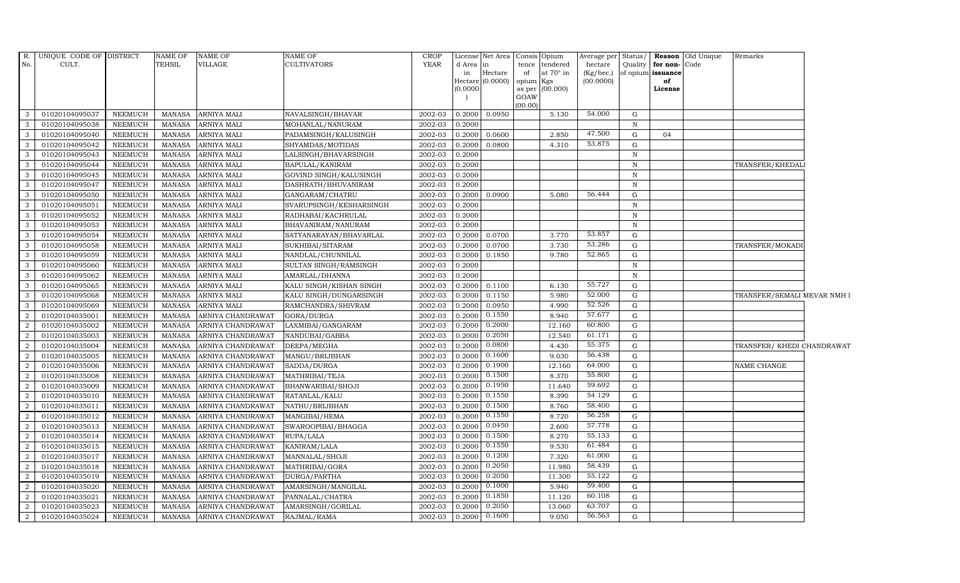| R.             | UNIQUE CODE OF DISTRICT |                | NAME OF       | <b>NAME OF</b>     | NAME OF                 | CROP        |               | License Net Area    | Consis Opium    |                  | Average per Status/    |              |                         | Reason Old Unique | Remarks                     |  |
|----------------|-------------------------|----------------|---------------|--------------------|-------------------------|-------------|---------------|---------------------|-----------------|------------------|------------------------|--------------|-------------------------|-------------------|-----------------------------|--|
| No.            | CULT.                   |                | <b>TEHSIL</b> | <b>VILLAGE</b>     | CULTIVATORS             | <b>YEAR</b> | d Area in     |                     |                 | tence tendered   | hectare                |              | Quality   for non- Code |                   |                             |  |
|                |                         |                |               |                    |                         |             | in<br>Hectare | Hectare<br>(0.0000) | of<br>opium Kgs | at $70^\circ$ in | (Kg/hec.)<br>(00.0000) |              | of opium issuance<br>of |                   |                             |  |
|                |                         |                |               |                    |                         |             | (0.0000)      |                     |                 | as per (00.000)  |                        |              | License                 |                   |                             |  |
|                |                         |                |               |                    |                         |             |               |                     | GOAW            |                  |                        |              |                         |                   |                             |  |
| 3              | 01020104095037          | <b>NEEMUCH</b> | <b>MANASA</b> | <b>ARNIYA MALI</b> | NAVALSINGH/BHAVAR       | 2002-03     | 0.2000        | 0.0950              | (00.00)         | 5.130            | 54.000                 | G            |                         |                   |                             |  |
| 3              | 01020104095038          | <b>NEEMUCH</b> | MANASA        | <b>ARNIYA MALI</b> | MOHANLAL/NANURAM        | 2002-03     | 0.2000        |                     |                 |                  |                        | $\, {\bf N}$ |                         |                   |                             |  |
| -3             | 01020104095040          | <b>NEEMUCH</b> | <b>MANASA</b> | <b>ARNIYA MALI</b> | PADAMSINGH/KALUSINGH    | 2002-03     | 0.2000        | 0.0600              |                 | 2.850            | 47.500                 | G            | 04                      |                   |                             |  |
| 3              | 01020104095042          | <b>NEEMUCH</b> | <b>MANASA</b> | <b>ARNIYA MALI</b> | SHYAMDAS/MOTIDAS        | 2002-03     | 0.2000        | 0.0800              |                 | 4.310            | 53.875                 | G            |                         |                   |                             |  |
| 3              | 01020104095043          | <b>NEEMUCH</b> | <b>MANASA</b> | <b>ARNIYA MALI</b> | LALSINGH/BHAVARSINGH    | 2002-03     | 0.2000        |                     |                 |                  |                        | $\, {\bf N}$ |                         |                   |                             |  |
| 3              | 01020104095044          | <b>NEEMUCH</b> | <b>MANASA</b> | <b>ARNIYA MALI</b> | BAPULAL/KANIRAM         | 2002-03     | 0.2000        |                     |                 |                  |                        | N            |                         |                   | TRANSFER/KHEDALI            |  |
| $\mathbf{3}$   | 01020104095045          | <b>NEEMUCH</b> | MANASA        | <b>ARNIYA MALI</b> | GOVIND SINGH/KALUSINGH  | 2002-03     | 0.2000        |                     |                 |                  |                        | $\mathbf N$  |                         |                   |                             |  |
| $\mathbf{3}$   | 01020104095047          | <b>NEEMUCH</b> | <b>MANASA</b> | <b>ARNIYA MALI</b> | DASHRATH/BHUVANIRAM     | 2002-03     | 0.2000        |                     |                 |                  |                        | $\mathbf N$  |                         |                   |                             |  |
| 3              | 01020104095050          | <b>NEEMUCH</b> | <b>MANASA</b> | <b>ARNIYA MALI</b> | GANGARAM/CHATRU         | 2002-03     | 0.2000        | 0.0900              |                 | 5.080            | 56.444                 | G            |                         |                   |                             |  |
| 3              | 01020104095051          | <b>NEEMUCH</b> | <b>MANASA</b> | <b>ARNIYA MALI</b> | SVARUPSINGH/KESHARSINGH | 2002-03     | 0.2000        |                     |                 |                  |                        | $\, {\rm N}$ |                         |                   |                             |  |
| 3              | 01020104095052          | <b>NEEMUCH</b> | <b>MANASA</b> | ARNIYA MALI        | RADHABAI/KACHRULAL      | 2002-03     | 0.2000        |                     |                 |                  |                        | N            |                         |                   |                             |  |
| 3              | 01020104095053          | <b>NEEMUCH</b> | <b>MANASA</b> | <b>ARNIYA MALI</b> | BHAVANIRAM/NANURAM      | 2002-03     | 0.2000        |                     |                 |                  |                        | $\mathbf N$  |                         |                   |                             |  |
| 3              | 01020104095054          | <b>NEEMUCH</b> | MANASA        | <b>ARNIYA MALI</b> | SATYANARAYAN/BHAVARLAL  | 2002-03     | 0.2000        | 0.0700              |                 | 3.770            | 53.857                 | G            |                         |                   |                             |  |
| 3              | 01020104095058          | <b>NEEMUCH</b> | <b>MANASA</b> | <b>ARNIYA MALI</b> | SUKHIBAI/SITARAM        | 2002-03     | 0.2000        | 0.0700              |                 | 3.730            | 53.286                 | G            |                         |                   | TRANSFER/MOKADI             |  |
| 3              | 01020104095059          | <b>NEEMUCH</b> | <b>MANASA</b> | <b>ARNIYA MALI</b> | NANDLAL/CHUNNILAL       | 2002-03     | 0.2000        | 0.1850              |                 | 9.780            | 52.865                 | G            |                         |                   |                             |  |
| 3              | 01020104095060          | NEEMUCH        | MANASA        | ARNIYA MALI        | SULTAN SINGH/RAMSINGH   | 2002-03     | 0.2000        |                     |                 |                  |                        | $\, {\bf N}$ |                         |                   |                             |  |
| 3              | 01020104095062          | <b>NEEMUCH</b> | <b>MANASA</b> | <b>ARNIYA MALI</b> | AMARLAL/DHANNA          | 2002-03     | 0.2000        |                     |                 |                  |                        | $\mathbf N$  |                         |                   |                             |  |
| 3              | 01020104095065          | <b>NEEMUCH</b> | MANASA        | <b>ARNIYA MALI</b> | KALU SINGH/KISHAN SINGH | 2002-03     | 0.2000        | 0.1100              |                 | 6.130            | 55.727                 | G            |                         |                   |                             |  |
| 3              | 01020104095068          | <b>NEEMUCH</b> | MANASA        | <b>ARNIYA MALI</b> | KALU SINGH/DUNGARSINGH  | 2002-03     | 0.2000        | 0.1150              |                 | 5.980            | 52.000                 | G            |                         |                   | TRANSFER/SEMALI MEVAR NMH I |  |
| 3              | 01020104095069          | <b>NEEMUCH</b> | <b>MANASA</b> | ARNIYA MALI        | RAMCHANDRA/SHIVRAM      | 2002-03     | 0.2000        | 0.0950              |                 | 4.990            | 52.526                 | G            |                         |                   |                             |  |
| $\overline{2}$ | 01020104035001          | <b>NEEMUCH</b> | <b>MANASA</b> | ARNIYA CHANDRAWAT  | GORA/DURGA              | 2002-03     | 0.2000        | 0.1550              |                 | 8.940            | 57.677                 | G            |                         |                   |                             |  |
| 2              | 01020104035002          | <b>NEEMUCH</b> | <b>MANASA</b> | ARNIYA CHANDRAWAT  | LAXMIBAI/GANGARAM       | 2002-03     | 0.2000        | 0.2000              |                 | 12.160           | 60.800                 | G            |                         |                   |                             |  |
| 2              | 01020104035003          | <b>NEEMUCH</b> | <b>MANASA</b> | ARNIYA CHANDRAWAT  | NANDUBAI/GABBA          | 2002-03     | 0.2000        | 0.2050              |                 | 12.540           | 61.171                 | G            |                         |                   |                             |  |
| 2              | 01020104035004          | <b>NEEMUCH</b> | <b>MANASA</b> | ARNIYA CHANDRAWAT  | DEEPA/MEGHA             | 2002-03     | 0.2000        | 0.0800              |                 | 4.430            | 55.375                 | G            |                         |                   | TRANSFER/ KHEDI CHANDRAWAT  |  |
| $\overline{2}$ | 01020104035005          | <b>NEEMUCH</b> | <b>MANASA</b> | ARNIYA CHANDRAWAT  | MANGU/BRIJBHAN          | 2002-03     | 0.2000        | 0.1600              |                 | 9.030            | 56.438                 | G            |                         |                   |                             |  |
| 2              | 01020104035006          | <b>NEEMUCH</b> | MANASA        | ARNIYA CHANDRAWAT  | SADDA/DURGA             | 2002-03     | 0.2000        | 0.1900              |                 | 12.160           | 64.000                 | G            |                         |                   | NAME CHANGE                 |  |
| 2              | 01020104035008          | NEEMUCH        | <b>MANASA</b> | ARNIYA CHANDRAWAT  | MATHRIBAI/TEJA          | 2002-03     | 0.2000        | 0.1500              |                 | 8.370            | 55.800                 | G            |                         |                   |                             |  |
| $\overline{2}$ | 01020104035009          | <b>NEEMUCH</b> | <b>MANASA</b> | ARNIYA CHANDRAWAT  | BHANWARIBAI/SHOJI       | 2002-03     | 0.2000        | 0.1950              |                 | 11.640           | 59.692                 | G            |                         |                   |                             |  |
| $\overline{2}$ | 01020104035010          | <b>NEEMUCH</b> | <b>MANASA</b> | ARNIYA CHANDRAWAT  | RATANLAL/KALU           | 2002-03     | 0.2000        | 0.1550              |                 | 8.390            | 54.129                 | G            |                         |                   |                             |  |
| $\overline{2}$ | 01020104035011          | <b>NEEMUCH</b> | <b>MANASA</b> | ARNIYA CHANDRAWAT  | NATHU/BRIJBHAN          | 2002-03     | 0.2000        | 0.1500              |                 | 8.760            | 58.400                 | G            |                         |                   |                             |  |
| $\overline{2}$ | 01020104035012          | <b>NEEMUCH</b> | <b>MANASA</b> | ARNIYA CHANDRAWAT  | MANGIBAI/HEMA           | 2002-03     | 0.2000        | 0.1550              |                 | 8.720            | 56.258                 | G            |                         |                   |                             |  |
| 2              | 01020104035013          | <b>NEEMUCH</b> | <b>MANASA</b> | ARNIYA CHANDRAWAT  | SWAROOPIBAI/BHAGGA      | 2002-03     | 0.2000        | 0.0450              |                 | 2.600            | 57.778                 | G            |                         |                   |                             |  |
| 2              | 01020104035014          | NEEMUCH        | <b>MANASA</b> | ARNIYA CHANDRAWAT  | RUPA/LALA               | 2002-03     | 0.2000        | 0.1500              |                 | 8.270            | 55.133                 | G            |                         |                   |                             |  |
| $\overline{2}$ | 01020104035015          | <b>NEEMUCH</b> | <b>MANASA</b> | ARNIYA CHANDRAWAT  | KANIRAM/LALA            | 2002-03     | 0.2000        | 0.1550              |                 | 9.530            | 61.484                 | ${\rm G}$    |                         |                   |                             |  |
| $\overline{2}$ | 01020104035017          | <b>NEEMUCH</b> | <b>MANASA</b> | ARNIYA CHANDRAWAT  | MANNALAL/SHOJI          | 2002-03     | 0.2000        | 0.1200              |                 | 7.320            | 61.000                 | G            |                         |                   |                             |  |
| 2              | 01020104035018          | <b>NEEMUCH</b> | <b>MANASA</b> | ARNIYA CHANDRAWAT  | MATHRIBAI/GORA          | 2002-03     | 0.2000        | 0.2050              |                 | 11.980           | 58.439                 | G            |                         |                   |                             |  |
| $\overline{2}$ | 01020104035019          | <b>NEEMUCH</b> | <b>MANASA</b> | ARNIYA CHANDRAWAT  | DURGA/PARTHA            | 2002-03     | 0.2000        | 0.2050              |                 | 11.300           | 55.122                 | G            |                         |                   |                             |  |
| $\overline{2}$ | 01020104035020          | <b>NEEMUCH</b> | <b>MANASA</b> | ARNIYA CHANDRAWAT  | AMARSINGH/MANGILAL      | 2002-03     | 0.2000        | 0.1000              |                 | 5.940            | 59.400                 | G            |                         |                   |                             |  |
| 2              | 01020104035021          | <b>NEEMUCH</b> | <b>MANASA</b> | ARNIYA CHANDRAWAT  | PANNALAL/CHATRA         | 2002-03     | 0.2000        | 0.1850              |                 | 11.120           | 60.108                 | G            |                         |                   |                             |  |
| 2              | 01020104035023          | <b>NEEMUCH</b> | <b>MANASA</b> | ARNIYA CHANDRAWAT  | AMARSINGH/GORILAL       | 2002-03     | 0.2000        | 0.2050              |                 | 13.060           | 63.707                 | G            |                         |                   |                             |  |
| $\overline{a}$ | 01020104035024          | <b>NEEMUCH</b> | <b>MANASA</b> | ARNIYA CHANDRAWAT  | RAJMAL/RAMA             | 2002-03     | 0.2000        | 0.1600              |                 | 9.050            | 56.563                 | G            |                         |                   |                             |  |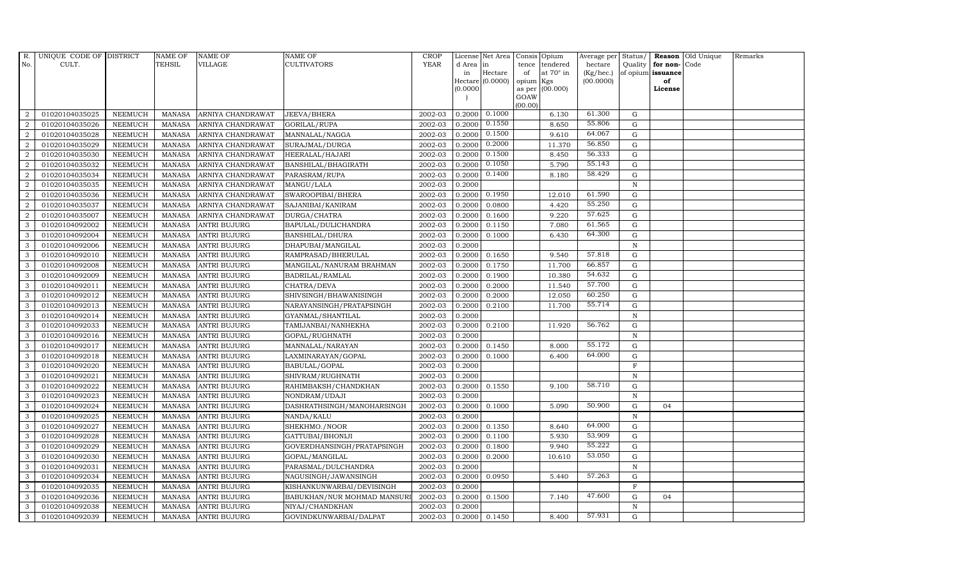| R.             | UNIQUE CODE OF DISTRICT |                | <b>NAME OF</b> | <b>NAME OF</b>      | NAME OF                     | <b>CROP</b> |           | License Net Area      |                | Consis Opium     | Average per Status/ |                   |                  | Reason Old Unique | Remarks |
|----------------|-------------------------|----------------|----------------|---------------------|-----------------------------|-------------|-----------|-----------------------|----------------|------------------|---------------------|-------------------|------------------|-------------------|---------|
| No.            | CULT.                   |                | TEHSIL         | VILLAGE             | CULTIVATORS                 | <b>YEAR</b> | d Area in |                       | tence          | tendered         | hectare             |                   | Quality for non- | Code              |         |
|                |                         |                |                |                     |                             |             | in        | Hectare               | of             | at $70^\circ$ in | (Kg/hec.)           | of opium issuance |                  |                   |         |
|                |                         |                |                |                     |                             |             | (0.0000)  | Hectare $(0.0000)$    | opium          | Kgs<br>(00.000)  | (00.0000)           |                   | of<br>License    |                   |         |
|                |                         |                |                |                     |                             |             |           |                       | as per<br>GOAW |                  |                     |                   |                  |                   |         |
|                |                         |                |                |                     |                             |             |           |                       | (00.00)        |                  |                     |                   |                  |                   |         |
| 2              | 01020104035025          | <b>NEEMUCH</b> | <b>MANASA</b>  | ARNIYA CHANDRAWAT   | JEEVA/BHERA                 | 2002-03     |           | $0.2000 \quad 0.1000$ |                | 6.130            | 61.300              | G                 |                  |                   |         |
| $\overline{2}$ | 01020104035026          | <b>NEEMUCH</b> | <b>MANASA</b>  | ARNIYA CHANDRAWAT   | GORILAL/RUPA                | 2002-03     | 0.2000    | 0.1550                |                | 8.650            | 55.806              | G                 |                  |                   |         |
| $\overline{2}$ | 01020104035028          | <b>NEEMUCH</b> | <b>MANASA</b>  | ARNIYA CHANDRAWAT   | MANNALAL/NAGGA              | 2002-03     | 0.2000    | 0.1500                |                | 9.610            | 64.067              | G                 |                  |                   |         |
| 2              | 01020104035029          | <b>NEEMUCH</b> | <b>MANASA</b>  | ARNIYA CHANDRAWAT   | SURAJMAL/DURGA              | 2002-03     | 0.2000    | 0.2000                |                | 11.370           | 56.850              | G                 |                  |                   |         |
| $\overline{2}$ | 01020104035030          | <b>NEEMUCH</b> | <b>MANASA</b>  | ARNIYA CHANDRAWAT   | HEERALAL/HAJARI             | 2002-03     | 0.2000    | 0.1500                |                | 8.450            | 56.333              | G                 |                  |                   |         |
| $\overline{2}$ | 01020104035032          | <b>NEEMUCH</b> | <b>MANASA</b>  | ARNIYA CHANDRAWAT   | BANSHILAL/BHAGIRATH         | 2002-03     | 0.2000    | 0.1050                |                | 5.790            | 55.143              | G                 |                  |                   |         |
| 2              | 01020104035034          | <b>NEEMUCH</b> | <b>MANASA</b>  | ARNIYA CHANDRAWAT   | PARASRAM/RUPA               | 2002-03     | 0.2000    | 0.1400                |                | 8.180            | 58.429              | G                 |                  |                   |         |
| $\overline{2}$ | 01020104035035          | <b>NEEMUCH</b> | <b>MANASA</b>  | ARNIYA CHANDRAWAT   | MANGU/LALA                  | 2002-03     | 0.2000    |                       |                |                  |                     | $\mathbf N$       |                  |                   |         |
| $\overline{2}$ | 01020104035036          | <b>NEEMUCH</b> | <b>MANASA</b>  | ARNIYA CHANDRAWAT   | SWAROOPIBAI/BHERA           | 2002-03     | 0.2000    | 0.1950                |                | 12.010           | 61.590              | G                 |                  |                   |         |
| $\overline{2}$ | 01020104035037          | <b>NEEMUCH</b> | <b>MANASA</b>  | ARNIYA CHANDRAWAT   | SAJANIBAI/KANIRAM           | 2002-03     | 0.2000    | 0.0800                |                | 4.420            | 55.250              | G                 |                  |                   |         |
| $\overline{2}$ | 01020104035007          | <b>NEEMUCH</b> | <b>MANASA</b>  | ARNIYA CHANDRAWAT   | DURGA/CHATRA                | 2002-03     | 0.2000    | 0.1600                |                | 9.220            | 57.625              | G                 |                  |                   |         |
| 3              | 01020104092002          | <b>NEEMUCH</b> | <b>MANASA</b>  | <b>ANTRI BUJURG</b> | BAPULAL/DULICHANDRA         | 2002-03     | 0.2000    | 0.1150                |                | 7.080            | 61.565              | G                 |                  |                   |         |
| 3              | 01020104092004          | <b>NEEMUCH</b> | MANASA         | <b>ANTRI BUJURG</b> | BANSHILAL/DHURA             | 2002-03     | 0.2000    | 0.1000                |                | 6.430            | 64.300              | G                 |                  |                   |         |
| 3              | 01020104092006          | <b>NEEMUCH</b> | <b>MANASA</b>  | <b>ANTRI BUJURG</b> | DHAPUBAI/MANGILAL           | 2002-03     | 0.2000    |                       |                |                  |                     | $\mathbf N$       |                  |                   |         |
| 3              | 01020104092010          | <b>NEEMUCH</b> | MANASA         | ANTRI BUJURG        | RAMPRASAD/BHERULAL          | 2002-03     | 0.2000    | 0.1650                |                | 9.540            | 57.818              | G                 |                  |                   |         |
| 3              | 01020104092008          | <b>NEEMUCH</b> | <b>MANASA</b>  | <b>ANTRI BUJURG</b> | MANGILAL/NANURAM BRAHMAN    | 2002-03     | 0.2000    | 0.1750                |                | 11.700           | 66.857              | G                 |                  |                   |         |
| 3              | 01020104092009          | <b>NEEMUCH</b> | <b>MANASA</b>  | <b>ANTRI BUJURG</b> | BADRILAL/RAMLAL             | 2002-03     | 0.2000    | 0.1900                |                | 10.380           | 54.632              | G                 |                  |                   |         |
| 3              | 01020104092011          | <b>NEEMUCH</b> | MANASA         | <b>ANTRI BUJURG</b> | CHATRA/DEVA                 | 2002-03     | 0.2000    | 0.2000                |                | 11.540           | 57.700              | G                 |                  |                   |         |
| 3              | 01020104092012          | <b>NEEMUCH</b> | <b>MANASA</b>  | <b>ANTRI BUJURG</b> | SHIVSINGH/BHAWANISINGH      | 2002-03     | 0.2000    | 0.2000                |                | 12.050           | 60.250              | G                 |                  |                   |         |
| 3              | 01020104092013          | <b>NEEMUCH</b> | <b>MANASA</b>  | <b>ANTRI BUJURG</b> | NARAYANSINGH/PRATAPSINGH    | 2002-03     | 0.2000    | 0.2100                |                | 11.700           | 55.714              | G                 |                  |                   |         |
| 3              | 01020104092014          | <b>NEEMUCH</b> | <b>MANASA</b>  | ANTRI BUJURG        | GYANMAL/SHANTILAL           | 2002-03     | 0.2000    |                       |                |                  |                     | ${\bf N}$         |                  |                   |         |
| 3              | 01020104092033          | <b>NEEMUCH</b> | <b>MANASA</b>  | <b>ANTRI BUJURG</b> | TAMIJANBAI/NANHEKHA         | 2002-03     | 0.2000    | 0.2100                |                | 11.920           | 56.762              | G                 |                  |                   |         |
| $\mathbf{3}$   | 01020104092016          | <b>NEEMUCH</b> | <b>MANASA</b>  | <b>ANTRI BUJURG</b> | GOPAL/RUGHNATH              | 2002-03     | 0.2000    |                       |                |                  |                     | $\, {\rm N}$      |                  |                   |         |
| 3              | 01020104092017          | <b>NEEMUCH</b> | <b>MANASA</b>  | <b>ANTRI BUJURG</b> | MANNALAL/NARAYAN            | 2002-03     | 0.2000    | 0.1450                |                | 8.000            | 55.172              | $\mathbf G$       |                  |                   |         |
| 3              | 01020104092018          | <b>NEEMUCH</b> | <b>MANASA</b>  | <b>ANTRI BUJURG</b> | LAXMINARAYAN/GOPAL          | 2002-03     | 0.2000    | 0.1000                |                | 6.400            | 64.000              | G                 |                  |                   |         |
| 3              | 01020104092020          | <b>NEEMUCH</b> | MANASA         | <b>ANTRI BUJURG</b> | BABULAL/GOPAL               | 2002-03     | 0.2000    |                       |                |                  |                     | $\mathbf F$       |                  |                   |         |
| 3              | 01020104092021          | <b>NEEMUCH</b> | <b>MANASA</b>  | <b>ANTRI BUJURG</b> | SHIVRAM/RUGHNATH            | 2002-03     | 0.2000    |                       |                |                  |                     | N                 |                  |                   |         |
| 3              | 01020104092022          | <b>NEEMUCH</b> | <b>MANASA</b>  | <b>ANTRI BUJURG</b> | RAHIMBAKSH/CHANDKHAN        | 2002-03     | 0.2000    | 0.1550                |                | 9.100            | 58.710              | G                 |                  |                   |         |
| 3              | 01020104092023          | <b>NEEMUCH</b> | <b>MANASA</b>  | <b>ANTRI BUJURG</b> | NONDRAM/UDAJI               | 2002-03     | 0.2000    |                       |                |                  |                     | $\mathbf N$       |                  |                   |         |
| 3              | 01020104092024          | <b>NEEMUCH</b> | <b>MANASA</b>  | <b>ANTRI BUJURG</b> | DASHRATHSINGH/MANOHARSINGH  | 2002-03     | 0.2000    | 0.1000                |                | 5.090            | 50.900              | $\mathbf G$       | 04               |                   |         |
| 3              | 01020104092025          | <b>NEEMUCH</b> | <b>MANASA</b>  | <b>ANTRI BUJURG</b> | NANDA/KALU                  | 2002-03     | 0.2000    |                       |                |                  |                     | $\mathbf N$       |                  |                   |         |
| 3              | 01020104092027          | <b>NEEMUCH</b> | <b>MANASA</b>  | <b>ANTRI BUJURG</b> | SHEKHMO./NOOR               | 2002-03     | 0.2000    | 0.1350                |                | 8.640            | 64.000              | G                 |                  |                   |         |
| 3              | 01020104092028          | <b>NEEMUCH</b> | <b>MANASA</b>  | <b>ANTRI BUJURG</b> | GATTUBAI/BHONIJI            | 2002-03     | 0.2000    | 0.1100                |                | 5.930            | 53.909              | G                 |                  |                   |         |
| 3              | 01020104092029          | <b>NEEMUCH</b> | <b>MANASA</b>  | <b>ANTRI BUJURG</b> | GOVERDHANSINGH/PRATAPSINGH  | 2002-03     | 0.2000    | 0.1800                |                | 9.940            | 55.222              | G                 |                  |                   |         |
| 3              | 01020104092030          | <b>NEEMUCH</b> | <b>MANASA</b>  | <b>ANTRI BUJURG</b> | GOPAL/MANGILAL              | 2002-03     | 0.2000    | 0.2000                |                | 10.610           | 53.050              | $\mathbf G$       |                  |                   |         |
| 3              | 01020104092031          | <b>NEEMUCH</b> | <b>MANASA</b>  | <b>ANTRI BUJURG</b> | PARASMAL/DULCHANDRA         | 2002-03     | 0.2000    |                       |                |                  |                     | $\mathbf N$       |                  |                   |         |
| 3              | 01020104092034          | <b>NEEMUCH</b> | <b>MANASA</b>  | ANTRI BUJURG        | NAGUSINGH/JAWANSINGH        | 2002-03     | 0.2000    | 0.0950                |                | 5.440            | 57.263              | G                 |                  |                   |         |
| 3              | 01020104092035          | <b>NEEMUCH</b> | <b>MANASA</b>  | ANTRI BUJURG        | KISHANKUNWARBAI/DEVISINGH   | 2002-03     | 0.2000    |                       |                |                  |                     | F                 |                  |                   |         |
| 3              | 01020104092036          | <b>NEEMUCH</b> | <b>MANASA</b>  | <b>ANTRI BUJURG</b> | BABUKHAN/NUR MOHMAD MANSURI | 2002-03     | 0.2000    | 0.1500                |                | 7.140            | 47.600              | $\mathbf G$       | 04               |                   |         |
| 3              | 01020104092038          | <b>NEEMUCH</b> | <b>MANASA</b>  | <b>ANTRI BUJURG</b> | NIYAJ/CHANDKHAN             | 2002-03     | 0.2000    |                       |                |                  |                     | $\mathbf N$       |                  |                   |         |
| 3              | 01020104092039          | <b>NEEMUCH</b> | MANASA         | <b>ANTRI BUJURG</b> | GOVINDKUNWARBAI/DALPAT      | 2002-03     | 0.2000    | 0.1450                |                | 8.400            | 57.931              | G                 |                  |                   |         |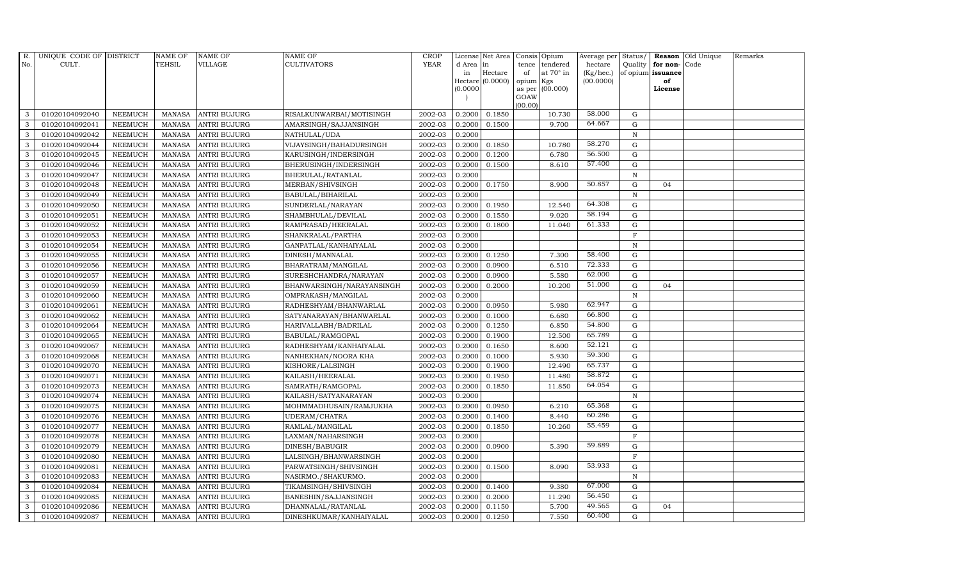| R.           | UNIQUE CODE OF DISTRICT |                | <b>NAME OF</b> | <b>NAME OF</b>      | NAME OF                   | <b>CROP</b> |           | License Net Area |         | Consis Opium     | Average per | Status/      |                   | Reason Old Unique | Remarks |
|--------------|-------------------------|----------------|----------------|---------------------|---------------------------|-------------|-----------|------------------|---------|------------------|-------------|--------------|-------------------|-------------------|---------|
| No.          | CULT.                   |                | TEHSIL         | VILLAGE             | CULTIVATORS               | <b>YEAR</b> | d Area in |                  | tence   | tendered         | hectare     | Quality      | for non-Code      |                   |         |
|              |                         |                |                |                     |                           |             | in        | Hectare          | of      | at $70^\circ$ in | (Kg/hec.)   |              | of opium issuance |                   |         |
|              |                         |                |                |                     |                           |             |           | Hectare (0.0000) | opium   | Kgs              | (00.0000)   |              | of                |                   |         |
|              |                         |                |                |                     |                           |             | (0.0000)  |                  | GOAW    | as per (00.000)  |             |              | License           |                   |         |
|              |                         |                |                |                     |                           |             |           |                  | (00.00) |                  |             |              |                   |                   |         |
| 3            | 01020104092040          | <b>NEEMUCH</b> |                | MANASA ANTRI BUJURG | RISALKUNWARBAI/MOTISINGH  | 2002-03     | 0.2000    | 0.1850           |         | 10.730           | 58.000      | G            |                   |                   |         |
| 3            | 01020104092041          | <b>NEEMUCH</b> | MANASA         | <b>ANTRI BUJURG</b> | AMARSINGH/SAJJANSINGH     | 2002-03     | 0.2000    | 0.1500           |         | 9.700            | 64.667      | $\mathbf G$  |                   |                   |         |
| 3            | 01020104092042          | <b>NEEMUCH</b> | <b>MANASA</b>  | <b>ANTRI BUJURG</b> | NATHULAL/UDA              | 2002-03     | 0.2000    |                  |         |                  |             | $\, {\rm N}$ |                   |                   |         |
| 3            | 01020104092044          | <b>NEEMUCH</b> | MANASA         | <b>ANTRI BUJURG</b> | VIJAYSINGH/BAHADURSINGH   | 2002-03     | 0.2000    | 0.1850           |         | 10.780           | 58.270      | $\mathbf G$  |                   |                   |         |
| 3            | 01020104092045          | <b>NEEMUCH</b> | <b>MANASA</b>  | <b>ANTRI BUJURG</b> | KARUSINGH/INDERSINGH      | 2002-03     | 0.2000    | 0.1200           |         | 6.780            | 56.500      | ${\rm G}$    |                   |                   |         |
| $\mathbf{3}$ | 01020104092046          | <b>NEEMUCH</b> | <b>MANASA</b>  | <b>ANTRI BUJURG</b> | BHERUSINGH/INDERSINGH     | 2002-03     | 0.2000    | 0.1500           |         | 8.610            | 57.400      | G            |                   |                   |         |
| 3            | 01020104092047          | <b>NEEMUCH</b> | MANASA         | <b>ANTRI BUJURG</b> | BHERULAL/RATANLAL         | 2002-03     | 0.2000    |                  |         |                  |             | $\, {\rm N}$ |                   |                   |         |
| 3            | 01020104092048          | <b>NEEMUCH</b> | <b>MANASA</b>  | <b>ANTRI BUJURG</b> | MERBAN/SHIVSINGH          | 2002-03     | 0.2000    | 0.1750           |         | 8.900            | 50.857      | $\mathbf G$  | 04                |                   |         |
| 3            | 01020104092049          | <b>NEEMUCH</b> | <b>MANASA</b>  | <b>ANTRI BUJURG</b> | BABULAL/BIHARILAL         | 2002-03     | 0.2000    |                  |         |                  |             | $\mathbf N$  |                   |                   |         |
| 3            | 01020104092050          | <b>NEEMUCH</b> | <b>MANASA</b>  | <b>ANTRI BUJURG</b> | SUNDERLAL/NARAYAN         | 2002-03     | 0.2000    | 0.1950           |         | 12.540           | 64.308      | G            |                   |                   |         |
| $\mathbf{3}$ | 01020104092051          | <b>NEEMUCH</b> | <b>MANASA</b>  | <b>ANTRI BUJURG</b> | SHAMBHULAL/DEVILAL        | 2002-03     | 0.2000    | 0.1550           |         | 9.020            | 58.194      | ${\rm G}$    |                   |                   |         |
| 3            | 01020104092052          | <b>NEEMUCH</b> | <b>MANASA</b>  | <b>ANTRI BUJURG</b> | RAMPRASAD/HEERALAL        | 2002-03     | 0.2000    | 0.1800           |         | 11.040           | 61.333      | $\mathbf G$  |                   |                   |         |
| $\mathbf{3}$ | 01020104092053          | <b>NEEMUCH</b> | <b>MANASA</b>  | <b>ANTRI BUJURG</b> | SHANKRALAL/PARTHA         | 2002-03     | 0.2000    |                  |         |                  |             | $\mathbf F$  |                   |                   |         |
| 3            | 01020104092054          | <b>NEEMUCH</b> | <b>MANASA</b>  | <b>ANTRI BUJURG</b> | GANPATLAL/KANHAIYALAL     | 2002-03     | 0.2000    |                  |         |                  |             | $\mathbf N$  |                   |                   |         |
| 3            | 01020104092055          | <b>NEEMUCH</b> | <b>MANASA</b>  | <b>ANTRI BUJURG</b> | DINESH/MANNALAL           | 2002-03     | 0.2000    | 0.1250           |         | 7.300            | 58.400      | ${\rm G}$    |                   |                   |         |
| $\mathbf{3}$ | 01020104092056          | <b>NEEMUCH</b> | <b>MANASA</b>  | <b>ANTRI BUJURG</b> | BHARATRAM/MANGILAL        | 2002-03     | 0.2000    | 0.0900           |         | 6.510            | 72.333      | G            |                   |                   |         |
| 3            | 01020104092057          | <b>NEEMUCH</b> | <b>MANASA</b>  | <b>ANTRI BUJURG</b> | SURESHCHANDRA/NARAYAN     | 2002-03     | 0.2000    | 0.0900           |         | 5.580            | 62.000      | G            |                   |                   |         |
| $\mathbf{3}$ | 01020104092059          | <b>NEEMUCH</b> | <b>MANASA</b>  | <b>ANTRI BUJURG</b> | BHANWARSINGH/NARAYANSINGH | 2002-03     | 0.2000    | 0.2000           |         | 10.200           | 51.000      | $\mathbf G$  | 04                |                   |         |
| 3            | 01020104092060          | <b>NEEMUCH</b> | <b>MANASA</b>  | <b>ANTRI BUJURG</b> | OMPRAKASH/MANGILAL        | 2002-03     | 0.2000    |                  |         |                  |             | $\, {\rm N}$ |                   |                   |         |
| 3            | 01020104092061          | <b>NEEMUCH</b> | <b>MANASA</b>  | <b>ANTRI BUJURG</b> | RADHESHYAM/BHANWARLAL     | 2002-03     | 0.2000    | 0.0950           |         | 5.980            | 62.947      | $\mathbf G$  |                   |                   |         |
| $\mathbf{3}$ | 01020104092062          | <b>NEEMUCH</b> | <b>MANASA</b>  | <b>ANTRI BUJURG</b> | SATYANARAYAN/BHANWARLAL   | 2002-03     | 0.2000    | 0.1000           |         | 6.680            | 66.800      | G            |                   |                   |         |
| 3            | 01020104092064          | <b>NEEMUCH</b> | <b>MANASA</b>  | <b>ANTRI BUJURG</b> | HARIVALLABH/BADRILAL      | 2002-03     | 0.2000    | 0.1250           |         | 6.850            | 54.800      | G            |                   |                   |         |
| $\mathbf{3}$ | 01020104092065          | <b>NEEMUCH</b> | MANASA         | <b>ANTRI BUJURG</b> | BABULAL/RAMGOPAL          | 2002-03     | 0.2000    | 0.1900           |         | 12.500           | 65.789      | G            |                   |                   |         |
| 3            | 01020104092067          | <b>NEEMUCH</b> | <b>MANASA</b>  | <b>ANTRI BUJURG</b> | RADHESHYAM/KANHAIYALAL    | 2002-03     | 0.2000    | 0.1650           |         | 8.600            | 52.121      | $\mathbf G$  |                   |                   |         |
| 3            | 01020104092068          | <b>NEEMUCH</b> | <b>MANASA</b>  | <b>ANTRI BUJURG</b> | NANHEKHAN/NOORA KHA       | 2002-03     | 0.2000    | 0.1000           |         | 5.930            | 59.300      | G            |                   |                   |         |
| 3            | 01020104092070          | <b>NEEMUCH</b> | <b>MANASA</b>  | <b>ANTRI BUJURG</b> | KISHORE/LALSINGH          | 2002-03     | 0.2000    | 0.1900           |         | 12.490           | 65.737      | G            |                   |                   |         |
| 3            | 01020104092071          | <b>NEEMUCH</b> | <b>MANASA</b>  | <b>ANTRI BUJURG</b> | KAILASH/HEERALAL          | 2002-03     | 0.2000    | 0.1950           |         | 11.480           | 58.872      | ${\rm G}$    |                   |                   |         |
| 3            | 01020104092073          | <b>NEEMUCH</b> | <b>MANASA</b>  | <b>ANTRI BUJURG</b> | SAMRATH/RAMGOPAL          | 2002-03     | 0.2000    | 0.1850           |         | 11.850           | 64.054      | G            |                   |                   |         |
| 3            | 01020104092074          | <b>NEEMUCH</b> | <b>MANASA</b>  | <b>ANTRI BUJURG</b> | KAILASH/SATYANARAYAN      | 2002-03     | 0.2000    |                  |         |                  |             | $\, {\rm N}$ |                   |                   |         |
| 3            | 01020104092075          | <b>NEEMUCH</b> | <b>MANASA</b>  | <b>ANTRI BUJURG</b> | MOHMMADHUSAIN/RAMJUKHA    | 2002-03     | 0.2000    | 0.0950           |         | 6.210            | 65.368      | $\mathbf G$  |                   |                   |         |
| 3            | 01020104092076          | <b>NEEMUCH</b> | <b>MANASA</b>  | <b>ANTRI BUJURG</b> | UDERAM/CHATRA             | 2002-03     | 0.2000    | 0.1400           |         | 8.440            | 60.286      | G            |                   |                   |         |
| 3            | 01020104092077          | <b>NEEMUCH</b> | <b>MANASA</b>  | <b>ANTRI BUJURG</b> | RAMLAL/MANGILAL           | 2002-03     | 0.2000    | 0.1850           |         | 10.260           | 55.459      | ${\rm G}$    |                   |                   |         |
| 3            | 01020104092078          | <b>NEEMUCH</b> | <b>MANASA</b>  | <b>ANTRI BUJURG</b> | LAXMAN/NAHARSINGH         | 2002-03     | 0.2000    |                  |         |                  |             | F            |                   |                   |         |
| 3            | 01020104092079          | <b>NEEMUCH</b> | <b>MANASA</b>  | <b>ANTRI BUJURG</b> | DINESH/BABUGIR            | 2002-03     | 0.2000    | 0.0900           |         | 5.390            | 59.889      | $\mathbf G$  |                   |                   |         |
| 3            | 01020104092080          | <b>NEEMUCH</b> | <b>MANASA</b>  | <b>ANTRI BUJURG</b> | LALSINGH/BHANWARSINGH     | 2002-03     | 0.2000    |                  |         |                  |             | $\mathbf F$  |                   |                   |         |
| 3            | 01020104092081          | <b>NEEMUCH</b> | <b>MANASA</b>  | ANTRI BUJURG        | PARWATSINGH/SHIVSINGH     | 2002-03     | 0.2000    | 0.1500           |         | 8.090            | 53.933      | ${\rm G}$    |                   |                   |         |
| $\mathbf{3}$ | 01020104092083          | <b>NEEMUCH</b> | <b>MANASA</b>  | <b>ANTRI BUJURG</b> | NASIRMO./SHAKURMO.        | 2002-03     | 0.2000    |                  |         |                  |             | ${\bf N}$    |                   |                   |         |
| 3            | 01020104092084          | <b>NEEMUCH</b> | <b>MANASA</b>  | <b>ANTRI BUJURG</b> | TIKAMSINGH/SHIVSINGH      | 2002-03     | 0.2000    | 0.1400           |         | 9.380            | 67.000      | ${\rm G}$    |                   |                   |         |
| 3            | 01020104092085          | <b>NEEMUCH</b> | <b>MANASA</b>  | <b>ANTRI BUJURG</b> | BANESHIN/SAJJANSINGH      | 2002-03     | 0.2000    | 0.2000           |         | 11.290           | 56.450      | $\mathbf G$  |                   |                   |         |
| 3            | 01020104092086          | <b>NEEMUCH</b> | <b>MANASA</b>  | <b>ANTRI BUJURG</b> | DHANNALAL/RATANLAL        | 2002-03     | 0.2000    | 0.1150           |         | 5.700            | 49.565      | $\mathbf G$  | 04                |                   |         |
| 3            | 01020104092087          | <b>NEEMUCH</b> |                | MANASA ANTRI BUJURG | DINESHKUMAR/KANHAIYALAL   | 2002-03     | 0.2000    | 0.1250           |         | 7.550            | 60.400      | G            |                   |                   |         |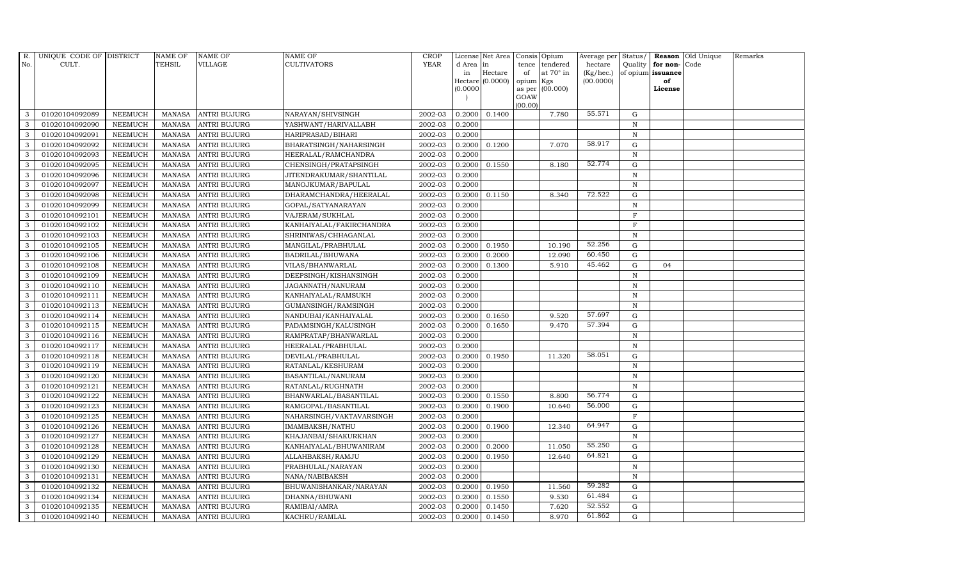| R.           | UNIQUE CODE OF DISTRICT |                | NAME OF       | <b>NAME OF</b>      | <b>NAME OF</b>           | CROP        |           | License Net Area |         | Consis Opium           | Average per | Status/      |                   | Reason Old Unique | Remarks |
|--------------|-------------------------|----------------|---------------|---------------------|--------------------------|-------------|-----------|------------------|---------|------------------------|-------------|--------------|-------------------|-------------------|---------|
| No.          | CULT.                   |                | TEHSIL        | VILLAGE             | <b>CULTIVATORS</b>       | <b>YEAR</b> | d Area in |                  | tence   | tendered               | hectare     | Quality      | for non-          | Code              |         |
|              |                         |                |               |                     |                          |             | in        | Hectare          | of      | at $70^\circ$ in       | (Kg/hec.)   |              | of opium issuance |                   |         |
|              |                         |                |               |                     |                          |             | (0.0000)  | Hectare (0.0000) | opium   | Kgs<br>as per (00.000) | (00.0000)   |              | of<br>License     |                   |         |
|              |                         |                |               |                     |                          |             |           |                  | GOAW    |                        |             |              |                   |                   |         |
|              |                         |                |               |                     |                          |             |           |                  | (00.00) |                        |             |              |                   |                   |         |
| 3            | 01020104092089          | <b>NEEMUCH</b> | MANASA        | <b>ANTRI BUJURG</b> | NARAYAN/SHIVSINGH        | 2002-03     | 0.2000    | 0.1400           |         | 7.780                  | 55.571      | G            |                   |                   |         |
| 3            | 01020104092090          | <b>NEEMUCH</b> | MANASA        | <b>ANTRI BUJURG</b> | YASHWANT/HARIVALLABH     | 2002-03     | 0.2000    |                  |         |                        |             | $\, {\bf N}$ |                   |                   |         |
| 3            | 01020104092091          | <b>NEEMUCH</b> | MANASA        | <b>ANTRI BUJURG</b> | HARIPRASAD/BIHARI        | 2002-03     | 0.2000    |                  |         |                        |             | N            |                   |                   |         |
| 3            | 01020104092092          | <b>NEEMUCH</b> | MANASA        | <b>ANTRI BUJURG</b> | BHARATSINGH/NAHARSINGH   | 2002-03     | 0.2000    | 0.1200           |         | 7.070                  | 58.917      | $\mathbf G$  |                   |                   |         |
| 3            | 01020104092093          | <b>NEEMUCH</b> | MANASA        | <b>ANTRI BUJURG</b> | HEERALAL/RAMCHANDRA      | 2002-03     | 0.2000    |                  |         |                        |             | N            |                   |                   |         |
| $\mathbf{3}$ | 01020104092095          | <b>NEEMUCH</b> | <b>MANASA</b> | <b>ANTRI BUJURG</b> | CHENSINGH/PRATAPSINGH    | 2002-03     | 0.2000    | 0.1550           |         | 8.180                  | 52.774      | G            |                   |                   |         |
| 3            | 01020104092096          | <b>NEEMUCH</b> |               | MANASA ANTRI BUJURG | JITENDRAKUMAR/SHANTILAL  | 2002-03     | 0.2000    |                  |         |                        |             | $\, {\rm N}$ |                   |                   |         |
| 3            | 01020104092097          | <b>NEEMUCH</b> | MANASA        | <b>ANTRI BUJURG</b> | MANOJKUMAR/BAPULAL       | 2002-03     | 0.2000    |                  |         |                        |             | N            |                   |                   |         |
| 3            | 01020104092098          | <b>NEEMUCH</b> | MANASA        | <b>ANTRI BUJURG</b> | DHARAMCHANDRA/HEERALAL   | 2002-03     | 0.2000    | 0.1150           |         | 8.340                  | 72.522      | $\mathbf G$  |                   |                   |         |
| 3            | 01020104092099          | <b>NEEMUCH</b> | MANASA        | <b>ANTRI BUJURG</b> | GOPAL/SATYANARAYAN       | 2002-03     | 0.2000    |                  |         |                        |             | $\, {\bf N}$ |                   |                   |         |
| 3            | 01020104092101          | <b>NEEMUCH</b> | MANASA        | <b>ANTRI BUJURG</b> | VAJERAM/SUKHLAL          | 2002-03     | 0.2000    |                  |         |                        |             | $\mathbf F$  |                   |                   |         |
| 3            | 01020104092102          | <b>NEEMUCH</b> | MANASA        | <b>ANTRI BUJURG</b> | KANHAIYALAL/FAKIRCHANDRA | 2002-03     | 0.2000    |                  |         |                        |             | $\mathbf F$  |                   |                   |         |
| $\mathbf{3}$ | 01020104092103          | <b>NEEMUCH</b> | MANASA        | <b>ANTRI BUJURG</b> | SHRINIWAS/CHHAGANLAL     | 2002-03     | 0.2000    |                  |         |                        |             | N            |                   |                   |         |
| 3            | 01020104092105          | <b>NEEMUCH</b> | MANASA        | <b>ANTRI BUJURG</b> | MANGILAL/PRABHULAL       | 2002-03     | 0.2000    | 0.1950           |         | 10.190                 | 52.256      | $\mathbf G$  |                   |                   |         |
| 3            | 01020104092106          | <b>NEEMUCH</b> | <b>MANASA</b> | <b>ANTRI BUJURG</b> | BADRILAL/BHUWANA         | 2002-03     | 0.2000    | 0.2000           |         | 12.090                 | 60.450      | ${\rm G}$    |                   |                   |         |
| 3            | 01020104092108          | <b>NEEMUCH</b> | MANASA        | <b>ANTRI BUJURG</b> | VILAS/BHANWARLAL         | 2002-03     | 0.2000    | 0.1300           |         | 5.910                  | 45.462      | G            | 04                |                   |         |
| 3            | 01020104092109          | <b>NEEMUCH</b> | MANASA        | <b>ANTRI BUJURG</b> | DEEPSINGH/KISHANSINGH    | 2002-03     | 0.2000    |                  |         |                        |             | $\mathbf N$  |                   |                   |         |
| 3            | 01020104092110          | <b>NEEMUCH</b> | MANASA        | <b>ANTRI BUJURG</b> | JAGANNATH/NANURAM        | 2002-03     | 0.2000    |                  |         |                        |             | N            |                   |                   |         |
| 3            | 01020104092111          | <b>NEEMUCH</b> | MANASA        | <b>ANTRI BUJURG</b> | KANHAIYALAL/RAMSUKH      | 2002-03     | 0.2000    |                  |         |                        |             | $\mathbf N$  |                   |                   |         |
| 3            | 01020104092113          | <b>NEEMUCH</b> | MANASA        | <b>ANTRI BUJURG</b> | GUMANSINGH/RAMSINGH      | 2002-03     | 0.2000    |                  |         |                        |             | $\, {\bf N}$ |                   |                   |         |
| 3            | 01020104092114          | <b>NEEMUCH</b> | MANASA        | <b>ANTRI BUJURG</b> | NANDUBAI/KANHAIYALAL     | 2002-03     | 0.2000    | 0.1650           |         | 9.520                  | 57.697      | G            |                   |                   |         |
| 3            | 01020104092115          | <b>NEEMUCH</b> | MANASA        | <b>ANTRI BUJURG</b> | PADAMSINGH/KALUSINGH     | 2002-03     | 0.2000    | 0.1650           |         | 9.470                  | 57.394      | G            |                   |                   |         |
| 3            | 01020104092116          | <b>NEEMUCH</b> | MANASA        | <b>ANTRI BUJURG</b> | RAMPRATAP/BHANWARLAL     | 2002-03     | 0.2000    |                  |         |                        |             | $\, {\bf N}$ |                   |                   |         |
| 3            | 01020104092117          | <b>NEEMUCH</b> | MANASA        | <b>ANTRI BUJURG</b> | HEERALAL/PRABHULAL       | 2002-03     | 0.2000    |                  |         |                        |             | $\mathbf N$  |                   |                   |         |
| 3            | 01020104092118          | <b>NEEMUCH</b> | <b>MANASA</b> | <b>ANTRI BUJURG</b> | DEVILAL/PRABHULAL        | 2002-03     | 0.2000    | 0.1950           |         | 11.320                 | 58.051      | $\mathbf G$  |                   |                   |         |
| $\mathbf{3}$ | 01020104092119          | <b>NEEMUCH</b> | MANASA        | <b>ANTRI BUJURG</b> | RATANLAL/KESHURAM        | 2002-03     | 0.2000    |                  |         |                        |             | $\mathbf N$  |                   |                   |         |
| 3            | 01020104092120          | <b>NEEMUCH</b> | MANASA        | <b>ANTRI BUJURG</b> | BASANTILAL/NANURAM       | 2002-03     | 0.2000    |                  |         |                        |             | $\mathbf N$  |                   |                   |         |
| 3            | 01020104092121          | <b>NEEMUCH</b> | MANASA        | <b>ANTRI BUJURG</b> | RATANLAL/RUGHNATH        | 2002-03     | 0.2000    |                  |         |                        |             | $\, {\bf N}$ |                   |                   |         |
| 3            | 01020104092122          | <b>NEEMUCH</b> | MANASA        | <b>ANTRI BUJURG</b> | BHANWARLAL/BASANTILAL    | 2002-03     | 0.2000    | 0.1550           |         | 8.800                  | 56.774      | $\mathbf G$  |                   |                   |         |
| 3            | 01020104092123          | <b>NEEMUCH</b> | MANASA        | <b>ANTRI BUJURG</b> | RAMGOPAL/BASANTILAL      | 2002-03     | 0.2000    | 0.1900           |         | 10.640                 | 56.000      | $\mathbf G$  |                   |                   |         |
| 3            | 01020104092125          | <b>NEEMUCH</b> | MANASA        | <b>ANTRI BUJURG</b> | NAHARSINGH/VAKTAVARSINGH | 2002-03     | 0.2000    |                  |         |                        |             | $\mathbf{F}$ |                   |                   |         |
| $\mathbf{3}$ | 01020104092126          | <b>NEEMUCH</b> | <b>MANASA</b> | <b>ANTRI BUJURG</b> | <b>IMAMBAKSH/NATHU</b>   | 2002-03     | 0.2000    | 0.1900           |         | 12.340                 | 64.947      | G            |                   |                   |         |
| 3            | 01020104092127          | <b>NEEMUCH</b> | MANASA        | <b>ANTRI BUJURG</b> | KHAJANBAI/SHAKURKHAN     | 2002-03     | 0.2000    |                  |         |                        |             | $\, {\bf N}$ |                   |                   |         |
| 3            | 01020104092128          | <b>NEEMUCH</b> | MANASA        | <b>ANTRI BUJURG</b> | KANHAIYALAL/BHUWANIRAM   | 2002-03     | 0.2000    | 0.2000           |         | 11.050                 | 55.250      | $\mathbf G$  |                   |                   |         |
| 3            | 01020104092129          | <b>NEEMUCH</b> | <b>MANASA</b> | <b>ANTRI BUJURG</b> | ALLAHBAKSH/RAMJU         | 2002-03     | 0.2000    | 0.1950           |         | 12.640                 | 64.821      | $\mathbf G$  |                   |                   |         |
| 3            | 01020104092130          | <b>NEEMUCH</b> | MANASA        | <b>ANTRI BUJURG</b> | PRABHULAL/NARAYAN        | 2002-03     | 0.2000    |                  |         |                        |             | $\, {\bf N}$ |                   |                   |         |
| 3            | 01020104092131          | <b>NEEMUCH</b> | <b>MANASA</b> | <b>ANTRI BUJURG</b> | NANA/NABIBAKSH           | 2002-03     | 0.2000    |                  |         |                        |             | N            |                   |                   |         |
| 3            | 01020104092132          | <b>NEEMUCH</b> | MANASA        | <b>ANTRI BUJURG</b> | BHUWANISHANKAR/NARAYAN   | 2002-03     | 0.2000    | 0.1950           |         | 11.560                 | 59.282      | G            |                   |                   |         |
| 3            | 01020104092134          | <b>NEEMUCH</b> | MANASA        | <b>ANTRI BUJURG</b> | DHANNA/BHUWANI           | 2002-03     | 0.2000    | 0.1550           |         | 9.530                  | 61.484      | G            |                   |                   |         |
| 3            | 01020104092135          | <b>NEEMUCH</b> | <b>MANASA</b> | <b>ANTRI BUJURG</b> | RAMIBAI/AMRA             | 2002-03     | 0.2000    | 0.1450           |         | 7.620                  | 52.552      | $\mathbf G$  |                   |                   |         |
| 3            | 01020104092140          | <b>NEEMUCH</b> |               | MANASA ANTRI BUJURG | KACHRU/RAMLAL            | 2002-03     | 0.2000    | 0.1450           |         | 8.970                  | 61.862      | G            |                   |                   |         |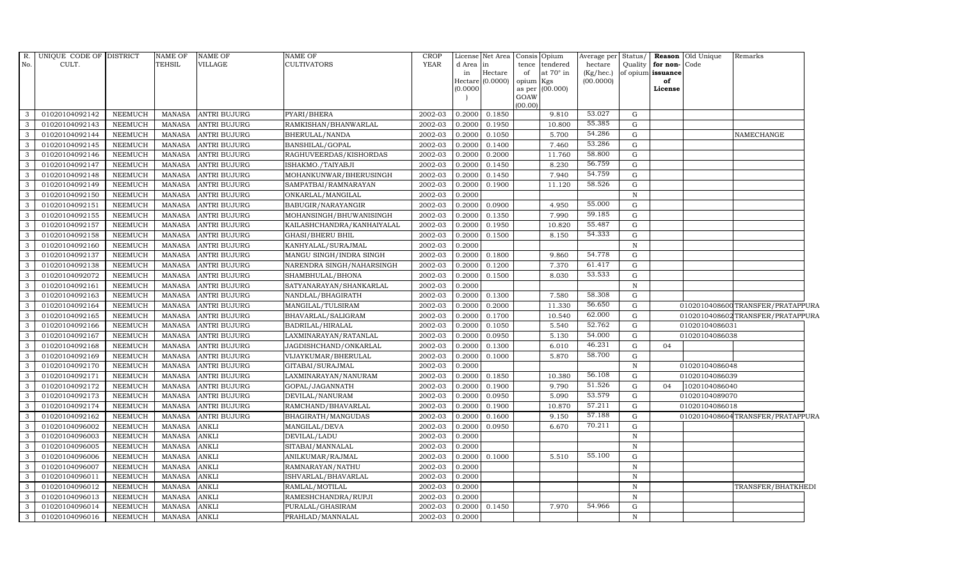| No.<br>CULT.<br>TEHSIL<br>VILLAGE<br><b>CULTIVATORS</b><br>YEAR<br>hectare<br>Quality<br>d Area  in<br>tendered<br>for non-<br>Code<br>tence<br>$\rm{Hectare}$<br>at $70^\circ$ in<br>of opium issuance<br>(Kg/hec.)<br>in<br>of<br>Hectare $(0.0000)$<br>opium Kgs<br>(00.0000)<br>of<br>(0.0000)<br>as per (00.000)<br>License<br>GOAW<br>(00.00)<br>53.027<br>0.2000<br>G<br>01020104092142<br><b>NEEMUCH</b><br><b>MANASA</b><br><b>ANTRI BUJURG</b><br>PYARI/BHERA<br>2002-03<br>0.1850<br>9.810<br>$\mathbf{3}$<br>55.385<br>RAMKISHAN/BHANWARLAL<br>10.800<br>01020104092143<br><b>NEEMUCH</b><br><b>MANASA</b><br><b>ANTRI BUJURG</b><br>2002-03<br>0.2000<br>0.1950<br>G<br>3<br>54.286<br>5.700<br>$\mathbf{3}$<br>01020104092144<br>NEEMUCH<br><b>ANTRI BUJURG</b><br>2002-03<br>0.2000<br><b>MANASA</b><br><b>BHERULAL/NANDA</b><br>0.1050<br>G<br>NAMECHANGE<br>53.286<br>01020104092145<br><b>NEEMUCH</b><br><b>MANASA</b><br><b>BANSHILAL/GOPAL</b><br>0.2000<br>0.1400<br>7.460<br>3<br><b>ANTRI BUJURG</b><br>2002-03<br>G<br>58.800<br>01020104092146<br><b>NEEMUCH</b><br><b>ANTRI BUJURG</b><br>0.2000<br>11.760<br>G<br>3<br><b>MANASA</b><br>RAGHUVEERDAS/KISHORDAS<br>2002-03<br>0.2000<br>56.759<br>01020104092147<br><b>NEEMUCH</b><br><b>MANASA</b><br>2002-03<br>0.2000<br>0.1450<br>8.230<br>G<br>$\mathbf{3}$<br>ANTRI BUJURG<br>ISHAKMO./TAIYABJI<br>54.759<br>01020104092148<br><b>NEEMUCH</b><br><b>ANTRI BUJURG</b><br>2002-03<br>0.2000<br>7.940<br>G<br>$\mathbf{3}$<br><b>MANASA</b><br>MOHANKUNWAR/BHERUSINGH<br>0.1450<br>58.526<br>$\mathbf{3}$<br>01020104092149<br>2002-03<br>0.2000<br>11.120<br>NEEMUCH<br><b>MANASA</b><br><b>ANTRI BUJURG</b><br>SAMPATBAI/RAMNARAYAN<br>0.1900<br>G<br>3<br>01020104092150<br>NEEMUCH<br><b>MANASA</b><br><b>ANTRI BUJURG</b><br>ONKARLAL/MANGILAL<br>2002-03<br>0.2000<br>$\mathbb N$<br>55.000<br>3<br>01020104092151<br><b>NEEMUCH</b><br><b>MANASA</b><br><b>ANTRI BUJURG</b><br><b>BABUGIR/NARAYANGIR</b><br>2002-03<br>0.2000<br>0.0900<br>4.950<br>G<br>59.185<br>7.990<br>01020104092155<br>NEEMUCH<br><b>MANASA</b><br><b>ANTRI BUJURG</b><br>2002-03<br>0.2000<br>0.1350<br>G<br>3<br>MOHANSINGH/BHUWANISINGH<br>55.487<br>01020104092157<br>0.2000<br>10.820<br>$\mathbf{3}$<br><b>NEEMUCH</b><br><b>MANASA</b><br><b>ANTRI BUJURG</b><br>KAILASHCHANDRA/KANHAIYALAL<br>2002-03<br>0.1950<br>G<br>54.333<br>$\mathbf{3}$<br>01020104092158<br><b>NEEMUCH</b><br><b>ANTRI BUJURG</b><br>2002-03<br>0.2000<br>8.150<br>G<br><b>MANASA</b><br><b>GHASI/BHERU BHIL</b><br>0.1500<br>01020104092160<br>NEEMUCH<br><b>MANASA</b><br><b>ANTRI BUJURG</b><br>KANHYALAL/SURAJMAL<br>2002-03<br>0.2000<br>3<br>N<br>54.778<br>9.860<br>3<br>01020104092137<br><b>NEEMUCH</b><br><b>MANASA</b><br><b>ANTRI BUJURG</b><br>MANGU SINGH/INDRA SINGH<br>2002-03<br>0.2000<br>0.1800<br>G<br>61.417<br>3<br>01020104092138<br><b>NEEMUCH</b><br><b>MANASA</b><br><b>ANTRI BUJURG</b><br>0.2000<br>7.370<br>G<br>NARENDRA SINGH/NAHARSINGH<br>2002-03<br>0.1200<br>53.533<br>01020104092072<br><b>NEEMUCH</b><br><b>MANASA</b><br><b>ANTRI BUJURG</b><br>SHAMBHULAL/BHONA<br>2002-03<br>0.2000<br>8.030<br>3<br>0.1500<br>G<br>$\mathbf{3}$<br>01020104092161<br><b>NEEMUCH</b><br><b>MANASA</b><br>ANTRI BUJURG<br>SATYANARAYAN/SHANKARLAL<br>2002-03<br>0.2000<br>$\mathbb N$<br>58.308<br>01020104092163<br>2002-03<br>0.2000<br>7.580<br>3<br>NEEMUCH<br><b>MANASA</b><br><b>ANTRI BUJURG</b><br>NANDLAL/BHAGIRATH<br>0.1300<br>G<br>56.650<br>01020104092164<br><b>NEEMUCH</b><br><b>ANTRI BUJURG</b><br>0.2000<br>0.2000<br>11.330<br>0102010408600TRANSFER/PRATAPPURA<br>3<br><b>MANASA</b><br>2002-03<br>G |
|--------------------------------------------------------------------------------------------------------------------------------------------------------------------------------------------------------------------------------------------------------------------------------------------------------------------------------------------------------------------------------------------------------------------------------------------------------------------------------------------------------------------------------------------------------------------------------------------------------------------------------------------------------------------------------------------------------------------------------------------------------------------------------------------------------------------------------------------------------------------------------------------------------------------------------------------------------------------------------------------------------------------------------------------------------------------------------------------------------------------------------------------------------------------------------------------------------------------------------------------------------------------------------------------------------------------------------------------------------------------------------------------------------------------------------------------------------------------------------------------------------------------------------------------------------------------------------------------------------------------------------------------------------------------------------------------------------------------------------------------------------------------------------------------------------------------------------------------------------------------------------------------------------------------------------------------------------------------------------------------------------------------------------------------------------------------------------------------------------------------------------------------------------------------------------------------------------------------------------------------------------------------------------------------------------------------------------------------------------------------------------------------------------------------------------------------------------------------------------------------------------------------------------------------------------------------------------------------------------------------------------------------------------------------------------------------------------------------------------------------------------------------------------------------------------------------------------------------------------------------------------------------------------------------------------------------------------------------------------------------------------------------------------------------------------------------------------------------------------------------------------------------------------------------------------------------------------------------------------------------------------------------------------------------------------------------------------------------------------------------------------------------------------------------------------------------------------------------------------------------------------------------------------------------------------------------------------------------------------------------------------------------------------------------------------------------|
|                                                                                                                                                                                                                                                                                                                                                                                                                                                                                                                                                                                                                                                                                                                                                                                                                                                                                                                                                                                                                                                                                                                                                                                                                                                                                                                                                                                                                                                                                                                                                                                                                                                                                                                                                                                                                                                                                                                                                                                                                                                                                                                                                                                                                                                                                                                                                                                                                                                                                                                                                                                                                                                                                                                                                                                                                                                                                                                                                                                                                                                                                                                                                                                                                                                                                                                                                                                                                                                                                                                                                                                                                                                                                            |
|                                                                                                                                                                                                                                                                                                                                                                                                                                                                                                                                                                                                                                                                                                                                                                                                                                                                                                                                                                                                                                                                                                                                                                                                                                                                                                                                                                                                                                                                                                                                                                                                                                                                                                                                                                                                                                                                                                                                                                                                                                                                                                                                                                                                                                                                                                                                                                                                                                                                                                                                                                                                                                                                                                                                                                                                                                                                                                                                                                                                                                                                                                                                                                                                                                                                                                                                                                                                                                                                                                                                                                                                                                                                                            |
|                                                                                                                                                                                                                                                                                                                                                                                                                                                                                                                                                                                                                                                                                                                                                                                                                                                                                                                                                                                                                                                                                                                                                                                                                                                                                                                                                                                                                                                                                                                                                                                                                                                                                                                                                                                                                                                                                                                                                                                                                                                                                                                                                                                                                                                                                                                                                                                                                                                                                                                                                                                                                                                                                                                                                                                                                                                                                                                                                                                                                                                                                                                                                                                                                                                                                                                                                                                                                                                                                                                                                                                                                                                                                            |
|                                                                                                                                                                                                                                                                                                                                                                                                                                                                                                                                                                                                                                                                                                                                                                                                                                                                                                                                                                                                                                                                                                                                                                                                                                                                                                                                                                                                                                                                                                                                                                                                                                                                                                                                                                                                                                                                                                                                                                                                                                                                                                                                                                                                                                                                                                                                                                                                                                                                                                                                                                                                                                                                                                                                                                                                                                                                                                                                                                                                                                                                                                                                                                                                                                                                                                                                                                                                                                                                                                                                                                                                                                                                                            |
|                                                                                                                                                                                                                                                                                                                                                                                                                                                                                                                                                                                                                                                                                                                                                                                                                                                                                                                                                                                                                                                                                                                                                                                                                                                                                                                                                                                                                                                                                                                                                                                                                                                                                                                                                                                                                                                                                                                                                                                                                                                                                                                                                                                                                                                                                                                                                                                                                                                                                                                                                                                                                                                                                                                                                                                                                                                                                                                                                                                                                                                                                                                                                                                                                                                                                                                                                                                                                                                                                                                                                                                                                                                                                            |
|                                                                                                                                                                                                                                                                                                                                                                                                                                                                                                                                                                                                                                                                                                                                                                                                                                                                                                                                                                                                                                                                                                                                                                                                                                                                                                                                                                                                                                                                                                                                                                                                                                                                                                                                                                                                                                                                                                                                                                                                                                                                                                                                                                                                                                                                                                                                                                                                                                                                                                                                                                                                                                                                                                                                                                                                                                                                                                                                                                                                                                                                                                                                                                                                                                                                                                                                                                                                                                                                                                                                                                                                                                                                                            |
|                                                                                                                                                                                                                                                                                                                                                                                                                                                                                                                                                                                                                                                                                                                                                                                                                                                                                                                                                                                                                                                                                                                                                                                                                                                                                                                                                                                                                                                                                                                                                                                                                                                                                                                                                                                                                                                                                                                                                                                                                                                                                                                                                                                                                                                                                                                                                                                                                                                                                                                                                                                                                                                                                                                                                                                                                                                                                                                                                                                                                                                                                                                                                                                                                                                                                                                                                                                                                                                                                                                                                                                                                                                                                            |
|                                                                                                                                                                                                                                                                                                                                                                                                                                                                                                                                                                                                                                                                                                                                                                                                                                                                                                                                                                                                                                                                                                                                                                                                                                                                                                                                                                                                                                                                                                                                                                                                                                                                                                                                                                                                                                                                                                                                                                                                                                                                                                                                                                                                                                                                                                                                                                                                                                                                                                                                                                                                                                                                                                                                                                                                                                                                                                                                                                                                                                                                                                                                                                                                                                                                                                                                                                                                                                                                                                                                                                                                                                                                                            |
|                                                                                                                                                                                                                                                                                                                                                                                                                                                                                                                                                                                                                                                                                                                                                                                                                                                                                                                                                                                                                                                                                                                                                                                                                                                                                                                                                                                                                                                                                                                                                                                                                                                                                                                                                                                                                                                                                                                                                                                                                                                                                                                                                                                                                                                                                                                                                                                                                                                                                                                                                                                                                                                                                                                                                                                                                                                                                                                                                                                                                                                                                                                                                                                                                                                                                                                                                                                                                                                                                                                                                                                                                                                                                            |
|                                                                                                                                                                                                                                                                                                                                                                                                                                                                                                                                                                                                                                                                                                                                                                                                                                                                                                                                                                                                                                                                                                                                                                                                                                                                                                                                                                                                                                                                                                                                                                                                                                                                                                                                                                                                                                                                                                                                                                                                                                                                                                                                                                                                                                                                                                                                                                                                                                                                                                                                                                                                                                                                                                                                                                                                                                                                                                                                                                                                                                                                                                                                                                                                                                                                                                                                                                                                                                                                                                                                                                                                                                                                                            |
|                                                                                                                                                                                                                                                                                                                                                                                                                                                                                                                                                                                                                                                                                                                                                                                                                                                                                                                                                                                                                                                                                                                                                                                                                                                                                                                                                                                                                                                                                                                                                                                                                                                                                                                                                                                                                                                                                                                                                                                                                                                                                                                                                                                                                                                                                                                                                                                                                                                                                                                                                                                                                                                                                                                                                                                                                                                                                                                                                                                                                                                                                                                                                                                                                                                                                                                                                                                                                                                                                                                                                                                                                                                                                            |
|                                                                                                                                                                                                                                                                                                                                                                                                                                                                                                                                                                                                                                                                                                                                                                                                                                                                                                                                                                                                                                                                                                                                                                                                                                                                                                                                                                                                                                                                                                                                                                                                                                                                                                                                                                                                                                                                                                                                                                                                                                                                                                                                                                                                                                                                                                                                                                                                                                                                                                                                                                                                                                                                                                                                                                                                                                                                                                                                                                                                                                                                                                                                                                                                                                                                                                                                                                                                                                                                                                                                                                                                                                                                                            |
|                                                                                                                                                                                                                                                                                                                                                                                                                                                                                                                                                                                                                                                                                                                                                                                                                                                                                                                                                                                                                                                                                                                                                                                                                                                                                                                                                                                                                                                                                                                                                                                                                                                                                                                                                                                                                                                                                                                                                                                                                                                                                                                                                                                                                                                                                                                                                                                                                                                                                                                                                                                                                                                                                                                                                                                                                                                                                                                                                                                                                                                                                                                                                                                                                                                                                                                                                                                                                                                                                                                                                                                                                                                                                            |
|                                                                                                                                                                                                                                                                                                                                                                                                                                                                                                                                                                                                                                                                                                                                                                                                                                                                                                                                                                                                                                                                                                                                                                                                                                                                                                                                                                                                                                                                                                                                                                                                                                                                                                                                                                                                                                                                                                                                                                                                                                                                                                                                                                                                                                                                                                                                                                                                                                                                                                                                                                                                                                                                                                                                                                                                                                                                                                                                                                                                                                                                                                                                                                                                                                                                                                                                                                                                                                                                                                                                                                                                                                                                                            |
|                                                                                                                                                                                                                                                                                                                                                                                                                                                                                                                                                                                                                                                                                                                                                                                                                                                                                                                                                                                                                                                                                                                                                                                                                                                                                                                                                                                                                                                                                                                                                                                                                                                                                                                                                                                                                                                                                                                                                                                                                                                                                                                                                                                                                                                                                                                                                                                                                                                                                                                                                                                                                                                                                                                                                                                                                                                                                                                                                                                                                                                                                                                                                                                                                                                                                                                                                                                                                                                                                                                                                                                                                                                                                            |
|                                                                                                                                                                                                                                                                                                                                                                                                                                                                                                                                                                                                                                                                                                                                                                                                                                                                                                                                                                                                                                                                                                                                                                                                                                                                                                                                                                                                                                                                                                                                                                                                                                                                                                                                                                                                                                                                                                                                                                                                                                                                                                                                                                                                                                                                                                                                                                                                                                                                                                                                                                                                                                                                                                                                                                                                                                                                                                                                                                                                                                                                                                                                                                                                                                                                                                                                                                                                                                                                                                                                                                                                                                                                                            |
|                                                                                                                                                                                                                                                                                                                                                                                                                                                                                                                                                                                                                                                                                                                                                                                                                                                                                                                                                                                                                                                                                                                                                                                                                                                                                                                                                                                                                                                                                                                                                                                                                                                                                                                                                                                                                                                                                                                                                                                                                                                                                                                                                                                                                                                                                                                                                                                                                                                                                                                                                                                                                                                                                                                                                                                                                                                                                                                                                                                                                                                                                                                                                                                                                                                                                                                                                                                                                                                                                                                                                                                                                                                                                            |
|                                                                                                                                                                                                                                                                                                                                                                                                                                                                                                                                                                                                                                                                                                                                                                                                                                                                                                                                                                                                                                                                                                                                                                                                                                                                                                                                                                                                                                                                                                                                                                                                                                                                                                                                                                                                                                                                                                                                                                                                                                                                                                                                                                                                                                                                                                                                                                                                                                                                                                                                                                                                                                                                                                                                                                                                                                                                                                                                                                                                                                                                                                                                                                                                                                                                                                                                                                                                                                                                                                                                                                                                                                                                                            |
|                                                                                                                                                                                                                                                                                                                                                                                                                                                                                                                                                                                                                                                                                                                                                                                                                                                                                                                                                                                                                                                                                                                                                                                                                                                                                                                                                                                                                                                                                                                                                                                                                                                                                                                                                                                                                                                                                                                                                                                                                                                                                                                                                                                                                                                                                                                                                                                                                                                                                                                                                                                                                                                                                                                                                                                                                                                                                                                                                                                                                                                                                                                                                                                                                                                                                                                                                                                                                                                                                                                                                                                                                                                                                            |
|                                                                                                                                                                                                                                                                                                                                                                                                                                                                                                                                                                                                                                                                                                                                                                                                                                                                                                                                                                                                                                                                                                                                                                                                                                                                                                                                                                                                                                                                                                                                                                                                                                                                                                                                                                                                                                                                                                                                                                                                                                                                                                                                                                                                                                                                                                                                                                                                                                                                                                                                                                                                                                                                                                                                                                                                                                                                                                                                                                                                                                                                                                                                                                                                                                                                                                                                                                                                                                                                                                                                                                                                                                                                                            |
|                                                                                                                                                                                                                                                                                                                                                                                                                                                                                                                                                                                                                                                                                                                                                                                                                                                                                                                                                                                                                                                                                                                                                                                                                                                                                                                                                                                                                                                                                                                                                                                                                                                                                                                                                                                                                                                                                                                                                                                                                                                                                                                                                                                                                                                                                                                                                                                                                                                                                                                                                                                                                                                                                                                                                                                                                                                                                                                                                                                                                                                                                                                                                                                                                                                                                                                                                                                                                                                                                                                                                                                                                                                                                            |
|                                                                                                                                                                                                                                                                                                                                                                                                                                                                                                                                                                                                                                                                                                                                                                                                                                                                                                                                                                                                                                                                                                                                                                                                                                                                                                                                                                                                                                                                                                                                                                                                                                                                                                                                                                                                                                                                                                                                                                                                                                                                                                                                                                                                                                                                                                                                                                                                                                                                                                                                                                                                                                                                                                                                                                                                                                                                                                                                                                                                                                                                                                                                                                                                                                                                                                                                                                                                                                                                                                                                                                                                                                                                                            |
|                                                                                                                                                                                                                                                                                                                                                                                                                                                                                                                                                                                                                                                                                                                                                                                                                                                                                                                                                                                                                                                                                                                                                                                                                                                                                                                                                                                                                                                                                                                                                                                                                                                                                                                                                                                                                                                                                                                                                                                                                                                                                                                                                                                                                                                                                                                                                                                                                                                                                                                                                                                                                                                                                                                                                                                                                                                                                                                                                                                                                                                                                                                                                                                                                                                                                                                                                                                                                                                                                                                                                                                                                                                                                            |
|                                                                                                                                                                                                                                                                                                                                                                                                                                                                                                                                                                                                                                                                                                                                                                                                                                                                                                                                                                                                                                                                                                                                                                                                                                                                                                                                                                                                                                                                                                                                                                                                                                                                                                                                                                                                                                                                                                                                                                                                                                                                                                                                                                                                                                                                                                                                                                                                                                                                                                                                                                                                                                                                                                                                                                                                                                                                                                                                                                                                                                                                                                                                                                                                                                                                                                                                                                                                                                                                                                                                                                                                                                                                                            |
| MANGILAL/TULSIRAM                                                                                                                                                                                                                                                                                                                                                                                                                                                                                                                                                                                                                                                                                                                                                                                                                                                                                                                                                                                                                                                                                                                                                                                                                                                                                                                                                                                                                                                                                                                                                                                                                                                                                                                                                                                                                                                                                                                                                                                                                                                                                                                                                                                                                                                                                                                                                                                                                                                                                                                                                                                                                                                                                                                                                                                                                                                                                                                                                                                                                                                                                                                                                                                                                                                                                                                                                                                                                                                                                                                                                                                                                                                                          |
| 62.000<br><b>NEEMUCH</b><br>0.1700<br>10.540<br>0102010408602TRANSFER/PRATAPPURA<br>3<br>01020104092165<br><b>MANASA</b><br><b>ANTRI BUJURG</b><br>2002-03<br>0.2000<br>G<br>BHAVARLAL/SALIGRAM                                                                                                                                                                                                                                                                                                                                                                                                                                                                                                                                                                                                                                                                                                                                                                                                                                                                                                                                                                                                                                                                                                                                                                                                                                                                                                                                                                                                                                                                                                                                                                                                                                                                                                                                                                                                                                                                                                                                                                                                                                                                                                                                                                                                                                                                                                                                                                                                                                                                                                                                                                                                                                                                                                                                                                                                                                                                                                                                                                                                                                                                                                                                                                                                                                                                                                                                                                                                                                                                                            |
| 52.762<br>01020104092166<br>NEEMUCH<br><b>MANASA</b><br><b>ANTRI BUJURG</b><br>BADRILAL/HIRALAL<br>2002-03<br>0.2000<br>0.1050<br>5.540<br>G<br>01020104086031<br>3                                                                                                                                                                                                                                                                                                                                                                                                                                                                                                                                                                                                                                                                                                                                                                                                                                                                                                                                                                                                                                                                                                                                                                                                                                                                                                                                                                                                                                                                                                                                                                                                                                                                                                                                                                                                                                                                                                                                                                                                                                                                                                                                                                                                                                                                                                                                                                                                                                                                                                                                                                                                                                                                                                                                                                                                                                                                                                                                                                                                                                                                                                                                                                                                                                                                                                                                                                                                                                                                                                                        |
| 54.000<br>01020104092167<br><b>NEEMUCH</b><br>0.2000<br>$\mathbf{3}$<br><b>MANASA</b><br><b>ANTRI BUJURG</b><br>LAXMINARAYAN/RATANLAL<br>2002-03<br>0.0950<br>5.130<br>G<br>01020104086038                                                                                                                                                                                                                                                                                                                                                                                                                                                                                                                                                                                                                                                                                                                                                                                                                                                                                                                                                                                                                                                                                                                                                                                                                                                                                                                                                                                                                                                                                                                                                                                                                                                                                                                                                                                                                                                                                                                                                                                                                                                                                                                                                                                                                                                                                                                                                                                                                                                                                                                                                                                                                                                                                                                                                                                                                                                                                                                                                                                                                                                                                                                                                                                                                                                                                                                                                                                                                                                                                                 |
| 46.231<br>01020104092168<br>2002-03<br>3<br>NEEMUCH<br><b>MANASA</b><br><b>ANTRI BUJURG</b><br>JAGDISHCHAND/ONKARLAL<br>0.2000<br>0.1300<br>6.010<br>G<br>04                                                                                                                                                                                                                                                                                                                                                                                                                                                                                                                                                                                                                                                                                                                                                                                                                                                                                                                                                                                                                                                                                                                                                                                                                                                                                                                                                                                                                                                                                                                                                                                                                                                                                                                                                                                                                                                                                                                                                                                                                                                                                                                                                                                                                                                                                                                                                                                                                                                                                                                                                                                                                                                                                                                                                                                                                                                                                                                                                                                                                                                                                                                                                                                                                                                                                                                                                                                                                                                                                                                               |
| 58.700<br>3<br>01020104092169<br>NEEMUCH<br><b>ANTRI BUJURG</b><br>VIJAYKUMAR/BHERULAL<br>2002-03<br>0.2000<br>0.1000<br>5.870<br><b>MANASA</b><br>G                                                                                                                                                                                                                                                                                                                                                                                                                                                                                                                                                                                                                                                                                                                                                                                                                                                                                                                                                                                                                                                                                                                                                                                                                                                                                                                                                                                                                                                                                                                                                                                                                                                                                                                                                                                                                                                                                                                                                                                                                                                                                                                                                                                                                                                                                                                                                                                                                                                                                                                                                                                                                                                                                                                                                                                                                                                                                                                                                                                                                                                                                                                                                                                                                                                                                                                                                                                                                                                                                                                                       |
| <b>NEEMUCH</b><br><b>ANTRI BUJURG</b><br>0.2000<br>3<br>01020104092170<br><b>MANASA</b><br>GITABAI/SURAJMAL<br>2002-03<br>N<br>01020104086048                                                                                                                                                                                                                                                                                                                                                                                                                                                                                                                                                                                                                                                                                                                                                                                                                                                                                                                                                                                                                                                                                                                                                                                                                                                                                                                                                                                                                                                                                                                                                                                                                                                                                                                                                                                                                                                                                                                                                                                                                                                                                                                                                                                                                                                                                                                                                                                                                                                                                                                                                                                                                                                                                                                                                                                                                                                                                                                                                                                                                                                                                                                                                                                                                                                                                                                                                                                                                                                                                                                                              |
| 56.108<br>3<br>01020104092171<br>NEEMUCH<br><b>MANASA</b><br><b>ANTRI BUJURG</b><br>LAXMINARAYAN/NANURAM<br>2002-03<br>0.2000<br>0.1850<br>10.380<br>G<br>01020104086039                                                                                                                                                                                                                                                                                                                                                                                                                                                                                                                                                                                                                                                                                                                                                                                                                                                                                                                                                                                                                                                                                                                                                                                                                                                                                                                                                                                                                                                                                                                                                                                                                                                                                                                                                                                                                                                                                                                                                                                                                                                                                                                                                                                                                                                                                                                                                                                                                                                                                                                                                                                                                                                                                                                                                                                                                                                                                                                                                                                                                                                                                                                                                                                                                                                                                                                                                                                                                                                                                                                   |
| 51.526<br>01020104092172<br><b>NEEMUCH</b><br><b>MANASA</b><br><b>ANTRI BUJURG</b><br>GOPAL/JAGANNATH<br>2002-03<br>0.2000<br>0.1900<br>9.790<br>G<br>04<br>1020104086040<br>$\mathbf{3}$                                                                                                                                                                                                                                                                                                                                                                                                                                                                                                                                                                                                                                                                                                                                                                                                                                                                                                                                                                                                                                                                                                                                                                                                                                                                                                                                                                                                                                                                                                                                                                                                                                                                                                                                                                                                                                                                                                                                                                                                                                                                                                                                                                                                                                                                                                                                                                                                                                                                                                                                                                                                                                                                                                                                                                                                                                                                                                                                                                                                                                                                                                                                                                                                                                                                                                                                                                                                                                                                                                  |
| 53.579<br>01020104092173<br><b>NEEMUCH</b><br><b>MANASA</b><br><b>ANTRI BUJURG</b><br>DEVILAL/NANURAM<br>$2002 - 03$<br>0.2000<br>0.0950<br>5.090<br>G<br>01020104089070<br>3                                                                                                                                                                                                                                                                                                                                                                                                                                                                                                                                                                                                                                                                                                                                                                                                                                                                                                                                                                                                                                                                                                                                                                                                                                                                                                                                                                                                                                                                                                                                                                                                                                                                                                                                                                                                                                                                                                                                                                                                                                                                                                                                                                                                                                                                                                                                                                                                                                                                                                                                                                                                                                                                                                                                                                                                                                                                                                                                                                                                                                                                                                                                                                                                                                                                                                                                                                                                                                                                                                              |
| 57.211<br>10.870<br>$\mathbf{3}$<br>01020104092174<br>NEEMUCH<br><b>MANASA</b><br><b>ANTRI BUJURG</b><br>RAMCHAND/BHAVARLAL<br>2002-03<br>0.2000<br>0.1900<br>G<br>01020104086018                                                                                                                                                                                                                                                                                                                                                                                                                                                                                                                                                                                                                                                                                                                                                                                                                                                                                                                                                                                                                                                                                                                                                                                                                                                                                                                                                                                                                                                                                                                                                                                                                                                                                                                                                                                                                                                                                                                                                                                                                                                                                                                                                                                                                                                                                                                                                                                                                                                                                                                                                                                                                                                                                                                                                                                                                                                                                                                                                                                                                                                                                                                                                                                                                                                                                                                                                                                                                                                                                                          |
| 57.188<br>3<br>01020104092162<br><b>NEEMUCH</b><br><b>MANASA</b><br><b>ANTRI BUJURG</b><br><b>BHAGIRATH/MANGUDAS</b><br>2002-03<br>0.2000<br>0.1600<br>9.150<br>G<br>0102010408604TRANSFER/PRATAPPURA                                                                                                                                                                                                                                                                                                                                                                                                                                                                                                                                                                                                                                                                                                                                                                                                                                                                                                                                                                                                                                                                                                                                                                                                                                                                                                                                                                                                                                                                                                                                                                                                                                                                                                                                                                                                                                                                                                                                                                                                                                                                                                                                                                                                                                                                                                                                                                                                                                                                                                                                                                                                                                                                                                                                                                                                                                                                                                                                                                                                                                                                                                                                                                                                                                                                                                                                                                                                                                                                                      |
| 70.211<br>3<br>01020104096002<br><b>NEEMUCH</b><br><b>MANASA</b><br>0.2000<br>6.670<br>G<br><b>ANKLI</b><br>MANGILAL/DEVA<br>2002-03<br>0.0950                                                                                                                                                                                                                                                                                                                                                                                                                                                                                                                                                                                                                                                                                                                                                                                                                                                                                                                                                                                                                                                                                                                                                                                                                                                                                                                                                                                                                                                                                                                                                                                                                                                                                                                                                                                                                                                                                                                                                                                                                                                                                                                                                                                                                                                                                                                                                                                                                                                                                                                                                                                                                                                                                                                                                                                                                                                                                                                                                                                                                                                                                                                                                                                                                                                                                                                                                                                                                                                                                                                                             |
| $\mathbf{3}$<br>01020104096003<br><b>NEEMUCH</b><br><b>MANASA</b><br><b>ANKLI</b><br>DEVILAL/LADU<br>2002-03<br>0.2000<br>$\mathbb N$                                                                                                                                                                                                                                                                                                                                                                                                                                                                                                                                                                                                                                                                                                                                                                                                                                                                                                                                                                                                                                                                                                                                                                                                                                                                                                                                                                                                                                                                                                                                                                                                                                                                                                                                                                                                                                                                                                                                                                                                                                                                                                                                                                                                                                                                                                                                                                                                                                                                                                                                                                                                                                                                                                                                                                                                                                                                                                                                                                                                                                                                                                                                                                                                                                                                                                                                                                                                                                                                                                                                                      |
| 0.2000<br>01020104096005<br><b>NEEMUCH</b><br><b>MANASA</b><br><b>ANKLI</b><br>SITABAI/MANNALAL<br>2002-03<br>$\mathbb N$<br>3                                                                                                                                                                                                                                                                                                                                                                                                                                                                                                                                                                                                                                                                                                                                                                                                                                                                                                                                                                                                                                                                                                                                                                                                                                                                                                                                                                                                                                                                                                                                                                                                                                                                                                                                                                                                                                                                                                                                                                                                                                                                                                                                                                                                                                                                                                                                                                                                                                                                                                                                                                                                                                                                                                                                                                                                                                                                                                                                                                                                                                                                                                                                                                                                                                                                                                                                                                                                                                                                                                                                                             |
| 55.100<br>$\mathbf{3}$<br>01020104096006<br>2002-03<br>0.2000 0.1000<br>5.510<br><b>NEEMUCH</b><br><b>MANASA</b><br><b>ANKLI</b><br>ANILKUMAR/RAJMAL<br>G                                                                                                                                                                                                                                                                                                                                                                                                                                                                                                                                                                                                                                                                                                                                                                                                                                                                                                                                                                                                                                                                                                                                                                                                                                                                                                                                                                                                                                                                                                                                                                                                                                                                                                                                                                                                                                                                                                                                                                                                                                                                                                                                                                                                                                                                                                                                                                                                                                                                                                                                                                                                                                                                                                                                                                                                                                                                                                                                                                                                                                                                                                                                                                                                                                                                                                                                                                                                                                                                                                                                  |
| <b>NEEMUCH</b><br><b>MANASA</b><br><b>ANKLI</b><br>0.2000<br>3<br>01020104096007<br>RAMNARAYAN/NATHU<br>2002-03<br>$\mathbb N$                                                                                                                                                                                                                                                                                                                                                                                                                                                                                                                                                                                                                                                                                                                                                                                                                                                                                                                                                                                                                                                                                                                                                                                                                                                                                                                                                                                                                                                                                                                                                                                                                                                                                                                                                                                                                                                                                                                                                                                                                                                                                                                                                                                                                                                                                                                                                                                                                                                                                                                                                                                                                                                                                                                                                                                                                                                                                                                                                                                                                                                                                                                                                                                                                                                                                                                                                                                                                                                                                                                                                             |
| 3<br><b>NEEMUCH</b><br><b>MANASA</b><br><b>ANKLI</b><br>0.2000<br>$\mathbb N$<br>01020104096011<br>ISHVARLAL/BHAVARLAL<br>2002-03                                                                                                                                                                                                                                                                                                                                                                                                                                                                                                                                                                                                                                                                                                                                                                                                                                                                                                                                                                                                                                                                                                                                                                                                                                                                                                                                                                                                                                                                                                                                                                                                                                                                                                                                                                                                                                                                                                                                                                                                                                                                                                                                                                                                                                                                                                                                                                                                                                                                                                                                                                                                                                                                                                                                                                                                                                                                                                                                                                                                                                                                                                                                                                                                                                                                                                                                                                                                                                                                                                                                                          |
| $\mathbf{3}$<br>01020104096012<br><b>NEEMUCH</b><br><b>MANASA</b><br><b>ANKLI</b><br>2002-03<br>0.2000<br>TRANSFER/BHATKHEDI<br>RAMLAL/MOTILAL<br>N                                                                                                                                                                                                                                                                                                                                                                                                                                                                                                                                                                                                                                                                                                                                                                                                                                                                                                                                                                                                                                                                                                                                                                                                                                                                                                                                                                                                                                                                                                                                                                                                                                                                                                                                                                                                                                                                                                                                                                                                                                                                                                                                                                                                                                                                                                                                                                                                                                                                                                                                                                                                                                                                                                                                                                                                                                                                                                                                                                                                                                                                                                                                                                                                                                                                                                                                                                                                                                                                                                                                        |
| RAMESHCHANDRA/RUPJI<br>0.2000<br>$\mathbf{3}$<br>01020104096013<br><b>NEEMUCH</b><br><b>MANASA</b><br><b>ANKLI</b><br>2002-03<br>$\mathbb N$                                                                                                                                                                                                                                                                                                                                                                                                                                                                                                                                                                                                                                                                                                                                                                                                                                                                                                                                                                                                                                                                                                                                                                                                                                                                                                                                                                                                                                                                                                                                                                                                                                                                                                                                                                                                                                                                                                                                                                                                                                                                                                                                                                                                                                                                                                                                                                                                                                                                                                                                                                                                                                                                                                                                                                                                                                                                                                                                                                                                                                                                                                                                                                                                                                                                                                                                                                                                                                                                                                                                               |
| 54.966<br>$\mathbf{3}$<br>01020104096014<br><b>NEEMUCH</b><br><b>ANKLI</b><br>2002-03<br>0.2000 0.1450<br>7.970<br><b>MANASA</b><br>PURALAL/GHASIRAM<br>G                                                                                                                                                                                                                                                                                                                                                                                                                                                                                                                                                                                                                                                                                                                                                                                                                                                                                                                                                                                                                                                                                                                                                                                                                                                                                                                                                                                                                                                                                                                                                                                                                                                                                                                                                                                                                                                                                                                                                                                                                                                                                                                                                                                                                                                                                                                                                                                                                                                                                                                                                                                                                                                                                                                                                                                                                                                                                                                                                                                                                                                                                                                                                                                                                                                                                                                                                                                                                                                                                                                                  |
| 01020104096016<br><b>NEEMUCH</b><br><b>MANASA</b><br><b>ANKLI</b><br>2002-03<br>0.2000<br>3<br>PRAHLAD/MANNALAL<br>N                                                                                                                                                                                                                                                                                                                                                                                                                                                                                                                                                                                                                                                                                                                                                                                                                                                                                                                                                                                                                                                                                                                                                                                                                                                                                                                                                                                                                                                                                                                                                                                                                                                                                                                                                                                                                                                                                                                                                                                                                                                                                                                                                                                                                                                                                                                                                                                                                                                                                                                                                                                                                                                                                                                                                                                                                                                                                                                                                                                                                                                                                                                                                                                                                                                                                                                                                                                                                                                                                                                                                                       |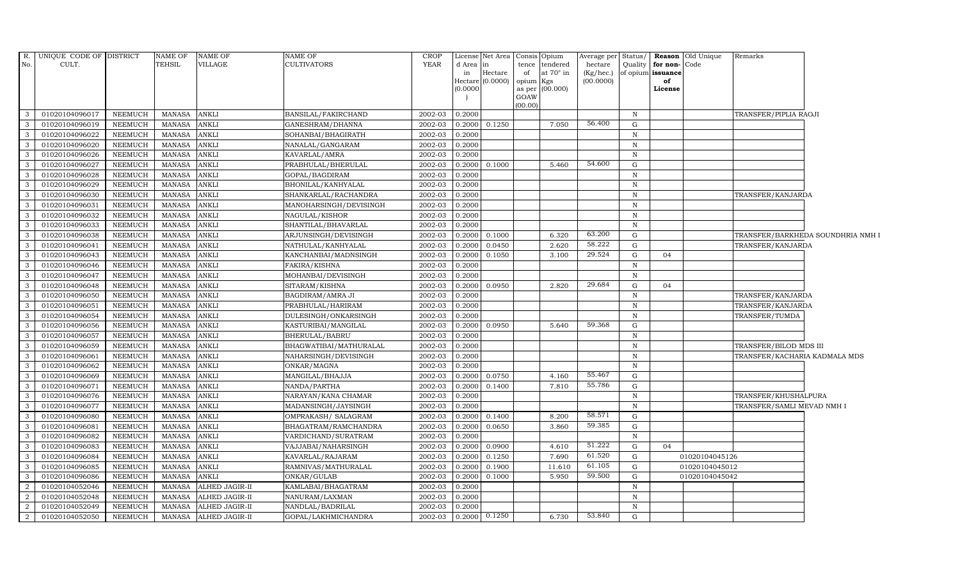| R.<br>No.          | UNIQUE CODE OF DISTRICT<br>CULT. |                                  | <b>NAME OF</b><br><b>TEHSIL</b> | <b>NAME OF</b><br>VILLAGE    | <b>NAME OF</b><br><b>CULTIVATORS</b>        | <b>CROP</b><br><b>YEAR</b> | d Area           | License Net Area<br>lin. | tence          | Consis Opium<br>tendered | hectare   |                            | Average per Status/ Reason Old Unique<br>Quality for non-Code | Remarks                       |                                   |
|--------------------|----------------------------------|----------------------------------|---------------------------------|------------------------------|---------------------------------------------|----------------------------|------------------|--------------------------|----------------|--------------------------|-----------|----------------------------|---------------------------------------------------------------|-------------------------------|-----------------------------------|
|                    |                                  |                                  |                                 |                              |                                             |                            | in               | Hectare                  | of             | at $70^\circ$ in         | (Kg/hec.) |                            | of opium issuance                                             |                               |                                   |
|                    |                                  |                                  |                                 |                              |                                             |                            |                  | Hectare (0.0000)         | opium          | Kgs                      | (00.0000) |                            | of                                                            |                               |                                   |
|                    |                                  |                                  |                                 |                              |                                             |                            | (0.0000)         |                          | as per<br>GOAW | (00.000)                 |           |                            | License                                                       |                               |                                   |
|                    |                                  |                                  |                                 |                              |                                             |                            |                  |                          | (00.00)        |                          |           |                            |                                                               |                               |                                   |
| 3                  | 01020104096017                   | <b>NEEMUCH</b>                   | MANASA                          | <b>ANKLI</b>                 | BANSILAL/FAKIRCHAND                         | 2002-03                    | 0.2000           |                          |                |                          |           | $\mathbb N$                |                                                               | TRANSFER/PIPLIA RAOJI         |                                   |
| 3                  | 01020104096019                   | <b>NEEMUCH</b>                   | <b>MANASA</b>                   | <b>ANKLI</b>                 | GANESHRAM/DHANNA                            | 2002-03                    | 0.2000           | 0.1250                   |                | 7.050                    | 56.400    | G                          |                                                               |                               |                                   |
| 3                  | 01020104096022                   | <b>NEEMUCH</b>                   | <b>MANASA</b>                   | <b>ANKLI</b>                 | SOHANBAI/BHAGIRATH                          | 2002-03                    | 0.2000           |                          |                |                          |           | N                          |                                                               |                               |                                   |
| -3                 | 01020104096020                   | <b>NEEMUCH</b>                   | <b>MANASA</b>                   | <b>ANKLI</b>                 | NANALAL/GANGARAM                            | 2002-03                    | 0.2000           |                          |                |                          |           | $\mathbb N$                |                                                               |                               |                                   |
| 3                  | 01020104096026                   | <b>NEEMUCH</b>                   | MANASA                          | <b>ANKLI</b>                 | KAVARLAL/AMRA                               | 2002-03                    | 0.2000           |                          |                |                          |           | $\,$ N                     |                                                               |                               |                                   |
| $\mathbf{3}$       | 01020104096027                   | <b>NEEMUCH</b>                   | <b>MANASA</b>                   | <b>ANKLI</b>                 | PRABHULAL/BHERULAL                          | 2002-03                    | 0.2000           | 0.1000                   |                | 5.460                    | 54.600    | G                          |                                                               |                               |                                   |
| $\overline{3}$     | 01020104096028                   | <b>NEEMUCH</b>                   | <b>MANASA</b>                   | <b>ANKLI</b>                 | GOPAL/BAGDIRAM                              | 2002-03                    | 0.2000           |                          |                |                          |           | $\mathbb N$                |                                                               |                               |                                   |
| 3                  | 01020104096029                   | <b>NEEMUCH</b>                   | <b>MANASA</b>                   | <b>ANKLI</b>                 | BHONILAL/KANHYALAL                          | 2002-03                    | 0.2000           |                          |                |                          |           | $\mathbb N$                |                                                               |                               |                                   |
| 3                  | 01020104096030                   | <b>NEEMUCH</b>                   | <b>MANASA</b>                   | <b>ANKLI</b>                 | SHANKARLAL/RACHANDRA                        | 2002-03                    | 0.2000           |                          |                |                          |           | $\mathbf N$                |                                                               | TRANSFER/KANJARDA             |                                   |
| 3                  | 01020104096031                   | <b>NEEMUCH</b>                   | <b>MANASA</b>                   | ANKLI                        | MANOHARSINGH/DEVISINGH                      | 2002-03                    | 0.2000           |                          |                |                          |           | $\,$ N                     |                                                               |                               |                                   |
| 3                  | 01020104096032                   | <b>NEEMUCH</b>                   | <b>MANASA</b>                   | <b>ANKLI</b>                 | NAGULAL/KISHOR                              | 2002-03                    | 0.2000           |                          |                |                          |           | $\mathbb N$                |                                                               |                               |                                   |
| $\overline{3}$     | 01020104096033                   | <b>NEEMUCH</b>                   | MANASA                          | <b>ANKLI</b>                 | SHANTILAL/BHAVARLAL                         | 2002-03                    | 0.2000           |                          |                |                          |           | $\mathbb N$                |                                                               |                               |                                   |
| $\mathbf{3}$       | 01020104096038                   | <b>NEEMUCH</b>                   | <b>MANASA</b>                   | <b>ANKLI</b>                 | ARJUNSINGH/DEVISINGH                        | 2002-03                    | 0.2000           | 0.1000                   |                | 6.320                    | 63.200    | G                          |                                                               |                               | TRANSFER/BARKHEDA SOUNDHRIA NMH I |
| 3                  | 01020104096041                   | <b>NEEMUCH</b>                   | <b>MANASA</b>                   | <b>ANKLI</b>                 | NATHULAL/KANHYALAL                          | 2002-03                    | 0.2000           | 0.0450                   |                | 2.620                    | 58.222    | G                          |                                                               | TRANSFER/KANJARDA             |                                   |
| 3                  | 01020104096043                   | <b>NEEMUCH</b>                   | <b>MANASA</b>                   | ANKLI                        | KANCHANBAI/MADNSINGH                        | 2002-03                    | 0.2000           | 0.1050                   |                | 3.100                    | 29.524    | ${\rm G}$                  | 04                                                            |                               |                                   |
| 3                  | 01020104096046                   | <b>NEEMUCH</b>                   | <b>MANASA</b>                   | <b>ANKLI</b>                 | FAKIRA/KISHNA                               | 2002-03                    | 0.2000           |                          |                |                          |           | N                          |                                                               |                               |                                   |
| $\mathbf{3}$       | 01020104096047                   | <b>NEEMUCH</b>                   | <b>MANASA</b>                   | <b>ANKLI</b>                 | MOHANBAI/DEVISINGH                          | 2002-03                    | 0.2000           |                          |                |                          |           | $\,$ N                     |                                                               |                               |                                   |
| $\mathbf{3}$       | 01020104096048                   | <b>NEEMUCH</b>                   | <b>MANASA</b>                   | <b>ANKLI</b>                 | SITARAM/KISHNA                              | 2002-03                    | 0.2000           | 0.0950                   |                | 2.820                    | 29.684    | G                          | 04                                                            |                               |                                   |
| 3                  | 01020104096050                   | <b>NEEMUCH</b>                   | <b>MANASA</b>                   | <b>ANKLI</b>                 | BAGDIRAM/AMRA JI                            | 2002-03                    | 0.2000           |                          |                |                          |           | $\mathbb N$                |                                                               | TRANSFER/KANJARDA             |                                   |
| 3                  | 01020104096051                   | <b>NEEMUCH</b>                   | <b>MANASA</b>                   | <b>ANKLI</b>                 | PRABHULAL/HARIRAM                           | 2002-03                    | 0.2000           |                          |                |                          |           | $\,$ N                     |                                                               | TRANSFER/KANJARDA             |                                   |
| 3                  | 01020104096054                   | <b>NEEMUCH</b>                   | <b>MANASA</b>                   | <b>ANKLI</b>                 | DULESINGH/ONKARSINGH                        | 2002-03                    | 0.2000           |                          |                |                          |           | $\mathbb N$                |                                                               | TRANSFER/TUMDA                |                                   |
| $\mathbf{3}$       | 01020104096056                   | <b>NEEMUCH</b>                   | <b>MANASA</b>                   | <b>ANKLI</b>                 | KASTURIBAI/MANGILAL                         | 2002-03                    | 0.2000           | 0.0950                   |                | 5.640                    | 59.368    | G                          |                                                               |                               |                                   |
| 3                  | 01020104096057                   | <b>NEEMUCH</b>                   | <b>MANASA</b>                   | ANKLI                        | BHERULAL/BABRU                              | 2002-03                    | 0.2000           |                          |                |                          |           | $\,$ N                     |                                                               |                               |                                   |
| $\overline{3}$     | 01020104096059                   | <b>NEEMUCH</b>                   | <b>MANASA</b>                   | <b>ANKLI</b>                 | BHAGWATIBAI/MATHURALAL                      | 2002-03                    | 0.2000           |                          |                |                          |           | $\mathbb N$                |                                                               | TRANSFER/BILOD MDS III        |                                   |
| 3                  | 01020104096061                   | <b>NEEMUCH</b>                   | <b>MANASA</b>                   | <b>ANKLI</b>                 | NAHARSINGH/DEVISINGH                        | 2002-03                    | 0.2000           |                          |                |                          |           | $\mathbb N$                |                                                               | TRANSFER/KACHARIA KADMALA MDS |                                   |
| $\mathbf{3}$       | 01020104096062                   | <b>NEEMUCH</b>                   | <b>MANASA</b>                   | <b>ANKLI</b>                 | ONKAR/MAGNA                                 | 2002-03                    | 0.2000           |                          |                |                          | 55.467    | $\mathbb N$                |                                                               |                               |                                   |
| 3                  | 01020104096069                   | <b>NEEMUCH</b>                   | <b>MANASA</b>                   | <b>ANKLI</b>                 | MANGILAL/BHAJJA                             | 2002-03                    | 0.2000           | 0.0750                   |                | 4.160                    | 55.786    | G                          |                                                               |                               |                                   |
| 3                  | 01020104096071                   | <b>NEEMUCH</b>                   | MANASA                          | <b>ANKLI</b>                 | NANDA/PARTHA                                | 2002-03                    | 0.2000           | 0.1400                   |                | 7.810                    |           | G                          |                                                               |                               |                                   |
| 3<br>$\mathcal{E}$ | 01020104096076                   | <b>NEEMUCH</b>                   | <b>MANASA</b>                   | <b>ANKLI</b>                 | NARAYAN/KANA CHAMAR                         | 2002-03                    | 0.2000           |                          |                |                          |           | $\,$ N                     |                                                               | TRANSFER/KHUSHALPURA          |                                   |
|                    | 01020104096077                   | <b>NEEMUCH</b>                   | <b>MANASA</b>                   | <b>ANKLI</b><br><b>ANKLI</b> | MADANSINGH/JAYSINGH                         | 2002-03                    | 0.2000           |                          |                | 8.200                    | 58.571    | $\mathbb N$<br>$\mathbf G$ |                                                               | TRANSFER/SAMLI MEVAD NMH I    |                                   |
| $\mathbf{3}$<br>3  | 01020104096080                   | <b>NEEMUCH</b><br><b>NEEMUCH</b> | <b>MANASA</b><br><b>MANASA</b>  |                              | OMPRAKASH / SALAGRAM                        | 2002-03<br>2002-03         | 0.2000           | 0.1400                   |                | 3.860                    | 59.385    | G                          |                                                               |                               |                                   |
| $\overline{3}$     | 01020104096081<br>01020104096082 | <b>NEEMUCH</b>                   | <b>MANASA</b>                   | <b>ANKLI</b>                 | BHAGATRAM/RAMCHANDRA<br>VARDICHAND/SURATRAM | 2002-03                    | 0.2000<br>0.2000 | 0.0650                   |                |                          |           | $\mathbf N$                |                                                               |                               |                                   |
| $\mathbf{3}$       | 01020104096083                   | <b>NEEMUCH</b>                   | <b>MANASA</b>                   | <b>ANKLI</b><br><b>ANKLI</b> |                                             | 2002-03                    | 0.2000           | 0.0900                   |                | 4.610                    | 51.222    | G                          | 04                                                            |                               |                                   |
| 3                  |                                  | <b>NEEMUCH</b>                   | <b>MANASA</b>                   | <b>ANKLI</b>                 | VAJJABAI/NAHARSINGH                         | 2002-03                    |                  |                          |                | 7.690                    | 61.520    | G                          |                                                               |                               |                                   |
| 3                  | 01020104096084                   |                                  |                                 | <b>ANKLI</b>                 | KAVARLAL/RAJARAM                            |                            | 0.2000           | 0.1250<br>0.1900         |                | 11.610                   | 61.105    | G                          | 01020104045126                                                |                               |                                   |
| $\mathbf{3}$       | 01020104096085<br>01020104096086 | <b>NEEMUCH</b><br><b>NEEMUCH</b> | <b>MANASA</b><br><b>MANASA</b>  | <b>ANKLI</b>                 | RAMNIVAS/MATHURALAL<br>ONKAR/GULAB          | 2002-03<br>2002-03         | 0.2000<br>0.2000 | 0.1000                   |                | 5.950                    | 59.500    | $\mathbf G$                | 01020104045012<br>01020104045042                              |                               |                                   |
| 2                  | 01020104052046                   | <b>NEEMUCH</b>                   | MANASA                          | ALHED JAGIR-II               | KAMLABAI/BHAGATRAM                          | 2002-03                    | 0.2000           |                          |                |                          |           | $\mathbb N$                |                                                               |                               |                                   |
| 2                  | 01020104052048                   | <b>NEEMUCH</b>                   | <b>MANASA</b>                   | <b>ALHED JAGIR-II</b>        | NANURAM/LAXMAN                              | 2002-03                    | 0.2000           |                          |                |                          |           | $\mathbb N$                |                                                               |                               |                                   |
| 2                  | 01020104052049                   | <b>NEEMUCH</b>                   | <b>MANASA</b>                   | ALHED JAGIR-II               | NANDLAL/BADRILAL                            | 2002-03                    | 0.2000           |                          |                |                          |           | $\mathbb N$                |                                                               |                               |                                   |
| $\overline{2}$     | 01020104052050                   | NEEMUCH                          | MANASA                          | ALHED JAGIR-II               | GOPAL/LAKHMICHANDRA                         | 2002-03                    | 0.2000           | 0.1250                   |                | 6.730                    | 53.840    | G                          |                                                               |                               |                                   |
|                    |                                  |                                  |                                 |                              |                                             |                            |                  |                          |                |                          |           |                            |                                                               |                               |                                   |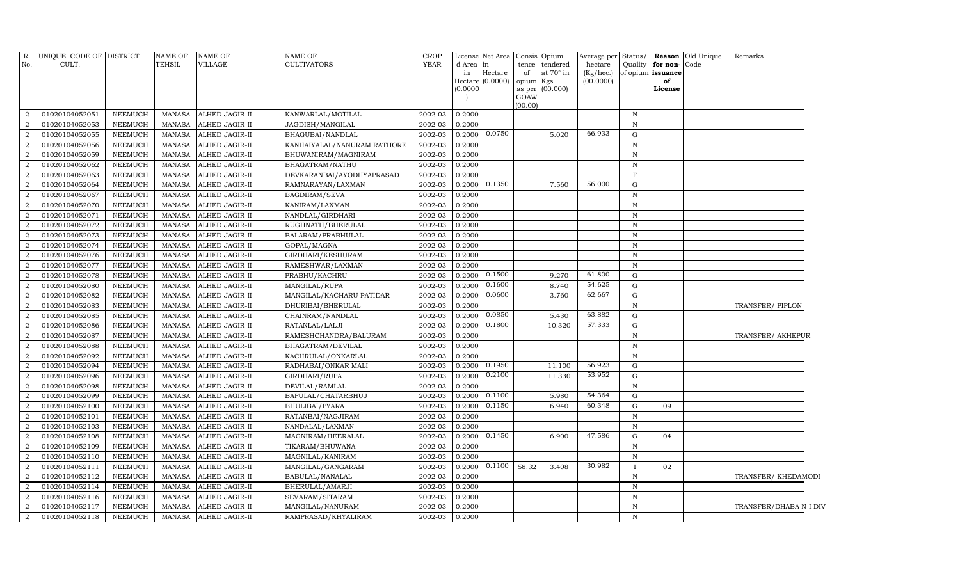| R.<br>No.           | UNIQUE CODE OF DISTRICT<br>CULT. |                                  | <b>NAME OF</b><br><b>TEHSIL</b> | <b>NAME OF</b><br>VILLAGE                      | <b>NAME OF</b><br><b>CULTIVATORS</b> | <b>CROP</b><br><b>YEAR</b> | d Area<br>in     | License Net Area Consis Opium<br>$\ln$<br>Hectare | tence<br>of | tendered<br>at 70° in | Average per<br>hectare<br>$(Kg/$ hec.) | Status/<br>Quality           | for non-Code<br>of opium issuance | Reason Old Unique | Remarks                |  |
|---------------------|----------------------------------|----------------------------------|---------------------------------|------------------------------------------------|--------------------------------------|----------------------------|------------------|---------------------------------------------------|-------------|-----------------------|----------------------------------------|------------------------------|-----------------------------------|-------------------|------------------------|--|
|                     |                                  |                                  |                                 |                                                |                                      |                            |                  | $Hectare (0.0000)$                                | opium Kgs   |                       | (00.0000)                              |                              | of                                |                   |                        |  |
|                     |                                  |                                  |                                 |                                                |                                      |                            | 0.0000           |                                                   | GOAW        | as per (00.000)       |                                        |                              | License                           |                   |                        |  |
|                     |                                  |                                  |                                 |                                                |                                      |                            |                  |                                                   | (00.00)     |                       |                                        |                              |                                   |                   |                        |  |
| 2                   | 01020104052051                   | <b>NEEMUCH</b>                   | MANASA                          | <b>ALHED JAGIR-II</b>                          | KANWARLAL/MOTILAL                    | 2002-03                    | 0.2000           |                                                   |             |                       |                                        | $\mathbf N$                  |                                   |                   |                        |  |
| $\overline{2}$      | 01020104052053                   | <b>NEEMUCH</b>                   | MANASA                          | <b>ALHED JAGIR-II</b>                          | JAGDISH/MANGILAL                     | 2002-03                    | 0.2000           |                                                   |             |                       |                                        | $\, {\rm N}$                 |                                   |                   |                        |  |
| $\mathcal{D}$       | 01020104052055                   | <b>NEEMUCH</b>                   | <b>MANASA</b>                   | ALHED JAGIR-II                                 | BHAGUBAI/NANDLAL                     | 2002-03                    | 0.2000           | 0.0750                                            |             | 5.020                 | 66.933                                 | G                            |                                   |                   |                        |  |
|                     | 01020104052056                   | <b>NEEMUCH</b>                   | <b>MANASA</b>                   | ALHED JAGIR-II                                 | KANHAIYALAL/NANURAM RATHORE          | 2002-03                    | 0.2000           |                                                   |             |                       |                                        | $\mathbb N$                  |                                   |                   |                        |  |
| $\overline{2}$      | 01020104052059                   | NEEMUCH                          | <b>MANASA</b>                   | ALHED JAGIR-II                                 | BHUWANIRAM/MAGNIRAM                  | 2002-03                    | 0.2000           |                                                   |             |                       |                                        | $\, {\bf N}$                 |                                   |                   |                        |  |
| $\overline{2}$      | 01020104052062                   | NEEMUCH                          | <b>MANASA</b>                   | ALHED JAGIR-II                                 | BHAGATRAM/NATHU                      | 2002-03                    | 0.2000           |                                                   |             |                       |                                        | $\mathbf N$                  |                                   |                   |                        |  |
| 2                   | 01020104052063                   | <b>NEEMUCH</b>                   | <b>MANASA</b>                   | <b>ALHED JAGIR-II</b>                          | DEVKARANBAI/AYODHYAPRASAD            | 2002-03                    | 0.2000           |                                                   |             |                       |                                        | $\mathbf{F}$                 |                                   |                   |                        |  |
| $\overline{2}$      | 01020104052064                   | <b>NEEMUCH</b>                   | <b>MANASA</b>                   | <b>ALHED JAGIR-II</b>                          | RAMNARAYAN/LAXMAN                    | 2002-03                    | 0.2000           | 0.1350                                            |             | 7.560                 | 56.000                                 | $\mathbf G$                  |                                   |                   |                        |  |
| $\overline{2}$      | 01020104052067                   | <b>NEEMUCH</b>                   | <b>MANASA</b>                   | <b>ALHED JAGIR-II</b>                          | BAGDIRAM/SEVA                        | 2002-03                    | 0.2000           |                                                   |             |                       |                                        | $\mathbb N$                  |                                   |                   |                        |  |
| $\overline{2}$      | 01020104052070                   | <b>NEEMUCH</b>                   | <b>MANASA</b>                   | ALHED JAGIR-II                                 | KANIRAM/LAXMAN                       | 2002-03                    | 0.2000           |                                                   |             |                       |                                        | $\, {\rm N}$                 |                                   |                   |                        |  |
| 2                   | 01020104052071                   | <b>NEEMUCH</b>                   | <b>MANASA</b>                   | ALHED JAGIR-II                                 | NANDLAL/GIRDHARI                     | 2002-03                    | 0.2000           |                                                   |             |                       |                                        | $\mathbb N$                  |                                   |                   |                        |  |
| 2                   | 01020104052072                   | NEEMUCH                          | MANASA                          | ALHED JAGIR-II                                 | RUGHNATH/BHERULAL                    | 2002-03                    | 0.2000           |                                                   |             |                       |                                        | $\mathbb N$                  |                                   |                   |                        |  |
| $\overline{2}$      | 01020104052073                   | <b>NEEMUCH</b>                   | MANASA                          | <b>ALHED JAGIR-II</b>                          | BALARAM/PRABHULAL                    | 2002-03                    | 0.2000           |                                                   |             |                       |                                        | $\, {\rm N}$                 |                                   |                   |                        |  |
| $\overline{2}$      | 01020104052074                   | <b>NEEMUCH</b>                   | <b>MANASA</b>                   | <b>ALHED JAGIR-II</b>                          | GOPAL/MAGNA                          | 2002-03                    | 0.2000           |                                                   |             |                       |                                        | $\mathbb N$                  |                                   |                   |                        |  |
| $\overline{2}$      | 01020104052076                   | NEEMUCH                          | <b>MANASA</b>                   | ALHED JAGIR-II                                 | GIRDHARI/KESHURAM                    | 2002-03                    | 0.2000           |                                                   |             |                       |                                        | $\, {\rm N}$                 |                                   |                   |                        |  |
| 2                   | 01020104052077                   | <b>NEEMUCH</b>                   | <b>MANASA</b>                   | ALHED JAGIR-II                                 | RAMESHWAR/LAXMAN                     | 2002-03                    | 0.2000           |                                                   |             |                       |                                        | $\, {\bf N}$                 |                                   |                   |                        |  |
| 2                   | 01020104052078                   | <b>NEEMUCH</b>                   | <b>MANASA</b>                   | ALHED JAGIR-II                                 | PRABHU/KACHRU                        | 2002-03                    | 0.2000           | 0.1500                                            |             | 9.270                 | 61.800                                 | G                            |                                   |                   |                        |  |
| 2                   | 01020104052080                   | NEEMUCH                          | MANASA                          | ALHED JAGIR-II                                 | MANGILAL/RUPA                        | 2002-03                    | 0.2000           | 0.1600                                            |             | 8.740                 | 54.625                                 | G                            |                                   |                   |                        |  |
| $\overline{2}$      | 01020104052082                   | <b>NEEMUCH</b>                   | <b>MANASA</b>                   | <b>ALHED JAGIR-II</b>                          | MANGILAL/KACHARU PATIDAR             | 2002-03                    | 0.2000           | 0.0600                                            |             | 3.760                 | 62.667                                 | ${\rm G}$                    |                                   |                   |                        |  |
| $\overline{2}$      | 01020104052083                   | <b>NEEMUCH</b>                   | <b>MANASA</b>                   | ALHED JAGIR-II                                 | DHURIBAI/BHERULAL                    | 2002-03                    | 0.2000           |                                                   |             |                       |                                        | $\mathbf N$                  |                                   |                   | TRANSFER/ PIPLON       |  |
| $\overline{2}$      | 01020104052085                   | NEEMUCH                          | <b>MANASA</b>                   | ALHED JAGIR-II                                 | CHAINRAM/NANDLAL                     | 2002-03                    | 0.2000           | 0.0850                                            |             | 5.430                 | 63.882                                 | $\mathbf G$                  |                                   |                   |                        |  |
| 2                   | 01020104052086                   | <b>NEEMUCH</b>                   | <b>MANASA</b>                   | ALHED JAGIR-II                                 | RATANLAL/LALJI                       | 2002-03                    | 0.2000           | 0.1800                                            |             | 10.320                | 57.333                                 | G                            |                                   |                   |                        |  |
| $\overline{2}$      | 01020104052087                   | <b>NEEMUCH</b>                   | MANASA                          | ALHED JAGIR-II                                 | RAMESHCHANDRA/BALURAM                | 2002-03                    | 0.2000           |                                                   |             |                       |                                        | $\mathbf N$                  |                                   |                   | TRANSFER/ AKHEPUR      |  |
| $\overline{2}$      | 01020104052088                   | <b>NEEMUCH</b>                   | <b>MANASA</b>                   | ALHED JAGIR-II                                 | BHAGATRAM/DEVILAL                    | 2002-03                    | 0.2000           |                                                   |             |                       |                                        | $\mathbf N$                  |                                   |                   |                        |  |
| $\overline{2}$      | 01020104052092                   | <b>NEEMUCH</b>                   | <b>MANASA</b>                   | ALHED JAGIR-II                                 | KACHRULAL/ONKARLAL                   | 2002-03                    | 0.2000           |                                                   |             |                       |                                        | $\mathbf N$                  |                                   |                   |                        |  |
| $\overline{2}$      | 01020104052094                   | <b>NEEMUCH</b>                   | <b>MANASA</b>                   | ALHED JAGIR-II                                 | RADHABAI/ONKAR MALI                  | 2002-03                    | 0.2000           | 0.1950                                            |             | 11.100                | 56.923                                 | G                            |                                   |                   |                        |  |
| $\overline{2}$      | 01020104052096                   | <b>NEEMUCH</b>                   | <b>MANASA</b>                   | <b>ALHED JAGIR-II</b>                          | GIRDHARI/RUPA                        | 2002-03                    | 0.2000           | 0.2100                                            |             | 11.330                | 53.952                                 | G                            |                                   |                   |                        |  |
| 2                   | 01020104052098                   | <b>NEEMUCH</b>                   | <b>MANASA</b>                   | ALHED JAGIR-II                                 | DEVILAL/RAMLAL                       | 2002-03                    | 0.2000           |                                                   |             |                       |                                        | $\mathbf N$                  |                                   |                   |                        |  |
| $\overline{2}$      | 01020104052099                   | <b>NEEMUCH</b>                   | MANASA                          | <b>ALHED JAGIR-II</b>                          | BAPULAL/CHATARBHUJ                   | 2002-03                    | 0.2000           | 0.1100                                            |             | 5.980                 | 54.364                                 | ${\rm G}$                    |                                   |                   |                        |  |
| $\mathcal{D}$       | 01020104052100                   | <b>NEEMUCH</b>                   | <b>MANASA</b>                   | ALHED JAGIR-II                                 | <b>BHULIBAI/PYARA</b>                | 2002-03                    | 0.2000           | 0.1150                                            |             | 6.940                 | 60.348                                 | G                            | 09                                |                   |                        |  |
| 2                   | 01020104052101                   | <b>NEEMUCH</b>                   | <b>MANASA</b>                   | ALHED JAGIR-II                                 | RATANBAI/NAGJIRAM                    | 2002-03                    | 0.2000           |                                                   |             |                       |                                        | ${\bf N}$                    |                                   |                   |                        |  |
| $\overline{2}$      | 01020104052103                   | <b>NEEMUCH</b>                   | <b>MANASA</b>                   | ALHED JAGIR-II                                 | NANDALAL/LAXMAN                      | 2002-03                    | 0.2000           |                                                   |             |                       | 47.586                                 | $\mathbf N$                  |                                   |                   |                        |  |
| $\overline{2}$      | 01020104052108                   | <b>NEEMUCH</b>                   | MANASA                          | <b>ALHED JAGIR-II</b>                          | MAGNIRAM/HEERALAL                    | 2002-03                    | 0.2000           | 0.1450                                            |             | 6.900                 |                                        | G                            | 04                                |                   |                        |  |
| $\overline{2}$      | 01020104052109                   | <b>NEEMUCH</b>                   | MANASA                          | <b>ALHED JAGIR-II</b>                          | TIKARAM/BHUWANA                      | 2002-03                    | 0.2000           |                                                   |             |                       |                                        | $\, {\rm N}$                 |                                   |                   |                        |  |
| $\overline{2}$      | 01020104052110                   | <b>NEEMUCH</b>                   | <b>MANASA</b>                   | ALHED JAGIR-II                                 | MAGNILAL/KANIRAM                     | 2002-03                    | 0.2000           |                                                   |             |                       | 30.982                                 | $\, {\bf N}$                 |                                   |                   |                        |  |
| $\overline{2}$      | 01020104052111                   | <b>NEEMUCH</b>                   | <b>MANASA</b>                   | <b>ALHED JAGIR-II</b>                          | MANGILAL/GANGARAM                    | 2002-03                    | 0.2000           | 0.1100                                            | 58.32       | 3.408                 |                                        |                              | 02                                |                   |                        |  |
| $\overline{2}$      | 01020104052112                   | <b>NEEMUCH</b>                   | <b>MANASA</b>                   | ALHED JAGIR-II                                 | BABULAL/NANALAL                      | 2002-03                    | 0.2000           |                                                   |             |                       |                                        | $\, {\bf N}$                 |                                   |                   | TRANSFER/ KHEDAMODI    |  |
| 2                   | 01020104052114                   | NEEMUCH                          | <b>MANASA</b>                   | ALHED JAGIR-II                                 | BHERULAL/AMARJI                      | 2002-03                    | 0.2000           |                                                   |             |                       |                                        | $\, {\bf N}$                 |                                   |                   |                        |  |
| 2<br>$\overline{2}$ | 01020104052116<br>01020104052117 | <b>NEEMUCH</b><br><b>NEEMUCH</b> | MANASA<br><b>MANASA</b>         | <b>ALHED JAGIR-II</b><br><b>ALHED JAGIR-II</b> | SEVARAM/SITARAM                      | 2002-03<br>2002-03         | 0.2000<br>0.2000 |                                                   |             |                       |                                        | $\, {\rm N}$<br>$\, {\rm N}$ |                                   |                   | TRANSFER/DHABA N-I DIV |  |
|                     |                                  |                                  | <b>MANASA</b>                   |                                                | MANGILAL/NANURAM                     | 2002-03                    |                  |                                                   |             |                       |                                        | $\mathbb N$                  |                                   |                   |                        |  |
| $\overline{2}$      | 01020104052118                   | <b>NEEMUCH</b>                   |                                 | <b>ALHED JAGIR-II</b>                          | RAMPRASAD/KHYALIRAM                  |                            | 0.2000           |                                                   |             |                       |                                        |                              |                                   |                   |                        |  |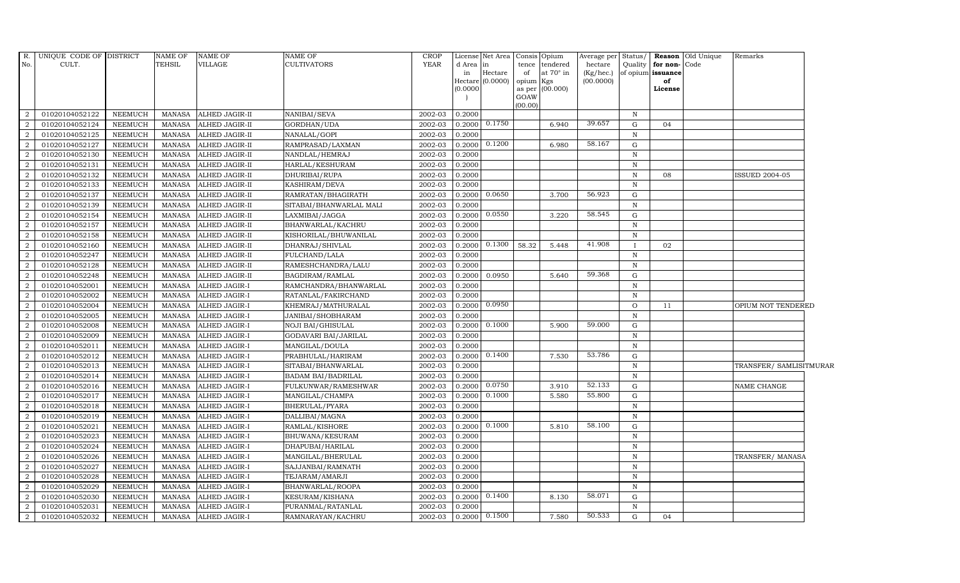| R.<br>No.        | UNIQUE CODE OF DISTRICT<br>CULT. |                | <b>NAME OF</b><br><b>TEHSIL</b> | <b>NAME OF</b><br>VILLAGE | NAME OF<br>CULTIVATORS    | <b>CROP</b><br><b>YEAR</b> | d Area in<br>in<br>(0.0000) | License Net Area<br>Hectare<br>Hectare (0.0000) | of<br>opium Kgs<br>GOAW<br>(00.00) | Consis Opium<br>tence tendered<br>at 70° in<br>as per (00.000) | Average per Status/<br>hectare<br>(Kg/hec.)<br>(00.0000) | of opium issuance | Quality   for non- Code<br>of<br>License | <b>Reason</b> Old Unique | Remarks                 |  |
|------------------|----------------------------------|----------------|---------------------------------|---------------------------|---------------------------|----------------------------|-----------------------------|-------------------------------------------------|------------------------------------|----------------------------------------------------------------|----------------------------------------------------------|-------------------|------------------------------------------|--------------------------|-------------------------|--|
| 2                | 01020104052122                   | <b>NEEMUCH</b> | MANASA                          | ALHED JAGIR-II            | NANIBAI/SEVA              | 2002-03                    | 0.2000                      |                                                 |                                    |                                                                |                                                          | $\mathbb N$       |                                          |                          |                         |  |
| $\overline{2}$   | 01020104052124                   | NEEMUCH        | MANASA                          | ALHED JAGIR-II            | GORDHAN/UDA               | 2002-03                    | 0.2000                      | 0.1750                                          |                                    | 6.940                                                          | 39.657                                                   | ${\bf G}$         | 04                                       |                          |                         |  |
| 2                | 01020104052125                   | <b>NEEMUCH</b> | <b>MANASA</b>                   | ALHED JAGIR-II            | NANALAL/GOPI              | 2002-03                    | 0.2000                      |                                                 |                                    |                                                                |                                                          | $\mathbf N$       |                                          |                          |                         |  |
| 2                | 01020104052127                   | <b>NEEMUCH</b> | <b>MANASA</b>                   | ALHED JAGIR-II            | RAMPRASAD/LAXMAN          | 2002-03                    | 0.2000                      | 0.1200                                          |                                    | 6.980                                                          | 58.167                                                   | G                 |                                          |                          |                         |  |
| $\overline{2}$   | 01020104052130                   | <b>NEEMUCH</b> | <b>MANASA</b>                   | ALHED JAGIR-II            | NANDLAL/HEMRAJ            | 2002-03                    | 0.2000                      |                                                 |                                    |                                                                |                                                          | $\,$ N            |                                          |                          |                         |  |
| $\overline{a}$   | 01020104052131                   | <b>NEEMUCH</b> | <b>MANASA</b>                   | ALHED JAGIR-II            | HARLAL/KESHURAM           | 2002-03                    | 0.2000                      |                                                 |                                    |                                                                |                                                          | $\,$ N            |                                          |                          |                         |  |
| $\overline{2}$   | 01020104052132                   | <b>NEEMUCH</b> | <b>MANASA</b>                   | ALHED JAGIR-II            | DHURIBAI/RUPA             | 2002-03                    | 0.2000                      |                                                 |                                    |                                                                |                                                          | $\, {\rm N}$      | 08                                       |                          | <b>ISSUED 2004-05</b>   |  |
| 2                | 01020104052133                   | <b>NEEMUCH</b> | MANASA                          | ALHED JAGIR-II            | KASHIRAM/DEVA             | 2002-03                    | 0.2000                      |                                                 |                                    |                                                                |                                                          | $\mathbb N$       |                                          |                          |                         |  |
| 2                | 01020104052137                   | <b>NEEMUCH</b> | <b>MANASA</b>                   | ALHED JAGIR-II            | RAMRATAN/BHAGIRATH        | 2002-03                    | 0.2000                      | 0.0650                                          |                                    | 3.700                                                          | 56.923                                                   | G                 |                                          |                          |                         |  |
| $\overline{a}$   | 01020104052139                   | <b>NEEMUCH</b> | <b>MANASA</b>                   | ALHED JAGIR-II            | SITABAI/BHANWARLAL MALI   | 2002-03                    | 0.2000                      |                                                 |                                    |                                                                |                                                          | $\, {\rm N}$      |                                          |                          |                         |  |
| $\overline{a}$   | 01020104052154                   | <b>NEEMUCH</b> | MANASA                          | ALHED JAGIR-II            | LAXMIBAI/JAGGA            | 2002-03                    | 0.2000                      | 0.0550                                          |                                    | 3.220                                                          | 58.545                                                   | G                 |                                          |                          |                         |  |
| $\overline{2}$   | 01020104052157                   | <b>NEEMUCH</b> | <b>MANASA</b>                   | ALHED JAGIR-II            | BHANWARLAL/KACHRU         | 2002-03                    | 0.2000                      |                                                 |                                    |                                                                |                                                          | $\,$ N            |                                          |                          |                         |  |
| $\overline{2}$   | 01020104052158                   | <b>NEEMUCH</b> | <b>MANASA</b>                   | ALHED JAGIR-II            | KISHORILAL/BHUWANILAL     | 2002-03                    | 0.2000                      |                                                 |                                    |                                                                |                                                          | $\mathbf N$       |                                          |                          |                         |  |
| 2                | 01020104052160                   | <b>NEEMUCH</b> | <b>MANASA</b>                   | ALHED JAGIR-II            | DHANRAJ/SHIVLAL           | 2002-03                    | 0.2000                      | 0.1300                                          | 58.32                              | 5.448                                                          | 41.908                                                   | $\mathbf{I}$      | 02                                       |                          |                         |  |
| $\overline{2}$   | 01020104052247                   | <b>NEEMUCH</b> | <b>MANASA</b>                   | ALHED JAGIR-II            | FULCHAND/LALA             | 2002-03                    | 0.2000                      |                                                 |                                    |                                                                |                                                          | $\mathbf N$       |                                          |                          |                         |  |
| $\overline{2}$   | 01020104052128                   | <b>NEEMUCH</b> | <b>MANASA</b>                   | ALHED JAGIR-II            | RAMESHCHANDRA/LALU        | 2002-03                    | 0.2000                      |                                                 |                                    |                                                                |                                                          | $\mathbb N$       |                                          |                          |                         |  |
| 2                | 01020104052248                   | <b>NEEMUCH</b> | <b>MANASA</b>                   | ALHED JAGIR-II            | BAGDIRAM/RAMLAL           | 2002-03                    | 0.2000                      | 0.0950                                          |                                    | 5.640                                                          | 59.368                                                   | G                 |                                          |                          |                         |  |
| $\overline{2}$   | 01020104052001                   | <b>NEEMUCH</b> | <b>MANASA</b>                   | ALHED JAGIR-I             | RAMCHANDRA/BHANWARLAL     | 2002-03                    | 0.2000                      |                                                 |                                    |                                                                |                                                          | $\, {\bf N}$      |                                          |                          |                         |  |
| $\overline{2}$   | 01020104052002                   | <b>NEEMUCH</b> | <b>MANASA</b>                   | ALHED JAGIR-I             | RATANLAL/FAKIRCHAND       | 2002-03                    | 0.2000                      |                                                 |                                    |                                                                |                                                          | $\mathbb N$       |                                          |                          |                         |  |
| 2                | 01020104052004                   | <b>NEEMUCH</b> | <b>MANASA</b>                   | ALHED JAGIR-I             | KHEMRAJ/MATHURALAL        | 2002-03                    | 0.2000                      | 0.0950                                          |                                    |                                                                |                                                          | $\circ$           | 11                                       |                          | OPIUM NOT TENDERED      |  |
| $\overline{a}$   | 01020104052005                   | <b>NEEMUCH</b> | <b>MANASA</b>                   | ALHED JAGIR-I             | JANIBAI/SHOBHARAM         | 2002-03                    | 0.2000                      |                                                 |                                    |                                                                |                                                          | $\,$ N            |                                          |                          |                         |  |
| 2                | 01020104052008                   | <b>NEEMUCH</b> | <b>MANASA</b>                   | ALHED JAGIR-I             | NOJI BAI/GHISULAL         | 2002-03                    | 0.2000                      | 0.1000                                          |                                    | 5.900                                                          | 59.000                                                   | $\mathbf G$       |                                          |                          |                         |  |
| $\overline{2}$   | 01020104052009                   | <b>NEEMUCH</b> | <b>MANASA</b>                   | ALHED JAGIR-I             | GODAVARI BAI/JARILAL      | 2002-03                    | 0.2000                      |                                                 |                                    |                                                                |                                                          | $\, {\rm N}$      |                                          |                          |                         |  |
| $\overline{2}$   | 01020104052011                   | <b>NEEMUCH</b> | <b>MANASA</b>                   | ALHED JAGIR-I             | MANGILAL/DOULA            | 2002-03                    | 0.2000                      |                                                 |                                    |                                                                |                                                          | $\,$ N            |                                          |                          |                         |  |
| 2                | 01020104052012                   | <b>NEEMUCH</b> | <b>MANASA</b>                   | ALHED JAGIR-I             | PRABHULAL/HARIRAM         | 2002-03                    | 0.2000                      | 0.1400                                          |                                    | 7.530                                                          | 53.786                                                   | $\mathbf G$       |                                          |                          |                         |  |
| $\overline{2}$   | 01020104052013                   | <b>NEEMUCH</b> | <b>MANASA</b>                   | ALHED JAGIR-I             | SITABAI/BHANWARLAL        | 2002-03                    | 0.2000                      |                                                 |                                    |                                                                |                                                          | $\, {\rm N}$      |                                          |                          | TRANSFER/ SAMLISITMURAR |  |
| $\overline{2}$   | 01020104052014                   | <b>NEEMUCH</b> | <b>MANASA</b>                   | ALHED JAGIR-I             | <b>BADAM BAI/BADRILAL</b> | 2002-03                    | 0.2000                      |                                                 |                                    |                                                                |                                                          | $\,$ N            |                                          |                          |                         |  |
| $\overline{2}$   | 01020104052016                   | <b>NEEMUCH</b> | <b>MANASA</b>                   | ALHED JAGIR-I             | FULKUNWAR/RAMESHWAR       | 2002-03                    | 0.2000                      | 0.0750                                          |                                    | 3.910                                                          | 52.133                                                   | $\mathbf G$       |                                          |                          | NAME CHANGE             |  |
| 2                | 01020104052017                   | <b>NEEMUCH</b> | <b>MANASA</b>                   | ALHED JAGIR-I             | MANGILAL/CHAMPA           | 2002-03                    | 0.2000                      | 0.1000                                          |                                    | 5.580                                                          | 55.800                                                   | G                 |                                          |                          |                         |  |
| 2                | 01020104052018                   | <b>NEEMUCH</b> | <b>MANASA</b>                   | ALHED JAGIR-I             | BHERULAL/PYARA            | 2002-03                    | 0.2000                      |                                                 |                                    |                                                                |                                                          | $\,$ N            |                                          |                          |                         |  |
| $\overline{a}$   | 01020104052019                   | <b>NEEMUCH</b> | <b>MANASA</b>                   | ALHED JAGIR-I             | DALLIBAI/MAGNA            | 2002-03                    | 0.2000                      |                                                 |                                    |                                                                |                                                          | $\mathbf N$       |                                          |                          |                         |  |
| $\overline{2}$   | 01020104052021                   | <b>NEEMUCH</b> | <b>MANASA</b>                   | ALHED JAGIR-I             | RAMLAL/KISHORE            | 2002-03                    | 0.2000                      | 0.1000                                          |                                    | 5.810                                                          | 58.100                                                   | G                 |                                          |                          |                         |  |
| $\overline{2}$   | 01020104052023                   | <b>NEEMUCH</b> | <b>MANASA</b>                   | ALHED JAGIR-I             | BHUWANA/KESURAM           | 2002-03                    | 0.2000                      |                                                 |                                    |                                                                |                                                          | $\,$ N            |                                          |                          |                         |  |
| $\overline{2}$   | 01020104052024                   | <b>NEEMUCH</b> | <b>MANASA</b>                   | ALHED JAGIR-I             | DHAPUBAI/HARILAL          | 2002-03                    | 0.2000                      |                                                 |                                    |                                                                |                                                          | $\mathbb N$       |                                          |                          |                         |  |
| 2                | 01020104052026                   | <b>NEEMUCH</b> | MANASA                          | ALHED JAGIR-I             | MANGILAL/BHERULAL         | 2002-03                    | 0.2000                      |                                                 |                                    |                                                                |                                                          | $\,$ N            |                                          |                          | TRANSFER/MANASA         |  |
| $\overline{2}$   | 01020104052027                   | <b>NEEMUCH</b> | <b>MANASA</b>                   | <b>ALHED JAGIR-I</b>      | SAJJANBAI/RAMNATH         | 2002-03                    | 0.2000                      |                                                 |                                    |                                                                |                                                          | $\mathbb N$       |                                          |                          |                         |  |
| $\boldsymbol{2}$ | 01020104052028                   | <b>NEEMUCH</b> | <b>MANASA</b>                   | ALHED JAGIR-I             | TEJARAM/AMARJI            | 2002-03                    | 0.2000                      |                                                 |                                    |                                                                |                                                          | $\, {\rm N}$      |                                          |                          |                         |  |
| 2                | 01020104052029                   | <b>NEEMUCH</b> | <b>MANASA</b>                   | ALHED JAGIR-I             | BHANWARLAL/ROOPA          | 2002-03                    | 0.2000                      |                                                 |                                    |                                                                |                                                          | $\,$ N            |                                          |                          |                         |  |
| $\overline{2}$   | 01020104052030                   | <b>NEEMUCH</b> | MANASA                          | ALHED JAGIR-I             | KESURAM/KISHANA           | 2002-03                    | 0.2000                      | 0.1400                                          |                                    | 8.130                                                          | 58.071                                                   | $\mathbf G$       |                                          |                          |                         |  |
| $\overline{a}$   | 01020104052031                   | <b>NEEMUCH</b> | MANASA                          | ALHED JAGIR-I             | PURANMAL/RATANLAL         | 2002-03                    | 0.2000                      |                                                 |                                    |                                                                |                                                          | $\, {\bf N}$      |                                          |                          |                         |  |
| $\overline{2}$   | 01020104052032                   | <b>NEEMUCH</b> | <b>MANASA</b>                   | <b>ALHED JAGIR-I</b>      | RAMNARAYAN/KACHRU         | 2002-03                    |                             | $0.2000$ 0.1500                                 |                                    | 7.580                                                          | 50.533                                                   | G                 | 04                                       |                          |                         |  |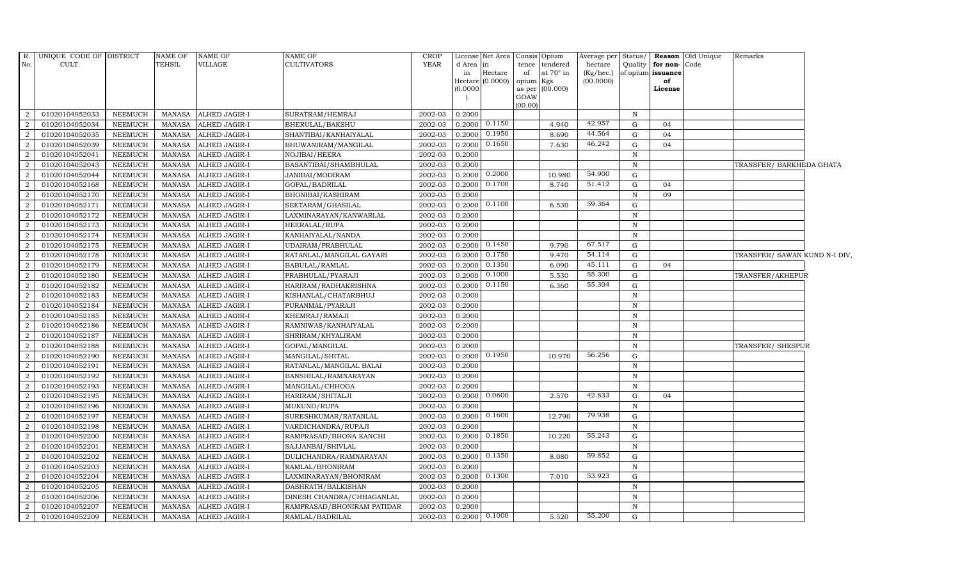| R.<br>No.      | UNIQUE CODE OF DISTRICT<br>CULT. |                                  | <b>NAME OF</b><br>TEHSIL       | <b>NAME OF</b><br>VILLAGE      | <b>NAME OF</b><br><b>CULTIVATORS</b>            | <b>CROP</b><br>YEAR | d Area in<br>in<br>Hectare<br>(0.0000) | License Net Area<br>Hectare<br>(0.0000) | Consis Opium<br>tence tendered<br>at $70^\circ$ in<br>of<br>opium Kgs<br>as per (00.000)<br>GOAW | Average per<br>hectare<br>(Kg/hec.)<br>(00.0000) | Status/<br>Quality | for non-Code<br>of opium issuance<br>of<br>License | <b>Reason</b> Old Unique | Remarks                       |  |
|----------------|----------------------------------|----------------------------------|--------------------------------|--------------------------------|-------------------------------------------------|---------------------|----------------------------------------|-----------------------------------------|--------------------------------------------------------------------------------------------------|--------------------------------------------------|--------------------|----------------------------------------------------|--------------------------|-------------------------------|--|
| 2              | 01020104052033                   | NEEMUCH                          | MANASA                         | <b>ALHED JAGIR-I</b>           | SURATRAM/HEMRAJ                                 | 2002-03             | 0.2000                                 |                                         | (00.00)                                                                                          |                                                  | $\mathbb N$        |                                                    |                          |                               |  |
| 2              | 01020104052034                   | <b>NEEMUCH</b>                   | MANASA                         | <b>ALHED JAGIR-I</b>           | BHERULAL/BAKSHU                                 | 2002-03             | 0.2000                                 | 0.1150                                  | 4.940                                                                                            | 42.957                                           | G                  | 04                                                 |                          |                               |  |
| 2              | 01020104052035                   | <b>NEEMUCH</b>                   | <b>MANASA</b>                  | ALHED JAGIR-I                  | SHANTIBAI/KANHAIYALAL                           | 2002-03             | 0.2000                                 | 0.1950                                  | 8.690                                                                                            | 44.564                                           | G                  | 04                                                 |                          |                               |  |
| $\overline{2}$ | 01020104052039                   | <b>NEEMUCH</b>                   | <b>MANASA</b>                  | ALHED JAGIR-I                  | BHUWANIRAM/MANGILAL                             | 2002-03             | 0.2000                                 | 0.1650                                  | 7.630                                                                                            | 46.242                                           | G                  | 04                                                 |                          |                               |  |
| $\overline{2}$ | 01020104052041                   | <b>NEEMUCH</b>                   | <b>MANASA</b>                  | ALHED JAGIR-I                  | NOJIBAI/HEERA                                   | 2002-03             | 0.2000                                 |                                         |                                                                                                  |                                                  | N                  |                                                    |                          |                               |  |
| 2              | 01020104052043                   | <b>NEEMUCH</b>                   | <b>MANASA</b>                  | ALHED JAGIR-I                  | BASANTIBAI/SHAMBHULAL                           | 2002-03             | 0.2000                                 |                                         |                                                                                                  |                                                  | $\mathbb N$        |                                                    |                          | TRANSFER/ BARKHEDA GHATA      |  |
| 2              | 01020104052044                   | <b>NEEMUCH</b>                   | <b>MANASA</b>                  | ALHED JAGIR-I                  | JANIBAI/MODIRAM                                 | 2002-03             | 0.2000                                 | 0.2000                                  | 10.980                                                                                           | 54.900                                           | G                  |                                                    |                          |                               |  |
| 2              | 01020104052168                   | <b>NEEMUCH</b>                   | <b>MANASA</b>                  | ALHED JAGIR-I                  | GOPAL/BADRILAL                                  | 2002-03             | 0.2000                                 | 0.1700                                  | 8.740                                                                                            | 51.412                                           | G                  | 04                                                 |                          |                               |  |
| 2              | 01020104052170                   | <b>NEEMUCH</b>                   | <b>MANASA</b>                  | ALHED JAGIR-I                  | BHONIBAI/KASHIRAM                               | 2002-03             | 0.2000                                 |                                         |                                                                                                  |                                                  | $\mathbf N$        | 09                                                 |                          |                               |  |
| $\overline{2}$ | 01020104052171                   | <b>NEEMUCH</b>                   | <b>MANASA</b>                  | ALHED JAGIR-I                  | SEETARAM/GHASILAL                               | 2002-03             | 0.2000                                 | 0.1100                                  | 6.530                                                                                            | 59.364                                           | G                  |                                                    |                          |                               |  |
| 2              | 01020104052172                   | <b>NEEMUCH</b>                   | <b>MANASA</b>                  | ALHED JAGIR-I                  | LAXMINARAYAN/KANWARLAL                          | 2002-03             | 0.2000                                 |                                         |                                                                                                  |                                                  | $\mathbb N$        |                                                    |                          |                               |  |
| 2              | 01020104052173                   | <b>NEEMUCH</b>                   | <b>MANASA</b>                  | ALHED JAGIR-I                  | HEERALAL/RUPA                                   | 2002-03             | 0.2000                                 |                                         |                                                                                                  |                                                  | $\mathbb N$        |                                                    |                          |                               |  |
| 2              | 01020104052174                   | <b>NEEMUCH</b>                   | <b>MANASA</b>                  | ALHED JAGIR-I                  | KANHAIYALAL/NANDA                               | 2002-03             | 0.2000                                 |                                         |                                                                                                  |                                                  | N                  |                                                    |                          |                               |  |
| 2              | 01020104052175                   | <b>NEEMUCH</b>                   | <b>MANASA</b>                  | ALHED JAGIR-I                  | UDAIRAM/PRABHULAL                               | 2002-03             | 0.2000                                 | 0.1450                                  | 9.790                                                                                            | 67.517                                           | G                  |                                                    |                          |                               |  |
| $\overline{2}$ | 01020104052178                   | <b>NEEMUCH</b>                   | <b>MANASA</b>                  | ALHED JAGIR-I                  | RATANLAL/MANGILAL GAYARI                        | 2002-03             | 0.2000                                 | 0.1750                                  | 9.470                                                                                            | 54.114                                           | G                  |                                                    |                          | TRANSFER/ SAWAN KUND N-I DIV, |  |
| 2              | 01020104052179                   | <b>NEEMUCH</b>                   | <b>MANASA</b>                  | ALHED JAGIR-I                  | BABULAL/RAMLAL                                  | 2002-03             | 0.2000                                 | 0.1350                                  | 6.090                                                                                            | 45.111                                           | G                  | 04                                                 |                          |                               |  |
| 2              | 01020104052180                   | NEEMUCH                          | <b>MANASA</b>                  | ALHED JAGIR-I                  | PRABHULAL/PYARAJI                               | 2002-03             | 0.2000                                 | 0.1000                                  | 5.530                                                                                            | 55.300                                           | G                  |                                                    |                          | TRANSFER/AKHEPUR              |  |
| 2              | 01020104052182                   | NEEMUCH                          | <b>MANASA</b>                  | ALHED JAGIR-I                  | HARIRAM/RADHAKRISHNA                            | 2002-03             | 0.2000                                 | 0.1150                                  | 6.360                                                                                            | $55.30\overline{4}$                              | G                  |                                                    |                          |                               |  |
| 2              | 01020104052183                   | <b>NEEMUCH</b>                   | <b>MANASA</b>                  | ALHED JAGIR-I                  | KISHANLAL/CHATARBHUJ                            | 2002-03             | 0.2000                                 |                                         |                                                                                                  |                                                  | N                  |                                                    |                          |                               |  |
| $\overline{2}$ | 01020104052184                   | <b>NEEMUCH</b>                   | <b>MANASA</b>                  | ALHED JAGIR-I                  | PURANMAL/PYARAJI                                | 2002-03             | 0.2000                                 |                                         |                                                                                                  |                                                  | $\, {\rm N}$       |                                                    |                          |                               |  |
| $\overline{2}$ | 01020104052185                   | <b>NEEMUCH</b>                   | <b>MANASA</b>                  | ALHED JAGIR-I                  | KHEMRAJ/RAMAJI                                  | 2002-03             | 0.2000                                 |                                         |                                                                                                  |                                                  | N                  |                                                    |                          |                               |  |
| 2              | 01020104052186                   | <b>NEEMUCH</b>                   | <b>MANASA</b>                  | ALHED JAGIR-I                  | RAMNIWAS/KANHAIYALAL                            | 2002-03             | 0.2000                                 |                                         |                                                                                                  |                                                  | N                  |                                                    |                          |                               |  |
| 2              | 01020104052187                   | <b>NEEMUCH</b>                   | <b>MANASA</b>                  | ALHED JAGIR-I                  | SHRIRAM/KHYALIRAM                               | 2002-03             | 0.2000                                 |                                         |                                                                                                  |                                                  | $\,$ N             |                                                    |                          |                               |  |
| 2              | 01020104052188                   | <b>NEEMUCH</b>                   | MANASA                         | <b>ALHED JAGIR-I</b>           | GOPAL/MANGILAL                                  | 2002-03             | 0.2000                                 |                                         |                                                                                                  |                                                  | N                  |                                                    |                          | TRANSFER/SHESPUR              |  |
| <sup>2</sup>   | 01020104052190                   | <b>NEEMUCH</b>                   | <b>MANASA</b>                  | ALHED JAGIR-I                  | MANGILAL/SHITAL                                 | 2002-03             | 0.2000                                 | 0.1950                                  | 10.970                                                                                           | 56.256                                           | G                  |                                                    |                          |                               |  |
| $\overline{2}$ | 01020104052191                   | <b>NEEMUCH</b>                   | <b>MANASA</b>                  | ALHED JAGIR-I                  | RATANLAL/MANGILAL BALAI                         | 2002-03             | 0.2000                                 |                                         |                                                                                                  |                                                  | $\mathbf N$        |                                                    |                          |                               |  |
| 2              | 01020104052192                   | <b>NEEMUCH</b>                   | <b>MANASA</b>                  | ALHED JAGIR-I                  | BANSHILAL/RAMNARAYAN                            | 2002-03             | 0.2000                                 |                                         |                                                                                                  |                                                  | N                  |                                                    |                          |                               |  |
| 2              | 01020104052193                   | NEEMUCH                          | <b>MANASA</b>                  | <b>ALHED JAGIR-I</b>           | MANGILAL/CHHOGA                                 | 2002-03             | 0.2000                                 |                                         |                                                                                                  |                                                  | N                  |                                                    |                          |                               |  |
| 2              | 01020104052195                   | <b>NEEMUCH</b>                   | <b>MANASA</b>                  | ALHED JAGIR-I                  | HARIRAM/SHITALJI                                | 2002-03             | 0.2000                                 | 0.0600                                  | 2.570                                                                                            | 42.833                                           | G                  | 04                                                 |                          |                               |  |
| 2              | 01020104052196                   | <b>NEEMUCH</b>                   | <b>MANASA</b>                  | ALHED JAGIR-I                  | MUKUND/RUPA                                     | 2002-03             | 0.2000                                 |                                         |                                                                                                  |                                                  | N                  |                                                    |                          |                               |  |
| $\overline{2}$ | 01020104052197                   | <b>NEEMUCH</b>                   | <b>MANASA</b>                  | ALHED JAGIR-I                  | SURESHKUMAR/RATANLAL                            | 2002-03             | 0.2000                                 | 0.1600                                  | 12.790                                                                                           | 79.938                                           | G                  |                                                    |                          |                               |  |
| $\overline{2}$ | 01020104052198                   | <b>NEEMUCH</b>                   | <b>MANASA</b>                  | ALHED JAGIR-I                  | VARDICHANDRA/RUPAJI                             | 2002-03             | 0.2000                                 |                                         |                                                                                                  |                                                  | N                  |                                                    |                          |                               |  |
| 2              | 01020104052200                   | <b>NEEMUCH</b>                   | <b>MANASA</b>                  | ALHED JAGIR-I                  | RAMPRASAD/BHONA KANCHI                          | 2002-03             | 0.2000                                 | 0.1850                                  | 10.220                                                                                           | 55.243                                           | G                  |                                                    |                          |                               |  |
| 2              | 01020104052201                   | <b>NEEMUCH</b>                   | <b>MANASA</b>                  | ALHED JAGIR-I                  | SAJJANBAI/SHIVLAL                               | 2002-03             | 0.2000                                 |                                         |                                                                                                  |                                                  | $\mathbf N$        |                                                    |                          |                               |  |
| 2              | 01020104052202                   | <b>NEEMUCH</b>                   | MANASA                         | ALHED JAGIR-I                  | DULICHANDRA/RAMNARAYAN                          | 2002-03             | 0.2000                                 | 0.1350                                  | 8.080                                                                                            | 59.852                                           | G                  |                                                    |                          |                               |  |
| 2              | 01020104052203                   | <b>NEEMUCH</b>                   | <b>MANASA</b>                  | <b>ALHED JAGIR-I</b>           | RAMLAL/BHONIRAM                                 | 2002-03             | 0.2000                                 | 0.1300                                  |                                                                                                  | 53.923                                           | $\mathbf N$        |                                                    |                          |                               |  |
| $\overline{2}$ | 01020104052204                   | <b>NEEMUCH</b>                   | <b>MANASA</b>                  | ALHED JAGIR-I                  | LAXMINARAYAN/BHONIRAM                           | 2002-03             | 0.2000                                 |                                         | 7.010                                                                                            |                                                  | G                  |                                                    |                          |                               |  |
| 2<br>2         | 01020104052205<br>01020104052206 | <b>NEEMUCH</b><br><b>NEEMUCH</b> | <b>MANASA</b><br><b>MANASA</b> | ALHED JAGIR-I<br>ALHED JAGIR-I | DASHRATH/BALKISHAN<br>DINESH CHANDRA/CHHAGANLAL | 2002-03<br>2002-03  | 0.2000<br>0.2000                       |                                         |                                                                                                  |                                                  | N<br>$\,$ N        |                                                    |                          |                               |  |
| 2              | 01020104052207                   | <b>NEEMUCH</b>                   | <b>MANASA</b>                  | ALHED JAGIR-I                  | RAMPRASAD/BHONIRAM PATIDAR                      | 2002-03             | 0.2000                                 |                                         |                                                                                                  |                                                  | N                  |                                                    |                          |                               |  |
| 2              | 01020104052209                   | <b>NEEMUCH</b>                   | MANASA                         | <b>ALHED JAGIR-I</b>           | RAMLAL/BADRILAL                                 | 2002-03             |                                        | $0.2000 \quad 0.1000$                   | 5.520                                                                                            | 55.200                                           | G                  |                                                    |                          |                               |  |
|                |                                  |                                  |                                |                                |                                                 |                     |                                        |                                         |                                                                                                  |                                                  |                    |                                                    |                          |                               |  |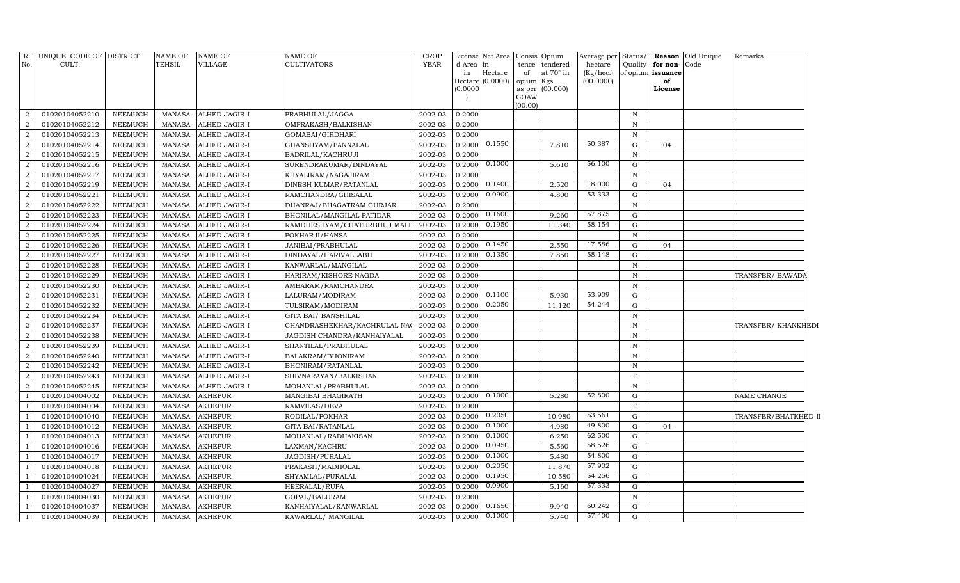| R.<br>No.      | UNIQUE CODE OF DISTRICT<br>CULT. |                | NAME OF<br><b>TEHSIL</b> | NAME OF<br>VILLAGE   | <b>NAME OF</b><br><b>CULTIVATORS</b> | <b>CROP</b><br><b>YEAR</b> | d Area<br>in<br>(0.0000) | License Net Area<br>in<br>Hectare<br>Hectare (0.0000) | tence<br>of<br>opium<br>GOAW<br>(00.00) | Consis Opium<br>tendered<br>at 70° in<br>Kgs<br>as per (00.000) | Average per Status/<br>hectare<br>(Kg/hec.)<br>(00.0000) | Quality      | for non-Code<br>of opium issuance<br>of<br>License | <b>Reason</b> Old Unique | Remarks              |
|----------------|----------------------------------|----------------|--------------------------|----------------------|--------------------------------------|----------------------------|--------------------------|-------------------------------------------------------|-----------------------------------------|-----------------------------------------------------------------|----------------------------------------------------------|--------------|----------------------------------------------------|--------------------------|----------------------|
| $\overline{2}$ | 01020104052210                   | <b>NEEMUCH</b> | MANASA                   | <b>ALHED JAGIR-I</b> | PRABHULAL/JAGGA                      | 2002-03                    | 0.2000                   |                                                       |                                         |                                                                 |                                                          | $\mathbb N$  |                                                    |                          |                      |
| $\overline{2}$ | 01020104052212                   | <b>NEEMUCH</b> | <b>MANASA</b>            | <b>ALHED JAGIR-I</b> | OMPRAKASH/BALKISHAN                  | 2002-03                    | 0.2000                   |                                                       |                                         |                                                                 |                                                          | N            |                                                    |                          |                      |
| $\mathcal{D}$  | 01020104052213                   | NEEMUCH        | MANASA                   | ALHED JAGIR-I        | GOMABAI/GIRDHARI                     | 2002-03                    | 0.2000                   |                                                       |                                         |                                                                 |                                                          | N            |                                                    |                          |                      |
|                | 01020104052214                   | <b>NEEMUCH</b> | <b>MANASA</b>            | <b>ALHED JAGIR-I</b> | GHANSHYAM/PANNALAL                   | 2002-03                    | 0.2000                   | 0.1550                                                |                                         | 7.810                                                           | 50.387                                                   | G            | 04                                                 |                          |                      |
| $\overline{2}$ | 01020104052215                   | <b>NEEMUCH</b> | <b>MANASA</b>            | ALHED JAGIR-I        | BADRILAL/KACHRUJI                    | 2002-03                    | 0.2000                   |                                                       |                                         |                                                                 |                                                          | $\, {\bf N}$ |                                                    |                          |                      |
| $\overline{2}$ | 01020104052216                   | <b>NEEMUCH</b> | <b>MANASA</b>            | ALHED JAGIR-I        | SURENDRAKUMAR/DINDAYAL               | 2002-03                    | 0.2000                   | 0.1000                                                |                                         | 5.610                                                           | 56.100                                                   | G            |                                                    |                          |                      |
| $\overline{2}$ | 01020104052217                   | <b>NEEMUCH</b> | MANASA                   | ALHED JAGIR-I        | KHYALIRAM/NAGAJIRAM                  | 2002-03                    | 0.2000                   |                                                       |                                         |                                                                 |                                                          | $\,$ N       |                                                    |                          |                      |
| 2              | 01020104052219                   | <b>NEEMUCH</b> | <b>MANASA</b>            | ALHED JAGIR-I        | DINESH KUMAR/RATANLAL                | 2002-03                    | 0.2000                   | 0.1400                                                |                                         | 2.520                                                           | 18.000                                                   | G            | 04                                                 |                          |                      |
|                | 01020104052221                   | <b>NEEMUCH</b> | <b>MANASA</b>            | ALHED JAGIR-I        | RAMCHANDRA/GHISALAL                  | 2002-03                    | 0.2000                   | 0.0900                                                |                                         | 4.800                                                           | 53.333                                                   | G            |                                                    |                          |                      |
| $\overline{2}$ | 01020104052222                   | <b>NEEMUCH</b> | <b>MANASA</b>            | ALHED JAGIR-I        | DHANRAJ/BHAGATRAM GURJAR             | 2002-03                    | 0.2000                   |                                                       |                                         |                                                                 |                                                          | $\,$ N       |                                                    |                          |                      |
| 2              | 01020104052223                   | NEEMUCH        | <b>MANASA</b>            | ALHED JAGIR-I        | BHONILAL/MANGILAL PATIDAR            | 2002-03                    | 0.2000                   | 0.1600                                                |                                         | 9.260                                                           | 57.875                                                   | G            |                                                    |                          |                      |
| $\overline{2}$ | 01020104052224                   | <b>NEEMUCH</b> | <b>MANASA</b>            | ALHED JAGIR-I        | RAMDHESHYAM/CHATURBHUJ MAI           | 2002-03                    | 0.2000                   | 0.1950                                                |                                         | 11.340                                                          | 58.154                                                   | G            |                                                    |                          |                      |
| $\overline{2}$ | 01020104052225                   | <b>NEEMUCH</b> | <b>MANASA</b>            | <b>ALHED JAGIR-I</b> | POKHARJI/HANSA                       | 2002-03                    | 0.2000                   |                                                       |                                         |                                                                 |                                                          | N            |                                                    |                          |                      |
| $\mathcal{D}$  | 01020104052226                   | <b>NEEMUCH</b> | <b>MANASA</b>            | <b>ALHED JAGIR-I</b> | JANIBAI/PRABHULAL                    | 2002-03                    | 0.2000                   | 0.1450                                                |                                         | 2.550                                                           | 17.586                                                   | G            | 04                                                 |                          |                      |
| 2              | 01020104052227                   | <b>NEEMUCH</b> | MANASA                   | <b>ALHED JAGIR-I</b> | DINDAYAL/HARIVALLABH                 | 2002-03                    | 0.2000                   | 0.1350                                                |                                         | 7.850                                                           | 58.148                                                   | G            |                                                    |                          |                      |
| $\overline{2}$ | 01020104052228                   | <b>NEEMUCH</b> | <b>MANASA</b>            | ALHED JAGIR-I        | KANWARLAL/MANGILAL                   | 2002-03                    | 0.2000                   |                                                       |                                         |                                                                 |                                                          | N            |                                                    |                          |                      |
| $\overline{2}$ | 01020104052229                   | <b>NEEMUCH</b> | <b>MANASA</b>            | <b>ALHED JAGIR-I</b> | HARIRAM/KISHORE NAGDA                | 2002-03                    | 0.2000                   |                                                       |                                         |                                                                 |                                                          | N            |                                                    |                          | TRANSFER/ BAWADA     |
| 2              | 01020104052230                   | <b>NEEMUCH</b> | <b>MANASA</b>            | <b>ALHED JAGIR-I</b> | AMBARAM/RAMCHANDRA                   | 2002-03                    | 0.2000                   |                                                       |                                         |                                                                 |                                                          | $\,$ N       |                                                    |                          |                      |
| $\mathcal{D}$  | 01020104052231                   | <b>NEEMUCH</b> | <b>MANASA</b>            | ALHED JAGIR-I        | LALURAM/MODIRAM                      | 2002-03                    | 0.2000                   | 0.1100                                                |                                         | 5.930                                                           | 53.909                                                   | G            |                                                    |                          |                      |
| $\overline{2}$ | 01020104052232                   | <b>NEEMUCH</b> | <b>MANASA</b>            | ALHED JAGIR-I        | TULSIRAM/MODIRAM                     | 2002-03                    | 0.2000                   | 0.2050                                                |                                         | 11.120                                                          | 54.244                                                   | G            |                                                    |                          |                      |
| 2              | 01020104052234                   | <b>NEEMUCH</b> | <b>MANASA</b>            | <b>ALHED JAGIR-I</b> | <b>GITA BAI/ BANSHILAL</b>           | 2002-03                    | 0.2000                   |                                                       |                                         |                                                                 |                                                          | $\,$ N       |                                                    |                          |                      |
| $\overline{2}$ | 01020104052237                   | <b>NEEMUCH</b> | <b>MANASA</b>            | ALHED JAGIR-I        | CHANDRASHEKHAR/KACHRULAL NA          | 2002-03                    | 0.2000                   |                                                       |                                         |                                                                 |                                                          | N            |                                                    |                          | TRANSFER/KHANKHEDI   |
| $\overline{2}$ | 01020104052238                   | <b>NEEMUCH</b> | <b>MANASA</b>            | ALHED JAGIR-I        | JAGDISH CHANDRA/KANHAIYALAL          | 2002-03                    | 0.2000                   |                                                       |                                         |                                                                 |                                                          | N            |                                                    |                          |                      |
| $\overline{2}$ | 01020104052239                   | <b>NEEMUCH</b> | <b>MANASA</b>            | ALHED JAGIR-I        | SHANTILAL/PRABHULAL                  | 2002-03                    | 0.2000                   |                                                       |                                         |                                                                 |                                                          | $\,$ N       |                                                    |                          |                      |
| $\overline{2}$ | 01020104052240                   | <b>NEEMUCH</b> | <b>MANASA</b>            | ALHED JAGIR-I        | BALAKRAM/BHONIRAM                    | 2002-03                    | 0.2000                   |                                                       |                                         |                                                                 |                                                          | N            |                                                    |                          |                      |
| 2              | 01020104052242                   | <b>NEEMUCH</b> | <b>MANASA</b>            | <b>ALHED JAGIR-I</b> | BHONIRAM/RATANLAL                    | 2002-03                    | 0.2000                   |                                                       |                                         |                                                                 |                                                          | N            |                                                    |                          |                      |
| 2              | 01020104052243                   | <b>NEEMUCH</b> | <b>MANASA</b>            | ALHED JAGIR-I        | SHIVNARAYAN/BALKISHAN                | 2002-03                    | 0.2000                   |                                                       |                                         |                                                                 |                                                          | $\mathbf{F}$ |                                                    |                          |                      |
| 2              | 01020104052245                   | <b>NEEMUCH</b> | <b>MANASA</b>            | ALHED JAGIR-I        | MOHANLAL/PRABHULAL                   | 2002-03                    | 0.2000                   |                                                       |                                         |                                                                 |                                                          | N            |                                                    |                          |                      |
|                | 01020104004002                   | <b>NEEMUCH</b> | <b>MANASA</b>            | <b>AKHEPUR</b>       | MANGIBAI BHAGIRATH                   | 2002-03                    | 0.2000                   | 0.1000                                                |                                         | 5.280                                                           | 52.800                                                   | G            |                                                    |                          | NAME CHANGE          |
|                | 01020104004004                   | <b>NEEMUCH</b> | <b>MANASA</b>            | <b>AKHEPUR</b>       | RAMVILAS/DEVA                        | 2002-03                    | 0.2000                   |                                                       |                                         |                                                                 |                                                          | $\mathbf F$  |                                                    |                          |                      |
|                | 01020104004040                   | <b>NEEMUCH</b> | <b>MANASA</b>            | <b>AKHEPUR</b>       | RODILAL/POKHAR                       | 2002-03                    | 0.2000                   | 0.2050                                                |                                         | 10.980                                                          | 53.561                                                   | G            |                                                    |                          | TRANSFER/BHATKHED-II |
|                | 01020104004012                   | <b>NEEMUCH</b> | <b>MANASA</b>            | <b>AKHEPUR</b>       | <b>GITA BAI/RATANLAL</b>             | 2002-03                    | 0.2000                   | 0.1000                                                |                                         | 4.980                                                           | 49.800                                                   | G            | 04                                                 |                          |                      |
|                | 01020104004013                   | <b>NEEMUCH</b> | <b>MANASA</b>            | <b>AKHEPUR</b>       | MOHANLAL/RADHAKISAN                  | 2002-03                    | 0.2000                   | 0.1000                                                |                                         | 6.250                                                           | 62.500                                                   | G            |                                                    |                          |                      |
|                | 01020104004016                   | <b>NEEMUCH</b> | <b>MANASA</b>            | <b>AKHEPUR</b>       | LAXMAN/KACHRU                        | 2002-03                    | 0.2000                   | 0.0950                                                |                                         | 5.560                                                           | 58.526                                                   | G            |                                                    |                          |                      |
|                | 01020104004017                   | <b>NEEMUCH</b> | <b>MANASA</b>            | <b>AKHEPUR</b>       | JAGDISH/PURALAL                      | 2002-03                    | 0.2000                   | 0.1000                                                |                                         | 5.480                                                           | 54.800                                                   | G            |                                                    |                          |                      |
|                | 01020104004018                   | <b>NEEMUCH</b> | MANASA                   | <b>AKHEPUR</b>       | PRAKASH/MADHOLAL                     | 2002-03                    | 0.2000                   | 0.2050                                                |                                         | 11.870                                                          | 57.902                                                   | G            |                                                    |                          |                      |
|                | 01020104004024                   | <b>NEEMUCH</b> | <b>MANASA</b>            | <b>AKHEPUR</b>       | SHYAMLAL/PURALAL                     | 2002-03                    | 0.2000                   | 0.1950                                                |                                         | 10.580                                                          | 54.256                                                   | G            |                                                    |                          |                      |
|                | 01020104004027                   | NEEMUCH        | <b>MANASA</b>            | <b>AKHEPUR</b>       | HEERALAL/RUPA                        | 2002-03                    | 0.2000                   | 0.0900                                                |                                         | 5.160                                                           | 57.333                                                   | G            |                                                    |                          |                      |
|                | 01020104004030                   | <b>NEEMUCH</b> | <b>MANASA</b>            | <b>AKHEPUR</b>       | GOPAL/BALURAM                        | 2002-03                    | 0.2000                   |                                                       |                                         |                                                                 |                                                          | N            |                                                    |                          |                      |
|                | 01020104004037                   | <b>NEEMUCH</b> | <b>MANASA</b>            | <b>AKHEPUR</b>       | KANHAIYALAL/KANWARLAL                | 2002-03                    | 0.2000                   | 0.1650                                                |                                         | 9.940                                                           | 60.242                                                   | G            |                                                    |                          |                      |
|                | 01020104004039                   | <b>NEEMUCH</b> | MANASA                   | <b>AKHEPUR</b>       | KAWARLAL/ MANGILAL                   | 2002-03                    | 0.2000                   | 0.1000                                                |                                         | 5.740                                                           | 57.400                                                   | G            |                                                    |                          |                      |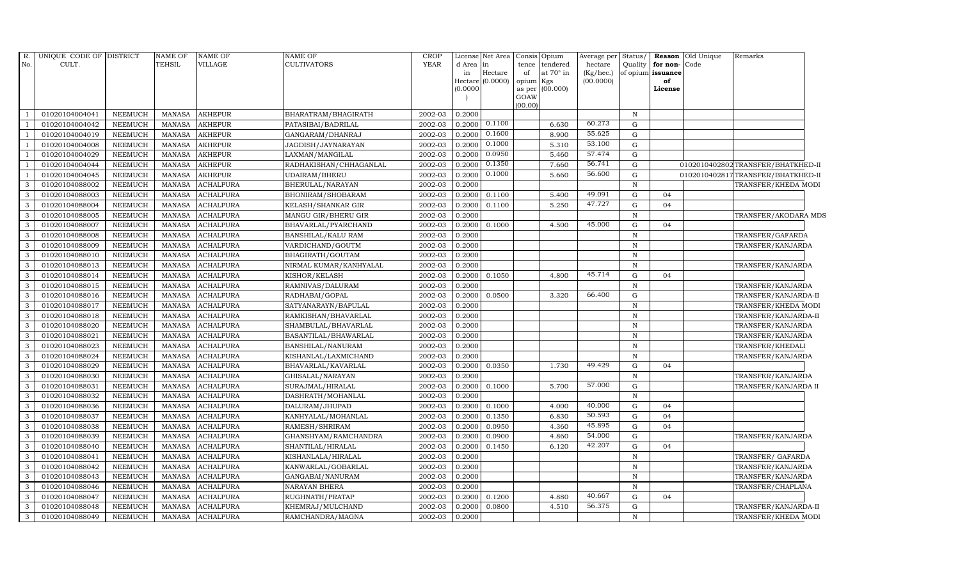| R.<br>No.     | UNIQUE CODE OF DISTRICT<br>CULT. |                | <b>NAME OF</b><br><b>TEHSIL</b> | <b>NAME OF</b><br><b>VILLAGE</b> | <b>NAME OF</b><br>CULTIVATORS | <b>CROP</b><br><b>YEAR</b> | d Area in<br>in<br>(0.0000) | License Net Area<br>$\rm{Hectare}$<br>Hectare (0.0000) | Consis<br>tence<br>of<br>opium<br>as per<br>GOAW | Opium<br>tendered<br>at $70^\circ$ in<br>Kgs<br>(00.000) | Average per<br>hectare<br>(Kg/hec.)<br>(00.0000) | Status/<br>Quality | for non-Code<br>of opium issuance<br>of<br>License | Reason Old Unique | Remarks                           |
|---------------|----------------------------------|----------------|---------------------------------|----------------------------------|-------------------------------|----------------------------|-----------------------------|--------------------------------------------------------|--------------------------------------------------|----------------------------------------------------------|--------------------------------------------------|--------------------|----------------------------------------------------|-------------------|-----------------------------------|
|               |                                  |                |                                 |                                  |                               |                            |                             |                                                        | (00.00)                                          |                                                          |                                                  |                    |                                                    |                   |                                   |
|               | 01020104004041                   | <b>NEEMUCH</b> | MANASA                          | <b>AKHEPUR</b>                   | BHARATRAM/BHAGIRATH           | 2002-03                    | 0.2000                      |                                                        |                                                  |                                                          |                                                  | N                  |                                                    |                   |                                   |
|               | 01020104004042                   | <b>NEEMUCH</b> | <b>MANASA</b>                   | <b>AKHEPUR</b>                   | PATASIBAI/BADRILAL            | 2002-03                    | 0.2000                      | 0.1100                                                 |                                                  | 6.630                                                    | 60.273                                           | $\mathbf G$        |                                                    |                   |                                   |
|               | 01020104004019                   | <b>NEEMUCH</b> | <b>MANASA</b>                   | <b>AKHEPUR</b>                   | GANGARAM/DHANRAJ              | 2002-03                    | 0.2000                      | 0.1600                                                 |                                                  | 8.900                                                    | 55.625                                           | $\mathbf G$        |                                                    |                   |                                   |
|               | 01020104004008                   | <b>NEEMUCH</b> | <b>MANASA</b>                   | <b>AKHEPUR</b>                   | JAGDISH/JAYNARAYAN            | 2002-03                    | 0.2000                      | 0.1000                                                 |                                                  | 5.310                                                    | 53.100                                           | G                  |                                                    |                   |                                   |
|               | 01020104004029                   | <b>NEEMUCH</b> | <b>MANASA</b>                   | <b>AKHEPUR</b>                   | LAXMAN/MANGILAL               | 2002-03                    | 0.2000                      | 0.0950                                                 |                                                  | 5.460                                                    | 57.474                                           | $\mathbf G$        |                                                    |                   |                                   |
|               | 01020104004044                   | NEEMUCH        | <b>MANASA</b>                   | <b>AKHEPUR</b>                   | RADHAKISHAN/CHHAGANLAL        | 2002-03                    | 0.2000                      | 0.1350                                                 |                                                  | 7.660                                                    | 56.741                                           | ${\bf G}$          |                                                    |                   | 0102010402802TRANSFER/BHATKHED-II |
|               | 01020104004045                   | <b>NEEMUCH</b> | <b>MANASA</b>                   | <b>AKHEPUR</b>                   | UDAIRAM/BHERU                 | 2002-03                    | 0.2000                      | 0.1000                                                 |                                                  | 5.660                                                    | 56.600                                           | ${\rm G}$          |                                                    |                   | 0102010402817TRANSFER/BHATKHED-II |
| 3             | 01020104088002                   | <b>NEEMUCH</b> | <b>MANASA</b>                   | <b>ACHALPURA</b>                 | BHERULAL/NARAYAN              | 2002-03                    | 0.2000                      |                                                        |                                                  |                                                          |                                                  | $\mathbf N$        |                                                    |                   | TRANSFER/KHEDA MODI               |
|               | 01020104088003                   | <b>NEEMUCH</b> | <b>MANASA</b>                   | <b>ACHALPURA</b>                 | BHONIRAM/SHOBARAM             | 2002-03                    | 0.2000                      | 0.1100                                                 |                                                  | 5.400                                                    | 49.091                                           | G                  | 04                                                 |                   |                                   |
| 3             | 01020104088004                   | <b>NEEMUCH</b> | <b>MANASA</b>                   | <b>ACHALPURA</b>                 | KELASH/SHANKAR GIR            | 2002-03                    | 0.2000                      | 0.1100                                                 |                                                  | 5.250                                                    | 47.727                                           | $\mathbf G$        | 04                                                 |                   |                                   |
| 3             | 01020104088005                   | <b>NEEMUCH</b> | <b>MANASA</b>                   | <b>ACHALPURA</b>                 | MANGU GIR/BHERU GIR           | 2002-03                    | 0.2000                      |                                                        |                                                  |                                                          |                                                  | $\, {\rm N}$       |                                                    |                   | TRANSFER/AKODARA MDS              |
| 3             | 01020104088007                   | <b>NEEMUCH</b> | <b>MANASA</b>                   | <b>ACHALPURA</b>                 | BHAVARLAL/PYARCHAND           | 2002-03                    | 0.2000                      | 0.1000                                                 |                                                  | 4.500                                                    | 45.000                                           | ${\rm G}$          | 04                                                 |                   |                                   |
| 3             | 01020104088008                   | <b>NEEMUCH</b> | MANASA                          | <b>ACHALPURA</b>                 | BANSHILAL/KALU RAM            | 2002-03                    | 0.2000                      |                                                        |                                                  |                                                          |                                                  | $\, {\rm N}$       |                                                    |                   | TRANSFER/GAFARDA                  |
| 3             | 01020104088009                   | <b>NEEMUCH</b> | <b>MANASA</b>                   | <b>ACHALPURA</b>                 | VARDICHAND/GOUTM              | 2002-03                    | 0.2000                      |                                                        |                                                  |                                                          |                                                  | $\mathbf N$        |                                                    |                   | TRANSFER/KANJARDA                 |
| 3             | 01020104088010                   | NEEMUCH        | <b>MANASA</b>                   | <b>ACHALPURA</b>                 | BHAGIRATH/GOUTAM              | 2002-03                    | 0.2000                      |                                                        |                                                  |                                                          |                                                  | $\, {\rm N}$       |                                                    |                   |                                   |
| 3             | 01020104088013                   | <b>NEEMUCH</b> | <b>MANASA</b>                   | <b>ACHALPURA</b>                 | NIRMAL KUMAR/KANHYALAL        | 2002-03                    | 0.2000                      |                                                        |                                                  |                                                          |                                                  | $\mathbf N$        |                                                    |                   | TRANSFER/KANJARDA                 |
| 3             | 01020104088014                   | <b>NEEMUCH</b> | <b>MANASA</b>                   | <b>ACHALPURA</b>                 | KISHOR/KELASH                 | 2002-03                    | 0.2000                      | 0.1050                                                 |                                                  | 4.800                                                    | 45.714                                           | $\mathbf G$        | 04                                                 |                   |                                   |
| 3             | 01020104088015                   | <b>NEEMUCH</b> | <b>MANASA</b>                   | <b>ACHALPURA</b>                 | RAMNIVAS/DALURAM              | 2002-03                    | 0.2000                      |                                                        |                                                  |                                                          |                                                  | $\mathbf N$        |                                                    |                   | TRANSFER/KANJARDA                 |
| 3             | 01020104088016                   | <b>NEEMUCH</b> | <b>MANASA</b>                   | <b>ACHALPURA</b>                 | RADHABAI/GOPAL                | 2002-03                    | 0.2000                      | 0.0500                                                 |                                                  | 3.320                                                    | 66.400                                           | $\mathbf G$        |                                                    |                   | TRANSFER/KANJARDA-II              |
| 3             | 01020104088017                   | <b>NEEMUCH</b> | <b>MANASA</b>                   | <b>ACHALPURA</b>                 | SATYANARAYN/BAPULAL           | 2002-03                    | 0.2000                      |                                                        |                                                  |                                                          |                                                  | $\, {\rm N}$       |                                                    |                   | TRANSFER/KHEDA MODI               |
| 3             | 01020104088018                   | NEEMUCH        | <b>MANASA</b>                   | <b>ACHALPURA</b>                 | RAMKISHAN/BHAVARLAL           | 2002-03                    | 0.2000                      |                                                        |                                                  |                                                          |                                                  | $\mathbf N$        |                                                    |                   | TRANSFER/KANJARDA-II              |
| 3             | 01020104088020                   | <b>NEEMUCH</b> | <b>MANASA</b>                   | <b>ACHALPURA</b>                 | SHAMBULAL/BHAVARLAL           | 2002-03                    | 0.2000                      |                                                        |                                                  |                                                          |                                                  | $\, {\rm N}$       |                                                    |                   | TRANSFER/KANJARDA                 |
| 3             | 01020104088021                   | <b>NEEMUCH</b> | <b>MANASA</b>                   | <b>ACHALPURA</b>                 | BASANTILAL/BHAWARLAL          | 2002-03                    | 0.2000                      |                                                        |                                                  |                                                          |                                                  | $\, {\rm N}$       |                                                    |                   | TRANSFER/KANJARDA                 |
| $\mathcal{A}$ | 01020104088023                   | <b>NEEMUCH</b> | <b>MANASA</b>                   | <b>ACHALPURA</b>                 | BANSHILAL/NANURAM             | 2002-03                    | 0.2000                      |                                                        |                                                  |                                                          |                                                  | $\mathbf N$        |                                                    |                   | TRANSFER/KHEDALI                  |
| 3             | 01020104088024                   | <b>NEEMUCH</b> | <b>MANASA</b>                   | <b>ACHALPURA</b>                 | KISHANLAL/LAXMICHAND          | 2002-03                    | 0.2000                      |                                                        |                                                  |                                                          |                                                  | $\mathbf N$        |                                                    |                   | TRANSFER/KANJARDA                 |
| 3             | 01020104088029                   | NEEMUCH        | <b>MANASA</b>                   | <b>ACHALPURA</b>                 | BHAVARLAL/KAVARLAL            | 2002-03                    | 0.2000                      | 0.0350                                                 |                                                  | 1.730                                                    | 49.429                                           | $\mathbf G$        | 04                                                 |                   |                                   |
| 3             | 01020104088030                   | <b>NEEMUCH</b> | <b>MANASA</b>                   | <b>ACHALPURA</b>                 | GHISALAL/NARAYAN              | 2002-03                    | 0.2000                      |                                                        |                                                  |                                                          |                                                  | $\, {\rm N}$       |                                                    |                   | TRANSFER/KANJARDA                 |
| 3             | 01020104088031                   | <b>NEEMUCH</b> | <b>MANASA</b>                   | <b>ACHALPURA</b>                 | SURAJMAL/HIRALAL              | 2002-03                    | 0.2000                      | 0.1000                                                 |                                                  | 5.700                                                    | 57.000                                           | $\mathbf G$        |                                                    |                   | TRANSFER/KANJARDA II              |
| 3             | 01020104088032                   | <b>NEEMUCH</b> | <b>MANASA</b>                   | <b>ACHALPURA</b>                 | DASHRATH/MOHANLAL             | 2002-03                    | 0.2000                      |                                                        |                                                  |                                                          |                                                  | $\mathbf N$        |                                                    |                   |                                   |
|               | 01020104088036                   | <b>NEEMUCH</b> | <b>MANASA</b>                   | <b>ACHALPURA</b>                 | DALURAM/JHUPAD                | 2002-03                    | 0.2000                      | 0.1000                                                 |                                                  | 4.000                                                    | 40.000                                           | G                  | 04                                                 |                   |                                   |
| 3             | 01020104088037                   | <b>NEEMUCH</b> | <b>MANASA</b>                   | <b>ACHALPURA</b>                 | KANHYALAL/MOHANLAL            | 2002-03                    | 0.2000                      | 0.1350                                                 |                                                  | 6.830                                                    | 50.593                                           | $\mathbf G$        | 04                                                 |                   |                                   |
| 3             | 01020104088038                   | <b>NEEMUCH</b> | <b>MANASA</b>                   | <b>ACHALPURA</b>                 | RAMESH/SHRIRAM                | 2002-03                    | 0.2000                      | 0.0950                                                 |                                                  | 4.360                                                    | 45.895                                           | $\mathbf G$        | 04                                                 |                   |                                   |
| 3             | 01020104088039                   | <b>NEEMUCH</b> | <b>MANASA</b>                   | <b>ACHALPURA</b>                 | GHANSHYAM/RAMCHANDRA          | 2002-03                    | 0.2000                      | 0.0900                                                 |                                                  | 4.860                                                    | 54.000                                           | G                  |                                                    |                   | TRANSFER/KANJARDA                 |
| 3             | 01020104088040                   | <b>NEEMUCH</b> | <b>MANASA</b>                   | <b>ACHALPURA</b>                 | SHANTILAL/HIRALAL             | 2002-03                    | 0.2000                      | 0.1450                                                 |                                                  | 6.120                                                    | 42.207                                           | $\mathbf G$        | 04                                                 |                   |                                   |
| 3             | 01020104088041                   | <b>NEEMUCH</b> | <b>MANASA</b>                   | <b>ACHALPURA</b>                 | KISHANLALA/HIRALAL            | 2002-03                    | 0.2000                      |                                                        |                                                  |                                                          |                                                  | $\, {\rm N}$       |                                                    |                   | TRANSFER/ GAFARDA                 |
| 3             | 01020104088042                   | <b>NEEMUCH</b> | <b>MANASA</b>                   | <b>ACHALPURA</b>                 | KANWARLAL/GOBARLAL            | 2002-03                    | 0.2000                      |                                                        |                                                  |                                                          |                                                  | $\, {\rm N}$       |                                                    |                   | TRANSFER/KANJARDA                 |
| 3             | 01020104088043                   | <b>NEEMUCH</b> | <b>MANASA</b>                   | <b>ACHALPURA</b>                 | GANGABAI/NANURAM              | 2002-03                    | 0.2000                      |                                                        |                                                  |                                                          |                                                  | $\mathbf N$        |                                                    |                   | TRANSFER/KANJARDA                 |
| 3             | 01020104088046                   | NEEMUCH        | <b>MANASA</b>                   | <b>ACHALPURA</b>                 | NARAYAN BHERA                 | 2002-03                    | 0.2000                      |                                                        |                                                  |                                                          |                                                  | $\, {\rm N}$       |                                                    |                   | TRANSFER/CHAPLANA                 |
| 3             | 01020104088047                   | <b>NEEMUCH</b> | <b>MANASA</b>                   | <b>ACHALPURA</b>                 | RUGHNATH/PRATAP               | 2002-03                    | 0.2000                      | 0.1200                                                 |                                                  | 4.880                                                    | 40.667                                           | ${\rm G}$          | 04                                                 |                   |                                   |
| 3             | 01020104088048                   | <b>NEEMUCH</b> | <b>MANASA</b>                   | <b>ACHALPURA</b>                 | KHEMRAJ/MULCHAND              | 2002-03                    | 0.2000                      | 0.0800                                                 |                                                  | 4.510                                                    | 56.375                                           | $\mathbf G$        |                                                    |                   | TRANSFER/KANJARDA-II              |
| 3             | 01020104088049                   | NEEMUCH        | MANASA                          | <b>ACHALPURA</b>                 | RAMCHANDRA/MAGNA              | 2002-03                    | 0.2000                      |                                                        |                                                  |                                                          |                                                  | $\mathbf N$        |                                                    |                   | TRANSFER/KHEDA MODI               |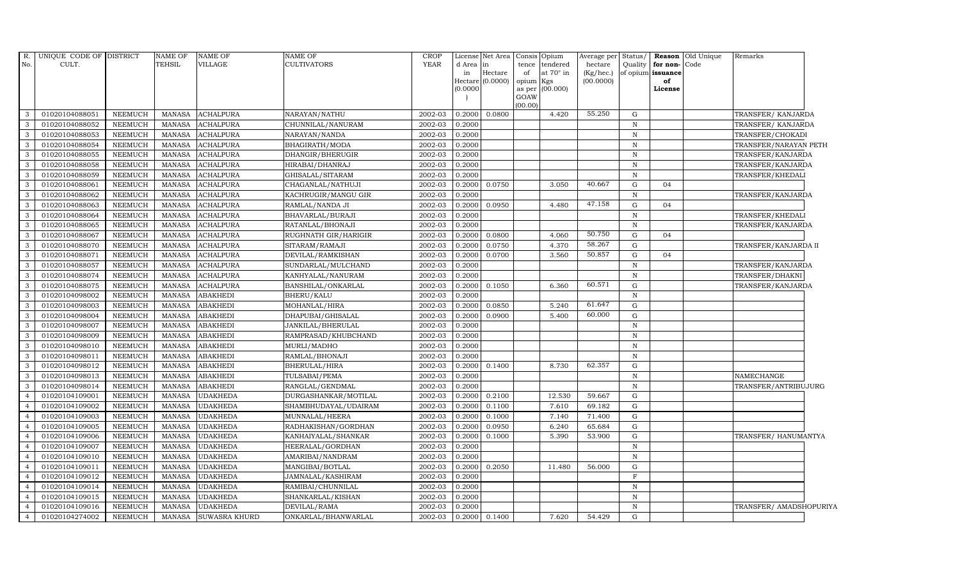| R.             | UNIQUE CODE OF DISTRICT |                | <b>NAME OF</b> | <b>NAME OF</b>       | <b>NAME OF</b>       | CROP        | License  | Net Area              | Consis         | Opium     | Average per  | Status/      |                   | Reason Old Unique | Remarks                 |
|----------------|-------------------------|----------------|----------------|----------------------|----------------------|-------------|----------|-----------------------|----------------|-----------|--------------|--------------|-------------------|-------------------|-------------------------|
| No.            | CULT.                   |                | <b>TEHSIL</b>  | VILLAGE              | <b>CULTIVATORS</b>   | <b>YEAR</b> | d Area   | in                    | tence          | tendered  | hectare      | Quality      | for non-Code      |                   |                         |
|                |                         |                |                |                      |                      |             | in       | Hectare               | of             | at 70° in | $(Kg/$ hec.) |              | of opium issuance |                   |                         |
|                |                         |                |                |                      |                      |             |          | Hectare (0.0000)      | opium          | Kgs       | (00.0000)    |              | of                |                   |                         |
|                |                         |                |                |                      |                      |             | (0.0000) |                       | as per<br>GOAW | (00.000)  |              |              | License           |                   |                         |
|                |                         |                |                |                      |                      |             |          |                       | (00.00)        |           |              |              |                   |                   |                         |
| 3              | 01020104088051          | <b>NEEMUCH</b> | MANASA         | <b>ACHALPURA</b>     | NARAYAN/NATHU        | 2002-03     | 0.2000   | 0.0800                |                | 4.420     | 55.250       | G            |                   |                   | TRANSFER/ KANJARDA      |
| 3              | 01020104088052          | <b>NEEMUCH</b> | <b>MANASA</b>  | <b>ACHALPURA</b>     | CHUNNILAL/NANURAM    | 2002-03     | 0.2000   |                       |                |           |              | $\mathbf N$  |                   |                   | TRANSFER/ KANJARDA      |
| 3              | 01020104088053          | <b>NEEMUCH</b> | <b>MANASA</b>  | <b>ACHALPURA</b>     | NARAYAN/NANDA        | 2002-03     | 0.2000   |                       |                |           |              | $\mathbb N$  |                   |                   | TRANSFER/CHOKADI        |
| 3              | 01020104088054          | <b>NEEMUCH</b> | <b>MANASA</b>  | <b>ACHALPURA</b>     | BHAGIRATH/MODA       | 2002-03     | 0.2000   |                       |                |           |              | $\, {\rm N}$ |                   |                   | TRANSFER/NARAYAN PETH   |
| 3              | 01020104088055          | <b>NEEMUCH</b> | <b>MANASA</b>  | <b>ACHALPURA</b>     | DHANGIR/BHERUGIR     | 2002-03     | 0.2000   |                       |                |           |              | $\, {\bf N}$ |                   |                   | TRANSFER/KANJARDA       |
| 3              | 01020104088058          | <b>NEEMUCH</b> | <b>MANASA</b>  | ACHALPURA            | HIRABAI/DHANRAJ      | 2002-03     | 0.2000   |                       |                |           |              | N            |                   |                   | TRANSFER/KANJARDA       |
| 3              | 01020104088059          | NEEMUCH        | <b>MANASA</b>  | <b>ACHALPURA</b>     | GHISALAL/SITARAM     | 2002-03     | 0.2000   |                       |                |           |              | $\, {\bf N}$ |                   |                   | TRANSFER/KHEDALI        |
| 3              | 01020104088061          | <b>NEEMUCH</b> | <b>MANASA</b>  | <b>ACHALPURA</b>     | CHAGANLAL/NATHUJI    | 2002-03     | 0.2000   | 0.0750                |                | 3.050     | 40.667       | G            | 04                |                   |                         |
| 3              | 01020104088062          | <b>NEEMUCH</b> | <b>MANASA</b>  | <b>ACHALPURA</b>     | KACHRUGIR/MANGU GIR  | 2002-03     | 0.2000   |                       |                |           |              | $\mathbf N$  |                   |                   | TRANSFER/KANJARDA       |
| 3              | 01020104088063          | NEEMUCH        | <b>MANASA</b>  | ACHALPURA            | RAMLAL/NANDA JI      | 2002-03     | 0.2000   | 0.0950                |                | 4.480     | 47.158       | ${\rm G}$    | 04                |                   |                         |
| 3              | 01020104088064          | <b>NEEMUCH</b> | <b>MANASA</b>  | <b>ACHALPURA</b>     | BHAVARLAL/BURAJI     | 2002-03     | 0.2000   |                       |                |           |              | $\mathbb N$  |                   |                   | TRANSFER/KHEDALI        |
| 3              | 01020104088065          | <b>NEEMUCH</b> | <b>MANASA</b>  | <b>ACHALPURA</b>     | RATANLAL/BHONAJI     | 2002-03     | 0.2000   |                       |                |           |              | $\, {\bf N}$ |                   |                   | TRANSFER/KANJARDA       |
| 3              | 01020104088067          | <b>NEEMUCH</b> | <b>MANASA</b>  | <b>ACHALPURA</b>     | RUGHNATH GIR/HARIGIR | 2002-03     | 0.2000   | 0.0800                |                | 4.060     | 50.750       | G            | 04                |                   |                         |
| 3              | 01020104088070          | <b>NEEMUCH</b> | <b>MANASA</b>  | <b>ACHALPURA</b>     | SITARAM/RAMAJI       | 2002-03     | 0.2000   | 0.0750                |                | 4.370     | 58.267       | ${\rm G}$    |                   |                   | TRANSFER/KANJARDA II    |
| 3              | 01020104088071          | <b>NEEMUCH</b> | <b>MANASA</b>  | <b>ACHALPURA</b>     | DEVILAL/RAMKISHAN    | 2002-03     | 0.2000   | 0.0700                |                | 3.560     | 50.857       | ${\rm G}$    | 04                |                   |                         |
| 3              | 01020104088057          | <b>NEEMUCH</b> | <b>MANASA</b>  | <b>ACHALPURA</b>     | SUNDARLAL/MULCHAND   | 2002-03     | 0.2000   |                       |                |           |              | $\mathbb N$  |                   |                   | TRANSFER/KANJARDA       |
| 3              | 01020104088074          | <b>NEEMUCH</b> | <b>MANASA</b>  | <b>ACHALPURA</b>     | KANHYALAL/NANURAM    | 2002-03     | 0.2000   |                       |                |           |              | $\, {\bf N}$ |                   |                   | TRANSFER/DHAKNI         |
| 3              | 01020104088075          | <b>NEEMUCH</b> | <b>MANASA</b>  | <b>ACHALPURA</b>     | BANSHILAL/ONKARLAL   | 2002-03     | 0.2000   | 0.1050                |                | 6.360     | 60.571       | G            |                   |                   | TRANSFER/KANJARDA       |
| 3              | 01020104098002          | <b>NEEMUCH</b> | <b>MANASA</b>  | <b>ABAKHEDI</b>      | <b>BHERU/KALU</b>    | 2002-03     | 0.2000   |                       |                |           |              | $\mathbf N$  |                   |                   |                         |
| 3              | 01020104098003          | <b>NEEMUCH</b> | <b>MANASA</b>  | ABAKHEDI             | MOHANLAL/HIRA        | 2002-03     | 0.2000   | 0.0850                |                | 5.240     | 61.647       | ${\rm G}$    |                   |                   |                         |
| 3              | 01020104098004          | <b>NEEMUCH</b> | <b>MANASA</b>  | <b>ABAKHEDI</b>      | DHAPUBAI/GHISALAL    | 2002-03     | 0.2000   | 0.0900                |                | 5.400     | 60.000       | G            |                   |                   |                         |
| 3              | 01020104098007          | <b>NEEMUCH</b> | <b>MANASA</b>  | <b>ABAKHEDI</b>      | JANKILAL/BHERULAL    | 2002-03     | 0.2000   |                       |                |           |              | $\, {\bf N}$ |                   |                   |                         |
| 3              | 01020104098009          | <b>NEEMUCH</b> | <b>MANASA</b>  | <b>ABAKHEDI</b>      | RAMPRASAD/KHUBCHAND  | 2002-03     | 0.2000   |                       |                |           |              | $\mathbf N$  |                   |                   |                         |
| 3              | 01020104098010          | <b>NEEMUCH</b> | <b>MANASA</b>  | ABAKHEDI             | MURLI/MADHO          | 2002-03     | 0.2000   |                       |                |           |              | $\mathbf N$  |                   |                   |                         |
|                | 01020104098011          | <b>NEEMUCH</b> | <b>MANASA</b>  | ABAKHEDI             | RAMLAL/BHONAJI       | 2002-03     | 0.2000   |                       |                |           |              | $\, {\rm N}$ |                   |                   |                         |
| 3              | 01020104098012          | <b>NEEMUCH</b> | <b>MANASA</b>  | <b>ABAKHEDI</b>      | BHERULAL/HIRA        | 2002-03     | 0.2000   | 0.1400                |                | 8.730     | 62.357       | G            |                   |                   |                         |
| 3              | 01020104098013          | <b>NEEMUCH</b> | <b>MANASA</b>  | <b>ABAKHEDI</b>      | TULSABAI/PEMA        | 2002-03     | 0.2000   |                       |                |           |              | $\, {\bf N}$ |                   |                   | NAMECHANGE              |
| 3              | 01020104098014          | <b>NEEMUCH</b> | <b>MANASA</b>  | <b>ABAKHEDI</b>      | RANGLAL/GENDMAL      | 2002-03     | 0.2000   |                       |                |           |              | N            |                   |                   | TRANSFER/ANTRIBUJURG    |
| $\overline{4}$ | 01020104109001          | <b>NEEMUCH</b> | <b>MANASA</b>  | UDAKHEDA             | DURGASHANKAR/MOTILAL | 2002-03     | 0.2000   | 0.2100                |                | 12.530    | 59.667       | G            |                   |                   |                         |
|                | 01020104109002          | <b>NEEMUCH</b> | <b>MANASA</b>  | <b>UDAKHEDA</b>      | SHAMBHUDAYAL/UDAIRAM | 2002-03     | 0.2000   | 0.1100                |                | 7.610     | 69.182       | G            |                   |                   |                         |
| $\overline{4}$ | 01020104109003          | <b>NEEMUCH</b> | <b>MANASA</b>  | UDAKHEDA             | MUNNALAL/HEERA       | 2002-03     | 0.2000   | 0.1000                |                | 7.140     | 71.400       | ${\rm G}$    |                   |                   |                         |
| $\overline{4}$ | 01020104109005          | <b>NEEMUCH</b> | <b>MANASA</b>  | <b>UDAKHEDA</b>      | RADHAKISHAN/GORDHAN  | 2002-03     | 0.2000   | 0.0950                |                | 6.240     | 65.684       | G            |                   |                   |                         |
| $\overline{4}$ | 01020104109006          | <b>NEEMUCH</b> | <b>MANASA</b>  | UDAKHEDA             | KANHAIYALAL/SHANKAR  | 2002-03     | 0.2000   | 0.1000                |                | 5.390     | 53.900       | G            |                   |                   | TRANSFER/ HANUMANTYA    |
| $\overline{A}$ | 01020104109007          | <b>NEEMUCH</b> | <b>MANASA</b>  | UDAKHEDA             | HEERALAL/GORDHAN     | 2002-03     | 0.2000   |                       |                |           |              | $\, {\bf N}$ |                   |                   |                         |
|                | 01020104109010          | <b>NEEMUCH</b> | <b>MANASA</b>  | <b>JDAKHEDA</b>      | AMARIBAI/NANDRAM     | 2002-03     | 0.2000   |                       |                |           |              | $\, {\bf N}$ |                   |                   |                         |
|                | 01020104109011          | <b>NEEMUCH</b> | <b>MANASA</b>  | UDAKHEDA             | MANGIBAI/BOTLAL      | 2002-03     | 0.2000   | 0.2050                |                | 11.480    | 56.000       | ${\rm G}$    |                   |                   |                         |
| $\overline{4}$ | 01020104109012          | <b>NEEMUCH</b> | <b>MANASA</b>  | UDAKHEDA             | JAMNALAL/KASHIRAM    | 2002-03     | 0.2000   |                       |                |           |              | $\rm F$      |                   |                   |                         |
| $\overline{4}$ | 01020104109014          | <b>NEEMUCH</b> | <b>MANASA</b>  | UDAKHEDA             | RAMIBAI/CHUNNILAL    | 2002-03     | 0.2000   |                       |                |           |              | $\,$ N       |                   |                   |                         |
| $\overline{4}$ | 01020104109015          | <b>NEEMUCH</b> | <b>MANASA</b>  | UDAKHEDA             | SHANKARLAL/KISHAN    | 2002-03     | 0.2000   |                       |                |           |              | $\mathbf N$  |                   |                   |                         |
|                | 01020104109016          | <b>NEEMUCH</b> | <b>MANASA</b>  | <b>UDAKHEDA</b>      | DEVILAL/RAMA         | 2002-03     | 0.2000   |                       |                |           |              | $\, {\rm N}$ |                   |                   | TRANSFER/ AMADSHOPURIYA |
| $\overline{4}$ | 01020104274002          | <b>NEEMUCH</b> | <b>MANASA</b>  | <b>SUWASRA KHURD</b> | ONKARLAL/BHANWARLAL  | 2002-03     |          | $0.2000 \quad 0.1400$ |                | 7.620     | 54.429       | $\mathbf G$  |                   |                   |                         |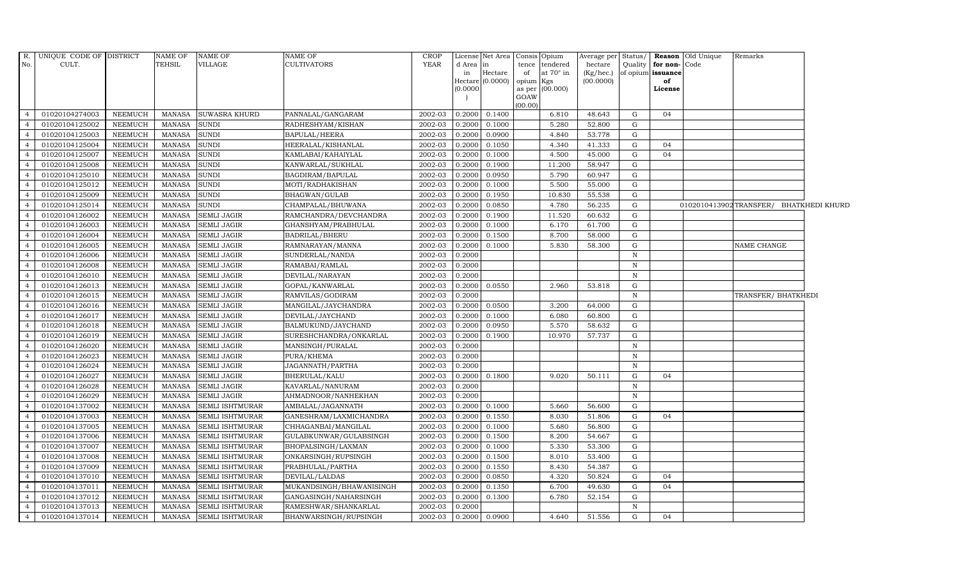| R.<br>No.                        | UNIQUE CODE OF DISTRICT<br>CULT. |                                  | NAME OF<br><b>TEHSIL</b>       | <b>NAME OF</b><br><b>VILLAGE</b>          | NAME OF<br>CULTIVATORS                            | CROP<br><b>YEAR</b> | d Area           | License Net Area<br>$\mathop{\text{in}}$ |           | Consis Opium<br>tence tendered | hectare          |              | Quality   for non- Code | Average per Status/ <b>Reason</b> Old Unique | Remarks                                |  |
|----------------------------------|----------------------------------|----------------------------------|--------------------------------|-------------------------------------------|---------------------------------------------------|---------------------|------------------|------------------------------------------|-----------|--------------------------------|------------------|--------------|-------------------------|----------------------------------------------|----------------------------------------|--|
|                                  |                                  |                                  |                                |                                           |                                                   |                     | in               | Hectare                                  | of        | at $70^\circ$ in               | (Kg/hec.)        |              | of opium issuance       |                                              |                                        |  |
|                                  |                                  |                                  |                                |                                           |                                                   |                     | Hectare          | (0.0000)                                 | opium Kgs |                                | (00.0000)        |              | of                      |                                              |                                        |  |
|                                  |                                  |                                  |                                |                                           |                                                   |                     | (0.0000)         |                                          | GOAW      | as per (00.000)                |                  |              | License                 |                                              |                                        |  |
|                                  |                                  |                                  |                                |                                           |                                                   |                     |                  |                                          | (00.00)   |                                |                  |              |                         |                                              |                                        |  |
| $\overline{4}$                   | 01020104274003                   | NEEMUCH                          | <b>MANASA</b>                  | <b>SUWASRA KHURD</b>                      | PANNALAL/GANGARAM                                 | 2002-03             | 0.2000           | 0.1400                                   |           | 6.810                          | 48.643           | G            | 04                      |                                              |                                        |  |
| $\overline{4}$                   | 01020104125002                   | <b>NEEMUCH</b>                   | <b>MANASA</b>                  | SUNDI                                     | RADHESHYAM/KISHAN                                 | 2002-03             | 0.2000           | 0.1000                                   |           | 5.280                          | 52.800           | G            |                         |                                              |                                        |  |
| $\overline{4}$                   | 01020104125003                   | <b>NEEMUCH</b>                   | <b>MANASA</b>                  | <b>SUNDI</b>                              | BAPULAL/HEERA                                     | 2002-03             | 0.2000           | 0.0900                                   |           | 4.840                          | 53.778           | G            |                         |                                              |                                        |  |
| $\overline{4}$                   | 01020104125004                   | NEEMUCH                          | <b>MANASA</b>                  | <b>SUNDI</b>                              | HEERALAL/KISHANLAL                                | 2002-03             | 0.2000           | 0.1050                                   |           | 4.340                          | 41.333           | G            | 04                      |                                              |                                        |  |
|                                  | 01020104125007                   | <b>NEEMUCH</b>                   | <b>MANASA</b>                  | <b>SUNDI</b>                              | KAMLABAI/KAHAIYLAL                                | 2002-03             | 0.2000           | 0.1000                                   |           | 4.500                          | 45.000           | G            | 04                      |                                              |                                        |  |
| $\overline{4}$                   | 01020104125008                   | <b>NEEMUCH</b>                   | <b>MANASA</b>                  | SUNDI                                     | KANWARLAL/SUKHLAL                                 | 2002-03             | 0.2000           | 0.1900                                   |           | 11.200                         | 58.947           | G            |                         |                                              |                                        |  |
| $\overline{4}$                   | 01020104125010                   | NEEMUCH                          | <b>MANASA</b>                  | <b>SUNDI</b>                              | BAGDIRAM/BAPULAL                                  | 2002-03             | 0.2000           | 0.0950                                   |           | 5.790                          | 60.947           | G            |                         |                                              |                                        |  |
| $\overline{4}$                   | 01020104125012                   | <b>NEEMUCH</b>                   | <b>MANASA</b>                  | <b>SUNDI</b>                              | MOTI/RADHAKISHAN                                  | 2002-03             | 0.2000           | 0.1000                                   |           | 5.500                          | 55.000           | G            |                         |                                              |                                        |  |
| $\overline{4}$                   | 01020104125009                   | NEEMUCH                          | <b>MANASA</b>                  | <b>SUNDI</b>                              | BHAGWAN/GULAB                                     | 2002-03             | 0.2000           | 0.1950                                   |           | 10.830                         | 55.538           | G            |                         |                                              |                                        |  |
|                                  | 01020104125014                   | <b>NEEMUCH</b>                   | <b>MANASA</b>                  | <b>SUNDI</b>                              | CHAMPALAL/BHUWANA                                 | 2002-03             | 0.2000           | 0.0850                                   |           | 4.780                          | 56.235           | G            |                         |                                              | 0102010413902TRANSFER/ BHATKHEDI KHURD |  |
| $\overline{4}$                   | 01020104126002                   | <b>NEEMUCH</b>                   | MANASA                         | <b>SEMLI JAGIR</b>                        | RAMCHANDRA/DEVCHANDRA                             | 2002-03             | 0.2000           | 0.1900                                   |           | 11.520                         | 60.632           | G            |                         |                                              |                                        |  |
| $\overline{4}$                   | 01020104126003                   | <b>NEEMUCH</b>                   | <b>MANASA</b>                  | <b>SEMLI JAGIR</b>                        | GHANSHYAM/PRABHULAL                               | 2002-03             | 0.2000           | 0.1000                                   |           | 6.170                          | 61.700           | G            |                         |                                              |                                        |  |
| $\overline{4}$                   | 01020104126004                   | NEEMUCH                          | <b>MANASA</b>                  | <b>SEMLI JAGIR</b>                        | BADRILAL/BHERU                                    | 2002-03             | 0.2000           | 0.1500                                   |           | 8.700                          | 58.000           | G            |                         |                                              |                                        |  |
| $\overline{4}$                   | 01020104126005                   | <b>NEEMUCH</b>                   | <b>MANASA</b>                  | <b>SEMLI JAGIR</b>                        | RAMNARAYAN/MANNA                                  | 2002-03             | 0.2000           | 0.1000                                   |           | 5.830                          | 58.300           | G            |                         |                                              | <b>NAME CHANGE</b>                     |  |
|                                  | 01020104126006                   | <b>NEEMUCH</b>                   | <b>MANASA</b>                  | <b>SEMLI JAGIR</b>                        | SUNDERLAL/NANDA                                   | 2002-03             | 0.2000           |                                          |           |                                |                  | $\, {\rm N}$ |                         |                                              |                                        |  |
| $\overline{4}$                   | 01020104126008                   | <b>NEEMUCH</b>                   | <b>MANASA</b>                  | <b>SEMLI JAGIR</b>                        | RAMABAI/RAMLAL                                    | 2002-03             | 0.2000           |                                          |           |                                |                  | $\mathbb N$  |                         |                                              |                                        |  |
| $\overline{4}$                   | 01020104126010                   | <b>NEEMUCH</b>                   | <b>MANASA</b>                  | <b>SEMLI JAGIR</b>                        | DEVILAL/NARAYAN                                   | 2002-03             | 0.2000           |                                          |           |                                |                  | N            |                         |                                              |                                        |  |
| $\overline{4}$                   | 01020104126013                   | NEEMUCH                          | MANASA                         | <b>SEMLI JAGIR</b>                        | GOPAL/KANWARLAL                                   | 2002-03             | 0.2000           | 0.0550                                   |           | 2.960                          | 53.818           | G            |                         |                                              |                                        |  |
| $\overline{4}$                   | 01020104126015                   | <b>NEEMUCH</b>                   | MANASA                         | <b>SEMLI JAGIR</b>                        | RAMVILAS/GODIRAM                                  | 2002-03             | 0.2000           |                                          |           |                                |                  | $\mathbf N$  |                         |                                              | TRANSFER/ BHATKHEDI                    |  |
| $\overline{4}$                   | 01020104126016                   | <b>NEEMUCH</b>                   | <b>MANASA</b>                  | <b>SEMLI JAGIR</b>                        | MANGILAL/JAYCHANDRA                               | 2002-03             | 0.2000           | 0.0500                                   |           | 3.200                          | 64.000           | G            |                         |                                              |                                        |  |
|                                  | 01020104126017                   | <b>NEEMUCH</b>                   | <b>MANASA</b>                  | <b>SEMLI JAGIR</b>                        | DEVILAL/JAYCHAND                                  | 2002-03             | 0.2000           | 0.1000                                   |           | 6.080                          | 60.800           | G            |                         |                                              |                                        |  |
| $\overline{4}$                   | 01020104126018                   | <b>NEEMUCH</b>                   | <b>MANASA</b>                  | <b>SEMLI JAGIR</b>                        | BALMUKUND/JAYCHAND                                | 2002-03             | 0.2000           | 0.0950                                   |           | 5.570                          | 58.632           | G            |                         |                                              |                                        |  |
| $\overline{4}$                   | 01020104126019                   | NEEMUCH                          | MANASA                         | <b>SEMLI JAGIR</b>                        | SURESHCHANDRA/ONKARLAL                            | 2002-03             | 0.2000           | 0.1900                                   |           | 10.970                         | 57.737           | G            |                         |                                              |                                        |  |
| $\overline{4}$                   | 01020104126020                   | <b>NEEMUCH</b>                   | MANASA                         | <b>SEMLI JAGIR</b>                        | MANSINGH/PURALAL                                  | 2002-03             | 0.2000           |                                          |           |                                |                  | $\mathbb N$  |                         |                                              |                                        |  |
| $\overline{4}$                   | 01020104126023                   | NEEMUCH                          | <b>MANASA</b>                  | <b>SEMLI JAGIR</b>                        | PURA/KHEMA                                        | 2002-03             | 0.2000           |                                          |           |                                |                  | $\mathbb N$  |                         |                                              |                                        |  |
| $\overline{4}$                   | 01020104126024                   | <b>NEEMUCH</b>                   | <b>MANASA</b>                  | SEMLI JAGIR                               | JAGANNATH/PARTHA                                  | 2002-03             | 0.2000           |                                          |           |                                |                  | $\mathbf N$  |                         |                                              |                                        |  |
| $\overline{4}$                   | 01020104126027                   | <b>NEEMUCH</b>                   | <b>MANASA</b>                  | <b>SEMLI JAGIR</b>                        | BHERULAL/KALU                                     | 2002-03             | 0.2000           | 0.1800                                   |           | 9.020                          | 50.111           | G            | 04                      |                                              |                                        |  |
| $\overline{4}$                   | 01020104126028                   | NEEMUCH                          | <b>MANASA</b>                  | <b>SEMLI JAGIR</b>                        | KAVARLAL/NANURAM                                  | 2002-03             | 0.2000           |                                          |           |                                |                  | $\mathbb N$  |                         |                                              |                                        |  |
| $\overline{4}$                   | 01020104126029                   | <b>NEEMUCH</b>                   | MANASA                         | <b>SEMLI JAGIR</b>                        | AHMADNOOR/NANHEKHAN                               | 2002-03             | 0.2000           |                                          |           |                                |                  | $\mathbb N$  |                         |                                              |                                        |  |
| $\overline{4}$                   | 01020104137002                   | <b>NEEMUCH</b>                   | <b>MANASA</b>                  | SEMLI ISHTMURAR                           | AMBALAL/JAGANNATH                                 | 2002-03             | 0.2000           | 0.1000                                   |           | 5.660                          | 56.600           | G            |                         |                                              |                                        |  |
| $\overline{4}$                   | 01020104137003                   | <b>NEEMUCH</b>                   | <b>MANASA</b>                  | <b>SEMLI ISHTMURAR</b>                    | GANESHRAM/LAXMICHANDRA                            | 2002-03             | 0.2000           | 0.1550                                   |           | 8.030                          | 51.806           | G            | 04                      |                                              |                                        |  |
| $\overline{4}$                   | 01020104137005                   | <b>NEEMUCH</b><br><b>NEEMUCH</b> | <b>MANASA</b>                  | SEMLI ISHTMURAR                           | CHHAGANBAI/MANGILAL                               | 2002-03<br>2002-03  | 0.2000           | 0.1000<br>0.1500                         |           | 5.680                          | 56.800           | G<br>G       |                         |                                              |                                        |  |
| $\overline{4}$                   | 01020104137006                   |                                  | <b>MANASA</b>                  | <b>SEMLI ISHTMURAR</b>                    | GULABKUNWAR/GULABSINGH                            |                     | 0.2000           |                                          |           | 8.200                          | 54.667           |              |                         |                                              |                                        |  |
| $\overline{4}$<br>$\overline{4}$ | 01020104137007<br>01020104137008 | <b>NEEMUCH</b>                   | <b>MANASA</b>                  | SEMLI ISHTMURAR                           | BHOPALSINGH/LAXMAN                                | 2002-03<br>2002-03  | 0.2000           | 0.1000<br>0.1500                         |           | 5.330<br>8.010                 | 53.300<br>53.400 | G<br>G       |                         |                                              |                                        |  |
| $\overline{4}$                   | 01020104137009                   | <b>NEEMUCH</b><br>NEEMUCH        | <b>MANASA</b><br><b>MANASA</b> | SEMLI ISHTMURAR<br><b>SEMLI ISHTMURAR</b> | ONKARSINGH/RUPSINGH<br>PRABHULAL/PARTHA           | 2002-03             | 0.2000<br>0.2000 | 0.1550                                   |           | 8.430                          | 54.387           | G            |                         |                                              |                                        |  |
|                                  | 01020104137010                   | <b>NEEMUCH</b>                   | <b>MANASA</b>                  | SEMLI ISHTMURAR                           | DEVILAL/LALDAS                                    | 2002-03             | 0.2000           | 0.0850                                   |           | 4.320                          | 50.824           | G            | 04                      |                                              |                                        |  |
| $\overline{4}$                   | 01020104137011                   | <b>NEEMUCH</b>                   | <b>MANASA</b>                  | SEMLI ISHTMURAR                           |                                                   | 2002-03             | 0.2000           | 0.1350                                   |           | 6.700                          | 49.630           | G            | 04                      |                                              |                                        |  |
| $\overline{4}$                   | 01020104137012                   | <b>NEEMUCH</b>                   | <b>MANASA</b>                  | SEMLI ISHTMURAR                           | MUKANDSINGH/BHAWANISINGH<br>GANGASINGH/NAHARSINGH | 2002-03             | 0.2000           | 0.1300                                   |           | 6.780                          | 52.154           | G            |                         |                                              |                                        |  |
| $\overline{4}$                   | 01020104137013                   | <b>NEEMUCH</b>                   | <b>MANASA</b>                  | SEMLI ISHTMURAR                           | RAMESHWAR/SHANKARLAL                              | 2002-03             | 0.2000           |                                          |           |                                |                  | N            |                         |                                              |                                        |  |
| $\overline{4}$                   | 01020104137014                   | NEEMUCH                          | MANASA                         | <b>SEMLI ISHTMURAR</b>                    | BHANWARSINGH/RUPSINGH                             | 2002-03             |                  | 0.2000 0.0900                            |           | 4.640                          | 51.556           | G            | 04                      |                                              |                                        |  |
|                                  |                                  |                                  |                                |                                           |                                                   |                     |                  |                                          |           |                                |                  |              |                         |                                              |                                        |  |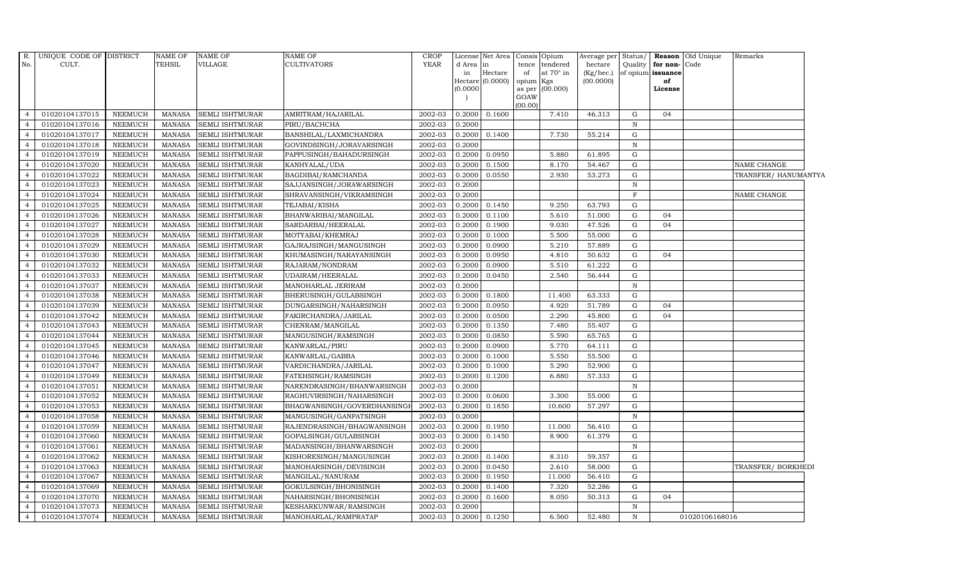| No.            | R. UNIQUE CODE OF DISTRICT<br>CULT. |                | <b>NAME OF</b><br><b>TEHSIL</b> | <b>NAME OF</b><br><b>VILLAGE</b> | <b>NAME OF</b><br><b>CULTIVATORS</b> | <b>CROP</b><br><b>YEAR</b> | d Area in<br>in<br>(0.0000) | License Net Area Consis<br>Hectare<br>Hectare (0.0000) | Opium<br>tendered<br>tence<br>of<br>at $70^\circ$ in<br>opium Kgs<br>(00.000)<br>as per<br>GOAW | Average per<br>hectare<br>(Kg/hec.)<br>(00.0000) | Status/<br>Quality | for non-Code<br>of opium issuance<br>of<br>License | <b>Reason</b> Old Unique | Remarks              |
|----------------|-------------------------------------|----------------|---------------------------------|----------------------------------|--------------------------------------|----------------------------|-----------------------------|--------------------------------------------------------|-------------------------------------------------------------------------------------------------|--------------------------------------------------|--------------------|----------------------------------------------------|--------------------------|----------------------|
| $\overline{a}$ | 01020104137015                      | <b>NEEMUCH</b> | MANASA                          | <b>SEMLI ISHTMURAR</b>           | AMRITRAM/HAJARILAL                   | 2002-03                    | 0.2000                      | 0.1600                                                 | (00.00)<br>7.410                                                                                | 46.313                                           | G                  | 04                                                 |                          |                      |
| $\overline{4}$ | 01020104137016                      | <b>NEEMUCH</b> | <b>MANASA</b>                   | SEMLI ISHTMURAR                  | PIRU/BACHCHA                         | 2002-03                    | 0.2000                      |                                                        |                                                                                                 |                                                  | $\, {\rm N}$       |                                                    |                          |                      |
|                | 01020104137017                      | <b>NEEMUCH</b> | <b>MANASA</b>                   | <b>SEMLI ISHTMURAR</b>           | BANSHILAL/LAXMICHANDRA               | 2002-03                    | 0.2000                      | 0.1400                                                 | 7.730                                                                                           | 55.214                                           | G                  |                                                    |                          |                      |
|                | 01020104137018                      | <b>NEEMUCH</b> | <b>MANASA</b>                   | SEMLI ISHTMURAR                  | GOVINDSINGH/JORAVARSINGH             | 2002-03                    | 0.2000                      |                                                        |                                                                                                 |                                                  | $\mathbf N$        |                                                    |                          |                      |
|                | 01020104137019                      | NEEMUCH        | <b>MANASA</b>                   | SEMLI ISHTMURAR                  | PAPPUSINGH/BAHADURSINGH              | 2002-03                    | 0.2000                      | 0.0950                                                 | 5.880                                                                                           | 61.895                                           | G                  |                                                    |                          |                      |
| $\overline{4}$ | 01020104137020                      | <b>NEEMUCH</b> | <b>MANASA</b>                   | SEMLI ISHTMURAR                  | KANHYALAL/UDA                        | 2002-03                    | 0.2000                      | 0.1500                                                 | 8.170                                                                                           | 54.467                                           | G                  |                                                    |                          | NAME CHANGE          |
| $\overline{4}$ | 01020104137022                      | <b>NEEMUCH</b> | <b>MANASA</b>                   | SEMLI ISHTMURAR                  | BAGDIBAI/RAMCHANDA                   | 2002-03                    | 0.2000                      | 0.0550                                                 | 2.930                                                                                           | 53.273                                           | G                  |                                                    |                          | TRANSFER/ HANUMANTYA |
|                | 01020104137023                      | <b>NEEMUCH</b> | <b>MANASA</b>                   | <b>SEMLI ISHTMURAR</b>           | SAJJANSINGH/JORAWARSINGH             | 2002-03                    | 0.2000                      |                                                        |                                                                                                 |                                                  | $\, {\bf N}$       |                                                    |                          |                      |
|                | 01020104137024                      | <b>NEEMUCH</b> | <b>MANASA</b>                   | <b>SEMLI ISHTMURAR</b>           | SHRAVANSINGH/VIKRAMSINGH             | 2002-03                    | 0.2000                      |                                                        |                                                                                                 |                                                  | $\mathbf F$        |                                                    |                          | NAME CHANGE          |
|                | 01020104137025                      | <b>NEEMUCH</b> | <b>MANASA</b>                   | SEMLI ISHTMURAR                  | TEJABAI/KISHA                        | 2002-03                    | 0.2000                      | 0.1450                                                 | 9.250                                                                                           | 63.793                                           | G                  |                                                    |                          |                      |
| $\overline{4}$ | 01020104137026                      | <b>NEEMUCH</b> | MANASA                          | <b>SEMLI ISHTMURAR</b>           | BHANWARIBAI/MANGILAL                 | 2002-03                    | 0.2000                      | 0.1100                                                 | 5.610                                                                                           | 51.000                                           | G                  | 04                                                 |                          |                      |
| $\overline{4}$ | 01020104137027                      | <b>NEEMUCH</b> | MANASA                          | SEMLI ISHTMURAR                  | SARDARBAI/HEERALAL                   | 2002-03                    | 0.2000                      | 0.1900                                                 | 9.030                                                                                           | 47.526                                           | G                  | 04                                                 |                          |                      |
|                | 01020104137028                      | NEEMUCH        | <b>MANASA</b>                   | <b>SEMLI ISHTMURAR</b>           | MOTYABAI/KHEMRAJ                     | 2002-03                    | 0.2000                      | 0.1000                                                 | 5.500                                                                                           | 55.000                                           | G                  |                                                    |                          |                      |
|                | 01020104137029                      | <b>NEEMUCH</b> | <b>MANASA</b>                   | <b>SEMLI ISHTMURAR</b>           | GAJRAJSINGH/MANGUSINGH               | 2002-03                    | 0.2000                      | 0.0900                                                 | 5.210                                                                                           | 57.889                                           | G                  |                                                    |                          |                      |
|                | 01020104137030                      | <b>NEEMUCH</b> | <b>MANASA</b>                   | SEMLI ISHTMURAR                  | KHUMASINGH/NARAYANSINGH              | 2002-03                    | 0.2000                      | 0.0950                                                 | 4.810                                                                                           | 50.632                                           | G                  | 04                                                 |                          |                      |
| $\overline{4}$ | 01020104137032                      | <b>NEEMUCH</b> | <b>MANASA</b>                   | SEMLI ISHTMURAR                  | RAJARAM/NONDRAM                      | 2002-03                    | 0.2000                      | 0.0900                                                 | 5.510                                                                                           | 61.222                                           | G                  |                                                    |                          |                      |
| $\overline{a}$ | 01020104137033                      | <b>NEEMUCH</b> | <b>MANASA</b>                   | <b>SEMLI ISHTMURAR</b>           | UDAIRAM/HEERALAL                     | 2002-03                    | 0.2000                      | 0.0450                                                 | 2.540                                                                                           | 56.444                                           | G                  |                                                    |                          |                      |
|                | 01020104137037                      | NEEMUCH        | <b>MANASA</b>                   | SEMLI ISHTMURAR                  | MANOHARLAL JERIRAM                   | 2002-03                    | 0.2000                      |                                                        |                                                                                                 |                                                  | $\, {\rm N}$       |                                                    |                          |                      |
|                | 01020104137038                      | <b>NEEMUCH</b> | <b>MANASA</b>                   | <b>SEMLI ISHTMURAR</b>           | BHERUSINGH/GULABSINGH                | 2002-03                    | 0.2000                      | 0.1800                                                 | 11.400                                                                                          | 63.333                                           | G                  |                                                    |                          |                      |
|                | 01020104137039                      | <b>NEEMUCH</b> | <b>MANASA</b>                   | <b>SEMLI ISHTMURAR</b>           | DUNGARSINGH/NAHARSINGH               | 2002-03                    | 0.2000                      | 0.0950                                                 | 4.920                                                                                           | 51.789                                           | G                  | 04                                                 |                          |                      |
|                | 01020104137042                      | <b>NEEMUCH</b> | <b>MANASA</b>                   | SEMLI ISHTMURAR                  | FAKIRCHANDRA/JARILAL                 | 2002-03                    | 0.2000                      | 0.0500                                                 | 2.290                                                                                           | 45.800                                           | G                  | 04                                                 |                          |                      |
| $\overline{a}$ | 01020104137043                      | <b>NEEMUCH</b> | <b>MANASA</b>                   | <b>SEMLI ISHTMURAR</b>           | CHENRAM/MANGILAL                     | 2002-03                    | 0.2000                      | 0.1350                                                 | 7.480                                                                                           | 55.407                                           | G                  |                                                    |                          |                      |
| $\overline{4}$ | 01020104137044                      | <b>NEEMUCH</b> | <b>MANASA</b>                   | <b>SEMLI ISHTMURAR</b>           | MANGUSINGH/RAMSINGH                  | 2002-03                    | 0.2000                      | 0.0850                                                 | 5.590                                                                                           | 65.765                                           | G                  |                                                    |                          |                      |
|                | 01020104137045                      | <b>NEEMUCH</b> | <b>MANASA</b>                   | <b>SEMLI ISHTMURAR</b>           | KANWARLAL/PIRU                       | 2002-03                    | 0.2000                      | 0.0900                                                 | 5.770                                                                                           | 64.111                                           | G                  |                                                    |                          |                      |
|                | 01020104137046                      | <b>NEEMUCH</b> | <b>MANASA</b>                   | <b>SEMLI ISHTMURAR</b>           | KANWARLAL/GABBA                      | 2002-03                    | 0.2000                      | 0.1000                                                 | 5.550                                                                                           | 55.500                                           | G                  |                                                    |                          |                      |
|                | 01020104137047                      | <b>NEEMUCH</b> | <b>MANASA</b>                   | <b>SEMLI ISHTMURAR</b>           | VARDICHANDRA/JARILAL                 | 2002-03                    | 0.2000                      | 0.1000                                                 | 5.290                                                                                           | 52.900                                           | G                  |                                                    |                          |                      |
| $\overline{4}$ | 01020104137049                      | <b>NEEMUCH</b> | <b>MANASA</b>                   | <b>SEMLI ISHTMURAR</b>           | FATEHSINGH/RAMSINGH                  | 2002-03                    | 0.2000                      | 0.1200                                                 | 6.880                                                                                           | 57.333                                           | G                  |                                                    |                          |                      |
| $\overline{4}$ | 01020104137051                      | <b>NEEMUCH</b> | <b>MANASA</b>                   | SEMLI ISHTMURAR                  | NARENDRASINGH/BHANWARSINGH           | 2002-03                    | 0.2000                      |                                                        |                                                                                                 |                                                  | $\mathbf N$        |                                                    |                          |                      |
|                | 01020104137052                      | <b>NEEMUCH</b> | <b>MANASA</b>                   | <b>SEMLI ISHTMURAR</b>           | RAGHUVIRSINGH/NAHARSINGH             | 2002-03                    | 0.2000                      | 0.0600                                                 | 3.300                                                                                           | 55.000                                           | G                  |                                                    |                          |                      |
|                | 01020104137053                      | <b>NEEMUCH</b> | <b>MANASA</b>                   | SEMLI ISHTMURAR                  | BHAGWANSINGH/GOVERDHANSINGI          | 2002-03                    | 0.2000                      | 0.1850                                                 | 10.600                                                                                          | 57.297                                           | G                  |                                                    |                          |                      |
|                | 01020104137058                      | <b>NEEMUCH</b> | <b>MANASA</b>                   | <b>SEMLI ISHTMURAR</b>           | MANGUSINGH/GANPATSINGH               | 2002-03                    | 0.2000                      |                                                        |                                                                                                 |                                                  | $\, {\rm N}$       |                                                    |                          |                      |
|                | 01020104137059                      | <b>NEEMUCH</b> | <b>MANASA</b>                   | SEMLI ISHTMURAR                  | RAJENDRASINGH/BHAGWANSINGH           | 2002-03                    | 0.2000                      | 0.1950                                                 | 11.000                                                                                          | 56.410                                           | G                  |                                                    |                          |                      |
| $\overline{4}$ | 01020104137060                      | NEEMUCH        | <b>MANASA</b>                   | SEMLI ISHTMURAR                  | GOPALSINGH/GULABSINGH                | 2002-03                    | 0.2000                      | 0.1450                                                 | 8.900                                                                                           | 61.379                                           | $\mathbf{G}$       |                                                    |                          |                      |
| $\overline{a}$ | 01020104137061                      | <b>NEEMUCH</b> | <b>MANASA</b>                   | <b>SEMLI ISHTMURAR</b>           | MADANSINGH/BHANWARSINGH              | 2002-03                    | 0.2000                      |                                                        |                                                                                                 |                                                  | N                  |                                                    |                          |                      |
|                | 01020104137062                      | <b>NEEMUCH</b> | <b>MANASA</b>                   | SEMLI ISHTMURAR                  | KISHORESINGH/MANGUSINGH              | 2002-03                    | 0.2000                      | 0.1400                                                 | 8.310                                                                                           | 59.357                                           | G                  |                                                    |                          |                      |
|                | 01020104137063                      | NEEMUCH        | <b>MANASA</b>                   | SEMLI ISHTMURAR                  | MANOHARSINGH/DEVISINGH               | 2002-03                    | 0.2000                      | 0.0450                                                 | 2.610                                                                                           | 58.000                                           | $\mathbf{G}$       |                                                    |                          | TRANSFER/ BORKHEDI   |
| 4              | 01020104137067                      | <b>NEEMUCH</b> | <b>MANASA</b>                   | SEMLI ISHTMURAR                  | MANGILAL/NANURAM                     | 2002-03                    | 0.2000                      | 0.1950                                                 | 11.000                                                                                          | 56.410                                           | G                  |                                                    |                          |                      |
| $\overline{4}$ | 01020104137069                      | NEEMUCH        | <b>MANASA</b>                   | SEMLI ISHTMURAR                  | GOKULSINGH/BHONISINGH                | 2002-03                    | 0.2000                      | 0.1400                                                 | 7.320                                                                                           | 52.286                                           | G                  |                                                    |                          |                      |
| $\overline{4}$ | 01020104137070                      | <b>NEEMUCH</b> | <b>MANASA</b>                   | SEMLI ISHTMURAR                  | NAHARSINGH/BHONISINGH                | 2002-03                    | 0.2000                      | 0.1600                                                 | 8.050                                                                                           | 50.313                                           | G                  | 04                                                 |                          |                      |
|                | 01020104137073                      | <b>NEEMUCH</b> | <b>MANASA</b>                   | <b>SEMLI ISHTMURAR</b>           | KESHARKUNWAR/RAMSINGH                | 2002-03                    | 0.2000                      |                                                        |                                                                                                 |                                                  | $\, {\rm N}$       |                                                    |                          |                      |
| $\overline{4}$ | 01020104137074                      | <b>NEEMUCH</b> | MANASA                          | <b>SEMLI ISHTMURAR</b>           | MANOHARLAL/RAMPRATAP                 | 2002-03                    | $0.2000$ 0.1250             |                                                        | 6.560                                                                                           | 52.480                                           | $\mathbb N$        |                                                    | 01020106168016           |                      |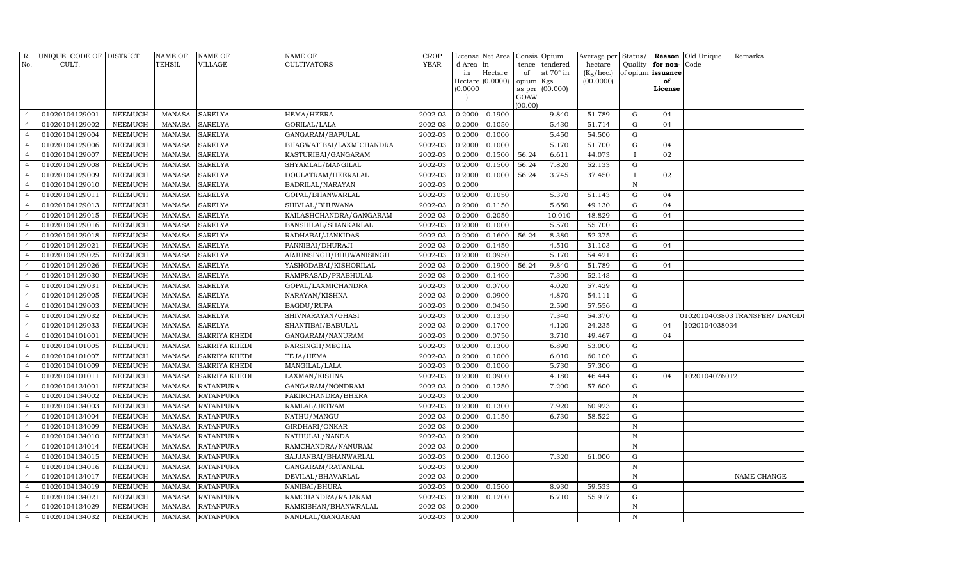| R.             | UNIQUE CODE OF DISTRICT |                | <b>NAME OF</b> | <b>NAME OF</b>       | <b>NAME OF</b>           | <b>CROP</b> |           | License Net Area   |           | Consis Opium     | Average per | Status/      |                   | Reason Old Unique | Remarks                      |
|----------------|-------------------------|----------------|----------------|----------------------|--------------------------|-------------|-----------|--------------------|-----------|------------------|-------------|--------------|-------------------|-------------------|------------------------------|
| No.            | CULT.                   |                | <b>TEHSIL</b>  | VILLAGE              | <b>CULTIVATORS</b>       | <b>YEAR</b> | d Area in |                    | tence     | tendered         | hectare     |              | Quality for non-  | Code              |                              |
|                |                         |                |                |                      |                          |             | in        | Hectare            | of        | at $70^\circ$ in | (Kg/hec.)   |              | of opium issuance |                   |                              |
|                |                         |                |                |                      |                          |             | (0.0000)  | $Hectare$ (0.0000) | opium Kgs | as per (00.000)  | (00.0000)   |              | of<br>License     |                   |                              |
|                |                         |                |                |                      |                          |             |           |                    | GOAW      |                  |             |              |                   |                   |                              |
|                |                         |                |                |                      |                          |             |           |                    | (00.00)   |                  |             |              |                   |                   |                              |
| $\overline{4}$ | 01020104129001          | <b>NEEMUCH</b> | MANASA         | <b>SARELYA</b>       | <b>HEMA/HEERA</b>        | 2002-03     | 0.2000    | 0.1900             |           | 9.840            | 51.789      | G            | 04                |                   |                              |
| $\overline{a}$ | 01020104129002          | <b>NEEMUCH</b> | MANASA         | <b>SARELYA</b>       | GORILAL/LALA             | 2002-03     | 0.2000    | 0.1050             |           | 5.430            | 51.714      | $\mathbf G$  | 04                |                   |                              |
| $\overline{4}$ | 01020104129004          | <b>NEEMUCH</b> | <b>MANASA</b>  | <b>SARELYA</b>       | GANGARAM/BAPULAL         | 2002-03     | 0.2000    | 0.1000             |           | 5.450            | 54.500      | G            |                   |                   |                              |
|                | 01020104129006          | <b>NEEMUCH</b> | <b>MANASA</b>  | <b>SARELYA</b>       | BHAGWATIBAI/LAXMICHANDRA | 2002-03     | 0.2000    | 0.1000             |           | 5.170            | 51.700      | $\mathbf G$  | 04                |                   |                              |
| $\overline{4}$ | 01020104129007          | <b>NEEMUCH</b> | <b>MANASA</b>  | <b>SARELYA</b>       | KASTURIBAI/GANGARAM      | 2002-03     | 0.2000    | 0.1500             | 56.24     | 6.611            | 44.073      | $\mathbf I$  | 02                |                   |                              |
| $\overline{4}$ | 01020104129008          | <b>NEEMUCH</b> | <b>MANASA</b>  | <b>SARELYA</b>       | SHYAMLAL/MANGILAL        | 2002-03     | 0.2000    | 0.1500             | 56.24     | 7.820            | 52.133      | G            |                   |                   |                              |
| $\overline{4}$ | 01020104129009          | <b>NEEMUCH</b> | <b>MANASA</b>  | <b>SARELYA</b>       | DOULATRAM/HEERALAL       | 2002-03     | 0.2000    | 0.1000             | 56.24     | 3.745            | 37.450      | $\mathbf{I}$ | 02                |                   |                              |
| $\overline{4}$ | 01020104129010          | <b>NEEMUCH</b> | <b>MANASA</b>  | <b>SARELYA</b>       | BADRILAL/NARAYAN         | 2002-03     | 0.2000    |                    |           |                  |             | $\mathbf N$  |                   |                   |                              |
|                | 01020104129011          | <b>NEEMUCH</b> | <b>MANASA</b>  | <b>SARELYA</b>       | GOPAL/BHANWARLAL         | 2002-03     | 0.2000    | 0.1050             |           | 5.370            | 51.143      | G            | 04                |                   |                              |
| $\overline{4}$ | 01020104129013          | <b>NEEMUCH</b> | <b>MANASA</b>  | <b>SARELYA</b>       | SHIVLAL/BHUWANA          | 2002-03     | 0.2000    | 0.1150             |           | 5.650            | 49.130      | G            | 04                |                   |                              |
| $\overline{4}$ | 01020104129015          | <b>NEEMUCH</b> | <b>MANASA</b>  | <b>SARELYA</b>       | KAILASHCHANDRA/GANGARAM  | 2002-03     | 0.2000    | 0.2050             |           | 10.010           | 48.829      | G            | 04                |                   |                              |
| $\overline{4}$ | 01020104129016          | <b>NEEMUCH</b> | MANASA         | <b>SARELYA</b>       | BANSHILAL/SHANKARLAL     | 2002-03     | 0.2000    | 0.1000             |           | 5.570            | 55.700      | G            |                   |                   |                              |
| $\overline{4}$ | 01020104129018          | <b>NEEMUCH</b> | <b>MANASA</b>  | <b>SARELYA</b>       | RADHABAI/JANKIDAS        | 2002-03     | 0.2000    | 0.1600             | 56.24     | 8.380            | 52.375      | G            |                   |                   |                              |
| $\overline{4}$ | 01020104129021          | <b>NEEMUCH</b> | <b>MANASA</b>  | <b>SARELYA</b>       | PANNIBAI/DHURAJI         | 2002-03     | 0.2000    | 0.1450             |           | 4.510            | 31.103      | $\mathbf G$  | 04                |                   |                              |
| $\overline{4}$ | 01020104129025          | <b>NEEMUCH</b> | <b>MANASA</b>  | <b>SARELYA</b>       | ARJUNSINGH/BHUWANISINGH  | 2002-03     | 0.2000    | 0.0950             |           | 5.170            | 54.421      | G            |                   |                   |                              |
| $\overline{4}$ | 01020104129026          | <b>NEEMUCH</b> | <b>MANASA</b>  | <b>SARELYA</b>       | YASHODABAI/KISHORILAL    | 2002-03     | 0.2000    | 0.1900             | 56.24     | 9.840            | 51.789      | G            | 04                |                   |                              |
| $\overline{4}$ | 01020104129030          | <b>NEEMUCH</b> | <b>MANASA</b>  | <b>SARELYA</b>       | RAMPRASAD/PRABHULAL      | 2002-03     | 0.2000    | 0.1400             |           | 7.300            | 52.143      | G            |                   |                   |                              |
| $\overline{4}$ | 01020104129031          | <b>NEEMUCH</b> | MANASA         | <b>SARELYA</b>       | GOPAL/LAXMICHANDRA       | 2002-03     | 0.2000    | 0.0700             |           | 4.020            | 57.429      | G            |                   |                   |                              |
| $\overline{4}$ | 01020104129005          | <b>NEEMUCH</b> | <b>MANASA</b>  | <b>SARELYA</b>       | NARAYAN/KISHNA           | 2002-03     | 0.2000    | 0.0900             |           | 4.870            | 54.111      | G            |                   |                   |                              |
| $\overline{4}$ | 01020104129003          | <b>NEEMUCH</b> | <b>MANASA</b>  | <b>SARELYA</b>       | BAGDU/RUPA               | 2002-03     | 0.2000    | 0.0450             |           | 2.590            | 57.556      | G            |                   |                   |                              |
| 4              | 01020104129032          | <b>NEEMUCH</b> | <b>MANASA</b>  | <b>SARELYA</b>       | SHIVNARAYAN/GHASI        | 2002-03     | 0.2000    | 0.1350             |           | 7.340            | 54.370      | G            |                   |                   | 0102010403803TRANSFER/DANGDI |
| $\overline{4}$ | 01020104129033          | <b>NEEMUCH</b> | <b>MANASA</b>  | <b>SARELYA</b>       | SHANTIBAI/BABULAL        | 2002-03     | 0.2000    | 0.1700             |           | 4.120            | 24.235      | G            | 04                | 1020104038034     |                              |
| $\overline{4}$ | 01020104101001          | <b>NEEMUCH</b> | MANASA         | <b>SAKRIYA KHEDI</b> | GANGARAM/NANURAM         | 2002-03     | 0.2000    | 0.0750             |           | 3.710            | 49.467      | G            | 04                |                   |                              |
| $\overline{4}$ | 01020104101005          | <b>NEEMUCH</b> | <b>MANASA</b>  | <b>SAKRIYA KHEDI</b> | NARSINGH/MEGHA           | 2002-03     | 0.2000    | 0.1300             |           | 6.890            | 53.000      | G            |                   |                   |                              |
| $\overline{4}$ | 01020104101007          | NEEMUCH        | <b>MANASA</b>  | <b>SAKRIYA KHEDI</b> | TEJA/HEMA                | 2002-03     | 0.2000    | 0.1000             |           | 6.010            | 60.100      | G            |                   |                   |                              |
| $\overline{4}$ | 01020104101009          | <b>NEEMUCH</b> | <b>MANASA</b>  | <b>SAKRIYA KHEDI</b> | MANGILAL/LALA            | 2002-03     | 0.2000    | 0.1000             |           | 5.730            | 57.300      | G            |                   |                   |                              |
| $\overline{4}$ | 01020104101011          | <b>NEEMUCH</b> | <b>MANASA</b>  | <b>SAKRIYA KHEDI</b> | LAXMAN/KISHNA            | 2002-03     | 0.2000    | 0.0900             |           | 4.180            | 46.444      | G            | 04                | 1020104076012     |                              |
| $\overline{4}$ | 01020104134001          | <b>NEEMUCH</b> | MANASA         | <b>RATANPURA</b>     | GANGARAM/NONDRAM         | 2002-03     | 0.2000    | 0.1250             |           | 7.200            | 57.600      | $\mathbf G$  |                   |                   |                              |
| $\overline{4}$ | 01020104134002          | <b>NEEMUCH</b> | <b>MANASA</b>  | <b>RATANPURA</b>     | FAKIRCHANDRA/BHERA       | 2002-03     | 0.2000    |                    |           |                  |             | $\mathbf N$  |                   |                   |                              |
| $\overline{4}$ | 01020104134003          | <b>NEEMUCH</b> | <b>MANASA</b>  | <b>RATANPURA</b>     | RAMLAL/JETRAM            | 2002-03     | 0.2000    | 0.1300             |           | 7.920            | 60.923      | $\mathbf G$  |                   |                   |                              |
| $\overline{4}$ | 01020104134004          | <b>NEEMUCH</b> | MANASA         | <b>RATANPURA</b>     | NATHU/MANGU              | 2002-03     | 0.2000    | 0.1150             |           | 6.730            | 58.522      | G            |                   |                   |                              |
| $\overline{4}$ | 01020104134009          | <b>NEEMUCH</b> | <b>MANASA</b>  | <b>RATANPURA</b>     | GIRDHARI/ONKAR           | 2002-03     | 0.2000    |                    |           |                  |             | $\mathbf N$  |                   |                   |                              |
| $\overline{4}$ | 01020104134010          | <b>NEEMUCH</b> | <b>MANASA</b>  | <b>RATANPURA</b>     | NATHULAL/NANDA           | 2002-03     | 0.2000    |                    |           |                  |             | N            |                   |                   |                              |
| $\overline{4}$ | 01020104134014          | <b>NEEMUCH</b> | <b>MANASA</b>  | <b>RATANPURA</b>     | RAMCHANDRA/NANURAM       | 2002-03     | 0.2000    |                    |           |                  |             | $\mathbf N$  |                   |                   |                              |
| $\overline{4}$ | 01020104134015          | <b>NEEMUCH</b> | <b>MANASA</b>  | <b>RATANPURA</b>     | SAJJANBAI/BHANWARLAL     | 2002-03     | 0.2000    | 0.1200             |           | 7.320            | 61.000      | $\mathbf G$  |                   |                   |                              |
| $\overline{4}$ | 01020104134016          | <b>NEEMUCH</b> | <b>MANASA</b>  | <b>RATANPURA</b>     | GANGARAM/RATANLAL        | 2002-03     | 0.2000    |                    |           |                  |             | $\, {\bf N}$ |                   |                   |                              |
| $\overline{4}$ | 01020104134017          | <b>NEEMUCH</b> | MANASA         | <b>RATANPURA</b>     | DEVILAL/BHAVARLAL        | 2002-03     | 0.2000    |                    |           |                  |             | N            |                   |                   | NAME CHANGE                  |
| $\overline{4}$ | 01020104134019          | NEEMUCH        | <b>MANASA</b>  | <b>RATANPURA</b>     | NANIBAI/BHURA            | 2002-03     | 0.2000    | 0.1500             |           | 8.930            | 59.533      | G            |                   |                   |                              |
| $\overline{4}$ | 01020104134021          | <b>NEEMUCH</b> | <b>MANASA</b>  | <b>RATANPURA</b>     | RAMCHANDRA/RAJARAM       | 2002-03     | 0.2000    | 0.1200             |           | 6.710            | 55.917      | G            |                   |                   |                              |
| $\overline{4}$ | 01020104134029          | <b>NEEMUCH</b> | <b>MANASA</b>  | <b>RATANPURA</b>     | RAMKISHAN/BHANWRALAL     | 2002-03     | 0.2000    |                    |           |                  |             | $\mathbf N$  |                   |                   |                              |
| $\overline{4}$ | 01020104134032          | <b>NEEMUCH</b> |                | MANASA RATANPURA     | NANDLAL/GANGARAM         | 2002-03     | 0.2000    |                    |           |                  |             | N            |                   |                   |                              |
|                |                         |                |                |                      |                          |             |           |                    |           |                  |             |              |                   |                   |                              |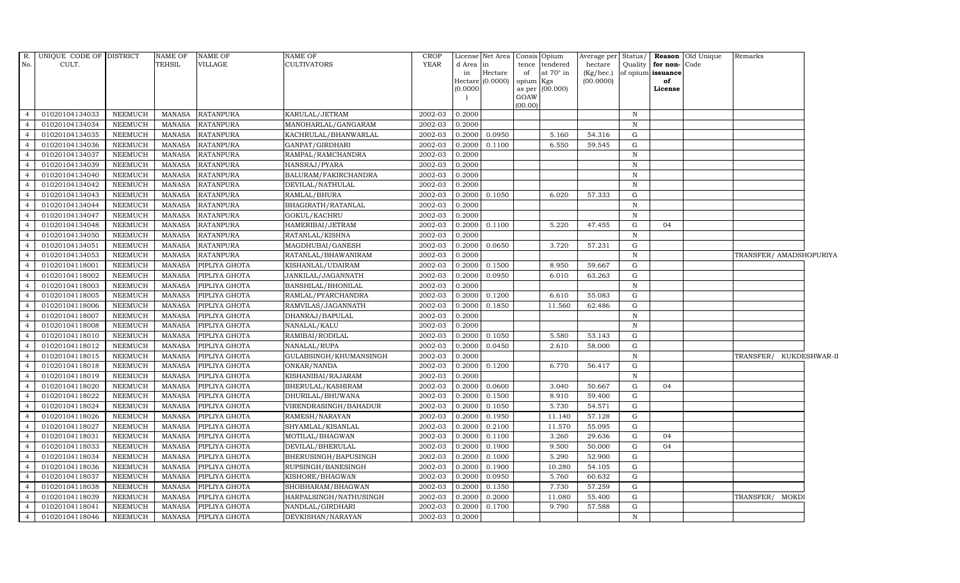| R.             | UNIQUE CODE OF DISTRICT |                | NAME OF       | <b>NAME OF</b>   | <b>NAME OF</b>         | <b>CROP</b> |           | License Net Area |           | Consis Opium     | Average per Status/ |              |                   | Reason Old Unique | Remarks                 |  |
|----------------|-------------------------|----------------|---------------|------------------|------------------------|-------------|-----------|------------------|-----------|------------------|---------------------|--------------|-------------------|-------------------|-------------------------|--|
| No.            | CULT.                   |                | <b>TEHSIL</b> | <b>VILLAGE</b>   | <b>CULTIVATORS</b>     | <b>YEAR</b> | d Area in |                  |           | tence tendered   | hectare             | Quality      | for non-Code      |                   |                         |  |
|                |                         |                |               |                  |                        |             | in        | Hectare          | of        | at $70^\circ$ in | (Kg/hec.)           |              | of opium issuance |                   |                         |  |
|                |                         |                |               |                  |                        |             | (0.0000)  | Hectare (0.0000) | opium Kgs | as per (00.000)  | (00.0000)           |              | of<br>License     |                   |                         |  |
|                |                         |                |               |                  |                        |             |           |                  | GOAW      |                  |                     |              |                   |                   |                         |  |
|                |                         |                |               |                  |                        |             |           |                  | (00.00)   |                  |                     |              |                   |                   |                         |  |
| $\overline{4}$ | 01020104134033          | <b>NEEMUCH</b> | MANASA        | <b>RATANPURA</b> | KARULAL/JETRAM         | 2002-03     | 0.2000    |                  |           |                  |                     | $\mathbf N$  |                   |                   |                         |  |
| $\overline{4}$ | 01020104134034          | <b>NEEMUCH</b> | MANASA        | <b>RATANPURA</b> | MANOHARLAL/GANGARAM    | 2002-03     | 0.2000    |                  |           |                  |                     | $\mathbb N$  |                   |                   |                         |  |
| $\overline{4}$ | 01020104134035          | <b>NEEMUCH</b> | <b>MANASA</b> | <b>RATANPURA</b> | KACHRULAL/BHANWARLAL   | 2002-03     | 0.2000    | 0.0950           |           | 5.160            | 54.316              | G            |                   |                   |                         |  |
| $\overline{4}$ | 01020104134036          | <b>NEEMUCH</b> | <b>MANASA</b> | <b>RATANPURA</b> | GANPAT/GIRDHARI        | 2002-03     | 0.2000    | 0.1100           |           | 6.550            | 59.545              | G            |                   |                   |                         |  |
| $\overline{4}$ | 01020104134037          | <b>NEEMUCH</b> | <b>MANASA</b> | <b>RATANPURA</b> | RAMPAL/RAMCHANDRA      | 2002-03     | 0.2000    |                  |           |                  |                     | $\mathbf N$  |                   |                   |                         |  |
| $\overline{4}$ | 01020104134039          | <b>NEEMUCH</b> | <b>MANASA</b> | <b>RATANPURA</b> | HANSRAJ/PYARA          | 2002-03     | 0.2000    |                  |           |                  |                     | $\,$ N       |                   |                   |                         |  |
| $\overline{4}$ | 01020104134040          | <b>NEEMUCH</b> | <b>MANASA</b> | <b>RATANPURA</b> | BALURAM/FAKIRCHANDRA   | 2002-03     | 0.2000    |                  |           |                  |                     | $\mathbf N$  |                   |                   |                         |  |
| $\overline{4}$ | 01020104134042          | <b>NEEMUCH</b> | MANASA        | <b>RATANPURA</b> | DEVILAL/NATHULAL       | 2002-03     | 0.2000    |                  |           |                  |                     | N            |                   |                   |                         |  |
| $\overline{4}$ | 01020104134043          | <b>NEEMUCH</b> | <b>MANASA</b> | RATANPURA        | RAMLAL/BHURA           | 2002-03     | 0.2000    | 0.1050           |           | 6.020            | 57.333              | G            |                   |                   |                         |  |
| $\overline{4}$ | 01020104134044          | <b>NEEMUCH</b> | <b>MANASA</b> | <b>RATANPURA</b> | BHAGIRATH / RATANLAL   | 2002-03     | 0.2000    |                  |           |                  |                     | ${\bf N}$    |                   |                   |                         |  |
| $\overline{4}$ | 01020104134047          | <b>NEEMUCH</b> | <b>MANASA</b> | <b>RATANPURA</b> | GOKUL/KACHRU           | 2002-03     | 0.2000    |                  |           |                  |                     | $\mathbb N$  |                   |                   |                         |  |
| $\overline{4}$ | 01020104134048          | <b>NEEMUCH</b> | <b>MANASA</b> | <b>RATANPURA</b> | HAMERIBAI/JETRAM       | 2002-03     | 0.2000    | 0.1100           |           | 5.220            | 47.455              | G            | 04                |                   |                         |  |
| $\overline{4}$ | 01020104134050          | <b>NEEMUCH</b> | MANASA        | <b>RATANPURA</b> | RATANLAL/KISHNA        | 2002-03     | 0.2000    |                  |           |                  |                     | N            |                   |                   |                         |  |
| $\overline{4}$ | 01020104134051          | <b>NEEMUCH</b> | <b>MANASA</b> | <b>RATANPURA</b> | MAGDHUBAI/GANESH       | 2002-03     | 0.2000    | 0.0650           |           | 3.720            | 57.231              | G            |                   |                   |                         |  |
| $\overline{4}$ | 01020104134053          | <b>NEEMUCH</b> | <b>MANASA</b> | <b>RATANPURA</b> | RATANLAL/BHAWANIRAM    | 2002-03     | 0.2000    |                  |           |                  |                     | $\mathbf N$  |                   |                   | TRANSFER/ AMADSHOPURIYA |  |
| 4              | 01020104118001          | <b>NEEMUCH</b> | <b>MANASA</b> | PIPLIYA GHOTA    | KISHANLAL/UDAIRAM      | 2002-03     | 0.2000    | 0.1500           |           | 8.950            | 59.667              | G            |                   |                   |                         |  |
| $\overline{4}$ | 01020104118002          | <b>NEEMUCH</b> | <b>MANASA</b> | PIPLIYA GHOTA    | JANKILAL/JAGANNATH     | 2002-03     | 0.2000    | 0.0950           |           | 6.010            | 63.263              | G            |                   |                   |                         |  |
| $\overline{4}$ | 01020104118003          | <b>NEEMUCH</b> | <b>MANASA</b> | PIPLIYA GHOTA    | BANSHILAL/BHONILAL     | 2002-03     | 0.2000    |                  |           |                  |                     | $\mathbf N$  |                   |                   |                         |  |
| $\overline{4}$ | 01020104118005          | <b>NEEMUCH</b> | <b>MANASA</b> | PIPLIYA GHOTA    | RAMLAL/PYARCHANDRA     | 2002-03     | 0.2000    | 0.1200           |           | 6.610            | 55.083              | G            |                   |                   |                         |  |
| $\overline{4}$ | 01020104118006          | <b>NEEMUCH</b> | <b>MANASA</b> | PIPLIYA GHOTA    | RAMVILAS/JAGANNATH     | 2002-03     | 0.2000    | 0.1850           |           | 11.560           | 62.486              | G            |                   |                   |                         |  |
| $\overline{4}$ | 01020104118007          | <b>NEEMUCH</b> | <b>MANASA</b> | PIPLIYA GHOTA    | DHANRAJ/BAPULAL        | 2002-03     | 0.2000    |                  |           |                  |                     | $\, {\bf N}$ |                   |                   |                         |  |
| $\overline{4}$ | 01020104118008          | <b>NEEMUCH</b> | <b>MANASA</b> | PIPLIYA GHOTA    | NANALAL/KALU           | 2002-03     | 0.2000    |                  |           |                  |                     | N            |                   |                   |                         |  |
| $\overline{4}$ | 01020104118010          | <b>NEEMUCH</b> | <b>MANASA</b> | PIPLIYA GHOTA    | RAMIBAI/RODILAL        | 2002-03     | 0.2000    | 0.1050           |           | 5.580            | 53.143              | G            |                   |                   |                         |  |
| $\overline{4}$ | 01020104118012          | <b>NEEMUCH</b> | <b>MANASA</b> | PIPLIYA GHOTA    | NANALAL/RUPA           | 2002-03     | 0.2000    | 0.0450           |           | 2.610            | 58.000              | G            |                   |                   |                         |  |
| $\overline{4}$ | 01020104118015          | <b>NEEMUCH</b> | <b>MANASA</b> | PIPLIYA GHOTA    | GULABSINGH/KHUMANSINGH | 2002-03     | 0.2000    |                  |           |                  |                     | N            |                   |                   | TRANSFER/ KUKDESHWAR-II |  |
| $\overline{4}$ | 01020104118018          | <b>NEEMUCH</b> | <b>MANASA</b> | PIPLIYA GHOTA    | ONKAR/NANDA            | 2002-03     | 0.2000    | 0.1200           |           | 6.770            | 56.417              | G            |                   |                   |                         |  |
| $\overline{4}$ | 01020104118019          | <b>NEEMUCH</b> | <b>MANASA</b> | PIPLIYA GHOTA    | KISHANIBAI/RAJARAM     | 2002-03     | 0.2000    |                  |           |                  |                     | $\mathbf N$  |                   |                   |                         |  |
| $\overline{4}$ | 01020104118020          | <b>NEEMUCH</b> | MANASA        | PIPLIYA GHOTA    | BHERULAL/KASHIRAM      | 2002-03     | 0.2000    | 0.0600           |           | 3.040            | 50.667              | G            | 04                |                   |                         |  |
| $\overline{4}$ | 01020104118022          | <b>NEEMUCH</b> | <b>MANASA</b> | PIPLIYA GHOTA    | DHURILAL/BHUWANA       | 2002-03     | 0.2000    | 0.1500           |           | 8.910            | 59.400              | G            |                   |                   |                         |  |
| $\overline{4}$ | 01020104118024          | <b>NEEMUCH</b> | <b>MANASA</b> | PIPLIYA GHOTA    | VIRENDRASINGH/BAHADUR  | 2002-03     | 0.2000    | 0.1050           |           | 5.730            | 54.571              | G            |                   |                   |                         |  |
| $\overline{4}$ | 01020104118026          | <b>NEEMUCH</b> | <b>MANASA</b> | PIPLIYA GHOTA    | RAMESH/NARAYAN         | 2002-03     | 0.2000    | 0.1950           |           | 11.140           | 57.128              | G            |                   |                   |                         |  |
| $\overline{4}$ | 01020104118027          | <b>NEEMUCH</b> | <b>MANASA</b> | PIPLIYA GHOTA    | SHYAMLAL/KISANLAL      | 2002-03     | 0.2000    | 0.2100           |           | 11.570           | 55.095              | G            |                   |                   |                         |  |
| $\overline{4}$ | 01020104118031          | <b>NEEMUCH</b> | <b>MANASA</b> | PIPLIYA GHOTA    | MOTILAL/BHAGWAN        | 2002-03     | 0.2000    | 0.1100           |           | 3.260            | 29.636              | G            | 04                |                   |                         |  |
| $\overline{4}$ | 01020104118033          | <b>NEEMUCH</b> | <b>MANASA</b> | PIPLIYA GHOTA    | DEVILAL/BHERULAL       | 2002-03     | 0.2000    | 0.1900           |           | 9.500            | 50.000              | G            | 04                |                   |                         |  |
| $\overline{4}$ | 01020104118034          | <b>NEEMUCH</b> | MANASA        | PIPLIYA GHOTA    | BHERUSINGH/BAPUSINGH   | 2002-03     | 0.2000    | 0.1000           |           | 5.290            | 52.900              | G            |                   |                   |                         |  |
| $\overline{4}$ | 01020104118036          | <b>NEEMUCH</b> | <b>MANASA</b> | PIPLIYA GHOTA    | RUPSINGH/BANESINGH     | 2002-03     | 0.2000    | 0.1900           |           | 10.280           | 54.105              | G            |                   |                   |                         |  |
| $\overline{4}$ | 01020104118037          | <b>NEEMUCH</b> | <b>MANASA</b> | PIPLIYA GHOTA    | KISHORE/BHAGWAN        | 2002-03     | 0.2000    | 0.0950           |           | 5.760            | 60.632              | G            |                   |                   |                         |  |
| $\overline{4}$ | 01020104118038          | <b>NEEMUCH</b> | MANASA        | PIPLIYA GHOTA    | SHOBHARAM/BHAGWAN      | 2002-03     | 0.2000    | 0.1350           |           | 7.730            | 57.259              | G            |                   |                   |                         |  |
| $\overline{4}$ | 01020104118039          | <b>NEEMUCH</b> | <b>MANASA</b> | PIPLIYA GHOTA    | HARPALSINGH/NATHUSINGH | 2002-03     | 0.2000    | 0.2000           |           | 11.080           | 55.400              | G            |                   |                   | TRANSFER/ MOKDI         |  |
| $\overline{4}$ | 01020104118041          | <b>NEEMUCH</b> | MANASA        | PIPLIYA GHOTA    | NANDLAL/GIRDHARI       | 2002-03     | 0.2000    | 0.1700           |           | 9.790            | 57.588              | ${\rm G}$    |                   |                   |                         |  |
| $\overline{4}$ | 01020104118046          | <b>NEEMUCH</b> | MANASA        | PIPLIYA GHOTA    | DEVKISHAN/NARAYAN      | 2002-03     | 0.2000    |                  |           |                  |                     | $\mathbb N$  |                   |                   |                         |  |
|                |                         |                |               |                  |                        |             |           |                  |           |                  |                     |              |                   |                   |                         |  |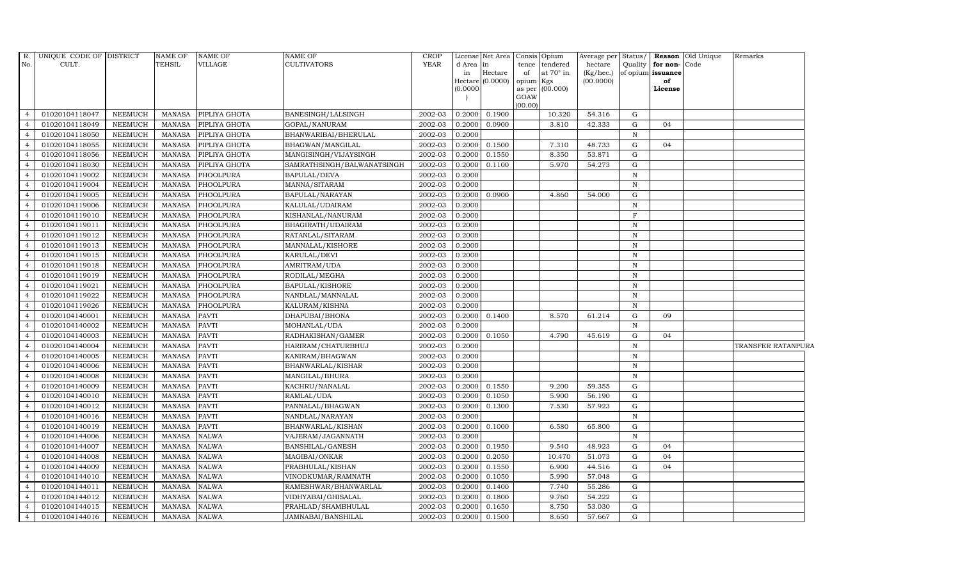| R.                               | UNIQUE CODE OF DISTRICT |                | <b>NAME OF</b> | <b>NAME OF</b>   | <b>NAME OF</b>             | <b>CROP</b> |              | License Net Area   |           | Consis Opium                | Average per            | Status/      |                         | <b>Reason</b> Old Unique | Remarks            |
|----------------------------------|-------------------------|----------------|----------------|------------------|----------------------------|-------------|--------------|--------------------|-----------|-----------------------------|------------------------|--------------|-------------------------|--------------------------|--------------------|
| No.                              | CULT.                   |                | <b>TEHSIL</b>  | VILLAGE          | <b>CULTIVATORS</b>         | <b>YEAR</b> | d Area<br>in | in<br>Hectare      | of        | tence tendered<br>at 70° in | hectare                | Quality      | for non-                | Code                     |                    |
|                                  |                         |                |                |                  |                            |             |              | Hectare $(0.0000)$ | opium Kgs |                             | (Kg/hec.)<br>(00.0000) |              | of opium issuance<br>of |                          |                    |
|                                  |                         |                |                |                  |                            |             | (0.0000)     |                    |           | as per (00.000)             |                        |              | License                 |                          |                    |
|                                  |                         |                |                |                  |                            |             |              |                    | GOAW      |                             |                        |              |                         |                          |                    |
| $\overline{4}$                   | 01020104118047          | <b>NEEMUCH</b> | MANASA         | PIPLIYA GHOTA    | BANESINGH/LALSINGH         | 2002-03     | 0.2000       | 0.1900             | (00.00)   | 10.320                      | 54.316                 | G            |                         |                          |                    |
| $\overline{4}$                   | 01020104118049          | <b>NEEMUCH</b> | <b>MANASA</b>  | PIPLIYA GHOTA    | GOPAL/NANURAM              | 2002-03     | 0.2000       | 0.0900             |           | 3.810                       | 42.333                 | ${\rm G}$    | 04                      |                          |                    |
| $\overline{4}$                   | 01020104118050          | <b>NEEMUCH</b> | <b>MANASA</b>  | PIPLIYA GHOTA    | BHANWARIBAI/BHERULAL       | 2002-03     | 0.2000       |                    |           |                             |                        | $\mathbb{N}$ |                         |                          |                    |
| $\overline{4}$                   | 01020104118055          | <b>NEEMUCH</b> | <b>MANASA</b>  | PIPLIYA GHOTA    | BHAGWAN/MANGILAL           | 2002-03     | 0.2000       | 0.1500             |           | 7.310                       | 48.733                 | G            | 04                      |                          |                    |
| $\overline{4}$                   | 01020104118056          | <b>NEEMUCH</b> | <b>MANASA</b>  | PIPLIYA GHOTA    | MANGISINGH/VIJAYSINGH      | 2002-03     | 0.2000       | 0.1550             |           | 8.350                       | 53.871                 | G            |                         |                          |                    |
| $\overline{4}$                   | 01020104118030          | <b>NEEMUCH</b> | <b>MANASA</b>  | PIPLIYA GHOTA    | SAMRATHSINGH/BALWANATSINGH | 2002-03     | 0.2000       | 0.1100             |           | 5.970                       | 54.273                 | G            |                         |                          |                    |
| $\overline{4}$                   | 01020104119002          | <b>NEEMUCH</b> | <b>MANASA</b>  | PHOOLPURA        | <b>BAPULAL/DEVA</b>        | 2002-03     | 0.2000       |                    |           |                             |                        | $\, {\bf N}$ |                         |                          |                    |
| $\overline{4}$                   | 01020104119004          | <b>NEEMUCH</b> | <b>MANASA</b>  | PHOOLPURA        | MANNA/SITARAM              | 2002-03     | 0.2000       |                    |           |                             |                        | $\, {\rm N}$ |                         |                          |                    |
| $\overline{4}$                   | 01020104119005          | <b>NEEMUCH</b> | <b>MANASA</b>  | PHOOLPURA        | BAPULAL/NARAYAN            | 2002-03     | 0.2000       | 0.0900             |           | 4.860                       | 54.000                 | G            |                         |                          |                    |
| $\overline{4}$                   | 01020104119006          | <b>NEEMUCH</b> | <b>MANASA</b>  | PHOOLPURA        | KALULAL/UDAIRAM            | 2002-03     | 0.2000       |                    |           |                             |                        | $\, {\rm N}$ |                         |                          |                    |
| $\overline{4}$                   | 01020104119010          | <b>NEEMUCH</b> | <b>MANASA</b>  | PHOOLPURA        | KISHANLAL/NANURAM          | 2002-03     | 0.2000       |                    |           |                             |                        | F            |                         |                          |                    |
| $\overline{4}$                   | 01020104119011          | <b>NEEMUCH</b> | <b>MANASA</b>  | PHOOLPURA        | BHAGIRATH/UDAIRAM          | 2002-03     | 0.2000       |                    |           |                             |                        | $\, {\rm N}$ |                         |                          |                    |
| $\overline{4}$                   | 01020104119012          | <b>NEEMUCH</b> | <b>MANASA</b>  | PHOOLPURA        | RATANLAL/SITARAM           | 2002-03     | 0.2000       |                    |           |                             |                        | $\, {\bf N}$ |                         |                          |                    |
| $\overline{4}$                   | 01020104119013          | <b>NEEMUCH</b> | <b>MANASA</b>  | PHOOLPURA        | MANNALAL/KISHORE           | 2002-03     | 0.2000       |                    |           |                             |                        | $\mathbb{N}$ |                         |                          |                    |
| $\overline{4}$                   | 01020104119015          | <b>NEEMUCH</b> | <b>MANASA</b>  | PHOOLPURA        | KARULAL/DEVI               | 2002-03     | 0.2000       |                    |           |                             |                        | N            |                         |                          |                    |
| $\overline{4}$                   | 01020104119018          | <b>NEEMUCH</b> | <b>MANASA</b>  | PHOOLPURA        | AMRITRAM/UDA               | 2002-03     | 0.2000       |                    |           |                             |                        | $\, {\bf N}$ |                         |                          |                    |
| $\overline{4}$                   | 01020104119019          | <b>NEEMUCH</b> | <b>MANASA</b>  | PHOOLPURA        | RODILAL/MEGHA              | 2002-03     | 0.2000       |                    |           |                             |                        | N            |                         |                          |                    |
| $\overline{4}$                   | 01020104119021          | <b>NEEMUCH</b> | <b>MANASA</b>  | <b>PHOOLPURA</b> | <b>BAPULAL/KISHORE</b>     | 2002-03     | 0.2000       |                    |           |                             |                        | $\, {\bf N}$ |                         |                          |                    |
| $\overline{4}$                   | 01020104119022          | <b>NEEMUCH</b> | <b>MANASA</b>  | <b>PHOOLPURA</b> | NANDLAL/MANNALAL           | 2002-03     | 0.2000       |                    |           |                             |                        | $\, {\rm N}$ |                         |                          |                    |
| $\overline{4}$                   | 01020104119026          | <b>NEEMUCH</b> | <b>MANASA</b>  | PHOOLPURA        | KALURAM/KISHNA             | 2002-03     | 0.2000       |                    |           |                             |                        | N            |                         |                          |                    |
| $\overline{4}$                   | 01020104140001          | <b>NEEMUCH</b> | <b>MANASA</b>  | <b>PAVTI</b>     | DHAPUBAI/BHONA             | 2002-03     | 0.2000       | 0.1400             |           | 8.570                       | 61.214                 | ${\rm G}$    | 09                      |                          |                    |
| $\overline{4}$                   | 01020104140002          | <b>NEEMUCH</b> | <b>MANASA</b>  | <b>PAVTI</b>     | MOHANLAL/UDA               | 2002-03     | 0.2000       |                    |           |                             |                        | $\mathbf N$  |                         |                          |                    |
| $\overline{4}$                   | 01020104140003          | <b>NEEMUCH</b> | <b>MANASA</b>  | <b>PAVTI</b>     | RADHAKISHAN/GAMER          | 2002-03     | 0.2000       | 0.1050             |           | 4.790                       | 45.619                 | G            | 04                      |                          |                    |
| $\overline{4}$                   | 01020104140004          | <b>NEEMUCH</b> | <b>MANASA</b>  | <b>PAVTI</b>     | HARIRAM/CHATURBHUJ         | 2002-03     | 0.2000       |                    |           |                             |                        | $\, {\rm N}$ |                         |                          | TRANSFER RATANPURA |
| $\overline{4}$                   | 01020104140005          | <b>NEEMUCH</b> | <b>MANASA</b>  | PAVTI            | KANIRAM/BHAGWAN            | 2002-03     | 0.2000       |                    |           |                             |                        | $\, {\rm N}$ |                         |                          |                    |
| $\overline{4}$                   | 01020104140006          | <b>NEEMUCH</b> | <b>MANASA</b>  | <b>PAVTI</b>     | BHANWARLAL/KISHAR          | 2002-03     | 0.2000       |                    |           |                             |                        | N            |                         |                          |                    |
| $\overline{4}$                   | 01020104140008          | <b>NEEMUCH</b> | <b>MANASA</b>  | <b>PAVTI</b>     | MANGILAL/BHURA             | 2002-03     | 0.2000       |                    |           |                             |                        | $\, {\bf N}$ |                         |                          |                    |
| $\overline{4}$                   | 01020104140009          | <b>NEEMUCH</b> | <b>MANASA</b>  | <b>PAVTI</b>     | KACHRU/NANALAL             | 2002-03     | 0.2000       | 0.1550             |           | 9.200                       | 59.355                 | G            |                         |                          |                    |
| $\overline{4}$                   | 01020104140010          | <b>NEEMUCH</b> | <b>MANASA</b>  | <b>PAVTI</b>     | RAMLAL/UDA                 | 2002-03     | 0.2000       | 0.1050             |           | 5.900                       | 56.190                 | ${\rm G}$    |                         |                          |                    |
| $\overline{4}$                   | 01020104140012          | <b>NEEMUCH</b> | <b>MANASA</b>  | <b>PAVTI</b>     | PANNALAL/BHAGWAN           | 2002-03     | 0.2000       | 0.1300             |           | 7.530                       | 57.923                 | G            |                         |                          |                    |
| $\overline{4}$                   | 01020104140016          | <b>NEEMUCH</b> | <b>MANASA</b>  | <b>PAVTI</b>     | NANDLAL/NARAYAN            | 2002-03     | 0.2000       |                    |           |                             |                        | N            |                         |                          |                    |
| $\overline{4}$                   | 01020104140019          | <b>NEEMUCH</b> | <b>MANASA</b>  | <b>PAVTI</b>     | BHANWARLAL/KISHAN          | 2002-03     | 0.2000       | 0.1000             |           | 6.580                       | 65.800                 | G            |                         |                          |                    |
| $\overline{4}$                   | 01020104144006          | <b>NEEMUCH</b> | <b>MANASA</b>  | <b>NALWA</b>     | VAJERAM/JAGANNATH          | 2002-03     | 0.2000       |                    |           |                             |                        | $\mathbf N$  |                         |                          |                    |
| $\overline{4}$                   | 01020104144007          | <b>NEEMUCH</b> | <b>MANASA</b>  | <b>NALWA</b>     | BANSHILAL/GANESH           | 2002-03     | 0.2000       | 0.1950             |           | 9.540                       | 48.923                 | G            | 04                      |                          |                    |
| $\overline{4}$                   | 01020104144008          | <b>NEEMUCH</b> | <b>MANASA</b>  | <b>NALWA</b>     | MAGIBAI/ONKAR              | 2002-03     | 0.2000       | 0.2050             |           | 10.470                      | 51.073                 | G            | 04                      |                          |                    |
| $\overline{4}$                   | 01020104144009          | <b>NEEMUCH</b> | <b>MANASA</b>  | <b>NALWA</b>     | PRABHULAL/KISHAN           | 2002-03     | 0.2000       | 0.1550             |           | 6.900                       | 44.516                 | G            | 04                      |                          |                    |
| $\overline{4}$                   | 01020104144010          | <b>NEEMUCH</b> | <b>MANASA</b>  | <b>NALWA</b>     | VINODKUMAR/RAMNATH         | 2002-03     | 0.2000       | 0.1050             |           | 5.990                       | 57.048                 | G            |                         |                          |                    |
| $\overline{4}$                   | 01020104144011          | <b>NEEMUCH</b> | <b>MANASA</b>  | <b>NALWA</b>     | RAMESHWAR/BHANWARLAL       | 2002-03     | 0.2000       | 0.1400             |           | 7.740                       | 55.286                 | G            |                         |                          |                    |
| $\overline{4}$<br>$\overline{4}$ | 01020104144012          | <b>NEEMUCH</b> | <b>MANASA</b>  | <b>NALWA</b>     | VIDHYABAI/GHISALAL         | 2002-03     | 0.2000       | 0.1800             |           | 9.760                       | 54.222                 | G            |                         |                          |                    |
|                                  | 01020104144015          | <b>NEEMUCH</b> | <b>MANASA</b>  | <b>NALWA</b>     | PRAHLAD/SHAMBHULAL         | 2002-03     | 0.2000       | 0.1650             |           | 8.750                       | 53.030                 | G            |                         |                          |                    |
| $\overline{4}$                   | 01020104144016          | <b>NEEMUCH</b> | <b>MANASA</b>  | <b>NALWA</b>     | JAMNABAI/BANSHILAL         | 2002-03     | 0.2000       | 0.1500             |           | 8.650                       | 57.667                 | G            |                         |                          |                    |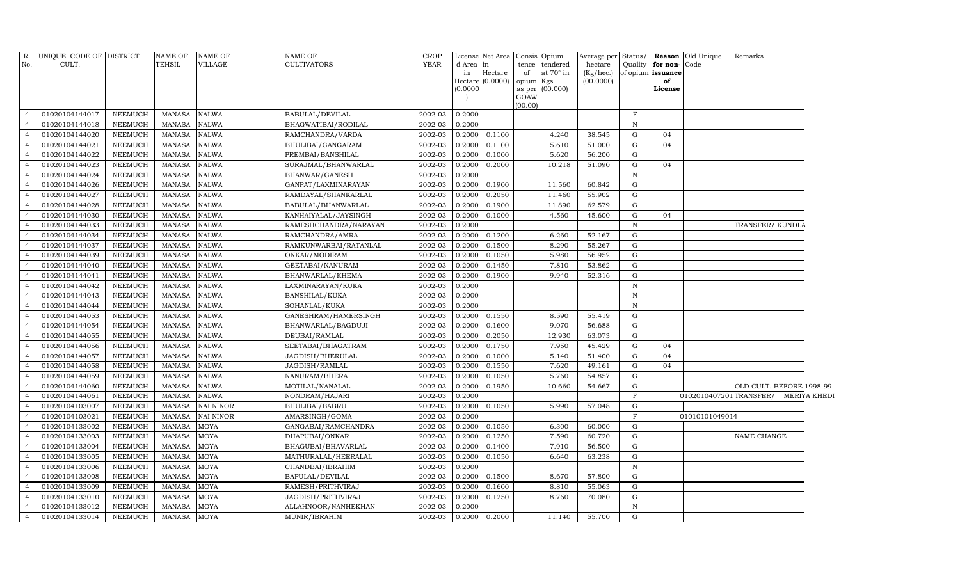| R.             | UNIQUE CODE OF DISTRICT |                | NAME OF       | NAME OF      | <b>NAME OF</b>             | <b>CROP</b> |           | License Net Area |           | Consis Opium     | Average per Status/ |              |                              | <b>Reason</b> Old Unique            | Remarks                  |  |
|----------------|-------------------------|----------------|---------------|--------------|----------------------------|-------------|-----------|------------------|-----------|------------------|---------------------|--------------|------------------------------|-------------------------------------|--------------------------|--|
| No.            | CULT.                   |                | <b>TEHSIL</b> | VILLAGE      | <b>CULTIVATORS</b>         | YEAR        | d Area in |                  |           | tence tendered   | hectare             |              | Quality <b>for non-</b> Code |                                     |                          |  |
|                |                         |                |               |              |                            |             | in        | Hectare          | of        | at $70^\circ$ in | (Kg/hec.)           |              | of opium issuance            |                                     |                          |  |
|                |                         |                |               |              |                            |             |           | Hectare (0.0000) | opium Kgs |                  | (00.0000)           |              | of                           |                                     |                          |  |
|                |                         |                |               |              |                            |             | (0.0000)  |                  | GOAW      | as per (00.000)  |                     |              | License                      |                                     |                          |  |
|                |                         |                |               |              |                            |             |           |                  | (00.00)   |                  |                     |              |                              |                                     |                          |  |
| $\overline{4}$ | 01020104144017          | NEEMUCH        | MANASA        | <b>NALWA</b> | <b>BABULAL/DEVILAL</b>     | 2002-03     | 0.2000    |                  |           |                  |                     | $\mathbf{F}$ |                              |                                     |                          |  |
| $\overline{4}$ | 01020104144018          | <b>NEEMUCH</b> | <b>MANASA</b> | NALWA        | <b>BHAGWATIBAI/RODILAL</b> | 2002-03     | 0.2000    |                  |           |                  |                     | $\mathbb N$  |                              |                                     |                          |  |
| $\overline{4}$ | 01020104144020          | <b>NEEMUCH</b> | <b>MANASA</b> | NALWA        | RAMCHANDRA/VARDA           | 2002-03     | 0.2000    | 0.1100           |           | 4.240            | 38.545              | G            | 04                           |                                     |                          |  |
| $\overline{4}$ | 01020104144021          | <b>NEEMUCH</b> | <b>MANASA</b> | <b>NALWA</b> | BHULIBAI/GANGARAM          | 2002-03     | 0.2000    | 0.1100           |           | 5.610            | 51.000              | G            | 04                           |                                     |                          |  |
| $\overline{4}$ | 01020104144022          | <b>NEEMUCH</b> | <b>MANASA</b> | NALWA        | PREMBAI/BANSHILAL          | 2002-03     | 0.2000    | 0.1000           |           | 5.620            | 56.200              | $\mathbf G$  |                              |                                     |                          |  |
| $\overline{4}$ | 01020104144023          | <b>NEEMUCH</b> | <b>MANASA</b> | NALWA        | SURAJMAL/BHANWARLAL        | 2002-03     | 0.2000    | 0.2000           |           | 10.218           | 51.090              | G            | 04                           |                                     |                          |  |
| $\overline{4}$ | 01020104144024          | <b>NEEMUCH</b> | <b>MANASA</b> | NALWA        | BHANWAR/GANESH             | 2002-03     | 0.2000    |                  |           |                  |                     | $\, {\bf N}$ |                              |                                     |                          |  |
| $\overline{4}$ | 01020104144026          | <b>NEEMUCH</b> | <b>MANASA</b> | <b>NALWA</b> | GANPAT/LAXMINARAYAN        | 2002-03     | 0.2000    | 0.1900           |           | 11.560           | 60.842              | G            |                              |                                     |                          |  |
| $\overline{4}$ | 01020104144027          | <b>NEEMUCH</b> | <b>MANASA</b> | <b>NALWA</b> | RAMDAYAL/SHANKARLAL        | 2002-03     | 0.2000    | 0.2050           |           | 11.460           | 55.902              | G            |                              |                                     |                          |  |
| $\overline{4}$ | 01020104144028          | <b>NEEMUCH</b> | <b>MANASA</b> | NALWA        | BABULAL/BHANWARLAL         | 2002-03     | 0.2000    | 0.1900           |           | 11.890           | 62.579              | G            |                              |                                     |                          |  |
| $\overline{4}$ | 01020104144030          | <b>NEEMUCH</b> | <b>MANASA</b> | NALWA        | KANHAIYALAL/JAYSINGH       | 2002-03     | 0.2000    | 0.1000           |           | 4.560            | 45.600              | G            | 04                           |                                     |                          |  |
| $\overline{4}$ | 01020104144033          | <b>NEEMUCH</b> | <b>MANASA</b> | NALWA        | RAMESHCHANDRA/NARAYAN      | 2002-03     | 0.2000    |                  |           |                  |                     | $\mathbf N$  |                              |                                     | TRANSFER/KUNDLA          |  |
| $\overline{4}$ | 01020104144034          | <b>NEEMUCH</b> | <b>MANASA</b> | NALWA        | RAMCHANDRA/AMRA            | 2002-03     | 0.2000    | 0.1200           |           | 6.260            | 52.167              | G            |                              |                                     |                          |  |
| $\overline{4}$ | 01020104144037          | <b>NEEMUCH</b> | <b>MANASA</b> | <b>NALWA</b> | RAMKUNWARBAI/RATANLAL      | 2002-03     | 0.2000    | 0.1500           |           | 8.290            | 55.267              | $\mathbf G$  |                              |                                     |                          |  |
| $\overline{4}$ | 01020104144039          | <b>NEEMUCH</b> | MANASA        | NALWA        | ONKAR/MODIRAM              | 2002-03     | 0.2000    | 0.1050           |           | 5.980            | 56.952              | ${\rm G}$    |                              |                                     |                          |  |
| $\overline{4}$ | 01020104144040          | <b>NEEMUCH</b> | <b>MANASA</b> | NALWA        | GEETABAI/NANURAM           | 2002-03     | 0.2000    | 0.1450           |           | 7.810            | 53.862              | G            |                              |                                     |                          |  |
| $\overline{4}$ | 01020104144041          | <b>NEEMUCH</b> | <b>MANASA</b> | NALWA        | BHANWARLAL/KHEMA           | 2002-03     | 0.2000    | 0.1900           |           | 9.940            | 52.316              | $\mathbf G$  |                              |                                     |                          |  |
| $\overline{4}$ | 01020104144042          | <b>NEEMUCH</b> | <b>MANASA</b> | NALWA        | LAXMINARAYAN/KUKA          | 2002-03     | 0.2000    |                  |           |                  |                     | $\, {\bf N}$ |                              |                                     |                          |  |
| $\overline{4}$ | 01020104144043          | <b>NEEMUCH</b> | <b>MANASA</b> | <b>NALWA</b> | <b>BANSHILAL/KUKA</b>      | 2002-03     | 0.2000    |                  |           |                  |                     | $\, {\bf N}$ |                              |                                     |                          |  |
| $\overline{4}$ | 01020104144044          | <b>NEEMUCH</b> | <b>MANASA</b> | NALWA        | SOHANLAL/KUKA              | 2002-03     | 0.2000    |                  |           |                  |                     | $\, {\bf N}$ |                              |                                     |                          |  |
| $\overline{4}$ | 01020104144053          | <b>NEEMUCH</b> | MANASA        | <b>NALWA</b> | GANESHRAM/HAMERSINGH       | 2002-03     | 0.2000    | 0.1550           |           | 8.590            | 55.419              | G            |                              |                                     |                          |  |
| $\overline{4}$ | 01020104144054          | <b>NEEMUCH</b> | <b>MANASA</b> | NALWA        | BHANWARLAL/BAGDUJI         | 2002-03     | 0.2000    | 0.1600           |           | 9.070            | 56.688              | $\mathbf G$  |                              |                                     |                          |  |
| $\overline{4}$ | 01020104144055          | <b>NEEMUCH</b> | <b>MANASA</b> | NALWA        | DEUBAI/RAMLAL              | 2002-03     | 0.2000    | 0.2050           |           | 12.930           | 63.073              | G            |                              |                                     |                          |  |
| $\overline{4}$ | 01020104144056          | <b>NEEMUCH</b> | <b>MANASA</b> | <b>NALWA</b> | SEETABAI/BHAGATRAM         | 2002-03     | 0.2000    | 0.1750           |           | 7.950            | 45.429              | G            | 04                           |                                     |                          |  |
| $\overline{4}$ | 01020104144057          | <b>NEEMUCH</b> | <b>MANASA</b> | NALWA        | JAGDISH/BHERULAL           | 2002-03     | 0.2000    | 0.1000           |           | 5.140            | 51.400              | G            | 04                           |                                     |                          |  |
| $\overline{4}$ | 01020104144058          | <b>NEEMUCH</b> | <b>MANASA</b> | NALWA        | JAGDISH/RAMLAL             | 2002-03     | 0.2000    | 0.1550           |           | 7.620            | 49.161              | G            | 04                           |                                     |                          |  |
| $\overline{4}$ | 01020104144059          | <b>NEEMUCH</b> | <b>MANASA</b> | NALWA        | NANURAM/BHERA              | 2002-03     | 0.2000    | 0.1050           |           | 5.760            | 54.857              | G            |                              |                                     |                          |  |
| $\overline{4}$ | 01020104144060          | <b>NEEMUCH</b> | <b>MANASA</b> | NALWA        | MOTILAL/NANALAL            | 2002-03     | 0.2000    | 0.1950           |           | 10.660           | 54.667              | $\mathbf G$  |                              |                                     | OLD CULT. BEFORE 1998-99 |  |
| $\overline{4}$ | 01020104144061          | <b>NEEMUCH</b> | <b>MANASA</b> | NALWA        | NONDRAM/HAJARI             | 2002-03     | 0.2000    |                  |           |                  |                     | $\mathbf F$  |                              | 0102010407201TRANSFER/ MERIYA KHEDI |                          |  |
| $\overline{4}$ | 01020104103007          | <b>NEEMUCH</b> | MANASA        | NAI NINOR    | <b>BHULIBAI/BABRU</b>      | 2002-03     | 0.2000    | 0.1050           |           | 5.990            | 57.048              | G            |                              |                                     |                          |  |
| $\overline{4}$ | 01020104103021          | <b>NEEMUCH</b> | MANASA        | NAI NINOR    | AMARSINGH/GOMA             | 2002-03     | 0.2000    |                  |           |                  |                     | F            |                              | 01010101049014                      |                          |  |
| $\overline{4}$ | 01020104133002          | <b>NEEMUCH</b> | <b>MANASA</b> | MOYA         | GANGABAI/RAMCHANDRA        | 2002-03     | 0.2000    | 0.1050           |           | 6.300            | 60.000              | G            |                              |                                     |                          |  |
| $\overline{4}$ | 01020104133003          | <b>NEEMUCH</b> | <b>MANASA</b> | MOYA         | DHAPUBAI/ONKAR             | 2002-03     | 0.2000    | 0.1250           |           | 7.590            | 60.720              | G            |                              |                                     | NAME CHANGE              |  |
| $\overline{4}$ | 01020104133004          | <b>NEEMUCH</b> | <b>MANASA</b> | MOYA         | BHAGUBAI/BHAVARLAL         | 2002-03     | 0.2000    | 0.1400           |           | 7.910            | 56.500              | $\mathbf G$  |                              |                                     |                          |  |
| $\overline{4}$ | 01020104133005          | <b>NEEMUCH</b> | <b>MANASA</b> | MOYA         | MATHURALAL/HEERALAL        | 2002-03     | 0.2000    | 0.1050           |           | 6.640            | 63.238              | G            |                              |                                     |                          |  |
| $\overline{4}$ | 01020104133006          | <b>NEEMUCH</b> | <b>MANASA</b> | MOYA         | CHANDBAI/IBRAHIM           | 2002-03     | 0.2000    |                  |           |                  |                     | $\mathbf N$  |                              |                                     |                          |  |
| $\overline{4}$ | 01020104133008          | <b>NEEMUCH</b> | <b>MANASA</b> | MOYA         | <b>BAPULAL/DEVILAL</b>     | 2002-03     | 0.2000    | 0.1500           |           | 8.670            | 57.800              | $\mathbf G$  |                              |                                     |                          |  |
| $\overline{4}$ | 01020104133009          | <b>NEEMUCH</b> | <b>MANASA</b> | MOYA         | RAMESH/PRITHVIRAJ          | 2002-03     | 0.2000    | 0.1600           |           | 8.810            | 55.063              | G            |                              |                                     |                          |  |
| $\overline{4}$ | 01020104133010          | <b>NEEMUCH</b> | <b>MANASA</b> | MOYA         | JAGDISH/PRITHVIRAJ         | $2002 - 03$ | 0.2000    | 0.1250           |           | 8.760            | 70.080              | G            |                              |                                     |                          |  |
| $\overline{4}$ | 01020104133012          | <b>NEEMUCH</b> | <b>MANASA</b> | MOYA         | ALLAHNOOR/NANHEKHAN        | 2002-03     | 0.2000    |                  |           |                  |                     | $\, {\bf N}$ |                              |                                     |                          |  |
| $\overline{4}$ | 01020104133014          | <b>NEEMUCH</b> | <b>MANASA</b> | MOYA         | MUNIR/IBRAHIM              | 2002-03     | 0.2000    | 0.2000           |           | 11.140           | 55.700              | G            |                              |                                     |                          |  |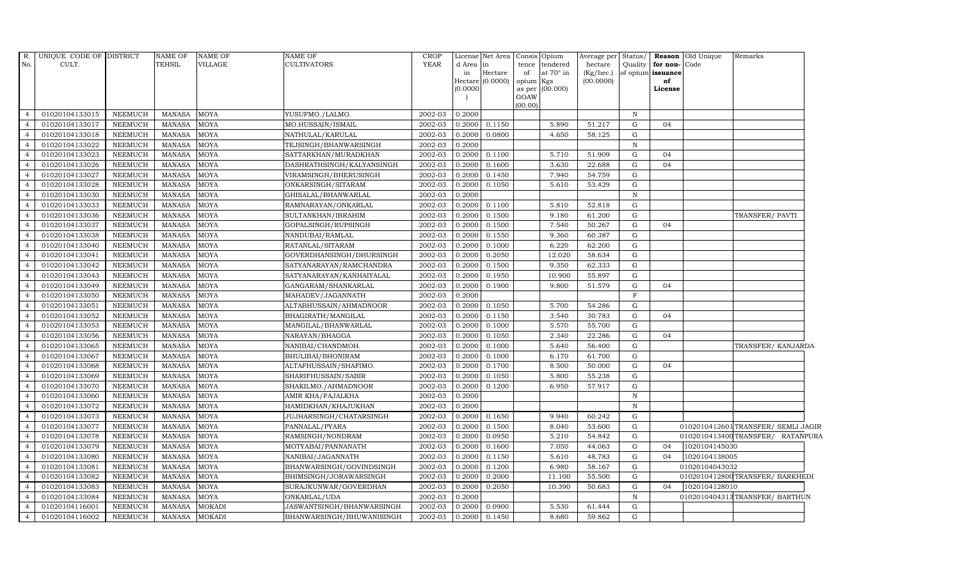| R.<br>No.      | UNIQUE CODE OF DISTRICT<br>CULT. |                | <b>NAME OF</b><br><b>TEHSIL</b> | NAME OF<br>VILLAGE | NAME OF<br><b>CULTIVATORS</b> | <b>CROP</b><br><b>YEAR</b> | d Area in<br>in<br>(0.0000) | License Net Area Consis<br>Hectare<br>Hectare (0.0000) | tence<br>of<br>opium Kgs<br>as per<br>GOAW<br>(00.00) | Opium<br>tendered<br>at $70^\circ$ in<br>(00.000) | Average per<br>hectare<br>(Kg/hec.)<br>(00.0000) | Status/<br>Quality | for non-Code<br>of opium issuance<br>of<br>License | Reason Old Unique | Remarks                             |  |
|----------------|----------------------------------|----------------|---------------------------------|--------------------|-------------------------------|----------------------------|-----------------------------|--------------------------------------------------------|-------------------------------------------------------|---------------------------------------------------|--------------------------------------------------|--------------------|----------------------------------------------------|-------------------|-------------------------------------|--|
| $\overline{4}$ | 01020104133015                   | <b>NEEMUCH</b> | MANASA                          | <b>MOYA</b>        | YUSUFMO./LALMO.               | 2002-03                    | 0.2000                      |                                                        |                                                       |                                                   |                                                  | N                  |                                                    |                   |                                     |  |
| $\overline{4}$ | 01020104133017                   | <b>NEEMUCH</b> | <b>MANASA</b>                   | <b>MOYA</b>        | MO.HUSSAIN/ISMAIL             | 2002-03                    | 0.2000                      | 0.1150                                                 |                                                       | 5.890                                             | 51.217                                           | G                  | 04                                                 |                   |                                     |  |
| $\overline{4}$ | 01020104133018                   | <b>NEEMUCH</b> | <b>MANASA</b>                   | MOYA               | NATHULAL/KARULAL              | 2002-03                    | 0.2000                      | 0.0800                                                 |                                                       | 4.650                                             | 58.125                                           | G                  |                                                    |                   |                                     |  |
| $\overline{4}$ | 01020104133022                   | <b>NEEMUCH</b> | <b>MANASA</b>                   | <b>MOYA</b>        | TEJSINGH/BHANWARSINGH         | 2002-03                    | 0.2000                      |                                                        |                                                       |                                                   |                                                  | $\mathbf N$        |                                                    |                   |                                     |  |
| $\overline{4}$ | 01020104133023                   | <b>NEEMUCH</b> | <b>MANASA</b>                   | <b>MOYA</b>        | SATTARKHAN/MURADKHAN          | 2002-03                    | 0.2000                      | 0.1100                                                 |                                                       | 5.710                                             | 51.909                                           | G                  | 04                                                 |                   |                                     |  |
| $\overline{4}$ | 01020104133026                   | <b>NEEMUCH</b> | MANASA                          | MOYA               | DASHRATHSINGH/KALYANSINGH     | 2002-03                    | 0.2000                      | 0.1600                                                 |                                                       | 3.630                                             | 22.688                                           | G                  | 04                                                 |                   |                                     |  |
| $\overline{4}$ | 01020104133027                   | <b>NEEMUCH</b> | <b>MANASA</b>                   | <b>MOYA</b>        | VIRAMSINGH/BHERUSINGH         | 2002-03                    | 0.2000                      | 0.1450                                                 |                                                       | 7.940                                             | 54.759                                           | G                  |                                                    |                   |                                     |  |
| $\overline{4}$ | 01020104133028                   | <b>NEEMUCH</b> | <b>MANASA</b>                   | <b>MOYA</b>        | ONKARSINGH/SITARAM            | 2002-03                    | 0.2000                      | 0.1050                                                 |                                                       | 5.610                                             | 53.429                                           | G                  |                                                    |                   |                                     |  |
| $\overline{4}$ | 01020104133030                   | <b>NEEMUCH</b> | <b>MANASA</b>                   | <b>MOYA</b>        | GHISALAL/BHANWARLAL           | 2002-03                    | 0.2000                      |                                                        |                                                       |                                                   |                                                  | $\mathbb N$        |                                                    |                   |                                     |  |
| $\overline{4}$ | 01020104133033                   | <b>NEEMUCH</b> | <b>MANASA</b>                   | <b>MOYA</b>        | RAMNARAYAN/ONKARLAL           | 2002-03                    | 0.2000                      | 0.1100                                                 |                                                       | 5.810                                             | 52.818                                           | G                  |                                                    |                   |                                     |  |
| $\overline{4}$ | 01020104133036                   | <b>NEEMUCH</b> | MANASA                          | <b>MOYA</b>        | SULTANKHAN/IBRAHIM            | 2002-03                    | 0.2000                      | 0.1500                                                 |                                                       | 9.180                                             | 61.200                                           | G                  |                                                    |                   | TRANSFER/ PAVTI                     |  |
| $\overline{4}$ | 01020104133037                   | <b>NEEMUCH</b> | <b>MANASA</b>                   | <b>MOYA</b>        | GOPALSINGH/RUPSINGH           | 2002-03                    | 0.2000                      | 0.1500                                                 |                                                       | 7.540                                             | 50.267                                           | G                  | 04                                                 |                   |                                     |  |
| $\overline{4}$ | 01020104133038                   | <b>NEEMUCH</b> | <b>MANASA</b>                   | <b>MOYA</b>        | NANDUBAI/RAMLAL               | 2002-03                    | 0.2000                      | 0.1550                                                 |                                                       | 9.360                                             | 60.387                                           | G                  |                                                    |                   |                                     |  |
| $\overline{4}$ | 01020104133040                   | <b>NEEMUCH</b> | <b>MANASA</b>                   | <b>MOYA</b>        | RATANLAL/SITARAM              | 2002-03                    | 0.2000                      | 0.1000                                                 |                                                       | 6.220                                             | 62.200                                           | G                  |                                                    |                   |                                     |  |
| $\overline{4}$ | 01020104133041                   | <b>NEEMUCH</b> | <b>MANASA</b>                   | MOYA               | GOVERDHANSINGH/DHURSINGH      | 2002-03                    | 0.2000                      | 0.2050                                                 |                                                       | 12.020                                            | 58.634                                           | G                  |                                                    |                   |                                     |  |
| $\overline{4}$ | 01020104133042                   | <b>NEEMUCH</b> | <b>MANASA</b>                   | <b>MOYA</b>        | SATYANARAYAN/RAMCHANDRA       | 2002-03                    | 0.2000                      | 0.1500                                                 |                                                       | 9.350                                             | 62.333                                           | G                  |                                                    |                   |                                     |  |
| $\overline{4}$ | 01020104133043                   | <b>NEEMUCH</b> | <b>MANASA</b>                   | <b>MOYA</b>        | SATYANARAYAN/KANHAIYALAL      | 2002-03                    | 0.2000                      | 0.1950                                                 |                                                       | 10.900                                            | 55.897                                           | G                  |                                                    |                   |                                     |  |
| $\overline{4}$ | 01020104133049                   | <b>NEEMUCH</b> | <b>MANASA</b>                   | <b>MOYA</b>        | GANGARAM/SHANKARLAL           | 2002-03                    | 0.2000                      | 0.1900                                                 |                                                       | 9.800                                             | 51.579                                           | G                  | 04                                                 |                   |                                     |  |
| $\overline{4}$ | 01020104133050                   | <b>NEEMUCH</b> | <b>MANASA</b>                   | <b>MOYA</b>        | MAHADEV/JAGANNATH             | 2002-03                    | 0.2000                      |                                                        |                                                       |                                                   |                                                  | $\mathbf{F}$       |                                                    |                   |                                     |  |
| $\overline{4}$ | 01020104133051                   | <b>NEEMUCH</b> | <b>MANASA</b>                   | <b>MOYA</b>        | ALTABHUSSAIN/AHMADNOOR        | 2002-03                    | 0.2000                      | 0.1050                                                 |                                                       | 5.700                                             | 54.286                                           | G                  |                                                    |                   |                                     |  |
| $\overline{4}$ | 01020104133052                   | <b>NEEMUCH</b> | <b>MANASA</b>                   | <b>MOYA</b>        | BHAGIRATH/MANGILAL            | 2002-03                    | 0.2000                      | 0.1150                                                 |                                                       | 3.540                                             | 30.783                                           | G                  | 04                                                 |                   |                                     |  |
| $\overline{4}$ | 01020104133053                   | <b>NEEMUCH</b> | <b>MANASA</b>                   | <b>MOYA</b>        | MANGILAL/BHANWARLAL           | 2002-03                    | 0.2000                      | 0.1000                                                 |                                                       | 5.570                                             | 55.700                                           | G                  |                                                    |                   |                                     |  |
| $\overline{4}$ | 01020104133056                   | <b>NEEMUCH</b> | <b>MANASA</b>                   | MOYA               | NARAYAN/BHAGGA                | 2002-03                    | 0.2000                      | 0.1050                                                 |                                                       | 2.340                                             | 22.286                                           | G                  | 04                                                 |                   |                                     |  |
| $\overline{4}$ | 01020104133065                   | <b>NEEMUCH</b> | <b>MANASA</b>                   | <b>MOYA</b>        | NANIBAI/CHANDMOH.             | 2002-03                    | 0.2000                      | 0.1000                                                 |                                                       | 5.640                                             | 56.400                                           | G                  |                                                    |                   | TRANSFER/ KANJARDA                  |  |
| $\overline{4}$ | 01020104133067                   | <b>NEEMUCH</b> | MANASA                          | MOYA               | BHULIBAI/BHONIRAM             | 2002-03                    | 0.2000                      | 0.1000                                                 |                                                       | 6.170                                             | 61.700                                           | G                  |                                                    |                   |                                     |  |
| $\overline{4}$ | 01020104133068                   | <b>NEEMUCH</b> | <b>MANASA</b>                   | <b>MOYA</b>        | ALTAFHUSSAIN/SHAFIMO.         | 2002-03                    | 0.2000                      | 0.1700                                                 |                                                       | 8.500                                             | 50.000                                           | G                  | 04                                                 |                   |                                     |  |
| $\overline{4}$ | 01020104133069                   | <b>NEEMUCH</b> | <b>MANASA</b>                   | <b>MOYA</b>        | SHARIFHUSSAIN/SABIR           | 2002-03                    | 0.2000                      | 0.1050                                                 |                                                       | 5.800                                             | 55.238                                           | G                  |                                                    |                   |                                     |  |
| $\overline{4}$ | 01020104133070                   | <b>NEEMUCH</b> | <b>MANASA</b>                   | MOYA               | SHAKILMO./AHMADNOOR           | 2002-03                    | 0.2000                      | 0.1200                                                 |                                                       | 6.950                                             | 57.917                                           | G                  |                                                    |                   |                                     |  |
| $\overline{4}$ | 01020104133060                   | <b>NEEMUCH</b> | <b>MANASA</b>                   | <b>MOYA</b>        | AMIR KHA/FAJALKHA             | 2002-03                    | 0.2000                      |                                                        |                                                       |                                                   |                                                  | $\, {\rm N}$       |                                                    |                   |                                     |  |
| $\overline{4}$ | 01020104133072                   | <b>NEEMUCH</b> | <b>MANASA</b>                   | <b>MOYA</b>        | HAMIDKHAN/KHAJUKHAN           | 2002-03                    | 0.2000                      |                                                        |                                                       |                                                   |                                                  | $\, {\rm N}$       |                                                    |                   |                                     |  |
| $\overline{4}$ | 01020104133073                   | <b>NEEMUCH</b> | <b>MANASA</b>                   | <b>MOYA</b>        | JUJHARSINGH/CHATARSINGH       | 2002-03                    | 0.2000                      | 0.1650                                                 |                                                       | 9.940                                             | 60.242                                           | G                  |                                                    |                   |                                     |  |
| $\overline{4}$ | 01020104133077                   | <b>NEEMUCH</b> | <b>MANASA</b>                   | <b>MOYA</b>        | PANNALAL/PYARA                | 2002-03                    | 0.2000                      | 0.1500                                                 |                                                       | 8.040                                             | 53.600                                           | G                  |                                                    |                   | 0102010412601 TRANSFER/ SEMLI JAGIR |  |
| $\overline{4}$ | 01020104133078                   | <b>NEEMUCH</b> | MANASA                          | MOYA               | RAMSINGH/NONDRAM              | 2002-03                    | 0.2000                      | 0.0950                                                 |                                                       | 5.210                                             | 54.842                                           | G                  |                                                    |                   | 0102010413400TRANSFER/ RATANPURA    |  |
| $\overline{4}$ | 01020104133079                   | <b>NEEMUCH</b> | <b>MANASA</b>                   | <b>MOYA</b>        | MOTYABAI/PANNANATH            | 2002-03                    | 0.2000                      | 0.1600                                                 |                                                       | 7.050                                             | 44.063                                           | G                  | 04                                                 | 1020104145030     |                                     |  |
| $\overline{4}$ | 01020104133080                   | <b>NEEMUCH</b> | <b>MANASA</b>                   | <b>MOYA</b>        | NANIBAI/JAGANNATH             | 2002-03                    | 0.2000                      | 0.1150                                                 |                                                       | 5.610                                             | 48.783                                           | G                  | 04                                                 | 1020104138005     |                                     |  |
| $\overline{4}$ | 01020104133081                   | <b>NEEMUCH</b> | <b>MANASA</b>                   | <b>MOYA</b>        | BHANWARSINGH/GOVINDSINGH      | 2002-03                    | 0.2000                      | 0.1200                                                 |                                                       | 6.980                                             | 58.167                                           | G                  |                                                    | 01020104043032    |                                     |  |
| $\overline{4}$ | 01020104133082                   | <b>NEEMUCH</b> | <b>MANASA</b>                   | MOYA               | BHIMSINGH/JORAWARSINGH        | 2002-03                    | 0.2000                      | 0.2000                                                 |                                                       | 11.100                                            | 55.500                                           | G                  |                                                    |                   | 0102010412800 TRANSFER/ BARKHEDI    |  |
| $\overline{4}$ | 01020104133083                   | <b>NEEMUCH</b> | <b>MANASA</b>                   | MOYA               | SURAJKUNWAR/GOVERDHAN         | 2002-03                    | 0.2000                      | 0.2050                                                 |                                                       | 10.390                                            | 50.683                                           | G                  | 04                                                 | 1020104128010     |                                     |  |
| $\overline{4}$ | 01020104133084                   | <b>NEEMUCH</b> | <b>MANASA</b>                   | <b>MOYA</b>        | ONKARLAL/UDA                  | 2002-03                    | 0.2000                      |                                                        |                                                       |                                                   |                                                  | N                  |                                                    |                   | 0102010404313TRANSFER/ BARTHUN      |  |
| $\overline{4}$ | 01020104116001                   | <b>NEEMUCH</b> | <b>MANASA</b>                   | <b>MOKADI</b>      | JASWANTSINGH/BHANWARSINGH     | 2002-03                    | 0.2000                      | 0.0900                                                 |                                                       | 5.530                                             | 61.444                                           | G                  |                                                    |                   |                                     |  |
| $\overline{4}$ | 01020104116002                   | <b>NEEMUCH</b> | MANASA                          | <b>MOKADI</b>      | BHANWARSINGH/BHUWANISINGH     | 2002-03                    | 0.2000                      | 0.1450                                                 |                                                       | 8.680                                             | 59.862                                           | G                  |                                                    |                   |                                     |  |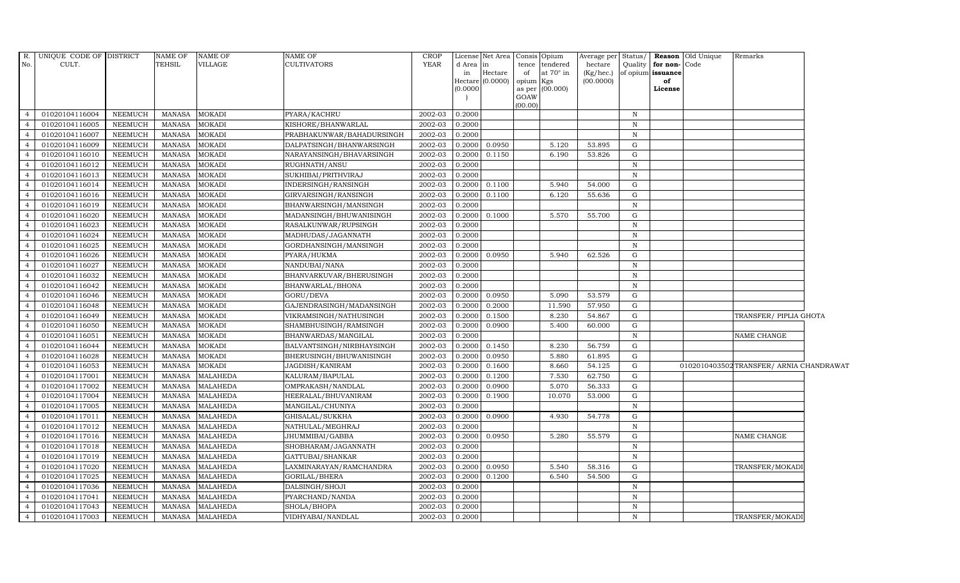| $R_{\cdot}$    | UNIQUE CODE OF DISTRICT |                | NAME OF       | <b>NAME OF</b>  | <b>NAME OF</b>            | <b>CROP</b> |              | License Net Area Consis Opium |                 |                                    | Average per Status/  |              |                                              | <b>Reason</b> Old Unique | Remarks                                  |  |
|----------------|-------------------------|----------------|---------------|-----------------|---------------------------|-------------|--------------|-------------------------------|-----------------|------------------------------------|----------------------|--------------|----------------------------------------------|--------------------------|------------------------------------------|--|
| No.            | CULT.                   |                | <b>TEHSIL</b> | <b>VILLAGE</b>  | CULTIVATORS               | <b>YEAR</b> | d Area<br>in | in<br>Hectare                 | of              | tence tendered<br>at $70^\circ$ in | hectare<br>(Kg/hec.) |              | Quality   for non- Code<br>of opium issuance |                          |                                          |  |
|                |                         |                |               |                 |                           |             |              | Hectare (0.0000)              | opium Kgs       |                                    | (00.0000)            |              | of                                           |                          |                                          |  |
|                |                         |                |               |                 |                           |             | (0.0000)     |                               |                 | as per (00.000)                    |                      |              | License                                      |                          |                                          |  |
|                |                         |                |               |                 |                           |             |              |                               | GOAW<br>(00.00) |                                    |                      |              |                                              |                          |                                          |  |
| $\overline{4}$ | 01020104116004          | NEEMUCH        | <b>MANASA</b> | <b>MOKADI</b>   | PYARA/KACHRU              | 2002-03     | 0.2000       |                               |                 |                                    |                      | $\mathbb N$  |                                              |                          |                                          |  |
| $\overline{4}$ | 01020104116005          | <b>NEEMUCH</b> | <b>MANASA</b> | <b>MOKADI</b>   | KISHORE/BHANWARLAL        | 2002-03     | 0.2000       |                               |                 |                                    |                      | $\mathbb N$  |                                              |                          |                                          |  |
| $\overline{4}$ | 01020104116007          | <b>NEEMUCH</b> | <b>MANASA</b> | <b>MOKADI</b>   | PRABHAKUNWAR/BAHADURSINGH | 2002-03     | 0.2000       |                               |                 |                                    |                      | $\mathbb N$  |                                              |                          |                                          |  |
| $\overline{4}$ | 01020104116009          | <b>NEEMUCH</b> | <b>MANASA</b> | <b>MOKADI</b>   | DALPATSINGH/BHANWARSINGH  | 2002-03     | 0.2000       | 0.0950                        |                 | 5.120                              | 53.895               | G            |                                              |                          |                                          |  |
| $\overline{4}$ | 01020104116010          | <b>NEEMUCH</b> | <b>MANASA</b> | <b>MOKADI</b>   | NARAYANSINGH/BHAVARSINGH  | 2002-03     | 0.2000       | 0.1150                        |                 | 6.190                              | 53.826               | ${\rm G}$    |                                              |                          |                                          |  |
| $\overline{4}$ | 01020104116012          | NEEMUCH        | <b>MANASA</b> | <b>MOKADI</b>   | RUGHNATH/ANSU             | 2002-03     | 0.2000       |                               |                 |                                    |                      | $\,$ N       |                                              |                          |                                          |  |
| $\overline{4}$ | 01020104116013          | NEEMUCH        | <b>MANASA</b> | <b>MOKADI</b>   | SUKHIBAI/PRITHVIRAJ       | 2002-03     | 0.2000       |                               |                 |                                    |                      | $\mathbb N$  |                                              |                          |                                          |  |
| $\overline{4}$ | 01020104116014          | <b>NEEMUCH</b> | <b>MANASA</b> | <b>MOKADI</b>   | INDERSINGH/RANSINGH       | 2002-03     | 0.2000       | 0.1100                        |                 | 5.940                              | 54.000               | G            |                                              |                          |                                          |  |
| $\overline{4}$ | 01020104116016          | <b>NEEMUCH</b> | <b>MANASA</b> | <b>MOKADI</b>   | GIRVARSINGH/RANSINGH      | 2002-03     | 0.2000       | 0.1100                        |                 | 6.120                              | 55.636               | $\mathbf G$  |                                              |                          |                                          |  |
| $\overline{4}$ | 01020104116019          | <b>NEEMUCH</b> | <b>MANASA</b> | <b>MOKADI</b>   | BHANWARSINGH/MANSINGH     | 2002-03     | 0.2000       |                               |                 |                                    |                      | $\, {\rm N}$ |                                              |                          |                                          |  |
| $\overline{4}$ | 01020104116020          | <b>NEEMUCH</b> | <b>MANASA</b> | <b>MOKADI</b>   | MADANSINGH/BHUWANISINGH   | 2002-03     | 0.2000       | 0.1000                        |                 | 5.570                              | 55.700               | G            |                                              |                          |                                          |  |
| $\overline{4}$ | 01020104116023          | <b>NEEMUCH</b> | <b>MANASA</b> | <b>MOKADI</b>   | RASALKUNWAR/RUPSINGH      | 2002-03     | 0.2000       |                               |                 |                                    |                      | $\,$ N       |                                              |                          |                                          |  |
| $\overline{4}$ | 01020104116024          | <b>NEEMUCH</b> | <b>MANASA</b> | <b>MOKADI</b>   | MADHUDAS/JAGANNATH        | 2002-03     | 0.2000       |                               |                 |                                    |                      | $\mathbf N$  |                                              |                          |                                          |  |
| $\overline{4}$ | 01020104116025          | <b>NEEMUCH</b> | <b>MANASA</b> | <b>MOKADI</b>   | GORDHANSINGH/MANSINGH     | 2002-03     | 0.2000       |                               |                 |                                    |                      | $\mathbb N$  |                                              |                          |                                          |  |
| $\overline{4}$ | 01020104116026          | <b>NEEMUCH</b> | <b>MANASA</b> | <b>MOKADI</b>   | PYARA/HUKMA               | 2002-03     | 0.2000       | 0.0950                        |                 | 5.940                              | 62.526               | G            |                                              |                          |                                          |  |
| $\overline{4}$ | 01020104116027          | <b>NEEMUCH</b> | MANASA        | <b>MOKADI</b>   | NANDUBAI/NANA             | 2002-03     | 0.2000       |                               |                 |                                    |                      | $\mathbf N$  |                                              |                          |                                          |  |
| $\overline{4}$ | 01020104116032          | <b>NEEMUCH</b> | <b>MANASA</b> | <b>MOKADI</b>   | BHANVARKUVAR/BHERUSINGH   | 2002-03     | 0.2000       |                               |                 |                                    |                      | $\mathbb N$  |                                              |                          |                                          |  |
| $\overline{4}$ | 01020104116042          | <b>NEEMUCH</b> | <b>MANASA</b> | <b>MOKADI</b>   | BHANWARLAL/BHONA          | 2002-03     | 0.2000       |                               |                 |                                    |                      | $\,$ N       |                                              |                          |                                          |  |
| $\overline{4}$ | 01020104116046          | <b>NEEMUCH</b> | <b>MANASA</b> | <b>MOKADI</b>   | GORU/DEVA                 | 2002-03     | 0.2000       | 0.0950                        |                 | 5.090                              | 53.579               | $\mathbf G$  |                                              |                          |                                          |  |
| $\overline{4}$ | 01020104116048          | <b>NEEMUCH</b> | <b>MANASA</b> | <b>MOKADI</b>   | GAJENDRASINGH/MADANSINGH  | 2002-03     | 0.2000       | 0.2000                        |                 | 11.590                             | 57.950               | G            |                                              |                          |                                          |  |
| $\overline{4}$ | 01020104116049          | <b>NEEMUCH</b> | <b>MANASA</b> | <b>MOKADI</b>   | VIKRAMSINGH/NATHUSINGH    | 2002-03     | 0.2000       | 0.1500                        |                 | 8.230                              | 54.867               | G            |                                              |                          | TRANSFER/ PIPLIA GHOTA                   |  |
| $\overline{4}$ | 01020104116050          | <b>NEEMUCH</b> | <b>MANASA</b> | <b>MOKADI</b>   | SHAMBHUSINGH/RAMSINGH     | 2002-03     | 0.2000       | 0.0900                        |                 | 5.400                              | 60.000               | G            |                                              |                          |                                          |  |
| $\overline{4}$ | 01020104116051          | <b>NEEMUCH</b> | <b>MANASA</b> | <b>MOKADI</b>   | BHANWARDAS/MANGILAL       | 2002-03     | 0.2000       |                               |                 |                                    |                      | $\mathbf N$  |                                              |                          | NAME CHANGE                              |  |
| $\overline{4}$ | 01020104116044          | <b>NEEMUCH</b> | <b>MANASA</b> | <b>MOKADI</b>   | BALVANTSINGH/NIRBHAYSINGH | 2002-03     | 0.2000       | 0.1450                        |                 | 8.230                              | 56.759               | G            |                                              |                          |                                          |  |
| $\overline{4}$ | 01020104116028          | <b>NEEMUCH</b> | <b>MANASA</b> | <b>MOKADI</b>   | BHERUSINGH/BHUWANISINGH   | 2002-03     | 0.2000       | 0.0950                        |                 | 5.880                              | 61.895               | $\mathbf G$  |                                              |                          |                                          |  |
| $\overline{4}$ | 01020104116053          | <b>NEEMUCH</b> | MANASA        | <b>MOKADI</b>   | JAGDISH/KANIRAM           | 2002-03     | 0.2000       | 0.1600                        |                 | 8.660                              | 54.125               | G            |                                              |                          | 0102010403502 TRANSFER/ ARNIA CHANDRAWAT |  |
| $\overline{4}$ | 01020104117001          | <b>NEEMUCH</b> | <b>MANASA</b> | <b>MALAHEDA</b> | KALURAM/BAPULAL           | 2002-03     | 0.2000       | 0.1200                        |                 | 7.530                              | 62.750               | G            |                                              |                          |                                          |  |
| $\overline{4}$ | 01020104117002          | <b>NEEMUCH</b> | <b>MANASA</b> | <b>MALAHEDA</b> | OMPRAKASH/NANDLAL         | 2002-03     | 0.2000       | 0.0900                        |                 | 5.070                              | 56.333               | G            |                                              |                          |                                          |  |
| $\overline{4}$ | 01020104117004          | <b>NEEMUCH</b> | MANASA        | <b>MALAHEDA</b> | HEERALAL/BHUVANIRAM       | 2002-03     | 0.2000       | 0.1900                        |                 | 10.070                             | 53.000               | G            |                                              |                          |                                          |  |
| $\overline{4}$ | 01020104117005          | <b>NEEMUCH</b> | <b>MANASA</b> | <b>MALAHEDA</b> | MANGILAL/CHUNIYA          | 2002-03     | 0.2000       |                               |                 |                                    |                      | $\,$ N       |                                              |                          |                                          |  |
| $\overline{4}$ | 01020104117011          | <b>NEEMUCH</b> | <b>MANASA</b> | <b>MALAHEDA</b> | GHISALAL/SUKKHA           | 2002-03     | 0.2000       | 0.0900                        |                 | 4.930                              | 54.778               | G            |                                              |                          |                                          |  |
| $\overline{4}$ | 01020104117012          | <b>NEEMUCH</b> | <b>MANASA</b> | <b>MALAHEDA</b> | NATHULAL/MEGHRAJ          | 2002-03     | 0.2000       |                               |                 |                                    |                      | $\,$ N       |                                              |                          |                                          |  |
| $\overline{4}$ | 01020104117016          | <b>NEEMUCH</b> | <b>MANASA</b> | <b>MALAHEDA</b> | JHUMMIBAI/GABBA           | 2002-03     | 0.2000       | 0.0950                        |                 | 5.280                              | 55.579               | G            |                                              |                          | NAME CHANGE                              |  |
| $\overline{4}$ | 01020104117018          | <b>NEEMUCH</b> | <b>MANASA</b> | <b>MALAHEDA</b> | SHOBHARAM/JAGANNATH       | 2002-03     | 0.2000       |                               |                 |                                    |                      | $\,$ N       |                                              |                          |                                          |  |
| $\overline{4}$ | 01020104117019          | <b>NEEMUCH</b> | <b>MANASA</b> | <b>MALAHEDA</b> | GATTUBAI/SHANKAR          | 2002-03     | 0.2000       |                               |                 |                                    |                      | $\mathbb N$  |                                              |                          |                                          |  |
| $\overline{4}$ | 01020104117020          | <b>NEEMUCH</b> | <b>MANASA</b> | <b>MALAHEDA</b> | LAXMINARAYAN/RAMCHANDRA   | 2002-03     | 0.2000       | 0.0950                        |                 | 5.540                              | 58.316               | G            |                                              |                          | TRANSFER/MOKADI                          |  |
| $\overline{4}$ | 01020104117025          | <b>NEEMUCH</b> | <b>MANASA</b> | <b>MALAHEDA</b> | GORILAL/BHERA             | 2002-03     | 0.2000       | 0.1200                        |                 | 6.540                              | 54.500               | G            |                                              |                          |                                          |  |
| $\overline{4}$ | 01020104117036          | <b>NEEMUCH</b> | <b>MANASA</b> | <b>MALAHEDA</b> | DALSINGH/SHOJI            | 2002-03     | 0.2000       |                               |                 |                                    |                      | $\mathbf N$  |                                              |                          |                                          |  |
| $\overline{4}$ | 01020104117041          | <b>NEEMUCH</b> | <b>MANASA</b> | <b>MALAHEDA</b> | PYARCHAND/NANDA           | 2002-03     | 0.2000       |                               |                 |                                    |                      | $\mathbb N$  |                                              |                          |                                          |  |
| $\overline{4}$ | 01020104117043          | <b>NEEMUCH</b> | <b>MANASA</b> | <b>MALAHEDA</b> | SHOLA/BHOPA               | 2002-03     | 0.2000       |                               |                 |                                    |                      | $\mathbb N$  |                                              |                          |                                          |  |
| $\overline{4}$ | 01020104117003          | <b>NEEMUCH</b> | MANASA        | <b>MALAHEDA</b> | VIDHYABAI/NANDLAL         | 2002-03     | 0.2000       |                               |                 |                                    |                      | $\mathbb N$  |                                              |                          | TRANSFER/MOKADI                          |  |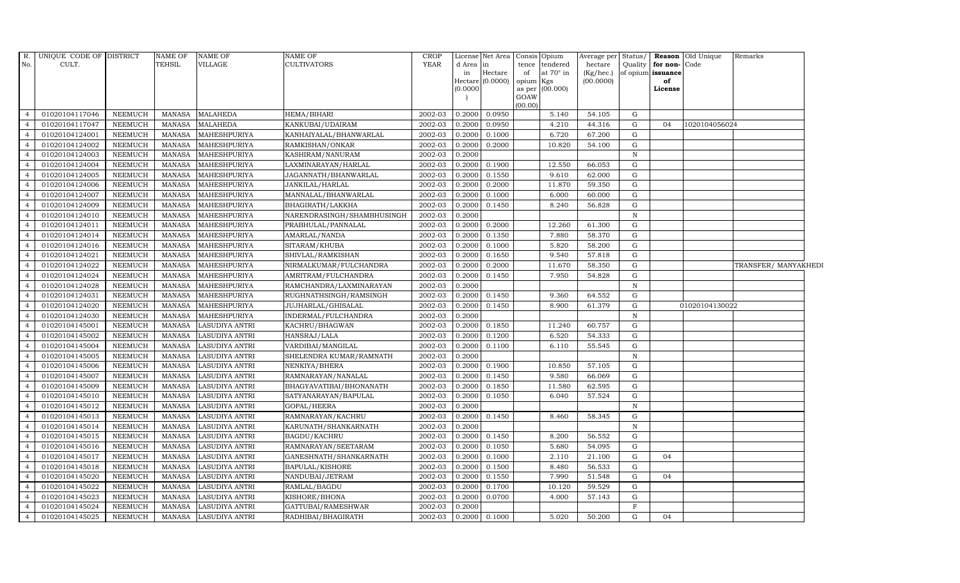| $R$ .<br>No.                     | UNIQUE CODE OF DISTRICT<br>CULT. |                                  | NAME OF<br>TEHSIL       | <b>NAME OF</b><br><b>VILLAGE</b>               | NAME OF<br>CULTIVATORS              | <b>CROP</b><br><b>YEAR</b> | d Area in<br>in<br>(0.0000) | License Net Area Consis Opium<br>Hectare<br>$Hectare$ (0.0000) | tence<br>of<br>opium Kgs<br>GOAW<br>(00.00) | tendered<br>at $70^\circ$ in<br>as per (00.000) | Average per Status/<br>hectare<br>(Kg/hec.)<br>(00.0000) | Quality      | for non-Code<br>of opium issuance<br>of<br>License | <b>Reason</b> Old Unique | Remarks              |  |
|----------------------------------|----------------------------------|----------------------------------|-------------------------|------------------------------------------------|-------------------------------------|----------------------------|-----------------------------|----------------------------------------------------------------|---------------------------------------------|-------------------------------------------------|----------------------------------------------------------|--------------|----------------------------------------------------|--------------------------|----------------------|--|
| $\overline{4}$                   | 01020104117046                   | NEEMUCH                          | MANASA                  | <b>MALAHEDA</b>                                | HEMA/BIHARI                         | 2002-03                    | 0.2000                      | 0.0950                                                         |                                             | 5.140                                           | 54.105                                                   | G            |                                                    |                          |                      |  |
| $\overline{4}$                   | 01020104117047                   | <b>NEEMUCH</b>                   | MANASA                  | <b>MALAHEDA</b>                                | KANKUBAI/UDAIRAM                    | 2002-03                    | 0.2000                      | 0.0950                                                         |                                             | 4.210                                           | 44.316                                                   | G            | 04                                                 | 1020104056024            |                      |  |
|                                  | 01020104124001                   | <b>NEEMUCH</b>                   | <b>MANASA</b>           | MAHESHPURIYA                                   | KANHAIYALAL/BHANWARLAL              | 2002-03                    | 0.2000                      | 0.1000                                                         |                                             | 6.720                                           | 67.200                                                   | G            |                                                    |                          |                      |  |
|                                  | 01020104124002                   | <b>NEEMUCH</b>                   | MANASA                  | <b>MAHESHPURIYA</b>                            | RAMKISHAN/ONKAR                     | 2002-03                    | 0.2000                      | 0.2000                                                         |                                             | 10.820                                          | 54.100                                                   | G            |                                                    |                          |                      |  |
| $\overline{4}$                   | 01020104124003                   | <b>NEEMUCH</b>                   | MANASA                  | MAHESHPURIYA                                   | KASHIRAM/NANURAM                    | 2002-03                    | 0.2000                      |                                                                |                                             |                                                 |                                                          | $\mathbb N$  |                                                    |                          |                      |  |
| $\overline{4}$                   | 01020104124004                   | <b>NEEMUCH</b>                   | MANASA                  | MAHESHPURIYA                                   | LAXMINARAYAN/HARLAL                 | 2002-03                    | 0.2000                      | 0.1900                                                         |                                             | 12.550                                          | 66.053                                                   | G            |                                                    |                          |                      |  |
| $\overline{4}$                   | 01020104124005                   | <b>NEEMUCH</b>                   | MANASA                  | MAHESHPURIYA                                   | JAGANNATH/BHANWARLAL                | 2002-03                    | 0.2000                      | 0.1550                                                         |                                             | 9.610                                           | 62.000                                                   | G            |                                                    |                          |                      |  |
|                                  | 01020104124006                   | <b>NEEMUCH</b>                   | MANASA                  | MAHESHPURIYA                                   | JANKILAL/HARLAL                     | 2002-03                    | 0.2000                      | 0.2000                                                         |                                             | 11.870                                          | 59.350                                                   | G            |                                                    |                          |                      |  |
|                                  | 01020104124007                   | <b>NEEMUCH</b>                   | MANASA                  | MAHESHPURIYA                                   | MANNALAL/BHANWARLAL                 | 2002-03                    | 0.2000                      | 0.1000                                                         |                                             | 6.000                                           | 60.000                                                   | G            |                                                    |                          |                      |  |
|                                  | 01020104124009                   | <b>NEEMUCH</b>                   | MANASA                  | MAHESHPURIYA                                   | BHAGIRATH/LAKKHA                    | 2002-03                    | 0.2000                      | 0.1450                                                         |                                             | 8.240                                           | 56.828                                                   | G            |                                                    |                          |                      |  |
| $\overline{4}$                   | 01020104124010                   | <b>NEEMUCH</b>                   | MANASA                  | MAHESHPURIYA                                   | NARENDRASINGH/SHAMBHUSINGH          | 2002-03                    | 0.2000                      |                                                                |                                             |                                                 |                                                          | $\mathbb N$  |                                                    |                          |                      |  |
| $\overline{4}$                   | 01020104124011                   | <b>NEEMUCH</b>                   | MANASA                  | MAHESHPURIYA                                   | PRABHULAL/PANNALAL                  | 2002-03                    | 0.2000                      | 0.2000                                                         |                                             | 12.260                                          | 61.300                                                   | G            |                                                    |                          |                      |  |
|                                  | 01020104124014                   | <b>NEEMUCH</b>                   | MANASA                  | MAHESHPURIYA                                   | AMARLAL/NANDA                       | 2002-03                    | 0.2000                      | 0.1350                                                         |                                             | 7.880                                           | 58.370                                                   | G            |                                                    |                          |                      |  |
|                                  | 01020104124016                   | <b>NEEMUCH</b>                   | MANASA                  | MAHESHPURIYA                                   | SITARAM/KHUBA                       | 2002-03                    | 0.2000                      | 0.1000                                                         |                                             | 5.820                                           | 58.200                                                   | G            |                                                    |                          |                      |  |
|                                  | 01020104124021                   | <b>NEEMUCH</b>                   | MANASA                  | MAHESHPURIYA                                   | SHIVLAL/RAMKISHAN                   | 2002-03                    | 0.2000                      | 0.1650                                                         |                                             | 9.540                                           | 57.818                                                   | G            |                                                    |                          |                      |  |
| $\overline{4}$                   | 01020104124022                   | <b>NEEMUCH</b>                   | MANASA                  | MAHESHPURIYA                                   | NIRMALKUMAR/FULCHANDRA              | 2002-03                    | 0.2000                      | 0.2000                                                         |                                             | 11.670                                          | 58.350                                                   | G            |                                                    |                          | TRANSFER/ MANYAKHEDI |  |
| $\overline{4}$                   | 01020104124024                   | <b>NEEMUCH</b>                   | MANASA                  | MAHESHPURIYA                                   | AMRITRAM/FULCHANDRA                 | 2002-03                    | 0.2000                      | 0.1450                                                         |                                             | 7.950                                           | 54.828                                                   | G            |                                                    |                          |                      |  |
|                                  | 01020104124028                   | NEEMUCH                          | MANASA                  | MAHESHPURIYA                                   | RAMCHANDRA/LAXMINARAYAN             | 2002-03                    | 0.2000                      |                                                                |                                             |                                                 |                                                          | $\mathbf N$  |                                                    |                          |                      |  |
|                                  | 01020104124031                   | <b>NEEMUCH</b>                   | <b>MANASA</b>           | MAHESHPURIYA                                   | RUGHNATHSINGH/RAMSINGH              | 2002-03                    | 0.2000                      | 0.1450                                                         |                                             | 9.360                                           | 64.552                                                   | G            |                                                    |                          |                      |  |
|                                  | 01020104124020                   | <b>NEEMUCH</b>                   | <b>MANASA</b>           | MAHESHPURIYA                                   | JUJHARLAL/GHISALAL                  | 2002-03                    | 0.2000                      | 0.1450                                                         |                                             | 8.900                                           | 61.379                                                   | G            |                                                    | 01020104130022           |                      |  |
| $\overline{4}$                   | 01020104124030                   | <b>NEEMUCH</b>                   | MANASA                  | MAHESHPURIYA                                   | INDERMAL/FULCHANDRA                 | 2002-03                    | 0.2000                      |                                                                |                                             |                                                 |                                                          | $\mathbb N$  |                                                    |                          |                      |  |
| $\overline{a}$                   | 01020104145001                   | <b>NEEMUCH</b>                   | MANASA                  | <b>LASUDIYA ANTRI</b>                          | KACHRU/BHAGWAN                      | 2002-03                    | 0.2000                      | 0.1850                                                         |                                             | 11.240                                          | 60.757                                                   | G            |                                                    |                          |                      |  |
| $\overline{4}$                   | 01020104145002                   | <b>NEEMUCH</b>                   | MANASA                  | <b>LASUDIYA ANTRI</b>                          | HANSRAJ/LALA                        | 2002-03                    | 0.2000                      | 0.1200                                                         |                                             | 6.520                                           | 54.333                                                   | G            |                                                    |                          |                      |  |
|                                  | 01020104145004                   | NEEMUCH                          | <b>MANASA</b>           | <b>LASUDIYA ANTRI</b>                          | VARDIBAI/MANGILAL                   | 2002-03                    | 0.2000                      | 0.1100                                                         |                                             | 6.110                                           | 55.545                                                   | G            |                                                    |                          |                      |  |
|                                  | 01020104145005                   | <b>NEEMUCH</b>                   | <b>MANASA</b>           | <b>LASUDIYA ANTRI</b>                          | SHELENDRA KUMAR/RAMNATH             | 2002-03                    | 0.2000                      |                                                                |                                             |                                                 |                                                          | $\mathbb N$  |                                                    |                          |                      |  |
|                                  | 01020104145006                   | <b>NEEMUCH</b>                   | MANASA                  | <b>LASUDIYA ANTRI</b>                          | NENKIYA/BHERA                       | 2002-03                    | 0.2000                      | 0.1900                                                         |                                             | 10.850                                          | 57.105                                                   | G            |                                                    |                          |                      |  |
| $\overline{4}$                   | 01020104145007                   | <b>NEEMUCH</b>                   | MANASA                  | LASUDIYA ANTRI                                 | RAMNARAYAN/NANALAL                  | 2002-03                    | 0.2000                      | 0.1450                                                         |                                             | 9.580                                           | 66.069                                                   | G            |                                                    |                          |                      |  |
| $\overline{4}$                   | 01020104145009                   | <b>NEEMUCH</b>                   | MANASA                  | <b>LASUDIYA ANTRI</b>                          | BHAGYAVATIBAI/BHONANATH             | 2002-03                    | 0.2000                      | 0.1850                                                         |                                             | 11.580                                          | 62.595                                                   | G            |                                                    |                          |                      |  |
|                                  | 01020104145010                   | <b>NEEMUCH</b>                   | MANASA                  | <b>LASUDIYA ANTRI</b>                          | SATYANARAYAN/BAPULAL                | 2002-03                    | 0.2000                      | 0.1050                                                         |                                             | 6.040                                           | 57.524                                                   | G            |                                                    |                          |                      |  |
|                                  | 01020104145012                   | <b>NEEMUCH</b>                   | MANASA                  | LASUDIYA ANTRI                                 | GOPAL/HEERA                         | 2002-03                    | 0.2000                      |                                                                |                                             |                                                 |                                                          | $\mathbb N$  |                                                    |                          |                      |  |
|                                  | 01020104145013                   | <b>NEEMUCH</b>                   | MANASA                  | LASUDIYA ANTRI                                 | RAMNARAYAN/KACHRU                   | 2002-03                    | 0.2000                      | 0.1450                                                         |                                             | 8.460                                           | 58.345                                                   | G            |                                                    |                          |                      |  |
| $\overline{4}$<br>$\overline{4}$ | 01020104145014                   | NEEMUCH                          | MANASA                  | <b>LASUDIYA ANTRI</b>                          | KARUNATH/SHANKARNATH                | 2002-03                    | 0.2000                      |                                                                |                                             |                                                 |                                                          | $\mathbb N$  |                                                    |                          |                      |  |
|                                  | 01020104145015                   | <b>NEEMUCH</b>                   | MANASA                  | <b>LASUDIYA ANTRI</b>                          | BAGDU/KACHRU                        | 2002-03                    | 0.2000                      | 0.1450                                                         |                                             | 8.200                                           | 56.552                                                   | G<br>G       |                                                    |                          |                      |  |
| $\overline{4}$                   | 01020104145016                   | <b>NEEMUCH</b>                   | MANASA                  | <b>LASUDIYA ANTRI</b>                          | RAMNARAYAN/SEETARAM                 | 2002-03                    | 0.2000                      | 0.1050                                                         |                                             | 5.680                                           | 54.095                                                   |              |                                                    |                          |                      |  |
|                                  | 01020104145017                   | <b>NEEMUCH</b><br><b>NEEMUCH</b> | <b>MANASA</b><br>MANASA | <b>LASUDIYA ANTRI</b>                          | GANESHNATH/SHANKARNATH              | 2002-03                    | 0.2000                      | 0.1000                                                         |                                             | 2.110                                           | 21.100                                                   | G<br>G       | 04                                                 |                          |                      |  |
|                                  | 01020104145018<br>01020104145020 | <b>NEEMUCH</b>                   | MANASA                  | <b>LASUDIYA ANTRI</b><br><b>LASUDIYA ANTRI</b> | BAPULAL/KISHORE                     | 2002-03<br>2002-03         | 0.2000<br>0.2000            | 0.1500<br>0.1550                                               |                                             | 8.480<br>7.990                                  | 56.533<br>51.548                                         | G            | 04                                                 |                          |                      |  |
| 4<br>$\overline{4}$              | 01020104145022                   | <b>NEEMUCH</b>                   |                         |                                                | NANDUBAI/JETRAM                     | 2002-03                    | 0.2000                      |                                                                |                                             |                                                 |                                                          | G            |                                                    |                          |                      |  |
| $\overline{4}$                   | 01020104145023                   |                                  | MANASA<br>MANASA        | <b>LASUDIYA ANTRI</b>                          | RAMLAL/BAGDU                        | 2002-03                    |                             | 0.1700<br>0.0700                                               |                                             | 10.120<br>4.000                                 | 59.529                                                   | G            |                                                    |                          |                      |  |
|                                  | 01020104145024                   | <b>NEEMUCH</b><br><b>NEEMUCH</b> | <b>MANASA</b>           | <b>LASUDIYA ANTRI</b><br><b>LASUDIYA ANTRI</b> | KISHORE/BHONA<br>GATTUBAI/RAMESHWAR | 2002-03                    | 0.2000<br>0.2000            |                                                                |                                             |                                                 | 57.143                                                   | $\mathbf{F}$ |                                                    |                          |                      |  |
| $\overline{4}$                   | 01020104145025                   | <b>NEEMUCH</b>                   | MANASA                  |                                                |                                     | 2002-03                    | 0.2000                      | 0.1000                                                         |                                             | 5.020                                           | 50.200                                                   | G            | 04                                                 |                          |                      |  |
|                                  |                                  |                                  |                         | <b>LASUDIYA ANTRI</b>                          | RADHIBAI/BHAGIRATH                  |                            |                             |                                                                |                                             |                                                 |                                                          |              |                                                    |                          |                      |  |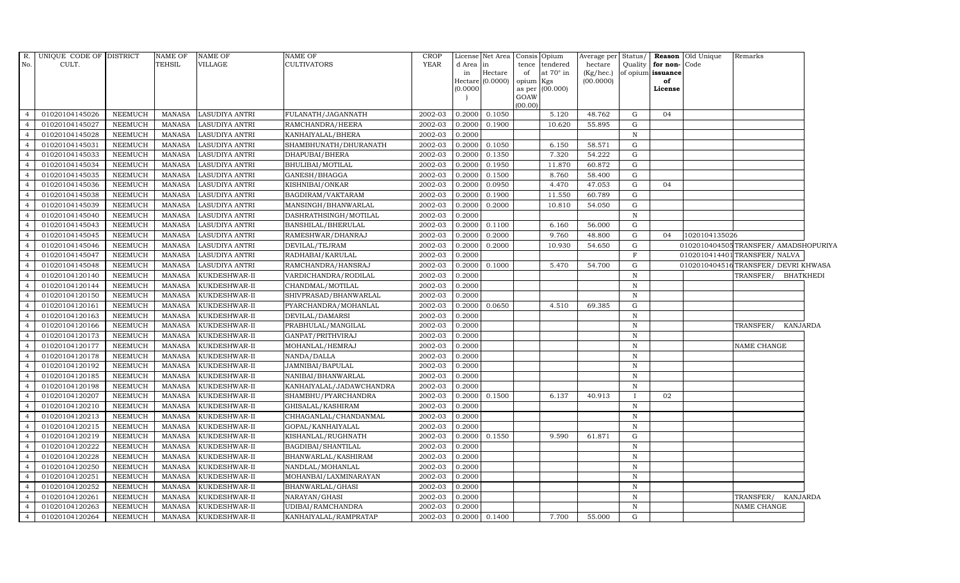| $R$ .          | UNIQUE CODE OF DISTRICT |                | NAME OF       | <b>NAME OF</b>        | NAME OF                                    | <b>CROP</b> |          | License Net Area |           | Consis Opium     | Average per Status/ |              |                      | <b>Reason</b> Old Unique | Remarks                             |  |
|----------------|-------------------------|----------------|---------------|-----------------------|--------------------------------------------|-------------|----------|------------------|-----------|------------------|---------------------|--------------|----------------------|--------------------------|-------------------------------------|--|
| No.            | CULT.                   |                | <b>TEHSIL</b> | <b>VILLAGE</b>        | <b>CULTIVATORS</b>                         | <b>YEAR</b> | d Area   | lin              |           | tence tendered   | hectare             |              | Quality for non-Code |                          |                                     |  |
|                |                         |                |               |                       |                                            |             | in       | Hectare          | of        | at $70^\circ$ in | (Kg/hec.)           |              | of opium issuance    |                          |                                     |  |
|                |                         |                |               |                       |                                            |             | (0.0000) | Hectare (0.0000) | opium Kgs |                  | (00.0000)           |              | of<br>License        |                          |                                     |  |
|                |                         |                |               |                       |                                            |             |          |                  | GOAW      | as per (00.000)  |                     |              |                      |                          |                                     |  |
|                |                         |                |               |                       |                                            |             |          |                  | (00.00)   |                  |                     |              |                      |                          |                                     |  |
| $\overline{4}$ | 01020104145026          | <b>NEEMUCH</b> | MANASA        | <b>LASUDIYA ANTRI</b> | FULANATH/JAGANNATH                         | 2002-03     | 0.2000   | 0.1050           |           | 5.120            | 48.762              | G            | 04                   |                          |                                     |  |
| $\overline{4}$ | 01020104145027          | <b>NEEMUCH</b> | <b>MANASA</b> | <b>LASUDIYA ANTRI</b> | RAMCHANDRA/HEERA                           | 2002-03     | 0.2000   | 0.1900           |           | 10.620           | 55.895              | G            |                      |                          |                                     |  |
| $\overline{4}$ | 01020104145028          | <b>NEEMUCH</b> | <b>MANASA</b> | LASUDIYA ANTRI        | KANHAIYALAL/BHERA                          | 2002-03     | 0.2000   |                  |           |                  |                     | N            |                      |                          |                                     |  |
|                | 01020104145031          | <b>NEEMUCH</b> | <b>MANASA</b> | LASUDIYA ANTRI        | SHAMBHUNATH/DHURANATH                      | 2002-03     | 0.2000   | 0.1050           |           | 6.150            | 58.571              | G            |                      |                          |                                     |  |
| $\overline{4}$ | 01020104145033          | <b>NEEMUCH</b> | <b>MANASA</b> | LASUDIYA ANTRI        | DHAPUBAI/BHERA                             | 2002-03     | 0.2000   | 0.1350           |           | 7.320            | 54.222              | ${\rm G}$    |                      |                          |                                     |  |
| $\overline{4}$ | 01020104145034          | <b>NEEMUCH</b> | <b>MANASA</b> | LASUDIYA ANTRI        | BHULIBAI/MOTILAL                           | 2002-03     | 0.2000   | 0.1950           |           | 11.870           | 60.872              | G            |                      |                          |                                     |  |
| $\overline{4}$ | 01020104145035          | <b>NEEMUCH</b> | MANASA        | <b>LASUDIYA ANTRI</b> | GANESH/BHAGGA                              | 2002-03     | 0.2000   | 0.1500           |           | 8.760            | 58.400              | G            |                      |                          |                                     |  |
| $\overline{4}$ | 01020104145036          | <b>NEEMUCH</b> | <b>MANASA</b> | LASUDIYA ANTRI        | KISHNIBAI/ONKAR                            | 2002-03     | 0.2000   | 0.0950           |           | 4.470            | 47.053              | G            | 04                   |                          |                                     |  |
|                | 01020104145038          | <b>NEEMUCH</b> | <b>MANASA</b> | LASUDIYA ANTRI        | BAGDIRAM/VAKTARAM                          | 2002-03     | 0.2000   | 0.1900           |           | 11.550           | 60.789              | G            |                      |                          |                                     |  |
| $\overline{4}$ | 01020104145039          | <b>NEEMUCH</b> | <b>MANASA</b> | LASUDIYA ANTRI        | MANSINGH/BHANWARLAL                        | 2002-03     | 0.2000   | 0.2000           |           | 10.810           | 54.050              | G            |                      |                          |                                     |  |
| $\overline{4}$ | 01020104145040          | <b>NEEMUCH</b> | <b>MANASA</b> | LASUDIYA ANTRI        | DASHRATHSINGH/MOTILAL                      | 2002-03     | 0.2000   |                  |           |                  |                     | $\mathbb N$  |                      |                          |                                     |  |
| $\overline{4}$ | 01020104145043          | NEEMUCH        | <b>MANASA</b> | LASUDIYA ANTRI        | BANSHILAL/BHERULAL                         | 2002-03     | 0.2000   | 0.1100           |           | 6.160            | 56.000              | G            |                      |                          |                                     |  |
| $\overline{4}$ | 01020104145045          | <b>NEEMUCH</b> | MANASA        | <b>LASUDIYA ANTRI</b> | RAMESHWAR/DHANRAJ                          | 2002-03     | 0.2000   | 0.2000           |           | 9.760            | 48.800              | G            | 04                   | 1020104135026            |                                     |  |
| 4              | 01020104145046          | <b>NEEMUCH</b> | <b>MANASA</b> | LASUDIYA ANTRI        | DEVILAL/TEJRAM                             | 2002-03     | 0.2000   | 0.2000           |           | 10.930           | 54.650              | G            |                      |                          | 0102010404505TRANSFER/AMADSHOPURIYA |  |
|                | 01020104145047          | NEEMUCH        | <b>MANASA</b> | LASUDIYA ANTRI        | RADHABAI/KARULAL                           | 2002-03     | 0.2000   |                  |           |                  |                     | $\mathbf F$  |                      |                          | 0102010414401 TRANSFER/ NALVA       |  |
| $\overline{4}$ | 01020104145048          | <b>NEEMUCH</b> | MANASA        | <b>LASUDIYA ANTRI</b> | RAMCHANDRA/HANSRAJ                         | 2002-03     | 0.2000   | 0.1000           |           | 5.470            | 54.700              | G            |                      |                          | 0102010404516TRANSFER/DEVRI KHWASA  |  |
| $\overline{4}$ | 01020104120140          | <b>NEEMUCH</b> | <b>MANASA</b> | KUKDESHWAR-II         | VARDICHANDRA/RODILAL                       | 2002-03     | 0.2000   |                  |           |                  |                     | $\, {\bf N}$ |                      |                          | TRANSFER/<br><b>BHATKHEDI</b>       |  |
| $\overline{4}$ | 01020104120144          | <b>NEEMUCH</b> | MANASA        | KUKDESHWAR-II         | CHANDMAL/MOTILAL                           | 2002-03     | 0.2000   |                  |           |                  |                     | $\mathbf N$  |                      |                          |                                     |  |
| $\overline{4}$ | 01020104120150          | <b>NEEMUCH</b> | <b>MANASA</b> | KUKDESHWAR-II         | SHIVPRASAD/BHANWARLAL                      | 2002-03     | 0.2000   |                  |           |                  |                     | $\mathbf N$  |                      |                          |                                     |  |
|                | 01020104120161          | <b>NEEMUCH</b> | <b>MANASA</b> | KUKDESHWAR-II         | PYARCHANDRA/MOHANLAL                       | 2002-03     | 0.2000   | 0.0650           |           | 4.510            | 69.385              | ${\rm G}$    |                      |                          |                                     |  |
| $\overline{4}$ | 01020104120163          | <b>NEEMUCH</b> | <b>MANASA</b> | KUKDESHWAR-II         | DEVILAL/DAMARSI                            | 2002-03     | 0.2000   |                  |           |                  |                     | $\mathbb N$  |                      |                          |                                     |  |
| $\overline{4}$ | 01020104120166          | <b>NEEMUCH</b> | <b>MANASA</b> | KUKDESHWAR-II         | $\overline{\mathsf{PRABHULAL/M} }$ ANGILAL | 2002-03     | 0.2000   |                  |           |                  |                     | $\, {\bf N}$ |                      |                          | TRANSFER/<br><b>KANJARDA</b>        |  |
| $\overline{4}$ | 01020104120173          | <b>NEEMUCH</b> | <b>MANASA</b> | KUKDESHWAR-II         | GANPAT/PRITHVIRAJ                          | 2002-03     | 0.2000   |                  |           |                  |                     | $\mathbb N$  |                      |                          |                                     |  |
| $\overline{4}$ | 01020104120177          | <b>NEEMUCH</b> | <b>MANASA</b> | KUKDESHWAR-II         | MOHANLAL/HEMRAJ                            | 2002-03     | 0.2000   |                  |           |                  |                     | $\mathbf N$  |                      |                          | NAME CHANGE                         |  |
|                | 01020104120178          | <b>NEEMUCH</b> | <b>MANASA</b> | KUKDESHWAR-II         | NANDA/DALLA                                | 2002-03     | 0.2000   |                  |           |                  |                     | $\, {\rm N}$ |                      |                          |                                     |  |
| $\overline{4}$ | 01020104120192          | <b>NEEMUCH</b> | <b>MANASA</b> | KUKDESHWAR-II         | JAMNIBAI/BAPULAL                           | 2002-03     | 0.2000   |                  |           |                  |                     | $\, {\rm N}$ |                      |                          |                                     |  |
| $\overline{4}$ | 01020104120185          | <b>NEEMUCH</b> | MANASA        | KUKDESHWAR-II         | NANIBAI/BHANWARLAL                         | 2002-03     | 0.2000   |                  |           |                  |                     | $\mathbb N$  |                      |                          |                                     |  |
| $\overline{4}$ | 01020104120198          | <b>NEEMUCH</b> | <b>MANASA</b> | KUKDESHWAR-II         | KANHAIYALAL/JADAWCHANDRA                   | 2002-03     | 0.2000   |                  |           |                  |                     | N            |                      |                          |                                     |  |
| $\overline{4}$ | 01020104120207          | <b>NEEMUCH</b> | <b>MANASA</b> | KUKDESHWAR-II         | SHAMBHU/PYARCHANDRA                        | 2002-03     | 0.2000   | 0.1500           |           | 6.137            | 40.913              | $\mathbf{I}$ | 02                   |                          |                                     |  |
|                | 01020104120210          | <b>NEEMUCH</b> | <b>MANASA</b> | KUKDESHWAR-II         | GHISALAL/KASHIRAM                          | 2002-03     | 0.2000   |                  |           |                  |                     | $\mathbf N$  |                      |                          |                                     |  |
|                | 01020104120213          | <b>NEEMUCH</b> | <b>MANASA</b> | KUKDESHWAR-II         | CHHAGANLAL/CHANDANMAL                      | 2002-03     | 0.2000   |                  |           |                  |                     | $\mathbf N$  |                      |                          |                                     |  |
| $\overline{4}$ | 01020104120215          | <b>NEEMUCH</b> | <b>MANASA</b> | KUKDESHWAR-II         | GOPAL/KANHAIYALAL                          | 2002-03     | 0.2000   |                  |           |                  |                     | $\mathbb N$  |                      |                          |                                     |  |
| $\overline{4}$ | 01020104120219          | <b>NEEMUCH</b> | <b>MANASA</b> | KUKDESHWAR-II         | KISHANLAL/RUGHNATH                         | 2002-03     | 0.2000   | 0.1550           |           | 9.590            | 61.871              | G            |                      |                          |                                     |  |
| $\overline{4}$ | 01020104120222          | <b>NEEMUCH</b> | <b>MANASA</b> | KUKDESHWAR-II         | BAGDIBAI/SHANTILAL                         | 2002-03     | 0.2000   |                  |           |                  |                     | $\mathbb N$  |                      |                          |                                     |  |
|                | 01020104120228          | <b>NEEMUCH</b> | <b>MANASA</b> | KUKDESHWAR-II         | BHANWARLAL/KASHIRAM                        | 2002-03     | 0.2000   |                  |           |                  |                     | $\,$ N       |                      |                          |                                     |  |
|                | 01020104120250          | <b>NEEMUCH</b> | <b>MANASA</b> | KUKDESHWAR-II         | NANDLAL/MOHANLAL                           | 2002-03     | 0.2000   |                  |           |                  |                     | $\mathbf N$  |                      |                          |                                     |  |
| $\overline{4}$ | 01020104120251          | <b>NEEMUCH</b> | <b>MANASA</b> | KUKDESHWAR-II         | MOHANBAI/LAXMINARAYAN                      | 2002-03     | 0.2000   |                  |           |                  |                     | $\, {\bf N}$ |                      |                          |                                     |  |
| $\overline{4}$ | 01020104120252          | <b>NEEMUCH</b> | <b>MANASA</b> | KUKDESHWAR-II         | BHANWARLAL/GHASI                           | 2002-03     | 0.2000   |                  |           |                  |                     | $\mathbf N$  |                      |                          |                                     |  |
| $\overline{4}$ | 01020104120261          | <b>NEEMUCH</b> | <b>MANASA</b> | KUKDESHWAR-II         | NARAYAN/GHASI                              | 2002-03     | 0.2000   |                  |           |                  |                     | $\mathbb N$  |                      |                          | TRANSFER/<br>KANJARDA               |  |
| $\overline{4}$ | 01020104120263          | <b>NEEMUCH</b> | <b>MANASA</b> | KUKDESHWAR-II         | UDIBAI/RAMCHANDRA                          | 2002-03     | 0.2000   |                  |           |                  |                     | $\, {\bf N}$ |                      |                          | <b>NAME CHANGE</b>                  |  |
| $\overline{4}$ | 01020104120264          | <b>NEEMUCH</b> | MANASA        | KUKDESHWAR-II         | KANHAIYALAL/RAMPRATAP                      | 2002-03     |          | 0.2000 0.1400    |           | 7.700            | 55.000              | G            |                      |                          |                                     |  |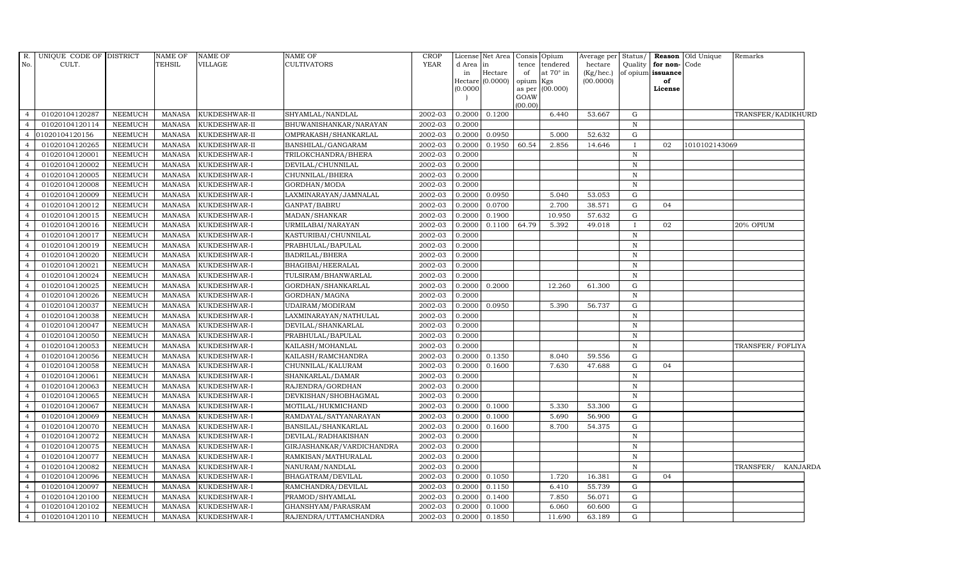| R.             | UNIQUE CODE OF DISTRICT |                | NAME OF       | NAME OF       | <b>NAME OF</b>            | <b>CROP</b> |                 | License Net Area |             | Consis Opium                 | Average per Status/     |              |                                              | <b>Reason</b> Old Unique | Remarks            |                 |
|----------------|-------------------------|----------------|---------------|---------------|---------------------------|-------------|-----------------|------------------|-------------|------------------------------|-------------------------|--------------|----------------------------------------------|--------------------------|--------------------|-----------------|
| No.            | CULT.                   |                | <b>TEHSIL</b> | VILLAGE       | <b>CULTIVATORS</b>        | <b>YEAR</b> | d Area in<br>in | Hectare          | tence<br>of | tendered<br>at $70^\circ$ in | hectare<br>$(Kg/$ hec.) |              | Quality   for non- Code<br>of opium issuance |                          |                    |                 |
|                |                         |                |               |               |                           |             |                 | Hectare (0.0000) | opium Kgs   |                              | (00.0000)               |              | of                                           |                          |                    |                 |
|                |                         |                |               |               |                           |             | (0.0000)        |                  |             | as per (00.000)              |                         |              | License                                      |                          |                    |                 |
|                |                         |                |               |               |                           |             |                 |                  | GOAW        |                              |                         |              |                                              |                          |                    |                 |
| $\overline{4}$ | 01020104120287          | <b>NEEMUCH</b> | MANASA        | KUKDESHWAR-II | SHYAMLAL/NANDLAL          | 2002-03     | 0.2000          | 0.1200           | (00.00)     | 6.440                        | 53.667                  | G            |                                              |                          | TRANSFER/KADIKHURD |                 |
| $\overline{4}$ | 01020104120114          | <b>NEEMUCH</b> | MANASA        | KUKDESHWAR-II | BHUWANISHANKAR/NARAYAN    | 2002-03     | 0.2000          |                  |             |                              |                         | $\mathbb N$  |                                              |                          |                    |                 |
|                | 01020104120156          | <b>NEEMUCH</b> | MANASA        | KUKDESHWAR-II | OMPRAKASH/SHANKARLAL      | 2002-03     | 0.2000          | 0.0950           |             | 5.000                        | 52.632                  | G            |                                              |                          |                    |                 |
|                | 01020104120265          | <b>NEEMUCH</b> | <b>MANASA</b> | KUKDESHWAR-II | BANSHILAL/GANGARAM        | 2002-03     | 0.2000          | 0.1950           | 60.54       | 2.856                        | 14.646                  | $\mathbf{I}$ | 02                                           | 1010102143069            |                    |                 |
|                | 01020104120001          | <b>NEEMUCH</b> | <b>MANASA</b> | KUKDESHWAR-I  | TRILOKCHANDRA/BHERA       | 2002-03     | 0.2000          |                  |             |                              |                         | $\mathbb N$  |                                              |                          |                    |                 |
| $\overline{4}$ | 01020104120002          | <b>NEEMUCH</b> | <b>MANASA</b> | KUKDESHWAR-I  | DEVILAL/CHUNNILAL         | 2002-03     | 0.2000          |                  |             |                              |                         | $\mathbf N$  |                                              |                          |                    |                 |
| $\overline{4}$ | 01020104120005          | <b>NEEMUCH</b> | MANASA        | KUKDESHWAR-I  | CHUNNILAL/BHERA           | 2002-03     | 0.2000          |                  |             |                              |                         | $\mathbb N$  |                                              |                          |                    |                 |
|                | 01020104120008          | <b>NEEMUCH</b> | <b>MANASA</b> | KUKDESHWAR-I  | GORDHAN/MODA              | 2002-03     | 0.2000          |                  |             |                              |                         | N            |                                              |                          |                    |                 |
|                | 01020104120009          | <b>NEEMUCH</b> | <b>MANASA</b> | KUKDESHWAR-I  | LAXMINARAYAN/JAMNALAL     | 2002-03     | 0.2000          | 0.0950           |             | 5.040                        | 53.053                  | G            |                                              |                          |                    |                 |
|                | 01020104120012          | NEEMUCH        | <b>MANASA</b> | KUKDESHWAR-I  | GANPAT/BABRU              | 2002-03     | 0.2000          | 0.0700           |             | 2.700                        | 38.571                  | ${\rm G}$    | 04                                           |                          |                    |                 |
| $\overline{4}$ | 01020104120015          | <b>NEEMUCH</b> | <b>MANASA</b> | KUKDESHWAR-I  | MADAN/SHANKAR             | 2002-03     | 0.2000          | 0.1900           |             | 10.950                       | 57.632                  | G            |                                              |                          |                    |                 |
| $\overline{4}$ | 01020104120016          | <b>NEEMUCH</b> | <b>MANASA</b> | KUKDESHWAR-I  | URMILABAI/NARAYAN         | 2002-03     | 0.2000          | 0.1100           | 64.79       | 5.392                        | 49.018                  | $\mathbf{I}$ | 02                                           |                          | 20% OPIUM          |                 |
| $\overline{4}$ | 01020104120017          | <b>NEEMUCH</b> | <b>MANASA</b> | KUKDESHWAR-I  | KASTURIBAI/CHUNNILAL      | 2002-03     | 0.2000          |                  |             |                              |                         | $\mathbf N$  |                                              |                          |                    |                 |
|                | 01020104120019          | <b>NEEMUCH</b> | <b>MANASA</b> | KUKDESHWAR-I  | PRABHULAL/BAPULAL         | 2002-03     | 0.2000          |                  |             |                              |                         | $\mathbf N$  |                                              |                          |                    |                 |
|                | 01020104120020          | <b>NEEMUCH</b> | <b>MANASA</b> | KUKDESHWAR-I  | <b>BADRILAL/BHERA</b>     | 2002-03     | 0.2000          |                  |             |                              |                         | $\, {\bf N}$ |                                              |                          |                    |                 |
| $\overline{4}$ | 01020104120021          | <b>NEEMUCH</b> | <b>MANASA</b> | KUKDESHWAR-I  | BHAGIBAI/HEERALAL         | 2002-03     | 0.2000          |                  |             |                              |                         | $\mathbf N$  |                                              |                          |                    |                 |
| $\overline{4}$ | 01020104120024          | <b>NEEMUCH</b> | <b>MANASA</b> | KUKDESHWAR-I  | TULSIRAM/BHANWARLAL       | 2002-03     | 0.2000          |                  |             |                              |                         | $\mathbb N$  |                                              |                          |                    |                 |
| $\overline{4}$ | 01020104120025          | NEEMUCH        | <b>MANASA</b> | KUKDESHWAR-I  | GORDHAN/SHANKARLAL        | 2002-03     | 0.2000          | 0.2000           |             | 12.260                       | 61.300                  | G            |                                              |                          |                    |                 |
|                | 01020104120026          | <b>NEEMUCH</b> | <b>MANASA</b> | KUKDESHWAR-I  | GORDHAN/MAGNA             | 2002-03     | 0.2000          |                  |             |                              |                         | ${\bf N}$    |                                              |                          |                    |                 |
|                | 01020104120037          | <b>NEEMUCH</b> | <b>MANASA</b> | KUKDESHWAR-I  | UDAIRAM/MODIRAM           | 2002-03     | 0.2000          | 0.0950           |             | 5.390                        | 56.737                  | G            |                                              |                          |                    |                 |
|                | 01020104120038          | <b>NEEMUCH</b> | <b>MANASA</b> | KUKDESHWAR-I  | LAXMINARAYAN/NATHULAL     | 2002-03     | 0.2000          |                  |             |                              |                         | $\mathbf N$  |                                              |                          |                    |                 |
| $\overline{4}$ | 01020104120047          | <b>NEEMUCH</b> | <b>MANASA</b> | KUKDESHWAR-I  | DEVILAL/SHANKARLAL        | 2002-03     | 0.2000          |                  |             |                              |                         | $\mathbb N$  |                                              |                          |                    |                 |
| $\overline{4}$ | 01020104120050          | NEEMUCH        | MANASA        | KUKDESHWAR-I  | PRABHULAL/BAPULAL         | 2002-03     | 0.2000          |                  |             |                              |                         | $\mathbf N$  |                                              |                          |                    |                 |
|                | 01020104120053          | <b>NEEMUCH</b> | <b>MANASA</b> | KUKDESHWAR-I  | KAILASH/MOHANLAL          | 2002-03     | 0.2000          |                  |             |                              |                         | $\mathbf N$  |                                              |                          | TRANSFER/FOFLIYA   |                 |
|                | 01020104120056          | <b>NEEMUCH</b> | <b>MANASA</b> | KUKDESHWAR-I  | KAILASH/RAMCHANDRA        | 2002-03     | 0.2000          | 0.1350           |             | 8.040                        | 59.556                  | G            |                                              |                          |                    |                 |
|                | 01020104120058          | <b>NEEMUCH</b> | <b>MANASA</b> | KUKDESHWAR-I  | CHUNNILAL/KALURAM         | 2002-03     | 0.2000          | 0.1600           |             | 7.630                        | 47.688                  | G            | 04                                           |                          |                    |                 |
| $\overline{4}$ | 01020104120061          | <b>NEEMUCH</b> | <b>MANASA</b> | KUKDESHWAR-I  | SHANKARLAL/DAMAR          | 2002-03     | 0.2000          |                  |             |                              |                         | $\mathbb N$  |                                              |                          |                    |                 |
| $\overline{4}$ | 01020104120063          | <b>NEEMUCH</b> | MANASA        | KUKDESHWAR-I  | RAJENDRA/GORDHAN          | 2002-03     | 0.2000          |                  |             |                              |                         | N            |                                              |                          |                    |                 |
|                | 01020104120065          | <b>NEEMUCH</b> | <b>MANASA</b> | KUKDESHWAR-I  | DEVKISHAN/SHOBHAGMAL      | 2002-03     | 0.2000          |                  |             |                              |                         | $\mathbf N$  |                                              |                          |                    |                 |
|                | 01020104120067          | <b>NEEMUCH</b> | <b>MANASA</b> | KUKDESHWAR-I  | MOTILAL/HUKMICHAND        | 2002-03     | 0.2000          | 0.1000           |             | 5.330                        | 53.300                  | G            |                                              |                          |                    |                 |
|                | 01020104120069          | <b>NEEMUCH</b> | MANASA        | KUKDESHWAR-I  | RAMDAYAL/SATYANARAYAN     | 2002-03     | 0.2000          | 0.1000           |             | 5.690                        | 56.900                  | G            |                                              |                          |                    |                 |
| $\overline{a}$ | 01020104120070          | <b>NEEMUCH</b> | <b>MANASA</b> | KUKDESHWAR-I  | BANSILAL/SHANKARLAL       | 2002-03     | 0.2000          | 0.1600           |             | 8.700                        | 54.375                  | G            |                                              |                          |                    |                 |
| $\overline{4}$ | 01020104120072          | <b>NEEMUCH</b> | <b>MANASA</b> | KUKDESHWAR-I  | DEVILAL/RADHAKISHAN       | 2002-03     | 0.2000          |                  |             |                              |                         | N            |                                              |                          |                    |                 |
|                | 01020104120075          | <b>NEEMUCH</b> | <b>MANASA</b> | KUKDESHWAR-I  | GIRJASHANKAR/VARDICHANDRA | 2002-03     | 0.2000          |                  |             |                              |                         | $\, {\bf N}$ |                                              |                          |                    |                 |
|                | 01020104120077          | <b>NEEMUCH</b> | <b>MANASA</b> | KUKDESHWAR-I  | RAMKISAN/MATHURALAL       | 2002-03     | 0.2000          |                  |             |                              |                         | $\, {\bf N}$ |                                              |                          |                    |                 |
|                | 01020104120082          | <b>NEEMUCH</b> | MANASA        | KUKDESHWAR-I  | NANURAM/NANDLAL           | 2002-03     | 0.2000          |                  |             |                              |                         | $\, {\rm N}$ |                                              |                          | TRANSFER/          | <b>KANJARDA</b> |
| $\overline{a}$ | 01020104120096          | <b>NEEMUCH</b> | <b>MANASA</b> | KUKDESHWAR-I  | BHAGATRAM/DEVILAL         | 2002-03     | 0.2000          | 0.1050           |             | 1.720                        | 16.381                  | G            | 04                                           |                          |                    |                 |
| $\overline{4}$ | 01020104120097          | <b>NEEMUCH</b> | MANASA        | KUKDESHWAR-I  | RAMCHANDRA/DEVILAL        | 2002-03     | 0.2000          | 0.1150           |             | 6.410                        | 55.739                  | G            |                                              |                          |                    |                 |
| $\Delta$       | 01020104120100          | <b>NEEMUCH</b> | <b>MANASA</b> | KUKDESHWAR-I  | PRAMOD/SHYAMLAL           | 2002-03     | 0.2000          | 0.1400           |             | 7.850                        | 56.071                  | G            |                                              |                          |                    |                 |
|                | 01020104120102          | <b>NEEMUCH</b> | <b>MANASA</b> | KUKDESHWAR-I  | GHANSHYAM/PARASRAM        | 2002-03     | 0.2000          | 0.1000           |             | 6.060                        | 60.600                  | G            |                                              |                          |                    |                 |
| $\overline{4}$ | 01020104120110          | <b>NEEMUCH</b> | MANASA        | KUKDESHWAR-I  | RAJENDRA/UTTAMCHANDRA     | 2002-03     | 0.2000          | 0.1850           |             | 11.690                       | 63.189                  | G            |                                              |                          |                    |                 |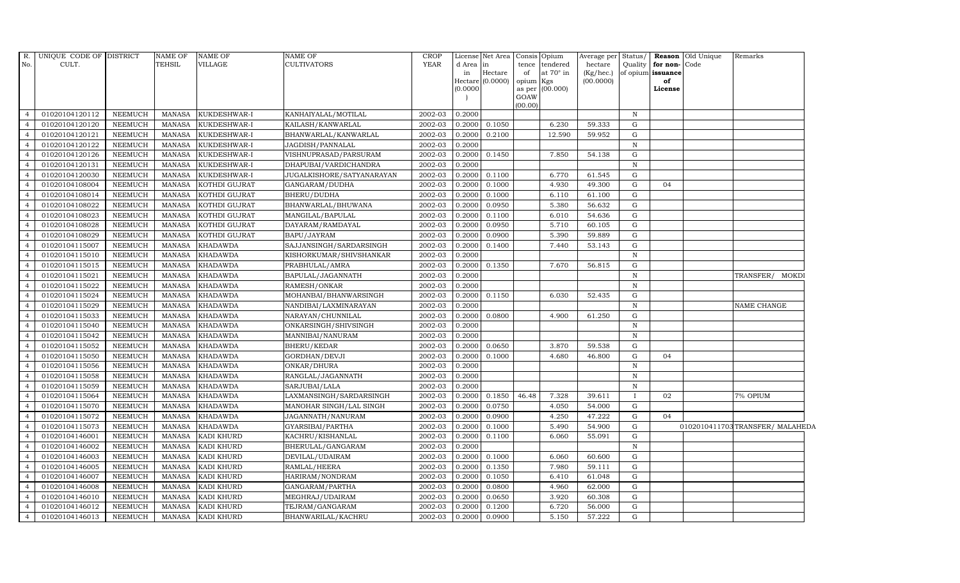| R.<br>No.                        | UNIQUE CODE OF DISTRICT<br>CULT. |                                  | <b>NAME OF</b><br><b>TEHSIL</b> | <b>NAME OF</b><br>VILLAGE | NAME OF<br><b>CULTIVATORS</b>        | <b>CROP</b><br><b>YEAR</b> |                  | License Net Area<br>in |           | Consis Opium                | Average per          | Status/<br>Quality | for non-Code      | Reason Old Unique | Remarks                        |
|----------------------------------|----------------------------------|----------------------------------|---------------------------------|---------------------------|--------------------------------------|----------------------------|------------------|------------------------|-----------|-----------------------------|----------------------|--------------------|-------------------|-------------------|--------------------------------|
|                                  |                                  |                                  |                                 |                           |                                      |                            | d Area<br>in     | Hectare                | of        | tence tendered<br>at 70° in | hectare<br>(Kg/hec.) |                    | of opium issuance |                   |                                |
|                                  |                                  |                                  |                                 |                           |                                      |                            |                  | Hectare (0.0000)       | opium Kgs |                             | (00.0000)            |                    | of                |                   |                                |
|                                  |                                  |                                  |                                 |                           |                                      |                            | (0.0000)         |                        | GOAW      | as per (00.000)             |                      |                    | License           |                   |                                |
|                                  |                                  |                                  |                                 |                           |                                      |                            |                  |                        | (00.00)   |                             |                      |                    |                   |                   |                                |
| $\overline{4}$                   | 01020104120112                   | <b>NEEMUCH</b>                   | MANASA                          | KUKDESHWAR-I              | KANHAIYALAL/MOTILAL                  | 2002-03                    | 0.2000           |                        |           |                             |                      | $\mathbf N$        |                   |                   |                                |
| $\overline{4}$                   | 01020104120120                   | <b>NEEMUCH</b>                   | <b>MANASA</b>                   | KUKDESHWAR-I              | KAILASH/KANWARLAL                    | 2002-03                    | 0.2000           | 0.1050                 |           | 6.230                       | 59.333               | ${\rm G}$          |                   |                   |                                |
|                                  | 01020104120121                   | <b>NEEMUCH</b>                   | <b>MANASA</b>                   | KUKDESHWAR-I              | BHANWARLAL/KANWARLAL                 | 2002-03                    | 0.2000           | 0.2100                 |           | 12.590                      | 59.952               | G                  |                   |                   |                                |
|                                  | 01020104120122                   | <b>NEEMUCH</b>                   | <b>MANASA</b>                   | KUKDESHWAR-I              | JAGDISH/PANNALAL                     | 2002-03                    | 0.2000           |                        |           |                             |                      | $\mathbf N$        |                   |                   |                                |
| $\overline{4}$                   | 01020104120126                   | <b>NEEMUCH</b>                   | <b>MANASA</b>                   | KUKDESHWAR-I              | VISHNUPRASAD/PARSURAM                | 2002-03                    | 0.2000           | 0.1450                 |           | 7.850                       | 54.138               | G                  |                   |                   |                                |
| $\overline{4}$                   | 01020104120131                   | <b>NEEMUCH</b>                   | <b>MANASA</b>                   | KUKDESHWAR-I              | DHAPUBAI/VARDICHANDRA                | 2002-03                    | 0.2000           |                        |           |                             |                      | $\mathbb N$        |                   |                   |                                |
| $\overline{4}$                   | 01020104120030                   | <b>NEEMUCH</b>                   | <b>MANASA</b>                   | KUKDESHWAR-I              | <b>JUGALKISHORE/SATYANARAYAN</b>     | 2002-03                    | 0.2000           | 0.1100                 |           | 6.770                       | 61.545               | ${\rm G}$          |                   |                   |                                |
| $\overline{4}$                   | 01020104108004                   | <b>NEEMUCH</b>                   | <b>MANASA</b>                   | KOTHDI GUJRAT             | GANGARAM/DUDHA                       | 2002-03                    | 0.2000           | 0.1000                 |           | 4.930                       | 49.300               | $\mathbf G$        | 04                |                   |                                |
|                                  | 01020104108014                   | <b>NEEMUCH</b>                   | <b>MANASA</b>                   | KOTHDI GUJRAT             | BHERU/DUDHA                          | 2002-03                    | 0.2000           | 0.1000                 |           | 6.110                       | 61.100               | G                  |                   |                   |                                |
| $\overline{4}$                   | 01020104108022                   | <b>NEEMUCH</b>                   | <b>MANASA</b>                   | KOTHDI GUJRAT             | BHANWARLAL/BHUWANA                   | 2002-03                    | 0.2000           | 0.0950                 |           | 5.380                       | 56.632               | G                  |                   |                   |                                |
| $\overline{4}$                   | 01020104108023                   | <b>NEEMUCH</b>                   | <b>MANASA</b>                   | KOTHDI GUJRAT             | MANGILAL/BAPULAL                     | 2002-03                    | 0.2000           | 0.1100                 |           | 6.010                       | 54.636               | G                  |                   |                   |                                |
| $\overline{4}$                   | 01020104108028                   | <b>NEEMUCH</b>                   | <b>MANASA</b>                   | KOTHDI GUJRAT             | DAYARAM/RAMDAYAL                     | 2002-03                    | 0.2000           | 0.0950                 |           | 5.710                       | 60.105               | G                  |                   |                   |                                |
| $\overline{a}$                   | 01020104108029                   | <b>NEEMUCH</b>                   | <b>MANASA</b>                   | KOTHDI GUJRAT             | BAPU/JAYRAM                          | 2002-03                    | 0.2000           | 0.0900                 |           | 5.390                       | 59.889               | G                  |                   |                   |                                |
|                                  | 01020104115007                   | <b>NEEMUCH</b>                   | <b>MANASA</b>                   | <b>KHADAWDA</b>           | SAJJANSINGH/SARDARSINGH              | 2002-03                    | 0.2000           | 0.1400                 |           | 7.440                       | 53.143               | G                  |                   |                   |                                |
| 4                                | 01020104115010                   | <b>NEEMUCH</b>                   | <b>MANASA</b>                   | KHADAWDA                  | KISHORKUMAR/SHIVSHANKAR              | 2002-03                    | 0.2000           |                        |           |                             |                      | N                  |                   |                   |                                |
| $\overline{4}$                   | 01020104115015                   | <b>NEEMUCH</b>                   | <b>MANASA</b>                   | <b>KHADAWDA</b>           | PRABHULAL/AMRA                       | 2002-03                    | 0.2000           | 0.1350                 |           | 7.670                       | 56.815               | G                  |                   |                   |                                |
| $\overline{4}$                   | 01020104115021                   | <b>NEEMUCH</b>                   | <b>MANASA</b>                   | <b>KHADAWDA</b>           | BAPULAL/JAGANNATH                    | 2002-03                    | 0.2000           |                        |           |                             |                      | $\mathbf N$        |                   |                   | TRANSFER/ MOKDI                |
| $\overline{4}$                   | 01020104115022                   | <b>NEEMUCH</b>                   | <b>MANASA</b>                   | <b>KHADAWDA</b>           | RAMESH/ONKAR                         | 2002-03                    | 0.2000           |                        |           |                             |                      | $\,$ N             |                   |                   |                                |
| $\overline{a}$                   | 01020104115024                   | <b>NEEMUCH</b>                   | <b>MANASA</b>                   | <b>KHADAWDA</b>           | MOHANBAI/BHANWARSINGH                | 2002-03                    | 0.2000           | 0.1150                 |           | 6.030                       | 52.435               | G                  |                   |                   |                                |
|                                  | 01020104115029                   | <b>NEEMUCH</b>                   | <b>MANASA</b>                   | <b>KHADAWDA</b>           | NANDIBAI/LAXMINARAYAN                | 2002-03                    | 0.2000           |                        |           |                             |                      | $\, {\bf N}$       |                   |                   | NAME CHANGE                    |
| $\overline{4}$                   | 01020104115033                   | <b>NEEMUCH</b>                   | <b>MANASA</b>                   | <b>KHADAWDA</b>           | NARAYAN/CHUNNILAL                    | 2002-03                    | 0.2000           | 0.0800                 |           | 4.900                       | 61.250               | G                  |                   |                   |                                |
| $\overline{4}$                   | 01020104115040                   | <b>NEEMUCH</b>                   | <b>MANASA</b>                   | <b>KHADAWDA</b>           | ONKARSINGH/SHIVSINGH                 | 2002-03                    | 0.2000           |                        |           |                             |                      | $\, {\rm N}$       |                   |                   |                                |
| $\overline{4}$                   | 01020104115042                   | <b>NEEMUCH</b>                   | <b>MANASA</b>                   | <b>KHADAWDA</b>           | MANNIBAI/NANURAM                     | 2002-03                    | 0.2000           |                        |           |                             |                      | $\, {\bf N}$       |                   |                   |                                |
| $\overline{4}$                   | 01020104115052                   | <b>NEEMUCH</b>                   | <b>MANASA</b>                   | <b>KHADAWDA</b>           | BHERU/KEDAR                          | 2002-03                    | 0.2000           | 0.0650                 |           | 3.870                       | 59.538               | G                  |                   |                   |                                |
|                                  | 01020104115050                   | <b>NEEMUCH</b>                   | <b>MANASA</b>                   | KHADAWDA                  | GORDHAN/DEVJI                        | 2002-03                    | 0.2000           | 0.1000                 |           | 4.680                       | 46.800               | G                  | 04                |                   |                                |
| 4                                | 01020104115056                   | <b>NEEMUCH</b>                   | <b>MANASA</b>                   | <b>KHADAWDA</b>           | ONKAR/DHURA                          | 2002-03                    | 0.2000           |                        |           |                             |                      | $\, {\bf N}$       |                   |                   |                                |
| $\overline{4}$                   | 01020104115058                   | <b>NEEMUCH</b>                   | <b>MANASA</b>                   | <b>KHADAWDA</b>           | RANGLAL/JAGANNATH                    | 2002-03                    | 0.2000           |                        |           |                             |                      | $\, {\rm N}$       |                   |                   |                                |
| $\overline{4}$                   | 01020104115059                   | <b>NEEMUCH</b>                   | <b>MANASA</b>                   | <b>KHADAWDA</b>           | SARJUBAI/LALA                        | 2002-03                    | 0.2000           |                        |           |                             |                      | $\, {\bf N}$       |                   |                   |                                |
| $\overline{a}$                   | 01020104115064                   | <b>NEEMUCH</b>                   | <b>MANASA</b>                   | <b>KHADAWDA</b>           | LAXMANSINGH/SARDARSINGH              | 2002-03                    | 0.2000           | 0.1850                 | 46.48     | 7.328                       | 39.611               | $\bf{I}$           | 02                |                   | 7% OPIUM                       |
|                                  | 01020104115070                   | <b>NEEMUCH</b>                   | <b>MANASA</b>                   | <b>KHADAWDA</b>           | MANOHAR SINGH/LAL SINGH              | 2002-03                    | 0.2000           | 0.0750                 |           | 4.050                       | 54.000               | G                  |                   |                   |                                |
| $\overline{4}$                   | 01020104115072                   | <b>NEEMUCH</b>                   | <b>MANASA</b>                   | KHADAWDA                  | JAGANNATH/NANURAM                    | 2002-03<br>2002-03         | 0.2000           | 0.0900                 |           | 4.250<br>5.490              | 47.222               | G                  | 04                |                   |                                |
| $\overline{4}$<br>$\overline{4}$ | 01020104115073<br>01020104146001 | <b>NEEMUCH</b>                   | <b>MANASA</b>                   | <b>KHADAWDA</b>           | GYARSIBAI/PARTHA                     |                            | 0.2000           | 0.1000                 |           |                             | 54.900               | G                  |                   |                   | 0102010411703TRANSFER/MALAHEDA |
| $\overline{4}$                   | 01020104146002                   | <b>NEEMUCH</b>                   | <b>MANASA</b><br><b>MANASA</b>  | KADI KHURD<br>KADI KHURD  | KACHRU/KISHANLAL                     | 2002-03<br>2002-03         | 0.2000<br>0.2000 | 0.1100                 |           | 6.060                       | 55.091               | G<br>$\mathbf N$   |                   |                   |                                |
|                                  | 01020104146003                   | <b>NEEMUCH</b><br><b>NEEMUCH</b> | <b>MANASA</b>                   | KADI KHURD                | BHERULAL/GANGARAM<br>DEVILAL/UDAIRAM | 2002-03                    | 0.2000           | 0.1000                 |           | 6.060                       | 60.600               | G                  |                   |                   |                                |
|                                  |                                  |                                  |                                 |                           |                                      |                            |                  |                        |           |                             |                      | G                  |                   |                   |                                |
| $\overline{4}$                   | 01020104146005<br>01020104146007 | <b>NEEMUCH</b><br><b>NEEMUCH</b> | <b>MANASA</b><br><b>MANASA</b>  | KADI KHURD<br>KADI KHURD  | RAMLAL/HEERA                         | 2002-03<br>2002-03         | 0.2000<br>0.2000 | 0.1350<br>0.1050       |           | 7.980<br>6.410              | 59.111<br>61.048     | G                  |                   |                   |                                |
| $\overline{4}$<br>$\overline{4}$ | 01020104146008                   | <b>NEEMUCH</b>                   |                                 |                           | HARIRAM/NONDRAM                      | 2002-03                    | 0.2000           | 0.0800                 |           |                             | 62.000               | G                  |                   |                   |                                |
| $\overline{4}$                   | 01020104146010                   | <b>NEEMUCH</b>                   | <b>MANASA</b><br><b>MANASA</b>  | KADI KHURD<br>KADI KHURD  | GANGARAM/PARTHA                      | 2002-03                    | 0.2000           | 0.0650                 |           | 4.960<br>3.920              | 60.308               | G                  |                   |                   |                                |
| $\overline{4}$                   | 01020104146012                   | <b>NEEMUCH</b>                   | <b>MANASA</b>                   | KADI KHURD                | MEGHRAJ/UDAIRAM<br>TEJRAM/GANGARAM   | 2002-03                    | 0.2000           | 0.1200                 |           | 6.720                       | 56.000               | G                  |                   |                   |                                |
|                                  | 01020104146013                   | <b>NEEMUCH</b>                   | MANASA                          |                           |                                      | 2002-03                    | 0.2000           | 0.0900                 |           | 5.150                       | 57.222               | G                  |                   |                   |                                |
| $\overline{4}$                   |                                  |                                  |                                 | KADI KHURD                | BHANWARILAL/KACHRU                   |                            |                  |                        |           |                             |                      |                    |                   |                   |                                |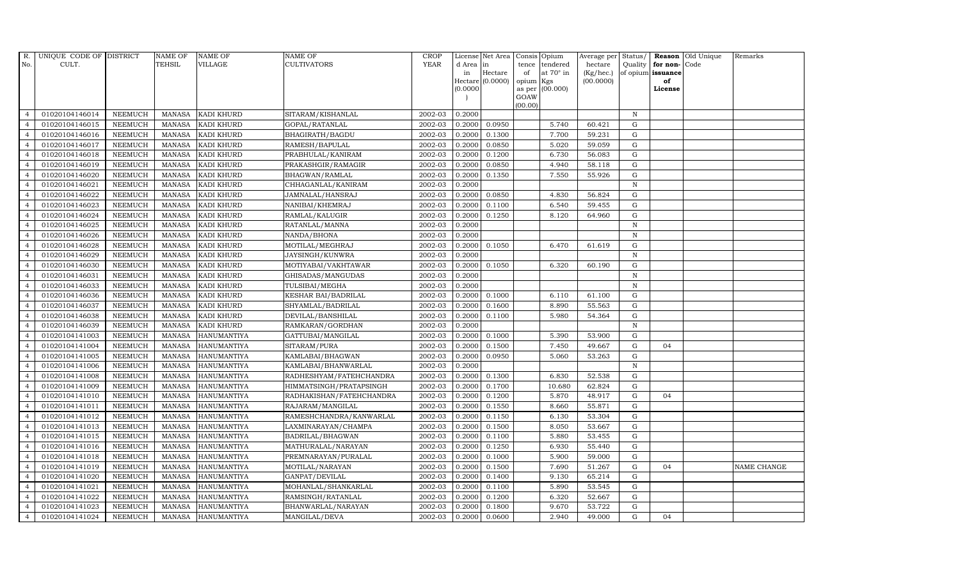| R.             | UNIQUE CODE OF DISTRICT |                | <b>NAME OF</b> | <b>NAME OF</b>     | <b>NAME OF</b>           | <b>CROP</b> |           | License Net Area   |           | Consis Opium     | Average per Status/ |              |                      | Reason Old Unique | Remarks     |
|----------------|-------------------------|----------------|----------------|--------------------|--------------------------|-------------|-----------|--------------------|-----------|------------------|---------------------|--------------|----------------------|-------------------|-------------|
| No.            | CULT.                   |                | <b>TEHSIL</b>  | VILLAGE            | <b>CULTIVATORS</b>       | <b>YEAR</b> | d Area in |                    | tence     | tendered         | hectare             |              | Quality $ $ for non- | Code              |             |
|                |                         |                |                |                    |                          |             | in        | Hectare            | of        | at $70^\circ$ in | (Kg/hec.)           |              | of opium issuance    |                   |             |
|                |                         |                |                |                    |                          |             |           | Hectare $(0.0000)$ | opium Kgs |                  | (00.0000)           |              | of                   |                   |             |
|                |                         |                |                |                    |                          |             | (0.0000)  |                    | GOAW      | as per (00.000)  |                     |              | License              |                   |             |
|                |                         |                |                |                    |                          |             |           |                    | (00.00)   |                  |                     |              |                      |                   |             |
| $\overline{4}$ | 01020104146014          | <b>NEEMUCH</b> |                | MANASA KADI KHURD  | SITARAM/KISHANLAL        | 2002-03     | 0.2000    |                    |           |                  |                     | N            |                      |                   |             |
| $\overline{a}$ | 01020104146015          | <b>NEEMUCH</b> | MANASA         | <b>KADI KHURD</b>  | GOPAL/RATANLAL           | 2002-03     | 0.2000    | 0.0950             |           | 5.740            | 60.421              | $\mathbf G$  |                      |                   |             |
| $\overline{4}$ | 01020104146016          | <b>NEEMUCH</b> | MANASA         | <b>KADI KHURD</b>  | BHAGIRATH/BAGDU          | 2002-03     | 0.2000    | 0.1300             |           | 7.700            | 59.231              | G            |                      |                   |             |
|                | 01020104146017          | <b>NEEMUCH</b> | MANASA         | <b>KADI KHURD</b>  | RAMESH/BAPULAL           | 2002-03     | 0.2000    | 0.0850             |           | 5.020            | 59.059              | G            |                      |                   |             |
| $\overline{4}$ | 01020104146018          | <b>NEEMUCH</b> | MANASA         | KADI KHURD         | PRABHULAL/KANIRAM        | 2002-03     | 0.2000    | 0.1200             |           | 6.730            | 56.083              | G            |                      |                   |             |
| $\overline{4}$ | 01020104146019          | <b>NEEMUCH</b> | MANASA         | <b>KADI KHURD</b>  | PRAKASHGIR/RAMAGIR       | 2002-03     | 0.2000    | 0.0850             |           | 4.940            | 58.118              | G            |                      |                   |             |
| $\overline{4}$ | 01020104146020          | <b>NEEMUCH</b> | MANASA         | KADI KHURD         | BHAGWAN/RAMLAL           | 2002-03     | 0.2000    | 0.1350             |           | 7.550            | 55.926              | ${\rm G}$    |                      |                   |             |
| $\overline{4}$ | 01020104146021          | <b>NEEMUCH</b> | <b>MANASA</b>  | KADI KHURD         | CHHAGANLAL/KANIRAM       | 2002-03     | 0.2000    |                    |           |                  |                     | $\mathbf N$  |                      |                   |             |
| $\overline{4}$ | 01020104146022          | <b>NEEMUCH</b> | MANASA         | <b>KADI KHURD</b>  | JAMNALAL/HANSRAJ         | 2002-03     | 0.2000    | 0.0850             |           | 4.830            | 56.824              | G            |                      |                   |             |
| $\overline{4}$ | 01020104146023          | <b>NEEMUCH</b> | <b>MANASA</b>  | KADI KHURD         | NANIBAI/KHEMRAJ          | 2002-03     | 0.2000    | 0.1100             |           | 6.540            | 59.455              | G            |                      |                   |             |
| $\overline{4}$ | 01020104146024          | <b>NEEMUCH</b> | <b>MANASA</b>  | KADI KHURD         | RAMLAL/KALUGIR           | 2002-03     | 0.2000    | 0.1250             |           | 8.120            | 64.960              | G            |                      |                   |             |
| $\overline{4}$ | 01020104146025          | <b>NEEMUCH</b> | MANASA         | <b>KADI KHURD</b>  | RATANLAL/MANNA           | 2002-03     | 0.2000    |                    |           |                  |                     | $\, {\rm N}$ |                      |                   |             |
| $\overline{4}$ | 01020104146026          | <b>NEEMUCH</b> | MANASA         | KADI KHURD         | NANDA/BHONA              | 2002-03     | 0.2000    |                    |           |                  |                     | $\mathbf N$  |                      |                   |             |
| $\overline{4}$ | 01020104146028          | <b>NEEMUCH</b> | MANASA         | KADI KHURD         | MOTILAL/MEGHRAJ          | 2002-03     | 0.2000    | 0.1050             |           | 6.470            | 61.619              | G            |                      |                   |             |
| $\overline{4}$ | 01020104146029          | <b>NEEMUCH</b> | MANASA         | <b>KADI KHURD</b>  | JAYSINGH/KUNWRA          | 2002-03     | 0.2000    |                    |           |                  |                     | N            |                      |                   |             |
| $\overline{4}$ | 01020104146030          | <b>NEEMUCH</b> | MANASA         | <b>KADI KHURD</b>  | MOTIYABAI/VAKHTAWAR      | 2002-03     | 0.2000    | 0.1050             |           | 6.320            | 60.190              | G            |                      |                   |             |
| $\overline{4}$ | 01020104146031          | <b>NEEMUCH</b> | MANASA         | KADI KHURD         | GHISADAS/MANGUDAS        | 2002-03     | 0.2000    |                    |           |                  |                     | $\mathbf N$  |                      |                   |             |
| $\overline{4}$ | 01020104146033          | <b>NEEMUCH</b> | MANASA         | <b>KADI KHURD</b>  | TULSIBAI/MEGHA           | 2002-03     | 0.2000    |                    |           |                  |                     | N            |                      |                   |             |
| $\overline{4}$ | 01020104146036          | <b>NEEMUCH</b> | MANASA         | KADI KHURD         | KESHAR BAI/BADRILAL      | 2002-03     | 0.2000    | 0.1000             |           | 6.110            | 61.100              | G            |                      |                   |             |
| $\overline{4}$ | 01020104146037          | <b>NEEMUCH</b> | <b>MANASA</b>  | <b>KADI KHURD</b>  | SHYAMLAL/BADRILAL        | 2002-03     | 0.2000    | 0.1600             |           | 8.890            | 55.563              | G            |                      |                   |             |
| $\overline{4}$ | 01020104146038          | <b>NEEMUCH</b> | MANASA         | KADI KHURD         | DEVILAL/BANSHILAL        | 2002-03     | 0.2000    | 0.1100             |           | 5.980            | 54.364              | G            |                      |                   |             |
| $\overline{4}$ | 01020104146039          | <b>NEEMUCH</b> | MANASA         | KADI KHURD         | RAMKARAN/GORDHAN         | 2002-03     | 0.2000    |                    |           |                  |                     | $\, {\rm N}$ |                      |                   |             |
| $\overline{4}$ | 01020104141003          | <b>NEEMUCH</b> | MANASA         | <b>HANUMANTIYA</b> | GATTUBAI/MANGILAL        | 2002-03     | 0.2000    | 0.1000             |           | 5.390            | 53.900              | G            |                      |                   |             |
| $\overline{4}$ | 01020104141004          | <b>NEEMUCH</b> | <b>MANASA</b>  | <b>HANUMANTIYA</b> | SITARAM/PURA             | 2002-03     | 0.2000    | 0.1500             |           | 7.450            | 49.667              | $\mathbf G$  | 04                   |                   |             |
| $\overline{4}$ | 01020104141005          | <b>NEEMUCH</b> | <b>MANASA</b>  | HANUMANTIYA        | KAMLABAI/BHAGWAN         | 2002-03     | 0.2000    | 0.0950             |           | 5.060            | 53.263              | ${\rm G}$    |                      |                   |             |
| $\overline{4}$ | 01020104141006          | <b>NEEMUCH</b> | <b>MANASA</b>  | <b>HANUMANTIYA</b> | KAMLABAI/BHANWARLAL      | 2002-03     | 0.2000    |                    |           |                  |                     | N            |                      |                   |             |
| $\overline{4}$ | 01020104141008          | <b>NEEMUCH</b> | <b>MANASA</b>  | HANUMANTIYA        | RADHESHYAM/FATEHCHANDRA  | 2002-03     | 0.2000    | 0.1300             |           | 6.830            | 52.538              | G            |                      |                   |             |
| $\overline{4}$ | 01020104141009          | <b>NEEMUCH</b> | MANASA         | <b>HANUMANTIYA</b> | HIMMATSINGH/PRATAPSINGH  | 2002-03     | 0.2000    | 0.1700             |           | 10.680           | 62.824              | G            |                      |                   |             |
| $\overline{4}$ | 01020104141010          | <b>NEEMUCH</b> | MANASA         | <b>HANUMANTIYA</b> | RADHAKISHAN/FATEHCHANDRA | 2002-03     | 0.2000    | 0.1200             |           | 5.870            | 48.917              | $\mathbf G$  | 04                   |                   |             |
| $\overline{4}$ | 01020104141011          | <b>NEEMUCH</b> | MANASA         | <b>HANUMANTIYA</b> | RAJARAM / MANGILAL       | 2002-03     | 0.2000    | 0.1550             |           | 8.660            | 55.871              | $\mathbf G$  |                      |                   |             |
| $\overline{4}$ | 01020104141012          | <b>NEEMUCH</b> | MANASA         | HANUMANTIYA        | RAMESHCHANDRA/KANWARLAL  | 2002-03     | 0.2000    | 0.1150             |           | 6.130            | 53.304              | G            |                      |                   |             |
| $\overline{4}$ | 01020104141013          | <b>NEEMUCH</b> | MANASA         | <b>HANUMANTIYA</b> | LAXMINARAYAN/CHAMPA      | 2002-03     | 0.2000    | 0.1500             |           | 8.050            | 53.667              | G            |                      |                   |             |
| $\overline{4}$ | 01020104141015          | <b>NEEMUCH</b> | MANASA         | HANUMANTIYA        | BADRILAL/BHAGWAN         | 2002-03     | 0.2000    | 0.1100             |           | 5.880            | 53.455              | G            |                      |                   |             |
| $\overline{4}$ | 01020104141016          | <b>NEEMUCH</b> | MANASA         | <b>HANUMANTIYA</b> | MATHURALAL/NARAYAN       | 2002-03     | 0.2000    | 0.1250             |           | 6.930            | 55.440              | G            |                      |                   |             |
| $\overline{4}$ | 01020104141018          | <b>NEEMUCH</b> | <b>MANASA</b>  | <b>HANUMANTIYA</b> | PREMNARAYAN/PURALAL      | 2002-03     | 0.2000    | 0.1000             |           | 5.900            | 59.000              | $\mathbf G$  |                      |                   |             |
| $\overline{4}$ | 01020104141019          | <b>NEEMUCH</b> | MANASA         | <b>HANUMANTIYA</b> | MOTILAL/NARAYAN          | 2002-03     | 0.2000    | 0.1500             |           | 7.690            | 51.267              | G            | 04                   |                   | NAME CHANGE |
| $\overline{4}$ | 01020104141020          | <b>NEEMUCH</b> | MANASA         | <b>HANUMANTIYA</b> | GANPAT/DEVILAL           | 2002-03     | 0.2000    | 0.1400             |           | 9.130            | 65.214              | G            |                      |                   |             |
| $\overline{4}$ | 01020104141021          | <b>NEEMUCH</b> | MANASA         | <b>HANUMANTIYA</b> | MOHANLAL/SHANKARLAL      | 2002-03     | 0.2000    | 0.1100             |           | 5.890            | 53.545              | G            |                      |                   |             |
| $\overline{4}$ | 01020104141022          | <b>NEEMUCH</b> | <b>MANASA</b>  | <b>HANUMANTIYA</b> | RAMSINGH/RATANLAL        | 2002-03     | 0.2000    | 0.1200             |           | 6.320            | 52.667              | G            |                      |                   |             |
| $\overline{4}$ | 01020104141023          | <b>NEEMUCH</b> | <b>MANASA</b>  | <b>HANUMANTIYA</b> | BHANWARLAL/NARAYAN       | 2002-03     | 0.2000    | 0.1800             |           | 9.670            | 53.722              | $\mathbf G$  |                      |                   |             |
| $\overline{4}$ | 01020104141024          | <b>NEEMUCH</b> |                | MANASA HANUMANTIYA | MANGILAL/DEVA            | 2002-03     | 0.2000    | 0.0600             |           | 2.940            | 49.000              | G            | 04                   |                   |             |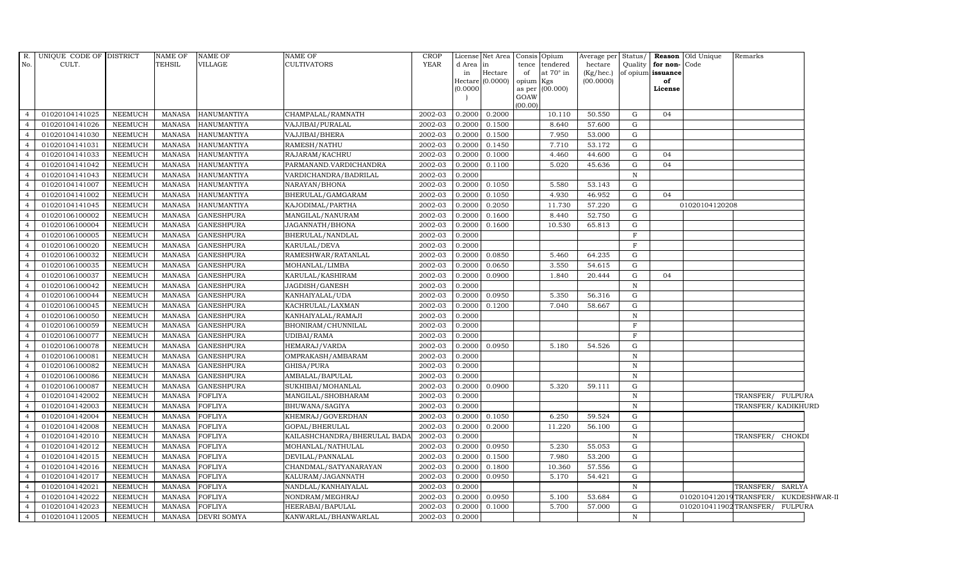| R.<br>No.      | UNIQUE CODE OF DISTRICT<br>CULT. |                | NAME OF<br>TEHSIL | <b>NAME OF</b><br>VILLAGE | <b>NAME OF</b><br>CULTIVATORS | <b>CROP</b><br>YEAR | d Area in<br>in<br>(0.0000) | License Net Area<br>Hectare<br>Hectare (0.0000) | of<br>opium Kgs<br>GOAW | Consis Opium<br>tence tendered<br>at $70^\circ$ in<br>as per (00.000) | Average per Status/<br>hectare<br>(Kg/hec.)<br>(00.0000) |              | Quality for non-Code<br>of opium issuance<br>of<br>License | Reason Old Unique      | Remarks           |                     |
|----------------|----------------------------------|----------------|-------------------|---------------------------|-------------------------------|---------------------|-----------------------------|-------------------------------------------------|-------------------------|-----------------------------------------------------------------------|----------------------------------------------------------|--------------|------------------------------------------------------------|------------------------|-------------------|---------------------|
|                |                                  |                |                   |                           |                               |                     |                             |                                                 | (00.00)                 |                                                                       |                                                          |              |                                                            |                        |                   |                     |
| $\overline{4}$ | 01020104141025                   | NEEMUCH        | MANASA            | HANUMANTIYA               | CHAMPALAL/RAMNATH             | 2002-03             | 0.2000                      | 0.2000                                          |                         | 10.110                                                                | 50.550                                                   | G            | 04                                                         |                        |                   |                     |
| $\overline{4}$ | 01020104141026                   | <b>NEEMUCH</b> | MANASA            | <b>HANUMANTIYA</b>        | VAJJIBAI/PURALAL              | 2002-03             | 0.2000                      | 0.1500                                          |                         | 8.640                                                                 | 57.600                                                   | G            |                                                            |                        |                   |                     |
| $\overline{4}$ | 01020104141030                   | <b>NEEMUCH</b> | <b>MANASA</b>     | <b>HANUMANTIYA</b>        | VAJJIBAI/BHERA                | 2002-03             | 0.2000                      | 0.1500                                          |                         | 7.950                                                                 | 53.000                                                   | G            |                                                            |                        |                   |                     |
|                | 01020104141031                   | <b>NEEMUCH</b> | <b>MANASA</b>     | <b>HANUMANTIYA</b>        | RAMESH/NATHU                  | 2002-03             | 0.2000                      | 0.1450                                          |                         | 7.710                                                                 | 53.172                                                   | G            |                                                            |                        |                   |                     |
| $\overline{4}$ | 01020104141033                   | <b>NEEMUCH</b> | <b>MANASA</b>     | <b>HANUMANTIYA</b>        | RAJARAM/KACHRU                | 2002-03             | 0.2000                      | 0.1000                                          |                         | 4.460                                                                 | 44.600                                                   | ${\rm G}$    | 04                                                         |                        |                   |                     |
| $\overline{4}$ | 01020104141042                   | <b>NEEMUCH</b> | <b>MANASA</b>     | HANUMANTIYA               | PARMANAND.VARDICHANDRA        | 2002-03             | 0.2000                      | 0.1100                                          |                         | 5.020                                                                 | 45.636                                                   | G            | 04                                                         |                        |                   |                     |
| $\overline{4}$ | 01020104141043                   | NEEMUCH        | <b>MANASA</b>     | HANUMANTIYA               | VARDICHANDRA/BADRILAL         | 2002-03             | 0.2000                      |                                                 |                         |                                                                       |                                                          | $\,$ N       |                                                            |                        |                   |                     |
| $\overline{4}$ | 01020104141007                   | NEEMUCH        | MANASA            | HANUMANTIYA               | NARAYAN/BHONA                 | 2002-03             | 0.2000                      | 0.1050                                          |                         | 5.580                                                                 | 53.143                                                   | G            |                                                            |                        |                   |                     |
| $\overline{4}$ | 01020104141002                   | <b>NEEMUCH</b> | <b>MANASA</b>     | <b>HANUMANTIYA</b>        | BHERULAL/GAMGARAM             | 2002-03             | 0.2000                      | 0.1050                                          |                         | 4.930                                                                 | 46.952                                                   | G            | 04                                                         |                        |                   |                     |
|                | 01020104141045                   | <b>NEEMUCH</b> | <b>MANASA</b>     | HANUMANTIYA               | KAJODIMAL/PARTHA              | 2002-03             | 0.2000                      | 0.2050                                          |                         | 11.730                                                                | 57.220                                                   | ${\rm G}$    |                                                            | 01020104120208         |                   |                     |
| $\overline{4}$ | 01020106100002                   | <b>NEEMUCH</b> | MANASA            | <b>GANESHPURA</b>         | MANGILAL/NANURAM              | 2002-03             | 0.2000                      | 0.1600                                          |                         | 8.440                                                                 | 52.750                                                   | G            |                                                            |                        |                   |                     |
| $\overline{4}$ | 01020106100004                   | <b>NEEMUCH</b> | MANASA            | <b>GANESHPURA</b>         | JAGANNATH/BHONA               | 2002-03             | 0.2000                      | 0.1600                                          |                         | 10.530                                                                | 65.813                                                   | G            |                                                            |                        |                   |                     |
| $\overline{4}$ | 01020106100005                   | <b>NEEMUCH</b> | <b>MANASA</b>     | <b>GANESHPURA</b>         | BHERULAL/NANDLAL              | 2002-03             | 0.2000                      |                                                 |                         |                                                                       |                                                          | $\mathbf{F}$ |                                                            |                        |                   |                     |
| $\overline{a}$ | 01020106100020                   | <b>NEEMUCH</b> | <b>MANASA</b>     | <b>GANESHPURA</b>         | KARULAL/DEVA                  | 2002-03             | 0.2000                      |                                                 |                         |                                                                       |                                                          | F            |                                                            |                        |                   |                     |
|                | 01020106100032                   | <b>NEEMUCH</b> | MANASA            | <b>GANESHPURA</b>         | RAMESHWAR/RATANLAL            | 2002-03             | 0.2000                      | 0.0850                                          |                         | 5.460                                                                 | 64.235                                                   | G            |                                                            |                        |                   |                     |
| $\overline{4}$ | 01020106100035                   | <b>NEEMUCH</b> | MANASA            | <b>GANESHPURA</b>         | MOHANLAL/LIMBA                | 2002-03             | 0.2000                      | 0.0650                                          |                         | 3.550                                                                 | 54.615                                                   | G            |                                                            |                        |                   |                     |
| $\overline{4}$ | 01020106100037                   | <b>NEEMUCH</b> | <b>MANASA</b>     | <b>GANESHPURA</b>         | KARULAL/KASHIRAM              | 2002-03             | 0.2000                      | 0.0900                                          |                         | 1.840                                                                 | 20.444                                                   | G            | 04                                                         |                        |                   |                     |
| $\overline{4}$ | 01020106100042                   | NEEMUCH        | MANASA            | <b>GANESHPURA</b>         | JAGDISH/GANESH                | 2002-03             | 0.2000                      |                                                 |                         |                                                                       |                                                          | $\mathbf N$  |                                                            |                        |                   |                     |
| $\overline{4}$ | 01020106100044                   | <b>NEEMUCH</b> | <b>MANASA</b>     | <b>GANESHPURA</b>         | KANHAIYALAL/UDA               | 2002-03             | 0.2000                      | 0.0950                                          |                         | 5.350                                                                 | 56.316                                                   | G            |                                                            |                        |                   |                     |
|                | 01020106100045                   | <b>NEEMUCH</b> | <b>MANASA</b>     | <b>GANESHPURA</b>         | KACHRULAL/LAXMAN              | 2002-03             | 0.2000                      | 0.1200                                          |                         | 7.040                                                                 | 58.667                                                   | G            |                                                            |                        |                   |                     |
| $\overline{4}$ | 01020106100050                   | NEEMUCH        | MANASA            | <b>GANESHPURA</b>         | KANHAIYALAL/RAMAJI            | 2002-03             | 0.2000                      |                                                 |                         |                                                                       |                                                          | $\, {\rm N}$ |                                                            |                        |                   |                     |
| $\overline{4}$ | 01020106100059                   | <b>NEEMUCH</b> | MANASA            | <b>GANESHPURA</b>         | BHONIRAM/CHUNNILAL            | 2002-03             | 0.2000                      |                                                 |                         |                                                                       |                                                          | $\mathbf{F}$ |                                                            |                        |                   |                     |
| $\overline{4}$ | 01020106100077                   | <b>NEEMUCH</b> | <b>MANASA</b>     | <b>GANESHPURA</b>         | UDIBAI/RAMA                   | 2002-03             | 0.2000                      |                                                 |                         |                                                                       |                                                          | $\mathbf{F}$ |                                                            |                        |                   |                     |
| $\overline{4}$ | 01020106100078                   | <b>NEEMUCH</b> | MANASA            | <b>GANESHPURA</b>         | HEMARAJ/VARDA                 | 2002-03             | 0.2000                      | 0.0950                                          |                         | 5.180                                                                 | 54.526                                                   | G            |                                                            |                        |                   |                     |
| $\overline{4}$ | 01020106100081                   | <b>NEEMUCH</b> | MANASA            | <b>GANESHPURA</b>         | OMPRAKASH/AMBARAM             | 2002-03             | 0.2000                      |                                                 |                         |                                                                       |                                                          | $\mathbf N$  |                                                            |                        |                   |                     |
|                | 01020106100082                   | <b>NEEMUCH</b> | <b>MANASA</b>     | <b>GANESHPURA</b>         | GHISA/PURA                    | 2002-03             | 0.2000                      |                                                 |                         |                                                                       |                                                          | $\mathbb N$  |                                                            |                        |                   |                     |
| $\overline{4}$ | 01020106100086                   | <b>NEEMUCH</b> | MANASA            | <b>GANESHPURA</b>         | AMBALAL/BAPULAL               | 2002-03             | 0.2000                      |                                                 |                         |                                                                       |                                                          | $\mathbf N$  |                                                            |                        |                   |                     |
| $\overline{4}$ | 01020106100087                   | <b>NEEMUCH</b> | <b>MANASA</b>     | <b>GANESHPURA</b>         | SUKHIBAI/MOHANLAL             | 2002-03             | 0.2000                      | 0.0900                                          |                         | 5.320                                                                 | 59.111                                                   | G            |                                                            |                        |                   |                     |
| $\overline{4}$ | 01020104142002                   | <b>NEEMUCH</b> | <b>MANASA</b>     | <b>FOFLIYA</b>            | MANGILAL/SHOBHARAM            | 2002-03             | 0.2000                      |                                                 |                         |                                                                       |                                                          | $\mathbf N$  |                                                            |                        | TRANSFER/ FULPURA |                     |
| $\overline{4}$ | 01020104142003                   | <b>NEEMUCH</b> | <b>MANASA</b>     | <b>FOFLIYA</b>            | BHUWANA/SAGIYA                | 2002-03             | 0.2000                      |                                                 |                         |                                                                       |                                                          | $\mathbf N$  |                                                            |                        |                   | TRANSFER/ KADIKHURD |
|                | 01020104142004                   | <b>NEEMUCH</b> | <b>MANASA</b>     | <b>FOFLIYA</b>            | KHEMRAJ/GOVERDHAN             | 2002-03             | 0.2000                      | 0.1050                                          |                         | 6.250                                                                 | 59.524                                                   | G            |                                                            |                        |                   |                     |
|                | 01020104142008                   | <b>NEEMUCH</b> | <b>MANASA</b>     | <b>FOFLIYA</b>            | GOPAL/BHERULAL                | 2002-03             | 0.2000                      | 0.2000                                          |                         | 11.220                                                                | 56.100                                                   | G            |                                                            |                        |                   |                     |
| $\overline{4}$ | 01020104142010                   | <b>NEEMUCH</b> | <b>MANASA</b>     | <b>FOFLIYA</b>            | KAILASHCHANDRA/BHERULAL BADA  | 2002-03             | 0.2000                      |                                                 |                         |                                                                       |                                                          | $\mathbf N$  |                                                            |                        | TRANSFER/ CHOKDI  |                     |
| $\overline{4}$ | 01020104142012                   | <b>NEEMUCH</b> | MANASA            | <b>FOFLIYA</b>            | MOHANLAL/NATHULAL             | 2002-03             | 0.2000                      | 0.0950                                          |                         | 5.230                                                                 | 55.053                                                   | G            |                                                            |                        |                   |                     |
| $\overline{4}$ | 01020104142015                   | <b>NEEMUCH</b> | <b>MANASA</b>     | <b>FOFLIYA</b>            | DEVILAL/PANNALAL              | 2002-03             | 0.2000                      | 0.1500                                          |                         | 7.980                                                                 | 53.200                                                   | G            |                                                            |                        |                   |                     |
| $\overline{4}$ | 01020104142016                   | <b>NEEMUCH</b> | <b>MANASA</b>     | <b>FOFLIYA</b>            | CHANDMAL/SATYANARAYAN         | 2002-03             | 0.2000                      | 0.1800                                          |                         | 10.360                                                                | 57.556                                                   | G            |                                                            |                        |                   |                     |
|                | 01020104142017                   | <b>NEEMUCH</b> | <b>MANASA</b>     | <b>FOFLIYA</b>            | KALURAM/JAGANNATH             | 2002-03             | 0.2000                      | 0.0950                                          |                         | 5.170                                                                 | 54.421                                                   | G            |                                                            |                        |                   |                     |
| $\overline{4}$ | 01020104142021                   | <b>NEEMUCH</b> | MANASA            | <b>FOFLIYA</b>            | NANDLAL/KANHAIYALAL           | 2002-03             | 0.2000                      |                                                 |                         |                                                                       |                                                          | $\mathbf N$  |                                                            |                        | TRANSFER/ SARLYA  |                     |
| $\overline{4}$ | 01020104142022                   | <b>NEEMUCH</b> | <b>MANASA</b>     | <b>FOFLIYA</b>            | NONDRAM/MEGHRAJ               | 2002-03             | 0.2000                      | 0.0950                                          |                         | 5.100                                                                 | 53.684                                                   | G            |                                                            | 0102010412019TRANSFER/ |                   | KUKDESHWAR-II       |
| $\overline{4}$ | 01020104142023                   | <b>NEEMUCH</b> | MANASA            | <b>FOFLIYA</b>            | HEERABAI/BAPULAL              | 2002-03             | 0.2000                      | 0.1000                                          |                         | 5.700                                                                 | 57.000                                                   | G            |                                                            | 0102010411902TRANSFER/ |                   | <b>FULPURA</b>      |
| $\overline{4}$ | 01020104112005                   | <b>NEEMUCH</b> | MANASA            | <b>DEVRI SOMYA</b>        | KANWARLAL/BHANWARLAL          | 2002-03             | 0.2000                      |                                                 |                         |                                                                       |                                                          | $\mathbf N$  |                                                            |                        |                   |                     |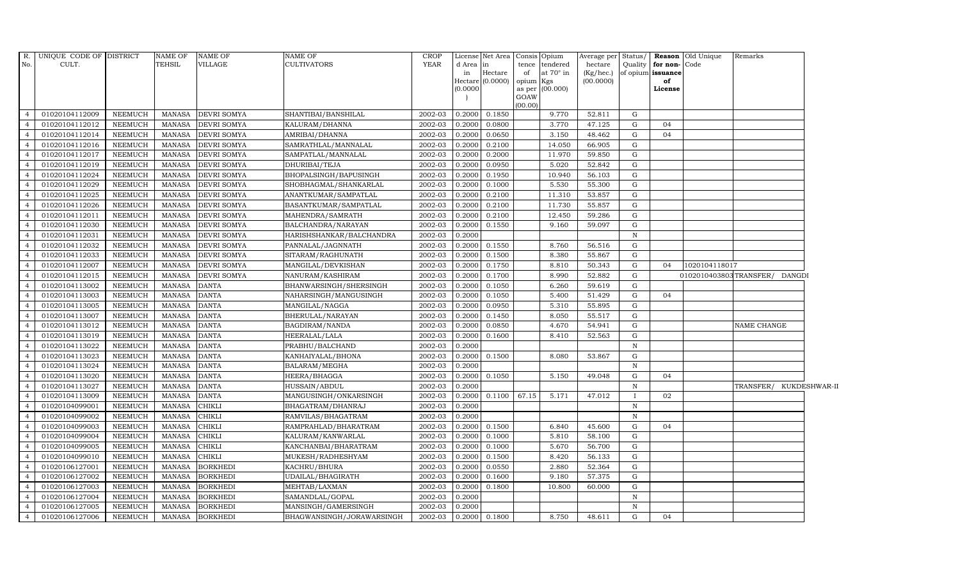| R.             | UNIQUE CODE OF DISTRICT |                | <b>NAME OF</b> | <b>NAME OF</b>     | <b>NAME OF</b>            | <b>CROP</b> |           | License Net Area      |           | Consis Opium     | Average per Status/ |              |                   | Reason Old Unique | Remarks                       |  |
|----------------|-------------------------|----------------|----------------|--------------------|---------------------------|-------------|-----------|-----------------------|-----------|------------------|---------------------|--------------|-------------------|-------------------|-------------------------------|--|
| No.            | CULT.                   |                | TEHSIL         | <b>VILLAGE</b>     | <b>CULTIVATORS</b>        | YEAR        | d Area in |                       |           | tence tendered   | hectare             | Quality      | for non-Code      |                   |                               |  |
|                |                         |                |                |                    |                           |             | in        | Hectare               | of        | at $70^\circ$ in | (Kg/hec.)           |              | of opium issuance |                   |                               |  |
|                |                         |                |                |                    |                           |             | (0.0000)  | Hectare (0.0000)      | opium Kgs | as per (00.000)  | (00.0000)           |              | of<br>License     |                   |                               |  |
|                |                         |                |                |                    |                           |             |           |                       | GOAW      |                  |                     |              |                   |                   |                               |  |
|                |                         |                |                |                    |                           |             |           |                       | (00.00)   |                  |                     |              |                   |                   |                               |  |
| $\overline{4}$ | 01020104112009          | <b>NEEMUCH</b> | MANASA         | <b>DEVRI SOMYA</b> | SHANTIBAI/BANSHILAL       | 2002-03     | 0.2000    | 0.1850                |           | 9.770            | 52.811              | G            |                   |                   |                               |  |
| $\overline{4}$ | 01020104112012          | <b>NEEMUCH</b> | <b>MANASA</b>  | <b>DEVRI SOMYA</b> | KALURAM/DHANNA            | 2002-03     | 0.2000    | 0.0800                |           | 3.770            | 47.125              | G            | 04                |                   |                               |  |
| $\overline{4}$ | 01020104112014          | <b>NEEMUCH</b> | <b>MANASA</b>  | DEVRI SOMYA        | AMRIBAI/DHANNA            | 2002-03     | 0.2000    | 0.0650                |           | 3.150            | 48.462              | G            | 04                |                   |                               |  |
| $\overline{4}$ | 01020104112016          | <b>NEEMUCH</b> | <b>MANASA</b>  | <b>DEVRI SOMYA</b> | SAMRATHLAL/MANNALAL       | 2002-03     | 0.2000    | 0.2100                |           | 14.050           | 66.905              | G            |                   |                   |                               |  |
| $\overline{4}$ | 01020104112017          | <b>NEEMUCH</b> | <b>MANASA</b>  | DEVRI SOMYA        | SAMPATLAL/MANNALAL        | 2002-03     | 0.2000    | 0.2000                |           | 11.970           | 59.850              | G            |                   |                   |                               |  |
| $\overline{4}$ | 01020104112019          | <b>NEEMUCH</b> | <b>MANASA</b>  | DEVRI SOMYA        | DHURIBAI/TEJA             | 2002-03     | 0.2000    | 0.0950                |           | 5.020            | 52.842              | G            |                   |                   |                               |  |
| $\overline{4}$ | 01020104112024          | <b>NEEMUCH</b> | <b>MANASA</b>  | <b>DEVRI SOMYA</b> | BHOPALSINGH/BAPUSINGH     | 2002-03     | 0.2000    | 0.1950                |           | 10.940           | 56.103              | G            |                   |                   |                               |  |
| $\overline{4}$ | 01020104112029          | <b>NEEMUCH</b> | <b>MANASA</b>  | <b>DEVRI SOMYA</b> | SHOBHAGMAL/SHANKARLAL     | 2002-03     | 0.2000    | 0.1000                |           | 5.530            | 55.300              | G            |                   |                   |                               |  |
| $\overline{4}$ | 01020104112025          | <b>NEEMUCH</b> | <b>MANASA</b>  | DEVRI SOMYA        | ANANTKUMAR/SAMPATLAL      | 2002-03     | 0.2000    | 0.2100                |           | 11.310           | 53.857              | G            |                   |                   |                               |  |
| $\overline{4}$ | 01020104112026          | <b>NEEMUCH</b> | <b>MANASA</b>  | <b>DEVRI SOMYA</b> | BASANTKUMAR/SAMPATLAL     | 2002-03     | 0.2000    | 0.2100                |           | 11.730           | 55.857              | G            |                   |                   |                               |  |
| $\overline{4}$ | 01020104112011          | <b>NEEMUCH</b> | <b>MANASA</b>  | DEVRI SOMYA        | MAHENDRA/SAMRATH          | 2002-03     | 0.2000    | 0.2100                |           | 12.450           | 59.286              | G            |                   |                   |                               |  |
| $\overline{4}$ | 01020104112030          | <b>NEEMUCH</b> | <b>MANASA</b>  | DEVRI SOMYA        | BALCHANDRA/NARAYAN        | 2002-03     | 0.2000    | 0.1550                |           | 9.160            | 59.097              | G            |                   |                   |                               |  |
| $\overline{4}$ | 01020104112031          | <b>NEEMUCH</b> | MANASA         | <b>DEVRI SOMYA</b> | HARISHSHANKAR/BALCHANDRA  | 2002-03     | 0.2000    |                       |           |                  |                     | $\mathbb N$  |                   |                   |                               |  |
| $\overline{4}$ | 01020104112032          | <b>NEEMUCH</b> | <b>MANASA</b>  | <b>DEVRI SOMYA</b> | PANNALAL/JAGNNATH         | 2002-03     | 0.2000    | 0.1550                |           | 8.760            | 56.516              | G            |                   |                   |                               |  |
| $\overline{4}$ | 01020104112033          | <b>NEEMUCH</b> | <b>MANASA</b>  | DEVRI SOMYA        | SITARAM/RAGHUNATH         | 2002-03     | 0.2000    | 0.1500                |           | 8.380            | 55.867              | ${\rm G}$    |                   |                   |                               |  |
| $\overline{4}$ | 01020104112007          | <b>NEEMUCH</b> | <b>MANASA</b>  | <b>DEVRI SOMYA</b> | MANGILAL/DEVKISHAN        | 2002-03     | 0.2000    | 0.1750                |           | 8.810            | 50.343              | G            | 04                | 1020104118017     |                               |  |
| $\overline{4}$ | 01020104112015          | <b>NEEMUCH</b> | <b>MANASA</b>  | DEVRI SOMYA        | NANURAM/KASHIRAM          | 2002-03     | 0.2000    | 0.1700                |           | 8.990            | 52.882              | G            |                   |                   | 0102010403803TRANSFER/ DANGDI |  |
| $\overline{4}$ | 01020104113002          | <b>NEEMUCH</b> | <b>MANASA</b>  | DANTA              | BHANWARSINGH/SHERSINGH    | $2002 - 03$ | 0.2000    | 0.1050                |           | 6.260            | 59.619              | G            |                   |                   |                               |  |
| $\overline{4}$ | 01020104113003          | <b>NEEMUCH</b> | <b>MANASA</b>  | <b>DANTA</b>       | NAHARSINGH/MANGUSINGH     | 2002-03     | 0.2000    | 0.1050                |           | 5.400            | 51.429              | $\mathbf G$  | 04                |                   |                               |  |
| $\overline{4}$ | 01020104113005          | <b>NEEMUCH</b> | <b>MANASA</b>  | DANTA              | MANGILAL/NAGGA            | 2002-03     | 0.2000    | 0.0950                |           | 5.310            | 55.895              | ${\rm G}$    |                   |                   |                               |  |
| $\overline{4}$ | 01020104113007          | <b>NEEMUCH</b> | <b>MANASA</b>  | <b>DANTA</b>       | BHERULAL/NARAYAN          | 2002-03     | 0.2000    | 0.1450                |           | 8.050            | 55.517              | G            |                   |                   |                               |  |
| $\overline{4}$ | 01020104113012          | <b>NEEMUCH</b> | <b>MANASA</b>  | <b>DANTA</b>       | BAGDIRAM/NANDA            | 2002-03     | 0.2000    | 0.0850                |           | 4.670            | 54.941              | G            |                   |                   | NAME CHANGE                   |  |
| $\overline{4}$ | 01020104113019          | <b>NEEMUCH</b> | <b>MANASA</b>  | <b>DANTA</b>       | HEERALAL/LALA             | 2002-03     | 0.2000    | 0.1600                |           | 8.410            | 52.563              | G            |                   |                   |                               |  |
| $\overline{4}$ | 01020104113022          | <b>NEEMUCH</b> | <b>MANASA</b>  | <b>DANTA</b>       | PRABHU/BALCHAND           | 2002-03     | 0.2000    |                       |           |                  |                     | $\mathbb N$  |                   |                   |                               |  |
| $\overline{4}$ | 01020104113023          | <b>NEEMUCH</b> | <b>MANASA</b>  | <b>DANTA</b>       | KANHAIYALAL/BHONA         | 2002-03     | 0.2000    | 0.1500                |           | 8.080            | 53.867              | G            |                   |                   |                               |  |
| $\overline{4}$ | 01020104113024          | <b>NEEMUCH</b> | <b>MANASA</b>  | <b>DANTA</b>       | BALARAM/MEGHA             | 2002-03     | 0.2000    |                       |           |                  |                     | $\mathbf N$  |                   |                   |                               |  |
| $\overline{4}$ | 01020104113020          | <b>NEEMUCH</b> | <b>MANASA</b>  | <b>DANTA</b>       | HEERA/BHAGGA              | 2002-03     | 0.2000    | 0.1050                |           | 5.150            | 49.048              | G            | 04                |                   |                               |  |
| $\overline{4}$ | 01020104113027          | <b>NEEMUCH</b> | <b>MANASA</b>  | DANTA              | HUSSAIN/ABDUL             | 2002-03     | 0.2000    |                       |           |                  |                     | $\mathbf N$  |                   |                   | TRANSFER/ KUKDESHWAR-II       |  |
| $\overline{4}$ | 01020104113009          | <b>NEEMUCH</b> | <b>MANASA</b>  | <b>DANTA</b>       | MANGUSINGH/ONKARSINGH     | 2002-03     | 0.2000    | 0.1100                | 67.15     | 5.171            | 47.012              | $\mathbf{I}$ | 02                |                   |                               |  |
| $\overline{4}$ | 01020104099001          | <b>NEEMUCH</b> | <b>MANASA</b>  | CHIKLI             | BHAGATRAM/DHANRAJ         | 2002-03     | 0.2000    |                       |           |                  |                     | $\, {\bf N}$ |                   |                   |                               |  |
| $\overline{4}$ | 01020104099002          | <b>NEEMUCH</b> | <b>MANASA</b>  | CHIKLI             | RAMVILAS/BHAGATRAM        | 2002-03     | 0.2000    |                       |           |                  |                     | ${\bf N}$    |                   |                   |                               |  |
| $\overline{4}$ | 01020104099003          | <b>NEEMUCH</b> | <b>MANASA</b>  | <b>CHIKLI</b>      | RAMPRAHLAD/BHARATRAM      | 2002-03     | 0.2000    | 0.1500                |           | 6.840            | 45.600              | G            | 04                |                   |                               |  |
| $\overline{4}$ | 01020104099004          | <b>NEEMUCH</b> | <b>MANASA</b>  | CHIKLI             | KALURAM/KANWARLAL         | 2002-03     | 0.2000    | 0.1000                |           | 5.810            | 58.100              | G            |                   |                   |                               |  |
| $\overline{4}$ | 01020104099005          | <b>NEEMUCH</b> | <b>MANASA</b>  | CHIKLI             | KANCHANBAI/BHARATRAM      | 2002-03     | 0.2000    | 0.1000                |           | 5.670            | 56.700              | G            |                   |                   |                               |  |
| $\overline{4}$ | 01020104099010          | <b>NEEMUCH</b> | <b>MANASA</b>  | CHIKLI             | MUKESH/RADHESHYAM         | 2002-03     | 0.2000    | 0.1500                |           | 8.420            | 56.133              | G            |                   |                   |                               |  |
| $\overline{4}$ | 01020106127001          | <b>NEEMUCH</b> | <b>MANASA</b>  | <b>BORKHEDI</b>    | KACHRU/BHURA              | 2002-03     | 0.2000    | 0.0550                |           | 2.880            | 52.364              | G            |                   |                   |                               |  |
| $\overline{4}$ | 01020106127002          | <b>NEEMUCH</b> | <b>MANASA</b>  | <b>BORKHEDI</b>    | UDAILAL/BHAGIRATH         | 2002-03     | 0.2000    | 0.1600                |           | 9.180            | 57.375              | G            |                   |                   |                               |  |
| $\overline{4}$ | 01020106127003          | <b>NEEMUCH</b> | <b>MANASA</b>  | <b>BORKHEDI</b>    | MEHTAB/LAXMAN             | 2002-03     | 0.2000    | 0.1800                |           | 10.800           | 60.000              | G            |                   |                   |                               |  |
| $\overline{4}$ | 01020106127004          | <b>NEEMUCH</b> | <b>MANASA</b>  | <b>BORKHEDI</b>    | SAMANDLAL/GOPAL           | 2002-03     | 0.2000    |                       |           |                  |                     | $\mathbf N$  |                   |                   |                               |  |
| $\overline{4}$ | 01020106127005          | <b>NEEMUCH</b> | <b>MANASA</b>  | <b>BORKHEDI</b>    | MANSINGH/GAMERSINGH       | 2002-03     | 0.2000    |                       |           |                  |                     | $\mathbb N$  |                   |                   |                               |  |
| $\overline{4}$ | 01020106127006          | <b>NEEMUCH</b> | MANASA         | <b>BORKHEDI</b>    | BHAGWANSINGH/JORAWARSINGH | 2002-03     |           | $0.2000 \quad 0.1800$ |           | 8.750            | 48.611              | G            | 04                |                   |                               |  |
|                |                         |                |                |                    |                           |             |           |                       |           |                  |                     |              |                   |                   |                               |  |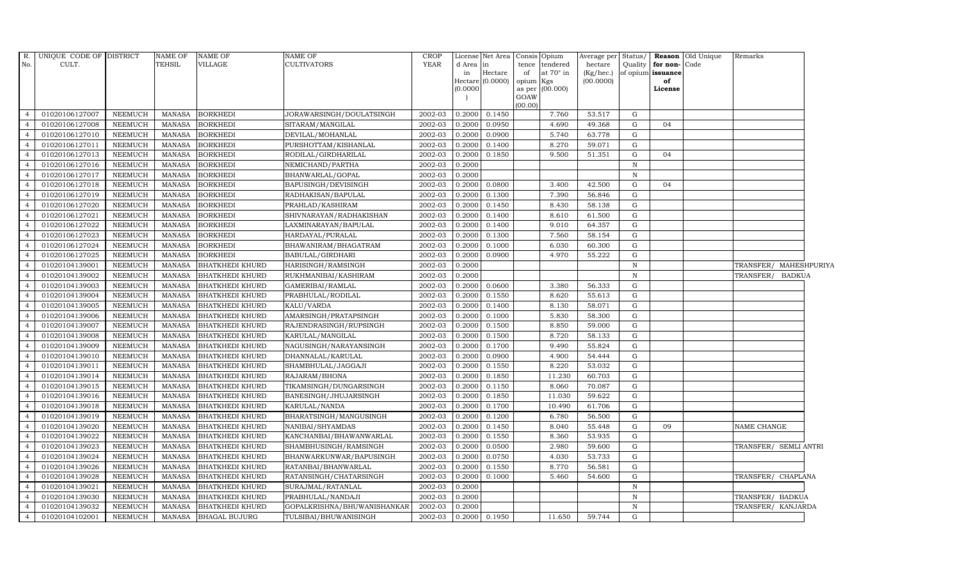| $R$ .          | UNIQUE CODE OF DISTRICT |                | <b>NAME OF</b> | <b>NAME OF</b>         | <b>NAME OF</b>              | <b>CROP</b> |          | License Net Area              |                 | Consis Opium     | Average per Status/    |              |                         | Reason Old Unique | Remarks                |  |
|----------------|-------------------------|----------------|----------------|------------------------|-----------------------------|-------------|----------|-------------------------------|-----------------|------------------|------------------------|--------------|-------------------------|-------------------|------------------------|--|
| No.            | CULT.                   |                | <b>TEHSIL</b>  | VILLAGE                | <b>CULTIVATORS</b>          | <b>YEAR</b> | d Area   | $\ln$                         |                 | tence tendered   | hectare                |              | Quality for non-Code    |                   |                        |  |
|                |                         |                |                |                        |                             |             | in       | Hectare<br>$Hectare (0.0000)$ | of<br>opium Kgs | at $70^\circ$ in | (Kg/hec.)<br>(00.0000) |              | of opium issuance<br>of |                   |                        |  |
|                |                         |                |                |                        |                             |             | (0.0000) |                               |                 | as per (00.000)  |                        |              | License                 |                   |                        |  |
|                |                         |                |                |                        |                             |             |          |                               | GOAW            |                  |                        |              |                         |                   |                        |  |
| $\overline{4}$ | 01020106127007          | NEEMUCH        | MANASA         | <b>BORKHEDI</b>        | JORAWARSINGH/DOULATSINGH    | 2002-03     | 0.2000   | 0.1450                        | (00.00)         | 7.760            | 53.517                 | G            |                         |                   |                        |  |
| $\overline{4}$ | 01020106127008          | <b>NEEMUCH</b> | MANASA         | <b>BORKHEDI</b>        | SITARAM/MANGILAL            | 2002-03     | 0.2000   | 0.0950                        |                 | 4.690            | 49.368                 | G            | 04                      |                   |                        |  |
|                | 01020106127010          | <b>NEEMUCH</b> | <b>MANASA</b>  | <b>BORKHEDI</b>        | DEVILAL/MOHANLAL            | 2002-03     | 0.2000   | 0.0900                        |                 | 5.740            | 63.778                 | G            |                         |                   |                        |  |
|                | 01020106127011          | <b>NEEMUCH</b> | <b>MANASA</b>  | <b>BORKHEDI</b>        | PURSHOTTAM/KISHANLAL        | 2002-03     | 0.2000   | 0.1400                        |                 | 8.270            | 59.071                 | G            |                         |                   |                        |  |
| $\overline{4}$ | 01020106127013          | <b>NEEMUCH</b> | MANASA         | <b>BORKHEDI</b>        | RODILAL/GIRDHARILAL         | 2002-03     | 0.2000   | 0.1850                        |                 | 9.500            | 51.351                 | G            | 04                      |                   |                        |  |
| $\overline{4}$ | 01020106127016          | <b>NEEMUCH</b> | <b>MANASA</b>  | <b>BORKHEDI</b>        | NEMICHAND/PARTHA            | 2002-03     | 0.2000   |                               |                 |                  |                        | $\mathbb N$  |                         |                   |                        |  |
| $\overline{4}$ | 01020106127017          | <b>NEEMUCH</b> | <b>MANASA</b>  | <b>BORKHEDI</b>        | BHANWARLAL/GOPAL            | 2002-03     | 0.2000   |                               |                 |                  |                        | $\,$ N       |                         |                   |                        |  |
| $\overline{4}$ | 01020106127018          | <b>NEEMUCH</b> | MANASA         | <b>BORKHEDI</b>        | BAPUSINGH/DEVISINGH         | 2002-03     | 0.2000   | 0.0800                        |                 | 3.400            | 42.500                 | G            | 04                      |                   |                        |  |
|                | 01020106127019          | <b>NEEMUCH</b> | <b>MANASA</b>  | <b>BORKHEDI</b>        | RADHAKISAN/BAPULAL          | 2002-03     | 0.2000   | 0.1300                        |                 | 7.390            | 56.846                 | $\mathbf G$  |                         |                   |                        |  |
|                | 01020106127020          | <b>NEEMUCH</b> | <b>MANASA</b>  | <b>BORKHEDI</b>        | PRAHLAD/KASHIRAM            | 2002-03     | 0.2000   | 0.1450                        |                 | 8.430            | 58.138                 | G            |                         |                   |                        |  |
| $\overline{4}$ | 01020106127021          | <b>NEEMUCH</b> | MANASA         | <b>BORKHEDI</b>        | SHIVNARAYAN / RADHAKISHAN   | 2002-03     | 0.2000   | 0.1400                        |                 | 8.610            | 61.500                 | G            |                         |                   |                        |  |
| $\overline{4}$ | 01020106127022          | <b>NEEMUCH</b> | MANASA         | <b>BORKHEDI</b>        | LAXMINARAYAN/BAPULAL        | 2002-03     | 0.2000   | 0.1400                        |                 | 9.010            | 64.357                 | G            |                         |                   |                        |  |
| $\overline{4}$ | 01020106127023          | <b>NEEMUCH</b> | MANASA         | <b>BORKHEDI</b>        | HARDAYAL/PURALAL            | 2002-03     | 0.2000   | 0.1300                        |                 | 7.560            | 58.154                 | G            |                         |                   |                        |  |
| $\overline{a}$ | 01020106127024          | <b>NEEMUCH</b> | <b>MANASA</b>  | <b>BORKHEDI</b>        | BHAWANIRAM/BHAGATRAM        | 2002-03     | 0.2000   | 0.1000                        |                 | 6.030            | 60.300                 | G            |                         |                   |                        |  |
|                | 01020106127025          | <b>NEEMUCH</b> | <b>MANASA</b>  | <b>BORKHEDI</b>        | BABULAL/GIRDHARI            | 2002-03     | 0.2000   | 0.0900                        |                 | 4.970            | 55.222                 | $\mathbf G$  |                         |                   |                        |  |
| $\overline{4}$ | 01020104139001          | <b>NEEMUCH</b> | <b>MANASA</b>  | <b>BHATKHEDI KHURD</b> | HARISINGH/RAMSINGH          | 2002-03     | 0.2000   |                               |                 |                  |                        | $\,$ N       |                         |                   | TRANSFER/ MAHESHPURIYA |  |
| $\overline{4}$ | 01020104139002          | <b>NEEMUCH</b> | <b>MANASA</b>  | <b>BHATKHEDI KHURD</b> | RUKHMANIBAI/KASHIRAM        | 2002-03     | 0.2000   |                               |                 |                  |                        | $\mathbb N$  |                         |                   | TRANSFER/ BADKUA       |  |
| $\overline{4}$ | 01020104139003          | NEEMUCH        | MANASA         | <b>BHATKHEDI KHURD</b> | GAMERIBAI/RAMLAL            | 2002-03     | 0.2000   | 0.0600                        |                 | 3.380            | 56.333                 | G            |                         |                   |                        |  |
| $\overline{4}$ | 01020104139004          | <b>NEEMUCH</b> | <b>MANASA</b>  | <b>BHATKHEDI KHURD</b> | PRABHULAL/RODILAL           | 2002-03     | 0.2000   | 0.1550                        |                 | 8.620            | 55.613                 | G            |                         |                   |                        |  |
|                | 01020104139005          | <b>NEEMUCH</b> | <b>MANASA</b>  | <b>BHATKHEDI KHURD</b> | KALU/VARDA                  | 2002-03     | 0.2000   | 0.1400                        |                 | 8.130            | 58.071                 | $\mathbf G$  |                         |                   |                        |  |
|                | 01020104139006          | NEEMUCH        | <b>MANASA</b>  | <b>BHATKHEDI KHURD</b> | AMARSINGH/PRATAPSINGH       | 2002-03     | 0.2000   | 0.1000                        |                 | 5.830            | 58.300                 | G            |                         |                   |                        |  |
| $\overline{4}$ | 01020104139007          | <b>NEEMUCH</b> | MANASA         | <b>BHATKHEDI KHURD</b> | RAJENDRASINGH/RUPSINGH      | 2002-03     | 0.2000   | 0.1500                        |                 | 8.850            | 59.000                 | G            |                         |                   |                        |  |
| $\overline{4}$ | 01020104139008          | <b>NEEMUCH</b> | <b>MANASA</b>  | <b>BHATKHEDI KHURD</b> | KARULAL/MANGILAL            | $2002 - 03$ | 0.2000   | 0.1500                        |                 | 8.720            | 58.133                 | G            |                         |                   |                        |  |
| $\overline{4}$ | 01020104139009          | NEEMUCH        | MANASA         | <b>BHATKHEDI KHURD</b> | NAGUSINGH/NARAYANSINGH      | 2002-03     | 0.2000   | 0.1700                        |                 | 9.490            | 55.824                 | ${\rm G}$    |                         |                   |                        |  |
| $\overline{a}$ | 01020104139010          | <b>NEEMUCH</b> | <b>MANASA</b>  | <b>BHATKHEDI KHURD</b> | DHANNALAL/KARULAL           | 2002-03     | 0.2000   | 0.0900                        |                 | 4.900            | 54.444                 | G            |                         |                   |                        |  |
|                | 01020104139011          | <b>NEEMUCH</b> | <b>MANASA</b>  | <b>BHATKHEDI KHURD</b> | SHAMBHULAL/JAGGAJI          | 2002-03     | 0.2000   | 0.1550                        |                 | 8.220            | 53.032                 | G            |                         |                   |                        |  |
| $\overline{4}$ | 01020104139014          | <b>NEEMUCH</b> | MANASA         | <b>BHATKHEDI KHURD</b> | RAJARAM/BHONA               | 2002-03     | 0.2000   | 0.1850                        |                 | 11.230           | 60.703                 | ${\rm G}$    |                         |                   |                        |  |
| $\overline{4}$ | 01020104139015          | <b>NEEMUCH</b> | MANASA         | <b>BHATKHEDI KHURD</b> | TIKAMSINGH/DUNGARSINGH      | 2002-03     | 0.2000   | 0.1150                        |                 | 8.060            | 70.087                 | G            |                         |                   |                        |  |
| $\overline{4}$ | 01020104139016          | <b>NEEMUCH</b> | <b>MANASA</b>  | <b>BHATKHEDI KHURD</b> | BANESINGH/JHUJARSINGH       | 2002-03     | 0.2000   | 0.1850                        |                 | 11.030           | 59.622                 | G            |                         |                   |                        |  |
| $\overline{4}$ | 01020104139018          | <b>NEEMUCH</b> | <b>MANASA</b>  | <b>BHATKHEDI KHURD</b> | KARULAL/NANDA               | 2002-03     | 0.2000   | 0.1700                        |                 | 10.490           | 61.706                 | G            |                         |                   |                        |  |
|                | 01020104139019          | <b>NEEMUCH</b> | <b>MANASA</b>  | <b>BHATKHEDI KHURD</b> | BHARATSINGH/MANGUSINGH      | 2002-03     | 0.2000   | 0.1200                        |                 | 6.780            | 56.500                 | G            |                         |                   |                        |  |
| $\overline{4}$ | 01020104139020          | <b>NEEMUCH</b> | MANASA         | <b>BHATKHEDI KHURD</b> | NANIBAI/SHYAMDAS            | 2002-03     | 0.2000   | 0.1450                        |                 | 8.040            | 55.448                 | ${\rm G}$    | 09                      |                   | NAME CHANGE            |  |
| $\overline{4}$ | 01020104139022          | <b>NEEMUCH</b> | <b>MANASA</b>  | <b>BHATKHEDI KHURD</b> | KANCHANBAI/BHAWANWARLAL     | 2002-03     | 0.2000   | 0.1550                        |                 | 8.360            | 53.935                 | G            |                         |                   |                        |  |
| $\overline{4}$ | 01020104139023          | NEEMUCH        | <b>MANASA</b>  | <b>BHATKHEDI KHURD</b> | SHAMBHUSINGH/RAMSINGH       | 2002-03     | 0.2000   | 0.0500                        |                 | 2.980            | 59.600                 | G            |                         |                   | TRANSFER/ SEMLI ANTRI  |  |
| $\overline{4}$ | 01020104139024          | <b>NEEMUCH</b> | MANASA         | <b>BHATKHEDI KHURD</b> | BHANWARKUNWAR/BAPUSINGH     | 2002-03     | 0.2000   | 0.0750                        |                 | 4.030            | 53.733                 | G            |                         |                   |                        |  |
| $\overline{4}$ | 01020104139026          | <b>NEEMUCH</b> | <b>MANASA</b>  | <b>BHATKHEDI KHURD</b> | RATANBAI/BHANWARLAL         | 2002-03     | 0.2000   | 0.1550                        |                 | 8.770            | 56.581                 | ${\rm G}$    |                         |                   |                        |  |
|                | 01020104139028          | <b>NEEMUCH</b> | <b>MANASA</b>  | <b>BHATKHEDI KHURD</b> | RATANSINGH/CHATARSINGH      | 2002-03     | 0.2000   | 0.1000                        |                 | 5.460            | 54.600                 | $\mathbf G$  |                         |                   | TRANSFER/ CHAPLANA     |  |
| $\overline{4}$ | 01020104139021          | <b>NEEMUCH</b> | MANASA         | <b>BHATKHEDI KHURD</b> | SURAJMAL/RATANLAL           | 2002-03     | 0.2000   |                               |                 |                  |                        | $\mathbb N$  |                         |                   |                        |  |
| $\overline{4}$ | 01020104139030          | <b>NEEMUCH</b> | <b>MANASA</b>  | <b>BHATKHEDI KHURD</b> | PRABHULAL/NANDAJI           | 2002-03     | 0.2000   |                               |                 |                  |                        | $\, {\bf N}$ |                         |                   | TRANSFER/ BADKUA       |  |
| $\overline{4}$ | 01020104139032          | <b>NEEMUCH</b> | MANASA         | <b>BHATKHEDI KHURD</b> | GOPALKRISHNA/BHUWANISHANKAR | 2002-03     | 0.2000   |                               |                 |                  |                        | $\mathbb N$  |                         |                   | TRANSFER/ KANJARDA     |  |
| $\overline{4}$ | 01020104102001          | <b>NEEMUCH</b> | MANASA         | <b>BHAGAL BUJURG</b>   | TULSIBAI/BHUWANISINGH       | 2002-03     |          | 0.2000 0.1950                 |                 | 11.650           | 59.744                 | G            |                         |                   |                        |  |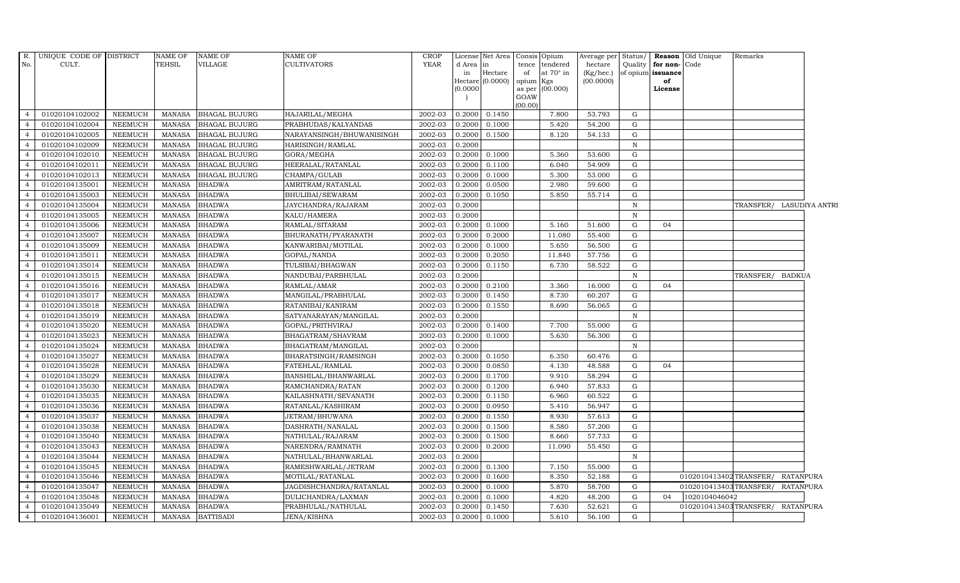|                | R. UNIQUE CODE OF DISTRICT |                | NAME OF       | <b>NAME OF</b>       | NAME OF                   | <b>CROP</b>          |           | License Net Area |           | Consis Opium    | Average per Status/ |              |                   | <b>Reason</b> Old Unique | Remarks                          |                          |
|----------------|----------------------------|----------------|---------------|----------------------|---------------------------|----------------------|-----------|------------------|-----------|-----------------|---------------------|--------------|-------------------|--------------------------|----------------------------------|--------------------------|
| No.            | CULT.                      |                | TEHSIL        | VILLAGE              | <b>CULTIVATORS</b>        | <b>YEAR</b>          | d Area in |                  |           | tence tendered  | hectare             | Quality      | for non-Code      |                          |                                  |                          |
|                |                            |                |               |                      |                           |                      | in        | Hectare          | of        | at 70° in       | (Kg/hec.)           |              | of opium issuance |                          |                                  |                          |
|                |                            |                |               |                      |                           |                      | (0.0000)  | Hectare (0.0000) | opium Kgs | as per (00.000) | (00.0000)           |              | of<br>License     |                          |                                  |                          |
|                |                            |                |               |                      |                           |                      |           |                  | GOAW      |                 |                     |              |                   |                          |                                  |                          |
|                |                            |                |               |                      |                           |                      |           |                  | (00.00)   |                 |                     |              |                   |                          |                                  |                          |
| $\overline{4}$ | 01020104102002             | <b>NEEMUCH</b> | MANASA        | <b>BHAGAL BUJURG</b> | HAJARILAL/MEGHA           | 2002-03              | 0.2000    | 0.1450           |           | 7.800           | 53.793              | G            |                   |                          |                                  |                          |
| $\overline{4}$ | 01020104102004             | <b>NEEMUCH</b> | MANASA        | <b>BHAGAL BUJURG</b> | PRABHUDAS/KALYANDAS       | 2002-03              | 0.2000    | 0.1000           |           | 5.420           | 54.200              | G            |                   |                          |                                  |                          |
| $\overline{4}$ | 01020104102005             | <b>NEEMUCH</b> | MANASA        | <b>BHAGAL BUJURG</b> | NARAYANSINGH/BHUWANISINGH | 2002-03              | 0.2000    | 0.1500           |           | 8.120           | 54.133              | G            |                   |                          |                                  |                          |
| $\overline{4}$ | 01020104102009             | <b>NEEMUCH</b> | <b>MANASA</b> | <b>BHAGAL BUJURG</b> | HARISINGH/RAMLAL          | 2002-03              | 0.2000    |                  |           |                 |                     | $\mathbb N$  |                   |                          |                                  |                          |
|                | 01020104102010             | <b>NEEMUCH</b> | <b>MANASA</b> | <b>BHAGAL BUJURG</b> | GORA/MEGHA                | 2002-03              | 0.2000    | 0.1000           |           | 5.360           | 53.600              | G            |                   |                          |                                  |                          |
| $\overline{4}$ | 01020104102011             | <b>NEEMUCH</b> | <b>MANASA</b> | <b>BHAGAL BUJURG</b> | HEERALAL/RATANLAL         | 2002-03              | 0.2000    | 0.1100           |           | 6.040           | 54.909              | G            |                   |                          |                                  |                          |
| $\overline{4}$ | 01020104102013             | NEEMUCH        | <b>MANASA</b> | <b>BHAGAL BUJURG</b> | CHAMPA/GULAB              | 2002-03              | 0.2000    | 0.1000           |           | 5.300           | 53.000              | G            |                   |                          |                                  |                          |
| $\overline{4}$ | 01020104135001             | <b>NEEMUCH</b> | <b>MANASA</b> | <b>BHADWA</b>        | AMRITRAM/RATANLAL         | 2002-03              | 0.2000    | 0.0500           |           | 2.980           | 59.600              | G            |                   |                          |                                  |                          |
| $\Delta$       | 01020104135003             | <b>NEEMUCH</b> | <b>MANASA</b> | <b>BHADWA</b>        | BHULIBAI/SEWARAM          | 2002-03              | 0.2000    | 0.1050           |           | 5.850           | 55.714              | G            |                   |                          |                                  |                          |
|                | 01020104135004             | <b>NEEMUCH</b> | <b>MANASA</b> | <b>BHADWA</b>        | JAYCHANDRA/RAJARAM        | 2002-03              | 0.2000    |                  |           |                 |                     | $\, {\rm N}$ |                   |                          |                                  | TRANSFER/ LASUDIYA ANTRI |
| $\overline{4}$ | 01020104135005             | <b>NEEMUCH</b> | MANASA        | <b>BHADWA</b>        | KALU/HAMERA               | 2002-03              | 0.2000    |                  |           |                 |                     | $\mathbf N$  |                   |                          |                                  |                          |
| $\overline{4}$ | 01020104135006             | <b>NEEMUCH</b> | <b>MANASA</b> | <b>BHADWA</b>        | RAMLAL/SITARAM            | 2002-03              | 0.2000    | 0.1000           |           | 5.160           | 51.600              | G            | 04                |                          |                                  |                          |
| $\overline{4}$ | 01020104135007             | NEEMUCH        | MANASA        | <b>BHADWA</b>        | BHURANATH/PYARANATH       | 2002-03              | 0.2000    | 0.2000           |           | 11.080          | 55.400              | G            |                   |                          |                                  |                          |
| $\overline{4}$ | 01020104135009             | <b>NEEMUCH</b> | <b>MANASA</b> | <b>BHADWA</b>        | KANWARIBAI/MOTILAL        | 2002-03              | 0.2000    | 0.1000           |           | 5.650           | 56.500              | G            |                   |                          |                                  |                          |
|                | 01020104135011             | <b>NEEMUCH</b> | <b>MANASA</b> | <b>BHADWA</b>        | GOPAL/NANDA               | 2002-03              | 0.2000    | 0.2050           |           | 11.840          | 57.756              | G            |                   |                          |                                  |                          |
|                | 01020104135014             | NEEMUCH        | <b>MANASA</b> | <b>BHADWA</b>        | TULSIBAI/BHAGWAN          | 2002-03              | 0.2000    | 0.1150           |           | 6.730           | 58.522              | G            |                   |                          |                                  |                          |
| $\overline{4}$ | 01020104135015             | <b>NEEMUCH</b> | <b>MANASA</b> | <b>BHADWA</b>        | NANDUBAI/PARBHULAL        | $\overline{2}002-03$ | 0.2000    |                  |           |                 |                     | $\mathbf N$  |                   |                          | TRANSFER/ BADKUA                 |                          |
| $\overline{4}$ | 01020104135016             | <b>NEEMUCH</b> | <b>MANASA</b> | <b>BHADWA</b>        | RAMLAL/AMAR               | 2002-03              | 0.2000    | 0.2100           |           | 3.360           | 16.000              | G            | 04                |                          |                                  |                          |
| $\overline{4}$ | 01020104135017             | NEEMUCH        | <b>MANASA</b> | <b>BHADWA</b>        | MANGILAL/PRABHULAL        | 2002-03              | 0.2000    | 0.1450           |           | 8.730           | 60.207              | G            |                   |                          |                                  |                          |
|                | 01020104135018             | <b>NEEMUCH</b> | <b>MANASA</b> | <b>BHADWA</b>        | RATANIBAI/KANIRAM         | 2002-03              | 0.2000    | 0.1550           |           | 8.690           | 56.065              | G            |                   |                          |                                  |                          |
|                | 01020104135019             | <b>NEEMUCH</b> | <b>MANASA</b> | <b>BHADWA</b>        | SATYANARAYAN/MANGILAL     | 2002-03              | 0.2000    |                  |           |                 |                     | $\mathbb N$  |                   |                          |                                  |                          |
| $\overline{4}$ | 01020104135020             | <b>NEEMUCH</b> | <b>MANASA</b> | <b>BHADWA</b>        | GOPAL/PRITHVIRAJ          | 2002-03              | 0.2000    | 0.1400           |           | 7.700           | 55.000              | G            |                   |                          |                                  |                          |
| $\overline{4}$ | 01020104135023             | <b>NEEMUCH</b> | <b>MANASA</b> | <b>BHADWA</b>        | BHAGATRAM/SHAVRAM         | 2002-03              | 0.2000    | 0.1000           |           | 5.630           | 56.300              | G            |                   |                          |                                  |                          |
| $\overline{4}$ | 01020104135024             | <b>NEEMUCH</b> | <b>MANASA</b> | <b>BHADWA</b>        | BHAGATRAM/MANGILAL        | 2002-03              | 0.2000    |                  |           |                 |                     | $\mathbf N$  |                   |                          |                                  |                          |
| $\overline{4}$ | 01020104135027             | <b>NEEMUCH</b> | <b>MANASA</b> | <b>BHADWA</b>        | BHARATSINGH/RAMSINGH      | 2002-03              | 0.2000    | 0.1050           |           | 6.350           | 60.476              | G            |                   |                          |                                  |                          |
|                | 01020104135028             | <b>NEEMUCH</b> | <b>MANASA</b> | <b>BHADWA</b>        | FATEHLAL/RAMLAL           | 2002-03              | 0.2000    | 0.0850           |           | 4.130           | 48.588              | G            | 04                |                          |                                  |                          |
| $\overline{4}$ | 01020104135029             | <b>NEEMUCH</b> | <b>MANASA</b> | <b>BHADWA</b>        | BANSHILAL/BHANWARLAL      | 2002-03              | 0.2000    | 0.1700           |           | 9.910           | 58.294              | G            |                   |                          |                                  |                          |
| $\overline{4}$ | 01020104135030             | <b>NEEMUCH</b> | <b>MANASA</b> | <b>BHADWA</b>        | RAMCHANDRA/RATAN          | 2002-03              | 0.2000    | 0.1200           |           | 6.940           | 57.833              | G            |                   |                          |                                  |                          |
| $\overline{4}$ | 01020104135035             | <b>NEEMUCH</b> | <b>MANASA</b> | <b>BHADWA</b>        | KAILASHNATH/SEVANATH      | 2002-03              | 0.2000    | 0.1150           |           | 6.960           | 60.522              | G            |                   |                          |                                  |                          |
| $\overline{4}$ | 01020104135036             | <b>NEEMUCH</b> | <b>MANASA</b> | <b>BHADWA</b>        | RATANLAL/KASHIRAM         | 2002-03              | 0.2000    | 0.0950           |           | 5.410           | 56.947              | G            |                   |                          |                                  |                          |
|                | 01020104135037             | <b>NEEMUCH</b> | <b>MANASA</b> | <b>BHADWA</b>        | JETRAM/BHUWANA            | 2002-03              | 0.2000    | 0.1550           |           | 8.930           | 57.613              | G            |                   |                          |                                  |                          |
|                | 01020104135038             | <b>NEEMUCH</b> | <b>MANASA</b> | <b>BHADWA</b>        | DASHRATH/NANALAL          | 2002-03              | 0.2000    | 0.1500           |           | 8.580           | 57.200              | G            |                   |                          |                                  |                          |
| $\overline{4}$ | 01020104135040             | <b>NEEMUCH</b> | <b>MANASA</b> | <b>BHADWA</b>        | NATHULAL/RAJARAM          | 2002-03              | 0.2000    | 0.1500           |           | 8.660           | 57.733              | G            |                   |                          |                                  |                          |
| $\overline{4}$ | 01020104135043             | <b>NEEMUCH</b> | <b>MANASA</b> | <b>BHADWA</b>        | NARENDRA/RAMNATH          | 2002-03              | 0.2000    | 0.2000           |           | 11.090          | 55.450              | G            |                   |                          |                                  |                          |
| $\overline{4}$ | 01020104135044             | <b>NEEMUCH</b> | <b>MANASA</b> | <b>BHADWA</b>        | NATHULAL/BHANWARLAL       | 2002-03              | 0.2000    |                  |           |                 |                     | N            |                   |                          |                                  |                          |
| $\overline{4}$ | 01020104135045             | <b>NEEMUCH</b> | <b>MANASA</b> | <b>BHADWA</b>        | RAMESHWARLAL/JETRAM       | 2002-03              | 0.2000    | 0.1300           |           | 7.150           | 55.000              | G            |                   |                          |                                  |                          |
|                | 01020104135046             | <b>NEEMUCH</b> | <b>MANASA</b> | <b>BHADWA</b>        | MOTILAL/RATANLAL          | 2002-03              | 0.2000    | 0.1600           |           | 8.350           | 52.188              | ${\rm G}$    |                   |                          | 0102010413402TRANSFER/ RATANPURA |                          |
| $\overline{4}$ | 01020104135047             | <b>NEEMUCH</b> | MANASA        | <b>BHADWA</b>        | JAGDISHCHANDRA/RATANLAL   | 2002-03              | 0.2000    | 0.1000           |           | 5.870           | 58.700              | G            |                   |                          | 0102010413403TRANSFER/ RATANPURA |                          |
| $\overline{4}$ | 01020104135048             | <b>NEEMUCH</b> | <b>MANASA</b> | <b>BHADWA</b>        | DULICHANDRA/LAXMAN        | 2002-03              | 0.2000    | 0.1000           |           | 4.820           | 48.200              | G            | 04                | 1020104046042            |                                  |                          |
| $\overline{4}$ | 01020104135049             | <b>NEEMUCH</b> | <b>MANASA</b> | <b>BHADWA</b>        | PRABHULAL/NATHULAL        | 2002-03              | 0.2000    | 0.1450           |           | 7.630           | 52.621              | G            |                   |                          | 0102010413403TRANSFER/ RATANPURA |                          |
| $\overline{4}$ | 01020104136001             | <b>NEEMUCH</b> | MANASA        | <b>BATTISADI</b>     | JENA/KISHNA               | 2002-03              | 0.2000    | 0.1000           |           | 5.610           | 56.100              | G            |                   |                          |                                  |                          |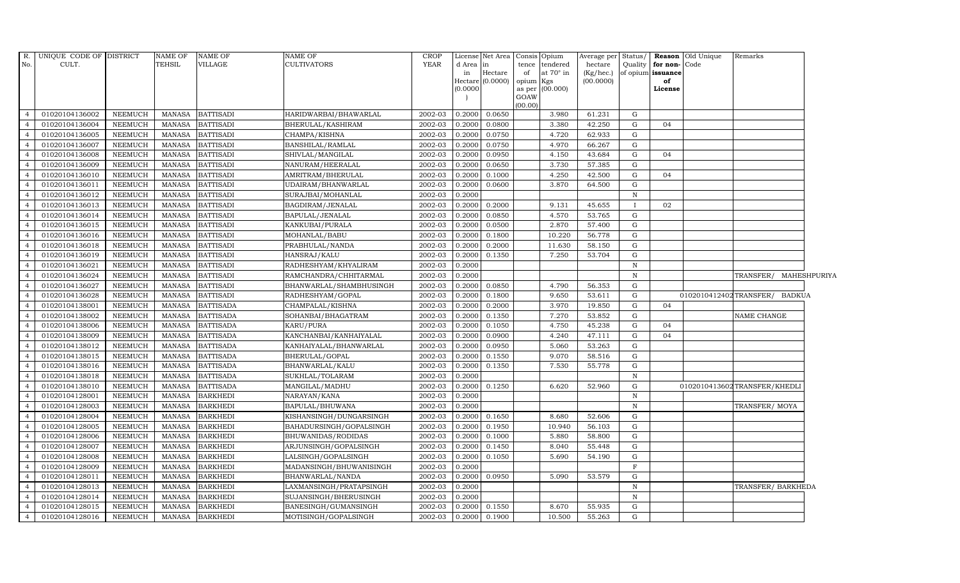| R.             | UNIQUE CODE OF DISTRICT |                | NAME OF       | <b>NAME OF</b>   | NAME OF                 | CROP        |           | License Net Area |           | Consis Opium     | Average per  | Status/      |                   | <b>Reason</b> Old Unique | Remarks                      |  |
|----------------|-------------------------|----------------|---------------|------------------|-------------------------|-------------|-----------|------------------|-----------|------------------|--------------|--------------|-------------------|--------------------------|------------------------------|--|
| No.            | CULT.                   |                | <b>TEHSIL</b> | <b>VILLAGE</b>   | <b>CULTIVATORS</b>      | <b>YEAR</b> | d Area in |                  | tence     | tendered         | hectare      | Quality      | for non-Code      |                          |                              |  |
|                |                         |                |               |                  |                         |             | in        | Hectare          | of        | at $70^\circ$ in | $(Kg/$ hec.) |              | of opium issuance |                          |                              |  |
|                |                         |                |               |                  |                         |             | (0.0000)  | Hectare (0.0000) | opium Kgs | as per (00.000)  | (00.0000)    |              | of<br>License     |                          |                              |  |
|                |                         |                |               |                  |                         |             |           |                  | GOAW      |                  |              |              |                   |                          |                              |  |
|                |                         |                |               |                  |                         |             |           |                  | (00.00)   |                  |              |              |                   |                          |                              |  |
| $\overline{4}$ | 01020104136002          | NEEMUCH        | MANASA        | <b>BATTISADI</b> | HARIDWARBAI/BHAWARLAL   | 2002-03     | 0.2000    | 0.0650           |           | 3.980            | 61.231       | G            |                   |                          |                              |  |
| $\overline{4}$ | 01020104136004          | <b>NEEMUCH</b> | <b>MANASA</b> | <b>BATTISADI</b> | BHERULAL/KASHIRAM       | 2002-03     | 0.2000    | 0.0800           |           | 3.380            | 42.250       | G            | 04                |                          |                              |  |
| $\overline{4}$ | 01020104136005          | <b>NEEMUCH</b> | <b>MANASA</b> | <b>BATTISADI</b> | CHAMPA/KISHNA           | 2002-03     | 0.2000    | 0.0750           |           | 4.720            | 62.933       | G            |                   |                          |                              |  |
| $\overline{4}$ | 01020104136007          | <b>NEEMUCH</b> | <b>MANASA</b> | <b>BATTISADI</b> | BANSHILAL/RAMLAL        | 2002-03     | 0.2000    | 0.0750           |           | 4.970            | 66.267       | G            |                   |                          |                              |  |
| $\overline{4}$ | 01020104136008          | <b>NEEMUCH</b> | <b>MANASA</b> | <b>BATTISADI</b> | SHIVLAL/MANGILAL        | 2002-03     | 0.2000    | 0.0950           |           | 4.150            | 43.684       | ${\rm G}$    | 04                |                          |                              |  |
| $\overline{4}$ | 01020104136009          | <b>NEEMUCH</b> | <b>MANASA</b> | <b>BATTISADI</b> | NANURAM/HEERALAL        | 2002-03     | 0.2000    | 0.0650           |           | 3.730            | 57.385       | G            |                   |                          |                              |  |
| $\overline{4}$ | 01020104136010          | NEEMUCH        | MANASA        | <b>BATTISADI</b> | AMRITRAM/BHERULAL       | 2002-03     | 0.2000    | 0.1000           |           | 4.250            | 42.500       | G            | 04                |                          |                              |  |
| $\overline{4}$ | 01020104136011          | <b>NEEMUCH</b> | <b>MANASA</b> | <b>BATTISADI</b> | UDAIRAM/BHANWARLAL      | 2002-03     | 0.2000    | 0.0600           |           | 3.870            | 64.500       | G            |                   |                          |                              |  |
| $\overline{4}$ | 01020104136012          | <b>NEEMUCH</b> | <b>MANASA</b> | <b>BATTISADI</b> | SURAJBAI/MOHANLAL       | 2002-03     | 0.2000    |                  |           |                  |              | $\, {\bf N}$ |                   |                          |                              |  |
| $\overline{4}$ | 01020104136013          | <b>NEEMUCH</b> | <b>MANASA</b> | <b>BATTISADI</b> | BAGDIRAM/JENALAL        | 2002-03     | 0.2000    | 0.2000           |           | 9.131            | 45.655       |              | 02                |                          |                              |  |
| $\overline{4}$ | 01020104136014          | <b>NEEMUCH</b> | <b>MANASA</b> | <b>BATTISADI</b> | BAPULAL/JENALAL         | 2002-03     | 0.2000    | 0.0850           |           | 4.570            | 53.765       | G            |                   |                          |                              |  |
| $\overline{4}$ | 01020104136015          | <b>NEEMUCH</b> | <b>MANASA</b> | <b>BATTISADI</b> | KANKUBAI/PURALA         | 2002-03     | 0.2000    | 0.0500           |           | 2.870            | 57.400       | G            |                   |                          |                              |  |
| $\overline{4}$ | 01020104136016          | NEEMUCH        | <b>MANASA</b> | <b>BATTISADI</b> | MOHANLAL/BABU           | 2002-03     | 0.2000    | 0.1800           |           | 10.220           | 56.778       | G            |                   |                          |                              |  |
| $\overline{4}$ | 01020104136018          | <b>NEEMUCH</b> | MANASA        | <b>BATTISADI</b> | PRABHULAL/NANDA         | 2002-03     | 0.2000    | 0.2000           |           | 11.630           | 58.150       | G            |                   |                          |                              |  |
| $\overline{4}$ | 01020104136019          | <b>NEEMUCH</b> | <b>MANASA</b> | <b>BATTISADI</b> | HANSRAJ/KALU            | 2002-03     | 0.2000    | 0.1350           |           | 7.250            | 53.704       | $\mathbf G$  |                   |                          |                              |  |
| $\overline{4}$ | 01020104136021          | NEEMUCH        | <b>MANASA</b> | <b>BATTISADI</b> | RADHESHYAM/KHYALIRAM    | 2002-03     | 0.2000    |                  |           |                  |              | $\mathbf N$  |                   |                          |                              |  |
| $\overline{4}$ | 01020104136024          | <b>NEEMUCH</b> | MANASA        | <b>BATTISADI</b> | RAMCHANDRA/CHHITARMAL   | 2002-03     | 0.2000    |                  |           |                  |              | N            |                   |                          | TRANSFER/ MAHESHPURIYA       |  |
| $\overline{4}$ | 01020104136027          | <b>NEEMUCH</b> | <b>MANASA</b> | <b>BATTISADI</b> | BHANWARLAL/SHAMBHUSINGH | 2002-03     | 0.2000    | 0.0850           |           | 4.790            | 56.353       | G            |                   |                          |                              |  |
| $\overline{4}$ | 01020104136028          | NEEMUCH        | <b>MANASA</b> | <b>BATTISADI</b> | RADHESHYAM/GOPAL        | 2002-03     | 0.2000    | 0.1800           |           | 9.650            | 53.611       | ${\rm G}$    |                   | 0102010412402TRANSFER/   | <b>BADKUA</b>                |  |
| $\overline{4}$ | 01020104138001          | <b>NEEMUCH</b> | <b>MANASA</b> | <b>BATTISADA</b> | CHAMPALAL/KISHNA        | 2002-03     | 0.2000    | 0.2000           |           | 3.970            | 19.850       | G            | 04                |                          |                              |  |
| $\overline{4}$ | 01020104138002          | <b>NEEMUCH</b> | <b>MANASA</b> | <b>BATTISADA</b> | SOHANBAI/BHAGATRAM      | 2002-03     | 0.2000    | 0.1350           |           | 7.270            | 53.852       | $\mathbf G$  |                   |                          | NAME CHANGE                  |  |
| $\overline{4}$ | 01020104138006          | <b>NEEMUCH</b> | <b>MANASA</b> | <b>BATTISADA</b> | KARU/PURA               | 2002-03     | 0.2000    | 0.1050           |           | 4.750            | 45.238       | ${\rm G}$    | 04                |                          |                              |  |
| $\overline{4}$ | 01020104138009          | <b>NEEMUCH</b> | MANASA        | <b>BATTISADA</b> | KANCHANBAI/KANHAIYALAL  | 2002-03     | 0.2000    | 0.0900           |           | 4.240            | 47.111       | G            | 04                |                          |                              |  |
| $\overline{4}$ | 01020104138012          | <b>NEEMUCH</b> | <b>MANASA</b> | <b>BATTISADA</b> | KANHAIYALAL/BHANWARLAL  | 2002-03     | 0.2000    | 0.0950           |           | 5.060            | 53.263       | G            |                   |                          |                              |  |
| $\overline{4}$ | 01020104138015          | <b>NEEMUCH</b> | <b>MANASA</b> | <b>BATTISADA</b> | BHERULAL/GOPAL          | 2002-03     | 0.2000    | 0.1550           |           | 9.070            | 58.516       | G            |                   |                          |                              |  |
| $\overline{4}$ | 01020104138016          | <b>NEEMUCH</b> | MANASA        | <b>BATTISADA</b> | BHANWARLAL/KALU         | 2002-03     | 0.2000    | 0.1350           |           | 7.530            | 55.778       | G            |                   |                          |                              |  |
| $\overline{4}$ | 01020104138018          | <b>NEEMUCH</b> | <b>MANASA</b> | <b>BATTISADA</b> | SUKHLAL/TOLARAM         | 2002-03     | 0.2000    |                  |           |                  |              | $\, {\rm N}$ |                   |                          |                              |  |
| $\overline{4}$ | 01020104138010          | NEEMUCH        | <b>MANASA</b> | <b>BATTISADA</b> | MANGILAL/MADHU          | 2002-03     | 0.2000    | 0.1250           |           | 6.620            | 52.960       | G            |                   |                          | 0102010413602TRANSFER/KHEDLI |  |
| $\overline{4}$ | 01020104128001          | <b>NEEMUCH</b> | <b>MANASA</b> | <b>BARKHEDI</b>  | NARAYAN/KANA            | 2002-03     | 0.2000    |                  |           |                  |              | $\mathbf N$  |                   |                          |                              |  |
| $\overline{4}$ | 01020104128003          | <b>NEEMUCH</b> | <b>MANASA</b> | <b>BARKHEDI</b>  | BAPULAL/BHUWANA         | 2002-03     | 0.2000    |                  |           |                  |              | $\, {\bf N}$ |                   |                          | TRANSFER/MOYA                |  |
| $\overline{4}$ | 01020104128004          | <b>NEEMUCH</b> | <b>MANASA</b> | <b>BARKHEDI</b>  | KISHANSINGH/DUNGARSINGH | 2002-03     | 0.2000    | 0.1650           |           | 8.680            | 52.606       | G            |                   |                          |                              |  |
| $\overline{4}$ | 01020104128005          | <b>NEEMUCH</b> | MANASA        | <b>BARKHEDI</b>  | BAHADURSINGH/GOPALSINGH | 2002-03     | 0.2000    | 0.1950           |           | 10.940           | 56.103       | $\mathbf G$  |                   |                          |                              |  |
| $\overline{4}$ | 01020104128006          | <b>NEEMUCH</b> | <b>MANASA</b> | <b>BARKHEDI</b>  | BHUWANIDAS/RODIDAS      | 2002-03     | 0.2000    | 0.1000           |           | 5.880            | 58.800       | G            |                   |                          |                              |  |
| $\overline{4}$ | 01020104128007          | <b>NEEMUCH</b> | <b>MANASA</b> | <b>BARKHEDI</b>  | ARJUNSINGH/GOPALSINGH   | 2002-03     | 0.2000    | 0.1450           |           | 8.040            | 55.448       | G            |                   |                          |                              |  |
| $\overline{4}$ | 01020104128008          | <b>NEEMUCH</b> | MANASA        | <b>BARKHEDI</b>  | LALSINGH/GOPALSINGH     | 2002-03     | 0.2000    | 0.1050           |           | 5.690            | 54.190       | G            |                   |                          |                              |  |
| $\overline{4}$ | 01020104128009          | <b>NEEMUCH</b> | <b>MANASA</b> | <b>BARKHEDI</b>  | MADANSINGH/BHUWANISINGH | 2002-03     | 0.2000    |                  |           |                  |              | $\mathbf F$  |                   |                          |                              |  |
| $\overline{4}$ | 01020104128011          | <b>NEEMUCH</b> | <b>MANASA</b> | <b>BARKHEDI</b>  | BHANWARLAL/NANDA        | 2002-03     | 0.2000    | 0.0950           |           | 5.090            | 53.579       | $\mathbf G$  |                   |                          |                              |  |
| $\overline{4}$ | 01020104128013          | <b>NEEMUCH</b> | MANASA        | <b>BARKHEDI</b>  | LAXMANSINGH/PRATAPSINGH | 2002-03     | 0.2000    |                  |           |                  |              | N            |                   |                          | TRANSFER/BARKHEDA            |  |
| $\overline{4}$ | 01020104128014          | <b>NEEMUCH</b> | <b>MANASA</b> | <b>BARKHEDI</b>  | SUJANSINGH/BHERUSINGH   | 2002-03     | 0.2000    |                  |           |                  |              | $\, {\rm N}$ |                   |                          |                              |  |
| $\overline{4}$ | 01020104128015          | <b>NEEMUCH</b> | MANASA        | <b>BARKHEDI</b>  | BANESINGH/GUMANSINGH    | 2002-03     | 0.2000    | 0.1550           |           | 8.670            | 55.935       | G            |                   |                          |                              |  |
| $\overline{4}$ | 01020104128016          | <b>NEEMUCH</b> | MANASA        | <b>BARKHEDI</b>  | MOTISINGH/GOPALSINGH    | 2002-03     | 0.2000    | 0.1900           |           | 10.500           | 55.263       | G            |                   |                          |                              |  |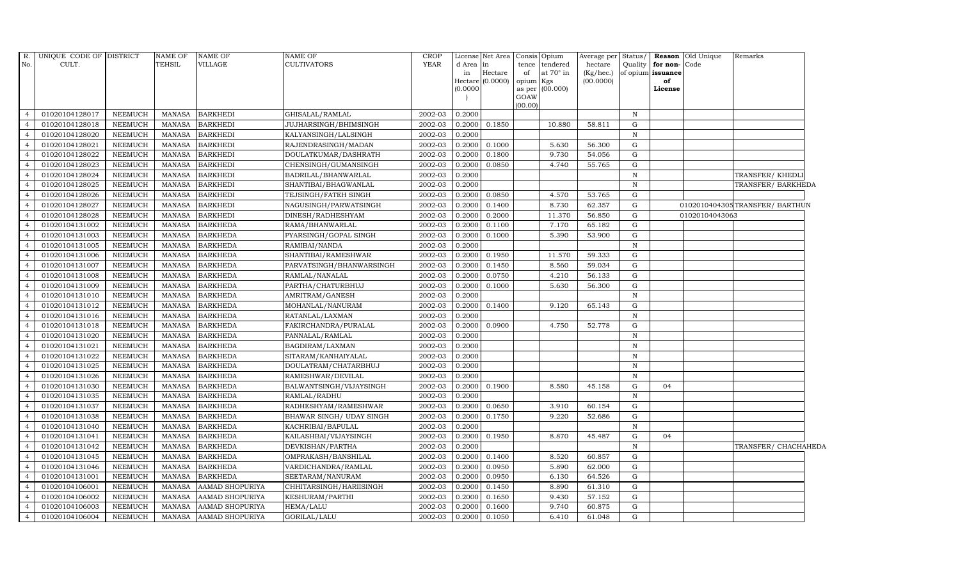| $R$ .<br>No.                     | UNIQUE CODE OF DISTRICT<br>CULT. |                           | <b>NAME OF</b><br><b>TEHSIL</b> | <b>NAME OF</b><br><b>VILLAGE</b>   | <b>NAME OF</b><br><b>CULTIVATORS</b>       | <b>CROP</b><br><b>YEAR</b> | d Area in<br>in  | License Net Area<br>Hectare | tence<br>of | Consis Opium<br>tendered<br>at 70° in | Average per Status/<br>hectare<br>$(Kg/$ hec.) | Quality                   | for non-Code<br>of opium issuance | <b>Reason</b> Old Unique | Remarks                        |  |
|----------------------------------|----------------------------------|---------------------------|---------------------------------|------------------------------------|--------------------------------------------|----------------------------|------------------|-----------------------------|-------------|---------------------------------------|------------------------------------------------|---------------------------|-----------------------------------|--------------------------|--------------------------------|--|
|                                  |                                  |                           |                                 |                                    |                                            |                            |                  | Hectare (0.0000)            | opium Kgs   |                                       | (00.0000)                                      |                           | of                                |                          |                                |  |
|                                  |                                  |                           |                                 |                                    |                                            |                            | (0.0000)         |                             | GOAW        | as per (00.000)                       |                                                |                           | License                           |                          |                                |  |
|                                  |                                  |                           |                                 |                                    |                                            |                            |                  |                             | (00.00)     |                                       |                                                |                           |                                   |                          |                                |  |
| $\overline{4}$                   | 01020104128017                   | <b>NEEMUCH</b>            | MANASA                          | <b>BARKHEDI</b>                    | GHISALAL/RAMLAL                            | 2002-03                    | 0.2000           |                             |             |                                       |                                                | $\mathbb N$               |                                   |                          |                                |  |
|                                  | 01020104128018                   | <b>NEEMUCH</b>            | MANASA                          | <b>BARKHEDI</b>                    | <b>JUJHARSINGH/BHIMSINGH</b>               | 2002-03                    | 0.2000           | 0.1850                      |             | 10.880                                | 58.811                                         | G                         |                                   |                          |                                |  |
|                                  | 01020104128020                   | <b>NEEMUCH</b>            | <b>MANASA</b>                   | <b>BARKHEDI</b>                    | KALYANSINGH/LALSINGH                       | 2002-03                    | 0.2000           |                             |             |                                       |                                                | N                         |                                   |                          |                                |  |
|                                  | 01020104128021                   | <b>NEEMUCH</b>            | <b>MANASA</b>                   | <b>BARKHEDI</b>                    | RAJENDRASINGH/MADAN                        | 2002-03                    | 0.2000           | 0.1000                      |             | 5.630                                 | 56.300                                         | ${\rm G}$                 |                                   |                          |                                |  |
|                                  | 01020104128022                   | NEEMUCH                   | <b>MANASA</b>                   | <b>BARKHEDI</b>                    | DOULATKUMAR/DASHRATH                       | 2002-03                    | 0.2000           | 0.1800                      |             | 9.730                                 | 54.056                                         | G                         |                                   |                          |                                |  |
| $\overline{4}$                   | 01020104128023                   | NEEMUCH                   | <b>MANASA</b>                   | <b>BARKHEDI</b>                    | CHENSINGH/GUMANSINGH                       | 2002-03                    | 0.2000           | 0.0850                      |             | 4.740                                 | 55.765                                         | G                         |                                   |                          |                                |  |
|                                  | 01020104128024                   | <b>NEEMUCH</b>            | MANASA                          | <b>BARKHEDI</b>                    | BADRILAL/BHANWARLAL                        | 2002-03                    | 0.2000           |                             |             |                                       |                                                | $\, {\rm N}$              |                                   |                          | TRANSFER/KHEDL                 |  |
|                                  | 01020104128025                   | <b>NEEMUCH</b>            | <b>MANASA</b>                   | <b>BARKHEDI</b>                    | SHANTIBAI/BHAGWANLAL                       | 2002-03                    | 0.2000           |                             |             |                                       |                                                | $\,$ N                    |                                   |                          | TRANSFER/ BARKHEDA             |  |
|                                  | 01020104128026                   | <b>NEEMUCH</b>            | <b>MANASA</b>                   | <b>BARKHEDI</b>                    | TEJSINGH/FATEH SINGH                       | 2002-03                    | 0.2000           | 0.0850                      |             | 4.570                                 | 53.765                                         | G                         |                                   |                          |                                |  |
|                                  | 01020104128027                   | <b>NEEMUCH</b>            | <b>MANASA</b>                   | <b>BARKHEDI</b>                    | NAGUSINGH/PARWATSINGH                      | 2002-03                    | 0.2000           | 0.1400                      |             | 8.730                                 | 62.357                                         | ${\rm G}$                 |                                   |                          | 0102010404305TRANSFER/ BARTHUN |  |
| $\overline{a}$                   | 01020104128028                   | NEEMUCH                   | <b>MANASA</b>                   | <b>BARKHEDI</b>                    | DINESH/RADHESHYAM                          | 2002-03                    | 0.2000           | 0.2000                      |             | 11.370                                | 56.850                                         | G                         |                                   | 01020104043063           |                                |  |
| $\overline{a}$                   | 01020104131002                   | <b>NEEMUCH</b>            | <b>MANASA</b>                   | <b>BARKHEDA</b>                    | RAMA/BHANWARLAL                            | 2002-03                    | 0.2000           | 0.1100                      |             | 7.170                                 | 65.182                                         | G                         |                                   |                          |                                |  |
|                                  | 01020104131003                   | <b>NEEMUCH</b>            | <b>MANASA</b>                   | <b>BARKHEDA</b>                    | PYARSINGH/GOPAL SINGH                      | 2002-03                    | 0.2000           | 0.1000                      |             | 5.390                                 | 53.900                                         | G                         |                                   |                          |                                |  |
|                                  | 01020104131005                   | <b>NEEMUCH</b>            | <b>MANASA</b>                   | <b>BARKHEDA</b>                    | RAMIBAI/NANDA                              | 2002-03                    | 0.2000           |                             |             |                                       |                                                | $\mathbf N$               |                                   |                          |                                |  |
|                                  | 01020104131006                   | <b>NEEMUCH</b>            | MANASA                          | <b>BARKHEDA</b>                    | SHANTIBAI/RAMESHWAR                        | 2002-03                    | 0.2000           | 0.1950                      |             | 11.570                                | 59.333                                         | G                         |                                   |                          |                                |  |
| 4                                | 01020104131007                   | <b>NEEMUCH</b>            | <b>MANASA</b>                   | <b>BARKHEDA</b>                    | PARVATSINGH/BHANWARSINGH                   | 2002-03                    | 0.2000           | 0.1450                      |             | 8.560                                 | 59.034                                         | G                         |                                   |                          |                                |  |
| $\overline{4}$                   | 01020104131008                   | <b>NEEMUCH</b>            | <b>MANASA</b>                   | <b>BARKHEDA</b>                    | RAMLAL/NANALAL                             | 2002-03                    | 0.2000           | 0.0750                      |             | 4.210                                 | 56.133                                         | G                         |                                   |                          |                                |  |
|                                  | 01020104131009                   | <b>NEEMUCH</b>            | <b>MANASA</b>                   | <b>BARKHEDA</b>                    | PARTHA/CHATURBHUJ                          | 2002-03                    | 0.2000           | 0.1000                      |             | 5.630                                 | 56.300                                         | G                         |                                   |                          |                                |  |
|                                  | 01020104131010                   | <b>NEEMUCH</b>            | <b>MANASA</b>                   | <b>BARKHEDA</b>                    | AMRITRAM/GANESH                            | 2002-03                    | 0.2000           |                             |             |                                       |                                                | $\mathbf N$               |                                   |                          |                                |  |
|                                  | 01020104131012                   | <b>NEEMUCH</b>            | <b>MANASA</b>                   | <b>BARKHEDA</b>                    | MOHANLAL/NANURAM                           | 2002-03                    | 0.2000           | 0.1400                      |             | 9.120                                 | 65.143                                         | G                         |                                   |                          |                                |  |
|                                  | 01020104131016                   | <b>NEEMUCH</b>            | <b>MANASA</b>                   | <b>BARKHEDA</b>                    | RATANLAL/LAXMAN                            | 2002-03                    | 0.2000           |                             |             |                                       |                                                | $\, {\rm N}$              |                                   |                          |                                |  |
| $\overline{4}$                   | 01020104131018                   | <b>NEEMUCH</b>            | <b>MANASA</b>                   | <b>BARKHEDA</b>                    | FAKIRCHANDRA/PURALAL                       | 2002-03                    | 0.2000           | 0.0900                      |             | 4.750                                 | 52.778                                         | G                         |                                   |                          |                                |  |
| $\overline{a}$                   | 01020104131020                   | <b>NEEMUCH</b>            | MANASA                          | <b>BARKHEDA</b>                    | PANNALAL/RAMLAL                            | 2002-03                    | 0.2000           |                             |             |                                       |                                                | N                         |                                   |                          |                                |  |
|                                  | 01020104131021                   | <b>NEEMUCH</b>            | <b>MANASA</b>                   | <b>BARKHEDA</b>                    | BAGDIRAM/LAXMAN                            | 2002-03                    | 0.2000           |                             |             |                                       |                                                | $\, {\rm N}$              |                                   |                          |                                |  |
|                                  | 01020104131022                   | <b>NEEMUCH</b>            | <b>MANASA</b>                   | <b>BARKHEDA</b>                    | SITARAM/KANHAIYALAL                        | 2002-03                    | 0.2000           |                             |             |                                       |                                                | $\mathbf N$               |                                   |                          |                                |  |
| 4                                | 01020104131025                   | <b>NEEMUCH</b>            | <b>MANASA</b>                   | <b>BARKHEDA</b>                    | DOULATRAM/CHATARBHUJ                       | 2002-03                    | 0.2000           |                             |             |                                       |                                                | $\, {\bf N}$              |                                   |                          |                                |  |
| $\overline{4}$                   | 01020104131026                   | <b>NEEMUCH</b>            | <b>MANASA</b>                   | <b>BARKHEDA</b>                    | RAMESHWAR/DEVILAL                          | 2002-03                    | 0.2000           |                             |             |                                       |                                                | $\mathbf N$               |                                   |                          |                                |  |
|                                  | 01020104131030                   | <b>NEEMUCH</b>            | MANASA                          | <b>BARKHEDA</b>                    | BALWANTSINGH/VIJAYSINGH                    | 2002-03                    | 0.2000           | 0.1900                      |             | 8.580                                 | 45.158                                         | G                         | 04                                |                          |                                |  |
|                                  | 01020104131035                   | <b>NEEMUCH</b>            | <b>MANASA</b>                   | <b>BARKHEDA</b>                    | RAMLAL/RADHU                               | 2002-03                    | 0.2000           |                             |             |                                       |                                                | $\, {\bf N}$              |                                   |                          |                                |  |
|                                  | 01020104131037                   | NEEMUCH                   | <b>MANASA</b>                   | <b>BARKHEDA</b>                    | RADHESHYAM/RAMESHWAR                       | 2002-03                    | 0.2000           | 0.0650                      |             | 3.910                                 | 60.154                                         | G                         |                                   |                          |                                |  |
|                                  | 01020104131038                   | <b>NEEMUCH</b>            | <b>MANASA</b>                   | <b>BARKHEDA</b>                    | BHAWAR SINGH/ UDAY SINGH                   | 2002-03                    | 0.2000<br>0.2000 | 0.1750                      |             | 9.220                                 | 52.686                                         | G                         |                                   |                          |                                |  |
| $\overline{a}$<br>$\overline{4}$ | 01020104131040                   | <b>NEEMUCH</b>            | <b>MANASA</b>                   | <b>BARKHEDA</b>                    | KACHRIBAI/BAPULAL                          | 2002-03                    |                  |                             |             | 8.870                                 |                                                | $\, {\rm N}$              | 04                                |                          |                                |  |
|                                  | 01020104131041<br>01020104131042 | NEEMUCH<br><b>NEEMUCH</b> | MANASA<br>MANASA                | <b>BARKHEDA</b><br><b>BARKHEDA</b> | KAILASHBAI/VIJAYSINGH                      | 2002-03<br>2002-03         | 0.2000<br>0.2000 | 0.1950                      |             |                                       | 45.487                                         | ${\rm G}$<br>$\, {\rm N}$ |                                   |                          |                                |  |
|                                  | 01020104131045                   | <b>NEEMUCH</b>            | <b>MANASA</b>                   | <b>BARKHEDA</b>                    | DEVKISHAN/PARTHA<br>OMPRAKASH/BANSHILAL    | 2002-03                    | 0.2000           | 0.1400                      |             | 8.520                                 | 60.857                                         | G                         |                                   |                          | TRANSFER/ CHACHAHEDA           |  |
|                                  |                                  |                           |                                 |                                    |                                            |                            |                  |                             |             |                                       |                                                | G                         |                                   |                          |                                |  |
| $\overline{a}$                   | 01020104131046<br>01020104131001 | NEEMUCH<br><b>NEEMUCH</b> | MANASA<br><b>MANASA</b>         | <b>BARKHEDA</b><br><b>BARKHEDA</b> | VARDICHANDRA/RAMLAL<br>SEETARAM/NANURAM    | 2002-03<br>2002-03         | 0.2000<br>0.2000 | 0.0950<br>0.0950            |             | 5.890<br>6.130                        | 62.000<br>64.526                               | G                         |                                   |                          |                                |  |
| $\overline{4}$                   | 01020104106001                   | NEEMUCH                   | MANASA                          | AAMAD SHOPURIYA                    |                                            | 2002-03                    | 0.2000           | 0.1450                      |             | 8.890                                 | 61.310                                         | ${\rm G}$                 |                                   |                          |                                |  |
|                                  | 01020104106002                   | <b>NEEMUCH</b>            | MANASA                          | AAMAD SHOPURIYA                    | CHHITARSINGH/HARIISINGH<br>KESHURAM/PARTHI | 2002-03                    | 0.2000           | 0.1650                      |             | 9.430                                 | 57.152                                         | G                         |                                   |                          |                                |  |
|                                  | 01020104106003                   | <b>NEEMUCH</b>            | <b>MANASA</b>                   | <b>AAMAD SHOPURIYA</b>             | HEMA/LALU                                  | 2002-03                    | 0.2000           | 0.1600                      |             | 9.740                                 | 60.875                                         | G                         |                                   |                          |                                |  |
| $\overline{4}$                   | 01020104106004                   | NEEMUCH                   | MANASA                          | AAMAD SHOPURIYA                    |                                            | 2002-03                    | 0.2000           | 0.1050                      |             | 6.410                                 | 61.048                                         | ${\rm G}$                 |                                   |                          |                                |  |
|                                  |                                  |                           |                                 |                                    | GORILAL/LALU                               |                            |                  |                             |             |                                       |                                                |                           |                                   |                          |                                |  |